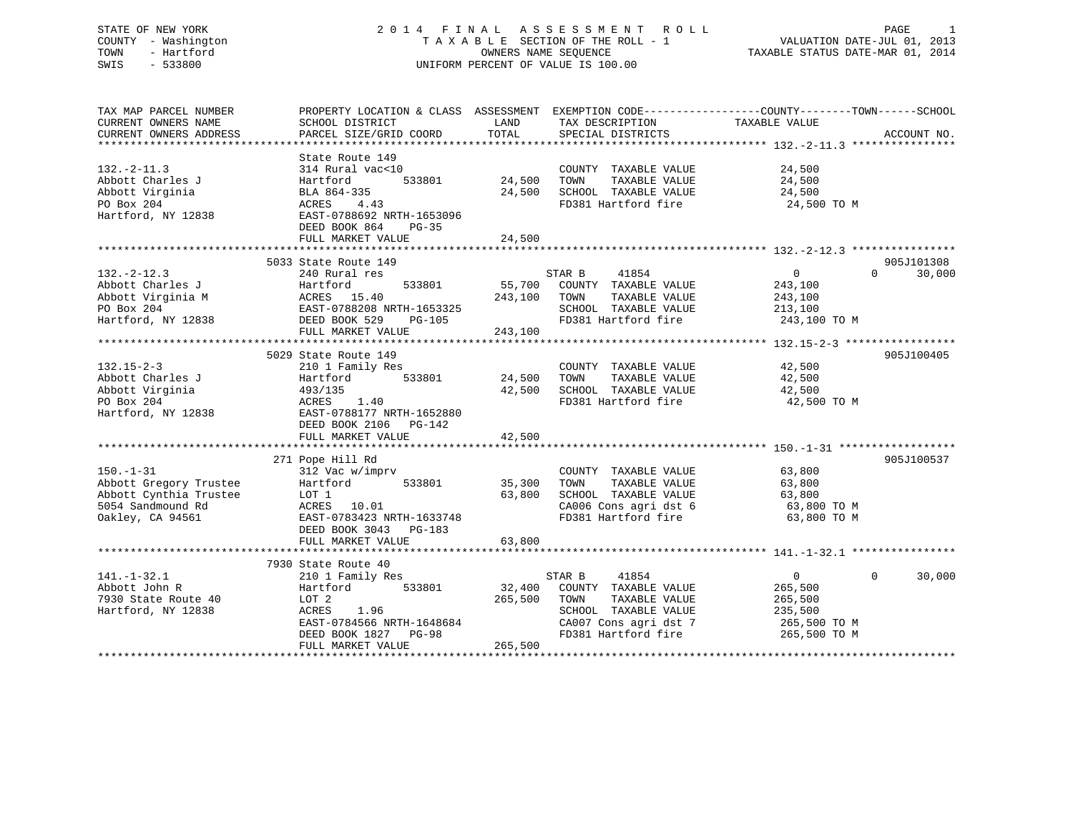## STATE OF NEW YORK 2 0 1 4 F I N A L A S S E S S M E N T R O L L PAGE 1 COUNTY - Washington T A X A B L E SECTION OF THE ROLL - 1 VALUATION DATE-JUL 01, 2013 TOWN - Hartford OWNERS NAME SEQUENCE TAXABLE STATUS DATE-MAR 01, 2014 SWIS - 533800 UNIFORM PERCENT OF VALUE IS 100.00

TAX MAP PARCEL NUMBER PROPERTY LOCATION & CLASS ASSESSMENT EXEMPTION CODE------------------COUNTY--------TOWN------SCHOOL CURRENT OWNERS NAME SCHOOL DISTRICT LAND TAX DESCRIPTION TAXABLE VALUE CURRENT OWNERS ADDRESS PARCEL SIZE/GRID COORD TOTAL SPECIAL DISTRICTS ACCOUNT NO. \*\*\*\*\*\*\*\*\*\*\*\*\*\*\*\*\*\*\*\*\*\*\*\*\*\*\*\*\*\*\*\*\*\*\*\*\*\*\*\*\*\*\*\*\*\*\*\*\*\*\*\*\*\*\*\*\*\*\*\*\*\*\*\*\*\*\*\*\*\*\*\*\*\*\*\*\*\*\*\*\*\*\*\*\*\*\*\*\*\*\*\*\*\*\*\*\*\*\*\*\*\*\* 132.-2-11.3 \*\*\*\*\*\*\*\*\*\*\*\*\*\*\*\* State Route 149132.-2-11.3 314 Rural vac<10 COUNTY TAXABLE VALUE 24,500 Abbott Charles J Hartford 533801 24,500 TOWN TAXABLE VALUE 24,500 Abbott Virginia BLA 864-335 24,500 SCHOOL TAXABLE VALUE 24,500 PO Box 204 ACRES 4.43 FD381 Hartford fire 24,500 TO M Hartford, NY 12838 EAST-0788692 NRTH-1653096 DEED BOOK 864 PG-35FULL MARKET VALUE 24,500 \*\*\*\*\*\*\*\*\*\*\*\*\*\*\*\*\*\*\*\*\*\*\*\*\*\*\*\*\*\*\*\*\*\*\*\*\*\*\*\*\*\*\*\*\*\*\*\*\*\*\*\*\*\*\*\*\*\*\*\*\*\*\*\*\*\*\*\*\*\*\*\*\*\*\*\*\*\*\*\*\*\*\*\*\*\*\*\*\*\*\*\*\*\*\*\*\*\*\*\*\*\*\* 132.-2-12.3 \*\*\*\*\*\*\*\*\*\*\*\*\*\*\*\* 5033 State Route 149 905J101308132.-2-12.3 240 Rural res STAR B 41854 0 0 30,000 Abbott Charles J Hartford 533801 55,700 COUNTY TAXABLE VALUE 243,100 Abbott Virginia M ACRES 15.40 243,100 TOWN TAXABLE VALUE 243,100 PO Box 204 EAST-0788208 NRTH-1653325 SCHOOL TAXABLE VALUE 213,100 Hartford, NY 12838 DEED BOOK 529 PG-105 FD381 Hartford fire 243,100 TO M FULL MARKET VALUE 243,100 \*\*\*\*\*\*\*\*\*\*\*\*\*\*\*\*\*\*\*\*\*\*\*\*\*\*\*\*\*\*\*\*\*\*\*\*\*\*\*\*\*\*\*\*\*\*\*\*\*\*\*\*\*\*\*\*\*\*\*\*\*\*\*\*\*\*\*\*\*\*\*\*\*\*\*\*\*\*\*\*\*\*\*\*\*\*\*\*\*\*\*\*\*\*\*\*\*\*\*\*\*\*\* 132.15-2-3 \*\*\*\*\*\*\*\*\*\*\*\*\*\*\*\*\* 5029 State Route 149 905J100405132.15-2-3 210 1 Family Res COUNTY TAXABLE VALUE 42,500 Abbott Charles J Hartford 533801 24,500 TOWN TAXABLE VALUE 42,500 Abbott Virginia 493/135 42,500 SCHOOL TAXABLE VALUE 42,500 PO Box 204 ACRES 1.40 FD381 Hartford fire 42,500 TO M Hartford, NY 12838 EAST-0788177 NRTH-1652880 DEED BOOK 2106 PG-142<br>FULL MARKET VALUE 42,500 \*\*\*\*\*\*\*\*\*\*\*\*\*\*\*\*\*\*\*\*\*\*\*\*\*\*\*\*\*\*\*\*\*\*\*\*\*\*\*\*\*\*\*\*\*\*\*\*\*\*\*\*\*\*\*\*\*\*\*\*\*\*\*\*\*\*\*\*\*\*\*\*\*\*\*\*\*\*\*\*\*\*\*\*\*\*\*\*\*\*\*\*\*\*\*\*\*\*\*\*\*\*\* 150.-1-31 \*\*\*\*\*\*\*\*\*\*\*\*\*\*\*\*\*\* 271 Pope Hill Rd 905J100537 150.-1-31 312 Vac w/imprv COUNTY TAXABLE VALUE 63,800 Abbott Gregory Trustee Hartford 533801 35,300 TOWN TAXABLE VALUE 63,800 Abbott Cynthia Trustee LOT 1 63,800 SCHOOL TAXABLE VALUE 63,800 5054 Sandmound Rd ACRES 10.01 CA006 Cons agri dst 6 63,800 TO M Oakley, CA 94561 EAST-0783423 NRTH-1633748 FD381 Hartford fire 63,800 TO M DEED BOOK 3043 PG-183 FULL MARKET VALUE 63,800 \*\*\*\*\*\*\*\*\*\*\*\*\*\*\*\*\*\*\*\*\*\*\*\*\*\*\*\*\*\*\*\*\*\*\*\*\*\*\*\*\*\*\*\*\*\*\*\*\*\*\*\*\*\*\*\*\*\*\*\*\*\*\*\*\*\*\*\*\*\*\*\*\*\*\*\*\*\*\*\*\*\*\*\*\*\*\*\*\*\*\*\*\*\*\*\*\*\*\*\*\*\*\* 141.-1-32.1 \*\*\*\*\*\*\*\*\*\*\*\*\*\*\*\* 7930 State Route 40 141.-1-32.1 210 1 Family Res STAR B 41854 0 0 30,000 Abbott John R Hartford 533801 32,400 COUNTY TAXABLE VALUE 265,500 7930 State Route 40 LOT 2 265,500 TOWN TAXABLE VALUE 265,500 Hartford, NY 12838 ACRES 1.96 SCHOOL TAXABLE VALUE 235,500

DEED BOOK 1827 PG-98<br>FULL MARKET VALUE 265,500 \*\*\*\*\*\*\*\*\*\*\*\*\*\*\*\*\*\*\*\*\*\*\*\*\*\*\*\*\*\*\*\*\*\*\*\*\*\*\*\*\*\*\*\*\*\*\*\*\*\*\*\*\*\*\*\*\*\*\*\*\*\*\*\*\*\*\*\*\*\*\*\*\*\*\*\*\*\*\*\*\*\*\*\*\*\*\*\*\*\*\*\*\*\*\*\*\*\*\*\*\*\*\*\*\*\*\*\*\*\*\*\*\*\*\*\*\*\*\*\*\*\*\*\*\*\*\*\*\*\*\*\*

 EAST-0784566 NRTH-1648684 CA007 Cons agri dst 7 265,500 TO M DEED BOOK 1827 PG-98 FD381 Hartford fire 265,500 TO M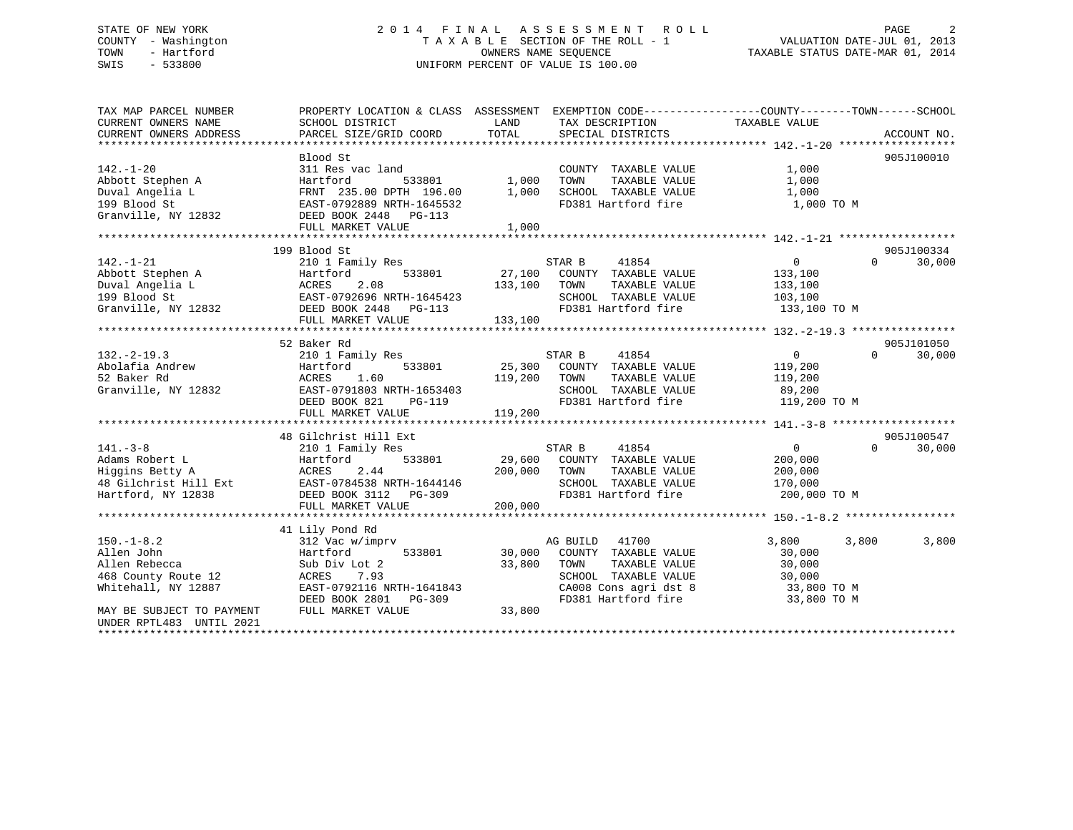## STATE OF NEW YORK 2 0 1 4 F I N A L A S S E S S M E N T R O L L PAGE 2 COUNTY - Washington T A X A B L E SECTION OF THE ROLL - 1 VALUATION DATE-JUL 01, 2013 TOWN - Hartford **TAXABLE STATUS DATE-MAR 01, 2014** OWNERS NAME SEQUENCE TAXABLE STATUS DATE-MAR 01, 2014 SWIS - 533800 UNIFORM PERCENT OF VALUE IS 100.00

| TAX MAP PARCEL NUMBER<br>CURRENT OWNERS NAME<br>CURRENT OWNERS ADDRESS             | PROPERTY LOCATION & CLASS ASSESSMENT EXEMPTION CODE----------------COUNTY-------TOWN------SCHOOL<br>SCHOOL DISTRICT<br>PARCEL SIZE/GRID COORD | LAND<br>TOTAL | TAX DESCRIPTION<br>SPECIAL DISTRICTS | TAXABLE VALUE  | ACCOUNT NO.        |
|------------------------------------------------------------------------------------|-----------------------------------------------------------------------------------------------------------------------------------------------|---------------|--------------------------------------|----------------|--------------------|
|                                                                                    |                                                                                                                                               |               |                                      |                |                    |
|                                                                                    | Blood St                                                                                                                                      |               |                                      |                | 905J100010         |
| $142. - 1 - 20$                                                                    | 311 Res vac land                                                                                                                              |               | COUNTY TAXABLE VALUE                 | 1,000          |                    |
| Abbott Stephen A                                                                   | Hartford<br>533801                                                                                                                            | 1,000         | TOWN<br>TAXABLE VALUE                | 1,000          |                    |
| Duval Angelia L                                                                    | FRNT 235.00 DPTH 196.00                                                                                                                       | 1,000         | SCHOOL TAXABLE VALUE                 | 1,000          |                    |
| 199 Blood St                                                                       | EAST-0792889 NRTH-1645532                                                                                                                     |               | FD381 Hartford fire                  | 1,000 TO M     |                    |
| Granville, NY 12832                                                                | DEED BOOK 2448 PG-113                                                                                                                         |               |                                      |                |                    |
|                                                                                    | FULL MARKET VALUE                                                                                                                             | 1,000         |                                      |                |                    |
|                                                                                    |                                                                                                                                               |               |                                      |                |                    |
|                                                                                    | 199 Blood St                                                                                                                                  |               |                                      |                | 905J100334         |
| $142. - 1 - 21$                                                                    | 210 1 Family Res                                                                                                                              |               | 41854<br>STAR B                      | $\overline{0}$ | $\Omega$<br>30,000 |
|                                                                                    | 533801<br>Hartford                                                                                                                            |               | 27,100 COUNTY TAXABLE VALUE          | 133,100        |                    |
|                                                                                    | ACRES<br>2.08                                                                                                                                 | 133,100       | TAXABLE VALUE<br>TOWN                | 133,100        |                    |
|                                                                                    | EAST-0792696 NRTH-1645423                                                                                                                     |               | SCHOOL TAXABLE VALUE                 | 103,100        |                    |
| 172.<br>Abbott Stephen A<br>Duval Angelia L<br>199 Blood St<br>Granville, NY 12832 | DEED BOOK 2448    PG-113                                                                                                                      |               | FD381 Hartford fire                  | 133,100 TO M   |                    |
|                                                                                    | FULL MARKET VALUE                                                                                                                             | 133,100       |                                      |                |                    |
|                                                                                    |                                                                                                                                               |               |                                      |                |                    |
|                                                                                    | 52 Baker Rd                                                                                                                                   |               |                                      |                | 905J101050         |
| $132. - 2 - 19.3$                                                                  | 210 1 Family Res                                                                                                                              |               | STAR B<br>41854                      | $\mathbf{0}$   | $\Omega$<br>30,000 |
| Abolafia Andrew                                                                    | 533801<br>Hartford                                                                                                                            | 25,300        | COUNTY TAXABLE VALUE                 | 119,200        |                    |
| 52 Baker Rd                                                                        | ACRES<br>1.60                                                                                                                                 | 119,200       | TAXABLE VALUE<br>TOWN                | 119,200        |                    |
| Granville, NY 12832                                                                | EAST-0791803 NRTH-1653403                                                                                                                     |               | SCHOOL TAXABLE VALUE                 | 89,200         |                    |
|                                                                                    | DEED BOOK 821<br>PG-119                                                                                                                       |               | FD381 Hartford fire                  | 119,200 TO M   |                    |
|                                                                                    | FULL MARKET VALUE                                                                                                                             | 119,200       |                                      |                |                    |
|                                                                                    |                                                                                                                                               |               |                                      |                |                    |
|                                                                                    | 48 Gilchrist Hill Ext                                                                                                                         |               |                                      |                | 905J100547         |
| $141. - 3 - 8$                                                                     | 210 1 Family Res                                                                                                                              |               | STAR B<br>41854                      | $\overline{0}$ | $\Omega$<br>30,000 |
| Adams Robert L                                                                     | 533801<br>Hartford                                                                                                                            | 29,600        | COUNTY TAXABLE VALUE                 | 200,000        |                    |
| Higgins Betty A                                                                    | 2.44<br>ACRES                                                                                                                                 | 200,000       | TOWN<br>TAXABLE VALUE                | 200,000        |                    |
| 48 Gilchrist Hill Ext                                                              | EAST-0784538 NRTH-1644146                                                                                                                     |               | SCHOOL TAXABLE VALUE                 | 170,000        |                    |
| Hartford, NY 12838                                                                 | DEED BOOK 3112 PG-309                                                                                                                         |               | FD381 Hartford fire                  | 200,000 TO M   |                    |
|                                                                                    | FULL MARKET VALUE                                                                                                                             | 200,000       |                                      |                |                    |
|                                                                                    |                                                                                                                                               |               |                                      |                |                    |
|                                                                                    | 41 Lily Pond Rd                                                                                                                               |               |                                      |                |                    |
| $150. - 1 - 8.2$                                                                   | 312 Vac w/imprv                                                                                                                               |               | 41700<br>AG BUILD                    | 3,800<br>3,800 | 3,800              |
| Allen John                                                                         | Hartford<br>533801                                                                                                                            | 30,000        | COUNTY TAXABLE VALUE                 | 30,000         |                    |
| Allen Rebecca                                                                      | Sub Div Lot 2                                                                                                                                 | 33,800        | TAXABLE VALUE<br>TOWN                | 30,000         |                    |
| 468 County Route 12                                                                | 7.93<br>ACRES                                                                                                                                 |               | SCHOOL TAXABLE VALUE                 | 30,000         |                    |
| Whitehall, NY 12887                                                                | EAST-0792116 NRTH-1641843                                                                                                                     |               | CA008 Cons agri dst 8                | 33,800 TO M    |                    |
|                                                                                    | DEED BOOK 2801<br>PG-309                                                                                                                      |               | FD381 Hartford fire                  | 33,800 TO M    |                    |
| MAY BE SUBJECT TO PAYMENT                                                          | FULL MARKET VALUE                                                                                                                             | 33,800        |                                      |                |                    |
| UNDER RPTL483 UNTIL 2021                                                           |                                                                                                                                               |               |                                      |                |                    |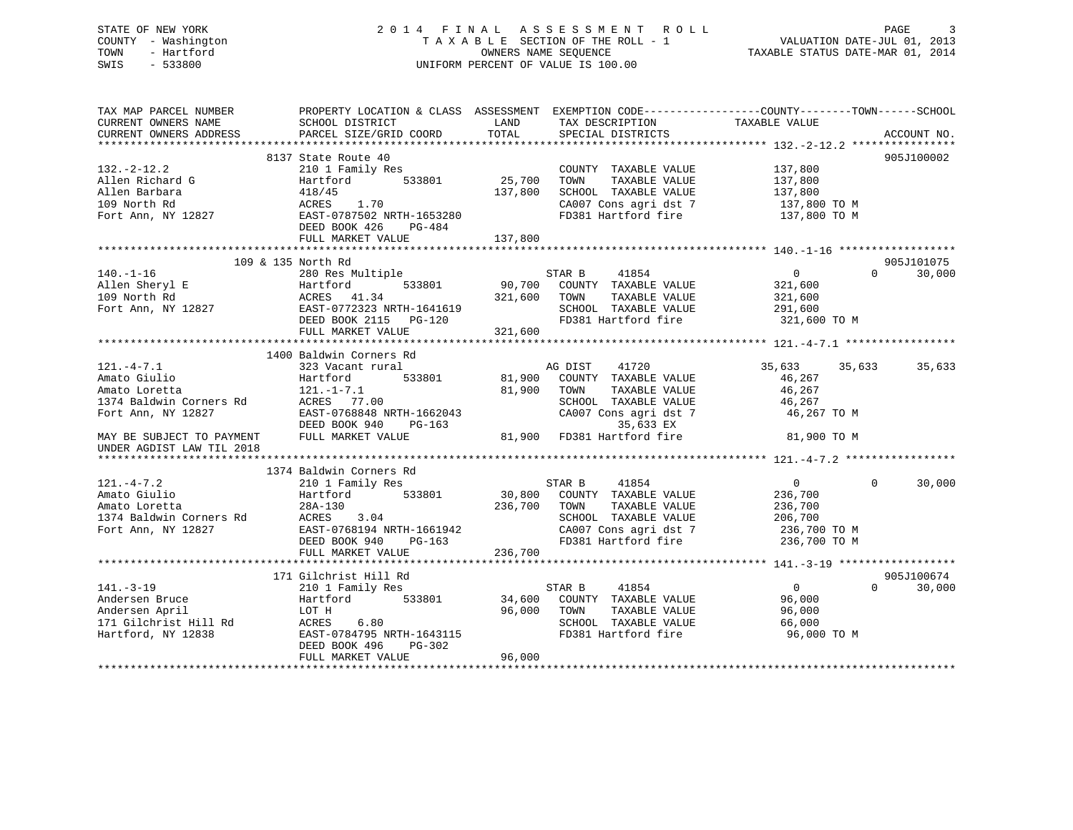| STATE OF NEW YORK<br>- Washington<br>COUNTY<br>TOWN<br>- Hartford<br>SWIS<br>$-533800$ |                                                         |                      | 2014 FINAL ASSESSMENT ROLL<br>TAXABLE SECTION OF THE ROLL - 1<br>OWNERS NAME SEQUENCE<br>UNIFORM PERCENT OF VALUE IS 100.00 | VALUATION DATE-JUL 01, 2013<br>TAXABLE STATUS DATE-MAR 01, 2014 | $\overline{3}$<br>PAGE |
|----------------------------------------------------------------------------------------|---------------------------------------------------------|----------------------|-----------------------------------------------------------------------------------------------------------------------------|-----------------------------------------------------------------|------------------------|
| TAX MAP PARCEL NUMBER<br>CURRENT OWNERS NAME                                           | PROPERTY LOCATION & CLASS ASSESSMENT<br>SCHOOL DISTRICT |                      | LAND TAX DESCRIPTION TAXABLE VALUE                                                                                          | EXEMPTION CODE-----------------COUNTY-------TOWN------SCHOOL    |                        |
| CURRENT OWNERS ADDRESS                                                                 | PARCEL SIZE/GRID COORD TOTAL SPECIAL DISTRICTS          |                      |                                                                                                                             |                                                                 | ACCOUNT NO.            |
|                                                                                        |                                                         |                      |                                                                                                                             |                                                                 |                        |
|                                                                                        | 8137 State Route 40                                     |                      |                                                                                                                             |                                                                 | 905J100002             |
| $132. -2 - 12.2$                                                                       | 210 1 Family Res                                        |                      | COUNTY TAXABLE VALUE                                                                                                        | 137,800                                                         |                        |
| Allen Richard G                                                                        | Hartford                                                | 533801 25,700        | TAXABLE VALUE<br>TOWN                                                                                                       | 137,800                                                         |                        |
| Allen Barbara                                                                          | 418/45                                                  | 137,800              | SCHOOL TAXABLE VALUE                                                                                                        | 137,800                                                         |                        |
| 109 North Rd                                                                           | ACRES 1.70                                              |                      | CA007 Cons agri dst 7                                                                                                       | 137,800 TO M                                                    |                        |
| Fort Ann, NY 12827                                                                     | EAST-0787502 NRTH-1653280                               |                      | FD381 Hartford fire                                                                                                         | 137,800 TO M                                                    |                        |
|                                                                                        | DEED BOOK 426<br>PG-484                                 |                      |                                                                                                                             |                                                                 |                        |
|                                                                                        | FULL MARKET VALUE                                       | 137,800              |                                                                                                                             |                                                                 |                        |
|                                                                                        |                                                         |                      |                                                                                                                             |                                                                 |                        |
|                                                                                        | 109 & 135 North Rd                                      |                      |                                                                                                                             |                                                                 | 905J101075             |
| $140. - 1 - 16$                                                                        | 280 Res Multiple                                        |                      | 41854<br>STAR B                                                                                                             | $\Omega$                                                        | 30,000<br>$\Omega$     |
| Allen Sheryl E                                                                         | Hartford                                                | 533801 90,700 COUNTY | TAXABLE VALUE                                                                                                               | 321,600                                                         |                        |
| 109 North Rd                                                                           | ACRES 41.34                                             | 321,600              | TOWN<br>TAXABLE VALUE                                                                                                       | 321,600                                                         |                        |
| Fort Ann, NY 12827                                                                     | EAST-0772323 NRTH-1641619                               |                      | TAXABLE VALUE<br>SCHOOL                                                                                                     | 291,600                                                         |                        |
|                                                                                        | DEED BOOK 2115 PG-120                                   |                      | FD381 Hartford fire                                                                                                         | 321,600 TO M                                                    |                        |
|                                                                                        | FULL MARKET VALUE                                       | 321,600              |                                                                                                                             |                                                                 |                        |

FULL MARKET VALUE 321,600 \*\*\*\*\*\*\*\*\*\*\*\*\*\*\*\*\*\*\*\*\*\*\*\*\*\*\*\*\*\*\*\*\*\*\*\*\*\*\*\*\*\*\*\*\*\*\*\*\*\*\*\*\*\*\*\*\*\*\*\*\*\*\*\*\*\*\*\*\*\*\*\*\*\*\*\*\*\*\*\*\*\*\*\*\*\*\*\*\*\*\*\*\*\*\*\*\*\*\*\*\*\*\* 121.-4-7.1 \*\*\*\*\*\*\*\*\*\*\*\*\*\*\*\*\*

323 Vacant rural 121.-4-7.1 323 Vacant rural AG DIST 41720 35,633 35,633 35,633 Amato Giulio Hartford 533801 81,900 COUNTY TAXABLE VALUE 46,267 Amato Loretta 121.-1-7.1 81,900 TOWN TAXABLE VALUE 46,267 1374 Baldwin Corners Rd ACRES 77.00 SCHOOL TAXABLE VALUE 46,267 Fort Ann, NY 12827 EAST-0768848 NRTH-1662043 CA007 Cons agri dst 7 46,267 TO M DEED BOOK 940 PG-163 35,633 EX MAY BE SUBJECT TO PAYMENT FULL MARKET VALUE 81,900 FD381 Hartford fire 81,900 TO M UNDER AGDIST LAW TIL 2018 \*\*\*\*\*\*\*\*\*\*\*\*\*\*\*\*\*\*\*\*\*\*\*\*\*\*\*\*\*\*\*\*\*\*\*\*\*\*\*\*\*\*\*\*\*\*\*\*\*\*\*\*\*\*\*\*\*\*\*\*\*\*\*\*\*\*\*\*\*\*\*\*\*\*\*\*\*\*\*\*\*\*\*\*\*\*\*\*\*\*\*\*\*\*\*\*\*\*\*\*\*\*\* 121.-4-7.2 \*\*\*\*\*\*\*\*\*\*\*\*\*\*\*\*\* 1374 Baldwin Corners Rd121.-4-7.2 210 1 Family Res STAR B 41854 0 0 30,000

1400 Baldwin Corners Rd

| Amato Giulio            | Hartford<br>533801        | 30,800<br>COUNTY<br>TAXABLE VALUE | 236,700      |
|-------------------------|---------------------------|-----------------------------------|--------------|
| Amato Loretta           | 28A-130                   | 236,700<br>TAXABLE VALUE<br>TOWN  | 236,700      |
| 1374 Baldwin Corners Rd | ACRES<br>3.04             | SCHOOL TAXABLE VALUE              | 206,700      |
| Fort Ann, NY 12827      | EAST-0768194 NRTH-1661942 | CA007 Cons agri dst 7             | 236,700 TO M |
|                         | DEED BOOK 940 PG-163      | FD381 Hartford fire               | 236,700 TO M |
|                         | FULL MARKET VALUE         | 236,700                           |              |
|                         |                           |                                   |              |
|                         | 171 Gilchrist Hill Rd     |                                   | 905J100674   |
| $141. - 3 - 19$         | 210 1 Family Res          | 41854<br>STAR B                   | 30,000       |
| Andersen Bruce          | Hartford<br>533801        | 34,600<br>COUNTY<br>TAXABLE VALUE | 96,000       |
| Andersen April          | LOT H                     | 96,000<br>TOWN<br>TAXABLE VALUE   | 96,000       |
| 171 Gilchrist Hill Rd   | 6.80<br>ACRES             | TAXABLE VALUE<br>SCHOOL           | 66,000       |
| Hartford, NY 12838      | EAST-0784795 NRTH-1643115 | FD381 Hartford fire               | 96,000 TO M  |
|                         | DEED BOOK 496<br>$PG-302$ |                                   |              |
|                         | FULL MARKET VALUE         | 96,000                            |              |
|                         |                           |                                   |              |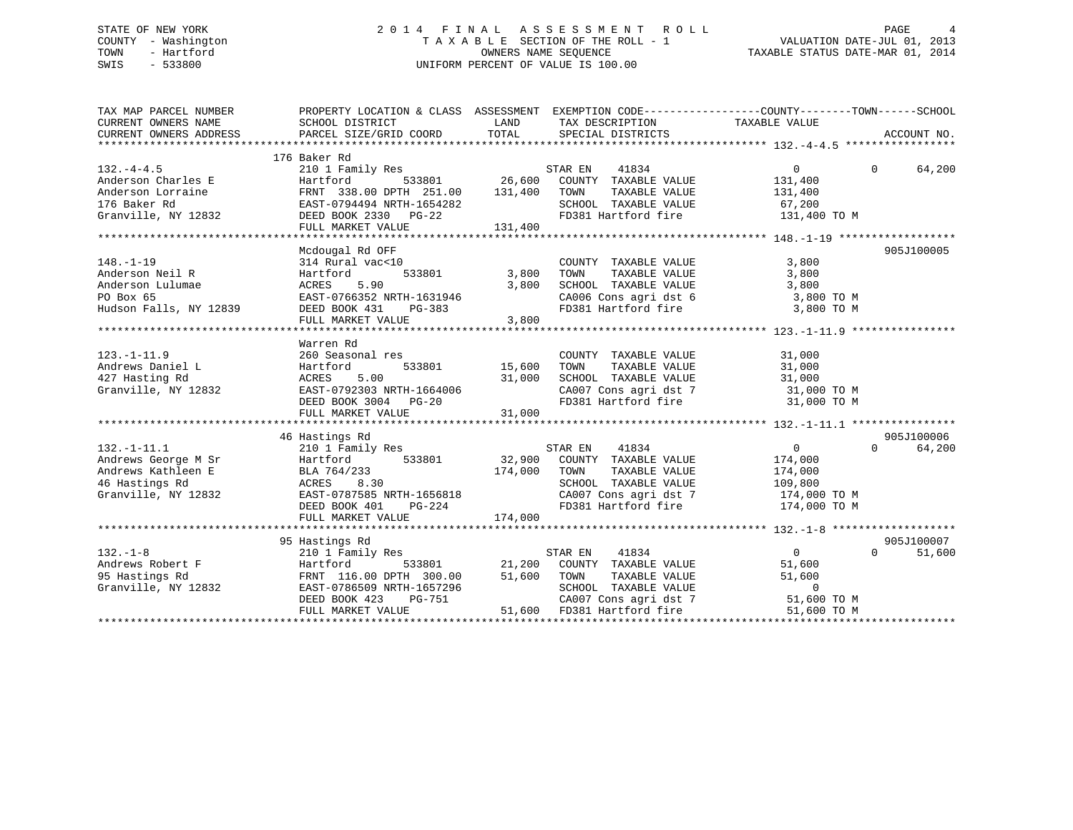## STATE OF NEW YORK 2 0 1 4 F I N A L A S S E S S M E N T R O L L PAGE 4 COUNTY - Washington T A X A B L E SECTION OF THE ROLL - 1 VALUATION DATE-JUL 01, 2013 TOWN - Hartford **TAXABLE STATUS DATE-MAR 01, 2014** OWNERS NAME SEQUENCE TAXABLE STATUS DATE-MAR 01, 2014 SWIS - 533800 UNIFORM PERCENT OF VALUE IS 100.00

| TAX MAP PARCEL NUMBER                                                                                                                                                                                                                                                                              | PROPERTY LOCATION & CLASS ASSESSMENT EXEMPTION CODE----------------COUNTY-------TOWN------SCHOOL                                                                                         |                                                          |                                                                                                                                        |                                                                                                                     |                                  |
|----------------------------------------------------------------------------------------------------------------------------------------------------------------------------------------------------------------------------------------------------------------------------------------------------|------------------------------------------------------------------------------------------------------------------------------------------------------------------------------------------|----------------------------------------------------------|----------------------------------------------------------------------------------------------------------------------------------------|---------------------------------------------------------------------------------------------------------------------|----------------------------------|
| $132. - 4 - 4.5$<br>Anderson Charles E<br>Anderson Lorraine<br>176 Baker Rd 176 Baker Rd 176 Baker Rd 176 Baker Rd 176 Baker Rd 176 Baker Rd 176 Baker Rd 176 Baker Rd 176 Baker Rd 176 Baker Rd 176 Baker Rd 176 Baker Rd 176 Baker Rd 176 Baker Rd 1<br>Granville, NY 12832 DEED BOOK 2330 PG-22 | 176 Baker Rd<br>210 1 Family Res<br>Hartford 533801 26,600 COUNTY TAXABLE VALUE<br>FRNT 338.00 DPTH 251.00 131,400 TOWN TAXABLE VALUE<br>FULL MARKET VALUE                               | 131,400                                                  | STAR EN<br>41834<br>SCHOOL TAXABLE VALUE 67,200                                                                                        | $\overline{0}$<br>131,400<br>131,400<br>FD381 Hartford fire 131,400 TO M                                            | $\Omega$<br>64,200               |
| $148. - 1 - 19$<br>Anderson Neil R<br>Anderson Lulumae<br>PO Box 65<br>Hudson Falls, NY 12839                                                                                                                                                                                                      | Mcdougal Rd OFF<br>$314$ Rural vac<10<br>533801<br>Hartford<br>ACRES 5.90<br>ACKES 5.90 3,800<br>EAST-0766352 NRTH-1631946 3,800<br>DEED BOOK 431 PG-383<br>FULL MARKET VALUE            | 3,800<br>3,800<br>3,800                                  | COUNTY TAXABLE VALUE<br>TAXABLE VALUE<br>TOWN                                                                                          | 3,800<br>3,800<br>SCHOOL TAXABLE VALUE $3,800$<br>CA006 Cons agridst 6 3,800 TO M<br>FD381 Hartford fire 3,800 TO M | 905J100005                       |
| $123. - 1 - 11.9$<br>Andrews Daniel L<br>427 Hasting Rd<br>Granville, NY 12832                                                                                                                                                                                                                     | Warren Rd<br>260 Seasonal res<br>Hartford<br>5.00<br>ACRES<br>EAST-0792303 NRTH-1664006<br>DEED BOOK 3004 PG-20<br>FULL MARKET VALUE                                                     | з<br>533801                   15,600<br>31,000<br>31,000 | COUNTY TAXABLE VALUE<br>TOWN TAXABLE VALUE<br>TAXABLE VALUE<br>TOWN<br>SCHOOL TAXABLE VALUE                                            | 31,000<br>31,000<br>31,000<br>CA007 Cons agri dst 7 $31,000$ TO M<br>FD381 Hartford fire $31,000$ TO M              |                                  |
| $132. - 1 - 11.1$<br>Granville, NY 12832<br>DEED BOOK 401 PG-224                                                                                                                                                                                                                                   | 46 Hastings Rd<br>210 1 Family Res<br>ACRES 8.30<br>FULL MARKET VALUE                                                                                                                    | 174,000<br>174,000                                       | 41834<br>STAR EN<br>533801 32,900 COUNTY TAXABLE VALUE<br>TAXABLE VALUE<br>TOWN<br>SCHOOL TAXABLE VALUE 109,800<br>FD381 Hartford fire | $\overline{0}$<br>174,000<br>174,000<br>CA007 Cons agri dst 7 174,000 TO M<br>174,000 TO M                          | 905J100006<br>$\Omega$<br>64,200 |
| $132. - 1 - 8$<br>Granville, NY 12832                                                                                                                                                                                                                                                              | 95 Hastings Rd<br>210 1 Family Res<br>Hartford 533801 21,200 COUNTY TAXABLE VALUE<br>FRNT 116.00 DPTH 300.00 51,600 TOWN TAXABLE VALUE<br>EAST-0786509 NRTH-1657296 SCHOOL TAXABLE VALUE |                                                          | STAR EN<br>41834                                                                                                                       | $\overline{0}$<br>51,600<br>51,600<br>$\overline{0}$                                                                | 905J100007<br>$\Omega$<br>51,600 |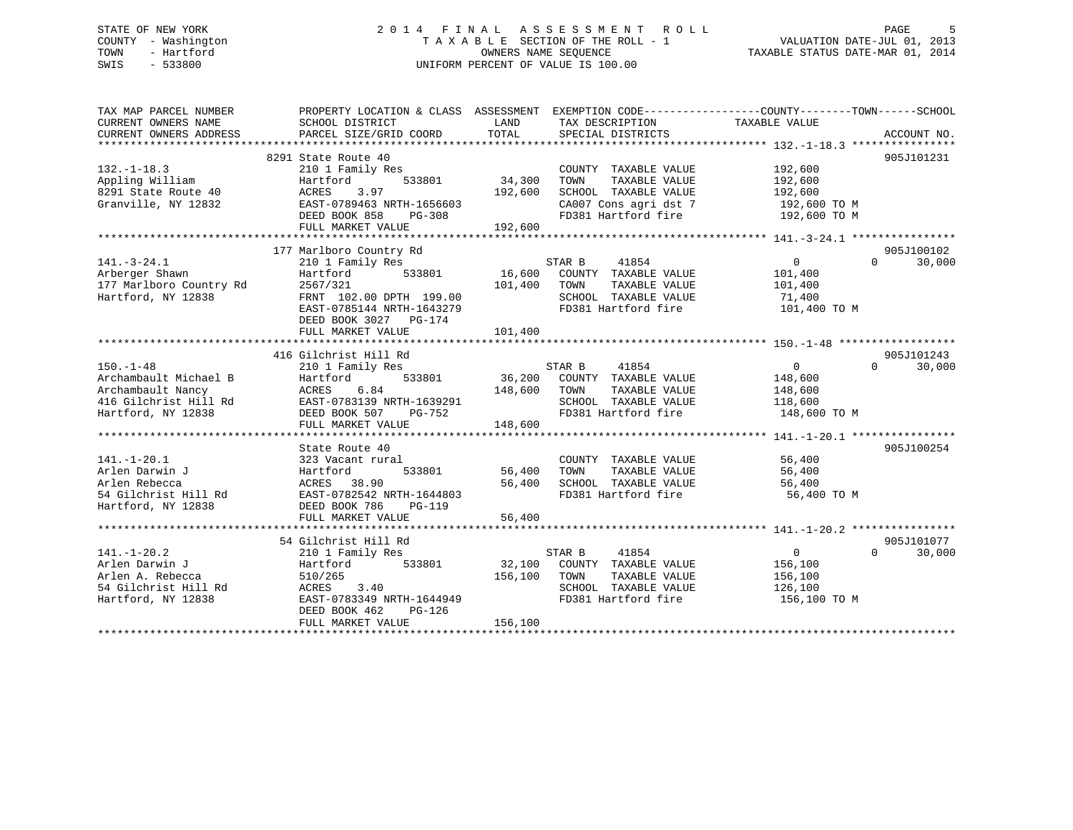## STATE OF NEW YORK 2 0 1 4 F I N A L A S S E S S M E N T R O L L PAGE 5 COUNTY - Washington T A X A B L E SECTION OF THE ROLL - 1 VALUATION DATE-JUL 01, 2013 TOWN - Hartford **TAXABLE STATUS DATE-MAR 01, 2014** OWNERS NAME SEQUENCE TAXABLE STATUS DATE-MAR 01, 2014 SWIS - 533800 UNIFORM PERCENT OF VALUE IS 100.00

| TAX MAP PARCEL NUMBER<br>CURRENT OWNERS NAME<br>CURRENT OWNERS ADDRESS | PROPERTY LOCATION & CLASS ASSESSMENT EXEMPTION CODE---------------COUNTY-------TOWN------SCHOOL<br>SCHOOL DISTRICT<br>PARCEL SIZE/GRID COORD | LAND<br>TOTAL | TAX DESCRIPTION<br>SPECIAL DISTRICTS         | TAXABLE VALUE          | ACCOUNT NO.        |
|------------------------------------------------------------------------|----------------------------------------------------------------------------------------------------------------------------------------------|---------------|----------------------------------------------|------------------------|--------------------|
|                                                                        |                                                                                                                                              |               |                                              |                        |                    |
|                                                                        | 8291 State Route 40                                                                                                                          |               |                                              |                        | 905J101231         |
| $132. - 1 - 18.3$                                                      | 210 1 Family Res                                                                                                                             |               | COUNTY TAXABLE VALUE                         | 192,600                |                    |
| Appling William                                                        | 533801<br>Hartford                                                                                                                           | 34,300        | TAXABLE VALUE<br>TOWN                        | 192,600                |                    |
| 8291 State Route 40                                                    | ACRES<br>3.97                                                                                                                                | 192,600       | SCHOOL TAXABLE VALUE                         | 192,600                |                    |
| Granville, NY 12832                                                    | EAST-0789463 NRTH-1656603                                                                                                                    |               | CA007 Cons agri dst 7 192,600 TO M           |                        |                    |
|                                                                        | DEED BOOK 858<br>PG-308                                                                                                                      |               | FD381 Hartford fire                          | 192,600 TO M           |                    |
|                                                                        | FULL MARKET VALUE                                                                                                                            | 192,600       |                                              |                        |                    |
|                                                                        |                                                                                                                                              |               |                                              |                        |                    |
|                                                                        | 177 Marlboro Country Rd                                                                                                                      |               |                                              |                        | 905J100102         |
| $141. - 3 - 24.1$                                                      | 210 1 Family Res                                                                                                                             |               | STAR B<br>41854                              | $\overline{0}$         | $\Omega$<br>30,000 |
| Arberger Shawn                                                         | 533801<br>Hartford                                                                                                                           |               | 16,600 COUNTY TAXABLE VALUE                  | 101,400                |                    |
| 177 Marlboro Country Rd                                                | 2567/321                                                                                                                                     | 101,400 TOWN  | TAXABLE VALUE                                | 101,400                |                    |
| Hartford, NY 12838                                                     | FRNT 102.00 DPTH 199.00                                                                                                                      |               | SCHOOL TAXABLE VALUE                         |                        |                    |
|                                                                        | EAST-0785144 NRTH-1643279                                                                                                                    |               | FD381 Hartford fire                          | 71,400<br>101,400 TO M |                    |
|                                                                        |                                                                                                                                              |               |                                              |                        |                    |
|                                                                        | DEED BOOK 3027 PG-174                                                                                                                        |               |                                              |                        |                    |
|                                                                        | FULL MARKET VALUE                                                                                                                            | 101,400       |                                              |                        |                    |
|                                                                        |                                                                                                                                              |               |                                              |                        |                    |
|                                                                        | 416 Gilchrist Hill Rd                                                                                                                        |               |                                              |                        | 905J101243         |
| $150. - 1 - 48$                                                        | 210 1 Family Res                                                                                                                             |               | STAR B 41854                                 | $\Omega$               | 30,000<br>$\Omega$ |
| Archambault Michael B                                                  | 533801<br>Hartford                                                                                                                           |               | 36,200 COUNTY TAXABLE VALUE                  | 148,600                |                    |
| Archambault Nancy                                                      | 6.84<br>ACRES                                                                                                                                | 148,600 TOWN  | TAXABLE VALUE                                | 148,600                |                    |
| 416 Gilchrist Hill Rd                                                  | EAST-0783139 NRTH-1639291                                                                                                                    |               | SCHOOL TAXABLE VALUE                         | 118,600                |                    |
| Hartford, NY 12838                                                     | DEED BOOK 507 PG-752                                                                                                                         |               | FD381 Hartford fire                          | 148,600 TO M           |                    |
|                                                                        | FULL MARKET VALUE                                                                                                                            | 148,600       |                                              |                        |                    |
|                                                                        |                                                                                                                                              |               |                                              |                        |                    |
|                                                                        | State Route 40                                                                                                                               |               |                                              |                        | 905J100254         |
|                                                                        | 323 Vacant rural                                                                                                                             |               | COUNTY TAXABLE VALUE                         | 56,400                 |                    |
|                                                                        | 533801                                                                                                                                       |               | TAXABLE VALUE                                | 56,400                 |                    |
|                                                                        | ACRES 38.90                                                                                                                                  | 56,400        | SCHOOL TAXABLE VALUE                         | 56,400                 |                    |
|                                                                        | EAST-0782542 NRTH-1644803                                                                                                                    |               | FD381 Hartford fire                          | 56,400 TO M            |                    |
|                                                                        | DEED BOOK 786<br>PG-119                                                                                                                      |               |                                              |                        |                    |
|                                                                        | FULL MARKET VALUE                                                                                                                            | 56,400        |                                              |                        |                    |
|                                                                        |                                                                                                                                              |               |                                              |                        |                    |
|                                                                        | 54 Gilchrist Hill Rd                                                                                                                         |               |                                              |                        | 905J101077         |
| $141. - 1 - 20.2$                                                      | 210 1 Family Res                                                                                                                             |               | 41854<br>STAR B                              | $\overline{0}$         | 30,000<br>$\Omega$ |
| Arlen Darwin J                                                         | 533801                                                                                                                                       |               |                                              |                        |                    |
| Arlen A. Rebecca                                                       | Hartford                                                                                                                                     | 156,100 TOWN  | 32,100 COUNTY TAXABLE VALUE<br>TAXABLE VALUE | 156,100                |                    |
|                                                                        | 510/265                                                                                                                                      |               |                                              | 156,100                |                    |
| 54 Gilchrist Hill Rd                                                   | ACRES 3.40                                                                                                                                   |               | SCHOOL TAXABLE VALUE                         | 126,100                |                    |
| Hartford, NY 12838                                                     | EAST-0783349 NRTH-1644949                                                                                                                    |               | FD381 Hartford fire                          | 156,100 TO M           |                    |
|                                                                        | DEED BOOK 462<br>PG-126                                                                                                                      |               |                                              |                        |                    |
|                                                                        | FULL MARKET VALUE                                                                                                                            | 156,100       |                                              |                        |                    |
|                                                                        |                                                                                                                                              |               |                                              |                        |                    |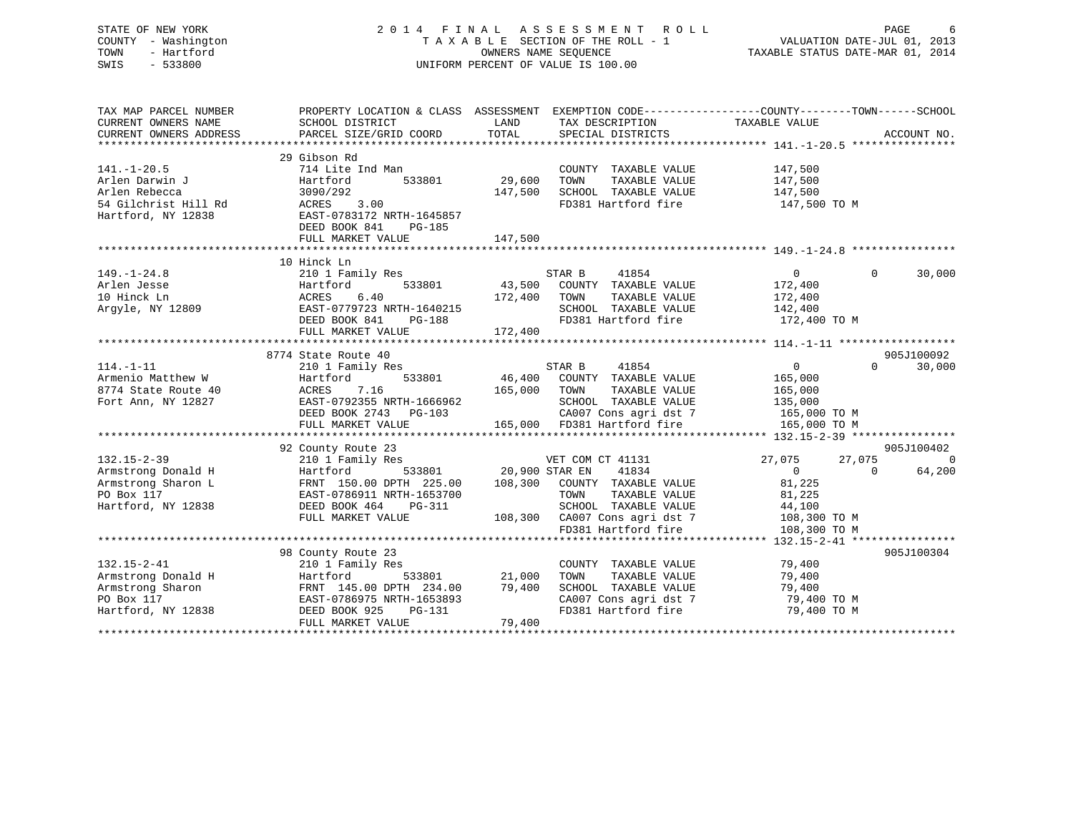| STATE OF NEW YORK<br>COUNTY - Washington<br>- Hartford<br>TOWN<br>SWIS<br>$-533800$                |                                                                                                                                                                                  |                              | 2014 FINAL ASSESSMENT<br>R O L L<br>TAXABLE SECTION OF THE ROLL - 1<br>OWNERS NAME SEQUENCE<br>UNIFORM PERCENT OF VALUE IS 100.00                                            | VALUATION DATE-JUL 01, 2013<br>TAXABLE STATUS DATE-MAR 01, 2014                            | PAGE                                           |
|----------------------------------------------------------------------------------------------------|----------------------------------------------------------------------------------------------------------------------------------------------------------------------------------|------------------------------|------------------------------------------------------------------------------------------------------------------------------------------------------------------------------|--------------------------------------------------------------------------------------------|------------------------------------------------|
| TAX MAP PARCEL NUMBER<br>CURRENT OWNERS NAME<br>CURRENT OWNERS ADDRESS                             | PROPERTY LOCATION & CLASS ASSESSMENT EXEMPTION CODE----------------COUNTY-------TOWN------SCHOOL<br>SCHOOL DISTRICT<br>PARCEL SIZE/GRID COORD                                    | LAND<br>TOTAL                | TAX DESCRIPTION<br>SPECIAL DISTRICTS                                                                                                                                         | TAXABLE VALUE                                                                              | ACCOUNT NO.                                    |
| $141. - 1 - 20.5$<br>Arlen Darwin J<br>Arlen Rebecca<br>54 Gilchrist Hill Rd<br>Hartford, NY 12838 | 29 Gibson Rd<br>714 Lite Ind Man<br>533801<br>Hartford<br>3090/292<br>ACRES<br>3.00<br>EAST-0783172 NRTH-1645857<br>DEED BOOK 841<br>PG-185<br>FULL MARKET VALUE                 | 29,600<br>147,500<br>147,500 | COUNTY TAXABLE VALUE<br>TAXABLE VALUE<br>TOWN<br>SCHOOL TAXABLE VALUE<br>FD381 Hartford fire                                                                                 | 147,500<br>147,500<br>147,500<br>147,500 TO M                                              |                                                |
|                                                                                                    |                                                                                                                                                                                  |                              |                                                                                                                                                                              |                                                                                            |                                                |
| $149. - 1 - 24.8$<br>Arlen Jesse<br>10 Hinck Ln<br>Argyle, NY 12809                                | 10 Hinck Ln<br>210 1 Family Res<br>533801<br>Hartford<br>ACRES<br>6.40<br>EAST-0779723 NRTH-1640215<br>DEED BOOK 841<br>PG-188<br>FULL MARKET VALUE<br>************************* | 43,500<br>172,400<br>172,400 | STAR B<br>41854<br>COUNTY TAXABLE VALUE<br>TAXABLE VALUE<br>TOWN<br>SCHOOL TAXABLE VALUE<br>FD381 Hartford fire                                                              | $\overline{0}$<br>172,400<br>172,400<br>142,400<br>172,400 TO M                            | $\Omega$<br>30,000                             |
|                                                                                                    | 8774 State Route 40                                                                                                                                                              | ********************         |                                                                                                                                                                              | ********************* 114.-1-11 ******************                                         | 905J100092                                     |
| $114. - 1 - 11$<br>Armenio Matthew W<br>8774 State Route 40<br>Fort Ann, NY 12827                  | 210 1 Family Res<br>Hartford<br>533801<br>ACRES<br>7.16<br>EAST-0792355 NRTH-1666962<br>DEED BOOK 2743 PG-103<br>FULL MARKET VALUE                                               | 46,400<br>165,000            | 41854<br>STAR B<br>COUNTY TAXABLE VALUE<br>TAXABLE VALUE<br>TOWN<br>SCHOOL TAXABLE VALUE<br>CA007 Cons agri dst 7<br>165,000 FD381 Hartford fire                             | $\Omega$<br>165,000<br>165,000<br>135,000<br>165,000 TO M<br>165,000 TO M                  | 30,000<br>$\Omega$                             |
|                                                                                                    |                                                                                                                                                                                  |                              |                                                                                                                                                                              |                                                                                            |                                                |
| $132.15 - 2 - 39$<br>Armstrong Donald H<br>Armstrong Sharon L<br>PO Box 117<br>Hartford, NY 12838  | 92 County Route 23<br>210 1 Family Res<br>Hartford<br>533801<br>FRNT 150.00 DPTH 225.00<br>EAST-0786911 NRTH-1653700<br>DEED BOOK 464<br>PG-311<br>FULL MARKET VALUE             | 108,300                      | VET COM CT 41131<br>20,900 STAR EN<br>41834<br>COUNTY TAXABLE VALUE<br>TOWN<br>TAXABLE VALUE<br>SCHOOL TAXABLE VALUE<br>108,300 CA007 Cons agri dst 7<br>FD381 Hartford fire | 27,075<br>27,075<br>$\Omega$<br>81,225<br>81,225<br>44,100<br>108,300 TO M<br>108,300 TO M | 905J100402<br>$\bigcirc$<br>64,200<br>$\Omega$ |
|                                                                                                    |                                                                                                                                                                                  |                              |                                                                                                                                                                              |                                                                                            |                                                |
| $132.15 - 2 - 41$<br>Armstrong Donald H<br>Armstrong Sharon<br>PO Box 117<br>Hartford, NY 12838    | 98 County Route 23<br>210 1 Family Res<br>Hartford<br>533801<br>FRNT 145.00 DPTH 234.00<br>EAST-0786975 NRTH-1653893<br>DEED BOOK 925<br>$PG-131$<br>FULL MARKET VALUE           | 21,000<br>79,400<br>79,400   | COUNTY TAXABLE VALUE<br>TOWN<br>TAXABLE VALUE<br>SCHOOL TAXABLE VALUE<br>CA007 Cons agri dst 7<br>FD381 Hartford fire                                                        | 79,400<br>79,400<br>79,400<br>79,400 TO M<br>79,400 TO M                                   | 905J100304                                     |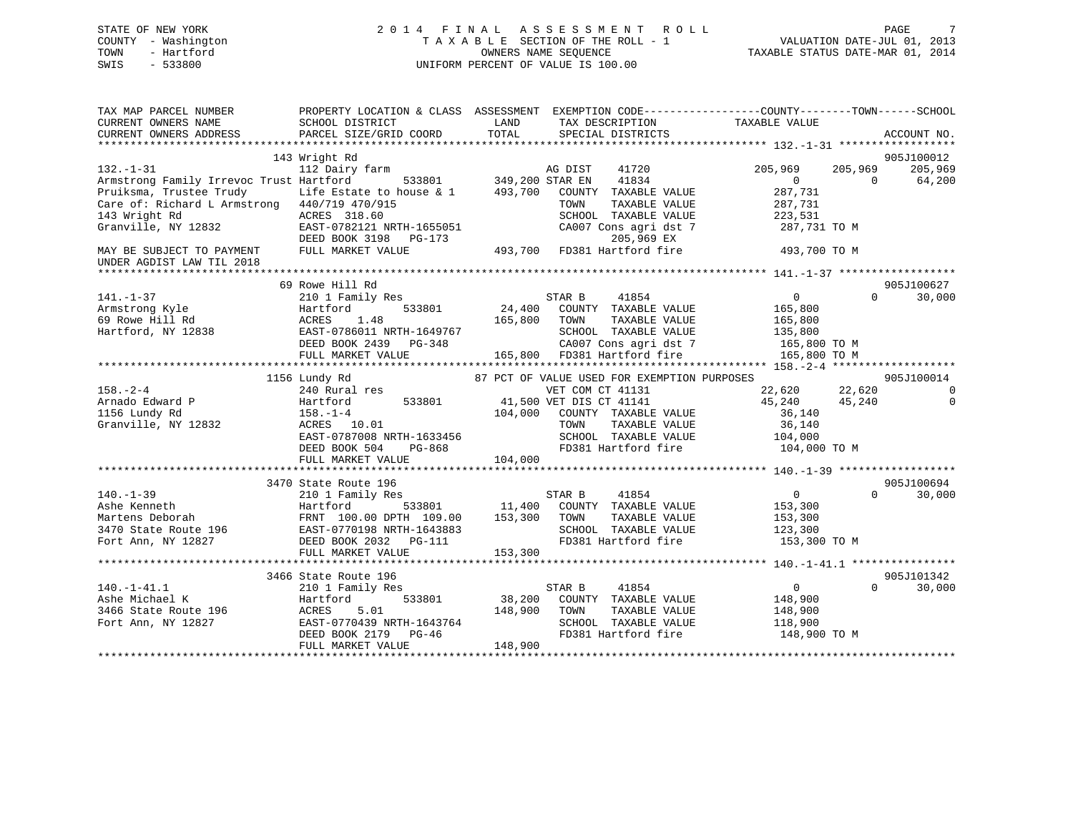## STATE OF NEW YORK 2 0 1 4 F I N A L A S S E S S M E N T R O L L PAGE 7 COUNTY - Washington T A X A B L E SECTION OF THE ROLL - 1 VALUATION DATE-JUL 01, 2013 TOWN - Hartford **TAXABLE STATUS DATE-MAR 01, 2014** OWNERS NAME SEQUENCE TAXABLE STATUS DATE-MAR 01, 2014 SWIS - 533800 UNIFORM PERCENT OF VALUE IS 100.00

| TAX MAP PARCEL NUMBER                        | PROPERTY LOCATION & CLASS ASSESSMENT EXEMPTION CODE----------------COUNTY-------TOWN-----SCHOOL |                 |                                             |                    |                    |
|----------------------------------------------|-------------------------------------------------------------------------------------------------|-----------------|---------------------------------------------|--------------------|--------------------|
| CURRENT OWNERS NAME                          | SCHOOL DISTRICT                                                                                 | LAND            | TAX DESCRIPTION                             | TAXABLE VALUE      |                    |
| CURRENT OWNERS ADDRESS                       | PARCEL SIZE/GRID COORD                                                                          | TOTAL           | SPECIAL DISTRICTS                           |                    | ACCOUNT NO.        |
|                                              |                                                                                                 |                 |                                             |                    |                    |
|                                              | 143 Wright Rd                                                                                   |                 |                                             |                    | 905J100012         |
| $132. - 1 - 31$                              |                                                                                                 |                 |                                             |                    | 205,969            |
|                                              | 112 Dairy farm                                                                                  |                 | AG DIST<br>41720                            | 205,969<br>205,969 |                    |
| Armstrong Family Irrevoc Trust Hartford      | 533801                                                                                          | 349,200 STAR EN | 41834                                       | $\overline{0}$     | $\Omega$<br>64,200 |
| Pruiksma, Trustee Trudy                      | Life Estate to house & 1                                                                        | 493,700         | COUNTY TAXABLE VALUE                        | 287,731            |                    |
| Care of: Richard L Armstrong 440/719 470/915 |                                                                                                 |                 | TAXABLE VALUE<br>TOWN                       | 287,731            |                    |
| 143 Wright Rd                                | ACRES 318.60                                                                                    |                 | SCHOOL TAXABLE VALUE                        | 223,531            |                    |
| Granville, NY 12832                          | EAST-0782121 NRTH-1655051                                                                       |                 | CA007 Cons agri dst 7                       | 287,731 TO M       |                    |
|                                              | DEED BOOK 3198<br>$PG-173$                                                                      |                 | 205,969 EX                                  |                    |                    |
| MAY BE SUBJECT TO PAYMENT                    | FULL MARKET VALUE                                                                               | 493,700         | FD381 Hartford fire                         | 493,700 TO M       |                    |
| UNDER AGDIST LAW TIL 2018                    |                                                                                                 |                 |                                             |                    |                    |
|                                              |                                                                                                 |                 |                                             |                    |                    |
|                                              | 69 Rowe Hill Rd                                                                                 |                 |                                             |                    | 905J100627         |
|                                              |                                                                                                 |                 |                                             |                    | $\Omega$           |
| $141. - 1 - 37$                              | 210 1 Family Res                                                                                |                 | 41854<br>STAR B                             | $\overline{0}$     | 30,000             |
| Armstrong Kyle                               | 533801<br>Hartford                                                                              | 24,400          | COUNTY TAXABLE VALUE                        | 165,800            |                    |
| 69 Rowe Hill Rd                              | 1.48<br>ACRES                                                                                   | 165,800         | TAXABLE VALUE<br>TOWN                       | 165,800            |                    |
| Hartford, NY 12838                           | EAST-0786011 NRTH-1649767                                                                       |                 | SCHOOL TAXABLE VALUE                        | 135,800            |                    |
|                                              | DEED BOOK 2439<br>PG-348                                                                        |                 | CA007 Cons agri dst 7                       | 165,800 TO M       |                    |
|                                              | FULL MARKET VALUE                                                                               |                 | 165,800 FD381 Hartford fire                 | 165,800 TO M       |                    |
|                                              |                                                                                                 |                 |                                             |                    |                    |
|                                              | 1156 Lundy Rd                                                                                   |                 | 87 PCT OF VALUE USED FOR EXEMPTION PURPOSES |                    | 905J100014         |
| $158. - 2 - 4$                               | 240 Rural res                                                                                   |                 | VET COM CT 41131                            | 22,620<br>22,620   | $\mathbf 0$        |
| Arnado Edward P                              | 533801<br>Hartford                                                                              |                 | 41,500 VET DIS CT 41141                     | 45,240<br>45,240   | $\mathbf 0$        |
| 1156 Lundy Rd                                | $158. - 1 - 4$                                                                                  | 104,000         | COUNTY TAXABLE VALUE                        | 36,140             |                    |
|                                              | ACRES 10.01                                                                                     |                 | TAXABLE VALUE<br>TOWN                       | 36,140             |                    |
| Granville, NY 12832                          |                                                                                                 |                 |                                             |                    |                    |
|                                              | EAST-0787008 NRTH-1633456                                                                       |                 | SCHOOL TAXABLE VALUE                        | 104,000            |                    |
|                                              | DEED BOOK 504<br>$PG-868$                                                                       |                 | FD381 Hartford fire                         | 104,000 TO M       |                    |
|                                              | FULL MARKET VALUE                                                                               | 104,000         |                                             |                    |                    |
|                                              |                                                                                                 |                 |                                             |                    |                    |
|                                              | 3470 State Route 196                                                                            |                 |                                             |                    | 905J100694         |
| $140. - 1 - 39$                              | 210 1 Family Res                                                                                |                 | 41854<br>STAR B                             | $\overline{0}$     | $\Omega$<br>30,000 |
| Ashe Kenneth                                 | Hartford                                                                                        | 533801 11,400   | COUNTY TAXABLE VALUE                        | 153,300            |                    |
| Martens Deborah                              | FRNT 100.00 DPTH 109.00                                                                         | 153,300         | TOWN<br>TAXABLE VALUE                       | 153,300            |                    |
| 3470 State Route 196                         | EAST-0770198 NRTH-1643883                                                                       |                 | SCHOOL TAXABLE VALUE                        | 123,300            |                    |
| Fort Ann, NY 12827                           | DEED BOOK 2032    PG-111                                                                        |                 | FD381 Hartford fire                         | 153,300 TO M       |                    |
|                                              | FULL MARKET VALUE                                                                               |                 |                                             |                    |                    |
|                                              |                                                                                                 | 153,300         |                                             |                    |                    |
|                                              |                                                                                                 |                 |                                             |                    |                    |
|                                              | 3466 State Route 196                                                                            |                 |                                             |                    | 905J101342         |
| $140. - 1 - 41.1$                            | 210 1 Family Res                                                                                |                 | STAR B<br>41854                             | $\Omega$           | $\Omega$<br>30,000 |
| Ashe Michael K                               | Hartford<br>533801                                                                              | 38,200          | COUNTY TAXABLE VALUE                        | 148,900            |                    |
| 3466 State Route 196                         | ACRES<br>5.01                                                                                   | 148,900         | TAXABLE VALUE<br>TOWN                       | 148,900            |                    |
| Fort Ann, NY 12827                           | EAST-0770439 NRTH-1643764                                                                       |                 | SCHOOL TAXABLE VALUE                        | 118,900            |                    |
|                                              | DEED BOOK 2179<br>$PG-46$                                                                       |                 | FD381 Hartford fire                         | 148,900 TO M       |                    |
|                                              | FULL MARKET VALUE                                                                               | 148,900         |                                             |                    |                    |
|                                              |                                                                                                 |                 |                                             |                    |                    |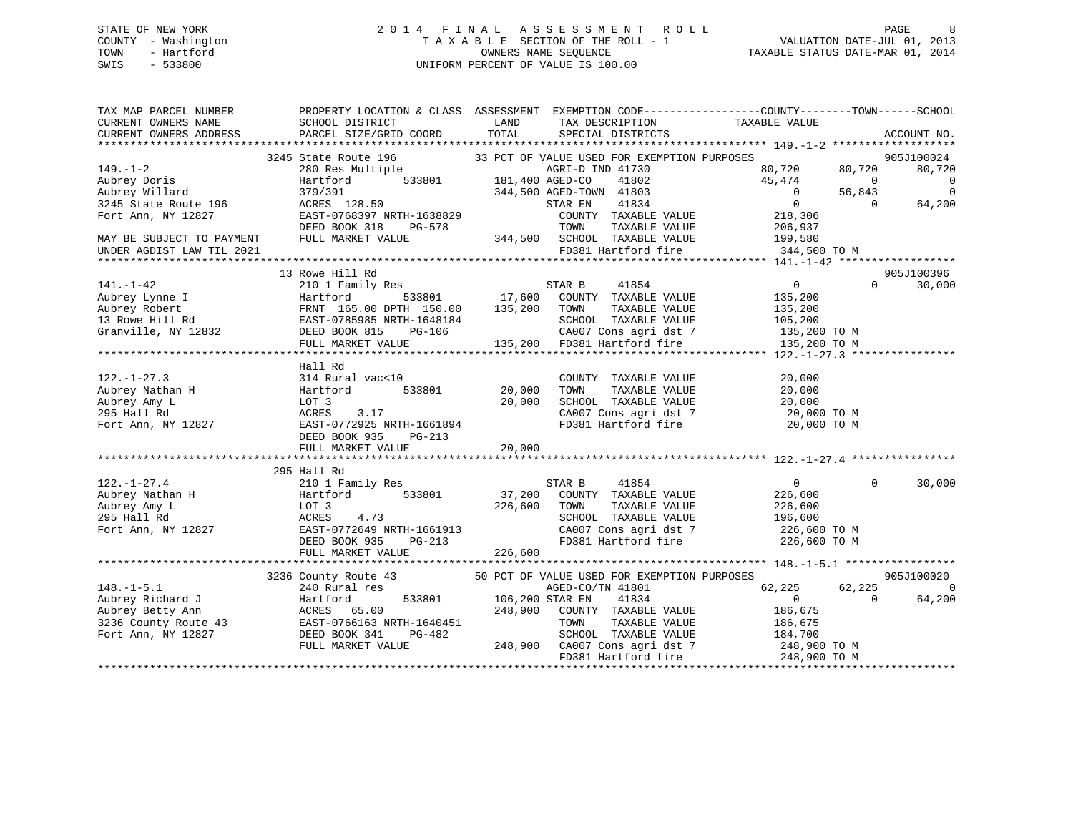## STATE OF NEW YORK 2 0 1 4 F I N A L A S S E S S M E N T R O L L PAGE 8 COUNTY - Washington T A X A B L E SECTION OF THE ROLL - 1 VALUATION DATE-JUL 01, 2013 TOWN - Hartford OWNERS NAME SEQUENCE TAXABLE STATUS DATE-MAR 01, 2014 SWIS - 533800 UNIFORM PERCENT OF VALUE IS 100.00

| TAX MAP PARCEL NUMBER<br>CURRENT OWNERS NAME<br>CURRENT OWNERS ADDRESS | PROPERTY LOCATION & CLASS ASSESSMENT EXEMPTION CODE---------------COUNTY-------TOWN-----SCHOOL<br>SCHOOL DISTRICT<br>PARCEL SIZE/GRID COORD | LAND<br>TOTAL          | TAX DESCRIPTION<br>SPECIAL DISTRICTS        | TAXABLE VALUE  |                | ACCOUNT NO.    |
|------------------------------------------------------------------------|---------------------------------------------------------------------------------------------------------------------------------------------|------------------------|---------------------------------------------|----------------|----------------|----------------|
|                                                                        |                                                                                                                                             |                        |                                             |                |                |                |
|                                                                        | 3245 State Route 196                                                                                                                        |                        | 33 PCT OF VALUE USED FOR EXEMPTION PURPOSES |                |                | 905J100024     |
| $149. - 1 - 2$                                                         | 280 Res Multiple                                                                                                                            |                        | AGRI-D IND 41730                            | 80,720         | 80,720         | 80,720         |
| Aubrey Doris                                                           | Hartford                                                                                                                                    | 533801 181,400 AGED-CO | 41802                                       | 45,474         | $\overline{0}$ | $\overline{0}$ |
| Aubrey Willard                                                         | 379/391<br>ACRES 128.50                                                                                                                     |                        | 344,500 AGED-TOWN 41803                     | $\overline{0}$ | 56,843         | $\overline{0}$ |
| 3245 State Route 196                                                   |                                                                                                                                             |                        | 41834<br>STAR EN                            | $\overline{0}$ | $\Omega$       | 64,200         |
| Fort Ann, NY 12827                                                     | EAST-0768397 NRTH-1638829                                                                                                                   |                        | COUNTY TAXABLE VALUE                        | 218,306        |                |                |
|                                                                        | DEED BOOK 318<br>PG-578                                                                                                                     |                        | TOWN<br>TAXABLE VALUE                       | 206,937        |                |                |
| MAY BE SUBJECT TO PAYMENT                                              | FULL MARKET VALUE                                                                                                                           |                        | 344,500 SCHOOL TAXABLE VALUE                | 199,580        |                |                |
| UNDER AGDIST LAW TIL 2021                                              |                                                                                                                                             |                        | FD381 Hartford fire                         | 344,500 TO M   |                |                |
|                                                                        |                                                                                                                                             |                        |                                             |                |                |                |
|                                                                        | 13 Rowe Hill Rd                                                                                                                             |                        |                                             |                |                | 905J100396     |
| $141. - 1 - 42$                                                        | 210 1 Family Res                                                                                                                            |                        | STAR B<br>41854                             | $\overline{0}$ | $\Omega$       | 30,000         |
| Aubrey Lynne I<br>Aubrey Robert<br>13 Rowe Hill Rd                     | 533801<br>Hartford                                                                                                                          |                        | 17,600 COUNTY TAXABLE VALUE                 | 135,200        |                |                |
|                                                                        | FRNT 165.00 DPTH 150.00<br>EAST-0785985 NRTH-1648184                                                                                        | 135,200 TOWN           | TAXABLE VALUE                               | 135,200        |                |                |
| 13 Rowe Hill Rd                                                        |                                                                                                                                             |                        | SCHOOL TAXABLE VALUE                        | 105,200        |                |                |
| Granville, NY 12832                                                    | DEED BOOK 815<br>PG-106                                                                                                                     |                        | CA007 Cons agri dst 7                       | 135,200 TO M   |                |                |
|                                                                        | FULL MARKET VALUE                                                                                                                           |                        | 135,200 FD381 Hartford fire                 | 135,200 TO M   |                |                |
|                                                                        |                                                                                                                                             |                        |                                             |                |                |                |
|                                                                        | Hall Rd                                                                                                                                     |                        |                                             |                |                |                |
| $122. - 1 - 27.3$                                                      | 314 Rural vac<10                                                                                                                            | 20,000                 | COUNTY TAXABLE VALUE                        | 20,000         |                |                |
| Aubrey Nathan H                                                        | Hartford<br>533801                                                                                                                          |                        | TOWN<br>TAXABLE VALUE                       | 20,000         |                |                |
| Aubrey Amy L                                                           | LOT 3                                                                                                                                       | 20,000                 | SCHOOL TAXABLE VALUE                        | 20,000         |                |                |
| 295 Hall Rd                                                            | 3.17<br>ACRES                                                                                                                               |                        | CA007 Cons agri dst 7                       | 20,000 TO M    |                |                |
| Fort Ann, NY 12827                                                     | EAST-0772925 NRTH-1661894                                                                                                                   |                        | FD381 Hartford fire                         | 20,000 TO M    |                |                |
|                                                                        | DEED BOOK 935<br>PG-213                                                                                                                     |                        |                                             |                |                |                |
|                                                                        | FULL MARKET VALUE                                                                                                                           | 20,000                 |                                             |                |                |                |
|                                                                        |                                                                                                                                             |                        |                                             |                |                |                |
|                                                                        | 295 Hall Rd                                                                                                                                 |                        |                                             |                |                |                |
| $122. - 1 - 27.4$                                                      | 210 1 Family Res                                                                                                                            |                        | STAR B<br>41854                             | $\overline{0}$ | $\Omega$       | 30,000         |
| Aubrey Nathan H                                                        | Hartford<br>533801                                                                                                                          |                        | 37,200 COUNTY TAXABLE VALUE                 | 226,600        |                |                |
| Aubrey Amy L                                                           | LOT 3                                                                                                                                       | 226,600                | TAXABLE VALUE<br>TOWN                       | 226,600        |                |                |
| 295 Hall Rd                                                            | ACRES<br>4.73                                                                                                                               |                        | SCHOOL TAXABLE VALUE                        | 196,600        |                |                |
| Fort Ann, NY 12827                                                     | EAST-0772649 NRTH-1661913<br>DEED BOOK 935 PG-213                                                                                           |                        | CA007 Cons agri dst 7                       | 226,600 TO M   |                |                |
|                                                                        |                                                                                                                                             |                        | FD381 Hartford fire                         | 226,600 TO M   |                |                |
|                                                                        | FULL MARKET VALUE                                                                                                                           | 226,600                |                                             |                |                |                |
|                                                                        |                                                                                                                                             |                        |                                             |                |                |                |
|                                                                        | 3236 County Route 43                                                                                                                        |                        | 50 PCT OF VALUE USED FOR EXEMPTION PURPOSES |                |                | 905J100020     |
| $148. - 1 - 5.1$                                                       | 240 Rural res                                                                                                                               |                        | AGED-CO/TN 41801                            | 62,225         | 62,225         | $\Omega$       |
|                                                                        |                                                                                                                                             | 533801 106,200 STAR EN | 41834                                       | $\overline{0}$ | $\Omega$       | 64,200         |
|                                                                        | Aubrey Richard J<br>Aubrey Betty Ann (Bartford 533801)<br>3236 County Route 43<br>10.1 236 County Route 43<br>10.1 2482<br>20.482           | 248,900                | COUNTY TAXABLE VALUE                        | 186,675        |                |                |
|                                                                        |                                                                                                                                             |                        | TOWN<br>TAXABLE VALUE                       | 186,675        |                |                |
| Fort Ann, NY 12827                                                     | DEED BOOK 341<br>PG-482                                                                                                                     |                        | SCHOOL TAXABLE VALUE                        | 184,700        |                |                |
|                                                                        | FULL MARKET VALUE                                                                                                                           |                        | 248,900 CA007 Cons agri dst 7               | 248,900 TO M   |                |                |
|                                                                        |                                                                                                                                             |                        | FD381 Hartford fire                         | 248,900 TO M   |                |                |
|                                                                        |                                                                                                                                             |                        |                                             |                |                |                |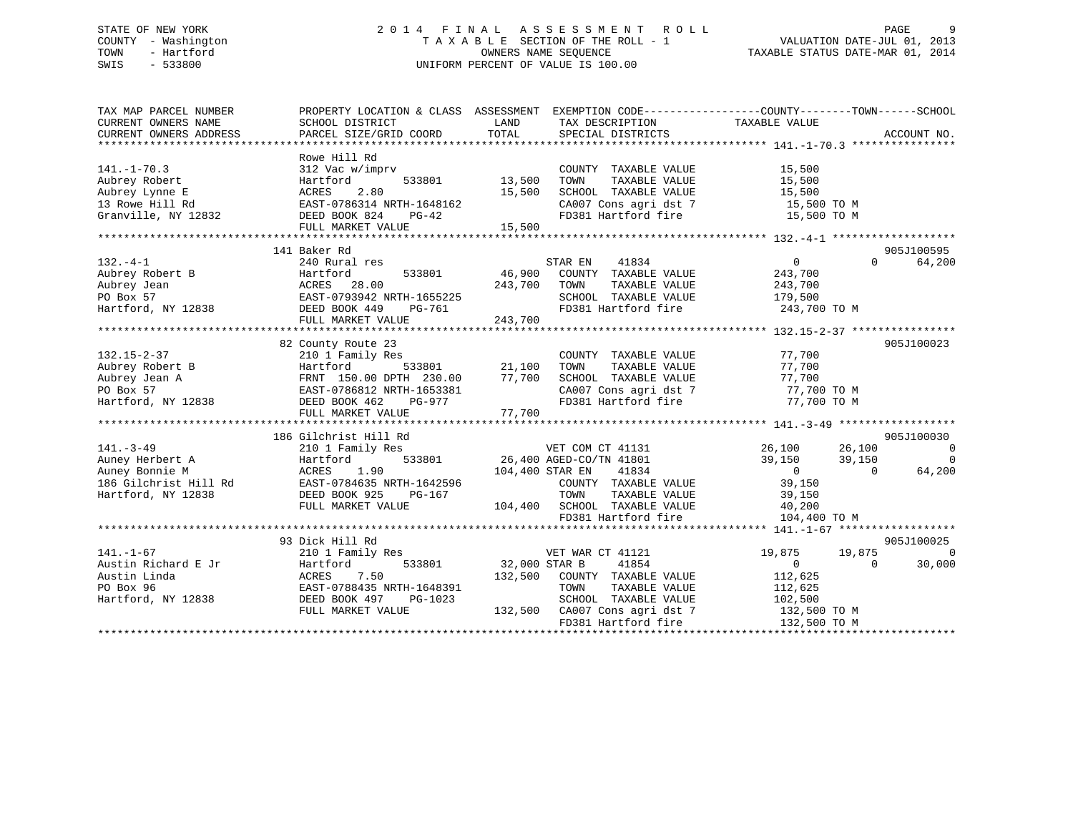## STATE OF NEW YORK 2 0 1 4 F I N A L A S S E S S M E N T R O L L PAGE 9 COUNTY - Washington T A X A B L E SECTION OF THE ROLL - 1 VALUATION DATE-JUL 01, 2013 TOWN - Hartford **TAXABLE STATUS DATE-MAR 01, 2014** OWNERS NAME SEQUENCE TAXABLE STATUS DATE-MAR 01, 2014 SWIS - 533800 UNIFORM PERCENT OF VALUE IS 100.00

| TAXABLE VALUE<br>TOTAL<br>ACCOUNT NO.<br>CURRENT OWNERS ADDRESS<br>PARCEL SIZE/GRID COORD<br>SPECIAL DISTRICTS<br>Rowe Hill Rd<br>$141. - 1 - 70.3$<br>312 Vac w/imprv<br>COUNTY TAXABLE VALUE<br>15,500<br>Aubrey Robert<br>Hartford<br>533801<br>13,500<br>TOWN<br>TAXABLE VALUE<br>15,500<br>Aubrey Lynne E<br>ACRES<br>2.80<br>15,500<br>SCHOOL TAXABLE VALUE<br>15,500<br>13 Rowe Hill Rd<br>EAST-0786314 NRTH-1648162<br>CA007 Cons agri dst 7<br>15,500 TO M<br>EAST-0786314 N<br>DEED BOOK 824<br>FD381 Hartford fire<br>Granville, NY 12832<br>15,500 TO M<br>PG-42<br>FULL MARKET VALUE<br>15,500<br>905J100595<br>141 Baker Rd<br>240 Rural res<br>STAR EN<br>41834<br>$\overline{0}$<br>$\Omega$<br>64,200<br>46,900 COUNTY TAXABLE VALUE<br>Aubrey Robert B<br>Aubrey Jean<br>PO Box 57<br>Hartford, NY 12838<br>533801<br>Hartford<br>243,700<br>243,700<br>ACRES 28.00<br>TOWN<br>TAXABLE VALUE<br>243,700<br>EAST-0793942 NRTH-1655225<br>SCHOOL TAXABLE VALUE<br>179,500<br>DEED BOOK 449<br>FD381 Hartford fire<br>243,700 TO M<br>PG-761<br>243,700<br>FULL MARKET VALUE<br>82 County Route 23<br>905J100023<br>210 1 Family Res<br>COUNTY TAXABLE VALUE<br>77,700<br>533801<br>Aubrey Robert B<br>21,100<br>TAXABLE VALUE<br>77,700<br>TOWN<br>3<br>FRNT 150.00 DPTH 230.00<br>FRNT 150.00 DPTH 230.00<br>EAST-0786812 NRTH-1653381<br>DEED BOOK 462 PG-977<br>77,700<br>Aubrey Jean A<br>SCHOOL TAXABLE VALUE<br>77,700<br>PO Box 57<br>CA007 Cons agri dst 7<br>77,700 TO M<br>Hartford, NY 12838<br>FD381 Hartford fire<br>77,700 TO M<br>FULL MARKET VALUE<br>77,700<br>905J100030<br>186 Gilchrist Hill Rd<br>$141. - 3 - 49$<br>VET COM CT 41131<br>26,100 26,100<br>210 1 Family Res<br>$\overline{0}$<br>26,400 AGED-CO/TN 41801<br>533801<br>39,150<br>$\overline{0}$<br>Auney Herbert A<br>Hartford<br>39,150<br>$\overline{0}$<br>Auney Bonnie M<br>1.90<br>104,400 STAR EN<br>41834<br>64,200<br>ACRES<br>$\Omega$<br>186 Gilchrist Hill Rd<br>EAST-0784635 NRTH-1642596<br>COUNTY TAXABLE VALUE<br>39,150<br>Hartford, NY 12838<br>DEED BOOK 925<br>TAXABLE VALUE<br>39,150<br>PG-167<br>TOWN<br>FULL MARKET VALUE<br>104,400 SCHOOL TAXABLE VALUE<br>40,200<br>FD381 Hartford fire<br>104,400 TO M<br>905J100025<br>93 Dick Hill Rd<br>$141. - 1 - 67$<br>VET WAR CT 41121<br>19,875 19,875<br>$\Omega$<br>210 1 Family Res<br>Austin Richard E Jr<br>533801<br>32,000 STAR B<br>41854<br>$\overline{0}$<br>30,000<br>Hartford<br>$\Omega$<br>132,500 COUNTY TAXABLE VALUE<br>Austin Linda<br>ACRES<br>7.50<br>112,625<br>EAST-0788435 NRTH-1648391<br>TOWN<br>TAXABLE VALUE<br>PO Box 96<br>112,625<br>SCHOOL TAXABLE VALUE<br>Hartford, NY 12838<br>DEED BOOK 497<br>PG-1023<br>102,500<br>132,500 CA007 Cons agri dst 7<br>132,500 TO M<br>FULL MARKET VALUE<br>FD381 Hartford fire<br>132,500 TO M | TAX MAP PARCEL NUMBER<br>CURRENT OWNERS NAME | PROPERTY LOCATION & CLASS ASSESSMENT EXEMPTION CODE---------------COUNTY-------TOWN-----SCHOOL<br>SCHOOL DISTRICT | LAND | TAX DESCRIPTION |  |
|------------------------------------------------------------------------------------------------------------------------------------------------------------------------------------------------------------------------------------------------------------------------------------------------------------------------------------------------------------------------------------------------------------------------------------------------------------------------------------------------------------------------------------------------------------------------------------------------------------------------------------------------------------------------------------------------------------------------------------------------------------------------------------------------------------------------------------------------------------------------------------------------------------------------------------------------------------------------------------------------------------------------------------------------------------------------------------------------------------------------------------------------------------------------------------------------------------------------------------------------------------------------------------------------------------------------------------------------------------------------------------------------------------------------------------------------------------------------------------------------------------------------------------------------------------------------------------------------------------------------------------------------------------------------------------------------------------------------------------------------------------------------------------------------------------------------------------------------------------------------------------------------------------------------------------------------------------------------------------------------------------------------------------------------------------------------------------------------------------------------------------------------------------------------------------------------------------------------------------------------------------------------------------------------------------------------------------------------------------------------------------------------------------------------------------------------------------------------------------------------------------------------------------------------------------------------------------------------------------------------------------------------------------------------------------------------------------------------------------------------------------------------------------------------------------------------------------------|----------------------------------------------|-------------------------------------------------------------------------------------------------------------------|------|-----------------|--|
|                                                                                                                                                                                                                                                                                                                                                                                                                                                                                                                                                                                                                                                                                                                                                                                                                                                                                                                                                                                                                                                                                                                                                                                                                                                                                                                                                                                                                                                                                                                                                                                                                                                                                                                                                                                                                                                                                                                                                                                                                                                                                                                                                                                                                                                                                                                                                                                                                                                                                                                                                                                                                                                                                                                                                                                                                                          |                                              |                                                                                                                   |      |                 |  |
|                                                                                                                                                                                                                                                                                                                                                                                                                                                                                                                                                                                                                                                                                                                                                                                                                                                                                                                                                                                                                                                                                                                                                                                                                                                                                                                                                                                                                                                                                                                                                                                                                                                                                                                                                                                                                                                                                                                                                                                                                                                                                                                                                                                                                                                                                                                                                                                                                                                                                                                                                                                                                                                                                                                                                                                                                                          |                                              |                                                                                                                   |      |                 |  |
|                                                                                                                                                                                                                                                                                                                                                                                                                                                                                                                                                                                                                                                                                                                                                                                                                                                                                                                                                                                                                                                                                                                                                                                                                                                                                                                                                                                                                                                                                                                                                                                                                                                                                                                                                                                                                                                                                                                                                                                                                                                                                                                                                                                                                                                                                                                                                                                                                                                                                                                                                                                                                                                                                                                                                                                                                                          |                                              |                                                                                                                   |      |                 |  |
|                                                                                                                                                                                                                                                                                                                                                                                                                                                                                                                                                                                                                                                                                                                                                                                                                                                                                                                                                                                                                                                                                                                                                                                                                                                                                                                                                                                                                                                                                                                                                                                                                                                                                                                                                                                                                                                                                                                                                                                                                                                                                                                                                                                                                                                                                                                                                                                                                                                                                                                                                                                                                                                                                                                                                                                                                                          |                                              |                                                                                                                   |      |                 |  |
|                                                                                                                                                                                                                                                                                                                                                                                                                                                                                                                                                                                                                                                                                                                                                                                                                                                                                                                                                                                                                                                                                                                                                                                                                                                                                                                                                                                                                                                                                                                                                                                                                                                                                                                                                                                                                                                                                                                                                                                                                                                                                                                                                                                                                                                                                                                                                                                                                                                                                                                                                                                                                                                                                                                                                                                                                                          |                                              |                                                                                                                   |      |                 |  |
|                                                                                                                                                                                                                                                                                                                                                                                                                                                                                                                                                                                                                                                                                                                                                                                                                                                                                                                                                                                                                                                                                                                                                                                                                                                                                                                                                                                                                                                                                                                                                                                                                                                                                                                                                                                                                                                                                                                                                                                                                                                                                                                                                                                                                                                                                                                                                                                                                                                                                                                                                                                                                                                                                                                                                                                                                                          |                                              |                                                                                                                   |      |                 |  |
|                                                                                                                                                                                                                                                                                                                                                                                                                                                                                                                                                                                                                                                                                                                                                                                                                                                                                                                                                                                                                                                                                                                                                                                                                                                                                                                                                                                                                                                                                                                                                                                                                                                                                                                                                                                                                                                                                                                                                                                                                                                                                                                                                                                                                                                                                                                                                                                                                                                                                                                                                                                                                                                                                                                                                                                                                                          |                                              |                                                                                                                   |      |                 |  |
|                                                                                                                                                                                                                                                                                                                                                                                                                                                                                                                                                                                                                                                                                                                                                                                                                                                                                                                                                                                                                                                                                                                                                                                                                                                                                                                                                                                                                                                                                                                                                                                                                                                                                                                                                                                                                                                                                                                                                                                                                                                                                                                                                                                                                                                                                                                                                                                                                                                                                                                                                                                                                                                                                                                                                                                                                                          |                                              |                                                                                                                   |      |                 |  |
|                                                                                                                                                                                                                                                                                                                                                                                                                                                                                                                                                                                                                                                                                                                                                                                                                                                                                                                                                                                                                                                                                                                                                                                                                                                                                                                                                                                                                                                                                                                                                                                                                                                                                                                                                                                                                                                                                                                                                                                                                                                                                                                                                                                                                                                                                                                                                                                                                                                                                                                                                                                                                                                                                                                                                                                                                                          |                                              |                                                                                                                   |      |                 |  |
|                                                                                                                                                                                                                                                                                                                                                                                                                                                                                                                                                                                                                                                                                                                                                                                                                                                                                                                                                                                                                                                                                                                                                                                                                                                                                                                                                                                                                                                                                                                                                                                                                                                                                                                                                                                                                                                                                                                                                                                                                                                                                                                                                                                                                                                                                                                                                                                                                                                                                                                                                                                                                                                                                                                                                                                                                                          |                                              |                                                                                                                   |      |                 |  |
|                                                                                                                                                                                                                                                                                                                                                                                                                                                                                                                                                                                                                                                                                                                                                                                                                                                                                                                                                                                                                                                                                                                                                                                                                                                                                                                                                                                                                                                                                                                                                                                                                                                                                                                                                                                                                                                                                                                                                                                                                                                                                                                                                                                                                                                                                                                                                                                                                                                                                                                                                                                                                                                                                                                                                                                                                                          |                                              |                                                                                                                   |      |                 |  |
|                                                                                                                                                                                                                                                                                                                                                                                                                                                                                                                                                                                                                                                                                                                                                                                                                                                                                                                                                                                                                                                                                                                                                                                                                                                                                                                                                                                                                                                                                                                                                                                                                                                                                                                                                                                                                                                                                                                                                                                                                                                                                                                                                                                                                                                                                                                                                                                                                                                                                                                                                                                                                                                                                                                                                                                                                                          | $132 - 4 - 1$                                |                                                                                                                   |      |                 |  |
|                                                                                                                                                                                                                                                                                                                                                                                                                                                                                                                                                                                                                                                                                                                                                                                                                                                                                                                                                                                                                                                                                                                                                                                                                                                                                                                                                                                                                                                                                                                                                                                                                                                                                                                                                                                                                                                                                                                                                                                                                                                                                                                                                                                                                                                                                                                                                                                                                                                                                                                                                                                                                                                                                                                                                                                                                                          |                                              |                                                                                                                   |      |                 |  |
|                                                                                                                                                                                                                                                                                                                                                                                                                                                                                                                                                                                                                                                                                                                                                                                                                                                                                                                                                                                                                                                                                                                                                                                                                                                                                                                                                                                                                                                                                                                                                                                                                                                                                                                                                                                                                                                                                                                                                                                                                                                                                                                                                                                                                                                                                                                                                                                                                                                                                                                                                                                                                                                                                                                                                                                                                                          |                                              |                                                                                                                   |      |                 |  |
|                                                                                                                                                                                                                                                                                                                                                                                                                                                                                                                                                                                                                                                                                                                                                                                                                                                                                                                                                                                                                                                                                                                                                                                                                                                                                                                                                                                                                                                                                                                                                                                                                                                                                                                                                                                                                                                                                                                                                                                                                                                                                                                                                                                                                                                                                                                                                                                                                                                                                                                                                                                                                                                                                                                                                                                                                                          |                                              |                                                                                                                   |      |                 |  |
|                                                                                                                                                                                                                                                                                                                                                                                                                                                                                                                                                                                                                                                                                                                                                                                                                                                                                                                                                                                                                                                                                                                                                                                                                                                                                                                                                                                                                                                                                                                                                                                                                                                                                                                                                                                                                                                                                                                                                                                                                                                                                                                                                                                                                                                                                                                                                                                                                                                                                                                                                                                                                                                                                                                                                                                                                                          |                                              |                                                                                                                   |      |                 |  |
|                                                                                                                                                                                                                                                                                                                                                                                                                                                                                                                                                                                                                                                                                                                                                                                                                                                                                                                                                                                                                                                                                                                                                                                                                                                                                                                                                                                                                                                                                                                                                                                                                                                                                                                                                                                                                                                                                                                                                                                                                                                                                                                                                                                                                                                                                                                                                                                                                                                                                                                                                                                                                                                                                                                                                                                                                                          |                                              |                                                                                                                   |      |                 |  |
|                                                                                                                                                                                                                                                                                                                                                                                                                                                                                                                                                                                                                                                                                                                                                                                                                                                                                                                                                                                                                                                                                                                                                                                                                                                                                                                                                                                                                                                                                                                                                                                                                                                                                                                                                                                                                                                                                                                                                                                                                                                                                                                                                                                                                                                                                                                                                                                                                                                                                                                                                                                                                                                                                                                                                                                                                                          |                                              |                                                                                                                   |      |                 |  |
|                                                                                                                                                                                                                                                                                                                                                                                                                                                                                                                                                                                                                                                                                                                                                                                                                                                                                                                                                                                                                                                                                                                                                                                                                                                                                                                                                                                                                                                                                                                                                                                                                                                                                                                                                                                                                                                                                                                                                                                                                                                                                                                                                                                                                                                                                                                                                                                                                                                                                                                                                                                                                                                                                                                                                                                                                                          |                                              |                                                                                                                   |      |                 |  |
|                                                                                                                                                                                                                                                                                                                                                                                                                                                                                                                                                                                                                                                                                                                                                                                                                                                                                                                                                                                                                                                                                                                                                                                                                                                                                                                                                                                                                                                                                                                                                                                                                                                                                                                                                                                                                                                                                                                                                                                                                                                                                                                                                                                                                                                                                                                                                                                                                                                                                                                                                                                                                                                                                                                                                                                                                                          | $132.15 - 2 - 37$                            |                                                                                                                   |      |                 |  |
|                                                                                                                                                                                                                                                                                                                                                                                                                                                                                                                                                                                                                                                                                                                                                                                                                                                                                                                                                                                                                                                                                                                                                                                                                                                                                                                                                                                                                                                                                                                                                                                                                                                                                                                                                                                                                                                                                                                                                                                                                                                                                                                                                                                                                                                                                                                                                                                                                                                                                                                                                                                                                                                                                                                                                                                                                                          |                                              |                                                                                                                   |      |                 |  |
|                                                                                                                                                                                                                                                                                                                                                                                                                                                                                                                                                                                                                                                                                                                                                                                                                                                                                                                                                                                                                                                                                                                                                                                                                                                                                                                                                                                                                                                                                                                                                                                                                                                                                                                                                                                                                                                                                                                                                                                                                                                                                                                                                                                                                                                                                                                                                                                                                                                                                                                                                                                                                                                                                                                                                                                                                                          |                                              |                                                                                                                   |      |                 |  |
|                                                                                                                                                                                                                                                                                                                                                                                                                                                                                                                                                                                                                                                                                                                                                                                                                                                                                                                                                                                                                                                                                                                                                                                                                                                                                                                                                                                                                                                                                                                                                                                                                                                                                                                                                                                                                                                                                                                                                                                                                                                                                                                                                                                                                                                                                                                                                                                                                                                                                                                                                                                                                                                                                                                                                                                                                                          |                                              |                                                                                                                   |      |                 |  |
|                                                                                                                                                                                                                                                                                                                                                                                                                                                                                                                                                                                                                                                                                                                                                                                                                                                                                                                                                                                                                                                                                                                                                                                                                                                                                                                                                                                                                                                                                                                                                                                                                                                                                                                                                                                                                                                                                                                                                                                                                                                                                                                                                                                                                                                                                                                                                                                                                                                                                                                                                                                                                                                                                                                                                                                                                                          |                                              |                                                                                                                   |      |                 |  |
|                                                                                                                                                                                                                                                                                                                                                                                                                                                                                                                                                                                                                                                                                                                                                                                                                                                                                                                                                                                                                                                                                                                                                                                                                                                                                                                                                                                                                                                                                                                                                                                                                                                                                                                                                                                                                                                                                                                                                                                                                                                                                                                                                                                                                                                                                                                                                                                                                                                                                                                                                                                                                                                                                                                                                                                                                                          |                                              |                                                                                                                   |      |                 |  |
|                                                                                                                                                                                                                                                                                                                                                                                                                                                                                                                                                                                                                                                                                                                                                                                                                                                                                                                                                                                                                                                                                                                                                                                                                                                                                                                                                                                                                                                                                                                                                                                                                                                                                                                                                                                                                                                                                                                                                                                                                                                                                                                                                                                                                                                                                                                                                                                                                                                                                                                                                                                                                                                                                                                                                                                                                                          |                                              |                                                                                                                   |      |                 |  |
|                                                                                                                                                                                                                                                                                                                                                                                                                                                                                                                                                                                                                                                                                                                                                                                                                                                                                                                                                                                                                                                                                                                                                                                                                                                                                                                                                                                                                                                                                                                                                                                                                                                                                                                                                                                                                                                                                                                                                                                                                                                                                                                                                                                                                                                                                                                                                                                                                                                                                                                                                                                                                                                                                                                                                                                                                                          |                                              |                                                                                                                   |      |                 |  |
|                                                                                                                                                                                                                                                                                                                                                                                                                                                                                                                                                                                                                                                                                                                                                                                                                                                                                                                                                                                                                                                                                                                                                                                                                                                                                                                                                                                                                                                                                                                                                                                                                                                                                                                                                                                                                                                                                                                                                                                                                                                                                                                                                                                                                                                                                                                                                                                                                                                                                                                                                                                                                                                                                                                                                                                                                                          |                                              |                                                                                                                   |      |                 |  |
|                                                                                                                                                                                                                                                                                                                                                                                                                                                                                                                                                                                                                                                                                                                                                                                                                                                                                                                                                                                                                                                                                                                                                                                                                                                                                                                                                                                                                                                                                                                                                                                                                                                                                                                                                                                                                                                                                                                                                                                                                                                                                                                                                                                                                                                                                                                                                                                                                                                                                                                                                                                                                                                                                                                                                                                                                                          |                                              |                                                                                                                   |      |                 |  |
|                                                                                                                                                                                                                                                                                                                                                                                                                                                                                                                                                                                                                                                                                                                                                                                                                                                                                                                                                                                                                                                                                                                                                                                                                                                                                                                                                                                                                                                                                                                                                                                                                                                                                                                                                                                                                                                                                                                                                                                                                                                                                                                                                                                                                                                                                                                                                                                                                                                                                                                                                                                                                                                                                                                                                                                                                                          |                                              |                                                                                                                   |      |                 |  |
|                                                                                                                                                                                                                                                                                                                                                                                                                                                                                                                                                                                                                                                                                                                                                                                                                                                                                                                                                                                                                                                                                                                                                                                                                                                                                                                                                                                                                                                                                                                                                                                                                                                                                                                                                                                                                                                                                                                                                                                                                                                                                                                                                                                                                                                                                                                                                                                                                                                                                                                                                                                                                                                                                                                                                                                                                                          |                                              |                                                                                                                   |      |                 |  |
|                                                                                                                                                                                                                                                                                                                                                                                                                                                                                                                                                                                                                                                                                                                                                                                                                                                                                                                                                                                                                                                                                                                                                                                                                                                                                                                                                                                                                                                                                                                                                                                                                                                                                                                                                                                                                                                                                                                                                                                                                                                                                                                                                                                                                                                                                                                                                                                                                                                                                                                                                                                                                                                                                                                                                                                                                                          |                                              |                                                                                                                   |      |                 |  |
|                                                                                                                                                                                                                                                                                                                                                                                                                                                                                                                                                                                                                                                                                                                                                                                                                                                                                                                                                                                                                                                                                                                                                                                                                                                                                                                                                                                                                                                                                                                                                                                                                                                                                                                                                                                                                                                                                                                                                                                                                                                                                                                                                                                                                                                                                                                                                                                                                                                                                                                                                                                                                                                                                                                                                                                                                                          |                                              |                                                                                                                   |      |                 |  |
|                                                                                                                                                                                                                                                                                                                                                                                                                                                                                                                                                                                                                                                                                                                                                                                                                                                                                                                                                                                                                                                                                                                                                                                                                                                                                                                                                                                                                                                                                                                                                                                                                                                                                                                                                                                                                                                                                                                                                                                                                                                                                                                                                                                                                                                                                                                                                                                                                                                                                                                                                                                                                                                                                                                                                                                                                                          |                                              |                                                                                                                   |      |                 |  |
|                                                                                                                                                                                                                                                                                                                                                                                                                                                                                                                                                                                                                                                                                                                                                                                                                                                                                                                                                                                                                                                                                                                                                                                                                                                                                                                                                                                                                                                                                                                                                                                                                                                                                                                                                                                                                                                                                                                                                                                                                                                                                                                                                                                                                                                                                                                                                                                                                                                                                                                                                                                                                                                                                                                                                                                                                                          |                                              |                                                                                                                   |      |                 |  |
|                                                                                                                                                                                                                                                                                                                                                                                                                                                                                                                                                                                                                                                                                                                                                                                                                                                                                                                                                                                                                                                                                                                                                                                                                                                                                                                                                                                                                                                                                                                                                                                                                                                                                                                                                                                                                                                                                                                                                                                                                                                                                                                                                                                                                                                                                                                                                                                                                                                                                                                                                                                                                                                                                                                                                                                                                                          |                                              |                                                                                                                   |      |                 |  |
|                                                                                                                                                                                                                                                                                                                                                                                                                                                                                                                                                                                                                                                                                                                                                                                                                                                                                                                                                                                                                                                                                                                                                                                                                                                                                                                                                                                                                                                                                                                                                                                                                                                                                                                                                                                                                                                                                                                                                                                                                                                                                                                                                                                                                                                                                                                                                                                                                                                                                                                                                                                                                                                                                                                                                                                                                                          |                                              |                                                                                                                   |      |                 |  |
|                                                                                                                                                                                                                                                                                                                                                                                                                                                                                                                                                                                                                                                                                                                                                                                                                                                                                                                                                                                                                                                                                                                                                                                                                                                                                                                                                                                                                                                                                                                                                                                                                                                                                                                                                                                                                                                                                                                                                                                                                                                                                                                                                                                                                                                                                                                                                                                                                                                                                                                                                                                                                                                                                                                                                                                                                                          |                                              |                                                                                                                   |      |                 |  |
|                                                                                                                                                                                                                                                                                                                                                                                                                                                                                                                                                                                                                                                                                                                                                                                                                                                                                                                                                                                                                                                                                                                                                                                                                                                                                                                                                                                                                                                                                                                                                                                                                                                                                                                                                                                                                                                                                                                                                                                                                                                                                                                                                                                                                                                                                                                                                                                                                                                                                                                                                                                                                                                                                                                                                                                                                                          |                                              |                                                                                                                   |      |                 |  |
|                                                                                                                                                                                                                                                                                                                                                                                                                                                                                                                                                                                                                                                                                                                                                                                                                                                                                                                                                                                                                                                                                                                                                                                                                                                                                                                                                                                                                                                                                                                                                                                                                                                                                                                                                                                                                                                                                                                                                                                                                                                                                                                                                                                                                                                                                                                                                                                                                                                                                                                                                                                                                                                                                                                                                                                                                                          |                                              |                                                                                                                   |      |                 |  |
|                                                                                                                                                                                                                                                                                                                                                                                                                                                                                                                                                                                                                                                                                                                                                                                                                                                                                                                                                                                                                                                                                                                                                                                                                                                                                                                                                                                                                                                                                                                                                                                                                                                                                                                                                                                                                                                                                                                                                                                                                                                                                                                                                                                                                                                                                                                                                                                                                                                                                                                                                                                                                                                                                                                                                                                                                                          |                                              |                                                                                                                   |      |                 |  |
|                                                                                                                                                                                                                                                                                                                                                                                                                                                                                                                                                                                                                                                                                                                                                                                                                                                                                                                                                                                                                                                                                                                                                                                                                                                                                                                                                                                                                                                                                                                                                                                                                                                                                                                                                                                                                                                                                                                                                                                                                                                                                                                                                                                                                                                                                                                                                                                                                                                                                                                                                                                                                                                                                                                                                                                                                                          |                                              |                                                                                                                   |      |                 |  |
|                                                                                                                                                                                                                                                                                                                                                                                                                                                                                                                                                                                                                                                                                                                                                                                                                                                                                                                                                                                                                                                                                                                                                                                                                                                                                                                                                                                                                                                                                                                                                                                                                                                                                                                                                                                                                                                                                                                                                                                                                                                                                                                                                                                                                                                                                                                                                                                                                                                                                                                                                                                                                                                                                                                                                                                                                                          |                                              |                                                                                                                   |      |                 |  |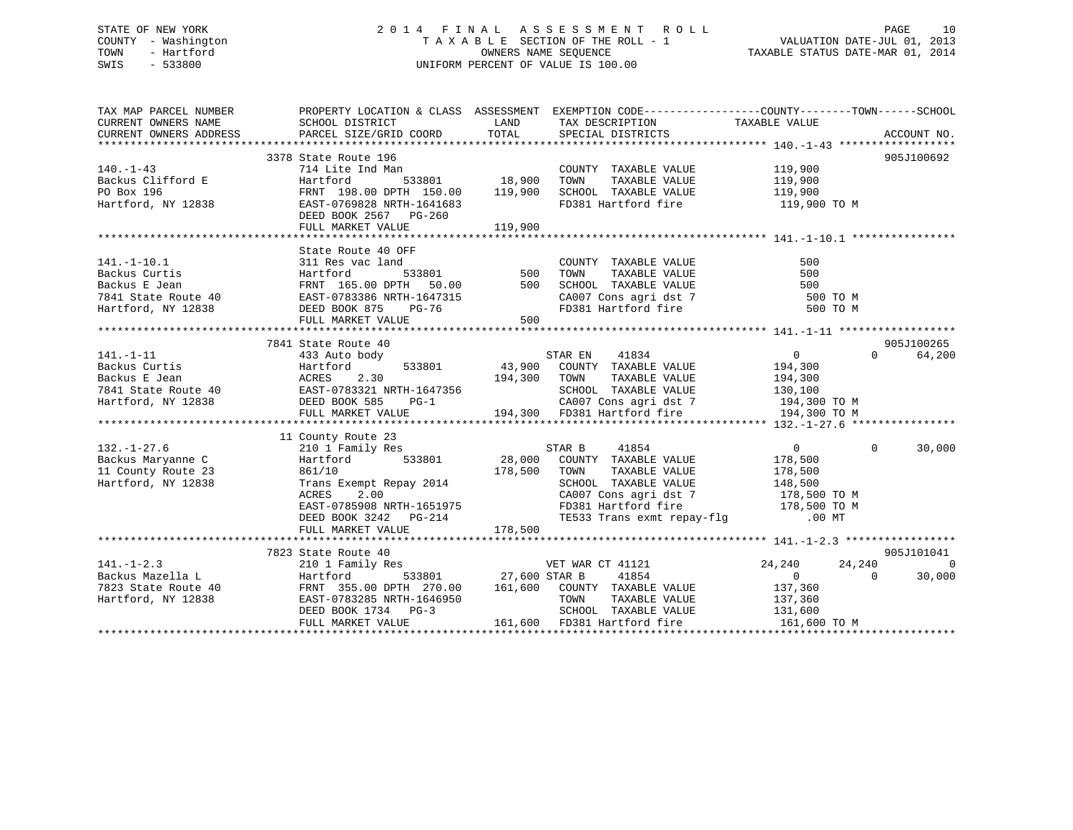## STATE OF NEW YORK 2 0 1 4 F I N A L A S S E S S M E N T R O L L PAGE 10 COUNTY - Washington T A X A B L E SECTION OF THE ROLL - 1 VALUATION DATE-JUL 01, 2013 TOWN - Hartford **TAXABLE STATUS DATE-MAR 01, 2014** OWNERS NAME SEQUENCE TAXABLE STATUS DATE-MAR 01, 2014 SWIS - 533800 UNIFORM PERCENT OF VALUE IS 100.00

| TAX MAP PARCEL NUMBER               | PROPERTY LOCATION & CLASS ASSESSMENT EXEMPTION CODE-----------------COUNTY-------TOWN------SCHOOL                                                                                                                                                                                                                                                                                                                                                                        |         |                                                            |          |                             |
|-------------------------------------|--------------------------------------------------------------------------------------------------------------------------------------------------------------------------------------------------------------------------------------------------------------------------------------------------------------------------------------------------------------------------------------------------------------------------------------------------------------------------|---------|------------------------------------------------------------|----------|-----------------------------|
| CURRENT OWNERS NAME SCHOOL DISTRICT |                                                                                                                                                                                                                                                                                                                                                                                                                                                                          |         | LAND TAX DESCRIPTION TAXABLE VALUE                         |          |                             |
|                                     |                                                                                                                                                                                                                                                                                                                                                                                                                                                                          |         |                                                            |          |                             |
|                                     |                                                                                                                                                                                                                                                                                                                                                                                                                                                                          |         |                                                            |          |                             |
|                                     | 3378 State Route 196                                                                                                                                                                                                                                                                                                                                                                                                                                                     |         |                                                            |          | 905J100692                  |
| $140. - 1 - 43$                     | 714 Lite Ind Man                                                                                                                                                                                                                                                                                                                                                                                                                                                         |         | COUNTY TAXABLE VALUE 119,900<br>TOWN TAXABLE VALUE 119,900 |          |                             |
|                                     |                                                                                                                                                                                                                                                                                                                                                                                                                                                                          |         |                                                            |          |                             |
|                                     |                                                                                                                                                                                                                                                                                                                                                                                                                                                                          |         |                                                            |          |                             |
|                                     |                                                                                                                                                                                                                                                                                                                                                                                                                                                                          |         | FD381 Hartford fire 119,900 TO M                           |          |                             |
|                                     |                                                                                                                                                                                                                                                                                                                                                                                                                                                                          |         |                                                            |          |                             |
|                                     | 140.-1-43<br>Backus Clifford E Hartford 533801 18,900 TOWN TAXABLE VALUE<br>PO Box 196 FRNT 198.00 DPTH 150.00 119,900 SCHOOL TAXABLE VALUE 119,900<br>Hartford, NY 12838 EAST-0769828 NRTH-1641683 FD381 Hartford fire 119,900<br>DEE                                                                                                                                                                                                                                   |         |                                                            |          |                             |
|                                     |                                                                                                                                                                                                                                                                                                                                                                                                                                                                          |         |                                                            |          |                             |
|                                     | State Route 40 OFF                                                                                                                                                                                                                                                                                                                                                                                                                                                       |         |                                                            |          |                             |
|                                     |                                                                                                                                                                                                                                                                                                                                                                                                                                                                          |         |                                                            |          |                             |
|                                     |                                                                                                                                                                                                                                                                                                                                                                                                                                                                          |         |                                                            |          |                             |
|                                     |                                                                                                                                                                                                                                                                                                                                                                                                                                                                          |         |                                                            |          |                             |
|                                     |                                                                                                                                                                                                                                                                                                                                                                                                                                                                          |         |                                                            | 500 TO M |                             |
|                                     |                                                                                                                                                                                                                                                                                                                                                                                                                                                                          |         |                                                            | 500 TO M |                             |
|                                     |                                                                                                                                                                                                                                                                                                                                                                                                                                                                          |         |                                                            |          |                             |
|                                     |                                                                                                                                                                                                                                                                                                                                                                                                                                                                          |         |                                                            |          |                             |
|                                     | 7841 State Route 40                                                                                                                                                                                                                                                                                                                                                                                                                                                      |         |                                                            |          | 905J100265                  |
| $141. - 1 - 11$                     | 433 Auto body                                                                                                                                                                                                                                                                                                                                                                                                                                                            |         |                                                            |          | $0 \qquad \qquad$<br>64,200 |
|                                     |                                                                                                                                                                                                                                                                                                                                                                                                                                                                          |         |                                                            |          |                             |
|                                     |                                                                                                                                                                                                                                                                                                                                                                                                                                                                          |         |                                                            |          |                             |
|                                     |                                                                                                                                                                                                                                                                                                                                                                                                                                                                          |         |                                                            |          |                             |
|                                     |                                                                                                                                                                                                                                                                                                                                                                                                                                                                          |         |                                                            |          |                             |
|                                     |                                                                                                                                                                                                                                                                                                                                                                                                                                                                          |         |                                                            |          |                             |
|                                     | Backus Curtis Martford<br>Backus E Jean (194, 200 Martford 194, 300 MM TAXABLE VALUE 194, 300 194, 300<br>7841 State Route 40 EAST-0783321 NRTH-1647356 194, 300 SCHOOL TAXABLE VALUE 194, 300<br>Hartford, NY 12838 DEED BOOK 585 P                                                                                                                                                                                                                                     |         |                                                            |          |                             |
|                                     |                                                                                                                                                                                                                                                                                                                                                                                                                                                                          |         |                                                            |          |                             |
|                                     | 11 County Route 23<br>$\begin{tabular}{lllllllllll} \texttt{132.-1-27.6} & \texttt{11 County route 23} & \texttt{120unty Route 25} \\ \texttt{Backus } \texttt{Mary Route 21} & \texttt{210 1} \texttt{Family Res} & \texttt{STAR B} & \texttt{41854} & \texttt{0} \\ \texttt{Backus } \texttt{Mary Route 23} & \texttt{136,500} & \texttt{28,000} & \texttt{COUNTY } \texttt{TXABLE} \texttt{VALUE} & \texttt{178,500} \\ \texttt{11 County Route 23} & \texttt{861/10$ |         |                                                            |          | $\Omega$                    |
|                                     |                                                                                                                                                                                                                                                                                                                                                                                                                                                                          |         |                                                            |          | 30,000                      |
|                                     |                                                                                                                                                                                                                                                                                                                                                                                                                                                                          |         |                                                            |          |                             |
|                                     |                                                                                                                                                                                                                                                                                                                                                                                                                                                                          |         |                                                            |          |                             |
|                                     |                                                                                                                                                                                                                                                                                                                                                                                                                                                                          |         |                                                            |          |                             |
|                                     | ACRES 2.00 CA007 Cons agri dst 7 178,500 TO M<br>EAST-0785908 NRTH-1651975 FD381 Hartford fire 178,500 TO M                                                                                                                                                                                                                                                                                                                                                              |         |                                                            |          |                             |
|                                     |                                                                                                                                                                                                                                                                                                                                                                                                                                                                          |         |                                                            |          |                             |
|                                     | DEED BOOK 3242 PG-214                                                                                                                                                                                                                                                                                                                                                                                                                                                    |         | TE533 Trans exmt repay-flg .00 MT                          |          |                             |
|                                     | FULL MARKET VALUE                                                                                                                                                                                                                                                                                                                                                                                                                                                        | 178,500 |                                                            |          |                             |
|                                     |                                                                                                                                                                                                                                                                                                                                                                                                                                                                          |         |                                                            |          |                             |
|                                     | 7823 State Route 40                                                                                                                                                                                                                                                                                                                                                                                                                                                      |         |                                                            |          | 905J101041                  |
|                                     |                                                                                                                                                                                                                                                                                                                                                                                                                                                                          |         |                                                            | 24,240   | 24,240<br>$\overline{0}$    |
|                                     |                                                                                                                                                                                                                                                                                                                                                                                                                                                                          |         |                                                            |          | 30,000<br>$\Omega$          |
|                                     |                                                                                                                                                                                                                                                                                                                                                                                                                                                                          |         |                                                            |          |                             |
|                                     |                                                                                                                                                                                                                                                                                                                                                                                                                                                                          |         |                                                            |          |                             |
|                                     |                                                                                                                                                                                                                                                                                                                                                                                                                                                                          |         |                                                            |          |                             |
|                                     |                                                                                                                                                                                                                                                                                                                                                                                                                                                                          |         | 161,600 FD381 Hartford fire 161,600 TO M                   |          |                             |
|                                     |                                                                                                                                                                                                                                                                                                                                                                                                                                                                          |         |                                                            |          |                             |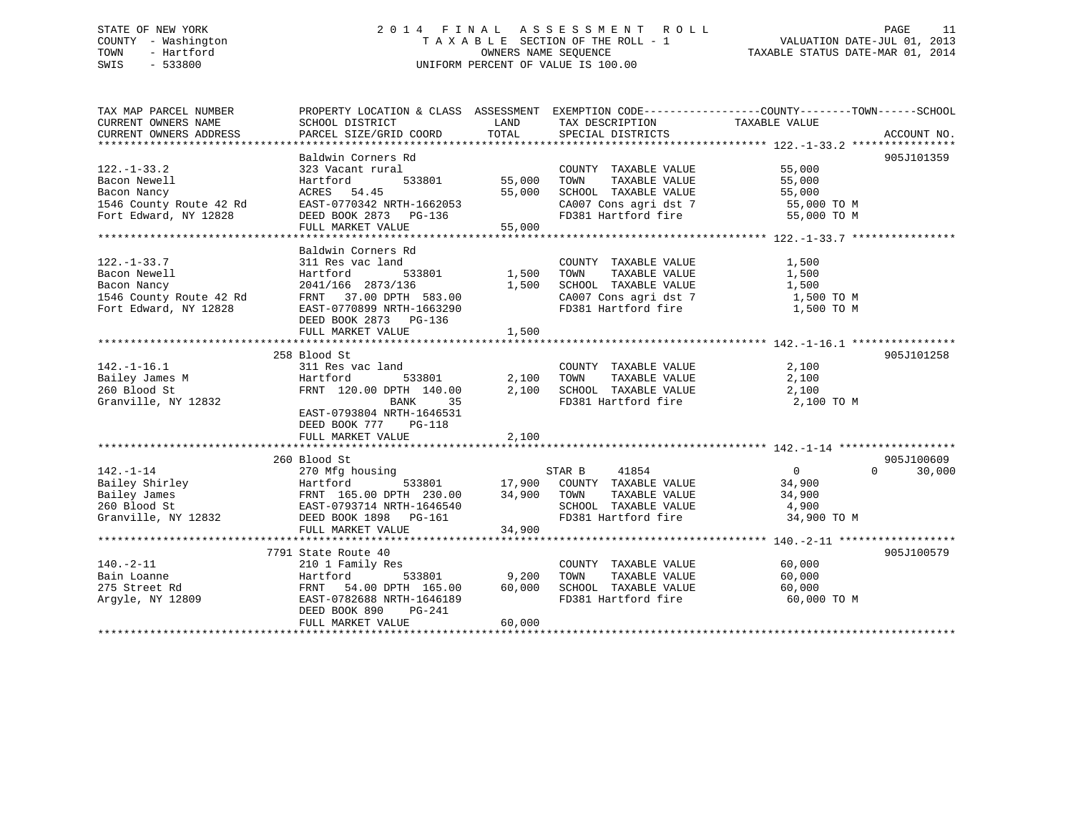## STATE OF NEW YORK 2 0 1 4 F I N A L A S S E S S M E N T R O L L PAGE 11 COUNTY - Washington T A X A B L E SECTION OF THE ROLL - 1 VALUATION DATE-JUL 01, 2013 TOWN - Hartford **TAXABLE STATUS DATE-MAR 01, 2014** OWNERS NAME SEQUENCE TAXABLE STATUS DATE-MAR 01, 2014 SWIS - 533800 UNIFORM PERCENT OF VALUE IS 100.00

| TAX MAP PARCEL NUMBER<br>CURRENT OWNERS NAME<br>CURRENT OWNERS ADDRESS | PROPERTY LOCATION & CLASS ASSESSMENT EXEMPTION CODE----------------COUNTY-------TOWN-----SCHOOL<br>SCHOOL DISTRICT<br>PARCEL SIZE/GRID COORD            | LAND<br>TOTAL     | TAX DESCRIPTION<br>SPECIAL DISTRICTS        | TAXABLE VALUE  | ACCOUNT NO.        |
|------------------------------------------------------------------------|---------------------------------------------------------------------------------------------------------------------------------------------------------|-------------------|---------------------------------------------|----------------|--------------------|
|                                                                        |                                                                                                                                                         |                   |                                             |                |                    |
|                                                                        | Baldwin Corners Rd                                                                                                                                      |                   |                                             |                | 905J101359         |
| $122. - 1 - 33.2$                                                      | 323 Vacant rural                                                                                                                                        |                   | COUNTY TAXABLE VALUE                        | 55,000         |                    |
| Bacon Newell                                                           | 533801<br>Hartford                                                                                                                                      | 55,000            | TAXABLE VALUE<br>TOWN                       | 55,000         |                    |
| Bacon Nancy                                                            | ACRES 54.45                                                                                                                                             | 55,000            | SCHOOL TAXABLE VALUE                        | 55,000         |                    |
|                                                                        | 1546 County Route 42 Rd<br>EAST-0770342 NRTH-1662053                                                                                                    |                   | CA007 Cons agri dst 7 55,000 TO M           |                |                    |
| Fort Edward, NY 12828                                                  | DEED BOOK 2873 PG-136                                                                                                                                   |                   | FD381 Hartford fire                         | 55,000 TO M    |                    |
|                                                                        | FULL MARKET VALUE                                                                                                                                       | 55,000            |                                             |                |                    |
|                                                                        |                                                                                                                                                         |                   |                                             |                |                    |
|                                                                        | Baldwin Corners Rd                                                                                                                                      |                   |                                             |                |                    |
| $122. - 1 - 33.7$                                                      | 311 Res vac land                                                                                                                                        |                   | COUNTY TAXABLE VALUE                        | 1,500          |                    |
| Bacon Newell                                                           | 533801<br>Hartford                                                                                                                                      | 1,500 TOWN        |                                             |                |                    |
| Bacon Nancy                                                            | 2041/166 2873/136                                                                                                                                       | 1,500             |                                             |                |                    |
| 1546 County Route 42 Rd                                                | FRNT 37.00 DPTH 583.00                                                                                                                                  |                   | CA007 Cons agri dst 7 1,500 TO M            |                |                    |
| Fort Edward, NY 12828                                                  | EAST-0770899 NRTH-1663290                                                                                                                               |                   | FD381 Hartford fire                         | 1,500 TO M     |                    |
|                                                                        | DEED BOOK 2873 PG-136                                                                                                                                   |                   |                                             |                |                    |
|                                                                        | FULL MARKET VALUE                                                                                                                                       | 1,500             |                                             |                |                    |
|                                                                        |                                                                                                                                                         |                   |                                             |                |                    |
|                                                                        | 258 Blood St                                                                                                                                            |                   |                                             |                | 905J101258         |
| $142. - 1 - 16.1$                                                      | 311 Res vac land                                                                                                                                        |                   | COUNTY TAXABLE VALUE                        | 2,100          |                    |
| Bailey James M                                                         | Hartford                                                                                                                                                | 533801 2,100 TOWN | TAXABLE VALUE                               | 2,100          |                    |
| 260 Blood St                                                           | FRNT 120.00 DPTH 140.00 2,100 SCHOOL TAXABLE VALUE 2,100                                                                                                |                   |                                             |                |                    |
| Granville, NY 12832                                                    | BANK<br>35                                                                                                                                              |                   | FD381 Hartford fire                         | 2,100 TO M     |                    |
|                                                                        | EAST-0793804 NRTH-1646531                                                                                                                               |                   |                                             |                |                    |
|                                                                        | DEED BOOK 777 PG-118                                                                                                                                    |                   |                                             |                |                    |
|                                                                        | FULL MARKET VALUE                                                                                                                                       | 2,100             |                                             |                |                    |
|                                                                        |                                                                                                                                                         |                   |                                             |                |                    |
|                                                                        | 260 Blood St                                                                                                                                            |                   |                                             |                | 905J100609         |
| $142. - 1 - 14$                                                        | 270 Mfg housing                                                                                                                                         |                   | 41854<br>STAR B                             | $\overline{0}$ | 30,000<br>$\Omega$ |
|                                                                        |                                                                                                                                                         |                   | 533801 17,900 COUNTY TAXABLE VALUE 34,900   |                |                    |
|                                                                        | Failey Shirley Martford 533801<br>Bailey James FRNT 165.00 DPTH 230.00<br>260 Blood St EAST-0793714 NRTH-1646540<br>FRNT 165.00 DPTH 230.00 34,900 TOWN |                   | TAXABLE VALUE                               | 34,900         |                    |
|                                                                        |                                                                                                                                                         |                   | SCHOOL TAXABLE VALUE 4,900                  |                |                    |
| Granville, NY 12832                                                    | DEED BOOK 1898    PG-161                                                                                                                                |                   | FD381 Hartford fire                         | 34,900 TO M    |                    |
|                                                                        | FULL MARKET VALUE                                                                                                                                       | 34,900            |                                             |                |                    |
|                                                                        |                                                                                                                                                         |                   |                                             |                |                    |
|                                                                        | 7791 State Route 40                                                                                                                                     |                   |                                             |                | 905J100579         |
| $140. - 2 - 11$                                                        | 210 1 Family Res                                                                                                                                        |                   | COUNTY TAXABLE VALUE                        | 60,000         |                    |
| Bain Loanne                                                            | Hartford                                                                                                                                                | 533801 9,200      | TOWN<br>TAXABLE VALUE                       | 60,000         |                    |
| 275 Street Rd                                                          | FRNT 54.00 DPTH 165.00 60,000<br>EAST-0782688 NRTH-1646189                                                                                              |                   | SCHOOL TAXABLE VALUE<br>FD381 Hartford fire | 60,000         |                    |
| Argyle, NY 12809                                                       |                                                                                                                                                         |                   |                                             | 60,000 TO M    |                    |
|                                                                        | DEED BOOK 890<br>PG-241<br>FULL MARKET VALUE                                                                                                            | 60,000            |                                             |                |                    |
|                                                                        |                                                                                                                                                         |                   |                                             |                |                    |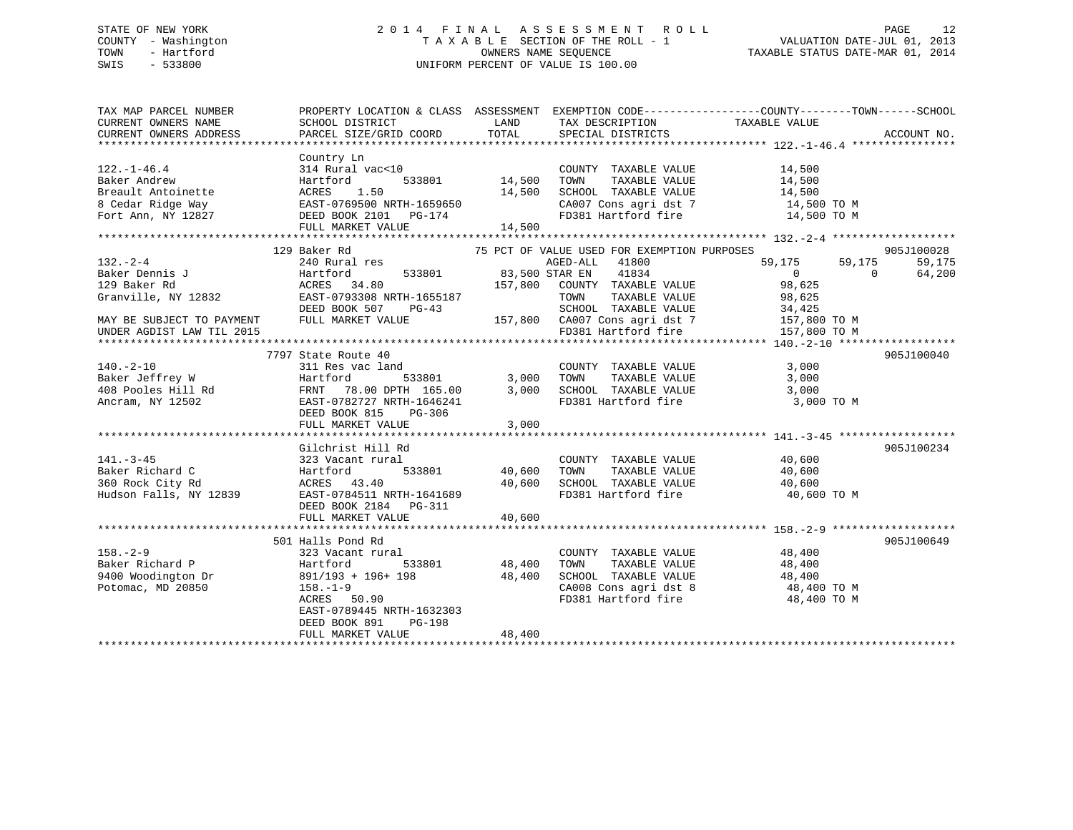## STATE OF NEW YORK 2 0 1 4 F I N A L A S S E S S M E N T R O L L PAGE 12 COUNTY - Washington T A X A B L E SECTION OF THE ROLL - 1 VALUATION DATE-JUL 01, 2013 TOWN - Hartford **TAXABLE STATUS DATE-MAR 01, 2014** OWNERS NAME SEQUENCE TAXABLE STATUS DATE-MAR 01, 2014 SWIS - 533800 UNIFORM PERCENT OF VALUE IS 100.00

| TAX MAP PARCEL NUMBER<br>CURRENT OWNERS NAME<br>CURRENT OWNERS ADDRESS | SCHOOL DISTRICT<br>PARCEL SIZE/GRID COORD                                                                   | <b>EXAMPLE TO A LAND THE STATE OF STATE</b><br>TOTAL | TAX DESCRIPTION<br>SPECIAL DISTRICTS                      | PROPERTY LOCATION & CLASS ASSESSMENT EXEMPTION CODE----------------COUNTY-------TOWN------SCHOOL<br>TAXABLE VALUE                                                                                                                                                                                                                                                                                                                         | ACCOUNT NO. |
|------------------------------------------------------------------------|-------------------------------------------------------------------------------------------------------------|------------------------------------------------------|-----------------------------------------------------------|-------------------------------------------------------------------------------------------------------------------------------------------------------------------------------------------------------------------------------------------------------------------------------------------------------------------------------------------------------------------------------------------------------------------------------------------|-------------|
|                                                                        |                                                                                                             |                                                      |                                                           |                                                                                                                                                                                                                                                                                                                                                                                                                                           |             |
|                                                                        | Country Ln                                                                                                  |                                                      |                                                           |                                                                                                                                                                                                                                                                                                                                                                                                                                           |             |
| $122. - 1 - 46.4$                                                      | 314 Rural vac<10                                                                                            | 14,500                                               | COUNTY TAXABLE VALUE                                      | 14,500<br>14,500                                                                                                                                                                                                                                                                                                                                                                                                                          |             |
| Baker Andrew                                                           | 533801<br>Hartford                                                                                          |                                                      | TOWN<br>TAXABLE VALUE                                     |                                                                                                                                                                                                                                                                                                                                                                                                                                           |             |
|                                                                        | Breault Antoinette<br>8 Cedar Ridge Way<br>Fort Ann, NY 12827<br>Fort Ann, NY 12827<br>EED BOOK 2101 PG-174 |                                                      | SCHOOL TAXABLE VALUE                                      | 14,500<br>14,500 TO M                                                                                                                                                                                                                                                                                                                                                                                                                     |             |
|                                                                        |                                                                                                             |                                                      |                                                           | $\texttt{CA007}$ Cons agri dst 7 $\texttt{14,500}$ TO M<br>FD381 Hartford fire $\texttt{14,500}$ TO M                                                                                                                                                                                                                                                                                                                                     |             |
|                                                                        |                                                                                                             |                                                      |                                                           |                                                                                                                                                                                                                                                                                                                                                                                                                                           |             |
|                                                                        | FULL MARKET VALUE                                                                                           | 14,500                                               |                                                           |                                                                                                                                                                                                                                                                                                                                                                                                                                           |             |
|                                                                        |                                                                                                             |                                                      |                                                           |                                                                                                                                                                                                                                                                                                                                                                                                                                           |             |
|                                                                        | 129 Baker Rd                                                                                                |                                                      | 75 PCT OF VALUE USED FOR EXEMPTION PURPOSES               |                                                                                                                                                                                                                                                                                                                                                                                                                                           | 905J100028  |
| $132 - 2 - 4$                                                          | 240 Rural res                                                                                               |                                                      | AGED-ALL 41800                                            | 59,175<br>59,175                                                                                                                                                                                                                                                                                                                                                                                                                          | 59,175      |
| Baker Dennis J                                                         | Hartford                                                                                                    | 533801 83,500 STAR EN                                | 41834                                                     | $\overline{0}$<br>$\Omega$                                                                                                                                                                                                                                                                                                                                                                                                                | 64,200      |
| 129 Baker Rd                                                           | ACRES 34.80                                                                                                 |                                                      | 157,800 COUNTY TAXABLE VALUE                              | 98,625                                                                                                                                                                                                                                                                                                                                                                                                                                    |             |
| Granville, NY 12832                                                    | EAST-0793308 NRTH-1655187                                                                                   |                                                      | TAXABLE VALUE<br>TOWN                                     | 98,625                                                                                                                                                                                                                                                                                                                                                                                                                                    |             |
|                                                                        | DEED BOOK 507<br>$PG-43$                                                                                    |                                                      |                                                           |                                                                                                                                                                                                                                                                                                                                                                                                                                           |             |
| MAY BE SUBJECT TO PAYMENT                                              |                                                                                                             |                                                      |                                                           | $\begin{tabular}{lllllllll} \texttt{SCHOOL} & \texttt{TAXABLE VALUE} & & & 34,425 \\ \texttt{CA007 Cons agri dat 7} & & & 157,800 \texttt{\ TO M} \end{tabular}$                                                                                                                                                                                                                                                                          |             |
| UNDER AGDIST LAW TIL 2015                                              | FULL MARKET VALUE 157,800 CA007 Cons agri dst 7<br>FD381 Hartford fire                                      |                                                      |                                                           | 157,800 TO M                                                                                                                                                                                                                                                                                                                                                                                                                              |             |
|                                                                        |                                                                                                             |                                                      |                                                           |                                                                                                                                                                                                                                                                                                                                                                                                                                           |             |
| 140.-2-10<br>Baker Jeffrey W<br>408 Pooles Hill Rd<br>---- NY 12502    | 7797 State Route 40                                                                                         |                                                      |                                                           |                                                                                                                                                                                                                                                                                                                                                                                                                                           | 905J100040  |
|                                                                        | 311 Res vac land                                                                                            |                                                      |                                                           | 3,000                                                                                                                                                                                                                                                                                                                                                                                                                                     |             |
|                                                                        | Hartford                                                                                                    |                                                      | COUNTY TAXABLE VALUE<br>3,000 TOWN<br>TAXABLE VALUE       | 3,000                                                                                                                                                                                                                                                                                                                                                                                                                                     |             |
|                                                                        | FRNT 78.00 DPTH 165.00                                                                                      | 3,000                                                | SCHOOL TAXABLE VALUE 3,000                                |                                                                                                                                                                                                                                                                                                                                                                                                                                           |             |
|                                                                        | EAST-0782727 NRTH-1646241                                                                                   |                                                      | FD381 Hartford fire                                       | 3,000 TO M                                                                                                                                                                                                                                                                                                                                                                                                                                |             |
|                                                                        |                                                                                                             |                                                      |                                                           |                                                                                                                                                                                                                                                                                                                                                                                                                                           |             |
|                                                                        | DEED BOOK 815<br>PG-306                                                                                     |                                                      |                                                           |                                                                                                                                                                                                                                                                                                                                                                                                                                           |             |
|                                                                        | FULL MARKET VALUE                                                                                           | 3,000                                                |                                                           |                                                                                                                                                                                                                                                                                                                                                                                                                                           |             |
|                                                                        |                                                                                                             |                                                      |                                                           |                                                                                                                                                                                                                                                                                                                                                                                                                                           |             |
|                                                                        | Gilchrist Hill Rd                                                                                           |                                                      |                                                           |                                                                                                                                                                                                                                                                                                                                                                                                                                           | 905J100234  |
| $141. - 3 - 45$                                                        | 323 Vacant rural                                                                                            |                                                      | COUNTY TAXABLE VALUE                                      | 40,600                                                                                                                                                                                                                                                                                                                                                                                                                                    |             |
| Baker Richard C                                                        | Hartford                                                                                                    | 533801 40,600                                        | TOWN                                                      | TAXABLE VALUE 40,600                                                                                                                                                                                                                                                                                                                                                                                                                      |             |
| 360 Rock City Rd                                                       |                                                                                                             |                                                      | SCHOOL TAXABLE VALUE 40,600<br>FD381 Hartford fire 40,600 |                                                                                                                                                                                                                                                                                                                                                                                                                                           |             |
| Hudson Falls, NY 12839                                                 | ACRES 43.40 40,600<br>EAST-0784511 NRTH-1641689                                                             |                                                      |                                                           | 40,600 TO M                                                                                                                                                                                                                                                                                                                                                                                                                               |             |
|                                                                        | DEED BOOK 2184 PG-311                                                                                       |                                                      |                                                           |                                                                                                                                                                                                                                                                                                                                                                                                                                           |             |
|                                                                        | FULL MARKET VALUE                                                                                           | 40,600                                               |                                                           |                                                                                                                                                                                                                                                                                                                                                                                                                                           |             |
|                                                                        |                                                                                                             |                                                      |                                                           |                                                                                                                                                                                                                                                                                                                                                                                                                                           |             |
|                                                                        | 501 Halls Pond Rd                                                                                           |                                                      |                                                           |                                                                                                                                                                                                                                                                                                                                                                                                                                           | 905J100649  |
| $158. - 2 - 9$                                                         | 323 Vacant rural                                                                                            |                                                      | COUNTY TAXABLE VALUE 48,400                               |                                                                                                                                                                                                                                                                                                                                                                                                                                           |             |
| Baker Richard P                                                        | Hartford                                                                                                    | 533801 48,400                                        | TOWN<br>TAXABLE VALUE                                     | 48,400                                                                                                                                                                                                                                                                                                                                                                                                                                    |             |
| 9400 Woodington Dr                                                     | 891/193 + 196+ 198                                                                                          | 48,400                                               |                                                           |                                                                                                                                                                                                                                                                                                                                                                                                                                           |             |
| Potomac, MD 20850                                                      | $158. - 1 - 9$                                                                                              |                                                      |                                                           | ${\tt SCH OOL} \quad {\tt TAXABLE} \quad {\tt VALUE} \quad {\tt A8,400} \quad {\tt COAB} \quad {\tt Cons} \quad {\tt agri} \quad {\tt dt8} \quad {\tt A8,400} \quad {\tt TO} \quad {\tt M} \quad {\tt A8,400} \quad {\tt N9,400} \quad {\tt N10,400} \quad {\tt N20,400} \quad {\tt N4,400} \quad {\tt N6,400} \quad {\tt N6,400} \quad {\tt N8,400} \quad {\tt N9,400} \quad {\tt N9,400} \quad {\tt N10,400} \quad {\tt N11,400} \quad$ |             |
|                                                                        | ACRES 50.90                                                                                                 |                                                      | FD381 Hartford fire                                       | 48,400 TO M                                                                                                                                                                                                                                                                                                                                                                                                                               |             |
|                                                                        | EAST-0789445 NRTH-1632303                                                                                   |                                                      |                                                           |                                                                                                                                                                                                                                                                                                                                                                                                                                           |             |
|                                                                        | DEED BOOK 891<br>PG-198                                                                                     |                                                      |                                                           |                                                                                                                                                                                                                                                                                                                                                                                                                                           |             |
|                                                                        | FULL MARKET VALUE                                                                                           | 48,400                                               |                                                           |                                                                                                                                                                                                                                                                                                                                                                                                                                           |             |
|                                                                        |                                                                                                             |                                                      |                                                           |                                                                                                                                                                                                                                                                                                                                                                                                                                           |             |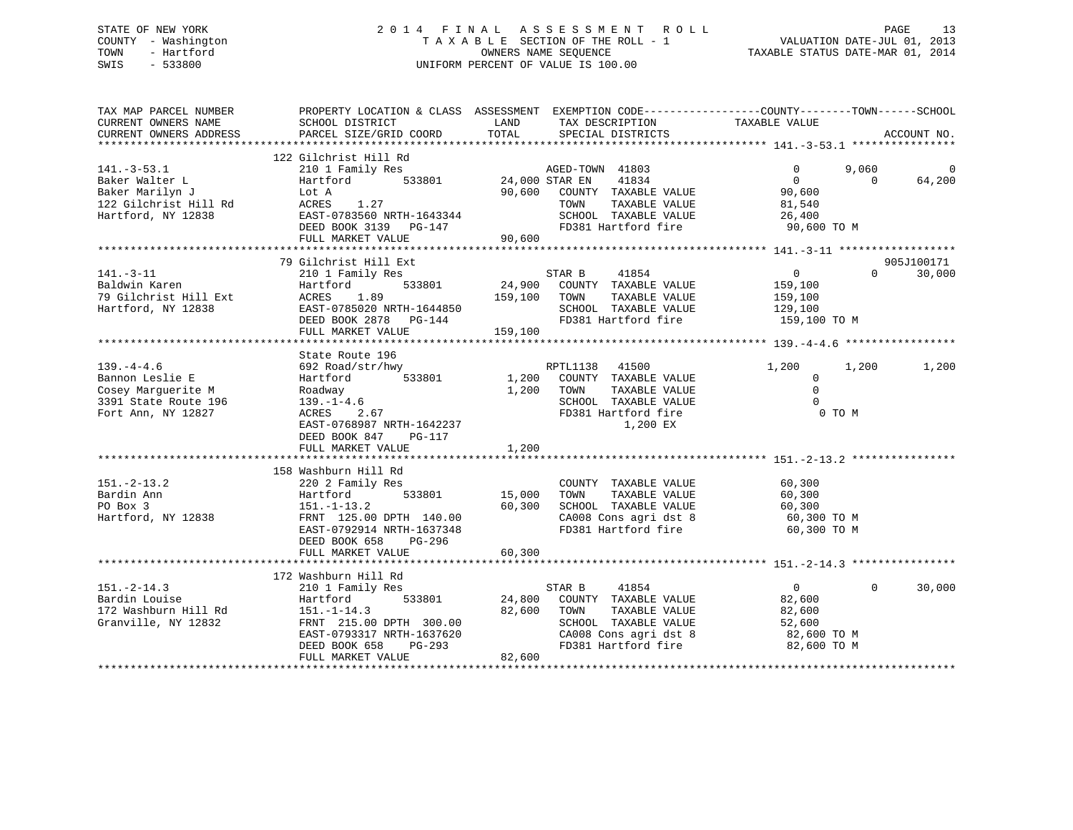## STATE OF NEW YORK 2 0 1 4 F I N A L A S S E S S M E N T R O L L PAGE 13 COUNTY - Washington T A X A B L E SECTION OF THE ROLL - 1 VALUATION DATE-JUL 01, 2013 TOWN - Hartford **TAXABLE STATUS DATE-MAR 01, 2014** OWNERS NAME SEQUENCE TAXABLE STATUS DATE-MAR 01, 2014 SWIS - 533800 UNIFORM PERCENT OF VALUE IS 100.00

| TAX MAP PARCEL NUMBER<br>CURRENT OWNERS NAME<br>CURRENT OWNERS ADDRESS                            | PROPERTY LOCATION & CLASS ASSESSMENT EXEMPTION CODE---------------COUNTY-------TOWN------SCHOOL<br>SCHOOL DISTRICT<br>PARCEL SIZE/GRID COORD                                        | LAND<br>TOTAL    | TAX DESCRIPTION TAXABLE VALUE<br>SPECIAL DISTRICTS                                                                                                              |                                                                            |                         | ACCOUNT NO.          |
|---------------------------------------------------------------------------------------------------|-------------------------------------------------------------------------------------------------------------------------------------------------------------------------------------|------------------|-----------------------------------------------------------------------------------------------------------------------------------------------------------------|----------------------------------------------------------------------------|-------------------------|----------------------|
|                                                                                                   |                                                                                                                                                                                     |                  |                                                                                                                                                                 |                                                                            |                         |                      |
| $141.-3-53.1$<br>Baker Walter L<br>Baker Marilyn J<br>122 Gilchrist Hill Rd<br>Hartford, NY 12838 | 122 Gilchrist Hill Rd<br>210 1 Family Res<br>Hartford<br>533801<br>Lot A<br>ACRES<br>1.27<br>EAST-0783560 NRTH-1643344<br>DEED BOOK 3139 PG-147                                     |                  | AGED-TOWN 41803<br>41834<br>24,000 STAR EN<br>90,600 COUNTY TAXABLE VALUE<br>TOWN<br>TAXABLE VALUE<br>SCHOOL TAXABLE VALUE<br>FD381 Hartford fire               | $\Omega$<br>$\mathbf{0}$<br>90,600<br>81,540<br>26,400<br>90,600 TO M      | 9,060<br>$\overline{0}$ | $\Omega$<br>64,200   |
|                                                                                                   | FULL MARKET VALUE                                                                                                                                                                   | 90,600           |                                                                                                                                                                 |                                                                            |                         |                      |
| 141.-3-11<br>Baldwin Karen<br>79 Gilchrist Hill Ext<br>Hartford, NY 12838                         | 79 Gilchrist Hill Ext<br>210 1 Family Res<br>533801<br>Hartford<br>1.89<br>ACRES<br>EAST-0785020 NRTH-1644850                                                                       | 159,100 TOWN     | 41854<br>STAR B<br>24,900 COUNTY TAXABLE VALUE<br>TAXABLE VALUE<br>SCHOOL TAXABLE VALUE                                                                         | $\overline{0}$<br>159,100<br>159,100<br>129,100                            | $\Omega$                | 905J100171<br>30,000 |
|                                                                                                   | DEED BOOK 2878 PG-144                                                                                                                                                               |                  | FD381 Hartford fire                                                                                                                                             | 159,100 TO M                                                               |                         |                      |
|                                                                                                   | FULL MARKET VALUE                                                                                                                                                                   | 159,100          |                                                                                                                                                                 |                                                                            |                         |                      |
| $139. -4 - 4.6$                                                                                   | State Route 196<br>692 Road/str/hwy                                                                                                                                                 |                  | RPTL1138 41500                                                                                                                                                  | 1,200                                                                      | 1,200                   | 1,200                |
| Bannon Leslie E<br>Cosey Marguerite M<br>3391 State Route 196<br>Fort Ann, NY 12827               | 533801<br>Hartford<br>Roadway<br>$139. - 1 - 4.6$<br>2.67<br>ACRES<br>EAST-0768987 NRTH-1642237<br>DEED BOOK 847<br>PG-117                                                          | 1,200            | 1,200 COUNTY TAXABLE VALUE<br>TOWN<br>TAXABLE VALUE<br>SCHOOL TAXABLE VALUE<br>FD381 Hartford fire<br>1,200 EX                                                  | $\overline{0}$<br>$\Omega$<br>$\Omega$<br>0 TO M                           |                         |                      |
|                                                                                                   | FULL MARKET VALUE                                                                                                                                                                   | 1,200            |                                                                                                                                                                 |                                                                            |                         |                      |
| $151. - 2 - 13.2$<br>Bardin Ann<br>PO Box 3<br>Hartford, NY 12838                                 | 158 Washburn Hill Rd<br>220 2 Family Res<br>533801<br>Hartford<br>$151. - 1 - 13.2$<br>FRNT 125.00 DPTH 140.00<br>EAST-0792914 NRTH-1637348<br>DEED BOOK 658<br>PG-296              | 15,000<br>60,300 | COUNTY TAXABLE VALUE<br>TAXABLE VALUE<br>TOWN<br>SCHOOL TAXABLE VALUE<br>CA008 Cons agri dst 8<br>FD381 Hartford fire                                           | 60,300<br>60,300<br>60,300<br>60,300 TO M<br>60,300 TO M                   |                         |                      |
|                                                                                                   | FULL MARKET VALUE                                                                                                                                                                   | 60,300           |                                                                                                                                                                 |                                                                            |                         |                      |
|                                                                                                   |                                                                                                                                                                                     |                  |                                                                                                                                                                 |                                                                            |                         |                      |
| $151.-2-14.3$<br>Bardin Louise<br>172 Washburn Hill Rd<br>Granville, NY 12832                     | 172 Washburn Hill Rd<br>210 1 Family Res<br>Hartford<br>533801<br>$151. - 1 - 14.3$<br>FRNT 215.00 DPTH 300.00<br>н-1637620<br>PG-293<br>EAST-0793317 NRTH-1637620<br>DEED BOOK 658 | 24,800<br>82,600 | STAR B<br>41854<br>COUNTY TAXABLE VALUE<br>TOWN<br>TAXABLE VALUE<br>SCHOOL TAXABLE VALUE<br>CA008 Cons agri dst 8<br>ED381 Hartford fire<br>FD381 Hartford fire | $\overline{0}$<br>82,600<br>82,600<br>52,600<br>82,600 TO M<br>82,600 TO M | $\mathbf{0}$            | 30,000               |
|                                                                                                   | FULL MARKET VALUE                                                                                                                                                                   | 82,600           |                                                                                                                                                                 |                                                                            |                         |                      |
|                                                                                                   |                                                                                                                                                                                     |                  |                                                                                                                                                                 |                                                                            |                         |                      |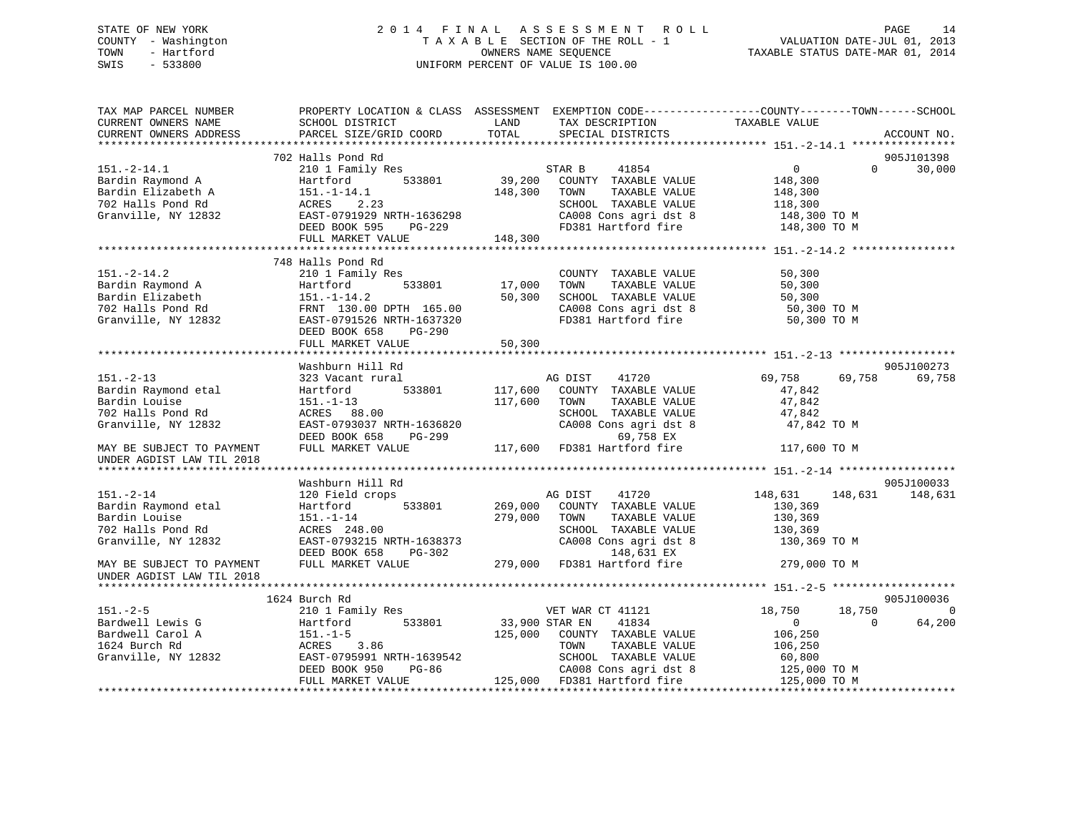## STATE OF NEW YORK 2 0 1 4 F I N A L A S S E S S M E N T R O L L PAGE 14 COUNTY - Washington T A X A B L E SECTION OF THE ROLL - 1 VALUATION DATE-JUL 01, 2013 TOWN - Hartford OWNERS NAME SEQUENCE TAXABLE STATUS DATE-MAR 01, 2014 SWIS - 533800 UNIFORM PERCENT OF VALUE IS 100.00

| TAX MAP PARCEL NUMBER<br>CURRENT OWNERS NAME<br>CURRENT OWNERS ADDRESS | PROPERTY LOCATION & CLASS ASSESSMENT EXEMPTION CODE----------------COUNTY-------TOWN------SCHOOL<br>SCHOOL DISTRICT<br>PARCEL SIZE/GRID COORD | LAND<br>TOTAL  | TAX DESCRIPTION<br>SPECIAL DISTRICTS          | TAXABLE VALUE                |          | ACCOUNT NO. |
|------------------------------------------------------------------------|-----------------------------------------------------------------------------------------------------------------------------------------------|----------------|-----------------------------------------------|------------------------------|----------|-------------|
|                                                                        |                                                                                                                                               |                |                                               |                              |          |             |
|                                                                        | 702 Halls Pond Rd                                                                                                                             |                |                                               |                              |          | 905J101398  |
| $151.-2-14.1$                                                          | 210 1 Family Res                                                                                                                              |                | 41854<br>STAR B                               | $\overline{0}$               | $\Omega$ | 30,000      |
| Bardin Raymond A                                                       | 533801<br>Hartford                                                                                                                            | 39,200         | COUNTY TAXABLE VALUE                          | 148,300                      |          |             |
| Bardin Elizabeth A                                                     | $151.-1-14.1$                                                                                                                                 | 148,300        | TOWN<br>TAXABLE VALUE                         | 148,300                      |          |             |
| 702 Halls Pond Rd                                                      | ACRES 2.23                                                                                                                                    |                | SCHOOL TAXABLE VALUE<br>CA008 Cons agri dst 8 | 118,300                      |          |             |
| Granville, NY 12832                                                    | EAST-0791929 NRTH-1636298<br>DEED BOOK 595<br>PG-229                                                                                          |                | FD381 Hartford fire                           | 148,300 TO M<br>148,300 TO M |          |             |
|                                                                        | FULL MARKET VALUE                                                                                                                             | 148,300        |                                               |                              |          |             |
|                                                                        |                                                                                                                                               |                |                                               |                              |          |             |
|                                                                        | 748 Halls Pond Rd                                                                                                                             |                |                                               |                              |          |             |
| $151. - 2 - 14.2$                                                      | 210 1 Family Res                                                                                                                              |                | COUNTY TAXABLE VALUE                          | 50,300                       |          |             |
| Bardin Raymond A                                                       | Hartford<br>533801                                                                                                                            | 17,000         | TOWN<br>TAXABLE VALUE                         | 50,300                       |          |             |
| Bardin Elizabeth                                                       | $151. - 1 - 14.2$                                                                                                                             | 50,300         | SCHOOL TAXABLE VALUE                          | 50,300                       |          |             |
| 702 Halls Pond Rd                                                      | FRNT 130.00 DPTH 165.00                                                                                                                       |                | CA008 Cons agri dst 8                         | 50,300 TO M                  |          |             |
| Granville, NY 12832                                                    | EAST-0791526 NRTH-1637320                                                                                                                     |                | FD381 Hartford fire                           | 50,300 TO M                  |          |             |
|                                                                        | DEED BOOK 658<br>PG-290                                                                                                                       |                |                                               |                              |          |             |
|                                                                        | FULL MARKET VALUE                                                                                                                             | 50,300         |                                               |                              |          |             |
|                                                                        |                                                                                                                                               |                |                                               |                              |          |             |
|                                                                        | Washburn Hill Rd                                                                                                                              |                |                                               |                              |          | 905J100273  |
| $151. - 2 - 13$                                                        | 323 Vacant rural                                                                                                                              |                | 41720<br>AG DIST                              | 69,758                       | 69,758   | 69,758      |
| Bardin Raymond etal                                                    | 533801<br>Hartford                                                                                                                            | 117,600        | COUNTY TAXABLE VALUE                          | 47,842                       |          |             |
| Bardin Louise                                                          | $151. - 1 - 13$                                                                                                                               | 117,600        | TAXABLE VALUE<br>TOWN                         | 47,842                       |          |             |
| 702 Halls Pond Rd                                                      | ACRES 88.00                                                                                                                                   |                | SCHOOL TAXABLE VALUE                          | 47,842                       |          |             |
| Granville, NY 12832                                                    | EAST-0793037 NRTH-1636820                                                                                                                     |                | CA008 Cons agri dst 8                         | 47,842 TO M                  |          |             |
|                                                                        | DEED BOOK 658<br>PG-299                                                                                                                       |                | 69,758 EX                                     |                              |          |             |
| MAY BE SUBJECT TO PAYMENT                                              | FULL MARKET VALUE                                                                                                                             |                | 117,600 FD381 Hartford fire                   | 117,600 TO M                 |          |             |
| UNDER AGDIST LAW TIL 2018                                              |                                                                                                                                               |                |                                               |                              |          |             |
|                                                                        | Washburn Hill Rd                                                                                                                              |                |                                               |                              |          | 905J100033  |
| $151. - 2 - 14$                                                        | 120 Field crops                                                                                                                               |                | 41720<br>AG DIST                              | 148,631                      | 148,631  | 148,631     |
| Bardin Raymond etal                                                    | 533801<br>Hartford                                                                                                                            | 269,000        | COUNTY TAXABLE VALUE                          | 130,369                      |          |             |
| Bardin Louise                                                          | $151. - 1 - 14$                                                                                                                               | 279,000        | TAXABLE VALUE<br>TOWN                         | 130,369                      |          |             |
| 702 Halls Pond Rd                                                      | ACRES 248.00                                                                                                                                  |                | SCHOOL TAXABLE VALUE                          | 130,369                      |          |             |
| Granville, NY 12832                                                    | EAST-0793215 NRTH-1638373                                                                                                                     |                | CA008 Cons agri dst 8                         | 130,369 TO M                 |          |             |
|                                                                        | DEED BOOK 658<br>PG-302                                                                                                                       |                | 148,631 EX                                    |                              |          |             |
| MAY BE SUBJECT TO PAYMENT                                              | FULL MARKET VALUE                                                                                                                             |                | 279,000 FD381 Hartford fire                   | 279,000 TO M                 |          |             |
| UNDER AGDIST LAW TIL 2018                                              |                                                                                                                                               |                |                                               |                              |          |             |
|                                                                        |                                                                                                                                               |                |                                               |                              |          |             |
|                                                                        | 1624 Burch Rd                                                                                                                                 |                |                                               |                              |          | 905J100036  |
| $151. - 2 - 5$                                                         | 210 1 Family Res                                                                                                                              |                | VET WAR CT 41121                              | 18,750                       | 18,750   | $\Omega$    |
| Bardwell Lewis G                                                       | 533801<br>Hartford                                                                                                                            | 33,900 STAR EN | 41834                                         | $\Omega$                     | $\Omega$ | 64,200      |
| Bardwell Carol A                                                       | $151.-1-5$                                                                                                                                    |                | 125,000 COUNTY TAXABLE VALUE                  | 106,250                      |          |             |
| 1624 Burch Rd                                                          | ACRES 3.86                                                                                                                                    |                | TAXABLE VALUE<br>TOWN                         | 106,250                      |          |             |
| Granville, NY 12832                                                    | EAST-0795991 NRTH-1639542                                                                                                                     |                | SCHOOL TAXABLE VALUE                          | 60,800                       |          |             |
|                                                                        | DEED BOOK 950<br>PG-86                                                                                                                        |                | CA008 Cons agri dst 8                         | 125,000 TO M                 |          |             |
|                                                                        | FULL MARKET VALUE                                                                                                                             |                | 125,000 FD381 Hartford fire                   | 125,000 TO M                 |          |             |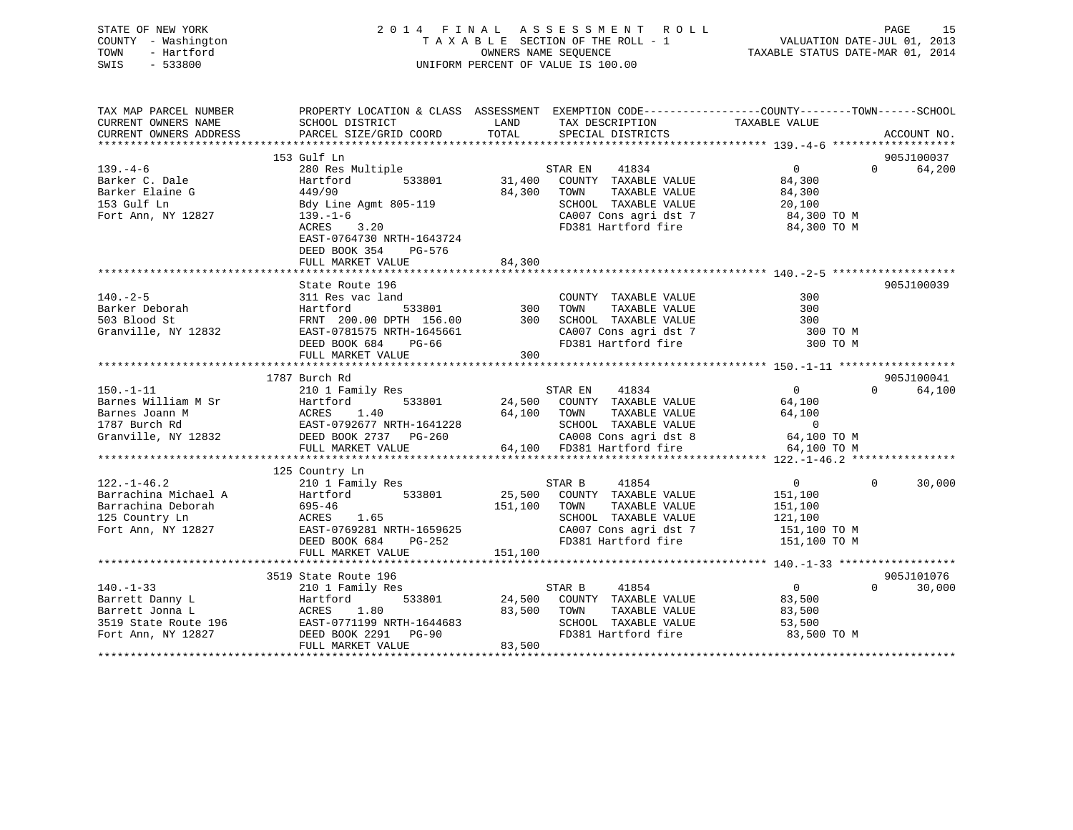## STATE OF NEW YORK 2 0 1 4 F I N A L A S S E S S M E N T R O L L PAGE 15 COUNTY - Washington T A X A B L E SECTION OF THE ROLL - 1 VALUATION DATE-JUL 01, 2013 TOWN - Hartford **TAXABLE STATUS DATE-MAR 01, 2014** OWNERS NAME SEQUENCE TAXABLE STATUS DATE-MAR 01, 2014 SWIS - 533800 UNIFORM PERCENT OF VALUE IS 100.00

| TAX MAP PARCEL NUMBER  |                                                                                                                                                                                     |                                                           | PROPERTY LOCATION & CLASS ASSESSMENT EXEMPTION CODE---------------COUNTY-------TOWN------SCHOOL |
|------------------------|-------------------------------------------------------------------------------------------------------------------------------------------------------------------------------------|-----------------------------------------------------------|-------------------------------------------------------------------------------------------------|
| CURRENT OWNERS NAME    | SCHOOL DISTRICT                                                                                                                                                                     | LAND<br>TAX DESCRIPTION                                   | TAXABLE VALUE                                                                                   |
| CURRENT OWNERS ADDRESS | PARCEL SIZE/GRID COORD                                                                                                                                                              | TOTAL<br>SPECIAL DISTRICTS                                | ACCOUNT NO.                                                                                     |
|                        | 153 Gulf Ln                                                                                                                                                                         |                                                           |                                                                                                 |
| $139. -4 - 6$          | 280 Res Multiple                                                                                                                                                                    | STAR EN 41834                                             | 905J100037<br>$\overline{0}$<br>$\Omega$<br>64,200                                              |
| Barker C. Dale         | 533801<br>Hartford                                                                                                                                                                  | 31,400<br>COUNTY TAXABLE VALUE                            | 84,300                                                                                          |
| Barker Elaine G        | 449/90                                                                                                                                                                              | 84,300<br>TOWN<br>TAXABLE VALUE                           | 84,300                                                                                          |
| 153 Gulf Ln            | Bdy Line Agmt 805-119                                                                                                                                                               | SCHOOL TAXABLE VALUE                                      | 20,100                                                                                          |
| Fort Ann, NY 12827     | $139. - 1 - 6$                                                                                                                                                                      |                                                           |                                                                                                 |
|                        | ACRES 3.20                                                                                                                                                                          | FD381 Hartford fire                                       | CA007 Cons agri dst 7 84,300 TO M<br>84,300 TO M                                                |
|                        | EAST-0764730 NRTH-1643724                                                                                                                                                           |                                                           |                                                                                                 |
|                        | DEED BOOK 354 PG-576                                                                                                                                                                |                                                           |                                                                                                 |
|                        | FULL MARKET VALUE                                                                                                                                                                   | 84,300                                                    |                                                                                                 |
|                        |                                                                                                                                                                                     |                                                           |                                                                                                 |
|                        | State Route 196                                                                                                                                                                     |                                                           | 905J100039                                                                                      |
| $140. - 2 - 5$         | 311 Res vac land                                                                                                                                                                    | COUNTY TAXABLE VALUE                                      | 300                                                                                             |
| Barker Deborah         | Hartford                                                                                                                                                                            | 1 COUNT<br>533801 300 TOWN<br>TAXABLE VALUE               | 300                                                                                             |
| 503 Blood St           |                                                                                                                                                                                     | FRNT 200.00 DPTH 156.00 300 SCHOOL TAXABLE VALUE          | 300                                                                                             |
| Granville, NY 12832    |                                                                                                                                                                                     |                                                           | 300 TO M                                                                                        |
|                        | DEED BOOK 684                                                                                                                                                                       | SCHOOL TAXADDE WILL<br>CA007 Cons agri dst 7<br>Line fire | 300 TO M                                                                                        |
|                        | FULL MARKET VALUE                                                                                                                                                                   | 300                                                       |                                                                                                 |
|                        |                                                                                                                                                                                     |                                                           |                                                                                                 |
|                        | 1787 Burch Rd                                                                                                                                                                       |                                                           | 905J100041                                                                                      |
| $150. - 1 - 11$        | 210 1 Family Res                                                                                                                                                                    | STAR EN 41834                                             | $\overline{0}$<br>64,100<br>$\Omega$                                                            |
|                        |                                                                                                                                                                                     | 24,500 COUNTY TAXABLE VALUE                               | 64,100                                                                                          |
|                        |                                                                                                                                                                                     | 64,100 TOWN<br>TAXABLE VALUE                              | 64,100                                                                                          |
|                        |                                                                                                                                                                                     | SCHOOL TAXABLE VALUE                                      | $\overline{0}$                                                                                  |
|                        | Barnes William M Sr Martford 533801<br>Barnes Joann M M ACRES 1.40<br>1787 Burch Rd EAST-0792677 NRTH-1641228<br>Granville, NY 12832 DEED BOOK 2737 PG-260<br>DEED BOOK 2737 PG-260 |                                                           | 64,100 TO M                                                                                     |
|                        | FULL MARKET VALUE                                                                                                                                                                   | CA008 Cons agri dst 8<br>64,100 FD381 Hartford fire       | 64,100 TO M                                                                                     |
|                        |                                                                                                                                                                                     |                                                           |                                                                                                 |
|                        | 125 Country Ln                                                                                                                                                                      |                                                           |                                                                                                 |
| $122. - 1 - 46.2$      | 210 1 Family Res                                                                                                                                                                    | STAR B<br>41854                                           | $\overline{0}$<br>$\Omega$<br>30,000                                                            |
| Barrachina Michael A   | Hartford 533801                                                                                                                                                                     | 25,500 COUNTY TAXABLE VALUE                               | 151,100                                                                                         |
|                        | Barrachina Deborah (1995-46)<br>125 Country Ln (1995-46)<br>Fort Ann, NY 12827 (1997-199281) EAST-0769281 NRTH-1659625                                                              | 151,100<br>TAXABLE VALUE<br>TOWN                          | 151,100                                                                                         |
|                        |                                                                                                                                                                                     | SCHOOL TAXABLE VALUE                                      | 121,100                                                                                         |
|                        |                                                                                                                                                                                     |                                                           | CA007 Cons agri dst 7 151,100 TO M                                                              |
|                        | DEED BOOK 684<br>PG-252                                                                                                                                                             | FD381 Hartford fire                                       | 151,100 TO M                                                                                    |
|                        | FULL MARKET VALUE                                                                                                                                                                   | 151,100                                                   |                                                                                                 |
|                        |                                                                                                                                                                                     |                                                           |                                                                                                 |
|                        | 3519 State Route 196                                                                                                                                                                |                                                           | 905J101076<br>$\Omega$                                                                          |
| $140. - 1 - 33$        | 210 1 Family Res                                                                                                                                                                    | STAR B<br>41854                                           | $\overline{0}$<br>30,000                                                                        |
| Barrett Danny L        | Hartford<br>533801                                                                                                                                                                  | 24,500 COUNTY TAXABLE VALUE                               | 83,500                                                                                          |
| Barrett Jonna L        | 1.80<br>ACRES                                                                                                                                                                       | 83,500<br>TOWN<br>TAXABLE VALUE                           | 83,500                                                                                          |
|                        | 3519 State Route 196 EAST-0771199 NRTH-1644683<br>Fort Ann, NY 12827 DEED BOOK 2291 PG-90                                                                                           | SCHOOL TAXABLE VALUE                                      | 53,500                                                                                          |
|                        |                                                                                                                                                                                     | FD381 Hartford fire<br>83,500                             | 83,500 TO M                                                                                     |
|                        | FULL MARKET VALUE                                                                                                                                                                   |                                                           |                                                                                                 |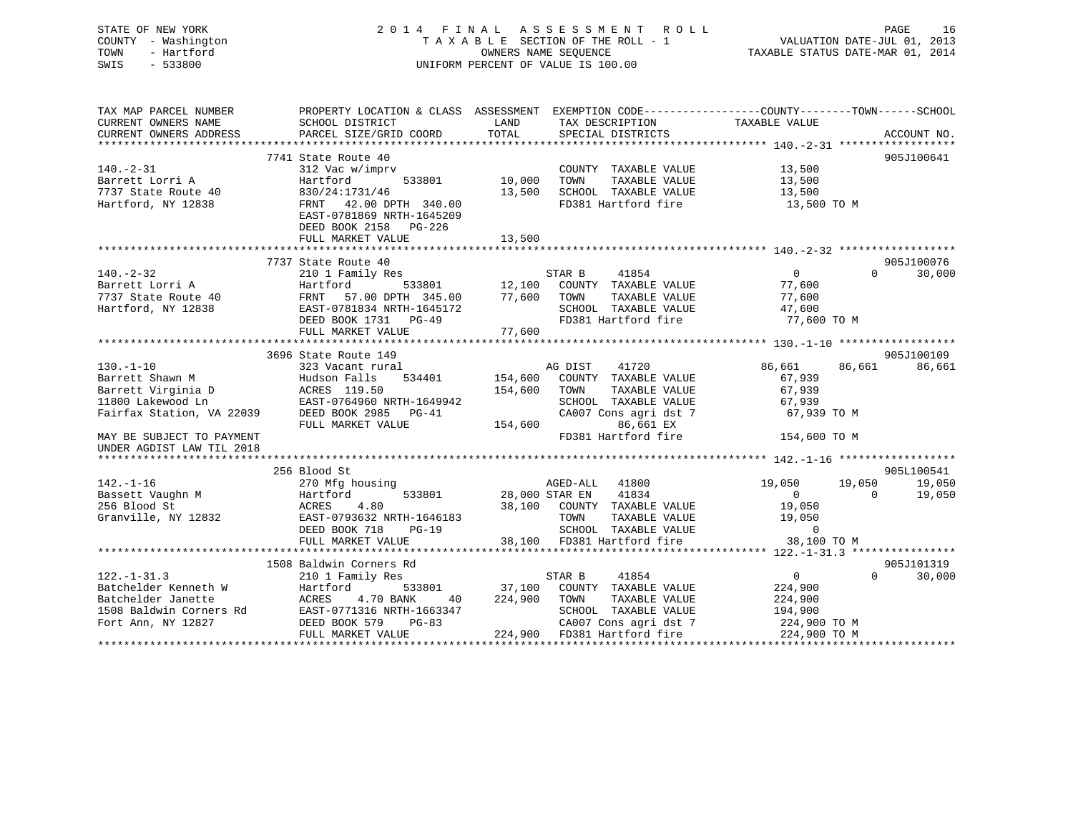| STATE OF NEW YORK<br>COUNTY - Washington<br>- Hartford<br>TOWN<br>SWIS<br>$-533800$ |                                                                                                                     |         | 2014 FINAL ASSESSMENT ROLL<br>TAXABLE SECTION OF THE ROLL - 1<br>OWNERS NAME SEOUENCE<br>UNIFORM PERCENT OF VALUE IS 100.00 | VALUATION DATE-JUL 01, 2013<br>TAXABLE STATUS DATE-MAR 01, 2014 | PAGE<br>16  |
|-------------------------------------------------------------------------------------|---------------------------------------------------------------------------------------------------------------------|---------|-----------------------------------------------------------------------------------------------------------------------------|-----------------------------------------------------------------|-------------|
| TAX MAP PARCEL NUMBER<br>CURRENT OWNERS NAME                                        | PROPERTY LOCATION & CLASS ASSESSMENT EXEMPTION CODE----------------COUNTY-------TOWN------SCHOOL<br>SCHOOL DISTRICT | LAND    | TAX DESCRIPTION                                                                                                             | TAXABLE VALUE                                                   |             |
| CURRENT OWNERS ADDRESS                                                              | PARCEL SIZE/GRID COORD                                                                                              | TOTAL   | SPECIAL DISTRICTS                                                                                                           |                                                                 | ACCOUNT NO. |
|                                                                                     |                                                                                                                     |         |                                                                                                                             |                                                                 |             |
|                                                                                     | 7741 State Route 40                                                                                                 |         |                                                                                                                             |                                                                 | 905J100641  |
| $140. - 2 - 31$<br>Barrett Lorri A                                                  | 312 Vac w/imprv<br>Hartford<br>533801                                                                               | 10,000  | COUNTY TAXABLE VALUE<br>TAXABLE VALUE<br>TOWN                                                                               | 13,500<br>13,500                                                |             |
| 7737 State Route 40                                                                 | 830/24:1731/46                                                                                                      | 13,500  | SCHOOL TAXABLE VALUE                                                                                                        | 13,500                                                          |             |
| Hartford, NY 12838                                                                  | FRNT 42.00 DPTH 340.00<br>EAST-0781869 NRTH-1645209                                                                 |         | FD381 Hartford fire                                                                                                         | 13,500 TO M                                                     |             |
|                                                                                     | DEED BOOK 2158 PG-226                                                                                               |         |                                                                                                                             |                                                                 |             |
|                                                                                     | FULL MARKET VALUE                                                                                                   | 13,500  |                                                                                                                             |                                                                 |             |
|                                                                                     | 7737 State Route 40                                                                                                 |         |                                                                                                                             |                                                                 | 905J100076  |
| $140. - 2 - 32$                                                                     | 210 1 Family Res                                                                                                    |         | 41854<br>STAR B                                                                                                             | $\overline{0}$<br>$\Omega$                                      | 30,000      |
| Barrett Lorri A                                                                     | 533801<br>Hartford                                                                                                  | 12,100  | COUNTY TAXABLE VALUE                                                                                                        | 77,600                                                          |             |
| 7737 State Route 40                                                                 | FRNT<br>57.00 DPTH 345.00                                                                                           | 77,600  | TAXABLE VALUE<br>TOWN                                                                                                       | 77,600                                                          |             |
| Hartford, NY 12838                                                                  | EAST-0781834 NRTH-1645172                                                                                           |         | SCHOOL TAXABLE VALUE                                                                                                        | 47,600                                                          |             |
|                                                                                     | DEED BOOK 1731<br>PG-49                                                                                             |         | FD381 Hartford fire                                                                                                         | 77,600 TO M                                                     |             |
|                                                                                     | FULL MARKET VALUE                                                                                                   | 77,600  |                                                                                                                             |                                                                 |             |
|                                                                                     |                                                                                                                     |         |                                                                                                                             |                                                                 |             |
|                                                                                     | 3696 State Route 149                                                                                                |         |                                                                                                                             |                                                                 | 905J100109  |
| $130. - 1 - 10$                                                                     | 323 Vacant rural                                                                                                    |         | AG DIST<br>41720                                                                                                            | 86,661<br>86,661                                                | 86,661      |
| Barrett Shawn M                                                                     | Hudson Falls<br>534401                                                                                              | 154,600 | COUNTY TAXABLE VALUE                                                                                                        | 67,939                                                          |             |
| Barrett Virginia D                                                                  | ACRES 119.50                                                                                                        | 154,600 | TAXABLE VALUE<br>TOWN                                                                                                       | 67,939                                                          |             |
| 11800 Lakewood Ln                                                                   | EAST-0764960 NRTH-1649942                                                                                           |         | SCHOOL TAXABLE VALUE                                                                                                        | 67,939                                                          |             |
| Fairfax Station, VA 22039                                                           | DEED BOOK 2985 PG-41                                                                                                |         | CA007 Cons agri dst 7                                                                                                       | 67,939 TO M                                                     |             |
| MAY BE SUBJECT TO PAYMENT                                                           | FULL MARKET VALUE                                                                                                   | 154,600 | 86,661 EX<br>FD381 Hartford fire                                                                                            | 154,600 TO M                                                    |             |
| UNDER AGDIST LAW TIL 2018                                                           |                                                                                                                     |         |                                                                                                                             |                                                                 |             |
|                                                                                     |                                                                                                                     |         |                                                                                                                             |                                                                 |             |
|                                                                                     | 256 Blood St                                                                                                        |         |                                                                                                                             |                                                                 | 905L100541  |
| $142. - 1 - 16$                                                                     | 270 Mfg housing                                                                                                     |         | AGED-ALL<br>41800                                                                                                           | 19,050<br>19,050                                                | 19,050      |
| Bassett Vaughn M                                                                    | 533801<br>Hartford                                                                                                  |         | 28,000 STAR EN<br>41834                                                                                                     | $\Omega$<br>$\mathbf{0}$                                        | 19,050      |
| 256 Blood St                                                                        | 4.80<br>ACRES                                                                                                       | 38,100  | COUNTY TAXABLE VALUE                                                                                                        | 19,050                                                          |             |
| Granville, NY 12832                                                                 | EAST-0793632 NRTH-1646183                                                                                           |         | TAXABLE VALUE<br>TOWN                                                                                                       | 19,050                                                          |             |
|                                                                                     | DEED BOOK 718<br>$PG-19$                                                                                            |         | SCHOOL TAXABLE VALUE                                                                                                        | $\Omega$                                                        |             |
|                                                                                     | FULL MARKET VALUE                                                                                                   | 38,100  | FD381 Hartford fire                                                                                                         | 38,100 TO M                                                     |             |
|                                                                                     |                                                                                                                     |         |                                                                                                                             |                                                                 |             |
|                                                                                     | 1508 Baldwin Corners Rd                                                                                             |         |                                                                                                                             |                                                                 | 905J101319  |
| $122. - 1 - 31.3$                                                                   | 210 1 Family Res                                                                                                    |         | STAR B<br>41854                                                                                                             | $\overline{0}$<br>$\Omega$                                      | 30,000      |
| Batchelder Kenneth W                                                                | 533801<br>Hartford                                                                                                  | 37,100  | COUNTY TAXABLE VALUE                                                                                                        | 224,900                                                         |             |
| Batchelder Janette                                                                  | ACRES<br>4.70 BANK<br>40                                                                                            | 224,900 | TOWN<br>TAXABLE VALUE                                                                                                       | 224,900                                                         |             |
| 1508 Baldwin Corners Rd                                                             | EAST-0771316 NRTH-1663347                                                                                           |         | SCHOOL TAXABLE VALUE                                                                                                        | 194,900                                                         |             |
| Fort Ann, NY 12827                                                                  | DEED BOOK 579<br>$PG-83$<br>FULL MARKET VALUE                                                                       | 224,900 | CA007 Cons agri dst 7<br>FD381 Hartford fire                                                                                | 224,900 TO M<br>224,900 TO M                                    |             |
|                                                                                     |                                                                                                                     |         |                                                                                                                             |                                                                 |             |

\*\*\*\*\*\*\*\*\*\*\*\*\*\*\*\*\*\*\*\*\*\*\*\*\*\*\*\*\*\*\*\*\*\*\*\*\*\*\*\*\*\*\*\*\*\*\*\*\*\*\*\*\*\*\*\*\*\*\*\*\*\*\*\*\*\*\*\*\*\*\*\*\*\*\*\*\*\*\*\*\*\*\*\*\*\*\*\*\*\*\*\*\*\*\*\*\*\*\*\*\*\*\*\*\*\*\*\*\*\*\*\*\*\*\*\*\*\*\*\*\*\*\*\*\*\*\*\*\*\*\*\*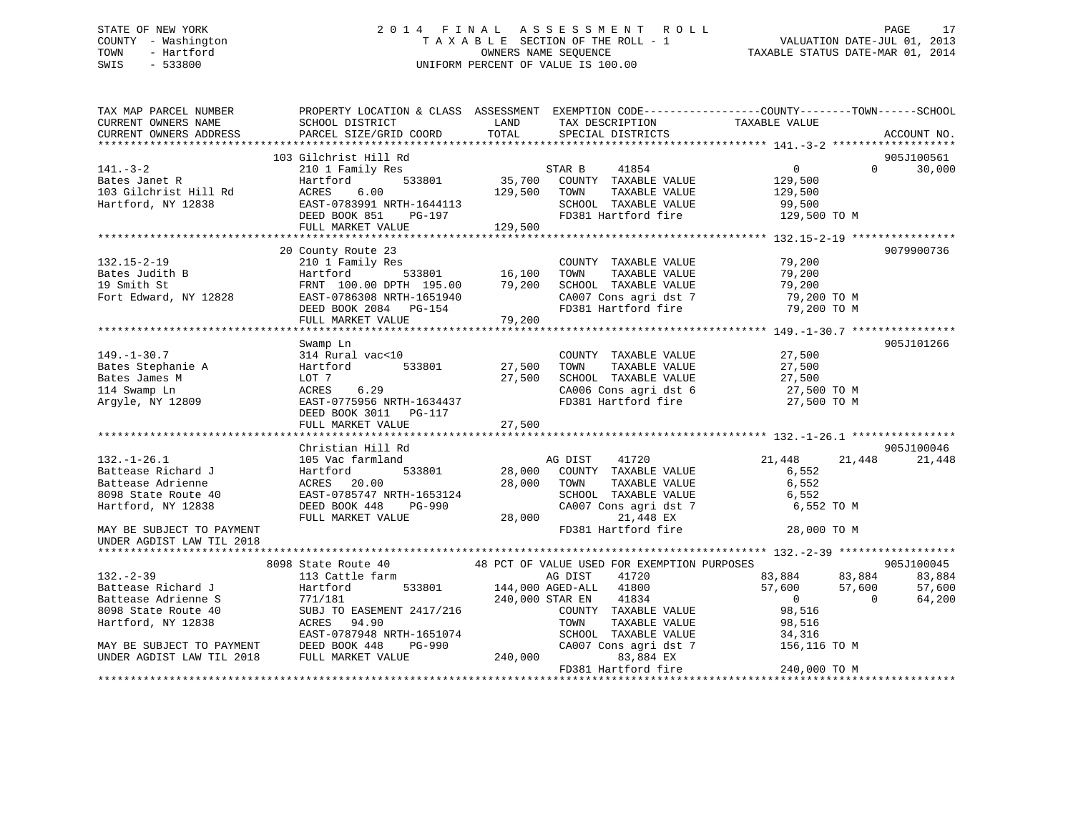### STATE OF NEW YORK 2 0 1 4 F I N A L A S S E S S M E N T R O L L PAGE 17COUNTY - Washington  $\begin{array}{ccc}\n 1 & 0 & 0 \\
 7 & 4 & 7 & 8 \\
 1 & 0 & 0 \\
 2 & 0 & 0 \\
 3 & 0 & 0 \\
 4 & 0 & 0 \\
 5 & 0 & 0 \\
 6 & 0 & 0 \\
 7 & 0 & 0 \\
 8 & 0 & 0 \\
 9 & 0 & 0 \\
 1 & 0 & 0 \\
 1 & 0 & 0 \\
 1 & 0 & 0 \\
 1 & 0 & 0 \\
 1 & 0 & 0 \\
 1 & 0 & 0 \\
 1 & 0 & 0 \\
 1 & 0 & 0 \\
 1 & 0 & 0 \\
 1 & 0 & 0 \\$ OWNERS NAME SEQUENCE TAXABLE STATUS DATE-MAR 01, 2014 SWIS - 533800 UNIFORM PERCENT OF VALUE IS 100.00

| TAX MAP PARCEL NUMBER     | PROPERTY LOCATION & CLASS ASSESSMENT EXEMPTION CODE----------------COUNTY-------TOWN------SCHOOL |         |                                             |                           |                        |
|---------------------------|--------------------------------------------------------------------------------------------------|---------|---------------------------------------------|---------------------------|------------------------|
| CURRENT OWNERS NAME       | SCHOOL DISTRICT                                                                                  | LAND    | TAX DESCRIPTION                             | TAXABLE VALUE             |                        |
| CURRENT OWNERS ADDRESS    | PARCEL SIZE/GRID COORD                                                                           | TOTAL   | SPECIAL DISTRICTS                           |                           | ACCOUNT NO.            |
|                           |                                                                                                  |         |                                             |                           |                        |
| $141. - 3 - 2$            | 103 Gilchrist Hill Rd                                                                            |         | 41854                                       |                           | 905J100561<br>$\Omega$ |
| Bates Janet R             | 210 1 Family Res<br>533801<br>Hartford                                                           | 35,700  | STAR B<br>COUNTY TAXABLE VALUE              | $\overline{0}$<br>129,500 | 30,000                 |
| 103 Gilchrist Hill Rd     | ACRES<br>6.00                                                                                    | 129,500 | TOWN<br>TAXABLE VALUE                       | 129,500                   |                        |
| Hartford, NY 12838        | EAST-0783991 NRTH-1644113                                                                        |         | SCHOOL TAXABLE VALUE                        | 99,500                    |                        |
|                           | DEED BOOK 851<br>PG-197                                                                          |         | FD381 Hartford fire                         | 129,500 TO M              |                        |
|                           | FULL MARKET VALUE                                                                                | 129,500 |                                             |                           |                        |
|                           |                                                                                                  |         |                                             |                           |                        |
|                           | 20 County Route 23                                                                               |         |                                             |                           | 9079900736             |
| $132.15 - 2 - 19$         | 210 1 Family Res                                                                                 |         | COUNTY TAXABLE VALUE                        | 79,200                    |                        |
| Bates Judith B            | 533801<br>Hartford                                                                               | 16,100  | TOWN<br>TAXABLE VALUE                       | 79,200                    |                        |
| 19 Smith St               | FRNT 100.00 DPTH 195.00                                                                          | 79,200  | SCHOOL TAXABLE VALUE                        | 79,200                    |                        |
| Fort Edward, NY 12828     | EAST-0786308 NRTH-1651940                                                                        |         | CA007 Cons agri dst 7                       | 79,200 TO M               |                        |
|                           | DEED BOOK 2084 PG-154                                                                            |         | FD381 Hartford fire                         | 79,200 TO M               |                        |
|                           | FULL MARKET VALUE                                                                                | 79,200  |                                             |                           |                        |
|                           |                                                                                                  |         |                                             |                           |                        |
|                           | Swamp Ln                                                                                         |         |                                             |                           | 905J101266             |
| $149. - 1 - 30.7$         | 314 Rural vac<10                                                                                 |         | COUNTY TAXABLE VALUE                        | 27,500                    |                        |
| Bates Stephanie A         | 533801<br>Hartford                                                                               | 27,500  | TOWN<br>TAXABLE VALUE                       | 27,500                    |                        |
| Bates James M             | LOT 7                                                                                            | 27,500  | SCHOOL TAXABLE VALUE                        | 27,500                    |                        |
| 114 Swamp Ln              | 6.29<br>ACRES                                                                                    |         | CA006 Cons agri dst 6                       | 27,500 TO M               |                        |
| Argyle, NY 12809          | EAST-0775956 NRTH-1634437                                                                        |         | FD381 Hartford fire                         | 27,500 TO M               |                        |
|                           | DEED BOOK 3011 PG-117                                                                            |         |                                             |                           |                        |
|                           | FULL MARKET VALUE                                                                                | 27,500  |                                             |                           |                        |
|                           |                                                                                                  |         |                                             |                           |                        |
|                           | Christian Hill Rd                                                                                |         |                                             |                           | 905J100046             |
| $132. - 1 - 26.1$         | 105 Vac farmland                                                                                 |         | AG DIST<br>41720                            | 21,448                    | 21,448<br>21,448       |
| Battease Richard J        | 533801<br>Hartford                                                                               | 28,000  | COUNTY TAXABLE VALUE                        | 6,552                     |                        |
| Battease Adrienne         | ACRES 20.00                                                                                      | 28,000  | TAXABLE VALUE<br>TOWN                       | 6,552                     |                        |
| 8098 State Route 40       | EAST-0785747 NRTH-1653124                                                                        |         | SCHOOL TAXABLE VALUE                        | 6,552                     |                        |
| Hartford, NY 12838        | DEED BOOK 448<br>PG-990                                                                          |         | CA007 Cons agri dst 7                       | 6,552 TO M                |                        |
|                           | FULL MARKET VALUE                                                                                | 28,000  | 21,448 EX                                   |                           |                        |
| MAY BE SUBJECT TO PAYMENT |                                                                                                  |         | FD381 Hartford fire                         | 28,000 TO M               |                        |
| UNDER AGDIST LAW TIL 2018 |                                                                                                  |         |                                             |                           |                        |
|                           | 8098 State Route 40                                                                              |         | 48 PCT OF VALUE USED FOR EXEMPTION PURPOSES |                           | 905J100045             |
| $132 - 2 - 39$            | 113 Cattle farm                                                                                  |         | AG DIST<br>41720                            | 83,884                    | 83,884<br>83,884       |
| Battease Richard J        | Hartford<br>533801                                                                               |         | 41800<br>144,000 AGED-ALL                   | 57,600                    | 57,600<br>57,600       |
| Battease Adrienne S       | 771/181                                                                                          |         | 240,000 STAR EN<br>41834                    | $\overline{0}$            | 64,200<br>$\Omega$     |
| 8098 State Route 40       | SUBJ TO EASEMENT 2417/216                                                                        |         | COUNTY TAXABLE VALUE                        | 98,516                    |                        |
| Hartford, NY 12838        | ACRES 94.90                                                                                      |         | TOWN<br>TAXABLE VALUE                       | 98,516                    |                        |
|                           | EAST-0787948 NRTH-1651074                                                                        |         | SCHOOL TAXABLE VALUE                        | 34,316                    |                        |
| MAY BE SUBJECT TO PAYMENT | DEED BOOK 448<br>PG-990                                                                          |         | CA007 Cons agri dst 7                       | 156,116 TO M              |                        |
| UNDER AGDIST LAW TIL 2018 | FULL MARKET VALUE                                                                                | 240,000 | 83,884 EX                                   |                           |                        |
|                           |                                                                                                  |         | FD381 Hartford fire                         | 240,000 TO M              |                        |
|                           |                                                                                                  |         |                                             |                           |                        |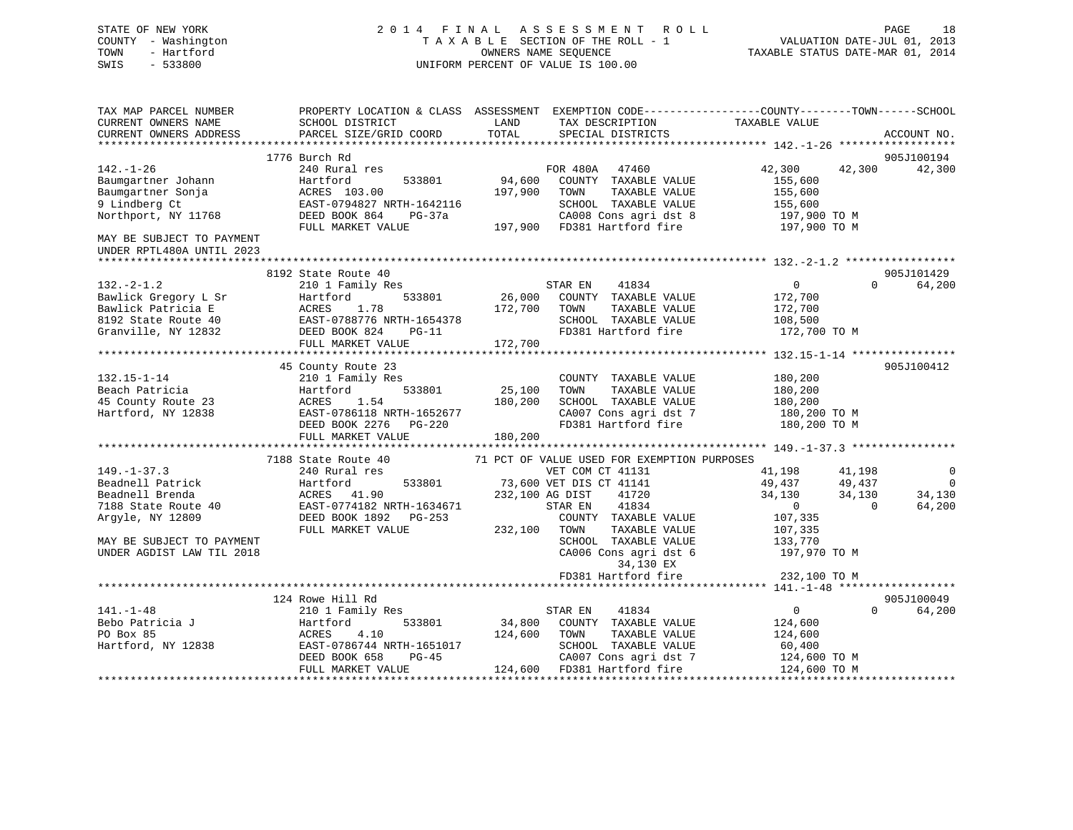## STATE OF NEW YORK 2 0 1 4 F I N A L A S S E S S M E N T R O L L PAGE 18 COUNTY - Washington T A X A B L E SECTION OF THE ROLL - 1 VALUATION DATE-JUL 01, 2013 TOWN - Hartford **TAXABLE STATUS DATE-MAR 01, 2014** OWNERS NAME SEQUENCE TAXABLE STATUS DATE-MAR 01, 2014 SWIS - 533800 UNIFORM PERCENT OF VALUE IS 100.00

| EXEMPTION CODE----------------COUNTY-------TOWN------SCHOOL<br>TAX MAP PARCEL NUMBER<br>PROPERTY LOCATION & CLASS ASSESSMENT<br>CURRENT OWNERS NAME<br>SCHOOL DISTRICT<br>LAND<br>TAX DESCRIPTION | TAXABLE VALUE    |                    |
|---------------------------------------------------------------------------------------------------------------------------------------------------------------------------------------------------|------------------|--------------------|
| TOTAL<br>CURRENT OWNERS ADDRESS<br>PARCEL SIZE/GRID COORD<br>SPECIAL DISTRICTS                                                                                                                    |                  | ACCOUNT NO.        |
| *************************                                                                                                                                                                         |                  |                    |
| 1776 Burch Rd                                                                                                                                                                                     |                  | 905J100194         |
| $142. - 1 - 26$<br>240 Rural res<br>FOR 480A 47460                                                                                                                                                | 42,300<br>42,300 | 42,300             |
| 94,600<br>Baumgartner Johann<br>Hartford<br>533801<br>COUNTY TAXABLE VALUE                                                                                                                        | 155,600          |                    |
| Baumgartner Sonja<br>197,900<br>TOWN<br>TAXABLE VALUE<br>ACRES 103.00                                                                                                                             | 155,600          |                    |
| 9 Lindberg Ct<br>EAST-0794827 NRTH-1642116<br>SCHOOL TAXABLE VALUE                                                                                                                                | 155,600          |                    |
| Northport, NY 11768<br>DEED BOOK 864<br>$PG-37a$<br>CA008 Cons agri dst 8                                                                                                                         | 197,900 TO M     |                    |
| 197,900 FD381 Hartford fire<br>FULL MARKET VALUE                                                                                                                                                  | 197,900 TO M     |                    |
| MAY BE SUBJECT TO PAYMENT<br>UNDER RPTL480A UNTIL 2023                                                                                                                                            |                  |                    |
| ******************                                                                                                                                                                                |                  |                    |
| 8192 State Route 40                                                                                                                                                                               |                  | 905J101429         |
| $132 - 2 - 1.2$<br>210 1 Family Res<br>STAR EN<br>41834                                                                                                                                           | $\mathbf{0}$     | $\cap$<br>64,200   |
| 26,000 COUNTY TAXABLE VALUE<br>Bawlick Gregory L Sr<br>Hartford<br>533801                                                                                                                         | 172,700          |                    |
| Bawlick Patricia E<br>ACRES<br>1.78<br>172,700<br>TOWN<br>TAXABLE VALUE                                                                                                                           | 172,700          |                    |
| 8192 State Route 40<br>EAST-0788776 NRTH-1654378<br>SCHOOL TAXABLE VALUE                                                                                                                          | 108,500          |                    |
| FD381 Hartford fire<br>Granville, NY 12832<br>DEED BOOK 824<br>$PG-11$                                                                                                                            | 172,700 TO M     |                    |
| FULL MARKET VALUE<br>172,700                                                                                                                                                                      |                  |                    |
|                                                                                                                                                                                                   |                  |                    |
| 45 County Route 23                                                                                                                                                                                |                  | 905J100412         |
| $132.15 - 1 - 14$<br>210 1 Family Res<br>COUNTY TAXABLE VALUE                                                                                                                                     | 180,200          |                    |
| 533801<br>25,100<br>TAXABLE VALUE<br>Beach Patricia<br>Hartford<br>TOWN                                                                                                                           | 180,200          |                    |
| 45 County Route 23<br>1.54<br>180,200<br>SCHOOL TAXABLE VALUE<br>ACRES                                                                                                                            | 180,200          |                    |
| Hartford, NY 12838<br>EAST-0786118 NRTH-1652677<br>CA007 Cons agri dst 7                                                                                                                          | 180,200 TO M     |                    |
| FD381 Hartford fire<br>DEED BOOK 2276<br>PG-220                                                                                                                                                   | 180,200 TO M     |                    |
| 180,200<br>FULL MARKET VALUE                                                                                                                                                                      |                  |                    |
|                                                                                                                                                                                                   |                  |                    |
| 7188 State Route 40<br>71 PCT OF VALUE USED FOR EXEMPTION PURPOSES                                                                                                                                |                  |                    |
| $149. - 1 - 37.3$<br>240 Rural res<br>VET COM CT 41131                                                                                                                                            | 41,198<br>41,198 | 0                  |
| 533801<br>Beadnell Patrick<br>73,600 VET DIS CT 41141<br>Hartford                                                                                                                                 | 49,437<br>49,437 | $\Omega$           |
| Beadnell Brenda<br>ACRES 41.90<br>232,100 AG DIST<br>41720                                                                                                                                        | 34,130<br>34,130 | 34,130             |
| 7188 State Route 40<br>EAST-0774182 NRTH-1634671<br>41834<br>STAR EN                                                                                                                              | $\overline{0}$   | 64,200<br>$\Omega$ |
| Argyle, NY 12809<br>DEED BOOK 1892 PG-253<br>COUNTY TAXABLE VALUE                                                                                                                                 | 107,335          |                    |
| FULL MARKET VALUE<br>232,100<br>TAXABLE VALUE<br>TOWN                                                                                                                                             | 107,335          |                    |
| SCHOOL TAXABLE VALUE<br>MAY BE SUBJECT TO PAYMENT                                                                                                                                                 | 133,770          |                    |
| UNDER AGDIST LAW TIL 2018<br>CA006 Cons agri dst 6                                                                                                                                                | 197,970 TO M     |                    |
| 34,130 EX                                                                                                                                                                                         |                  |                    |
| FD381 Hartford fire                                                                                                                                                                               | 232,100 TO M     |                    |
|                                                                                                                                                                                                   |                  |                    |
| 124 Rowe Hill Rd                                                                                                                                                                                  |                  | 905J100049         |
| $141. - 1 - 48$<br>41834<br>210 1 Family Res<br>STAR EN                                                                                                                                           | $\overline{0}$   | $\Omega$<br>64,200 |
| 34,800<br>Bebo Patricia J<br>533801<br>Hartford<br>COUNTY TAXABLE VALUE                                                                                                                           | 124,600          |                    |
| PO Box 85<br>4.10<br>124,600<br>ACRES<br>TOWN<br>TAXABLE VALUE                                                                                                                                    | 124,600          |                    |
| EAST-0786744 NRTH-1651017<br>Hartford, NY 12838<br>SCHOOL TAXABLE VALUE                                                                                                                           | 60,400           |                    |
| CA007 Cons agri dst 7<br>DEED BOOK 658<br>$PG-45$                                                                                                                                                 | 124,600 TO M     |                    |
| 124,600 FD381 Hartford fire<br>FULL MARKET VALUE                                                                                                                                                  | 124,600 TO M     |                    |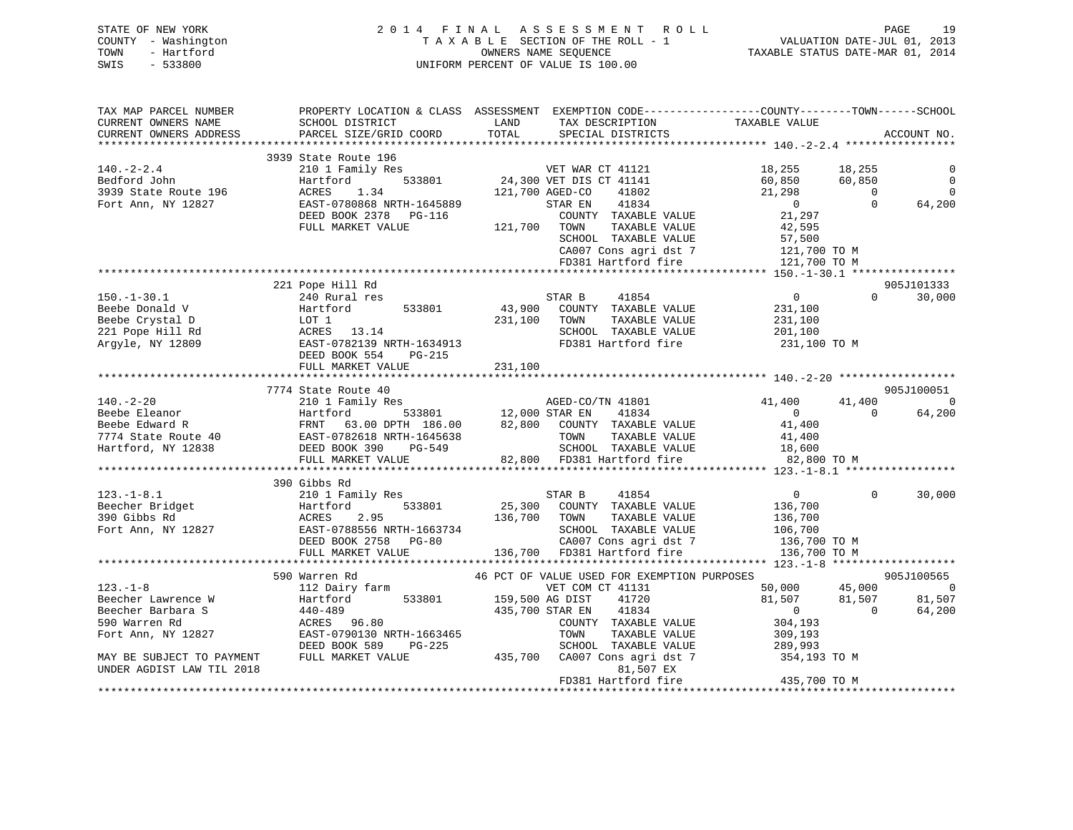| STATE OF NEW YORK   | 2014 FINAL ASSESSMENT ROLL         | 19<br>PAGE                       |
|---------------------|------------------------------------|----------------------------------|
| COUNTY - Washington | TAXABLE SECTION OF THE ROLL - 1    | VALUATION DATE-JUL 01, 2013      |
| TOWN<br>- Hartford  | OWNERS NAME SEOUENCE               | TAXABLE STATUS DATE-MAR 01, 2014 |
| SWIS<br>$-533800$   | UNIFORM PERCENT OF VALUE IS 100.00 |                                  |

| TAX MAP PARCEL NUMBER     | PROPERTY LOCATION & CLASS ASSESSMENT EXEMPTION CODE-----------------COUNTY-------TOWN------SCHOOL                                                                                                                                                               |                       |                                                                                                                                                                                                                                                       |                                                     |                  |                |               |                 |                       |   |                |                        |        |                      |        |   |  |  |        |  |          |
|---------------------------|-----------------------------------------------------------------------------------------------------------------------------------------------------------------------------------------------------------------------------------------------------------------|-----------------------|-------------------------------------------------------------------------------------------------------------------------------------------------------------------------------------------------------------------------------------------------------|-----------------------------------------------------|------------------|----------------|---------------|-----------------|-----------------------|---|----------------|------------------------|--------|----------------------|--------|---|--|--|--------|--|----------|
| CURRENT OWNERS NAME       | SCHOOL DISTRICT                                                                                                                                                                                                                                                 | LAND                  | TAX DESCRIPTION                                                                                                                                                                                                                                       | TAXABLE VALUE                                       |                  |                |               |                 |                       |   |                |                        |        |                      |        |   |  |  |        |  |          |
| CURRENT OWNERS ADDRESS    | SCHOOL DISTRICT<br>PARCEL SIZE/GRID COORD                                                                                                                                                                                                                       | TOTAL                 | SPECIAL DISTRICTS                                                                                                                                                                                                                                     |                                                     |                  | ACCOUNT NO.    |               |                 |                       |   |                |                        |        |                      |        |   |  |  |        |  |          |
|                           |                                                                                                                                                                                                                                                                 |                       |                                                                                                                                                                                                                                                       |                                                     |                  |                |               |                 |                       |   |                |                        |        |                      |        |   |  |  |        |  |          |
|                           | 3939 State Route 196<br>140.-2-2.4<br>Bedford John Hartford 533801<br>3939 State Route 196 ACRES 1.34<br>Fort Ann, NY 12827 EAST-0780868 NRTH-1645889<br>DEED BOOK 2378 PG-116 121,700 AGED-CO 41802<br>FOR ANABLE VALUE TILL, MARKET VALUE 121,700 TOWN TAXABL |                       |                                                                                                                                                                                                                                                       |                                                     |                  |                |               |                 |                       |   |                |                        |        |                      |        |   |  |  |        |  |          |
|                           |                                                                                                                                                                                                                                                                 |                       |                                                                                                                                                                                                                                                       | 18,255           18,255<br>60,850            60,850 |                  | $\overline{0}$ |               |                 |                       |   |                |                        |        |                      |        |   |  |  |        |  |          |
|                           |                                                                                                                                                                                                                                                                 |                       |                                                                                                                                                                                                                                                       |                                                     |                  | $\overline{0}$ |               |                 |                       |   |                |                        |        |                      |        |   |  |  |        |  |          |
|                           |                                                                                                                                                                                                                                                                 |                       |                                                                                                                                                                                                                                                       | 21,298                                              | 0                | $\overline{0}$ |               |                 |                       |   |                |                        |        |                      |        |   |  |  |        |  |          |
|                           |                                                                                                                                                                                                                                                                 |                       |                                                                                                                                                                                                                                                       |                                                     |                  | 64,200         |               |                 |                       |   |                |                        |        |                      |        |   |  |  |        |  |          |
|                           |                                                                                                                                                                                                                                                                 |                       |                                                                                                                                                                                                                                                       | $\frac{0}{21}$                                      |                  |                |               |                 |                       |   |                |                        |        |                      |        |   |  |  |        |  |          |
|                           |                                                                                                                                                                                                                                                                 |                       | TAXABLE VALUE                                                                                                                                                                                                                                         | 42,595                                              |                  |                |               |                 |                       |   |                |                        |        |                      |        |   |  |  |        |  |          |
|                           |                                                                                                                                                                                                                                                                 |                       | SCHOOL TAXABLE VALUE 57,500<br>CA007 Cons agri dst 7 121,700 TO M<br>FD381 Hartford fire 121,700 TO M                                                                                                                                                 |                                                     |                  |                |               |                 |                       |   |                |                        |        |                      |        |   |  |  |        |  |          |
|                           |                                                                                                                                                                                                                                                                 |                       |                                                                                                                                                                                                                                                       |                                                     |                  |                |               |                 |                       |   |                |                        |        |                      |        |   |  |  |        |  |          |
|                           |                                                                                                                                                                                                                                                                 |                       |                                                                                                                                                                                                                                                       |                                                     |                  |                |               |                 |                       |   |                |                        |        |                      |        |   |  |  |        |  |          |
|                           |                                                                                                                                                                                                                                                                 |                       |                                                                                                                                                                                                                                                       |                                                     |                  |                |               |                 |                       |   |                |                        |        |                      |        |   |  |  |        |  |          |
|                           | 221 Pope Hill Rd                                                                                                                                                                                                                                                |                       |                                                                                                                                                                                                                                                       |                                                     |                  | 905J101333     |               |                 |                       |   |                |                        |        |                      |        |   |  |  |        |  |          |
|                           |                                                                                                                                                                                                                                                                 |                       |                                                                                                                                                                                                                                                       | $\overline{0}$                                      | $\Omega$         | 30,000         |               |                 |                       |   |                |                        |        |                      |        |   |  |  |        |  |          |
|                           | 150.-1-30.1 21 PCC MIT MANIFORM STAR B 41854<br>Beebe Donald V Hartford 533801 43,900 COUNTY TAXABLE VALUE<br>Beebe Crystal D LOT 1 231,100 TOWN TAXABLE VALUE<br>221 Pope Hill Rd ACRES 13.14 SCHOOL TAXABLE VALUE<br>Argyle, NY 1280                          |                       |                                                                                                                                                                                                                                                       | 231,100                                             |                  |                |               |                 |                       |   |                |                        |        |                      |        |   |  |  |        |  |          |
|                           |                                                                                                                                                                                                                                                                 |                       |                                                                                                                                                                                                                                                       | TAXABLE VALUE 231,100                               |                  |                |               |                 |                       |   |                |                        |        |                      |        |   |  |  |        |  |          |
|                           |                                                                                                                                                                                                                                                                 |                       |                                                                                                                                                                                                                                                       | 201,100                                             |                  |                |               |                 |                       |   |                |                        |        |                      |        |   |  |  |        |  |          |
|                           |                                                                                                                                                                                                                                                                 |                       | FD381 Hartford fire 231,100 TO M                                                                                                                                                                                                                      |                                                     |                  |                |               |                 |                       |   |                |                        |        |                      |        |   |  |  |        |  |          |
|                           | DEED BOOK 554 PG-215                                                                                                                                                                                                                                            |                       |                                                                                                                                                                                                                                                       |                                                     |                  |                |               |                 |                       |   |                |                        |        |                      |        |   |  |  |        |  |          |
|                           | FULL MARKET VALUE 231,100                                                                                                                                                                                                                                       |                       |                                                                                                                                                                                                                                                       |                                                     |                  |                |               |                 |                       |   |                |                        |        |                      |        |   |  |  |        |  |          |
|                           |                                                                                                                                                                                                                                                                 |                       |                                                                                                                                                                                                                                                       |                                                     |                  |                |               |                 |                       |   |                |                        |        |                      |        |   |  |  |        |  |          |
|                           | 7774 State Route 40                                                                                                                                                                                                                                             |                       |                                                                                                                                                                                                                                                       |                                                     |                  | 905J100051     |               |                 |                       |   |                |                        |        |                      |        |   |  |  |        |  |          |
|                           | $\n\n\n140.-2-20\n7774\n2101 Family Res\nAGED-CO/TN 41801\n41,400\n\n\nBeebe Eleanor\n2101 Family Res\n12,000 STR R EN 41834\n0\n\n\nBeebe Edward R\nFRNT 63.00 DPTH 186.00\n82,800\nCOUNTY TAXABLE VALUE\n41,400\n\n\n7$                                       | 140.-2-20             | 7774                                                                                                                                                                                                                                                  | 2101 Family Res                                     | AGED-CO/TN 41801 | 41,400         | Beebe Eleanor | 2101 Family Res | 12,000 STR R EN 41834 | 0 | Beebe Edward R | FRNT 63.00 DPTH 186.00 | 82,800 | COUNTY TAXABLE VALUE | 41,400 | 7 |  |  | 41,400 |  | 41,400 0 |
| 140.-2-20                 | 7774                                                                                                                                                                                                                                                            | 2101 Family Res       | AGED-CO/TN 41801                                                                                                                                                                                                                                      | 41,400                                              |                  |                |               |                 |                       |   |                |                        |        |                      |        |   |  |  |        |  |          |
| Beebe Eleanor             | 2101 Family Res                                                                                                                                                                                                                                                 | 12,000 STR R EN 41834 | 0                                                                                                                                                                                                                                                     |                                                     |                  |                |               |                 |                       |   |                |                        |        |                      |        |   |  |  |        |  |          |
| Beebe Edward R            | FRNT 63.00 DPTH 186.00                                                                                                                                                                                                                                          | 82,800                | COUNTY TAXABLE VALUE                                                                                                                                                                                                                                  | 41,400                                              |                  |                |               |                 |                       |   |                |                        |        |                      |        |   |  |  |        |  |          |
| 7                         |                                                                                                                                                                                                                                                                 |                       |                                                                                                                                                                                                                                                       |                                                     |                  |                |               |                 |                       |   |                |                        |        |                      |        |   |  |  |        |  |          |
|                           |                                                                                                                                                                                                                                                                 |                       |                                                                                                                                                                                                                                                       |                                                     | $\overline{0}$   | 64,200         |               |                 |                       |   |                |                        |        |                      |        |   |  |  |        |  |          |
|                           |                                                                                                                                                                                                                                                                 |                       |                                                                                                                                                                                                                                                       |                                                     |                  |                |               |                 |                       |   |                |                        |        |                      |        |   |  |  |        |  |          |
|                           |                                                                                                                                                                                                                                                                 |                       |                                                                                                                                                                                                                                                       |                                                     |                  |                |               |                 |                       |   |                |                        |        |                      |        |   |  |  |        |  |          |
|                           |                                                                                                                                                                                                                                                                 |                       |                                                                                                                                                                                                                                                       |                                                     |                  |                |               |                 |                       |   |                |                        |        |                      |        |   |  |  |        |  |          |
|                           |                                                                                                                                                                                                                                                                 |                       |                                                                                                                                                                                                                                                       | 82,800 TO M                                         |                  |                |               |                 |                       |   |                |                        |        |                      |        |   |  |  |        |  |          |
|                           |                                                                                                                                                                                                                                                                 |                       |                                                                                                                                                                                                                                                       |                                                     |                  |                |               |                 |                       |   |                |                        |        |                      |        |   |  |  |        |  |          |
|                           | 390 Gibbs Rd                                                                                                                                                                                                                                                    |                       |                                                                                                                                                                                                                                                       |                                                     |                  |                |               |                 |                       |   |                |                        |        |                      |        |   |  |  |        |  |          |
|                           |                                                                                                                                                                                                                                                                 |                       |                                                                                                                                                                                                                                                       |                                                     | $\Omega$         | 30,000         |               |                 |                       |   |                |                        |        |                      |        |   |  |  |        |  |          |
|                           |                                                                                                                                                                                                                                                                 |                       |                                                                                                                                                                                                                                                       |                                                     |                  |                |               |                 |                       |   |                |                        |        |                      |        |   |  |  |        |  |          |
|                           |                                                                                                                                                                                                                                                                 |                       |                                                                                                                                                                                                                                                       |                                                     |                  |                |               |                 |                       |   |                |                        |        |                      |        |   |  |  |        |  |          |
|                           |                                                                                                                                                                                                                                                                 |                       |                                                                                                                                                                                                                                                       |                                                     |                  |                |               |                 |                       |   |                |                        |        |                      |        |   |  |  |        |  |          |
|                           | 123.-1-8.1<br>Beecher Bridget and Hamily Res Beecher Bridget and Hamily Res Beecher Bridget and Hamily Res Beecher Bridget<br>390 Gibbs Rd ACRES 2.95 136,700 TOWN TAXABLE VALUE 136,700 TOP 136,700 EAST-0788556 NRTH-1663734 5                                |                       |                                                                                                                                                                                                                                                       |                                                     |                  |                |               |                 |                       |   |                |                        |        |                      |        |   |  |  |        |  |          |
|                           |                                                                                                                                                                                                                                                                 |                       |                                                                                                                                                                                                                                                       |                                                     |                  |                |               |                 |                       |   |                |                        |        |                      |        |   |  |  |        |  |          |
|                           |                                                                                                                                                                                                                                                                 |                       |                                                                                                                                                                                                                                                       |                                                     |                  |                |               |                 |                       |   |                |                        |        |                      |        |   |  |  |        |  |          |
|                           | 590 Warren Rd                                                                                                                                                                                                                                                   |                       | $\begin{tabular}{lllllllllll} 46 & PCT & OF & VALUE & USED & FOR & EXEMPTION & PURPOSES \\ & & VET & COM & CT & 41131 & 50,000 & 45,000 \\ & 159,500 & AG & DIST & 41720 & 81,507 & 81,507 \\ & 435,700 & STAR & EN & 41834 & 0 & 0 \\ \end{tabular}$ |                                                     |                  | 905J100565     |               |                 |                       |   |                |                        |        |                      |        |   |  |  |        |  |          |
| $123. - 1 - 8$            | 112 Dairy farm                                                                                                                                                                                                                                                  |                       |                                                                                                                                                                                                                                                       |                                                     |                  | $\overline{0}$ |               |                 |                       |   |                |                        |        |                      |        |   |  |  |        |  |          |
|                           |                                                                                                                                                                                                                                                                 |                       |                                                                                                                                                                                                                                                       |                                                     |                  | 81,507         |               |                 |                       |   |                |                        |        |                      |        |   |  |  |        |  |          |
|                           |                                                                                                                                                                                                                                                                 |                       |                                                                                                                                                                                                                                                       |                                                     |                  | 64,200         |               |                 |                       |   |                |                        |        |                      |        |   |  |  |        |  |          |
|                           |                                                                                                                                                                                                                                                                 |                       | COUNTY TAXABLE VALUE                                                                                                                                                                                                                                  | 304,193                                             |                  |                |               |                 |                       |   |                |                        |        |                      |        |   |  |  |        |  |          |
|                           |                                                                                                                                                                                                                                                                 |                       |                                                                                                                                                                                                                                                       |                                                     |                  |                |               |                 |                       |   |                |                        |        |                      |        |   |  |  |        |  |          |
|                           |                                                                                                                                                                                                                                                                 |                       |                                                                                                                                                                                                                                                       |                                                     |                  |                |               |                 |                       |   |                |                        |        |                      |        |   |  |  |        |  |          |
|                           | Fort Ann, NY 12827 EAST-0790130 NRTH-1663465 TOWN TAXABLE VALUE 309,193<br>DEED BOOK 589 PG-225 SCHOOL TAXABLE VALUE 289,993<br>NAY BE SUBJECT TO PAYMENT FULL MARKET VALUE 435,700 CA007 Cons agridst 7 354,193 TO M                                           |                       |                                                                                                                                                                                                                                                       |                                                     |                  |                |               |                 |                       |   |                |                        |        |                      |        |   |  |  |        |  |          |
| UNDER AGDIST LAW TIL 2018 |                                                                                                                                                                                                                                                                 |                       | 81,507 EX                                                                                                                                                                                                                                             |                                                     |                  |                |               |                 |                       |   |                |                        |        |                      |        |   |  |  |        |  |          |
|                           |                                                                                                                                                                                                                                                                 |                       | FD381 Hartford fire                                                                                                                                                                                                                                   | 435,700 TO M                                        |                  |                |               |                 |                       |   |                |                        |        |                      |        |   |  |  |        |  |          |
|                           |                                                                                                                                                                                                                                                                 |                       |                                                                                                                                                                                                                                                       |                                                     |                  |                |               |                 |                       |   |                |                        |        |                      |        |   |  |  |        |  |          |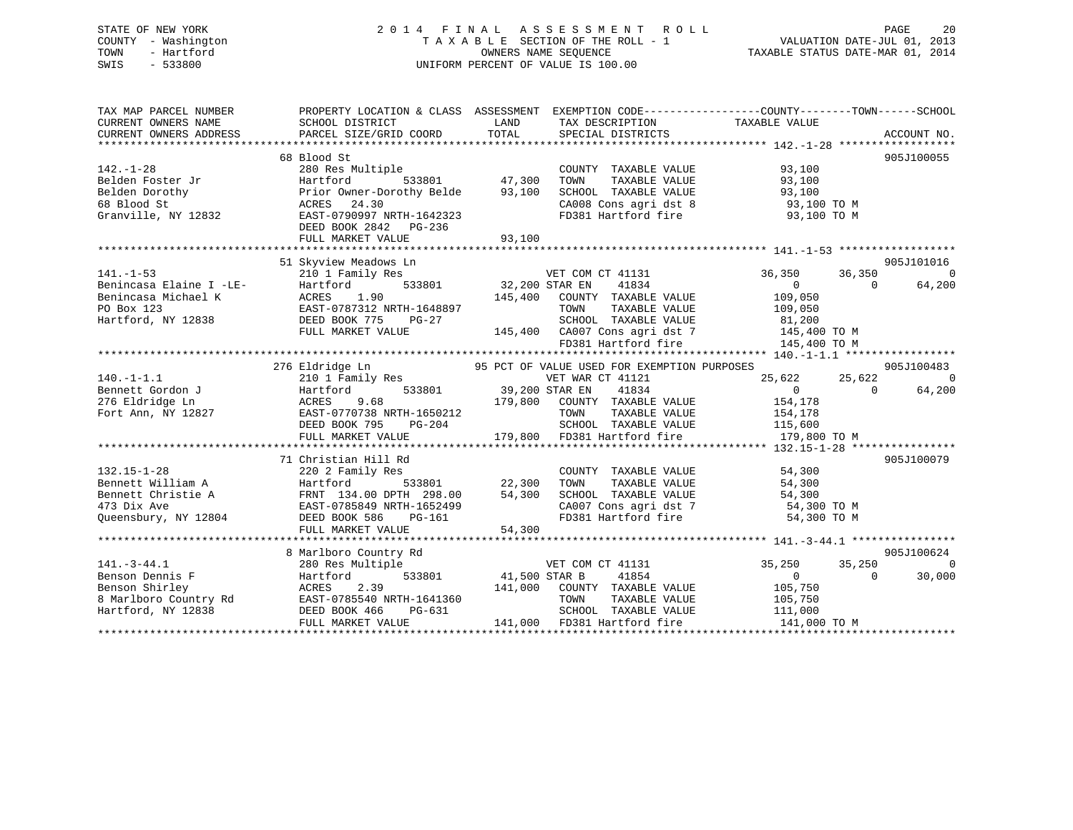## STATE OF NEW YORK 2 0 1 4 F I N A L A S S E S S M E N T R O L L PAGE 20 COUNTY - Washington T A X A B L E SECTION OF THE ROLL - 1 VALUATION DATE-JUL 01, 2013 TOWN - Hartford OWNERS NAME SEQUENCE TAXABLE STATUS DATE-MAR 01, 2014 SWIS - 533800 UNIFORM PERCENT OF VALUE IS 100.00

| TAX MAP PARCEL NUMBER<br>CURRENT OWNERS NAME<br>CURRENT OWNERS ADDRESS                                                                                             | SCHOOL DISTRICT<br>PARCEL SIZE/GRID COORD                                                                                                                                           | LAND<br>TOTAL         | TAX DESCRIPTION TAXABLE VALUE<br>SPECIAL DISTRICTS                                                                                                                                                                            | PROPERTY LOCATION & CLASS ASSESSMENT EXEMPTION CODE----------------COUNTY-------TOWN-----SCHOOL                                       | ACCOUNT NO.                            |
|--------------------------------------------------------------------------------------------------------------------------------------------------------------------|-------------------------------------------------------------------------------------------------------------------------------------------------------------------------------------|-----------------------|-------------------------------------------------------------------------------------------------------------------------------------------------------------------------------------------------------------------------------|---------------------------------------------------------------------------------------------------------------------------------------|----------------------------------------|
| $142. - 1 - 28$<br>Belden Foster Jr<br>Belden Dorothy<br>68 Blood St<br>Granville, NY 12832                                                                        | 68 Blood St<br>280 Res Multiple<br>Hartford<br>533801 47,300<br>Prior Owner-Dorothy Belde<br>ACRES 24.30<br>EAST-0790997 NRTH-1642323<br>DEED BOOK 2842 PG-236<br>FULL MARKET VALUE | 93,100<br>93,100      | COUNTY TAXABLE VALUE<br>TOWN<br>TAXABLE VALUE<br>SCHOOL TAXABLE VALUE<br>FD381 Hartford fire                                                                                                                                  | 93,100<br>93,100<br>93,100<br>CA008 Cons agri dst 8 93,100 TO M<br>93,100 TO M                                                        | 905J100055                             |
|                                                                                                                                                                    |                                                                                                                                                                                     |                       |                                                                                                                                                                                                                               |                                                                                                                                       |                                        |
| $141. - 1 - 53$                                                                                                                                                    | 51 Skyview Meadows Ln<br>210 1 Family Res<br>FULL MARKET VALUE                                                                                                                      | 145,400               | VET COM CT<br>32,200 STAR EN<br>VET COM CT 41131<br>41834<br>COUNTY TAXABLE VALUE<br>TAXABLE VALUE<br>TOWN<br>TOWN TAXABLE VALUE<br>SCHOOL TAXABLE VALUE<br>145,400 CA007 Cons agri dst 7 145,400 TO M<br>FD381 Hartford fire | 36,350<br>36,350<br>$\overline{0}$<br>$\Omega$<br>109,050<br>109,050<br>81,200<br>145,400 TO M                                        | 905J101016<br>$\overline{0}$<br>64,200 |
|                                                                                                                                                                    |                                                                                                                                                                                     |                       |                                                                                                                                                                                                                               |                                                                                                                                       |                                        |
| $140. - 1 - 1.1$<br>Bennett Gordon J                                                                                                                               | 276 Eldridge Ln<br>Hartford<br>DEED BOOK 795 PG-204 2014<br>PULL MARKET VALUE 115,600<br>FULL MARKET VALUE 179,800 FD381 Hartford fire 179,800<br>DEED BOOK 795                     | 533801 39,200 STAR EN | 95 PCT OF VALUE USED FOR EXEMPTION PURPOSES<br>VET WAR CT 41121<br>41834<br>TAXABLE VALUE                                                                                                                                     | 25,622<br>25,622<br>$\overline{0}$<br>$\Omega$<br>154,178<br>154,178<br>179,800 TO M                                                  | 905J100483<br>$\Omega$<br>64,200       |
|                                                                                                                                                                    | 71 Christian Hill Rd                                                                                                                                                                |                       |                                                                                                                                                                                                                               |                                                                                                                                       | 905J100079                             |
| $132.15 - 1 - 28$<br>Bennett William A<br>Bennett Christie A<br>Bennett Christie A<br>TRNT 134.00 DPTH 298.00<br>EAST-0785849 NRTH-1652499<br>Queensbury, NY 12804 | 220 2 Family Res<br>Hartford<br>FRNT 134.00 DPTH 298.00<br>DEED BOOK 586<br>PG-161<br>FULL MARKET VALUE                                                                             | 54,300<br>54,300      | COUNTY TAXABLE VALUE<br>TOWN                                                                                                                                                                                                  | 54,300<br>TAXABLE VALUE 54,300<br>SCHOOL TAXABLE VALUE 54,300<br>CA007 Cons agri dst 7 54,300 TO M<br>FD381 Hartford fire 54,300 TO M |                                        |
|                                                                                                                                                                    |                                                                                                                                                                                     |                       |                                                                                                                                                                                                                               |                                                                                                                                       |                                        |
| $141. - 3 - 44.1$<br>Benson Dennis F<br>Benson Shirley<br>8 Marlboro Country Rd<br>Hartford, NY 12838                                                              | 8 Marlboro Country Rd<br>280 Res Multiple<br>Hartford<br>2.39<br>ACRES<br>EAST-0785540 NRTH-1641360<br>DEED BOOK 466<br>PG-631<br>FULL MARKET VALUE                                 | 533801 41,500 STAR B  | VET COM CT 41131<br>41854<br>141,000 COUNTY TAXABLE VALUE<br>TOWN<br>TAXABLE VALUE<br>SCHOOL TAXABLE VALUE<br>141,000 FD381 Hartford fire                                                                                     | 35,250<br>35,250<br>$0 \qquad \qquad$<br>$\Omega$<br>105,750<br>105,750<br>111,000<br>141,000 TO M                                    | 905J100624<br>$\cap$<br>30,000         |
|                                                                                                                                                                    |                                                                                                                                                                                     |                       |                                                                                                                                                                                                                               |                                                                                                                                       |                                        |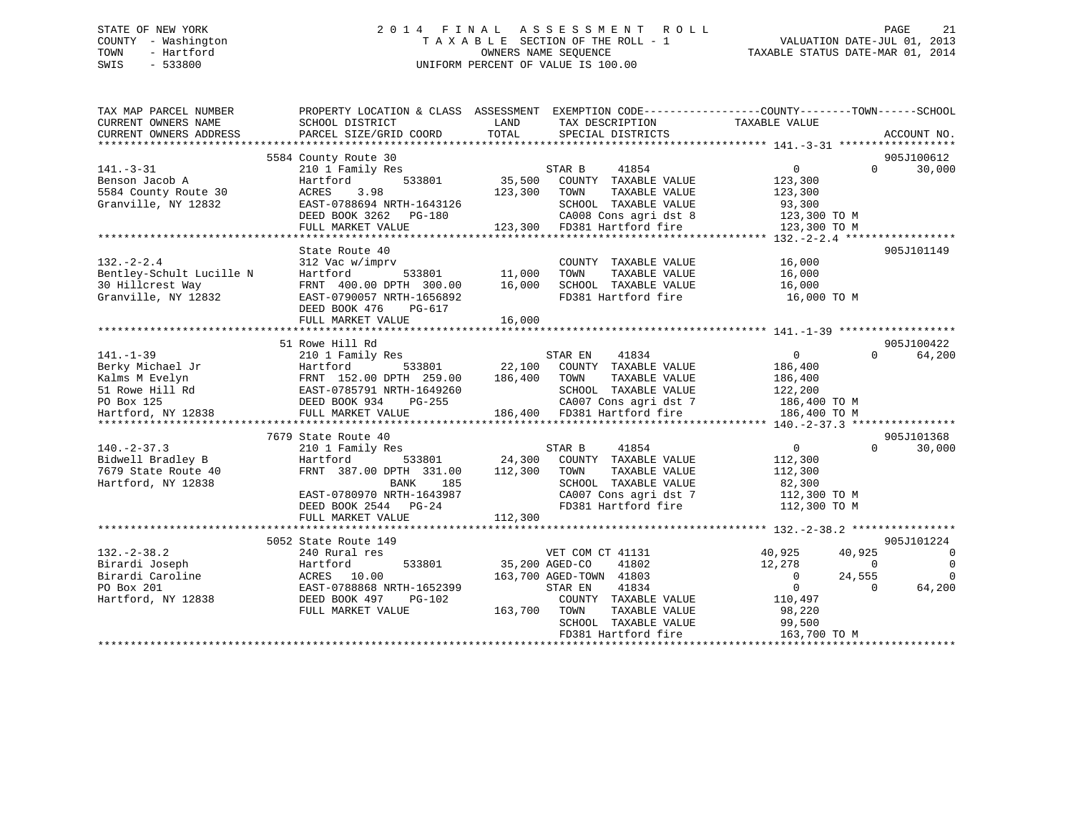## STATE OF NEW YORK 2 0 1 4 F I N A L A S S E S S M E N T R O L L PAGE 21 COUNTY - Washington T A X A B L E SECTION OF THE ROLL - 1 VALUATION DATE-JUL 01, 2013 TOWN - Hartford **TAXABLE STATUS DATE-MAR 01, 2014** OWNERS NAME SEQUENCE TAXABLE STATUS DATE-MAR 01, 2014 SWIS - 533800 UNIFORM PERCENT OF VALUE IS 100.00

| TAX MAP PARCEL NUMBER<br>CURRENT OWNERS NAME<br>CURRENT OWNERS ADDRESS | PROPERTY LOCATION & CLASS ASSESSMENT<br>SCHOOL DISTRICT<br>PARCEL SIZE/GRID COORD | LAND<br>TOTAL  | TAX DESCRIPTION<br>SPECIAL DISTRICTS | EXEMPTION CODE-----------------COUNTY-------TOWN------SCHOOL<br>TAXABLE VALUE | ACCOUNT NO.                |
|------------------------------------------------------------------------|-----------------------------------------------------------------------------------|----------------|--------------------------------------|-------------------------------------------------------------------------------|----------------------------|
|                                                                        |                                                                                   |                |                                      |                                                                               |                            |
|                                                                        | 5584 County Route 30                                                              |                |                                      |                                                                               | 905J100612                 |
| $141. - 3 - 31$                                                        | 210 1 Family Res                                                                  |                | STAR B<br>41854                      | $\overline{0}$                                                                | 30,000<br>$\Omega$         |
| Benson Jacob A                                                         | 533801<br>Hartford                                                                | 35,500         | COUNTY TAXABLE VALUE                 | 123,300                                                                       |                            |
| 5584 County Route 30                                                   | ACRES<br>3.98                                                                     | 123,300        | TOWN<br>TAXABLE VALUE                | 123,300                                                                       |                            |
| Granville, NY 12832                                                    | EAST-0788694 NRTH-1643126                                                         |                | SCHOOL TAXABLE VALUE                 | 93,300                                                                        |                            |
|                                                                        | DEED BOOK 3262 PG-180                                                             |                | CA008 Cons agri dst 8                | 123,300 TO M                                                                  |                            |
|                                                                        | FULL MARKET VALUE                                                                 |                | 123,300 FD381 Hartford fire          | 123,300 TO M                                                                  |                            |
|                                                                        |                                                                                   |                |                                      | **************** 132.-2-2.4 *****************                                 |                            |
|                                                                        | State Route 40                                                                    |                |                                      |                                                                               | 905J101149                 |
| $132 - 2 - 2.4$                                                        | 312 Vac w/imprv                                                                   |                | COUNTY TAXABLE VALUE                 | 16,000                                                                        |                            |
| Bentley-Schult Lucille N                                               | 533801<br>Hartford                                                                | 11,000         | TAXABLE VALUE<br>TOWN                | 16,000                                                                        |                            |
| 30 Hillcrest Way                                                       | FRNT 400.00 DPTH 300.00                                                           | 16,000         | SCHOOL TAXABLE VALUE                 | 16,000                                                                        |                            |
| Granville, NY 12832                                                    | EAST-0790057 NRTH-1656892                                                         |                | FD381 Hartford fire                  | 16,000 TO M                                                                   |                            |
|                                                                        | DEED BOOK 476<br>PG-617                                                           |                |                                      |                                                                               |                            |
|                                                                        | FULL MARKET VALUE                                                                 | 16,000         |                                      |                                                                               |                            |
|                                                                        |                                                                                   |                |                                      |                                                                               |                            |
|                                                                        | 51 Rowe Hill Rd                                                                   |                |                                      |                                                                               | 905J100422                 |
| $141. - 1 - 39$                                                        | 210 1 Family Res                                                                  |                | 41834<br>STAR EN                     | $\overline{0}$                                                                | $\Omega$<br>64,200         |
| Berky Michael Jr                                                       | Hartford<br>533801                                                                | 22,100         | COUNTY TAXABLE VALUE                 | 186,400                                                                       |                            |
| Kalms M Evelyn                                                         | FRNT 152.00 DPTH 259.00                                                           | 186,400        | TOWN<br>TAXABLE VALUE                | 186,400                                                                       |                            |
| 51 Rowe Hill Rd                                                        | EAST-0785791 NRTH-1649260                                                         |                | SCHOOL TAXABLE VALUE                 | 122,200                                                                       |                            |
| PO Box 125                                                             | DEED BOOK 934<br>PG-255                                                           |                | CA007 Cons agri dst 7                | 186,400 TO M                                                                  |                            |
| Hartford, NY 12838                                                     | FULL MARKET VALUE                                                                 |                | 186,400 FD381 Hartford fire          | 186,400 TO M                                                                  |                            |
|                                                                        |                                                                                   |                |                                      |                                                                               |                            |
|                                                                        | 7679 State Route 40                                                               |                |                                      |                                                                               | 905J101368                 |
| $140. - 2 - 37.3$                                                      | 210 1 Family Res                                                                  |                | STAR B<br>41854                      | $\overline{0}$                                                                | $\Omega$<br>30,000         |
| Bidwell Bradley B                                                      | Hartford<br>533801                                                                | 24,300         | COUNTY TAXABLE VALUE                 | 112,300                                                                       |                            |
| 7679 State Route 40                                                    | FRNT 387.00 DPTH 331.00                                                           | 112,300        | TAXABLE VALUE<br>TOWN                | 112,300                                                                       |                            |
| Hartford, NY 12838                                                     | BANK<br>185                                                                       |                | SCHOOL TAXABLE VALUE                 | 82,300                                                                        |                            |
|                                                                        | EAST-0780970 NRTH-1643987                                                         |                | CA007 Cons agri dst 7                | 112,300 TO M                                                                  |                            |
|                                                                        | DEED BOOK 2544 PG-24                                                              |                | FD381 Hartford fire                  | 112,300 TO M                                                                  |                            |
|                                                                        | FULL MARKET VALUE                                                                 | 112,300        |                                      |                                                                               |                            |
|                                                                        |                                                                                   |                |                                      |                                                                               |                            |
|                                                                        | 5052 State Route 149                                                              |                |                                      |                                                                               | 905J101224                 |
| $132 - 2 - 38.2$                                                       | 240 Rural res                                                                     |                | VET COM CT 41131                     | 40,925<br>40,925                                                              | $\overline{0}$             |
| Birardi Joseph                                                         | Hartford<br>533801                                                                | 35,200 AGED-CO | 41802                                | 12,278                                                                        | $\overline{0}$<br>$\Omega$ |
| Birardi Caroline                                                       | 10.00<br>ACRES                                                                    |                | 163,700 AGED-TOWN 41803              | 24,555<br>$\overline{0}$                                                      | $\Omega$                   |
| PO Box 201                                                             | EAST-0788868 NRTH-1652399                                                         |                | 41834<br>STAR EN                     | $\Omega$                                                                      | 64,200<br>$\Omega$         |
| Hartford, NY 12838                                                     | DEED BOOK 497<br>PG-102                                                           |                | COUNTY TAXABLE VALUE                 | 110,497                                                                       |                            |
|                                                                        | FULL MARKET VALUE                                                                 | 163,700        | TOWN<br>TAXABLE VALUE                | 98,220                                                                        |                            |
|                                                                        |                                                                                   |                | SCHOOL TAXABLE VALUE                 | 99,500                                                                        |                            |
|                                                                        |                                                                                   |                | FD381 Hartford fire                  | 163,700 TO M                                                                  |                            |
|                                                                        |                                                                                   |                |                                      |                                                                               |                            |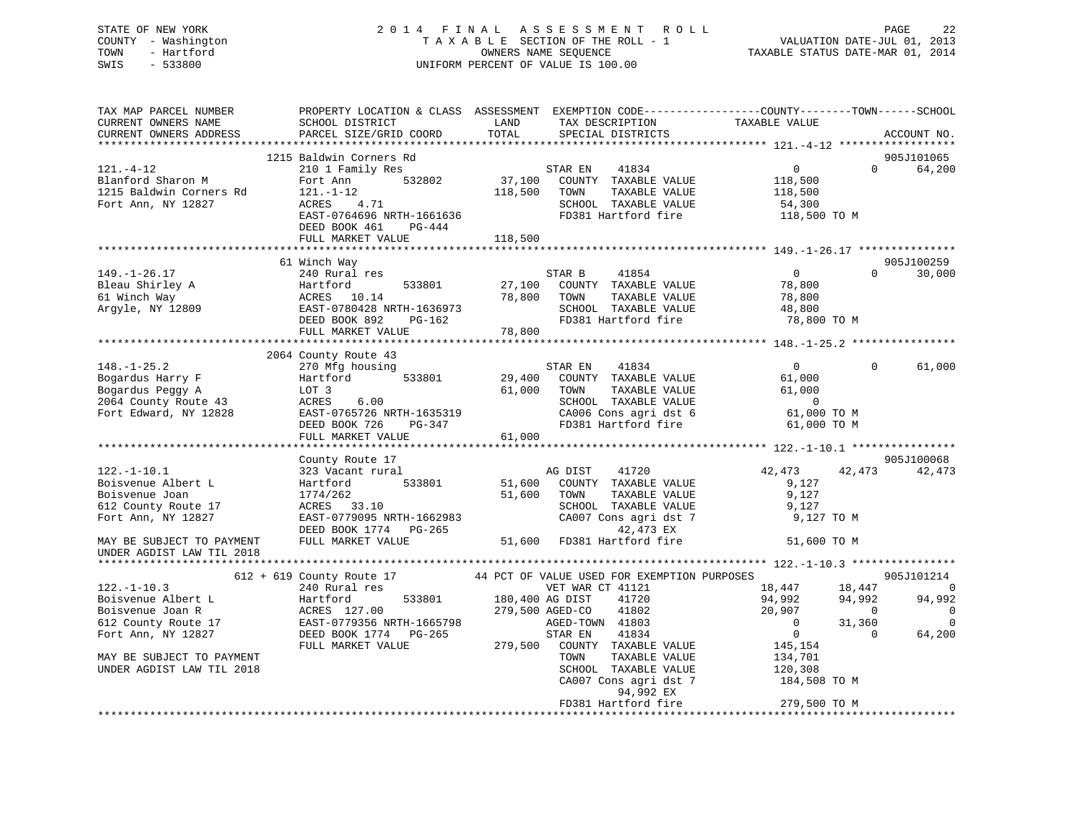## STATE OF NEW YORK 2 0 1 4 F I N A L A S S E S S M E N T R O L L PAGE 22 COUNTY - Washington T A X A B L E SECTION OF THE ROLL - 1 VALUATION DATE-JUL 01, 2013 TOWN - Hartford **TAXABLE STATUS DATE-MAR 01, 2014** OWNERS NAME SEQUENCE TAXABLE STATUS DATE-MAR 01, 2014 SWIS - 533800 UNIFORM PERCENT OF VALUE IS 100.00

| TAX MAP PARCEL NUMBER<br>CURRENT OWNERS NAME | SCHOOL DISTRICT             | LAND            | TAX DESCRIPTION                             | PROPERTY LOCATION & CLASS ASSESSMENT EXEMPTION CODE----------------COUNTY-------TOWN-----SCHOOL<br>TAXABLE VALUE |                  |
|----------------------------------------------|-----------------------------|-----------------|---------------------------------------------|------------------------------------------------------------------------------------------------------------------|------------------|
| CURRENT OWNERS ADDRESS                       | PARCEL SIZE/GRID COORD      | TOTAL           | SPECIAL DISTRICTS                           |                                                                                                                  | ACCOUNT NO.      |
|                                              |                             |                 |                                             |                                                                                                                  |                  |
|                                              | 1215 Baldwin Corners Rd     |                 |                                             |                                                                                                                  | 905J101065       |
| $121. - 4 - 12$                              | 210 1 Family Res            |                 | 41834<br>STAR EN                            | $\overline{0}$<br>$\Omega$                                                                                       | 64,200           |
| Blanford Sharon M                            | 532802<br>Fort Ann          | 37,100          | COUNTY TAXABLE VALUE                        | 118,500                                                                                                          |                  |
| 1215 Baldwin Corners Rd                      | 121.-1-12                   | 118,500         | TAXABLE VALUE<br>TOWN                       | 118,500                                                                                                          |                  |
| Fort Ann, NY 12827                           | 4.71<br>ACRES               |                 | SCHOOL TAXABLE VALUE                        | 54,300                                                                                                           |                  |
|                                              | EAST-0764696 NRTH-1661636   |                 | FD381 Hartford fire                         | 118,500 TO M                                                                                                     |                  |
|                                              | DEED BOOK 461<br>$PG-444$   |                 |                                             |                                                                                                                  |                  |
|                                              | FULL MARKET VALUE           | 118,500         |                                             |                                                                                                                  |                  |
|                                              |                             |                 |                                             |                                                                                                                  |                  |
|                                              | 61 Winch Way                |                 |                                             |                                                                                                                  | 905J100259       |
| $149. - 1 - 26.17$                           | 240 Rural res               |                 | 41854<br>STAR B                             | $\overline{0}$                                                                                                   | $\cap$<br>30,000 |
| Bleau Shirley A                              | 533801<br>Hartford          | 27,100          | COUNTY TAXABLE VALUE                        | 78,800                                                                                                           |                  |
| 61 Winch Way                                 | ACRES 10.14                 | 78,800          | TAXABLE VALUE<br>TOWN                       | 78,800                                                                                                           |                  |
| Argyle, NY 12809                             | EAST-0780428 NRTH-1636973   |                 | SCHOOL TAXABLE VALUE                        | 48,800                                                                                                           |                  |
|                                              | DEED BOOK 892<br>PG-162     |                 | FD381 Hartford fire                         | 78,800 TO M                                                                                                      |                  |
|                                              | FULL MARKET VALUE           | 78,800          |                                             |                                                                                                                  |                  |
|                                              |                             |                 |                                             |                                                                                                                  |                  |
|                                              | 2064 County Route 43        |                 |                                             |                                                                                                                  |                  |
| $148. - 1 - 25.2$                            | 270 Mfg housing             |                 | STAR EN<br>41834                            | $\overline{0}$<br>$\Omega$                                                                                       | 61,000           |
| Bogardus Harry F                             | Hartford<br>533801          | 29,400          | COUNTY TAXABLE VALUE                        | 61,000                                                                                                           |                  |
| Bogardus Peggy A                             | LOT 3                       | 61,000          | TAXABLE VALUE<br>TOWN                       | 61,000                                                                                                           |                  |
|                                              | ACRES<br>6.00               |                 | SCHOOL TAXABLE VALUE                        | $\overline{0}$                                                                                                   |                  |
| 2064 County Route 43                         |                             |                 |                                             |                                                                                                                  |                  |
| Fort Edward, NY 12828                        | EAST-0765726 NRTH-1635319   |                 | CA006 Cons agri dst 6                       | 61,000 TO M                                                                                                      |                  |
|                                              | DEED BOOK 726<br>$PG-347$   | 61,000          | FD381 Hartford fire                         | 61,000 TO M                                                                                                      |                  |
|                                              | FULL MARKET VALUE           |                 |                                             |                                                                                                                  |                  |
|                                              | County Route 17             |                 |                                             |                                                                                                                  | 905J100068       |
| $122. - 1 - 10.1$                            | 323 Vacant rural            |                 | AG DIST<br>41720                            | 42,473<br>42,473                                                                                                 | 42,473           |
| Boisvenue Albert L                           | 533801                      | 51,600          | COUNTY TAXABLE VALUE                        | 9,127                                                                                                            |                  |
| Boisvenue Joan                               | Hartford                    |                 | TAXABLE VALUE<br>TOWN                       | 9,127                                                                                                            |                  |
|                                              | 1774/262                    | 51,600          |                                             |                                                                                                                  |                  |
| 612 County Route 17                          | ACRES 33.10                 |                 | SCHOOL TAXABLE VALUE                        | 9,127                                                                                                            |                  |
| Fort Ann, NY 12827                           | EAST-0779095 NRTH-1662983   |                 | CA007 Cons agri dst 7                       | 9,127 TO M                                                                                                       |                  |
|                                              | DEED BOOK 1774 PG-265       |                 | 42,473 EX                                   |                                                                                                                  |                  |
| MAY BE SUBJECT TO PAYMENT                    | FULL MARKET VALUE           | 51,600          | FD381 Hartford fire                         | 51,600 TO M                                                                                                      |                  |
| UNDER AGDIST LAW TIL 2018                    |                             |                 |                                             |                                                                                                                  |                  |
|                                              | $612 + 619$ County Route 17 |                 | 44 PCT OF VALUE USED FOR EXEMPTION PURPOSES |                                                                                                                  | 905J101214       |
| $122. - 1 - 10.3$                            | 240 Rural res               |                 | VET WAR CT 41121                            | 18,447<br>18,447                                                                                                 | $\overline{0}$   |
| Boisvenue Albert L                           | 533801                      | 180,400 AG DIST | 41720                                       | 94,992<br>94,992                                                                                                 | 94,992           |
|                                              | Hartford                    |                 | 41802                                       | $\overline{0}$                                                                                                   |                  |
| Boisvenue Joan R                             | ACRES 127.00                | 279,500 AGED-CO |                                             | 20,907                                                                                                           | 0<br>$\Omega$    |
| 612 County Route 17                          | EAST-0779356 NRTH-1665798   |                 | AGED-TOWN 41803                             | $\Omega$<br>31,360                                                                                               |                  |
| Fort Ann, NY 12827                           | DEED BOOK 1774 PG-265       |                 | STAR EN<br>41834                            | $\overline{0}$<br>$\Omega$                                                                                       | 64,200           |
|                                              | FULL MARKET VALUE           | 279,500         | COUNTY TAXABLE VALUE                        | 145,154                                                                                                          |                  |
| MAY BE SUBJECT TO PAYMENT                    |                             |                 | TOWN<br>TAXABLE VALUE                       | 134,701                                                                                                          |                  |
| UNDER AGDIST LAW TIL 2018                    |                             |                 | SCHOOL TAXABLE VALUE                        | 120,308                                                                                                          |                  |
|                                              |                             |                 | CA007 Cons agri dst 7                       | 184,508 TO M                                                                                                     |                  |
|                                              |                             |                 | 94,992 EX                                   |                                                                                                                  |                  |
|                                              |                             |                 | FD381 Hartford fire                         | 279,500 TO M                                                                                                     |                  |
|                                              |                             |                 |                                             |                                                                                                                  |                  |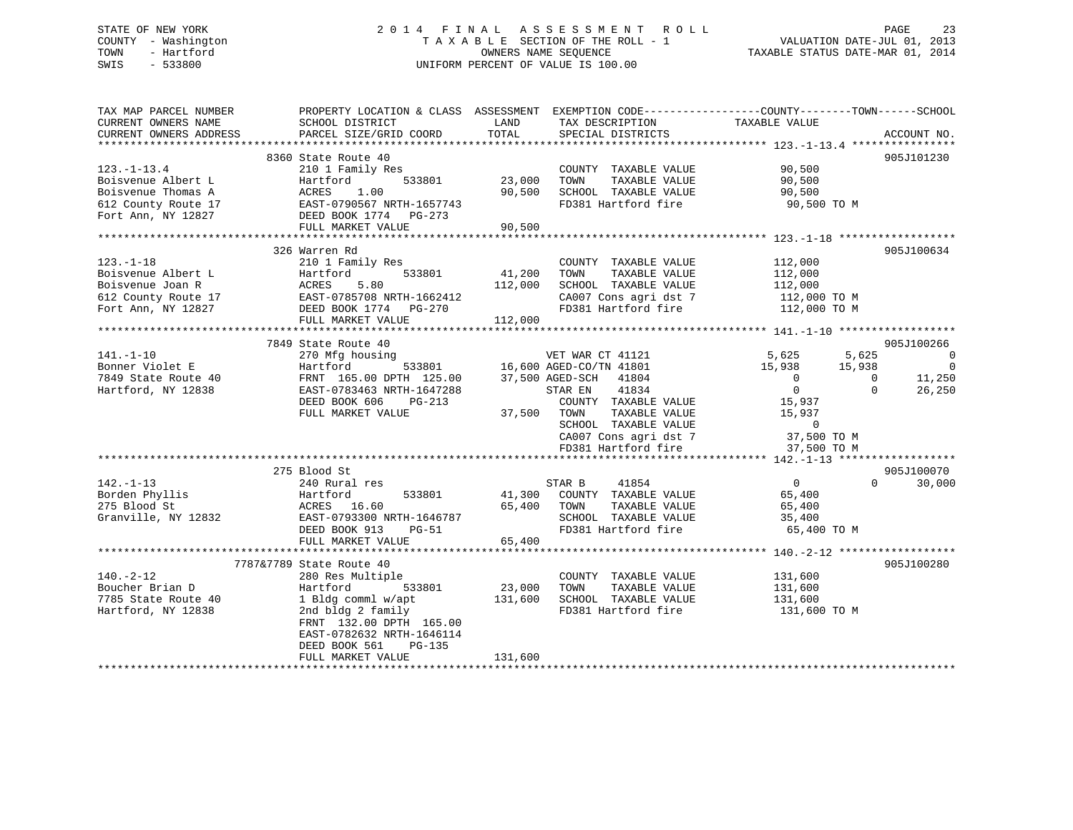## STATE OF NEW YORK 2 0 1 4 F I N A L A S S E S S M E N T R O L L PAGE 23 COUNTY - Washington T A X A B L E SECTION OF THE ROLL - 1 VALUATION DATE-JUL 01, 2013 TOWN - Hartford OWNERS NAME SEQUENCE TAXABLE STATUS DATE-MAR 01, 2014 SWIS - 533800 UNIFORM PERCENT OF VALUE IS 100.00

| TAX MAP PARCEL NUMBER<br>CURRENT OWNERS NAME<br>CURRENT OWNERS ADDRESS                  | PROPERTY LOCATION & CLASS ASSESSMENT<br>SCHOOL DISTRICT<br>PARCEL SIZE/GRID COORD | LAND<br>TOTAL | TAX DESCRIPTION<br>SPECIAL DISTRICTS | EXEMPTION CODE-----------------COUNTY-------TOWN------SCHOOL<br>TAXABLE VALUE | ACCOUNT NO.        |
|-----------------------------------------------------------------------------------------|-----------------------------------------------------------------------------------|---------------|--------------------------------------|-------------------------------------------------------------------------------|--------------------|
|                                                                                         |                                                                                   |               |                                      |                                                                               |                    |
|                                                                                         | 8360 State Route 40                                                               |               |                                      |                                                                               | 905J101230         |
| $123.-1-13.4$                                                                           | 210 1 Family Res                                                                  |               | COUNTY TAXABLE VALUE                 | 90,500                                                                        |                    |
| Boisvenue Albert L                                                                      | 533801<br>Hartford                                                                | 23,000        | TOWN<br>TAXABLE VALUE                | 90,500                                                                        |                    |
| Boisvenue Thomas A                                                                      | ACRES<br>1.00                                                                     | 90,500        | SCHOOL TAXABLE VALUE                 | 90,500                                                                        |                    |
| 612 County Route 17                                                                     | EAST-0790567 NRTH-1657743                                                         |               | FD381 Hartford fire                  | 90,500 TO M                                                                   |                    |
| Fort Ann, NY 12827                                                                      | DEED BOOK 1774    PG-273                                                          |               |                                      |                                                                               |                    |
|                                                                                         | FULL MARKET VALUE                                                                 | 90,500        |                                      |                                                                               |                    |
|                                                                                         | 326 Warren Rd                                                                     |               |                                      |                                                                               | 905J100634         |
| $123. - 1 - 18$                                                                         | 210 1 Family Res                                                                  |               | COUNTY TAXABLE VALUE                 | 112,000                                                                       |                    |
|                                                                                         |                                                                                   | 41,200        | TOWN<br>TAXABLE VALUE                | 112,000                                                                       |                    |
| Boisvenue Albert L<br>Boisvenue Joan R<br>612 County Route 17 EAST-0785708 NRTH-1662412 |                                                                                   | 112,000       | SCHOOL TAXABLE VALUE                 | 112,000                                                                       |                    |
|                                                                                         |                                                                                   |               | CA007 Cons agri dst 7                | 112,000 TO M                                                                  |                    |
| Fort Ann, NY 12827                                                                      | DEED BOOK 1774    PG-270                                                          |               | FD381 Hartford fire                  | 112,000 TO M                                                                  |                    |
|                                                                                         | FULL MARKET VALUE                                                                 | 112,000       |                                      |                                                                               |                    |
|                                                                                         |                                                                                   |               |                                      |                                                                               |                    |
|                                                                                         | 7849 State Route 40                                                               |               |                                      |                                                                               | 905J100266         |
| $141. - 1 - 10$                                                                         | 270 Mfg housing                                                                   |               | VET WAR CT 41121                     | 5,625<br>5,625                                                                | $\overline{0}$     |
| Bonner Violet E                                                                         | Hartford                                                                          |               | 533801 16,600 AGED-CO/TN 41801       | 15,938<br>15,938                                                              | $\overline{0}$     |
| 7849 State Route 40                                                                     | FRNT 165.00 DPTH 125.00 37,500 AGED-SCH                                           |               | 41804                                | $\overline{0}$<br>$\overline{0}$                                              | 11,250             |
| Hartford, NY 12838                                                                      | EAST-0783463 NRTH-1647288                                                         |               | 41834<br>STAR EN                     | $\overline{0}$<br>$\Omega$                                                    | 26,250             |
|                                                                                         | DEED BOOK 606<br>PG-213                                                           |               | COUNTY TAXABLE VALUE                 | 15,937                                                                        |                    |
|                                                                                         | FULL MARKET VALUE                                                                 | 37,500        | TAXABLE VALUE<br>TOWN                | 15,937                                                                        |                    |
|                                                                                         |                                                                                   |               | SCHOOL TAXABLE VALUE                 | $\overline{0}$                                                                |                    |
|                                                                                         |                                                                                   |               | CA007 Cons agri dst 7                | 37,500 TO M                                                                   |                    |
|                                                                                         |                                                                                   |               | FD381 Hartford fire                  | 37,500 TO M                                                                   |                    |
|                                                                                         |                                                                                   |               |                                      |                                                                               |                    |
|                                                                                         | 275 Blood St                                                                      |               |                                      |                                                                               | 905J100070         |
| $142. - 1 - 13$                                                                         | 240 Rural res                                                                     |               | STAR B<br>41854                      | $\overline{0}$                                                                | $\Omega$<br>30,000 |
| Borden Phyllis                                                                          | Hartford<br>533801                                                                | 41,300        | COUNTY TAXABLE VALUE                 | 65,400                                                                        |                    |
| 275 Blood St                                                                            | ACRES 16.60                                                                       | 65,400        | TOWN<br>TAXABLE VALUE                | 65,400                                                                        |                    |
| Granville, NY 12832                                                                     | EAST-0793300 NRTH-1646787                                                         |               | SCHOOL TAXABLE VALUE                 | 35,400                                                                        |                    |
|                                                                                         | DEED BOOK 913<br>PG-51                                                            |               | FD381 Hartford fire                  | 65,400 TO M                                                                   |                    |
|                                                                                         | FULL MARKET VALUE                                                                 | 65,400        |                                      |                                                                               |                    |
|                                                                                         |                                                                                   |               |                                      |                                                                               |                    |
|                                                                                         | 7787&7789 State Route 40                                                          |               |                                      |                                                                               | 905J100280         |
| $140. - 2 - 12$                                                                         | 280 Res Multiple                                                                  |               | COUNTY TAXABLE VALUE                 | 131,600                                                                       |                    |
| Boucher Brian D                                                                         | Hartford<br>533801                                                                | 23,000        | TOWN<br>TAXABLE VALUE                | 131,600                                                                       |                    |
| 7785 State Route 40                                                                     | 1 Bldg comml w/apt                                                                | 131,600       | SCHOOL TAXABLE VALUE                 | 131,600                                                                       |                    |
| Hartford, NY 12838                                                                      | 2nd bldg 2 family<br>FRNT 132.00 DPTH 165.00                                      |               | FD381 Hartford fire                  | 131,600 TO M                                                                  |                    |
|                                                                                         | EAST-0782632 NRTH-1646114                                                         |               |                                      |                                                                               |                    |
|                                                                                         | PG-135<br>DEED BOOK 561                                                           |               |                                      |                                                                               |                    |
|                                                                                         | FULL MARKET VALUE                                                                 | 131,600       |                                      |                                                                               |                    |
|                                                                                         |                                                                                   |               |                                      |                                                                               |                    |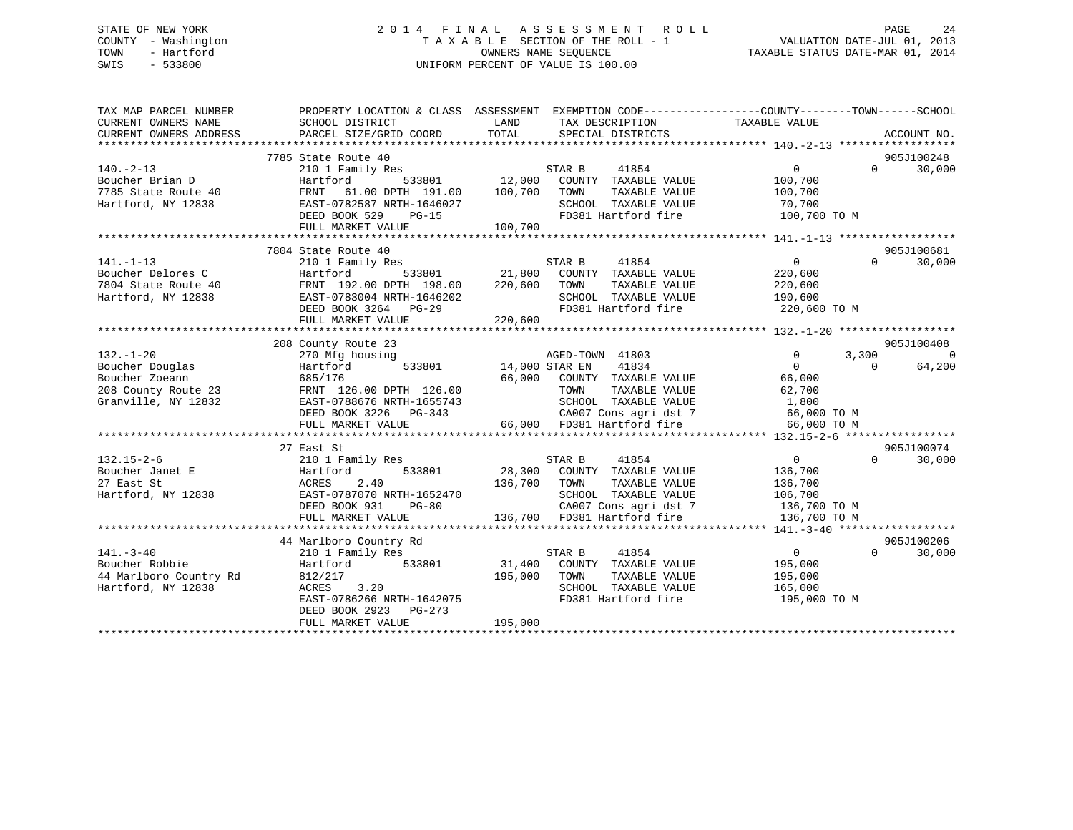## STATE OF NEW YORK 2 0 1 4 F I N A L A S S E S S M E N T R O L L PAGE 24 COUNTY - Washington T A X A B L E SECTION OF THE ROLL - 1 VALUATION DATE-JUL 01, 2013 TOWN - Hartford **TAXABLE STATUS DATE-MAR 01, 2014** OWNERS NAME SEQUENCE TAXABLE STATUS DATE-MAR 01, 2014 SWIS - 533800 UNIFORM PERCENT OF VALUE IS 100.00

| TAX MAP PARCEL NUMBER<br>CURRENT OWNERS NAME<br>CURRENT OWNERS ADDRESS | PROPERTY LOCATION & CLASS ASSESSMENT EXEMPTION CODE---------------COUNTY-------TOWN-----SCHOOL<br>SCHOOL DISTRICT<br>PARCEL SIZE/GRID COORD | LAND<br>TOTAL | TAX DESCRIPTION<br>SPECIAL DISTRICTS                                                       | TAXABLE VALUE  |           | ACCOUNT NO. |
|------------------------------------------------------------------------|---------------------------------------------------------------------------------------------------------------------------------------------|---------------|--------------------------------------------------------------------------------------------|----------------|-----------|-------------|
|                                                                        |                                                                                                                                             |               |                                                                                            |                |           |             |
|                                                                        | 7785 State Route 40                                                                                                                         |               |                                                                                            |                |           | 905J100248  |
| $140. -2 - 13$                                                         | 210 1 Family Res                                                                                                                            |               | STAR B<br>41854                                                                            | 0              | $\Omega$  | 30,000      |
| Boucher Brian D                                                        | Hartford                                                                                                                                    |               | 533801 12,000 COUNTY TAXABLE VALUE<br>00 DPTH 191.00 100.700 TOWN TAXABLE VALUE            | 100,700        |           |             |
| 7785 State Route 40                                                    | FRNT<br>61.00 DPTH 191.00                                                                                                                   | 100,700       | TOWN<br>TAXABLE VALUE                                                                      | 100,700        |           |             |
| Hartford, NY 12838                                                     | EAST-0782587 NRTH-1646027                                                                                                                   |               | SCHOOL TAXABLE VALUE                                                                       | 70,700         |           |             |
|                                                                        | DEED BOOK 529<br>PG-15                                                                                                                      |               | FD381 Hartford fire                                                                        | 100,700 TO M   |           |             |
|                                                                        | FULL MARKET VALUE                                                                                                                           | 100,700       |                                                                                            |                |           |             |
|                                                                        |                                                                                                                                             |               |                                                                                            |                |           |             |
|                                                                        | 7804 State Route 40                                                                                                                         |               |                                                                                            |                |           | 905J100681  |
| $141. - 1 - 13$                                                        | 210 1 Family Res                                                                                                                            |               | 41854<br>STAR B                                                                            | $\overline{0}$ | $\Omega$  | 30,000      |
| Boucher Delores C<br>7804 State Route 40                               | Hartford 533801 21,800 COUNTY TAXABLE VALUE<br>FRNT 192.00 DPTH 198.00 220,600 TOWN TAXABLE VALUE                                           |               |                                                                                            | 220,600        |           |             |
|                                                                        |                                                                                                                                             |               |                                                                                            | 220,600        |           |             |
| Hartford, NY 12838                                                     | EAST-0783004 NRTH-1646202                                                                                                                   |               | SCHOOL TAXABLE VALUE 190,600                                                               |                |           |             |
|                                                                        | DEED BOOK 3264 PG-29                                                                                                                        |               | FD381 Hartford fire                                                                        | 220,600 TO M   |           |             |
|                                                                        | FULL MARKET VALUE                                                                                                                           | 220,600       |                                                                                            |                |           |             |
|                                                                        |                                                                                                                                             |               |                                                                                            |                |           |             |
|                                                                        | 208 County Route 23                                                                                                                         |               |                                                                                            |                |           | 905J100408  |
| $132. - 1 - 20$                                                        | 270 Mfg housing                                                                                                                             |               | AGED-TOWN 41803                                                                            | $\Omega$       | 3,300     | $\Omega$    |
| Boucher Douglas                                                        | 533801 14,000 STAR EN<br>Hartford                                                                                                           |               | 41834                                                                                      | $\Omega$       | $\bigcap$ | 64,200      |
| Boucher Zoeann                                                         | 685/176                                                                                                                                     |               | 66,000 COUNTY TAXABLE VALUE                                                                | 66,000         |           |             |
| 208 County Route 23                                                    | FRNT 126.00 DPTH 126.00                                                                                                                     |               | TAXABLE VALUE<br>TOWN                                                                      | 62,700         |           |             |
| Granville, NY 12832                                                    | EAST-0788676 NRTH-1655743                                                                                                                   |               | SCHOOL TAXABLE VALUE 1,800<br>CA007 Cons agri dst 7 66,000 TO M                            |                |           |             |
|                                                                        | DEED BOOK 3226 PG-343                                                                                                                       |               |                                                                                            |                |           |             |
|                                                                        | FULL MARKET VALUE                                                                                                                           |               | 66,000 FD381 Hartford fire                                                                 | 66,000 TO M    |           |             |
|                                                                        |                                                                                                                                             |               |                                                                                            |                |           |             |
|                                                                        | 27 East St                                                                                                                                  |               |                                                                                            |                |           | 905J100074  |
| $132.15 - 2 - 6$                                                       | 210 1 Family Res                                                                                                                            |               | 41854                                                                                      | $\overline{0}$ | $\Omega$  | 30,000      |
| Boucher Janet E                                                        | 533801<br>Hartford                                                                                                                          |               |                                                                                            | 136,700        |           |             |
| 27 East St                                                             | 2.40<br>ACRES                                                                                                                               | 136,700 TOWN  | TAXABLE VALUE                                                                              | 136,700        |           |             |
| Hartford, NY 12838                                                     | EAST-0787070 NRTH-1652470                                                                                                                   |               | SCHOOL TAXABLE VALUE<br>SCHOOL TAXABLE VALUE 106,700<br>CA007 Cons agri dst 7 136,700 TO M |                |           |             |
|                                                                        | DEED BOOK 931<br>PG-80<br>FULL MARKET VALUE                                                                                                 |               | 136,700 FD381 Hartford fire                                                                | 136,700 TO M   |           |             |
|                                                                        |                                                                                                                                             |               |                                                                                            |                |           |             |
|                                                                        | 44 Marlboro Country Rd                                                                                                                      |               |                                                                                            |                |           | 905J100206  |
| $141. - 3 - 40$                                                        | 210 1 Family Res                                                                                                                            |               | STAR B<br>41854                                                                            | $\overline{0}$ | $\Omega$  | 30,000      |
| Boucher Robbie                                                         | Hartford 533801                                                                                                                             |               | 31,400 COUNTY TAXABLE VALUE                                                                | 195,000        |           |             |
| 44 Marlboro Country Rd                                                 | 812/217                                                                                                                                     | 195,000       | TOWN<br>TAXABLE VALUE                                                                      | 195,000        |           |             |
| Hartford, NY 12838                                                     | ACRES 3.20                                                                                                                                  |               | SCHOOL TAXABLE VALUE                                                                       | 165,000        |           |             |
|                                                                        | EAST-0786266 NRTH-1642075                                                                                                                   |               | FD381 Hartford fire                                                                        | 195,000 TO M   |           |             |
|                                                                        | DEED BOOK 2923 PG-273                                                                                                                       |               |                                                                                            |                |           |             |
|                                                                        | FULL MARKET VALUE                                                                                                                           | 195,000       |                                                                                            |                |           |             |
|                                                                        |                                                                                                                                             |               |                                                                                            |                |           |             |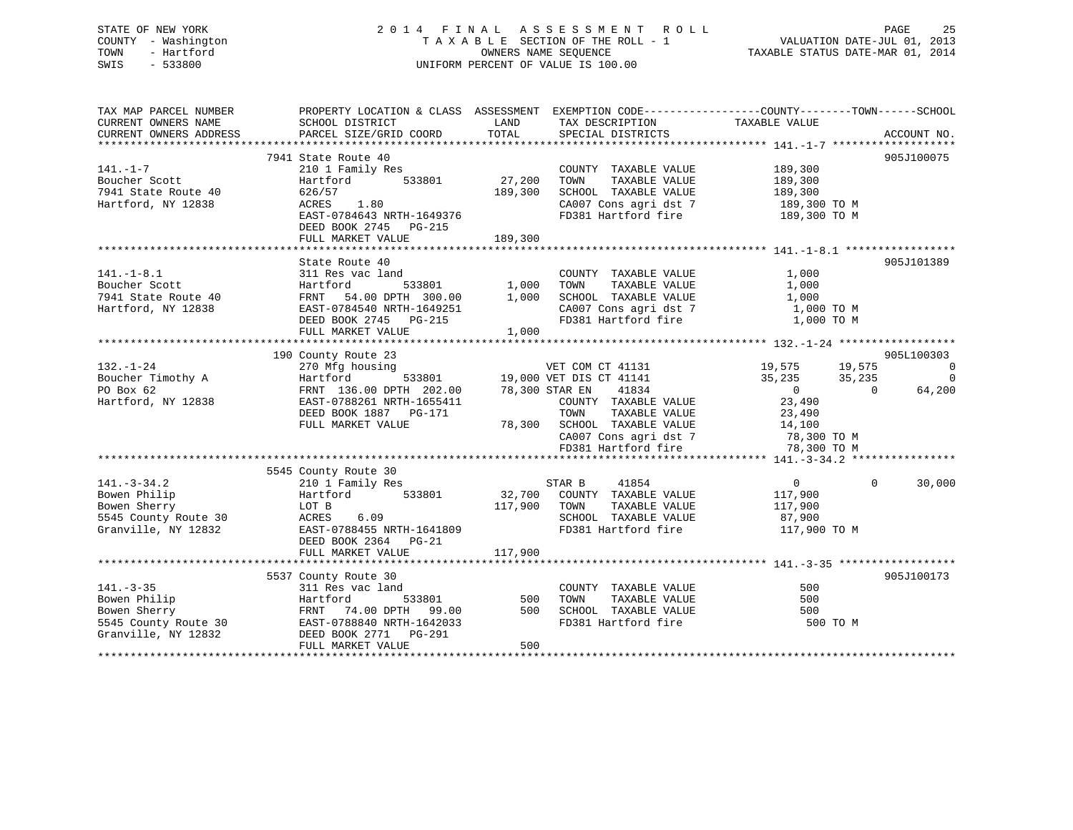STATE OF NEW YORK 2 0 1 4 F I N A L A S S E S S M E N T R O L L PAGE 25 COUNTY - Washington T A X A B L E SECTION OF THE ROLL - 1 VALUATION DATE-JUL 01, 2013 TOWN - Hartford OWNERS NAME SEQUENCE TAXABLE STATUS DATE-MAR 01, 2014 SWIS - 533800 UNIFORM PERCENT OF VALUE IS 100.00 TAX MAP PARCEL NUMBER PROPERTY LOCATION & CLASS ASSESSMENT EXEMPTION CODE------------------COUNTY--------TOWN------SCHOOL

| CURRENT OWNERS NAME    | SCHOOL DISTRICT           | LAND         | TAX DESCRIPTION                             | TAXABLE VALUE    |                    |
|------------------------|---------------------------|--------------|---------------------------------------------|------------------|--------------------|
| CURRENT OWNERS ADDRESS | PARCEL SIZE/GRID COORD    | TOTAL        | SPECIAL DISTRICTS                           |                  | ACCOUNT NO.        |
|                        |                           |              |                                             |                  |                    |
|                        | 7941 State Route 40       |              |                                             |                  | 905J100075         |
| $141. - 1 - 7$         | 210 1 Family Res          |              | COUNTY TAXABLE VALUE                        | 189,300          |                    |
| Boucher Scott          | Hartford<br>533801        | 27,200       | TAXABLE VALUE<br>TOWN                       | 189,300          |                    |
| 7941 State Route 40    | 626/57                    | 189,300      | SCHOOL TAXABLE VALUE                        | 189,300          |                    |
| Hartford, NY 12838     | 1.80<br>ACRES             |              | CA007 Cons agri dst 7                       | 189,300 TO M     |                    |
|                        | EAST-0784643 NRTH-1649376 |              | FD381 Hartford fire                         | 189,300 TO M     |                    |
|                        | DEED BOOK 2745 PG-215     |              |                                             |                  |                    |
|                        | FULL MARKET VALUE         | 189,300      |                                             |                  |                    |
|                        |                           |              |                                             |                  |                    |
|                        | State Route 40            |              |                                             |                  | 905J101389         |
| $141. - 1 - 8.1$       | 311 Res vac land          |              | COUNTY TAXABLE VALUE                        | 1,000            |                    |
| Boucher Scott          | Hartford<br>533801        | 1,000        | TAXABLE VALUE<br>TOWN                       | 1,000            |                    |
| 7941 State Route 40    | FRNT 54.00 DPTH 300.00    | 1,000        | SCHOOL TAXABLE VALUE                        | 1,000            |                    |
| Hartford, NY 12838     | EAST-0784540 NRTH-1649251 |              | CA007 Cons agri dst 7                       | 1,000 TO M       |                    |
|                        | DEED BOOK 2745 PG-215     |              | FD381 Hartford fire                         | 1,000 TO M       |                    |
|                        | FULL MARKET VALUE         | 1,000        |                                             |                  |                    |
|                        |                           |              |                                             |                  |                    |
|                        | 190 County Route 23       |              |                                             |                  | 905L100303         |
| $132. - 1 - 24$        | 270 Mfg housing           |              | VET COM CT 41131                            | 19,575<br>19,575 | 0                  |
| Boucher Timothy A      | Hartford                  |              | VET COM CT 41131<br>19,000 VET DIS CT 41141 | 35,235<br>35,235 | $\overline{0}$     |
| PO Box 62              | FRNT 136.00 DPTH 202.00   |              | 41834<br>78,300 STAR EN                     | $\overline{0}$   | 64,200<br>$\Omega$ |
| Hartford, NY 12838     | EAST-0788261 NRTH-1655411 |              |                                             | 23,490           |                    |
|                        | DEED BOOK 1887 PG-171     |              | COUNTY TAXABLE VALUE<br>TAXABLE VALUE       |                  |                    |
|                        |                           |              | TOWN                                        | 23,490           |                    |
|                        | FULL MARKET VALUE         |              | 78,300 SCHOOL TAXABLE VALUE                 | 14,100           |                    |
|                        |                           |              | CA007 Cons agri dst 7                       | 78,300 TO M      |                    |
|                        |                           |              | FD381 Hartford fire                         | 78,300 TO M      |                    |
|                        |                           |              |                                             |                  |                    |
|                        | 5545 County Route 30      |              |                                             |                  |                    |
| $141. - 3 - 34.2$      | 210 1 Family Res          |              | 41854<br>STAR B                             | $\overline{0}$   | 30,000<br>$\Omega$ |
| Bowen Philip           | 533801<br>Hartford        |              | 32,700 COUNTY TAXABLE VALUE                 | 117,900          |                    |
| Bowen Sherry           | LOT B                     | 117,900 TOWN | TAXABLE VALUE                               | 117,900          |                    |
| 5545 County Route 30   | ACRES<br>6.09             |              | SCHOOL TAXABLE VALUE                        | 87,900           |                    |
| Granville, NY 12832    | EAST-0788455 NRTH-1641809 |              | FD381 Hartford fire                         | 117,900 TO M     |                    |
|                        | DEED BOOK 2364 PG-21      |              |                                             |                  |                    |
|                        | FULL MARKET VALUE         | 117,900      |                                             |                  |                    |
|                        |                           |              |                                             |                  |                    |
|                        | 5537 County Route 30      |              |                                             |                  | 905J100173         |
| $141. - 3 - 35$        | 311 Res vac land          |              | COUNTY TAXABLE VALUE                        | 500              |                    |
| Bowen Philip           | Hartford<br>533801        | 500          | TOWN<br>TAXABLE VALUE                       | 500              |                    |
| Bowen Sherry           | FRNT 74.00 DPTH 99.00     | 500          | SCHOOL TAXABLE VALUE                        | 500              |                    |
| 5545 County Route 30   | EAST-0788840 NRTH-1642033 |              | FD381 Hartford fire                         | 500 TO M         |                    |
| Granville, NY 12832    | DEED BOOK 2771 PG-291     |              |                                             |                  |                    |
|                        | FULL MARKET VALUE         | 500          |                                             |                  |                    |
|                        |                           |              |                                             |                  |                    |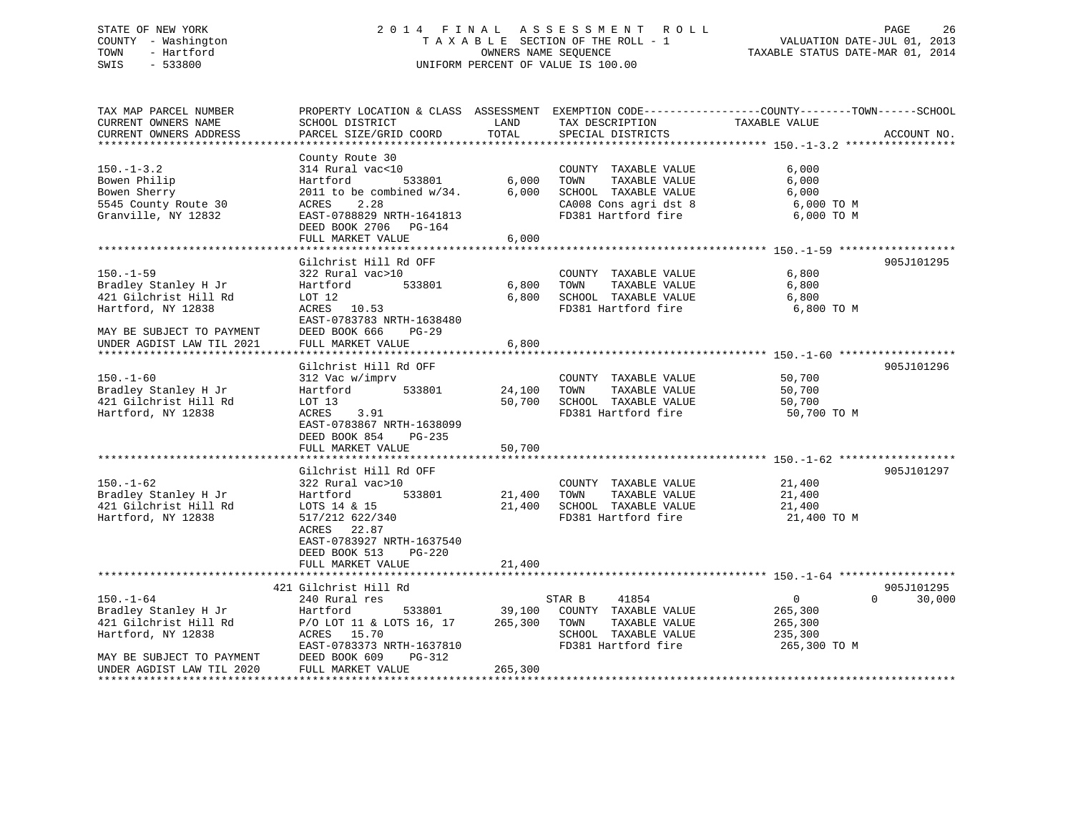# STATE OF NEW YORK 2 0 1 4 F I N A L A S S E S S M E N T R O L L PAGE 26 COUNTY - Washington T A X A B L E SECTION OF THE ROLL - 1 VALUATION DATE-JUL 01, 2013 TOWN - Hartford OWNERS NAME SEQUENCE TAXABLE STATUS DATE-MAR 01, 2014 SWIS - 533800 UNIFORM PERCENT OF VALUE IS 100.00

TAX MAP PARCEL NUMBER PROPERTY LOCATION & CLASS ASSESSMENT EXEMPTION CODE------------------COUNTY--------TOWN------SCHOOL CURRENT OWNERS NAME SCHOOL DISTRICT LAND TAX DESCRIPTION TAXABLE VALUECURRENT OWNERS ADDRESS PARCEL SIZE/GRID COORD TOTAL SPECIAL DISTRICTS ACCOUNT NO. \*\*\*\*\*\*\*\*\*\*\*\*\*\*\*\*\*\*\*\*\*\*\*\*\*\*\*\*\*\*\*\*\*\*\*\*\*\*\*\*\*\*\*\*\*\*\*\*\*\*\*\*\*\*\*\*\*\*\*\*\*\*\*\*\*\*\*\*\*\*\*\*\*\*\*\*\*\*\*\*\*\*\*\*\*\*\*\*\*\*\*\*\*\*\*\*\*\*\*\*\*\*\* 150.-1-3.2 \*\*\*\*\*\*\*\*\*\*\*\*\*\*\*\*\* County Route 30 150.-1-3.2 314 Rural vac<10 COUNTY TAXABLE VALUE 6,000 Bowen Philip Hartford 533801 6,000 TOWN TAXABLE VALUE 6,000 Bowen Sherry 2011 to be combined w/34. 6,000 SCHOOL TAXABLE VALUE 6,000 5545 County Route 30 ACRES 2.28 CA008 Cons agri dst 8 6,000 TO M Granville, NY 12832 EAST-0788829 NRTH-1641813 FD381 Hartford fire 6,000 TO M 5545 County Route 30 (ACRES 2.28 (A008 Cons agri dst 8 (Branville, NY 12832 EAST-0788829 NRTH-1641813 (BD-164 (BD-164 (BD-164 (BD-164 (BD-164 (BD-164 (BD-164 (BD-164 (BD-164 (BD-164 (BD-164 (BD-164 (BD-164 (BD-164 (BD-164 FULL MARKET VALUE 6,000 \*\*\*\*\*\*\*\*\*\*\*\*\*\*\*\*\*\*\*\*\*\*\*\*\*\*\*\*\*\*\*\*\*\*\*\*\*\*\*\*\*\*\*\*\*\*\*\*\*\*\*\*\*\*\*\*\*\*\*\*\*\*\*\*\*\*\*\*\*\*\*\*\*\*\*\*\*\*\*\*\*\*\*\*\*\*\*\*\*\*\*\*\*\*\*\*\*\*\*\*\*\*\* 150.-1-59 \*\*\*\*\*\*\*\*\*\*\*\*\*\*\*\*\*\*Gilchrist Hill Rd OFF 905J101295 150.-1-59 322 Rural vac>10 COUNTY TAXABLE VALUE 6,800 Bradley Stanley H Jr Hartford 533801 6,800 TOWN TAXABLE VALUE 6,800 421 Gilchrist Hill Rd LOT 12 6,800 SCHOOL TAXABLE VALUE 6,800 421 Gilchrist Hill Rd<br>
Hartford, NY 12838 ACRES 10.53 FD381 Hartford fire 6,800 TO M<br>
FD381 Hartford fire 6,800 TO M EAST-0783783 NRTH-1638480 MAY BE SUBJECT TO PAYMENT DEED BOOK 666 PG-29 UNDER AGDIST LAW TIL 2021 FULL MARKET VALUE 6,800 \*\*\*\*\*\*\*\*\*\*\*\*\*\*\*\*\*\*\*\*\*\*\*\*\*\*\*\*\*\*\*\*\*\*\*\*\*\*\*\*\*\*\*\*\*\*\*\*\*\*\*\*\*\*\*\*\*\*\*\*\*\*\*\*\*\*\*\*\*\*\*\*\*\*\*\*\*\*\*\*\*\*\*\*\*\*\*\*\*\*\*\*\*\*\*\*\*\*\*\*\*\*\* 150.-1-60 \*\*\*\*\*\*\*\*\*\*\*\*\*\*\*\*\*\* Gilchrist Hill Rd OFF 905J101296150.-1-60 312 Vac w/imprv COUNTY TAXABLE VALUE 50,700 Bradley Stanley H Jr Hartford 533801 24,100 TOWN TAXABLE VALUE 50,700 421 Gilchrist Hill Rd LOT 13 50,700 SCHOOL TAXABLE VALUE 50,700 Hartford, NY 12838 ACRES 3.91 FD381 Hartford fire 50,700 TO M EAST-0783867 NRTH-1638099 DEED BOOK 854 PG-235FULL MARKET VALUE 50.700 \*\*\*\*\*\*\*\*\*\*\*\*\*\*\*\*\*\*\*\*\*\*\*\*\*\*\*\*\*\*\*\*\*\*\*\*\*\*\*\*\*\*\*\*\*\*\*\*\*\*\*\*\*\*\*\*\*\*\*\*\*\*\*\*\*\*\*\*\*\*\*\*\*\*\*\*\*\*\*\*\*\*\*\*\*\*\*\*\*\*\*\*\*\*\*\*\*\*\*\*\*\*\* 150.-1-62 \*\*\*\*\*\*\*\*\*\*\*\*\*\*\*\*\*\*Gilchrist Hill Rd OFF 905J101297 150.-1-62 322 Rural vac>10 COUNTY TAXABLE VALUE 21,400 Bradley Stanley H Jr Hartford 533801 21,400 TOWN TAXABLE VALUE 21,400 421 Gilchrist Hill Rd LOTS 14 & 15 21,400 SCHOOL TAXABLE VALUE 21,400 Hartford, NY 12838 517/212 622/340 FD381 Hartford fire 21,400 TO M ACRES 22.87 EAST-0783927 NRTH-1637540 DEED BOOK 513 PG-220 FULL MARKET VALUE 21,400 \*\*\*\*\*\*\*\*\*\*\*\*\*\*\*\*\*\*\*\*\*\*\*\*\*\*\*\*\*\*\*\*\*\*\*\*\*\*\*\*\*\*\*\*\*\*\*\*\*\*\*\*\*\*\*\*\*\*\*\*\*\*\*\*\*\*\*\*\*\*\*\*\*\*\*\*\*\*\*\*\*\*\*\*\*\*\*\*\*\*\*\*\*\*\*\*\*\*\*\*\*\*\* 150.-1-64 \*\*\*\*\*\*\*\*\*\*\*\*\*\*\*\*\*\* 421 Gilchrist Hill Rd 905J101295 $0 \t 30,000$ 150.-1-64 240 Rural res STAR B 41854 0 0 30,000 Bradley Stanley H Jr Hartford 533801 39,100 COUNTY TAXABLE VALUE 265,300 421 Gilchrist Hill Rd P/O LOT 11 & LOTS 16, 17 265,300 TOWN TAXABLE VALUE 265,300 Hartford, NY 12838 ACRES 15.70 SCHOOL TAXABLE VALUE 235,300 EAST-0783373 NRTH-1637810 FD381 Hartford fire 265,300 TO M MAY BE SUBJECT TO PAYMENT UNDER AGDIST LAW TIL 2020 FULL MARKET VALUE 265,300 \*\*\*\*\*\*\*\*\*\*\*\*\*\*\*\*\*\*\*\*\*\*\*\*\*\*\*\*\*\*\*\*\*\*\*\*\*\*\*\*\*\*\*\*\*\*\*\*\*\*\*\*\*\*\*\*\*\*\*\*\*\*\*\*\*\*\*\*\*\*\*\*\*\*\*\*\*\*\*\*\*\*\*\*\*\*\*\*\*\*\*\*\*\*\*\*\*\*\*\*\*\*\*\*\*\*\*\*\*\*\*\*\*\*\*\*\*\*\*\*\*\*\*\*\*\*\*\*\*\*\*\*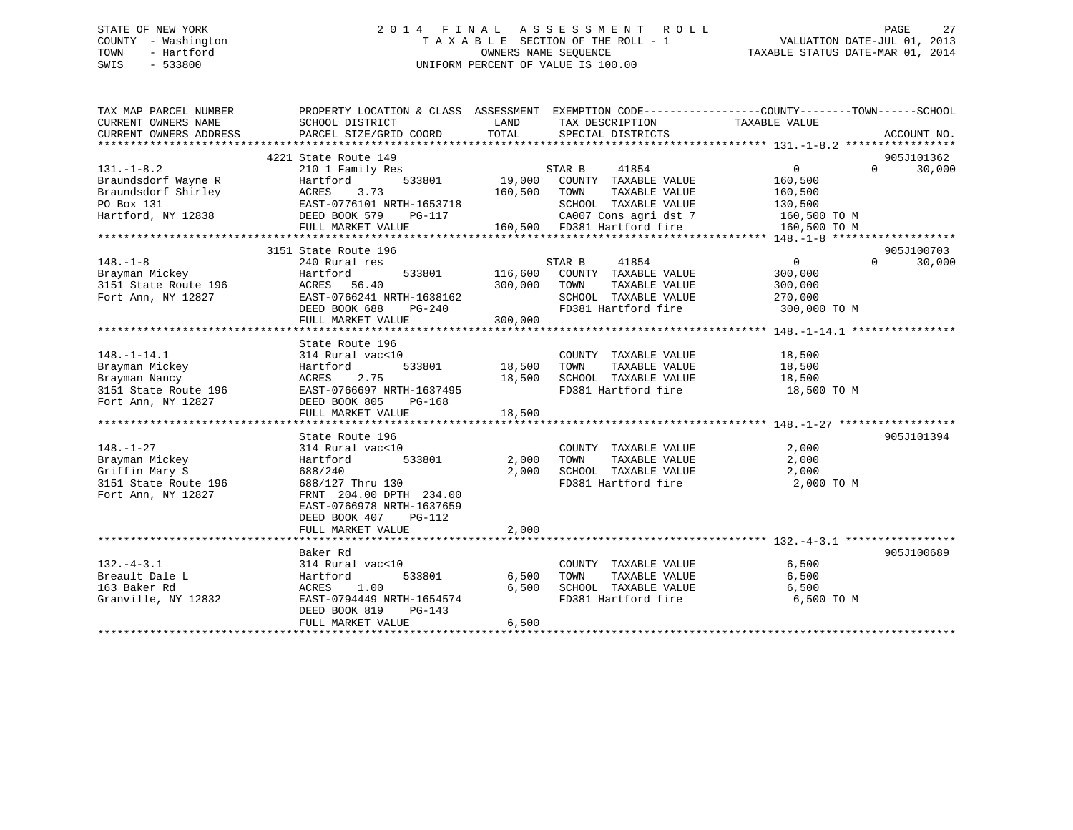## STATE OF NEW YORK 2 0 1 4 F I N A L A S S E S S M E N T R O L L PAGE 27 COUNTY - Washington T A X A B L E SECTION OF THE ROLL - 1 VALUATION DATE-JUL 01, 2013 TOWN - Hartford **TAXABLE STATUS DATE-MAR 01, 2014** OWNERS NAME SEQUENCE TAXABLE STATUS DATE-MAR 01, 2014 SWIS - 533800 UNIFORM PERCENT OF VALUE IS 100.00

| TAX MAP PARCEL NUMBER<br>CURRENT OWNERS NAME<br>CURRENT OWNERS ADDRESS                           | PROPERTY LOCATION & CLASS ASSESSMENT EXEMPTION CODE---------------COUNTY-------TOWN-----SCHOOL<br>SCHOOL DISTRICT<br>PARCEL SIZE/GRID COORD | LAND<br>TOTAL | TAX DESCRIPTION<br>SPECIAL DISTRICTS              | TAXABLE VALUE  | ACCOUNT NO.        |
|--------------------------------------------------------------------------------------------------|---------------------------------------------------------------------------------------------------------------------------------------------|---------------|---------------------------------------------------|----------------|--------------------|
|                                                                                                  |                                                                                                                                             |               |                                                   |                |                    |
|                                                                                                  | 4221 State Route 149                                                                                                                        |               |                                                   |                | 905J101362         |
| $131. -1 - 8.2$                                                                                  | 210 1 Family Res                                                                                                                            |               | STAR B 41854<br>3801 19,000 COUNTY TAXABLE VALUE  | 0              | 30,000<br>$\Omega$ |
| Braundsdorf Wayne R                                                                              | Hartford 533801<br>ACRES 3.73<br>EAST-0776101 NRTH-1653718<br>DEED BOOK 579 PG-117                                                          |               |                                                   | 160,500        |                    |
| Braundsdorf Shirley                                                                              |                                                                                                                                             | 160,500 TOWN  | TAXABLE VALUE                                     | 160,500        |                    |
| PO Box 131                                                                                       |                                                                                                                                             |               | SCHOOL TAXABLE VALUE                              | 130,500        |                    |
| Hartford, NY 12838                                                                               |                                                                                                                                             |               | CA007 Cons agri dst 7                             | 160,500 TO M   |                    |
|                                                                                                  | FULL MARKET VALUE                                                                                                                           |               | 160,500 FD381 Hartford fire                       | 160,500 TO M   |                    |
|                                                                                                  |                                                                                                                                             |               |                                                   |                |                    |
|                                                                                                  | 3151 State Route 196                                                                                                                        |               |                                                   |                | 905J100703         |
| $148. - 1 - 8$                                                                                   | 240 Rural res                                                                                                                               |               | STAR B<br>41854                                   | $\overline{0}$ | $\Omega$<br>30,000 |
| Brayman Mickey<br>Brayman Mickey<br>3151 State Route 196                                         | Hartford                                                                                                                                    |               | 533801 116,600 COUNTY TAXABLE VALUE               | 300,000        |                    |
|                                                                                                  | ACRES 56.40                                                                                                                                 | 300,000       | TAXABLE VALUE<br>TOWN                             | 300,000        |                    |
| Fort Ann, NY 12827                                                                               | EAST-0766241 NRTH-1638162                                                                                                                   |               | SCHOOL TAXABLE VALUE                              | 270,000        |                    |
|                                                                                                  | DEED BOOK 688<br>PG-240                                                                                                                     |               | FD381 Hartford fire                               | 300,000 TO M   |                    |
|                                                                                                  | FULL MARKET VALUE                                                                                                                           | 300,000       |                                                   |                |                    |
|                                                                                                  |                                                                                                                                             |               |                                                   |                |                    |
|                                                                                                  | State Route 196                                                                                                                             |               |                                                   |                |                    |
| $148. - 1 - 14.1$                                                                                | 314 Rural vac<10                                                                                                                            |               | COUNTY TAXABLE VALUE                              | 18,500         |                    |
| Brayman Mickey                                                                                   | Hartford                                                                                                                                    | 533801 18,500 | TAXABLE VALUE<br>TOWN                             | 18,500         |                    |
| Brayman Nancy                                                                                    | 2.75<br>ACRES                                                                                                                               | 18,500        | SCHOOL TAXABLE VALUE                              | 18,500         |                    |
| 2151 State Route 196<br>The EAST-0766697 NRTH-1637495<br>Fort Ann, NY 12827 DEED BOOK 805 PG-168 |                                                                                                                                             |               | FD381 Hartford fire 18,500 TO M                   |                |                    |
| Fort Ann, NY 12827                                                                               | DEED BOOK 805                                                                                                                               |               |                                                   |                |                    |
|                                                                                                  | FULL MARKET VALUE                                                                                                                           | 18,500        |                                                   |                |                    |
|                                                                                                  |                                                                                                                                             |               |                                                   |                |                    |
|                                                                                                  | State Route 196                                                                                                                             |               |                                                   |                | 905J101394         |
| $148. - 1 - 27$                                                                                  | 314 Rural vac<10                                                                                                                            |               | COUNTY TAXABLE VALUE                              | 2,000          |                    |
| Brayman Mickey                                                                                   | 533801<br>Hartford                                                                                                                          | 2,000         | TAXABLE VALUE<br>TOWN                             | 2,000          |                    |
| Griffin Mary S                                                                                   | 688/240                                                                                                                                     | 2,000         | TOWN      TAXABLE VALUE<br>SCHOOL   TAXABLE VALUE | 2,000          |                    |
| 3151 State Route 196                                                                             | 688/127 Thru 130                                                                                                                            |               | FD381 Hartford fire 2,000 TO M                    |                |                    |
| Fort Ann, NY 12827                                                                               | FRNT 204.00 DPTH 234.00                                                                                                                     |               |                                                   |                |                    |
|                                                                                                  | EAST-0766978 NRTH-1637659                                                                                                                   |               |                                                   |                |                    |
|                                                                                                  | DEED BOOK 407<br>$PG-112$                                                                                                                   |               |                                                   |                |                    |
|                                                                                                  | FULL MARKET VALUE                                                                                                                           | 2,000         |                                                   |                |                    |
|                                                                                                  |                                                                                                                                             |               |                                                   |                |                    |
|                                                                                                  | Baker Rd                                                                                                                                    |               |                                                   |                | 905J100689         |
| $132. - 4 - 3.1$                                                                                 | 314 Rural vac<10                                                                                                                            |               | COUNTY TAXABLE VALUE                              | 6,500          |                    |
| Breault Dale L                                                                                   | 533801<br>Hartford                                                                                                                          | 6,500         | TAXABLE VALUE<br>TOWN                             | 6,500          |                    |
| 163 Baker Rd                                                                                     | ACRES 1.00                                                                                                                                  | 6,500         |                                                   | 6,500          |                    |
| Granville, NY 12832                                                                              | EAST-0794449 NRTH-1654574                                                                                                                   |               | SCHOOL TAXABLE VALUE<br>FD381 Hartford fire       | 6,500 TO M     |                    |
|                                                                                                  | DEED BOOK 819<br>PG-143                                                                                                                     |               |                                                   |                |                    |
|                                                                                                  | FULL MARKET VALUE                                                                                                                           | 6,500         |                                                   |                |                    |
|                                                                                                  |                                                                                                                                             |               |                                                   |                |                    |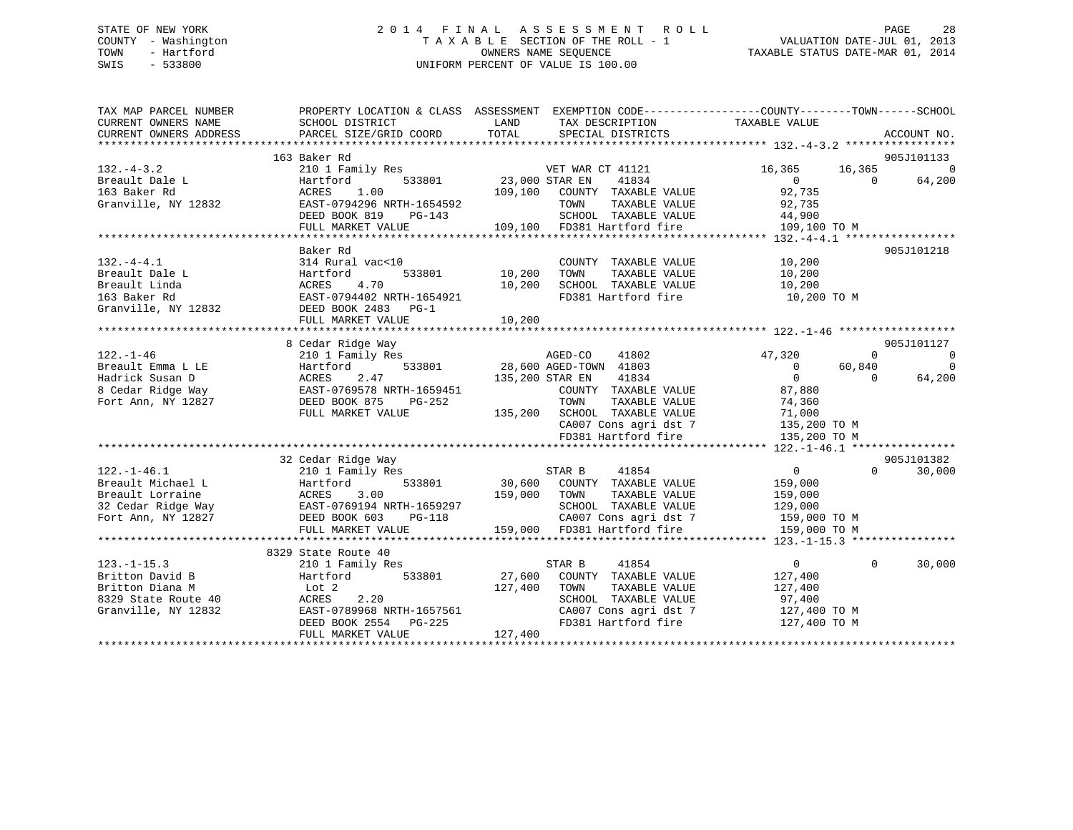## STATE OF NEW YORK 2 0 1 4 F I N A L A S S E S S M E N T R O L L PAGE 28 COUNTY - Washington T A X A B L E SECTION OF THE ROLL - 1 VALUATION DATE-JUL 01, 2013 TOWN - Hartford OWNERS NAME SEQUENCE TAXABLE STATUS DATE-MAR 01, 2014 SWIS - 533800 UNIFORM PERCENT OF VALUE IS 100.00

| TAX MAP PARCEL NUMBER<br>CURRENT OWNERS NAME<br>CURRENT OWNERS ADDRESS | SCHOOL DISTRICT<br>PARCEL SIZE/GRID COORD                | PROPERTY LOCATION & CLASS ASSESSMENT EXEMPTION CODE----------------COUNTY-------TOWN-----SCHOOL<br>TAX DESCRIPTION TAXABLE VALUE<br>LAND<br>TOTAL<br>SPECIAL DISTRICTS | ACCOUNT NO.                          |             |
|------------------------------------------------------------------------|----------------------------------------------------------|------------------------------------------------------------------------------------------------------------------------------------------------------------------------|--------------------------------------|-------------|
|                                                                        |                                                          |                                                                                                                                                                        |                                      |             |
|                                                                        | 163 Baker Rd                                             |                                                                                                                                                                        | 905J101133                           |             |
| $132 - 4 - 3.2$                                                        | 210 1 Family Res                                         | F<br>533801 23,000 STAR EN<br>VET WAR CT 41121                                                                                                                         | 16,365<br>16,365                     | $\mathbf 0$ |
| Breault Dale L                                                         | Hartford                                                 | 41834                                                                                                                                                                  | $\overline{0}$<br>64,200<br>$\Omega$ |             |
| 163 Baker Rd                                                           | 1.00<br>ACRES                                            | 109,100 COUNTY TAXABLE VALUE                                                                                                                                           | 92,735                               |             |
| Granville, NY 12832                                                    | EAST-0794296 NRTH-1654592                                | TAXABLE VALUE<br>TOWN                                                                                                                                                  | 92,735                               |             |
|                                                                        | DEED BOOK 819<br>PG-143                                  | SCHOOL TAXABLE VALUE                                                                                                                                                   | 44,900                               |             |
|                                                                        | FULL MARKET VALUE                                        | 109,100 FD381 Hartford fire                                                                                                                                            | 109,100 TO M                         |             |
|                                                                        |                                                          |                                                                                                                                                                        |                                      |             |
|                                                                        | Baker Rd                                                 |                                                                                                                                                                        | 905J101218                           |             |
| $132. -4 - 4.1$                                                        | 314 Rural vac<10                                         | COUNTY TAXABLE VALUE                                                                                                                                                   | 10,200                               |             |
| Breault Dale L                                                         | 533801<br>Hartford                                       | 10, 200<br>TOWN<br>TAXABLE VALUE                                                                                                                                       | 10,200                               |             |
| Breault Linda                                                          | 4.70<br>ACRES                                            | 10,200<br>SCHOOL TAXABLE VALUE                                                                                                                                         | 10,200                               |             |
| 163 Baker Rd                                                           | EAST-0794402 NRTH-1654921                                | FD381 Hartford fire                                                                                                                                                    | 10,200 TO M                          |             |
| Granville, NY 12832                                                    | DEED BOOK 2483 PG-1                                      |                                                                                                                                                                        |                                      |             |
|                                                                        | FULL MARKET VALUE                                        | 10,200                                                                                                                                                                 |                                      |             |
|                                                                        |                                                          |                                                                                                                                                                        |                                      |             |
|                                                                        | 8 Cedar Ridge Way                                        |                                                                                                                                                                        | 905J101127                           |             |
| $122. - 1 - 46$                                                        | 210 1 Family Res                                         | AGED-CO<br>41802                                                                                                                                                       | 47,320<br>$\Omega$                   | $\Omega$    |
| Breault Emma L LE                                                      | 533801<br>Hartford                                       | 28,600 AGED-TOWN 41803                                                                                                                                                 | $\overline{0}$<br>60,840             | $\Omega$    |
| Hadrick Susan D                                                        | 2.47<br>ACRES<br>ACRES 2.4/<br>EAST-0769578 NRTH-1659451 | 135,200 STAR EN<br>41834                                                                                                                                               | $\Omega$<br>64,200<br>$\Omega$       |             |
| 8 Cedar Ridge Way                                                      |                                                          | COUNTY TAXABLE VALUE                                                                                                                                                   | 87,880                               |             |
| Fort Ann, NY 12827                                                     | DEED BOOK 875<br>PG-252                                  | TAXABLE VALUE<br>TOWN                                                                                                                                                  | 74,360                               |             |
|                                                                        | FULL MARKET VALUE                                        | 135,200 SCHOOL TAXABLE VALUE                                                                                                                                           | 71,000                               |             |
|                                                                        |                                                          | CA007 Cons agri dst 7                                                                                                                                                  | 135,200 TO M                         |             |
|                                                                        |                                                          | FD381 Hartford fire                                                                                                                                                    | 135,200 TO M                         |             |
|                                                                        |                                                          |                                                                                                                                                                        | 905J101382                           |             |
| $122. - 1 - 46.1$                                                      | 32 Cedar Ridge Way                                       | 41854                                                                                                                                                                  | $\overline{0}$<br>$\Omega$<br>30,000 |             |
| Breault Michael L                                                      | 210 1 Family Res<br>533801<br>Hartford                   | STAR B<br>30,600 COUNTY TAXABLE VALUE                                                                                                                                  | 159,000                              |             |
| Breault Lorraine                                                       |                                                          | 159,000 TOWN<br>TAXABLE VALUE                                                                                                                                          | 159,000                              |             |
| 32 Cedar Ridge Way                                                     | ACRES 3.00<br>EAST-0769194 NRTH-1659297                  |                                                                                                                                                                        | 129,000                              |             |
| Fort Ann, NY 12827                                                     | DEED BOOK 603<br>PG-118                                  |                                                                                                                                                                        |                                      |             |
|                                                                        | FULL MARKET VALUE                                        |                                                                                                                                                                        | 159,000 TO M<br>159,000 TO M         |             |
|                                                                        |                                                          | SCHOOL TAXABLE VALUE<br>CA007 Cons agri dst 7<br>159,000 FD381 Hartford fire                                                                                           |                                      |             |
|                                                                        | 8329 State Route 40                                      |                                                                                                                                                                        |                                      |             |
| $123. - 1 - 15.3$                                                      | 210 1 Family Res                                         | 41854<br>STAR B                                                                                                                                                        | $\overline{0}$<br>$\Omega$<br>30,000 |             |
| Britton David B                                                        | 533801<br>Hartford                                       | 27,600<br>COUNTY TAXABLE VALUE                                                                                                                                         | 127,400                              |             |
| Britton Diana M                                                        | Lot 2                                                    | 127,400<br>TAXABLE VALUE<br>TOWN                                                                                                                                       | 127,400                              |             |
| 8329 State Route 40                                                    | 2.20<br>ACRES                                            | SCHOOL TAXABLE VALUE                                                                                                                                                   | 97,400                               |             |
| Granville, NY 12832                                                    | EAST-0789968 NRTH-1657561                                | CA007 Cons agri dst 7                                                                                                                                                  | 127,400 TO M                         |             |
|                                                                        | DEED BOOK 2554 PG-225                                    | FD381 Hartford fire                                                                                                                                                    | 127,400 TO M                         |             |
|                                                                        | FULL MARKET VALUE                                        | 127,400                                                                                                                                                                |                                      |             |
|                                                                        |                                                          |                                                                                                                                                                        |                                      |             |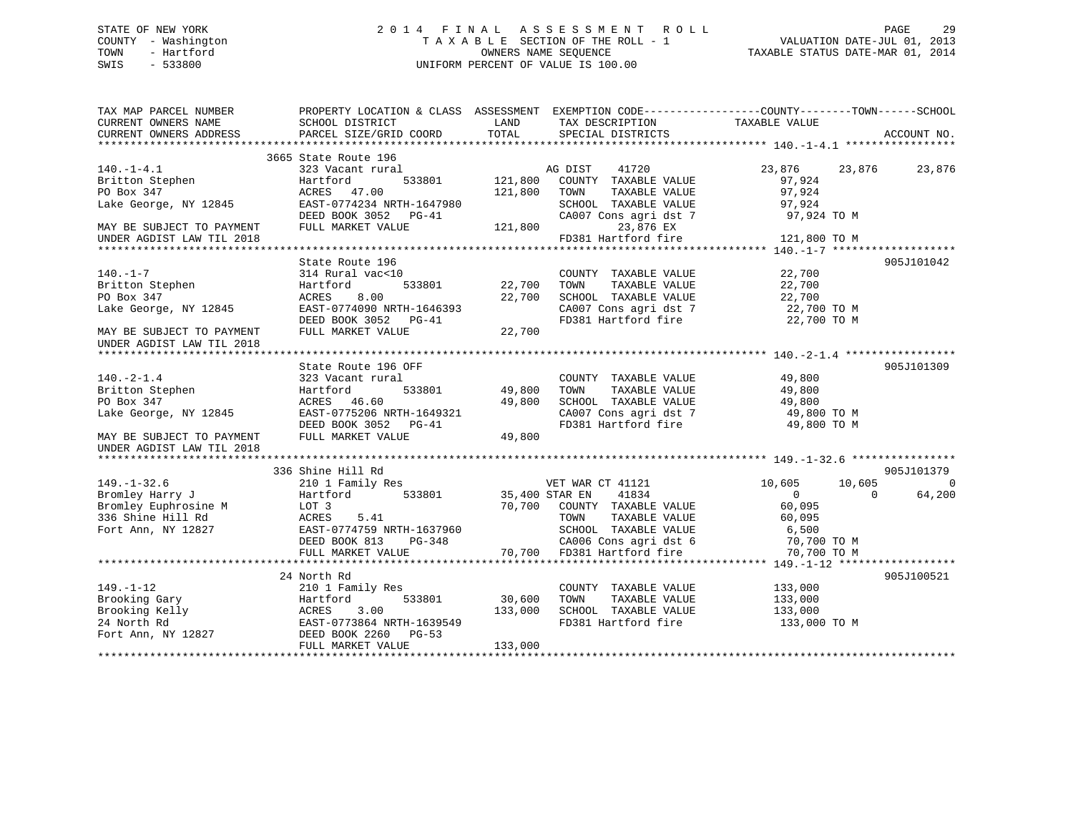## STATE OF NEW YORK 2 0 1 4 F I N A L A S S E S S M E N T R O L L PAGE 29 COUNTY - Washington T A X A B L E SECTION OF THE ROLL - 1 VALUATION DATE-JUL 01, 2013 TOWN - Hartford OWNERS NAME SEQUENCE TAXABLE STATUS DATE-MAR 01, 2014 SWIS - 533800 UNIFORM PERCENT OF VALUE IS 100.00

| TAX MAP PARCEL NUMBER<br>CURRENT OWNERS NAME<br>CURRENT OWNERS ADDRESS                                                                                                       | SCHOOL DISTRICT<br>PARCEL SIZE/GRID COORD         | LAND<br>TOTAL      | TAX DESCRIPTION TAXABLE VALUE<br>SPECIAL DISTRICTS                   | PROPERTY LOCATION & CLASS ASSESSMENT EXEMPTION CODE----------------COUNTY-------TOWN------SCHOOL | ACCOUNT NO.   |
|------------------------------------------------------------------------------------------------------------------------------------------------------------------------------|---------------------------------------------------|--------------------|----------------------------------------------------------------------|--------------------------------------------------------------------------------------------------|---------------|
|                                                                                                                                                                              |                                                   |                    |                                                                      |                                                                                                  |               |
| $140. - 1 - 4.1$                                                                                                                                                             | 3665 State Route 196<br>323 Vacant rural          |                    | 41720<br>AG DIST                                                     | 23,876                                                                                           | 23,876 23,876 |
| Britton Stephen<br>PO Box 347<br>PO Box 347                                                                                                                                  | 533801<br>Hartford<br>ACRES 47.00                 | 121,800<br>121,800 | COUNTY TAXABLE VALUE<br>TOWN<br>TAXABLE VALUE                        | 97,924<br>97,924                                                                                 |               |
| Lake George, NY 12845                                                                                                                                                        | EAST-0774234 NRTH-1647980<br>DEED BOOK 3052 PG-41 |                    | SCHOOL TAXABLE VALUE<br>CA007 Cons agri dst 7                        | 97,924<br>97,924 TO M                                                                            |               |
| MAY BE SUBJECT TO PAYMENT                                                                                                                                                    | FULL MARKET VALUE                                 | 121,800            | 23,876 EX                                                            |                                                                                                  |               |
| UNDER AGDIST LAW TIL 2018                                                                                                                                                    |                                                   |                    | FD381 Hartford fire                                                  | 121,800 TO M                                                                                     |               |
|                                                                                                                                                                              |                                                   |                    |                                                                      |                                                                                                  |               |
|                                                                                                                                                                              | State Route 196                                   |                    |                                                                      |                                                                                                  | 905J101042    |
| $140. - 1 - 7$<br>Britton Stephen                                                                                                                                            | 314 Rural vac<10                                  |                    | COUNTY TAXABLE VALUE                                                 | 22,700                                                                                           |               |
|                                                                                                                                                                              | 533801<br>Hartford                                | 22,700             | TOWN<br>TAXABLE VALUE                                                | 22,700                                                                                           |               |
| PO Box 347                                                                                                                                                                   | 8.00<br>ACRES                                     | 22,700             | SCHOOL TAXABLE VALUE                                                 | 22,700                                                                                           |               |
| Lake George, NY 12845                                                                                                                                                        | EAST-0774090 NRTH-1646393                         |                    | CA007 Cons agri dst 7 22,700 TO M<br>FD381 Hartford fire 22,700 TO M |                                                                                                  |               |
| MAY BE SUBJECT TO PAYMENT                                                                                                                                                    | DEED BOOK 3052 PG-41<br>FULL MARKET VALUE         | 22,700             |                                                                      |                                                                                                  |               |
| UNDER AGDIST LAW TIL 2018                                                                                                                                                    |                                                   |                    |                                                                      |                                                                                                  |               |
|                                                                                                                                                                              |                                                   |                    |                                                                      |                                                                                                  |               |
|                                                                                                                                                                              | State Route 196 OFF                               |                    |                                                                      | 49,800                                                                                           | 905J101309    |
| $140. - 2 - 1.4$<br>Britton Stephen                                                                                                                                          | 323 Vacant rural<br>533801<br>Hartford            | 49,800             | COUNTY TAXABLE VALUE<br>TOWN<br>TAXABLE VALUE                        | 49,800                                                                                           |               |
| PO Box 347                                                                                                                                                                   | ACRES 46.60                                       | 49,800             | SCHOOL TAXABLE VALUE                                                 | 49,800                                                                                           |               |
|                                                                                                                                                                              | EAST-0775206 NRTH-1649321                         |                    |                                                                      |                                                                                                  |               |
| Lake George, NY 12845                                                                                                                                                        | DEED BOOK 3052 PG-41                              |                    | CA007 Cons agri dst 7 49,800 TO M<br>FD381 Hartford fire 49,800 TO M |                                                                                                  |               |
|                                                                                                                                                                              | FULL MARKET VALUE                                 |                    |                                                                      |                                                                                                  |               |
| MAY BE SUBJECT TO PAYMENT                                                                                                                                                    |                                                   | 49,800             |                                                                      |                                                                                                  |               |
| UNDER AGDIST LAW TIL 2018                                                                                                                                                    |                                                   |                    |                                                                      |                                                                                                  |               |
|                                                                                                                                                                              | 336 Shine Hill Rd                                 |                    |                                                                      |                                                                                                  | 905J101379    |
| $149. - 1 - 32.6$                                                                                                                                                            | 210 1 Family Res                                  |                    | VET WAR CT 41121                                                     | 10,605<br>10,605                                                                                 | $\Omega$      |
| Bromley Harry J                                                                                                                                                              | 533801<br>Hartford                                | 35,400 STAR EN     | 41834                                                                | $\Omega$<br>$\Omega$                                                                             | 64,200        |
| Bromley Euphrosine M                                                                                                                                                         | LOT 3                                             |                    | 70,700 COUNTY TAXABLE VALUE                                          | 60,095                                                                                           |               |
| 336 Shine Hill Rd                                                                                                                                                            | ACRES<br>5.41                                     |                    | TOWN<br>TAXABLE VALUE                                                | 60,095                                                                                           |               |
| Fort Ann, NY 12827                                                                                                                                                           | EAST-0774759 NRTH-1637960                         |                    | SCHOOL TAXABLE VALUE                                                 | 6,500                                                                                            |               |
|                                                                                                                                                                              | DEED BOOK 813<br>PG-348                           |                    |                                                                      | 70,700 TO M                                                                                      |               |
|                                                                                                                                                                              | FULL MARKET VALUE                                 |                    | CA006 Cons agri dst 6<br>70,700 FD381 Hartford fire                  | 70,700 TO M                                                                                      |               |
|                                                                                                                                                                              |                                                   |                    |                                                                      |                                                                                                  |               |
|                                                                                                                                                                              | 24 North Rd                                       |                    |                                                                      |                                                                                                  | 905J100521    |
| $149. - 1 - 12$                                                                                                                                                              | 210 1 Family Res                                  |                    | COUNTY TAXABLE VALUE                                                 | 133,000                                                                                          |               |
| 149.-1-12 210 1 Family Res<br>Brooking Gary Hartford 533801<br>Brooking Kelly ACRES 3.00<br>24 North Rd EAST-0773864 NRTH-1639549<br>Fort Ann, NY 12827 DEED BOOK 2260 PG-53 |                                                   | 30,600             | TOWN<br>TAXABLE VALUE                                                | 133,000                                                                                          |               |
|                                                                                                                                                                              |                                                   | 133,000            | SCHOOL TAXABLE VALUE                                                 | 133,000                                                                                          |               |
|                                                                                                                                                                              |                                                   |                    | FD381 Hartford fire                                                  | 133,000 TO M                                                                                     |               |
|                                                                                                                                                                              |                                                   |                    |                                                                      |                                                                                                  |               |
|                                                                                                                                                                              | FULL MARKET VALUE                                 | 133,000            |                                                                      |                                                                                                  |               |
|                                                                                                                                                                              |                                                   |                    |                                                                      |                                                                                                  |               |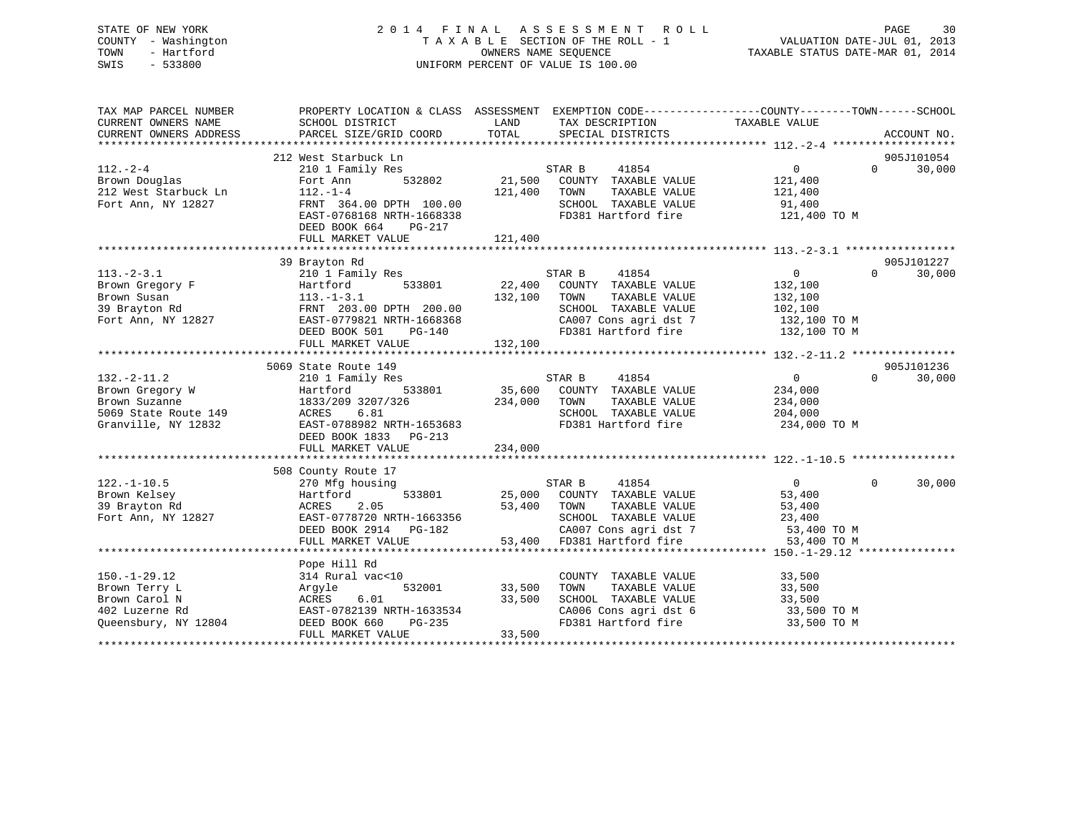## STATE OF NEW YORK 2 0 1 4 F I N A L A S S E S S M E N T R O L L PAGE 30 COUNTY - Washington T A X A B L E SECTION OF THE ROLL - 1 VALUATION DATE-JUL 01, 2013 TOWN - Hartford **TAXABLE STATUS DATE-MAR 01, 2014** OWNERS NAME SEQUENCE TAXABLE STATUS DATE-MAR 01, 2014 SWIS - 533800 UNIFORM PERCENT OF VALUE IS 100.00

| TAX MAP PARCEL NUMBER<br>CURRENT OWNERS NAME<br>CURRENT OWNERS ADDRESS                                               | PROPERTY LOCATION & CLASS ASSESSMENT EXEMPTION CODE---------------COUNTY-------TOWN-----SCHOOL<br>SCHOOL DISTRICT<br>PARCEL SIZE/GRID COORD                             | LAND<br>TOTAL                       | TAX DESCRIPTION TAXABLE VALUE<br>SPECIAL DISTRICTS                                                                                                                 |                                                                    |          | ACCOUNT NO.          |
|----------------------------------------------------------------------------------------------------------------------|-------------------------------------------------------------------------------------------------------------------------------------------------------------------------|-------------------------------------|--------------------------------------------------------------------------------------------------------------------------------------------------------------------|--------------------------------------------------------------------|----------|----------------------|
| $112. - 2 - 4$<br>Brown Douglas<br>212 West Starbuck Ln<br>Fort Ann, NY 12827                                        | 212 West Starbuck Ln<br>210 1 Family Res<br>532802<br>Fort Ann<br>$112. - 1 - 4$<br>FRNT 364.00 DPTH 100.00<br>EAST-0768168 NRTH-1668338<br>DEED BOOK 664<br>PG-217     | 121,400                             | STAR B<br>41854<br>21,500 COUNTY TAXABLE VALUE<br>TAXABLE VALUE<br>TOWN<br>SCHOOL TAXABLE VALUE<br>FD381 Hartford fire                                             | $0 \qquad \qquad$<br>121,400<br>121,400<br>91,400<br>121,400 TO M  | $\Omega$ | 905J101054<br>30,000 |
|                                                                                                                      |                                                                                                                                                                         |                                     |                                                                                                                                                                    |                                                                    |          |                      |
| $113.-2-3.1$<br>Brown Gregory F<br>Brown Susan<br>39 Brayton Rd<br>Fort Ann, NY 12827                                | 39 Brayton Rd<br>210 1 Family Res<br>Hartford<br>$113.-1-3.1$<br>FRNT 203.00 DPTH 200.00<br>EAST-0779821 NRTH-1668368<br>$PG-140$<br>DEED BOOK 501<br>FULL MARKET VALUE | 533801 22,400<br>132,100<br>132,100 | STAR B<br>41854<br>COUNTY TAXABLE VALUE<br>TAXABLE VALUE<br>TOWN<br>SCHOOL TAXABLE VALUE<br>CA007 Cons agri dst 7 132,100 TO M<br>FD381 Hartford fire 132,100 TO M | $\overline{0}$<br>132,100<br>132,100<br>102,100                    | $\Omega$ | 905J101227<br>30,000 |
|                                                                                                                      | 5069 State Route 149                                                                                                                                                    |                                     |                                                                                                                                                                    |                                                                    |          | 905J101236           |
| $132 - 2 - 11.2$<br>Brown Gregory W<br>Brown Suzanne<br>Brown Suzanne<br>5069 State Route 149<br>Granville, NY 12832 | 210 1 Family Res<br>533801<br>Hartford<br>1833/209 3207/326<br>6.81<br>ACRES<br>EAST-0788982 NRTH-1653683<br>DEED BOOK 1833 PG-213<br>FULL MARKET VALUE                 | S1<br>35,600<br>234,000<br>234,000  | STAR B<br>41854<br>COUNTY TAXABLE VALUE<br>TOWN<br>TAXABLE VALUE<br>SCHOOL TAXABLE VALUE<br>FD381 Hartford fire                                                    | $0 \qquad \qquad$<br>234,000<br>234,000<br>204,000<br>234,000 TO M | $\Omega$ | 30,000               |
|                                                                                                                      |                                                                                                                                                                         |                                     |                                                                                                                                                                    |                                                                    |          |                      |
| $122. - 1 - 10.5$<br>Brown Kelsey<br>39 Brayton Rd<br>Fort Ann, NY 12827                                             | 508 County Route 17<br>270 Mfg housing<br>533801<br>Hartford<br>ACRES<br>2.05<br>EAST-0778720 NRTH-1663356<br>DEED BOOK 2914 PG-182<br>FULL MARKET VALUE                | 53,400 TOWN                         | STAR B<br>41854<br>25,000 COUNTY TAXABLE VALUE<br>TAXABLE VALUE<br>SCHOOL TAXABLE VALUE 23,400<br>CA007 Cons agri dst 7 53,400 TO M<br>53,400 FD381 Hartford fire  | $\overline{0}$<br>53,400<br>53,400<br>53,400 TO M                  | $\Omega$ | 30,000               |
|                                                                                                                      |                                                                                                                                                                         |                                     |                                                                                                                                                                    |                                                                    |          |                      |
| $150.-1-29.12$<br>Brown Terry L<br>Brown Carol N<br>402 Luzerne Rd<br>Queensbury, NY 12804                           | Pope Hill Rd<br>314 Rural vac<10<br>532001<br>Argyle<br>6.01<br>ACRES<br>EAST-0782139 NRTH-1633534<br>DEED BOOK 660<br>FULL MARKET VALUE                                | 33,500<br>33,500<br>33,500          | COUNTY TAXABLE VALUE<br>TOWN<br>TAXABLE VALUE<br>SCHOOL TAXABLE VALUE<br>CA006 Cons agri dst 6<br>FD381 Hartford fire                                              | 33,500<br>33,500<br>33,500<br>33,500 TO M<br>33,500 TO M           |          |                      |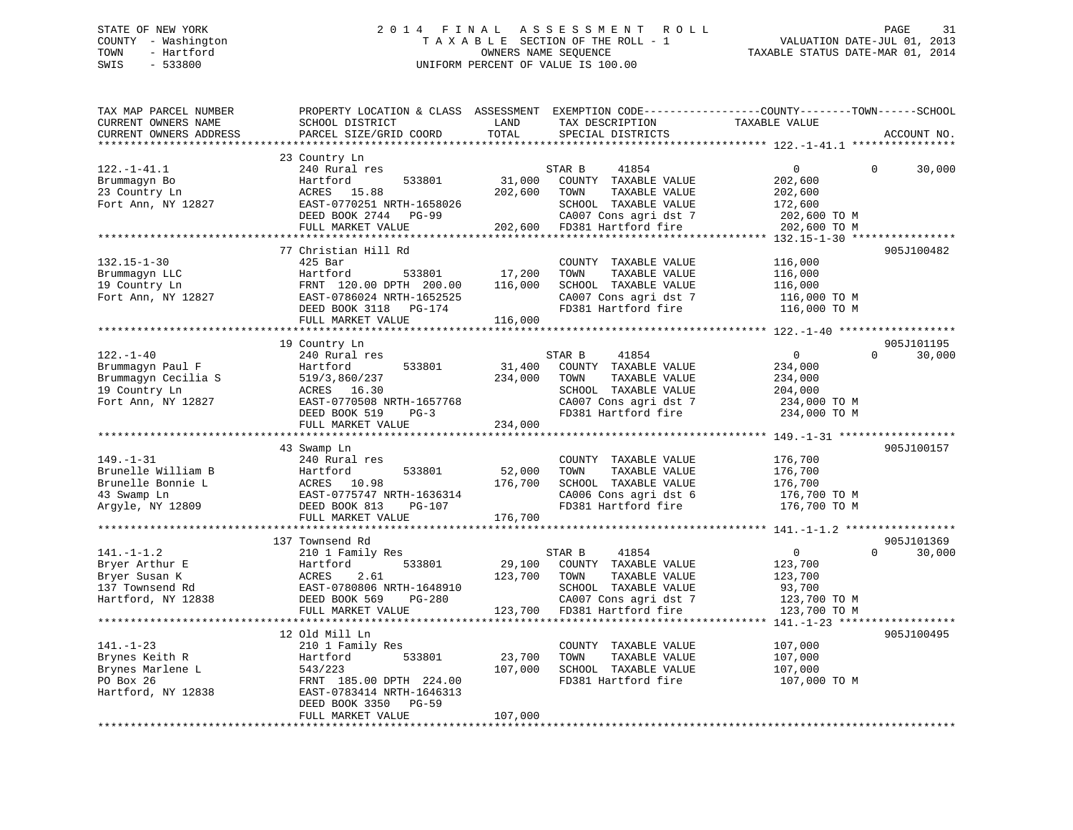## STATE OF NEW YORK 2 0 1 4 F I N A L A S S E S S M E N T R O L L PAGE 31 COUNTY - Washington T A X A B L E SECTION OF THE ROLL - 1 VALUATION DATE-JUL 01, 2013 TOWN - Hartford **TAXABLE STATUS DATE-MAR 01, 2014** OWNERS NAME SEQUENCE TAXABLE STATUS DATE-MAR 01, 2014 SWIS - 533800 UNIFORM PERCENT OF VALUE IS 100.00

| TAX MAP PARCEL NUMBER  | PROPERTY LOCATION & CLASS ASSESSMENT |         | EXEMPTION CODE-----------------COUNTY-------TOWN------SCHOOL |                                       |          |             |
|------------------------|--------------------------------------|---------|--------------------------------------------------------------|---------------------------------------|----------|-------------|
| CURRENT OWNERS NAME    | SCHOOL DISTRICT                      | LAND    | TAX DESCRIPTION                                              | TAXABLE VALUE                         |          |             |
| CURRENT OWNERS ADDRESS | PARCEL SIZE/GRID COORD               | TOTAL   | SPECIAL DISTRICTS                                            |                                       |          | ACCOUNT NO. |
|                        |                                      |         |                                                              | ***************** 122.-1-41.1 ******* |          |             |
|                        | 23 Country Ln                        |         |                                                              |                                       |          |             |
| $122. - 1 - 41.1$      | 240 Rural res                        |         | STAR B<br>41854                                              | $\Omega$                              | $\Omega$ | 30,000      |
| Brummagyn Bo           | 533801<br>Hartford                   | 31,000  | COUNTY TAXABLE VALUE                                         | 202,600                               |          |             |
| 23 Country Ln          | ACRES 15.88                          | 202,600 | TAXABLE VALUE<br>TOWN                                        | 202,600                               |          |             |
| Fort Ann, NY 12827     | EAST-0770251 NRTH-1658026            |         | SCHOOL TAXABLE VALUE                                         | 172,600                               |          |             |
|                        | DEED BOOK 2744<br>PG-99              |         | CA007 Cons agri dst 7                                        | 202,600 TO M                          |          |             |
|                        | FULL MARKET VALUE                    |         | 202,600 FD381 Hartford fire                                  | 202,600 TO M                          |          |             |
|                        |                                      |         |                                                              |                                       |          |             |
|                        | 77 Christian Hill Rd                 |         |                                                              |                                       |          | 905J100482  |
|                        |                                      |         |                                                              |                                       |          |             |
| $132.15 - 1 - 30$      | $425$ Bar                            |         | COUNTY TAXABLE VALUE                                         | 116,000                               |          |             |
| Brummagyn LLC          | Hartford<br>533801                   | 17,200  | TOWN<br>TAXABLE VALUE                                        | 116,000                               |          |             |
| 19 Country Ln          | FRNT 120.00 DPTH 200.00              | 116,000 | SCHOOL TAXABLE VALUE                                         | 116,000                               |          |             |
| Fort Ann, NY 12827     | EAST-0786024 NRTH-1652525            |         | CA007 Cons agri dst 7                                        | 116,000 TO M                          |          |             |
|                        | DEED BOOK 3118 PG-174                |         | FD381 Hartford fire                                          | 116,000 TO M                          |          |             |
|                        | FULL MARKET VALUE                    | 116,000 |                                                              |                                       |          |             |
|                        |                                      |         |                                                              |                                       |          |             |
|                        | 19 Country Ln                        |         |                                                              |                                       |          | 905J101195  |
| $122. - 1 - 40$        | 240 Rural res                        |         | STAR B<br>41854                                              | $\overline{0}$                        | $\Omega$ | 30,000      |
| Brummagyn Paul F       | Hartford<br>533801                   | 31,400  | COUNTY TAXABLE VALUE                                         | 234,000                               |          |             |
| Brummagyn Cecilia S    | 519/3,860/237                        | 234,000 | TOWN<br>TAXABLE VALUE                                        | 234,000                               |          |             |
| 19 Country Ln          | ACRES 16.30                          |         | SCHOOL TAXABLE VALUE                                         | 204,000                               |          |             |
| Fort Ann, NY 12827     | EAST-0770508 NRTH-1657768            |         | CA007 Cons agri dst 7                                        | 234,000 TO M                          |          |             |
|                        | DEED BOOK 519<br>$PG-3$              |         | FD381 Hartford fire                                          | 234,000 TO M                          |          |             |
|                        | FULL MARKET VALUE                    | 234,000 |                                                              |                                       |          |             |
|                        |                                      |         |                                                              |                                       |          |             |
|                        | 43 Swamp Ln                          |         |                                                              |                                       |          | 905J100157  |
| $149. - 1 - 31$        | 240 Rural res                        |         | COUNTY TAXABLE VALUE                                         | 176,700                               |          |             |
| Brunelle William B     | 533801<br>Hartford                   | 52,000  | TOWN<br>TAXABLE VALUE                                        | 176,700                               |          |             |
| Brunelle Bonnie L      | ACRES 10.98                          | 176,700 | SCHOOL TAXABLE VALUE                                         | 176,700                               |          |             |
| 43 Swamp Ln            | EAST-0775747 NRTH-1636314            |         | CA006 Cons agri dst 6                                        | 176,700 ТО М                          |          |             |
| Arqyle, NY 12809       |                                      |         | FD381 Hartford fire                                          |                                       |          |             |
|                        | DEED BOOK 813<br>PG-107              |         |                                                              | 176,700 TO M                          |          |             |
|                        | FULL MARKET VALUE                    | 176,700 |                                                              |                                       |          |             |
|                        |                                      |         |                                                              |                                       |          |             |
|                        | 137 Townsend Rd                      |         |                                                              |                                       |          | 905J101369  |
| $141. - 1 - 1.2$       | 210 1 Family Res                     |         | 41854<br>STAR B                                              | $\overline{0}$                        | $\Omega$ | 30,000      |
| Bryer Arthur E         | 533801<br>Hartford                   | 29,100  | COUNTY TAXABLE VALUE                                         | 123,700                               |          |             |
| Bryer Susan K          | 2.61<br>ACRES                        | 123,700 | TAXABLE VALUE<br>TOWN                                        | 123,700                               |          |             |
| 137 Townsend Rd        | EAST-0780806 NRTH-1648910            |         | SCHOOL TAXABLE VALUE                                         | 93,700                                |          |             |
| Hartford, NY 12838     | DEED BOOK 569<br>PG-280              |         | CA007 Cons agri dst 7                                        | 123,700 TO M                          |          |             |
|                        | FULL MARKET VALUE                    |         | 123,700 FD381 Hartford fire                                  | 123,700 TO M                          |          |             |
|                        |                                      |         |                                                              |                                       |          |             |
|                        | 12 Old Mill Ln                       |         |                                                              |                                       |          | 905J100495  |
| $141. - 1 - 23$        | 210 1 Family Res                     |         | COUNTY TAXABLE VALUE                                         | 107,000                               |          |             |
| Brynes Keith R         | 533801<br>Hartford                   | 23,700  | TOWN<br>TAXABLE VALUE                                        | 107,000                               |          |             |
| Brynes Marlene L       | 543/223                              | 107,000 | SCHOOL TAXABLE VALUE                                         | 107,000                               |          |             |
| PO Box 26              | FRNT 185.00 DPTH 224.00              |         | FD381 Hartford fire                                          | 107,000 TO M                          |          |             |
| Hartford, NY 12838     | EAST-0783414 NRTH-1646313            |         |                                                              |                                       |          |             |
|                        | DEED BOOK 3350<br><b>PG-59</b>       |         |                                                              |                                       |          |             |
|                        | FULL MARKET VALUE                    | 107,000 |                                                              |                                       |          |             |
|                        |                                      |         |                                                              |                                       |          |             |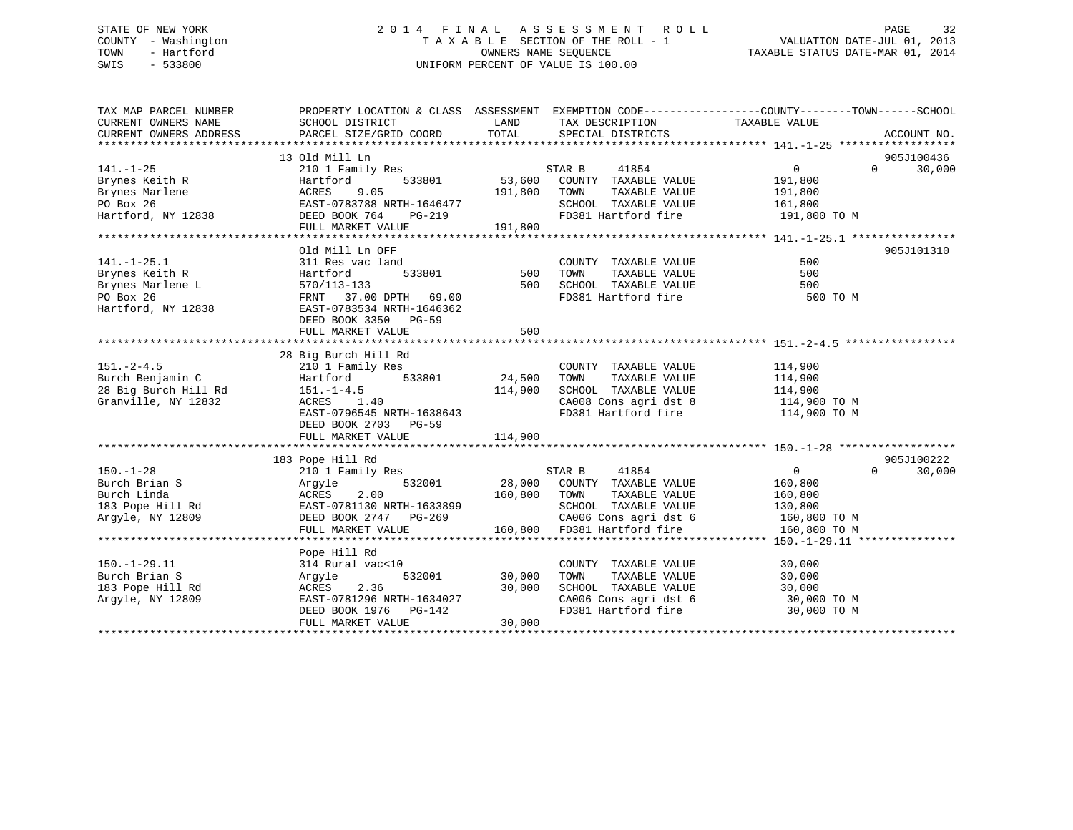## STATE OF NEW YORK 2 0 1 4 F I N A L A S S E S S M E N T R O L L PAGE 32 COUNTY - Washington T A X A B L E SECTION OF THE ROLL - 1 VALUATION DATE-JUL 01, 2013 TOWN - Hartford **TAXABLE STATUS DATE-MAR 01, 2014** OWNERS NAME SEQUENCE TAXABLE STATUS DATE-MAR 01, 2014 SWIS - 533800 UNIFORM PERCENT OF VALUE IS 100.00

| TAX MAP PARCEL NUMBER           | PROPERTY LOCATION & CLASS ASSESSMENT EXEMPTION CODE---------------COUNTY-------TOWN-----SCHOOL                                                                                               |              |                                                                                             |                       |                    |
|---------------------------------|----------------------------------------------------------------------------------------------------------------------------------------------------------------------------------------------|--------------|---------------------------------------------------------------------------------------------|-----------------------|--------------------|
| CURRENT OWNERS NAME             | SCHOOL DISTRICT                                                                                                                                                                              | LAND         | TAX DESCRIPTION                                                                             | TAXABLE VALUE         |                    |
| CURRENT OWNERS ADDRESS          | PARCEL SIZE/GRID COORD                                                                                                                                                                       | TOTAL        | SPECIAL DISTRICTS                                                                           |                       | ACCOUNT NO.        |
|                                 | 13 Old Mill Ln                                                                                                                                                                               |              |                                                                                             |                       | 905J100436         |
| $141. - 1 - 25$                 |                                                                                                                                                                                              |              |                                                                                             | $0 \qquad \qquad$     | 30,000<br>$\Omega$ |
| Brynes Keith R                  |                                                                                                                                                                                              |              |                                                                                             | 191,800               |                    |
| Brynes Marlene                  |                                                                                                                                                                                              | 191,800 TOWN |                                                                                             | TAXABLE VALUE 191,800 |                    |
| PO Box 26                       |                                                                                                                                                                                              |              |                                                                                             |                       |                    |
| PO Box 26<br>Hartford, NY 12838 | Hartford 533801 53,600<br>ACRES 9.05 191,800<br>EAST-0783788 NRTH-1646477<br>DEED BOOK 764 PG-219 191,800                                                                                    |              | SCHOOL TAXABLE VALUE 161,800<br>FD381 Hartford fire 191,800 TO M                            |                       |                    |
|                                 | FULL MARKET VALUE                                                                                                                                                                            | 191,800      |                                                                                             |                       |                    |
|                                 |                                                                                                                                                                                              |              |                                                                                             |                       |                    |
|                                 | Old Mill Ln OFF                                                                                                                                                                              |              |                                                                                             |                       | 905J101310         |
| $141. - 1 - 25.1$               | 311 Res vac land                                                                                                                                                                             |              | COUNTY TAXABLE VALUE                                                                        | 500                   |                    |
| Brynes Keith R                  | 533801<br>Hartford                                                                                                                                                                           | 500          | TAXABLE VALUE<br>TOWN                                                                       | 500                   |                    |
| Brynes Marlene L                |                                                                                                                                                                                              |              | 500 SCHOOL TAXABLE VALUE                                                                    | 500                   |                    |
| PO Box 26                       |                                                                                                                                                                                              |              | FD381 Hartford fire                                                                         | 500 TO M              |                    |
| Hartford, NY 12838              | 11111-1201113-133<br>570/113-133<br>FRNT 37.00 DPTH 69.00<br>EAST-0783534 NRTH-1646362                                                                                                       |              |                                                                                             |                       |                    |
|                                 | DEED BOOK 3350 PG-59                                                                                                                                                                         |              |                                                                                             |                       |                    |
|                                 | FULL MARKET VALUE                                                                                                                                                                            | 500          |                                                                                             |                       |                    |
|                                 |                                                                                                                                                                                              |              |                                                                                             |                       |                    |
|                                 | 28 Big Burch Hill Rd                                                                                                                                                                         |              |                                                                                             |                       |                    |
| $151 - 2 - 4.5$                 | 210 1 Family Res                                                                                                                                                                             |              | COUNTY TAXABLE VALUE                                                                        | 114,900               |                    |
| Burch Benjamin C                | Hartford 533801                                                                                                                                                                              | 24,500 TOWN  | TAXABLE VALUE                                                                               | 114,900               |                    |
|                                 |                                                                                                                                                                                              | 114,900      | SCHOOL TAXABLE VALUE                                                                        | 114,900               |                    |
|                                 |                                                                                                                                                                                              |              | CA008 Cons agri dst 8<br>CA008 Cons agri dst 8                                              | 114,900 TO M          |                    |
|                                 | EAST-0796545 NRTH-1638643                                                                                                                                                                    |              | FD381 Hartford fire                                                                         | 114,900 TO M          |                    |
|                                 | DEED BOOK 2703 PG-59                                                                                                                                                                         |              |                                                                                             |                       |                    |
|                                 |                                                                                                                                                                                              |              |                                                                                             |                       |                    |
|                                 |                                                                                                                                                                                              |              |                                                                                             |                       | 905J100222         |
| $150. - 1 - 28$                 | 183 Pope Hill Rd<br>210 1 Family Res                                                                                                                                                         |              | STAR B<br>41854                                                                             | $\overline{0}$        | 30,000<br>$\Omega$ |
|                                 |                                                                                                                                                                                              |              | 28,000 COUNTY TAXABLE VALUE                                                                 | 160,800               |                    |
|                                 |                                                                                                                                                                                              | 160,800 TOWN | TAXABLE VALUE                                                                               | 160,800               |                    |
|                                 | Burch Brian S<br>Burch Linda<br>183 Pope Hill Rd<br>183 Pope Hill Rd<br>183 Pope Hill Rd<br>183 Pope Hill Rd<br>2.00<br>2.00<br>2.00<br>2.00<br>2.00<br>2.00<br>2.00<br>2.00<br>2.00<br>2.00 |              | SCHOOL TAXABLE VALUE                                                                        | 130,800               |                    |
| Arqyle, NY 12809                |                                                                                                                                                                                              |              | CA006 Cons agri dst 6 160,800 TO M                                                          |                       |                    |
|                                 | LOUI-VIOIISU NKTH-1633899<br>DEED BOOK 2747 PG-269<br>FIILL MADVET 1131 IT<br>FULL MARKET VALUE                                                                                              |              | 160,800 FD381 Hartford fire                                                                 | 160,800 TO M          |                    |
|                                 |                                                                                                                                                                                              |              |                                                                                             |                       |                    |
|                                 | Pope Hill Rd                                                                                                                                                                                 |              |                                                                                             |                       |                    |
| $150. - 1 - 29.11$              | 314 Rural vac<10                                                                                                                                                                             |              | COUNTY TAXABLE VALUE                                                                        | 30,000                |                    |
| Burch Brian S                   | 532001<br>Argyle                                                                                                                                                                             | 30,000       | TAXABLE VALUE<br>TOWN                                                                       | 30,000                |                    |
| 183 Pope Hill Rd                |                                                                                                                                                                                              | 30,000       |                                                                                             |                       |                    |
| Argyle, NY 12809                |                                                                                                                                                                                              |              |                                                                                             |                       |                    |
|                                 | ACRES 2.30<br>EAST-0781296 NRTH-1634027<br>Andrea DG-142<br>ACRES 2.36 30,000<br>EAST-0781296 NRTH-1634027<br>DEED BOOK 1976 PG-142                                                          |              | CHOOL TAXABLE VALUE<br>CA006 Cons agri dst 6 30,000 TO M<br>FD381 Hartford fire 30,000 TO M |                       |                    |
|                                 | FULL MARKET VALUE                                                                                                                                                                            | 30,000       |                                                                                             |                       |                    |
|                                 |                                                                                                                                                                                              |              |                                                                                             |                       |                    |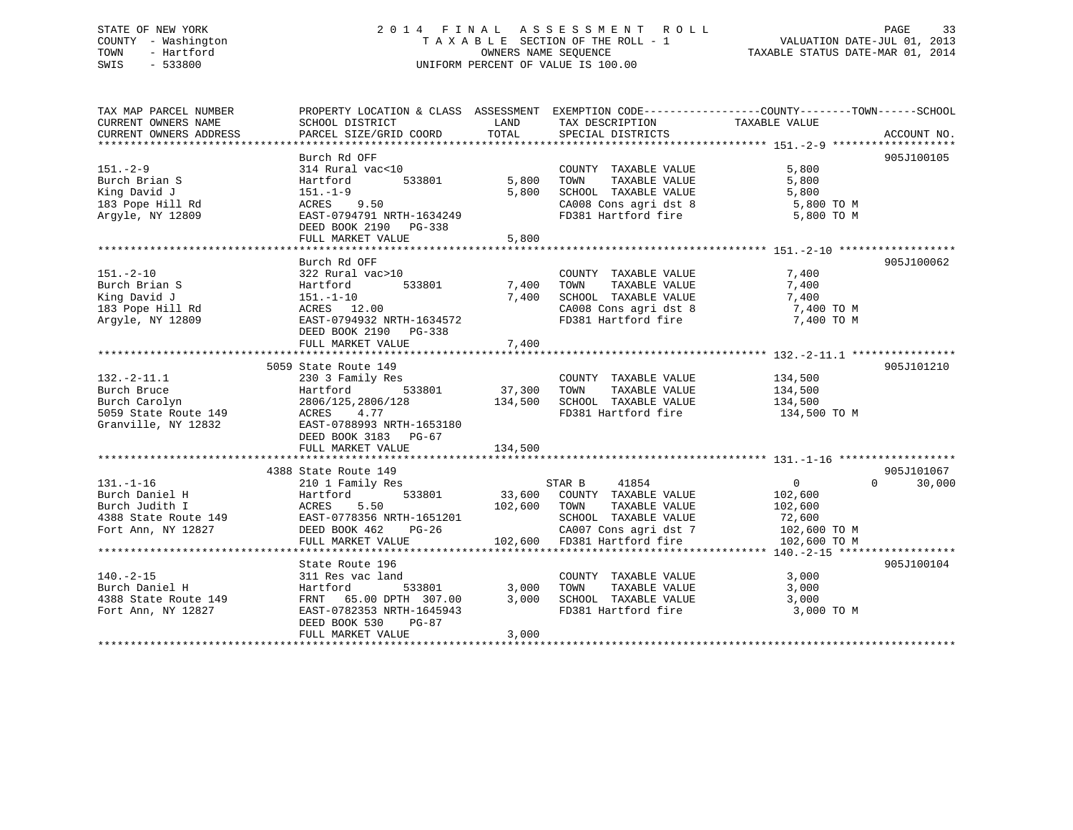## STATE OF NEW YORK 2 0 1 4 F I N A L A S S E S S M E N T R O L L PAGE 33 COUNTY - Washington T A X A B L E SECTION OF THE ROLL - 1 VALUATION DATE-JUL 01, 2013 TOWN - Hartford OWNERS NAME SEQUENCE TAXABLE STATUS DATE-MAR 01, 2014 SWIS - 533800 UNIFORM PERCENT OF VALUE IS 100.00

| TAX MAP PARCEL NUMBER  | PROPERTY LOCATION & CLASS ASSESSMENT EXEMPTION CODE----------------COUNTY-------TOWN------SCHOOL |                |                                                         |                |                                  |
|------------------------|--------------------------------------------------------------------------------------------------|----------------|---------------------------------------------------------|----------------|----------------------------------|
| CURRENT OWNERS NAME    | SCHOOL DISTRICT                                                                                  | LAND           | TAX DESCRIPTION                                         | TAXABLE VALUE  |                                  |
| CURRENT OWNERS ADDRESS | PARCEL SIZE/GRID COORD                                                                           | TOTAL          | SPECIAL DISTRICTS                                       |                | ACCOUNT NO.                      |
|                        | Burch Rd OFF                                                                                     |                |                                                         |                | 905J100105                       |
| $151 - 2 - 9$          | 314 Rural vac<10                                                                                 |                | COUNTY TAXABLE VALUE                                    | 5,800          |                                  |
| Burch Brian S          | 533801                                                                                           | 5,800          | TAXABLE VALUE<br>TOWN                                   | 5,800          |                                  |
| King David J           | Hartford<br>$151.-1-9$                                                                           | 5,800          | SCHOOL TAXABLE VALUE                                    | 5,800          |                                  |
|                        |                                                                                                  |                |                                                         |                |                                  |
| 183 Pope Hill Rd       | ACRES 9.50                                                                                       |                | CA008 Cons agri dst 8<br>FD381 Hartford fire 5,800 TO M | 5,800 TO M     |                                  |
| Argyle, NY 12809       | EAST-0794791 NRTH-1634249                                                                        |                |                                                         |                |                                  |
|                        | DEED BOOK 2190 PG-338                                                                            |                |                                                         |                |                                  |
|                        | FULL MARKET VALUE                                                                                | 5,800          |                                                         |                |                                  |
|                        | Burch Rd OFF                                                                                     |                |                                                         |                | 905J100062                       |
| $151 - 2 - 10$         | 322 Rural vac>10                                                                                 |                | COUNTY TAXABLE VALUE                                    | 7,400          |                                  |
| Burch Brian S          | 533801                                                                                           | 7,400          | TOWN<br>TAXABLE VALUE                                   | 7,400          |                                  |
|                        | Hartford                                                                                         |                |                                                         |                |                                  |
| King David J           | 151.-1-10                                                                                        | 7,400          | SCHOOL TAXABLE VALUE                                    | 7,400          |                                  |
| 183 Pope Hill Rd       | ACRES 12.00                                                                                      |                | CA008 Cons agri dst 8                                   | 7,400 TO M     |                                  |
| Argyle, NY 12809       | EAST-0794932 NRTH-1634572                                                                        |                | FD381 Hartford fire                                     | 7,400 TO M     |                                  |
|                        | DEED BOOK 2190 PG-338                                                                            |                |                                                         |                |                                  |
|                        |                                                                                                  |                |                                                         |                |                                  |
|                        |                                                                                                  |                |                                                         |                |                                  |
|                        | 5059 State Route 149                                                                             |                |                                                         |                | 905J101210                       |
| $132.-2-11.1$          | 230 3 Family Res                                                                                 | 37,300         | COUNTY TAXABLE VALUE                                    | 134,500        |                                  |
| Burch Bruce            | 533801<br>Hartford                                                                               |                | TAXABLE VALUE<br>TOWN                                   | 134,500        |                                  |
| Burch Carolyn          | 2806/125,2806/128                                                                                | 134,500        | SCHOOL TAXABLE VALUE                                    | 134,500        |                                  |
| 5059 State Route 149   | ACRES 4.77                                                                                       |                | FD381 Hartford fire                                     | 134,500 TO M   |                                  |
| Granville, NY 12832    | EAST-0788993 NRTH-1653180                                                                        |                |                                                         |                |                                  |
|                        | DEED BOOK 3183 PG-67                                                                             |                |                                                         |                |                                  |
|                        | FULL MARKET VALUE                                                                                | 134,500        |                                                         |                |                                  |
|                        |                                                                                                  |                |                                                         |                |                                  |
|                        | 4388 State Route 149                                                                             |                |                                                         | $\overline{0}$ | 905J101067<br>$\Omega$<br>30,000 |
| $131. - 1 - 16$        | 210 1 Family Res                                                                                 |                | STAR B 41854                                            |                |                                  |
| Burch Daniel H         | 533801<br>Hartford                                                                               |                | 33,600 COUNTY TAXABLE VALUE                             | 102,600        |                                  |
| Burch Judith I         | ACRES 5.50<br>EAST-0778356 NRTH-1651201                                                          | 102,600        | TAXABLE VALUE<br>TOWN                                   | 102,600        |                                  |
| 4388 State Route 149   |                                                                                                  |                | SCHOOL TAXABLE VALUE                                    | 72,600         |                                  |
| Fort Ann, NY 12827     | DEED BOOK 462<br>PG-26                                                                           |                | CA007 Cons agri dst 7 102,600 TO M                      |                |                                  |
|                        | FULL MARKET VALUE                                                                                |                | 102,600 FD381 Hartford fire                             | 102,600 TO M   |                                  |
|                        |                                                                                                  |                |                                                         |                | 905J100104                       |
| $140. -2 - 15$         | State Route 196                                                                                  |                | COUNTY TAXABLE VALUE                                    |                |                                  |
| Burch Daniel H         | 311 Res vac land                                                                                 |                | TOWN<br>TAXABLE VALUE                                   | 3,000          |                                  |
|                        | Hartford<br>533801                                                                               | 3,000<br>3,000 | SCHOOL TAXABLE VALUE                                    | 3,000          |                                  |
| 4388 State Route 149   | FRNT 65.00 DPTH 307.00                                                                           |                | FD381 Hartford fire                                     | 3,000          |                                  |
| Fort Ann, NY 12827     | EAST-0782353 NRTH-1645943                                                                        |                |                                                         | 3,000 TO M     |                                  |
|                        | DEED BOOK 530<br>PG-87                                                                           |                |                                                         |                |                                  |
|                        | FULL MARKET VALUE                                                                                | 3,000          |                                                         |                |                                  |
|                        |                                                                                                  |                |                                                         |                |                                  |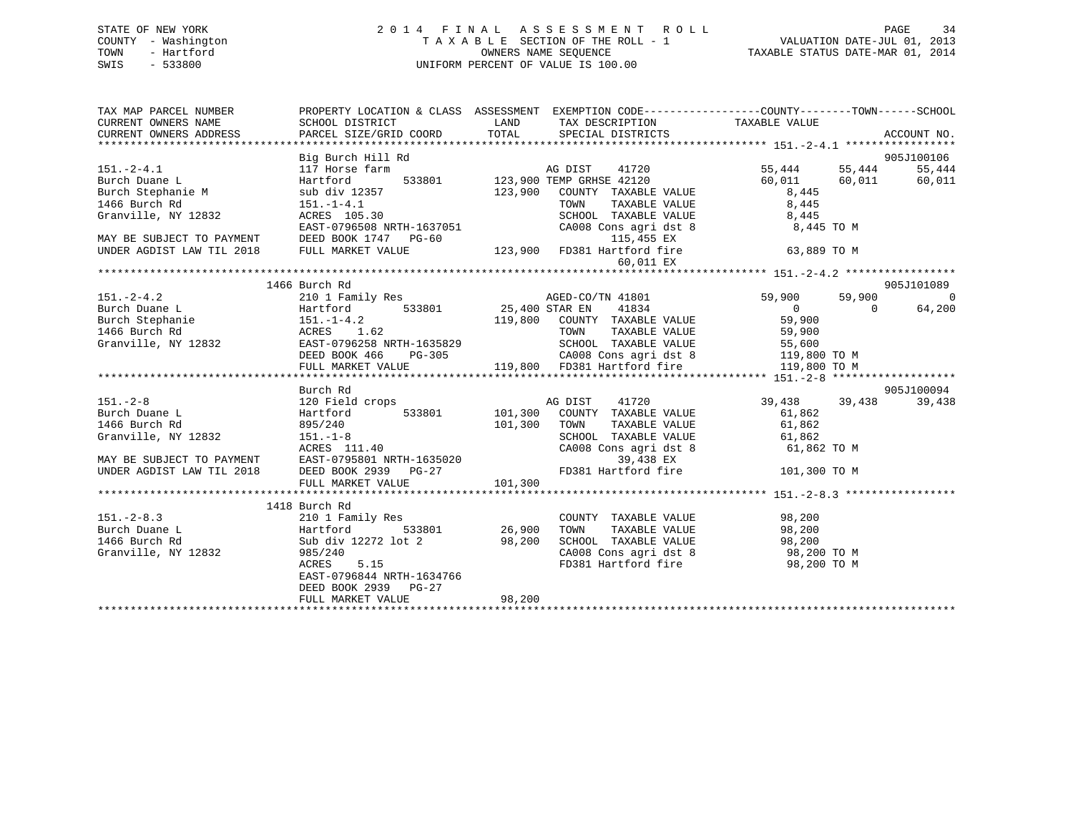|      | STATE OF NEW YORK   |  |  | 2014 FINAL ASSESSMENT ROLL         |                                  | PAGE | 34 |
|------|---------------------|--|--|------------------------------------|----------------------------------|------|----|
|      | COUNTY - Washington |  |  | TAXABLE SECTION OF THE ROLL - 1    | VALUATION DATE-JUL 01, 2013      |      |    |
| TOWN | - Hartford          |  |  | OWNERS NAME SEOUENCE               | TAXABLE STATUS DATE-MAR 01, 2014 |      |    |
| SWIS | - 533800            |  |  | UNIFORM PERCENT OF VALUE IS 100.00 |                                  |      |    |

| Big Burch Hill Rd<br>905J100106                                                                                                                                                                                                                                                                                                                                                                              |            |
|--------------------------------------------------------------------------------------------------------------------------------------------------------------------------------------------------------------------------------------------------------------------------------------------------------------------------------------------------------------------------------------------------------------|------------|
| 3151.-2-4.1<br>Big Burch Hill Rd<br>Burch Duane L<br>Burch Stephanie M<br>Burch Stephanie M<br>Burch Stephanie M<br>S5,444<br>Burch Stephanie M<br>S5,444<br>Burch S5,444<br>S5,444<br>Burch S5,444<br>S5,444<br>Burch S5,444<br>S5,444<br>S5,444<br>S5,444<br>S                                                                                                                                             |            |
|                                                                                                                                                                                                                                                                                                                                                                                                              |            |
|                                                                                                                                                                                                                                                                                                                                                                                                              |            |
|                                                                                                                                                                                                                                                                                                                                                                                                              |            |
|                                                                                                                                                                                                                                                                                                                                                                                                              |            |
|                                                                                                                                                                                                                                                                                                                                                                                                              |            |
|                                                                                                                                                                                                                                                                                                                                                                                                              |            |
|                                                                                                                                                                                                                                                                                                                                                                                                              |            |
|                                                                                                                                                                                                                                                                                                                                                                                                              |            |
|                                                                                                                                                                                                                                                                                                                                                                                                              |            |
| 1466 Burch Rd                                                                                                                                                                                                                                                                                                                                                                                                | 905J101089 |
|                                                                                                                                                                                                                                                                                                                                                                                                              |            |
|                                                                                                                                                                                                                                                                                                                                                                                                              |            |
|                                                                                                                                                                                                                                                                                                                                                                                                              |            |
|                                                                                                                                                                                                                                                                                                                                                                                                              |            |
|                                                                                                                                                                                                                                                                                                                                                                                                              |            |
|                                                                                                                                                                                                                                                                                                                                                                                                              |            |
|                                                                                                                                                                                                                                                                                                                                                                                                              |            |
| $\begin{tabular}{lllllllllllllllllll} \textbf{151.}-2-4.2 & \textbf{1466 Burch Rd} & \textbf{33801} & \textbf{151.}-2-4.2 & \textbf{2101 Translly Res} \\ \textbf{Burch Duane L} & \textbf{2101 Translly Res} & \textbf{1533801} & \textbf{25,400 STR R EN} & \textbf{41834} & \textbf{0} & \textbf{59,900} & \textbf{0} & \textbf{0} \\ \textbf{Burch Stephanie} & \textbf{151.}-1-4.2 & \textbf{119,800 C$ |            |
| Burch Rd                                                                                                                                                                                                                                                                                                                                                                                                     | 905J100094 |
|                                                                                                                                                                                                                                                                                                                                                                                                              | 39,438     |
|                                                                                                                                                                                                                                                                                                                                                                                                              |            |
|                                                                                                                                                                                                                                                                                                                                                                                                              |            |
|                                                                                                                                                                                                                                                                                                                                                                                                              |            |
|                                                                                                                                                                                                                                                                                                                                                                                                              |            |
|                                                                                                                                                                                                                                                                                                                                                                                                              |            |
|                                                                                                                                                                                                                                                                                                                                                                                                              |            |
|                                                                                                                                                                                                                                                                                                                                                                                                              |            |
| 1418 Burch Rd<br>151.-2-8.3 1418 Burch Rd<br>210 1 Family Res<br>26,900<br>1466 Burch Rd<br>1466 Burch Rd<br>533801 26,900<br>1466 Burch Rd<br>58,200<br>88,200<br>28,200<br>28,200<br>28,200<br>28,200<br>28,200<br>28,200<br>28,200<br>28,200<br>28,200<br>28,200<br>                                                                                                                                      |            |
|                                                                                                                                                                                                                                                                                                                                                                                                              |            |
| COUNTY TAXABLE VALUE 98,200<br>TOWN TAXABLE VALUE 98,200                                                                                                                                                                                                                                                                                                                                                     |            |
|                                                                                                                                                                                                                                                                                                                                                                                                              |            |
| SCHOOL TAXABLE VALUE<br>CAOOL TAXABLE VALUE<br>CAOO8 Cons agri dst 8 98,200 TO M<br>FD381 Hartford fire 98,200 TO M                                                                                                                                                                                                                                                                                          |            |
|                                                                                                                                                                                                                                                                                                                                                                                                              |            |
| EAST-0796844 NRTH-1634766                                                                                                                                                                                                                                                                                                                                                                                    |            |
| DEED BOOK 2939 PG-27                                                                                                                                                                                                                                                                                                                                                                                         |            |
|                                                                                                                                                                                                                                                                                                                                                                                                              |            |
|                                                                                                                                                                                                                                                                                                                                                                                                              |            |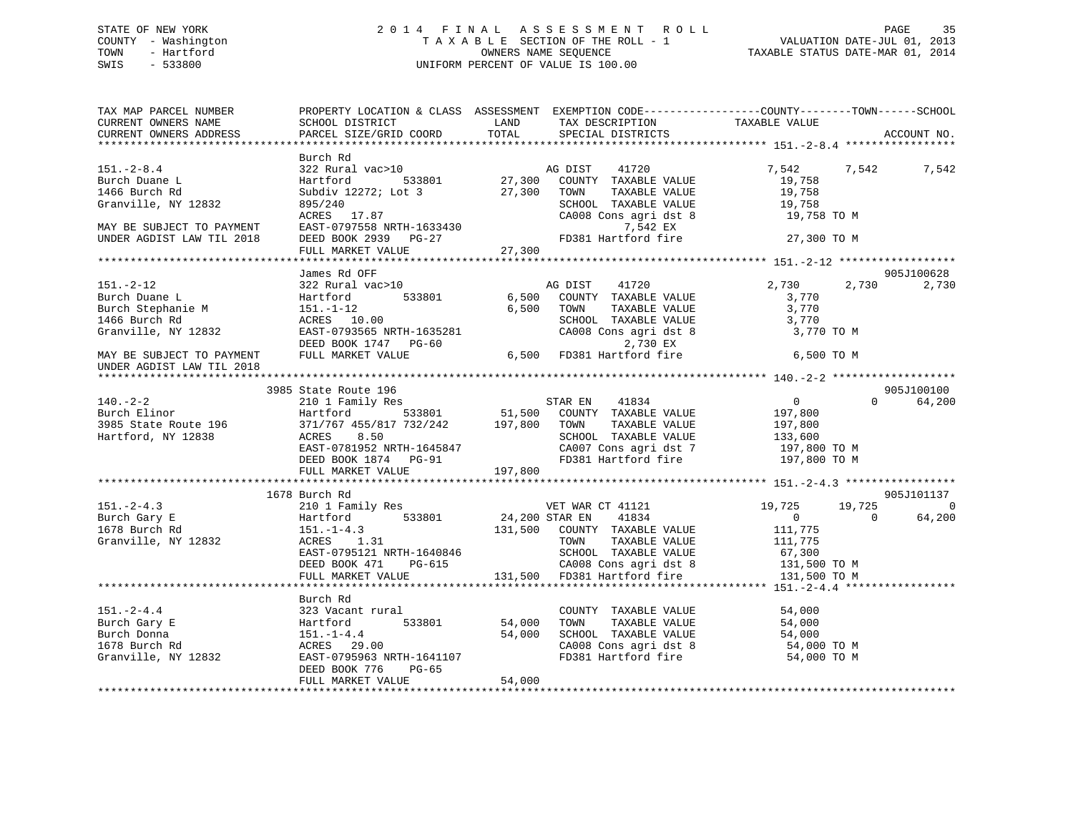## STATE OF NEW YORK 2 0 1 4 F I N A L A S S E S S M E N T R O L L PAGE 35 COUNTY - Washington T A X A B L E SECTION OF THE ROLL - 1 VALUATION DATE-JUL 01, 2013 TOWN - Hartford **TAXABLE STATUS DATE-MAR 01, 2014** OWNERS NAME SEQUENCE TAXABLE STATUS DATE-MAR 01, 2014 SWIS - 533800 UNIFORM PERCENT OF VALUE IS 100.00

| TAX MAP PARCEL NUMBER<br>CURRENT OWNERS NAME                                                  | SCHOOL DISTRICT                                                                                                                    | PROPERTY LOCATION & CLASS ASSESSMENT EXEMPTION CODE----------------COUNTY-------TOWN-----SCHOOL<br>LAND<br>TAX DESCRIPTION                            | TAXABLE VALUE                                                                                                        |
|-----------------------------------------------------------------------------------------------|------------------------------------------------------------------------------------------------------------------------------------|-------------------------------------------------------------------------------------------------------------------------------------------------------|----------------------------------------------------------------------------------------------------------------------|
| CURRENT OWNERS ADDRESS                                                                        | PARCEL SIZE/GRID COORD                                                                                                             | TOTAL<br>SPECIAL DISTRICTS                                                                                                                            | ACCOUNT NO.                                                                                                          |
|                                                                                               | Burch Rd                                                                                                                           |                                                                                                                                                       |                                                                                                                      |
| $151.-2-8.4$<br>Burch Duane L<br>1466 Burch Rd                                                | 322 Rural vac>10<br>Hartford<br>533801<br>Subdiv 12272; Lot 3                                                                      | AG DIST 41720<br>27,300 COUNTY TAXABLE VALUE<br>27,300<br>TOWN<br>TAXABLE VALUE                                                                       | 7,542<br>7,542<br>7,542<br>19,758<br>19,758                                                                          |
| Granville, NY 12832                                                                           | 895/240<br>ACRES 17.87                                                                                                             | SCHOOL TAXABLE VALUE<br>CA008 Cons agri dst 8                                                                                                         | 19,758<br>19,758 TO M                                                                                                |
| MAY BE SUBJECT TO PAYMENT<br>UNDER AGDIST LAW TIL 2018                                        | EAST-0797558 NRTH-1633430<br>DEED BOOK 2939 PG-27<br>FULL MARKET VALUE                                                             | 7,542 EX<br>FD381 Hartford fire<br>27,300                                                                                                             | 27,300 TO M                                                                                                          |
|                                                                                               |                                                                                                                                    |                                                                                                                                                       |                                                                                                                      |
|                                                                                               | James Rd OFF                                                                                                                       |                                                                                                                                                       | 905J100628                                                                                                           |
| $151. - 2 - 12$<br>Burch Duane L<br>Burch Stephanie M<br>1466 Burch Rd<br>Granville, NY 12832 | 322 Rural vac>10<br>Hartford 533801<br>151.-1-12<br>ACRES 10.00<br>EAST-0793565 NRTH-1635281<br>DEED BOOK 1747 PG-60               | AG DIST<br>41720<br>6,500<br>COUNTY TAXABLE VALUE<br>6,500<br>TOWN<br>TAXABLE VALUE<br>SCHOOL TAXABLE VALUE<br>CA008 Cons agri dst 8<br>2,730 EX      | 2,730<br>2,730<br>2,730<br>3,770<br>3,770<br>3,770<br>3,770 TO M                                                     |
| MAY BE SUBJECT TO PAYMENT<br>UNDER AGDIST LAW TIL 2018                                        | FULL MARKET VALUE                                                                                                                  | 6,500 FD381 Hartford fire                                                                                                                             | 6,500 TO M                                                                                                           |
|                                                                                               | 3985 State Route 196                                                                                                               |                                                                                                                                                       | 905J100100                                                                                                           |
| $140. - 2 - 2$                                                                                | 210 1 Family Res                                                                                                                   | STAR EN 41834                                                                                                                                         | $\overline{0}$<br>$\Omega$<br>64,200                                                                                 |
| Burch Elinor                                                                                  | Hartford                                                                                                                           | 533801 51,500 COUNTY TAXABLE VALUE                                                                                                                    | 197,800                                                                                                              |
| 3985 State Route 196                                                                          | 371/767 455/817 732/242 197,800 TOWN                                                                                               | TAXABLE VALUE                                                                                                                                         | 197,800                                                                                                              |
| Hartford, NY 12838                                                                            | 8.50<br>ACRES                                                                                                                      | SCHOOL TAXABLE VALUE                                                                                                                                  | 133,600                                                                                                              |
|                                                                                               | $\texttt{EAST-0781952} \text{ NRTH-1645847}$<br>DEED BOOK 1874 PG-91                                                               | CA007 Cons agri dst 7<br>FD381 Hartford fire                                                                                                          | 197,800 TO M<br>197,800 TO M                                                                                         |
|                                                                                               | FULL MARKET VALUE                                                                                                                  | 197,800                                                                                                                                               |                                                                                                                      |
|                                                                                               | 1678 Burch Rd                                                                                                                      |                                                                                                                                                       | 905J101137                                                                                                           |
| $151 - 2 - 4.3$<br>Burch Gary E<br>1678 Burch Rd<br>Granville, NY 12832                       | 210 1 Family Res<br>533801<br>Hartford<br>$151. - 1 - 4.3$<br>ACRES 1.31<br>EAST-0795121 NRTH-1640846<br>DEED BOOK 471<br>$PG-615$ | VET WAR CT 41121<br>24,200 STAR EN<br>41834<br>131,500 COUNTY TAXABLE VALUE<br>TOWN<br>TAXABLE VALUE<br>SCHOOL TAXABLE VALUE<br>CA008 Cons agri dst 8 | 19,725<br>19,725<br>$\Omega$<br>$\overline{0}$<br>64,200<br>$\Omega$<br>111,775<br>111,775<br>67,300<br>131,500 TO M |
|                                                                                               | FULL MARKET VALUE                                                                                                                  | 131,500 FD381 Hartford fire                                                                                                                           | 131,500 TO M                                                                                                         |
|                                                                                               |                                                                                                                                    |                                                                                                                                                       |                                                                                                                      |
| $151 - 2 - 4.4$<br>Burch Gary E<br>Burch Donna<br>1678 Burch Rd                               | Burch Rd<br>323 Vacant rural<br>533801<br>Hartford<br>$151. - 1 - 4.4$<br>ACRES 29.00                                              | COUNTY TAXABLE VALUE<br>54,000<br>TOWN<br>TAXABLE VALUE<br>54,000<br>SCHOOL TAXABLE VALUE<br>CA008 Cons agri dst 8                                    | 54,000<br>54,000<br>54,000<br>54,000 TO M                                                                            |
| Granville, NY 12832                                                                           | EAST-0795963 NRTH-1641107<br>DEED BOOK 776<br>PG-65<br>FULL MARKET VALUE                                                           | FD381 Hartford fire<br>54,000                                                                                                                         | 54,000 TO M                                                                                                          |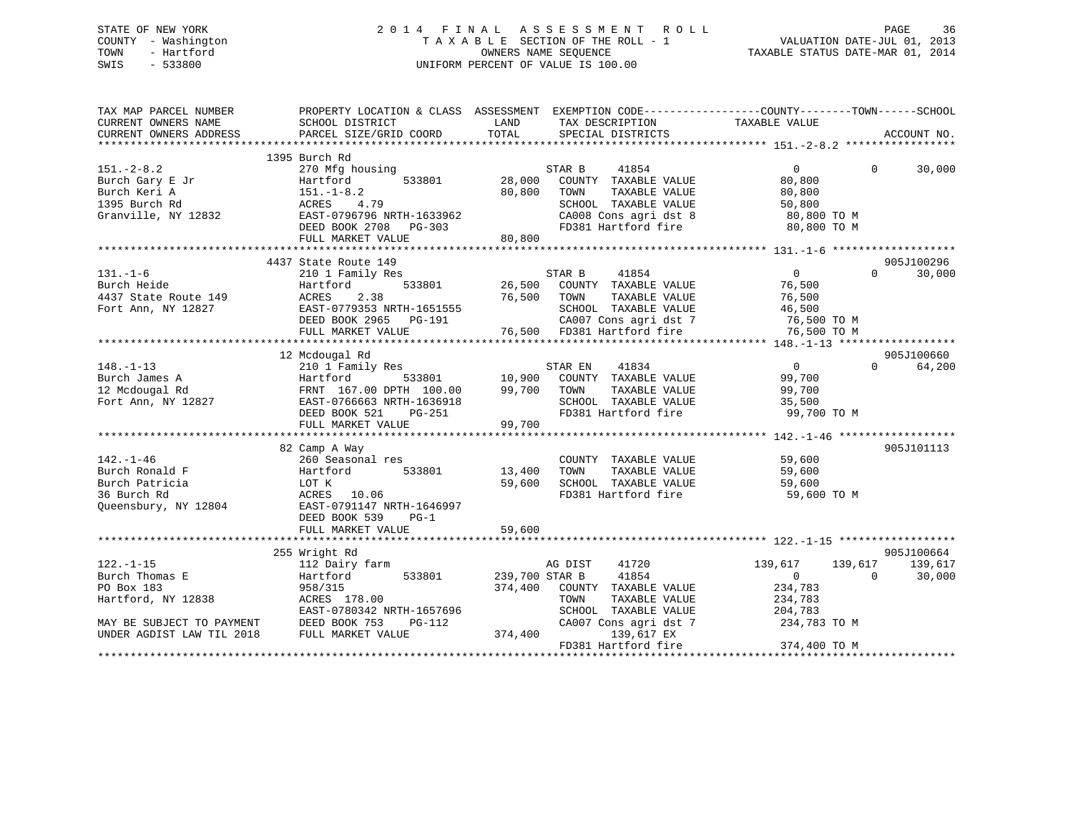## STATE OF NEW YORK 2 0 1 4 F I N A L A S S E S S M E N T R O L L PAGE 36 COUNTY - Washington T A X A B L E SECTION OF THE ROLL - 1 VALUATION DATE-JUL 01, 2013 TOWN - Hartford OWNERS NAME SEQUENCE TAXABLE STATUS DATE-MAR 01, 2014 SWIS - 533800 UNIFORM PERCENT OF VALUE IS 100.00

| TAX MAP PARCEL NUMBER                                                               | PROPERTY LOCATION & CLASS ASSESSMENT EXEMPTION CODE---------------COUNTY-------TOWN------SCHOOL |                |                   |                            |                            |          |             |
|-------------------------------------------------------------------------------------|-------------------------------------------------------------------------------------------------|----------------|-------------------|----------------------------|----------------------------|----------|-------------|
| CURRENT OWNERS NAME                                                                 | SCHOOL DISTRICT                                                                                 | LAND           | TAX DESCRIPTION   |                            | TAXABLE VALUE              |          |             |
| CURRENT OWNERS ADDRESS                                                              | PARCEL SIZE/GRID COORD                                                                          | TOTAL          | SPECIAL DISTRICTS |                            |                            |          | ACCOUNT NO. |
|                                                                                     |                                                                                                 |                |                   |                            |                            |          |             |
|                                                                                     | 1395 Burch Rd                                                                                   |                |                   |                            |                            |          |             |
| $151. - 2 - 8.2$                                                                    | 270 Mfg housing                                                                                 |                | STAR B            | 41854                      | $\Omega$                   | $\Omega$ | 30,000      |
| Burch Gary E Jr                                                                     | 533801<br>Hartford                                                                              | 28,000         |                   | COUNTY TAXABLE VALUE       | 80,800                     |          |             |
| Burch Keri A                                                                        | $151.-1-8.2$                                                                                    | 80,800         | TOWN              | TAXABLE VALUE              | 80,800                     |          |             |
| 1395 Burch Rd                                                                       | ACRES<br>4.79                                                                                   |                |                   | SCHOOL TAXABLE VALUE       | 50,800                     |          |             |
| Granville, NY 12832                                                                 | EAST-0796796 NRTH-1633962                                                                       |                |                   | CA008 Cons agri dst 8      | 80,800 TO M                |          |             |
|                                                                                     | DEED BOOK 2708<br>PG-303                                                                        |                |                   | FD381 Hartford fire        | 80,800 TO M                |          |             |
|                                                                                     | FULL MARKET VALUE                                                                               | 80,800         |                   |                            |                            |          |             |
|                                                                                     |                                                                                                 |                |                   |                            |                            |          |             |
|                                                                                     | 4437 State Route 149                                                                            |                |                   |                            |                            |          | 905J100296  |
| $131. - 1 - 6$                                                                      | 210 1 Family Res                                                                                |                | STAR B            | 41854                      | $\overline{0}$             | $\Omega$ | 30,000      |
| Burch Heide                                                                         | 533801<br>Hartford                                                                              | 26,500         |                   | COUNTY TAXABLE VALUE       | 76,500                     |          |             |
| 4437 State Route 149                                                                | ACRES<br>2.38                                                                                   | 76,500         | TOWN              | TAXABLE VALUE              | 76,500                     |          |             |
| Fort Ann, NY 12827                                                                  | EAST-0779353 NRTH-1651555                                                                       |                |                   | SCHOOL TAXABLE VALUE       | 46,500                     |          |             |
|                                                                                     | DEED BOOK 2965<br>PG-191                                                                        |                |                   | CA007 Cons agri dst 7      | 76,500 TO M                |          |             |
|                                                                                     | FULL MARKET VALUE                                                                               |                |                   | 76,500 FD381 Hartford fire | 76,500 TO M                |          |             |
|                                                                                     |                                                                                                 |                |                   |                            |                            |          |             |
|                                                                                     | 12 Mcdougal Rd                                                                                  |                |                   |                            |                            |          | 905J100660  |
| $148. - 1 - 13$                                                                     | 210 1 Family Res                                                                                |                | STAR EN           | 41834                      | $\mathbf{0}$               | $\Omega$ | 64,200      |
| Burch James A                                                                       | Hartford<br>533801                                                                              | 10,900         |                   | COUNTY TAXABLE VALUE       | 99,700                     |          |             |
| 12 Mcdougal Rd                                                                      | FRNT 167.00 DPTH 100.00                                                                         | 99,700         | TOWN              | TAXABLE VALUE              | 99,700                     |          |             |
| Fort Ann, NY 12827                                                                  | EAST-0766663 NRTH-1636918                                                                       |                |                   | SCHOOL TAXABLE VALUE       | 35,500                     |          |             |
|                                                                                     | DEED BOOK 521<br><b>PG-251</b>                                                                  |                |                   | FD381 Hartford fire        | 99,700 TO M                |          |             |
|                                                                                     | FULL MARKET VALUE                                                                               | 99,700         |                   |                            |                            |          |             |
|                                                                                     |                                                                                                 |                |                   |                            |                            |          |             |
|                                                                                     | 82 Camp A Way                                                                                   |                |                   |                            |                            |          | 905J101113  |
| $142. - 1 - 46$                                                                     | 260 Seasonal res                                                                                |                |                   | COUNTY TAXABLE VALUE       | 59,600                     |          |             |
| Burch Ronald F                                                                      | 533801<br>Hartford                                                                              | 13,400         | TOWN              | TAXABLE VALUE              | 59,600                     |          |             |
| Burch Patricia                                                                      | LOT K                                                                                           | 59,600         |                   | SCHOOL TAXABLE VALUE       | 59,600                     |          |             |
| 36 Burch Rd                                                                         | ACRES<br>10.06                                                                                  |                |                   | FD381 Hartford fire        | 59,600 TO M                |          |             |
| Queensbury, NY 12804                                                                | EAST-0791147 NRTH-1646997                                                                       |                |                   |                            |                            |          |             |
|                                                                                     | DEED BOOK 539<br>$PG-1$                                                                         |                |                   |                            |                            |          |             |
|                                                                                     | FULL MARKET VALUE                                                                               | 59,600         |                   |                            |                            |          |             |
|                                                                                     |                                                                                                 |                |                   |                            |                            |          |             |
|                                                                                     | 255 Wright Rd                                                                                   |                |                   |                            |                            |          | 905J100664  |
| $122. - 1 - 15$                                                                     | 112 Dairy farm                                                                                  |                | AG DIST           | 41720                      | 139,617                    | 139,617  | 139,617     |
| Burch Thomas E                                                                      | 533801<br>Hartford                                                                              | 239,700 STAR B |                   | 41854                      | $\overline{0}$             | $\Omega$ | 30,000      |
| PO Box 183                                                                          | 958/315                                                                                         | 374,400        |                   | COUNTY TAXABLE VALUE       | 234,783                    |          |             |
| Hartford, NY 12838                                                                  | ACRES 178.00                                                                                    |                | TOWN              | TAXABLE VALUE              | 234,783                    |          |             |
|                                                                                     | EAST-0780342 NRTH-1657696                                                                       |                |                   | SCHOOL TAXABLE VALUE       | 204,783                    |          |             |
|                                                                                     | PG-112                                                                                          |                |                   | CA007 Cons agri dst 7      | 234,783 TO M               |          |             |
| MAY BE SUBJECT TO PAYMENT DEED BOOK 753 INDER AGDIST LAW TIL 2018 FULL MARKET VALUE |                                                                                                 | 374,400        |                   | 139,617 EX                 |                            |          |             |
|                                                                                     |                                                                                                 |                |                   | FD381 Hartford fire        | 374,400 TO M               |          |             |
|                                                                                     |                                                                                                 |                |                   |                            | ************************** |          |             |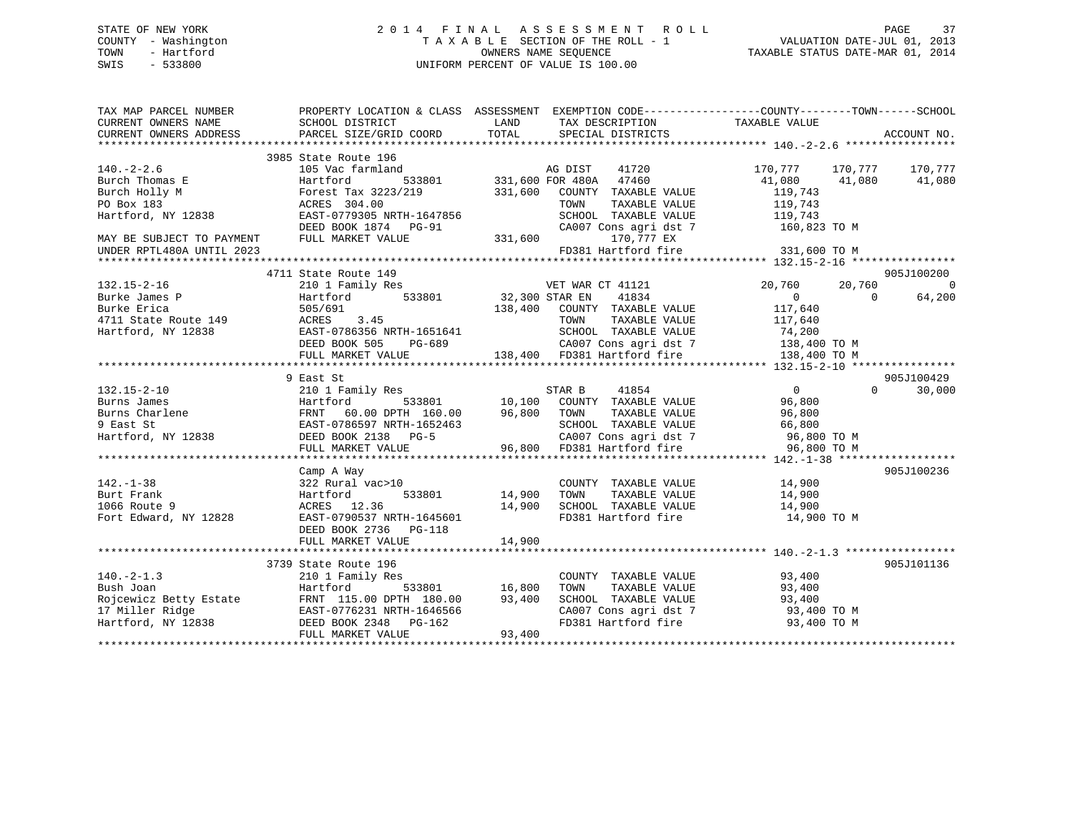### STATE OF NEW YORK 2 0 1 4 F I N A L A S S E S S M E N T R O L L PAGE 37 COUNTY - Washington T A X A B L E SECTION OF THE ROLL - 1 VALUATION DATE-JUL 01, 2013 TOWN - Hartford OWNERS NAME SEQUENCE TAXABLE STATUS DATE-MAR 01, 2014 SWIS - 533800 UNIFORM PERCENT OF VALUE IS 100.00

| TAX MAP PARCEL NUMBER                   |                                                                                                                                                                                                                                                                                                                                                                                                                     |                    |                                                                                                                                                                                                                                                                                                                                                                                                                                    |                         |                                  |
|-----------------------------------------|---------------------------------------------------------------------------------------------------------------------------------------------------------------------------------------------------------------------------------------------------------------------------------------------------------------------------------------------------------------------------------------------------------------------|--------------------|------------------------------------------------------------------------------------------------------------------------------------------------------------------------------------------------------------------------------------------------------------------------------------------------------------------------------------------------------------------------------------------------------------------------------------|-------------------------|----------------------------------|
|                                         | 3985 State Route 196                                                                                                                                                                                                                                                                                                                                                                                                |                    |                                                                                                                                                                                                                                                                                                                                                                                                                                    |                         |                                  |
|                                         |                                                                                                                                                                                                                                                                                                                                                                                                                     |                    |                                                                                                                                                                                                                                                                                                                                                                                                                                    | 170,777 170,777 170,777 |                                  |
|                                         |                                                                                                                                                                                                                                                                                                                                                                                                                     |                    | AG DIST 41720<br>533801 331,600 FOR 480A 47460                                                                                                                                                                                                                                                                                                                                                                                     | 41,080 41,080           | 41,080                           |
|                                         | Forest Tax 3223/219 331,600 COUNTY TAXABLE VALUE                                                                                                                                                                                                                                                                                                                                                                    |                    |                                                                                                                                                                                                                                                                                                                                                                                                                                    | 119,743                 |                                  |
|                                         |                                                                                                                                                                                                                                                                                                                                                                                                                     |                    |                                                                                                                                                                                                                                                                                                                                                                                                                                    |                         |                                  |
|                                         |                                                                                                                                                                                                                                                                                                                                                                                                                     |                    |                                                                                                                                                                                                                                                                                                                                                                                                                                    |                         |                                  |
|                                         | DEED BOOK 1874 PG-91                                                                                                                                                                                                                                                                                                                                                                                                |                    | CA007 Cons agri dst 7 160,823 TO M                                                                                                                                                                                                                                                                                                                                                                                                 |                         |                                  |
| MAY BE SUBJECT TO PAYMENT               | FULL MARKET VALUE                                                                                                                                                                                                                                                                                                                                                                                                   | $G-91$ CA007 C     | 170,777 EX                                                                                                                                                                                                                                                                                                                                                                                                                         |                         |                                  |
| UNDER RPTL480A UNTIL 2023               |                                                                                                                                                                                                                                                                                                                                                                                                                     |                    | FD381 Hartford fire                                                                                                                                                                                                                                                                                                                                                                                                                | 331,600 TO M            |                                  |
|                                         |                                                                                                                                                                                                                                                                                                                                                                                                                     |                    |                                                                                                                                                                                                                                                                                                                                                                                                                                    |                         |                                  |
| $132.15-2-16$<br>Burke James P<br>Price | 4711 State Route 149                                                                                                                                                                                                                                                                                                                                                                                                |                    |                                                                                                                                                                                                                                                                                                                                                                                                                                    |                         | 905J100200                       |
|                                         | 210 1 Family Res                                                                                                                                                                                                                                                                                                                                                                                                    |                    | 533801 VET WAR CT 41121<br>533801 32,300 STAR EN 41834                                                                                                                                                                                                                                                                                                                                                                             | 20,760<br>20,760        | $\overline{0}$                   |
|                                         |                                                                                                                                                                                                                                                                                                                                                                                                                     |                    |                                                                                                                                                                                                                                                                                                                                                                                                                                    |                         |                                  |
|                                         |                                                                                                                                                                                                                                                                                                                                                                                                                     |                    |                                                                                                                                                                                                                                                                                                                                                                                                                                    |                         |                                  |
|                                         |                                                                                                                                                                                                                                                                                                                                                                                                                     |                    |                                                                                                                                                                                                                                                                                                                                                                                                                                    |                         |                                  |
|                                         |                                                                                                                                                                                                                                                                                                                                                                                                                     |                    |                                                                                                                                                                                                                                                                                                                                                                                                                                    |                         |                                  |
|                                         |                                                                                                                                                                                                                                                                                                                                                                                                                     |                    |                                                                                                                                                                                                                                                                                                                                                                                                                                    |                         |                                  |
|                                         |                                                                                                                                                                                                                                                                                                                                                                                                                     |                    |                                                                                                                                                                                                                                                                                                                                                                                                                                    |                         |                                  |
|                                         |                                                                                                                                                                                                                                                                                                                                                                                                                     |                    |                                                                                                                                                                                                                                                                                                                                                                                                                                    |                         |                                  |
|                                         |                                                                                                                                                                                                                                                                                                                                                                                                                     |                    |                                                                                                                                                                                                                                                                                                                                                                                                                                    |                         |                                  |
|                                         | 9 East St<br>$\begin{tabular}{lllllllllllllllllllll} \begin{tabular}{l} \multicolumn{4}{c c}{{\small 132.15-2-10}} & & & & & & & & & & & & \\ {\small 132.15-2-10} & & & & & & & & & & & \\ {\small 132.15-2-10} & & & & & & & & & & \\ {\small 132.15-2-10} & & & & & & & & & \\ {\small 132.15-2-10} & & & & & & & & & \\ {\small 132.15-2-10} & & & & & & & & & \\ {\small 132.15-2-10} & & & & & & & & & \\ {\$ |                    |                                                                                                                                                                                                                                                                                                                                                                                                                                    |                         | 905J100429<br>30,000<br>$\Omega$ |
|                                         |                                                                                                                                                                                                                                                                                                                                                                                                                     |                    | $\begin{array}{ccccccccc} \texttt{S} & \texttt{S} & \texttt{S} & \texttt{S} & \texttt{S} & \texttt{S} & \texttt{S} & \texttt{S} & \texttt{S} & \texttt{S} & \texttt{S} & \texttt{S} & \texttt{S} & \texttt{S} & \texttt{S} & \texttt{S} & \texttt{S} & \texttt{S} & \texttt{S} & \texttt{S} & \texttt{S} & \texttt{S} & \texttt{S} & \texttt{S} & \texttt{S} & \texttt{S} & \texttt{S} & \texttt{S} & \texttt{S} & \texttt{S} & \$ |                         |                                  |
|                                         |                                                                                                                                                                                                                                                                                                                                                                                                                     |                    |                                                                                                                                                                                                                                                                                                                                                                                                                                    |                         |                                  |
|                                         |                                                                                                                                                                                                                                                                                                                                                                                                                     |                    | TAXABLE VALUE                                                                                                                                                                                                                                                                                                                                                                                                                      | 96,800                  |                                  |
|                                         |                                                                                                                                                                                                                                                                                                                                                                                                                     |                    | SCHOOL TAXABLE VALUE 66,800                                                                                                                                                                                                                                                                                                                                                                                                        |                         |                                  |
|                                         |                                                                                                                                                                                                                                                                                                                                                                                                                     |                    | CA007 Cons agri dst 7 96,800 TO M<br>96,800 FD381 Hartford fire 96,800 TO M                                                                                                                                                                                                                                                                                                                                                        |                         |                                  |
|                                         |                                                                                                                                                                                                                                                                                                                                                                                                                     |                    |                                                                                                                                                                                                                                                                                                                                                                                                                                    |                         |                                  |
|                                         |                                                                                                                                                                                                                                                                                                                                                                                                                     |                    |                                                                                                                                                                                                                                                                                                                                                                                                                                    |                         |                                  |
|                                         | Camp A Way                                                                                                                                                                                                                                                                                                                                                                                                          |                    |                                                                                                                                                                                                                                                                                                                                                                                                                                    |                         | 905J100236                       |
| $142. - 1 - 38$                         | 322 Rural vac>10                                                                                                                                                                                                                                                                                                                                                                                                    |                    | COUNTY TAXABLE VALUE 14,900                                                                                                                                                                                                                                                                                                                                                                                                        |                         |                                  |
| Burt Frank                              | 533801<br>Hartford                                                                                                                                                                                                                                                                                                                                                                                                  | 14,900<br>14,900   |                                                                                                                                                                                                                                                                                                                                                                                                                                    |                         |                                  |
| 1066 Route 9                            | ACRES 12.36                                                                                                                                                                                                                                                                                                                                                                                                         |                    |                                                                                                                                                                                                                                                                                                                                                                                                                                    |                         |                                  |
| Fort Edward, NY 12828                   | EAST-0790537 NRTH-1645601                                                                                                                                                                                                                                                                                                                                                                                           |                    | FD381 Hartford fire 14,900 TO M                                                                                                                                                                                                                                                                                                                                                                                                    |                         |                                  |
|                                         | DEED BOOK 2736 PG-118                                                                                                                                                                                                                                                                                                                                                                                               |                    |                                                                                                                                                                                                                                                                                                                                                                                                                                    |                         |                                  |
|                                         | FULL MARKET VALUE                                                                                                                                                                                                                                                                                                                                                                                                   | 14,900             |                                                                                                                                                                                                                                                                                                                                                                                                                                    |                         |                                  |
|                                         |                                                                                                                                                                                                                                                                                                                                                                                                                     |                    |                                                                                                                                                                                                                                                                                                                                                                                                                                    |                         |                                  |
|                                         | 3739 State Route 196                                                                                                                                                                                                                                                                                                                                                                                                |                    |                                                                                                                                                                                                                                                                                                                                                                                                                                    |                         | 905J101136                       |
| $140. -2 - 1.3$                         | 210 1 Family Res                                                                                                                                                                                                                                                                                                                                                                                                    |                    | COUNTY TAXABLE VALUE                                                                                                                                                                                                                                                                                                                                                                                                               |                         |                                  |
| Bush Joan                               | Hartford                                                                                                                                                                                                                                                                                                                                                                                                            | -<br>533801 16,800 | TOWN<br>TAXABLE VALUE                                                                                                                                                                                                                                                                                                                                                                                                              | 93,400<br>93,400        |                                  |
|                                         | Rojcewicz Betty Estate FRNT 115.00 DPTH 180.00 93,400<br>17 Miller Ridge EAST-0776231 NRTH-1646566<br>Hartford, NY 12838 DEED BOOK 2348 PG-162                                                                                                                                                                                                                                                                      |                    | SCHOOL TAXABLE VALUE 93,400                                                                                                                                                                                                                                                                                                                                                                                                        |                         |                                  |
|                                         |                                                                                                                                                                                                                                                                                                                                                                                                                     |                    |                                                                                                                                                                                                                                                                                                                                                                                                                                    |                         |                                  |
|                                         |                                                                                                                                                                                                                                                                                                                                                                                                                     |                    | CA007 Cons agri dst 7 93,400 TO M<br>FD381 Hartford fire 93,400 TO M                                                                                                                                                                                                                                                                                                                                                               |                         |                                  |
|                                         | FULL MARKET VALUE                                                                                                                                                                                                                                                                                                                                                                                                   | 93,400             |                                                                                                                                                                                                                                                                                                                                                                                                                                    |                         |                                  |
|                                         |                                                                                                                                                                                                                                                                                                                                                                                                                     |                    |                                                                                                                                                                                                                                                                                                                                                                                                                                    |                         |                                  |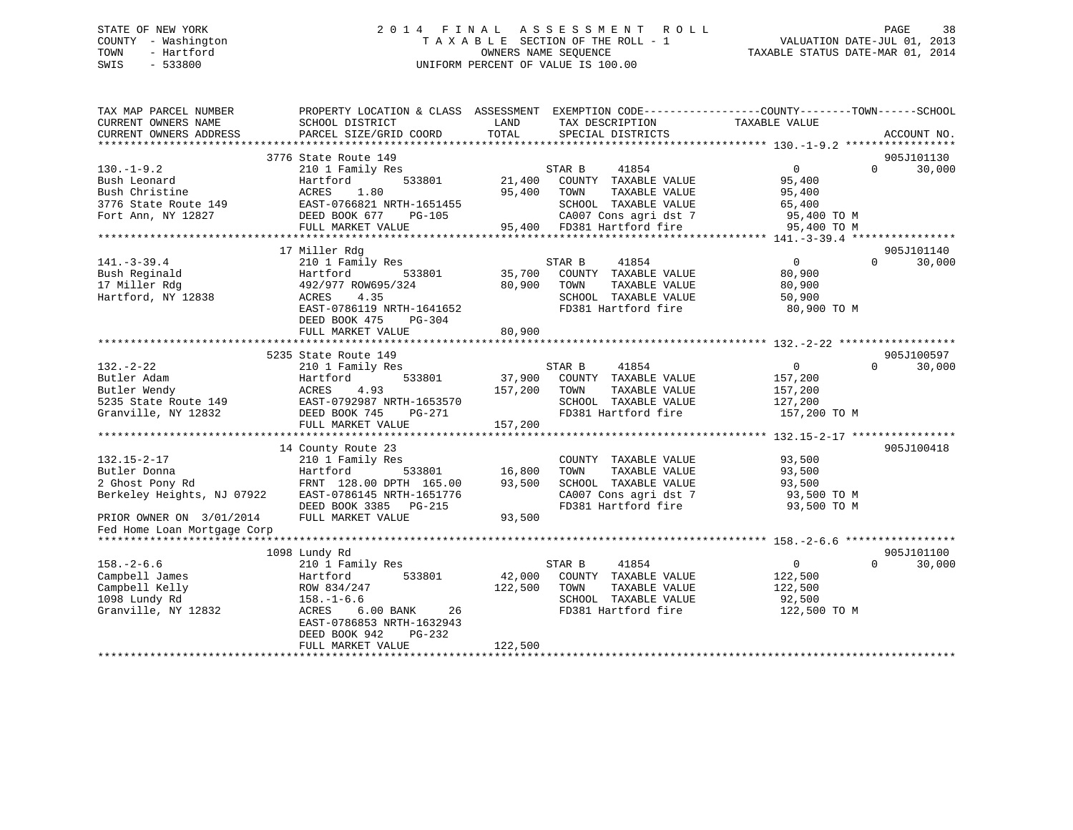### STATE OF NEW YORK 2 0 1 4 F I N A L A S S E S S M E N T R O L L PAGE 38 COUNTY - Washington T A X A B L E SECTION OF THE ROLL - 1 VALUATION DATE-JUL 01, 2013 TOWN - Hartford **TAXABLE STATUS DATE-MAR 01, 2014** OWNERS NAME SEQUENCE TAXABLE STATUS DATE-MAR 01, 2014 SWIS - 533800 UNIFORM PERCENT OF VALUE IS 100.00

| CURRENT OWNERS ADDRESS<br>PARCEL SIZE/GRID COORD<br>TOTAL<br>SPECIAL DISTRICTS<br>ACCOUNT NO.<br>3776 State Route 149<br>905J101130<br>$\overline{0}$<br>30,000<br>$130. - 1 - 9.2$<br>210 1 Family Res<br>STAR B<br>41854<br>$\Omega$<br>21,400<br>Bush Leonard<br>Hartford<br>533801<br>COUNTY TAXABLE VALUE<br>95,400<br>Bush Christine<br>ACRES<br>1.80<br>95,400<br>TOWN<br>TAXABLE VALUE<br>95,400<br>EAST-0766821 NRTH-1651455<br>SCHOOL TAXABLE VALUE<br>3776 State Route 149<br>65,400<br>DEED BOOK 677<br>CA007 Cons agri dst 7<br>Fort Ann, NY 12827<br>PG-105<br>95,400 TO M<br>FULL MARKET VALUE<br>95,400 FD381 Hartford fire<br>95,400 TO M<br>17 Miller Rdg<br>905J101140<br>$\mathbf{0}$<br>30,000<br>210 1 Family Res<br>STAR B<br>41854<br>$\Omega$<br>Hartford<br>35,700<br>80,900<br>533801<br>COUNTY TAXABLE VALUE<br>492/977 ROW695/324<br>80,900<br>TOWN<br>TAXABLE VALUE<br>80,900<br>SCHOOL TAXABLE VALUE<br>ACRES<br>4.35<br>50,900<br>EAST-0786119 NRTH-1641652<br>FD381 Hartford fire<br>80,900 TO M<br>DEED BOOK 475<br>PG-304<br>80,900<br>FULL MARKET VALUE<br>5235 State Route 149<br>905J100597<br>210 1 Family Res<br>STAR B<br>41854<br>$\Omega$<br>$\Omega$<br>30,000<br>533801<br>37,900<br>COUNTY TAXABLE VALUE<br>157,200<br>Hartford<br>ACRES<br>4.93<br>157,200<br>TAXABLE VALUE<br>TOWN<br>157,200<br>EAST-0792987 NRTH-1653570<br>SCHOOL TAXABLE VALUE<br>127,200<br>FD381 Hartford fire<br>DEED BOOK 745<br>PG-271<br>157,200 TO M<br>FULL MARKET VALUE<br>157,200<br>905J100418<br>14 County Route 23<br>$132.15 - 2 - 17$<br>93,500<br>210 1 Family Res<br>COUNTY TAXABLE VALUE<br>16,800<br>Butler Donna<br>Hartford<br>533801<br>TOWN<br>TAXABLE VALUE<br>93,500<br>2 Ghost Pony Rd<br>FRNT 128.00 DPTH 165.00<br>93,500<br>SCHOOL TAXABLE VALUE<br>93,500<br>Berkeley Heights, NJ 07922<br>EAST-0786145 NRTH-1651776<br>CA007 Cons agri dst 7<br>93,500 TO M<br>FD381 Hartford fire<br>DEED BOOK 3385 PG-215<br>93,500 TO M<br>FULL MARKET VALUE<br>PRIOR OWNER ON 3/01/2014<br>93,500<br>Fed Home Loan Mortgage Corp<br>905J101100<br>1098 Lundy Rd<br>$158. - 2 - 6.6$<br>210 1 Family Res<br>0<br>30,000<br>STAR B<br>41854<br>$\Omega$<br>533801<br>42,000<br>122,500<br>Campbell James<br>Hartford<br>COUNTY TAXABLE VALUE<br>Campbell Kelly<br>122,500<br>TOWN<br>TAXABLE VALUE<br>122,500<br>ROW 834/247<br>1098 Lundy Rd<br>SCHOOL TAXABLE VALUE<br>92,500<br>$158. - 1 - 6.6$<br>Granville, NY 12832<br>ACRES<br>$6.00$ BANK<br>FD381 Hartford fire<br>122,500 TO M<br>26<br>EAST-0786853 NRTH-1632943<br>DEED BOOK 942<br>PG-232 | TAX MAP PARCEL NUMBER<br>CURRENT OWNERS NAME | PROPERTY LOCATION & CLASS ASSESSMENT EXEMPTION CODE----------------COUNTY-------TOWN------SCHOOL<br>SCHOOL DISTRICT | LAND    | TAX DESCRIPTION | TAXABLE VALUE |  |
|----------------------------------------------------------------------------------------------------------------------------------------------------------------------------------------------------------------------------------------------------------------------------------------------------------------------------------------------------------------------------------------------------------------------------------------------------------------------------------------------------------------------------------------------------------------------------------------------------------------------------------------------------------------------------------------------------------------------------------------------------------------------------------------------------------------------------------------------------------------------------------------------------------------------------------------------------------------------------------------------------------------------------------------------------------------------------------------------------------------------------------------------------------------------------------------------------------------------------------------------------------------------------------------------------------------------------------------------------------------------------------------------------------------------------------------------------------------------------------------------------------------------------------------------------------------------------------------------------------------------------------------------------------------------------------------------------------------------------------------------------------------------------------------------------------------------------------------------------------------------------------------------------------------------------------------------------------------------------------------------------------------------------------------------------------------------------------------------------------------------------------------------------------------------------------------------------------------------------------------------------------------------------------------------------------------------------------------------------------------------------------------------------------------------------------------------------------------------------------------------------------------------------------------------------------------------------------------------|----------------------------------------------|---------------------------------------------------------------------------------------------------------------------|---------|-----------------|---------------|--|
|                                                                                                                                                                                                                                                                                                                                                                                                                                                                                                                                                                                                                                                                                                                                                                                                                                                                                                                                                                                                                                                                                                                                                                                                                                                                                                                                                                                                                                                                                                                                                                                                                                                                                                                                                                                                                                                                                                                                                                                                                                                                                                                                                                                                                                                                                                                                                                                                                                                                                                                                                                                              |                                              |                                                                                                                     |         |                 |               |  |
|                                                                                                                                                                                                                                                                                                                                                                                                                                                                                                                                                                                                                                                                                                                                                                                                                                                                                                                                                                                                                                                                                                                                                                                                                                                                                                                                                                                                                                                                                                                                                                                                                                                                                                                                                                                                                                                                                                                                                                                                                                                                                                                                                                                                                                                                                                                                                                                                                                                                                                                                                                                              |                                              |                                                                                                                     |         |                 |               |  |
|                                                                                                                                                                                                                                                                                                                                                                                                                                                                                                                                                                                                                                                                                                                                                                                                                                                                                                                                                                                                                                                                                                                                                                                                                                                                                                                                                                                                                                                                                                                                                                                                                                                                                                                                                                                                                                                                                                                                                                                                                                                                                                                                                                                                                                                                                                                                                                                                                                                                                                                                                                                              |                                              |                                                                                                                     |         |                 |               |  |
|                                                                                                                                                                                                                                                                                                                                                                                                                                                                                                                                                                                                                                                                                                                                                                                                                                                                                                                                                                                                                                                                                                                                                                                                                                                                                                                                                                                                                                                                                                                                                                                                                                                                                                                                                                                                                                                                                                                                                                                                                                                                                                                                                                                                                                                                                                                                                                                                                                                                                                                                                                                              |                                              |                                                                                                                     |         |                 |               |  |
|                                                                                                                                                                                                                                                                                                                                                                                                                                                                                                                                                                                                                                                                                                                                                                                                                                                                                                                                                                                                                                                                                                                                                                                                                                                                                                                                                                                                                                                                                                                                                                                                                                                                                                                                                                                                                                                                                                                                                                                                                                                                                                                                                                                                                                                                                                                                                                                                                                                                                                                                                                                              |                                              |                                                                                                                     |         |                 |               |  |
|                                                                                                                                                                                                                                                                                                                                                                                                                                                                                                                                                                                                                                                                                                                                                                                                                                                                                                                                                                                                                                                                                                                                                                                                                                                                                                                                                                                                                                                                                                                                                                                                                                                                                                                                                                                                                                                                                                                                                                                                                                                                                                                                                                                                                                                                                                                                                                                                                                                                                                                                                                                              |                                              |                                                                                                                     |         |                 |               |  |
|                                                                                                                                                                                                                                                                                                                                                                                                                                                                                                                                                                                                                                                                                                                                                                                                                                                                                                                                                                                                                                                                                                                                                                                                                                                                                                                                                                                                                                                                                                                                                                                                                                                                                                                                                                                                                                                                                                                                                                                                                                                                                                                                                                                                                                                                                                                                                                                                                                                                                                                                                                                              |                                              |                                                                                                                     |         |                 |               |  |
|                                                                                                                                                                                                                                                                                                                                                                                                                                                                                                                                                                                                                                                                                                                                                                                                                                                                                                                                                                                                                                                                                                                                                                                                                                                                                                                                                                                                                                                                                                                                                                                                                                                                                                                                                                                                                                                                                                                                                                                                                                                                                                                                                                                                                                                                                                                                                                                                                                                                                                                                                                                              |                                              |                                                                                                                     |         |                 |               |  |
|                                                                                                                                                                                                                                                                                                                                                                                                                                                                                                                                                                                                                                                                                                                                                                                                                                                                                                                                                                                                                                                                                                                                                                                                                                                                                                                                                                                                                                                                                                                                                                                                                                                                                                                                                                                                                                                                                                                                                                                                                                                                                                                                                                                                                                                                                                                                                                                                                                                                                                                                                                                              |                                              |                                                                                                                     |         |                 |               |  |
|                                                                                                                                                                                                                                                                                                                                                                                                                                                                                                                                                                                                                                                                                                                                                                                                                                                                                                                                                                                                                                                                                                                                                                                                                                                                                                                                                                                                                                                                                                                                                                                                                                                                                                                                                                                                                                                                                                                                                                                                                                                                                                                                                                                                                                                                                                                                                                                                                                                                                                                                                                                              |                                              |                                                                                                                     |         |                 |               |  |
|                                                                                                                                                                                                                                                                                                                                                                                                                                                                                                                                                                                                                                                                                                                                                                                                                                                                                                                                                                                                                                                                                                                                                                                                                                                                                                                                                                                                                                                                                                                                                                                                                                                                                                                                                                                                                                                                                                                                                                                                                                                                                                                                                                                                                                                                                                                                                                                                                                                                                                                                                                                              | $141. - 3 - 39.4$                            |                                                                                                                     |         |                 |               |  |
|                                                                                                                                                                                                                                                                                                                                                                                                                                                                                                                                                                                                                                                                                                                                                                                                                                                                                                                                                                                                                                                                                                                                                                                                                                                                                                                                                                                                                                                                                                                                                                                                                                                                                                                                                                                                                                                                                                                                                                                                                                                                                                                                                                                                                                                                                                                                                                                                                                                                                                                                                                                              | Bush Reginald                                |                                                                                                                     |         |                 |               |  |
|                                                                                                                                                                                                                                                                                                                                                                                                                                                                                                                                                                                                                                                                                                                                                                                                                                                                                                                                                                                                                                                                                                                                                                                                                                                                                                                                                                                                                                                                                                                                                                                                                                                                                                                                                                                                                                                                                                                                                                                                                                                                                                                                                                                                                                                                                                                                                                                                                                                                                                                                                                                              | 17 Miller Rdg                                |                                                                                                                     |         |                 |               |  |
|                                                                                                                                                                                                                                                                                                                                                                                                                                                                                                                                                                                                                                                                                                                                                                                                                                                                                                                                                                                                                                                                                                                                                                                                                                                                                                                                                                                                                                                                                                                                                                                                                                                                                                                                                                                                                                                                                                                                                                                                                                                                                                                                                                                                                                                                                                                                                                                                                                                                                                                                                                                              | Hartford, NY 12838                           |                                                                                                                     |         |                 |               |  |
|                                                                                                                                                                                                                                                                                                                                                                                                                                                                                                                                                                                                                                                                                                                                                                                                                                                                                                                                                                                                                                                                                                                                                                                                                                                                                                                                                                                                                                                                                                                                                                                                                                                                                                                                                                                                                                                                                                                                                                                                                                                                                                                                                                                                                                                                                                                                                                                                                                                                                                                                                                                              |                                              |                                                                                                                     |         |                 |               |  |
|                                                                                                                                                                                                                                                                                                                                                                                                                                                                                                                                                                                                                                                                                                                                                                                                                                                                                                                                                                                                                                                                                                                                                                                                                                                                                                                                                                                                                                                                                                                                                                                                                                                                                                                                                                                                                                                                                                                                                                                                                                                                                                                                                                                                                                                                                                                                                                                                                                                                                                                                                                                              |                                              |                                                                                                                     |         |                 |               |  |
|                                                                                                                                                                                                                                                                                                                                                                                                                                                                                                                                                                                                                                                                                                                                                                                                                                                                                                                                                                                                                                                                                                                                                                                                                                                                                                                                                                                                                                                                                                                                                                                                                                                                                                                                                                                                                                                                                                                                                                                                                                                                                                                                                                                                                                                                                                                                                                                                                                                                                                                                                                                              |                                              |                                                                                                                     |         |                 |               |  |
|                                                                                                                                                                                                                                                                                                                                                                                                                                                                                                                                                                                                                                                                                                                                                                                                                                                                                                                                                                                                                                                                                                                                                                                                                                                                                                                                                                                                                                                                                                                                                                                                                                                                                                                                                                                                                                                                                                                                                                                                                                                                                                                                                                                                                                                                                                                                                                                                                                                                                                                                                                                              |                                              |                                                                                                                     |         |                 |               |  |
|                                                                                                                                                                                                                                                                                                                                                                                                                                                                                                                                                                                                                                                                                                                                                                                                                                                                                                                                                                                                                                                                                                                                                                                                                                                                                                                                                                                                                                                                                                                                                                                                                                                                                                                                                                                                                                                                                                                                                                                                                                                                                                                                                                                                                                                                                                                                                                                                                                                                                                                                                                                              |                                              |                                                                                                                     |         |                 |               |  |
|                                                                                                                                                                                                                                                                                                                                                                                                                                                                                                                                                                                                                                                                                                                                                                                                                                                                                                                                                                                                                                                                                                                                                                                                                                                                                                                                                                                                                                                                                                                                                                                                                                                                                                                                                                                                                                                                                                                                                                                                                                                                                                                                                                                                                                                                                                                                                                                                                                                                                                                                                                                              | $132 - 2 - 22$                               |                                                                                                                     |         |                 |               |  |
|                                                                                                                                                                                                                                                                                                                                                                                                                                                                                                                                                                                                                                                                                                                                                                                                                                                                                                                                                                                                                                                                                                                                                                                                                                                                                                                                                                                                                                                                                                                                                                                                                                                                                                                                                                                                                                                                                                                                                                                                                                                                                                                                                                                                                                                                                                                                                                                                                                                                                                                                                                                              | Butler Adam                                  |                                                                                                                     |         |                 |               |  |
|                                                                                                                                                                                                                                                                                                                                                                                                                                                                                                                                                                                                                                                                                                                                                                                                                                                                                                                                                                                                                                                                                                                                                                                                                                                                                                                                                                                                                                                                                                                                                                                                                                                                                                                                                                                                                                                                                                                                                                                                                                                                                                                                                                                                                                                                                                                                                                                                                                                                                                                                                                                              | Butler Wendy                                 |                                                                                                                     |         |                 |               |  |
|                                                                                                                                                                                                                                                                                                                                                                                                                                                                                                                                                                                                                                                                                                                                                                                                                                                                                                                                                                                                                                                                                                                                                                                                                                                                                                                                                                                                                                                                                                                                                                                                                                                                                                                                                                                                                                                                                                                                                                                                                                                                                                                                                                                                                                                                                                                                                                                                                                                                                                                                                                                              | 5235 State Route 149                         |                                                                                                                     |         |                 |               |  |
|                                                                                                                                                                                                                                                                                                                                                                                                                                                                                                                                                                                                                                                                                                                                                                                                                                                                                                                                                                                                                                                                                                                                                                                                                                                                                                                                                                                                                                                                                                                                                                                                                                                                                                                                                                                                                                                                                                                                                                                                                                                                                                                                                                                                                                                                                                                                                                                                                                                                                                                                                                                              | Granville, NY 12832                          |                                                                                                                     |         |                 |               |  |
|                                                                                                                                                                                                                                                                                                                                                                                                                                                                                                                                                                                                                                                                                                                                                                                                                                                                                                                                                                                                                                                                                                                                                                                                                                                                                                                                                                                                                                                                                                                                                                                                                                                                                                                                                                                                                                                                                                                                                                                                                                                                                                                                                                                                                                                                                                                                                                                                                                                                                                                                                                                              |                                              |                                                                                                                     |         |                 |               |  |
|                                                                                                                                                                                                                                                                                                                                                                                                                                                                                                                                                                                                                                                                                                                                                                                                                                                                                                                                                                                                                                                                                                                                                                                                                                                                                                                                                                                                                                                                                                                                                                                                                                                                                                                                                                                                                                                                                                                                                                                                                                                                                                                                                                                                                                                                                                                                                                                                                                                                                                                                                                                              |                                              |                                                                                                                     |         |                 |               |  |
|                                                                                                                                                                                                                                                                                                                                                                                                                                                                                                                                                                                                                                                                                                                                                                                                                                                                                                                                                                                                                                                                                                                                                                                                                                                                                                                                                                                                                                                                                                                                                                                                                                                                                                                                                                                                                                                                                                                                                                                                                                                                                                                                                                                                                                                                                                                                                                                                                                                                                                                                                                                              |                                              |                                                                                                                     |         |                 |               |  |
|                                                                                                                                                                                                                                                                                                                                                                                                                                                                                                                                                                                                                                                                                                                                                                                                                                                                                                                                                                                                                                                                                                                                                                                                                                                                                                                                                                                                                                                                                                                                                                                                                                                                                                                                                                                                                                                                                                                                                                                                                                                                                                                                                                                                                                                                                                                                                                                                                                                                                                                                                                                              |                                              |                                                                                                                     |         |                 |               |  |
|                                                                                                                                                                                                                                                                                                                                                                                                                                                                                                                                                                                                                                                                                                                                                                                                                                                                                                                                                                                                                                                                                                                                                                                                                                                                                                                                                                                                                                                                                                                                                                                                                                                                                                                                                                                                                                                                                                                                                                                                                                                                                                                                                                                                                                                                                                                                                                                                                                                                                                                                                                                              |                                              |                                                                                                                     |         |                 |               |  |
|                                                                                                                                                                                                                                                                                                                                                                                                                                                                                                                                                                                                                                                                                                                                                                                                                                                                                                                                                                                                                                                                                                                                                                                                                                                                                                                                                                                                                                                                                                                                                                                                                                                                                                                                                                                                                                                                                                                                                                                                                                                                                                                                                                                                                                                                                                                                                                                                                                                                                                                                                                                              |                                              |                                                                                                                     |         |                 |               |  |
|                                                                                                                                                                                                                                                                                                                                                                                                                                                                                                                                                                                                                                                                                                                                                                                                                                                                                                                                                                                                                                                                                                                                                                                                                                                                                                                                                                                                                                                                                                                                                                                                                                                                                                                                                                                                                                                                                                                                                                                                                                                                                                                                                                                                                                                                                                                                                                                                                                                                                                                                                                                              |                                              |                                                                                                                     |         |                 |               |  |
|                                                                                                                                                                                                                                                                                                                                                                                                                                                                                                                                                                                                                                                                                                                                                                                                                                                                                                                                                                                                                                                                                                                                                                                                                                                                                                                                                                                                                                                                                                                                                                                                                                                                                                                                                                                                                                                                                                                                                                                                                                                                                                                                                                                                                                                                                                                                                                                                                                                                                                                                                                                              |                                              |                                                                                                                     |         |                 |               |  |
|                                                                                                                                                                                                                                                                                                                                                                                                                                                                                                                                                                                                                                                                                                                                                                                                                                                                                                                                                                                                                                                                                                                                                                                                                                                                                                                                                                                                                                                                                                                                                                                                                                                                                                                                                                                                                                                                                                                                                                                                                                                                                                                                                                                                                                                                                                                                                                                                                                                                                                                                                                                              |                                              |                                                                                                                     |         |                 |               |  |
|                                                                                                                                                                                                                                                                                                                                                                                                                                                                                                                                                                                                                                                                                                                                                                                                                                                                                                                                                                                                                                                                                                                                                                                                                                                                                                                                                                                                                                                                                                                                                                                                                                                                                                                                                                                                                                                                                                                                                                                                                                                                                                                                                                                                                                                                                                                                                                                                                                                                                                                                                                                              |                                              |                                                                                                                     |         |                 |               |  |
|                                                                                                                                                                                                                                                                                                                                                                                                                                                                                                                                                                                                                                                                                                                                                                                                                                                                                                                                                                                                                                                                                                                                                                                                                                                                                                                                                                                                                                                                                                                                                                                                                                                                                                                                                                                                                                                                                                                                                                                                                                                                                                                                                                                                                                                                                                                                                                                                                                                                                                                                                                                              |                                              |                                                                                                                     |         |                 |               |  |
|                                                                                                                                                                                                                                                                                                                                                                                                                                                                                                                                                                                                                                                                                                                                                                                                                                                                                                                                                                                                                                                                                                                                                                                                                                                                                                                                                                                                                                                                                                                                                                                                                                                                                                                                                                                                                                                                                                                                                                                                                                                                                                                                                                                                                                                                                                                                                                                                                                                                                                                                                                                              |                                              |                                                                                                                     |         |                 |               |  |
|                                                                                                                                                                                                                                                                                                                                                                                                                                                                                                                                                                                                                                                                                                                                                                                                                                                                                                                                                                                                                                                                                                                                                                                                                                                                                                                                                                                                                                                                                                                                                                                                                                                                                                                                                                                                                                                                                                                                                                                                                                                                                                                                                                                                                                                                                                                                                                                                                                                                                                                                                                                              |                                              |                                                                                                                     |         |                 |               |  |
|                                                                                                                                                                                                                                                                                                                                                                                                                                                                                                                                                                                                                                                                                                                                                                                                                                                                                                                                                                                                                                                                                                                                                                                                                                                                                                                                                                                                                                                                                                                                                                                                                                                                                                                                                                                                                                                                                                                                                                                                                                                                                                                                                                                                                                                                                                                                                                                                                                                                                                                                                                                              |                                              |                                                                                                                     |         |                 |               |  |
|                                                                                                                                                                                                                                                                                                                                                                                                                                                                                                                                                                                                                                                                                                                                                                                                                                                                                                                                                                                                                                                                                                                                                                                                                                                                                                                                                                                                                                                                                                                                                                                                                                                                                                                                                                                                                                                                                                                                                                                                                                                                                                                                                                                                                                                                                                                                                                                                                                                                                                                                                                                              |                                              |                                                                                                                     |         |                 |               |  |
|                                                                                                                                                                                                                                                                                                                                                                                                                                                                                                                                                                                                                                                                                                                                                                                                                                                                                                                                                                                                                                                                                                                                                                                                                                                                                                                                                                                                                                                                                                                                                                                                                                                                                                                                                                                                                                                                                                                                                                                                                                                                                                                                                                                                                                                                                                                                                                                                                                                                                                                                                                                              |                                              |                                                                                                                     |         |                 |               |  |
|                                                                                                                                                                                                                                                                                                                                                                                                                                                                                                                                                                                                                                                                                                                                                                                                                                                                                                                                                                                                                                                                                                                                                                                                                                                                                                                                                                                                                                                                                                                                                                                                                                                                                                                                                                                                                                                                                                                                                                                                                                                                                                                                                                                                                                                                                                                                                                                                                                                                                                                                                                                              |                                              |                                                                                                                     |         |                 |               |  |
|                                                                                                                                                                                                                                                                                                                                                                                                                                                                                                                                                                                                                                                                                                                                                                                                                                                                                                                                                                                                                                                                                                                                                                                                                                                                                                                                                                                                                                                                                                                                                                                                                                                                                                                                                                                                                                                                                                                                                                                                                                                                                                                                                                                                                                                                                                                                                                                                                                                                                                                                                                                              |                                              |                                                                                                                     |         |                 |               |  |
|                                                                                                                                                                                                                                                                                                                                                                                                                                                                                                                                                                                                                                                                                                                                                                                                                                                                                                                                                                                                                                                                                                                                                                                                                                                                                                                                                                                                                                                                                                                                                                                                                                                                                                                                                                                                                                                                                                                                                                                                                                                                                                                                                                                                                                                                                                                                                                                                                                                                                                                                                                                              |                                              |                                                                                                                     |         |                 |               |  |
|                                                                                                                                                                                                                                                                                                                                                                                                                                                                                                                                                                                                                                                                                                                                                                                                                                                                                                                                                                                                                                                                                                                                                                                                                                                                                                                                                                                                                                                                                                                                                                                                                                                                                                                                                                                                                                                                                                                                                                                                                                                                                                                                                                                                                                                                                                                                                                                                                                                                                                                                                                                              |                                              | FULL MARKET VALUE                                                                                                   | 122,500 |                 |               |  |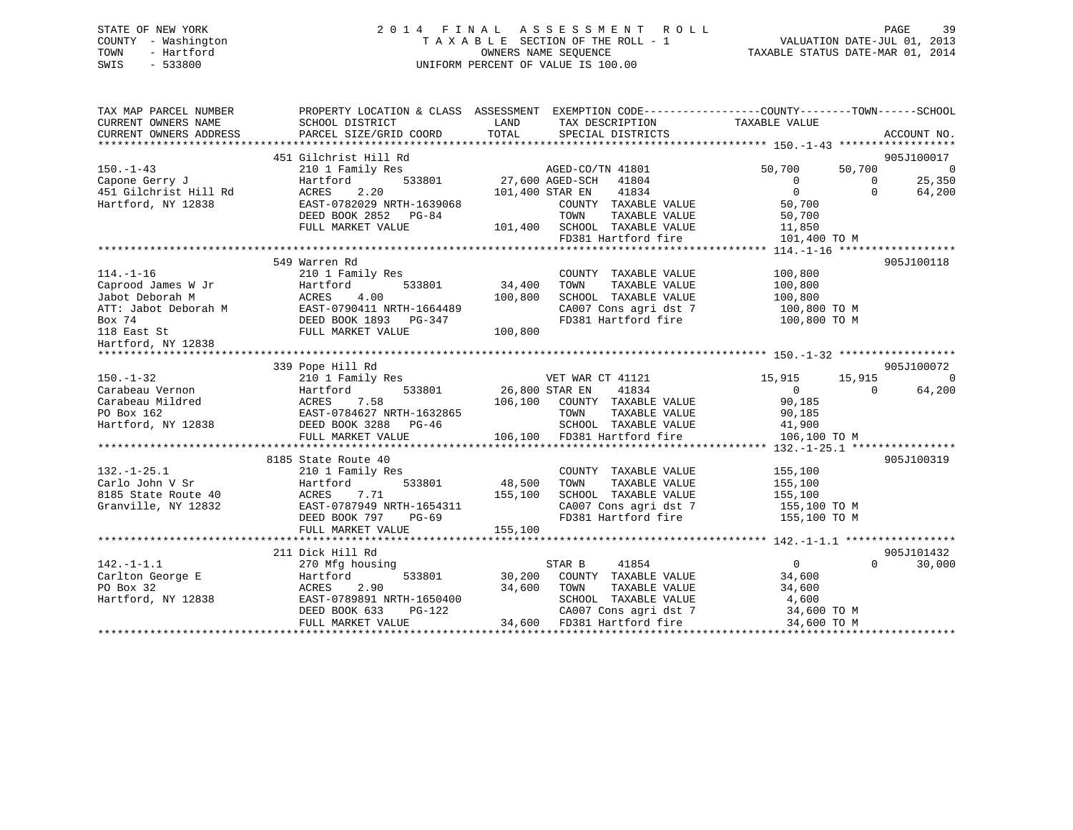### STATE OF NEW YORK 2 0 1 4 F I N A L A S S E S S M E N T R O L L PAGE 39 COUNTY - Washington T A X A B L E SECTION OF THE ROLL - 1 VALUATION DATE-JUL 01, 2013 TOWN - Hartford OWNERS NAME SEQUENCE TAXABLE STATUS DATE-MAR 01, 2014 SWIS - 533800 UNIFORM PERCENT OF VALUE IS 100.00

| TAX MAP PARCEL NUMBER<br>CURRENT OWNERS NAME<br>CURRENT OWNERS ADDRESS | SCHOOL DISTRICT<br>PARCEL SIZE/GRID COORD | LAND<br>TOTAL   | TAX DESCRIPTION TAXABLE VALUE<br>SPECIAL DISTRICTS | PROPERTY LOCATION & CLASS ASSESSMENT EXEMPTION CODE----------------COUNTY-------TOWN-----SCHOOL | ACCOUNT NO.    |
|------------------------------------------------------------------------|-------------------------------------------|-----------------|----------------------------------------------------|-------------------------------------------------------------------------------------------------|----------------|
|                                                                        |                                           |                 |                                                    |                                                                                                 |                |
|                                                                        | 451 Gilchrist Hill Rd                     |                 |                                                    |                                                                                                 | 905J100017     |
| $150. - 1 - 43$                                                        | 210 1 Family Res                          |                 | AGED-CO/TN 41801                                   | 50,700<br>50,700                                                                                | $\overline{0}$ |
| Capone Gerry J                                                         | 533801<br>Hartford                        | 27,600 AGED-SCH | 41804                                              | $\mathbf{0}$<br>$\mathbf{0}$                                                                    | 25,350         |
| 451 Gilchrist Hill Rd                                                  | 2.20<br>ACRES                             | 101,400 STAR EN | 41834                                              | $\mathbf{0}$<br>$\Omega$                                                                        | 64,200         |
| Hartford, NY 12838                                                     | EAST-0782029 NRTH-1639068                 |                 | COUNTY TAXABLE VALUE                               | 50,700                                                                                          |                |
|                                                                        | DEED BOOK 2852 PG-84                      |                 | TOWN<br>TAXABLE VALUE                              | 50,700                                                                                          |                |
|                                                                        | FULL MARKET VALUE                         | 101,400         | SCHOOL TAXABLE VALUE                               | 11,850                                                                                          |                |
|                                                                        |                                           |                 | FD381 Hartford fire                                | 101,400 TO M                                                                                    |                |
|                                                                        |                                           |                 |                                                    |                                                                                                 |                |
|                                                                        | 549 Warren Rd                             |                 |                                                    |                                                                                                 | 905J100118     |
| $114. - 1 - 16$                                                        | 210 1 Family Res                          |                 | COUNTY TAXABLE VALUE                               | 100,800                                                                                         |                |
| Caprood James W Jr                                                     | 533801<br>Hartford                        | 34,400          | TOWN<br>TAXABLE VALUE                              | 100,800                                                                                         |                |
| Jabot Deborah M                                                        | ACRES<br>4.00                             | 100,800         | SCHOOL TAXABLE VALUE                               | 100,800                                                                                         |                |
| ATT: Jabot Deborah M                                                   | EAST-0790411 NRTH-1664489                 |                 | CA007 Cons agri dst 7                              | 100,800 TO M                                                                                    |                |
| Box 74                                                                 | DEED BOOK 1893 PG-347                     |                 | FD381 Hartford fire                                | 100,800 TO M                                                                                    |                |
| 118 East St                                                            | FULL MARKET VALUE                         | 100,800         |                                                    |                                                                                                 |                |
| Hartford, NY 12838                                                     |                                           |                 |                                                    |                                                                                                 |                |
|                                                                        |                                           |                 |                                                    |                                                                                                 |                |
|                                                                        | 339 Pope Hill Rd                          |                 |                                                    |                                                                                                 | 905J100072     |
| $150. - 1 - 32$                                                        | 210 1 Family Res                          |                 | VET WAR CT 41121                                   | 15,915<br>15,915                                                                                | $\Omega$       |
| Carabeau Vernon                                                        | 533801<br>Hartford                        | 26,800 STAR EN  | 41834                                              | $\Omega$<br>$\Omega$                                                                            | 64,200         |
| Carabeau Mildred                                                       | ACRES<br>7.58                             |                 | 106,100 COUNTY TAXABLE VALUE                       | 90,185                                                                                          |                |
| PO Box 162                                                             | EAST-0784627 NRTH-1632865                 |                 | TOWN<br>TAXABLE VALUE                              | 90,185                                                                                          |                |
| Hartford, NY 12838                                                     | DEED BOOK 3288 PG-46                      |                 | SCHOOL TAXABLE VALUE                               | 41,900                                                                                          |                |
|                                                                        | FULL MARKET VALUE                         |                 | 106,100 FD381 Hartford fire                        | 106,100 TO M                                                                                    |                |
|                                                                        |                                           |                 |                                                    |                                                                                                 |                |
|                                                                        | 8185 State Route 40                       |                 |                                                    |                                                                                                 | 905J100319     |
| $132. - 1 - 25.1$                                                      | 210 1 Family Res                          |                 | COUNTY TAXABLE VALUE                               | 155,100                                                                                         |                |
| Carlo John V Sr                                                        | 533801<br>Hartford                        | 48,500          | TOWN<br>TAXABLE VALUE                              | 155,100                                                                                         |                |
| 8185 State Route 40                                                    | ACRES<br>7.71                             | 155,100         | SCHOOL TAXABLE VALUE                               | 155,100                                                                                         |                |
| Granville, NY 12832                                                    | EAST-0787949 NRTH-1654311                 |                 | CA007 Cons agri dst 7                              | 155,100 TO M                                                                                    |                |
|                                                                        | DEED BOOK 797<br>$PG-69$                  |                 | FD381 Hartford fire                                | 155,100 TO M                                                                                    |                |
|                                                                        | FULL MARKET VALUE                         | 155,100         |                                                    |                                                                                                 |                |
|                                                                        |                                           |                 |                                                    |                                                                                                 |                |
|                                                                        | 211 Dick Hill Rd                          |                 |                                                    |                                                                                                 | 905J101432     |
| $142. - 1 - 1.1$                                                       | 270 Mfg housing                           |                 | 41854<br>STAR B                                    | $\Omega$<br>$\Omega$                                                                            | 30,000         |
| Carlton George E                                                       | Hartford<br>533801                        | 30,200          | COUNTY TAXABLE VALUE                               | 34,600                                                                                          |                |
| PO Box 32                                                              | ACRES<br>2.90                             | 34,600          | TOWN<br>TAXABLE VALUE                              | 34,600                                                                                          |                |
| Hartford, NY 12838                                                     | EAST-0789891 NRTH-1650400                 |                 | SCHOOL TAXABLE VALUE                               | 4,600                                                                                           |                |
|                                                                        | DEED BOOK 633<br>$PG-122$                 |                 | CA007 Cons agri dst 7                              | 34,600 TO M                                                                                     |                |
|                                                                        | FULL MARKET VALUE                         |                 | 34,600 FD381 Hartford fire                         | 34,600 TO M                                                                                     |                |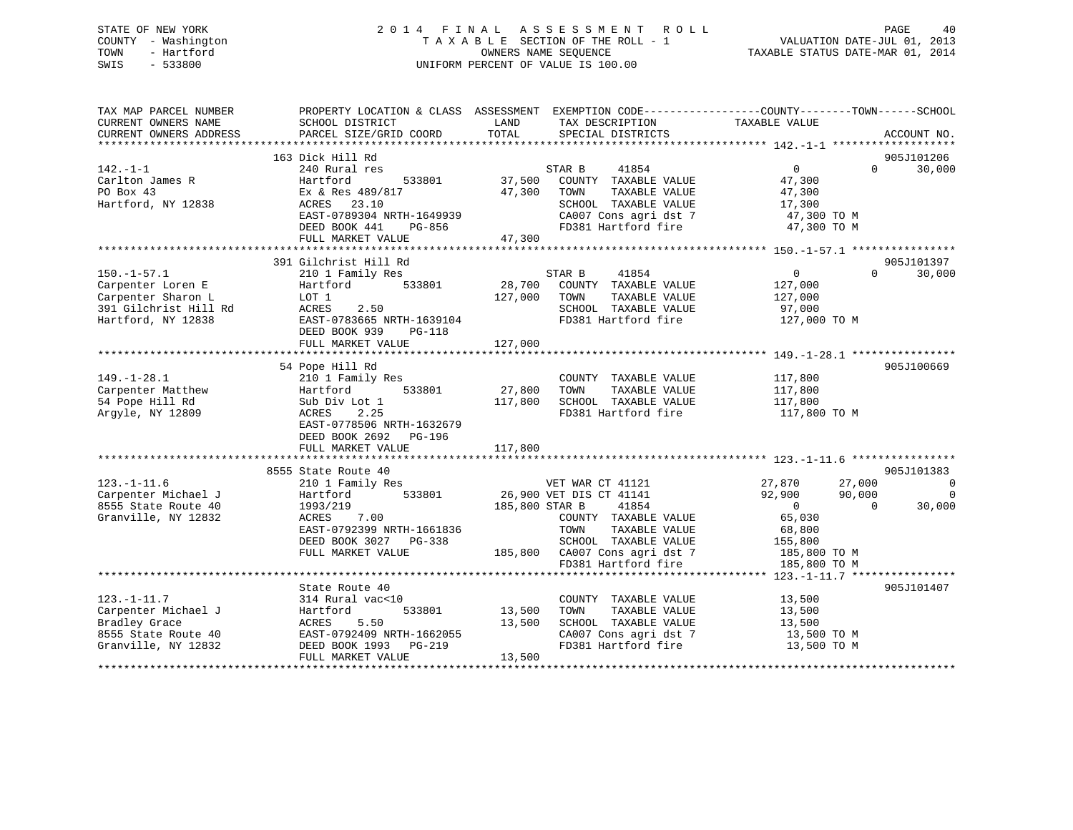### STATE OF NEW YORK 2 0 1 4 F I N A L A S S E S S M E N T R O L L PAGE 40 COUNTY - Washington T A X A B L E SECTION OF THE ROLL - 1 VALUATION DATE-JUL 01, 2013 TOWN - Hartford **TAXABLE STATUS DATE-MAR 01, 2014** OWNERS NAME SEQUENCE TAXABLE STATUS DATE-MAR 01, 2014 SWIS - 533800 UNIFORM PERCENT OF VALUE IS 100.00

| TAX MAP PARCEL NUMBER<br>CURRENT OWNERS NAME<br>CURRENT OWNERS ADDRESS                                      | PROPERTY LOCATION & CLASS ASSESSMENT EXEMPTION CODE----------------COUNTY-------TOWN------SCHOOL<br>SCHOOL DISTRICT<br>PARCEL SIZE/GRID COORD                                                      | LAND<br>TOTAL                               | TAX DESCRIPTION<br>SPECIAL DISTRICTS                                                                                                                                                  | TAXABLE VALUE                                                                                                                                                                                   | ACCOUNT NO.                                        |
|-------------------------------------------------------------------------------------------------------------|----------------------------------------------------------------------------------------------------------------------------------------------------------------------------------------------------|---------------------------------------------|---------------------------------------------------------------------------------------------------------------------------------------------------------------------------------------|-------------------------------------------------------------------------------------------------------------------------------------------------------------------------------------------------|----------------------------------------------------|
| $142. -1 - 1$<br>Carlton James R<br>PO Box 43<br>Hartford, NY 12838                                         | 163 Dick Hill Rd<br>240 Rural res<br>Hartford<br>533801<br>Ex & Res 489/817<br>ACRES 23.10<br>EAST-0789304 NRTH-1649939<br>DEED BOOK 441<br>PG-856<br>FULL MARKET VALUE                            | 37,500<br>47,300<br>47,300                  | STAR B<br>41854<br>COUNTY TAXABLE VALUE<br>TAXABLE VALUE<br>TOWN<br>SCHOOL TAXABLE VALUE<br>CA007 Cons agri dst 7<br>FD381 Hartford fire                                              | 0<br>$\Omega$<br>47,300<br>47,300<br>17,300<br>47,300 TO M<br>47,300 TO M                                                                                                                       | 905J101206<br>30,000                               |
| $150. - 1 - 57.1$<br>Carpenter Loren E<br>Carpenter Sharon L<br>391 Gilchrist Hill Rd<br>Hartford, NY 12838 | 391 Gilchrist Hill Rd<br>210 1 Family Res<br>533801<br>Hartford<br>LOT 1<br>ACRES<br>2.50<br>EAST-0783665 NRTH-1639104<br>DEED BOOK 939<br>$PG-118$<br>FULL MARKET VALUE                           | 28,700<br>127,000<br>127,000                | STAR B<br>41854<br>COUNTY TAXABLE VALUE<br>TOWN<br>TAXABLE VALUE<br>SCHOOL TAXABLE VALUE<br>FD381 Hartford fire                                                                       | $\overline{0}$<br>$\Omega$<br>127,000<br>127,000<br>97,000<br>127,000 TO M                                                                                                                      | 905J101397<br>30,000                               |
| $149. - 1 - 28.1$<br>Carpenter Matthew<br>54 Pope Hill Rd<br>Argyle, NY 12809                               | 54 Pope Hill Rd<br>210 1 Family Res<br>533801<br>Hartford<br>Sub Div Lot 1<br>2.25<br>ACRES<br>EAST-0778506 NRTH-1632679<br>DEED BOOK 2692 PG-196<br>FULL MARKET VALUE<br>************************ | 27,800<br>117,800<br>117,800<br>*********** | COUNTY TAXABLE VALUE<br>TOWN<br>TAXABLE VALUE<br>SCHOOL TAXABLE VALUE<br>FD381 Hartford fire                                                                                          | 117,800<br>117,800<br>117,800<br>117,800 TO M                                                                                                                                                   | 905J100669                                         |
| $123. - 1 - 11.6$<br>Carpenter Michael J<br>8555 State Route 40<br>Granville, NY 12832                      | 8555 State Route 40<br>210 1 Family Res<br>533801<br>Hartford<br>1993/219<br>ACRES<br>7.00<br>EAST-0792399 NRTH-1661836<br>DEED BOOK 3027 PG-338<br>FULL MARKET VALUE                              | 185,800 STAR B                              | VET WAR CT 41121<br>26,900 VET DIS CT 41141<br>41854<br>COUNTY TAXABLE VALUE<br>TAXABLE VALUE<br>TOWN<br>SCHOOL TAXABLE VALUE<br>185,800 CA007 Cons agri dst 7<br>FD381 Hartford fire | ***************************** 123.-1-11.6 ****************<br>27,870<br>27,000<br>92,900<br>90,000<br>$\overline{0}$<br>$\Omega$<br>65,030<br>68,800<br>155,800<br>185,800 TO M<br>185,800 TO M | 905J101383<br>$\overline{0}$<br>$\Omega$<br>30,000 |
| $123. - 1 - 11.7$<br>Carpenter Michael J<br>Bradley Grace<br>8555 State Route 40<br>Granville, NY 12832     | State Route 40<br>314 Rural vac<10<br>533801<br>Hartford<br>5.50<br>ACRES<br>EAST-0792409 NRTH-1662055<br>DEED BOOK 1993<br>$PG-219$<br>FULL MARKET VALUE                                          | 13,500<br>13,500<br>13,500                  | COUNTY TAXABLE VALUE<br>TOWN<br>TAXABLE VALUE<br>SCHOOL TAXABLE VALUE<br>CA007 Cons agri dst 7<br>FD381 Hartford fire                                                                 | **************** 123.-1-11.7 *****************<br>13,500<br>13,500<br>13,500<br>13,500 TO M<br>13,500 TO M                                                                                      | 905J101407                                         |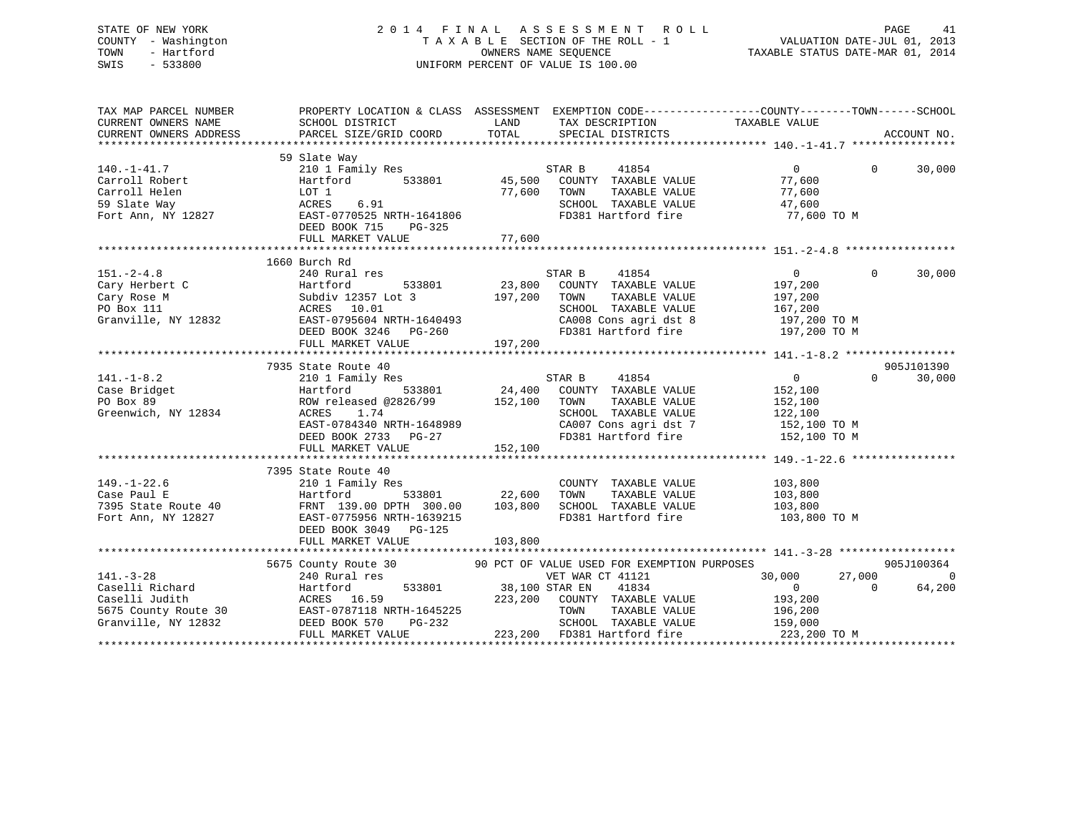### STATE OF NEW YORK 2 0 1 4 F I N A L A S S E S S M E N T R O L L PAGE 41 COUNTY - Washington T A X A B L E SECTION OF THE ROLL - 1 VALUATION DATE-JUL 01, 2013 TOWN - Hartford **TAXABLE STATUS DATE-MAR 01, 2014** OWNERS NAME SEQUENCE TAXABLE STATUS DATE-MAR 01, 2014 SWIS - 533800 UNIFORM PERCENT OF VALUE IS 100.00

| TAX MAP PARCEL NUMBER<br>CURRENT OWNERS NAME<br>CURRENT OWNERS ADDRESS                              | PROPERTY LOCATION & CLASS ASSESSMENT EXEMPTION CODE---------------COUNTY-------TOWN-----SCHOOL<br>SCHOOL DISTRICT<br>PARCEL SIZE/GRID COORD                                                      | LAND<br>TOTAL                                        | TAX DESCRIPTION TAXABLE VALUE<br>SPECIAL DISTRICTS                                                                                       |                                                                                     | ACCOUNT NO.                                  |
|-----------------------------------------------------------------------------------------------------|--------------------------------------------------------------------------------------------------------------------------------------------------------------------------------------------------|------------------------------------------------------|------------------------------------------------------------------------------------------------------------------------------------------|-------------------------------------------------------------------------------------|----------------------------------------------|
| $140. - 1 - 41.7$<br>Carroll Robert<br>Carroll Helen<br>59 Slate Way<br>Fort Ann, NY 12827          | 59 Slate Way<br>210 1 Family Res<br>533801<br>Hartford<br>LOT 1<br>6.91<br>ACRES<br>EAST-0770525 NRTH-1641806<br>DEED BOOK 715<br>PG-325                                                         | 45,500<br>77,600                                     | STAR B<br>41854<br>COUNTY TAXABLE VALUE<br>TOWN<br>TAXABLE VALUE<br>SCHOOL TAXABLE VALUE<br>FD381 Hartford fire                          | $\Omega$<br>77,600<br>77,600<br>47,600<br>77,600 TO M                               | $\Omega$<br>30,000                           |
|                                                                                                     | 1660 Burch Rd                                                                                                                                                                                    |                                                      |                                                                                                                                          |                                                                                     |                                              |
| $151. - 2 - 4.8$<br>Cary Herbert C<br>Cary Rose M<br>PO Box 111<br>Granville, NY 12832              | 240 Rural res<br>533801<br>Hartford<br>Subdiv 12357 Lot 3<br>ACRES 10.01<br>EAST-0795604 NRTH-1640493<br>DEED BOOK 3246 PG-260<br>FULL MARKET VALUE                                              | 23,800<br>197,200<br>197,200                         | STAR B<br>41854<br>COUNTY TAXABLE VALUE<br>TOWN<br>TAXABLE VALUE<br>SCHOOL TAXABLE VALUE<br>CA008 Cons agri dst 8<br>FD381 Hartford fire | $\overline{0}$<br>197,200<br>197,200<br>167,200<br>197,200 TO M<br>197,200 TO M     | $\Omega$<br>30,000                           |
|                                                                                                     |                                                                                                                                                                                                  |                                                      |                                                                                                                                          |                                                                                     |                                              |
| $141. - 1 - 8.2$<br>Case Bridget<br>PO Box 89<br>Greenwich, NY 12834                                | 7935 State Route 40<br>210 1 Family Res<br>533801<br>Hartford<br>ROW released @2826/99 152,100<br>ACRES 1.74<br>EAST-0784340 NRTH-1648989<br>DEED BOOK 2733 PG-27<br>FULL MARKET VALUE           | $\begin{array}{c} 8 \ 24,400 \end{array}$<br>152,100 | STAR B<br>41854<br>COUNTY TAXABLE VALUE<br>TOWN<br>TAXABLE VALUE<br>SCHOOL TAXABLE VALUE<br>CA007 Cons agri dst 7<br>FD381 Hartford fire | $\overline{0}$<br>152,100<br>152,100<br>122,100<br>152,100 TO M<br>152,100 TO M     | 905J101390<br>$\Omega$<br>30,000             |
|                                                                                                     | 7395 State Route 40                                                                                                                                                                              |                                                      |                                                                                                                                          |                                                                                     |                                              |
| $149. - 1 - 22.6$<br>Case Paul E<br>7395 State Route 40<br>Fort Ann, NY 12827                       | 210 1 Family Res<br>Hartford<br>FRNT 139.00 DPTH 300.00<br>EAST-0775956 NRTH-1639215<br>DEED BOOK 3049 PG-125<br>FULL MARKET VALUE                                                               | 533801 22,600<br>103,800<br>103,800                  | COUNTY TAXABLE VALUE<br>TAXABLE VALUE<br>TOWN<br>SCHOOL TAXABLE VALUE<br>FD381 Hartford fire                                             | 103,800<br>103,800<br>103,800<br>103,800 TO M                                       |                                              |
|                                                                                                     |                                                                                                                                                                                                  |                                                      |                                                                                                                                          |                                                                                     |                                              |
| $141. - 3 - 28$<br>Caselli Richard<br>Caselli Judith<br>5675 County Route 30<br>Granville, NY 12832 | 5675 County Route 30 90 PCT OF VALUE USED FOR EXEMPTION PURPOSES<br>240 Rural res<br>Hartford<br>ACRES 16.59<br>EAST-0787118 NRTH-1645225<br><b>PG-232</b><br>DEED BOOK 570<br>FULL MARKET VALUE | 533801 38,100 STAR EN<br>223,200                     | VET WAR CT 41121<br>41834<br>COUNTY TAXABLE VALUE<br>TOWN<br>TAXABLE VALUE<br>SCHOOL TAXABLE VALUE<br>223,200 FD381 Hartford fire        | 27,000<br>30,000<br>$\overline{0}$<br>193,200<br>196,200<br>159,000<br>223,200 TO M | 905J100364<br>$\Omega$<br>64,200<br>$\Omega$ |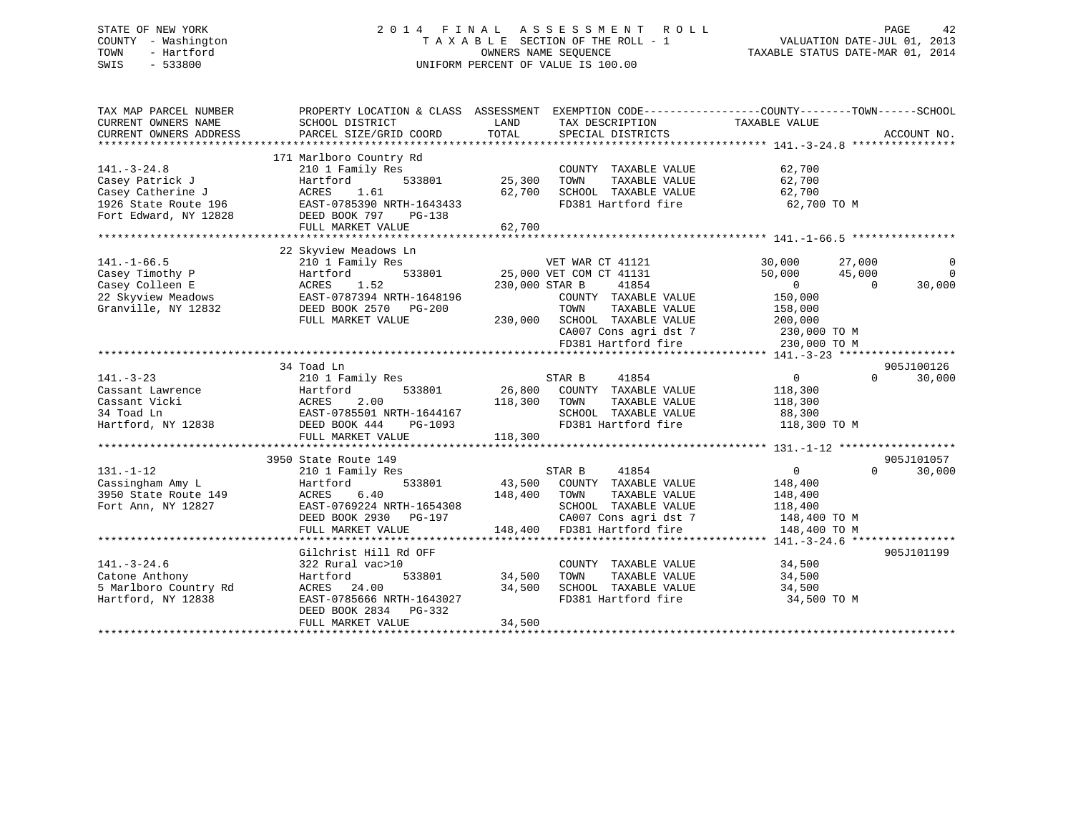### STATE OF NEW YORK 2 0 1 4 F I N A L A S S E S S M E N T R O L L PAGE 42 COUNTY - Washington T A X A B L E SECTION OF THE ROLL - 1 VALUATION DATE-JUL 01, 2013 TOWN - Hartford **TAXABLE STATUS DATE-MAR 01, 2014** OWNERS NAME SEQUENCE TAXABLE STATUS DATE-MAR 01, 2014 SWIS - 533800 UNIFORM PERCENT OF VALUE IS 100.00

| TAX MAP PARCEL NUMBER<br>CURRENT OWNERS NAME | PROPERTY LOCATION & CLASS ASSESSMENT EXEMPTION CODE---------------COUNTY-------TOWN-----SCHOOL<br>SCHOOL DISTRICT | LAND         | TAX DESCRIPTION              | TAXABLE VALUE              |                |
|----------------------------------------------|-------------------------------------------------------------------------------------------------------------------|--------------|------------------------------|----------------------------|----------------|
| CURRENT OWNERS ADDRESS                       | PARCEL SIZE/GRID COORD                                                                                            | TOTAL        | SPECIAL DISTRICTS            |                            | ACCOUNT NO.    |
|                                              |                                                                                                                   |              |                              |                            |                |
| $141. - 3 - 24.8$                            | 171 Marlboro Country Rd<br>210 1 Family Res                                                                       |              | COUNTY TAXABLE VALUE         | 62,700                     |                |
| Casey Patrick J                              | 533801<br>Hartford                                                                                                | 25,300       | TAXABLE VALUE<br>TOWN        | 62,700                     |                |
| Casey Catherine J                            | 1.61<br>ACRES                                                                                                     | 62,700       | SCHOOL TAXABLE VALUE         | 62,700                     |                |
| 1926 State Route 196                         | EAST-0785390 NRTH-1643433                                                                                         |              | FD381 Hartford fire          | 62,700 TO M                |                |
| Fort Edward, NY 12828                        | DEED BOOK 797 PG-138                                                                                              |              |                              |                            |                |
|                                              | FULL MARKET VALUE                                                                                                 | 62,700       |                              |                            |                |
|                                              |                                                                                                                   |              |                              |                            |                |
|                                              | 22 Skyview Meadows Ln                                                                                             |              |                              |                            |                |
| $141. -1 - 66.5$                             | 210 1 Family Res                                                                                                  |              | VET WAR CT 41121             | 30,000<br>27,000           | 0              |
| Casey Timothy P                              | 533801<br>Hartford                                                                                                |              | 25,000 VET COM CT 41131      | 50,000<br>45,000           | $\overline{0}$ |
| Casey Colleen E                              | ACRES<br>1.52                                                                                                     |              | 230,000 STAR B<br>41854      | $\overline{0}$<br>$\Omega$ | 30,000         |
| 22 Skyview Meadows                           | EAST-0787394 NRTH-1648196                                                                                         |              | COUNTY TAXABLE VALUE         | 150,000                    |                |
| Granville, NY 12832                          | DEED BOOK 2570 PG-200                                                                                             |              | TAXABLE VALUE<br>TOWN        | 158,000                    |                |
|                                              | FULL MARKET VALUE                                                                                                 |              | 230,000 SCHOOL TAXABLE VALUE | 200,000                    |                |
|                                              |                                                                                                                   |              | CA007 Cons agri dst 7        | 230,000 TO M               |                |
|                                              |                                                                                                                   |              | FD381 Hartford fire          | 230,000 TO M               |                |
|                                              |                                                                                                                   |              |                              |                            |                |
|                                              | 34 Toad Ln                                                                                                        |              |                              |                            | 905J100126     |
| $141. - 3 - 23$                              | 210 1 Family Res                                                                                                  |              | 41854<br>STAR B              | $\sim$ 0<br>$\Omega$       | 30,000         |
| Cassant Lawrence                             | 533801<br>Hartford                                                                                                |              | 26,800 COUNTY TAXABLE VALUE  | 118,300                    |                |
| Cassant Vicki                                |                                                                                                                   | 118,300 TOWN | TAXABLE VALUE                | 118,300                    |                |
| 34 Toad Ln                                   | ACRES 2.00<br>EAST-0785501 NRTH-1644167<br>C-1093                                                                 |              | SCHOOL TAXABLE VALUE         | 88,300                     |                |
| Hartford, NY 12838                           | DEED BOOK 444<br>PG-1093                                                                                          |              | FD381 Hartford fire          | 118,300 TO M               |                |
|                                              | FULL MARKET VALUE                                                                                                 | 118,300      |                              |                            |                |
|                                              |                                                                                                                   |              |                              |                            |                |
|                                              | 3950 State Route 149                                                                                              |              |                              |                            | 905J101057     |
| $131. - 1 - 12$                              | 210 1 Family Res                                                                                                  |              | STAR B<br>41854              | $\overline{0}$<br>$\Omega$ | 30,000         |
| Cassingham Amy L                             | 533801<br>Hartford                                                                                                | 43,500       | COUNTY TAXABLE VALUE         | 148,400                    |                |
| 3950 State Route 149                         | 6.40<br>ACRES                                                                                                     | 148,400      | TAXABLE VALUE<br>TOWN        | 148,400                    |                |
| Fort Ann, NY 12827                           | EAST-0769224 NRTH-1654308                                                                                         |              | SCHOOL TAXABLE VALUE         | 118,400                    |                |
|                                              | DEED BOOK 2930 PG-197                                                                                             |              | CA007 Cons agri dst 7        | 148,400 TO M               |                |
|                                              | FULL MARKET VALUE                                                                                                 | 148,400      | FD381 Hartford fire          | 148,400 TO M               |                |
|                                              |                                                                                                                   |              |                              |                            |                |
|                                              | Gilchrist Hill Rd OFF                                                                                             |              |                              |                            | 905J101199     |
| $141. - 3 - 24.6$                            | 322 Rural vac>10                                                                                                  |              | COUNTY TAXABLE VALUE         | 34,500                     |                |
| Catone Anthony                               | 533801<br>Hartford                                                                                                | 34,500       | TOWN<br>TAXABLE VALUE        | 34,500                     |                |
| 5 Marlboro Country Rd                        | ACRES 24.00                                                                                                       | 34,500       | SCHOOL TAXABLE VALUE         | 34,500                     |                |
| Hartford, NY 12838                           | EAST-0785666 NRTH-1643027                                                                                         |              | FD381 Hartford fire          | 34,500 TO M                |                |
|                                              | DEED BOOK 2834 PG-332                                                                                             |              |                              |                            |                |
|                                              | FULL MARKET VALUE                                                                                                 | 34,500       |                              |                            |                |
|                                              |                                                                                                                   |              |                              |                            |                |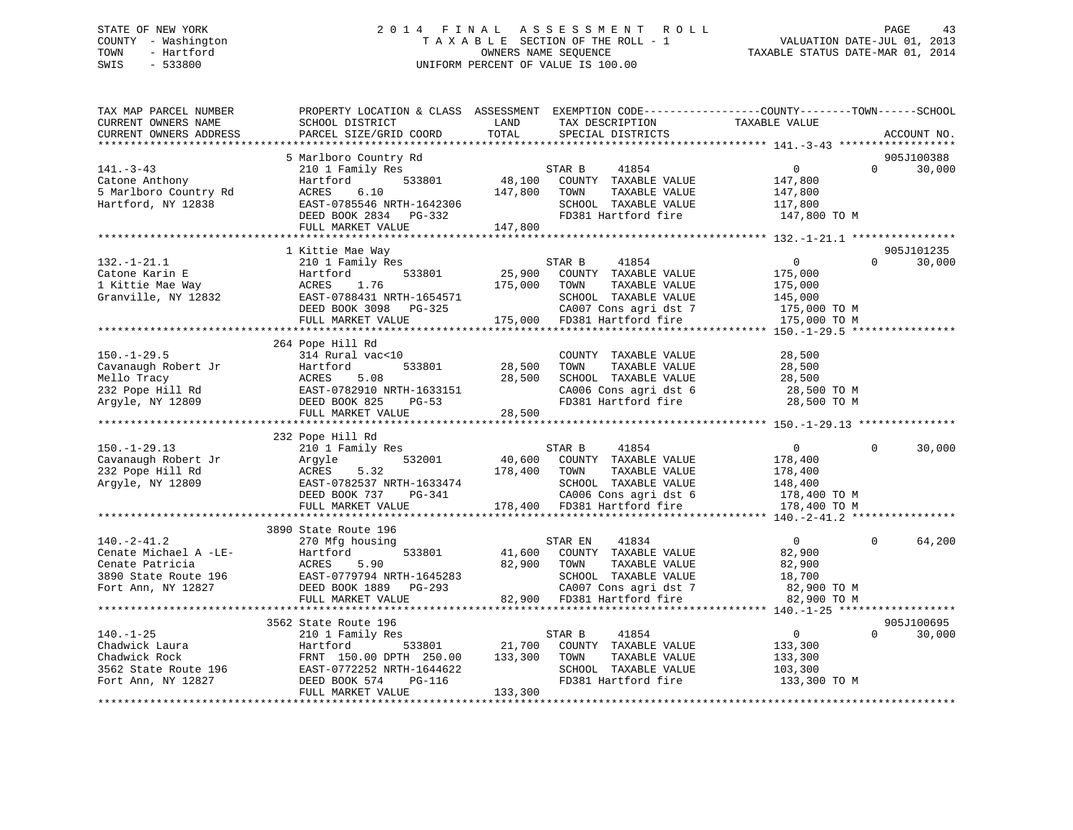### STATE OF NEW YORK 2 0 1 4 F I N A L A S S E S S M E N T R O L L PAGE 43 COUNTY - Washington T A X A B L E SECTION OF THE ROLL - 1 VALUATION DATE-JUL 01, 2013 TOWN - Hartford **TAXABLE STATUS DATE-MAR 01, 2014** OWNERS NAME SEQUENCE TAXABLE STATUS DATE-MAR 01, 2014 SWIS - 533800 UNIFORM PERCENT OF VALUE IS 100.00

| 5 Marlboro Country Rd<br>905J100388<br>$141. - 3 - 43$<br>210 1 Family Res<br>STAR B<br>41854<br>$\overline{0}$<br>$\Omega$<br>30,000<br>48,100<br>Catone Anthony<br>533801<br>COUNTY TAXABLE VALUE<br>Hartford<br>147,800<br>5 Marlboro Country Rd<br>6.10<br>147,800<br>TAXABLE VALUE<br>ACRES<br>TOWN<br>147,800<br>Hartford, NY 12838<br>EAST-0785546 NRTH-1642306<br>SCHOOL TAXABLE VALUE<br>117,800<br>FD381 Hartford fire<br>DEED BOOK 2834 PG-332<br>147,800 TO M<br>FULL MARKET VALUE<br>147,800<br>905J101235<br>1 Kittie Mae Way<br>$132. - 1 - 21.1$<br>$\overline{0}$<br>$\Omega$<br>30,000<br>210 1 Family Res<br>STAR B<br>41854<br>25,900<br>Catone Karin E<br>Hartford<br>533801<br>COUNTY TAXABLE VALUE<br>175,000<br>1 Kittie Mae Way<br>ACRES<br>1.76<br>175,000<br>TAXABLE VALUE<br>TOWN<br>175,000<br>Granville, NY 12832<br>EAST-0788431 NRTH-1654571<br>SCHOOL TAXABLE VALUE<br>145,000<br>DEED BOOK 3098 PG-325<br>CA007 Cons agri dst 7<br>175,000 TO M<br>175,000 FD381 Hartford fire<br>FULL MARKET VALUE<br>175,000 TO M<br>264 Pope Hill Rd<br>$150. - 1 - 29.5$<br>314 Rural vac<10<br>28,500<br>COUNTY TAXABLE VALUE<br>Cavanaugh Robert Jr<br>533801<br>28,500<br>TAXABLE VALUE<br>28,500<br>Hartford<br>TOWN<br>Mello Tracy<br>5.08<br>28,500<br>SCHOOL TAXABLE VALUE<br>ACRES<br>28,500<br>CA006 Cons agri dst 6<br>232 Pope Hill Rd<br>EAST-0782910 NRTH-1633151<br>28,500 TO M<br>FD381 Hartford fire<br>Argyle, NY 12809<br>DEED BOOK 825<br>$PG-53$<br>28,500 TO M<br>FULL MARKET VALUE<br>28,500<br>232 Pope Hill Rd<br>$150. - 1 - 29.13$<br>41854<br>210 1 Family Res<br>STAR B<br>$\overline{0}$<br>$\Omega$<br>30,000<br>Cavanaugh Robert Jr<br>Arqyle<br>532001<br>40,600<br>COUNTY TAXABLE VALUE<br>178,400<br>232 Pope Hill Rd<br>ACRES<br>5.32<br>178,400<br>TOWN<br>TAXABLE VALUE<br>178,400<br>EAST-0782537 NRTH-1633474<br>SCHOOL TAXABLE VALUE<br>Argyle, NY 12809<br>148,400<br>DEED BOOK 737<br>CA006 Cons agri dst 6<br>PG-341<br>178,400 TO M<br>FULL MARKET VALUE<br>178,400 FD381 Hartford fire<br>178,400 TO M<br>3890 State Route 196<br>41834<br>64,200<br>$140. -2 - 41.2$<br>$\overline{0}$<br>$\Omega$<br>270 Mfg housing<br>STAR EN<br>Cenate Michael A -LE-<br>533801<br>41,600<br>COUNTY TAXABLE VALUE<br>82,900<br>Hartford<br>Cenate Patricia<br>82,900<br>TAXABLE VALUE<br>ACRES<br>5.90<br>TOWN<br>82,900<br>3890 State Route 196<br>EAST-0779794 NRTH-1645283<br>SCHOOL TAXABLE VALUE<br>18,700<br>CA007 Cons agri dst 7<br>Fort Ann, NY 12827<br>DEED BOOK 1889<br>82,900 TO M<br>PG-293<br>FD381 Hartford fire<br>FULL MARKET VALUE<br>82,900<br>82,900 TO M<br>905J100695<br>3562 State Route 196<br>$\overline{0}$<br>$140. - 1 - 25$<br>210 1 Family Res<br>41854<br>$\Omega$<br>30,000<br>STAR B<br>Chadwick Laura<br>Hartford<br>533801<br>21,700<br>COUNTY TAXABLE VALUE<br>133,300<br>Chadwick Rock<br>FRNT 150.00 DPTH 250.00<br>133,300<br>TOWN<br>TAXABLE VALUE<br>133,300<br>SCHOOL TAXABLE VALUE<br>3562 State Route 196<br>EAST-0772252 NRTH-1644622<br>103,300<br>FD381 Hartford fire<br>Fort Ann, NY 12827<br>PG-116<br>133,300 TO M<br>DEED BOOK 574<br>FULL MARKET VALUE<br>133,300 | TAX MAP PARCEL NUMBER<br>CURRENT OWNERS NAME<br>CURRENT OWNERS ADDRESS | PROPERTY LOCATION & CLASS ASSESSMENT<br>SCHOOL DISTRICT<br>PARCEL SIZE/GRID COORD | LAND<br>TOTAL | TAX DESCRIPTION<br>SPECIAL DISTRICTS | EXEMPTION CODE-----------------COUNTY-------TOWN------SCHOOL<br>TAXABLE VALUE | ACCOUNT NO. |
|--------------------------------------------------------------------------------------------------------------------------------------------------------------------------------------------------------------------------------------------------------------------------------------------------------------------------------------------------------------------------------------------------------------------------------------------------------------------------------------------------------------------------------------------------------------------------------------------------------------------------------------------------------------------------------------------------------------------------------------------------------------------------------------------------------------------------------------------------------------------------------------------------------------------------------------------------------------------------------------------------------------------------------------------------------------------------------------------------------------------------------------------------------------------------------------------------------------------------------------------------------------------------------------------------------------------------------------------------------------------------------------------------------------------------------------------------------------------------------------------------------------------------------------------------------------------------------------------------------------------------------------------------------------------------------------------------------------------------------------------------------------------------------------------------------------------------------------------------------------------------------------------------------------------------------------------------------------------------------------------------------------------------------------------------------------------------------------------------------------------------------------------------------------------------------------------------------------------------------------------------------------------------------------------------------------------------------------------------------------------------------------------------------------------------------------------------------------------------------------------------------------------------------------------------------------------------------------------------------------------------------------------------------------------------------------------------------------------------------------------------------------------------------------------------------------------------------------------------------------------------------------------------------------------------------------------------------------------------------------------------------------------------------------------------------------------------------------------------------------------------------------------------------------------------------|------------------------------------------------------------------------|-----------------------------------------------------------------------------------|---------------|--------------------------------------|-------------------------------------------------------------------------------|-------------|
|                                                                                                                                                                                                                                                                                                                                                                                                                                                                                                                                                                                                                                                                                                                                                                                                                                                                                                                                                                                                                                                                                                                                                                                                                                                                                                                                                                                                                                                                                                                                                                                                                                                                                                                                                                                                                                                                                                                                                                                                                                                                                                                                                                                                                                                                                                                                                                                                                                                                                                                                                                                                                                                                                                                                                                                                                                                                                                                                                                                                                                                                                                                                                                                |                                                                        |                                                                                   |               |                                      |                                                                               |             |
|                                                                                                                                                                                                                                                                                                                                                                                                                                                                                                                                                                                                                                                                                                                                                                                                                                                                                                                                                                                                                                                                                                                                                                                                                                                                                                                                                                                                                                                                                                                                                                                                                                                                                                                                                                                                                                                                                                                                                                                                                                                                                                                                                                                                                                                                                                                                                                                                                                                                                                                                                                                                                                                                                                                                                                                                                                                                                                                                                                                                                                                                                                                                                                                |                                                                        |                                                                                   |               |                                      |                                                                               |             |
|                                                                                                                                                                                                                                                                                                                                                                                                                                                                                                                                                                                                                                                                                                                                                                                                                                                                                                                                                                                                                                                                                                                                                                                                                                                                                                                                                                                                                                                                                                                                                                                                                                                                                                                                                                                                                                                                                                                                                                                                                                                                                                                                                                                                                                                                                                                                                                                                                                                                                                                                                                                                                                                                                                                                                                                                                                                                                                                                                                                                                                                                                                                                                                                |                                                                        |                                                                                   |               |                                      |                                                                               |             |
|                                                                                                                                                                                                                                                                                                                                                                                                                                                                                                                                                                                                                                                                                                                                                                                                                                                                                                                                                                                                                                                                                                                                                                                                                                                                                                                                                                                                                                                                                                                                                                                                                                                                                                                                                                                                                                                                                                                                                                                                                                                                                                                                                                                                                                                                                                                                                                                                                                                                                                                                                                                                                                                                                                                                                                                                                                                                                                                                                                                                                                                                                                                                                                                |                                                                        |                                                                                   |               |                                      |                                                                               |             |
|                                                                                                                                                                                                                                                                                                                                                                                                                                                                                                                                                                                                                                                                                                                                                                                                                                                                                                                                                                                                                                                                                                                                                                                                                                                                                                                                                                                                                                                                                                                                                                                                                                                                                                                                                                                                                                                                                                                                                                                                                                                                                                                                                                                                                                                                                                                                                                                                                                                                                                                                                                                                                                                                                                                                                                                                                                                                                                                                                                                                                                                                                                                                                                                |                                                                        |                                                                                   |               |                                      |                                                                               |             |
|                                                                                                                                                                                                                                                                                                                                                                                                                                                                                                                                                                                                                                                                                                                                                                                                                                                                                                                                                                                                                                                                                                                                                                                                                                                                                                                                                                                                                                                                                                                                                                                                                                                                                                                                                                                                                                                                                                                                                                                                                                                                                                                                                                                                                                                                                                                                                                                                                                                                                                                                                                                                                                                                                                                                                                                                                                                                                                                                                                                                                                                                                                                                                                                |                                                                        |                                                                                   |               |                                      |                                                                               |             |
|                                                                                                                                                                                                                                                                                                                                                                                                                                                                                                                                                                                                                                                                                                                                                                                                                                                                                                                                                                                                                                                                                                                                                                                                                                                                                                                                                                                                                                                                                                                                                                                                                                                                                                                                                                                                                                                                                                                                                                                                                                                                                                                                                                                                                                                                                                                                                                                                                                                                                                                                                                                                                                                                                                                                                                                                                                                                                                                                                                                                                                                                                                                                                                                |                                                                        |                                                                                   |               |                                      |                                                                               |             |
|                                                                                                                                                                                                                                                                                                                                                                                                                                                                                                                                                                                                                                                                                                                                                                                                                                                                                                                                                                                                                                                                                                                                                                                                                                                                                                                                                                                                                                                                                                                                                                                                                                                                                                                                                                                                                                                                                                                                                                                                                                                                                                                                                                                                                                                                                                                                                                                                                                                                                                                                                                                                                                                                                                                                                                                                                                                                                                                                                                                                                                                                                                                                                                                |                                                                        |                                                                                   |               |                                      |                                                                               |             |
|                                                                                                                                                                                                                                                                                                                                                                                                                                                                                                                                                                                                                                                                                                                                                                                                                                                                                                                                                                                                                                                                                                                                                                                                                                                                                                                                                                                                                                                                                                                                                                                                                                                                                                                                                                                                                                                                                                                                                                                                                                                                                                                                                                                                                                                                                                                                                                                                                                                                                                                                                                                                                                                                                                                                                                                                                                                                                                                                                                                                                                                                                                                                                                                |                                                                        |                                                                                   |               |                                      |                                                                               |             |
|                                                                                                                                                                                                                                                                                                                                                                                                                                                                                                                                                                                                                                                                                                                                                                                                                                                                                                                                                                                                                                                                                                                                                                                                                                                                                                                                                                                                                                                                                                                                                                                                                                                                                                                                                                                                                                                                                                                                                                                                                                                                                                                                                                                                                                                                                                                                                                                                                                                                                                                                                                                                                                                                                                                                                                                                                                                                                                                                                                                                                                                                                                                                                                                |                                                                        |                                                                                   |               |                                      |                                                                               |             |
|                                                                                                                                                                                                                                                                                                                                                                                                                                                                                                                                                                                                                                                                                                                                                                                                                                                                                                                                                                                                                                                                                                                                                                                                                                                                                                                                                                                                                                                                                                                                                                                                                                                                                                                                                                                                                                                                                                                                                                                                                                                                                                                                                                                                                                                                                                                                                                                                                                                                                                                                                                                                                                                                                                                                                                                                                                                                                                                                                                                                                                                                                                                                                                                |                                                                        |                                                                                   |               |                                      |                                                                               |             |
|                                                                                                                                                                                                                                                                                                                                                                                                                                                                                                                                                                                                                                                                                                                                                                                                                                                                                                                                                                                                                                                                                                                                                                                                                                                                                                                                                                                                                                                                                                                                                                                                                                                                                                                                                                                                                                                                                                                                                                                                                                                                                                                                                                                                                                                                                                                                                                                                                                                                                                                                                                                                                                                                                                                                                                                                                                                                                                                                                                                                                                                                                                                                                                                |                                                                        |                                                                                   |               |                                      |                                                                               |             |
|                                                                                                                                                                                                                                                                                                                                                                                                                                                                                                                                                                                                                                                                                                                                                                                                                                                                                                                                                                                                                                                                                                                                                                                                                                                                                                                                                                                                                                                                                                                                                                                                                                                                                                                                                                                                                                                                                                                                                                                                                                                                                                                                                                                                                                                                                                                                                                                                                                                                                                                                                                                                                                                                                                                                                                                                                                                                                                                                                                                                                                                                                                                                                                                |                                                                        |                                                                                   |               |                                      |                                                                               |             |
|                                                                                                                                                                                                                                                                                                                                                                                                                                                                                                                                                                                                                                                                                                                                                                                                                                                                                                                                                                                                                                                                                                                                                                                                                                                                                                                                                                                                                                                                                                                                                                                                                                                                                                                                                                                                                                                                                                                                                                                                                                                                                                                                                                                                                                                                                                                                                                                                                                                                                                                                                                                                                                                                                                                                                                                                                                                                                                                                                                                                                                                                                                                                                                                |                                                                        |                                                                                   |               |                                      |                                                                               |             |
|                                                                                                                                                                                                                                                                                                                                                                                                                                                                                                                                                                                                                                                                                                                                                                                                                                                                                                                                                                                                                                                                                                                                                                                                                                                                                                                                                                                                                                                                                                                                                                                                                                                                                                                                                                                                                                                                                                                                                                                                                                                                                                                                                                                                                                                                                                                                                                                                                                                                                                                                                                                                                                                                                                                                                                                                                                                                                                                                                                                                                                                                                                                                                                                |                                                                        |                                                                                   |               |                                      |                                                                               |             |
|                                                                                                                                                                                                                                                                                                                                                                                                                                                                                                                                                                                                                                                                                                                                                                                                                                                                                                                                                                                                                                                                                                                                                                                                                                                                                                                                                                                                                                                                                                                                                                                                                                                                                                                                                                                                                                                                                                                                                                                                                                                                                                                                                                                                                                                                                                                                                                                                                                                                                                                                                                                                                                                                                                                                                                                                                                                                                                                                                                                                                                                                                                                                                                                |                                                                        |                                                                                   |               |                                      |                                                                               |             |
|                                                                                                                                                                                                                                                                                                                                                                                                                                                                                                                                                                                                                                                                                                                                                                                                                                                                                                                                                                                                                                                                                                                                                                                                                                                                                                                                                                                                                                                                                                                                                                                                                                                                                                                                                                                                                                                                                                                                                                                                                                                                                                                                                                                                                                                                                                                                                                                                                                                                                                                                                                                                                                                                                                                                                                                                                                                                                                                                                                                                                                                                                                                                                                                |                                                                        |                                                                                   |               |                                      |                                                                               |             |
|                                                                                                                                                                                                                                                                                                                                                                                                                                                                                                                                                                                                                                                                                                                                                                                                                                                                                                                                                                                                                                                                                                                                                                                                                                                                                                                                                                                                                                                                                                                                                                                                                                                                                                                                                                                                                                                                                                                                                                                                                                                                                                                                                                                                                                                                                                                                                                                                                                                                                                                                                                                                                                                                                                                                                                                                                                                                                                                                                                                                                                                                                                                                                                                |                                                                        |                                                                                   |               |                                      |                                                                               |             |
|                                                                                                                                                                                                                                                                                                                                                                                                                                                                                                                                                                                                                                                                                                                                                                                                                                                                                                                                                                                                                                                                                                                                                                                                                                                                                                                                                                                                                                                                                                                                                                                                                                                                                                                                                                                                                                                                                                                                                                                                                                                                                                                                                                                                                                                                                                                                                                                                                                                                                                                                                                                                                                                                                                                                                                                                                                                                                                                                                                                                                                                                                                                                                                                |                                                                        |                                                                                   |               |                                      |                                                                               |             |
|                                                                                                                                                                                                                                                                                                                                                                                                                                                                                                                                                                                                                                                                                                                                                                                                                                                                                                                                                                                                                                                                                                                                                                                                                                                                                                                                                                                                                                                                                                                                                                                                                                                                                                                                                                                                                                                                                                                                                                                                                                                                                                                                                                                                                                                                                                                                                                                                                                                                                                                                                                                                                                                                                                                                                                                                                                                                                                                                                                                                                                                                                                                                                                                |                                                                        |                                                                                   |               |                                      |                                                                               |             |
|                                                                                                                                                                                                                                                                                                                                                                                                                                                                                                                                                                                                                                                                                                                                                                                                                                                                                                                                                                                                                                                                                                                                                                                                                                                                                                                                                                                                                                                                                                                                                                                                                                                                                                                                                                                                                                                                                                                                                                                                                                                                                                                                                                                                                                                                                                                                                                                                                                                                                                                                                                                                                                                                                                                                                                                                                                                                                                                                                                                                                                                                                                                                                                                |                                                                        |                                                                                   |               |                                      |                                                                               |             |
|                                                                                                                                                                                                                                                                                                                                                                                                                                                                                                                                                                                                                                                                                                                                                                                                                                                                                                                                                                                                                                                                                                                                                                                                                                                                                                                                                                                                                                                                                                                                                                                                                                                                                                                                                                                                                                                                                                                                                                                                                                                                                                                                                                                                                                                                                                                                                                                                                                                                                                                                                                                                                                                                                                                                                                                                                                                                                                                                                                                                                                                                                                                                                                                |                                                                        |                                                                                   |               |                                      |                                                                               |             |
|                                                                                                                                                                                                                                                                                                                                                                                                                                                                                                                                                                                                                                                                                                                                                                                                                                                                                                                                                                                                                                                                                                                                                                                                                                                                                                                                                                                                                                                                                                                                                                                                                                                                                                                                                                                                                                                                                                                                                                                                                                                                                                                                                                                                                                                                                                                                                                                                                                                                                                                                                                                                                                                                                                                                                                                                                                                                                                                                                                                                                                                                                                                                                                                |                                                                        |                                                                                   |               |                                      |                                                                               |             |
|                                                                                                                                                                                                                                                                                                                                                                                                                                                                                                                                                                                                                                                                                                                                                                                                                                                                                                                                                                                                                                                                                                                                                                                                                                                                                                                                                                                                                                                                                                                                                                                                                                                                                                                                                                                                                                                                                                                                                                                                                                                                                                                                                                                                                                                                                                                                                                                                                                                                                                                                                                                                                                                                                                                                                                                                                                                                                                                                                                                                                                                                                                                                                                                |                                                                        |                                                                                   |               |                                      |                                                                               |             |
|                                                                                                                                                                                                                                                                                                                                                                                                                                                                                                                                                                                                                                                                                                                                                                                                                                                                                                                                                                                                                                                                                                                                                                                                                                                                                                                                                                                                                                                                                                                                                                                                                                                                                                                                                                                                                                                                                                                                                                                                                                                                                                                                                                                                                                                                                                                                                                                                                                                                                                                                                                                                                                                                                                                                                                                                                                                                                                                                                                                                                                                                                                                                                                                |                                                                        |                                                                                   |               |                                      |                                                                               |             |
|                                                                                                                                                                                                                                                                                                                                                                                                                                                                                                                                                                                                                                                                                                                                                                                                                                                                                                                                                                                                                                                                                                                                                                                                                                                                                                                                                                                                                                                                                                                                                                                                                                                                                                                                                                                                                                                                                                                                                                                                                                                                                                                                                                                                                                                                                                                                                                                                                                                                                                                                                                                                                                                                                                                                                                                                                                                                                                                                                                                                                                                                                                                                                                                |                                                                        |                                                                                   |               |                                      |                                                                               |             |
|                                                                                                                                                                                                                                                                                                                                                                                                                                                                                                                                                                                                                                                                                                                                                                                                                                                                                                                                                                                                                                                                                                                                                                                                                                                                                                                                                                                                                                                                                                                                                                                                                                                                                                                                                                                                                                                                                                                                                                                                                                                                                                                                                                                                                                                                                                                                                                                                                                                                                                                                                                                                                                                                                                                                                                                                                                                                                                                                                                                                                                                                                                                                                                                |                                                                        |                                                                                   |               |                                      |                                                                               |             |
|                                                                                                                                                                                                                                                                                                                                                                                                                                                                                                                                                                                                                                                                                                                                                                                                                                                                                                                                                                                                                                                                                                                                                                                                                                                                                                                                                                                                                                                                                                                                                                                                                                                                                                                                                                                                                                                                                                                                                                                                                                                                                                                                                                                                                                                                                                                                                                                                                                                                                                                                                                                                                                                                                                                                                                                                                                                                                                                                                                                                                                                                                                                                                                                |                                                                        |                                                                                   |               |                                      |                                                                               |             |
|                                                                                                                                                                                                                                                                                                                                                                                                                                                                                                                                                                                                                                                                                                                                                                                                                                                                                                                                                                                                                                                                                                                                                                                                                                                                                                                                                                                                                                                                                                                                                                                                                                                                                                                                                                                                                                                                                                                                                                                                                                                                                                                                                                                                                                                                                                                                                                                                                                                                                                                                                                                                                                                                                                                                                                                                                                                                                                                                                                                                                                                                                                                                                                                |                                                                        |                                                                                   |               |                                      |                                                                               |             |
|                                                                                                                                                                                                                                                                                                                                                                                                                                                                                                                                                                                                                                                                                                                                                                                                                                                                                                                                                                                                                                                                                                                                                                                                                                                                                                                                                                                                                                                                                                                                                                                                                                                                                                                                                                                                                                                                                                                                                                                                                                                                                                                                                                                                                                                                                                                                                                                                                                                                                                                                                                                                                                                                                                                                                                                                                                                                                                                                                                                                                                                                                                                                                                                |                                                                        |                                                                                   |               |                                      |                                                                               |             |
|                                                                                                                                                                                                                                                                                                                                                                                                                                                                                                                                                                                                                                                                                                                                                                                                                                                                                                                                                                                                                                                                                                                                                                                                                                                                                                                                                                                                                                                                                                                                                                                                                                                                                                                                                                                                                                                                                                                                                                                                                                                                                                                                                                                                                                                                                                                                                                                                                                                                                                                                                                                                                                                                                                                                                                                                                                                                                                                                                                                                                                                                                                                                                                                |                                                                        |                                                                                   |               |                                      |                                                                               |             |
|                                                                                                                                                                                                                                                                                                                                                                                                                                                                                                                                                                                                                                                                                                                                                                                                                                                                                                                                                                                                                                                                                                                                                                                                                                                                                                                                                                                                                                                                                                                                                                                                                                                                                                                                                                                                                                                                                                                                                                                                                                                                                                                                                                                                                                                                                                                                                                                                                                                                                                                                                                                                                                                                                                                                                                                                                                                                                                                                                                                                                                                                                                                                                                                |                                                                        |                                                                                   |               |                                      |                                                                               |             |
|                                                                                                                                                                                                                                                                                                                                                                                                                                                                                                                                                                                                                                                                                                                                                                                                                                                                                                                                                                                                                                                                                                                                                                                                                                                                                                                                                                                                                                                                                                                                                                                                                                                                                                                                                                                                                                                                                                                                                                                                                                                                                                                                                                                                                                                                                                                                                                                                                                                                                                                                                                                                                                                                                                                                                                                                                                                                                                                                                                                                                                                                                                                                                                                |                                                                        |                                                                                   |               |                                      |                                                                               |             |
|                                                                                                                                                                                                                                                                                                                                                                                                                                                                                                                                                                                                                                                                                                                                                                                                                                                                                                                                                                                                                                                                                                                                                                                                                                                                                                                                                                                                                                                                                                                                                                                                                                                                                                                                                                                                                                                                                                                                                                                                                                                                                                                                                                                                                                                                                                                                                                                                                                                                                                                                                                                                                                                                                                                                                                                                                                                                                                                                                                                                                                                                                                                                                                                |                                                                        |                                                                                   |               |                                      |                                                                               |             |
|                                                                                                                                                                                                                                                                                                                                                                                                                                                                                                                                                                                                                                                                                                                                                                                                                                                                                                                                                                                                                                                                                                                                                                                                                                                                                                                                                                                                                                                                                                                                                                                                                                                                                                                                                                                                                                                                                                                                                                                                                                                                                                                                                                                                                                                                                                                                                                                                                                                                                                                                                                                                                                                                                                                                                                                                                                                                                                                                                                                                                                                                                                                                                                                |                                                                        |                                                                                   |               |                                      |                                                                               |             |
|                                                                                                                                                                                                                                                                                                                                                                                                                                                                                                                                                                                                                                                                                                                                                                                                                                                                                                                                                                                                                                                                                                                                                                                                                                                                                                                                                                                                                                                                                                                                                                                                                                                                                                                                                                                                                                                                                                                                                                                                                                                                                                                                                                                                                                                                                                                                                                                                                                                                                                                                                                                                                                                                                                                                                                                                                                                                                                                                                                                                                                                                                                                                                                                |                                                                        |                                                                                   |               |                                      |                                                                               |             |
|                                                                                                                                                                                                                                                                                                                                                                                                                                                                                                                                                                                                                                                                                                                                                                                                                                                                                                                                                                                                                                                                                                                                                                                                                                                                                                                                                                                                                                                                                                                                                                                                                                                                                                                                                                                                                                                                                                                                                                                                                                                                                                                                                                                                                                                                                                                                                                                                                                                                                                                                                                                                                                                                                                                                                                                                                                                                                                                                                                                                                                                                                                                                                                                |                                                                        |                                                                                   |               |                                      |                                                                               |             |
|                                                                                                                                                                                                                                                                                                                                                                                                                                                                                                                                                                                                                                                                                                                                                                                                                                                                                                                                                                                                                                                                                                                                                                                                                                                                                                                                                                                                                                                                                                                                                                                                                                                                                                                                                                                                                                                                                                                                                                                                                                                                                                                                                                                                                                                                                                                                                                                                                                                                                                                                                                                                                                                                                                                                                                                                                                                                                                                                                                                                                                                                                                                                                                                |                                                                        |                                                                                   |               |                                      |                                                                               |             |
|                                                                                                                                                                                                                                                                                                                                                                                                                                                                                                                                                                                                                                                                                                                                                                                                                                                                                                                                                                                                                                                                                                                                                                                                                                                                                                                                                                                                                                                                                                                                                                                                                                                                                                                                                                                                                                                                                                                                                                                                                                                                                                                                                                                                                                                                                                                                                                                                                                                                                                                                                                                                                                                                                                                                                                                                                                                                                                                                                                                                                                                                                                                                                                                |                                                                        |                                                                                   |               |                                      |                                                                               |             |
|                                                                                                                                                                                                                                                                                                                                                                                                                                                                                                                                                                                                                                                                                                                                                                                                                                                                                                                                                                                                                                                                                                                                                                                                                                                                                                                                                                                                                                                                                                                                                                                                                                                                                                                                                                                                                                                                                                                                                                                                                                                                                                                                                                                                                                                                                                                                                                                                                                                                                                                                                                                                                                                                                                                                                                                                                                                                                                                                                                                                                                                                                                                                                                                |                                                                        |                                                                                   |               |                                      |                                                                               |             |
|                                                                                                                                                                                                                                                                                                                                                                                                                                                                                                                                                                                                                                                                                                                                                                                                                                                                                                                                                                                                                                                                                                                                                                                                                                                                                                                                                                                                                                                                                                                                                                                                                                                                                                                                                                                                                                                                                                                                                                                                                                                                                                                                                                                                                                                                                                                                                                                                                                                                                                                                                                                                                                                                                                                                                                                                                                                                                                                                                                                                                                                                                                                                                                                |                                                                        |                                                                                   |               |                                      |                                                                               |             |
|                                                                                                                                                                                                                                                                                                                                                                                                                                                                                                                                                                                                                                                                                                                                                                                                                                                                                                                                                                                                                                                                                                                                                                                                                                                                                                                                                                                                                                                                                                                                                                                                                                                                                                                                                                                                                                                                                                                                                                                                                                                                                                                                                                                                                                                                                                                                                                                                                                                                                                                                                                                                                                                                                                                                                                                                                                                                                                                                                                                                                                                                                                                                                                                |                                                                        |                                                                                   |               |                                      |                                                                               |             |
|                                                                                                                                                                                                                                                                                                                                                                                                                                                                                                                                                                                                                                                                                                                                                                                                                                                                                                                                                                                                                                                                                                                                                                                                                                                                                                                                                                                                                                                                                                                                                                                                                                                                                                                                                                                                                                                                                                                                                                                                                                                                                                                                                                                                                                                                                                                                                                                                                                                                                                                                                                                                                                                                                                                                                                                                                                                                                                                                                                                                                                                                                                                                                                                |                                                                        |                                                                                   |               |                                      |                                                                               |             |
|                                                                                                                                                                                                                                                                                                                                                                                                                                                                                                                                                                                                                                                                                                                                                                                                                                                                                                                                                                                                                                                                                                                                                                                                                                                                                                                                                                                                                                                                                                                                                                                                                                                                                                                                                                                                                                                                                                                                                                                                                                                                                                                                                                                                                                                                                                                                                                                                                                                                                                                                                                                                                                                                                                                                                                                                                                                                                                                                                                                                                                                                                                                                                                                |                                                                        |                                                                                   |               |                                      |                                                                               |             |
|                                                                                                                                                                                                                                                                                                                                                                                                                                                                                                                                                                                                                                                                                                                                                                                                                                                                                                                                                                                                                                                                                                                                                                                                                                                                                                                                                                                                                                                                                                                                                                                                                                                                                                                                                                                                                                                                                                                                                                                                                                                                                                                                                                                                                                                                                                                                                                                                                                                                                                                                                                                                                                                                                                                                                                                                                                                                                                                                                                                                                                                                                                                                                                                |                                                                        |                                                                                   |               |                                      |                                                                               |             |
|                                                                                                                                                                                                                                                                                                                                                                                                                                                                                                                                                                                                                                                                                                                                                                                                                                                                                                                                                                                                                                                                                                                                                                                                                                                                                                                                                                                                                                                                                                                                                                                                                                                                                                                                                                                                                                                                                                                                                                                                                                                                                                                                                                                                                                                                                                                                                                                                                                                                                                                                                                                                                                                                                                                                                                                                                                                                                                                                                                                                                                                                                                                                                                                |                                                                        |                                                                                   |               |                                      |                                                                               |             |
|                                                                                                                                                                                                                                                                                                                                                                                                                                                                                                                                                                                                                                                                                                                                                                                                                                                                                                                                                                                                                                                                                                                                                                                                                                                                                                                                                                                                                                                                                                                                                                                                                                                                                                                                                                                                                                                                                                                                                                                                                                                                                                                                                                                                                                                                                                                                                                                                                                                                                                                                                                                                                                                                                                                                                                                                                                                                                                                                                                                                                                                                                                                                                                                |                                                                        |                                                                                   |               |                                      |                                                                               |             |
|                                                                                                                                                                                                                                                                                                                                                                                                                                                                                                                                                                                                                                                                                                                                                                                                                                                                                                                                                                                                                                                                                                                                                                                                                                                                                                                                                                                                                                                                                                                                                                                                                                                                                                                                                                                                                                                                                                                                                                                                                                                                                                                                                                                                                                                                                                                                                                                                                                                                                                                                                                                                                                                                                                                                                                                                                                                                                                                                                                                                                                                                                                                                                                                |                                                                        |                                                                                   |               |                                      |                                                                               |             |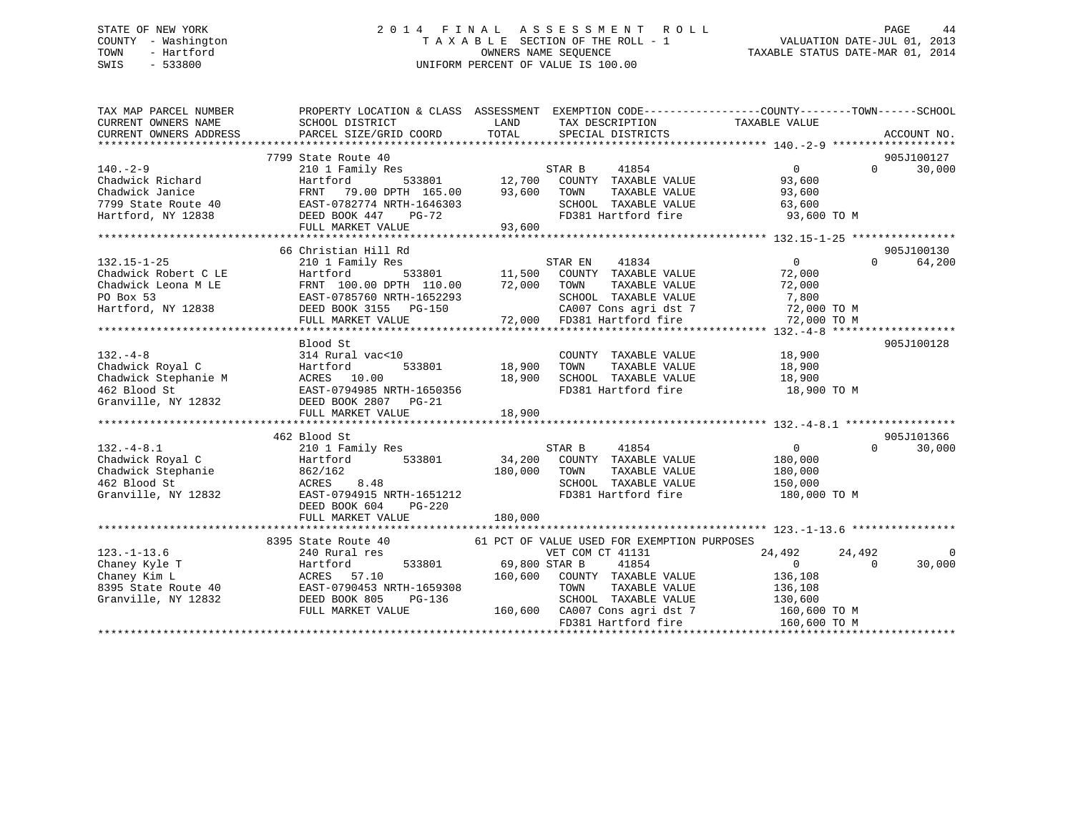### STATE OF NEW YORK 2 0 1 4 F I N A L A S S E S S M E N T R O L L PAGE 44 COUNTY - Washington T A X A B L E SECTION OF THE ROLL - 1 VALUATION DATE-JUL 01, 2013 TOWN - Hartford **TAXABLE STATUS DATE-MAR 01, 2014** OWNERS NAME SEQUENCE TAXABLE STATUS DATE-MAR 01, 2014 SWIS - 533800 UNIFORM PERCENT OF VALUE IS 100.00

| TAX MAP PARCEL NUMBER<br>CURRENT OWNERS NAME<br>CURRENT OWNERS ADDRESS                                                                                                                                                                    | PROPERTY LOCATION & CLASS ASSESSMENT EXEMPTION CODE----------------COUNTY-------TOWN------SCHOOL<br>SCHOOL DISTRICT<br>PARCEL SIZE/GRID COORD | LAND<br>TOTAL        | TAX DESCRIPTION TAXABLE VALUE<br>SPECIAL DISTRICTS |                            | ACCOUNT NO.        |
|-------------------------------------------------------------------------------------------------------------------------------------------------------------------------------------------------------------------------------------------|-----------------------------------------------------------------------------------------------------------------------------------------------|----------------------|----------------------------------------------------|----------------------------|--------------------|
|                                                                                                                                                                                                                                           |                                                                                                                                               |                      |                                                    |                            |                    |
|                                                                                                                                                                                                                                           | 7799 State Route 40                                                                                                                           |                      |                                                    |                            | 905J100127         |
| $140. -2 - 9$                                                                                                                                                                                                                             | 210 1 Family Res                                                                                                                              |                      |                                                    | $\Omega$                   | $\Omega$<br>30,000 |
| Chadwick Richard                                                                                                                                                                                                                          | Hartford                                                                                                                                      |                      |                                                    | 93,600                     |                    |
| Chadwick Janice                                                                                                                                                                                                                           | FRNT<br>79.00 DPTH 165.00                                                                                                                     |                      |                                                    | 93,600                     |                    |
| 7799 State Route 40                                                                                                                                                                                                                       | EAST-0782774 NRTH-1646303                                                                                                                     |                      | SCHOOL TAXABLE VALUE                               | 63,600                     |                    |
| Hartford, NY 12838                                                                                                                                                                                                                        | DEED BOOK 447<br>$PG-72$                                                                                                                      |                      | FD381 Hartford fire                                | 93,600 TO M                |                    |
|                                                                                                                                                                                                                                           | FULL MARKET VALUE                                                                                                                             | 93,600               |                                                    |                            |                    |
|                                                                                                                                                                                                                                           |                                                                                                                                               |                      |                                                    |                            |                    |
|                                                                                                                                                                                                                                           | 66 Christian Hill Rd                                                                                                                          |                      |                                                    |                            | 905J100130         |
|                                                                                                                                                                                                                                           |                                                                                                                                               |                      |                                                    | $\overline{0}$             | $\Omega$<br>64,200 |
|                                                                                                                                                                                                                                           |                                                                                                                                               |                      |                                                    | 72,000                     |                    |
|                                                                                                                                                                                                                                           |                                                                                                                                               |                      |                                                    | 72,000                     |                    |
|                                                                                                                                                                                                                                           |                                                                                                                                               |                      |                                                    | 7,800                      |                    |
|                                                                                                                                                                                                                                           |                                                                                                                                               |                      |                                                    | 72,000 TO M                |                    |
| 132.15-1-25<br>Chadwick Robert C LE<br>Chadwick Hotel E Hartford 533801 11,500 COUNTY TAXABLE VALUE<br>Chadwick Leona M LE<br>PO Box 53<br>Hartford, NY 12838 EAST-0785760 NRTH-1652293<br>Hartford, NY 12838 EEED BOOK 3155 PG-150 CA007 |                                                                                                                                               |                      |                                                    | 72,000 TO M                |                    |
|                                                                                                                                                                                                                                           |                                                                                                                                               |                      |                                                    |                            |                    |
|                                                                                                                                                                                                                                           | Blood St                                                                                                                                      |                      |                                                    |                            | 905J100128         |
|                                                                                                                                                                                                                                           |                                                                                                                                               |                      | COUNTY TAXABLE VALUE                               | 18,900                     |                    |
|                                                                                                                                                                                                                                           |                                                                                                                                               | 533801 18,900        | TOWN<br>TAXABLE VALUE                              | 18,900                     |                    |
|                                                                                                                                                                                                                                           |                                                                                                                                               | 18,900               | SCHOOL TAXABLE VALUE                               | 18,900                     |                    |
|                                                                                                                                                                                                                                           |                                                                                                                                               |                      | FD381 Hartford fire 18,900 TO M                    |                            |                    |
| CHERO CHANNEL CONTRACT ON SUBSISION Chadwick Stephanie M<br>462 Blood St EAST-0794985 NRTH-1650356<br>Granville, NY 12832 DEED BOOK 2807 PG-21                                                                                            |                                                                                                                                               |                      |                                                    |                            |                    |
|                                                                                                                                                                                                                                           |                                                                                                                                               | 18,900               |                                                    |                            |                    |
|                                                                                                                                                                                                                                           |                                                                                                                                               |                      |                                                    |                            |                    |
|                                                                                                                                                                                                                                           | 462 Blood St                                                                                                                                  |                      |                                                    |                            | 905J101366         |
| $132. - 4 - 8.1$                                                                                                                                                                                                                          | 210 1 Family Res                                                                                                                              |                      | 41854<br>STAR B                                    | $\overline{0}$             | $\Omega$<br>30,000 |
|                                                                                                                                                                                                                                           | 533801<br>Hartford                                                                                                                            |                      | 34,200 COUNTY TAXABLE VALUE                        | 180,000                    |                    |
| Chadwick Royal C<br>Chadwick Stephanie<br>462 Blood St                                                                                                                                                                                    | 862/162                                                                                                                                       | 180,000 TOWN         | TAXABLE VALUE                                      | 180,000                    |                    |
| 462 Blood St                                                                                                                                                                                                                              | ACRES<br>8.48<br>EAST-0794915 NRTH-1651212                                                                                                    |                      | SCHOOL TAXABLE VALUE                               | 150,000                    |                    |
| Granville, NY 12832                                                                                                                                                                                                                       | DEED BOOK 604<br>$PG-220$                                                                                                                     |                      | FD381 Hartford fire                                | 180,000 TO M               |                    |
|                                                                                                                                                                                                                                           |                                                                                                                                               | 180,000              |                                                    |                            |                    |
|                                                                                                                                                                                                                                           | FULL MARKET VALUE                                                                                                                             |                      |                                                    |                            |                    |
|                                                                                                                                                                                                                                           | 8395 State Route 40                                                                                                                           |                      | 61 PCT OF VALUE USED FOR EXEMPTION PURPOSES        |                            |                    |
| $123. - 1 - 13.6$                                                                                                                                                                                                                         | 240 Rural res                                                                                                                                 |                      | VET COM CT 41131                                   | 24,492<br>24,492           | $\overline{0}$     |
| Chaney Kyle T                                                                                                                                                                                                                             | Hartford                                                                                                                                      | 533801 69,800 STAR B | 41854                                              | $\overline{0}$<br>$\Omega$ | 30,000             |
| Chaney Kim L                                                                                                                                                                                                                              | ACRES 57.10                                                                                                                                   | 160,600              | COUNTY TAXABLE VALUE                               | 136,108                    |                    |
| 8395 State Route 40                                                                                                                                                                                                                       | EAST-0790453 NRTH-1659308                                                                                                                     |                      | TOWN<br>TAXABLE VALUE                              | 136,108                    |                    |
| Granville, NY 12832                                                                                                                                                                                                                       | DEED BOOK 805<br>PG-136                                                                                                                       |                      | SCHOOL TAXABLE VALUE                               | 130,600                    |                    |
|                                                                                                                                                                                                                                           | FULL MARKET VALUE                                                                                                                             |                      | 160,600 CA007 Cons agri dst 7                      | 160,600 TO M               |                    |
|                                                                                                                                                                                                                                           |                                                                                                                                               |                      | FD381 Hartford fire                                | 160,600 TO M               |                    |
|                                                                                                                                                                                                                                           |                                                                                                                                               |                      |                                                    |                            |                    |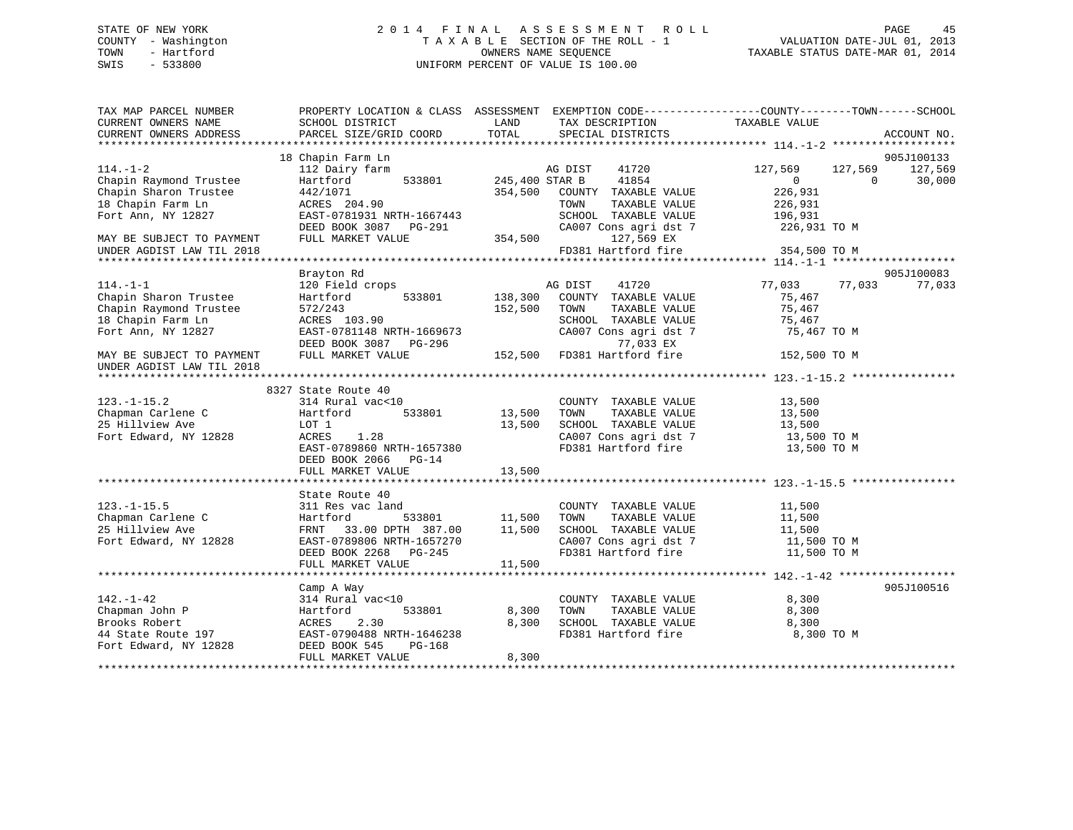### STATE OF NEW YORK 2 0 1 4 F I N A L A S S E S S M E N T R O L L PAGE 45 COUNTY - Washington T A X A B L E SECTION OF THE ROLL - 1 VALUATION DATE-JUL 01, 2013 TOWN - Hartford OWNERS NAME SEQUENCE TAXABLE STATUS DATE-MAR 01, 2014 SWIS - 533800 UNIFORM PERCENT OF VALUE IS 100.00

| TAX MAP PARCEL NUMBER<br>CURRENT OWNERS NAME | PROPERTY LOCATION & CLASS ASSESSMENT EXEMPTION CODE---------------COUNTY-------TOWN-----SCHOOL<br>SCHOOL DISTRICT | LAND           | TAX DESCRIPTION                               | TAXABLE VALUE            |                       |
|----------------------------------------------|-------------------------------------------------------------------------------------------------------------------|----------------|-----------------------------------------------|--------------------------|-----------------------|
| CURRENT OWNERS ADDRESS                       | PARCEL SIZE/GRID COORD                                                                                            | TOTAL          | SPECIAL DISTRICTS                             |                          | ACCOUNT NO.           |
|                                              |                                                                                                                   |                |                                               |                          |                       |
| $114. - 1 - 2$                               | 18 Chapin Farm Ln<br>112 Dairy farm                                                                               |                | 41720<br>AG DIST                              | 127,569<br>127,569       | 905J100133<br>127,569 |
| Chapin Raymond Trustee                       | 533801<br>Hartford                                                                                                | 245,400 STAR B | 41854                                         | $\mathbf{0}$<br>$\Omega$ | 30,000                |
| Chapin Sharon Trustee                        | 442/1071                                                                                                          | 354,500        | COUNTY TAXABLE VALUE                          | 226,931                  |                       |
| 18 Chapin Farm Ln                            | ACRES 204.90                                                                                                      |                | TOWN<br>TAXABLE VALUE                         | 226,931                  |                       |
| Fort Ann, NY 12827                           | EAST-0781931 NRTH-1667443                                                                                         |                | SCHOOL TAXABLE VALUE                          | 196,931                  |                       |
|                                              | DEED BOOK 3087<br>$PG-291$                                                                                        |                | CA007 Cons agri dst 7                         | 226,931 TO M             |                       |
| MAY BE SUBJECT TO PAYMENT                    | FULL MARKET VALUE                                                                                                 | 354,500        | 127,569 EX                                    |                          |                       |
| UNDER AGDIST LAW TIL 2018                    |                                                                                                                   |                | FD381 Hartford fire                           | 354,500 TO M             |                       |
|                                              |                                                                                                                   |                |                                               |                          |                       |
|                                              | Brayton Rd                                                                                                        |                |                                               |                          | 905J100083            |
| $114. - 1 - 1$                               | 120 Field crops                                                                                                   |                | AG DIST<br>41720                              | 77,033<br>77,033         | 77,033                |
| Chapin Sharon Trustee                        | Hartford<br>533801                                                                                                | 138,300        | COUNTY TAXABLE VALUE                          | 75,467                   |                       |
| Chapin Raymond Trustee                       | 572/243                                                                                                           | 152,500        | TAXABLE VALUE<br>TOWN                         | 75,467                   |                       |
| 18 Chapin Farm Ln                            | ACRES 103.90                                                                                                      |                | SCHOOL TAXABLE VALUE                          | 75,467                   |                       |
| Fort Ann, NY 12827                           | EAST-0781148 NRTH-1669673                                                                                         |                | CA007 Cons agri dst 7                         | 75,467 TO M              |                       |
|                                              | DEED BOOK 3087 PG-296                                                                                             |                | 77,033 EX                                     |                          |                       |
| MAY BE SUBJECT TO PAYMENT                    | FULL MARKET VALUE                                                                                                 | 152,500        | FD381 Hartford fire                           | 152,500 TO M             |                       |
| UNDER AGDIST LAW TIL 2018                    |                                                                                                                   |                |                                               |                          |                       |
|                                              |                                                                                                                   |                |                                               |                          |                       |
|                                              | 8327 State Route 40                                                                                               |                |                                               |                          |                       |
| $123. - 1 - 15.2$                            | 314 Rural vac<10                                                                                                  |                | COUNTY TAXABLE VALUE                          | 13,500                   |                       |
| Chapman Carlene C                            | Hartford<br>533801                                                                                                | 13,500         | TAXABLE VALUE<br>TOWN                         | 13,500                   |                       |
| 25 Hillview Ave<br>Fort Edward, NY 12828     | LOT 1<br>1.28                                                                                                     | 13,500         | SCHOOL TAXABLE VALUE<br>CA007 Cons agri dst 7 | 13,500                   |                       |
|                                              | ACRES<br>EAST-0789860 NRTH-1657380                                                                                |                | FD381 Hartford fire                           | 13,500 TO M              |                       |
|                                              | DEED BOOK 2066 PG-14                                                                                              |                |                                               | 13,500 TO M              |                       |
|                                              | FULL MARKET VALUE                                                                                                 | 13,500         |                                               |                          |                       |
|                                              |                                                                                                                   |                |                                               |                          |                       |
|                                              | State Route 40                                                                                                    |                |                                               |                          |                       |
| $123. - 1 - 15.5$                            | 311 Res vac land                                                                                                  |                | COUNTY TAXABLE VALUE                          | 11,500                   |                       |
| Chapman Carlene C                            | 533801<br>Hartford                                                                                                | 11,500         | TOWN<br>TAXABLE VALUE                         | 11,500                   |                       |
| 25 Hillview Ave                              | FRNT 33.00 DPTH 387.00                                                                                            | 11,500         | SCHOOL TAXABLE VALUE                          | 11,500                   |                       |
| Fort Edward, NY 12828                        | EAST-0789806 NRTH-1657270                                                                                         |                | CA007 Cons agri dst 7                         | 11,500 TO M              |                       |
|                                              | DEED BOOK 2268 PG-245                                                                                             |                | FD381 Hartford fire                           | 11,500 TO M              |                       |
|                                              | FULL MARKET VALUE                                                                                                 | 11,500         |                                               |                          |                       |
|                                              |                                                                                                                   |                |                                               |                          |                       |
|                                              | Camp A Way                                                                                                        |                |                                               |                          | 905J100516            |
| $142. - 1 - 42$                              | 314 Rural vac<10                                                                                                  |                | COUNTY TAXABLE VALUE                          | 8,300                    |                       |
| Chapman John P                               | 533801<br>Hartford                                                                                                | 8,300          | TOWN<br>TAXABLE VALUE                         | 8,300                    |                       |
| Brooks Robert                                | ACRES<br>2.30                                                                                                     | 8,300          | SCHOOL TAXABLE VALUE                          | 8,300                    |                       |
| 44 State Route 197                           | EAST-0790488 NRTH-1646238                                                                                         |                | FD381 Hartford fire                           | 8,300 TO M               |                       |
| Fort Edward, NY 12828                        | DEED BOOK 545<br>PG-168                                                                                           |                |                                               |                          |                       |
|                                              | FULL MARKET VALUE                                                                                                 | 8,300          |                                               |                          |                       |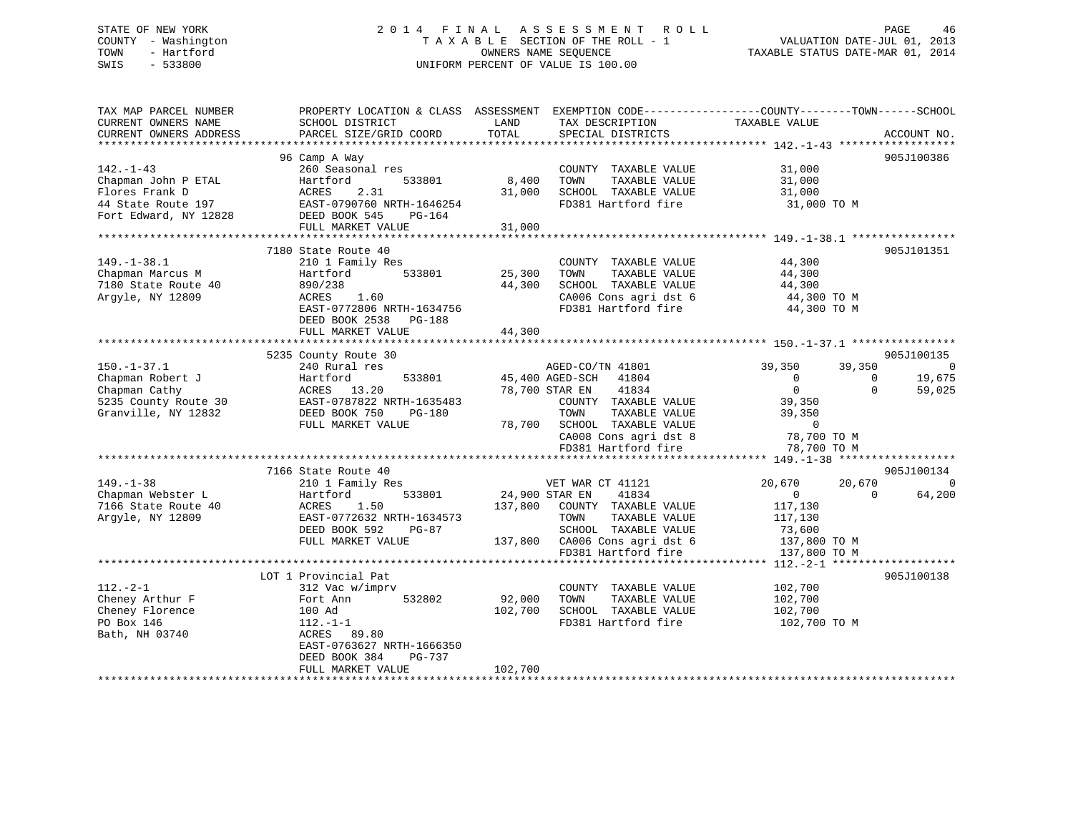### STATE OF NEW YORK 2 0 1 4 F I N A L A S S E S S M E N T R O L L PAGE 46 COUNTY - Washington T A X A B L E SECTION OF THE ROLL - 1 VALUATION DATE-JUL 01, 2013 TOWN - Hartford OWNERS NAME SEQUENCE TAXABLE STATUS DATE-MAR 01, 2014 SWIS - 533800 UNIFORM PERCENT OF VALUE IS 100.00

| TAX MAP PARCEL NUMBER<br>CURRENT OWNERS NAME | PROPERTY LOCATION & CLASS ASSESSMENT<br>SCHOOL DISTRICT | LAND<br>TAX DESCRIPTION          | EXEMPTION CODE----------------COUNTY-------TOWN------SCHOOL<br>TAXABLE VALUE |
|----------------------------------------------|---------------------------------------------------------|----------------------------------|------------------------------------------------------------------------------|
| CURRENT OWNERS ADDRESS                       | PARCEL SIZE/GRID COORD                                  | TOTAL<br>SPECIAL DISTRICTS       | ACCOUNT NO.                                                                  |
|                                              |                                                         |                                  |                                                                              |
|                                              | 96 Camp A Way                                           |                                  | 905J100386                                                                   |
| $142. - 1 - 43$                              | 260 Seasonal res                                        | COUNTY TAXABLE VALUE             | 31,000                                                                       |
| Chapman John P ETAL                          | Hartford<br>533801                                      | 8,400<br>TOWN<br>TAXABLE VALUE   | 31,000                                                                       |
| Flores Frank D                               | ACRES<br>2.31                                           | 31,000<br>SCHOOL TAXABLE VALUE   | 31,000                                                                       |
| 44 State Route 197                           | EAST-0790760 NRTH-1646254                               | FD381 Hartford fire              | 31,000 TO M                                                                  |
| Fort Edward, NY 12828                        | DEED BOOK 545<br>PG-164                                 |                                  |                                                                              |
|                                              | FULL MARKET VALUE                                       | 31,000                           |                                                                              |
| **********************                       |                                                         |                                  |                                                                              |
|                                              | 7180 State Route 40                                     |                                  | 905J101351                                                                   |
| $149. - 1 - 38.1$                            | 210 1 Family Res                                        | COUNTY TAXABLE VALUE             | 44,300                                                                       |
| Chapman Marcus M                             | 533801<br>Hartford                                      | 25,300<br>TOWN<br>TAXABLE VALUE  | 44,300                                                                       |
| 7180 State Route 40                          | 890/238                                                 | SCHOOL TAXABLE VALUE<br>44,300   | 44,300                                                                       |
| Argyle, NY 12809                             | ACRES<br>1.60                                           | CA006 Cons agri dst 6            | 44,300 TO M                                                                  |
|                                              | EAST-0772806 NRTH-1634756                               | FD381 Hartford fire              | 44,300 TO M                                                                  |
|                                              | DEED BOOK 2538<br>PG-188                                |                                  |                                                                              |
|                                              | FULL MARKET VALUE                                       | 44,300                           |                                                                              |
|                                              |                                                         |                                  |                                                                              |
|                                              | 5235 County Route 30                                    |                                  | 905J100135                                                                   |
| $150. - 1 - 37.1$                            | 240 Rural res                                           | AGED-CO/TN 41801                 | 39,350<br>39,350<br>$\overline{0}$                                           |
| Chapman Robert J                             | Hartford<br>533801                                      | 45,400 AGED-SCH<br>41804         | 19,675<br>$\mathbf{0}$<br>$\Omega$                                           |
| Chapman Cathy                                | ACRES 13.20                                             | 41834<br>78,700 STAR EN          | $\mathbf{0}$<br>$\Omega$<br>59,025                                           |
| 5235 County Route 30                         | EAST-0787822 NRTH-1635483                               | COUNTY TAXABLE VALUE             | 39,350                                                                       |
| Granville, NY 12832                          | DEED BOOK 750<br><b>PG-180</b>                          | TOWN<br>TAXABLE VALUE            | 39,350                                                                       |
|                                              | FULL MARKET VALUE                                       | 78,700 SCHOOL TAXABLE VALUE      | $\Omega$                                                                     |
|                                              |                                                         | CA008 Cons agri dst 8            | 78,700 TO M                                                                  |
|                                              |                                                         | FD381 Hartford fire              | 78,700 TO M                                                                  |
|                                              |                                                         |                                  |                                                                              |
|                                              | 7166 State Route 40                                     |                                  | 905J100134                                                                   |
| $149. - 1 - 38$                              | 210 1 Family Res                                        | VET WAR CT 41121                 | 20,670<br>20,670<br>$\Omega$                                                 |
| Chapman Webster L                            | 533801<br>Hartford                                      | 41834<br>24,900 STAR EN          | $\overline{0}$<br>64,200<br>$\Omega$                                         |
| 7166 State Route 40                          | 1.50<br>ACRES                                           | COUNTY TAXABLE VALUE<br>137,800  | 117,130                                                                      |
| Argyle, NY 12809                             | EAST-0772632 NRTH-1634573                               | TAXABLE VALUE<br>TOWN            | 117,130                                                                      |
|                                              | DEED BOOK 592<br>$PG-87$                                | SCHOOL TAXABLE VALUE             | 73,600                                                                       |
|                                              | FULL MARKET VALUE                                       | 137,800<br>CA006 Cons agri dst 6 | 137,800 TO M                                                                 |
|                                              |                                                         | FD381 Hartford fire              | 137,800 TO M                                                                 |
|                                              |                                                         |                                  |                                                                              |
|                                              | LOT 1 Provincial Pat                                    |                                  | 905J100138                                                                   |
| $112. - 2 - 1$                               | 312 Vac w/imprv                                         | COUNTY TAXABLE VALUE             | 102,700                                                                      |
| Cheney Arthur F                              | Fort Ann<br>532802                                      | 92,000<br>TAXABLE VALUE<br>TOWN  | 102,700                                                                      |
| Cheney Florence                              | 100 Ad                                                  | 102,700<br>SCHOOL TAXABLE VALUE  | 102,700                                                                      |
| PO Box 146                                   | $112.-1-1$                                              | FD381 Hartford fire              | 102,700 TO M                                                                 |
| Bath, NH 03740                               | ACRES<br>89.80                                          |                                  |                                                                              |
|                                              | EAST-0763627 NRTH-1666350                               |                                  |                                                                              |
|                                              | DEED BOOK 384<br><b>PG-737</b>                          |                                  |                                                                              |
|                                              | FULL MARKET VALUE                                       | 102,700                          |                                                                              |
|                                              |                                                         |                                  |                                                                              |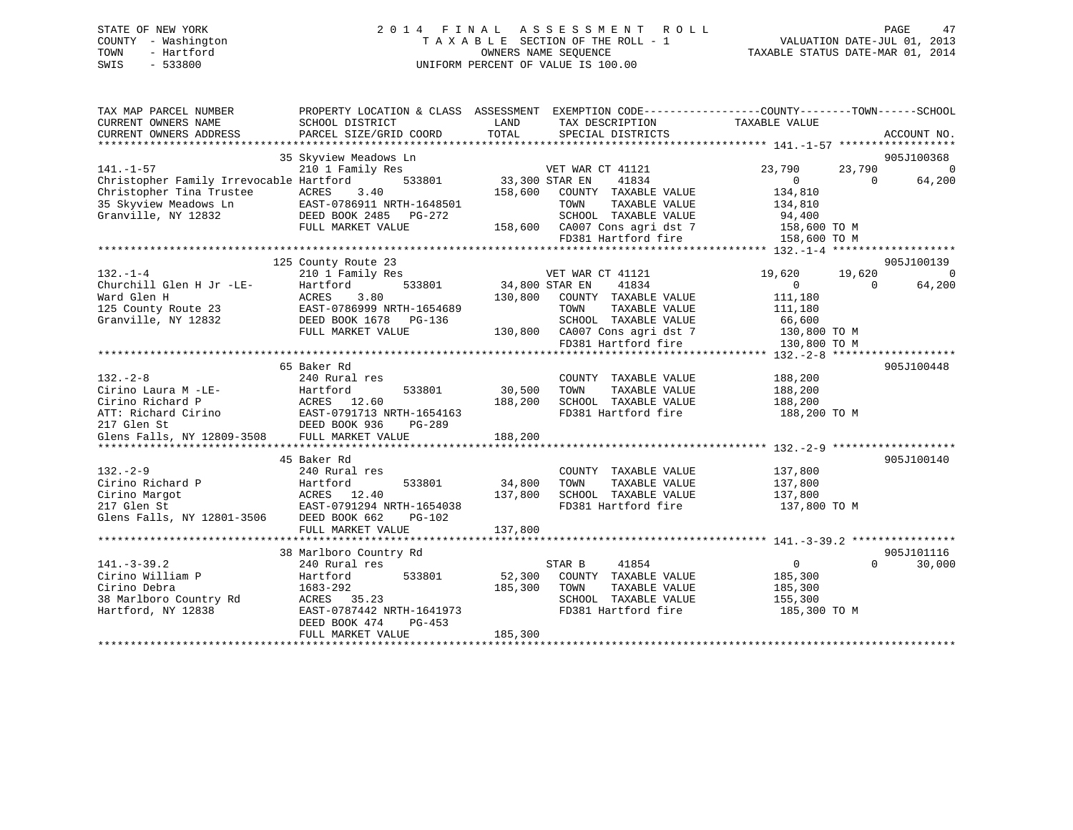### STATE OF NEW YORK 2 0 1 4 F I N A L A S S E S S M E N T R O L L PAGE 47 COUNTY - Washington T A X A B L E SECTION OF THE ROLL - 1 VALUATION DATE-JUL 01, 2013 TOWN - Hartford OWNERS NAME SEQUENCE TAXABLE STATUS DATE-MAR 01, 2014 SWIS - 533800 UNIFORM PERCENT OF VALUE IS 100.00

| TAX MAP PARCEL NUMBER<br>CURRENT OWNERS NAME | SCHOOL DISTRICT                                | LAND           | TAX DESCRIPTION                             | PROPERTY LOCATION & CLASS ASSESSMENT EXEMPTION CODE---------------COUNTY-------TOWN-----SCHOOL<br>TAXABLE VALUE |             |
|----------------------------------------------|------------------------------------------------|----------------|---------------------------------------------|-----------------------------------------------------------------------------------------------------------------|-------------|
| CURRENT OWNERS ADDRESS                       | PARCEL SIZE/GRID COORD                         | TOTAL          | SPECIAL DISTRICTS                           |                                                                                                                 | ACCOUNT NO. |
|                                              | 35 Skyview Meadows Ln                          |                |                                             |                                                                                                                 | 905J100368  |
| $141. - 1 - 57$                              | 210 1 Family Res                               |                | VET WAR CT 41121                            | 23,790<br>23,790                                                                                                | $\Omega$    |
| Christopher Family Irrevocable Hartford      | 533801                                         | 33,300 STAR EN | 41834                                       | $\Omega$<br>$\Omega$                                                                                            | 64,200      |
| Christopher Tina Trustee                     | ACRES<br>3.40                                  | 158,600        | COUNTY TAXABLE VALUE                        | 134,810                                                                                                         |             |
| 35 Skyview Meadows Ln                        | EAST-0786911 NRTH-1648501                      |                | TOWN<br>TAXABLE VALUE                       | 134,810                                                                                                         |             |
| Granville, NY 12832                          | DEED BOOK 2485 PG-272                          |                | SCHOOL TAXABLE VALUE                        | 94,400                                                                                                          |             |
|                                              | FULL MARKET VALUE                              |                | 158,600 CA007 Cons agri dst 7               | 158,600 TO M                                                                                                    |             |
|                                              |                                                |                | FD381 Hartford fire                         | 158,600 ТО М                                                                                                    |             |
|                                              |                                                |                |                                             |                                                                                                                 |             |
|                                              | 125 County Route 23                            |                |                                             |                                                                                                                 | 905J100139  |
| $132 - 1 - 4$                                | 210 1 Family Res                               |                | VET WAR CT 41121                            | 19,620<br>19,620                                                                                                | $\Omega$    |
| Churchill Glen H Jr -LE-                     | 533801<br>Hartford                             | 34,800 STAR EN | 41834                                       | $\overline{0}$<br>$\Omega$                                                                                      | 64,200      |
| Ward Glen H                                  | 3.80<br>ACRES                                  | 130,800        | COUNTY TAXABLE VALUE                        | 111,180                                                                                                         |             |
| 125 County Route 23                          | EAST-0786999 NRTH-1654689                      |                | TOWN<br>TAXABLE VALUE                       | 111,180                                                                                                         |             |
| Granville, NY 12832                          | DEED BOOK 1678<br>PG-136                       |                | SCHOOL TAXABLE VALUE                        | 66,600                                                                                                          |             |
|                                              | FULL MARKET VALUE                              |                | 130,800 CA007 Cons agri dst 7               | 130,800 TO M                                                                                                    |             |
|                                              |                                                |                | FD381 Hartford fire                         | 130,800 TO M                                                                                                    |             |
|                                              |                                                |                |                                             |                                                                                                                 |             |
|                                              | 65 Baker Rd                                    |                |                                             |                                                                                                                 | 905J100448  |
| $132 - 2 - 8$                                | 240 Rural res                                  | 30,500         | COUNTY TAXABLE VALUE<br>TAXABLE VALUE       | 188,200                                                                                                         |             |
| Cirino Laura M -LE-<br>Cirino Richard P      | Hartford<br>533801                             |                | TOWN                                        | 188,200                                                                                                         |             |
| ATT: Richard Cirino                          | ACRES 12.60                                    | 188,200        | SCHOOL TAXABLE VALUE<br>FD381 Hartford fire | 188,200<br>188,200 TO M                                                                                         |             |
| 217 Glen St                                  |                                                |                |                                             |                                                                                                                 |             |
| Glens Falls, NY 12809-3508                   | FULL MARKET VALUE                              | 188,200        |                                             |                                                                                                                 |             |
|                                              |                                                |                |                                             |                                                                                                                 |             |
|                                              | 45 Baker Rd                                    |                |                                             |                                                                                                                 | 905J100140  |
| $132 - 2 - 9$                                | 240 Rural res                                  |                | COUNTY TAXABLE VALUE                        | 137,800                                                                                                         |             |
| Cirino Richard P                             | 533801<br>Hartford                             | 34,800         | TOWN<br>TAXABLE VALUE                       | 137,800                                                                                                         |             |
| Cirino Margot                                | ACRES 12.40                                    | 137,800        | SCHOOL TAXABLE VALUE                        | 137,800                                                                                                         |             |
| 217 Glen St                                  | EAST-0791294 NRTH-1654038                      |                | FD381 Hartford fire                         | 137,800 TO M                                                                                                    |             |
| Glens Falls, NY 12801-3506                   | DEED BOOK 662<br>PG-102                        |                |                                             |                                                                                                                 |             |
|                                              | FULL MARKET VALUE                              | 137,800        |                                             |                                                                                                                 |             |
|                                              |                                                |                |                                             |                                                                                                                 |             |
|                                              | 38 Marlboro Country Rd                         |                |                                             |                                                                                                                 | 905J101116  |
| $141. - 3 - 39.2$                            | 240 Rural res                                  |                | 41854<br>STAR B                             | $\mathbf{0}$<br>$\Omega$                                                                                        | 30,000      |
| Cirino William P                             | 533801<br>Hartford                             | 52,300         | COUNTY TAXABLE VALUE                        | 185,300                                                                                                         |             |
| Cirino Debra                                 | 1683-292                                       | 185,300        | TOWN<br>TAXABLE VALUE                       | 185,300                                                                                                         |             |
| 38 Marlboro Country Rd                       | ACRES 35.23                                    |                | SCHOOL TAXABLE VALUE                        | 155,300                                                                                                         |             |
| Hartford, NY 12838                           | EAST-0787442 NRTH-1641973                      |                | FD381 Hartford fire                         | 185,300 TO M                                                                                                    |             |
|                                              | DEED BOOK 474<br>$PG-453$<br>FULL MARKET VALUE | 185,300        |                                             |                                                                                                                 |             |
|                                              |                                                |                |                                             |                                                                                                                 |             |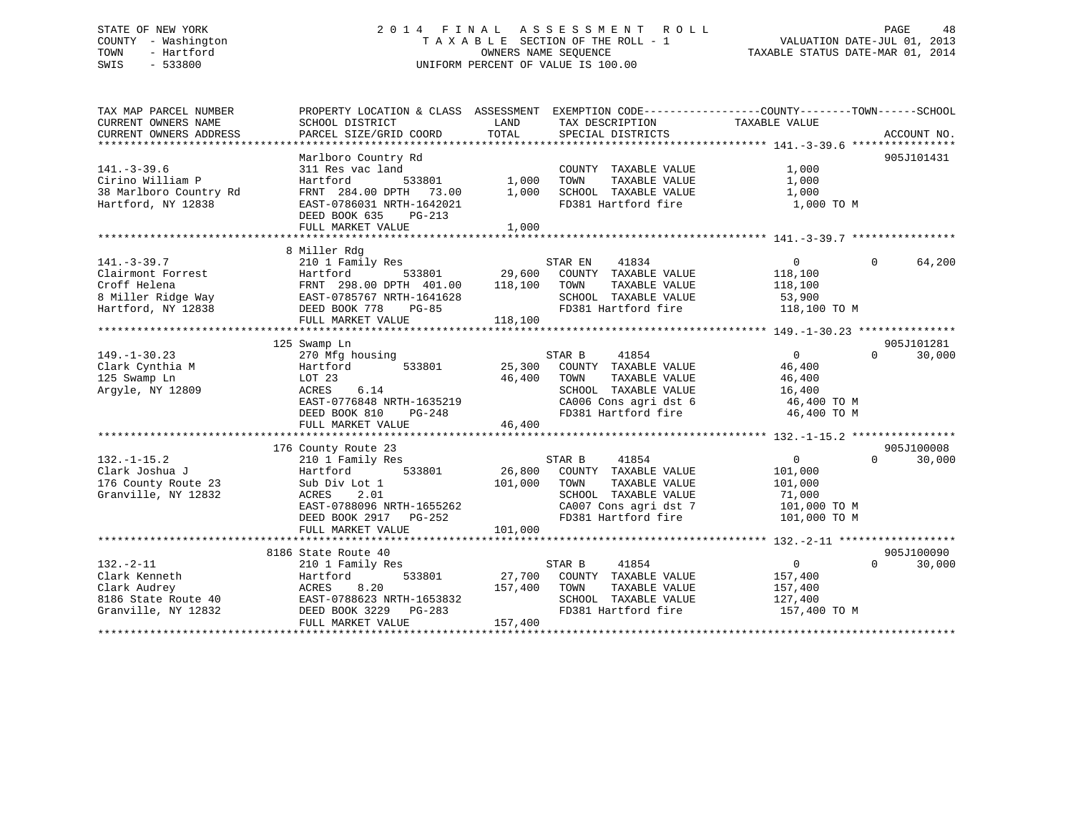### STATE OF NEW YORK 2 0 1 4 F I N A L A S S E S S M E N T R O L L PAGE 48 COUNTY - Washington T A X A B L E SECTION OF THE ROLL - 1 VALUATION DATE-JUL 01, 2013 TOWN - Hartford OWNERS NAME SEQUENCE TAXABLE STATUS DATE-MAR 01, 2014 SWIS - 533800 UNIFORM PERCENT OF VALUE IS 100.00

TAX MAP PARCEL NUMBER PROPERTY LOCATION & CLASS ASSESSMENT EXEMPTION CODE------------------COUNTY--------TOWN------SCHOOL CURRENT OWNERS NAME SCHOOL DISTRICT LAND TAX DESCRIPTION TAXABLE VALUE CURRENT OWNERS ADDRESS PARCEL SIZE/GRID COORD TOTAL SPECIAL DISTRICTS ACCOUNT NO. \*\*\*\*\*\*\*\*\*\*\*\*\*\*\*\*\*\*\*\*\*\*\*\*\*\*\*\*\*\*\*\*\*\*\*\*\*\*\*\*\*\*\*\*\*\*\*\*\*\*\*\*\*\*\*\*\*\*\*\*\*\*\*\*\*\*\*\*\*\*\*\*\*\*\*\*\*\*\*\*\*\*\*\*\*\*\*\*\*\*\*\*\*\*\*\*\*\*\*\*\*\*\* 141.-3-39.6 \*\*\*\*\*\*\*\*\*\*\*\*\*\*\*\* Marlboro Country Rd 905J101431 141.-3-39.6 311 Res vac land COUNTY TAXABLE VALUE 1,000 Cirino William P Hartford 533801 1,000 TOWN TAXABLE VALUE 1,000 38 Marlboro Country Rd FRNT 284.00 DPTH 73.00 1,000 SCHOOL TAXABLE VALUE 1,000 Hartford, NY 12838 EAST-0786031 NRTH-1642021 FD381 Hartford fire 1,000 TO M DEED BOOK 635 PG-213 FULL MARKET VALUE 1,000 \*\*\*\*\*\*\*\*\*\*\*\*\*\*\*\*\*\*\*\*\*\*\*\*\*\*\*\*\*\*\*\*\*\*\*\*\*\*\*\*\*\*\*\*\*\*\*\*\*\*\*\*\*\*\*\*\*\*\*\*\*\*\*\*\*\*\*\*\*\*\*\*\*\*\*\*\*\*\*\*\*\*\*\*\*\*\*\*\*\*\*\*\*\*\*\*\*\*\*\*\*\*\* 141.-3-39.7 \*\*\*\*\*\*\*\*\*\*\*\*\*\*\*\* 8 Miller Rdg 141.-3-39.7 210 1 Family Res STAR EN 41834 0 64,200 Clairmont Forrest Hartford 533801 29,600 COUNTY TAXABLE VALUE 118,100 Croff Helena FRNT 298.00 DPTH 401.00 118,100 TOWN TAXABLE VALUE 118,100 8 Miller Ridge Way EAST-0785767 NRTH-1641628 SCHOOL TAXABLE VALUE 53,900 Hartford, NY 12838 DEED BOOK 778 PG-85 FD381 Hartford fire 118,100 TO M FULL MARKET VALUE 118,100 \*\*\*\*\*\*\*\*\*\*\*\*\*\*\*\*\*\*\*\*\*\*\*\*\*\*\*\*\*\*\*\*\*\*\*\*\*\*\*\*\*\*\*\*\*\*\*\*\*\*\*\*\*\*\*\*\*\*\*\*\*\*\*\*\*\*\*\*\*\*\*\*\*\*\*\*\*\*\*\*\*\*\*\*\*\*\*\*\*\*\*\*\*\*\*\*\*\*\*\*\*\*\* 149.-1-30.23 \*\*\*\*\*\*\*\*\*\*\*\*\*\*\*905J101281 125 Swamp Ln 905J101281 149.-1-30.23 270 Mfg housing STAR B 41854 0 0 30,000 Clark Cynthia M Hartford 533801 25,300 COUNTY TAXABLE VALUE 46,400 125 Swamp Ln LOT 23 46,400 TOWN TAXABLE VALUE 46,400 Argyle, NY 12809 ACRES 6.14 SCHOOL TAXABLE VALUE 16,400 EAST-0776848 NRTH-1635219 CA006 Cons agri dst 6 46,400 TO M DEED BOOK 810 PG-248 FD381 Hartford fire 46,400 TO M FULL MARKET VALUE  $46,400$ \*\*\*\*\*\*\*\*\*\*\*\*\*\*\*\*\*\*\*\*\*\*\*\*\*\*\*\*\*\*\*\*\*\*\*\*\*\*\*\*\*\*\*\*\*\*\*\*\*\*\*\*\*\*\*\*\*\*\*\*\*\*\*\*\*\*\*\*\*\*\*\*\*\*\*\*\*\*\*\*\*\*\*\*\*\*\*\*\*\*\*\*\*\*\*\*\*\*\*\*\*\*\* 132.-1-15.2 \*\*\*\*\*\*\*\*\*\*\*\*\*\*\*\* $905J100008$ <br>0  $30,000$  176 County Route 23 905J100008 132.-1-15.2 210 1 Family Res STAR B 41854 0 0 30,000 Clark Joshua J Hartford 533801 26,800 COUNTY TAXABLE VALUE 101,000 176 County Route 23 Sub Div Lot 1 101,000 TOWN TAXABLE VALUE 101,000 Granville, NY 12832 ACRES 2.01 SCHOOL TAXABLE VALUE 71,000 EAST-0788096 NRTH-1655262 CA007 Cons agri dst 7 101,000 TO M DEED BOOK 2917 PG-252 FD381 Hartford fire 101,000 TO M FULL MARKET VALUE 101,000 \*\*\*\*\*\*\*\*\*\*\*\*\*\*\*\*\*\*\*\*\*\*\*\*\*\*\*\*\*\*\*\*\*\*\*\*\*\*\*\*\*\*\*\*\*\*\*\*\*\*\*\*\*\*\*\*\*\*\*\*\*\*\*\*\*\*\*\*\*\*\*\*\*\*\*\*\*\*\*\*\*\*\*\*\*\*\*\*\*\*\*\*\*\*\*\*\*\*\*\*\*\*\* 132.-2-11 \*\*\*\*\*\*\*\*\*\*\*\*\*\*\*\*\*\*905J100090 8186 State Route 40 905J100090 $0 \t 30.000$ 132.-2-11 210 1 Family Res STAR B 41854 0 0 30,000 Clark Kenneth Hartford 533801 27,700 COUNTY TAXABLE VALUE 157,400 Clark Audrey ACRES 8.20 157,400 TOWN TAXABLE VALUE 157,400 8186 State Route 40 EAST-0788623 NRTH-1653832 SCHOOL TAXABLE VALUE 127,400 Granville, NY 12832 DEED BOOK 3229 PG-283 FD381 Hartford fire 157,400 TO M FULL MARKET VALUE 157,400 \*\*\*\*\*\*\*\*\*\*\*\*\*\*\*\*\*\*\*\*\*\*\*\*\*\*\*\*\*\*\*\*\*\*\*\*\*\*\*\*\*\*\*\*\*\*\*\*\*\*\*\*\*\*\*\*\*\*\*\*\*\*\*\*\*\*\*\*\*\*\*\*\*\*\*\*\*\*\*\*\*\*\*\*\*\*\*\*\*\*\*\*\*\*\*\*\*\*\*\*\*\*\*\*\*\*\*\*\*\*\*\*\*\*\*\*\*\*\*\*\*\*\*\*\*\*\*\*\*\*\*\*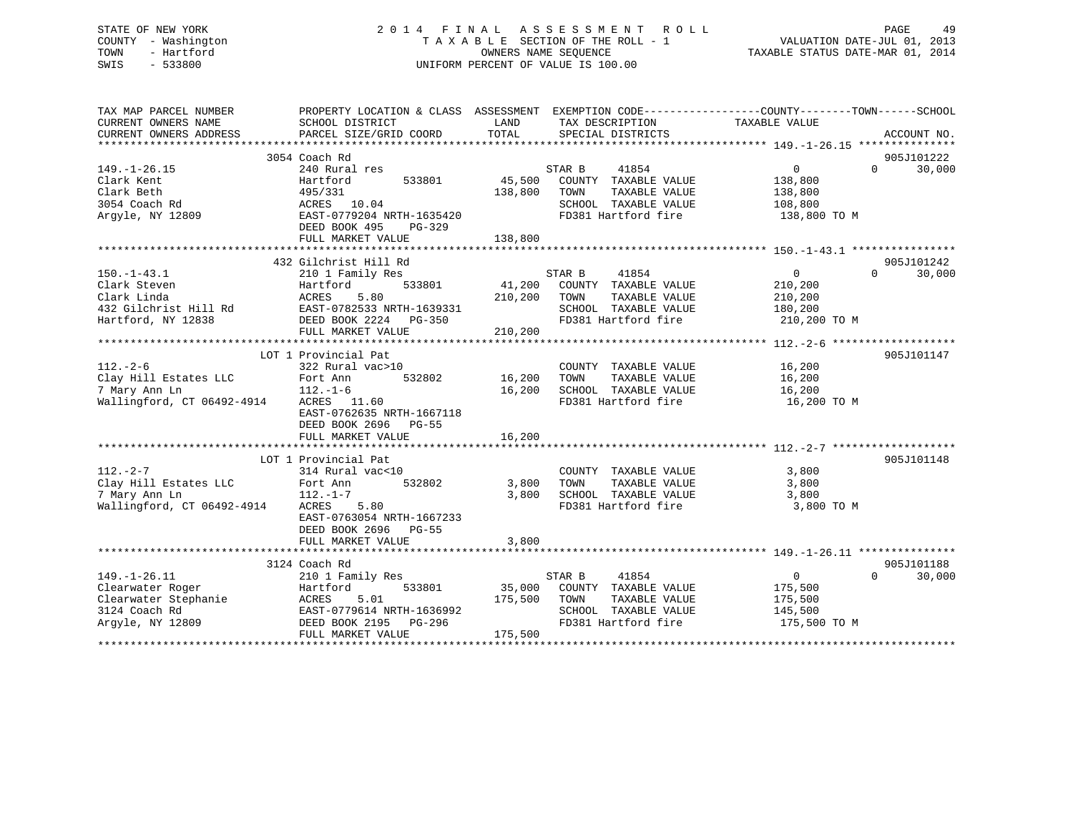### STATE OF NEW YORK 2 0 1 4 F I N A L A S S E S S M E N T R O L L PAGE 49 COUNTY - Washington T A X A B L E SECTION OF THE ROLL - 1 VALUATION DATE-JUL 01, 2013 TOWN - Hartford OWNERS NAME SEQUENCE TAXABLE STATUS DATE-MAR 01, 2014 SWIS - 533800 UNIFORM PERCENT OF VALUE IS 100.00

| TAX MAP PARCEL NUMBER<br>CURRENT OWNERS NAME<br>CURRENT OWNERS ADDRESS | SCHOOL DISTRICT<br>PARCEL SIZE/GRID COORD    | LAND<br>TOTAL | TAX DESCRIPTION<br>SPECIAL DISTRICTS        | PROPERTY LOCATION & CLASS ASSESSMENT EXEMPTION CODE---------------COUNTY-------TOWN-----SCHOOL<br>TAXABLE VALUE | ACCOUNT NO. |
|------------------------------------------------------------------------|----------------------------------------------|---------------|---------------------------------------------|-----------------------------------------------------------------------------------------------------------------|-------------|
|                                                                        |                                              |               |                                             |                                                                                                                 |             |
|                                                                        | 3054 Coach Rd                                |               |                                             |                                                                                                                 | 905J101222  |
| $149. - 1 - 26.15$                                                     | 240 Rural res                                |               | 41854<br>STAR B                             | $\overline{0}$<br>$\Omega$                                                                                      | 30,000      |
| Clark Kent                                                             | 533801<br>Hartford                           | 45,500        | COUNTY TAXABLE VALUE                        | 138,800                                                                                                         |             |
| Clark Beth                                                             | 495/331                                      | 138,800       | TOWN<br>TAXABLE VALUE                       | 138,800                                                                                                         |             |
| 3054 Coach Rd                                                          | ACRES 10.04                                  |               | SCHOOL TAXABLE VALUE                        | 108,800                                                                                                         |             |
| Arqyle, NY 12809                                                       | EAST-0779204 NRTH-1635420                    |               | FD381 Hartford fire                         | 138,800 TO M                                                                                                    |             |
|                                                                        | DEED BOOK 495<br>PG-329<br>FULL MARKET VALUE | 138,800       |                                             |                                                                                                                 |             |
|                                                                        |                                              |               |                                             |                                                                                                                 |             |
|                                                                        | 432 Gilchrist Hill Rd                        |               |                                             |                                                                                                                 | 905J101242  |
| $150. - 1 - 43.1$                                                      | 210 1 Family Res                             |               | STAR B<br>41854                             | $\Omega$<br>$\mathbf{0}$                                                                                        | 30,000      |
| Clark Steven                                                           | 533801<br>Hartford                           | 41,200        | COUNTY TAXABLE VALUE                        | 210,200                                                                                                         |             |
| Clark Linda                                                            | 5.80<br>ACRES                                | 210,200       | TOWN<br>TAXABLE VALUE                       | 210,200                                                                                                         |             |
| 432 Gilchrist Hill Rd                                                  | EAST-0782533 NRTH-1639331                    |               | SCHOOL TAXABLE VALUE                        | 180,200                                                                                                         |             |
| Hartford, NY 12838                                                     | DEED BOOK 2224 PG-350                        |               | FD381 Hartford fire                         | 210,200 TO M                                                                                                    |             |
|                                                                        | FULL MARKET VALUE                            | 210,200       |                                             |                                                                                                                 |             |
|                                                                        |                                              |               |                                             |                                                                                                                 |             |
|                                                                        | LOT 1 Provincial Pat                         |               |                                             |                                                                                                                 | 905J101147  |
| $112. - 2 - 6$                                                         | 322 Rural vac>10                             |               | COUNTY TAXABLE VALUE                        | 16,200                                                                                                          |             |
| Clay Hill Estates LLC                                                  | Fort Ann<br>532802                           | 16,200        | TOWN<br>TAXABLE VALUE                       | 16,200                                                                                                          |             |
| 7 Mary Ann Ln                                                          | $112. - 1 - 6$                               | 16,200        | SCHOOL TAXABLE VALUE                        | 16,200                                                                                                          |             |
| Wallingford, CT 06492-4914                                             | ACRES 11.60                                  |               | FD381 Hartford fire                         | 16,200 TO M                                                                                                     |             |
|                                                                        | EAST-0762635 NRTH-1667118                    |               |                                             |                                                                                                                 |             |
|                                                                        | DEED BOOK 2696<br><b>PG-55</b>               |               |                                             |                                                                                                                 |             |
|                                                                        | FULL MARKET VALUE                            | 16,200        |                                             |                                                                                                                 |             |
|                                                                        |                                              |               |                                             |                                                                                                                 |             |
|                                                                        | LOT 1 Provincial Pat                         |               |                                             |                                                                                                                 | 905J101148  |
| $112. - 2 - 7$<br>Clay Hill Estates LLC                                | 314 Rural vac<10<br>532802                   | 3,800         | COUNTY TAXABLE VALUE                        | 3,800                                                                                                           |             |
|                                                                        | Fort Ann                                     |               | TOWN<br>TAXABLE VALUE                       | 3,800                                                                                                           |             |
| 7 Mary Ann Ln<br>Wallingford, CT 06492-4914                            | $112.-1-7$<br>5.80<br>ACRES                  | 3,800         | SCHOOL TAXABLE VALUE<br>FD381 Hartford fire | 3,800<br>3,800 TO M                                                                                             |             |
|                                                                        | EAST-0763054 NRTH-1667233                    |               |                                             |                                                                                                                 |             |
|                                                                        | DEED BOOK 2696 PG-55                         |               |                                             |                                                                                                                 |             |
|                                                                        | FULL MARKET VALUE                            | 3,800         |                                             |                                                                                                                 |             |
|                                                                        |                                              |               |                                             |                                                                                                                 |             |
|                                                                        | 3124 Coach Rd                                |               |                                             |                                                                                                                 | 905J101188  |
| $149. - 1 - 26.11$                                                     | 210 1 Family Res                             |               | STAR B<br>41854                             | $\Omega$<br>$\Omega$                                                                                            | 30,000      |
| Clearwater Roger                                                       | Hartford<br>533801                           | 35,000        | COUNTY TAXABLE VALUE                        | 175,500                                                                                                         |             |
| Clearwater Stephanie                                                   | ACRES<br>5.01                                | 175,500       | TAXABLE VALUE<br>TOWN                       | 175,500                                                                                                         |             |
| 3124 Coach Rd                                                          | EAST-0779614 NRTH-1636992                    |               | SCHOOL TAXABLE VALUE                        | 145,500                                                                                                         |             |
| Argyle, NY 12809                                                       | DEED BOOK 2195<br>PG-296                     |               | FD381 Hartford fire                         | 175,500 TO M                                                                                                    |             |
|                                                                        | FULL MARKET VALUE                            | 175,500       |                                             |                                                                                                                 |             |
|                                                                        |                                              |               |                                             |                                                                                                                 |             |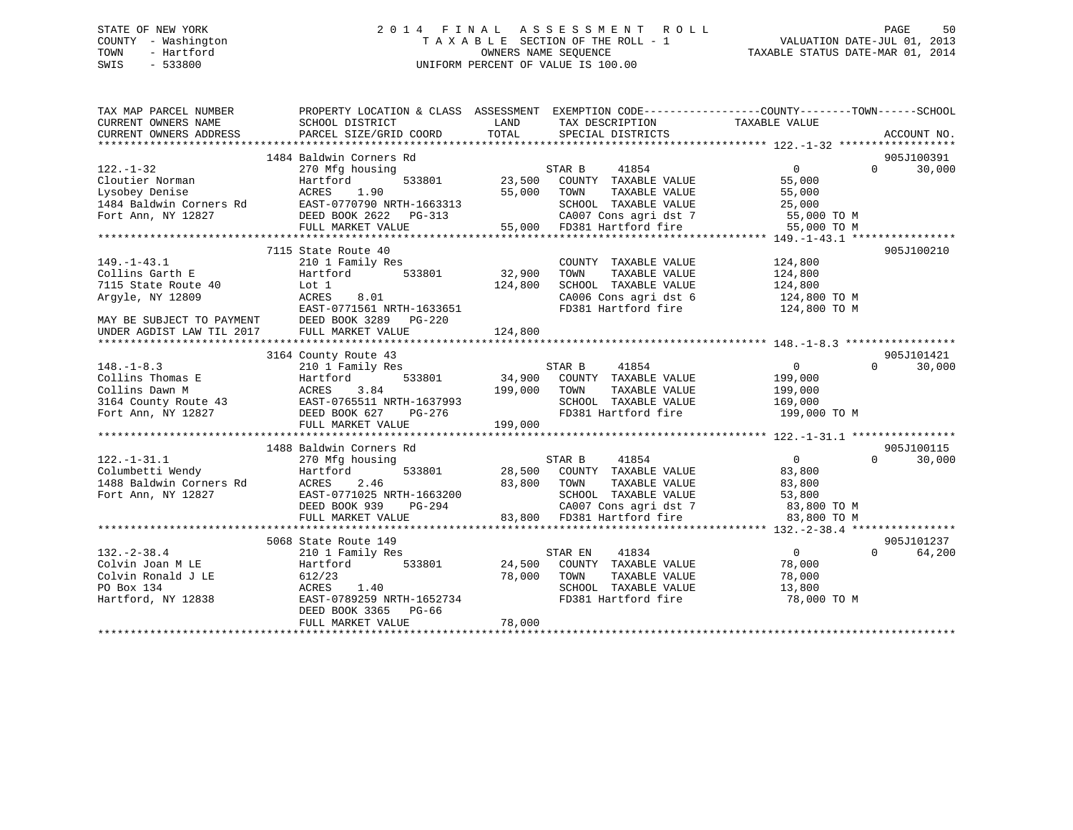### STATE OF NEW YORK 2 0 1 4 F I N A L A S S E S S M E N T R O L L PAGE 50 COUNTY - Washington T A X A B L E SECTION OF THE ROLL - 1 VALUATION DATE-JUL 01, 2013 TOWN - Hartford **TAXABLE STATUS DATE-MAR 01, 2014** OWNERS NAME SEQUENCE TAXABLE STATUS DATE-MAR 01, 2014 SWIS - 533800 UNIFORM PERCENT OF VALUE IS 100.00

| TAX MAP PARCEL NUMBER                                                               |                                                                                                                                                                           | PROPERTY LOCATION & CLASS ASSESSMENT EXEMPTION CODE---------------COUNTY-------TOWN------SCHOOL            |                                      |
|-------------------------------------------------------------------------------------|---------------------------------------------------------------------------------------------------------------------------------------------------------------------------|------------------------------------------------------------------------------------------------------------|--------------------------------------|
| CURRENT OWNERS NAME                                                                 | SCHOOL DISTRICT                                                                                                                                                           | LAND<br>TAX DESCRIPTION                                                                                    | TAXABLE VALUE                        |
| CURRENT OWNERS ADDRESS                                                              | PARCEL SIZE/GRID COORD                                                                                                                                                    | TOTAL<br>SPECIAL DISTRICTS                                                                                 | ACCOUNT NO.                          |
|                                                                                     |                                                                                                                                                                           |                                                                                                            |                                      |
|                                                                                     | 1484 Baldwin Corners Rd                                                                                                                                                   |                                                                                                            | 905J100391                           |
| $122. - 1 - 32$                                                                     | 270 Mfg housing                                                                                                                                                           | STAR B<br>41854                                                                                            | $\overline{0}$<br>30,000<br>$\Omega$ |
| Cloutier Norman                                                                     | 533801<br>Hartford                                                                                                                                                        | 23,500 COUNTY TAXABLE VALUE                                                                                | 55,000                               |
| Lysobey Denise                                                                      | ACRES<br>1.90                                                                                                                                                             | 55,000 TOWN<br>TAXABLE VALUE                                                                               | 55,000                               |
| 1484 Baldwin Corners Rd                                                             |                                                                                                                                                                           | SCHOOL TAXABLE VALUE 25,000<br>CA007 Cons agri dst 7 55,000 TO M<br>55,000 FD381 Hartford fire 55,000 TO M |                                      |
| Fort Ann, NY 12827                                                                  |                                                                                                                                                                           |                                                                                                            |                                      |
|                                                                                     |                                                                                                                                                                           |                                                                                                            |                                      |
|                                                                                     | 7115 State Route 40                                                                                                                                                       |                                                                                                            | 905J100210                           |
|                                                                                     |                                                                                                                                                                           |                                                                                                            |                                      |
| $149. - 1 - 43.1$                                                                   | 210 1 Family Res<br>Hartford 533801                                                                                                                                       | COUNTY TAXABLE VALUE<br>32,900<br>TAXABLE VALUE                                                            | 124,800                              |
| Collins Garth E<br>7115 State Route 40                                              | Lot 1                                                                                                                                                                     | TOWN<br>SCHOOL TAXABLE VALUE 124,800<br>124,800                                                            | 124,800                              |
| Argyle, NY 12809                                                                    | ACRES<br>8.01                                                                                                                                                             |                                                                                                            |                                      |
|                                                                                     | EAST-0771561 NRTH-1633651                                                                                                                                                 | CA006 Cons agri dst 6 124,800 TO M<br>FD381 Hartford fire                                                  | 124,800 TO M                         |
|                                                                                     | MAY BE SUBJECT TO PAYMENT DEED BOOK 3289 PG-220                                                                                                                           |                                                                                                            |                                      |
| UNDER AGDIST LAW TIL 2017                                                           | FULL MARKET VALUE                                                                                                                                                         | 124,800                                                                                                    |                                      |
|                                                                                     |                                                                                                                                                                           |                                                                                                            |                                      |
|                                                                                     | 3164 County Route 43                                                                                                                                                      |                                                                                                            | 905J101421                           |
| $148. - 1 - 8.3$                                                                    | 210 1 Family Res                                                                                                                                                          | STAR B 41854                                                                                               | $\overline{0}$<br>30,000<br>$\Omega$ |
|                                                                                     |                                                                                                                                                                           | 34,900 COUNTY TAXABLE VALUE                                                                                | 199,000                              |
|                                                                                     | Collins Thomas E Hartford 533801 34,900<br>Collins Dawn M ACRES 3.84 199,000<br>3164 County Route 43 EAST-0765511 NRTH-1637993<br>Fort Ann, NY 12827 DEED BOOK 627 PG-276 | 199,000 TOWN<br>TAXABLE VALUE                                                                              |                                      |
|                                                                                     |                                                                                                                                                                           |                                                                                                            | 199,000<br>169,000                   |
|                                                                                     |                                                                                                                                                                           | SCHOOL TAXABLE VALUE 169,000<br>FD381 Hartford fire 199,000 TO M                                           |                                      |
|                                                                                     |                                                                                                                                                                           |                                                                                                            |                                      |
|                                                                                     |                                                                                                                                                                           |                                                                                                            |                                      |
|                                                                                     | 1488 Baldwin Corners Rd                                                                                                                                                   |                                                                                                            | 905J100115                           |
| $122. - 1 - 31.1$                                                                   | 270 Mfg housing                                                                                                                                                           |                                                                                                            | $\overline{0}$<br>$\Omega$<br>30,000 |
|                                                                                     | 533801                                                                                                                                                                    |                                                                                                            | 83,800                               |
| 122.-1-31.1 270 Mfg h<br>Columbetti Wendy Hartford<br>1488 Baldwin Corners Rd ACRES | 2.46                                                                                                                                                                      | 83,800 TOWN<br>TAXABLE VALUE                                                                               | 83,800                               |
| Fort Ann, NY 12827                                                                  | EAST-0771025 NRTH-1663200                                                                                                                                                 | SCHOOL TAXABLE VALUE                                                                                       | 53,800                               |
|                                                                                     | DEED BOOK 939                                                                                                                                                             | H-1663200<br>PG-294                                                                                        |                                      |
|                                                                                     | FULL MARKET VALUE                                                                                                                                                         | 83,800 FD381 Hartford fire                                                                                 | 83,800 TO M                          |
|                                                                                     |                                                                                                                                                                           |                                                                                                            |                                      |
|                                                                                     | 5068 State Route 149                                                                                                                                                      |                                                                                                            | 905J101237                           |
| $132. - 2 - 38.4$                                                                   | 210 1 Family Res                                                                                                                                                          | STAR EN<br>41834                                                                                           | $\overline{0}$<br>$\Omega$<br>64,200 |
| Colvin Joan M LE                                                                    | Hartford<br>533801                                                                                                                                                        | 24,500 COUNTY TAXABLE VALUE                                                                                | 78,000                               |
| Colvin Ronald J LE                                                                  | 612/23                                                                                                                                                                    | 78,000 TOWN<br>TAXABLE VALUE                                                                               | 78,000                               |
| PO Box 134                                                                          | 1.40<br>ACRES                                                                                                                                                             |                                                                                                            | 13,800                               |
| Hartford, NY 12838                                                                  | EAST-0789259 NRTH-1652734                                                                                                                                                 | FD381 Hartford fire                                                                                        | 78,000 TO M                          |
|                                                                                     | DEED BOOK 3365 PG-66                                                                                                                                                      |                                                                                                            |                                      |
|                                                                                     | FULL MARKET VALUE                                                                                                                                                         | 78,000                                                                                                     |                                      |
|                                                                                     |                                                                                                                                                                           |                                                                                                            |                                      |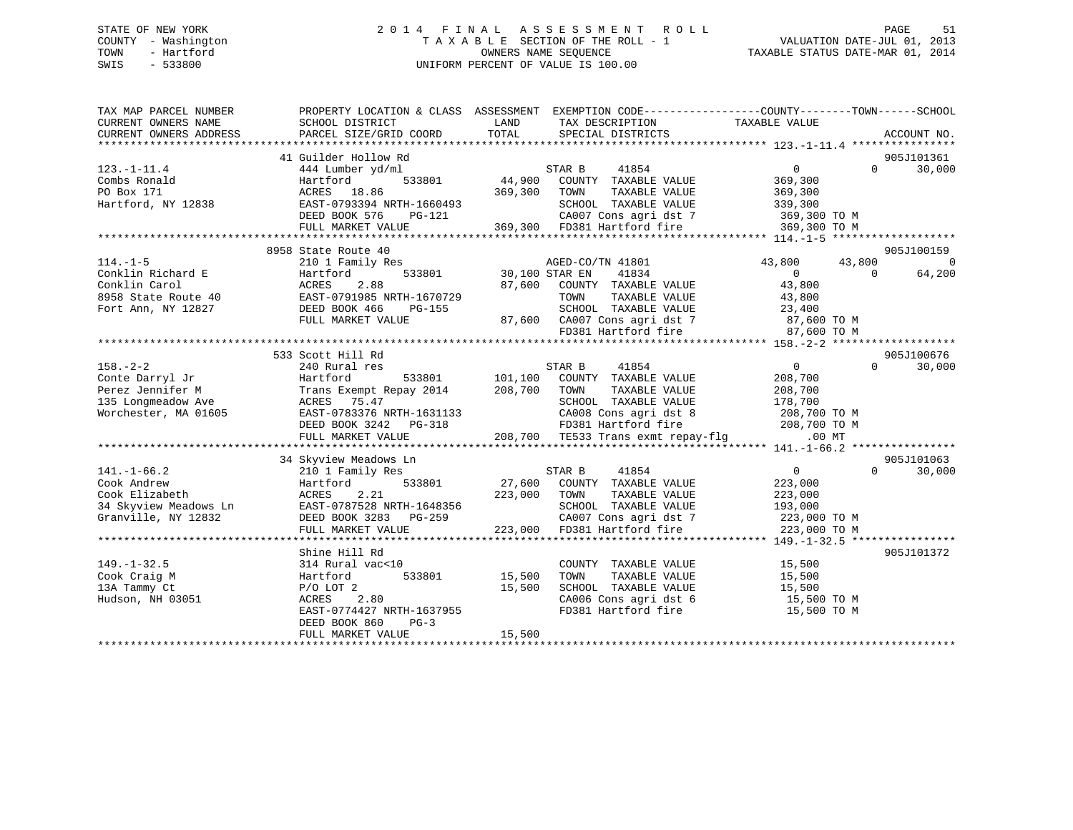### STATE OF NEW YORK 2 0 1 4 F I N A L A S S E S S M E N T R O L L PAGE 51 COUNTY - Washington T A X A B L E SECTION OF THE ROLL - 1 VALUATION DATE-JUL 01, 2013 TOWN - Hartford **TAXABLE STATUS DATE-MAR 01, 2014** OWNERS NAME SEQUENCE TAXABLE STATUS DATE-MAR 01, 2014 SWIS - 533800 UNIFORM PERCENT OF VALUE IS 100.00

| TAX MAP PARCEL NUMBER<br>CURRENT OWNERS NAME<br>CURRENT OWNERS ADDRESS | PROPERTY LOCATION & CLASS ASSESSMENT EXEMPTION CODE---------------COUNTY-------TOWN-----SCHOOL<br>SCHOOL DISTRICT<br>PARCEL SIZE/GRID COORD                   | LAND<br>TOTAL  | TAX DESCRIPTION<br>SPECIAL DISTRICTS                                                                        | TAXABLE VALUE              | ACCOUNT NO.        |
|------------------------------------------------------------------------|---------------------------------------------------------------------------------------------------------------------------------------------------------------|----------------|-------------------------------------------------------------------------------------------------------------|----------------------------|--------------------|
|                                                                        |                                                                                                                                                               |                |                                                                                                             |                            |                    |
|                                                                        | 41 Guilder Hollow Rd                                                                                                                                          |                |                                                                                                             |                            | 905J101361         |
| $123. - 1 - 11.4$                                                      | 444 Lumber yd/ml                                                                                                                                              |                | STAR B<br>41854                                                                                             | $\overline{0}$             | 30,000<br>$\Omega$ |
| Combs Ronald                                                           | Hartford<br>533801                                                                                                                                            |                | 44,900 COUNTY TAXABLE VALUE                                                                                 | 369,300                    |                    |
| PO Box 171                                                             | ACRES 18.86                                                                                                                                                   | 369,300 TOWN   | TAXABLE VALUE                                                                                               | 369,300                    |                    |
| Hartford, NY 12838                                                     | EAST-0793394 NRTH-1660493                                                                                                                                     |                | SCHOOL TAXABLE VALUE                                                                                        | 339,300                    |                    |
|                                                                        | DEED BOOK 576<br>PG-121                                                                                                                                       |                | CA007 Cons agri dst 7                                                                                       | 369,300 TO M               |                    |
|                                                                        | FULL MARKET VALUE                                                                                                                                             |                | 369,300 FD381 Hartford fire                                                                                 | 369,300 TO M               |                    |
|                                                                        |                                                                                                                                                               |                |                                                                                                             |                            |                    |
|                                                                        | 8958 State Route 40                                                                                                                                           |                |                                                                                                             |                            | 905J100159         |
| $114. - 1 - 5$                                                         | 210 1 Family Res                                                                                                                                              |                | AGED-CO/TN 41801                                                                                            | 43,800<br>43,800           | $\overline{0}$     |
| Conklin Richard E                                                      | Hartford<br>533801                                                                                                                                            | 30,100 STAR EN | 41834                                                                                                       | $\overline{0}$<br>$\Omega$ | 64,200             |
| Conklin Carol                                                          | ACRES<br>2.88                                                                                                                                                 | 87,600         | COUNTY TAXABLE VALUE                                                                                        | 43,800                     |                    |
| 8958 State Route 40                                                    | EAST-0791985 NRTH-1670729                                                                                                                                     |                | TAXABLE VALUE<br>TOWN                                                                                       | 43,800                     |                    |
| Fort Ann, NY 12827                                                     | DEED BOOK 466<br>PG-155                                                                                                                                       |                | SCHOOL TAXABLE VALUE                                                                                        | 23,400                     |                    |
|                                                                        | FULL MARKET VALUE                                                                                                                                             |                |                                                                                                             | 87,600 TO M                |                    |
|                                                                        |                                                                                                                                                               |                | SURUUL Innumer<br>87,600 CA007 Cons agridst 7<br>2001 Terriford fire                                        | 87,600 TO M                |                    |
|                                                                        |                                                                                                                                                               |                |                                                                                                             |                            |                    |
|                                                                        | 533 Scott Hill Rd                                                                                                                                             |                |                                                                                                             |                            | 905J100676         |
| $158. - 2 - 2$                                                         | 240 Rural res                                                                                                                                                 |                | STAR B<br>41854                                                                                             | $\overline{0}$<br>$\Omega$ | 30,000             |
| Conte Darryl Jr                                                        | Hartford                                                                                                                                                      |                | 533801 101,100 COUNTY TAXABLE VALUE                                                                         | 208,700                    |                    |
| Perez Jennifer M                                                       | Trans Exempt Repay 2014<br>Trans Exempt Repay 2014<br>ACRES 75.47<br>EAST-0783376 NRTH-1631133<br>COMPTER 1942 DG-318<br>Trans Exempt Repay 2014 208,700 TOWN |                | TAXABLE VALUE                                                                                               | 208,700                    |                    |
| 135 Longmeadow Ave                                                     |                                                                                                                                                               |                | SCHOOL TAXABLE VALUE                                                                                        | 178,700                    |                    |
| Worchester, MA 01605                                                   |                                                                                                                                                               |                | CA008 Cons agri dst 8                                                                                       | 208,700 TO M               |                    |
|                                                                        | DEED BOOK 3242 PG-318                                                                                                                                         |                |                                                                                                             |                            |                    |
|                                                                        | FULL MARKET VALUE                                                                                                                                             |                | FD381 Hartford fire 208,700 TO M<br>TE533 Trans exmt repay-flg .00 MT<br>208,700 TE533 Trans exmt repay-flg |                            |                    |
|                                                                        |                                                                                                                                                               |                |                                                                                                             |                            |                    |
|                                                                        | 34 Skyview Meadows Ln                                                                                                                                         |                |                                                                                                             |                            | 905J101063         |
| $141. - 1 - 66.2$                                                      | 210 1 Family Res                                                                                                                                              |                | STAR B<br>41854                                                                                             | $\overline{0}$<br>$\Omega$ | 30,000             |
| Cook Andrew                                                            | 533801<br>Hartford                                                                                                                                            |                | 27,600 COUNTY TAXABLE VALUE                                                                                 | 223,000                    |                    |
| Cook Elizabeth                                                         | ACRES<br>2.21                                                                                                                                                 | 223,000 TOWN   | TAXABLE VALUE                                                                                               | 223,000                    |                    |
| 34 Skyview Meadows Ln                                                  | EAST-0787528 NRTH-1648356                                                                                                                                     |                | SCHOOL TAXABLE VALUE                                                                                        | 193,000                    |                    |
| Granville, NY 12832                                                    | DEED BOOK 3283 PG-259                                                                                                                                         |                | CA007 Cons agri dst 7                                                                                       | 223,000 TO M               |                    |
|                                                                        | FULL MARKET VALUE                                                                                                                                             |                | 223,000 FD381 Hartford fire                                                                                 | 223,000 TO M               |                    |
|                                                                        |                                                                                                                                                               |                |                                                                                                             |                            |                    |
|                                                                        | Shine Hill Rd                                                                                                                                                 |                |                                                                                                             |                            | 905J101372         |
| $149. - 1 - 32.5$                                                      | 314 Rural vac<10                                                                                                                                              |                | COUNTY TAXABLE VALUE                                                                                        | 15,500                     |                    |
| Cook Craig M                                                           | 533801<br>Hartford                                                                                                                                            | 15,500         | TAXABLE VALUE<br>TOWN                                                                                       | 15,500                     |                    |
| 13A Tammy Ct                                                           | $P/O$ LOT 2                                                                                                                                                   | 15,500         | SCHOOL TAXABLE VALUE                                                                                        | 15,500                     |                    |
| Hudson, NH 03051                                                       | ACRES 2.80                                                                                                                                                    |                | CA006 Cons agri dst 6<br>CA006 Cons agri dst 6                                                              | 15,500 TO M                |                    |
|                                                                        | EAST-0774427 NRTH-1637955                                                                                                                                     |                | FD381 Hartford fire                                                                                         | 15,500 TO M                |                    |
|                                                                        | DEED BOOK 860<br>$PG-3$                                                                                                                                       |                |                                                                                                             |                            |                    |
|                                                                        | FULL MARKET VALUE                                                                                                                                             | 15,500         |                                                                                                             |                            |                    |
|                                                                        |                                                                                                                                                               |                |                                                                                                             |                            |                    |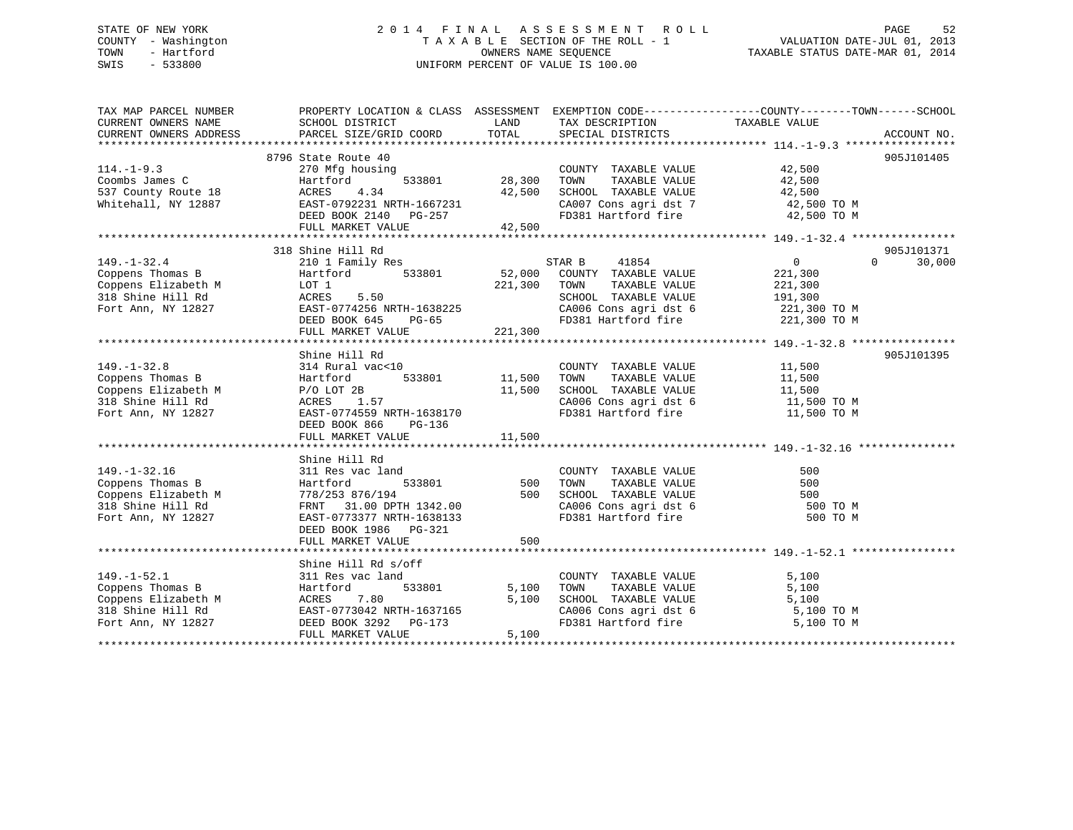### STATE OF NEW YORK 2 0 1 4 F I N A L A S S E S S M E N T R O L L PAGE 52 COUNTY - Washington T A X A B L E SECTION OF THE ROLL - 1 VALUATION DATE-JUL 01, 2013 TOWN - Hartford **TAXABLE STATUS DATE-MAR 01, 2014** OWNERS NAME SEQUENCE TAXABLE STATUS DATE-MAR 01, 2014 SWIS - 533800 UNIFORM PERCENT OF VALUE IS 100.00

| TAX MAP PARCEL NUMBER<br>CURRENT OWNERS NAME<br>CURRENT OWNERS ADDRESS                                        | PROPERTY LOCATION & CLASS ASSESSMENT EXEMPTION CODE---------------COUNTY-------TOWN------SCHOOL<br>SCHOOL DISTRICT<br>PARCEL SIZE/GRID COORD | LAND<br>TOTAL | TAX DESCRIPTION<br>SPECIAL DISTRICTS                                                                                                                                                                                                  | TAXABLE VALUE | ACCOUNT NO. |
|---------------------------------------------------------------------------------------------------------------|----------------------------------------------------------------------------------------------------------------------------------------------|---------------|---------------------------------------------------------------------------------------------------------------------------------------------------------------------------------------------------------------------------------------|---------------|-------------|
|                                                                                                               |                                                                                                                                              |               |                                                                                                                                                                                                                                       |               |             |
|                                                                                                               | 8796 State Route 40                                                                                                                          |               |                                                                                                                                                                                                                                       |               | 905J101405  |
| $114. - 1 - 9.3$                                                                                              | 270 Mfg housing                                                                                                                              |               | COUNTY TAXABLE VALUE                                                                                                                                                                                                                  | 42,500        |             |
| Coombs James C                                                                                                | 533801<br>Hartford                                                                                                                           | 28,300 TOWN   | TAXABLE VALUE                                                                                                                                                                                                                         | 42,500        |             |
| 537 County Route 18                                                                                           | 4.34<br>ACRES                                                                                                                                | 42,500        | SCHOOL TAXABLE VALUE                                                                                                                                                                                                                  | 42,500        |             |
| Whitehall, NY 12887                                                                                           | EAST-0792231 NRTH-1667231                                                                                                                    |               |                                                                                                                                                                                                                                       |               |             |
|                                                                                                               | DEED BOOK 2140 PG-257                                                                                                                        |               | $\begin{array}{lll} \texttt{CA007} \texttt{ Cons} & \texttt{aspti} & \texttt{dst} & \texttt{7} & \texttt{42,500} & \texttt{TO M} \\ \texttt{FD381} & \texttt{Hartford} & \texttt{fire} & \texttt{42,500} & \texttt{TO M} \end{array}$ |               |             |
|                                                                                                               | FULL MARKET VALUE                                                                                                                            | 42,500        |                                                                                                                                                                                                                                       |               |             |
|                                                                                                               |                                                                                                                                              |               |                                                                                                                                                                                                                                       |               |             |
|                                                                                                               | 318 Shine Hill Rd                                                                                                                            |               |                                                                                                                                                                                                                                       |               | 905J101371  |
| $149. - 1 - 32.4$                                                                                             | 210 1 Family Res                                                                                                                             |               |                                                                                                                                                                                                                                       | 0<br>$\Omega$ | 30,000      |
| Coppens Thomas B                                                                                              | Hartford<br>533801                                                                                                                           |               |                                                                                                                                                                                                                                       | 221,300       |             |
|                                                                                                               |                                                                                                                                              | 221,300       | TOWN<br>TAXABLE VALUE                                                                                                                                                                                                                 | 221,300       |             |
| Coppens Elizabeth M LOT 1<br>318 Shine Hill Rd ACRES                                                          | ACRES 5.50                                                                                                                                   |               | SCHOOL TAXABLE VALUE                                                                                                                                                                                                                  | 191,300       |             |
| Fort Ann, NY 12827                                                                                            | EAST-0774256 NRTH-1638225                                                                                                                    |               | CA006 Cons agri dst 6 221,300 TO M                                                                                                                                                                                                    |               |             |
|                                                                                                               | DEED BOOK 645<br>$PG-65$                                                                                                                     |               | FD381 Hartford fire 221,300 TO M                                                                                                                                                                                                      |               |             |
|                                                                                                               | FULL MARKET VALUE                                                                                                                            | 221,300       |                                                                                                                                                                                                                                       |               |             |
|                                                                                                               |                                                                                                                                              |               |                                                                                                                                                                                                                                       |               |             |
|                                                                                                               |                                                                                                                                              |               |                                                                                                                                                                                                                                       |               | 905J101395  |
|                                                                                                               | Shine Hill Rd                                                                                                                                |               |                                                                                                                                                                                                                                       |               |             |
| $149. - 1 - 32.8$                                                                                             | 314 Rural vac<10                                                                                                                             |               | COUNTY TAXABLE VALUE 11,500                                                                                                                                                                                                           |               |             |
| Coppens Thomas B<br>Coppens Elizabeth M<br>318 Shine Hill Rd<br>Fort Ann, NY 12827                            | 533801<br>Hartford                                                                                                                           | 11,500        |                                                                                                                                                                                                                                       |               |             |
|                                                                                                               | $P/O$ LOT 2B                                                                                                                                 | 11,500        |                                                                                                                                                                                                                                       |               |             |
|                                                                                                               | ACRES 1.57                                                                                                                                   |               | CA006 Cons agri dst 6 $11,500$ TO M                                                                                                                                                                                                   |               |             |
| Fort Ann, NY 12827                                                                                            | EAST-0774559 NRTH-1638170                                                                                                                    |               | FD381 Hartford fire                                                                                                                                                                                                                   | 11,500 TO M   |             |
|                                                                                                               | DEED BOOK 866<br>PG-136                                                                                                                      |               |                                                                                                                                                                                                                                       |               |             |
|                                                                                                               | FULL MARKET VALUE                                                                                                                            | 11,500        |                                                                                                                                                                                                                                       |               |             |
|                                                                                                               |                                                                                                                                              |               |                                                                                                                                                                                                                                       |               |             |
|                                                                                                               | Shine Hill Rd                                                                                                                                |               |                                                                                                                                                                                                                                       |               |             |
| $149. - 1 - 32.16$                                                                                            | 311 Res vac land                                                                                                                             |               | COUNTY TAXABLE VALUE                                                                                                                                                                                                                  | 500           |             |
| Coppens Thomas B                                                                                              | Hartford                                                                                                                                     | 533801 500    | TAXABLE VALUE<br>TOWN                                                                                                                                                                                                                 | 500           |             |
| Coppens Elizabeth M                                                                                           | 778/253 876/194                                                                                                                              | 500           | SCHOOL TAXABLE VALUE<br>CA006 Cons agri dst 6                                                                                                                                                                                         | 500           |             |
| 318 Shine Hill Rd                                                                                             | FRNT 31.00 DPTH 1342.00                                                                                                                      |               |                                                                                                                                                                                                                                       | 500 TO M      |             |
| Fort Ann, NY 12827                                                                                            | EAST-0773377 NRTH-1638133                                                                                                                    |               | FD381 Hartford fire                                                                                                                                                                                                                   | 500 TO M      |             |
|                                                                                                               | DEED BOOK 1986 PG-321                                                                                                                        |               |                                                                                                                                                                                                                                       |               |             |
|                                                                                                               | FULL MARKET VALUE                                                                                                                            | 500           |                                                                                                                                                                                                                                       |               |             |
|                                                                                                               |                                                                                                                                              |               |                                                                                                                                                                                                                                       |               |             |
|                                                                                                               | Shine Hill Rd s/off                                                                                                                          |               |                                                                                                                                                                                                                                       |               |             |
| $149. - 1 - 52.1$                                                                                             | 311 Res vac land                                                                                                                             |               | COUNTY TAXABLE VALUE                                                                                                                                                                                                                  | 5,100         |             |
| Coppens Thomas B                                                                                              | 533801<br>Hartford                                                                                                                           | 5,100 TOWN    | TAXABLE VALUE                                                                                                                                                                                                                         | 5,100         |             |
| Coppens Elizabeth M<br>318 Shine Hill Rd<br>Fort Ann, NY 12827<br>Fort Ann, NY 12827<br>DEED BOOK 3292 PG-173 |                                                                                                                                              | 5,100         | SCHOOL TAXABLE VALUE                                                                                                                                                                                                                  | 5,100         |             |
|                                                                                                               |                                                                                                                                              |               |                                                                                                                                                                                                                                       | 5,100 TO M    |             |
|                                                                                                               |                                                                                                                                              |               | CA006 Cons agri dst 6<br>FD381 Hartford fire                                                                                                                                                                                          | 5,100 TO M    |             |
|                                                                                                               | FULL MARKET VALUE                                                                                                                            | 5,100         |                                                                                                                                                                                                                                       |               |             |
|                                                                                                               |                                                                                                                                              |               |                                                                                                                                                                                                                                       |               |             |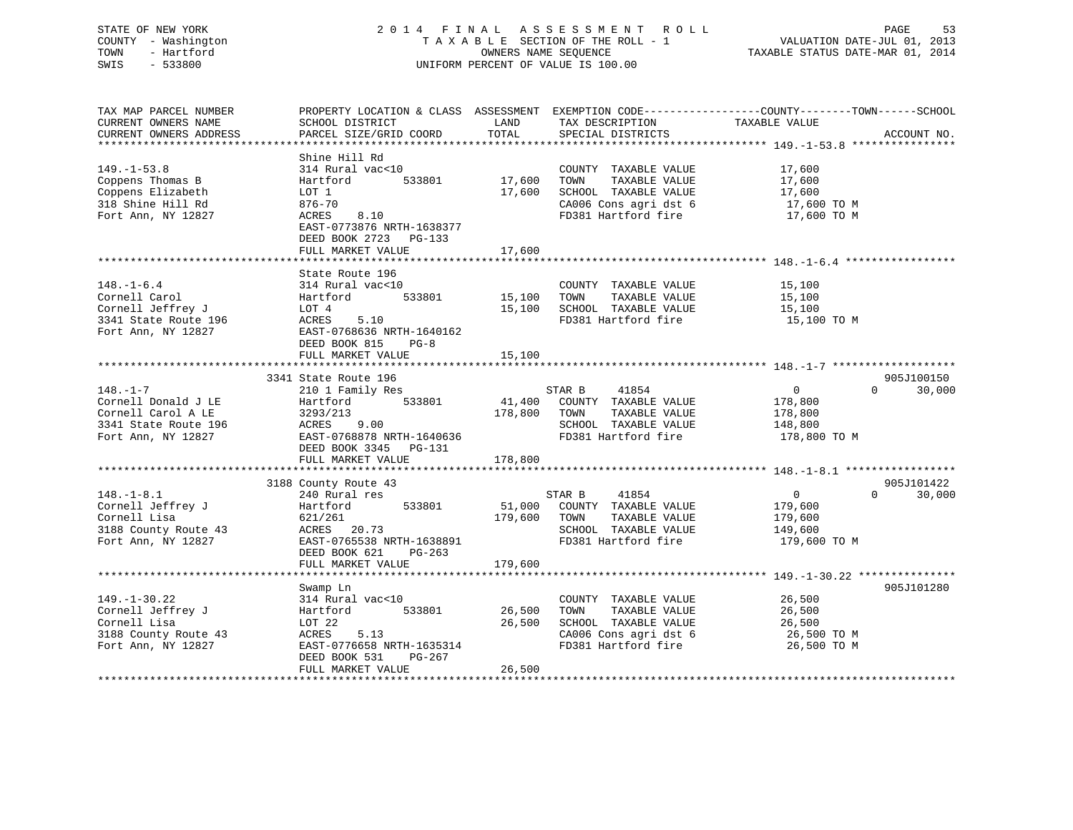### STATE OF NEW YORK 2 0 1 4 F I N A L A S S E S S M E N T R O L L PAGE 53 COUNTY - Washington T A X A B L E SECTION OF THE ROLL - 1 VALUATION DATE-JUL 01, 2013 TOWN - Hartford **TAXABLE STATUS DATE-MAR 01, 2014** OWNERS NAME SEQUENCE TAXABLE STATUS DATE-MAR 01, 2014 SWIS - 533800 UNIFORM PERCENT OF VALUE IS 100.00

| TAX MAP PARCEL NUMBER<br>CURRENT OWNERS NAME<br>CURRENT OWNERS ADDRESS                                    | SCHOOL DISTRICT<br>PARCEL SIZE/GRID COORD                                                                                                                                 | LAND<br>TOTAL              | TAX DESCRIPTION<br>SPECIAL DISTRICTS                                                                                  | PROPERTY LOCATION & CLASS ASSESSMENT EXEMPTION CODE----------------COUNTY-------TOWN------SCHOOL<br>TAXABLE VALUE | ACCOUNT NO.          |
|-----------------------------------------------------------------------------------------------------------|---------------------------------------------------------------------------------------------------------------------------------------------------------------------------|----------------------------|-----------------------------------------------------------------------------------------------------------------------|-------------------------------------------------------------------------------------------------------------------|----------------------|
|                                                                                                           |                                                                                                                                                                           |                            |                                                                                                                       |                                                                                                                   |                      |
| $149. - 1 - 53.8$<br>Coppens Thomas B<br>Coppens Elizabeth<br>318 Shine Hill Rd<br>Fort Ann, NY 12827     | Shine Hill Rd<br>314 Rural vac<10<br>533801<br>Hartford<br>LOT 1<br>$876 - 70$<br>ACRES<br>8.10                                                                           | 17,600<br>17,600           | COUNTY TAXABLE VALUE<br>TOWN<br>TAXABLE VALUE<br>SCHOOL TAXABLE VALUE<br>CA006 Cons agri dst 6<br>FD381 Hartford fire | 17,600<br>17,600<br>17,600<br>17,600 TO M<br>17,600 TO M                                                          |                      |
|                                                                                                           | EAST-0773876 NRTH-1638377<br>DEED BOOK 2723 PG-133<br>FULL MARKET VALUE                                                                                                   | 17,600                     |                                                                                                                       |                                                                                                                   |                      |
|                                                                                                           |                                                                                                                                                                           |                            |                                                                                                                       |                                                                                                                   |                      |
| $148. - 1 - 6.4$<br>Cornell Carol<br>Cornell Jeffrey J<br>3341 State Route 196<br>Fort Ann, NY 12827      | State Route 196<br>314 Rural vac<10<br>533801<br>Hartford<br>LOT 4<br>ACRES<br>5.10<br>EAST-0768636 NRTH-1640162<br>DEED BOOK 815<br>$PG-8$<br>FULL MARKET VALUE          | 15,100<br>15,100<br>15,100 | COUNTY TAXABLE VALUE<br>TAXABLE VALUE<br>TOWN<br>SCHOOL TAXABLE VALUE<br>FD381 Hartford fire                          | 15,100<br>15,100<br>15,100<br>15,100 TO M                                                                         |                      |
|                                                                                                           |                                                                                                                                                                           |                            |                                                                                                                       |                                                                                                                   |                      |
| $148. - 1 - 7$<br>Cornell Donald J LE<br>Cornell Carol A LE<br>3341 State Route 196<br>Fort Ann, NY 12827 | 3341 State Route 196<br>210 1 Family Res<br>533801<br>Hartford<br>3293/213<br>9.00<br>ACRES<br>EAST-0768878 NRTH-1640636<br>DEED BOOK 3345<br>PG-131<br>FULL MARKET VALUE | 41,400<br>178,800          | 41854<br>STAR B<br>COUNTY TAXABLE VALUE<br>TAXABLE VALUE<br>TOWN<br>SCHOOL TAXABLE VALUE<br>FD381 Hartford fire       | $\overline{0}$<br>$\Omega$<br>178,800<br>178,800<br>148,800<br>178,800 TO M                                       | 905J100150<br>30,000 |
|                                                                                                           |                                                                                                                                                                           | 178,800                    |                                                                                                                       |                                                                                                                   |                      |
| $148. - 1 - 8.1$<br>Cornell Jeffrey J<br>Cornell Lisa<br>3188 County Route 43<br>Fort Ann, NY 12827       | 3188 County Route 43<br>240 Rural res<br>Hartford<br>533801<br>621/261<br>ACRES 20.73<br>EAST-0765538 NRTH-1638891<br>DEED BOOK 621<br>PG-263                             | 51,000<br>179,600          | STAR B<br>41854<br>COUNTY TAXABLE VALUE<br>TOWN<br>TAXABLE VALUE<br>SCHOOL TAXABLE VALUE<br>FD381 Hartford fire       | $\overline{0}$<br>$\Omega$<br>179,600<br>179,600<br>149,600<br>179,600 TO M                                       | 905J101422<br>30,000 |
|                                                                                                           | FULL MARKET VALUE                                                                                                                                                         | 179,600                    |                                                                                                                       |                                                                                                                   |                      |
| $149. - 1 - 30.22$<br>Cornell Jeffrey J<br>Cornell Lisa<br>3188 County Route 43<br>Fort Ann, NY 12827     | Swamp Ln<br>314 Rural vac<10<br>Hartford<br>533801<br>LOT 22<br>ACRES<br>5.13<br>EAST-0776658 NRTH-1635314<br>DEED BOOK 531<br>PG-267<br>FULL MARKET VALUE                | 26,500<br>26,500<br>26,500 | COUNTY TAXABLE VALUE<br>TAXABLE VALUE<br>TOWN<br>SCHOOL TAXABLE VALUE<br>CA006 Cons agri dst 6<br>FD381 Hartford fire | 26,500<br>26,500<br>26,500<br>26,500 TO M<br>26,500 TO M                                                          | 905J101280           |
|                                                                                                           |                                                                                                                                                                           |                            |                                                                                                                       |                                                                                                                   |                      |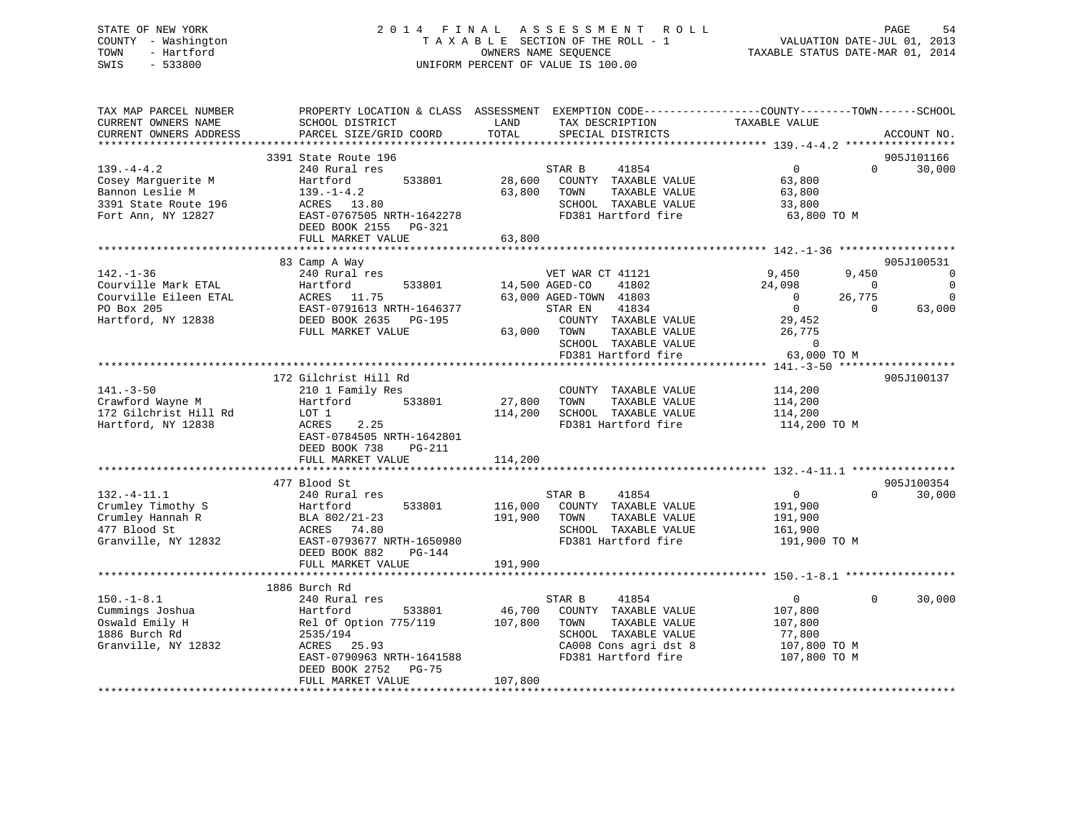### STATE OF NEW YORK 2 0 1 4 F I N A L A S S E S S M E N T R O L L PAGE 54 COUNTY - Washington T A X A B L E SECTION OF THE ROLL - 1 VALUATION DATE-JUL 01, 2013 TOWN - Hartford OWNERS NAME SEQUENCE TAXABLE STATUS DATE-MAR 01, 2014 SWIS - 533800 UNIFORM PERCENT OF VALUE IS 100.00

| TAX MAP PARCEL NUMBER<br>CURRENT OWNERS NAME<br>CURRENT OWNERS ADDRESS                                 | PROPERTY LOCATION & CLASS ASSESSMENT<br>SCHOOL DISTRICT<br>PARCEL SIZE/GRID COORD                                                                                             | LAND<br>TOTAL                 | TAX DESCRIPTION<br>SPECIAL DISTRICTS                                                                            | EXEMPTION CODE-----------------COUNTY-------TOWN------SCHOOL<br>TAXABLE VALUE          | ACCOUNT NO.                                              |
|--------------------------------------------------------------------------------------------------------|-------------------------------------------------------------------------------------------------------------------------------------------------------------------------------|-------------------------------|-----------------------------------------------------------------------------------------------------------------|----------------------------------------------------------------------------------------|----------------------------------------------------------|
|                                                                                                        |                                                                                                                                                                               |                               |                                                                                                                 |                                                                                        |                                                          |
|                                                                                                        | 3391 State Route 196                                                                                                                                                          |                               |                                                                                                                 |                                                                                        | 905J101166                                               |
| $139. -4 - 4.2$<br>Cosey Marguerite M<br>Bannon Leslie M<br>3391 State Route 196<br>Fort Ann, NY 12827 | 240 Rural res<br>533801<br>Hartford<br>$139. - 1 - 4.2$<br>ACRES 13.80<br>EAST-0767505 NRTH-1642278<br>DEED BOOK 2155 PG-321                                                  | 28,600<br>63,800              | STAR B<br>41854<br>COUNTY TAXABLE VALUE<br>TAXABLE VALUE<br>TOWN<br>SCHOOL TAXABLE VALUE<br>FD381 Hartford fire | $\overline{0}$<br>$\Omega$<br>63,800<br>63,800<br>33,800<br>63,800 TO M                | 30,000                                                   |
|                                                                                                        | FULL MARKET VALUE                                                                                                                                                             | 63,800                        |                                                                                                                 |                                                                                        |                                                          |
|                                                                                                        | *********************                                                                                                                                                         |                               |                                                                                                                 |                                                                                        |                                                          |
| $142. - 1 - 36$<br>Courville Mark ETAL<br>Courville Eileen ETAL<br>PO Box 205                          | 83 Camp A Way<br>240 Rural res<br>533801<br>Hartford<br>ACRES<br>11.75<br>EAST-0791613 NRTH-1646377                                                                           |                               | VET WAR CT 41121<br>14,500 AGED-CO<br>41802<br>63,000 AGED-TOWN 41803<br>41834<br>STAR EN                       | 9,450<br>9,450<br>24,098<br>$\Omega$<br>$\Omega$<br>26,775<br>$\mathbf{0}$<br>$\Omega$ | 905J100531<br>$\Omega$<br>$\Omega$<br>$\Omega$<br>63,000 |
| Hartford, NY 12838                                                                                     | DEED BOOK 2635<br>PG-195<br>FULL MARKET VALUE                                                                                                                                 | 63,000                        | COUNTY TAXABLE VALUE<br>TOWN<br>TAXABLE VALUE<br>SCHOOL TAXABLE VALUE<br>FD381 Hartford fire                    | 29,452<br>26,775<br>$\mathbf 0$<br>63,000 TO M                                         |                                                          |
|                                                                                                        |                                                                                                                                                                               |                               |                                                                                                                 |                                                                                        |                                                          |
| $141. - 3 - 50$<br>Crawford Wayne M<br>172 Gilchrist Hill Rd<br>Hartford, NY 12838                     | 172 Gilchrist Hill Rd<br>210 1 Family Res<br>Hartford<br>533801<br>LOT 1<br>2.25<br>ACRES<br>EAST-0784505 NRTH-1642801<br>DEED BOOK 738<br><b>PG-211</b><br>FULL MARKET VALUE | 27,800<br>114,200<br>114,200  | COUNTY TAXABLE VALUE<br>TOWN<br>TAXABLE VALUE<br>SCHOOL TAXABLE VALUE<br>FD381 Hartford fire                    | 114,200<br>114,200<br>114,200<br>114,200 TO M                                          | 905J100137                                               |
|                                                                                                        |                                                                                                                                                                               |                               |                                                                                                                 |                                                                                        |                                                          |
| $132. - 4 - 11.1$<br>Crumley Timothy S<br>Crumley Hannah R<br>477 Blood St<br>Granville, NY 12832      | 477 Blood St<br>240 Rural res<br>533801<br>Hartford<br>BLA 802/21-23<br>ACRES 74.80<br>EAST-0793677 NRTH-1650980<br>DEED BOOK 882<br>$PG-144$<br>FULL MARKET VALUE            | 116,000<br>191,900<br>191,900 | STAR B<br>41854<br>COUNTY TAXABLE VALUE<br>TOWN<br>TAXABLE VALUE<br>SCHOOL TAXABLE VALUE<br>FD381 Hartford fire | $\Omega$<br>$\mathbf{0}$<br>191,900<br>191,900<br>161,900<br>191,900 TO M              | 905J100354<br>30,000                                     |
|                                                                                                        |                                                                                                                                                                               |                               |                                                                                                                 |                                                                                        |                                                          |
| $150. - 1 - 8.1$<br>Cummings Joshua<br>Oswald Emily H                                                  | 1886 Burch Rd<br>240 Rural res<br>533801<br>Hartford<br>Rel Of Option 775/119                                                                                                 | 46,700<br>107,800             | 41854<br>STAR B<br>COUNTY TAXABLE VALUE<br>TAXABLE VALUE<br>TOWN                                                | $\Omega$<br>$\mathbf{0}$<br>107,800<br>107,800                                         | 30,000                                                   |
| 1886 Burch Rd<br>Granville, NY 12832                                                                   | 2535/194<br>ACRES 25.93<br>EAST-0790963 NRTH-1641588<br>DEED BOOK 2752<br>$PG-75$<br>FULL MARKET VALUE                                                                        | 107,800                       | SCHOOL TAXABLE VALUE<br>CA008 Cons agri dst 8<br>FD381 Hartford fire                                            | 77,800<br>107,800 TO M<br>107,800 TO M                                                 |                                                          |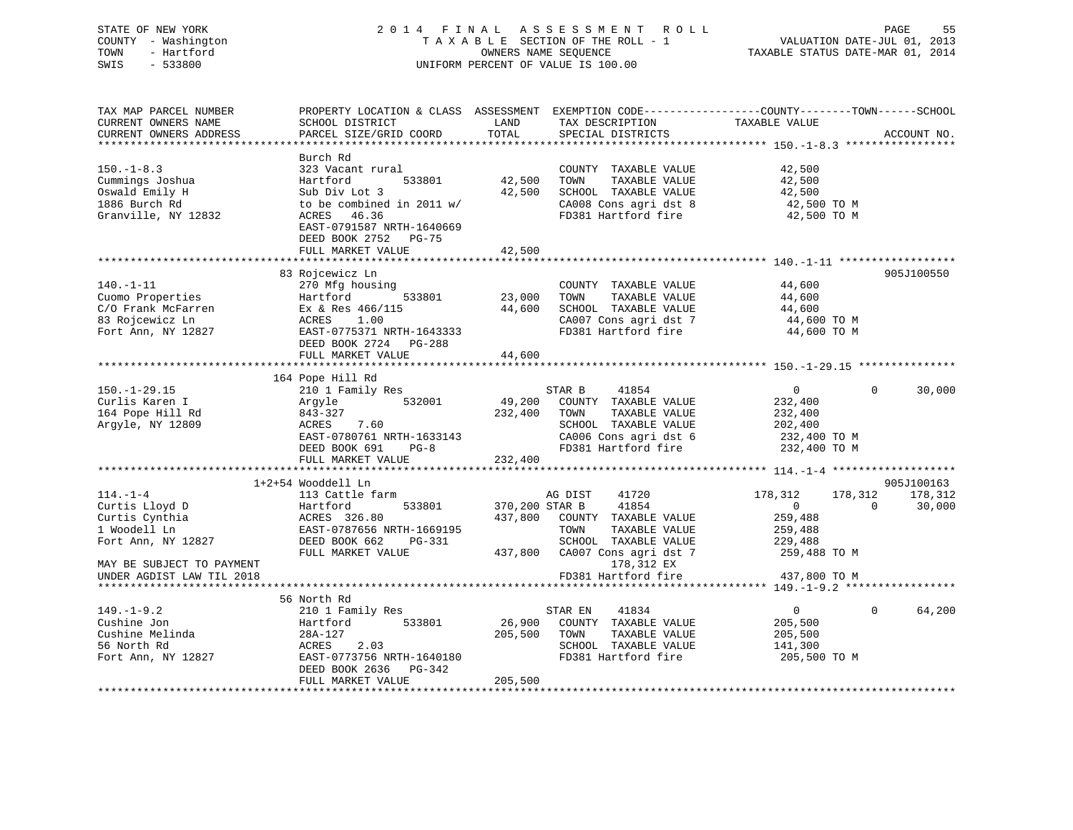| COUNTY - Washington<br>TOWN<br>- Hartford<br>SWIS<br>$-533800$                                                                                     | TAXABLE SECTION OF THE ROLL - 1<br>OWNERS NAME SEQUENCE<br>UNIFORM PERCENT OF VALUE IS 100.00                                                                           |                           |                                                                                                                                                                          | VALUATION DATE-JUL 01, 2013<br>TAXABLE STATUS DATE-MAR 01, 2014                                       |                                             |
|----------------------------------------------------------------------------------------------------------------------------------------------------|-------------------------------------------------------------------------------------------------------------------------------------------------------------------------|---------------------------|--------------------------------------------------------------------------------------------------------------------------------------------------------------------------|-------------------------------------------------------------------------------------------------------|---------------------------------------------|
| TAX MAP PARCEL NUMBER<br>CURRENT OWNERS NAME<br>CURRENT OWNERS ADDRESS                                                                             | PROPERTY LOCATION & CLASS ASSESSMENT EXEMPTION CODE----------------COUNTY-------TOWN------SCHOOL<br>SCHOOL DISTRICT<br>PARCEL SIZE/GRID COORD                           | LAND<br>TOTAL             | TAX DESCRIPTION<br>SPECIAL DISTRICTS                                                                                                                                     | TAXABLE VALUE                                                                                         | ACCOUNT NO.                                 |
|                                                                                                                                                    |                                                                                                                                                                         |                           |                                                                                                                                                                          |                                                                                                       |                                             |
| $150. - 1 - 8.3$<br>Cummings Joshua<br>Oswald Emily H<br>1886 Burch Rd<br>Granville, NY 12832                                                      | Burch Rd<br>323 Vacant rural<br>Hartford<br>533801<br>Sub Div Lot 3<br>to be combined in 2011 w/<br>46.36<br>ACRES<br>EAST-0791587 NRTH-1640669<br>DEED BOOK 2752 PG-75 | 42,500<br>42,500          | COUNTY TAXABLE VALUE<br>TAXABLE VALUE<br>TOWN<br>SCHOOL TAXABLE VALUE<br>CA008 Cons agri dst 8<br>FD381 Hartford fire                                                    | 42,500<br>42,500<br>42,500<br>42,500 TO M<br>42,500 TO M                                              |                                             |
|                                                                                                                                                    | FULL MARKET VALUE<br>**************************                                                                                                                         | 42,500                    |                                                                                                                                                                          |                                                                                                       |                                             |
| $140. - 1 - 11$<br>Cuomo Properties<br>C/O Frank McFarren<br>83 Rojcewicz Ln<br>Fort Ann, NY 12827                                                 | 83 Rojcewicz Ln<br>270 Mfg housing<br>Hartford<br>533801<br>Ex & Res 466/115<br>ACRES<br>1.00<br>EAST-0775371 NRTH-1643333<br>DEED BOOK 2724 PG-288                     | 23,000<br>44,600          | COUNTY TAXABLE VALUE<br>TOWN<br>TAXABLE VALUE<br>SCHOOL TAXABLE VALUE<br>CA007 Cons agri dst 7<br>FD381 Hartford fire                                                    | 44,600<br>44,600<br>44,600<br>44,600 TO M<br>44,600 TO M                                              | 905J100550                                  |
|                                                                                                                                                    | FULL MARKET VALUE                                                                                                                                                       | 44,600                    |                                                                                                                                                                          |                                                                                                       |                                             |
|                                                                                                                                                    |                                                                                                                                                                         |                           |                                                                                                                                                                          |                                                                                                       |                                             |
| $150. - 1 - 29.15$<br>Curlis Karen I<br>164 Pope Hill Rd<br>Argyle, NY 12809                                                                       | 164 Pope Hill Rd<br>210 1 Family Res<br>532001<br>Argyle<br>843-327<br>ACRES<br>7.60<br>EAST-0780761 NRTH-1633143<br>DEED BOOK 691<br>$PG-8$                            | 49,200<br>232,400         | STAR B<br>41854<br>COUNTY TAXABLE VALUE<br>TAXABLE VALUE<br>TOWN<br>SCHOOL TAXABLE VALUE<br>CA006 Cons agri dst 6<br>FD381 Hartford fire                                 | $\overline{0}$<br>232,400<br>232,400<br>202,400<br>232,400 TO M<br>232,400 TO M                       | 30,000<br>0                                 |
|                                                                                                                                                    | FULL MARKET VALUE                                                                                                                                                       | 232,400                   |                                                                                                                                                                          |                                                                                                       |                                             |
|                                                                                                                                                    |                                                                                                                                                                         |                           |                                                                                                                                                                          |                                                                                                       |                                             |
| $114. - 1 - 4$<br>Curtis Lloyd D<br>Curtis Cynthia<br>1 Woodell Ln<br>Fort Ann, NY 12827<br>MAY BE SUBJECT TO PAYMENT<br>UNDER AGDIST LAW TIL 2018 | 1+2+54 Wooddell Ln<br>113 Cattle farm<br>Hartford<br>533801<br>ACRES 326.80<br>EAST-0787656 NRTH-1669195<br>DEED BOOK 662<br>PG-331<br>FULL MARKET VALUE                | 370,200 STAR B<br>437,800 | AG DIST<br>41720<br>41854<br>COUNTY TAXABLE VALUE<br>TOWN<br>TAXABLE VALUE<br>SCHOOL TAXABLE VALUE<br>437,800 CA007 Cons agri dst 7<br>178,312 EX<br>FD381 Hartford fire | 178,312<br>178,312<br>$\overline{0}$<br>259,488<br>259,488<br>229,488<br>259,488 TO M<br>437,800 TO M | 905J100163<br>178,312<br>$\Omega$<br>30,000 |
| ******************                                                                                                                                 | ***********************                                                                                                                                                 |                           |                                                                                                                                                                          | **** 149.-1-9.2 ******                                                                                |                                             |
| $149. - 1 - 9.2$<br>Cushine Jon<br>Cushine Melinda<br>56 North Rd<br>Fort Ann, NY 12827                                                            | 56 North Rd<br>210 1 Family Res<br>Hartford<br>533801<br>28A-127<br>ACRES<br>2.03<br>EAST-0773756 NRTH-1640180<br>DEED BOOK 2636<br>$PG-342$                            | 26,900<br>205,500         | STAR EN<br>41834<br>COUNTY TAXABLE VALUE<br>TOWN<br>TAXABLE VALUE<br>SCHOOL TAXABLE VALUE<br>FD381 Hartford fire                                                         | $\overline{0}$<br>205,500<br>205,500<br>141,300<br>205,500 TO M                                       | 64,200<br>$\Omega$                          |
|                                                                                                                                                    | FULL MARKET VALUE                                                                                                                                                       | 205,500                   |                                                                                                                                                                          |                                                                                                       |                                             |

# STATE OF NEW YORK 2 0 1 4 F I N A L A S S E S S M E N T R O L L PAGE 55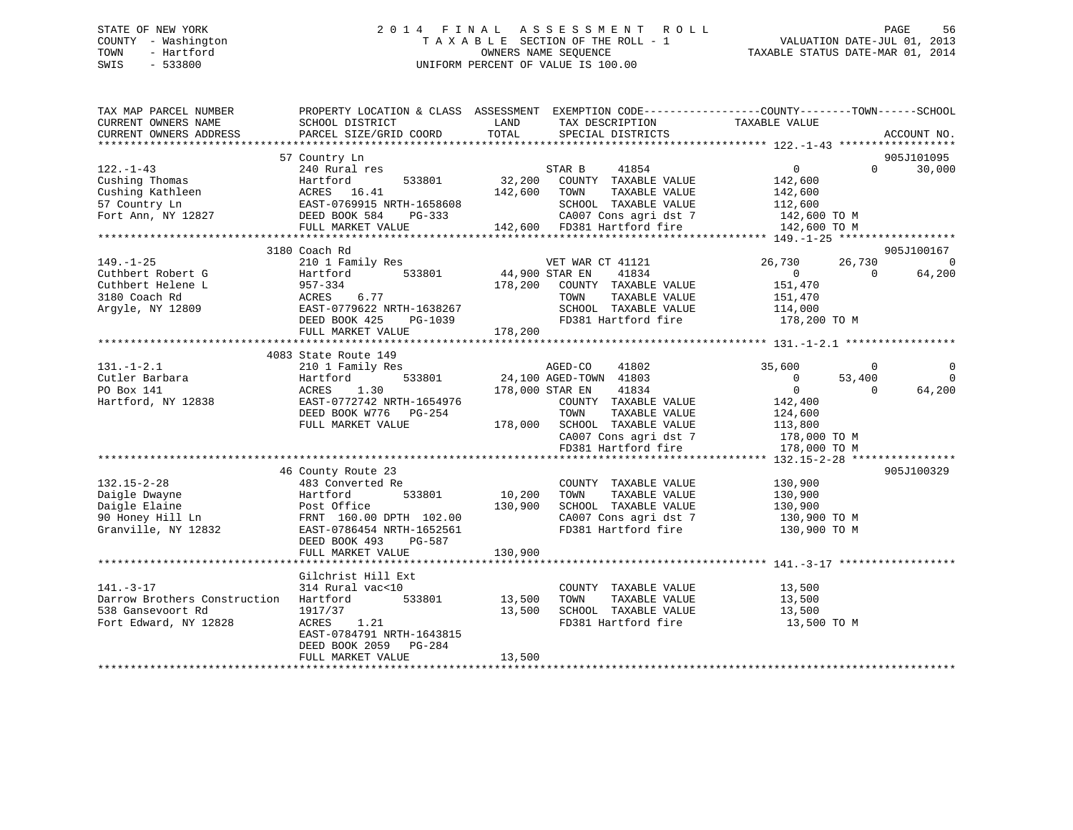### STATE OF NEW YORK 2 0 1 4 F I N A L A S S E S S M E N T R O L L PAGE 56 COUNTY - Washington T A X A B L E SECTION OF THE ROLL - 1 VALUATION DATE-JUL 01, 2013 TOWN - Hartford **TAXABLE STATUS DATE-MAR 01, 2014** OWNERS NAME SEQUENCE TAXABLE STATUS DATE-MAR 01, 2014 SWIS - 533800 UNIFORM PERCENT OF VALUE IS 100.00

| TAX MAP PARCEL NUMBER        | PROPERTY LOCATION & CLASS ASSESSMENT EXEMPTION CODE----------------COUNTY-------TOWN------SCHOOL |                 |                              |                |          |                |
|------------------------------|--------------------------------------------------------------------------------------------------|-----------------|------------------------------|----------------|----------|----------------|
| CURRENT OWNERS NAME          | SCHOOL DISTRICT                                                                                  | LAND            | TAX DESCRIPTION              | TAXABLE VALUE  |          |                |
| CURRENT OWNERS ADDRESS       | PARCEL SIZE/GRID COORD                                                                           | TOTAL           | SPECIAL DISTRICTS            |                |          | ACCOUNT NO.    |
|                              |                                                                                                  |                 |                              |                |          | 905J101095     |
| $122. - 1 - 43$              | 57 Country Ln<br>240 Rural res                                                                   |                 | STAR B<br>41854              | $\overline{0}$ | $\Omega$ | 30,000         |
| Cushing Thomas               | 533801<br>Hartford                                                                               | 32,200          | COUNTY TAXABLE VALUE         | 142,600        |          |                |
| Cushing Kathleen             | ACRES 16.41                                                                                      | 142,600         | TOWN<br>TAXABLE VALUE        | 142,600        |          |                |
| 57 Country Ln                | EAST-0769915 NRTH-1658608                                                                        |                 | SCHOOL TAXABLE VALUE         | 112,600        |          |                |
| Fort Ann, NY 12827           | DEED BOOK 584<br>PG-333                                                                          |                 | CA007 Cons agri dst 7        | $142,600$ TO M |          |                |
|                              | FULL MARKET VALUE                                                                                |                 | 142,600 FD381 Hartford fire  | 142,600 TO M   |          |                |
|                              |                                                                                                  |                 |                              |                |          |                |
|                              | 3180 Coach Rd                                                                                    |                 |                              |                |          | 905J100167     |
| $149. - 1 - 25$              | 210 1 Family Res                                                                                 |                 | VET WAR CT 41121             | 26,730         | 26,730   | $\overline{0}$ |
| Cuthbert Robert G            | 533801<br>Hartford                                                                               | 44,900 STAR EN  | 41834                        | $\overline{0}$ | $\Omega$ | 64,200         |
| Cuthbert Helene L            | 957-334                                                                                          |                 | 178,200 COUNTY TAXABLE VALUE | 151,470        |          |                |
| 3180 Coach Rd                | ACRES<br>6.77                                                                                    |                 | TOWN<br>TAXABLE VALUE        | 151,470        |          |                |
| Argyle, NY 12809             | EAST-0779622 NRTH-1638267                                                                        |                 | SCHOOL TAXABLE VALUE         | 114,000        |          |                |
|                              | DEED BOOK 425<br>PG-1039                                                                         |                 | FD381 Hartford fire          | 178,200 TO M   |          |                |
|                              | FULL MARKET VALUE                                                                                | 178,200         |                              |                |          |                |
|                              |                                                                                                  |                 |                              |                |          |                |
|                              | 4083 State Route 149                                                                             |                 |                              |                |          |                |
| $131. - 1 - 2.1$             | 210 1 Family Res                                                                                 |                 | AGED-CO<br>41802             | 35,600         | $\circ$  | $\mathbf 0$    |
| Cutler Barbara               | 533801<br>Hartford                                                                               |                 | 24,100 AGED-TOWN 41803       | $\overline{0}$ | 53,400   | $\bigcirc$     |
| PO Box 141                   | ACRES<br>1.30                                                                                    | 178,000 STAR EN | 41834                        | $\overline{0}$ | $\Omega$ | 64,200         |
| Hartford, NY 12838           | EAST-0772742 NRTH-1654976                                                                        |                 | COUNTY TAXABLE VALUE         | 142,400        |          |                |
|                              | DEED BOOK W776 PG-254                                                                            |                 | TOWN<br>TAXABLE VALUE        | 124,600        |          |                |
|                              | FULL MARKET VALUE                                                                                | 178,000         | SCHOOL TAXABLE VALUE         | 113,800        |          |                |
|                              |                                                                                                  |                 | CA007 Cons agri dst 7        | 178,000 TO M   |          |                |
|                              |                                                                                                  |                 | FD381 Hartford fire          | 178,000 TO M   |          |                |
|                              |                                                                                                  |                 |                              |                |          |                |
|                              | 46 County Route 23                                                                               |                 |                              |                |          | 905J100329     |
| $132.15 - 2 - 28$            | 483 Converted Re                                                                                 |                 | COUNTY TAXABLE VALUE         | 130,900        |          |                |
| Daigle Dwayne                | Hartford<br>533801                                                                               | 10,200          | TOWN<br>TAXABLE VALUE        | 130,900        |          |                |
| Daigle Elaine                | Post Office                                                                                      | 130,900         | SCHOOL TAXABLE VALUE         | 130,900        |          |                |
| 90 Honey Hill Ln             | FRNT 160.00 DPTH 102.00                                                                          |                 | CA007 Cons agri dst 7        | 130,900 TO M   |          |                |
| Granville, NY 12832          | EAST-0786454 NRTH-1652561                                                                        |                 | FD381 Hartford fire          | 130,900 TO M   |          |                |
|                              | DEED BOOK 493<br>PG-587<br>FULL MARKET VALUE                                                     | 130,900         |                              |                |          |                |
|                              |                                                                                                  |                 |                              |                |          |                |
|                              | Gilchrist Hill Ext                                                                               |                 |                              |                |          |                |
| $141. - 3 - 17$              | 314 Rural vac<10                                                                                 |                 | COUNTY TAXABLE VALUE         | 13,500         |          |                |
| Darrow Brothers Construction | 533801<br>Hartford                                                                               | 13,500          | TAXABLE VALUE<br>TOWN        | 13,500         |          |                |
| 538 Gansevoort Rd            | 1917/37                                                                                          | 13,500          | SCHOOL TAXABLE VALUE         | 13,500         |          |                |
| Fort Edward, NY 12828        | ACRES<br>1.21                                                                                    |                 | FD381 Hartford fire          | 13,500 TO M    |          |                |
|                              | EAST-0784791 NRTH-1643815                                                                        |                 |                              |                |          |                |
|                              | DEED BOOK 2059 PG-284                                                                            |                 |                              |                |          |                |
|                              | FULL MARKET VALUE                                                                                | 13,500          |                              |                |          |                |
|                              |                                                                                                  |                 |                              |                |          |                |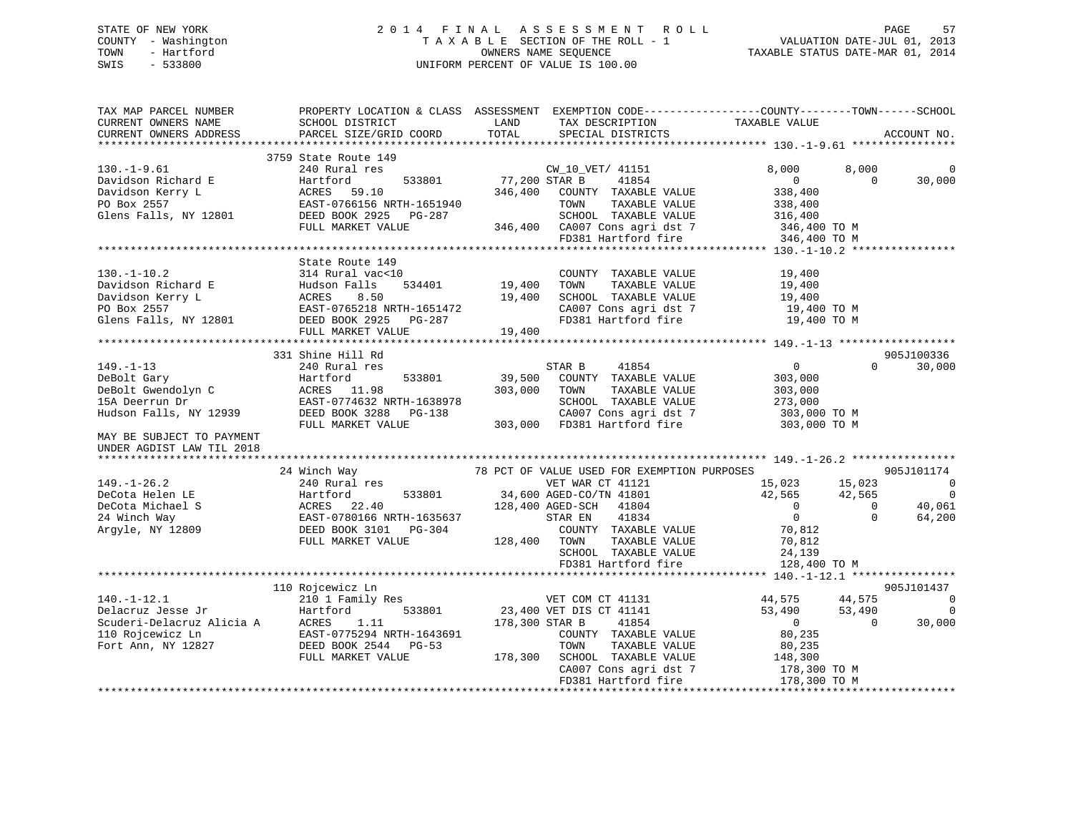### STATE OF NEW YORK 2 0 1 4 F I N A L A S S E S S M E N T R O L L PAGE 57 COUNTY - Washington T A X A B L E SECTION OF THE ROLL - 1 VALUATION DATE-JUL 01, 2013 TOWN - Hartford **TAXABLE STATUS DATE-MAR 01, 2014** OWNERS NAME SEQUENCE TAXABLE STATUS DATE-MAR 01, 2014 SWIS - 533800 UNIFORM PERCENT OF VALUE IS 100.00

| TAX MAP PARCEL NUMBER<br>CURRENT OWNERS NAME                                                                                  | PROPERTY LOCATION & CLASS ASSESSMENT EXEMPTION CODE---------------COUNTY-------TOWN-----SCHOOL<br>SCHOOL DISTRICT                                                                                                                                                                                  | LAND                      | TAX DESCRIPTION                                                                                                                                                                                                                                                                                                                                                                                                                                                                                                                             | TAXABLE VALUE                                                                                                    |                                    |                                                                        |
|-------------------------------------------------------------------------------------------------------------------------------|----------------------------------------------------------------------------------------------------------------------------------------------------------------------------------------------------------------------------------------------------------------------------------------------------|---------------------------|---------------------------------------------------------------------------------------------------------------------------------------------------------------------------------------------------------------------------------------------------------------------------------------------------------------------------------------------------------------------------------------------------------------------------------------------------------------------------------------------------------------------------------------------|------------------------------------------------------------------------------------------------------------------|------------------------------------|------------------------------------------------------------------------|
| CURRENT OWNERS ADDRESS                                                                                                        | PARCEL SIZE/GRID COORD                                                                                                                                                                                                                                                                             | TOTAL                     | SPECIAL DISTRICTS                                                                                                                                                                                                                                                                                                                                                                                                                                                                                                                           |                                                                                                                  |                                    | ACCOUNT NO.                                                            |
|                                                                                                                               | 3759 State Route 149                                                                                                                                                                                                                                                                               |                           |                                                                                                                                                                                                                                                                                                                                                                                                                                                                                                                                             |                                                                                                                  |                                    |                                                                        |
| $130.-1-9.61$<br>Davidson Richard E<br>Davidson Kerry L<br>PO Box 2557                                                        | $\overline{z}$<br>240 Rural res<br>Hartford<br>Hartford<br>ACRES<br>EAST-076<br>59.10<br>EAST-0766156 NRTH-1651940<br>Glens Falls, NY 12801 DEED BOOK 2925 PG-287<br>FULL MARKET VALUE                                                                                                             | 533801 77,200 STAR B      | CW_10_VET/ 41151<br>41854<br>346,400 COUNTY TAXABLE VALUE<br>TAXABLE VALUE<br>TOWN<br>SCHOOL TAXABLE VALUE<br>346,400 CA007 Cons agri dst 7<br>FD381 Hartford fire                                                                                                                                                                                                                                                                                                                                                                          | 8,000<br>$\overline{0}$<br>338,400<br>338,400<br>316,400<br>346,400 TO M                                         | 8,000<br>$\overline{0}$            | 30,000                                                                 |
|                                                                                                                               |                                                                                                                                                                                                                                                                                                    |                           |                                                                                                                                                                                                                                                                                                                                                                                                                                                                                                                                             | 346,400 TO M                                                                                                     |                                    |                                                                        |
|                                                                                                                               |                                                                                                                                                                                                                                                                                                    |                           |                                                                                                                                                                                                                                                                                                                                                                                                                                                                                                                                             |                                                                                                                  |                                    |                                                                        |
| $130. - 1 - 10.2$                                                                                                             | State Route 149<br>314 Rural vac<10<br>130.-1-10.2<br>Davidson Richard E<br>Davidson Kerry L<br>PO Box 2557<br>PO Box 2557<br>EAST-0765218 NRTH-1651472<br>Glens Falls, NY 12801<br>DEED BOOK 2925<br>2020<br>2020<br>2020<br>2020<br>2020<br>2020<br>2020<br>2020<br>2020<br>2020<br>2020<br>2020 | $534401$ 19,400<br>19,400 | COUNTY TAXABLE VALUE<br>TOWN<br>TAXABLE VALUE<br>SCHOOL TAXABLE VALUE<br>CA007 Cons agri dst 7<br>FD381 Hartford fire                                                                                                                                                                                                                                                                                                                                                                                                                       | 19,400<br>19,400<br>19,400<br>19,400 TO M<br>19,400 TO M                                                         |                                    |                                                                        |
|                                                                                                                               | FULL MARKET VALUE                                                                                                                                                                                                                                                                                  | 19,400                    |                                                                                                                                                                                                                                                                                                                                                                                                                                                                                                                                             |                                                                                                                  |                                    |                                                                        |
|                                                                                                                               | 331 Shine Hill Rd                                                                                                                                                                                                                                                                                  |                           |                                                                                                                                                                                                                                                                                                                                                                                                                                                                                                                                             |                                                                                                                  |                                    | 905J100336                                                             |
| $149. - 1 - 13$<br>DeBolt Gary<br>DeBolt Gwendolyn C<br>15A Deerrun Dr<br>Hudson Falls, NY 12939<br>MAY BE SUBJECT TO PAYMENT | 240 Rural res<br>Hartford<br>533801<br>ACRES 11.98<br>EAST-0774632 NRTH-1638978 SCHOOL TAXABLE VALUE<br>DEED BOOK 3288 PG-138 CA007 Cons agri dst 7<br>FULL MARKET VALUE 303,000 FD381 Hartford fire                                                                                               | 303,000                   | STAR B<br>41854<br>39,500 COUNTY TAXABLE VALUE<br>TAXABLE VALUE<br>TOWN<br>$\begin{tabular}{lllllll} \multicolumn{2}{l}{{\small\bf SCHOOD}} & \multicolumn{2}{l}{\small\bf TAXABLE} & \multicolumn{2}{l}{\small\bf NALUE} & & \multicolumn{2}{l}{\small\bf 273,000} \\ & \multicolumn{2}{l}{\small\bf CAO07} & \multicolumn{2}{l}{\small\bf Cons} & \multicolumn{2}{l}{\small\bf 273,000} & \multicolumn{2}{l}{\small\bf 273,000} & \multicolumn{2}{l}{\small\bf TO} & \multicolumn{2}{l}{\small\bf M} \\ \multicolumn{2}{l}{\small\bf CAO$ | $\overline{0}$<br>303,000<br>303,000<br>303,000 TO M                                                             | $\Omega$                           | 30,000                                                                 |
| UNDER AGDIST LAW TIL 2018                                                                                                     |                                                                                                                                                                                                                                                                                                    |                           |                                                                                                                                                                                                                                                                                                                                                                                                                                                                                                                                             |                                                                                                                  |                                    |                                                                        |
|                                                                                                                               |                                                                                                                                                                                                                                                                                                    |                           |                                                                                                                                                                                                                                                                                                                                                                                                                                                                                                                                             |                                                                                                                  |                                    |                                                                        |
| $149. - 1 - 26.2$<br>DeCota Helen LE<br>DeCota Michael S<br>24 Winch Way<br>Argyle, NY 12809                                  | 24 Winch Way<br>240 Rural res<br>Hartford<br>ACRES 22.40<br>EAST-0780166 NRTH-1635637<br>DEED BOOK 3101 PG-304<br>FULL MARKET VALUE                                                                                                                                                                | 128,400 TOWN              | 78 PCT OF VALUE USED FOR EXEMPTION PURPOSES<br>VET WAR CT 41121<br>VET WAR CT 41121<br>533801 34,600 AGED-CO/TN 41801<br>128,400 AGED-SCH 41804<br>41834<br>STAR EN<br>COUNTY TAXABLE VALUE<br>TAXABLE VALUE<br>SCHOOL TAXABLE VALUE<br>SCHOOL TAXABLE VALUE<br>FD381 Hartford fire                                                                                                                                                                                                                                                         | 15,023 15,023<br>42,565 42,565<br>$\overline{0}$<br>$\overline{0}$<br>70,812<br>70,812<br>24,139<br>128,400 TO M | $\overline{0}$<br>$\Omega$         | 905J101174<br>$\sim$ 0<br>$\overline{\phantom{0}}$<br>40,061<br>64,200 |
|                                                                                                                               |                                                                                                                                                                                                                                                                                                    |                           |                                                                                                                                                                                                                                                                                                                                                                                                                                                                                                                                             |                                                                                                                  |                                    |                                                                        |
| $140.-1-12.1$                                                                                                                 | 110 Rojcewicz Ln<br>210 1 Family Res<br>FULL MARKET VALUE                                                                                                                                                                                                                                          | 178,300 STAR B            | VET COM CT 41131<br>533801 23,400 VET DIS CT 41141<br>41854<br>COUNTY TAXABLE VALUE<br>TOWN<br>TAXABLE VALUE<br>178,300 SCHOOL TAXABLE VALUE 148,300<br>CA007 Cons agri dst 7                                                                                                                                                                                                                                                                                                                                                               | 44,575<br>53,490<br>$\overline{0}$<br>80,235<br>80,235<br>178,300 TO M                                           | 44,575<br>53,490<br>$\overline{0}$ | 905J101437<br>$\overline{0}$<br>0<br>30,000                            |
|                                                                                                                               |                                                                                                                                                                                                                                                                                                    |                           | FD381 Hartford fire                                                                                                                                                                                                                                                                                                                                                                                                                                                                                                                         | 178,300 TO M                                                                                                     |                                    |                                                                        |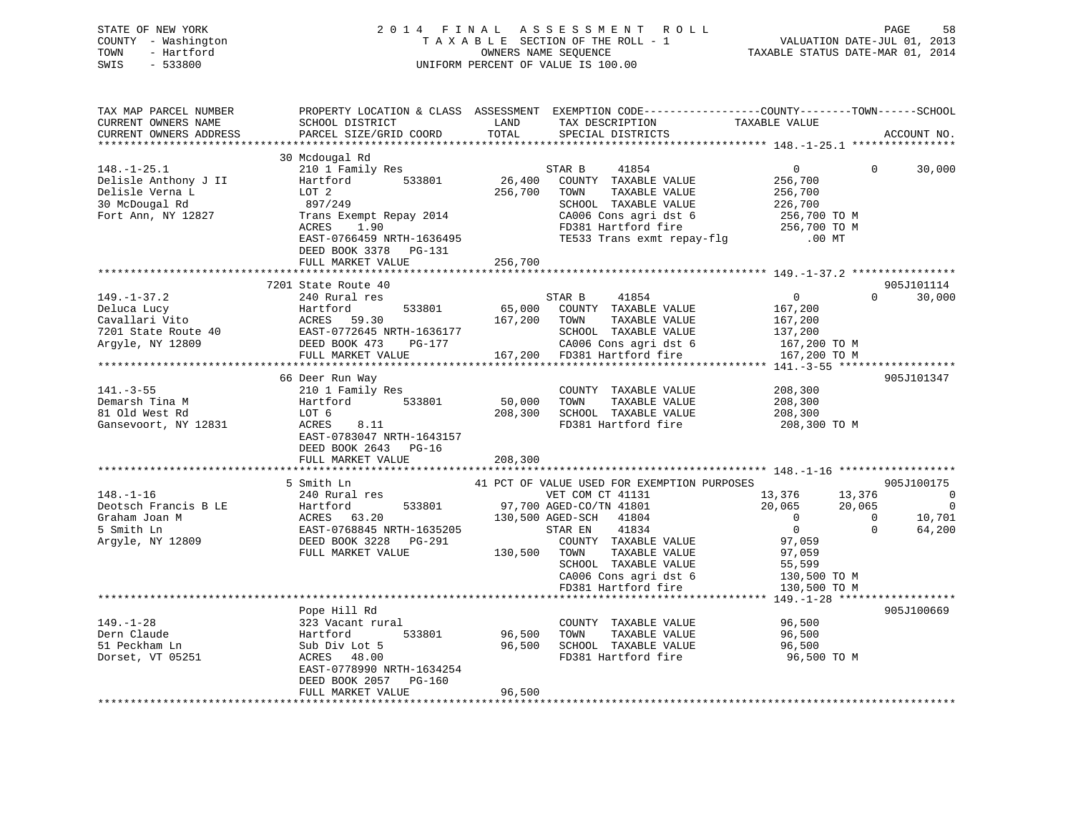| STATE OF NEW YORK<br>COUNTY - Washington<br>- Hartford<br>TOWN<br>SWIS<br>- 533800 | 2014 FINAL ASSESSMENT ROLL<br>TAXABLE SECTION OF THE ROLL - 1<br>OWNERS NAME SEOUENCE<br>UNIFORM PERCENT OF VALUE IS 100.00 | 58<br>PAGE<br>VALUATION DATE-JUL 01, 2013<br>TAXABLE STATUS DATE-MAR 01, 2014 |
|------------------------------------------------------------------------------------|-----------------------------------------------------------------------------------------------------------------------------|-------------------------------------------------------------------------------|
|                                                                                    |                                                                                                                             |                                                                               |

| TAX MAP PARCEL NUMBER<br>CURRENT OWNERS NAME | SCHOOL DISTRICT             | LAND    | TAX DESCRIPTION                             | PROPERTY LOCATION & CLASS ASSESSMENT EXEMPTION CODE----------------COUNTY-------TOWN-----SCHOOL<br>TAXABLE VALUE |             |
|----------------------------------------------|-----------------------------|---------|---------------------------------------------|------------------------------------------------------------------------------------------------------------------|-------------|
| CURRENT OWNERS ADDRESS                       | PARCEL SIZE/GRID COORD      | TOTAL   | SPECIAL DISTRICTS                           |                                                                                                                  | ACCOUNT NO. |
|                                              |                             |         |                                             |                                                                                                                  |             |
|                                              | 30 Mcdougal Rd              |         |                                             |                                                                                                                  |             |
| $148. - 1 - 25.1$                            | 210 1 Family Res            |         | 41854<br>STAR B                             | $\overline{0}$<br>$\Omega$                                                                                       | 30,000      |
| Delisle Anthony J II                         | 533801<br>Hartford          | 26,400  | COUNTY TAXABLE VALUE                        | 256,700                                                                                                          |             |
| Delisle Verna L                              | LOT 2                       | 256,700 | TOWN<br>TAXABLE VALUE                       | 256,700                                                                                                          |             |
| 30 McDougal Rd                               | 897/249                     |         | SCHOOL TAXABLE VALUE                        | 226,700                                                                                                          |             |
| Fort Ann, NY 12827                           | Trans Exempt Repay 2014     |         | CA006 Cons agri dst 6                       | 256,700 TO M                                                                                                     |             |
|                                              | ACRES<br>1.90               |         | FD381 Hartford fire                         |                                                                                                                  |             |
|                                              | EAST-0766459 NRTH-1636495   |         | TE533 Trans exmt repay-flg                  | TO M<br>256,700 TO M                                                                                             |             |
|                                              | DEED BOOK 3378 PG-131       |         |                                             |                                                                                                                  |             |
|                                              | FULL MARKET VALUE           | 256,700 |                                             |                                                                                                                  |             |
|                                              | *************************** |         |                                             |                                                                                                                  |             |
|                                              | 7201 State Route 40         |         |                                             |                                                                                                                  | 905J101114  |
| $149. - 1 - 37.2$                            | 240 Rural res               |         | STAR B<br>41854                             | $\overline{0}$<br>$\Omega$                                                                                       | 30,000      |
| Deluca Lucy                                  | Hartford<br>533801          | 65,000  | COUNTY TAXABLE VALUE                        | 167,200                                                                                                          |             |
| Cavallari Vito                               | ACRES<br>59.30              | 167,200 | TOWN<br>TAXABLE VALUE                       | 167,200                                                                                                          |             |
| 7201 State Route 40                          | EAST-0772645 NRTH-1636177   |         | SCHOOL TAXABLE VALUE                        | 137,200                                                                                                          |             |
| Argyle, NY 12809                             | DEED BOOK 473<br>PG-177     |         | CA006 Cons agri dst 6                       | 167,200 TO M                                                                                                     |             |
|                                              | FULL MARKET VALUE           |         | 167,200 FD381 Hartford fire                 | 167,200 TO M                                                                                                     |             |
|                                              |                             |         |                                             |                                                                                                                  |             |
|                                              | 66 Deer Run Way             |         |                                             |                                                                                                                  | 905J101347  |
| $141. - 3 - 55$                              | 210 1 Family Res            |         | COUNTY TAXABLE VALUE                        | 208,300                                                                                                          |             |
| Demarsh Tina M                               | Hartford<br>533801          | 50,000  | TAXABLE VALUE<br>TOWN                       | 208,300                                                                                                          |             |
| 81 Old West Rd                               | LOT 6                       | 208,300 | SCHOOL TAXABLE VALUE                        | 208,300                                                                                                          |             |
| Gansevoort, NY 12831                         | ACRES<br>8.11               |         | FD381 Hartford fire                         | 208,300 TO M                                                                                                     |             |
|                                              | EAST-0783047 NRTH-1643157   |         |                                             |                                                                                                                  |             |
|                                              | DEED BOOK 2643 PG-16        |         |                                             |                                                                                                                  |             |
|                                              | FULL MARKET VALUE           | 208,300 |                                             |                                                                                                                  |             |
|                                              |                             |         |                                             |                                                                                                                  |             |
|                                              | 5 Smith Ln                  |         | 41 PCT OF VALUE USED FOR EXEMPTION PURPOSES |                                                                                                                  | 905J100175  |
| $148. - 1 - 16$                              | 240 Rural res               |         | VET COM CT 41131                            | 13,376<br>13,376                                                                                                 | $\Omega$    |
| Deotsch Francis B LE                         | 533801<br>Hartford          |         | 97,700 AGED-CO/TN 41801                     | 20,065<br>20,065                                                                                                 | $\Omega$    |
| Graham Joan M                                | ACRES 63.20                 |         | 130,500 AGED-SCH<br>41804                   | $\Omega$<br>$\Omega$                                                                                             | 10,701      |
| 5 Smith Ln                                   | EAST-0768845 NRTH-1635205   |         | 41834<br>STAR EN                            | $\overline{0}$<br>$\Omega$                                                                                       | 64,200      |
| Argyle, NY 12809                             | DEED BOOK 3228<br>PG-291    |         | COUNTY TAXABLE VALUE                        | 97,059                                                                                                           |             |
|                                              | FULL MARKET VALUE           | 130,500 | TOWN<br>TAXABLE VALUE                       | 97,059                                                                                                           |             |
|                                              |                             |         | SCHOOL TAXABLE VALUE                        | 55,599                                                                                                           |             |
|                                              |                             |         | CA006 Cons agri dst 6                       | 130,500 TO M                                                                                                     |             |
|                                              |                             |         | FD381 Hartford fire                         | 130,500 TO M                                                                                                     |             |
|                                              |                             |         |                                             |                                                                                                                  |             |
|                                              | Pope Hill Rd                |         |                                             |                                                                                                                  | 905J100669  |
| $149. - 1 - 28$                              | 323 Vacant rural            |         | COUNTY TAXABLE VALUE                        | 96,500                                                                                                           |             |
| Dern Claude                                  | Hartford<br>533801          | 96,500  | TOWN<br>TAXABLE VALUE                       | 96,500                                                                                                           |             |
| 51 Peckham Ln                                | Sub Div Lot 5               | 96,500  | SCHOOL TAXABLE VALUE                        | 96,500                                                                                                           |             |
| Dorset, VT 05251                             | ACRES 48.00                 |         | FD381 Hartford fire                         | 96,500 TO M                                                                                                      |             |
|                                              | EAST-0778990 NRTH-1634254   |         |                                             |                                                                                                                  |             |
|                                              | DEED BOOK 2057<br>$PG-160$  |         |                                             |                                                                                                                  |             |
|                                              | FULL MARKET VALUE           | 96,500  |                                             |                                                                                                                  |             |
|                                              |                             |         |                                             |                                                                                                                  |             |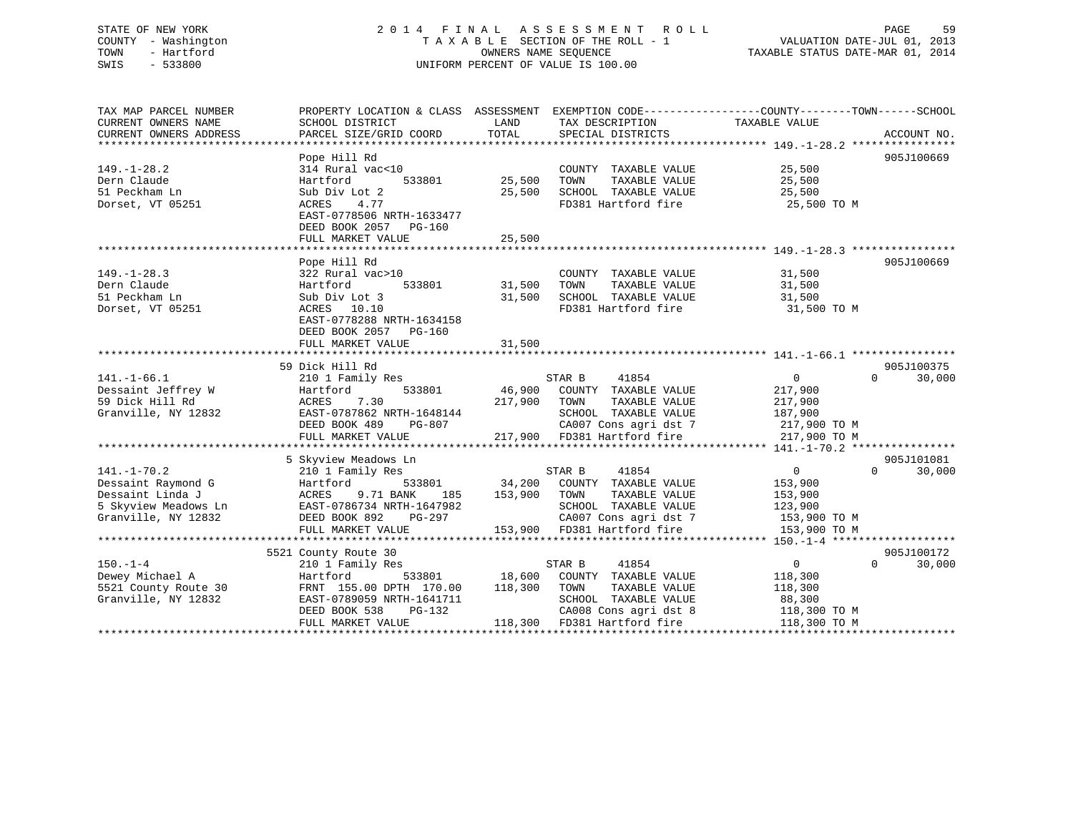## STATE OF NEW YORK 2 0 1 4 F I N A L A S S E S S M E N T R O L L PAGE 59 COUNTY - Washington T A X A B L E SECTION OF THE ROLL - 1 VALUATION DATE-JUL 01, 2013 TRIF OF NEW YORK STATE OF NEW YORK COUNTY - WAS DESCRIPTED A SUBSECTION OF THE ROLL - 1 COUNTY - WALUATION DATE-JUL 01, 2013<br>
TAXABLE SECTION OF THE ROLL - 1 VALUATION DATE-MAR 01, 2014 OWNERS NAME SEQUENCE TAXABLE STATUS SWIS - 533800 UNIFORM PERCENT OF VALUE IS 100.00

TAX MAP PARCEL NUMBER PROPERTY LOCATION & CLASS ASSESSMENT EXEMPTION CODE------------------COUNTY--------TOWN------SCHOOL CURRENT OWNERS NAME SCHOOL DISTRICT LAND TAX DESCRIPTION TAXABLE VALUE CURRENT OWNERS ADDRESS PARCEL SIZE/GRID COORD TOTAL SPECIAL DISTRICTS ACCOUNT NO. \*\*\*\*\*\*\*\*\*\*\*\*\*\*\*\*\*\*\*\*\*\*\*\*\*\*\*\*\*\*\*\*\*\*\*\*\*\*\*\*\*\*\*\*\*\*\*\*\*\*\*\*\*\*\*\*\*\*\*\*\*\*\*\*\*\*\*\*\*\*\*\*\*\*\*\*\*\*\*\*\*\*\*\*\*\*\*\*\*\*\*\*\*\*\*\*\*\*\*\*\*\*\* 149.-1-28.2 \*\*\*\*\*\*\*\*\*\*\*\*\*\*\*\* Pope Hill Rd 905J100669 149.-1-28.2 314 Rural vac<10 COUNTY TAXABLE VALUE 25,500 Dern Claude Hartford 533801 25,500 TOWN TAXABLE VALUE 25,500 51 Peckham Ln Sub Div Lot 2 25,500 SCHOOL TAXABLE VALUE 25,500 Dorset, VT 05251 ACRES 4.77 FD381 Hartford fire 25,500 TO M EAST-0778506 NRTH-1633477 DEED BOOK 2057 PG-160 FULL MARKET VALUE 25,500 \*\*\*\*\*\*\*\*\*\*\*\*\*\*\*\*\*\*\*\*\*\*\*\*\*\*\*\*\*\*\*\*\*\*\*\*\*\*\*\*\*\*\*\*\*\*\*\*\*\*\*\*\*\*\*\*\*\*\*\*\*\*\*\*\*\*\*\*\*\*\*\*\*\*\*\*\*\*\*\*\*\*\*\*\*\*\*\*\*\*\*\*\*\*\*\*\*\*\*\*\*\*\* 149.-1-28.3 \*\*\*\*\*\*\*\*\*\*\*\*\*\*\*\* Pope Hill Rd 905J100669 149.-1-28.3 322 Rural vac>10 COUNTY TAXABLE VALUE 31,500 Dern Claude Hartford 533801 31,500 TOWN TAXABLE VALUE 31,500 51 Peckham Ln Sub Div Lot 3 31,500 SCHOOL TAXABLE VALUE 31,500 Dorset, VT 05251 ACRES 10.10 FD381 Hartford fire 31,500 TO M EAST-0778288 NRTH-1634158 DEED BOOK 2057 PG-160 FULL MARKET VALUE 31,500 \*\*\*\*\*\*\*\*\*\*\*\*\*\*\*\*\*\*\*\*\*\*\*\*\*\*\*\*\*\*\*\*\*\*\*\*\*\*\*\*\*\*\*\*\*\*\*\*\*\*\*\*\*\*\*\*\*\*\*\*\*\*\*\*\*\*\*\*\*\*\*\*\*\*\*\*\*\*\*\*\*\*\*\*\*\*\*\*\*\*\*\*\*\*\*\*\*\*\*\*\*\*\* 141.-1-66.1 \*\*\*\*\*\*\*\*\*\*\*\*\*\*\*\*905J100375 59 Dick Hill Rd 905J100375 $0 \t 30,000$ 141.-1-66.1 210 1 Family Res STAR B 41854 0 30,000 Dessaint Jeffrey W Hartford 533801 46,900 COUNTY TAXABLE VALUE 217,900 59 Dick Hill Rd ACRES 7.30 217,900 TOWN TAXABLE VALUE 217,900 Granville, NY 12832 EAST-0787862 NRTH-1648144 SCHOOL TAXABLE VALUE 187,900 DEED BOOK 489 PG-807 CA007 Cons agri dst 7 217,900 TO M FULL MARKET VALUE 217,900 FD381 Hartford fire 217,900 TO M \*\*\*\*\*\*\*\*\*\*\*\*\*\*\*\*\*\*\*\*\*\*\*\*\*\*\*\*\*\*\*\*\*\*\*\*\*\*\*\*\*\*\*\*\*\*\*\*\*\*\*\*\*\*\*\*\*\*\*\*\*\*\*\*\*\*\*\*\*\*\*\*\*\*\*\*\*\*\*\*\*\*\*\*\*\*\*\*\*\*\*\*\*\*\*\*\*\*\*\*\*\*\* 141.-1-70.2 \*\*\*\*\*\*\*\*\*\*\*\*\*\*\*\*905J101081 5 Skyview Meadows Ln 905J101081 141.-1-70.2 210 1 Family Res STAR B 41854 0 0 30,000 Dessaint Raymond G Hartford 533801 34,200 COUNTY TAXABLE VALUE 153,900 Dessaint Linda J ACRES 9.71 BANK 185 153,900 TOWN TAXABLE VALUE 153,900 5 Skyview Meadows Ln EAST-0786734 NRTH-1647982 SCHOOL TAXABLE VALUE 123,900 Granville, NY 12832 DEED BOOK 892 PG-297 CA007 Cons agri dst 7 153,900 TO M FULL MARKET VALUE 153,900 FD381 Hartford fire 153,900 TO M \*\*\*\*\*\*\*\*\*\*\*\*\*\*\*\*\*\*\*\*\*\*\*\*\*\*\*\*\*\*\*\*\*\*\*\*\*\*\*\*\*\*\*\*\*\*\*\*\*\*\*\*\*\*\*\*\*\*\*\*\*\*\*\*\*\*\*\*\*\*\*\*\*\*\*\*\*\*\*\*\*\*\*\*\*\*\*\*\*\*\*\*\*\*\*\*\*\*\*\*\*\*\* 150.-1-4 \*\*\*\*\*\*\*\*\*\*\*\*\*\*\*\*\*\*\*905J100172 5521 County Route 30 905J100172 150.-1-4 210 1 Family Res STAR B 41854 0 0 30,000 Dewey Michael A Hartford 533801 18,600 COUNTY TAXABLE VALUE 118,300 5521 County Route 30 FRNT 155.00 DPTH 170.00 118,300 TOWN TAXABLE VALUE 118,300 Granville, NY 12832 EAST-0789059 NRTH-1641711 SCHOOL TAXABLE VALUE 88,300 DEED BOOK 538 PG-132 CA008 Cons agri dst 8 118,300 TO M FULL MARKET VALUE 118,300 FD381 Hartford fire 118,300 TO M \*\*\*\*\*\*\*\*\*\*\*\*\*\*\*\*\*\*\*\*\*\*\*\*\*\*\*\*\*\*\*\*\*\*\*\*\*\*\*\*\*\*\*\*\*\*\*\*\*\*\*\*\*\*\*\*\*\*\*\*\*\*\*\*\*\*\*\*\*\*\*\*\*\*\*\*\*\*\*\*\*\*\*\*\*\*\*\*\*\*\*\*\*\*\*\*\*\*\*\*\*\*\*\*\*\*\*\*\*\*\*\*\*\*\*\*\*\*\*\*\*\*\*\*\*\*\*\*\*\*\*\*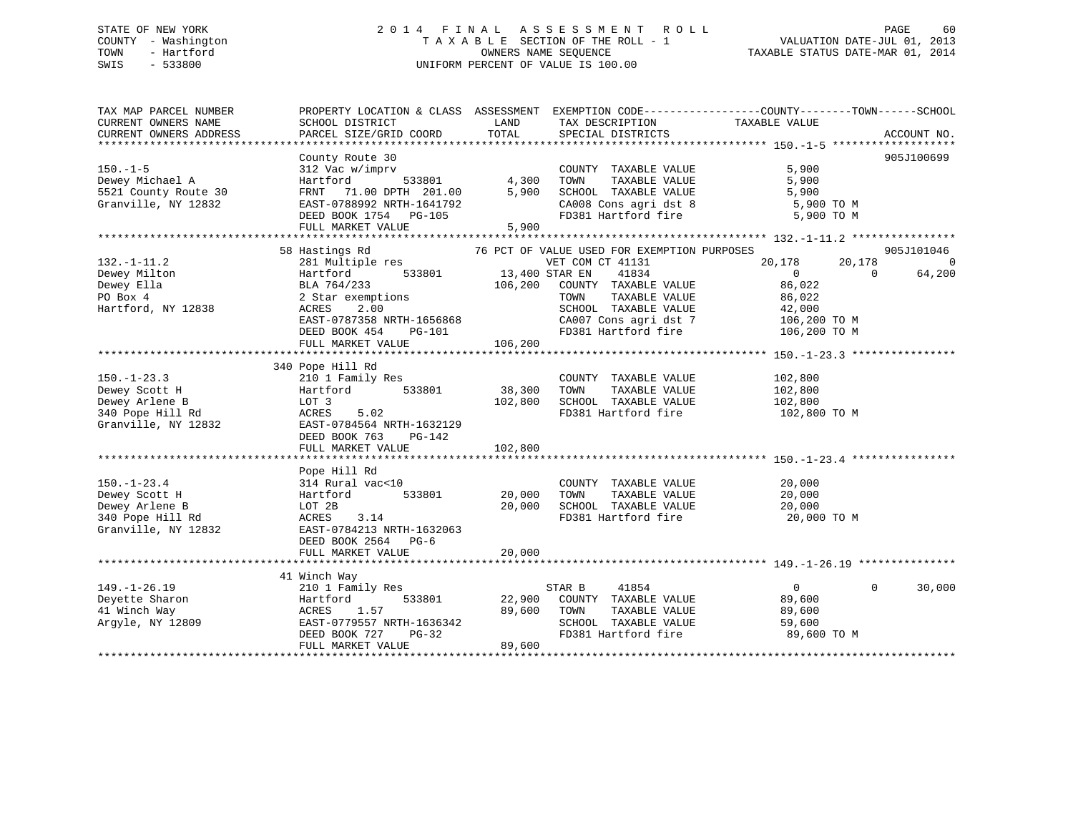### STATE OF NEW YORK 2 0 1 4 F I N A L A S S E S S M E N T R O L L PAGE 60 COUNTY - Washington T A X A B L E SECTION OF THE ROLL - 1 VALUATION DATE-JUL 01, 2013 TOWN - Hartford OWNERS NAME SEQUENCE TAXABLE STATUS DATE-MAR 01, 2014 SWIS - 533800 UNIFORM PERCENT OF VALUE IS 100.00

| TAX MAP PARCEL NUMBER<br>CURRENT OWNERS NAME<br>CURRENT OWNERS ADDRESS                          | PROPERTY LOCATION & CLASS ASSESSMENT<br>SCHOOL DISTRICT<br>PARCEL SIZE/GRID COORD                                                                                                          | LAND<br>TOTAL                        | TAX DESCRIPTION<br>SPECIAL DISTRICTS                                                                                                                                                              | EXEMPTION CODE-----------------COUNTY-------TOWN------SCHOOL<br>TAXABLE VALUE                                | ACCOUNT NO.                      |
|-------------------------------------------------------------------------------------------------|--------------------------------------------------------------------------------------------------------------------------------------------------------------------------------------------|--------------------------------------|---------------------------------------------------------------------------------------------------------------------------------------------------------------------------------------------------|--------------------------------------------------------------------------------------------------------------|----------------------------------|
| $150. - 1 - 5$<br>Dewey Michael A<br>5521 County Route 30<br>Granville, NY 12832                | County Route 30<br>312 Vac w/imprv<br>533801<br>Hartford<br>FRNT 71.00 DPTH 201.00<br>EAST-0788992 NRTH-1641792<br>DEED BOOK 1754 PG-105<br>FULL MARKET VALUE                              | 4,300<br>5,900<br>5,900              | COUNTY TAXABLE VALUE<br>TOWN<br>TAXABLE VALUE<br>SCHOOL TAXABLE VALUE<br>CA008 Cons agri dst 8<br>FD381 Hartford fire                                                                             | 5,900<br>5,900<br>5,900<br>5,900 TO M<br>5,900 TO M                                                          | 905J100699                       |
| $132. - 1 - 11.2$<br>Dewey Milton<br>Dewey Ella<br>PO Box 4<br>Hartford, NY 12838               | 58 Hastings Rd<br>281 Multiple res<br>533801<br>Hartford<br>BLA 764/233<br>2 Star exemptions<br>ACRES<br>2.00<br>EAST-0787358 NRTH-1656868<br>DEED BOOK 454<br>PG-101<br>FULL MARKET VALUE | 13,400 STAR EN<br>106,200<br>106,200 | 76 PCT OF VALUE USED FOR EXEMPTION PURPOSES<br>VET COM CT 41131<br>41834<br>COUNTY TAXABLE VALUE<br>TOWN<br>TAXABLE VALUE<br>SCHOOL TAXABLE VALUE<br>CA007 Cons agri dst 7<br>FD381 Hartford fire | 20,178<br>20,178<br>$\overline{0}$<br>$\Omega$<br>86,022<br>86,022<br>42,000<br>106,200 TO M<br>106,200 TO M | 905J101046<br>$\Omega$<br>64,200 |
| $150. - 1 - 23.3$<br>Dewey Scott H<br>Dewey Arlene B<br>340 Pope Hill Rd<br>Granville, NY 12832 | 340 Pope Hill Rd<br>210 1 Family Res<br>533801<br>Hartford<br>LOT 3<br>5.02<br>ACRES<br>EAST-0784564 NRTH-1632129<br>DEED BOOK 763<br>PG-142<br>FULL MARKET VALUE                          | 38,300<br>102,800<br>102,800         | COUNTY TAXABLE VALUE<br>TOWN<br>TAXABLE VALUE<br>SCHOOL TAXABLE VALUE<br>FD381 Hartford fire                                                                                                      | 102,800<br>102,800<br>102,800<br>102,800 TO M                                                                |                                  |
| $150. - 1 - 23.4$<br>Dewey Scott H<br>Dewey Arlene B<br>340 Pope Hill Rd<br>Granville, NY 12832 | Pope Hill Rd<br>314 Rural vac<10<br>533801<br>Hartford<br>LOT 2B<br>ACRES<br>3.14<br>EAST-0784213 NRTH-1632063<br>DEED BOOK 2564 PG-6<br>FULL MARKET VALUE                                 | 20,000<br>20,000<br>20,000           | COUNTY TAXABLE VALUE<br>TOWN<br>TAXABLE VALUE<br>SCHOOL TAXABLE VALUE<br>FD381 Hartford fire                                                                                                      | 20,000<br>20,000<br>20,000<br>20,000 TO M                                                                    |                                  |
| $149. - 1 - 26.19$<br>Deyette Sharon<br>41 Winch Way<br>Argyle, NY 12809                        | 41 Winch Way<br>210 1 Family Res<br>533801<br>Hartford<br>1.57<br>ACRES<br>EAST-0779557 NRTH-1636342<br>DEED BOOK 727<br>PG-32<br>FULL MARKET VALUE                                        | 22,900<br>89,600<br>89,600           | STAR B<br>41854<br>COUNTY TAXABLE VALUE<br>TOWN<br>TAXABLE VALUE<br>SCHOOL TAXABLE VALUE<br>FD381 Hartford fire                                                                                   | $\overline{0}$<br>$\Omega$<br>89,600<br>89,600<br>59,600<br>89,600 TO M                                      | 30,000                           |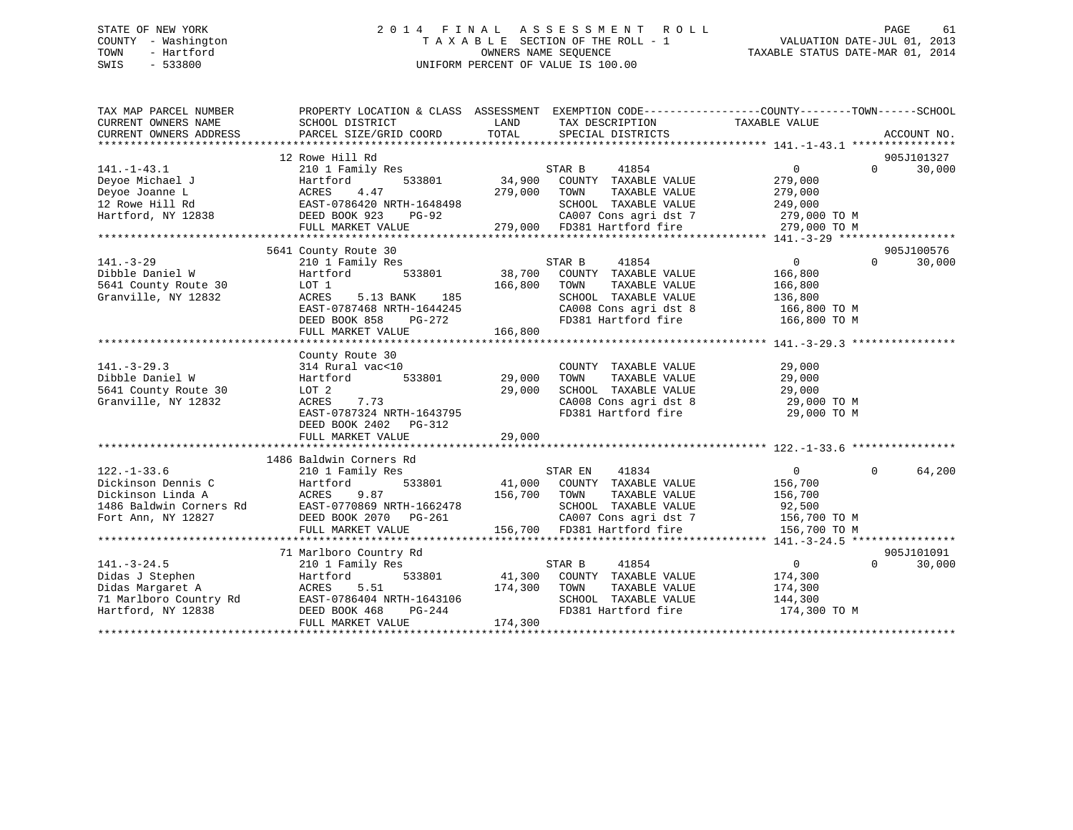#### STATE OF NEW YORK 2 0 1 4 F I N A L A S S E S S M E N T R O L L PAGE 61COUNTY - Washington  $\begin{array}{ccc}\n\text{T A X A B L E} & \text{SECTION OF THE ROLL} - 1 \\
\text{TOWN} & - \text{ Hartford}\n\end{array}$ OWNERS NAME SEQUENCE TAXABLE STATUS DATE-MAR 01, 2014 SWIS - 533800 UNIFORM PERCENT OF VALUE IS 100.00

| TAX MAP PARCEL NUMBER<br>CURRENT OWNERS NAME<br>CURRENT OWNERS ADDRESS | PROPERTY LOCATION & CLASS ASSESSMENT EXEMPTION CODE----------------COUNTY-------TOWN-----SCHOOL<br>SCHOOL DISTRICT<br>PARCEL SIZE/GRID COORD | LAND<br>TOTAL | TAX DESCRIPTION<br>SPECIAL DISTRICTS                                              | TAXABLE VALUE     |                   | ACCOUNT NO. |
|------------------------------------------------------------------------|----------------------------------------------------------------------------------------------------------------------------------------------|---------------|-----------------------------------------------------------------------------------|-------------------|-------------------|-------------|
|                                                                        |                                                                                                                                              |               |                                                                                   |                   |                   |             |
|                                                                        | 12 Rowe Hill Rd                                                                                                                              |               |                                                                                   |                   |                   | 905J101327  |
| $141. - 1 - 43.1$                                                      | 210 1 Family Res                                                                                                                             |               | STAR B<br>41854                                                                   | $0 \qquad \qquad$ | $0 \qquad \qquad$ | 30,000      |
| Deyoe Michael J                                                        | 533801<br>Hartford                                                                                                                           | 34,900        | COUNTY TAXABLE VALUE                                                              | 279,000           |                   |             |
| Deyoe Joanne L                                                         | ACRES<br>4.47                                                                                                                                | 279,000       | TOWN<br>TAXABLE VALUE                                                             | 279,000           |                   |             |
| 12 Rowe Hill Rd                                                        |                                                                                                                                              |               | SCHOOL TAXABLE VALUE                                                              | 249,000           |                   |             |
| Hartford, NY 12838                                                     | EAST-0786420 NRTH-1648498<br>8 DEED BOOK 923 PG-92<br>DEED BOOK 923<br>PG-92                                                                 |               |                                                                                   |                   |                   |             |
|                                                                        | FULL MARKET VALUE                                                                                                                            |               | 21 CA007 Cons agri dst 7 279,000 TO M<br>279,000 FD381 Hartford fire 279,000 TO M |                   |                   |             |
|                                                                        |                                                                                                                                              |               |                                                                                   |                   |                   |             |
|                                                                        | 5641 County Route 30                                                                                                                         |               |                                                                                   |                   |                   | 905J100576  |
| $141. - 3 - 29$                                                        | 210 1 Family Res                                                                                                                             |               | 41854<br>STAR B                                                                   | $\overline{0}$    | $\Omega$          | 30,000      |
| Dibble Daniel W                                                        | 533801<br>Hartford                                                                                                                           |               | 38,700 COUNTY TAXABLE VALUE                                                       | 166,800           |                   |             |
| 5641 County Route 30                                                   | LOT 1                                                                                                                                        | 166,800       | TOWN<br>TAXABLE VALUE                                                             | 166,800           |                   |             |
| Granville, NY 12832                                                    | 185<br>ACRES<br>5.13 BANK                                                                                                                    |               | SCHOOL TAXABLE VALUE                                                              | 136,800           |                   |             |
|                                                                        | EAST-0787468 NRTH-1644245                                                                                                                    |               |                                                                                   | 166,800 TO M      |                   |             |
|                                                                        | DEED BOOK 858<br>PG-272                                                                                                                      |               | CA008 Cons agri dst 8<br>FD381 Hartford fire                                      | 166,800 TO M      |                   |             |
|                                                                        | FULL MARKET VALUE                                                                                                                            | 166,800       |                                                                                   |                   |                   |             |
|                                                                        |                                                                                                                                              |               |                                                                                   |                   |                   |             |
|                                                                        | County Route 30                                                                                                                              |               |                                                                                   |                   |                   |             |
| $141. - 3 - 29.3$                                                      | 314 Rural vac<10                                                                                                                             |               | COUNTY TAXABLE VALUE                                                              | 29,000            |                   |             |
| Dibble Daniel W                                                        | Hartford<br>533801                                                                                                                           | 29,000        | TAXABLE VALUE<br>TOWN                                                             | 29,000            |                   |             |
| 5641 County Route 30                                                   | LOT 2                                                                                                                                        | 29,000        | SCHOOL TAXABLE VALUE                                                              | 29,000            |                   |             |
| Granville, NY 12832                                                    | 7.73<br>ACRES                                                                                                                                |               |                                                                                   | $29,000$ TO M     |                   |             |
|                                                                        | EAST-0787324 NRTH-1643795                                                                                                                    |               | CA008 Cons agri dst 8<br>FD381 Hartford fire                                      | 29,000 TO M       |                   |             |
|                                                                        | DEED BOOK 2402 PG-312                                                                                                                        |               |                                                                                   |                   |                   |             |
|                                                                        |                                                                                                                                              |               |                                                                                   |                   |                   |             |
|                                                                        |                                                                                                                                              |               |                                                                                   |                   |                   |             |
|                                                                        | 1486 Baldwin Corners Rd                                                                                                                      |               |                                                                                   |                   |                   |             |
| $122. - 1 - 33.6$                                                      | 210 1 Family Res                                                                                                                             |               | STAR EN<br>41834                                                                  | $\overline{0}$    | $\Omega$          | 64,200      |
| Dickinson Dennis C                                                     | Hartford                                                                                                                                     |               | 533801 41,000 COUNTY TAXABLE VALUE                                                | 156,700           |                   |             |
| Dickinson Linda A                                                      |                                                                                                                                              | 156,700       | TAXABLE VALUE<br>TOWN                                                             | 156,700           |                   |             |
| 1486 Baldwin Corners Rd                                                | ACRES 9.87<br>EAST-0770869 NRTH-1662478                                                                                                      |               | SCHOOL TAXABLE VALUE                                                              | 92,500            |                   |             |
| Fort Ann, NY 12827                                                     | DEED BOOK 2070 PG-261                                                                                                                        |               | CA007 Cons agri dst 7 156,700 TO M                                                |                   |                   |             |
|                                                                        | FULL MARKET VALUE                                                                                                                            |               | 156,700 FD381 Hartford fire                                                       | 156,700 TO M      |                   |             |
|                                                                        |                                                                                                                                              |               |                                                                                   |                   |                   |             |
|                                                                        | 71 Marlboro Country Rd                                                                                                                       |               |                                                                                   |                   |                   | 905J101091  |
| $141. - 3 - 24.5$                                                      | 210 1 Family Res                                                                                                                             |               | 41854<br>STAR B                                                                   | $\overline{0}$    | $\Omega$          | 30,000      |
| Didas J Stephen                                                        | Hartford                                                                                                                                     |               | 533801 41,300 COUNTY TAXABLE VALUE                                                | 174,300           |                   |             |
| Didas Margaret A                                                       | ACRES 5.51 174,300 TOWN<br>EAST-0786404 NRTH-1643106 SCHOOL<br>DEED BOOK 468 PG-244 FD381 Hz                                                 |               | TAXABLE VALUE                                                                     | 174,300           |                   |             |
| 71 Marlboro Country Rd                                                 |                                                                                                                                              |               | SCHOOL TAXABLE VALUE                                                              | 144,300           |                   |             |
| Hartford, NY 12838                                                     |                                                                                                                                              |               | FD381 Hartford fire                                                               | 174,300 TO M      |                   |             |
|                                                                        | FULL MARKET VALUE                                                                                                                            | 174,300       |                                                                                   |                   |                   |             |
|                                                                        |                                                                                                                                              |               |                                                                                   |                   |                   |             |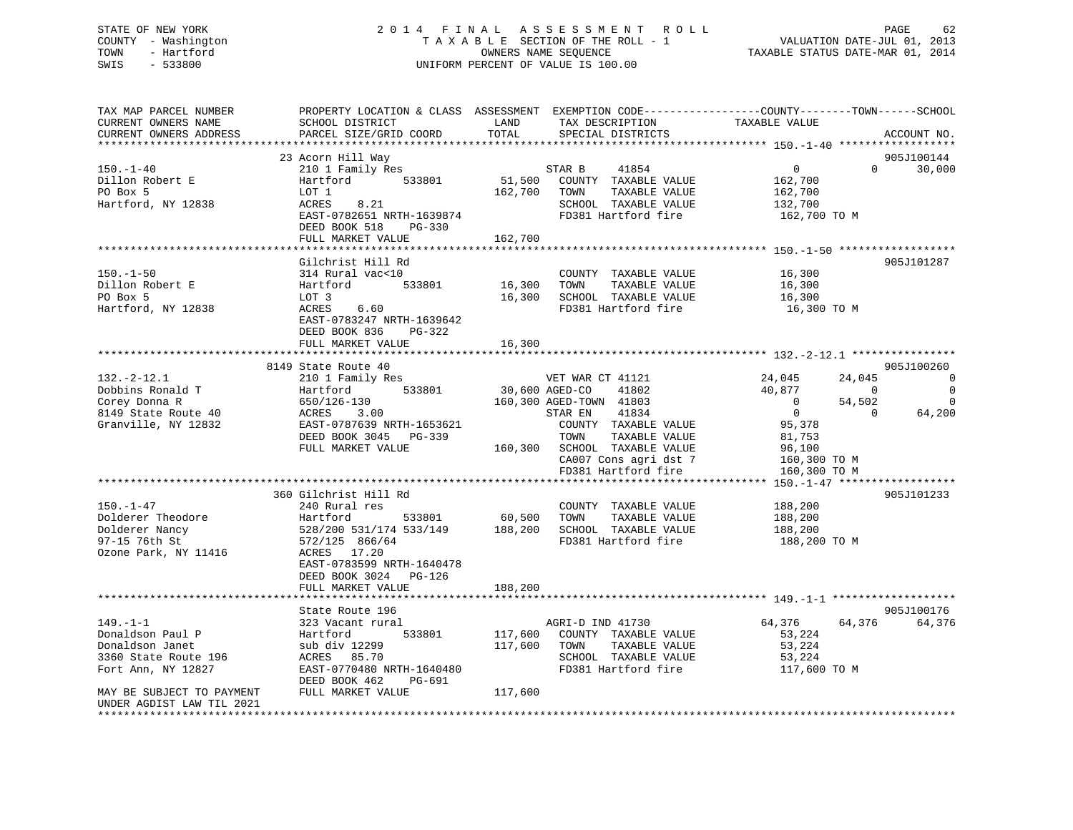### STATE OF NEW YORK 2 0 1 4 F I N A L A S S E S S M E N T R O L L PAGE 62 COUNTY - Washington T A X A B L E SECTION OF THE ROLL - 1 VALUATION DATE-JUL 01, 2013 TOWN - Hartford **TAXABLE STATUS DATE-MAR 01, 2014** OWNERS NAME SEQUENCE TAXABLE STATUS DATE-MAR 01, 2014 SWIS - 533800 UNIFORM PERCENT OF VALUE IS 100.00

| TAX MAP PARCEL NUMBER<br>CURRENT OWNERS NAME<br>CURRENT OWNERS ADDRESS<br>***********************                                | PROPERTY LOCATION & CLASS ASSESSMENT<br>SCHOOL DISTRICT<br>PARCEL SIZE/GRID COORD                                                                                                                   | LAND<br>TOTAL                 | EXEMPTION CODE-----------------COUNTY-------TOWN------SCHOOL<br>TAX DESCRIPTION<br>SPECIAL DISTRICTS                                                                                                                       | TAXABLE VALUE                                                                                                                                           |                                   | ACCOUNT NO.                                            |
|----------------------------------------------------------------------------------------------------------------------------------|-----------------------------------------------------------------------------------------------------------------------------------------------------------------------------------------------------|-------------------------------|----------------------------------------------------------------------------------------------------------------------------------------------------------------------------------------------------------------------------|---------------------------------------------------------------------------------------------------------------------------------------------------------|-----------------------------------|--------------------------------------------------------|
| $150. - 1 - 40$<br>Dillon Robert E<br>PO Box 5<br>Hartford, NY 12838                                                             | 23 Acorn Hill Way<br>210 1 Family Res<br>533801<br>Hartford<br>LOT 1<br>8.21<br>ACRES<br>EAST-0782651 NRTH-1639874<br>DEED BOOK 518<br>PG-330<br>FULL MARKET VALUE                                  | 51,500<br>162,700<br>162,700  | STAR B<br>41854<br>COUNTY TAXABLE VALUE<br>TOWN<br>TAXABLE VALUE<br>SCHOOL TAXABLE VALUE<br>FD381 Hartford fire                                                                                                            | $\mathsf{O}$<br>162,700<br>162,700<br>132,700<br>162,700 TO M                                                                                           | $\Omega$                          | 905J100144<br>30,000                                   |
| 150.–1–50<br>Dillon Robert E<br>PO Box 5<br>Hartford, NY 12838                                                                   | Gilchrist Hill Rd<br>314 Rural vac<10<br>533801<br>Hartford<br>LOT 3<br>6.60<br>ACRES<br>EAST-0783247 NRTH-1639642<br>DEED BOOK 836<br>PG-322<br>FULL MARKET VALUE                                  | 16,300<br>16,300<br>16,300    | COUNTY TAXABLE VALUE<br>TOWN<br>TAXABLE VALUE<br>SCHOOL TAXABLE VALUE<br>FD381 Hartford fire                                                                                                                               | 16,300<br>16,300<br>16,300<br>16,300 TO M                                                                                                               |                                   | 905J101287                                             |
|                                                                                                                                  | 8149 State Route 40                                                                                                                                                                                 |                               |                                                                                                                                                                                                                            |                                                                                                                                                         |                                   | 905J100260                                             |
| $132. - 2 - 12.1$<br>Dobbins Ronald T<br>Corey Donna R<br>8149 State Route 40<br>Granville, NY 12832                             | 210 1 Family Res<br>533801<br>Hartford<br>650/126-130<br>ACRES<br>3.00<br>EAST-0787639 NRTH-1653621<br>DEED BOOK 3045<br>PG-339<br>FULL MARKET VALUE<br>***********************************         | 30,600 AGED-CO<br>160,300     | VET WAR CT 41121<br>41802<br>160,300 AGED-TOWN 41803<br>STAR EN<br>41834<br>COUNTY TAXABLE VALUE<br>TOWN<br>TAXABLE VALUE<br>SCHOOL TAXABLE VALUE<br>CA007 Cons agri dst 7<br>FD381 Hartford fire<br>********************* | 24,045<br>40,877<br>$\overline{0}$<br>$\overline{0}$<br>95,378<br>81,753<br>96,100<br>160,300 TO M<br>160,300 TO M<br>****** 150.-1-47 **************** | 24,045<br>0<br>54,502<br>$\Omega$ | $\mathbf 0$<br>$\overline{0}$<br>$\mathbf 0$<br>64,200 |
| $150. - 1 - 47$<br>Dolderer Theodore<br>Dolderer Nancy<br>97-15 76th St<br>Ozone Park, NY 11416                                  | 360 Gilchrist Hill Rd<br>240 Rural res<br>Hartford<br>533801<br>528/200 531/174 533/149<br>572/125 866/64<br>ACRES 17.20<br>EAST-0783599 NRTH-1640478<br>DEED BOOK 3024 PG-126<br>FULL MARKET VALUE | 60,500<br>188,200<br>188,200  | COUNTY TAXABLE VALUE<br>TOWN<br>TAXABLE VALUE<br>SCHOOL TAXABLE VALUE<br>FD381 Hartford fire                                                                                                                               | 188,200<br>188,200<br>188,200<br>188,200 TO M                                                                                                           |                                   | 905J101233                                             |
|                                                                                                                                  | State Route 196                                                                                                                                                                                     |                               |                                                                                                                                                                                                                            |                                                                                                                                                         |                                   | 905J100176                                             |
| $149. - 1 - 1$<br>Donaldson Paul P<br>Donaldson Janet<br>3360 State Route 196<br>Fort Ann, NY 12827<br>MAY BE SUBJECT TO PAYMENT | 323 Vacant rural<br>533801<br>Hartford<br>sub div 12299<br>ACRES 85.70<br>EAST-0770480 NRTH-1640480<br>DEED BOOK 462<br>PG-691<br>FULL MARKET VALUE                                                 | 117,600<br>117,600<br>117,600 | AGRI-D IND 41730<br>COUNTY TAXABLE VALUE<br>TOWN<br>TAXABLE VALUE<br>SCHOOL TAXABLE VALUE<br>FD381 Hartford fire                                                                                                           | 64,376<br>53,224<br>53,224<br>53,224<br>117,600 TO M                                                                                                    | 64,376                            | 64,376                                                 |
| UNDER AGDIST LAW TIL 2021                                                                                                        |                                                                                                                                                                                                     |                               |                                                                                                                                                                                                                            |                                                                                                                                                         |                                   |                                                        |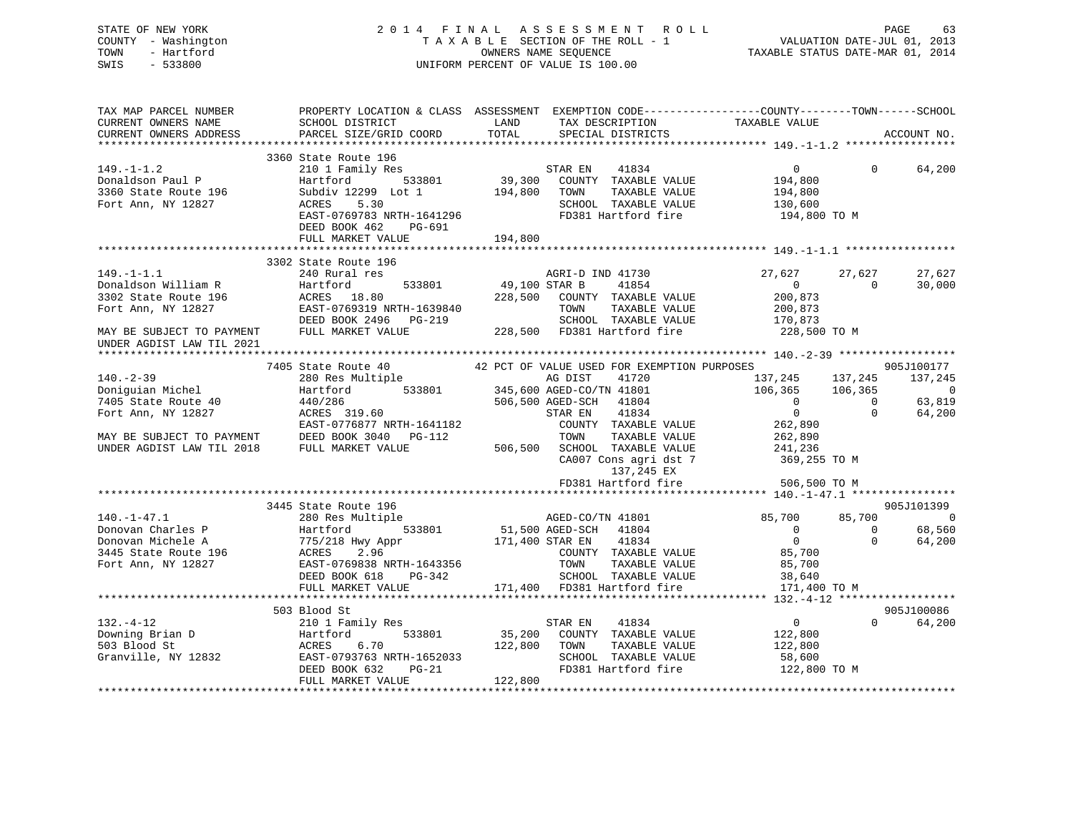STATE OF NEW YORK 2 0 1 4 F I N A L A S S E S S M E N T R O L L PAGE 63 COUNTY - Washington T A X A B L E SECTION OF THE ROLL - 1 VALUATION DATE-JUL 01, 2013 TOWN - Hartford OWNERS NAME SEQUENCE TAXABLE STATUS DATE-MAR 01, 2014 SWIS - 533800 UNIFORM PERCENT OF VALUE IS 100.00 TAX MAP PARCEL NUMBER PROPERTY LOCATION & CLASS ASSESSMENT EXEMPTION CODE------------------COUNTY--------TOWN------SCHOOL CURRENT OWNERS NAME SCHOOL DISTRICT THE LAND TAX DESCRIPTION TAXABLE VALUE CURRENT OWNERS ADDRESS PARCEL SIZE/GRID COORD TOTAL SPECIAL DISTRICTS ACCOUNT NO. \*\*\*\*\*\*\*\*\*\*\*\*\*\*\*\*\*\*\*\*\*\*\*\*\*\*\*\*\*\*\*\*\*\*\*\*\*\*\*\*\*\*\*\*\*\*\*\*\*\*\*\*\*\*\*\*\*\*\*\*\*\*\*\*\*\*\*\*\*\*\*\*\*\*\*\*\*\*\*\*\*\*\*\*\*\*\*\*\*\*\*\*\*\*\*\*\*\*\*\*\*\*\* 149.-1-1.2 \*\*\*\*\*\*\*\*\*\*\*\*\*\*\*\*\* 3360 State Route 196 149.-1-1.2 210 1 Family Res STAR EN 41834 0 0 64,200 Donaldson Paul P Hartford 533801 39,300 COUNTY TAXABLE VALUE 194,800 3360 State Route 196 Subdiv 12299 Lot 1 194,800 TOWN TAXABLE VALUE 194,800 Fort Ann, NY 12827 ACRES 5.30 SCHOOL TAXABLE VALUE 130,600 EAST-0769783 NRTH-1641296 FD381 Hartford fire 194,800 TO M DEED BOOK 462 PG-691FULL MARKET VALUE 194,800 \*\*\*\*\*\*\*\*\*\*\*\*\*\*\*\*\*\*\*\*\*\*\*\*\*\*\*\*\*\*\*\*\*\*\*\*\*\*\*\*\*\*\*\*\*\*\*\*\*\*\*\*\*\*\*\*\*\*\*\*\*\*\*\*\*\*\*\*\*\*\*\*\*\*\*\*\*\*\*\*\*\*\*\*\*\*\*\*\*\*\*\*\*\*\*\*\*\*\*\*\*\*\* 149.-1-1.1 \*\*\*\*\*\*\*\*\*\*\*\*\*\*\*\*\* 3302 State Route 196149.-1-1.1 240 Rural res AGRI-D IND 41730 27,627 27,627 27,627 Donaldson William R Hartford 533801 49,100 STAR B 41854 0 0 30,000 3302 State Route 196 ACRES 18.80 228,500 COUNTY TAXABLE VALUE 200,873 Fort Ann, NY 12827 EAST-0769319 NRTH-1639840 TOWN TAXABLE VALUE 200,873 DEED BOOK 2496 PG-219 SCHOOL TAXABLE VALUE 170,873

MAY BE SUBJECT TO PAYMENT FULL MARKET VALUE 228,500 FD381 Hartford fire 228,500 TO M

UNDER AGDIST LAW TIL 2021

|                           |                           | 7405 State Route 40 42 PCT OF VALUE USED FOR EXEMPTION PURPOSES |                      | 905J100177     |
|---------------------------|---------------------------|-----------------------------------------------------------------|----------------------|----------------|
| $140. - 2 - 39$           | 280 Res Multiple          | AG DIST<br>41720                                                | 137,245 137,245      | 137,245        |
| Doniquian Michel          | 533801<br>Hartford        | 345,600 AGED-CO/TN 41801                                        | 106,365 106,365      | $\overline{0}$ |
| 7405 State Route 40       | 440/286                   | 506,500 AGED-SCH 41804                                          | $\Omega$<br>$\Omega$ | 63,819         |
| Fort Ann, NY 12827        | ACRES 319.60              | 41834<br>STAR EN                                                | $\Omega$<br>$\Omega$ | 64,200         |
|                           | EAST-0776877 NRTH-1641182 | COUNTY<br>TAXABLE VALUE                                         | 262,890              |                |
| MAY BE SUBJECT TO PAYMENT | DEED BOOK 3040<br>PG-112  | TAXABLE VALUE<br>TOWN                                           | 262,890              |                |
| UNDER AGDIST LAW TIL 2018 | FULL MARKET VALUE         | 506,500<br>SCHOOL<br>TAXABLE VALUE                              | 241,236              |                |
|                           |                           | CA007 Cons agri dst 7                                           | 369,255 TO M         |                |
|                           |                           | 137,245 EX                                                      |                      |                |
|                           |                           | FD381 Hartford fire                                             | 506,500 TO M         |                |
|                           |                           |                                                                 |                      |                |
|                           | 3445 State Route 196      |                                                                 |                      | 905J101399     |
| $140. - 1 - 47.1$         | 280 Res Multiple          | AGED-CO/TN 41801                                                | 85,700<br>85,700     | $\Omega$       |
| Donovan Charles P         | Hartford<br>533801        | 51,500 AGED-SCH 41804                                           | $\Omega$<br>0        | 68,560         |
| Donovan Michele A         | 775/218 Hwy Appr          | 171,400 STAR EN<br>41834                                        | $\Omega$<br>$\Omega$ | 64,200         |
| 3445 State Route 196      | ACRES 2.96                | COUNTY TAXABLE VALUE                                            | 85,700               |                |
| Fort Ann, NY 12827        | EAST-0769838 NRTH-1643356 | TOWN<br>TAXABLE VALUE                                           | 85,700               |                |
|                           | PG-342<br>DEED BOOK 618   | SCHOOL TAXABLE VALUE                                            | 38,640               |                |
|                           | FULL MARKET VALUE         | 171,400 FD381 Hartford fire                                     | 171,400 TO M         |                |
|                           |                           |                                                                 |                      |                |
|                           | 503 Blood St              |                                                                 |                      | 905J100086     |
| $132. - 4 - 12$           | 210 1 Family Res          | 41834<br>STAR EN                                                | $\Omega$<br>$\Omega$ | 64,200         |
| Downing Brian D           | Hartford<br>533801        | 35,200<br>COUNTY<br>TAXABLE VALUE                               | 122,800              |                |
| 503 Blood St              | ACRES 6.70                | 122,800<br>TOWN<br>TAXABLE VALUE                                | 122,800              |                |
| Granville, NY 12832       | EAST-0793763 NRTH-1652033 | SCHOOL<br>TAXABLE VALUE                                         | 58,600               |                |
|                           | DEED BOOK 632<br>$PG-21$  | FD381 Hartford fire                                             | 122,800 TO M         |                |
|                           | FULL MARKET VALUE         | 122,800                                                         |                      |                |
|                           |                           |                                                                 |                      |                |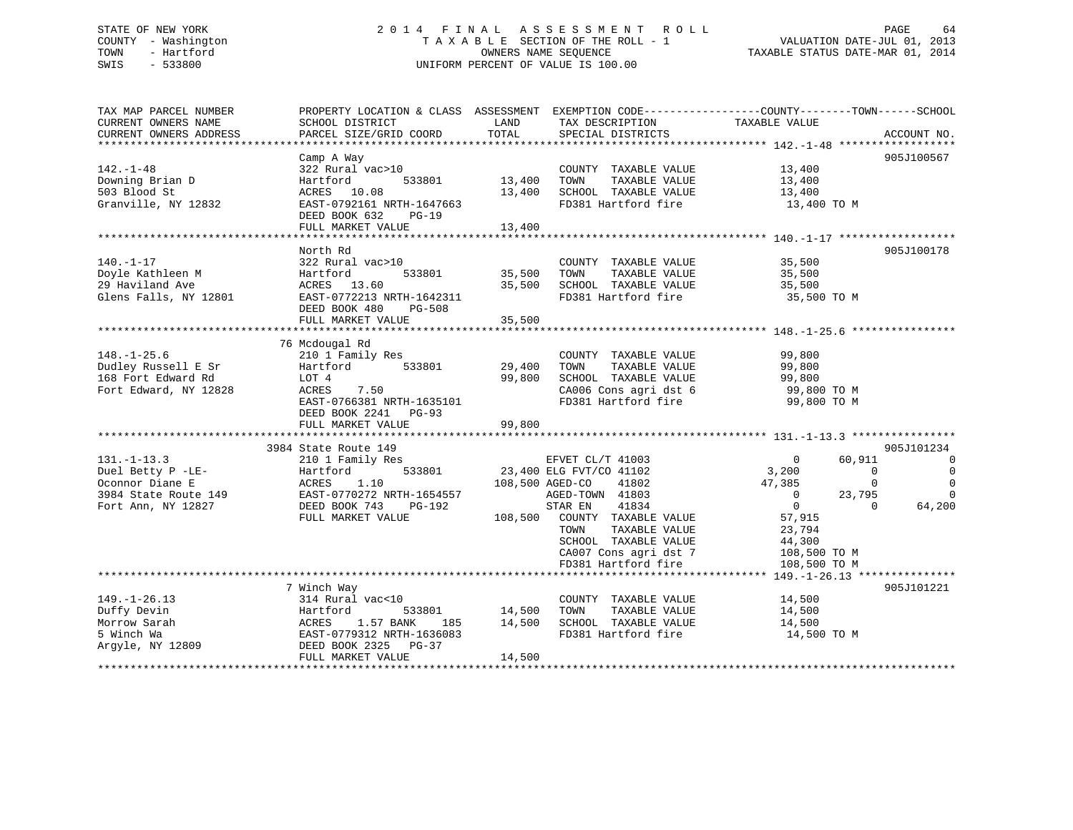### STATE OF NEW YORK 2 0 1 4 F I N A L A S S E S S M E N T R O L L PAGE 64 COUNTY - Washington T A X A B L E SECTION OF THE ROLL - 1 VALUATION DATE-JUL 01, 2013 TOWN - Hartford OWNERS NAME SEQUENCE TAXABLE STATUS DATE-MAR 01, 2014 SWIS - 533800 UNIFORM PERCENT OF VALUE IS 100.00

| TAX MAP PARCEL NUMBER            |                                                                                                                                      |                    |                                                                                                                                        | PROPERTY LOCATION & CLASS ASSESSMENT EXEMPTION CODE---------------COUNTY-------TOWN------SCHOOL |                          |
|----------------------------------|--------------------------------------------------------------------------------------------------------------------------------------|--------------------|----------------------------------------------------------------------------------------------------------------------------------------|-------------------------------------------------------------------------------------------------|--------------------------|
| CURRENT OWNERS NAME              | SCHOOL DISTRICT                                                                                                                      | LAND               | TAX DESCRIPTION                                                                                                                        | TAXABLE VALUE                                                                                   |                          |
|                                  |                                                                                                                                      |                    |                                                                                                                                        |                                                                                                 |                          |
|                                  |                                                                                                                                      |                    |                                                                                                                                        |                                                                                                 |                          |
|                                  | Camp A Way                                                                                                                           |                    |                                                                                                                                        |                                                                                                 | 905J100567               |
| $142. - 1 - 48$                  | 322 Rural vac>10                                                                                                                     |                    | COUNTY TAXABLE VALUE 13,400                                                                                                            |                                                                                                 |                          |
| Downing Brian D                  | 533801<br>Hartford                                                                                                                   | 13,400 TOWN        | TAXABLE VALUE                                                                                                                          | 13,400<br>13,400                                                                                |                          |
| 503 Blood St                     | ACRES 10.08                                                                                                                          |                    | 13,400 SCHOOL TAXABLE VALUE                                                                                                            |                                                                                                 |                          |
| Granville, NY 12832              | EAST-0792161 NRTH-1647663                                                                                                            |                    | FD381 Hartford fire 13,400 TO M                                                                                                        |                                                                                                 |                          |
|                                  | DEED BOOK 632<br>$PG-19$                                                                                                             |                    |                                                                                                                                        |                                                                                                 |                          |
|                                  | FULL MARKET VALUE                                                                                                                    | 13,400             |                                                                                                                                        |                                                                                                 |                          |
|                                  |                                                                                                                                      |                    |                                                                                                                                        |                                                                                                 |                          |
|                                  | North Rd                                                                                                                             |                    |                                                                                                                                        |                                                                                                 | 905J100178               |
| $140. - 1 - 17$                  | 322 Rural vac>10                                                                                                                     |                    | COUNTY TAXABLE VALUE 35,500                                                                                                            |                                                                                                 |                          |
|                                  |                                                                                                                                      | 533801 35,500 TOWN |                                                                                                                                        |                                                                                                 |                          |
|                                  |                                                                                                                                      |                    | TAXABLE VALUE<br>TAXABLE VALUE 35,500<br>TAXABLE VALUE 35,500<br>35,500 SCHOOL TAXABLE VALUE 35,500<br>FD381 Hartford fire 35,500 TO M |                                                                                                 |                          |
|                                  | Poyle Kathleen M<br>29 Haviland Ave (EXACTES 13.60)<br>Glens Falls, NY 12801 (EXACTES 13.60)<br>EAST-0772213 NRTH-1642311            |                    |                                                                                                                                        |                                                                                                 |                          |
|                                  | DEED BOOK 480 PG-508                                                                                                                 |                    |                                                                                                                                        |                                                                                                 |                          |
|                                  | FULL MARKET VALUE                                                                                                                    | 35,500             |                                                                                                                                        |                                                                                                 |                          |
|                                  |                                                                                                                                      |                    |                                                                                                                                        |                                                                                                 |                          |
|                                  | 76 Mcdougal Rd                                                                                                                       |                    |                                                                                                                                        |                                                                                                 |                          |
| $148. - 1 - 25.6$                | 210 1 Family Res                                                                                                                     |                    | COUNTY TAXABLE VALUE                                                                                                                   | 99,800<br>99,800                                                                                |                          |
| Dudley Russell E Sr              | Hartford 533801 29,400 TOWN                                                                                                          |                    | TAXABLE VALUE                                                                                                                          |                                                                                                 |                          |
| 168 Fort Edward Rd               | LOT 4<br>ACRES                                                                                                                       |                    | 99,800 SCHOOL TAXABLE VALUE                                                                                                            |                                                                                                 |                          |
| Fort Edward, NY 12828            | LOT 4<br>ACRES 7.50                                                                                                                  |                    |                                                                                                                                        | 99,800<br>99,800 TO M                                                                           |                          |
|                                  | EAST-0766381 NRTH-1635101                                                                                                            |                    | CA006 Cons agri dst 6 99,800 TO M<br>FD381 Hartford fire 99,800 TO M                                                                   |                                                                                                 |                          |
|                                  | DEED BOOK 2241 PG-93                                                                                                                 |                    |                                                                                                                                        |                                                                                                 |                          |
|                                  |                                                                                                                                      |                    |                                                                                                                                        |                                                                                                 |                          |
|                                  |                                                                                                                                      |                    |                                                                                                                                        |                                                                                                 |                          |
|                                  | 3984 State Route 149<br>State Route 149<br>210 1 Family Res<br>Hartford 533801<br>23,400 ELG FVT/CO 41102<br>23,400 ELG FVT/CO 41802 |                    |                                                                                                                                        |                                                                                                 | 905J101234               |
| $131. - 1 - 13.3$                |                                                                                                                                      |                    |                                                                                                                                        | $\sim$ 0<br>60,911                                                                              | $\overline{\phantom{0}}$ |
|                                  | Duel Betty P -LE-<br>Oconnor Diane E ACRES 1.10 108,500 AGED-CO<br>3984 State Route 149 EAST-0770272 NRTH-1654557 AGED-TOWN          |                    |                                                                                                                                        | 3,200<br>$\overline{0}$                                                                         | $\overline{0}$           |
|                                  |                                                                                                                                      |                    | 41802                                                                                                                                  | 47,385<br>$\Omega$                                                                              | $\overline{0}$           |
|                                  |                                                                                                                                      |                    | AGED-TOWN 41803                                                                                                                        | $\overline{0}$<br>23,795                                                                        | $\Omega$                 |
| Fort Ann, NY 12827 DEED BOOK 743 | PG-192                                                                                                                               |                    | 41834<br>STAR EN                                                                                                                       | $\overline{0}$<br>$\Omega$                                                                      | 64,200                   |
|                                  | FULL MARKET VALUE                                                                                                                    |                    | 108,500 COUNTY TAXABLE VALUE                                                                                                           | 57,915                                                                                          |                          |
|                                  |                                                                                                                                      |                    | TOWN<br>TAXABLE VALUE                                                                                                                  | 23,794                                                                                          |                          |
|                                  |                                                                                                                                      |                    | SCHOOL TAXABLE VALUE                                                                                                                   | 44,300                                                                                          |                          |
|                                  |                                                                                                                                      |                    | CA007 Cons agri dst 7                                                                                                                  | 108,500 TO M                                                                                    |                          |
|                                  |                                                                                                                                      |                    | FD381 Hartford fire                                                                                                                    | 108,500 TO M                                                                                    |                          |
|                                  |                                                                                                                                      |                    |                                                                                                                                        |                                                                                                 |                          |
|                                  | 7 Winch Way                                                                                                                          |                    |                                                                                                                                        |                                                                                                 | 905J101221               |
| $149. - 1 - 26.13$               | 314 Rural vac<10                                                                                                                     |                    | COUNTY TAXABLE VALUE 14,500                                                                                                            |                                                                                                 |                          |
|                                  | Hartford<br>533801                                                                                                                   |                    |                                                                                                                                        | 14,500                                                                                          |                          |
|                                  | 1.57 BANK                                                                                                                            |                    | 01 14,500 TOWN TAXABLE VALUE<br>185 14,500 SCHOOL TAXABLE VALUE                                                                        | 14,500                                                                                          |                          |
|                                  | EAST-0779312 NRTH-1636083                                                                                                            |                    | FD381 Hartford fire                                                                                                                    | 14,500 TO M                                                                                     |                          |
|                                  | DEED BOOK 2325 PG-37                                                                                                                 |                    |                                                                                                                                        |                                                                                                 |                          |
|                                  | FULL MARKET VALUE                                                                                                                    | 14,500             |                                                                                                                                        |                                                                                                 |                          |
|                                  |                                                                                                                                      |                    |                                                                                                                                        |                                                                                                 |                          |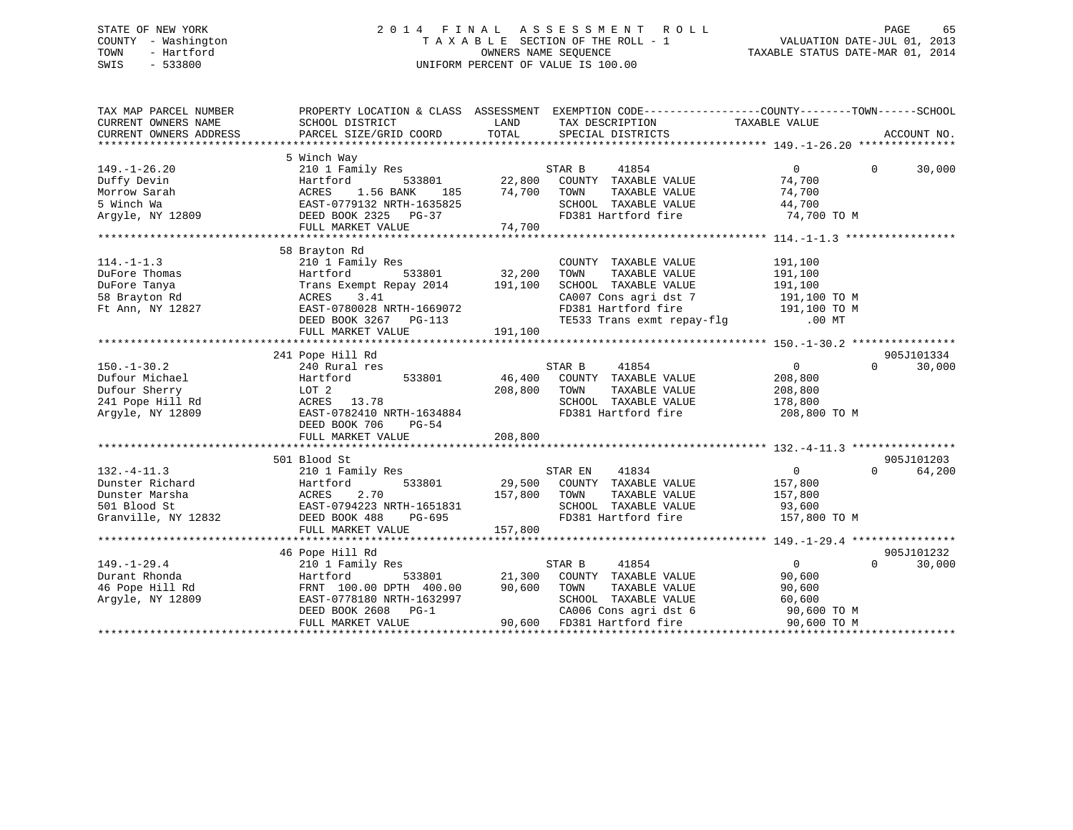### STATE OF NEW YORK 2 0 1 4 F I N A L A S S E S S M E N T R O L L PAGE 65 COUNTY - Washington T A X A B L E SECTION OF THE ROLL - 1 VALUATION DATE-JUL 01, 2013 TOWN - Hartford **TAXABLE STATUS DATE-MAR 01, 2014** OWNERS NAME SEQUENCE TAXABLE STATUS DATE-MAR 01, 2014 SWIS - 533800 UNIFORM PERCENT OF VALUE IS 100.00

| TAX MAP PARCEL NUMBER<br>CURRENT OWNERS NAME<br>CURRENT OWNERS ADDRESS                       | PROPERTY LOCATION & CLASS ASSESSMENT EXEMPTION CODE----------------COUNTY-------TOWN------SCHOOL<br>SCHOOL DISTRICT<br>PARCEL SIZE/GRID COORD                                          | LAND<br>TOTAL                | TAX DESCRIPTION TAXABLE VALUE<br>SPECIAL DISTRICTS                                                                                                                      |                                                                            | ACCOUNT NO.                      |
|----------------------------------------------------------------------------------------------|----------------------------------------------------------------------------------------------------------------------------------------------------------------------------------------|------------------------------|-------------------------------------------------------------------------------------------------------------------------------------------------------------------------|----------------------------------------------------------------------------|----------------------------------|
| $149. - 1 - 26.20$<br>Duffy Devin<br>Morrow Sarah<br>5 Winch Wa<br>Argyle, NY 12809          | 5 Winch Way<br>210 1 Family Res<br>533801<br>Hartford<br>1.56 BANK<br>ACRES<br>185<br>EAST-0779132 NRTH-1635825<br>DEED BOOK 2325 PG-37<br>FULL MARKET VALUE                           | 22,800<br>74,700<br>74,700   | STAR B<br>41854<br>COUNTY TAXABLE VALUE<br>TAXABLE VALUE<br>TOWN<br>SCHOOL TAXABLE VALUE<br>FD381 Hartford fire                                                         | $\Omega$<br>74,700<br>74,700<br>44,700<br>74,700 TO M                      | $\Omega$<br>30,000               |
| $114. - 1 - 1.3$<br>DuFore Thomas<br>DuFore Tanya<br>58 Brayton Rd<br>Ft Ann, NY 12827       | 58 Brayton Rd<br>210 1 Family Res<br>Hartford<br>533801<br>Trans Exempt Repay 2014 191,100<br>3.41<br>ACRES<br>EAST-0780028 NRTH-1669072<br>DEED BOOK 3267 PG-113<br>FULL MARKET VALUE | 32,200<br>191,100            | COUNTY TAXABLE VALUE<br>TOWN<br>TAXABLE VALUE<br>SCHOOL TAXABLE VALUE<br>CA007 Cons agri dst 7<br>FD381 Hartford fire 191,100 TO M<br>TE533 Trans exmt repay-flg .00 MT | 191,100<br>191,100<br>191,100<br>191,100 TO M                              |                                  |
| $150. - 1 - 30.2$<br>Dufour Michael<br>Dufour Sherry<br>241 Pope Hill Rd<br>Argyle, NY 12809 | 241 Pope Hill Rd<br>240 Rural res<br>Hartford<br>533801<br>LOT 2<br>ACRES 13.78<br>EAST-0782410 NRTH-1634884<br>DEED BOOK 706<br>$PG-54$<br>FULL MARKET VALUE                          | 46,400<br>208,800<br>208,800 | STAR B<br>41854<br>COUNTY TAXABLE VALUE<br>TOWN<br>TAXABLE VALUE<br>SCHOOL TAXABLE VALUE<br>FD381 Hartford fire                                                         | $\Omega$<br>208,800<br>208,800<br>178,800<br>208,800 TO M                  | 905J101334<br>$\Omega$<br>30,000 |
|                                                                                              |                                                                                                                                                                                        |                              |                                                                                                                                                                         |                                                                            |                                  |
| $132. -4 - 11.3$<br>Dunster Richard<br>Dunster Marsha<br>501 Blood St<br>Granville, NY 12832 | 501 Blood St<br>210 1 Family Res<br>533801<br>Hartford<br>ACRES<br>2.70<br>EAST-0794223 NRTH-1651831<br>DEED BOOK 488<br>PG-695<br>FULL MARKET VALUE                                   | 29,500<br>157,800<br>157,800 | 41834<br>STAR EN<br>COUNTY TAXABLE VALUE<br>TOWN<br>TAXABLE VALUE<br>SCHOOL TAXABLE VALUE<br>FD381 Hartford fire                                                        | 0<br>157,800<br>157,800<br>93,600<br>157,800 TO M                          | 905J101203<br>$\Omega$<br>64,200 |
|                                                                                              |                                                                                                                                                                                        |                              |                                                                                                                                                                         |                                                                            |                                  |
| $149. - 1 - 29.4$<br>Durant Rhonda<br>46 Pope Hill Rd<br>Argyle, NY 12809                    | 46 Pope Hill Rd<br>210 1 Family Res<br>533801<br>Hartford<br>FRNT 100.00 DPTH 400.00<br>EAST-0778180 NRTH-1632997<br>DEED BOOK 2608 PG-1<br>FULL MARKET VALUE                          | 21,300<br>90,600<br>90,600   | STAR B<br>41854<br>COUNTY TAXABLE VALUE<br>TAXABLE VALUE<br>TOWN<br>SCHOOL TAXABLE VALUE<br>CA006 Cons agri dst 6<br>FD381 Hartford fire                                | $\overline{0}$<br>90,600<br>90,600<br>60,600<br>90,600 TO M<br>90,600 TO M | 905J101232<br>30,000<br>$\Omega$ |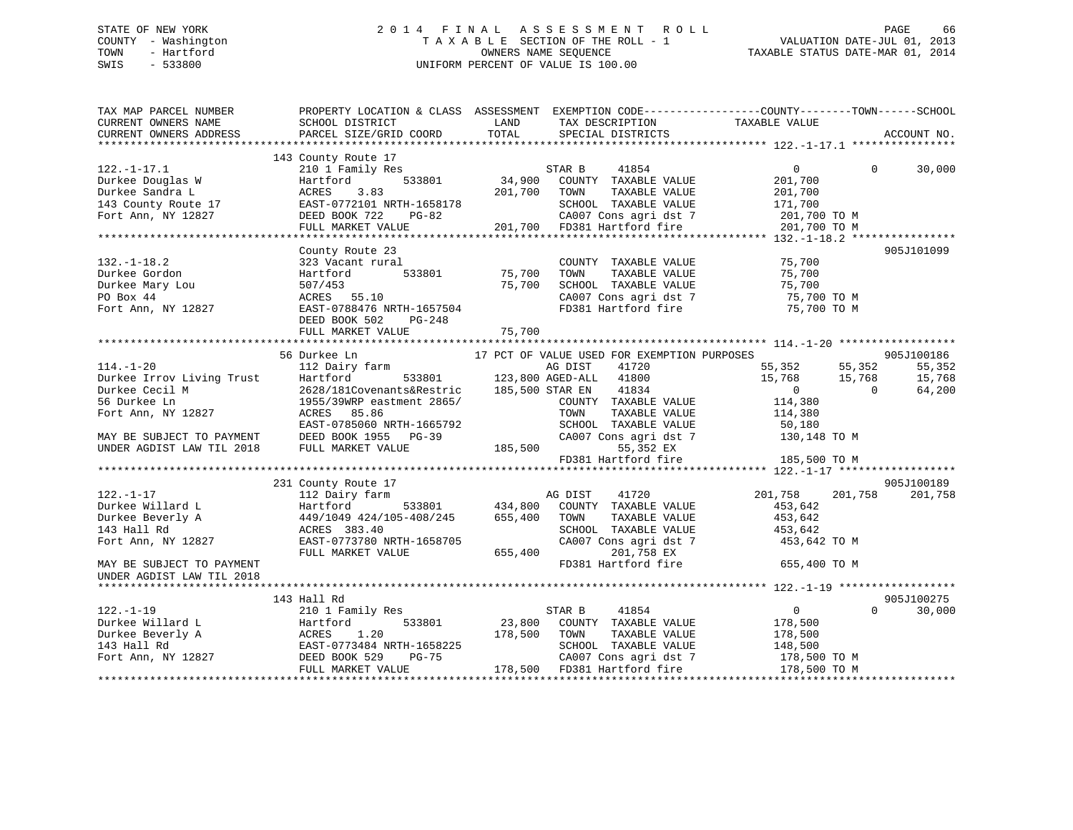### STATE OF NEW YORK 2 0 1 4 F I N A L A S S E S S M E N T R O L L PAGE 66 COUNTY - Washington T A X A B L E SECTION OF THE ROLL - 1 VALUATION DATE-JUL 01, 2013 TOWN - Hartford **TAXABLE STATUS DATE-MAR 01, 2014** OWNERS NAME SEQUENCE TAXABLE STATUS DATE-MAR 01, 2014 SWIS - 533800 UNIFORM PERCENT OF VALUE IS 100.00

| TAX MAP PARCEL NUMBER<br>CURRENT OWNERS NAME<br>CURRENT OWNERS ADDRESS                                                                                                                                                                                        | PROPERTY LOCATION & CLASS ASSESSMENT EXEMPTION CODE----------------COUNTY-------TOWN------SCHOOL<br>SCHOOL DISTRICT<br><b>EXAMPLE SERVICE SERVICE SERVICE SERVICE SERVICE SERVICE SERVICE SERVICE SERVICE SERVICE SERVICE SERVICE SERVICE</b><br>PARCEL SIZE/GRID COORD | TOTAL                          | TAX DESCRIPTION TAXABLE VALUE SPECIAL DISTRICTS           |                                       |          | ACCOUNT NO. |
|---------------------------------------------------------------------------------------------------------------------------------------------------------------------------------------------------------------------------------------------------------------|-------------------------------------------------------------------------------------------------------------------------------------------------------------------------------------------------------------------------------------------------------------------------|--------------------------------|-----------------------------------------------------------|---------------------------------------|----------|-------------|
|                                                                                                                                                                                                                                                               |                                                                                                                                                                                                                                                                         |                                |                                                           |                                       |          |             |
|                                                                                                                                                                                                                                                               | 143 County Route 17                                                                                                                                                                                                                                                     |                                | 3<br>STAR B 41854<br>533801 34,900 COUNTY TAXABLE VALUE   |                                       |          |             |
| $122. - 1 - 17.1$                                                                                                                                                                                                                                             | 210 1 Family Res                                                                                                                                                                                                                                                        |                                |                                                           | $\overline{0}$                        | $\Omega$ | 30,000      |
| Purkee Douglas W<br>Durkee Sandra L<br>143 County Route 17<br>Fort Ann, NY 12827<br>FULL MARKET VALUE<br>PULL MARKET VALUE<br>201,700                                                                                                                         |                                                                                                                                                                                                                                                                         |                                |                                                           | 201,700                               |          |             |
|                                                                                                                                                                                                                                                               |                                                                                                                                                                                                                                                                         |                                | 201,700 TOWN<br>TAXABLE VALUE                             | 201,700                               |          |             |
|                                                                                                                                                                                                                                                               |                                                                                                                                                                                                                                                                         |                                | SCHOOL TAXABLE VALUE                                      | 171,700                               |          |             |
|                                                                                                                                                                                                                                                               |                                                                                                                                                                                                                                                                         |                                | 7-82 CA007 Cons agri dst 7<br>201,700 FD381 Hartford fire | 201,700 TO M                          |          |             |
|                                                                                                                                                                                                                                                               | FULL MARKET VALUE                                                                                                                                                                                                                                                       |                                |                                                           | 201,700 TO M                          |          |             |
|                                                                                                                                                                                                                                                               |                                                                                                                                                                                                                                                                         |                                |                                                           |                                       |          |             |
|                                                                                                                                                                                                                                                               | County Route 23                                                                                                                                                                                                                                                         |                                |                                                           |                                       |          | 905J101099  |
| $132. - 1 - 18.2$                                                                                                                                                                                                                                             | County Route 23<br>323 Vacant rural<br>Hartford 533801 75,700                                                                                                                                                                                                           |                                | COUNTY TAXABLE VALUE 75,700                               |                                       |          |             |
| Durkee Gordon                                                                                                                                                                                                                                                 |                                                                                                                                                                                                                                                                         |                                | TOWN<br>TAXABLE VALUE                                     | 75,700                                |          |             |
| Durkee Mary Lou                                                                                                                                                                                                                                               | 507/453<br>ACRES 55.10                                                                                                                                                                                                                                                  |                                |                                                           |                                       |          |             |
| PO Box 44                                                                                                                                                                                                                                                     |                                                                                                                                                                                                                                                                         |                                |                                                           |                                       |          |             |
| Fort Ann, NY 12827                                                                                                                                                                                                                                            | EAST-0788476 NRTH-1657504                                                                                                                                                                                                                                               |                                | FD381 Hartford fire                                       | 75,700 TO M                           |          |             |
|                                                                                                                                                                                                                                                               | DEED BOOK 502<br>PG-248                                                                                                                                                                                                                                                 |                                |                                                           |                                       |          |             |
|                                                                                                                                                                                                                                                               |                                                                                                                                                                                                                                                                         |                                |                                                           |                                       |          |             |
|                                                                                                                                                                                                                                                               |                                                                                                                                                                                                                                                                         |                                |                                                           |                                       |          |             |
|                                                                                                                                                                                                                                                               | 56 Durkee Ln<br>Durkee Ln<br>112 Dairy farm 533801 123,800 AGED-ALL 41800<br>Hartford 533801 123,800 AGED-ALL 41800                                                                                                                                                     |                                | 17 PCT OF VALUE USED FOR EXEMPTION PURPOSES               |                                       |          | 905J100186  |
| $114. - 1 - 20$                                                                                                                                                                                                                                               |                                                                                                                                                                                                                                                                         |                                |                                                           |                                       |          | 55,352      |
|                                                                                                                                                                                                                                                               |                                                                                                                                                                                                                                                                         |                                |                                                           | 55,352 55,352<br>15,768 15,768<br>0 0 |          | 15,768      |
| 114.-1-20<br>Durkee Irrov Living Trust<br>Durkee Cecil M 268/181Covenants&Restric 185,500<br>56 Durkee Ln 1955/39WRP eastment 2865/<br>1955/39WRP eastment 2865/<br>1975/39WRP eastment 2865/                                                                 | 2628/181Covenants&Restric 185,500 STAR EN                                                                                                                                                                                                                               |                                |                                                           |                                       |          | 64,200      |
|                                                                                                                                                                                                                                                               |                                                                                                                                                                                                                                                                         |                                | COUNTY TAXABLE VALUE                                      | 114,380                               |          |             |
| Fort Ann, NY 12827                                                                                                                                                                                                                                            | ACRES 85.86                                                                                                                                                                                                                                                             |                                | TOWN                                                      | TAXABLE VALUE 114,380                 |          |             |
|                                                                                                                                                                                                                                                               | EAST-0785060 NRTH-1665792                                                                                                                                                                                                                                               |                                | SCHOOL TAXABLE VALUE                                      | 50,180                                |          |             |
| MAY BE SUBJECT TO PAYMENT DEED BOOK 1955 PG-39<br>UNDER AGDIST LAW TIL 2018 FULL MARKET VALUE                                                                                                                                                                 |                                                                                                                                                                                                                                                                         | CA007 Cc                       |                                                           | CA007 Cons agri dst 7 130,148 TO M    |          |             |
|                                                                                                                                                                                                                                                               |                                                                                                                                                                                                                                                                         |                                | 55,352 EX                                                 |                                       |          |             |
|                                                                                                                                                                                                                                                               |                                                                                                                                                                                                                                                                         |                                | FD381 Hartford fire                                       | 185,500 TO M                          |          |             |
|                                                                                                                                                                                                                                                               |                                                                                                                                                                                                                                                                         |                                |                                                           |                                       |          |             |
|                                                                                                                                                                                                                                                               | 231 County Route 17                                                                                                                                                                                                                                                     |                                | AG DIST                                                   |                                       |          | 905J100189  |
| $122. - 1 - 17$                                                                                                                                                                                                                                               | 112 Dairy farm                                                                                                                                                                                                                                                          |                                | 41720                                                     | 201,758 201,758                       |          | 201,758     |
|                                                                                                                                                                                                                                                               |                                                                                                                                                                                                                                                                         |                                |                                                           | 453,642                               |          |             |
| Durkee Willard<br>Durkee Beverly A                                                                                                                                                                                                                            | Hartford 533801 434,800 COUNTY TAXABLE VALUE<br>449/1049 424/105-408/245 655,400 TOWN TAXABLE VALUE<br>3.GREC 282.40                                                                                                                                                    |                                |                                                           | 453,642                               |          |             |
|                                                                                                                                                                                                                                                               | ACRES 383.40                                                                                                                                                                                                                                                            |                                | SCHOOL TAXABLE VALUE 453,642                              |                                       |          |             |
| Fort Ann, NY 12827                                                                                                                                                                                                                                            | EAST-0773780 NRTH-1658705                                                                                                                                                                                                                                               |                                | CA007 Cons agri dst 7                                     | 453,642 TO M                          |          |             |
|                                                                                                                                                                                                                                                               | FULL MARKET VALUE                                                                                                                                                                                                                                                       | 655,400                        | 201,758 EX                                                |                                       |          |             |
| MAY BE SUBJECT TO PAYMENT                                                                                                                                                                                                                                     |                                                                                                                                                                                                                                                                         |                                | FD381 Hartford fire                                       | 655,400 TO M                          |          |             |
| UNDER AGDIST LAW TIL 2018                                                                                                                                                                                                                                     |                                                                                                                                                                                                                                                                         |                                |                                                           |                                       |          |             |
|                                                                                                                                                                                                                                                               |                                                                                                                                                                                                                                                                         |                                |                                                           |                                       |          |             |
|                                                                                                                                                                                                                                                               | 143 Hall Rd                                                                                                                                                                                                                                                             |                                |                                                           |                                       | $\Omega$ | 905J100275  |
| $122. - 1 - 19$                                                                                                                                                                                                                                               | 210 1 Family Res                                                                                                                                                                                                                                                        |                                | STAR B<br>41854                                           | $\overline{0}$                        |          | 30,000      |
| Durkee Willard L<br>Durkee Beverly A<br>143 Hall Rd<br>143 Hall Rd<br>143 Hall Rd<br>143 Hall Rd<br>143 Hall Rd<br>143 Hall Rd<br>143 Hall Rd<br>143 Hall Rd<br>143 Hall Rd<br>143 Hall Rd<br>143 Hall Rd<br>143 Hall Rd<br>144 Hall Rd<br>145 Hall Rd<br>145 |                                                                                                                                                                                                                                                                         |                                | 533801 23,800 COUNTY TAXABLE VALUE 178,500                |                                       |          |             |
|                                                                                                                                                                                                                                                               |                                                                                                                                                                                                                                                                         | 178,500 TOWN<br>SCHOO<br>CA007 | TAXABLE VALUE                                             | 178,500                               |          |             |
|                                                                                                                                                                                                                                                               |                                                                                                                                                                                                                                                                         |                                | SCHOOL TAXABLE VALUE                                      | 148,500                               |          |             |
|                                                                                                                                                                                                                                                               | FULL MARKET VALUE                                                                                                                                                                                                                                                       |                                | CA007 Cons agri dst 7<br>178,500 FD381 Hartford fire      | 178,500 TO M<br>178,500 TO M          |          |             |
|                                                                                                                                                                                                                                                               |                                                                                                                                                                                                                                                                         |                                |                                                           |                                       |          |             |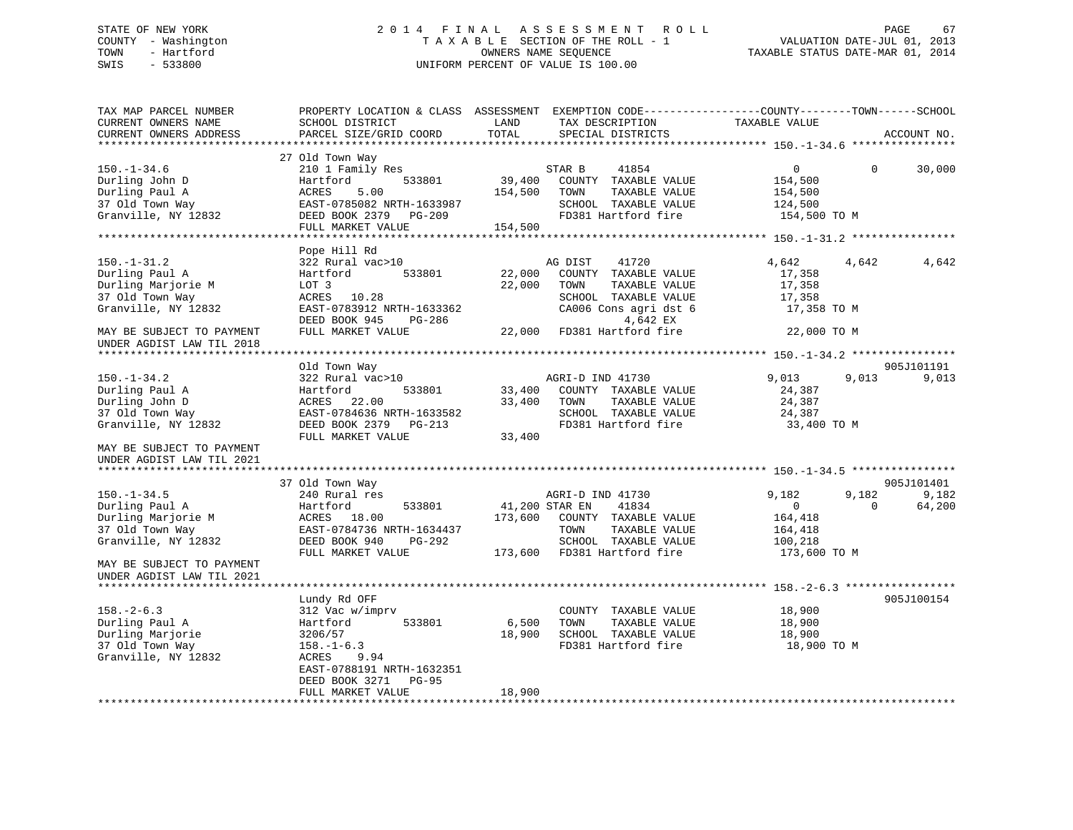### STATE OF NEW YORK 2 0 1 4 F I N A L A S S E S S M E N T R O L L PAGE 67 COUNTY - Washington T A X A B L E SECTION OF THE ROLL - 1 VALUATION DATE-JUL 01, 2013 TOWN - Hartford **TAXABLE STATUS DATE-MAR 01, 2014** OWNERS NAME SEQUENCE TAXABLE STATUS DATE-MAR 01, 2014 SWIS - 533800 UNIFORM PERCENT OF VALUE IS 100.00

| TAX MAP PARCEL NUMBER<br>CURRENT OWNERS NAME<br>CURRENT OWNERS ADDRESS                                                                                                                                                 | PROPERTY LOCATION & CLASS ASSESSMENT EXEMPTION CODE----------------COUNTY-------TOWN------SCHOOL<br>SCHOOL DISTRICT<br>PARCEL SIZE/GRID COORD                                              | LAND<br>TOTAL                                | TAX DESCRIPTION<br>SPECIAL DISTRICTS                                                                                                                                          | TAXABLE VALUE                                                                 |                            | ACCOUNT NO.                            |
|------------------------------------------------------------------------------------------------------------------------------------------------------------------------------------------------------------------------|--------------------------------------------------------------------------------------------------------------------------------------------------------------------------------------------|----------------------------------------------|-------------------------------------------------------------------------------------------------------------------------------------------------------------------------------|-------------------------------------------------------------------------------|----------------------------|----------------------------------------|
| **********************                                                                                                                                                                                                 |                                                                                                                                                                                            |                                              |                                                                                                                                                                               |                                                                               |                            |                                        |
| $150. - 1 - 34.6$<br>Durling John D<br>Durling Paul A<br>37 Old Town Way<br>Granville, NY 12832                                                                                                                        | 27 Old Town Way<br>210 1 Family Res<br>533801<br>Hartford<br>5.00<br>ACRES<br>EAST-0785082 NRTH-1633987<br>DEED BOOK 2379 PG-209<br>FULL MARKET VALUE                                      | 39,400<br>154,500<br>154,500                 | 41854<br>STAR B<br>COUNTY TAXABLE VALUE<br>TOWN<br>TAXABLE VALUE<br>SCHOOL TAXABLE VALUE<br>FD381 Hartford fire                                                               | $\overline{0}$<br>154,500<br>154,500<br>124,500<br>154,500 TO M               | $\mathbf{0}$               | 30,000                                 |
|                                                                                                                                                                                                                        |                                                                                                                                                                                            |                                              |                                                                                                                                                                               |                                                                               |                            |                                        |
| $150. - 1 - 31.2$<br>Durling Paul A<br>Durling Marjorie M<br>37 Old Town Way<br>Granville, NY 12832                                                                                                                    | Pope Hill Rd<br>322 Rural vac>10<br>533801<br>Hartford<br>LOT 3<br>ACRES 10.28<br>EAST-0783912 NRTH-1633362<br>DEED BOOK 945<br>PG-286                                                     | 22,000<br>22,000                             | 41720<br>AG DIST<br>COUNTY TAXABLE VALUE<br>TOWN<br>TAXABLE VALUE<br>SCHOOL TAXABLE VALUE<br>CA006 Cons agri dst 6<br>4,642 EX                                                | 4,642<br>17,358<br>17,358<br>17,358<br>17,358 TO M                            | 4,642                      | 4,642                                  |
| MAY BE SUBJECT TO PAYMENT                                                                                                                                                                                              | FULL MARKET VALUE                                                                                                                                                                          |                                              | 22,000 FD381 Hartford fire                                                                                                                                                    | 22,000 TO M                                                                   |                            |                                        |
| UNDER AGDIST LAW TIL 2018                                                                                                                                                                                              |                                                                                                                                                                                            |                                              |                                                                                                                                                                               |                                                                               |                            |                                        |
|                                                                                                                                                                                                                        | Old Town Way                                                                                                                                                                               |                                              |                                                                                                                                                                               |                                                                               |                            | 905J101191                             |
| $150. - 1 - 34.2$<br>Durling Paul A<br>Durling John D<br>37 Old Town Way<br>Granville, NY 12832<br>MAY BE SUBJECT TO PAYMENT<br>UNDER AGDIST LAW TIL 2021<br>$150. - 1 - 34.5$<br>Durling Paul A<br>Durling Marjorie M | 322 Rural vac>10<br>Hartford<br>533801<br>ACRES 22.00<br>EAST-0784636 NRTH-1633582<br>DEED BOOK 2379 PG-213<br>FULL MARKET VALUE<br>37 Old Town Way<br>240 Rural res<br>533801<br>Hartford | 33,400<br>33,400<br>33,400<br>41,200 STAR EN | AGRI-D IND 41730<br>COUNTY TAXABLE VALUE<br>TAXABLE VALUE<br>TOWN<br>SCHOOL TAXABLE VALUE<br>FD381 Hartford fire<br>AGRI-D IND 41730<br>41834<br>173,600 COUNTY TAXABLE VALUE | 9,013<br>24,387<br>24,387<br>24,387<br>33,400 TO M<br>9,182<br>$\overline{0}$ | 9,013<br>9,182<br>$\Omega$ | 9,013<br>905J101401<br>9,182<br>64,200 |
| 37 Old Town Way<br>Granville, NY 12832<br>MAY BE SUBJECT TO PAYMENT<br>UNDER AGDIST LAW TIL 2021                                                                                                                       | ACRES 18.00<br>EAST-0784736 NRTH-1634437<br>DEED BOOK 940<br>PG-292<br>FULL MARKET VALUE                                                                                                   |                                              | TAXABLE VALUE<br>TOWN<br>SCHOOL TAXABLE VALUE<br>173,600 FD381 Hartford fire                                                                                                  | 164,418<br>164,418<br>100,218<br>173,600 TO M                                 |                            |                                        |
|                                                                                                                                                                                                                        |                                                                                                                                                                                            |                                              |                                                                                                                                                                               |                                                                               |                            | 905J100154                             |
| $158. - 2 - 6.3$<br>Durling Paul A<br>Durling Marjorie<br>37 Old Town Way<br>Granville, NY 12832                                                                                                                       | Lundy Rd OFF<br>312 Vac w/imprv<br>Hartford<br>533801<br>3206/57<br>$158. - 1 - 6.3$<br>ACRES<br>9.94<br>EAST-0788191 NRTH-1632351<br>DEED BOOK 3271<br><b>PG-95</b>                       | 6,500<br>18,900                              | COUNTY TAXABLE VALUE<br>TAXABLE VALUE<br>TOWN<br>SCHOOL TAXABLE VALUE<br>FD381 Hartford fire                                                                                  | 18,900<br>18,900<br>18,900<br>18,900 TO M                                     |                            |                                        |
|                                                                                                                                                                                                                        | FULL MARKET VALUE                                                                                                                                                                          | 18,900                                       |                                                                                                                                                                               |                                                                               |                            |                                        |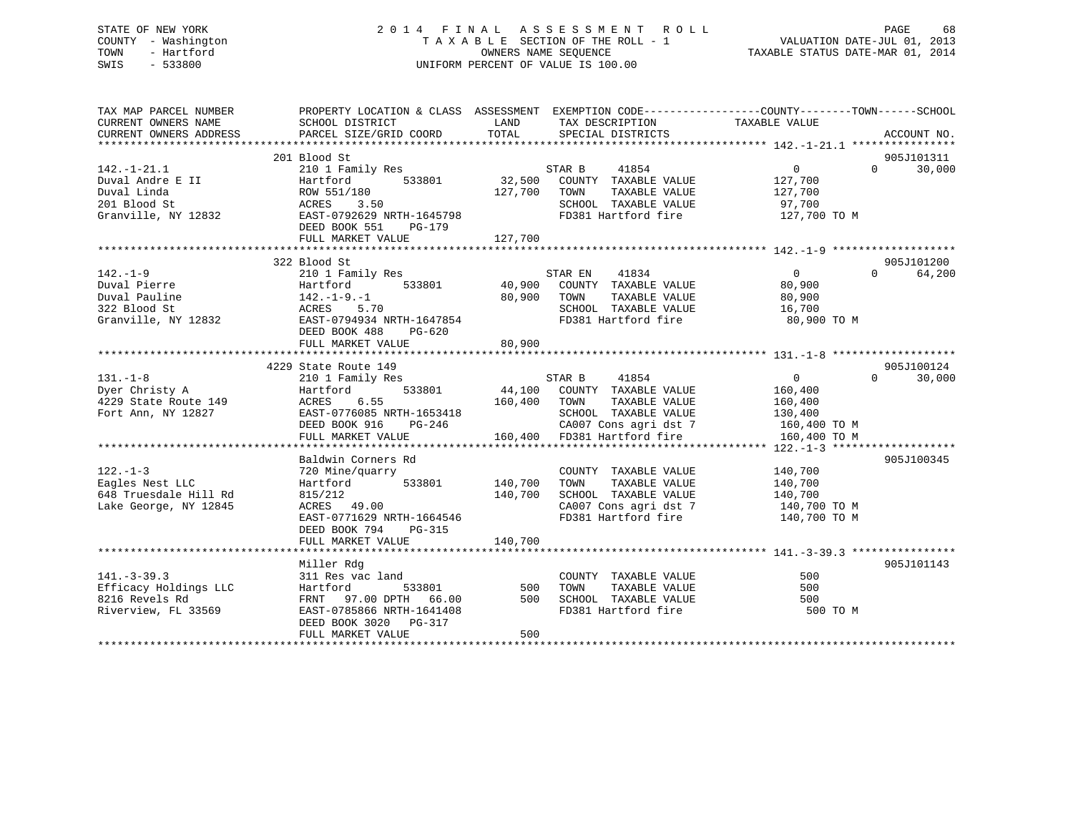### STATE OF NEW YORK 2 0 1 4 F I N A L A S S E S S M E N T R O L L PAGE 68 COUNTY - Washington T A X A B L E SECTION OF THE ROLL - 1 VALUATION DATE-JUL 01, 2013 TOWN - Hartford **TAXABLE STATUS DATE-MAR 01, 2014** OWNERS NAME SEQUENCE TAXABLE STATUS DATE-MAR 01, 2014 SWIS - 533800 UNIFORM PERCENT OF VALUE IS 100.00

| TAX MAP PARCEL NUMBER<br>CURRENT OWNERS NAME<br>CURRENT OWNERS ADDRESS                      | PROPERTY LOCATION & CLASS ASSESSMENT EXEMPTION CODE---------------COUNTY-------TOWN------SCHOOL<br>SCHOOL DISTRICT<br>PARCEL SIZE/GRID COORD                         | LAND<br>TOTAL                        | TAX DESCRIPTION<br>SPECIAL DISTRICTS                                                                                                                                | TAXABLE VALUE                                                              | ACCOUNT NO.                      |
|---------------------------------------------------------------------------------------------|----------------------------------------------------------------------------------------------------------------------------------------------------------------------|--------------------------------------|---------------------------------------------------------------------------------------------------------------------------------------------------------------------|----------------------------------------------------------------------------|----------------------------------|
| $142. - 1 - 21.1$<br>Duval Andre E II<br>Duval Linda<br>201 Blood St<br>Granville, NY 12832 | 201 Blood St<br>210 1 Family Res<br>Hartford<br>533801<br>ROW 551/180<br>ACRES<br>3.50<br>EAST-0792629 NRTH-1645798                                                  | 127,700                              | STAR B 41854<br>32,500 COUNTY TAXABLE VALUE<br>TAXABLE VALUE<br>TOWN<br>SCHOOL TAXABLE VALUE<br>FD381 Hartford fire                                                 | $\overline{0}$<br>$\Omega$<br>127,700<br>127,700<br>97,700<br>127,700 TO M | 905J101311<br>30,000             |
|                                                                                             | DEED BOOK 551<br>PG-179                                                                                                                                              |                                      |                                                                                                                                                                     |                                                                            |                                  |
| $142. - 1 - 9$<br>322 Blood St<br>Granville, NY 12832                                       | 322 Blood St<br>210 1 Family Res<br>Hartford<br>533801<br>Hartford<br>142.-1-9.-1<br>ACRES<br>EAST-0<br>5.70<br>EAST-0794934 NRTH-1647854<br>DEED BOOK 488<br>PG-620 | 80,900                               | 41834<br>STAR EN<br>40,900 COUNTY TAXABLE VALUE<br>TOWN<br>TAXABLE VALUE<br>SCHOOL TAXABLE VALUE<br>FD381 Hartford fire                                             | $\overline{0}$<br>80,900<br>80,900<br>16,700<br>80,900 TO M                | 905J101200<br>64,200<br>$\Omega$ |
|                                                                                             | FULL MARKET VALUE                                                                                                                                                    | 80,900                               |                                                                                                                                                                     |                                                                            |                                  |
| $131. - 1 - 8$<br>Dyer Christy A<br>4229 State Route 149<br>Fort Ann, NY 12827              | 4229 State Route 149<br>210 1 Family Res<br>Hartford<br>6.55<br>ACRES<br>EAST-0776085 NRTH-1653418<br>DEED BOOK 916<br>PG-246<br>FULL MARKET VALUE                   | 160,400 TOWN                         | STAR B<br>41854<br>533801 44,100 COUNTY TAXABLE VALUE<br>TAXABLE VALUE<br>SCHOOL TAXABLE VALUE<br>CA007 Cons agri dst 7 160,400 TO M<br>160,400 FD381 Hartford fire | $\overline{0}$<br>160,400<br>160,400<br>130,400<br>160,400 TO M            | 905J100124<br>30,000<br>$\Omega$ |
| $122. - 1 - 3$<br>Eagles Nest LLC<br>648 Truesdale Hill Rd<br>Lake George, NY 12845         | Baldwin Corners Rd<br>720 Mine/quarry<br>Hartford<br>815/212<br>ACRES 49.00<br>EAST-0771629 NRTH-1664546<br>DEED BOOK 794<br>PG-315<br>FULL MARKET VALUE             | 533801 140,700<br>140,700<br>140,700 | COUNTY TAXABLE VALUE<br>TAXABLE VALUE<br>TOWN<br>SCHOOL TAXABLE VALUE<br>CA007 Cons agri dst 7 140,700 TO M<br>FD381 Hartford fire                                  | 140,700<br>140,700<br>140,700<br>140,700 TO M                              | 905J100345                       |
| $141. - 3 - 39.3$<br>Efficacy Holdings LLC<br>8216 Revels Rd<br>Riverview, FL 33569         | Miller Rdg<br>311 Res vac land<br>Hartford<br>FRNT 97.00 DPTH 66.00<br>EAST-0785866 NRTH-1641408<br>DEED BOOK 3020 PG-317<br>FULL MARKET VALUE                       | 533801 500<br>500<br>500             | COUNTY TAXABLE VALUE<br>TAXABLE VALUE<br>TOWN<br>SCHOOL TAXABLE VALUE<br>FD381 Hartford fire                                                                        | 500<br>500<br>500<br>500 TO M                                              | 905J101143                       |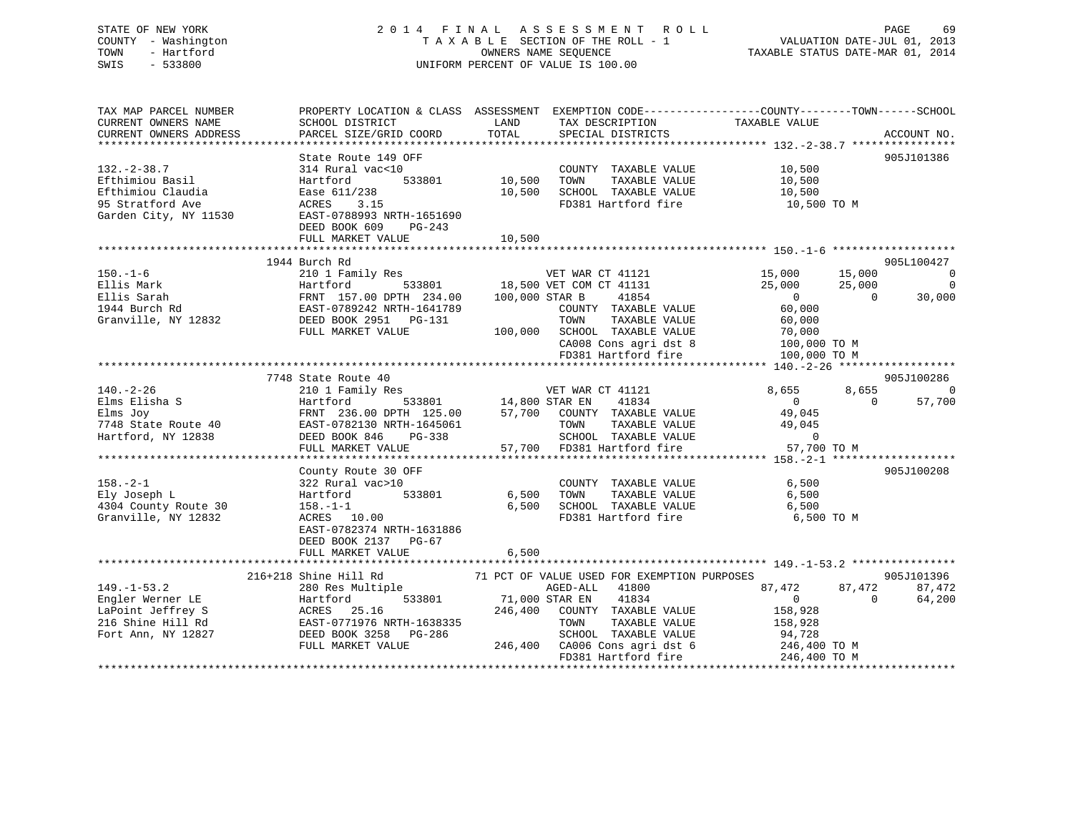### STATE OF NEW YORK 2 0 1 4 F I N A L A S S E S S M E N T R O L L PAGE 69 COUNTY - Washington T A X A B L E SECTION OF THE ROLL - 1 VALUATION DATE-JUL 01, 2013 TOWN - Hartford **TAXABLE STATUS DATE-MAR 01, 2014** OWNERS NAME SEQUENCE TAXABLE STATUS DATE-MAR 01, 2014 SWIS - 533800 UNIFORM PERCENT OF VALUE IS 100.00

| TAX MAP PARCEL NUMBER<br>CURRENT OWNERS NAME<br>CURRENT OWNERS ADDRESS                                | PROPERTY LOCATION & CLASS ASSESSMENT<br>SCHOOL DISTRICT<br>PARCEL SIZE/GRID COORD                                                                                             | LAND<br>TAX DESCRIPTION<br>TOTAL<br>SPECIAL DISTRICTS                                                                                                                              | EXEMPTION CODE-----------------COUNTY-------TOWN------SCHOOL<br>TAXABLE VALUE                                                                                      | ACCOUNT NO.                                                                                                              |
|-------------------------------------------------------------------------------------------------------|-------------------------------------------------------------------------------------------------------------------------------------------------------------------------------|------------------------------------------------------------------------------------------------------------------------------------------------------------------------------------|--------------------------------------------------------------------------------------------------------------------------------------------------------------------|--------------------------------------------------------------------------------------------------------------------------|
| $132 - 2 - 38.7$<br>Efthimiou Basil<br>Efthimiou Claudia<br>95 Stratford Ave<br>Garden City, NY 11530 | State Route 149 OFF<br>314 Rural vac<10<br>533801<br>Hartford<br>Ease 611/238<br>ACRES<br>3.15<br>EAST-0788993 NRTH-1651690<br>DEED BOOK 609<br>$PG-243$<br>FULL MARKET VALUE | 10,500<br>TOWN<br>10,500<br>10,500                                                                                                                                                 | COUNTY TAXABLE VALUE<br>10,500<br>TAXABLE VALUE<br>10,500<br>SCHOOL TAXABLE VALUE<br>10,500<br>FD381 Hartford fire                                                 | 905J101386<br>10,500 TO M                                                                                                |
| $150. - 1 - 6$<br>Ellis Mark<br>Ellis Sarah<br>1944 Burch Rd<br>Granville, NY 12832                   | 1944 Burch Rd<br>210 1 Family Res<br>Hartford<br>FRNT 157.00 DPTH 234.00<br>EAST-0789242 NRTH-1641789<br>DEED BOOK 2951 PG-131<br>FULL MARKET VALUE                           | VET WAR CT 41121<br>533801 18,500 VET COM CT 41131<br>100,000 STAR B<br>TOWN<br>100,000 SCHOOL TAXABLE VALUE                                                                       | 15,000<br>25,000<br>$\overline{0}$<br>41854<br>60,000<br>COUNTY TAXABLE VALUE<br>TAXABLE VALUE<br>60,000<br>70,000<br>CA008 Cons agri dst 8<br>FD381 Hartford fire | 905L100427<br>15,000<br>$\overline{0}$<br>25,000<br>$\overline{0}$<br>$\Omega$<br>30,000<br>100,000 TO M<br>100,000 TO M |
| $140. - 2 - 26$<br>Elms Elisha S<br>Elms Joy<br>7748 State Route 40<br>Hartford, NY 12838             | 7748 State Route 40<br>210 1 Family Res<br>Hartford<br>FRNT 236.00 DPTH 125.00<br>EAST-0782130 NRTH-1645061<br>DEED BOOK 846<br>PG-338<br>FULL MARKET VALUE                   | VET WAR CT 41121<br>533801 14,800 STAR EN<br>57,700 COUNTY TAXABLE VALUE<br>TOWN<br>57,700 FD381 Hartford fire                                                                     | 8,655<br>41834<br>$\overline{0}$<br>49,045<br>TAXABLE VALUE<br>49,045<br>SCHOOL TAXABLE VALUE<br>$\mathbf{0}$                                                      | 905J100286<br>8,655<br>$\mathbf 0$<br>$\Omega$<br>57,700<br>57,700 TO M                                                  |
| $158. - 2 - 1$<br>Ely Joseph L<br>4304 County Route 30<br>Granville, NY 12832                         | County Route 30 OFF<br>322 Rural vac>10<br>533801<br>Hartford<br>$158. - 1 - 1$<br>ACRES 10.00<br>EAST-0782374 NRTH-1631886<br>DEED BOOK 2137 PG-67<br>FULL MARKET VALUE      | 6,500<br>TOWN<br>6.500<br>6,500                                                                                                                                                    | COUNTY TAXABLE VALUE<br>6,500<br>TAXABLE VALUE<br>6,500<br>SCHOOL TAXABLE VALUE<br>6,500<br>FD381 Hartford fire                                                    | 905J100208<br>6,500 TO M                                                                                                 |
| $149. - 1 - 53.2$<br>Engler Werner LE<br>LaPoint Jeffrey S<br>216 Shine Hill Rd<br>Fort Ann, NY 12827 | 216+218 Shine Hill Rd<br>280 Res Multiple<br>533801<br>Hartford<br>ACRES 25.16<br>EAST-0771976 NRTH-1638335<br>DEED BOOK 3258<br>PG-286<br>FULL MARKET VALUE                  | 71 PCT OF VALUE USED FOR EXEMPTION PURPOSES<br>AGED-ALL 41800<br>71,000 STAR EN<br>246,400<br>COUNTY TAXABLE VALUE<br>TOWN<br>246,400 CA006 Cons agri dst 6<br>FD381 Hartford fire | 87,472<br>41834<br>$\overline{0}$<br>158,928<br>TAXABLE VALUE<br>158,928<br>SCHOOL TAXABLE VALUE<br>94,728<br>246,400 TO M                                         | 905J101396<br>87,472<br>87,472<br>$\Omega$<br>64,200<br>246,400 TO M                                                     |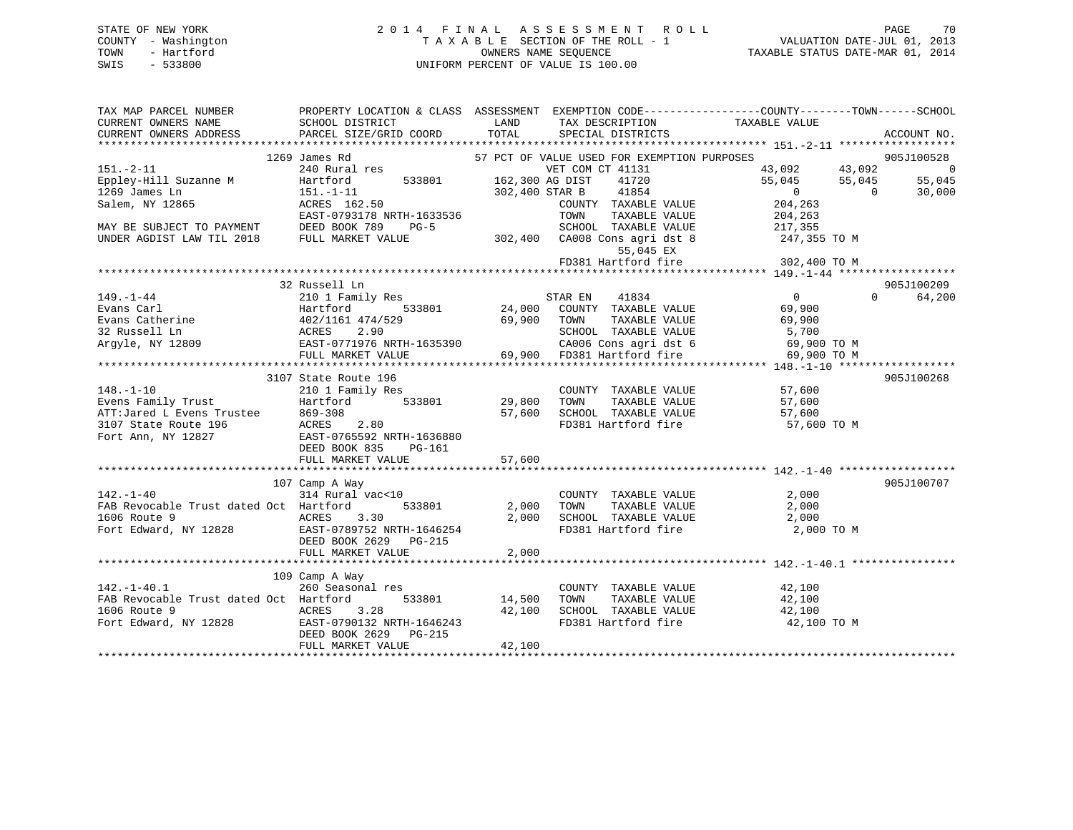### STATE OF NEW YORK 2 0 1 4 F I N A L A S S E S S M E N T R O L L PAGE 70 COUNTY - Washington T A X A B L E SECTION OF THE ROLL - 1 VALUATION DATE-JUL 01, 2013 TOWN - Hartford **TAXABLE STATUS DATE-MAR 01, 2014** OWNERS NAME SEQUENCE TAXABLE STATUS DATE-MAR 01, 2014 SWIS - 533800 UNIFORM PERCENT OF VALUE IS 100.00

| TAX MAP PARCEL NUMBER<br>CURRENT OWNERS NAME<br>CURRENT OWNERS ADDRESS                                                                                                                                                                                                                                                                                                                                                                           | SCHOOL DISTRICT<br><b>LAND</b><br>PARCEL SIZE/GRID COORD | TOTAL          | TAX DESCRIPTION TAXABLE VALUE SPECIAL DISTRICTS<br>SPECIAL DISTRICTS | PROPERTY LOCATION & CLASS ASSESSMENT EXEMPTION CODE---------------COUNTY-------TOWN-----SCHOOL                                                                        | ACCOUNT NO.        |
|--------------------------------------------------------------------------------------------------------------------------------------------------------------------------------------------------------------------------------------------------------------------------------------------------------------------------------------------------------------------------------------------------------------------------------------------------|----------------------------------------------------------|----------------|----------------------------------------------------------------------|-----------------------------------------------------------------------------------------------------------------------------------------------------------------------|--------------------|
|                                                                                                                                                                                                                                                                                                                                                                                                                                                  |                                                          |                |                                                                      |                                                                                                                                                                       |                    |
|                                                                                                                                                                                                                                                                                                                                                                                                                                                  | James Rd<br>240 Rural res<br>1269 James Rd               |                | 57 PCT OF VALUE USED FOR EXEMPTION PURPOSES                          |                                                                                                                                                                       | 905J100528         |
| $151. - 2 - 11$                                                                                                                                                                                                                                                                                                                                                                                                                                  |                                                          |                | VET COM CT 41131                                                     | 43,092             43,092<br>55,045           55,045                                                                                                                  | $\overline{0}$     |
| Eppley-Hill Suzanne M                                                                                                                                                                                                                                                                                                                                                                                                                            | Hartford 533801 162,300 AG DIST                          |                | 41720                                                                |                                                                                                                                                                       | 55,045             |
| 1269 James Ln                                                                                                                                                                                                                                                                                                                                                                                                                                    | 151.-1-11<br>ACRES 162.50                                | 302,400 STAR B | 41854                                                                | $\overline{0}$                                                                                                                                                        | 30,000<br>$\Omega$ |
| Salem, NY 12865                                                                                                                                                                                                                                                                                                                                                                                                                                  |                                                          |                | COUNTY TAXABLE VALUE                                                 | 204,263                                                                                                                                                               |                    |
|                                                                                                                                                                                                                                                                                                                                                                                                                                                  | EAST-0793178 NRTH-1633536<br>DEED BOOK 789 PG-5          |                | TAXABLE VALUE<br>TOWN                                                | 204,263                                                                                                                                                               |                    |
| EAST-0793178 NRTH-<br>MAY BE SUBJECT TO PAYMENT DEED BOOK 789 I<br>UNDER AGDIST LAW TIL 2018 FULL MARKET VALUE                                                                                                                                                                                                                                                                                                                                   |                                                          |                | SCHOOL TAXABLE VALUE                                                 | 217,355                                                                                                                                                               |                    |
|                                                                                                                                                                                                                                                                                                                                                                                                                                                  |                                                          |                |                                                                      | 302,400 CA008 Cons agri dst 8 247,355 TO M                                                                                                                            |                    |
|                                                                                                                                                                                                                                                                                                                                                                                                                                                  |                                                          |                |                                                                      |                                                                                                                                                                       |                    |
|                                                                                                                                                                                                                                                                                                                                                                                                                                                  |                                                          |                |                                                                      | 55,045 EX<br>FD381 Hartford fire 302,400 TO M                                                                                                                         |                    |
|                                                                                                                                                                                                                                                                                                                                                                                                                                                  |                                                          |                |                                                                      |                                                                                                                                                                       |                    |
|                                                                                                                                                                                                                                                                                                                                                                                                                                                  | 32 Russell Ln                                            |                |                                                                      |                                                                                                                                                                       | 905J100209         |
| $\begin{tabular}{lllllllllllllllllllllll} \rule{0pt}{0pt} \texttt{149.-1-44} & \texttt{2101 Family Res} & \texttt{2101 Family Res} \\ \texttt{Evans Carl} & \texttt{Hartford} & \texttt{533801} & \texttt{24,000} & \texttt{COUNT} \\ \texttt{Evans Catherine} & \texttt{402/1161 474/529} & \texttt{69,900} & \texttt{TOWN} \\ \texttt{32 Russell Ln} & \texttt{ACRES} & \texttt{2.90} & \texttt{SCHO0} & \texttt{SCHO0} \\ \texttt{Argyle, NY$ |                                                          |                |                                                                      | $\begin{matrix}0\\69\end{matrix}$                                                                                                                                     | $\Omega$<br>64,200 |
|                                                                                                                                                                                                                                                                                                                                                                                                                                                  |                                                          |                |                                                                      |                                                                                                                                                                       |                    |
|                                                                                                                                                                                                                                                                                                                                                                                                                                                  |                                                          |                | TAXABLE VALUE                                                        |                                                                                                                                                                       |                    |
|                                                                                                                                                                                                                                                                                                                                                                                                                                                  |                                                          |                |                                                                      | 69,900                                                                                                                                                                |                    |
|                                                                                                                                                                                                                                                                                                                                                                                                                                                  |                                                          |                | SCHOOL TAXABLE VALUE                                                 | 5,700                                                                                                                                                                 |                    |
|                                                                                                                                                                                                                                                                                                                                                                                                                                                  |                                                          |                |                                                                      |                                                                                                                                                                       |                    |
|                                                                                                                                                                                                                                                                                                                                                                                                                                                  |                                                          |                | 69,900 FD381 Hartford fire                                           | 69,900 TO M                                                                                                                                                           |                    |
|                                                                                                                                                                                                                                                                                                                                                                                                                                                  |                                                          |                |                                                                      |                                                                                                                                                                       |                    |
|                                                                                                                                                                                                                                                                                                                                                                                                                                                  | 3107 State Route 196                                     |                |                                                                      |                                                                                                                                                                       | 905J100268         |
|                                                                                                                                                                                                                                                                                                                                                                                                                                                  | state Route 196<br>210 1 Family Res                      |                | COUNTY TAXABLE VALUE 57,600                                          |                                                                                                                                                                       |                    |
|                                                                                                                                                                                                                                                                                                                                                                                                                                                  | Hartford 533801 29,800                                   |                | TOWN                                                                 | TAXABLE VALUE 57,600                                                                                                                                                  |                    |
|                                                                                                                                                                                                                                                                                                                                                                                                                                                  |                                                          |                |                                                                      | 57,600 SCHOOL TAXABLE VALUE 57,600<br>FD381 Hartford fire 57,600 TO M                                                                                                 |                    |
|                                                                                                                                                                                                                                                                                                                                                                                                                                                  | 2.80                                                     |                |                                                                      |                                                                                                                                                                       |                    |
|                                                                                                                                                                                                                                                                                                                                                                                                                                                  | EAST-0765592 NRTH-1636880                                |                |                                                                      |                                                                                                                                                                       |                    |
|                                                                                                                                                                                                                                                                                                                                                                                                                                                  | DEED BOOK 835<br>PG-161                                  |                |                                                                      |                                                                                                                                                                       |                    |
| *******<br>148.-1-10<br>Evens Family Trust<br>ATT:Jared L Evens Trustee<br>269-308<br>2020 2023<br>2021<br>2027<br>2027<br>2027<br>2027<br>2027<br>2027<br>2027<br>2027<br>2027<br>2027<br>2027<br>2027<br>2027<br>2027<br>2027<br>2027<br>2028<br>2027<br>2027<br>2028<br>2027                                                                                                                                                                  | FULL MARKET VALUE                                        | 57,600         |                                                                      |                                                                                                                                                                       |                    |
|                                                                                                                                                                                                                                                                                                                                                                                                                                                  |                                                          |                |                                                                      |                                                                                                                                                                       |                    |
|                                                                                                                                                                                                                                                                                                                                                                                                                                                  | 107 Camp A Way                                           |                |                                                                      |                                                                                                                                                                       | 905J100707         |
| $142. - 1 - 40$                                                                                                                                                                                                                                                                                                                                                                                                                                  | $314$ Rural vac<10                                       |                | COUNTY TAXABLE VALUE 2,000                                           |                                                                                                                                                                       |                    |
| FAB Revocable Trust dated Oct Hartford 533801 2,000                                                                                                                                                                                                                                                                                                                                                                                              |                                                          |                | TOWN                                                                 | 2,000                                                                                                                                                                 |                    |
|                                                                                                                                                                                                                                                                                                                                                                                                                                                  |                                                          |                | TAXABLE VALUE                                                        |                                                                                                                                                                       |                    |
| 1606 Route 9<br>ACRES 3.30                                                                                                                                                                                                                                                                                                                                                                                                                       |                                                          |                |                                                                      | $\begin{tabular}{lllllllll} 2,000 & \texttt{SCHOOL} & \texttt{TAXABLE VALUE} & & & & 2,000 \\ & \texttt{FD381 Hartford fire} & & & 2,000~\texttt{TO M} \end{tabular}$ |                    |
|                                                                                                                                                                                                                                                                                                                                                                                                                                                  |                                                          |                |                                                                      |                                                                                                                                                                       |                    |
|                                                                                                                                                                                                                                                                                                                                                                                                                                                  | DEED BOOK 2629 PG-215                                    |                |                                                                      |                                                                                                                                                                       |                    |
|                                                                                                                                                                                                                                                                                                                                                                                                                                                  | FULL MARKET VALUE                                        | 2,000          |                                                                      |                                                                                                                                                                       |                    |
|                                                                                                                                                                                                                                                                                                                                                                                                                                                  |                                                          |                |                                                                      |                                                                                                                                                                       |                    |
|                                                                                                                                                                                                                                                                                                                                                                                                                                                  | 109 Camp A Way                                           |                |                                                                      |                                                                                                                                                                       |                    |
| $142. - 1 - 40.1$                                                                                                                                                                                                                                                                                                                                                                                                                                | 260 Seasonal res                                         |                | COUNTY TAXABLE VALUE                                                 | 42,100<br>42.100                                                                                                                                                      |                    |
| FAB Revocable Trust dated Oct Hartford                                                                                                                                                                                                                                                                                                                                                                                                           | 533801 14,500 TOWN                                       |                | TAXABLE VALUE                                                        | 42,100                                                                                                                                                                |                    |
| 1606 Route 9                                                                                                                                                                                                                                                                                                                                                                                                                                     |                                                          |                |                                                                      |                                                                                                                                                                       |                    |
|                                                                                                                                                                                                                                                                                                                                                                                                                                                  |                                                          |                |                                                                      | 42,100 TO M                                                                                                                                                           |                    |
| 1606 Route 9<br>Fort Edward, NY 12828                                                                                                                                                                                                                                                                                                                                                                                                            | DEED BOOK 2629 PG-215                                    |                |                                                                      |                                                                                                                                                                       |                    |
|                                                                                                                                                                                                                                                                                                                                                                                                                                                  | FULL MARKET VALUE                                        | 42,100         |                                                                      |                                                                                                                                                                       |                    |
|                                                                                                                                                                                                                                                                                                                                                                                                                                                  |                                                          |                |                                                                      |                                                                                                                                                                       |                    |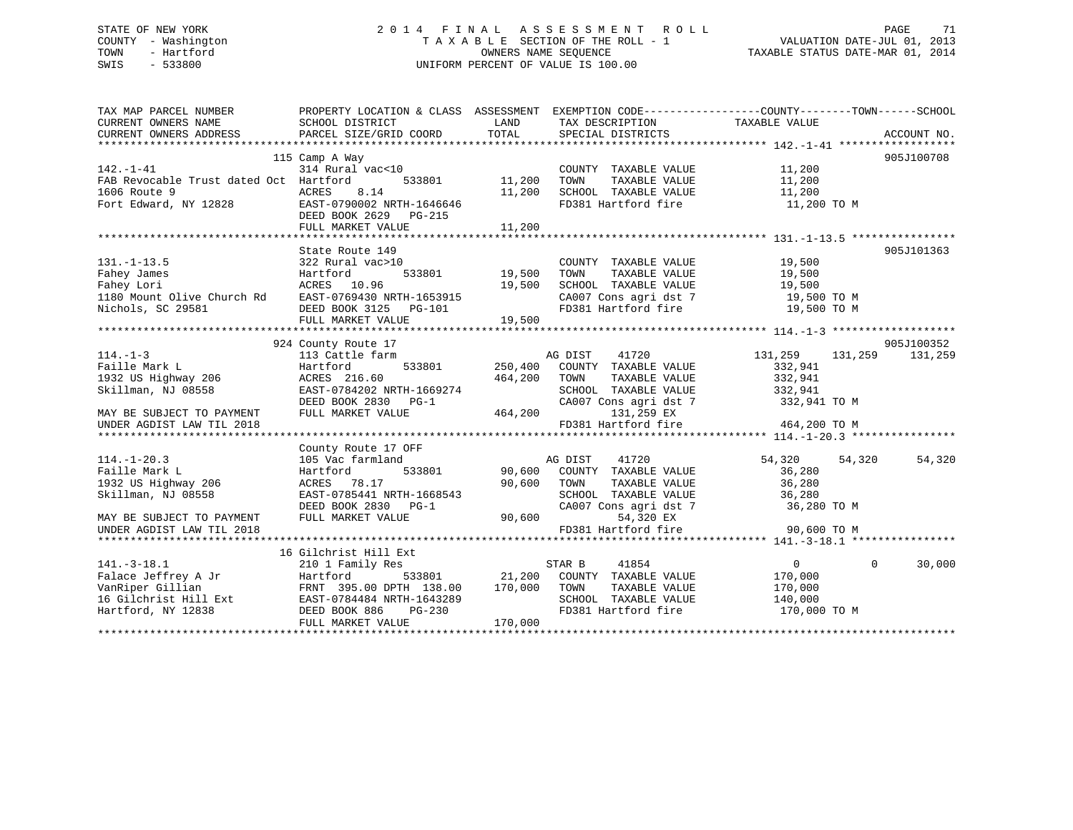### STATE OF NEW YORK 2 0 1 4 F I N A L A S S E S S M E N T R O L L PAGE 71 COUNTY - Washington T A X A B L E SECTION OF THE ROLL - 1 VALUATION DATE-JUL 01, 2013 TOWN - Hartford **TAXABLE STATUS DATE-MAR 01, 2014** OWNERS NAME SEQUENCE TAXABLE STATUS DATE-MAR 01, 2014 SWIS - 533800 UNIFORM PERCENT OF VALUE IS 100.00

| TAX MAP PARCEL NUMBER<br>CURRENT OWNERS NAME                                                                                                                                                                                           | PROPERTY LOCATION & CLASS ASSESSMENT EXEMPTION CODE-----------------COUNTY-------TOWN------SCHOOL<br>SCHOOL DISTRICT | LAND                    | TAX DESCRIPTION TAXABLE VALUE                                                              |                         |                    |
|----------------------------------------------------------------------------------------------------------------------------------------------------------------------------------------------------------------------------------------|----------------------------------------------------------------------------------------------------------------------|-------------------------|--------------------------------------------------------------------------------------------|-------------------------|--------------------|
| CURRENT OWNERS ADDRESS                                                                                                                                                                                                                 | PARCEL SIZE/GRID COORD TOTAL                                                                                         |                         | SPECIAL DISTRICTS                                                                          |                         | ACCOUNT NO.        |
|                                                                                                                                                                                                                                        |                                                                                                                      |                         |                                                                                            |                         |                    |
|                                                                                                                                                                                                                                        | 115 Camp A Way<br>314 Rural vac<10                                                                                   |                         |                                                                                            |                         | 905J100708         |
| $142. - 1 - 41$                                                                                                                                                                                                                        |                                                                                                                      |                         | COUNTY TAXABLE VALUE                                                                       | 11,200                  |                    |
| FAB Revocable Trust dated Oct Hartford<br>1606 Route 9                                                                                                                                                                                 | ACRES<br>8.14                                                                                                        | 533801 11,200<br>11,200 | TAXABLE VALUE<br>TOWN                                                                      | 11,200<br>11,200        |                    |
|                                                                                                                                                                                                                                        |                                                                                                                      |                         | SCHOOL TAXABLE VALUE                                                                       |                         |                    |
| Fort Edward, NY 12828                                                                                                                                                                                                                  | EAST-0790002 NRTH-1646646                                                                                            |                         | FD381 Hartford fire 11,200 TO M                                                            |                         |                    |
|                                                                                                                                                                                                                                        | DEED BOOK 2629 PG-215                                                                                                |                         |                                                                                            |                         |                    |
|                                                                                                                                                                                                                                        | FULL MARKET VALUE                                                                                                    | 11,200                  |                                                                                            |                         |                    |
|                                                                                                                                                                                                                                        |                                                                                                                      |                         |                                                                                            |                         | 905J101363         |
|                                                                                                                                                                                                                                        | State Route 149                                                                                                      |                         |                                                                                            |                         |                    |
| $131. - 1 - 13.5$<br>Fahey James                                                                                                                                                                                                       | 322 Rural vac>10                                                                                                     |                         | COUNTY TAXABLE VALUE 19,500                                                                |                         |                    |
|                                                                                                                                                                                                                                        | Hartford                                                                                                             | 533801 19,500           |                                                                                            |                         |                    |
|                                                                                                                                                                                                                                        |                                                                                                                      |                         |                                                                                            |                         |                    |
|                                                                                                                                                                                                                                        |                                                                                                                      |                         |                                                                                            |                         |                    |
|                                                                                                                                                                                                                                        |                                                                                                                      |                         |                                                                                            |                         |                    |
|                                                                                                                                                                                                                                        |                                                                                                                      |                         |                                                                                            |                         |                    |
|                                                                                                                                                                                                                                        |                                                                                                                      |                         |                                                                                            |                         | 905J100352         |
| $114. - 1 - 3$                                                                                                                                                                                                                         | 924 County Route 17                                                                                                  |                         | 41720                                                                                      | 131,259                 |                    |
| Faille Mark L                                                                                                                                                                                                                          | 113 Cattle farm                                                                                                      |                         | AG DIST                                                                                    |                         | 131,259 131,259    |
| 1932 US Highway 206                                                                                                                                                                                                                    | 533801 250,400<br>Hartford<br>ACRES 216.60                                                                           | 464,200                 | COUNTY TAXABLE VALUE<br>TOWN<br>TAXABLE VALUE                                              | 332,941<br>332,941      |                    |
| Skillman, NJ 08558                                                                                                                                                                                                                     | EAST-0784202 NRTH-1669274                                                                                            |                         | SCHOOL TAXABLE VALUE 332,941                                                               |                         |                    |
|                                                                                                                                                                                                                                        | DEED BOOK 2830 PG-1                                                                                                  |                         |                                                                                            |                         |                    |
|                                                                                                                                                                                                                                        | FULL MARKET VALUE                                                                                                    | 464,200                 | CA007 Cons agri dst 7 332,941 TO M<br>131,259 EX                                           |                         |                    |
| MAY BE SUBJECT TO PAYMENT                                                                                                                                                                                                              |                                                                                                                      |                         | FD381 Hartford fire                                                                        | 464,200 TO M            |                    |
| UNDER AGDIST LAW TIL 2018                                                                                                                                                                                                              |                                                                                                                      |                         |                                                                                            |                         |                    |
|                                                                                                                                                                                                                                        |                                                                                                                      |                         |                                                                                            |                         |                    |
|                                                                                                                                                                                                                                        | County Route 17 OFF                                                                                                  |                         |                                                                                            |                         | 54,320             |
| $114. - 1 - 20.3$                                                                                                                                                                                                                      | 105 Vac farmland<br>533801                                                                                           |                         |                                                                                            | 54,320 54,320<br>36,280 |                    |
| Faille Mark L<br>1932 US Highway 206                                                                                                                                                                                                   | Hartford<br>ACRES 78.17                                                                                              | 90,600 TOWN             | AG DIST 41720<br>33801 90,600 COUNTY TAXABLE VALUE<br>----- mayabi walile<br>TAXABLE VALUE | 36,280                  |                    |
| Skillman, NJ 08558                                                                                                                                                                                                                     | EAST-0785441 NRTH-1668543                                                                                            |                         | SCHOOL TAXABLE VALUE                                                                       | 36,280                  |                    |
|                                                                                                                                                                                                                                        | DEED BOOK 2830 PG-1                                                                                                  |                         | SCHOOL TAXABLE VALUE<br>CA007 Cons agri dst 7                                              | 36,280 TO M             |                    |
| MAY BE SUBJECT TO PAYMENT                                                                                                                                                                                                              | FULL MARKET VALUE                                                                                                    | 90,600                  | 54,320 EX                                                                                  |                         |                    |
| UNDER AGDIST LAW TIL 2018                                                                                                                                                                                                              |                                                                                                                      |                         | FD381 Hartford fire                                                                        | 90,600 TO M             |                    |
|                                                                                                                                                                                                                                        |                                                                                                                      |                         |                                                                                            |                         |                    |
|                                                                                                                                                                                                                                        | 16 Gilchrist Hill Ext                                                                                                |                         |                                                                                            |                         |                    |
| $141. - 3 - 18.1$                                                                                                                                                                                                                      | 210 1 Family Res                                                                                                     |                         | STAR B<br>41854                                                                            | $\overline{0}$          | $\Omega$<br>30,000 |
|                                                                                                                                                                                                                                        |                                                                                                                      |                         | 533801 21,200 COUNTY TAXABLE VALUE                                                         | 170,000                 |                    |
| Falace Jeffrey A Jr and the Hamilty Res (11,200 COUNT)<br>Falace Jeffrey A Jr Hartford 533801 21,200 COUNT<br>VanRiper Gillian FRNT 395.00 DPTH 138.00 170,000 TOWN<br>16 Gilchrist Hill Ext EAST-0784484 NRTH-1643289 SCHOO<br>Hartfo |                                                                                                                      |                         | TAXABLE VALUE                                                                              | 170,000                 |                    |
|                                                                                                                                                                                                                                        |                                                                                                                      |                         | SCHOOL TAXABLE VALUE                                                                       | 140,000                 |                    |
|                                                                                                                                                                                                                                        | $PG-230$<br>DEED BOOK 886                                                                                            |                         | FD381 Hartford fire                                                                        | 170,000 TO M            |                    |
|                                                                                                                                                                                                                                        | FULL MARKET VALUE                                                                                                    | 170,000                 |                                                                                            |                         |                    |
|                                                                                                                                                                                                                                        |                                                                                                                      |                         |                                                                                            |                         |                    |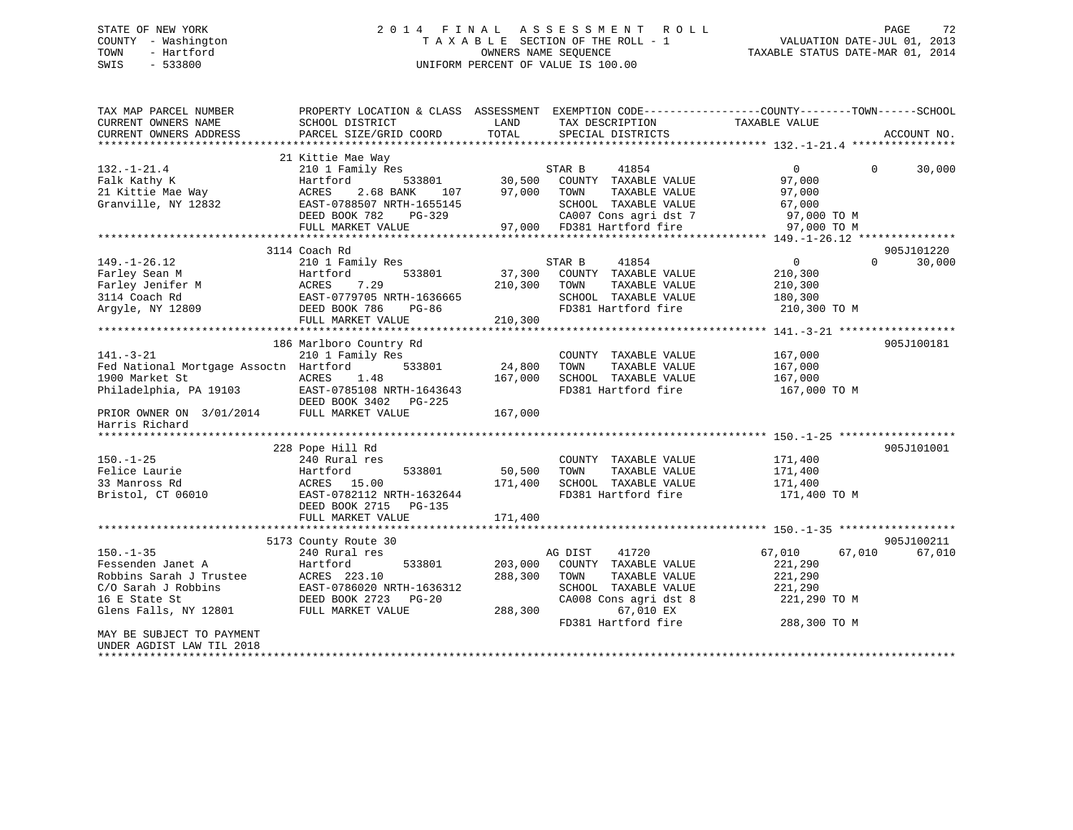### STATE OF NEW YORK 2 0 1 4 F I N A L A S S E S S M E N T R O L L PAGE 72 COUNTY - Washington T A X A B L E SECTION OF THE ROLL - 1 VALUATION DATE-JUL 01, 2013 TOWN - Hartford OWNERS NAME SEQUENCE TAXABLE STATUS DATE-MAR 01, 2014 SWIS - 533800 UNIFORM PERCENT OF VALUE IS 100.00

| TAX MAP PARCEL NUMBER<br>CURRENT OWNERS NAME | SCHOOL DISTRICT                                    | LAND    | TAX DESCRIPTION            | PROPERTY LOCATION & CLASS ASSESSMENT EXEMPTION CODE----------------COUNTY-------TOWN-----SCHOOL<br>TAXABLE VALUE |             |
|----------------------------------------------|----------------------------------------------------|---------|----------------------------|------------------------------------------------------------------------------------------------------------------|-------------|
| CURRENT OWNERS ADDRESS                       | PARCEL SIZE/GRID COORD                             | TOTAL   | SPECIAL DISTRICTS          |                                                                                                                  | ACCOUNT NO. |
|                                              |                                                    |         |                            |                                                                                                                  |             |
|                                              | 21 Kittie Mae Way                                  |         |                            |                                                                                                                  |             |
| $132. - 1 - 21.4$                            | 210 1 Family Res                                   |         | STAR B<br>41854            | $\overline{0}$<br>$\Omega$                                                                                       | 30,000      |
| Falk Kathy K                                 | Hartford<br>533801                                 | 30,500  | COUNTY TAXABLE VALUE       | 97,000                                                                                                           |             |
| 21 Kittie Mae Way                            | 2.68 BANK<br>ACRES<br>107                          | 97,000  | TAXABLE VALUE<br>TOWN      | 97,000                                                                                                           |             |
| Granville, NY 12832                          | EAST-0788507 NRTH-1655145                          |         | SCHOOL TAXABLE VALUE       | 67,000                                                                                                           |             |
|                                              | DEED BOOK 782<br>PG-329                            |         | CA007 Cons agri dst 7      | 97,000 TO M                                                                                                      |             |
|                                              | FULL MARKET VALUE                                  |         | 97,000 FD381 Hartford fire | 97,000 TO M                                                                                                      |             |
|                                              |                                                    |         |                            |                                                                                                                  |             |
|                                              | 3114 Coach Rd                                      |         |                            |                                                                                                                  | 905J101220  |
| $149. - 1 - 26.12$                           | 210 1 Family Res                                   |         | 41854<br>STAR B            | $\overline{0}$<br>$\Omega$                                                                                       | 30,000      |
| Farley Sean M                                | 533801<br>Hartford                                 | 37,300  | COUNTY TAXABLE VALUE       | 210,300                                                                                                          |             |
| Farley Jenifer M                             | ACRES<br>7.29                                      | 210,300 | TOWN<br>TAXABLE VALUE      | 210,300                                                                                                          |             |
| 3114 Coach Rd                                | EAST-0779705 NRTH-1636665                          |         | SCHOOL TAXABLE VALUE       | 180,300                                                                                                          |             |
| Argyle, NY 12809                             | DEED BOOK 786<br>PG-86                             |         | FD381 Hartford fire        | 210,300 TO M                                                                                                     |             |
|                                              | FULL MARKET VALUE                                  |         |                            |                                                                                                                  |             |
|                                              |                                                    | 210,300 |                            |                                                                                                                  |             |
|                                              |                                                    |         |                            |                                                                                                                  |             |
|                                              | 186 Marlboro Country Rd                            |         |                            |                                                                                                                  | 905J100181  |
| $141. - 3 - 21$                              | 210 1 Family Res                                   |         | COUNTY TAXABLE VALUE       | 167,000                                                                                                          |             |
| Fed National Mortgage Assoctn Hartford       | 533801                                             | 24,800  | TOWN<br>TAXABLE VALUE      | 167,000                                                                                                          |             |
| 1900 Market St                               | ACRES<br>1.48                                      | 167,000 | SCHOOL TAXABLE VALUE       | 167,000                                                                                                          |             |
| Philadelphia, PA 19103                       | EAST-0785108 NRTH-1643643<br>DEED BOOK 3402 PG-225 |         | FD381 Hartford fire        | 167,000 TO M                                                                                                     |             |
| PRIOR OWNER ON 3/01/2014<br>Harris Richard   | FULL MARKET VALUE                                  | 167,000 |                            |                                                                                                                  |             |
|                                              |                                                    |         |                            |                                                                                                                  |             |
|                                              | 228 Pope Hill Rd                                   |         |                            |                                                                                                                  | 905J101001  |
| $150. - 1 - 25$                              | 240 Rural res                                      |         | COUNTY TAXABLE VALUE       | 171,400                                                                                                          |             |
| Felice Laurie                                | 533801<br>Hartford                                 | 50,500  | TOWN<br>TAXABLE VALUE      | 171,400                                                                                                          |             |
| 33 Manross Rd                                | ACRES 15.00                                        | 171,400 | SCHOOL TAXABLE VALUE       | 171,400                                                                                                          |             |
| Bristol, CT 06010                            | EAST-0782112 NRTH-1632644                          |         | FD381 Hartford fire        |                                                                                                                  |             |
|                                              |                                                    |         |                            | 171,400 TO M                                                                                                     |             |
|                                              | DEED BOOK 2715<br>PG-135                           |         |                            |                                                                                                                  |             |
|                                              | FULL MARKET VALUE                                  | 171,400 |                            |                                                                                                                  |             |
|                                              |                                                    |         |                            |                                                                                                                  |             |
|                                              | 5173 County Route 30                               |         |                            |                                                                                                                  | 905J100211  |
| $150. - 1 - 35$                              | 240 Rural res                                      |         | AG DIST<br>41720           | 67,010<br>67,010                                                                                                 | 67,010      |
| Fessenden Janet A                            | Hartford<br>533801                                 | 203,000 | COUNTY TAXABLE VALUE       | 221,290                                                                                                          |             |
| Robbins Sarah J Trustee                      | ACRES 223.10                                       | 288,300 | TOWN<br>TAXABLE VALUE      | 221,290                                                                                                          |             |
| C/O Sarah J Robbins                          | EAST-0786020 NRTH-1636312                          |         | SCHOOL TAXABLE VALUE       | 221,290                                                                                                          |             |
| 16 E State St                                | DEED BOOK 2723 PG-20                               |         | CA008 Cons agri dst 8      | 221,290 TO M                                                                                                     |             |
| Glens Falls, NY 12801                        | FULL MARKET VALUE                                  | 288,300 | 67,010 EX                  |                                                                                                                  |             |
|                                              |                                                    |         | FD381 Hartford fire        | 288,300 TO M                                                                                                     |             |
| MAY BE SUBJECT TO PAYMENT                    |                                                    |         |                            |                                                                                                                  |             |
| UNDER AGDIST LAW TIL 2018                    |                                                    |         |                            |                                                                                                                  |             |
|                                              |                                                    |         |                            |                                                                                                                  |             |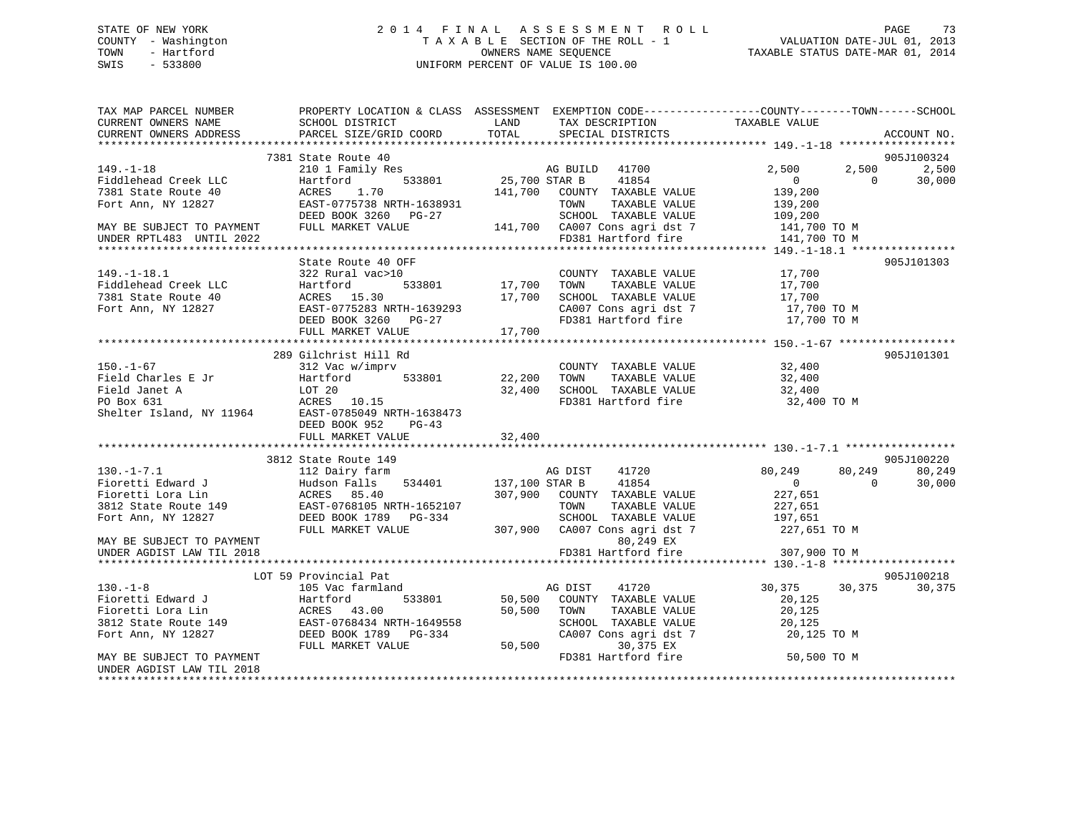## STATE OF NEW YORK 2 0 1 4 F I N A L A S S E S S M E N T R O L L PAGE 73 COUNTY - Washington T A X A B L E SECTION OF THE ROLL - 1 VALUATION DATE-JUL 01, 2013 TOWN - Hartford **TAXABLE STATUS DATE-MAR 01, 2014** OWNERS NAME SEQUENCE TAXABLE STATUS DATE-MAR 01, 2014 SWIS - 533800 UNIFORM PERCENT OF VALUE IS 100.00

| TAX MAP PARCEL NUMBER<br>CURRENT OWNERS NAME<br>CURRENT OWNERS ADDRESS                                                                                                                                                                                     | PROPERTY LOCATION & CLASS ASSESSMENT EXEMPTION CODE---------------COUNTY-------TOWN-----SCHOOL                                                                             |        |                     |                                                                                                                        | ACCOUNT NO.              |
|------------------------------------------------------------------------------------------------------------------------------------------------------------------------------------------------------------------------------------------------------------|----------------------------------------------------------------------------------------------------------------------------------------------------------------------------|--------|---------------------|------------------------------------------------------------------------------------------------------------------------|--------------------------|
|                                                                                                                                                                                                                                                            |                                                                                                                                                                            |        |                     |                                                                                                                        |                          |
|                                                                                                                                                                                                                                                            | 7381 State Route 40                                                                                                                                                        |        |                     |                                                                                                                        | 905J100324               |
| $149. - 1 - 18$                                                                                                                                                                                                                                            |                                                                                                                                                                            |        |                     | 2,500                                                                                                                  | 2,500<br>2,500           |
|                                                                                                                                                                                                                                                            | State Route 40<br>210 1 Family Res<br>Hartford 533801 25,700 STAR B 41854<br>141 700 COUNTRY TAXABLE                                                                       |        |                     |                                                                                                                        | 30,000<br>$\bigcap$      |
|                                                                                                                                                                                                                                                            |                                                                                                                                                                            |        |                     |                                                                                                                        |                          |
|                                                                                                                                                                                                                                                            |                                                                                                                                                                            |        |                     |                                                                                                                        |                          |
|                                                                                                                                                                                                                                                            |                                                                                                                                                                            |        |                     |                                                                                                                        |                          |
|                                                                                                                                                                                                                                                            |                                                                                                                                                                            |        |                     |                                                                                                                        |                          |
|                                                                                                                                                                                                                                                            |                                                                                                                                                                            |        |                     |                                                                                                                        |                          |
|                                                                                                                                                                                                                                                            |                                                                                                                                                                            |        |                     |                                                                                                                        |                          |
|                                                                                                                                                                                                                                                            | State Route 40 OFF                                                                                                                                                         |        |                     |                                                                                                                        | 905J101303               |
|                                                                                                                                                                                                                                                            |                                                                                                                                                                            |        |                     |                                                                                                                        |                          |
|                                                                                                                                                                                                                                                            |                                                                                                                                                                            |        |                     |                                                                                                                        |                          |
| 149.-1-18.1<br>Fiddlehead Creek LLC<br>Tartford 533801<br>TOWN TAXABLE VALUE<br>TAXABLE VALUE<br>TAXABLE VALUE<br>TAXABLE VALUE<br>17,700<br>TOWN TAXABLE VALUE<br>17,700<br>TOWN TAXABLE VALUE<br>17,700<br>SCHOOL TAXABLE VALUE<br>17,700<br>TOWN TAXABL |                                                                                                                                                                            |        |                     |                                                                                                                        |                          |
|                                                                                                                                                                                                                                                            |                                                                                                                                                                            |        |                     |                                                                                                                        |                          |
|                                                                                                                                                                                                                                                            |                                                                                                                                                                            |        |                     |                                                                                                                        |                          |
|                                                                                                                                                                                                                                                            |                                                                                                                                                                            |        |                     |                                                                                                                        |                          |
|                                                                                                                                                                                                                                                            |                                                                                                                                                                            |        |                     |                                                                                                                        | 905J101301               |
|                                                                                                                                                                                                                                                            | 289 Gilchrist Hill Rd                                                                                                                                                      |        |                     |                                                                                                                        |                          |
|                                                                                                                                                                                                                                                            |                                                                                                                                                                            |        |                     |                                                                                                                        |                          |
|                                                                                                                                                                                                                                                            |                                                                                                                                                                            |        |                     |                                                                                                                        |                          |
|                                                                                                                                                                                                                                                            |                                                                                                                                                                            |        |                     | 32,400 TO M                                                                                                            |                          |
|                                                                                                                                                                                                                                                            |                                                                                                                                                                            |        |                     |                                                                                                                        |                          |
|                                                                                                                                                                                                                                                            | DEED BOOK 952 PG-43                                                                                                                                                        |        |                     |                                                                                                                        |                          |
|                                                                                                                                                                                                                                                            | FULL MARKET VALUE                                                                                                                                                          | 32,400 |                     |                                                                                                                        |                          |
|                                                                                                                                                                                                                                                            |                                                                                                                                                                            |        |                     |                                                                                                                        |                          |
|                                                                                                                                                                                                                                                            | 3812 State Route 149                                                                                                                                                       |        |                     |                                                                                                                        | 905J100220               |
| 130.-1-7.1<br>Fioretti Edward J<br>Fioretti Lora Lin Hudson Falls 534401<br>Hudson Falls 534401<br>Hudson Falls 534401<br>207.900 COUNTY TAXABLE VALUE<br>207.900 COUNTY TAXABLE VALUE<br>207.900 COUNTY TAXABLE VALUE<br>207.900 COUNTY TAXAB             |                                                                                                                                                                            |        |                     | 80,249                                                                                                                 | 80,249<br>80,249         |
|                                                                                                                                                                                                                                                            |                                                                                                                                                                            |        |                     |                                                                                                                        | $\overline{0}$<br>30,000 |
|                                                                                                                                                                                                                                                            |                                                                                                                                                                            |        |                     | $\begin{array}{c} 0 \\ 227,651 \end{array}$                                                                            |                          |
|                                                                                                                                                                                                                                                            |                                                                                                                                                                            |        |                     |                                                                                                                        |                          |
|                                                                                                                                                                                                                                                            |                                                                                                                                                                            |        |                     |                                                                                                                        |                          |
|                                                                                                                                                                                                                                                            | EAST-0768105 NRTH-1652107 TOWN TAXABLE VALUE 227,651<br>DEED BOOK 1789 PG-334 SCHOOL TAXABLE VALUE 197,651<br>FULL MARKET VALUE 307,900 CA007 Cons agri dst 7 227,651 TO M |        |                     |                                                                                                                        |                          |
| MAY BE SUBJECT TO PAYMENT                                                                                                                                                                                                                                  |                                                                                                                                                                            |        | 80,249 EX           |                                                                                                                        |                          |
| UNDER AGDIST LAW TIL 2018                                                                                                                                                                                                                                  |                                                                                                                                                                            |        | FD381 Hartford fire | 307,900 TO M                                                                                                           |                          |
|                                                                                                                                                                                                                                                            |                                                                                                                                                                            |        |                     |                                                                                                                        |                          |
|                                                                                                                                                                                                                                                            |                                                                                                                                                                            |        |                     |                                                                                                                        | 905J100218               |
|                                                                                                                                                                                                                                                            |                                                                                                                                                                            |        |                     | 30,375 30,375                                                                                                          | 30,375                   |
|                                                                                                                                                                                                                                                            |                                                                                                                                                                            |        |                     |                                                                                                                        |                          |
|                                                                                                                                                                                                                                                            |                                                                                                                                                                            |        |                     |                                                                                                                        |                          |
|                                                                                                                                                                                                                                                            |                                                                                                                                                                            |        |                     | TOWN TAXABLE VALUE 20,125<br>SCHOOL TAXABLE VALUE 20,125<br>CA007 Cons agri dst 7 20,125 TO M<br>30.375 EX 20,125 TO M |                          |
|                                                                                                                                                                                                                                                            |                                                                                                                                                                            |        |                     |                                                                                                                        |                          |
|                                                                                                                                                                                                                                                            |                                                                                                                                                                            |        |                     |                                                                                                                        |                          |
| MAY BE SUBJECT TO PAYMENT                                                                                                                                                                                                                                  |                                                                                                                                                                            |        |                     | FD381 Hartford fire 50,500 TO M                                                                                        |                          |
| UNDER AGDIST LAW TIL 2018                                                                                                                                                                                                                                  |                                                                                                                                                                            |        |                     |                                                                                                                        |                          |
|                                                                                                                                                                                                                                                            |                                                                                                                                                                            |        |                     |                                                                                                                        |                          |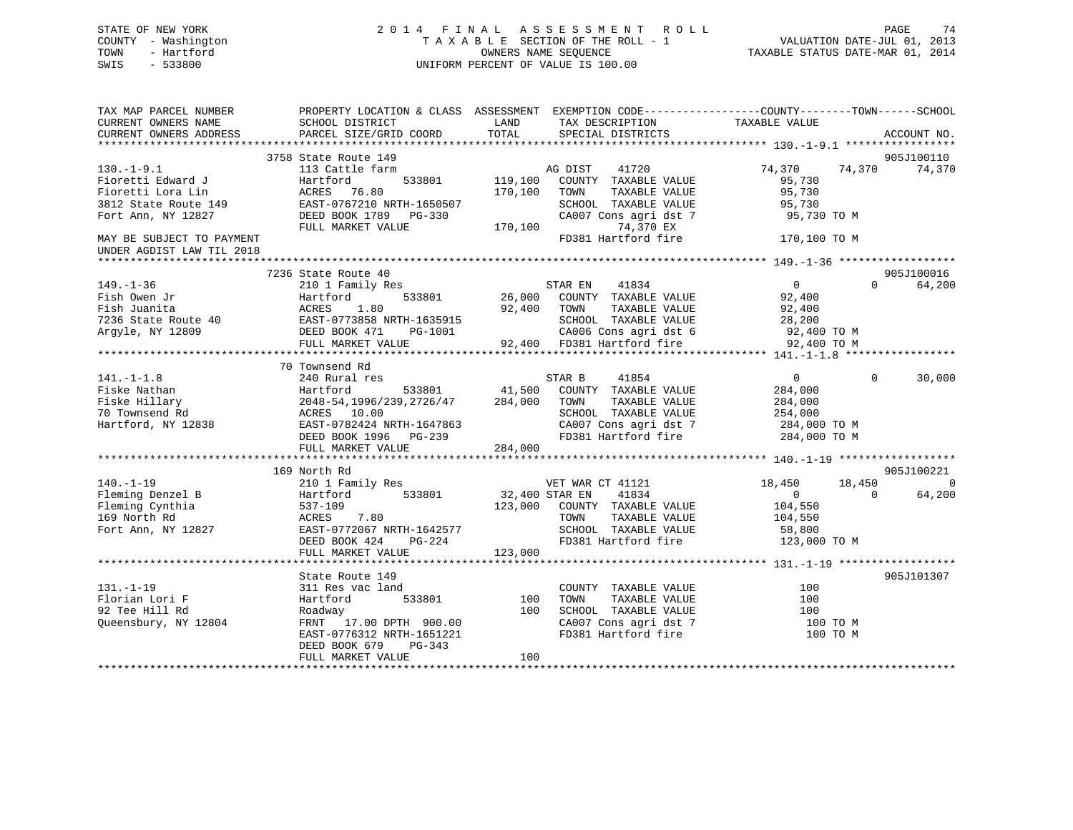## STATE OF NEW YORK 2 0 1 4 F I N A L A S S E S S M E N T R O L L PAGE 74 COUNTY - Washington T A X A B L E SECTION OF THE ROLL - 1 VALUATION DATE-JUL 01, 2013 TOWN - Hartford **TAXABLE STATUS DATE-MAR 01, 2014** OWNERS NAME SEQUENCE TAXABLE STATUS DATE-MAR 01, 2014 SWIS - 533800 UNIFORM PERCENT OF VALUE IS 100.00

| TAX MAP PARCEL NUMBER<br>CURRENT OWNERS NAME<br>CURRENT OWNERS ADDRESS                     | PROPERTY LOCATION & CLASS ASSESSMENT EXEMPTION CODE----------------COUNTY-------TOWN------SCHOOL<br>SCHOOL DISTRICT<br>PARCEL SIZE/GRID COORD                                                                                                        | LAND<br>TOTAL     | TAX DESCRIPTION<br>SPECIAL DISTRICTS                                                                                                                                  | TAXABLE VALUE                                                                              | ACCOUNT NO.                            |
|--------------------------------------------------------------------------------------------|------------------------------------------------------------------------------------------------------------------------------------------------------------------------------------------------------------------------------------------------------|-------------------|-----------------------------------------------------------------------------------------------------------------------------------------------------------------------|--------------------------------------------------------------------------------------------|----------------------------------------|
|                                                                                            |                                                                                                                                                                                                                                                      |                   |                                                                                                                                                                       |                                                                                            |                                        |
|                                                                                            | 3758 State Route 149                                                                                                                                                                                                                                 |                   |                                                                                                                                                                       |                                                                                            | 905J100110                             |
| $130. - 1 - 9.1$<br>Fioretti Edward J<br>Fioretti Lora Lin                                 | 113 Cattle farm<br>Hartford<br>ACRES 76.80                                                                                                                                                                                                           | 170,100 TOWN      | AG DIST 41720<br>533801 119,100 COUNTY TAXABLE VALUE<br>TAXABLE VALUE                                                                                                 | 74,370 74,370<br>95,730<br>95,730                                                          | 74,370                                 |
| Fort Ann, NY 12827                                                                         | 3812 State Route 149 EAST-0767210 NRTH-1650507<br>DEED BOOK 1789    PG-330<br>FULL MARKET VALUE                                                                                                                                                      | 170, 100          | SCHOOL TAXABLE VALUE<br>CA007 Cons agri dst 7<br>74,370 EX                                                                                                            | 95,730<br>95,730 TO M                                                                      |                                        |
| MAY BE SUBJECT TO PAYMENT<br>UNDER AGDIST LAW TIL 2018                                     |                                                                                                                                                                                                                                                      |                   | FD381 Hartford fire                                                                                                                                                   | 170,100 TO M                                                                               |                                        |
|                                                                                            |                                                                                                                                                                                                                                                      |                   |                                                                                                                                                                       |                                                                                            |                                        |
| $149. - 1 - 36$<br>Fish Owen Jr<br>Fish Juanita<br>7236 State Route 40<br>Argyle, NY 12809 | 7236 State Route 40<br>210 1 Family Res<br>,<br>533801<br>Hartford<br>ACRES 1.80<br>ACRES 1.80<br>EAST-0773858 NRTH-1635915<br>DEED BOOK 471 PG-1001<br>FULL MARKET VALUE                                                                            | 92,400 TOWN       | STAR EN        41834<br>26,000    COUNTY   TAXABLE  VALUE<br>TAXABLE VALUE<br>SCHOOL TAXABLE VALUE<br>CA006 Cons agri dst 6 92,400 TO M<br>92,400 FD381 Hartford fire | $\overline{0}$<br>92,400<br>92,400<br>28,200<br>92,400 TO M                                | 905J100016<br>$\Omega$<br>64,200       |
|                                                                                            |                                                                                                                                                                                                                                                      |                   |                                                                                                                                                                       |                                                                                            |                                        |
| $141. - 1 - 1.8$                                                                           | 70 Townsend Rd<br>240 Rural res<br>Fiske Nathan Martford 533801 41,500 COUNT<br>Fiske Hillary 2048-54,1996/239,2726/47 284,000 TOWN 70 Townsend Rd ACRES 10.00 SCHOO:<br>Hartford, NY 12838 EAST-0782424 NRTH-1647863 CA007<br>DEED BOOK 1996 PG-239 |                   | Find the STAR B 41854<br>533801 41,500 COUNTY TAXABLE VALUE<br>TAXABLE VALUE<br>SCHOOL TAXABLE VALUE<br>CA007 Cons agri dst 7 284,000 TO M<br>FD381 Hartford fire     | $\overline{0}$<br>$\Omega$<br>284,000<br>284,000<br>254,000<br>284,000 TO M                | 30,000                                 |
|                                                                                            | FULL MARKET VALUE                                                                                                                                                                                                                                    | 284,000           |                                                                                                                                                                       |                                                                                            |                                        |
|                                                                                            |                                                                                                                                                                                                                                                      |                   |                                                                                                                                                                       |                                                                                            |                                        |
| $140. - 1 - 19$<br>Fleming Denzel B<br>Fleming Cynthia<br>169 North Rd                     | 169 North Rd<br>210 1 Family Res<br>533801<br>Hartford<br>537-109<br>ACRES<br>ACRES 7.80<br>Fort Ann, NY 12827 EAST-0772067 NRTH-1642577<br>DEED BOOK 424<br>PG-224                                                                                  | 32,400 STAR EN    | VET WAR CT 41121<br>41834<br>123,000 COUNTY TAXABLE VALUE<br>TAXABLE VALUE<br>TOWN<br>SCHOOL TAXABLE VALUE 58,800<br>FD381 Hartford fire                              | 18,450<br>18,450<br>$\overline{0}$<br>$\overline{0}$<br>104,550<br>104,550<br>123,000 TO M | 905J100221<br>$\overline{0}$<br>64,200 |
|                                                                                            | FULL MARKET VALUE                                                                                                                                                                                                                                    | 123,000           |                                                                                                                                                                       |                                                                                            |                                        |
|                                                                                            | State Route 149                                                                                                                                                                                                                                      |                   |                                                                                                                                                                       |                                                                                            | 905J101307                             |
| $131. - 1 - 19$<br>Florian Lori F<br>92 Tee Hill Rd<br>Queensbury, NY 12804                | 311 Res vac land<br>533801<br>Hartford<br>Roadway<br>FRNT 17.00 DPTH 900.00<br>EAST-0776312 NRTH-1651221<br>DEED BOOK 679<br>PG-343<br>FULL MARKET VALUE                                                                                             | 100<br>100<br>100 | COUNTY TAXABLE VALUE<br>TAXABLE VALUE<br>TOWN<br>SCHOOL TAXABLE VALUE<br>CA007 Cons agri dst 7<br>FD381 Hartford fire                                                 | 100<br>100<br>100<br>100 TO M<br>100 TO M                                                  |                                        |
|                                                                                            |                                                                                                                                                                                                                                                      |                   |                                                                                                                                                                       |                                                                                            |                                        |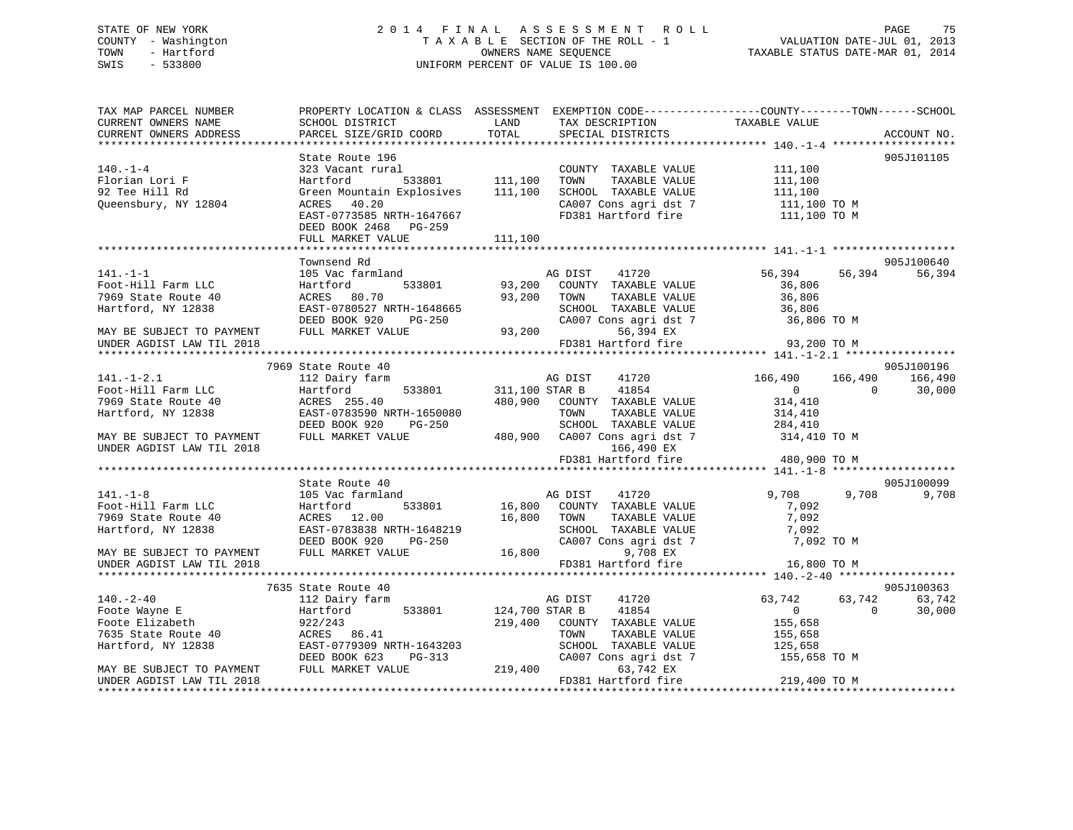## STATE OF NEW YORK 2 0 1 4 F I N A L A S S E S S M E N T R O L L PAGE 75 COUNTY - Washington T A X A B L E SECTION OF THE ROLL - 1 VALUATION DATE-JUL 01, 2013 TOWN - Hartford OWNERS NAME SEQUENCE TAXABLE STATUS DATE-MAR 01, 2014 SWIS - 533800 UNIFORM PERCENT OF VALUE IS 100.00

| TAX MAP PARCEL NUMBER                                  | PROPERTY LOCATION & CLASS ASSESSMENT EXEMPTION CODE----------------COUNTY-------TOWN------SCHOOL |                |                                  |                         |                    |             |
|--------------------------------------------------------|--------------------------------------------------------------------------------------------------|----------------|----------------------------------|-------------------------|--------------------|-------------|
| CURRENT OWNERS NAME                                    | SCHOOL DISTRICT                                                                                  | LAND           | TAX DESCRIPTION TAXABLE VALUE    |                         |                    |             |
| CURRENT OWNERS ADDRESS                                 | PARCEL SIZE/GRID COORD                                                                           | TOTAL          | SPECIAL DISTRICTS                |                         |                    | ACCOUNT NO. |
|                                                        |                                                                                                  |                |                                  |                         |                    |             |
|                                                        | State Route 196                                                                                  |                |                                  |                         |                    | 905J101105  |
| $140. - 1 - 4$                                         | 323 Vacant rural                                                                                 |                | COUNTY TAXABLE VALUE             | 111,100                 |                    |             |
| Florian Lori F                                         | Hartford                                                                                         | 533801 111,100 | TOWN<br>TAXABLE VALUE            | 111,100                 |                    |             |
| 92 Tee Hill Rd                                         | Green Mountain Explosives                                                                        | 111,100        | SCHOOL TAXABLE VALUE             | 111,100                 |                    |             |
| Queensbury, NY 12804                                   | ACRES 40.20                                                                                      |                | CA007 Cons agri dst 7            | 111,100 TO M            |                    |             |
|                                                        | EAST-0773585 NRTH-1647667                                                                        |                | FD381 Hartford fire              | 111,100 TO M            |                    |             |
|                                                        | DEED BOOK 2468 PG-259                                                                            |                |                                  |                         |                    |             |
|                                                        | FULL MARKET VALUE                                                                                | 111,100        |                                  |                         |                    |             |
|                                                        |                                                                                                  |                |                                  |                         |                    |             |
|                                                        | Townsend Rd                                                                                      |                |                                  |                         |                    | 905J100640  |
| $141. - 1 - 1$                                         | 105 Vac farmland                                                                                 |                | AG DIST<br>41720                 | 56,394                  | 56,394             | 56,394      |
| Foot-Hill Farm LLC                                     | 533801<br>Hartford                                                                               | 93,200         | COUNTY TAXABLE VALUE             | 36,806                  |                    |             |
| 7969 State Route 40                                    | ACRES 80.70                                                                                      | 93,200         | TOWN<br>TAXABLE VALUE            | 36,806                  |                    |             |
| Hartford, NY 12838                                     | EAST-0780527 NRTH-1648665                                                                        |                | SCHOOL TAXABLE VALUE             | 36,806                  |                    |             |
|                                                        | DEED BOOK 920<br>PG-250                                                                          |                | CA007 Cons agri dst 7            | 36,806 TO M             |                    |             |
| MAY BE SUBJECT TO PAYMENT                              | FULL MARKET VALUE                                                                                | 93,200         | 56,394 EX                        |                         |                    |             |
| UNDER AGDIST LAW TIL 2018                              |                                                                                                  |                | FD381 Hartford fire              | 93,200 TO M             |                    |             |
|                                                        |                                                                                                  |                |                                  |                         |                    |             |
|                                                        | 7969 State Route 40                                                                              |                |                                  |                         |                    | 905J100196  |
| $141. - 1 - 2.1$                                       | 112 Dairy farm                                                                                   |                | AG DIST<br>41720                 | 166,490                 | 166,490            | 166,490     |
| Foot-Hill Farm LLC                                     | 533801<br>Hartford                                                                               | 311,100 STAR B | 41854                            | $\overline{0}$          | $\Omega$           | 30,000      |
| 7969 State Route 40                                    | ACRES 255.40                                                                                     | 480,900        | COUNTY TAXABLE VALUE             | 314,410                 |                    |             |
| Hartford, NY 12838                                     | EAST-0783590 NRTH-1650080                                                                        |                | TOWN<br>TAXABLE VALUE            | 314,410                 |                    |             |
|                                                        | DEED BOOK 920<br>PG-250                                                                          |                | SCHOOL TAXABLE VALUE             | 284,410                 |                    |             |
| MAY BE SUBJECT TO PAYMENT                              | FULL MARKET VALUE                                                                                |                | 480,900 CA007 Cons agri dst 7    | 314,410 TO M            |                    |             |
| UNDER AGDIST LAW TIL 2018                              |                                                                                                  |                | 166,490 EX                       |                         |                    |             |
|                                                        |                                                                                                  |                | FD381 Hartford fire              | 480,900 TO M            |                    |             |
|                                                        |                                                                                                  |                |                                  |                         |                    |             |
|                                                        | State Route 40                                                                                   |                |                                  |                         |                    | 905J100099  |
| $141. - 1 - 8$                                         | 105 Vac farmland                                                                                 |                | AG DIST<br>41720                 | 9,708                   | 9,708              | 9,708       |
| Foot-Hill Farm LLC                                     | Hartford                                                                                         | 533801 16,800  | COUNTY TAXABLE VALUE             | 7,092                   |                    |             |
| 7969 State Route 40                                    | ACRES<br>12.00                                                                                   | 16,800         | TOWN<br>TAXABLE VALUE            | 7,092                   |                    |             |
| Hartford, NY 12838                                     | EAST-0783838 NRTH-1648219                                                                        |                | SCHOOL TAXABLE VALUE             | 7,092                   |                    |             |
|                                                        | DEED BOOK 920<br>PG-250                                                                          |                | CA007 Cons agri dst 7            | 7,092 TO M              |                    |             |
| MAY BE SUBJECT TO PAYMENT                              | FULL MARKET VALUE                                                                                | 16,800         | 9,708 EX                         |                         |                    |             |
| UNDER AGDIST LAW TIL 2018                              |                                                                                                  |                | FD381 Hartford fire              | 16,800 TO M             |                    |             |
|                                                        | 7635 State Route 40                                                                              |                |                                  |                         |                    | 905J100363  |
|                                                        |                                                                                                  |                |                                  |                         |                    |             |
| $140. - 2 - 40$                                        | 112 Dairy farm                                                                                   |                | AG DIST<br>41720                 | 63,742                  | 63,742<br>$\Omega$ | 63,742      |
| Foote Wayne E                                          | 533801<br>Hartford                                                                               | 124,700 STAR B | 41854                            | $\overline{0}$          |                    | 30,000      |
| Foote Elizabeth                                        | 922/243                                                                                          | 219,400        | COUNTY TAXABLE VALUE             | 155,658                 |                    |             |
| 7635 State Route 40                                    | ACRES 86.41                                                                                      |                | TOWN<br>TAXABLE VALUE            | 155,658                 |                    |             |
| Hartford, NY 12838                                     | EAST-0779309 NRTH-1643203<br>$PG-313$                                                            |                | SCHOOL TAXABLE VALUE             | 125,658<br>155,658 TO M |                    |             |
|                                                        | DEED BOOK 623                                                                                    | 219,400        | CA007 Cons agri dst 7            |                         |                    |             |
| MAY BE SUBJECT TO PAYMENT<br>UNDER AGDIST LAW TIL 2018 | FULL MARKET VALUE                                                                                |                | 63,742 EX<br>FD381 Hartford fire | 219,400 TO M            |                    |             |
|                                                        |                                                                                                  |                |                                  |                         |                    |             |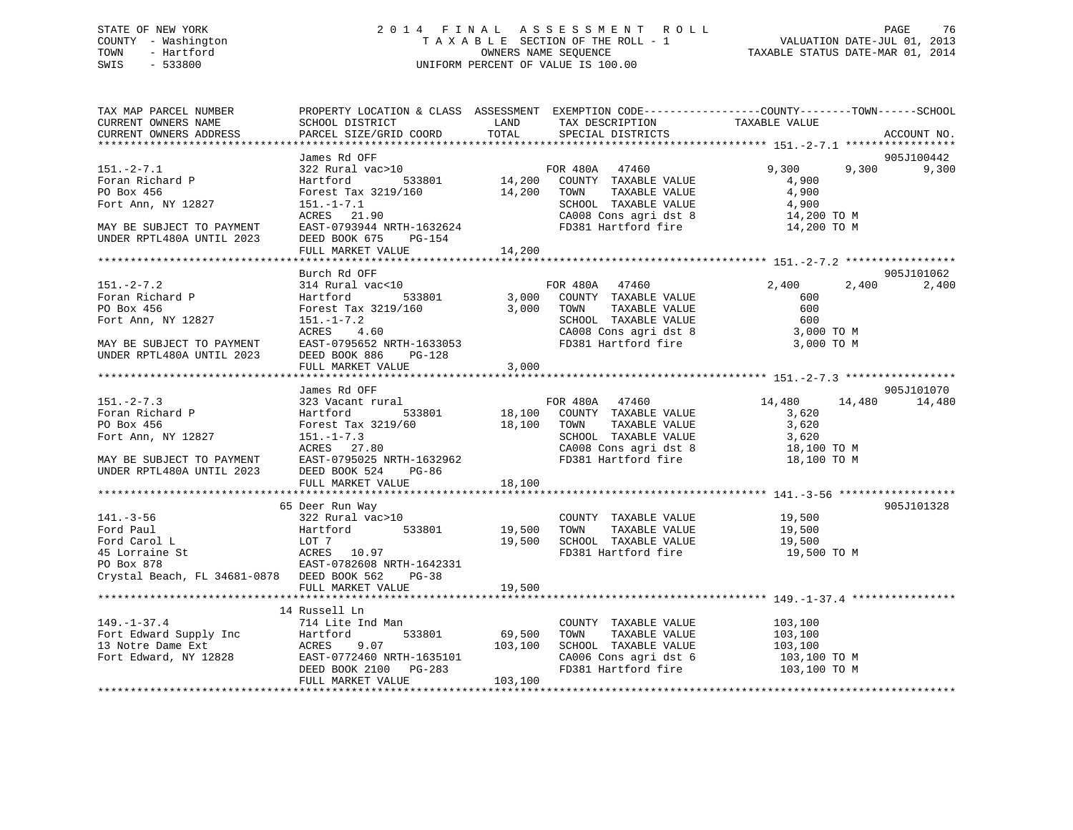## STATE OF NEW YORK 2 0 1 4 F I N A L A S S E S S M E N T R O L L PAGE 76 COUNTY - Washington T A X A B L E SECTION OF THE ROLL - 1 VALUATION DATE-JUL 01, 2013 TOWN - Hartford **TAXABLE STATUS DATE-MAR 01, 2014** OWNERS NAME SEQUENCE TAXABLE STATUS DATE-MAR 01, 2014 SWIS - 533800 UNIFORM PERCENT OF VALUE IS 100.00

| TOTAL<br>PARCEL SIZE/GRID COORD<br>ACCOUNT NO.<br>905J100442<br>9,300<br>$151 - 2 - 7.1$<br>9,300<br>9,300<br>Foran Richard P<br>DO Boy 456<br>PO Box 456<br>Fort Ann, NY 12827<br>CA008 Cons agri dst 8 14,200 TO M<br>FD381 Hartford fire 14,200 TO M<br>ACRES 21.90<br>EAST-0793944 NRTH-1632624<br>MAY BE SUBJECT TO PAYMENT<br>FD381 Hartford fire<br>14,200 TO M<br>UNDER RPTL480A UNTIL 2023<br>DEED BOOK 675 PG-154<br>14,200<br>FULL MARKET VALUE<br>Burch Rd OFF<br>905J101062<br>2,400 2,400<br>2,400<br>600<br>COUNTY TAXABLE VALUE<br>TOWN TAXABLE VALUE 600<br>SCHOOL TAXABLE VALUE 600<br>500 TO M<br>Forest Tax 3219/160<br>3,000 TOWN<br>PO Box 456<br>Fort Ann, NY 12827<br>$151. - 1 - 7.2$<br>ACRES 4.60<br>CA008 Cons agri dst 8 3,000 TO M<br>FD381 Hartford fire 3,000 TO M<br>MAY BE SUBJECT TO PAYMENT EAST-0795652 NRTH-1633053<br>UNDER RPTL480A UNTIL 2023 DEED BOOK 886 PG-128<br>3,000<br>FULL MARKET VALUE<br>905J101070<br>James Rd OFF<br>FOR 480A 47460<br>533801 533801 18,100 COUNTY TAXABLE VALUE<br>53219/60 18,100 TOWN TAXABLE VALUE<br>14,480 14,480 14,480<br>323 Vacant rural<br>Foran Richard P<br>PO Box 456<br>Hartford<br>3,620<br>3,620<br>Forest Tax 3219/60 18,10<br>151.-1-7.3<br>ACRES 27.80<br>SCHOOL TAXABLE VALUE $\begin{array}{ccc} 3,620 \\ 2,620 \end{array}$<br>CA008 Cons agri dst 8 18,100 TO M<br>FD381 Hartford fire 18,100 TO M<br>MAY BE SUBJECT TO PAYMENT EAST-0795025 NRTH<br>UNDER RPTL480A UNTIL 2023 DEED BOOK 524<br>EAST-0795025 NRTH-1632962<br>PG-86<br>FULL MARKET VALUE<br>18,100<br>905J101328<br>65 Deer Run Way<br>141.-3-56<br>Ford Paul<br>Ford Carol L<br>COUNTY TAXABLE VALUE 19,500<br>19,500<br>Ford Carol L<br>Ford Carol L<br>$1077$<br>ACRES 10.97<br>PO Box 878<br>EAST-0782608 NRTH-1642331<br>EAST-0782608 NRTH-1642331<br>EAST-0782608 NRTH-1642331<br>19,500 TO M<br>Crystal Beach, FL 34681-0878 DEED BOOK 562 PG-38<br>19,500<br>FULL MARKET VALUE<br>14 Russell Ln<br>149.-1-37.4<br>Fort Edward Supply Inc<br>14 Russell Ln<br>14 Russell Ln<br>14 Russell Ln<br>169,500<br>169,500<br>169,500<br>103,100<br>103,100<br>Fort Edward, NY 12828<br>103,100<br>DEED BOOK 2100<br>PG-283<br>103,100<br>PG-283<br>103,100<br>COUNTY TAXABLE VALUE 103,100<br>CA006 Cons agri dst 6 103,100 TO M<br>FD381 Hartford fire 103,100 TO M | TAX MAP PARCEL NUMBER<br>CURRENT OWNERS NAME | PROPERTY LOCATION & CLASS ASSESSMENT EXEMPTION CODE---------------COUNTY-------TOWN------SCHOOL<br>SCHOOL DISTRICT                         LAND         TAX DESCRIPTION                   TAXABLE VALUE |                   |  |  |
|-----------------------------------------------------------------------------------------------------------------------------------------------------------------------------------------------------------------------------------------------------------------------------------------------------------------------------------------------------------------------------------------------------------------------------------------------------------------------------------------------------------------------------------------------------------------------------------------------------------------------------------------------------------------------------------------------------------------------------------------------------------------------------------------------------------------------------------------------------------------------------------------------------------------------------------------------------------------------------------------------------------------------------------------------------------------------------------------------------------------------------------------------------------------------------------------------------------------------------------------------------------------------------------------------------------------------------------------------------------------------------------------------------------------------------------------------------------------------------------------------------------------------------------------------------------------------------------------------------------------------------------------------------------------------------------------------------------------------------------------------------------------------------------------------------------------------------------------------------------------------------------------------------------------------------------------------------------------------------------------------------------------------------------------------------------------------------------------------------------------------------------------------------------------------------------------------------------------------------------------------------------------------------------------------------------------------------------|----------------------------------------------|---------------------------------------------------------------------------------------------------------------------------------------------------------------------------------------------------------|-------------------|--|--|
|                                                                                                                                                                                                                                                                                                                                                                                                                                                                                                                                                                                                                                                                                                                                                                                                                                                                                                                                                                                                                                                                                                                                                                                                                                                                                                                                                                                                                                                                                                                                                                                                                                                                                                                                                                                                                                                                                                                                                                                                                                                                                                                                                                                                                                                                                                                                   | CURRENT OWNERS ADDRESS                       |                                                                                                                                                                                                         | SPECIAL DISTRICTS |  |  |
|                                                                                                                                                                                                                                                                                                                                                                                                                                                                                                                                                                                                                                                                                                                                                                                                                                                                                                                                                                                                                                                                                                                                                                                                                                                                                                                                                                                                                                                                                                                                                                                                                                                                                                                                                                                                                                                                                                                                                                                                                                                                                                                                                                                                                                                                                                                                   |                                              |                                                                                                                                                                                                         |                   |  |  |
|                                                                                                                                                                                                                                                                                                                                                                                                                                                                                                                                                                                                                                                                                                                                                                                                                                                                                                                                                                                                                                                                                                                                                                                                                                                                                                                                                                                                                                                                                                                                                                                                                                                                                                                                                                                                                                                                                                                                                                                                                                                                                                                                                                                                                                                                                                                                   |                                              |                                                                                                                                                                                                         |                   |  |  |
|                                                                                                                                                                                                                                                                                                                                                                                                                                                                                                                                                                                                                                                                                                                                                                                                                                                                                                                                                                                                                                                                                                                                                                                                                                                                                                                                                                                                                                                                                                                                                                                                                                                                                                                                                                                                                                                                                                                                                                                                                                                                                                                                                                                                                                                                                                                                   |                                              |                                                                                                                                                                                                         |                   |  |  |
|                                                                                                                                                                                                                                                                                                                                                                                                                                                                                                                                                                                                                                                                                                                                                                                                                                                                                                                                                                                                                                                                                                                                                                                                                                                                                                                                                                                                                                                                                                                                                                                                                                                                                                                                                                                                                                                                                                                                                                                                                                                                                                                                                                                                                                                                                                                                   |                                              |                                                                                                                                                                                                         |                   |  |  |
|                                                                                                                                                                                                                                                                                                                                                                                                                                                                                                                                                                                                                                                                                                                                                                                                                                                                                                                                                                                                                                                                                                                                                                                                                                                                                                                                                                                                                                                                                                                                                                                                                                                                                                                                                                                                                                                                                                                                                                                                                                                                                                                                                                                                                                                                                                                                   |                                              |                                                                                                                                                                                                         |                   |  |  |
|                                                                                                                                                                                                                                                                                                                                                                                                                                                                                                                                                                                                                                                                                                                                                                                                                                                                                                                                                                                                                                                                                                                                                                                                                                                                                                                                                                                                                                                                                                                                                                                                                                                                                                                                                                                                                                                                                                                                                                                                                                                                                                                                                                                                                                                                                                                                   |                                              |                                                                                                                                                                                                         |                   |  |  |
|                                                                                                                                                                                                                                                                                                                                                                                                                                                                                                                                                                                                                                                                                                                                                                                                                                                                                                                                                                                                                                                                                                                                                                                                                                                                                                                                                                                                                                                                                                                                                                                                                                                                                                                                                                                                                                                                                                                                                                                                                                                                                                                                                                                                                                                                                                                                   |                                              |                                                                                                                                                                                                         |                   |  |  |
|                                                                                                                                                                                                                                                                                                                                                                                                                                                                                                                                                                                                                                                                                                                                                                                                                                                                                                                                                                                                                                                                                                                                                                                                                                                                                                                                                                                                                                                                                                                                                                                                                                                                                                                                                                                                                                                                                                                                                                                                                                                                                                                                                                                                                                                                                                                                   |                                              |                                                                                                                                                                                                         |                   |  |  |
|                                                                                                                                                                                                                                                                                                                                                                                                                                                                                                                                                                                                                                                                                                                                                                                                                                                                                                                                                                                                                                                                                                                                                                                                                                                                                                                                                                                                                                                                                                                                                                                                                                                                                                                                                                                                                                                                                                                                                                                                                                                                                                                                                                                                                                                                                                                                   |                                              |                                                                                                                                                                                                         |                   |  |  |
|                                                                                                                                                                                                                                                                                                                                                                                                                                                                                                                                                                                                                                                                                                                                                                                                                                                                                                                                                                                                                                                                                                                                                                                                                                                                                                                                                                                                                                                                                                                                                                                                                                                                                                                                                                                                                                                                                                                                                                                                                                                                                                                                                                                                                                                                                                                                   |                                              |                                                                                                                                                                                                         |                   |  |  |
|                                                                                                                                                                                                                                                                                                                                                                                                                                                                                                                                                                                                                                                                                                                                                                                                                                                                                                                                                                                                                                                                                                                                                                                                                                                                                                                                                                                                                                                                                                                                                                                                                                                                                                                                                                                                                                                                                                                                                                                                                                                                                                                                                                                                                                                                                                                                   |                                              |                                                                                                                                                                                                         |                   |  |  |
|                                                                                                                                                                                                                                                                                                                                                                                                                                                                                                                                                                                                                                                                                                                                                                                                                                                                                                                                                                                                                                                                                                                                                                                                                                                                                                                                                                                                                                                                                                                                                                                                                                                                                                                                                                                                                                                                                                                                                                                                                                                                                                                                                                                                                                                                                                                                   |                                              |                                                                                                                                                                                                         |                   |  |  |
|                                                                                                                                                                                                                                                                                                                                                                                                                                                                                                                                                                                                                                                                                                                                                                                                                                                                                                                                                                                                                                                                                                                                                                                                                                                                                                                                                                                                                                                                                                                                                                                                                                                                                                                                                                                                                                                                                                                                                                                                                                                                                                                                                                                                                                                                                                                                   |                                              |                                                                                                                                                                                                         |                   |  |  |
|                                                                                                                                                                                                                                                                                                                                                                                                                                                                                                                                                                                                                                                                                                                                                                                                                                                                                                                                                                                                                                                                                                                                                                                                                                                                                                                                                                                                                                                                                                                                                                                                                                                                                                                                                                                                                                                                                                                                                                                                                                                                                                                                                                                                                                                                                                                                   |                                              |                                                                                                                                                                                                         |                   |  |  |
|                                                                                                                                                                                                                                                                                                                                                                                                                                                                                                                                                                                                                                                                                                                                                                                                                                                                                                                                                                                                                                                                                                                                                                                                                                                                                                                                                                                                                                                                                                                                                                                                                                                                                                                                                                                                                                                                                                                                                                                                                                                                                                                                                                                                                                                                                                                                   |                                              |                                                                                                                                                                                                         |                   |  |  |
|                                                                                                                                                                                                                                                                                                                                                                                                                                                                                                                                                                                                                                                                                                                                                                                                                                                                                                                                                                                                                                                                                                                                                                                                                                                                                                                                                                                                                                                                                                                                                                                                                                                                                                                                                                                                                                                                                                                                                                                                                                                                                                                                                                                                                                                                                                                                   |                                              |                                                                                                                                                                                                         |                   |  |  |
|                                                                                                                                                                                                                                                                                                                                                                                                                                                                                                                                                                                                                                                                                                                                                                                                                                                                                                                                                                                                                                                                                                                                                                                                                                                                                                                                                                                                                                                                                                                                                                                                                                                                                                                                                                                                                                                                                                                                                                                                                                                                                                                                                                                                                                                                                                                                   |                                              |                                                                                                                                                                                                         |                   |  |  |
|                                                                                                                                                                                                                                                                                                                                                                                                                                                                                                                                                                                                                                                                                                                                                                                                                                                                                                                                                                                                                                                                                                                                                                                                                                                                                                                                                                                                                                                                                                                                                                                                                                                                                                                                                                                                                                                                                                                                                                                                                                                                                                                                                                                                                                                                                                                                   |                                              |                                                                                                                                                                                                         |                   |  |  |
|                                                                                                                                                                                                                                                                                                                                                                                                                                                                                                                                                                                                                                                                                                                                                                                                                                                                                                                                                                                                                                                                                                                                                                                                                                                                                                                                                                                                                                                                                                                                                                                                                                                                                                                                                                                                                                                                                                                                                                                                                                                                                                                                                                                                                                                                                                                                   |                                              |                                                                                                                                                                                                         |                   |  |  |
|                                                                                                                                                                                                                                                                                                                                                                                                                                                                                                                                                                                                                                                                                                                                                                                                                                                                                                                                                                                                                                                                                                                                                                                                                                                                                                                                                                                                                                                                                                                                                                                                                                                                                                                                                                                                                                                                                                                                                                                                                                                                                                                                                                                                                                                                                                                                   |                                              |                                                                                                                                                                                                         |                   |  |  |
|                                                                                                                                                                                                                                                                                                                                                                                                                                                                                                                                                                                                                                                                                                                                                                                                                                                                                                                                                                                                                                                                                                                                                                                                                                                                                                                                                                                                                                                                                                                                                                                                                                                                                                                                                                                                                                                                                                                                                                                                                                                                                                                                                                                                                                                                                                                                   |                                              |                                                                                                                                                                                                         |                   |  |  |
|                                                                                                                                                                                                                                                                                                                                                                                                                                                                                                                                                                                                                                                                                                                                                                                                                                                                                                                                                                                                                                                                                                                                                                                                                                                                                                                                                                                                                                                                                                                                                                                                                                                                                                                                                                                                                                                                                                                                                                                                                                                                                                                                                                                                                                                                                                                                   | $151. - 2 - 7.3$                             |                                                                                                                                                                                                         |                   |  |  |
|                                                                                                                                                                                                                                                                                                                                                                                                                                                                                                                                                                                                                                                                                                                                                                                                                                                                                                                                                                                                                                                                                                                                                                                                                                                                                                                                                                                                                                                                                                                                                                                                                                                                                                                                                                                                                                                                                                                                                                                                                                                                                                                                                                                                                                                                                                                                   |                                              |                                                                                                                                                                                                         |                   |  |  |
|                                                                                                                                                                                                                                                                                                                                                                                                                                                                                                                                                                                                                                                                                                                                                                                                                                                                                                                                                                                                                                                                                                                                                                                                                                                                                                                                                                                                                                                                                                                                                                                                                                                                                                                                                                                                                                                                                                                                                                                                                                                                                                                                                                                                                                                                                                                                   |                                              |                                                                                                                                                                                                         |                   |  |  |
|                                                                                                                                                                                                                                                                                                                                                                                                                                                                                                                                                                                                                                                                                                                                                                                                                                                                                                                                                                                                                                                                                                                                                                                                                                                                                                                                                                                                                                                                                                                                                                                                                                                                                                                                                                                                                                                                                                                                                                                                                                                                                                                                                                                                                                                                                                                                   | Fort Ann, NY 12827                           |                                                                                                                                                                                                         |                   |  |  |
|                                                                                                                                                                                                                                                                                                                                                                                                                                                                                                                                                                                                                                                                                                                                                                                                                                                                                                                                                                                                                                                                                                                                                                                                                                                                                                                                                                                                                                                                                                                                                                                                                                                                                                                                                                                                                                                                                                                                                                                                                                                                                                                                                                                                                                                                                                                                   |                                              |                                                                                                                                                                                                         |                   |  |  |
|                                                                                                                                                                                                                                                                                                                                                                                                                                                                                                                                                                                                                                                                                                                                                                                                                                                                                                                                                                                                                                                                                                                                                                                                                                                                                                                                                                                                                                                                                                                                                                                                                                                                                                                                                                                                                                                                                                                                                                                                                                                                                                                                                                                                                                                                                                                                   |                                              |                                                                                                                                                                                                         |                   |  |  |
|                                                                                                                                                                                                                                                                                                                                                                                                                                                                                                                                                                                                                                                                                                                                                                                                                                                                                                                                                                                                                                                                                                                                                                                                                                                                                                                                                                                                                                                                                                                                                                                                                                                                                                                                                                                                                                                                                                                                                                                                                                                                                                                                                                                                                                                                                                                                   |                                              |                                                                                                                                                                                                         |                   |  |  |
|                                                                                                                                                                                                                                                                                                                                                                                                                                                                                                                                                                                                                                                                                                                                                                                                                                                                                                                                                                                                                                                                                                                                                                                                                                                                                                                                                                                                                                                                                                                                                                                                                                                                                                                                                                                                                                                                                                                                                                                                                                                                                                                                                                                                                                                                                                                                   |                                              |                                                                                                                                                                                                         |                   |  |  |
|                                                                                                                                                                                                                                                                                                                                                                                                                                                                                                                                                                                                                                                                                                                                                                                                                                                                                                                                                                                                                                                                                                                                                                                                                                                                                                                                                                                                                                                                                                                                                                                                                                                                                                                                                                                                                                                                                                                                                                                                                                                                                                                                                                                                                                                                                                                                   |                                              |                                                                                                                                                                                                         |                   |  |  |
|                                                                                                                                                                                                                                                                                                                                                                                                                                                                                                                                                                                                                                                                                                                                                                                                                                                                                                                                                                                                                                                                                                                                                                                                                                                                                                                                                                                                                                                                                                                                                                                                                                                                                                                                                                                                                                                                                                                                                                                                                                                                                                                                                                                                                                                                                                                                   |                                              |                                                                                                                                                                                                         |                   |  |  |
|                                                                                                                                                                                                                                                                                                                                                                                                                                                                                                                                                                                                                                                                                                                                                                                                                                                                                                                                                                                                                                                                                                                                                                                                                                                                                                                                                                                                                                                                                                                                                                                                                                                                                                                                                                                                                                                                                                                                                                                                                                                                                                                                                                                                                                                                                                                                   |                                              |                                                                                                                                                                                                         |                   |  |  |
|                                                                                                                                                                                                                                                                                                                                                                                                                                                                                                                                                                                                                                                                                                                                                                                                                                                                                                                                                                                                                                                                                                                                                                                                                                                                                                                                                                                                                                                                                                                                                                                                                                                                                                                                                                                                                                                                                                                                                                                                                                                                                                                                                                                                                                                                                                                                   |                                              |                                                                                                                                                                                                         |                   |  |  |
|                                                                                                                                                                                                                                                                                                                                                                                                                                                                                                                                                                                                                                                                                                                                                                                                                                                                                                                                                                                                                                                                                                                                                                                                                                                                                                                                                                                                                                                                                                                                                                                                                                                                                                                                                                                                                                                                                                                                                                                                                                                                                                                                                                                                                                                                                                                                   |                                              |                                                                                                                                                                                                         |                   |  |  |
|                                                                                                                                                                                                                                                                                                                                                                                                                                                                                                                                                                                                                                                                                                                                                                                                                                                                                                                                                                                                                                                                                                                                                                                                                                                                                                                                                                                                                                                                                                                                                                                                                                                                                                                                                                                                                                                                                                                                                                                                                                                                                                                                                                                                                                                                                                                                   |                                              |                                                                                                                                                                                                         |                   |  |  |
|                                                                                                                                                                                                                                                                                                                                                                                                                                                                                                                                                                                                                                                                                                                                                                                                                                                                                                                                                                                                                                                                                                                                                                                                                                                                                                                                                                                                                                                                                                                                                                                                                                                                                                                                                                                                                                                                                                                                                                                                                                                                                                                                                                                                                                                                                                                                   |                                              |                                                                                                                                                                                                         |                   |  |  |
|                                                                                                                                                                                                                                                                                                                                                                                                                                                                                                                                                                                                                                                                                                                                                                                                                                                                                                                                                                                                                                                                                                                                                                                                                                                                                                                                                                                                                                                                                                                                                                                                                                                                                                                                                                                                                                                                                                                                                                                                                                                                                                                                                                                                                                                                                                                                   |                                              |                                                                                                                                                                                                         |                   |  |  |
|                                                                                                                                                                                                                                                                                                                                                                                                                                                                                                                                                                                                                                                                                                                                                                                                                                                                                                                                                                                                                                                                                                                                                                                                                                                                                                                                                                                                                                                                                                                                                                                                                                                                                                                                                                                                                                                                                                                                                                                                                                                                                                                                                                                                                                                                                                                                   |                                              |                                                                                                                                                                                                         |                   |  |  |
|                                                                                                                                                                                                                                                                                                                                                                                                                                                                                                                                                                                                                                                                                                                                                                                                                                                                                                                                                                                                                                                                                                                                                                                                                                                                                                                                                                                                                                                                                                                                                                                                                                                                                                                                                                                                                                                                                                                                                                                                                                                                                                                                                                                                                                                                                                                                   |                                              |                                                                                                                                                                                                         |                   |  |  |
|                                                                                                                                                                                                                                                                                                                                                                                                                                                                                                                                                                                                                                                                                                                                                                                                                                                                                                                                                                                                                                                                                                                                                                                                                                                                                                                                                                                                                                                                                                                                                                                                                                                                                                                                                                                                                                                                                                                                                                                                                                                                                                                                                                                                                                                                                                                                   |                                              |                                                                                                                                                                                                         |                   |  |  |
|                                                                                                                                                                                                                                                                                                                                                                                                                                                                                                                                                                                                                                                                                                                                                                                                                                                                                                                                                                                                                                                                                                                                                                                                                                                                                                                                                                                                                                                                                                                                                                                                                                                                                                                                                                                                                                                                                                                                                                                                                                                                                                                                                                                                                                                                                                                                   |                                              |                                                                                                                                                                                                         |                   |  |  |
|                                                                                                                                                                                                                                                                                                                                                                                                                                                                                                                                                                                                                                                                                                                                                                                                                                                                                                                                                                                                                                                                                                                                                                                                                                                                                                                                                                                                                                                                                                                                                                                                                                                                                                                                                                                                                                                                                                                                                                                                                                                                                                                                                                                                                                                                                                                                   |                                              |                                                                                                                                                                                                         |                   |  |  |
|                                                                                                                                                                                                                                                                                                                                                                                                                                                                                                                                                                                                                                                                                                                                                                                                                                                                                                                                                                                                                                                                                                                                                                                                                                                                                                                                                                                                                                                                                                                                                                                                                                                                                                                                                                                                                                                                                                                                                                                                                                                                                                                                                                                                                                                                                                                                   |                                              |                                                                                                                                                                                                         |                   |  |  |
|                                                                                                                                                                                                                                                                                                                                                                                                                                                                                                                                                                                                                                                                                                                                                                                                                                                                                                                                                                                                                                                                                                                                                                                                                                                                                                                                                                                                                                                                                                                                                                                                                                                                                                                                                                                                                                                                                                                                                                                                                                                                                                                                                                                                                                                                                                                                   |                                              |                                                                                                                                                                                                         |                   |  |  |
|                                                                                                                                                                                                                                                                                                                                                                                                                                                                                                                                                                                                                                                                                                                                                                                                                                                                                                                                                                                                                                                                                                                                                                                                                                                                                                                                                                                                                                                                                                                                                                                                                                                                                                                                                                                                                                                                                                                                                                                                                                                                                                                                                                                                                                                                                                                                   |                                              |                                                                                                                                                                                                         |                   |  |  |
|                                                                                                                                                                                                                                                                                                                                                                                                                                                                                                                                                                                                                                                                                                                                                                                                                                                                                                                                                                                                                                                                                                                                                                                                                                                                                                                                                                                                                                                                                                                                                                                                                                                                                                                                                                                                                                                                                                                                                                                                                                                                                                                                                                                                                                                                                                                                   |                                              |                                                                                                                                                                                                         |                   |  |  |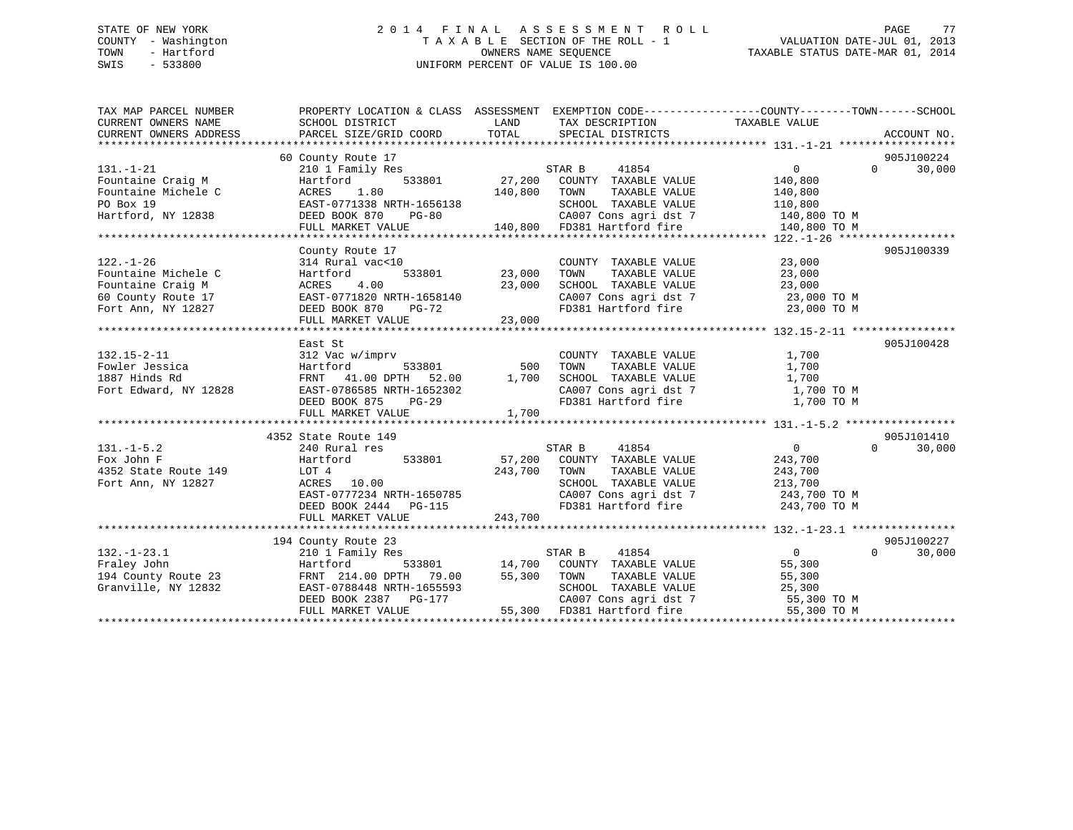## STATE OF NEW YORK 2 0 1 4 F I N A L A S S E S S M E N T R O L L PAGE 77 COUNTY - Washington T A X A B L E SECTION OF THE ROLL - 1 VALUATION DATE-JUL 01, 2013 TOWN - Hartford **TAXABLE STATUS DATE-MAR 01, 2014** OWNERS NAME SEQUENCE TAXABLE STATUS DATE-MAR 01, 2014 SWIS - 533800 UNIFORM PERCENT OF VALUE IS 100.00

| TAX MAP PARCEL NUMBER<br>CURRENT OWNERS NAME<br>CURRENT OWNERS ADDRESS                                  | PROPERTY LOCATION & CLASS ASSESSMENT EXEMPTION CODE---------------COUNTY-------TOWN-----SCHOOL<br>SCHOOL DISTRICT<br>PARCEL SIZE/GRID COORD                              | LAND<br>TOTAL                | TAX DESCRIPTION TAXABLE VALUE<br>SPECIAL DISTRICTS                                                                                            |                                                                                 | ACCOUNT NO.                      |
|---------------------------------------------------------------------------------------------------------|--------------------------------------------------------------------------------------------------------------------------------------------------------------------------|------------------------------|-----------------------------------------------------------------------------------------------------------------------------------------------|---------------------------------------------------------------------------------|----------------------------------|
| $131. - 1 - 21$                                                                                         | 60 County Route 17<br>210 1 Family Res                                                                                                                                   |                              | STAR B<br>41854                                                                                                                               | $\Omega$                                                                        | 905J100224<br>30,000<br>$\Omega$ |
| Fountaine Craig M<br>Fountaine Michele C                                                                | Hartford<br>ACRES<br>1.80                                                                                                                                                | 140,800                      | 533801 27,200 COUNTY TAXABLE VALUE<br>TAXABLE VALUE<br>TOWN                                                                                   | 140,800<br>140,800                                                              |                                  |
| PO Box 19<br>Hartford, NY 12838                                                                         | EAST-0771338 NRTH-1656138<br>DEED BOOK 870<br>$PG-80$<br>FULL MARKET VALUE                                                                                               |                              | SCHOOL TAXABLE VALUE<br>CA007 Cons agri dst 7<br>140,800 FD381 Hartford fire                                                                  | 110,800<br>140,800 TO M<br>140,800 TO M                                         |                                  |
|                                                                                                         |                                                                                                                                                                          |                              |                                                                                                                                               |                                                                                 |                                  |
| $122. - 1 - 26$<br>Fountaine Michele C<br>Fountaine Craig M<br>60 County Route 17<br>Fort Ann, NY 12827 | County Route 17<br>314 Rural vac<10<br>Hartford<br>ACRES 4.00 23,000<br>EAST-0771820 NRTH-1658140 23,000<br>DEED BOOK 870 PG-72<br>FULL MARKET VALUE                     | 533801 23,000<br>23,000      | COUNTY TAXABLE VALUE<br>TOWN<br>TAXABLE VALUE<br>SCHOOL TAXABLE VALUE<br>SCHOOL TAXABLE VALUE<br>CA007 Cons agri dst 7<br>FD381 Hartford fire | 23,000<br>23,000<br>23,000<br>23,000 TO M<br>23,000 TO M                        | 905J100339                       |
|                                                                                                         |                                                                                                                                                                          |                              |                                                                                                                                               |                                                                                 |                                  |
| $132.15 - 2 - 11$<br>Fowler Jessica<br>1887 Hinds Rd<br>Fort Edward, NY 12828                           | East St<br>312 Vac w/imprv<br>Hartford<br>FRNT 41.00 DPTH 52.00 1,700 SCHOOL TAXABLE VALUE<br>EAST-0786585 NRTH-1652302<br>DEED BOOK 875<br>$PG-29$<br>FULL MARKET VALUE | 533801 500<br>1,700          | COUNTY TAXABLE VALUE<br>TAXABLE VALUE<br>TAXABLE VALUE<br>TOWN<br>CA007 Cons agri dst 7<br>FD381 Hartford fire                                | 1,700<br>1,700<br>1,700<br>1,700 TO M<br>1,700 TO M                             | 905J100428                       |
|                                                                                                         | 4352 State Route 149                                                                                                                                                     |                              |                                                                                                                                               |                                                                                 | 905J101410                       |
| $131. -1 - 5.2$<br>Fox John F<br>4352 State Route 149<br>Fort Ann, NY 12827                             | 240 Rural res<br>Hartford<br>533801<br>LOT 4<br>ACRES 10.00<br>EAST-0777234 NRTH-1650785<br>DEED BOOK 2444 PG-115<br>THI WICH 2444 PG-115<br>FULL MARKET VALUE           | 57,200<br>243,700<br>243,700 | STAR B<br>41854<br>COUNTY TAXABLE VALUE<br>TOWN<br>TAXABLE VALUE<br>SCHOOL TAXABLE VALUE<br>CA007 Cons agri dst 7<br>FD381 Hartford fire      | $\overline{0}$<br>243,700<br>243,700<br>213,700<br>243,700 TO M<br>243,700 TO M | $\Omega$<br>30,000               |
|                                                                                                         |                                                                                                                                                                          |                              |                                                                                                                                               |                                                                                 |                                  |
| $132. - 1 - 23.1$<br>Fraley John<br>194 County Route 23<br>Granville, NY 12832                          | 194 County Route 23<br>210 1 Family Res<br>Hartford 533801 14,700 COUNTY TAXABLE VALUE<br>FRNT 214.00 DPTH 79.00 55,300 TOWN TAXABLE VALUE<br>EAST-0788448 NRTH-1655593  |                              | STAR B<br>41854<br>SCHOOL TAXABLE VALUE                                                                                                       | $\overline{0}$<br>55,300<br>55,300<br>25,300                                    | 905J100227<br>$\Omega$<br>30,000 |
|                                                                                                         | DEED BOOK 2387 PG-177<br>FULL MARKET VALUE                                                                                                                               |                              | CA007 Cons agri dst 7<br>CA007 Cons agri dst 7<br>55,300 FD381 Hartford fire                                                                  | 55,300 TO M<br>55,300 TO M<br>55,300 TO M                                       |                                  |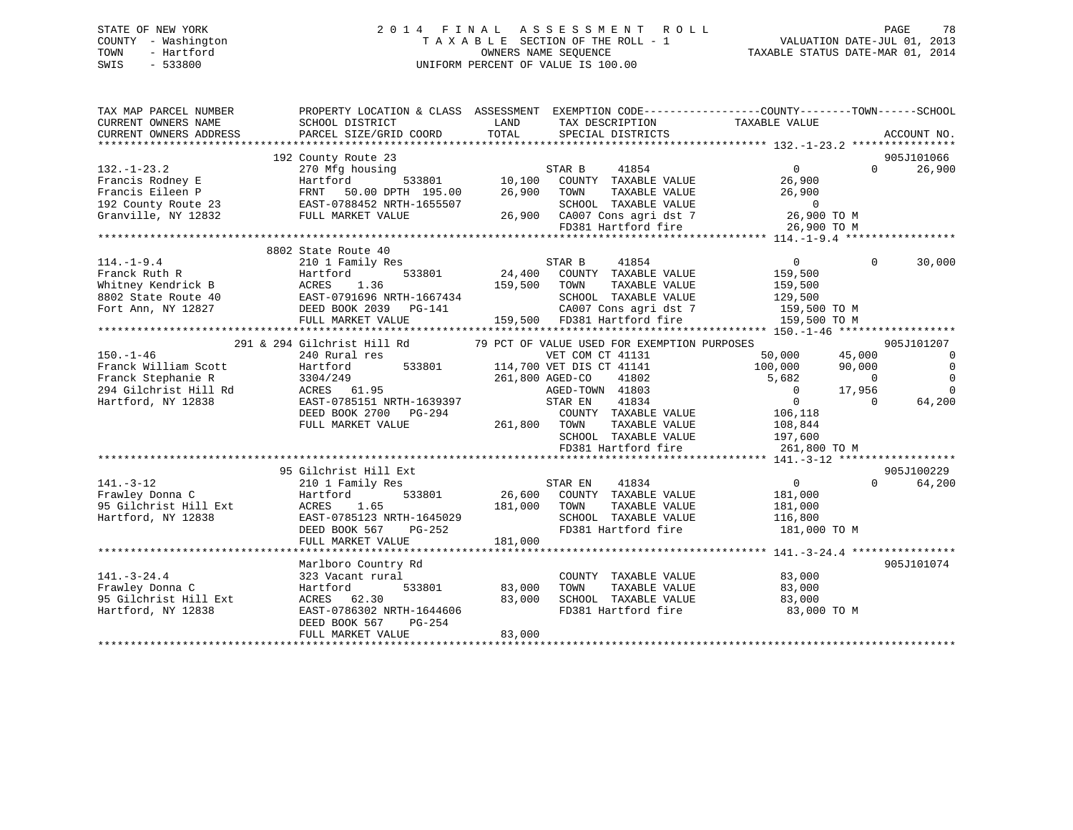## STATE OF NEW YORK 2 0 1 4 F I N A L A S S E S S M E N T R O L L PAGE 78 COUNTY - Washington T A X A B L E SECTION OF THE ROLL - 1 VALUATION DATE-JUL 01, 2013 TOWN - Hartford **TAXABLE STATUS DATE-MAR 01, 2014** OWNERS NAME SEQUENCE TAXABLE STATUS DATE-MAR 01, 2014 SWIS - 533800 UNIFORM PERCENT OF VALUE IS 100.00

| TOTAL<br>CURRENT OWNERS ADDRESS<br>PARCEL SIZE/GRID COORD<br>SPECIAL DISTRICTS<br>ACCOUNT NO.<br>192 County Route 23<br>905J101066<br>26,900<br>270 Mfg housing<br>STAR B<br>41854<br>$\Omega$<br>$\Omega$<br>Francis Rodney E<br>Hartford<br>533801<br>10,100 COUNTY TAXABLE VALUE<br>26,900<br>26,900<br>26,900<br>Francis Eileen P<br>FRNT<br>50.00 DPTH 195.00<br>TOWN<br>TAXABLE VALUE<br>EAST-0788452 NRTH-1655507<br>SCHOOL TAXABLE VALUE<br>$\overline{0}$<br>26,900 CA007 Cons agri dst 7<br>FULL MARKET VALUE<br>26,900 TO M<br>FD381 Hartford fire<br>26,900 TO M<br>8802 State Route 40<br>210 1 Family Res<br>41854<br>$\Omega$<br>$\Omega$<br>$114. - 1 - 9.4$<br>STAR B<br>30,000<br>24,400 COUNTY TAXABLE VALUE<br>Franck Ruth R<br>533801<br>Hartford<br>159,500<br>TAXABLE VALUE<br>Whitney Kendrick B<br>ACRES<br>1.36<br>159,500<br>TOWN<br>159,500<br>EAST-0791696 NRTH-1667434<br>SCHOOL TAXABLE VALUE<br>8802 State Route 40<br>129,500<br>Fort Ann, NY 12827<br>DEED BOOK 2039    PG-141<br>CA007 Cons agri dst 7<br>159,500 TO M<br>FULL MARKET VALUE<br>159,500 FD381 Hartford fire<br>159,500 TO M<br>905J101207<br>291 & 294 Gilchrist Hill Rd<br>79 PCT OF VALUE USED FOR EXEMPTION PURPOSES<br>$150. - 1 - 46$<br>50,000<br>45,000<br>$\overline{0}$<br>240 Rural res<br>VET COM CT 41131<br>$\mathbf 0$<br>Franck William Scott<br>533801<br>114,700 VET DIS CT 41141<br>100,000<br>90,000<br>Hartford<br>Franck Stephanie R<br>3304/249<br>$\Omega$<br>261,800 AGED-CO<br>41802<br>5,682<br>$\Omega$<br>$\Omega$<br>294 Gilchrist Hill Rd<br>ACRES 61.95<br>AGED-TOWN 41803<br>$\overline{0}$<br>17,956<br>$\overline{0}$<br>Hartford, NY 12838<br>EAST-0785151 NRTH-1639397<br>STAR EN<br>41834<br>64,200<br>$\Omega$<br>DEED BOOK 2700 PG-294<br>COUNTY TAXABLE VALUE<br>106,118<br>261,800 TOWN<br>FULL MARKET VALUE<br>TAXABLE VALUE<br>108,844<br>SCHOOL TAXABLE VALUE<br>197,600<br>FD381 Hartford fire<br>261,800 TO M<br>905J100229<br>95 Gilchrist Hill Ext<br>$141. - 3 - 12$<br>STAR EN<br>41834<br>$\overline{0}$<br>$\Omega$<br>64,200<br>210 1 Family Res<br>Frawley Donna C<br>533801<br>26,600 COUNTY TAXABLE VALUE<br>Hartford<br>181,000<br>95 Gilchrist Hill Ext<br>181,000<br>TAXABLE VALUE<br>ACRES<br>1.65<br>TOWN<br>181,000<br>Hartford, NY 12838<br>EAST-0785123 NRTH-1645029<br>SCHOOL TAXABLE VALUE<br>116,800<br>FD381 Hartford fire<br>181,000 TO M<br>DEED BOOK 567<br>$PG-252$<br>181,000<br>FULL MARKET VALUE<br>905J101074<br>Marlboro Country Rd<br>$141. - 3 - 24.4$<br>323 Vacant rural<br>COUNTY TAXABLE VALUE<br>83,000<br>Frawley Donna C<br>533801<br>83,000<br>TAXABLE VALUE<br>83,000<br>Hartford<br>TOWN<br>ACRES 62.30<br>83,000<br>SCHOOL TAXABLE VALUE<br>95 Gilchrist Hill Ext<br>83,000<br>EAST-0786302 NRTH-1644606<br>FD381 Hartford fire<br>Hartford, NY 12838<br>83,000 TO M<br>DEED BOOK 567<br>PG-254<br>83,000<br>FULL MARKET VALUE | TAX MAP PARCEL NUMBER<br>CURRENT OWNERS NAME | PROPERTY LOCATION & CLASS ASSESSMENT EXEMPTION CODE----------------COUNTY-------TOWN-----SCHOOL<br>SCHOOL DISTRICT | LAND | TAX DESCRIPTION | TAXABLE VALUE |  |
|----------------------------------------------------------------------------------------------------------------------------------------------------------------------------------------------------------------------------------------------------------------------------------------------------------------------------------------------------------------------------------------------------------------------------------------------------------------------------------------------------------------------------------------------------------------------------------------------------------------------------------------------------------------------------------------------------------------------------------------------------------------------------------------------------------------------------------------------------------------------------------------------------------------------------------------------------------------------------------------------------------------------------------------------------------------------------------------------------------------------------------------------------------------------------------------------------------------------------------------------------------------------------------------------------------------------------------------------------------------------------------------------------------------------------------------------------------------------------------------------------------------------------------------------------------------------------------------------------------------------------------------------------------------------------------------------------------------------------------------------------------------------------------------------------------------------------------------------------------------------------------------------------------------------------------------------------------------------------------------------------------------------------------------------------------------------------------------------------------------------------------------------------------------------------------------------------------------------------------------------------------------------------------------------------------------------------------------------------------------------------------------------------------------------------------------------------------------------------------------------------------------------------------------------------------------------------------------------------------------------------------------------------------------------------------------------------------------------------------------------------------------------------------------------------------------------------------------------------------------------------------------------------------------------------|----------------------------------------------|--------------------------------------------------------------------------------------------------------------------|------|-----------------|---------------|--|
|                                                                                                                                                                                                                                                                                                                                                                                                                                                                                                                                                                                                                                                                                                                                                                                                                                                                                                                                                                                                                                                                                                                                                                                                                                                                                                                                                                                                                                                                                                                                                                                                                                                                                                                                                                                                                                                                                                                                                                                                                                                                                                                                                                                                                                                                                                                                                                                                                                                                                                                                                                                                                                                                                                                                                                                                                                                                                                                            |                                              |                                                                                                                    |      |                 |               |  |
|                                                                                                                                                                                                                                                                                                                                                                                                                                                                                                                                                                                                                                                                                                                                                                                                                                                                                                                                                                                                                                                                                                                                                                                                                                                                                                                                                                                                                                                                                                                                                                                                                                                                                                                                                                                                                                                                                                                                                                                                                                                                                                                                                                                                                                                                                                                                                                                                                                                                                                                                                                                                                                                                                                                                                                                                                                                                                                                            |                                              |                                                                                                                    |      |                 |               |  |
|                                                                                                                                                                                                                                                                                                                                                                                                                                                                                                                                                                                                                                                                                                                                                                                                                                                                                                                                                                                                                                                                                                                                                                                                                                                                                                                                                                                                                                                                                                                                                                                                                                                                                                                                                                                                                                                                                                                                                                                                                                                                                                                                                                                                                                                                                                                                                                                                                                                                                                                                                                                                                                                                                                                                                                                                                                                                                                                            |                                              |                                                                                                                    |      |                 |               |  |
|                                                                                                                                                                                                                                                                                                                                                                                                                                                                                                                                                                                                                                                                                                                                                                                                                                                                                                                                                                                                                                                                                                                                                                                                                                                                                                                                                                                                                                                                                                                                                                                                                                                                                                                                                                                                                                                                                                                                                                                                                                                                                                                                                                                                                                                                                                                                                                                                                                                                                                                                                                                                                                                                                                                                                                                                                                                                                                                            | $132. - 1 - 23.2$                            |                                                                                                                    |      |                 |               |  |
|                                                                                                                                                                                                                                                                                                                                                                                                                                                                                                                                                                                                                                                                                                                                                                                                                                                                                                                                                                                                                                                                                                                                                                                                                                                                                                                                                                                                                                                                                                                                                                                                                                                                                                                                                                                                                                                                                                                                                                                                                                                                                                                                                                                                                                                                                                                                                                                                                                                                                                                                                                                                                                                                                                                                                                                                                                                                                                                            |                                              |                                                                                                                    |      |                 |               |  |
|                                                                                                                                                                                                                                                                                                                                                                                                                                                                                                                                                                                                                                                                                                                                                                                                                                                                                                                                                                                                                                                                                                                                                                                                                                                                                                                                                                                                                                                                                                                                                                                                                                                                                                                                                                                                                                                                                                                                                                                                                                                                                                                                                                                                                                                                                                                                                                                                                                                                                                                                                                                                                                                                                                                                                                                                                                                                                                                            |                                              |                                                                                                                    |      |                 |               |  |
|                                                                                                                                                                                                                                                                                                                                                                                                                                                                                                                                                                                                                                                                                                                                                                                                                                                                                                                                                                                                                                                                                                                                                                                                                                                                                                                                                                                                                                                                                                                                                                                                                                                                                                                                                                                                                                                                                                                                                                                                                                                                                                                                                                                                                                                                                                                                                                                                                                                                                                                                                                                                                                                                                                                                                                                                                                                                                                                            | 192 County Route 23                          |                                                                                                                    |      |                 |               |  |
|                                                                                                                                                                                                                                                                                                                                                                                                                                                                                                                                                                                                                                                                                                                                                                                                                                                                                                                                                                                                                                                                                                                                                                                                                                                                                                                                                                                                                                                                                                                                                                                                                                                                                                                                                                                                                                                                                                                                                                                                                                                                                                                                                                                                                                                                                                                                                                                                                                                                                                                                                                                                                                                                                                                                                                                                                                                                                                                            | Granville, NY 12832                          |                                                                                                                    |      |                 |               |  |
|                                                                                                                                                                                                                                                                                                                                                                                                                                                                                                                                                                                                                                                                                                                                                                                                                                                                                                                                                                                                                                                                                                                                                                                                                                                                                                                                                                                                                                                                                                                                                                                                                                                                                                                                                                                                                                                                                                                                                                                                                                                                                                                                                                                                                                                                                                                                                                                                                                                                                                                                                                                                                                                                                                                                                                                                                                                                                                                            |                                              |                                                                                                                    |      |                 |               |  |
|                                                                                                                                                                                                                                                                                                                                                                                                                                                                                                                                                                                                                                                                                                                                                                                                                                                                                                                                                                                                                                                                                                                                                                                                                                                                                                                                                                                                                                                                                                                                                                                                                                                                                                                                                                                                                                                                                                                                                                                                                                                                                                                                                                                                                                                                                                                                                                                                                                                                                                                                                                                                                                                                                                                                                                                                                                                                                                                            |                                              |                                                                                                                    |      |                 |               |  |
|                                                                                                                                                                                                                                                                                                                                                                                                                                                                                                                                                                                                                                                                                                                                                                                                                                                                                                                                                                                                                                                                                                                                                                                                                                                                                                                                                                                                                                                                                                                                                                                                                                                                                                                                                                                                                                                                                                                                                                                                                                                                                                                                                                                                                                                                                                                                                                                                                                                                                                                                                                                                                                                                                                                                                                                                                                                                                                                            |                                              |                                                                                                                    |      |                 |               |  |
|                                                                                                                                                                                                                                                                                                                                                                                                                                                                                                                                                                                                                                                                                                                                                                                                                                                                                                                                                                                                                                                                                                                                                                                                                                                                                                                                                                                                                                                                                                                                                                                                                                                                                                                                                                                                                                                                                                                                                                                                                                                                                                                                                                                                                                                                                                                                                                                                                                                                                                                                                                                                                                                                                                                                                                                                                                                                                                                            |                                              |                                                                                                                    |      |                 |               |  |
|                                                                                                                                                                                                                                                                                                                                                                                                                                                                                                                                                                                                                                                                                                                                                                                                                                                                                                                                                                                                                                                                                                                                                                                                                                                                                                                                                                                                                                                                                                                                                                                                                                                                                                                                                                                                                                                                                                                                                                                                                                                                                                                                                                                                                                                                                                                                                                                                                                                                                                                                                                                                                                                                                                                                                                                                                                                                                                                            |                                              |                                                                                                                    |      |                 |               |  |
|                                                                                                                                                                                                                                                                                                                                                                                                                                                                                                                                                                                                                                                                                                                                                                                                                                                                                                                                                                                                                                                                                                                                                                                                                                                                                                                                                                                                                                                                                                                                                                                                                                                                                                                                                                                                                                                                                                                                                                                                                                                                                                                                                                                                                                                                                                                                                                                                                                                                                                                                                                                                                                                                                                                                                                                                                                                                                                                            |                                              |                                                                                                                    |      |                 |               |  |
|                                                                                                                                                                                                                                                                                                                                                                                                                                                                                                                                                                                                                                                                                                                                                                                                                                                                                                                                                                                                                                                                                                                                                                                                                                                                                                                                                                                                                                                                                                                                                                                                                                                                                                                                                                                                                                                                                                                                                                                                                                                                                                                                                                                                                                                                                                                                                                                                                                                                                                                                                                                                                                                                                                                                                                                                                                                                                                                            |                                              |                                                                                                                    |      |                 |               |  |
|                                                                                                                                                                                                                                                                                                                                                                                                                                                                                                                                                                                                                                                                                                                                                                                                                                                                                                                                                                                                                                                                                                                                                                                                                                                                                                                                                                                                                                                                                                                                                                                                                                                                                                                                                                                                                                                                                                                                                                                                                                                                                                                                                                                                                                                                                                                                                                                                                                                                                                                                                                                                                                                                                                                                                                                                                                                                                                                            |                                              |                                                                                                                    |      |                 |               |  |
|                                                                                                                                                                                                                                                                                                                                                                                                                                                                                                                                                                                                                                                                                                                                                                                                                                                                                                                                                                                                                                                                                                                                                                                                                                                                                                                                                                                                                                                                                                                                                                                                                                                                                                                                                                                                                                                                                                                                                                                                                                                                                                                                                                                                                                                                                                                                                                                                                                                                                                                                                                                                                                                                                                                                                                                                                                                                                                                            |                                              |                                                                                                                    |      |                 |               |  |
|                                                                                                                                                                                                                                                                                                                                                                                                                                                                                                                                                                                                                                                                                                                                                                                                                                                                                                                                                                                                                                                                                                                                                                                                                                                                                                                                                                                                                                                                                                                                                                                                                                                                                                                                                                                                                                                                                                                                                                                                                                                                                                                                                                                                                                                                                                                                                                                                                                                                                                                                                                                                                                                                                                                                                                                                                                                                                                                            |                                              |                                                                                                                    |      |                 |               |  |
|                                                                                                                                                                                                                                                                                                                                                                                                                                                                                                                                                                                                                                                                                                                                                                                                                                                                                                                                                                                                                                                                                                                                                                                                                                                                                                                                                                                                                                                                                                                                                                                                                                                                                                                                                                                                                                                                                                                                                                                                                                                                                                                                                                                                                                                                                                                                                                                                                                                                                                                                                                                                                                                                                                                                                                                                                                                                                                                            |                                              |                                                                                                                    |      |                 |               |  |
|                                                                                                                                                                                                                                                                                                                                                                                                                                                                                                                                                                                                                                                                                                                                                                                                                                                                                                                                                                                                                                                                                                                                                                                                                                                                                                                                                                                                                                                                                                                                                                                                                                                                                                                                                                                                                                                                                                                                                                                                                                                                                                                                                                                                                                                                                                                                                                                                                                                                                                                                                                                                                                                                                                                                                                                                                                                                                                                            |                                              |                                                                                                                    |      |                 |               |  |
|                                                                                                                                                                                                                                                                                                                                                                                                                                                                                                                                                                                                                                                                                                                                                                                                                                                                                                                                                                                                                                                                                                                                                                                                                                                                                                                                                                                                                                                                                                                                                                                                                                                                                                                                                                                                                                                                                                                                                                                                                                                                                                                                                                                                                                                                                                                                                                                                                                                                                                                                                                                                                                                                                                                                                                                                                                                                                                                            |                                              |                                                                                                                    |      |                 |               |  |
|                                                                                                                                                                                                                                                                                                                                                                                                                                                                                                                                                                                                                                                                                                                                                                                                                                                                                                                                                                                                                                                                                                                                                                                                                                                                                                                                                                                                                                                                                                                                                                                                                                                                                                                                                                                                                                                                                                                                                                                                                                                                                                                                                                                                                                                                                                                                                                                                                                                                                                                                                                                                                                                                                                                                                                                                                                                                                                                            |                                              |                                                                                                                    |      |                 |               |  |
|                                                                                                                                                                                                                                                                                                                                                                                                                                                                                                                                                                                                                                                                                                                                                                                                                                                                                                                                                                                                                                                                                                                                                                                                                                                                                                                                                                                                                                                                                                                                                                                                                                                                                                                                                                                                                                                                                                                                                                                                                                                                                                                                                                                                                                                                                                                                                                                                                                                                                                                                                                                                                                                                                                                                                                                                                                                                                                                            |                                              |                                                                                                                    |      |                 |               |  |
|                                                                                                                                                                                                                                                                                                                                                                                                                                                                                                                                                                                                                                                                                                                                                                                                                                                                                                                                                                                                                                                                                                                                                                                                                                                                                                                                                                                                                                                                                                                                                                                                                                                                                                                                                                                                                                                                                                                                                                                                                                                                                                                                                                                                                                                                                                                                                                                                                                                                                                                                                                                                                                                                                                                                                                                                                                                                                                                            |                                              |                                                                                                                    |      |                 |               |  |
|                                                                                                                                                                                                                                                                                                                                                                                                                                                                                                                                                                                                                                                                                                                                                                                                                                                                                                                                                                                                                                                                                                                                                                                                                                                                                                                                                                                                                                                                                                                                                                                                                                                                                                                                                                                                                                                                                                                                                                                                                                                                                                                                                                                                                                                                                                                                                                                                                                                                                                                                                                                                                                                                                                                                                                                                                                                                                                                            |                                              |                                                                                                                    |      |                 |               |  |
|                                                                                                                                                                                                                                                                                                                                                                                                                                                                                                                                                                                                                                                                                                                                                                                                                                                                                                                                                                                                                                                                                                                                                                                                                                                                                                                                                                                                                                                                                                                                                                                                                                                                                                                                                                                                                                                                                                                                                                                                                                                                                                                                                                                                                                                                                                                                                                                                                                                                                                                                                                                                                                                                                                                                                                                                                                                                                                                            |                                              |                                                                                                                    |      |                 |               |  |
|                                                                                                                                                                                                                                                                                                                                                                                                                                                                                                                                                                                                                                                                                                                                                                                                                                                                                                                                                                                                                                                                                                                                                                                                                                                                                                                                                                                                                                                                                                                                                                                                                                                                                                                                                                                                                                                                                                                                                                                                                                                                                                                                                                                                                                                                                                                                                                                                                                                                                                                                                                                                                                                                                                                                                                                                                                                                                                                            |                                              |                                                                                                                    |      |                 |               |  |
|                                                                                                                                                                                                                                                                                                                                                                                                                                                                                                                                                                                                                                                                                                                                                                                                                                                                                                                                                                                                                                                                                                                                                                                                                                                                                                                                                                                                                                                                                                                                                                                                                                                                                                                                                                                                                                                                                                                                                                                                                                                                                                                                                                                                                                                                                                                                                                                                                                                                                                                                                                                                                                                                                                                                                                                                                                                                                                                            |                                              |                                                                                                                    |      |                 |               |  |
|                                                                                                                                                                                                                                                                                                                                                                                                                                                                                                                                                                                                                                                                                                                                                                                                                                                                                                                                                                                                                                                                                                                                                                                                                                                                                                                                                                                                                                                                                                                                                                                                                                                                                                                                                                                                                                                                                                                                                                                                                                                                                                                                                                                                                                                                                                                                                                                                                                                                                                                                                                                                                                                                                                                                                                                                                                                                                                                            |                                              |                                                                                                                    |      |                 |               |  |
|                                                                                                                                                                                                                                                                                                                                                                                                                                                                                                                                                                                                                                                                                                                                                                                                                                                                                                                                                                                                                                                                                                                                                                                                                                                                                                                                                                                                                                                                                                                                                                                                                                                                                                                                                                                                                                                                                                                                                                                                                                                                                                                                                                                                                                                                                                                                                                                                                                                                                                                                                                                                                                                                                                                                                                                                                                                                                                                            |                                              |                                                                                                                    |      |                 |               |  |
|                                                                                                                                                                                                                                                                                                                                                                                                                                                                                                                                                                                                                                                                                                                                                                                                                                                                                                                                                                                                                                                                                                                                                                                                                                                                                                                                                                                                                                                                                                                                                                                                                                                                                                                                                                                                                                                                                                                                                                                                                                                                                                                                                                                                                                                                                                                                                                                                                                                                                                                                                                                                                                                                                                                                                                                                                                                                                                                            |                                              |                                                                                                                    |      |                 |               |  |
|                                                                                                                                                                                                                                                                                                                                                                                                                                                                                                                                                                                                                                                                                                                                                                                                                                                                                                                                                                                                                                                                                                                                                                                                                                                                                                                                                                                                                                                                                                                                                                                                                                                                                                                                                                                                                                                                                                                                                                                                                                                                                                                                                                                                                                                                                                                                                                                                                                                                                                                                                                                                                                                                                                                                                                                                                                                                                                                            |                                              |                                                                                                                    |      |                 |               |  |
|                                                                                                                                                                                                                                                                                                                                                                                                                                                                                                                                                                                                                                                                                                                                                                                                                                                                                                                                                                                                                                                                                                                                                                                                                                                                                                                                                                                                                                                                                                                                                                                                                                                                                                                                                                                                                                                                                                                                                                                                                                                                                                                                                                                                                                                                                                                                                                                                                                                                                                                                                                                                                                                                                                                                                                                                                                                                                                                            |                                              |                                                                                                                    |      |                 |               |  |
|                                                                                                                                                                                                                                                                                                                                                                                                                                                                                                                                                                                                                                                                                                                                                                                                                                                                                                                                                                                                                                                                                                                                                                                                                                                                                                                                                                                                                                                                                                                                                                                                                                                                                                                                                                                                                                                                                                                                                                                                                                                                                                                                                                                                                                                                                                                                                                                                                                                                                                                                                                                                                                                                                                                                                                                                                                                                                                                            |                                              |                                                                                                                    |      |                 |               |  |
|                                                                                                                                                                                                                                                                                                                                                                                                                                                                                                                                                                                                                                                                                                                                                                                                                                                                                                                                                                                                                                                                                                                                                                                                                                                                                                                                                                                                                                                                                                                                                                                                                                                                                                                                                                                                                                                                                                                                                                                                                                                                                                                                                                                                                                                                                                                                                                                                                                                                                                                                                                                                                                                                                                                                                                                                                                                                                                                            |                                              |                                                                                                                    |      |                 |               |  |
|                                                                                                                                                                                                                                                                                                                                                                                                                                                                                                                                                                                                                                                                                                                                                                                                                                                                                                                                                                                                                                                                                                                                                                                                                                                                                                                                                                                                                                                                                                                                                                                                                                                                                                                                                                                                                                                                                                                                                                                                                                                                                                                                                                                                                                                                                                                                                                                                                                                                                                                                                                                                                                                                                                                                                                                                                                                                                                                            |                                              |                                                                                                                    |      |                 |               |  |
|                                                                                                                                                                                                                                                                                                                                                                                                                                                                                                                                                                                                                                                                                                                                                                                                                                                                                                                                                                                                                                                                                                                                                                                                                                                                                                                                                                                                                                                                                                                                                                                                                                                                                                                                                                                                                                                                                                                                                                                                                                                                                                                                                                                                                                                                                                                                                                                                                                                                                                                                                                                                                                                                                                                                                                                                                                                                                                                            |                                              |                                                                                                                    |      |                 |               |  |
|                                                                                                                                                                                                                                                                                                                                                                                                                                                                                                                                                                                                                                                                                                                                                                                                                                                                                                                                                                                                                                                                                                                                                                                                                                                                                                                                                                                                                                                                                                                                                                                                                                                                                                                                                                                                                                                                                                                                                                                                                                                                                                                                                                                                                                                                                                                                                                                                                                                                                                                                                                                                                                                                                                                                                                                                                                                                                                                            |                                              |                                                                                                                    |      |                 |               |  |
|                                                                                                                                                                                                                                                                                                                                                                                                                                                                                                                                                                                                                                                                                                                                                                                                                                                                                                                                                                                                                                                                                                                                                                                                                                                                                                                                                                                                                                                                                                                                                                                                                                                                                                                                                                                                                                                                                                                                                                                                                                                                                                                                                                                                                                                                                                                                                                                                                                                                                                                                                                                                                                                                                                                                                                                                                                                                                                                            |                                              |                                                                                                                    |      |                 |               |  |
|                                                                                                                                                                                                                                                                                                                                                                                                                                                                                                                                                                                                                                                                                                                                                                                                                                                                                                                                                                                                                                                                                                                                                                                                                                                                                                                                                                                                                                                                                                                                                                                                                                                                                                                                                                                                                                                                                                                                                                                                                                                                                                                                                                                                                                                                                                                                                                                                                                                                                                                                                                                                                                                                                                                                                                                                                                                                                                                            |                                              |                                                                                                                    |      |                 |               |  |
|                                                                                                                                                                                                                                                                                                                                                                                                                                                                                                                                                                                                                                                                                                                                                                                                                                                                                                                                                                                                                                                                                                                                                                                                                                                                                                                                                                                                                                                                                                                                                                                                                                                                                                                                                                                                                                                                                                                                                                                                                                                                                                                                                                                                                                                                                                                                                                                                                                                                                                                                                                                                                                                                                                                                                                                                                                                                                                                            |                                              |                                                                                                                    |      |                 |               |  |
|                                                                                                                                                                                                                                                                                                                                                                                                                                                                                                                                                                                                                                                                                                                                                                                                                                                                                                                                                                                                                                                                                                                                                                                                                                                                                                                                                                                                                                                                                                                                                                                                                                                                                                                                                                                                                                                                                                                                                                                                                                                                                                                                                                                                                                                                                                                                                                                                                                                                                                                                                                                                                                                                                                                                                                                                                                                                                                                            |                                              |                                                                                                                    |      |                 |               |  |
|                                                                                                                                                                                                                                                                                                                                                                                                                                                                                                                                                                                                                                                                                                                                                                                                                                                                                                                                                                                                                                                                                                                                                                                                                                                                                                                                                                                                                                                                                                                                                                                                                                                                                                                                                                                                                                                                                                                                                                                                                                                                                                                                                                                                                                                                                                                                                                                                                                                                                                                                                                                                                                                                                                                                                                                                                                                                                                                            |                                              |                                                                                                                    |      |                 |               |  |
|                                                                                                                                                                                                                                                                                                                                                                                                                                                                                                                                                                                                                                                                                                                                                                                                                                                                                                                                                                                                                                                                                                                                                                                                                                                                                                                                                                                                                                                                                                                                                                                                                                                                                                                                                                                                                                                                                                                                                                                                                                                                                                                                                                                                                                                                                                                                                                                                                                                                                                                                                                                                                                                                                                                                                                                                                                                                                                                            |                                              |                                                                                                                    |      |                 |               |  |
|                                                                                                                                                                                                                                                                                                                                                                                                                                                                                                                                                                                                                                                                                                                                                                                                                                                                                                                                                                                                                                                                                                                                                                                                                                                                                                                                                                                                                                                                                                                                                                                                                                                                                                                                                                                                                                                                                                                                                                                                                                                                                                                                                                                                                                                                                                                                                                                                                                                                                                                                                                                                                                                                                                                                                                                                                                                                                                                            |                                              |                                                                                                                    |      |                 |               |  |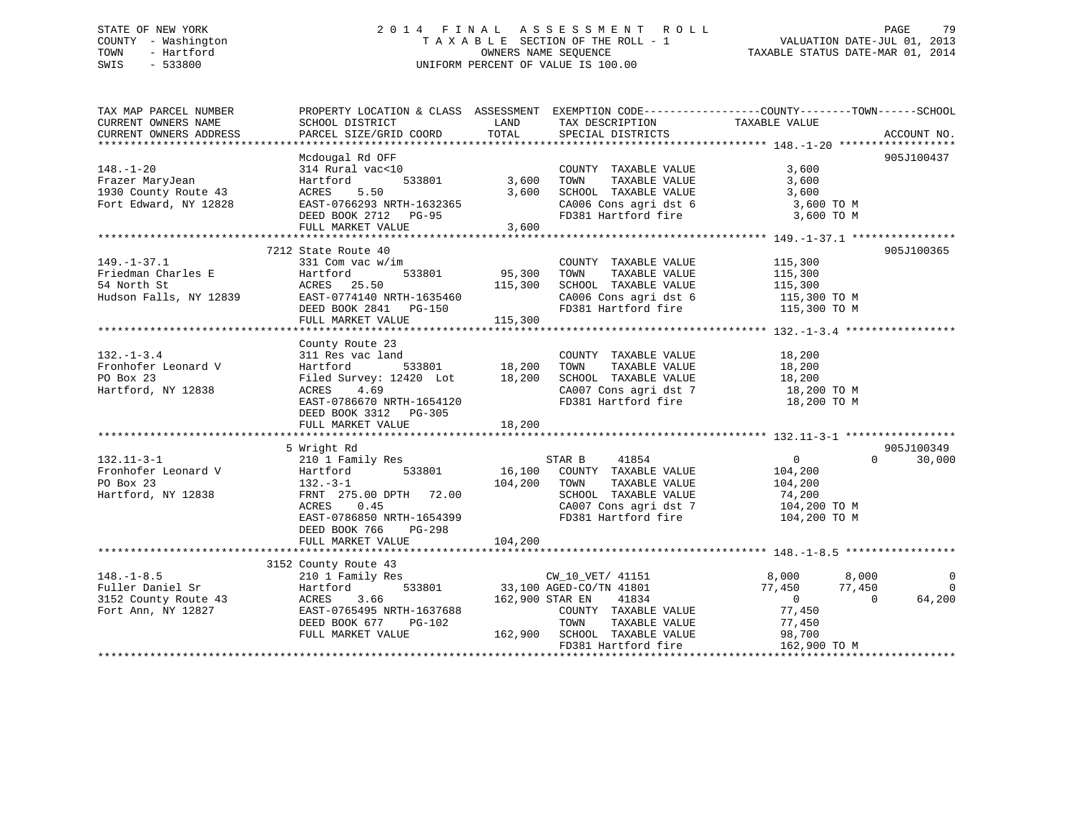## STATE OF NEW YORK 2 0 1 4 F I N A L A S S E S S M E N T R O L L PAGE 79 COUNTY - Washington T A X A B L E SECTION OF THE ROLL - 1 VALUATION DATE-JUL 01, 2013 TOWN - Hartford **TAXABLE STATUS DATE-MAR 01, 2014** OWNERS NAME SEQUENCE TAXABLE STATUS DATE-MAR 01, 2014 SWIS - 533800 UNIFORM PERCENT OF VALUE IS 100.00

| TAX MAP PARCEL NUMBER<br>CURRENT OWNERS NAME     | PROPERTY LOCATION & CLASS ASSESSMENT EXEMPTION CODE----------------COUNTY-------TOWN-----SCHOOL<br>SCHOOL DISTRICT | LAND<br>TOTAL | TAX DESCRIPTION TAXABLE VALUE                                      |                            |             |
|--------------------------------------------------|--------------------------------------------------------------------------------------------------------------------|---------------|--------------------------------------------------------------------|----------------------------|-------------|
| CURRENT OWNERS ADDRESS                           | PARCEL SIZE/GRID COORD                                                                                             |               | SPECIAL DISTRICTS                                                  |                            | ACCOUNT NO. |
|                                                  | Mcdougal Rd OFF                                                                                                    |               |                                                                    |                            | 905J100437  |
| $148. - 1 - 20$                                  | 314 Rural vac<10                                                                                                   |               | COUNTY TAXABLE VALUE                                               | 3,600                      |             |
| Frazer MaryJean                                  | Hartford<br>533801                                                                                                 | 3,600         | TAXABLE VALUE<br>TOWN                                              | 3,600                      |             |
| 1930 County Route 43                             | 5.50<br>ACRES                                                                                                      | 3,600         | SCHOOL TAXABLE VALUE                                               | 3,600                      |             |
| Fort Edward, NY 12828                            | EAST-0766293 NRTH-1632365                                                                                          |               |                                                                    |                            |             |
|                                                  | DEED BOOK 2712 PG-95                                                                                               |               | CA006 Cons agri dst 6 3,600 TO M<br>FD381 Hartford fire 3,600 TO M |                            |             |
|                                                  | FULL MARKET VALUE                                                                                                  | 3,600         |                                                                    |                            |             |
|                                                  |                                                                                                                    |               |                                                                    |                            |             |
|                                                  | 7212 State Route 40                                                                                                |               |                                                                    |                            | 905J100365  |
| $149. - 1 - 37.1$                                | 331 Com vac w/im                                                                                                   |               | COUNTY TAXABLE VALUE                                               | 115,300                    |             |
| Friedman Charles E                               |                                                                                                                    |               | TAXABLE VALUE                                                      |                            |             |
| 54 North St                                      | Hartford<br>ACRES 25.50                                                                                            | 533801 95,300 | TOWN                                                               | 115,300                    |             |
|                                                  |                                                                                                                    | 115,300       | SCHOOL TAXABLE VALUE                                               | 115,300                    |             |
| Hudson Falls, NY 12839 EAST-0774140 NRTH-1635460 |                                                                                                                    |               | CA006 Cons agri dst 6 115,300 TO M                                 |                            |             |
|                                                  | DEED BOOK 2841 PG-150                                                                                              |               | FD381 Hartford fire                                                | 115,300 TO M               |             |
|                                                  | FULL MARKET VALUE                                                                                                  | 115,300       |                                                                    |                            |             |
|                                                  |                                                                                                                    |               |                                                                    |                            |             |
|                                                  | County Route 23                                                                                                    |               |                                                                    |                            |             |
| $132 - 1 - 3.4$                                  |                                                                                                                    |               | COUNTY TAXABLE VALUE                                               | 18,200                     |             |
| Fronhofer Leonard V                              |                                                                                                                    |               | TOWN<br>TAXABLE VALUE                                              | 18,200                     |             |
| PO Box 23                                        | Filed Survey: 12420 Lot 18,200                                                                                     |               | SCHOOL TAXABLE VALUE 18,200<br>CA007 Cons agri dst 7 18,200 TO M   |                            |             |
| Hartford, NY 12838                               | ACRES 4.69                                                                                                         |               | CA007 Cons agri dst 7<br>FD381 Hartford fire                       |                            |             |
|                                                  | EAST-0786670 NRTH-1654120                                                                                          |               |                                                                    | 18,200 TO M                |             |
|                                                  | DEED BOOK 3312 PG-305                                                                                              |               |                                                                    |                            |             |
|                                                  | FULL MARKET VALUE                                                                                                  | 18,200        |                                                                    |                            |             |
|                                                  |                                                                                                                    |               |                                                                    |                            |             |
|                                                  | 5 Wright Rd                                                                                                        |               |                                                                    |                            | 905J100349  |
| $132.11 - 3 - 1$                                 | 210 1 Family Res                                                                                                   |               | STAR B 41854<br>16,100 COUNTY TAXABLE VALUE                        | $\overline{0}$<br>$\Omega$ | 30,000      |
| Fronhofer Leonard V                              | Hartford<br>533801                                                                                                 |               |                                                                    | 104,200                    |             |
| PO Box 23                                        | $132 - 3 - 1$                                                                                                      | 104,200       | TAXABLE VALUE<br>TOWN                                              | 104,200                    |             |
| Hartford, NY 12838                               | FRNT 275.00 DPTH 72.00                                                                                             |               | SCHOOL TAXABLE VALUE                                               | 74,200                     |             |
|                                                  | 0.45<br>ACRES                                                                                                      |               | CA007 Cons agri dst 7 104,200 TO M                                 |                            |             |
|                                                  | EAST-0786850 NRTH-1654399                                                                                          |               | FD381 Hartford fire                                                | 104,200 TO M               |             |
|                                                  | DEED BOOK 766<br>PG-298                                                                                            |               |                                                                    |                            |             |
|                                                  | FULL MARKET VALUE                                                                                                  | 104,200       |                                                                    |                            |             |
|                                                  |                                                                                                                    |               |                                                                    |                            |             |
|                                                  | 3152 County Route 43                                                                                               |               |                                                                    |                            |             |
| $148. - 1 - 8.5$                                 | 210 1 Family Res                                                                                                   |               | CW_10_VET/ 41151                                                   | 8,000<br>8,000             | $\mathbf 0$ |
| Fuller Daniel Sr                                 | Hartford                                                                                                           |               | 533801 33,100 AGED-CO/TN 41801                                     | 77,450<br>77,450           | $\Omega$    |
| 3152 County Route 43                             | 3.66<br>ACRES                                                                                                      |               | 162,900 STAR EN 41834                                              | $\overline{0}$<br>$\Omega$ | 64,200      |
| Fort Ann, NY 12827                               | EAST-0765495 NRTH-1637688                                                                                          |               | COUNTY TAXABLE VALUE                                               | 77,450                     |             |
|                                                  |                                                                                                                    |               | TOWN                                                               |                            |             |
|                                                  | DEED BOOK 677<br>PG-102                                                                                            |               | TAXABLE VALUE                                                      | 77,450                     |             |
|                                                  | FULL MARKET VALUE                                                                                                  |               | 162,900 SCHOOL TAXABLE VALUE                                       | 98,700                     |             |
|                                                  |                                                                                                                    |               | FD381 Hartford fire                                                | 162,900 TO M               |             |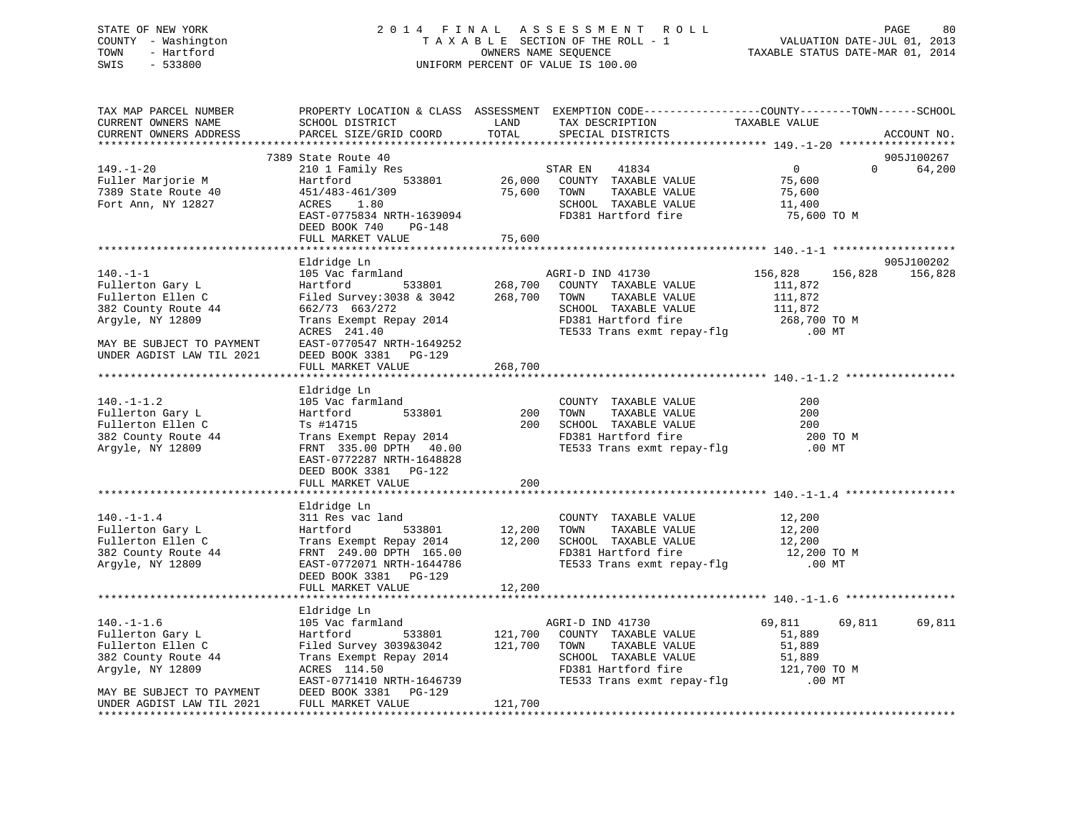## STATE OF NEW YORK 2 0 1 4 F I N A L A S S E S S M E N T R O L L PAGE 80 COUNTY - Washington T A X A B L E SECTION OF THE ROLL - 1 VALUATION DATE-JUL 01, 2013 TOWN - Hartford **TAXABLE STATUS DATE-MAR 01, 2014** OWNERS NAME SEQUENCE TAXABLE STATUS DATE-MAR 01, 2014 SWIS - 533800 UNIFORM PERCENT OF VALUE IS 100.00

| TAX MAP PARCEL NUMBER<br>CURRENT OWNERS NAME<br>CURRENT OWNERS ADDRESS                                                                                       | PROPERTY LOCATION & CLASS ASSESSMENT EXEMPTION CODE----------------COUNTY-------TOWN-----SCHOOL<br>SCHOOL DISTRICT<br>PARCEL SIZE/GRID COORD                                                             | LAND<br>TOTAL                   | TAX DESCRIPTION<br>SPECIAL DISTRICTS                                                                                                                                                       | TAXABLE VALUE                                                                   | ACCOUNT NO.           |
|--------------------------------------------------------------------------------------------------------------------------------------------------------------|----------------------------------------------------------------------------------------------------------------------------------------------------------------------------------------------------------|---------------------------------|--------------------------------------------------------------------------------------------------------------------------------------------------------------------------------------------|---------------------------------------------------------------------------------|-----------------------|
|                                                                                                                                                              |                                                                                                                                                                                                          |                                 |                                                                                                                                                                                            |                                                                                 |                       |
| $149. - 1 - 20$<br>Fuller Marjorie M<br>7389 State Route 40<br>Fort Ann, NY 12827                                                                            | 7389 State Route 40<br>210 1 Family Res<br>533801<br>Hartford<br>451/483-461/309<br>1.80<br>ACRES<br>EAST-0775834 NRTH-1639094<br>DEED BOOK 740<br>PG-148<br>FULL MARKET VALUE                           | S<br>26,000<br>75,600<br>75,600 | STAR EN<br>41834<br>COUNTY TAXABLE VALUE<br>TAXABLE VALUE<br>TOWN<br>SCHOOL TAXABLE VALUE<br>FD381 Hartford fire                                                                           | $\overline{0}$<br>$\Omega$<br>75,600<br>75,600<br>11,400<br>75,600 TO M         | 905J100267<br>64,200  |
|                                                                                                                                                              |                                                                                                                                                                                                          |                                 |                                                                                                                                                                                            |                                                                                 |                       |
| $140. - 1 - 1$<br>Fullerton Gary L<br>Fullerton Ellen C<br>382 County Route 44<br>Argyle, NY 12809<br>MAY BE SUBJECT TO PAYMENT<br>UNDER AGDIST LAW TIL 2021 | Eldridge Ln<br>105 Vac farmland<br>Hartford<br>Filed Survey: 3038 & 3042 268,700<br>662/73 663/272<br>Trans Exempt Repay 2014<br>ACRES 241.40<br>EAST-0770547 NRTH-1649252<br>DEED BOOK 3381 PG-129      | 533801 268,700                  | AGRI-D IND 41730<br>COUNTY TAXABLE VALUE<br>TOWN<br>TAXABLE VALUE<br>SCHOOL TAXABLE VALUE<br>FD381 Hartford fire<br>TEL22 T<br>TE533 Trans exmt repay-flg                                  | 156,828<br>156,828<br>111,872<br>111,872<br>111,872<br>268,700 TO M<br>$.00$ MT | 905J100202<br>156,828 |
|                                                                                                                                                              | FULL MARKET VALUE                                                                                                                                                                                        | 268,700                         |                                                                                                                                                                                            |                                                                                 |                       |
|                                                                                                                                                              |                                                                                                                                                                                                          |                                 |                                                                                                                                                                                            |                                                                                 |                       |
| $140. - 1 - 1.2$<br>Fullerton Gary L<br>Fullerton Ellen C<br>382 County Route 44<br>Argyle, NY 12809                                                         | Eldridge Ln<br>105 Vac farmland<br>533801<br>Hartford<br>Ts #14715<br>Trans Exempt Repay 2014<br>FRNT 335.00 DPTH 40.00<br>EAST-0772287 NRTH-1648828<br>DEED BOOK 3381 PG-122                            | 200<br>200<br>200               | COUNTY TAXABLE VALUE<br>TOWN<br>TAXABLE VALUE<br>TESSA TAAABLE VALUE<br>FD381 Hartford fire<br>TE533 Trans<br>TE533 Trans exmt repay-flg                                                   | 200<br>200<br>200<br>200 TO M<br>$.00$ MT                                       |                       |
|                                                                                                                                                              | FULL MARKET VALUE                                                                                                                                                                                        |                                 |                                                                                                                                                                                            |                                                                                 |                       |
| $140. - 1 - 1.4$<br>Fullerton Gary L<br>Fullerton Ellen C<br>382 County Route 44<br>Argyle, NY 12809                                                         | Eldridge Ln<br>311 Res vac land<br>533801<br>Hartford<br>Trans Exempt Repay 2014 12,200<br>FRNT 249.00 DPTH 165.00<br>EAST-0772071 NRTH-1644786<br>DEED BOOK 3381 PG-129                                 | 12,200                          | COUNTY TAXABLE VALUE<br>TOWN<br>TAXABLE VALUE<br>SCHOOL TAXABLE VALUE<br>FD381 Hartford fire<br>TE533 Trans exmt repay-flg                                                                 | 12,200<br>12,200<br>12,200<br>12,200 TO M<br>.00 MT                             |                       |
|                                                                                                                                                              | FULL MARKET VALUE                                                                                                                                                                                        | 12,200                          |                                                                                                                                                                                            |                                                                                 |                       |
|                                                                                                                                                              |                                                                                                                                                                                                          |                                 |                                                                                                                                                                                            |                                                                                 |                       |
| $140.-1-1.6$<br>Fullerton Gary L<br>Fullerton Ellen C<br>382 County Route 44<br>Argyle, NY 12809<br>MAY BE SUBJECT TO PAYMENT<br>UNDER AGDIST LAW TIL 2021   | Eldridge Ln<br>105 Vac farmland<br>533801<br>Hartford<br>Filed Survey 3039&3042<br>Trans Exempt Repay 2014<br>ACRES 114.50<br>EAST-0771410 NRTH-1646739<br>DEED BOOK 3381    PG-129<br>FULL MARKET VALUE | 121,700<br>121,700<br>121,700   | AGRI-D IND 41730<br>COUNTY TAXABLE VALUE<br>TOWN<br>TAXABLE VALUE<br>- AAABLE VALUE<br>FD381 Hartford fire<br>TE533 Trans<br>rbsol nartford fire the star is<br>TE533 Trans exmt repay-flg | 69,811<br>69,811<br>51,889<br>51,889<br>51,889<br>121,700 TO M<br>$.00$ MT      | 69,811                |
|                                                                                                                                                              |                                                                                                                                                                                                          |                                 |                                                                                                                                                                                            |                                                                                 |                       |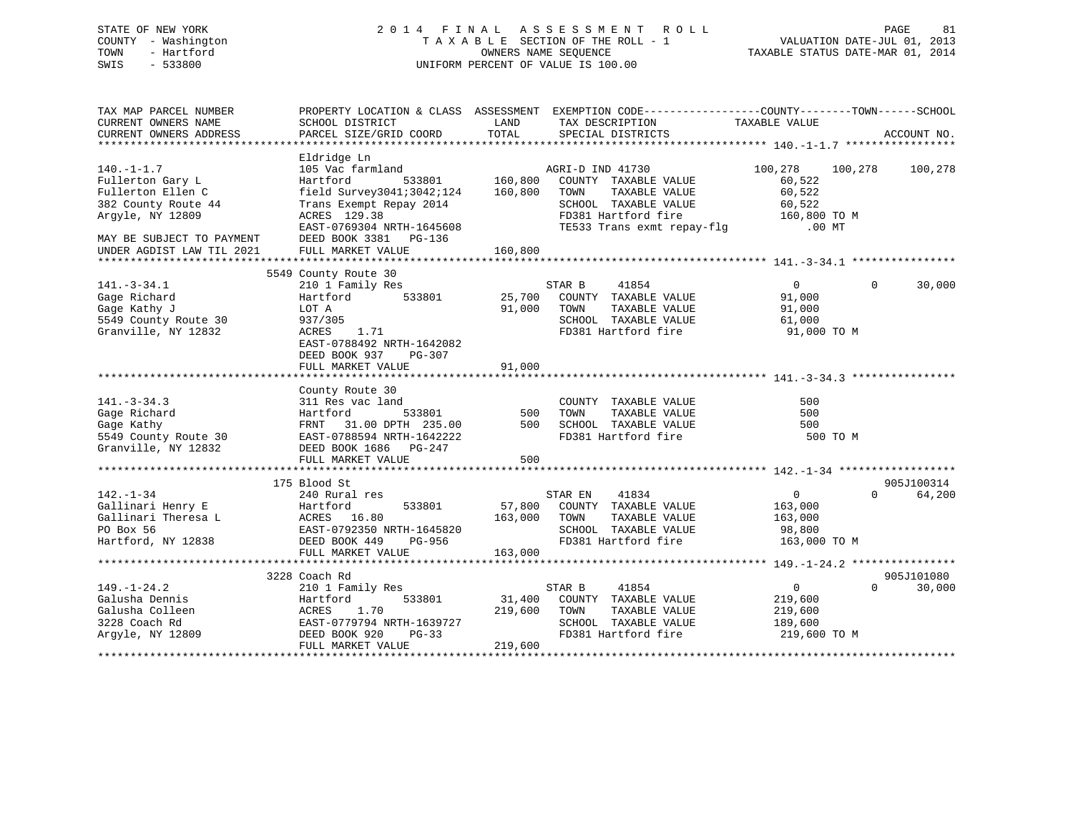STATE OF NEW YORK 2 0 1 4 F I N A L A S S E S S M E N T R O L L PAGE 81 COUNTY - Washington T A X A B L E SECTION OF THE ROLL - 1 VALUATION DATE-JUL 01, 2013

# TOWN - Hartford **TAXABLE STATUS DATE-MAR 01, 2014** OWNERS NAME SEQUENCE TAXABLE STATUS DATE-MAR 01, 2014 SWIS - 533800 UNIFORM PERCENT OF VALUE IS 100.00

| TAX MAP PARCEL NUMBER<br>CURRENT OWNERS NAME<br>CURRENT OWNERS ADDRESS | SCHOOL DISTRICT<br>PARCEL SIZE/GRID COORD                  | LAND<br>TOTAL | PROPERTY LOCATION & CLASS ASSESSMENT EXEMPTION CODE---------------COUNTY-------TOWN-----SCHOOL<br>TAX DESCRIPTION<br>SPECIAL DISTRICTS | TAXABLE VALUE            | ACCOUNT NO.            |
|------------------------------------------------------------------------|------------------------------------------------------------|---------------|----------------------------------------------------------------------------------------------------------------------------------------|--------------------------|------------------------|
|                                                                        |                                                            |               |                                                                                                                                        |                          |                        |
|                                                                        | Eldridge Ln                                                |               |                                                                                                                                        |                          |                        |
| $140. - 1 - 1.7$                                                       | 105 Vac farmland<br>Hartford<br>533801                     | 160,800       | AGRI-D IND 41730                                                                                                                       | 100,278<br>100,278       | 100,278                |
| Fullerton Gary L<br>Fullerton Ellen C                                  | field Survey3041;3042;124                                  | 160,800       | COUNTY TAXABLE VALUE<br>TAXABLE VALUE<br>TOWN                                                                                          | 60,522<br>60,522         |                        |
| 382 County Route 44                                                    | Trans Exempt Repay 2014                                    |               | SCHOOL TAXABLE VALUE                                                                                                                   | 60,522                   |                        |
|                                                                        | ACRES 129.38                                               |               | FD381 Hartford fire                                                                                                                    |                          |                        |
| Argyle, NY 12809                                                       | EAST-0769304 NRTH-1645608                                  |               |                                                                                                                                        | 160,800 TO M<br>$.00$ MT |                        |
|                                                                        |                                                            |               | TE533 Trans exmt repay-flg                                                                                                             |                          |                        |
| MAY BE SUBJECT TO PAYMENT                                              | DEED BOOK 3381 PG-136                                      |               |                                                                                                                                        |                          |                        |
| UNDER AGDIST LAW TIL 2021                                              | FULL MARKET VALUE                                          | 160,800       |                                                                                                                                        |                          |                        |
|                                                                        | 5549 County Route 30                                       |               |                                                                                                                                        |                          |                        |
| $141.-3-34.1$                                                          | 210 1 Family Res                                           |               | 41854<br>STAR B                                                                                                                        | $\overline{0}$           | 30,000<br>$\Omega$     |
| Gage Richard                                                           | 533801<br>Hartford                                         |               | 25,700 COUNTY TAXABLE VALUE                                                                                                            | 91,000                   |                        |
| Gage Kathy J                                                           | LOT A                                                      | 91,000        | TOWN<br>TAXABLE VALUE                                                                                                                  | 91,000                   |                        |
| 5549 County Route 30                                                   |                                                            |               | SCHOOL TAXABLE VALUE                                                                                                                   |                          |                        |
|                                                                        | 937/305                                                    |               |                                                                                                                                        | 61,000                   |                        |
| Granville, NY 12832                                                    | ACRES 1.71                                                 |               | FD381 Hartford fire                                                                                                                    | 91,000 TO M              |                        |
|                                                                        | EAST-0788492 NRTH-1642082                                  |               |                                                                                                                                        |                          |                        |
|                                                                        | DEED BOOK 937<br>PG-307                                    |               |                                                                                                                                        |                          |                        |
|                                                                        | FULL MARKET VALUE                                          | 91,000        |                                                                                                                                        |                          |                        |
|                                                                        |                                                            |               |                                                                                                                                        |                          |                        |
| $141. - 3 - 34.3$                                                      | County Route 30                                            |               |                                                                                                                                        |                          |                        |
|                                                                        | 311 Res vac land                                           |               | COUNTY TAXABLE VALUE                                                                                                                   | 500                      |                        |
| Gage Richard                                                           | 533801<br>Hartford                                         | 500           | TAXABLE VALUE<br>TOWN                                                                                                                  | 500                      |                        |
| Gage Kathy                                                             | FRNT 31.00 DPTH 235.00                                     | 500           | SCHOOL TAXABLE VALUE                                                                                                                   | 500                      |                        |
| 5549 County Route 30                                                   | EAST-0788594 NRTH-1642222                                  |               | FD381 Hartford fire                                                                                                                    | 500 TO M                 |                        |
| Granville, NY 12832                                                    | DEED BOOK 1686 PG-247                                      |               |                                                                                                                                        |                          |                        |
|                                                                        | FULL MARKET VALUE                                          | 500           |                                                                                                                                        |                          |                        |
|                                                                        |                                                            |               |                                                                                                                                        |                          |                        |
|                                                                        | 175 Blood St                                               |               |                                                                                                                                        | $0 \qquad \qquad$        | 905J100314<br>$\Omega$ |
| $142. - 1 - 34$                                                        | 240 Rural res                                              |               | STAR EN<br>41834                                                                                                                       |                          | 64,200                 |
| Gallinari Henry E                                                      | 533801<br>Hartford                                         |               | 57,800 COUNTY TAXABLE VALUE                                                                                                            | 163,000                  |                        |
| Gallinari Theresa L                                                    | ACRES 16.80<br>EAST-0792350 NRTH-1645820<br>--- 110 PG-956 | 163,000 TOWN  | TAXABLE VALUE                                                                                                                          | 163,000                  |                        |
| PO Box 56                                                              |                                                            |               | SCHOOL TAXABLE VALUE                                                                                                                   | 98,800                   |                        |
| Hartford, NY 12838                                                     | DEED BOOK 449<br>PG-956                                    |               | FD381 Hartford fire 163,000 TO M                                                                                                       |                          |                        |
|                                                                        | FULL MARKET VALUE                                          | 163,000       |                                                                                                                                        |                          |                        |
|                                                                        |                                                            |               |                                                                                                                                        |                          |                        |
|                                                                        | 3228 Coach Rd                                              |               |                                                                                                                                        |                          | 905J101080<br>$\Omega$ |
| $149. - 1 - 24.2$                                                      | 210 1 Family Res                                           |               | STAR B<br>41854                                                                                                                        | $\overline{0}$           | 30,000                 |
| Galusha Dennis                                                         | Hartford<br>533801                                         | 31,400        | COUNTY TAXABLE VALUE                                                                                                                   | 219,600                  |                        |
| Galusha Colleen                                                        | ACRES<br>1.70                                              | 219,600       | TAXABLE VALUE<br>TOWN                                                                                                                  | 219,600                  |                        |
| 3228 Coach Rd                                                          | EAST-0779794 NRTH-1639727                                  |               | SCHOOL TAXABLE VALUE                                                                                                                   | 189,600                  |                        |
| Arqyle, NY 12809                                                       | DEED BOOK 920<br>PG-33                                     |               | FD381 Hartford fire                                                                                                                    | 219,600 TO M             |                        |
|                                                                        | FULL MARKET VALUE                                          | 219,600       |                                                                                                                                        |                          |                        |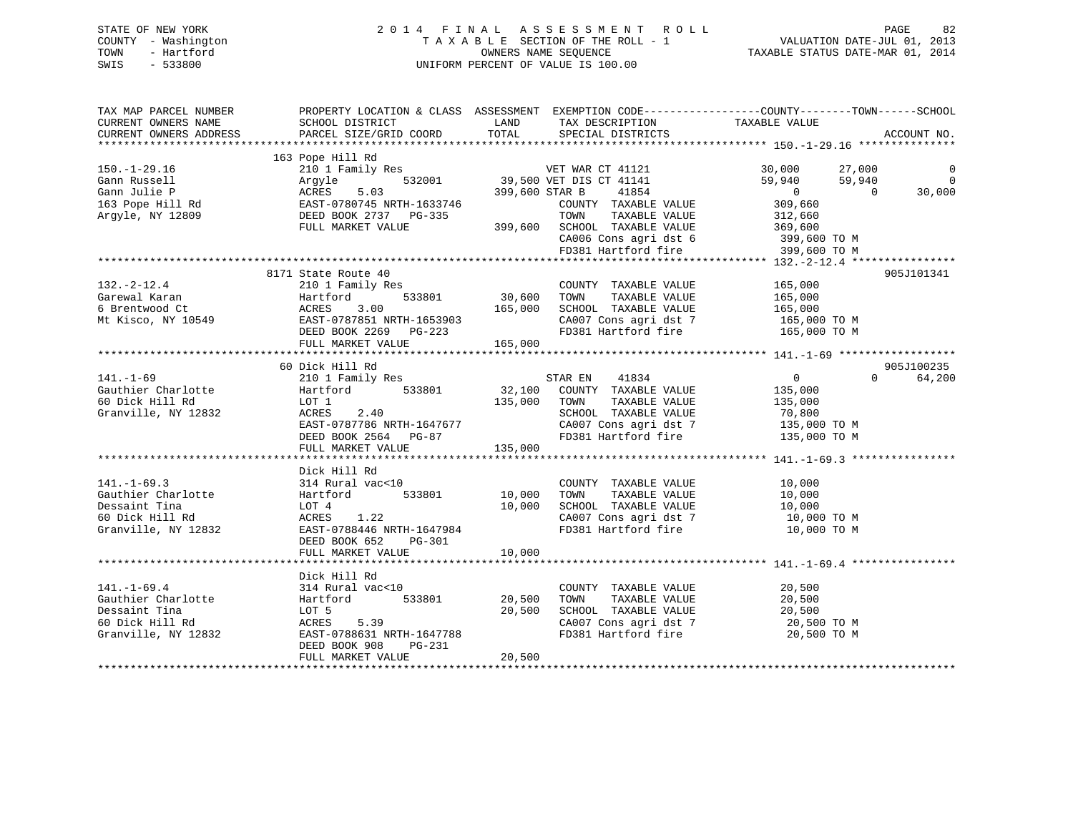## STATE OF NEW YORK 2 0 1 4 F I N A L A S S E S S M E N T R O L L PAGE 82 COUNTY - Washington T A X A B L E SECTION OF THE ROLL - 1 VALUATION DATE-JUL 01, 2013 TOWN - Hartford **TAXABLE STATUS DATE-MAR 01, 2014** OWNERS NAME SEQUENCE TAXABLE STATUS DATE-MAR 01, 2014 SWIS - 533800 UNIFORM PERCENT OF VALUE IS 100.00

| TAX MAP PARCEL NUMBER<br>CURRENT OWNERS NAME<br>CURRENT OWNERS ADDRESS                             | PROPERTY LOCATION & CLASS ASSESSMENT EXEMPTION CODE---------------COUNTY-------TOWN-----SCHOOL<br>SCHOOL DISTRICT<br>PARCEL SIZE/GRID COORD                                   | LAND<br>TOTAL                | TAX DESCRIPTION<br>SPECIAL DISTRICTS                                                                                                                                          | TAXABLE VALUE                                                                                                                             | ACCOUNT NO.                                |
|----------------------------------------------------------------------------------------------------|-------------------------------------------------------------------------------------------------------------------------------------------------------------------------------|------------------------------|-------------------------------------------------------------------------------------------------------------------------------------------------------------------------------|-------------------------------------------------------------------------------------------------------------------------------------------|--------------------------------------------|
| $150.-1-29.16$<br>Gann Russell<br>Gann Julie P<br>163 Pope Hill Rd<br>Argyle, NY 12809             | 163 Pope Hill Rd<br>210 1 Family Res<br>532001<br>Argyle<br>5.03<br>ACRES<br>EAST-0780745 NRTH-1633746<br>DEED BOOK 2737 PG-335<br>FULL MARKET VALUE                          | 399,600 STAR B<br>399,600    | VET WAR CT 41121<br>39,500 VET DIS CT 41141<br>41854<br>COUNTY TAXABLE VALUE<br>TAXABLE VALUE<br>TOWN<br>SCHOOL TAXABLE VALUE<br>CA006 Cons agri dst 6<br>FD381 Hartford fire | 30,000<br>27,000<br>59,940<br>59,940<br>$\overline{0}$<br>$\overline{0}$<br>309,660<br>312,660<br>369,600<br>399,600 TO M<br>399,600 TO M | $\overline{0}$<br>$\overline{0}$<br>30,000 |
| $132. - 2 - 12.4$<br>Garewal Karan<br>6 Brentwood Ct<br>Mt Kisco, NY 10549                         | 8171 State Route 40<br>210 1 Family Res<br>533801<br>Hartford<br>Hartfo<br>ACRES<br>EAST-0<br>3.00<br>EAST-0787851 NRTH-1653903<br>DEED BOOK 2269 PG-223<br>FULL MARKET VALUE | 30,600<br>165,000<br>165,000 | COUNTY TAXABLE VALUE<br>TOWN<br>TAXABLE VALUE<br>SCHOOL TAXABLE VALUE<br>CA007 Cons agri dst 7<br>FD381 Hartford fire                                                         | 165,000<br>165,000<br>165,000<br>165,000 TO M<br>165,000 TO M                                                                             | 905J101341                                 |
|                                                                                                    | 60 Dick Hill Rd                                                                                                                                                               |                              |                                                                                                                                                                               |                                                                                                                                           | 905J100235                                 |
| $141. - 1 - 69$<br>Gauthier Charlotte<br>60 Dick Hill Rd<br>Granville, NY 12832                    | 210 1 Family Res<br>Hartford 533801<br>LOT 1<br>2.40<br>ACRES<br>EAST-0787786 NRTH-1647677<br>DEED BOOK 2564 PG-87<br>FULL MARKET VALUE                                       | 135,000<br>135,000           | STAR EN 41834<br>32,100 COUNTY TAXABLE VALUE<br>TOWN<br>TAXABLE VALUE<br>SCHOOL TAXABLE VALUE<br>CA007 Cons agri dst 7<br>FD381 Hartford fire                                 | $\overline{0}$<br>$\Omega$<br>135,000<br>135,000<br>70,800<br>135,000 TO M<br>135,000 TO M                                                | 64,200                                     |
|                                                                                                    | Dick Hill Rd                                                                                                                                                                  |                              |                                                                                                                                                                               |                                                                                                                                           |                                            |
| $141. - 1 - 69.3$<br>Gauthier Charlotte<br>Dessaint Tina<br>60 Dick Hill Rd<br>Granville, NY 12832 | 314 Rural vac<10<br>Hartford 533801<br>LOT 4<br>ACRES<br>1.22<br>EAST-0788446 NRTH-1647984<br>DEED BOOK 652<br>PG-301                                                         | 10,000<br>10,000             | COUNTY TAXABLE VALUE<br>TAXABLE VALUE<br>TOWN<br>SCHOOL TAXABLE VALUE 10,000<br>CA007 Cons agri dst 7<br>FD381 Hartford fire                                                  | 10,000<br>10,000<br>10,000 TO M<br>10,000 TO M                                                                                            |                                            |
|                                                                                                    | FULL MARKET VALUE                                                                                                                                                             | 10,000                       |                                                                                                                                                                               |                                                                                                                                           |                                            |
|                                                                                                    | Dick Hill Rd                                                                                                                                                                  |                              |                                                                                                                                                                               |                                                                                                                                           |                                            |
| $141. - 1 - 69.4$<br>Gauthier Charlotte<br>Dessaint Tina<br>60 Dick Hill Rd<br>Granville, NY 12832 | 314 Rural vac<10<br>533801<br>Hartford<br>LOT 5<br>5.39<br>ACRES<br>EAST-0788631 NRTH-1647788<br>DEED BOOK 908<br>PG-231                                                      | 20,500<br>20,500             | COUNTY TAXABLE VALUE<br>TOWN<br>TAXABLE VALUE<br>SCHOOL TAXABLE VALUE<br>CA007 Cons agri dst 7<br>FD381 Hartford fire                                                         | 20,500<br>20,500<br>20,500<br>20,500 TO M<br>20,500 TO M                                                                                  |                                            |
|                                                                                                    | FULL MARKET VALUE                                                                                                                                                             | 20,500                       |                                                                                                                                                                               |                                                                                                                                           |                                            |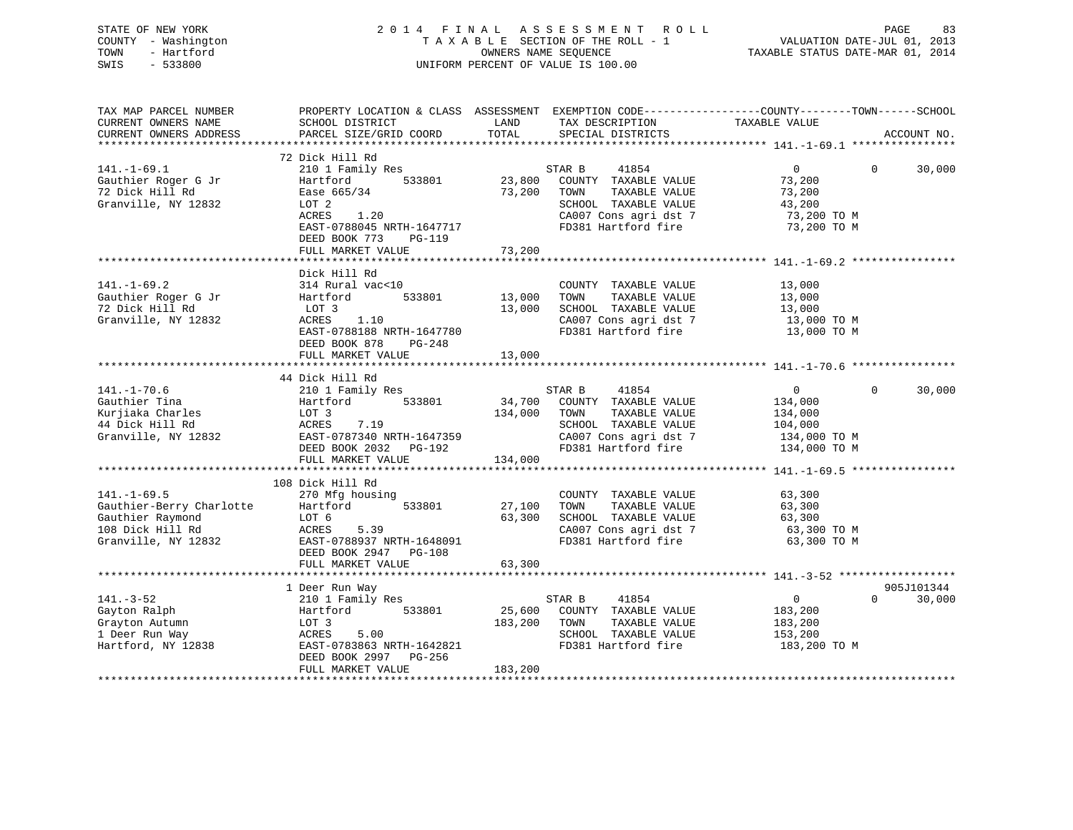|      | STATE OF NEW YORK   | 2014 FINAL ASSESSMENT ROLL                                     | PAGE | 83 |
|------|---------------------|----------------------------------------------------------------|------|----|
|      | COUNTY - Washington | VALUATION DATE-JUL 01, 2013<br>TAXABLE SECTION OF THE ROLL - 1 |      |    |
| TOWN | - Hartford          | TAXABLE STATUS DATE-MAR 01, 2014<br>OWNERS NAME SEOUENCE       |      |    |
| SWIS | - 533800            | UNIFORM PERCENT OF VALUE IS 100.00                             |      |    |
|      |                     |                                                                |      |    |
|      |                     |                                                                |      |    |
|      |                     |                                                                |      |    |

TAX MAP PARCEL NUMBER PROPERTY LOCATION & CLASS ASSESSMENT EXEMPTION CODE------------------COUNTY--------TOWN------SCHOOL

| CURRENT OWNERS NAME                      | SCHOOL DISTRICT           | LAND    | TAX DESCRIPTION                                              | TAXABLE VALUE         |                    |
|------------------------------------------|---------------------------|---------|--------------------------------------------------------------|-----------------------|--------------------|
| CURRENT OWNERS ADDRESS                   | PARCEL SIZE/GRID COORD    | TOTAL   | SPECIAL DISTRICTS                                            |                       | ACCOUNT NO.        |
|                                          |                           |         |                                                              |                       |                    |
|                                          | 72 Dick Hill Rd           |         |                                                              |                       |                    |
| $141. - 1 - 69.1$                        | 210 1 Family Res          |         | STAR B<br>41854                                              | $\overline{0}$        | 30,000<br>$\Omega$ |
| Gauthier Roger G Jr                      | 533801<br>Hartford        |         | 23,800 COUNTY TAXABLE VALUE                                  | 73,200                |                    |
| 72 Dick Hill Rd                          | Ease 665/34               |         | 73,200 TOWN<br>TAXABLE VALUE                                 | 73,200                |                    |
| Granville, NY 12832                      | LOT 2                     |         | SCHOOL TAXABLE VALUE                                         | 43,200                |                    |
|                                          | ACRES<br>1.20             |         |                                                              | 73,200 TO M           |                    |
|                                          | EAST-0788045 NRTH-1647717 |         | SCHOOD TIME.<br>CA007 Cons agri dst 7<br>FD381 Hartford fire | 73,200 TO M           |                    |
|                                          | DEED BOOK 773<br>PG-119   |         |                                                              |                       |                    |
|                                          | FULL MARKET VALUE         | 73,200  |                                                              |                       |                    |
|                                          |                           |         |                                                              |                       |                    |
|                                          | Dick Hill Rd              |         |                                                              |                       |                    |
| $141. - 1 - 69.2$                        | 314 Rural vac<10          |         | COUNTY TAXABLE VALUE                                         | 13,000                |                    |
| Gauthier Roger G Jr                      | Hartford<br>533801        | 13,000  | TOWN<br>TAXABLE VALUE                                        | 13,000                |                    |
| 72 Dick Hill Rd                          | LOT 3                     | 13,000  | SCHOOL TAXABLE VALUE                                         |                       |                    |
| Granville, NY 12832                      | ACRES 1.10                |         | CA007 Cons agri dst 7                                        | 13,000<br>13,000 TO M |                    |
|                                          | EAST-0788188 NRTH-1647780 |         | FD381 Hartford fire                                          | 13,000 TO M           |                    |
|                                          | DEED BOOK 878<br>PG-248   |         |                                                              |                       |                    |
|                                          |                           |         |                                                              |                       |                    |
|                                          | FULL MARKET VALUE         | 13,000  |                                                              |                       |                    |
|                                          |                           |         |                                                              |                       |                    |
|                                          | 44 Dick Hill Rd           |         |                                                              | 0                     | $\Omega$           |
| $141. - 1 - 70.6$                        | 210 1 Family Res          |         | STAR B 41854                                                 |                       | 30,000             |
| Gauthier Tina                            | Hartford 533801           |         | 34,700 COUNTY TAXABLE VALUE                                  | 134,000               |                    |
| Kurjiaka Charles                         | LOT 3                     | 134,000 | TAXABLE VALUE<br>TOWN                                        | 134,000               |                    |
| 44 Dick Hill Rd                          | 7.19<br>ACRES             |         | SCHOOL TAXABLE VALUE                                         | 104,000               |                    |
| Granville, NY 12832                      | EAST-0787340 NRTH-1647359 |         | CA007 Cons agri dst 7 134,000 TO M                           |                       |                    |
|                                          | DEED BOOK 2032 PG-192     |         | FD381 Hartford fire                                          | 134,000 TO M          |                    |
|                                          | FULL MARKET VALUE         | 134,000 |                                                              |                       |                    |
|                                          |                           |         |                                                              |                       |                    |
|                                          | 108 Dick Hill Rd          |         |                                                              |                       |                    |
| $141. - 1 - 69.5$                        | 270 Mfg housing           |         | COUNTY TAXABLE VALUE                                         | 63,300                |                    |
| Gauthier-Berry Charlotte Hartford 533801 |                           | 27,100  | TOWN<br>TAXABLE VALUE                                        | 63,300                |                    |
| Gauthier Raymond                         | LOT 6                     | 63,300  | SCHOOL TAXABLE VALUE                                         | 63,300                |                    |
| 108 Dick Hill Rd                         | 5.39<br>ACRES             |         | CA007 Cons agri dst 7                                        | 63,300 TO M           |                    |
| Granville, NY 12832                      | EAST-0788937 NRTH-1648091 |         | FD381 Hartford fire                                          | 63,300 TO M           |                    |
|                                          | DEED BOOK 2947 PG-108     |         |                                                              |                       |                    |
|                                          | FULL MARKET VALUE         | 63,300  |                                                              |                       |                    |
|                                          |                           |         |                                                              |                       |                    |
|                                          | 1 Deer Run Way            |         |                                                              |                       | 905J101344         |
| $141. - 3 - 52$                          | 210 1 Family Res          |         | 41854<br>STAR B                                              | $\overline{0}$        | 30,000<br>$\Omega$ |
| Gayton Ralph                             | 533801<br>Hartford        |         | 25,600 COUNTY TAXABLE VALUE                                  | 183,200               |                    |
| Grayton Autumn                           | LOT 3                     | 183,200 | TAXABLE VALUE<br>TOWN                                        | 183,200               |                    |
| 1 Deer Run Way                           | ACRES<br>5.00             |         | SCHOOL TAXABLE VALUE                                         | 153,200               |                    |
| Hartford, NY 12838                       | EAST-0783863 NRTH-1642821 |         | FD381 Hartford fire                                          | 183,200 TO M          |                    |
|                                          | DEED BOOK 2997 PG-256     |         |                                                              |                       |                    |
|                                          | FULL MARKET VALUE         | 183,200 |                                                              |                       |                    |
|                                          |                           |         |                                                              |                       |                    |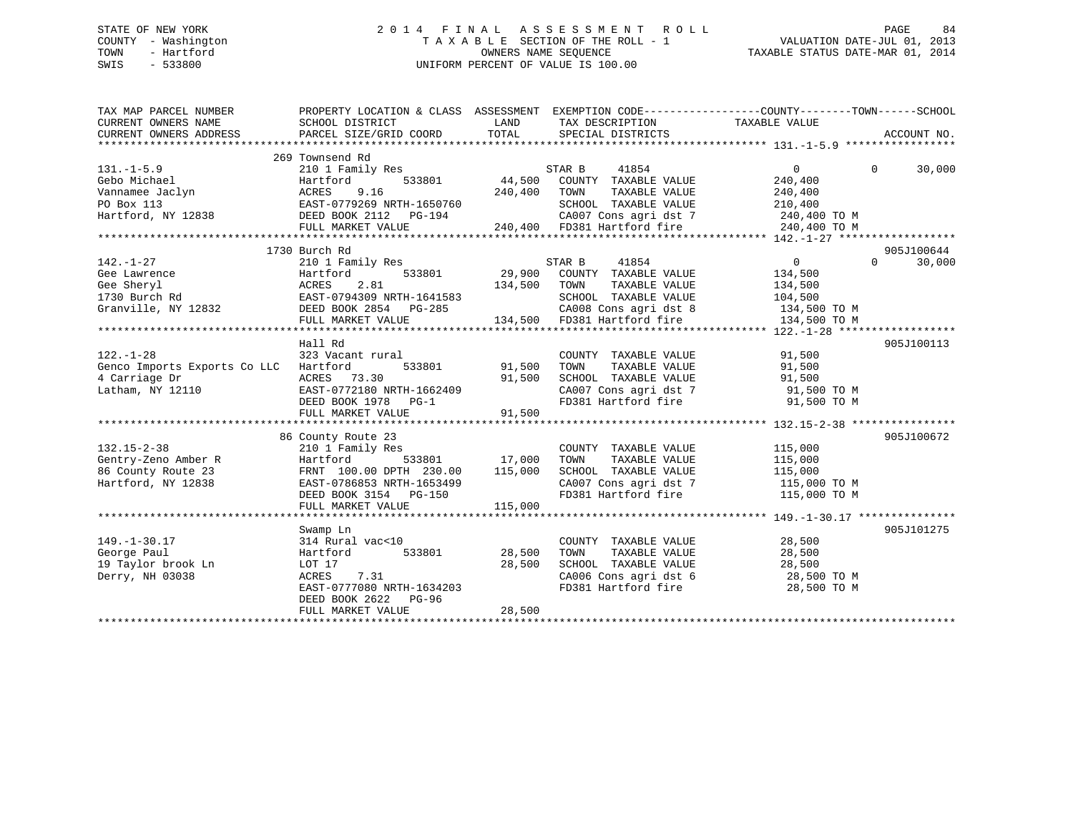## STATE OF NEW YORK 2 0 1 4 F I N A L A S S E S S M E N T R O L L PAGE 84 COUNTY - Washington T A X A B L E SECTION OF THE ROLL - 1 VALUATION DATE-JUL 01, 2013 TOWN - Hartford **TAXABLE STATUS DATE-MAR 01, 2014** OWNERS NAME SEQUENCE TAXABLE STATUS DATE-MAR 01, 2014 SWIS - 533800 UNIFORM PERCENT OF VALUE IS 100.00

| TAX MAP PARCEL NUMBER<br>CURRENT OWNERS NAME | PROPERTY LOCATION & CLASS ASSESSMENT EXEMPTION CODE----------------COUNTY-------TOWN-----SCHOOL<br>SCHOOL DISTRICT<br>PARCEL SIZE/GRID COORD | LAND<br>TOTAL | TAX DESCRIPTION TAXABLE VALUE<br>SPECIAL DISTRICTS  |                | ACCOUNT NO.        |
|----------------------------------------------|----------------------------------------------------------------------------------------------------------------------------------------------|---------------|-----------------------------------------------------|----------------|--------------------|
| CURRENT OWNERS ADDRESS                       |                                                                                                                                              |               |                                                     |                |                    |
|                                              | 269 Townsend Rd                                                                                                                              |               |                                                     |                |                    |
| $131. - 1 - 5.9$                             | 210 1 Family Res                                                                                                                             |               | STAR B<br>41854                                     | $\Omega$       | $\Omega$<br>30,000 |
| Gebo Michael                                 | Hartford                                                                                                                                     | 533801 44,500 | COUNTY TAXABLE VALUE                                | 240,400        |                    |
| Vannamee Jaclyn                              | ACRES<br>9.16                                                                                                                                | 240,400       | TOWN<br>TAXABLE VALUE                               | 240,400        |                    |
| PO Box 113                                   | EAST-0779269 NRTH-1650760                                                                                                                    |               | SCHOOL TAXABLE VALUE                                | 210,400        |                    |
| Hartford, NY 12838                           | DEED BOOK 2112 PG-194                                                                                                                        |               | CA007 Cons agri dst 7                               | 240,400 TO M   |                    |
|                                              | FULL MARKET VALUE                                                                                                                            |               | 240,400 FD381 Hartford fire                         | 240,400 TO M   |                    |
|                                              |                                                                                                                                              |               |                                                     |                |                    |
|                                              | 1730 Burch Rd                                                                                                                                |               |                                                     |                | 905J100644         |
| $142. - 1 - 27$                              | 210 1 Family Res                                                                                                                             |               | 41854<br>STAR B                                     | $\overline{0}$ | $\Omega$<br>30,000 |
| Gee Lawrence                                 | 533801<br>Hartford                                                                                                                           | 29,900        | COUNTY TAXABLE VALUE                                | 134,500        |                    |
| Gee Sheryl                                   | 2.81<br>ACRES                                                                                                                                | 134,500       | TAXABLE VALUE<br>TOWN                               | 134,500        |                    |
| 1730 Burch Rd                                | EAST-0794309 NRTH-1641583                                                                                                                    |               | SCHOOL TAXABLE VALUE                                | 104,500        |                    |
| Granville, NY 12832                          | DEED BOOK 2854 PG-285                                                                                                                        |               | CA008 Cons agri dst 8                               | 134,500 TO M   |                    |
|                                              | FULL MARKET VALUE                                                                                                                            |               | 134,500 FD381 Hartford fire                         | 134,500 TO M   |                    |
|                                              |                                                                                                                                              |               |                                                     |                |                    |
|                                              | Hall Rd                                                                                                                                      |               |                                                     |                | 905J100113         |
| $122. - 1 - 28$                              | 323 Vacant rural                                                                                                                             |               | COUNTY TAXABLE VALUE                                | 91,500         |                    |
| Genco Imports Exports Co LLC Hartford        | 533801                                                                                                                                       | 91,500        | TAXABLE VALUE<br>TOWN                               | 91,500         |                    |
| 4 Carriage Dr                                | ACRES 73.30                                                                                                                                  | 91,500        | TOWN      TAXABLE  VALUE<br>SCHOOL   TAXABLE  VALUE | 91,500         |                    |
| Latham, NY 12110                             | EAST-0772180 NRTH-1662409                                                                                                                    |               | CA007 Cons agri dst 7 91,500 TO M                   |                |                    |
|                                              | DEED BOOK 1978 PG-1                                                                                                                          |               | FD381 Hartford fire                                 | 91,500 TO M    |                    |
|                                              | FULL MARKET VALUE                                                                                                                            | 91,500        |                                                     |                |                    |
|                                              |                                                                                                                                              |               |                                                     |                |                    |
|                                              | 86 County Route 23                                                                                                                           |               |                                                     |                | 905J100672         |
| $132.15 - 2 - 38$                            | 210 1 Family Res                                                                                                                             |               | COUNTY TAXABLE VALUE                                | 115,000        |                    |
| Gentry-Zeno Amber R                          | Hartford                                                                                                                                     | 533801 17,000 | TOWN<br>TAXABLE VALUE                               | 115,000        |                    |
| 86 County Route 23                           | FRNT 100.00 DPTH 230.00                                                                                                                      | 115,000       | SCHOOL TAXABLE VALUE                                | 115,000        |                    |
| Hartford, NY 12838                           | EAST-0786853 NRTH-1653499                                                                                                                    |               | $CAO07$ Cons agri dst 7                             | 115,000 TO M   |                    |
|                                              | DEED BOOK 3154 PG-150                                                                                                                        |               | FD381 Hartford fire                                 | 115,000 TO M   |                    |
|                                              | FULL MARKET VALUE                                                                                                                            | 115,000       |                                                     |                |                    |
|                                              |                                                                                                                                              |               |                                                     |                |                    |
|                                              | Swamp Ln                                                                                                                                     |               |                                                     |                | 905J101275         |
| $149. - 1 - 30.17$                           | 314 Rural vac<10                                                                                                                             |               | COUNTY TAXABLE VALUE                                | 28,500         |                    |
| George Paul                                  | 533801<br>Hartford                                                                                                                           | 28,500        | TAXABLE VALUE<br>TOWN                               | 28,500         |                    |
| 19 Taylor brook Ln                           | LOT 17                                                                                                                                       | 28,500        | SCHOOL TAXABLE VALUE                                | 28,500         |                    |
| Derry, NH 03038                              | 7.31<br>ACRES                                                                                                                                |               | CA006 Cons agri dst 6                               | 28,500 TO M    |                    |
|                                              | EAST-0777080 NRTH-1634203                                                                                                                    |               | FD381 Hartford fire                                 | 28,500 TO M    |                    |
|                                              | DEED BOOK 2622<br>PG-96                                                                                                                      |               |                                                     |                |                    |
|                                              | FULL MARKET VALUE                                                                                                                            | 28,500        |                                                     |                |                    |
|                                              |                                                                                                                                              |               |                                                     |                |                    |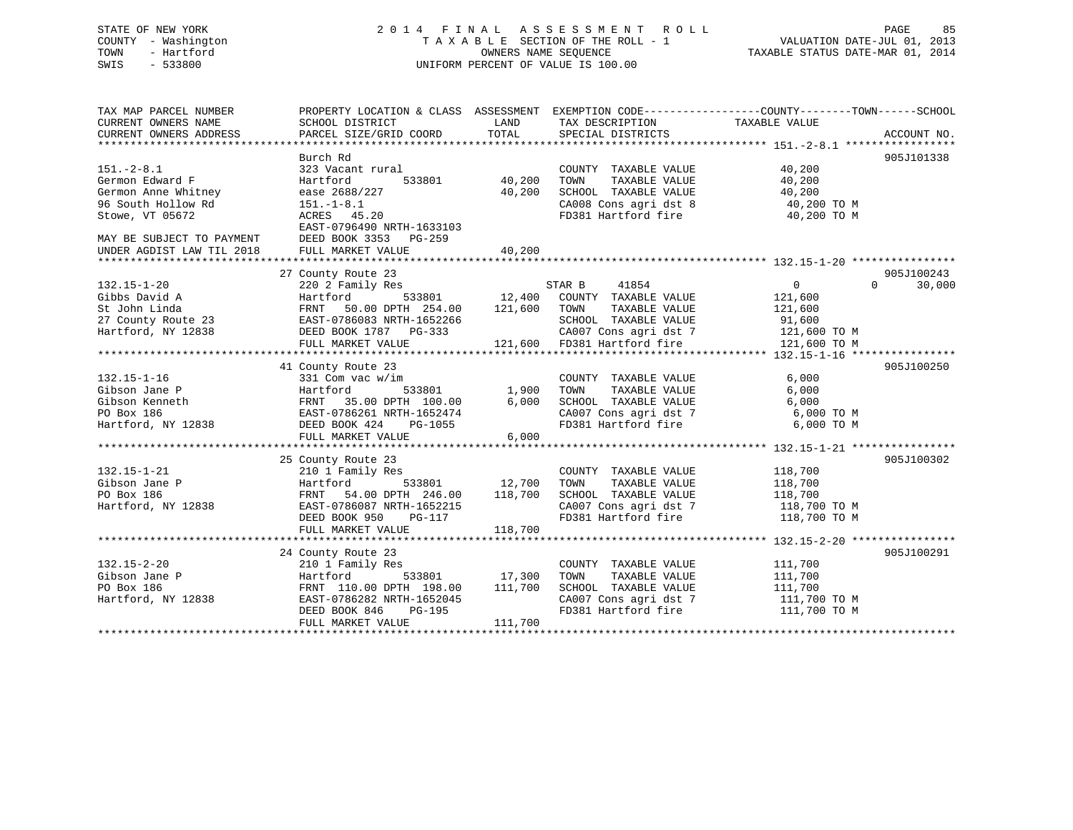## STATE OF NEW YORK 2 0 1 4 F I N A L A S S E S S M E N T R O L L PAGE 85 COUNTY - Washington T A X A B L E SECTION OF THE ROLL - 1 VALUATION DATE-JUL 01, 2013 TOWN - Hartford **TAXABLE STATUS DATE-MAR 01, 2014** OWNERS NAME SEQUENCE TAXABLE STATUS DATE-MAR 01, 2014 SWIS - 533800 UNIFORM PERCENT OF VALUE IS 100.00

| TAX MAP PARCEL NUMBER<br>CURRENT OWNERS NAME<br>CURRENT OWNERS ADDRESS | PROPERTY LOCATION & CLASS ASSESSMENT<br>SCHOOL DISTRICT<br>PARCEL SIZE/GRID COORD | LAND<br>TOTAL | TAX DESCRIPTION<br>SPECIAL DISTRICTS | EXEMPTION CODE-----------------COUNTY-------TOWN------SCHOOL<br>TAXABLE VALUE | ACCOUNT NO.        |
|------------------------------------------------------------------------|-----------------------------------------------------------------------------------|---------------|--------------------------------------|-------------------------------------------------------------------------------|--------------------|
|                                                                        | Burch Rd                                                                          |               |                                      |                                                                               | 905J101338         |
| $151. - 2 - 8.1$                                                       | 323 Vacant rural                                                                  |               | COUNTY TAXABLE VALUE                 | 40,200                                                                        |                    |
| Germon Edward F                                                        | Hartford<br>533801                                                                | 40,200        | TAXABLE VALUE<br>TOWN                | 40,200                                                                        |                    |
| Germon Anne Whitney                                                    | ease 2688/227                                                                     | 40,200        | SCHOOL TAXABLE VALUE                 | 40,200                                                                        |                    |
| 96 South Hollow Rd                                                     | $151. - 1 - 8.1$                                                                  |               | CA008 Cons agri dst 8                | 40,200 TO M                                                                   |                    |
| Stowe, VT 05672                                                        | ACRES 45.20                                                                       |               | FD381 Hartford fire                  | 40,200 TO M                                                                   |                    |
|                                                                        | EAST-0796490 NRTH-1633103                                                         |               |                                      |                                                                               |                    |
| MAY BE SUBJECT TO PAYMENT                                              | DEED BOOK 3353 PG-259                                                             |               |                                      |                                                                               |                    |
| UNDER AGDIST LAW TIL 2018                                              | FULL MARKET VALUE                                                                 | 40,200        |                                      |                                                                               |                    |
|                                                                        |                                                                                   |               |                                      |                                                                               |                    |
|                                                                        | 27 County Route 23                                                                |               |                                      |                                                                               | 905J100243         |
| $132.15 - 1 - 20$                                                      | 220 2 Family Res                                                                  |               | STAR B<br>41854                      | $\Omega$                                                                      | $\Omega$<br>30,000 |
| Gibbs David A                                                          | 533801<br>Hartford                                                                | 12,400        | COUNTY TAXABLE VALUE                 | 121,600                                                                       |                    |
| St John Linda                                                          | FRNT 50.00 DPTH 254.00                                                            | 121,600       | TOWN<br>TAXABLE VALUE                | 121,600                                                                       |                    |
| 27 County Route 23                                                     | EAST-0786083 NRTH-1652266                                                         |               | SCHOOL TAXABLE VALUE                 | 91,600                                                                        |                    |
| Hartford, NY 12838                                                     | DEED BOOK 1787 PG-333                                                             |               | CA007 Cons agri dst 7                | 121,600 TO M                                                                  |                    |
|                                                                        | FULL MARKET VALUE                                                                 | 121,600       | FD381 Hartford fire                  | 121,600 TO M                                                                  |                    |
|                                                                        |                                                                                   |               |                                      |                                                                               |                    |
|                                                                        | 41 County Route 23                                                                |               |                                      |                                                                               | 905J100250         |
| $132.15 - 1 - 16$                                                      | 331 Com vac w/im                                                                  |               | COUNTY TAXABLE VALUE                 | 6,000                                                                         |                    |
| Gibson Jane P                                                          | Hartford<br>533801                                                                | 1,900         | TAXABLE VALUE<br>TOWN                | 6,000                                                                         |                    |
| Gibson Kenneth                                                         | FRNT 35.00 DPTH 100.00                                                            | 6,000         | SCHOOL TAXABLE VALUE                 | 6,000                                                                         |                    |
| PO Box 186                                                             | EAST-0786261 NRTH-1652474                                                         |               | CA007 Cons agri dst 7                | 6,000 TO M                                                                    |                    |
| Hartford, NY 12838                                                     | DEED BOOK 424<br>PG-1055                                                          |               | FD381 Hartford fire                  | 6,000 TO M                                                                    |                    |
|                                                                        | FULL MARKET VALUE                                                                 | 6,000         |                                      |                                                                               |                    |
|                                                                        |                                                                                   |               |                                      |                                                                               |                    |
|                                                                        | 25 County Route 23                                                                |               |                                      |                                                                               | 905J100302         |
| $132.15 - 1 - 21$                                                      | 210 1 Family Res                                                                  |               | COUNTY TAXABLE VALUE                 | 118,700                                                                       |                    |
| Gibson Jane P                                                          | 533801<br>Hartford                                                                | 12,700        | TAXABLE VALUE<br>TOWN                | 118,700                                                                       |                    |
| PO Box 186                                                             | 54.00 DPTH 246.00<br>FRNT                                                         | 118,700       | SCHOOL TAXABLE VALUE                 | 118,700                                                                       |                    |
| Hartford, NY 12838                                                     | EAST-0786087 NRTH-1652215                                                         |               | CA007 Cons agri dst 7                | 118,700 TO M                                                                  |                    |
|                                                                        | DEED BOOK 950<br>PG-117                                                           |               | FD381 Hartford fire                  | 118,700 TO M                                                                  |                    |
|                                                                        | FULL MARKET VALUE                                                                 | 118,700       |                                      |                                                                               |                    |
|                                                                        |                                                                                   |               |                                      |                                                                               |                    |
|                                                                        | 24 County Route 23                                                                |               |                                      |                                                                               | 905J100291         |
| $132.15 - 2 - 20$                                                      | 210 1 Family Res                                                                  |               | COUNTY TAXABLE VALUE                 | 111,700                                                                       |                    |
| Gibson Jane P                                                          | Hartford<br>533801                                                                | 17,300        | TOWN<br>TAXABLE VALUE                | 111,700                                                                       |                    |
| PO Box 186                                                             | FRNT 110.00 DPTH 198.00                                                           | 111,700       | SCHOOL TAXABLE VALUE                 | 111,700                                                                       |                    |
| Hartford, NY 12838                                                     | EAST-0786282 NRTH-1652045                                                         |               | CA007 Cons agri dst 7                | 111,700 TO M                                                                  |                    |
|                                                                        | DEED BOOK 846<br>PG-195                                                           |               | FD381 Hartford fire                  | 111,700 TO M                                                                  |                    |
|                                                                        | FULL MARKET VALUE                                                                 | 111,700       |                                      |                                                                               |                    |
|                                                                        |                                                                                   |               |                                      |                                                                               |                    |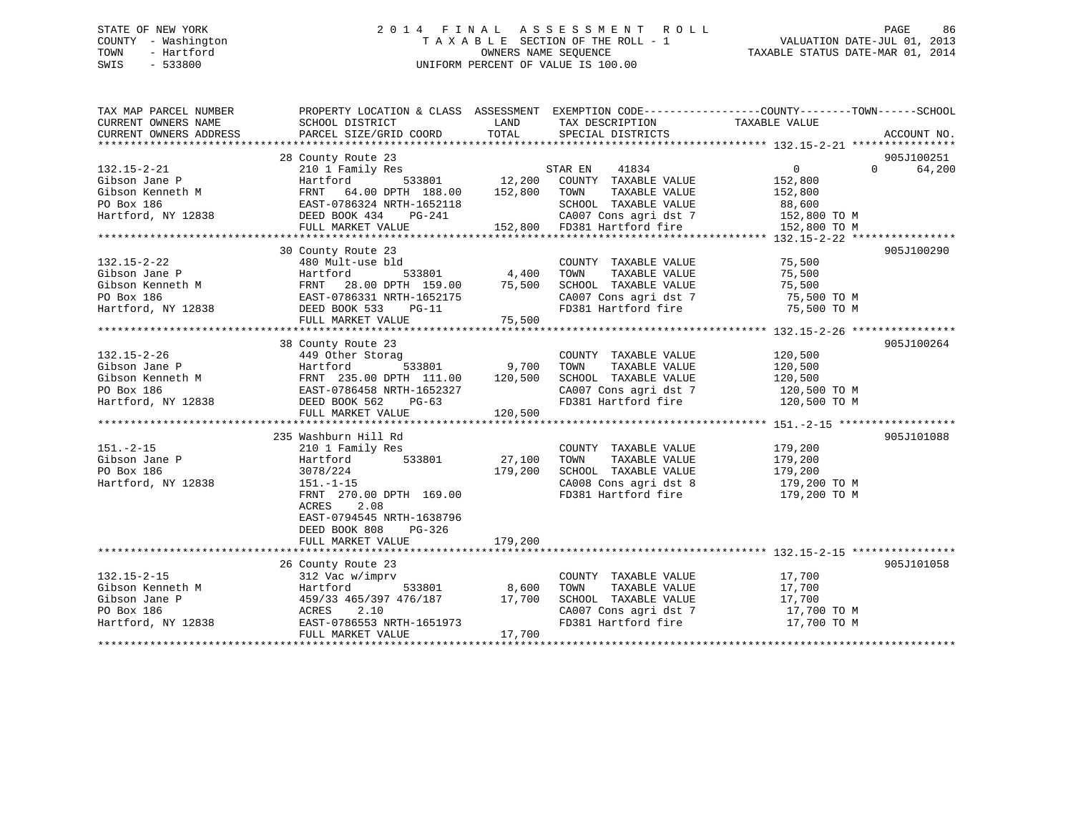## STATE OF NEW YORK 2 0 1 4 F I N A L A S S E S S M E N T R O L L PAGE 86 COUNTY - Washington T A X A B L E SECTION OF THE ROLL - 1 VALUATION DATE-JUL 01, 2013 TOWN - Hartford OWNERS NAME SEQUENCE TAXABLE STATUS DATE-MAR 01, 2014 SWIS - 533800 UNIFORM PERCENT OF VALUE IS 100.00

| TAX MAP PARCEL NUMBER                                                                                                                                                                                                                                         | PROPERTY LOCATION & CLASS ASSESSMENT EXEMPTION CODE---------------COUNTY-------TOWN------SCHOOL |                                                               |                                                                    |                      |                    |
|---------------------------------------------------------------------------------------------------------------------------------------------------------------------------------------------------------------------------------------------------------------|-------------------------------------------------------------------------------------------------|---------------------------------------------------------------|--------------------------------------------------------------------|----------------------|--------------------|
| CURRENT OWNERS NAME                                                                                                                                                                                                                                           | SCHOOL DISTRICT                                                                                 | <b>LAND</b><br>TOTAL                                          | TAX DESCRIPTION                                                    | TAXABLE VALUE        |                    |
| CURRENT OWNERS ADDRESS                                                                                                                                                                                                                                        | PARCEL SIZE/GRID COORD                                                                          |                                                               | SPECIAL DISTRICTS                                                  |                      | ACCOUNT NO.        |
|                                                                                                                                                                                                                                                               | 28 County Route 23                                                                              |                                                               |                                                                    |                      | 905J100251         |
| $132.15 - 2 - 21$                                                                                                                                                                                                                                             | 210 1 Family Res                                                                                | $\begin{array}{ccc} 5 & & S \\ 533801 & & 12,200 \end{array}$ | STAR EN<br>41834                                                   | $0 \qquad \qquad$    | 64,200<br>$\Omega$ |
|                                                                                                                                                                                                                                                               |                                                                                                 |                                                               | COUNTY TAXABLE VALUE                                               | 152,800              |                    |
|                                                                                                                                                                                                                                                               |                                                                                                 |                                                               | TOWN<br>TAXABLE VALUE                                              | 152,800              |                    |
|                                                                                                                                                                                                                                                               |                                                                                                 |                                                               | SCHOOL TAXABLE VALUE                                               | 88,600               |                    |
| Cibson Jane P<br>Hartford 533801 12,200<br>Gibson Kenneth M<br>PO Box 186<br>Hartford, NY 12838<br>Hartford, NY 12838<br>DEED BOOK 434<br>DEED BOOK 434<br>PC-241                                                                                             |                                                                                                 |                                                               | CA007 Cons agri dst 7 152,800 TO M                                 |                      |                    |
|                                                                                                                                                                                                                                                               | FULL MARKET VALUE                                                                               |                                                               | 152,800 FD381 Hartford fire                                        | 152,800 TO M         |                    |
|                                                                                                                                                                                                                                                               |                                                                                                 |                                                               |                                                                    |                      |                    |
|                                                                                                                                                                                                                                                               | 30 County Route 23                                                                              |                                                               |                                                                    |                      | 905J100290         |
| $132.15 - 2 - 22$                                                                                                                                                                                                                                             | 480 Mult-use bld                                                                                |                                                               | COUNTY TAXABLE VALUE 75,500                                        |                      |                    |
|                                                                                                                                                                                                                                                               |                                                                                                 |                                                               | TOWN                                                               | TAXABLE VALUE 75,500 |                    |
| 122.13-2-22<br>Gibson Jane P (1990)<br>Gibson Kenneth M FRNT 28.00 DPTH 159.00 75,500<br>PO Box 186 EAST-0786331 NRTH-1652175<br>Hartford, NY 12838 DEED BOOK 533 PG-11                                                                                       |                                                                                                 |                                                               |                                                                    |                      |                    |
|                                                                                                                                                                                                                                                               |                                                                                                 |                                                               | SCHOOL TAXABLE VALUE 75,500<br>CA007 Cons agri dst 7 75,500 TO M   |                      |                    |
|                                                                                                                                                                                                                                                               |                                                                                                 |                                                               | FD381 Hartford fire 75,500 TO M                                    |                      |                    |
|                                                                                                                                                                                                                                                               | FULL MARKET VALUE                                                                               | 75,500                                                        |                                                                    |                      |                    |
|                                                                                                                                                                                                                                                               |                                                                                                 |                                                               |                                                                    |                      |                    |
|                                                                                                                                                                                                                                                               | 38 County Route 23                                                                              |                                                               |                                                                    |                      | 905J100264         |
| $132.15 - 2 - 26$                                                                                                                                                                                                                                             | 449 Other Storag                                                                                |                                                               | COUNTY TAXABLE VALUE                                               | 120,500              |                    |
|                                                                                                                                                                                                                                                               |                                                                                                 |                                                               | TOWN<br>TAXABLE VALUE                                              | 120,500              |                    |
| 132.15-2-26<br>Gibson Jane P<br>Gibson Kenneth M<br>PO Box 186<br>Hartford, NY 12838<br>Hartford, NY 12838<br>PO BOX 562<br>PO BOX 186<br>PO BOX 186<br>PO BOX 186<br>PO BOX 186<br>PO BOX 186<br>PO BOX 186<br>PO BOX 186<br>PO BOX 562<br>PO-63<br>PULL MAR |                                                                                                 |                                                               | SCHOOL TAXABLE VALUE                                               | 120,500              |                    |
|                                                                                                                                                                                                                                                               |                                                                                                 |                                                               | SCHOOL TAXABLE VALUE 120,500<br>CA007 Cons agri dst 7 120,500 TO M |                      |                    |
|                                                                                                                                                                                                                                                               |                                                                                                 |                                                               | FD381 Hartford fire 120,500 TO M                                   |                      |                    |
|                                                                                                                                                                                                                                                               |                                                                                                 |                                                               |                                                                    |                      |                    |
|                                                                                                                                                                                                                                                               |                                                                                                 |                                                               |                                                                    |                      |                    |
|                                                                                                                                                                                                                                                               | 235 Washburn Hill Rd                                                                            |                                                               |                                                                    |                      | 905J101088         |
| $151. - 2 - 15$                                                                                                                                                                                                                                               | 210 1 Family Res                                                                                |                                                               | COUNTY TAXABLE VALUE 179,200                                       |                      |                    |
| Gibson Jane P                                                                                                                                                                                                                                                 | 533801 27,100<br>Hartford                                                                       |                                                               | TOWN<br>TAXABLE VALUE                                              | 179,200              |                    |
| PO Box 186                                                                                                                                                                                                                                                    | 3078/224                                                                                        | 179,200                                                       | SCHOOL TAXABLE VALUE                                               | 179,200              |                    |
| Hartford, NY 12838                                                                                                                                                                                                                                            | $151.-1-15$                                                                                     |                                                               | CA008 Cons agri dst 8 179,200 TO M                                 |                      |                    |
|                                                                                                                                                                                                                                                               | FRNT 270.00 DPTH 169.00                                                                         |                                                               | FD381 Hartford fire                                                | 179,200 TO M         |                    |
|                                                                                                                                                                                                                                                               | 2.08<br>ACRES                                                                                   |                                                               |                                                                    |                      |                    |
|                                                                                                                                                                                                                                                               | EAST-0794545 NRTH-1638796                                                                       |                                                               |                                                                    |                      |                    |
|                                                                                                                                                                                                                                                               | DEED BOOK 808<br>PG-326                                                                         |                                                               |                                                                    |                      |                    |
|                                                                                                                                                                                                                                                               | FULL MARKET VALUE                                                                               | 179,200                                                       |                                                                    |                      |                    |
|                                                                                                                                                                                                                                                               |                                                                                                 |                                                               |                                                                    |                      |                    |
|                                                                                                                                                                                                                                                               | 26 County Route 23                                                                              |                                                               |                                                                    |                      | 905J101058         |
| $132.15 - 2 - 15$                                                                                                                                                                                                                                             | 312 Vac w/imprv                                                                                 |                                                               | COUNTY TAXABLE VALUE                                               | 17,700<br>17,700     |                    |
| Gibson Kenneth M                                                                                                                                                                                                                                              | 533801<br>Hartford                                                                              | 8,600                                                         | TAXABLE VALUE<br>TOWN                                              |                      |                    |
|                                                                                                                                                                                                                                                               |                                                                                                 |                                                               | SCHOOL TAXABLE VALUE                                               | 17,700               |                    |
| CHERO CONSUMING THE P<br>The P<br>PO Box 186<br>Hartford, NY 12838<br>Hartford, NY 12838<br>EAST-0786553 NRTH-1651973                                                                                                                                         |                                                                                                 |                                                               | CA007 Cons agri dst 7                                              | 17,700 TO M          |                    |
|                                                                                                                                                                                                                                                               |                                                                                                 |                                                               |                                                                    | 17,700 TO M          |                    |
|                                                                                                                                                                                                                                                               | FULL MARKET VALUE                                                                               | 17,700                                                        |                                                                    |                      |                    |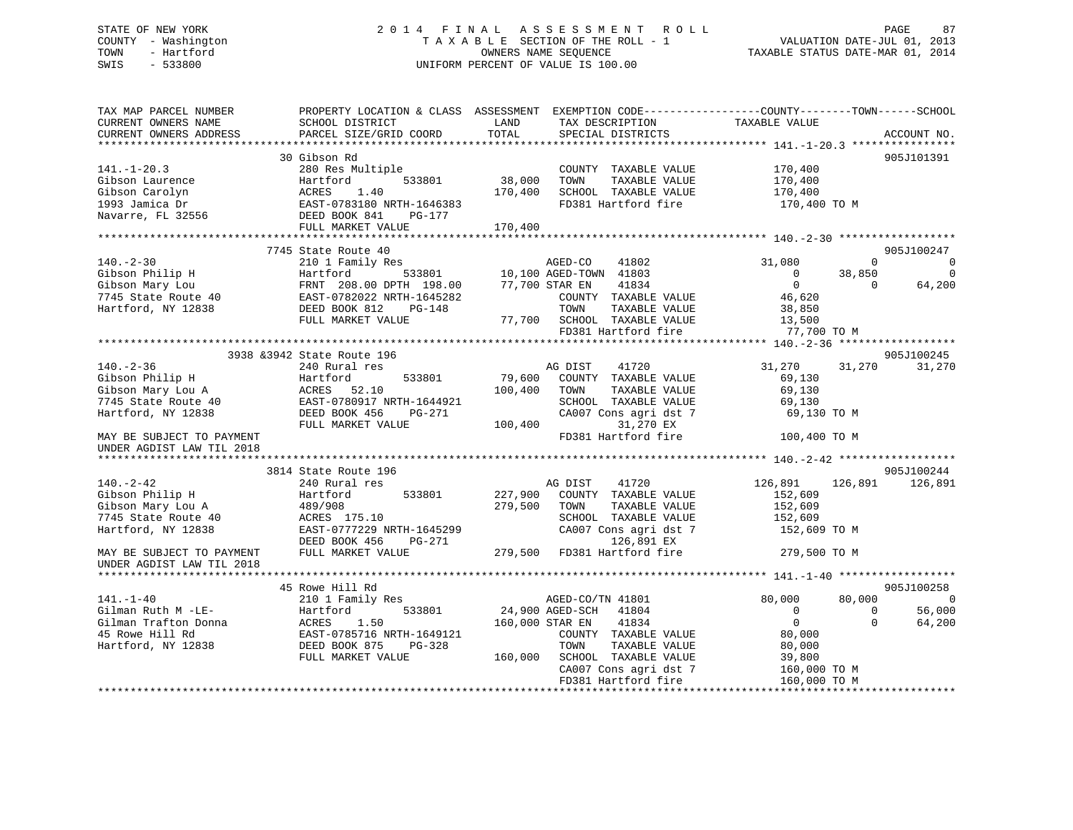## STATE OF NEW YORK 2 0 1 4 F I N A L A S S E S S M E N T R O L L PAGE 87 COUNTY - Washington T A X A B L E SECTION OF THE ROLL - 1 VALUATION DATE-JUL 01, 2013 TOWN - Hartford OWNERS NAME SEQUENCE TAXABLE STATUS DATE-MAR 01, 2014 SWIS - 533800 UNIFORM PERCENT OF VALUE IS 100.00

| TAX MAP PARCEL NUMBER<br>CURRENT OWNERS NAME<br>CURRENT OWNERS ADDRESS | SCHOOL DISTRICT<br>PARCEL SIZE/GRID COORD    | LAND<br>TOTAL             | TAX DESCRIPTION<br>SPECIAL DISTRICTS        | PROPERTY LOCATION & CLASS ASSESSMENT EXEMPTION CODE---------------COUNTY-------TOWN------SCHOOL<br>TAXABLE VALUE | ACCOUNT NO. |
|------------------------------------------------------------------------|----------------------------------------------|---------------------------|---------------------------------------------|------------------------------------------------------------------------------------------------------------------|-------------|
|                                                                        |                                              |                           |                                             |                                                                                                                  |             |
|                                                                        | 30 Gibson Rd                                 |                           |                                             |                                                                                                                  | 905J101391  |
| $141. - 1 - 20.3$                                                      | 280 Res Multiple                             |                           | COUNTY TAXABLE VALUE                        | 170,400                                                                                                          |             |
| Gibson Laurence                                                        | Hartford<br>533801                           | 38,000                    | TAXABLE VALUE<br>TOWN                       | 170,400                                                                                                          |             |
| Gibson Carolyn                                                         | 1.40<br>ACRES                                | 170,400                   | SCHOOL TAXABLE VALUE                        | 170,400                                                                                                          |             |
| 1993 Jamica Dr                                                         | EAST-0783180 NRTH-1646383                    |                           | FD381 Hartford fire                         | 170,400 TO M                                                                                                     |             |
| Navarre, FL 32556                                                      | DEED BOOK 841<br>PG-177                      |                           |                                             |                                                                                                                  |             |
|                                                                        | FULL MARKET VALUE                            | 170,400                   |                                             |                                                                                                                  |             |
|                                                                        | ******************************               | * * * * * * * * * * * * * |                                             |                                                                                                                  |             |
|                                                                        | 7745 State Route 40                          |                           |                                             |                                                                                                                  | 905J100247  |
| $140. - 2 - 30$                                                        | 210 1 Family Res                             |                           | AGED-CO<br>41802                            | 31,080<br>$\Omega$                                                                                               | $\mathbf 0$ |
| Gibson Philip H                                                        | 533801<br>Hartford                           |                           | 10,100 AGED-TOWN 41803                      | $\mathbf{0}$<br>38,850                                                                                           | $\Omega$    |
| Gibson Mary Lou                                                        | FRNT 208.00 DPTH 198.00                      |                           | 77,700 STAR EN<br>41834                     | $\overline{0}$<br>$\Omega$                                                                                       | 64,200      |
| 7745 State Route 40                                                    | EAST-0782022 NRTH-1645282                    |                           | COUNTY TAXABLE VALUE                        | 46,620                                                                                                           |             |
| Hartford, NY 12838                                                     | DEED BOOK 812<br>$PG-148$                    |                           | TOWN<br>TAXABLE VALUE                       | 38,850                                                                                                           |             |
|                                                                        | FULL MARKET VALUE                            | 77,700                    | SCHOOL TAXABLE VALUE<br>FD381 Hartford fire | 13,500                                                                                                           |             |
|                                                                        |                                              |                           |                                             | 77,700 TO M                                                                                                      |             |
|                                                                        | 3938 & 3942 State Route 196                  |                           |                                             |                                                                                                                  | 905J100245  |
| $140. - 2 - 36$                                                        | 240 Rural res                                |                           | AG DIST<br>41720                            | 31,270<br>31,270                                                                                                 | 31,270      |
| Gibson Philip H                                                        | Hartford<br>533801                           | 79,600                    | COUNTY TAXABLE VALUE                        | 69,130                                                                                                           |             |
| Gibson Mary Lou A                                                      | ACRES<br>52.10                               | 100,400                   | TOWN<br>TAXABLE VALUE                       | 69,130                                                                                                           |             |
| 7745 State Route 40                                                    | EAST-0780917 NRTH-1644921                    |                           | SCHOOL TAXABLE VALUE                        | 69,130                                                                                                           |             |
| Hartford, NY 12838                                                     | DEED BOOK 456<br>$PG-271$                    |                           | CA007 Cons agri dst 7                       | 69,130 TO M                                                                                                      |             |
|                                                                        | FULL MARKET VALUE                            | 100,400                   | 31,270 EX                                   |                                                                                                                  |             |
| MAY BE SUBJECT TO PAYMENT                                              |                                              |                           | FD381 Hartford fire                         | 100,400 TO M                                                                                                     |             |
| UNDER AGDIST LAW TIL 2018                                              |                                              |                           |                                             |                                                                                                                  |             |
|                                                                        |                                              |                           |                                             |                                                                                                                  |             |
|                                                                        | 3814 State Route 196                         |                           |                                             |                                                                                                                  | 905J100244  |
| $140. - 2 - 42$                                                        | 240 Rural res                                |                           | AG DIST<br>41720                            | 126,891<br>126,891                                                                                               | 126,891     |
| Gibson Philip H                                                        | Hartford<br>533801                           | 227,900                   | COUNTY TAXABLE VALUE                        | 152,609                                                                                                          |             |
| Gibson Mary Lou A                                                      | 489/908                                      | 279,500                   | TOWN<br>TAXABLE VALUE                       | 152,609                                                                                                          |             |
| 7745 State Route 40                                                    | ACRES 175.10                                 |                           | SCHOOL TAXABLE VALUE                        | 152,609                                                                                                          |             |
| Hartford, NY 12838                                                     | EAST-0777229 NRTH-1645299                    |                           | CA007 Cons agri dst 7                       | 152,609 TO M                                                                                                     |             |
| MAY BE SUBJECT TO PAYMENT                                              | DEED BOOK 456<br>PG-271<br>FULL MARKET VALUE | 279,500                   | 126,891 EX<br>FD381 Hartford fire           | 279,500 TO M                                                                                                     |             |
| UNDER AGDIST LAW TIL 2018                                              |                                              |                           |                                             |                                                                                                                  |             |
|                                                                        |                                              |                           |                                             |                                                                                                                  |             |
|                                                                        | 45 Rowe Hill Rd                              |                           |                                             |                                                                                                                  | 905J100258  |
| $141. - 1 - 40$                                                        | 210 1 Family Res                             |                           | AGED-CO/TN 41801                            | 80,000<br>80,000                                                                                                 | $\Omega$    |
| Gilman Ruth M -LE-                                                     | 533801<br>Hartford                           |                           | 24,900 AGED-SCH<br>41804                    | $\Omega$<br>$\Omega$                                                                                             | 56,000      |
| Gilman Trafton Donna                                                   | ACRES<br>1.50                                | 160,000 STAR EN           | 41834                                       | $\overline{0}$<br>$\Omega$                                                                                       | 64,200      |
| 45 Rowe Hill Rd                                                        | EAST-0785716 NRTH-1649121                    |                           | COUNTY TAXABLE VALUE                        | 80,000                                                                                                           |             |
| Hartford, NY 12838                                                     | DEED BOOK 875<br>PG-328                      |                           | TOWN<br>TAXABLE VALUE                       | 80,000                                                                                                           |             |
|                                                                        | FULL MARKET VALUE                            | 160,000                   | SCHOOL TAXABLE VALUE                        | 39,800                                                                                                           |             |
|                                                                        |                                              |                           | CA007 Cons agri dst 7                       | 160,000 TO M                                                                                                     |             |
|                                                                        |                                              |                           | FD381 Hartford fire                         | 160,000 TO M                                                                                                     |             |
|                                                                        |                                              |                           |                                             |                                                                                                                  |             |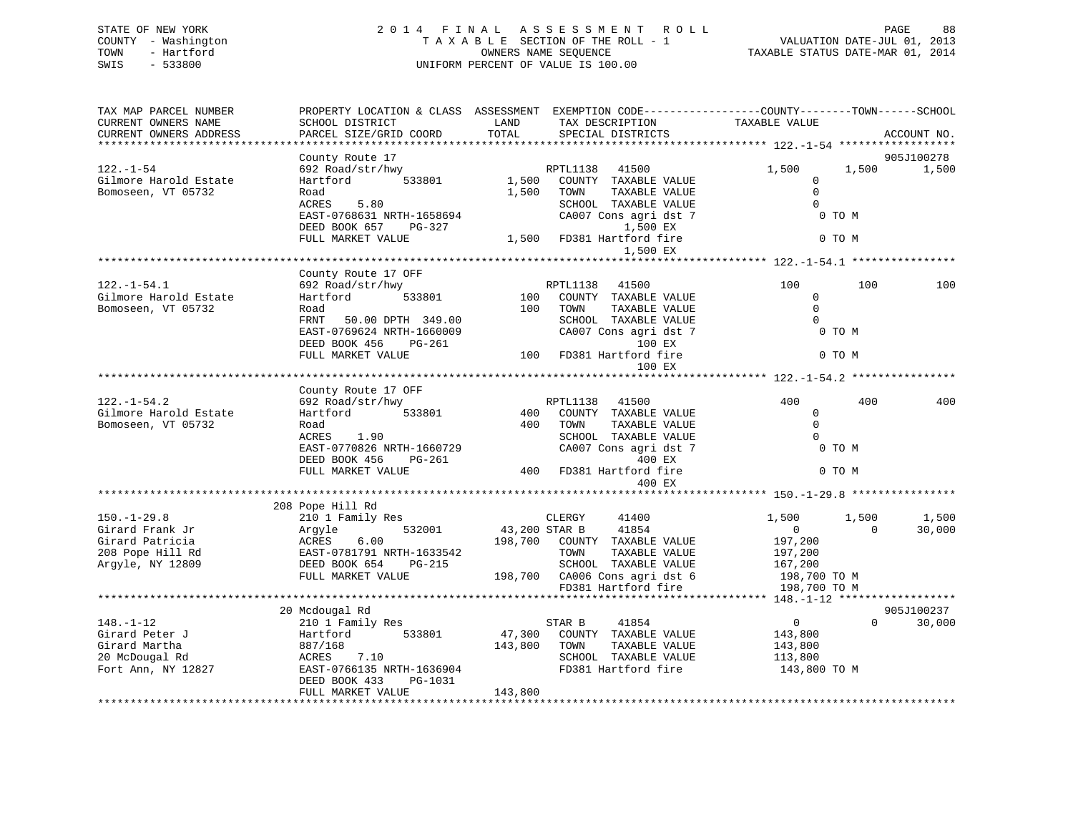## STATE OF NEW YORK 2 0 1 4 F I N A L A S S E S S M E N T R O L L PAGE 88 COUNTY - Washington T A X A B L E SECTION OF THE ROLL - 1 VALUATION DATE-JUL 01, 2013 TOWN - Hartford **TAXABLE STATUS DATE-MAR 01, 2014** OWNERS NAME SEQUENCE TAXABLE STATUS DATE-MAR 01, 2014 SWIS - 533800 UNIFORM PERCENT OF VALUE IS 100.00

| TAX MAP PARCEL NUMBER<br>CURRENT OWNERS NAME | PROPERTY LOCATION & CLASS ASSESSMENT EXEMPTION CODE----------------COUNTY-------TOWN------SCHOOL<br>SCHOOL DISTRICT | LAND          | TAX DESCRIPTION                                   | TAXABLE VALUE      |          |             |
|----------------------------------------------|---------------------------------------------------------------------------------------------------------------------|---------------|---------------------------------------------------|--------------------|----------|-------------|
| CURRENT OWNERS ADDRESS                       | PARCEL SIZE/GRID COORD                                                                                              | TOTAL         | SPECIAL DISTRICTS                                 |                    |          | ACCOUNT NO. |
|                                              |                                                                                                                     |               |                                                   |                    |          |             |
|                                              | County Route 17                                                                                                     |               |                                                   |                    |          | 905J100278  |
| $122. - 1 - 54$                              | 692 Road/str/hwy                                                                                                    |               | RPTL1138 41500                                    | 1,500              | 1,500    | 1,500       |
| Gilmore Harold Estate                        | Hartford<br>533801                                                                                                  | 1,500         | COUNTY TAXABLE VALUE                              | $\mathbf{0}$       |          |             |
| Bomoseen, VT 05732                           | Road                                                                                                                | 1,500         | TOWN<br>TAXABLE VALUE                             | $\Omega$           |          |             |
|                                              | 5.80<br>ACRES                                                                                                       |               | SCHOOL TAXABLE VALUE                              | $\Omega$           |          |             |
|                                              | EAST-0768631 NRTH-1658694                                                                                           |               | CA007 Cons agri dst 7                             | 0 TO M             |          |             |
|                                              | DEED BOOK 657 PG-327                                                                                                |               | 1,500 EX                                          |                    |          |             |
|                                              | FULL MARKET VALUE                                                                                                   |               | 1,500 FD381 Hartford fire<br>1,500 EX             |                    | 0 TO M   |             |
|                                              |                                                                                                                     |               |                                                   |                    |          |             |
|                                              | County Route 17 OFF                                                                                                 |               |                                                   |                    |          |             |
| $122. - 1 - 54.1$                            | 692 Road/str/hwy                                                                                                    |               | RPTL1138<br>41500                                 | 100                | 100      | 100         |
| Gilmore Harold Estate                        | 533801<br>Hartford                                                                                                  | 100           | COUNTY TAXABLE VALUE                              | $\mathbf{0}$       |          |             |
| Bomoseen, VT 05732                           | Road                                                                                                                | 100           | TAXABLE VALUE<br>TOWN                             | $\Omega$           |          |             |
|                                              | FRNT 50.00 DPTH 349.00                                                                                              |               | SCHOOL TAXABLE VALUE                              | $\Omega$           |          |             |
|                                              | EAST-0769624 NRTH-1660009                                                                                           |               | CA007 Cons agri dst 7                             | 0 TO M             |          |             |
|                                              | DEED BOOK 456<br>$PG-261$                                                                                           |               | 100 EX                                            |                    |          |             |
|                                              | FULL MARKET VALUE                                                                                                   |               | 100 FD381 Hartford fire                           |                    | 0 TO M   |             |
|                                              |                                                                                                                     |               | 100 EX                                            |                    |          |             |
|                                              |                                                                                                                     |               |                                                   |                    |          |             |
|                                              | County Route 17 OFF                                                                                                 |               |                                                   |                    |          |             |
| $122. - 1 - 54.2$                            | 692 Road/str/hwy                                                                                                    |               | RPTL1138 41500                                    | 400                | 400      | 400         |
| Gilmore Harold Estate                        | 533801<br>Hartford                                                                                                  | 400           | COUNTY TAXABLE VALUE                              | $\overline{0}$     |          |             |
| Bomoseen, VT 05732                           | Road                                                                                                                | 400           | TOWN<br>TAXABLE VALUE                             | $\overline{0}$     |          |             |
|                                              | ACRES 1.90                                                                                                          |               | SCHOOL TAXABLE VALUE                              | $\Omega$           |          |             |
|                                              | EAST-0770826 NRTH-1660729                                                                                           |               | CA007 Cons agri dst 7                             | 0 TO M             |          |             |
|                                              | DEED BOOK 456                                                                                                       |               |                                                   |                    |          |             |
|                                              | FULL MARKET VALUE                                                                                                   |               | $PG-261$<br>E $400$ FD381 Hartford fire<br>A00 FV |                    | 0 TO M   |             |
|                                              |                                                                                                                     |               | 400 EX                                            |                    |          |             |
|                                              |                                                                                                                     |               |                                                   |                    |          |             |
|                                              | 208 Pope Hill Rd                                                                                                    |               |                                                   |                    |          |             |
| $150. - 1 - 29.8$                            | 210 1 Family Res                                                                                                    |               | CLERGY<br>41400                                   | 1,500              | 1,500    | 1,500       |
| Girard Frank Jr                              | 532001<br>Argyle                                                                                                    | 43,200 STAR B | 41854                                             | $\overline{0}$     | $\Omega$ | 30,000      |
| Girard Patricia                              | ACRES 6.00<br>EAST-0781791 NRTH-1633542                                                                             |               | 198,700 COUNTY TAXABLE VALUE                      | 197,200            |          |             |
| 208 Pope Hill Rd                             |                                                                                                                     |               | TOWN<br>TAXABLE VALUE                             | 197,200            |          |             |
| Argyle, NY 12809                             | DEED BOOK 654<br>PG-215                                                                                             |               | SCHOOL TAXABLE VALUE                              | 167,200            |          |             |
|                                              | FULL MARKET VALUE                                                                                                   |               | 198,700 CA006 Cons agri dst 6                     | 198,700 TO M       |          |             |
|                                              |                                                                                                                     |               | FD381 Hartford fire                               | 198,700 TO M       |          |             |
|                                              |                                                                                                                     |               |                                                   |                    |          | 905J100237  |
| $148. - 1 - 12$                              | 20 Mcdougal Rd<br>210 1 Family Res                                                                                  |               | 41854<br>STAR B                                   | $\overline{0}$     | $\Omega$ | 30,000      |
| Girard Peter J                               | Hartford 533801                                                                                                     | 47,300        | COUNTY TAXABLE VALUE                              | 143,800            |          |             |
| Girard Martha                                |                                                                                                                     |               |                                                   |                    |          |             |
| 20 McDougal Rd                               | 887/168<br>ACRES 7.10                                                                                               | 143,800       | TOWN<br>TAXABLE VALUE<br>SCHOOL TAXABLE VALUE     | 143,800<br>113,800 |          |             |
| Fort Ann, NY 12827                           | EAST-0766135 NRTH-1636904                                                                                           |               | FD381 Hartford fire                               | 143,800 TO M       |          |             |
|                                              | DEED BOOK 433<br>PG-1031                                                                                            |               |                                                   |                    |          |             |
|                                              | FULL MARKET VALUE                                                                                                   | 143,800       |                                                   |                    |          |             |
|                                              |                                                                                                                     |               |                                                   |                    |          |             |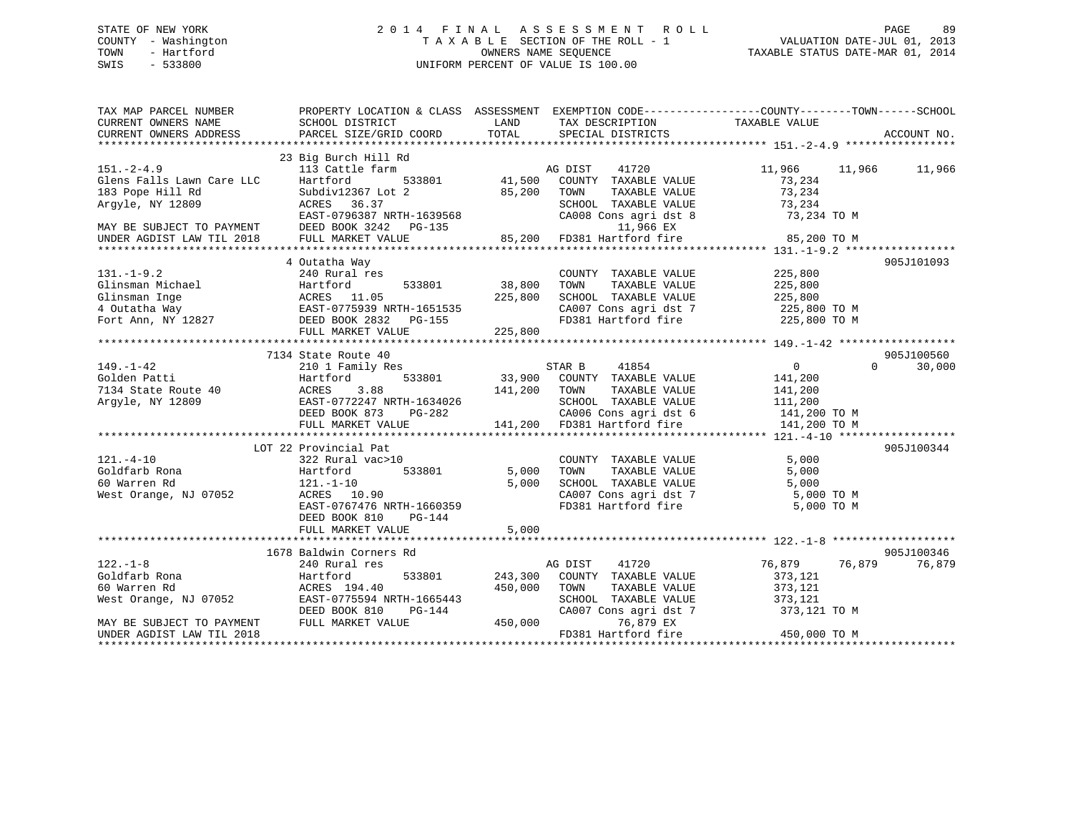## STATE OF NEW YORK 2 0 1 4 F I N A L A S S E S S M E N T R O L L PAGE 89 COUNTY - Washington T A X A B L E SECTION OF THE ROLL - 1 VALUATION DATE-JUL 01, 2013 TOWN - Hartford **TAXABLE STATUS DATE-MAR 01, 2014** OWNERS NAME SEQUENCE TAXABLE STATUS DATE-MAR 01, 2014 SWIS - 533800 UNIFORM PERCENT OF VALUE IS 100.00

| TAX MAP PARCEL NUMBER<br>CURRENT OWNERS NAME  | PROPERTY LOCATION & CLASS ASSESSMENT EXEMPTION CODE---------------COUNTY-------TOWN------SCHOOL<br>SCHOOL DISTRICT | LAND<br>TOTAL  | TAX DESCRIPTION TAXABLE VALUE                            |                            |             |
|-----------------------------------------------|--------------------------------------------------------------------------------------------------------------------|----------------|----------------------------------------------------------|----------------------------|-------------|
| CURRENT OWNERS ADDRESS                        | PARCEL SIZE/GRID COORD                                                                                             |                | SPECIAL DISTRICTS                                        |                            | ACCOUNT NO. |
|                                               | 23 Big Burch Hill Rd                                                                                               |                |                                                          |                            |             |
| $151. - 2 - 4.9$<br>Glens Falls Lawn Care LLC | 113 Cattle farm<br>Hartford<br>533801                                                                              | 41,500         | AG DIST<br>41720<br>COUNTY TAXABLE VALUE                 | 11,966 11,966<br>73,234    | 11,966      |
| 183 Pope Hill Rd                              | Subdiv12367 Lot 2                                                                                                  | 85,200         | TOWN<br>TAXABLE VALUE                                    | 73,234                     |             |
| Argyle, NY 12809                              | ACRES 36.37                                                                                                        |                | SCHOOL TAXABLE VALUE                                     | 73,234                     |             |
|                                               | EAST-0796387 NRTH-1639568                                                                                          |                | CA008 Cons agri dst 8                                    | 73,234 TO M                |             |
| MAY BE SUBJECT TO PAYMENT                     | DEED BOOK 3242 PG-135                                                                                              |                | 11,966 EX                                                |                            |             |
| UNDER AGDIST LAW TIL 2018                     | FULL MARKET VALUE                                                                                                  |                | AL1,900 EA<br>85,200 FD381 Hartford fire                 | 85,200 TO M                |             |
|                                               |                                                                                                                    |                |                                                          |                            |             |
|                                               | 4 Outatha Way                                                                                                      |                |                                                          |                            | 905J101093  |
| $131. - 1 - 9.2$                              | 240 Rural res                                                                                                      |                | COUNTY TAXABLE VALUE                                     | 225,800                    |             |
|                                               |                                                                                                                    | 533801 38,800  | TAXABLE VALUE<br>TOWN                                    | 225,800                    |             |
|                                               |                                                                                                                    | 225,800        | SCHOOL TAXABLE VALUE                                     | 225,800                    |             |
|                                               |                                                                                                                    |                | CA007 Cons agri dst 7                                    | 225,800 TO M               |             |
| Fort Ann, NY 12827                            | DEED BOOK 2832 PG-155                                                                                              |                | FD381 Hartford fire                                      | 225,800 TO M               |             |
|                                               | FULL MARKET VALUE                                                                                                  | 225,800        |                                                          |                            |             |
|                                               |                                                                                                                    |                |                                                          |                            |             |
|                                               | 7134 State Route 40                                                                                                |                |                                                          |                            | 905J100560  |
| $149. - 1 - 42$                               | 210 1 Family Res                                                                                                   |                | 41854<br>STAR B                                          | $\overline{0}$<br>$\Omega$ | 30,000      |
| Golden Patti                                  | 533801<br>Hartford                                                                                                 |                | 33,900 COUNTY TAXABLE VALUE                              | 141,200                    |             |
| 7134 State Route 40                           | ACRES<br>3.88                                                                                                      | 141,200 TOWN   | TAXABLE VALUE                                            | 141,200                    |             |
| Argyle, NY 12809                              | EAST-0772247 NRTH-1634026                                                                                          |                | SCHOOL TAXABLE VALUE                                     | 111,200                    |             |
|                                               | DEED BOOK 873<br>PG-282                                                                                            |                |                                                          | 141,200 TO M               |             |
|                                               | FULL MARKET VALUE                                                                                                  |                | 282 CA006 Cons agri dst 6<br>141,200 FD381 Hartford fire | 141,200 TO M               |             |
|                                               |                                                                                                                    |                |                                                          |                            |             |
|                                               | LOT 22 Provincial Pat                                                                                              |                |                                                          |                            | 905J100344  |
| $121. - 4 - 10$                               | 322 Rural vac>10                                                                                                   |                | COUNTY TAXABLE VALUE                                     | 5,000                      |             |
| Goldfarb Rona                                 | 533801<br>Hartford                                                                                                 | 5,000          | TAXABLE VALUE<br>TOWN                                    | 5,000                      |             |
| 60 Warren Rd                                  | $121. - 1 - 10$                                                                                                    | 5,000          | SCHOOL TAXABLE VALUE                                     | 5,000                      |             |
| West Orange, NJ 07052                         | ACRES 10.90                                                                                                        |                | CA007 Cons agri dst 7                                    | 5,000 TO M                 |             |
|                                               | EAST-0767476 NRTH-1660359                                                                                          |                | FD381 Hartford fire                                      | 5,000 TO M                 |             |
|                                               | DEED BOOK 810<br>PG-144                                                                                            |                |                                                          |                            |             |
|                                               | FULL MARKET VALUE                                                                                                  | 5,000          |                                                          |                            |             |
|                                               |                                                                                                                    |                |                                                          |                            |             |
|                                               | 1678 Baldwin Corners Rd                                                                                            |                |                                                          |                            | 905J100346  |
| $122. - 1 - 8$                                | 240 Rural res                                                                                                      |                | AG DIST<br>41720                                         | 76,879<br>76,879           | 76,879      |
| Goldfarb Rona                                 | Hartford                                                                                                           | 533801 243,300 | COUNTY TAXABLE VALUE                                     | 373,121                    |             |
| 60 Warren Rd                                  | ACRES 194.40                                                                                                       | 450,000        | TOWN<br>TAXABLE VALUE                                    | 373,121                    |             |
| West Orange, NJ 07052                         | EAST-0775594 NRTH-1665443                                                                                          |                | SCHOOL TAXABLE VALUE                                     | 373,121                    |             |
|                                               | DEED BOOK 810<br>PG-144                                                                                            |                | CA007 Cons agri dst 7                                    | 373,121 TO M               |             |
| MAY BE SUBJECT TO PAYMENT                     | FULL MARKET VALUE                                                                                                  | 450,000        | 76,879 EX                                                |                            |             |
| UNDER AGDIST LAW TIL 2018                     |                                                                                                                    |                | FD381 Hartford fire                                      | 450,000 TO M               |             |
|                                               |                                                                                                                    |                |                                                          |                            |             |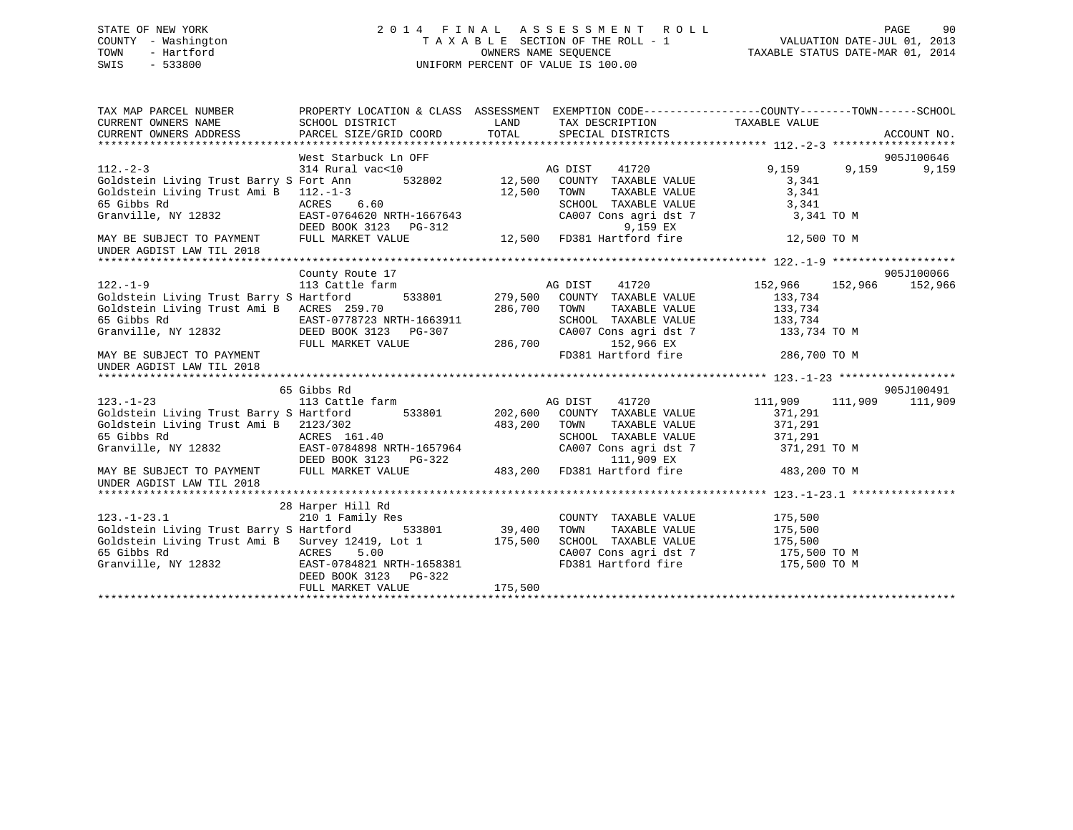## STATE OF NEW YORK 2 0 1 4 F I N A L A S S E S S M E N T R O L L PAGE 90 COUNTY - Washington T A X A B L E SECTION OF THE ROLL - 1 VALUATION DATE-JUL 01, 2013 TOWN - Hartford **TAXABLE STATUS DATE-MAR 01, 2014** OWNERS NAME SEQUENCE TAXABLE STATUS DATE-MAR 01, 2014 SWIS - 533800 UNIFORM PERCENT OF VALUE IS 100.00

| TAX MAP PARCEL NUMBER                                                                                                                                                 | PROPERTY LOCATION & CLASS ASSESSMENT                                                                                                                                                   |         |                                                           | EXEMPTION CODE-----------------COUNTY-------TOWN------SCHOOL<br>TAX DESCRIPTION TAXABLE VALUE |       |            |
|-----------------------------------------------------------------------------------------------------------------------------------------------------------------------|----------------------------------------------------------------------------------------------------------------------------------------------------------------------------------------|---------|-----------------------------------------------------------|-----------------------------------------------------------------------------------------------|-------|------------|
|                                                                                                                                                                       |                                                                                                                                                                                        |         |                                                           |                                                                                               |       |            |
|                                                                                                                                                                       | West Starbuck Ln OFF                                                                                                                                                                   |         |                                                           |                                                                                               |       | 905J100646 |
| $112. - 2 - 3$                                                                                                                                                        | 314 Rural vac<10                                                                                                                                                                       |         | AG DIST 41720                                             | 9,159                                                                                         | 9,159 | 9,159      |
|                                                                                                                                                                       |                                                                                                                                                                                        |         |                                                           | 3,341                                                                                         |       |            |
| Goldstein Living Trust Ami B 112.-1-3                                                                                                                                 |                                                                                                                                                                                        | 12,500  | TAXABLE VALUE<br>TOWN                                     | 3,341                                                                                         |       |            |
| 65 Gibbs Rd                                                                                                                                                           | ACRES 6.60                                                                                                                                                                             |         |                                                           | 3,341                                                                                         |       |            |
| Granville, NY 12832                                                                                                                                                   | EAST-0764620 NRTH-1667643<br>DEED BOOK 3123 PG-312                                                                                                                                     |         | SCHOOL TAXABLE VALUE<br>CA007 Cons agri dst 7<br>9,159 EX | 3,341 TO M                                                                                    |       |            |
| MAY BE SUBJECT TO PAYMENT<br>UNDER AGDIST LAW TIL 2018                                                                                                                | FULL MARKET VALUE                                                                                                                                                                      |         | 12,500 FD381 Hartford fire                                | 12,500 TO M                                                                                   |       |            |
|                                                                                                                                                                       |                                                                                                                                                                                        |         |                                                           |                                                                                               |       |            |
|                                                                                                                                                                       | County Route 17                                                                                                                                                                        |         |                                                           |                                                                                               |       | 905J100066 |
| $122. - 1 - 9$                                                                                                                                                        | 113 Cattle farm                                                                                                                                                                        |         | AG DIST<br>41720                                          | 152,966 152,966                                                                               |       | 152,966    |
| Goldstein Living Trust Barry S Hartford                                                                                                                               | 533801 279,500                                                                                                                                                                         |         | COUNTY TAXABLE VALUE                                      | 133,734                                                                                       |       |            |
| Goldstein Living Trust Ami B ACRES 259.70                                                                                                                             |                                                                                                                                                                                        | 286,700 | TOWN<br>TAXABLE VALUE                                     | 133,734                                                                                       |       |            |
| 65 Gibbs Rd<br>Granville, NY 12832<br>DEED BOOK 3123 PG-307                                                                                                           |                                                                                                                                                                                        |         | SCHOOL TAXABLE VALUE                                      | 133,734                                                                                       |       |            |
|                                                                                                                                                                       |                                                                                                                                                                                        |         |                                                           | CA007 Cons agri dst 7 133,734 TO M                                                            |       |            |
|                                                                                                                                                                       | FULL MARKET VALUE                                                                                                                                                                      | 286,700 | 152,966 EX                                                |                                                                                               |       |            |
| MAY BE SUBJECT TO PAYMENT<br>UNDER AGDIST LAW TIL 2018                                                                                                                |                                                                                                                                                                                        |         |                                                           | FD381 Hartford fire 286,700 TO M                                                              |       |            |
|                                                                                                                                                                       |                                                                                                                                                                                        |         |                                                           |                                                                                               |       |            |
| $123. - 1 - 23$                                                                                                                                                       | 65 Gibbs Rd<br>113 Cattle farm Manuel AG DIST 41720                                                                                                                                    |         |                                                           |                                                                                               |       | 905J100491 |
|                                                                                                                                                                       |                                                                                                                                                                                        |         | 533801 202,600 COUNTY TAXABLE VALUE                       | 111,909 111,909                                                                               |       | 111,909    |
| Goldstein Living Trust Barry S Hartford                                                                                                                               |                                                                                                                                                                                        |         |                                                           | 371,291                                                                                       |       |            |
| Goldstein Living Trust Ami B 2123/302<br>65 Gibbs Rd                                                                                                                  |                                                                                                                                                                                        | 483,200 | TOWN                                                      | 371,291<br>TAXABLE VALUE<br>371,291                                                           |       |            |
| Granville, NY 12832                                                                                                                                                   |                                                                                                                                                                                        |         |                                                           | 371,291 TO M                                                                                  |       |            |
|                                                                                                                                                                       |                                                                                                                                                                                        |         |                                                           |                                                                                               |       |            |
| MAY BE SUBJECT TO PAYMENT                                                                                                                                             |                                                                                                                                                                                        |         |                                                           | 483,200 TO M                                                                                  |       |            |
| UNDER AGDIST LAW TIL 2018                                                                                                                                             | ng Trust Aut D<br>ACRES 161.40<br>REAST-0784898 NRTH-1657964<br>DEED BOOK 3123 PG-322<br>PG-322 111,909 EX<br>PTO DAYMENT FULL MARKET VALUE<br>REAST CALUE 483,200 FD381 Hartford fire |         |                                                           |                                                                                               |       |            |
|                                                                                                                                                                       |                                                                                                                                                                                        |         |                                                           |                                                                                               |       |            |
|                                                                                                                                                                       | 28 Harper Hill Rd                                                                                                                                                                      |         |                                                           |                                                                                               |       |            |
| $123. - 1 - 23.1$                                                                                                                                                     | 210 1 Family Res                                                                                                                                                                       |         | COUNTY TAXABLE VALUE                                      | 175,500                                                                                       |       |            |
|                                                                                                                                                                       |                                                                                                                                                                                        |         |                                                           |                                                                                               |       |            |
| Goldstein Living Trust Barry S Hartford 533801 39,400<br>Goldstein Living Trust Ami B Survey 12419, Lot 1 175,500<br>Goldstein Living Trust Ami B Survey 12419, Lot 1 |                                                                                                                                                                                        |         |                                                           | TOWN TAXABLE VALUE 175,500<br>SCHOOL TAXABLE VALUE 175,500                                    |       |            |
|                                                                                                                                                                       |                                                                                                                                                                                        |         |                                                           | CA007 Cons agri dst 7 175,500 TO M                                                            |       |            |
| 65 Gibbs Rd<br>65 Gibbs Rd<br>Granville, NY 12832<br>EAST-0784821 NRTH-1658381                                                                                        | DEED BOOK 3123 PG-322                                                                                                                                                                  |         | FD381 Hartford fire                                       | 175,500 TO M                                                                                  |       |            |
|                                                                                                                                                                       | FULL MARKET VALUE                                                                                                                                                                      | 175,500 |                                                           |                                                                                               |       |            |
|                                                                                                                                                                       |                                                                                                                                                                                        |         |                                                           |                                                                                               |       |            |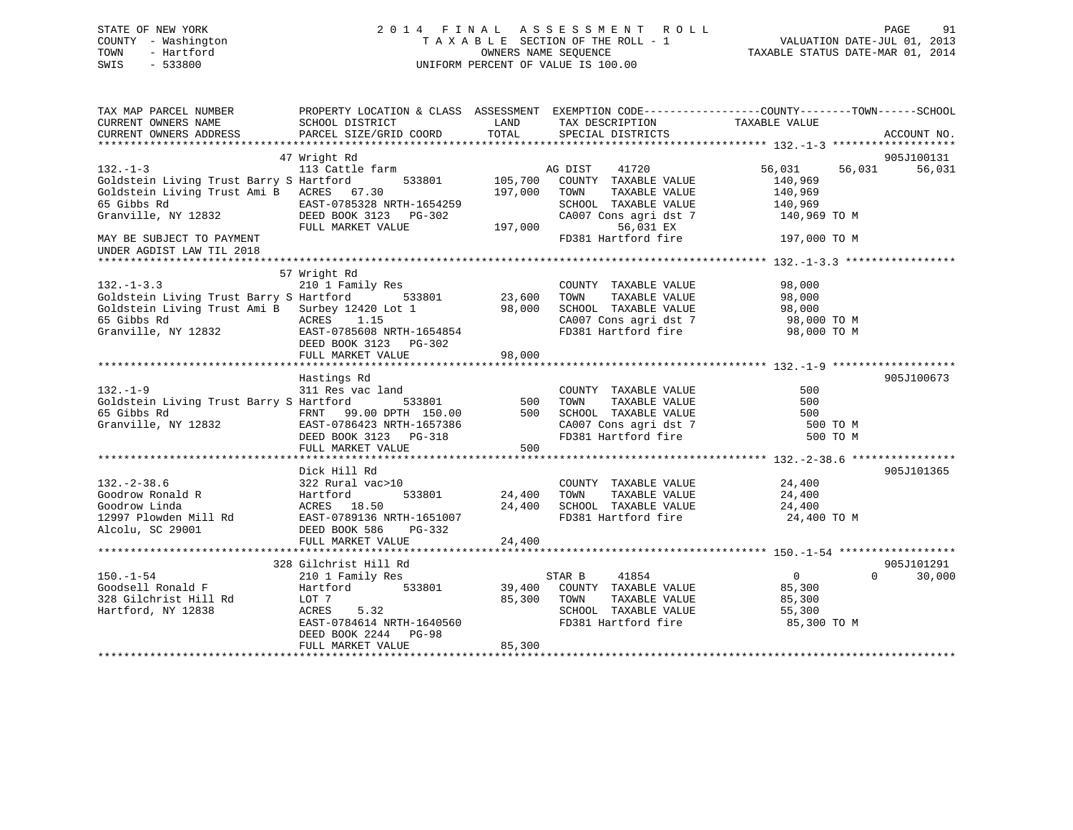## STATE OF NEW YORK 2 0 1 4 F I N A L A S S E S S M E N T R O L L PAGE 91 COUNTY - Washington T A X A B L E SECTION OF THE ROLL - 1 VALUATION DATE-JUL 01, 2013 TOWN - Hartford **TAXABLE STATUS DATE-MAR 01, 2014** OWNERS NAME SEQUENCE TAXABLE STATUS DATE-MAR 01, 2014 SWIS - 533800 UNIFORM PERCENT OF VALUE IS 100.00

| TAX MAP PARCEL NUMBER<br>CURRENT OWNERS NAME<br>CURRENT OWNERS ADDRESS                                                                                                                                                                           | PROPERTY LOCATION & CLASS ASSESSMENT EXEMPTION CODE---------------COUNTY-------TOWN------SCHOOL<br>SCHOOL DISTRICT<br>PARCEL SIZE/GRID COORD                                   | LAND<br>TOTAL      | TAX DESCRIPTION<br>SPECIAL DISTRICTS                                                                                                          | TAXABLE VALUE                                     | ACCOUNT NO.                      |
|--------------------------------------------------------------------------------------------------------------------------------------------------------------------------------------------------------------------------------------------------|--------------------------------------------------------------------------------------------------------------------------------------------------------------------------------|--------------------|-----------------------------------------------------------------------------------------------------------------------------------------------|---------------------------------------------------|----------------------------------|
| $132. -1 - 3$<br>Goldstein Living Trust Barry S Hartford 533801 105,700 COUNTY TAXABLE VALUE<br>Goldstein Living Trust Ami B ACRES 67.30<br>MAY BE SUBJECT TO PAYMENT<br>UNDER AGDIST LAW TIL 2018                                               | 47 Wright Rd<br>113 Cattle farm<br>FULL MARKET VALUE                                                                                                                           | 197,000 TOWN       | AG DIST 41720<br>TAXABLE VALUE<br>SCHOOL TAXABLE VALUE<br>CA007 Cons agri dst 7 140,969 TO M<br>56,031 EX<br>FD381 Hartford fire 197,000 TO M | 56,031 56,031<br>140,969<br>140,969<br>140,969    | 905J100131<br>56,031             |
| 132.-1-3.3 210 1 Family Res COUNTY<br>Goldstein Living Trust Barry S Hartford 533801 23,600 TOWN<br>Goldstein Living Trust Ami B Surbey 12420 Lot 1 98,000 SCHOOL<br>65 Gibbs Rd ACRES 1.15 CA007 Co                                             | 57 Wright Rd<br>DEED BOOK 3123 PG-302<br>FULL MARKET VALUE                                                                                                                     | 98,000             | COUNTY TAXABLE VALUE 98,000<br>CA007 Cons agri dst 7 98,000 TO M<br>FD381 Hartford fire 98,000 TO M                                           |                                                   |                                  |
| 132.-1-9<br>311 Res vac land<br>311 Res vac land<br>65 Gibbs Rd<br>67 Granville, NY 12832<br>67 Granville, NY 12832<br>28 Granville (State of DEED BOOK SCHOOL TAXABLE VALUE<br>28 Granville, NY 12832<br>28 GRANVILLE VALUE<br>28 DEED BOOK 312 | Hastings Rd<br>FULL MARKET VALUE                                                                                                                                               | 500                | COUNTY TAXABLE VALUE                                                                                                                          | 500<br>500<br>500<br>500 TO M<br>500 TO M         | 905J100673                       |
| $132. - 2 - 38.6$<br>Coodrow Ronald R Fartford 533801 24,400<br>Goodrow Linda Hartford 533801 24,400<br>12997 Plowden Mill Rd EAST-0789136 NRTH-1651007<br>Alcolu, SC 29001 DEED BOOK 586 PG-332                                                 | Dick Hill Rd<br>322 Rural vac>10                                                                                                                                               | 533801 24,400 TOWN | COUNTY TAXABLE VALUE 24,400<br>24,400 SCHOOL TAXABLE VALUE 24,400 PD381 Hartford fire 24,400                                                  | TAXABLE VALUE 24,400<br>24,400 TO M               | 905J101365                       |
| $150. - 1 - 54$<br>Goodsell Ronald F<br>328 Gilchrist Hill Rd<br>Hartford, NY 12838                                                                                                                                                              | 328 Gilchrist Hill Rd<br>210 1 Family Res<br>533801<br>Hartford<br>LOT 7<br>ACRES 5.32<br>ACRES 5.32<br>EAST-0784614 NRTH-1640560<br>DEED BOOK 2244 PG-98<br>FULL MARKET VALUE | 85,300<br>85,300   | 41854<br>STAR B<br>39,400 COUNTY TAXABLE VALUE<br>TAXABLE VALUE<br>TOWN<br>SCHOOL TAXABLE VALUE 55,300<br>FD381 Hartford fire                 | $\overline{0}$<br>85,300<br>85,300<br>85,300 TO M | 905J101291<br>$\Omega$<br>30,000 |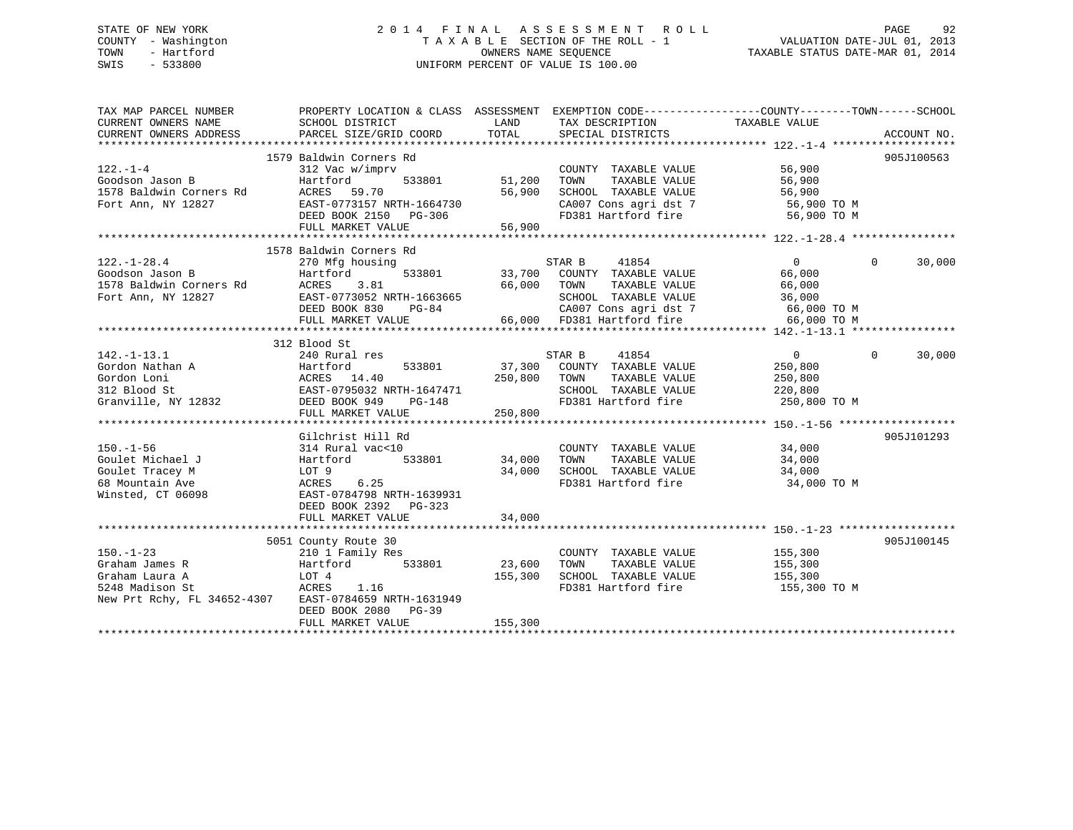## STATE OF NEW YORK 2 0 1 4 F I N A L A S S E S S M E N T R O L L PAGE 92 COUNTY - Washington T A X A B L E SECTION OF THE ROLL - 1 VALUATION DATE-JUL 01, 2013 TOWN - Hartford **TAXABLE STATUS DATE-MAR 01, 2014** OWNERS NAME SEQUENCE TAXABLE STATUS DATE-MAR 01, 2014 SWIS - 533800 UNIFORM PERCENT OF VALUE IS 100.00

| TAX MAP PARCEL NUMBER<br>CURRENT OWNERS NAME<br>CURRENT OWNERS ADDRESS | PROPERTY LOCATION & CLASS ASSESSMENT EXEMPTION CODE---------------COUNTY-------TOWN-----SCHOOL<br>SCHOOL DISTRICT<br>PARCEL SIZE/GRID COORD | LAND<br>TOTAL | TAX DESCRIPTION<br>SPECIAL DISTRICTS                                                                                                          | TAXABLE VALUE                                | ACCOUNT NO.        |
|------------------------------------------------------------------------|---------------------------------------------------------------------------------------------------------------------------------------------|---------------|-----------------------------------------------------------------------------------------------------------------------------------------------|----------------------------------------------|--------------------|
|                                                                        |                                                                                                                                             |               |                                                                                                                                               |                                              |                    |
|                                                                        | 1579 Baldwin Corners Rd                                                                                                                     |               |                                                                                                                                               |                                              | 905J100563         |
| $122. - 1 - 4$                                                         | 312 Vac w/imprv                                                                                                                             |               | COUNTY TAXABLE VALUE                                                                                                                          | 56,900                                       |                    |
| Goodson Jason B                                                        | 533801                                                                                                                                      | 51,200        |                                                                                                                                               | 56,900                                       |                    |
| 1578 Baldwin Corners Rd                                                |                                                                                                                                             | 56,900        | TOWN        TAXABLE   VALUE<br>SCHOOL     TAXABLE   VALUE                                                                                     | 56,900                                       |                    |
| Fort Ann, NY 12827                                                     | EAST-0773157 NRTH-1664730                                                                                                                   |               | CA007 Cons agri dst 7 56,900 TO M                                                                                                             |                                              |                    |
|                                                                        | DEED BOOK 2150 PG-306                                                                                                                       |               | FD381 Hartford fire                                                                                                                           | 56,900 TO M                                  |                    |
|                                                                        | FULL MARKET VALUE                                                                                                                           | 56,900        |                                                                                                                                               |                                              |                    |
|                                                                        |                                                                                                                                             |               |                                                                                                                                               |                                              |                    |
|                                                                        | 1578 Baldwin Corners Rd                                                                                                                     |               |                                                                                                                                               |                                              |                    |
| $122. - 1 - 28.4$                                                      | 270 Mfg housing                                                                                                                             |               | 41854<br>STAR B                                                                                                                               | $\overline{0}$                               | $\Omega$<br>30,000 |
|                                                                        | 533801<br>Hartford                                                                                                                          |               | 33,700 COUNTY TAXABLE VALUE<br>66,000 TOWN TAXABLE VALUE                                                                                      | 66,000                                       |                    |
|                                                                        | 3.81                                                                                                                                        |               |                                                                                                                                               | 66,000                                       |                    |
| Fort Ann, NY 12827                                                     | EAST-0773052 NRTH-1663665<br>DEED BOOK 830 PG-84                                                                                            |               |                                                                                                                                               |                                              |                    |
|                                                                        |                                                                                                                                             |               | SCHOOL TAXABLE VALUE<br>CANOT Cons agri dst 7 (66,000 TO M)<br>84 CA007 Cons agri dst 7 66,000 TO M<br>66,000 FD381 Hartford fire 66,000 TO M |                                              |                    |
|                                                                        | FULL MARKET VALUE                                                                                                                           |               |                                                                                                                                               |                                              |                    |
|                                                                        |                                                                                                                                             |               |                                                                                                                                               |                                              |                    |
|                                                                        | 312 Blood St                                                                                                                                |               |                                                                                                                                               |                                              |                    |
| $142. - 1 - 13.1$                                                      | 240 Rural res                                                                                                                               |               | 41854<br>STAR B                                                                                                                               | $\overline{0}$                               | $\Omega$<br>30,000 |
|                                                                        |                                                                                                                                             |               | 533801 37,300 COUNTY TAXABLE VALUE                                                                                                            | 250,800                                      |                    |
|                                                                        |                                                                                                                                             | 250,800 TOWN  | TAXABLE VALUE                                                                                                                                 | 250,800                                      |                    |
|                                                                        |                                                                                                                                             |               | SCHOOL TAXABLE VALUE 220,800                                                                                                                  |                                              |                    |
|                                                                        |                                                                                                                                             |               | FD381 Hartford fire                                                                                                                           | 250,800 TO M                                 |                    |
|                                                                        | FULL MARKET VALUE                                                                                                                           | 250,800       |                                                                                                                                               |                                              |                    |
|                                                                        |                                                                                                                                             |               |                                                                                                                                               |                                              |                    |
|                                                                        | Gilchrist Hill Rd                                                                                                                           |               |                                                                                                                                               |                                              | 905J101293         |
| $150. - 1 - 56$                                                        | 314 Rural vac<10                                                                                                                            |               | COUNTY TAXABLE VALUE 34,000                                                                                                                   |                                              |                    |
| Goulet Michael J                                                       | 533801<br>Hartford                                                                                                                          | 34,000        | TOWN                                                                                                                                          | TAXABLE VALUE 34,000<br>TAXABLE VALUE 34,000 |                    |
| Hartfo<br>LOT 9<br>ACRES<br>Goulet Tracey M                            |                                                                                                                                             |               | 34,000 SCHOOL TAXABLE VALUE 34,000 TO M<br>FD381 Hartford fire 34,000 TO M                                                                    |                                              |                    |
| 68 Mountain Ave                                                        | 6.25                                                                                                                                        |               |                                                                                                                                               |                                              |                    |
| Winsted, CT 06098                                                      | EAST-0784798 NRTH-1639931                                                                                                                   |               |                                                                                                                                               |                                              |                    |
|                                                                        | DEED BOOK 2392 PG-323                                                                                                                       |               |                                                                                                                                               |                                              |                    |
|                                                                        | FULL MARKET VALUE                                                                                                                           | 34,000        |                                                                                                                                               |                                              |                    |
|                                                                        |                                                                                                                                             |               |                                                                                                                                               |                                              |                    |
|                                                                        | 5051 County Route 30                                                                                                                        |               |                                                                                                                                               |                                              | 905J100145         |
| $150. - 1 - 23$                                                        | 210 1 Family Res                                                                                                                            |               | COUNTY TAXABLE VALUE                                                                                                                          | 155,300                                      |                    |
| Graham James R                                                         | 533801<br>Hartford                                                                                                                          | 23,600        | TAXABLE VALUE<br>TOWN<br>SCHOOL TAXABLE VALUE 155,300                                                                                         | 155,300                                      |                    |
| Graham Laura A<br>5248 Madison St                                      | LOT 4                                                                                                                                       | 155,300       | FD381 Hartford fire                                                                                                                           |                                              |                    |
| New Prt Rchy, FL 34652-4307 EAST-0784659 NRTH-1631949                  | ACRES 1.16                                                                                                                                  |               |                                                                                                                                               | 155,300 TO M                                 |                    |
|                                                                        | DEED BOOK 2080<br>$PG-39$                                                                                                                   |               |                                                                                                                                               |                                              |                    |
|                                                                        | FULL MARKET VALUE                                                                                                                           | 155,300       |                                                                                                                                               |                                              |                    |
|                                                                        |                                                                                                                                             |               |                                                                                                                                               |                                              |                    |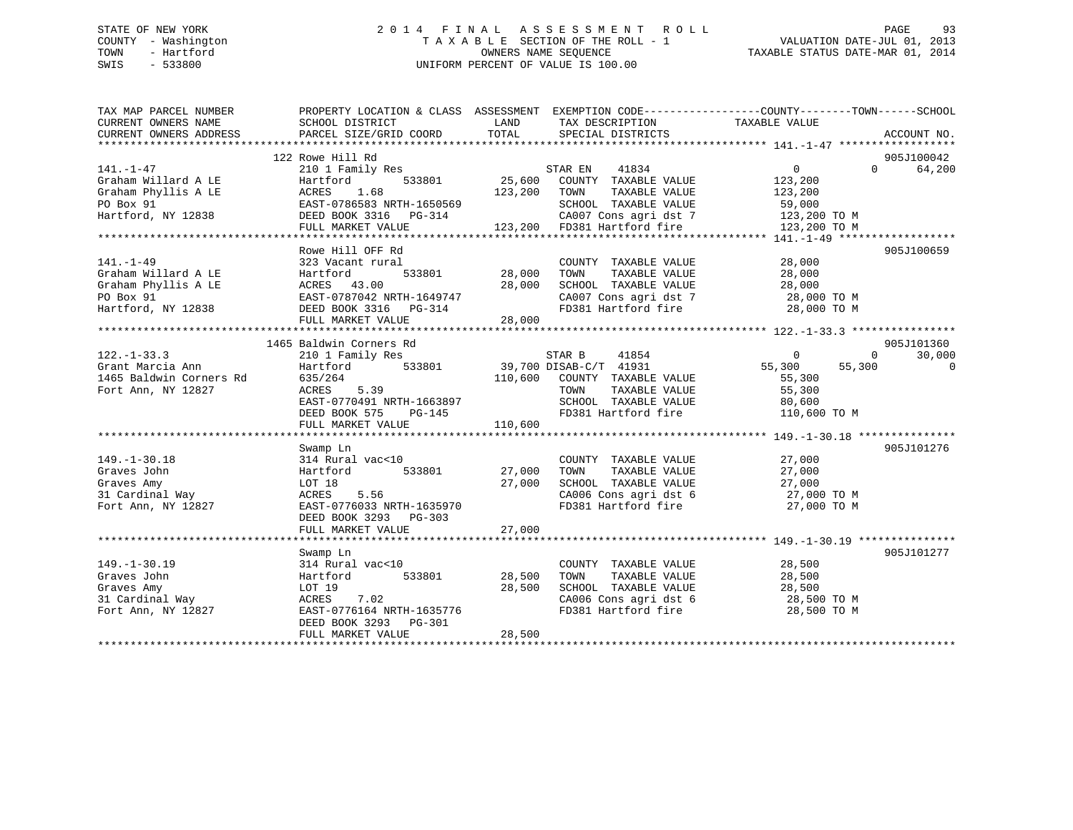## STATE OF NEW YORK 2 0 1 4 F I N A L A S S E S S M E N T R O L L PAGE 93 COUNTY - Washington T A X A B L E SECTION OF THE ROLL - 1 VALUATION DATE-JUL 01, 2013 TOWN - Hartford **TAXABLE STATUS DATE-MAR 01, 2014** OWNERS NAME SEQUENCE TAXABLE STATUS DATE-MAR 01, 2014 SWIS - 533800 UNIFORM PERCENT OF VALUE IS 100.00

| TAX MAP PARCEL NUMBER<br>CURRENT OWNERS NAME<br>CURRENT OWNERS ADDRESS            | PROPERTY LOCATION & CLASS ASSESSMENT EXEMPTION CODE---------------COUNTY-------TOWN------SCHOOL<br>SCHOOL DISTRICT<br>PARCEL SIZE/GRID COORD | LAND<br>TOTAL | TAX DESCRIPTION<br>SPECIAL DISTRICTS                             | TAXABLE VALUE            | ACCOUNT NO.        |
|-----------------------------------------------------------------------------------|----------------------------------------------------------------------------------------------------------------------------------------------|---------------|------------------------------------------------------------------|--------------------------|--------------------|
|                                                                                   |                                                                                                                                              |               |                                                                  |                          |                    |
|                                                                                   | 122 Rowe Hill Rd                                                                                                                             |               |                                                                  |                          | 905J100042         |
| $141. - 1 - 47$                                                                   | 210 1 Family Res                                                                                                                             |               |                                                                  | $\overline{0}$           | 64,200<br>$\Omega$ |
| Graham Willard A LE                                                               | Hartford                                                                                                                                     |               |                                                                  | 123,200                  |                    |
| Graham Phyllis A LE                                                               | ACRES<br>1.68                                                                                                                                | 123,200 TOWN  | TAXABLE VALUE                                                    | 123,200                  |                    |
| PO Box 91                                                                         | EAST-0786583 NRTH-1650569                                                                                                                    |               | SCHOOL TAXABLE VALUE                                             | 59,000                   |                    |
| Hartford, NY 12838                                                                | DEED BOOK 3316 PG-314                                                                                                                        |               | $CA007$ Cons agri dst 7 123,200 TO M                             |                          |                    |
|                                                                                   | FULL MARKET VALUE                                                                                                                            |               | 123,200 FD381 Hartford fire                                      | 123,200 TO M             |                    |
|                                                                                   |                                                                                                                                              |               |                                                                  |                          |                    |
|                                                                                   | Rowe Hill OFF Rd                                                                                                                             |               |                                                                  |                          | 905J100659         |
| $141. - 1 - 49$                                                                   | 323 Vacant rural                                                                                                                             |               | COUNTY TAXABLE VALUE                                             | 28,000                   |                    |
| Graham Willard A LE                                                               | -<br>533801 28,000<br>Hartford                                                                                                               |               | TAXABLE VALUE<br>TOWN                                            | 28,000                   |                    |
| Graham Phyllis A LE                                                               |                                                                                                                                              | 28,000        | SCHOOL TAXABLE VALUE                                             | 28,000                   |                    |
| PO Box 91                                                                         | ACRES 43.00<br>EAST-0787042 NRTH-1649747                                                                                                     |               |                                                                  |                          |                    |
| Hartford, NY 12838                                                                | DEED BOOK 3316 PG-314                                                                                                                        | $28$ nuu      | FD381 Hartford fire 28,000 TO M                                  |                          |                    |
|                                                                                   | FULL MARKET VALUE                                                                                                                            | 28,000        |                                                                  |                          |                    |
|                                                                                   |                                                                                                                                              |               |                                                                  |                          |                    |
|                                                                                   | 1465 Baldwin Corners Rd                                                                                                                      |               |                                                                  |                          | 905J101360         |
| $122. - 1 - 33.3$                                                                 | 210 1 Family Res                                                                                                                             |               | STAR B<br>41854                                                  | $\sim$ 0<br>$\mathbf{0}$ | 30,000             |
| 122.-1-33.3<br>Grant Marcia Ann<br>1465 Baldwin Corners Rd<br>T-11 Ann - NV 12827 | Hartford 533801 39,700 DISAB-C/T 41931                                                                                                       |               |                                                                  | 55,300<br>55,300         | $\overline{0}$     |
|                                                                                   | 635/264                                                                                                                                      |               | 110,600 COUNTY TAXABLE VALUE                                     | 55,300                   |                    |
| Fort Ann, NY 12827                                                                | 5.39<br>ACRES                                                                                                                                |               | TOWN<br>TAXABLE VALUE                                            | 55,300                   |                    |
|                                                                                   | EAST-0770491 NRTH-1663897                                                                                                                    |               | SCHOOL TAXABLE VALUE                                             | 80,600                   |                    |
|                                                                                   | DEED BOOK 575<br>PG-145                                                                                                                      |               | FD381 Hartford fire                                              | 110,600 TO M             |                    |
|                                                                                   | FULL MARKET VALUE                                                                                                                            | 110,600       |                                                                  |                          |                    |
|                                                                                   |                                                                                                                                              |               |                                                                  |                          |                    |
|                                                                                   | Swamp Ln                                                                                                                                     |               |                                                                  |                          | 905J101276         |
| $149. - 1 - 30.18$                                                                | 314 Rural vac<10                                                                                                                             |               | COUNTY TAXABLE VALUE                                             | 27,000                   |                    |
| Graves John                                                                       | 533801 27,000<br>Hartford                                                                                                                    |               | TOWN<br>TAXABLE VALUE                                            | 27,000                   |                    |
| Graves Amy                                                                        | LOT 18                                                                                                                                       | 27,000        | SCHOOL TAXABLE VALUE                                             |                          |                    |
| 31 Cardinal Way                                                                   | 5.56<br>ACRES                                                                                                                                |               | SCHOOL TAXABLE VALUE 27,000<br>CA006 Cons agri dst 6 27,000 TO M |                          |                    |
| Fort Ann, NY 12827                                                                | EAST-0776033 NRTH-1635970                                                                                                                    |               | FD381 Hartford fire                                              | 27,000 TO M              |                    |
|                                                                                   | DEED BOOK 3293 PG-303                                                                                                                        |               |                                                                  |                          |                    |
|                                                                                   | FULL MARKET VALUE                                                                                                                            | 27,000        |                                                                  |                          |                    |
|                                                                                   |                                                                                                                                              |               |                                                                  |                          |                    |
|                                                                                   | Swamp Ln                                                                                                                                     |               |                                                                  |                          | 905J101277         |
| $149. - 1 - 30.19$                                                                | 314 Rural vac<10                                                                                                                             |               | COUNTY TAXABLE VALUE                                             | 28,500                   |                    |
| Graves John                                                                       | 533801<br>Hartford                                                                                                                           | 28,500        | TAXABLE VALUE<br>TOWN                                            | 28,500                   |                    |
| Graves Amy                                                                        | LOT 19                                                                                                                                       | 28,500        | SCHOOL TAXABLE VALUE                                             | 28,500                   |                    |
| 31 Cardinal Way                                                                   | ACRES 7.02                                                                                                                                   |               |                                                                  | 28,500 TO M              |                    |
| Fort Ann, NY 12827                                                                | EAST-0776164 NRTH-1635776                                                                                                                    |               | CA006 Cons agri dst 6<br>FD381 Hartford fire                     | 28,500 TO M              |                    |
|                                                                                   | DEED BOOK 3293 PG-301                                                                                                                        |               |                                                                  |                          |                    |
|                                                                                   | FULL MARKET VALUE                                                                                                                            | 28,500        |                                                                  |                          |                    |
|                                                                                   |                                                                                                                                              |               |                                                                  |                          |                    |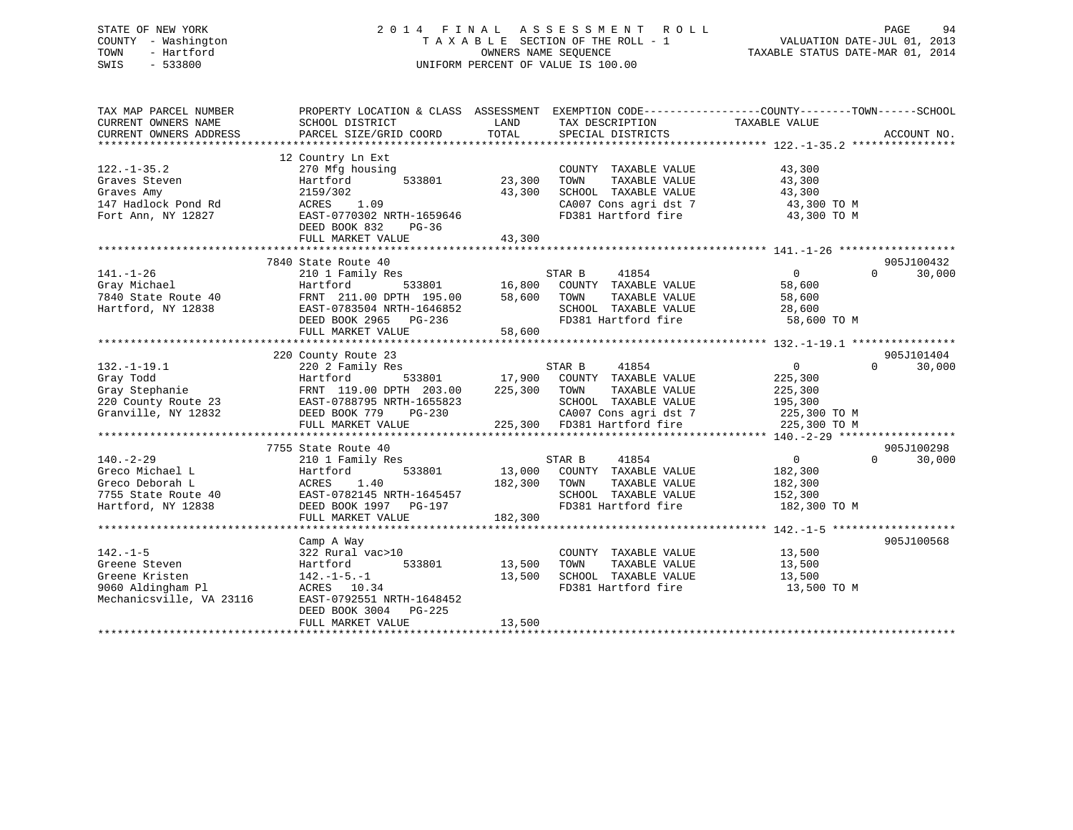## STATE OF NEW YORK 2 0 1 4 F I N A L A S S E S S M E N T R O L L PAGE 94 COUNTY - Washington T A X A B L E SECTION OF THE ROLL - 1 VALUATION DATE-JUL 01, 2013 TOWN - Hartford **TAXABLE STATUS DATE-MAR 01, 2014** OWNERS NAME SEQUENCE TAXABLE STATUS DATE-MAR 01, 2014 SWIS - 533800 UNIFORM PERCENT OF VALUE IS 100.00

| 12 Country Ln Ext<br>$122. - 1 - 35.2$<br>270 Mfg housing<br>COUNTY TAXABLE VALUE<br>43,300<br>Graves Steven<br>Hartford<br>533801<br>23,300<br>TAXABLE VALUE<br>43,300<br>TOWN<br>2159/302<br>SCHOOL TAXABLE VALUE<br>Graves Amy<br>43,300<br>43,300<br>1.09<br>CA007 Cons agri dst 7<br>ACRES<br>43,300 TO M<br>FD381 Hartford fire<br>Fort Ann, NY 12827<br>EAST-0770302 NRTH-1659646<br>43,300 TO M<br>DEED BOOK 832<br>PG-36<br>43,300<br>FULL MARKET VALUE<br>7840 State Route 40<br>905J100432<br>$141. - 1 - 26$<br>0<br>$\Omega$<br>30,000<br>210 1 Family Res<br>s<br>533801 16,800<br>41854<br>STAR B<br>COUNTY TAXABLE VALUE<br>Gray Michael<br>Hartford<br>58,600<br>7840 State Route 40<br>FRNT 211.00 DPTH 195.00<br>58,600<br>TOWN<br>TAXABLE VALUE<br>58,600<br>Hartford, NY 12838<br>EAST-0783504 NRTH-1646852<br>SCHOOL TAXABLE VALUE<br>28,600<br>FD381 Hartford fire<br>DEED BOOK 2965 PG-236<br>58,600 TO M<br>FULL MARKET VALUE<br>58,600<br>220 County Route 23<br>905J101404<br>$0 \qquad \qquad$<br>$132. - 1 - 19.1$<br>STAR B<br>41854<br>$\Omega$<br>30,000<br>220 2 Family Res<br>533801 17,900 COUNTY TAXABLE VALUE<br>Gray Todd<br>225,300<br>Hartford<br>FRNT 119.00 DPTH 203.00 225,300 TOWN<br>Gray Stephanie<br>TAXABLE VALUE<br>225,300<br>220 County Route 23<br>EAST-0788795 NRTH-1655823<br>SCHOOL TAXABLE VALUE<br>195,300<br>CA007 Cons agri dst 7 225,300 TO M<br>Granville, NY 12832<br>DEED BOOK 779<br>PG-230<br>225,300 FD381 Hartford fire<br>FULL MARKET VALUE<br>225,300 TO M<br>7755 State Route 40<br>905J100298<br>$\overline{0}$<br>$140. - 2 - 29$<br>$\Omega$<br>30,000<br>210 1 Family Res<br>STAR B<br>41854<br>13,000<br>Greco Michael L<br>Hartford<br>533801<br>COUNTY TAXABLE VALUE<br>182,300<br>1.40<br>182,300<br>TAXABLE VALUE<br>182,300<br>Greco Deborah L<br>ACRES<br>TOWN<br>EAST-0782145 NRTH-1645457<br>SCHOOL TAXABLE VALUE<br>152,300<br>7755 State Route 40<br>FD381 Hartford fire<br>182,300 TO M<br>DEED BOOK 1997 PG-197<br>182,300<br>FULL MARKET VALUE<br>905J100568<br>Camp A Way<br>$142. - 1 - 5$<br>13,500<br>322 Rural vac>10<br>COUNTY TAXABLE VALUE<br>Greene Steven<br>533801<br>13,500<br>TOWN<br>TAXABLE VALUE<br>13,500<br>Hartford<br>SCHOOL TAXABLE VALUE<br>Greene Kristen<br>13,500<br>13,500<br>142.-1-5.-1<br>9060 Aldingham Pl<br>FD381 Hartford fire<br>ACRES 10.34<br>13,500 TO M<br>Mechanicsville, VA 23116<br>EAST-0792551 NRTH-1648452<br>DEED BOOK 3004 PG-225<br>13,500<br>FULL MARKET VALUE | TAX MAP PARCEL NUMBER<br>CURRENT OWNERS NAME<br>CURRENT OWNERS ADDRESS | SCHOOL DISTRICT<br>PARCEL SIZE/GRID COORD | LAND<br>TOTAL | TAX DESCRIPTION<br>SPECIAL DISTRICTS | PROPERTY LOCATION & CLASS ASSESSMENT EXEMPTION CODE---------------COUNTY-------TOWN------SCHOOL<br>TAXABLE VALUE | ACCOUNT NO. |
|--------------------------------------------------------------------------------------------------------------------------------------------------------------------------------------------------------------------------------------------------------------------------------------------------------------------------------------------------------------------------------------------------------------------------------------------------------------------------------------------------------------------------------------------------------------------------------------------------------------------------------------------------------------------------------------------------------------------------------------------------------------------------------------------------------------------------------------------------------------------------------------------------------------------------------------------------------------------------------------------------------------------------------------------------------------------------------------------------------------------------------------------------------------------------------------------------------------------------------------------------------------------------------------------------------------------------------------------------------------------------------------------------------------------------------------------------------------------------------------------------------------------------------------------------------------------------------------------------------------------------------------------------------------------------------------------------------------------------------------------------------------------------------------------------------------------------------------------------------------------------------------------------------------------------------------------------------------------------------------------------------------------------------------------------------------------------------------------------------------------------------------------------------------------------------------------------------------------------------------------------------------------------------------------------------------------------------------------------------------------------------------------------------------------------------------------------------------------------------------------------------|------------------------------------------------------------------------|-------------------------------------------|---------------|--------------------------------------|------------------------------------------------------------------------------------------------------------------|-------------|
|                                                                                                                                                                                                                                                                                                                                                                                                                                                                                                                                                                                                                                                                                                                                                                                                                                                                                                                                                                                                                                                                                                                                                                                                                                                                                                                                                                                                                                                                                                                                                                                                                                                                                                                                                                                                                                                                                                                                                                                                                                                                                                                                                                                                                                                                                                                                                                                                                                                                                                        |                                                                        |                                           |               |                                      |                                                                                                                  |             |
|                                                                                                                                                                                                                                                                                                                                                                                                                                                                                                                                                                                                                                                                                                                                                                                                                                                                                                                                                                                                                                                                                                                                                                                                                                                                                                                                                                                                                                                                                                                                                                                                                                                                                                                                                                                                                                                                                                                                                                                                                                                                                                                                                                                                                                                                                                                                                                                                                                                                                                        |                                                                        |                                           |               |                                      |                                                                                                                  |             |
|                                                                                                                                                                                                                                                                                                                                                                                                                                                                                                                                                                                                                                                                                                                                                                                                                                                                                                                                                                                                                                                                                                                                                                                                                                                                                                                                                                                                                                                                                                                                                                                                                                                                                                                                                                                                                                                                                                                                                                                                                                                                                                                                                                                                                                                                                                                                                                                                                                                                                                        |                                                                        |                                           |               |                                      |                                                                                                                  |             |
|                                                                                                                                                                                                                                                                                                                                                                                                                                                                                                                                                                                                                                                                                                                                                                                                                                                                                                                                                                                                                                                                                                                                                                                                                                                                                                                                                                                                                                                                                                                                                                                                                                                                                                                                                                                                                                                                                                                                                                                                                                                                                                                                                                                                                                                                                                                                                                                                                                                                                                        |                                                                        |                                           |               |                                      |                                                                                                                  |             |
|                                                                                                                                                                                                                                                                                                                                                                                                                                                                                                                                                                                                                                                                                                                                                                                                                                                                                                                                                                                                                                                                                                                                                                                                                                                                                                                                                                                                                                                                                                                                                                                                                                                                                                                                                                                                                                                                                                                                                                                                                                                                                                                                                                                                                                                                                                                                                                                                                                                                                                        | 147 Hadlock Pond Rd                                                    |                                           |               |                                      |                                                                                                                  |             |
|                                                                                                                                                                                                                                                                                                                                                                                                                                                                                                                                                                                                                                                                                                                                                                                                                                                                                                                                                                                                                                                                                                                                                                                                                                                                                                                                                                                                                                                                                                                                                                                                                                                                                                                                                                                                                                                                                                                                                                                                                                                                                                                                                                                                                                                                                                                                                                                                                                                                                                        |                                                                        |                                           |               |                                      |                                                                                                                  |             |
|                                                                                                                                                                                                                                                                                                                                                                                                                                                                                                                                                                                                                                                                                                                                                                                                                                                                                                                                                                                                                                                                                                                                                                                                                                                                                                                                                                                                                                                                                                                                                                                                                                                                                                                                                                                                                                                                                                                                                                                                                                                                                                                                                                                                                                                                                                                                                                                                                                                                                                        |                                                                        |                                           |               |                                      |                                                                                                                  |             |
|                                                                                                                                                                                                                                                                                                                                                                                                                                                                                                                                                                                                                                                                                                                                                                                                                                                                                                                                                                                                                                                                                                                                                                                                                                                                                                                                                                                                                                                                                                                                                                                                                                                                                                                                                                                                                                                                                                                                                                                                                                                                                                                                                                                                                                                                                                                                                                                                                                                                                                        |                                                                        |                                           |               |                                      |                                                                                                                  |             |
|                                                                                                                                                                                                                                                                                                                                                                                                                                                                                                                                                                                                                                                                                                                                                                                                                                                                                                                                                                                                                                                                                                                                                                                                                                                                                                                                                                                                                                                                                                                                                                                                                                                                                                                                                                                                                                                                                                                                                                                                                                                                                                                                                                                                                                                                                                                                                                                                                                                                                                        |                                                                        |                                           |               |                                      |                                                                                                                  |             |
|                                                                                                                                                                                                                                                                                                                                                                                                                                                                                                                                                                                                                                                                                                                                                                                                                                                                                                                                                                                                                                                                                                                                                                                                                                                                                                                                                                                                                                                                                                                                                                                                                                                                                                                                                                                                                                                                                                                                                                                                                                                                                                                                                                                                                                                                                                                                                                                                                                                                                                        |                                                                        |                                           |               |                                      |                                                                                                                  |             |
|                                                                                                                                                                                                                                                                                                                                                                                                                                                                                                                                                                                                                                                                                                                                                                                                                                                                                                                                                                                                                                                                                                                                                                                                                                                                                                                                                                                                                                                                                                                                                                                                                                                                                                                                                                                                                                                                                                                                                                                                                                                                                                                                                                                                                                                                                                                                                                                                                                                                                                        |                                                                        |                                           |               |                                      |                                                                                                                  |             |
|                                                                                                                                                                                                                                                                                                                                                                                                                                                                                                                                                                                                                                                                                                                                                                                                                                                                                                                                                                                                                                                                                                                                                                                                                                                                                                                                                                                                                                                                                                                                                                                                                                                                                                                                                                                                                                                                                                                                                                                                                                                                                                                                                                                                                                                                                                                                                                                                                                                                                                        |                                                                        |                                           |               |                                      |                                                                                                                  |             |
|                                                                                                                                                                                                                                                                                                                                                                                                                                                                                                                                                                                                                                                                                                                                                                                                                                                                                                                                                                                                                                                                                                                                                                                                                                                                                                                                                                                                                                                                                                                                                                                                                                                                                                                                                                                                                                                                                                                                                                                                                                                                                                                                                                                                                                                                                                                                                                                                                                                                                                        |                                                                        |                                           |               |                                      |                                                                                                                  |             |
|                                                                                                                                                                                                                                                                                                                                                                                                                                                                                                                                                                                                                                                                                                                                                                                                                                                                                                                                                                                                                                                                                                                                                                                                                                                                                                                                                                                                                                                                                                                                                                                                                                                                                                                                                                                                                                                                                                                                                                                                                                                                                                                                                                                                                                                                                                                                                                                                                                                                                                        |                                                                        |                                           |               |                                      |                                                                                                                  |             |
|                                                                                                                                                                                                                                                                                                                                                                                                                                                                                                                                                                                                                                                                                                                                                                                                                                                                                                                                                                                                                                                                                                                                                                                                                                                                                                                                                                                                                                                                                                                                                                                                                                                                                                                                                                                                                                                                                                                                                                                                                                                                                                                                                                                                                                                                                                                                                                                                                                                                                                        |                                                                        |                                           |               |                                      |                                                                                                                  |             |
|                                                                                                                                                                                                                                                                                                                                                                                                                                                                                                                                                                                                                                                                                                                                                                                                                                                                                                                                                                                                                                                                                                                                                                                                                                                                                                                                                                                                                                                                                                                                                                                                                                                                                                                                                                                                                                                                                                                                                                                                                                                                                                                                                                                                                                                                                                                                                                                                                                                                                                        |                                                                        |                                           |               |                                      |                                                                                                                  |             |
|                                                                                                                                                                                                                                                                                                                                                                                                                                                                                                                                                                                                                                                                                                                                                                                                                                                                                                                                                                                                                                                                                                                                                                                                                                                                                                                                                                                                                                                                                                                                                                                                                                                                                                                                                                                                                                                                                                                                                                                                                                                                                                                                                                                                                                                                                                                                                                                                                                                                                                        |                                                                        |                                           |               |                                      |                                                                                                                  |             |
|                                                                                                                                                                                                                                                                                                                                                                                                                                                                                                                                                                                                                                                                                                                                                                                                                                                                                                                                                                                                                                                                                                                                                                                                                                                                                                                                                                                                                                                                                                                                                                                                                                                                                                                                                                                                                                                                                                                                                                                                                                                                                                                                                                                                                                                                                                                                                                                                                                                                                                        |                                                                        |                                           |               |                                      |                                                                                                                  |             |
|                                                                                                                                                                                                                                                                                                                                                                                                                                                                                                                                                                                                                                                                                                                                                                                                                                                                                                                                                                                                                                                                                                                                                                                                                                                                                                                                                                                                                                                                                                                                                                                                                                                                                                                                                                                                                                                                                                                                                                                                                                                                                                                                                                                                                                                                                                                                                                                                                                                                                                        |                                                                        |                                           |               |                                      |                                                                                                                  |             |
|                                                                                                                                                                                                                                                                                                                                                                                                                                                                                                                                                                                                                                                                                                                                                                                                                                                                                                                                                                                                                                                                                                                                                                                                                                                                                                                                                                                                                                                                                                                                                                                                                                                                                                                                                                                                                                                                                                                                                                                                                                                                                                                                                                                                                                                                                                                                                                                                                                                                                                        |                                                                        |                                           |               |                                      |                                                                                                                  |             |
|                                                                                                                                                                                                                                                                                                                                                                                                                                                                                                                                                                                                                                                                                                                                                                                                                                                                                                                                                                                                                                                                                                                                                                                                                                                                                                                                                                                                                                                                                                                                                                                                                                                                                                                                                                                                                                                                                                                                                                                                                                                                                                                                                                                                                                                                                                                                                                                                                                                                                                        |                                                                        |                                           |               |                                      |                                                                                                                  |             |
|                                                                                                                                                                                                                                                                                                                                                                                                                                                                                                                                                                                                                                                                                                                                                                                                                                                                                                                                                                                                                                                                                                                                                                                                                                                                                                                                                                                                                                                                                                                                                                                                                                                                                                                                                                                                                                                                                                                                                                                                                                                                                                                                                                                                                                                                                                                                                                                                                                                                                                        |                                                                        |                                           |               |                                      |                                                                                                                  |             |
|                                                                                                                                                                                                                                                                                                                                                                                                                                                                                                                                                                                                                                                                                                                                                                                                                                                                                                                                                                                                                                                                                                                                                                                                                                                                                                                                                                                                                                                                                                                                                                                                                                                                                                                                                                                                                                                                                                                                                                                                                                                                                                                                                                                                                                                                                                                                                                                                                                                                                                        |                                                                        |                                           |               |                                      |                                                                                                                  |             |
|                                                                                                                                                                                                                                                                                                                                                                                                                                                                                                                                                                                                                                                                                                                                                                                                                                                                                                                                                                                                                                                                                                                                                                                                                                                                                                                                                                                                                                                                                                                                                                                                                                                                                                                                                                                                                                                                                                                                                                                                                                                                                                                                                                                                                                                                                                                                                                                                                                                                                                        |                                                                        |                                           |               |                                      |                                                                                                                  |             |
|                                                                                                                                                                                                                                                                                                                                                                                                                                                                                                                                                                                                                                                                                                                                                                                                                                                                                                                                                                                                                                                                                                                                                                                                                                                                                                                                                                                                                                                                                                                                                                                                                                                                                                                                                                                                                                                                                                                                                                                                                                                                                                                                                                                                                                                                                                                                                                                                                                                                                                        |                                                                        |                                           |               |                                      |                                                                                                                  |             |
|                                                                                                                                                                                                                                                                                                                                                                                                                                                                                                                                                                                                                                                                                                                                                                                                                                                                                                                                                                                                                                                                                                                                                                                                                                                                                                                                                                                                                                                                                                                                                                                                                                                                                                                                                                                                                                                                                                                                                                                                                                                                                                                                                                                                                                                                                                                                                                                                                                                                                                        |                                                                        |                                           |               |                                      |                                                                                                                  |             |
|                                                                                                                                                                                                                                                                                                                                                                                                                                                                                                                                                                                                                                                                                                                                                                                                                                                                                                                                                                                                                                                                                                                                                                                                                                                                                                                                                                                                                                                                                                                                                                                                                                                                                                                                                                                                                                                                                                                                                                                                                                                                                                                                                                                                                                                                                                                                                                                                                                                                                                        |                                                                        |                                           |               |                                      |                                                                                                                  |             |
|                                                                                                                                                                                                                                                                                                                                                                                                                                                                                                                                                                                                                                                                                                                                                                                                                                                                                                                                                                                                                                                                                                                                                                                                                                                                                                                                                                                                                                                                                                                                                                                                                                                                                                                                                                                                                                                                                                                                                                                                                                                                                                                                                                                                                                                                                                                                                                                                                                                                                                        |                                                                        |                                           |               |                                      |                                                                                                                  |             |
|                                                                                                                                                                                                                                                                                                                                                                                                                                                                                                                                                                                                                                                                                                                                                                                                                                                                                                                                                                                                                                                                                                                                                                                                                                                                                                                                                                                                                                                                                                                                                                                                                                                                                                                                                                                                                                                                                                                                                                                                                                                                                                                                                                                                                                                                                                                                                                                                                                                                                                        |                                                                        |                                           |               |                                      |                                                                                                                  |             |
|                                                                                                                                                                                                                                                                                                                                                                                                                                                                                                                                                                                                                                                                                                                                                                                                                                                                                                                                                                                                                                                                                                                                                                                                                                                                                                                                                                                                                                                                                                                                                                                                                                                                                                                                                                                                                                                                                                                                                                                                                                                                                                                                                                                                                                                                                                                                                                                                                                                                                                        |                                                                        |                                           |               |                                      |                                                                                                                  |             |
|                                                                                                                                                                                                                                                                                                                                                                                                                                                                                                                                                                                                                                                                                                                                                                                                                                                                                                                                                                                                                                                                                                                                                                                                                                                                                                                                                                                                                                                                                                                                                                                                                                                                                                                                                                                                                                                                                                                                                                                                                                                                                                                                                                                                                                                                                                                                                                                                                                                                                                        | Hartford, NY 12838                                                     |                                           |               |                                      |                                                                                                                  |             |
|                                                                                                                                                                                                                                                                                                                                                                                                                                                                                                                                                                                                                                                                                                                                                                                                                                                                                                                                                                                                                                                                                                                                                                                                                                                                                                                                                                                                                                                                                                                                                                                                                                                                                                                                                                                                                                                                                                                                                                                                                                                                                                                                                                                                                                                                                                                                                                                                                                                                                                        |                                                                        |                                           |               |                                      |                                                                                                                  |             |
|                                                                                                                                                                                                                                                                                                                                                                                                                                                                                                                                                                                                                                                                                                                                                                                                                                                                                                                                                                                                                                                                                                                                                                                                                                                                                                                                                                                                                                                                                                                                                                                                                                                                                                                                                                                                                                                                                                                                                                                                                                                                                                                                                                                                                                                                                                                                                                                                                                                                                                        |                                                                        |                                           |               |                                      |                                                                                                                  |             |
|                                                                                                                                                                                                                                                                                                                                                                                                                                                                                                                                                                                                                                                                                                                                                                                                                                                                                                                                                                                                                                                                                                                                                                                                                                                                                                                                                                                                                                                                                                                                                                                                                                                                                                                                                                                                                                                                                                                                                                                                                                                                                                                                                                                                                                                                                                                                                                                                                                                                                                        |                                                                        |                                           |               |                                      |                                                                                                                  |             |
|                                                                                                                                                                                                                                                                                                                                                                                                                                                                                                                                                                                                                                                                                                                                                                                                                                                                                                                                                                                                                                                                                                                                                                                                                                                                                                                                                                                                                                                                                                                                                                                                                                                                                                                                                                                                                                                                                                                                                                                                                                                                                                                                                                                                                                                                                                                                                                                                                                                                                                        |                                                                        |                                           |               |                                      |                                                                                                                  |             |
|                                                                                                                                                                                                                                                                                                                                                                                                                                                                                                                                                                                                                                                                                                                                                                                                                                                                                                                                                                                                                                                                                                                                                                                                                                                                                                                                                                                                                                                                                                                                                                                                                                                                                                                                                                                                                                                                                                                                                                                                                                                                                                                                                                                                                                                                                                                                                                                                                                                                                                        |                                                                        |                                           |               |                                      |                                                                                                                  |             |
|                                                                                                                                                                                                                                                                                                                                                                                                                                                                                                                                                                                                                                                                                                                                                                                                                                                                                                                                                                                                                                                                                                                                                                                                                                                                                                                                                                                                                                                                                                                                                                                                                                                                                                                                                                                                                                                                                                                                                                                                                                                                                                                                                                                                                                                                                                                                                                                                                                                                                                        |                                                                        |                                           |               |                                      |                                                                                                                  |             |
|                                                                                                                                                                                                                                                                                                                                                                                                                                                                                                                                                                                                                                                                                                                                                                                                                                                                                                                                                                                                                                                                                                                                                                                                                                                                                                                                                                                                                                                                                                                                                                                                                                                                                                                                                                                                                                                                                                                                                                                                                                                                                                                                                                                                                                                                                                                                                                                                                                                                                                        |                                                                        |                                           |               |                                      |                                                                                                                  |             |
|                                                                                                                                                                                                                                                                                                                                                                                                                                                                                                                                                                                                                                                                                                                                                                                                                                                                                                                                                                                                                                                                                                                                                                                                                                                                                                                                                                                                                                                                                                                                                                                                                                                                                                                                                                                                                                                                                                                                                                                                                                                                                                                                                                                                                                                                                                                                                                                                                                                                                                        |                                                                        |                                           |               |                                      |                                                                                                                  |             |
|                                                                                                                                                                                                                                                                                                                                                                                                                                                                                                                                                                                                                                                                                                                                                                                                                                                                                                                                                                                                                                                                                                                                                                                                                                                                                                                                                                                                                                                                                                                                                                                                                                                                                                                                                                                                                                                                                                                                                                                                                                                                                                                                                                                                                                                                                                                                                                                                                                                                                                        |                                                                        |                                           |               |                                      |                                                                                                                  |             |
|                                                                                                                                                                                                                                                                                                                                                                                                                                                                                                                                                                                                                                                                                                                                                                                                                                                                                                                                                                                                                                                                                                                                                                                                                                                                                                                                                                                                                                                                                                                                                                                                                                                                                                                                                                                                                                                                                                                                                                                                                                                                                                                                                                                                                                                                                                                                                                                                                                                                                                        |                                                                        |                                           |               |                                      |                                                                                                                  |             |
|                                                                                                                                                                                                                                                                                                                                                                                                                                                                                                                                                                                                                                                                                                                                                                                                                                                                                                                                                                                                                                                                                                                                                                                                                                                                                                                                                                                                                                                                                                                                                                                                                                                                                                                                                                                                                                                                                                                                                                                                                                                                                                                                                                                                                                                                                                                                                                                                                                                                                                        |                                                                        |                                           |               |                                      |                                                                                                                  |             |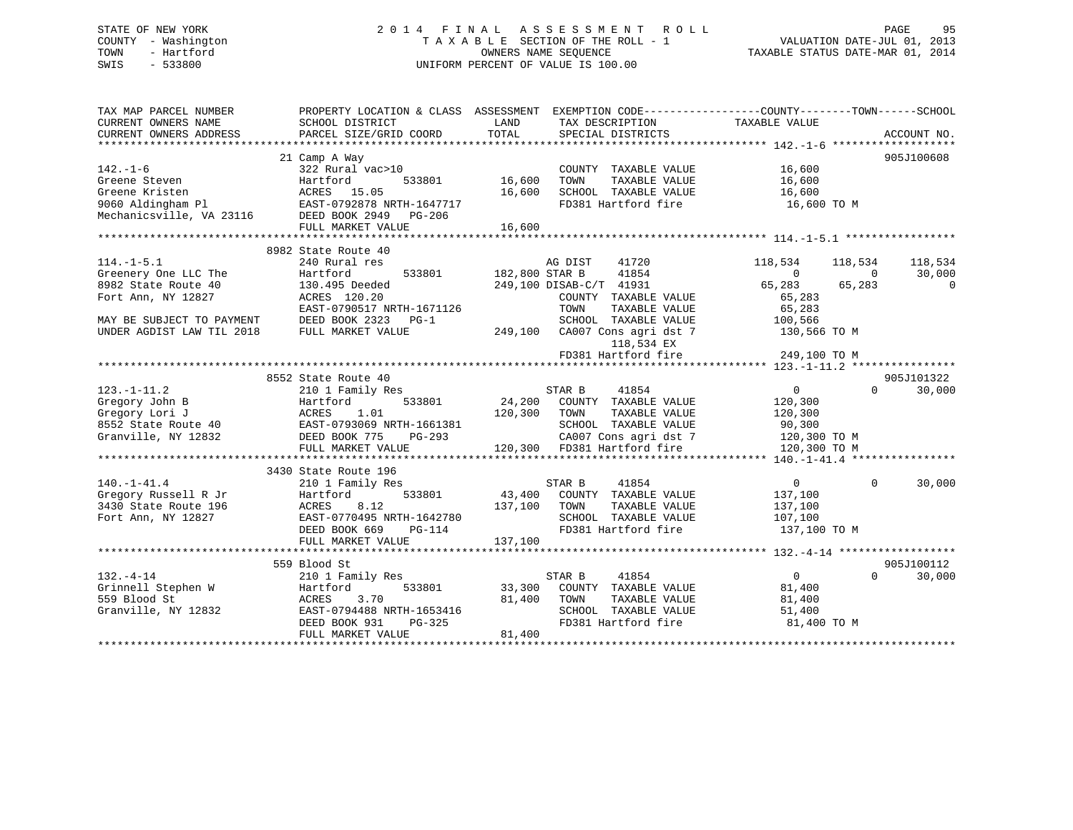## STATE OF NEW YORK 2 0 1 4 F I N A L A S S E S S M E N T R O L L PAGE 95 COUNTY - Washington T A X A B L E SECTION OF THE ROLL - 1 VALUATION DATE-JUL 01, 2013 TOWN - Hartford **TAXABLE STATUS DATE-MAR 01, 2014** OWNERS NAME SEQUENCE TAXABLE STATUS DATE-MAR 01, 2014 SWIS - 533800 UNIFORM PERCENT OF VALUE IS 100.00

| TAX MAP PARCEL NUMBER<br>CURRENT OWNERS NAME<br>CURRENT OWNERS ADDRESS                              | PROPERTY LOCATION & CLASS ASSESSMENT EXEMPTION CODE---------------COUNTY-------TOWN------SCHOOL<br>SCHOOL DISTRICT<br>PARCEL SIZE/GRID COORD                   | LAND<br>TOTAL              | TAX DESCRIPTION TAXABLE VALUE<br>SPECIAL DISTRICTS                                                                                               |                                                                                |                                     | ACCOUNT NO.            |
|-----------------------------------------------------------------------------------------------------|----------------------------------------------------------------------------------------------------------------------------------------------------------------|----------------------------|--------------------------------------------------------------------------------------------------------------------------------------------------|--------------------------------------------------------------------------------|-------------------------------------|------------------------|
| $142. - 1 - 6$<br>Greene Steven<br>Greene Kristen<br>9060 Aldingham Pl                              | 21 Camp A Way<br>322 Rural vac>10<br>Hartford<br>533801<br>ACRES 15.05<br>EAST-0792878 NRTH-1647717<br>FULL MARKET VALUE                                       | 16,600<br>16,600<br>16,600 | COUNTY TAXABLE VALUE<br>TAXABLE VALUE<br>TOWN<br>SCHOOL TAXABLE VALUE<br>FD381 Hartford fire                                                     | 16,600<br>16,600<br>16,600<br>16,600 TO M                                      |                                     | 905J100608             |
|                                                                                                     |                                                                                                                                                                |                            |                                                                                                                                                  |                                                                                |                                     |                        |
| $114. -1 - 5.1$<br>Greenery One LLC The<br>8982 State Route 40<br>Fort Ann, NY 12827                | 8982 State Route 40<br>240 Rural res<br>533801<br>Hartford<br>130.495 Deeded<br>ACRES 120.20                                                                   | 182,800 STAR B             | AG DIST<br>41720<br>41854<br>249,100 DISAB-C/T 41931<br>COUNTY TAXABLE VALUE                                                                     | 118,534<br>$\Omega$<br>65,283<br>65,283                                        | 118,534<br>$\overline{0}$<br>65,283 | 118,534<br>30,000<br>0 |
| MAY BE SUBJECT TO PAYMENT<br>UNDER AGDIST LAW TIL 2018                                              | EAST-0790517 NRTH-1671126<br>DEED BOOK 2323 PG-1<br>FULL MARKET VALUE                                                                                          |                            | TOWN<br>TAXABLE VALUE<br>SCHOOL TAXABLE VALUE<br>249,100 CA007 Cons agri dst 7<br>118,534 EX<br>FD381 Hartford fire                              | 65,283<br>100,566<br>130,566 TO M<br>249,100 TO M                              |                                     |                        |
|                                                                                                     |                                                                                                                                                                |                            |                                                                                                                                                  |                                                                                |                                     |                        |
| $123. - 1 - 11.2$<br>Gregory John B<br>Gregory Lori J<br>8552 State Route 40<br>Granville, NY 12832 | 8552 State Route 40<br>210 1 Family Res<br>533801<br>Hartford<br>1.01<br>ACRES<br>EAST-0793069 NRTH-1661381<br>DEED BOOK 775<br>PG-293<br>FULL MARKET VALUE    | 24,200<br>120,300          | STAR B<br>41854<br>COUNTY TAXABLE VALUE<br>TOWN<br>TAXABLE VALUE<br>SCHOOL TAXABLE VALUE<br>CA007 Cons agri dst 7<br>120,300 FD381 Hartford fire | $\overline{0}$<br>120,300<br>120,300<br>90,300<br>120,300 TO M<br>120,300 TO M | $\Omega$                            | 905J101322<br>30,000   |
|                                                                                                     |                                                                                                                                                                |                            |                                                                                                                                                  |                                                                                |                                     |                        |
| $140. - 1 - 41.4$<br>Gregory Russell R Jr<br>3430 State Route 196<br>Fort Ann, NY 12827             | 3430 State Route 196<br>210 1 Family Res<br>533801<br>Hartford<br>8.12<br>ACRES<br>EAST-0770495 NRTH-1642780<br>DEED BOOK 669<br>$PG-114$<br>FULL MARKET VALUE | 137,100<br>137,100         | STAR B<br>41854<br>43,400 COUNTY TAXABLE VALUE<br>TOWN<br>TAXABLE VALUE<br>SCHOOL TAXABLE VALUE<br>FD381 Hartford fire                           | $\overline{0}$<br>137,100<br>137,100<br>107,100<br>137,100 TO M                | $\mathbf{0}$                        | 30,000                 |
|                                                                                                     |                                                                                                                                                                |                            |                                                                                                                                                  |                                                                                |                                     |                        |
| $132. - 4 - 14$<br>Grinnell Stephen W<br>559 Blood St<br>Granville, NY 12832                        | 559 Blood St<br>210 1 Family Res<br>533801<br>Hartford<br>3.70<br>ACRES<br>EAST-0794488 NRTH-1653416<br>DEED BOOK 931<br>PG-325<br>FULL MARKET VALUE           | 33,300<br>81,400<br>81,400 | STAR B<br>41854<br>COUNTY TAXABLE VALUE<br>TOWN<br>TAXABLE VALUE<br>SCHOOL TAXABLE VALUE<br>FD381 Hartford fire                                  | $0 \qquad \qquad$<br>81,400<br>81,400<br>51,400<br>81,400 TO M                 | $\Omega$                            | 905J100112<br>30,000   |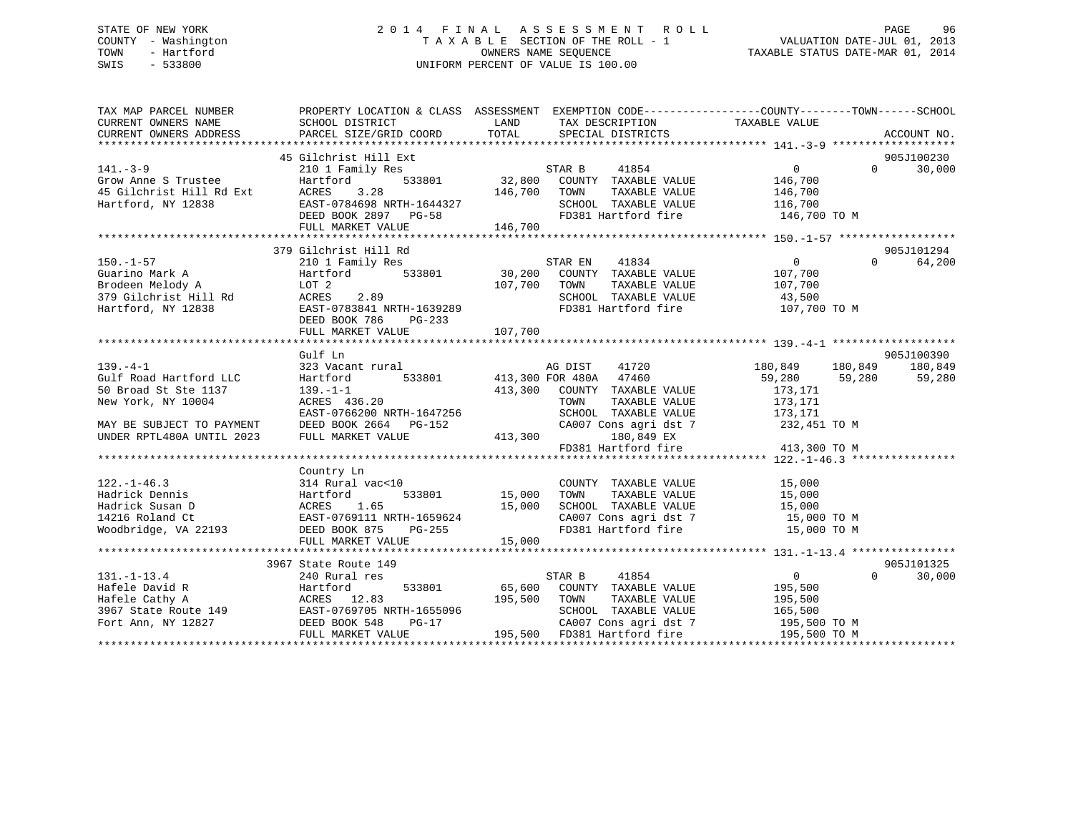## STATE OF NEW YORK 2 0 1 4 F I N A L A S S E S S M E N T R O L L PAGE 96 COUNTY - Washington T A X A B L E SECTION OF THE ROLL - 1 VALUATION DATE-JUL 01, 2013 TOWN - Hartford **TAXABLE STATUS DATE-MAR 01, 2014** OWNERS NAME SEQUENCE TAXABLE STATUS DATE-MAR 01, 2014 SWIS - 533800 UNIFORM PERCENT OF VALUE IS 100.00

| TAX MAP PARCEL NUMBER                                                                                                                                                                                                                                        | PROPERTY LOCATION & CLASS ASSESSMENT EXEMPTION CODE-----------------COUNTY-------TOWN------SCHOOL |        | TAX DESCRIPTION TAXABLE VALUE SPECIAL DISTRICTS<br>SPECIAL DISTRICTS |                       |          | ACCOUNT NO. |
|--------------------------------------------------------------------------------------------------------------------------------------------------------------------------------------------------------------------------------------------------------------|---------------------------------------------------------------------------------------------------|--------|----------------------------------------------------------------------|-----------------------|----------|-------------|
|                                                                                                                                                                                                                                                              |                                                                                                   |        |                                                                      |                       |          |             |
| 45 Gilchrist Hill Ext (141.-3-9 (1610 Ext) 210 1 Family Res (161 Ext) 533801 (161 Ext (141.-3-9 (161 Ext (141.-3-9 (161 Ext (141.-3-9 (161 Ext (141.-3-9 (161 Ext (141.-3-9 (161 Ext (141.-3-9 (161 Ext (141.-3-9 (161 Ext (14                               |                                                                                                   |        |                                                                      |                       |          |             |
|                                                                                                                                                                                                                                                              |                                                                                                   |        |                                                                      |                       |          |             |
|                                                                                                                                                                                                                                                              |                                                                                                   |        |                                                                      |                       |          |             |
|                                                                                                                                                                                                                                                              |                                                                                                   |        |                                                                      |                       |          |             |
|                                                                                                                                                                                                                                                              |                                                                                                   |        |                                                                      |                       |          |             |
|                                                                                                                                                                                                                                                              |                                                                                                   |        |                                                                      |                       |          |             |
|                                                                                                                                                                                                                                                              |                                                                                                   |        |                                                                      |                       |          |             |
|                                                                                                                                                                                                                                                              |                                                                                                   |        |                                                                      |                       |          |             |
|                                                                                                                                                                                                                                                              | 379 Gilchrist Hill Rd                                                                             |        |                                                                      |                       |          | 905J101294  |
| 150.-1-57<br>Cuarino Mark A 210 1 Family Res<br>Brodeen Melody A LOT 2<br>379 Gilchrist Hill Rd ACRES 2.89<br>Hartford, NY 12838 EAST-078341 NRTH-1639289<br>The CHOOL TAXABLE VALUE 107,700<br>TD381 Hartford fire 107,700<br>TD381 Hartfo                  |                                                                                                   |        |                                                                      | $\overline{0}$        | $\Omega$ | 64,200      |
|                                                                                                                                                                                                                                                              |                                                                                                   |        |                                                                      |                       |          |             |
|                                                                                                                                                                                                                                                              |                                                                                                   |        |                                                                      |                       |          |             |
|                                                                                                                                                                                                                                                              |                                                                                                   |        |                                                                      |                       |          |             |
|                                                                                                                                                                                                                                                              |                                                                                                   |        | SCHOOL TAXABLE VALUE 43,500<br>FD381 Hartford fire 107,700 TO M      |                       |          |             |
|                                                                                                                                                                                                                                                              | DEED BOOK 786 PG-233                                                                              |        |                                                                      |                       |          |             |
|                                                                                                                                                                                                                                                              |                                                                                                   |        |                                                                      |                       |          |             |
|                                                                                                                                                                                                                                                              |                                                                                                   |        |                                                                      |                       |          |             |
|                                                                                                                                                                                                                                                              | Gulf Ln                                                                                           |        |                                                                      |                       |          | 905J100390  |
| $139. -4 - 1$                                                                                                                                                                                                                                                | 323 Vacant rural                                                                                  |        | AG DIST 41720 180,849 180,849 180,849                                |                       |          |             |
|                                                                                                                                                                                                                                                              |                                                                                                   |        |                                                                      | 59,280 59,280 59,280  |          |             |
|                                                                                                                                                                                                                                                              | Hartford 533801 413,300 FOR 480A 47460<br>139.-1-1 413,300 COUNTY TAXABLE VALUE<br>ACRES 436.20   |        |                                                                      | 173,171               |          |             |
| 50 Broad St Ste 11.<br>New York, NY 10004                                                                                                                                                                                                                    | 139.-1-1<br>ACRES 436.20                                                                          |        |                                                                      |                       |          |             |
|                                                                                                                                                                                                                                                              |                                                                                                   |        |                                                                      |                       |          |             |
|                                                                                                                                                                                                                                                              |                                                                                                   |        |                                                                      |                       |          |             |
|                                                                                                                                                                                                                                                              |                                                                                                   |        |                                                                      |                       |          |             |
| New York, NY 10004<br>NEW YORK, NY 10004<br>MAY BE SUBJECT TO PAYMENT<br>MAY BE SUBJECT TO PAYMENT<br>MAY BE SUBJECT TO PAYMENT<br>DEED BOOK 2664 PG-152<br>UNDER RPTL480A UNTIL 2023<br>FULL MARKET VALUE<br>MARKET VALUE<br>ARKET VALUE<br>MARKE           |                                                                                                   |        |                                                                      |                       |          |             |
|                                                                                                                                                                                                                                                              |                                                                                                   |        |                                                                      |                       |          |             |
|                                                                                                                                                                                                                                                              | Country Ln                                                                                        |        |                                                                      |                       |          |             |
| 122.-1-46.3<br>Hadrick Dennis<br>Hadrick Susan D<br>Hadrick Susan D<br>214216 Roland Ct<br>214216 Roland Ct<br>214216 Roland Ct<br>215,000<br>214216 Roland Ct<br>215,000<br>214216 Roland Ct<br>215,000<br>216 Roland Ct<br>215,000<br>216 Roland Ct<br>215 |                                                                                                   |        |                                                                      |                       |          |             |
|                                                                                                                                                                                                                                                              |                                                                                                   |        |                                                                      |                       |          |             |
|                                                                                                                                                                                                                                                              |                                                                                                   |        |                                                                      |                       |          |             |
|                                                                                                                                                                                                                                                              |                                                                                                   |        |                                                                      |                       |          |             |
|                                                                                                                                                                                                                                                              |                                                                                                   |        | CA007 Cons agri dst 7 15,000 TO M<br>FD381 Hartford fire 15,000 TO M |                       |          |             |
|                                                                                                                                                                                                                                                              | FULL MARKET VALUE                                                                                 | 15,000 |                                                                      |                       |          |             |
|                                                                                                                                                                                                                                                              |                                                                                                   |        |                                                                      |                       |          |             |
|                                                                                                                                                                                                                                                              | 3967 State Route 149                                                                              |        |                                                                      |                       |          | 905J101325  |
|                                                                                                                                                                                                                                                              |                                                                                                   |        |                                                                      | $\overline{0}$        | $\Omega$ | 30,000      |
|                                                                                                                                                                                                                                                              |                                                                                                   |        |                                                                      | 195,500               |          |             |
|                                                                                                                                                                                                                                                              |                                                                                                   |        |                                                                      | TAXABLE VALUE 195,500 |          |             |
|                                                                                                                                                                                                                                                              |                                                                                                   |        |                                                                      |                       |          |             |
|                                                                                                                                                                                                                                                              |                                                                                                   |        | SCHOOL TAXABLE VALUE 165,500<br>CA007 Cons agri dst 7 195,500 TO M   |                       |          |             |
| 3307 307 308 3967 31.-1-13.4<br>Hafele David R<br>Hafele Cathy A<br>3967 State Route 149<br>Fort Ann, NY 12827<br>Taxable VALUE<br>Fort Ann, NY 12827<br>Taxable VALUE<br>Fort Ann, NY 12827<br>Taxable VALUE<br>Fort Ann, NY 12827<br>Taxable VALUE         |                                                                                                   |        |                                                                      | 195,500 TO M          |          |             |
|                                                                                                                                                                                                                                                              |                                                                                                   |        |                                                                      |                       |          |             |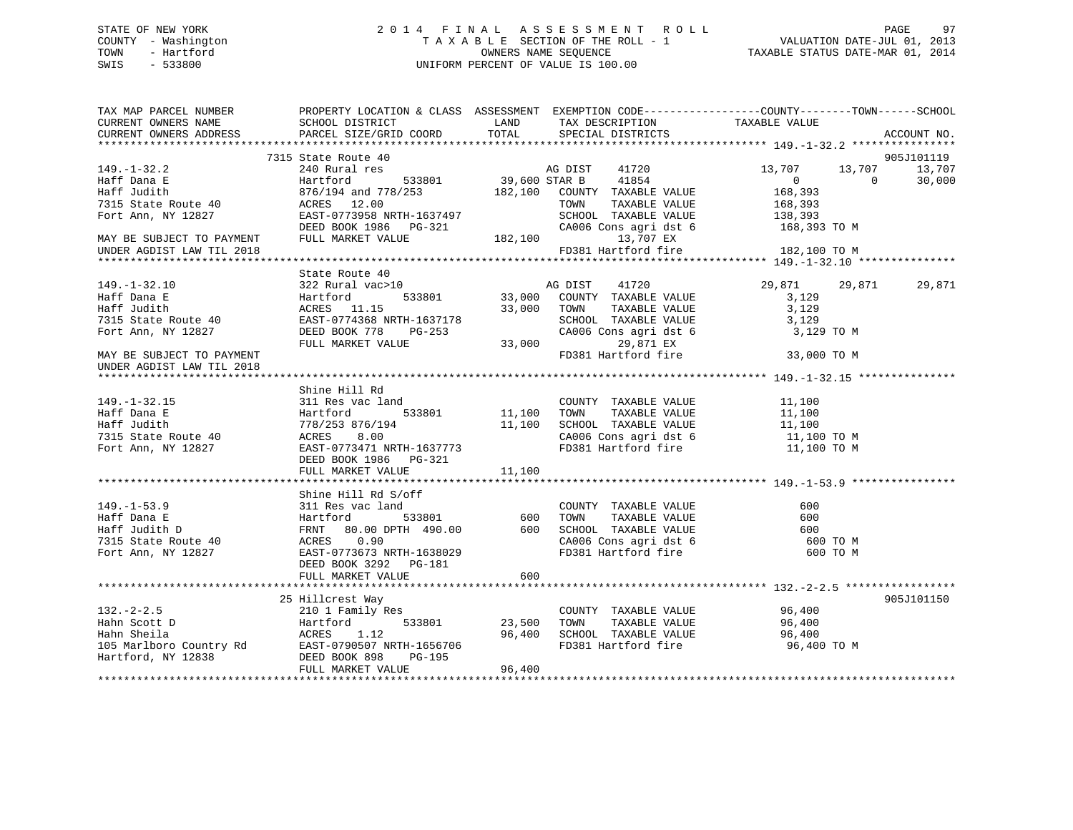## STATE OF NEW YORK 2 0 1 4 F I N A L A S S E S S M E N T R O L L PAGE 97 COUNTY - Washington T A X A B L E SECTION OF THE ROLL - 1 VALUATION DATE-JUL 01, 2013 TOWN - Hartford **TAXABLE STATUS DATE-MAR 01, 2014** OWNERS NAME SEQUENCE TAXABLE STATUS DATE-MAR 01, 2014 SWIS - 533800 UNIFORM PERCENT OF VALUE IS 100.00

| TAX MAP PARCEL NUMBER                                                   | PROPERTY LOCATION & CLASS ASSESSMENT EXEMPTION CODE----------------COUNTY-------TOWN------SCHOOL                                                                                                                     |                        |                                                                                                                                                                                                                                                                                                                                                                                                     |                            |             |                  |     |       |        |     |       |     |     |       |     |     |       |     |  |  |  |  |
|-------------------------------------------------------------------------|----------------------------------------------------------------------------------------------------------------------------------------------------------------------------------------------------------------------|------------------------|-----------------------------------------------------------------------------------------------------------------------------------------------------------------------------------------------------------------------------------------------------------------------------------------------------------------------------------------------------------------------------------------------------|----------------------------|-------------|------------------|-----|-------|--------|-----|-------|-----|-----|-------|-----|-----|-------|-----|--|--|--|--|
| CURRENT OWNERS NAME                                                     | <b>LAND</b><br>SCHOOL DISTRICT                                                                                                                                                                                       |                        | TAX DESCRIPTION TAXABLE VALUE SPECIAL DISTRICTS                                                                                                                                                                                                                                                                                                                                                     |                            |             |                  |     |       |        |     |       |     |     |       |     |     |       |     |  |  |  |  |
| CURRENT OWNERS ADDRESS                                                  | PARCEL SIZE/GRID COORD                                                                                                                                                                                               | TOTAL                  |                                                                                                                                                                                                                                                                                                                                                                                                     |                            | ACCOUNT NO. |                  |     |       |        |     |       |     |     |       |     |     |       |     |  |  |  |  |
|                                                                         |                                                                                                                                                                                                                      |                        |                                                                                                                                                                                                                                                                                                                                                                                                     |                            |             |                  |     |       |        |     |       |     |     |       |     |     |       |     |  |  |  |  |
|                                                                         | 7315 State Route 40                                                                                                                                                                                                  |                        | e 40<br>res 533801 39,600 STAR B 41854<br>533801 39,600 STAR B 41854                                                                                                                                                                                                                                                                                                                                |                            | 905J101119  |                  |     |       |        |     |       |     |     |       |     |     |       |     |  |  |  |  |
| 149. – 1–32. 2                                                          | 240 Rural res                                                                                                                                                                                                        |                        |                                                                                                                                                                                                                                                                                                                                                                                                     | 13,707<br>13,707           | 13,707      |                  |     |       |        |     |       |     |     |       |     |     |       |     |  |  |  |  |
| Haff Dana E                                                             | Hartford                                                                                                                                                                                                             |                        |                                                                                                                                                                                                                                                                                                                                                                                                     | $\overline{0}$<br>$\Omega$ | 30,000      |                  |     |       |        |     |       |     |     |       |     |     |       |     |  |  |  |  |
| Haff Judith                                                             | $1876/194$ and $778/253$ $182,100$ COUNTY TAXABLE VALUE<br>ACRES $12.00$ TOWN TAXABLE VALUE                                                                                                                          |                        |                                                                                                                                                                                                                                                                                                                                                                                                     | 168,393                    |             |                  |     |       |        |     |       |     |     |       |     |     |       |     |  |  |  |  |
|                                                                         | ACRES 12.00                                                                                                                                                                                                          |                        | TOWN<br>TAXABLE VALUE                                                                                                                                                                                                                                                                                                                                                                               | 168,393                    |             |                  |     |       |        |     |       |     |     |       |     |     |       |     |  |  |  |  |
| 7315 State Route 40<br>Fort Ann, NY 12827                               | EAST-0773958 NRTH-1637497                                                                                                                                                                                            |                        |                                                                                                                                                                                                                                                                                                                                                                                                     |                            |             |                  |     |       |        |     |       |     |     |       |     |     |       |     |  |  |  |  |
|                                                                         | DEED BOOK 1986 PG-321 CA006<br>FULL MARKET VALUE 182,100                                                                                                                                                             |                        | SCHOOL TAXABLE VALUE 138,393<br>CA006 Cons agri dst 6 168,393 TO M                                                                                                                                                                                                                                                                                                                                  |                            |             |                  |     |       |        |     |       |     |     |       |     |     |       |     |  |  |  |  |
| MAY BE SUBJECT TO PAYMENT<br>UNDER AGDIST LAW TIL 2018                  |                                                                                                                                                                                                                      |                        | 13,707 EX                                                                                                                                                                                                                                                                                                                                                                                           |                            |             |                  |     |       |        |     |       |     |     |       |     |     |       |     |  |  |  |  |
| UNDER AGDIST LAW TIL 2018                                               |                                                                                                                                                                                                                      |                        | FD381 Hartford fire                                                                                                                                                                                                                                                                                                                                                                                 | 182,100 TO M               |             |                  |     |       |        |     |       |     |     |       |     |     |       |     |  |  |  |  |
|                                                                         |                                                                                                                                                                                                                      |                        |                                                                                                                                                                                                                                                                                                                                                                                                     |                            |             |                  |     |       |        |     |       |     |     |       |     |     |       |     |  |  |  |  |
|                                                                         | State Route 40                                                                                                                                                                                                       |                        |                                                                                                                                                                                                                                                                                                                                                                                                     |                            |             |                  |     |       |        |     |       |     |     |       |     |     |       |     |  |  |  |  |
| $149. - 1 - 32.10$                                                      |                                                                                                                                                                                                                      |                        | $\begin{tabular}{lllllll} 0 & \multicolumn{3}{l}{{\bf AG} {\hspace{1cm}} {\rm DIST}} & \multicolumn{3}{l}{{\bf 41720}}\\ 533801 & \multicolumn{3}{l}{{\bf 33,000}} & \multicolumn{3}{l}{\bf 3000} & \multicolumn{3}{l}{\bf 513801} & \multicolumn{3}{l}{\bf 6100} & \multicolumn{3}{l}{\bf 6200} & \multicolumn{3}{l}{\bf 63100} & \multicolumn{3}{l}{\bf 64100} & \multicolumn{3}{l}{\bf 65100} &$ | 29,871<br>29,871           | 29,871      |                  |     |       |        |     |       |     |     |       |     |     |       |     |  |  |  |  |
| Haff Dana E                                                             |                                                                                                                                                                                                                      |                        |                                                                                                                                                                                                                                                                                                                                                                                                     | 3,129                      |             |                  |     |       |        |     |       |     |     |       |     |     |       |     |  |  |  |  |
| Haff Judith                                                             |                                                                                                                                                                                                                      |                        | 33,000 TOWN                                                                                                                                                                                                                                                                                                                                                                                         |                            |             |                  |     |       |        |     |       |     |     |       |     |     |       |     |  |  |  |  |
| 7315 State Route 40                                                     |                                                                                                                                                                                                                      |                        | TOWN TAXABLE VALUE 3,129<br>SCHOOL TAXABLE VALUE 3,129                                                                                                                                                                                                                                                                                                                                              |                            |             |                  |     |       |        |     |       |     |     |       |     |     |       |     |  |  |  |  |
| Fort Ann, NY 12827                                                      |                                                                                                                                                                                                                      | $-253$ CA006<br>33,000 | CA006 Cons agri dst 6<br>29,871 EX                                                                                                                                                                                                                                                                                                                                                                  | 3,129 TO M                 |             |                  |     |       |        |     |       |     |     |       |     |     |       |     |  |  |  |  |
|                                                                         |                                                                                                                                                                                                                      |                        |                                                                                                                                                                                                                                                                                                                                                                                                     |                            |             |                  |     |       |        |     |       |     |     |       |     |     |       |     |  |  |  |  |
| MAY BE SUBJECT TO PAYMENT                                               | --<br>Hartford<br>ACRES 11.15<br>oute 40<br>EAST-0774368 NRTH-1637178<br>DEED BOOK 778 PG-253<br>FIILL MARKET VALUE                                                                                                  |                        | FD381 Hartford fire                                                                                                                                                                                                                                                                                                                                                                                 | 33,000 TO M                |             |                  |     |       |        |     |       |     |     |       |     |     |       |     |  |  |  |  |
| UNDER AGDIST LAW TIL 2018                                               |                                                                                                                                                                                                                      |                        |                                                                                                                                                                                                                                                                                                                                                                                                     |                            |             |                  |     |       |        |     |       |     |     |       |     |     |       |     |  |  |  |  |
|                                                                         |                                                                                                                                                                                                                      |                        |                                                                                                                                                                                                                                                                                                                                                                                                     |                            |             |                  |     |       |        |     |       |     |     |       |     |     |       |     |  |  |  |  |
|                                                                         | Shine Hill Rd                                                                                                                                                                                                        |                        |                                                                                                                                                                                                                                                                                                                                                                                                     |                            |             |                  |     |       |        |     |       |     |     |       |     |     |       |     |  |  |  |  |
| $149. - 1 - 32.15$                                                      | 311 Res vac land                                                                                                                                                                                                     |                        |                                                                                                                                                                                                                                                                                                                                                                                                     |                            |             |                  |     |       |        |     |       |     |     |       |     |     |       |     |  |  |  |  |
|                                                                         | Hartford                                                                                                                                                                                                             |                        |                                                                                                                                                                                                                                                                                                                                                                                                     |                            |             |                  |     |       |        |     |       |     |     |       |     |     |       |     |  |  |  |  |
| Haff Dana E<br>Haff Judith<br>7315 State Route 40<br>Fort Ann, NY 12827 | 778/253 876/194                                                                                                                                                                                                      |                        | A<br>A<br>533801 11,100 TOWN TAXABLE VALUE<br>11,100 SCHOOL TAXABLE VALUE<br>11,100 CA006 Cons agri dst 6 11,100 TO M<br>11,100 TO M<br>11,100 TO M<br>11,100 TO M<br>11,100 TO M<br>11,100 TO M<br>11,100 TO M                                                                                                                                                                                     |                            |             |                  |     |       |        |     |       |     |     |       |     |     |       |     |  |  |  |  |
|                                                                         | 8.00<br>ACRES                                                                                                                                                                                                        |                        |                                                                                                                                                                                                                                                                                                                                                                                                     |                            |             |                  |     |       |        |     |       |     |     |       |     |     |       |     |  |  |  |  |
|                                                                         | EAST-0773471 NRTH-1637773                                                                                                                                                                                            |                        |                                                                                                                                                                                                                                                                                                                                                                                                     |                            |             |                  |     |       |        |     |       |     |     |       |     |     |       |     |  |  |  |  |
|                                                                         | DEED BOOK 1986 PG-321                                                                                                                                                                                                |                        |                                                                                                                                                                                                                                                                                                                                                                                                     |                            |             |                  |     |       |        |     |       |     |     |       |     |     |       |     |  |  |  |  |
|                                                                         | FULL MARKET VALUE                                                                                                                                                                                                    | 11,100                 |                                                                                                                                                                                                                                                                                                                                                                                                     |                            |             |                  |     |       |        |     |       |     |     |       |     |     |       |     |  |  |  |  |
|                                                                         |                                                                                                                                                                                                                      |                        |                                                                                                                                                                                                                                                                                                                                                                                                     |                            |             |                  |     |       |        |     |       |     |     |       |     |     |       |     |  |  |  |  |
|                                                                         | Shine Hill Rd S/off                                                                                                                                                                                                  |                        |                                                                                                                                                                                                                                                                                                                                                                                                     |                            |             |                  |     |       |        |     |       |     |     |       |     |     |       |     |  |  |  |  |
|                                                                         |                                                                                                                                                                                                                      |                        |                                                                                                                                                                                                                                                                                                                                                                                                     |                            |             |                  |     |       |        |     |       |     |     |       |     |     |       |     |  |  |  |  |
|                                                                         |                                                                                                                                                                                                                      |                        |                                                                                                                                                                                                                                                                                                                                                                                                     |                            |             |                  |     |       |        |     |       |     |     |       |     |     |       |     |  |  |  |  |
|                                                                         | $\n\n\n149.-1-53.9\n311 Res vac land\n600\n\n\n149.-1-53.9\n311 Res vac land\n600\n\n\n140 K\n533801\n600\n\n\n140 K\n600\n600\n\n\n140 K\n600\n600\n\n\n140 K\n600$                                                 | 149.-1-53.9            | 311 Res vac land                                                                                                                                                                                                                                                                                                                                                                                    | 600                        | 149.-1-53.9 | 311 Res vac land | 600 | 140 K | 533801 | 600 | 140 K | 600 | 600 | 140 K | 600 | 600 | 140 K | 600 |  |  |  |  |
| 149.-1-53.9                                                             | 311 Res vac land                                                                                                                                                                                                     | 600                    |                                                                                                                                                                                                                                                                                                                                                                                                     |                            |             |                  |     |       |        |     |       |     |     |       |     |     |       |     |  |  |  |  |
| 149.-1-53.9                                                             | 311 Res vac land                                                                                                                                                                                                     | 600                    |                                                                                                                                                                                                                                                                                                                                                                                                     |                            |             |                  |     |       |        |     |       |     |     |       |     |     |       |     |  |  |  |  |
| 140 K                                                                   | 533801                                                                                                                                                                                                               | 600                    |                                                                                                                                                                                                                                                                                                                                                                                                     |                            |             |                  |     |       |        |     |       |     |     |       |     |     |       |     |  |  |  |  |
| 140 K                                                                   | 600                                                                                                                                                                                                                  | 600                    |                                                                                                                                                                                                                                                                                                                                                                                                     |                            |             |                  |     |       |        |     |       |     |     |       |     |     |       |     |  |  |  |  |
| 140 K                                                                   | 600                                                                                                                                                                                                                  | 600                    |                                                                                                                                                                                                                                                                                                                                                                                                     |                            |             |                  |     |       |        |     |       |     |     |       |     |     |       |     |  |  |  |  |
| 140 K                                                                   | 600                                                                                                                                                                                                                  |                        |                                                                                                                                                                                                                                                                                                                                                                                                     |                            |             |                  |     |       |        |     |       |     |     |       |     |     |       |     |  |  |  |  |
|                                                                         |                                                                                                                                                                                                                      |                        |                                                                                                                                                                                                                                                                                                                                                                                                     |                            |             |                  |     |       |        |     |       |     |     |       |     |     |       |     |  |  |  |  |
|                                                                         |                                                                                                                                                                                                                      |                        |                                                                                                                                                                                                                                                                                                                                                                                                     |                            |             |                  |     |       |        |     |       |     |     |       |     |     |       |     |  |  |  |  |
|                                                                         | DEED BOOK 3292 PG-181                                                                                                                                                                                                |                        |                                                                                                                                                                                                                                                                                                                                                                                                     |                            |             |                  |     |       |        |     |       |     |     |       |     |     |       |     |  |  |  |  |
|                                                                         | FULL MARKET VALUE                                                                                                                                                                                                    | 600                    |                                                                                                                                                                                                                                                                                                                                                                                                     |                            |             |                  |     |       |        |     |       |     |     |       |     |     |       |     |  |  |  |  |
|                                                                         |                                                                                                                                                                                                                      |                        |                                                                                                                                                                                                                                                                                                                                                                                                     |                            |             |                  |     |       |        |     |       |     |     |       |     |     |       |     |  |  |  |  |
|                                                                         | 25 Hillcrest Way                                                                                                                                                                                                     |                        |                                                                                                                                                                                                                                                                                                                                                                                                     |                            | 905J101150  |                  |     |       |        |     |       |     |     |       |     |     |       |     |  |  |  |  |
| $132 - 2 - 2.5$                                                         | 210 1 Family Res                                                                                                                                                                                                     |                        | COUNTY TAXABLE VALUE 96,400                                                                                                                                                                                                                                                                                                                                                                         |                            |             |                  |     |       |        |     |       |     |     |       |     |     |       |     |  |  |  |  |
|                                                                         | $533801$ 23,500<br>Fam Scott D<br>Hann Scott D<br>Hann Scott D<br>Hann Scott D<br>Hartford 533801 23,50<br>105 Marlboro Country Rd<br>Hartford, NY 12838<br>EED BOOK 898 PG-195<br>FULL MARKET VALUE 96,40<br>PG-195 |                        | TOWN      TAXABLE  VALUE<br>SCHOOL   TAXABLE  VALUE                                                                                                                                                                                                                                                                                                                                                 | 96,400<br>96,400           |             |                  |     |       |        |     |       |     |     |       |     |     |       |     |  |  |  |  |
|                                                                         |                                                                                                                                                                                                                      | 96,400                 |                                                                                                                                                                                                                                                                                                                                                                                                     |                            |             |                  |     |       |        |     |       |     |     |       |     |     |       |     |  |  |  |  |
|                                                                         |                                                                                                                                                                                                                      |                        | FD381 Hartford fire                                                                                                                                                                                                                                                                                                                                                                                 | 96,400 TO M                |             |                  |     |       |        |     |       |     |     |       |     |     |       |     |  |  |  |  |
|                                                                         |                                                                                                                                                                                                                      |                        |                                                                                                                                                                                                                                                                                                                                                                                                     |                            |             |                  |     |       |        |     |       |     |     |       |     |     |       |     |  |  |  |  |
|                                                                         | FULL MARKET VALUE                                                                                                                                                                                                    | 96,400                 |                                                                                                                                                                                                                                                                                                                                                                                                     |                            |             |                  |     |       |        |     |       |     |     |       |     |     |       |     |  |  |  |  |
|                                                                         |                                                                                                                                                                                                                      |                        |                                                                                                                                                                                                                                                                                                                                                                                                     |                            |             |                  |     |       |        |     |       |     |     |       |     |     |       |     |  |  |  |  |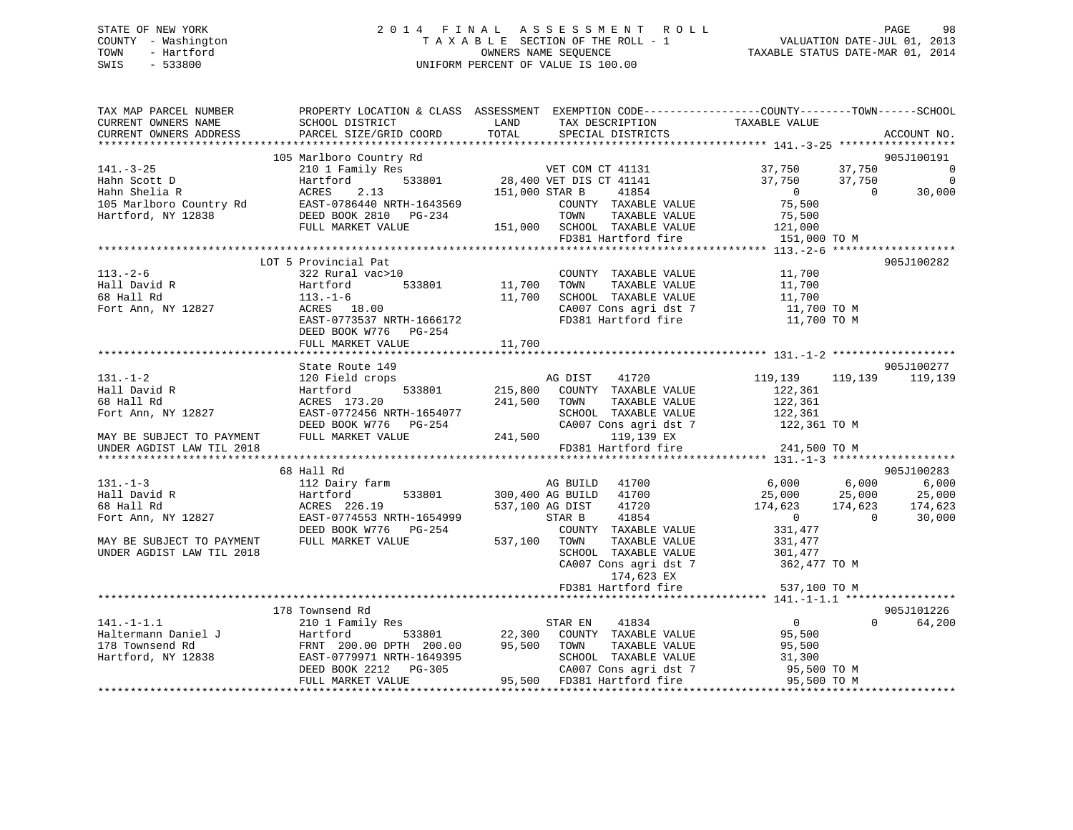## STATE OF NEW YORK 2 0 1 4 F I N A L A S S E S S M E N T R O L L PAGE 98 COUNTY - Washington T A X A B L E SECTION OF THE ROLL - 1 VALUATION DATE-JUL 01, 2013 TOWN - Hartford **TAXABLE STATUS DATE-MAR 01, 2014** OWNERS NAME SEQUENCE TAXABLE STATUS DATE-MAR 01, 2014 SWIS - 533800 UNIFORM PERCENT OF VALUE IS 100.00

| TAX MAP PARCEL NUMBER     |                            |                                  | PROPERTY LOCATION & CLASS ASSESSMENT EXEMPTION CODE----------------COUNTY-------TOWN------SCHOOL |
|---------------------------|----------------------------|----------------------------------|--------------------------------------------------------------------------------------------------|
| CURRENT OWNERS NAME       | SCHOOL DISTRICT            | LAND<br>TAX DESCRIPTION          | TAXABLE VALUE                                                                                    |
| CURRENT OWNERS ADDRESS    | PARCEL SIZE/GRID COORD     | TOTAL<br>SPECIAL DISTRICTS       | ACCOUNT NO.                                                                                      |
|                           |                            |                                  |                                                                                                  |
|                           | 105 Marlboro Country Rd    |                                  | 905J100191                                                                                       |
| $141. - 3 - 25$           | 210 1 Family Res           | VET COM CT 41131                 | 37,750<br>37,750<br>$\overline{0}$                                                               |
| Hahn Scott D              | 533801<br>Hartford         | 28,400 VET DIS CT 41141          | 37,750<br>$\overline{0}$<br>37,750                                                               |
| Hahn Shelia R             | ACRES<br>2.13              | 151,000 STAR B<br>41854          | $\overline{0}$<br>$\bigcirc$<br>30,000                                                           |
| 105 Marlboro Country Rd   | EAST-0786440 NRTH-1643569  | COUNTY TAXABLE VALUE             | 75,500                                                                                           |
| Hartford, NY 12838        | DEED BOOK 2810 PG-234      | TAXABLE VALUE<br>TOWN            | 75,500                                                                                           |
|                           | FULL MARKET VALUE          | 151,000 SCHOOL TAXABLE VALUE     | 121,000                                                                                          |
|                           |                            | FD381 Hartford fire              | 151,000 TO M                                                                                     |
|                           |                            |                                  |                                                                                                  |
|                           |                            |                                  |                                                                                                  |
|                           | LOT 5 Provincial Pat       |                                  | 905J100282                                                                                       |
| $113. - 2 - 6$            | 322 Rural vac>10           | COUNTY TAXABLE VALUE             | 11,700                                                                                           |
| Hall David R              | Hartford<br>533801         | 11,700<br>TAXABLE VALUE<br>TOWN  | 11,700                                                                                           |
| 68 Hall Rd                | $113. - 1 - 6$             | 11,700<br>SCHOOL TAXABLE VALUE   | 11,700                                                                                           |
| Fort Ann, NY 12827        | ACRES 18.00                | CA007 Cons agri dst 7            | 11,700 TO M                                                                                      |
|                           | EAST-0773537 NRTH-1666172  | FD381 Hartford fire              | 11,700 TO M                                                                                      |
|                           | DEED BOOK W776 PG-254      |                                  |                                                                                                  |
|                           | FULL MARKET VALUE          | 11,700                           |                                                                                                  |
|                           |                            |                                  |                                                                                                  |
|                           | State Route 149            |                                  | 905J100277                                                                                       |
| $131. - 1 - 2$            | 120 Field crops            | 41720<br>AG DIST                 | 119,139<br>119,139<br>119,139                                                                    |
| Hall David R              | 533801<br>Hartford         | 215,800<br>COUNTY TAXABLE VALUE  | 122,361                                                                                          |
| 68 Hall Rd                | ACRES 173.20               | 241,500<br>TOWN<br>TAXABLE VALUE | 122,361                                                                                          |
| Fort Ann, NY 12827        | EAST-0772456 NRTH-1654077  | SCHOOL TAXABLE VALUE             | 122,361                                                                                          |
|                           | DEED BOOK W776 PG-254      | CA007 Cons agri dst 7            | 122,361 TO M                                                                                     |
| MAY BE SUBJECT TO PAYMENT | FULL MARKET VALUE          | 241,500<br>119,139 EX            |                                                                                                  |
|                           |                            |                                  |                                                                                                  |
| UNDER AGDIST LAW TIL 2018 |                            | FD381 Hartford fire              | 241,500 TO M                                                                                     |
|                           |                            |                                  |                                                                                                  |
|                           | 68 Hall Rd                 |                                  | 905J100283                                                                                       |
| $131. - 1 - 3$            | 112 Dairy farm             | AG BUILD<br>41700                | 6,000<br>6,000<br>6,000                                                                          |
| Hall David R              | Hartford<br>533801         | 300,400 AG BUILD 41700           | 25,000<br>25,000<br>25,000                                                                       |
| 68 Hall Rd                | ACRES 226.19               | 537,100 AG DIST<br>41720         | 174,623<br>174,623<br>174,623                                                                    |
| Fort Ann, NY 12827        | EAST-0774553 NRTH-1654999  | 41854<br>STAR B                  | $\overline{0}$<br>$\overline{0}$<br>30,000                                                       |
|                           | DEED BOOK W776<br>PG-254   | COUNTY TAXABLE VALUE             | 331,477                                                                                          |
| MAY BE SUBJECT TO PAYMENT | FULL MARKET VALUE          | 537,100<br>TAXABLE VALUE<br>TOWN | 331,477                                                                                          |
| UNDER AGDIST LAW TIL 2018 |                            | SCHOOL TAXABLE VALUE             | 301,477                                                                                          |
|                           |                            | CA007 Cons agri dst 7            | 362,477 TO M                                                                                     |
|                           |                            | 174,623 EX                       |                                                                                                  |
|                           |                            | FD381 Hartford fire              | 537,100 TO M                                                                                     |
|                           |                            |                                  |                                                                                                  |
|                           | 178 Townsend Rd            |                                  | 905J101226                                                                                       |
| $141. - 1 - 1.1$          | 210 1 Family Res           | STAR EN<br>41834                 | $\overline{0}$<br>$\Omega$<br>64,200                                                             |
| Haltermann Daniel J       | 533801<br>Hartford         | 22,300<br>COUNTY TAXABLE VALUE   | 95,500                                                                                           |
| 178 Townsend Rd           | FRNT 200.00 DPTH 200.00    | 95,500<br>TAXABLE VALUE<br>TOWN  | 95,500                                                                                           |
|                           | EAST-0779971 NRTH-1649395  | SCHOOL TAXABLE VALUE             |                                                                                                  |
| Hartford, NY 12838        |                            |                                  | 31,300                                                                                           |
|                           | DEED BOOK 2212<br>$PG-305$ | CA007 Cons agri dst 7            | 95,500 TO M                                                                                      |
|                           | FULL MARKET VALUE          | 95,500 FD381 Hartford fire       | 95,500 TO M                                                                                      |
|                           |                            |                                  |                                                                                                  |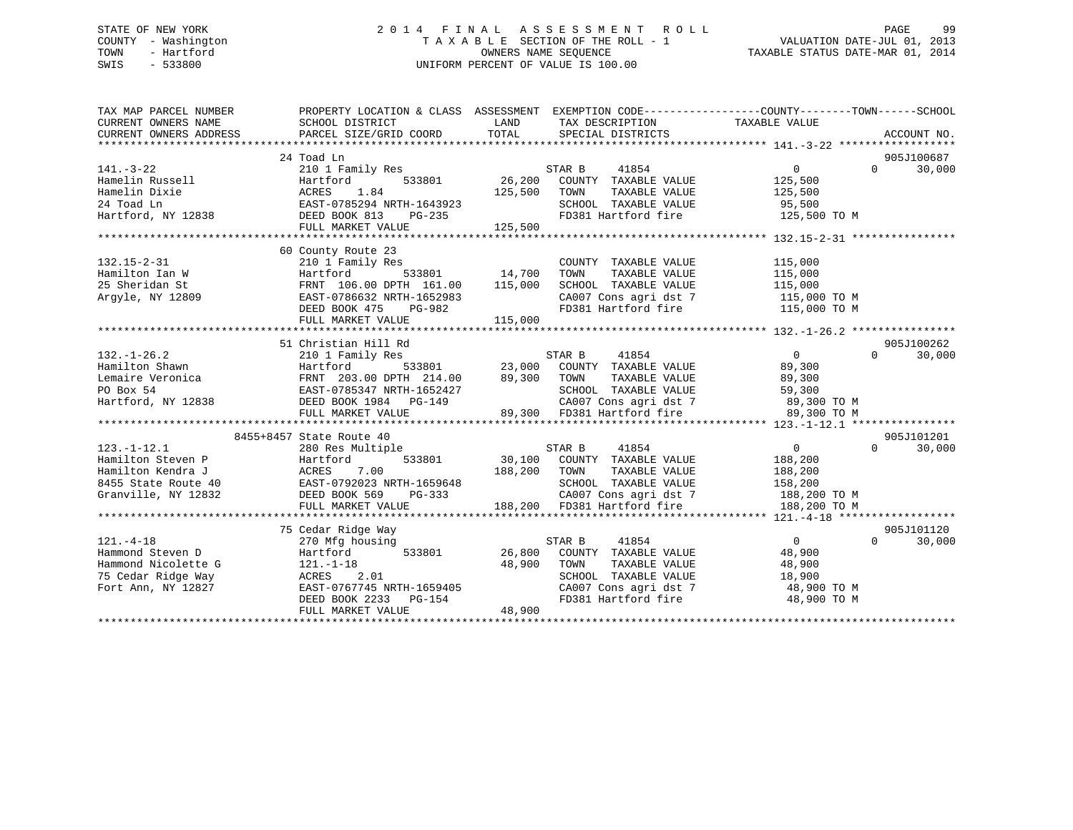## STATE OF NEW YORK 2 0 1 4 F I N A L A S S E S S M E N T R O L L PAGE 99 COUNTY - Washington T A X A B L E SECTION OF THE ROLL - 1 VALUATION DATE-JUL 01, 2013 TOWN - Hartford **TAXABLE STATUS DATE-MAR 01, 2014** OWNERS NAME SEQUENCE TAXABLE STATUS DATE-MAR 01, 2014 SWIS - 533800 UNIFORM PERCENT OF VALUE IS 100.00

| TAX MAP PARCEL NUMBER<br>CURRENT OWNERS NAME<br>CURRENT OWNERS ADDRESS                                                                                                                                                                             | PROPERTY LOCATION & CLASS ASSESSMENT EXEMPTION CODE----------------COUNTY-------TOWN------SCHOOL |              |                                                                                                                                                                              |                                  |                    |
|----------------------------------------------------------------------------------------------------------------------------------------------------------------------------------------------------------------------------------------------------|--------------------------------------------------------------------------------------------------|--------------|------------------------------------------------------------------------------------------------------------------------------------------------------------------------------|----------------------------------|--------------------|
|                                                                                                                                                                                                                                                    |                                                                                                  |              |                                                                                                                                                                              |                                  |                    |
|                                                                                                                                                                                                                                                    | 24 Toad Ln                                                                                       |              |                                                                                                                                                                              |                                  | 905J100687         |
| $141. - 3 - 22$                                                                                                                                                                                                                                    | 210 1 Family Res                                                                                 |              | STAR B<br>41854                                                                                                                                                              | $\overline{0}$                   | $\Omega$<br>30,000 |
|                                                                                                                                                                                                                                                    |                                                                                                  |              | 533801 26,200 COUNTY TAXABLE VALUE 125,500                                                                                                                                   |                                  |                    |
|                                                                                                                                                                                                                                                    |                                                                                                  | 125,500 TOWN | TAXABLE VALUE                                                                                                                                                                | 125,500                          |                    |
|                                                                                                                                                                                                                                                    |                                                                                                  |              | SCHOOL TAXABLE VALUE 95,500                                                                                                                                                  |                                  |                    |
|                                                                                                                                                                                                                                                    |                                                                                                  |              |                                                                                                                                                                              | FD381 Hartford fire 125,500 TO M |                    |
| 141.-3-22<br>Hamelin Russell Hartford 533801 26,200<br>Hamelin Dixie ACRES 1.84 125,500<br>24 Toad Ln EAST-0785294 NRTH-1643923<br>Hartford, NY 12838 DEED BOOK 813 PG-235<br>FULL MARKET VALUE 125,500                                            |                                                                                                  |              |                                                                                                                                                                              |                                  |                    |
|                                                                                                                                                                                                                                                    |                                                                                                  |              |                                                                                                                                                                              |                                  |                    |
|                                                                                                                                                                                                                                                    | 60 County Route 23                                                                               |              |                                                                                                                                                                              |                                  |                    |
|                                                                                                                                                                                                                                                    |                                                                                                  |              | COUNTY TAXABLE VALUE 115,000                                                                                                                                                 |                                  |                    |
|                                                                                                                                                                                                                                                    |                                                                                                  |              | COUNT TAXABLE VALUE<br>TOWN TAXABLE VALUE<br>SCHOOL TAXABLE VALUE<br>CAOOT CONS agri dst 7 115,000<br>CAOOT Cons agri dst 7 115,000 TO M<br>FD381 Hartford fire 115,000 TO M |                                  |                    |
|                                                                                                                                                                                                                                                    |                                                                                                  |              |                                                                                                                                                                              |                                  |                    |
|                                                                                                                                                                                                                                                    |                                                                                                  |              |                                                                                                                                                                              |                                  |                    |
|                                                                                                                                                                                                                                                    |                                                                                                  |              |                                                                                                                                                                              |                                  |                    |
|                                                                                                                                                                                                                                                    |                                                                                                  |              |                                                                                                                                                                              |                                  |                    |
|                                                                                                                                                                                                                                                    |                                                                                                  |              |                                                                                                                                                                              |                                  |                    |
|                                                                                                                                                                                                                                                    | 51 Christian Hill Rd                                                                             |              |                                                                                                                                                                              |                                  | 905J100262         |
|                                                                                                                                                                                                                                                    |                                                                                                  |              |                                                                                                                                                                              |                                  | $\Omega$<br>30,000 |
|                                                                                                                                                                                                                                                    |                                                                                                  |              |                                                                                                                                                                              |                                  |                    |
|                                                                                                                                                                                                                                                    |                                                                                                  |              |                                                                                                                                                                              |                                  |                    |
|                                                                                                                                                                                                                                                    |                                                                                                  |              |                                                                                                                                                                              |                                  |                    |
|                                                                                                                                                                                                                                                    |                                                                                                  |              |                                                                                                                                                                              |                                  |                    |
|                                                                                                                                                                                                                                                    |                                                                                                  |              |                                                                                                                                                                              |                                  |                    |
|                                                                                                                                                                                                                                                    |                                                                                                  |              |                                                                                                                                                                              |                                  |                    |
|                                                                                                                                                                                                                                                    | 8455+8457 State Route 40                                                                         |              |                                                                                                                                                                              |                                  | 905J101201         |
|                                                                                                                                                                                                                                                    |                                                                                                  |              |                                                                                                                                                                              |                                  | $\Omega$<br>30,000 |
|                                                                                                                                                                                                                                                    |                                                                                                  |              |                                                                                                                                                                              |                                  |                    |
|                                                                                                                                                                                                                                                    |                                                                                                  |              |                                                                                                                                                                              |                                  |                    |
|                                                                                                                                                                                                                                                    |                                                                                                  |              |                                                                                                                                                                              |                                  |                    |
|                                                                                                                                                                                                                                                    |                                                                                                  |              |                                                                                                                                                                              |                                  |                    |
|                                                                                                                                                                                                                                                    |                                                                                                  |              |                                                                                                                                                                              |                                  |                    |
|                                                                                                                                                                                                                                                    |                                                                                                  |              |                                                                                                                                                                              |                                  |                    |
|                                                                                                                                                                                                                                                    | 75 Cedar Ridge Way                                                                               |              |                                                                                                                                                                              |                                  | 905J101120         |
| $121. - 4 - 18$                                                                                                                                                                                                                                    | 270 Mfg housing                                                                                  |              | STAR B 41854                                                                                                                                                                 | 905ء<br>ان 10                    | 30,000             |
| Hammond Steven D                                                                                                                                                                                                                                   |                                                                                                  |              |                                                                                                                                                                              |                                  |                    |
|                                                                                                                                                                                                                                                    |                                                                                                  |              |                                                                                                                                                                              |                                  |                    |
|                                                                                                                                                                                                                                                    |                                                                                                  |              |                                                                                                                                                                              |                                  |                    |
|                                                                                                                                                                                                                                                    |                                                                                                  |              |                                                                                                                                                                              |                                  |                    |
|                                                                                                                                                                                                                                                    |                                                                                                  |              |                                                                                                                                                                              |                                  |                    |
| Hammond Nicolette G<br>Town TAXABLE VALUE<br>Town TAXABLE VALUE<br>TOWN TAXABLE VALUE<br>TOWN TAXABLE VALUE<br>TOWN TAXABLE VALUE<br>SCHOOL TAXABLE VALUE<br>SCHOOL TAXABLE VALUE<br>SCHOOL TAXABLE VALUE<br>SCHOOL TAXABLE VALUE<br>SCHOOL TAXABL |                                                                                                  |              |                                                                                                                                                                              |                                  |                    |
|                                                                                                                                                                                                                                                    |                                                                                                  |              |                                                                                                                                                                              |                                  |                    |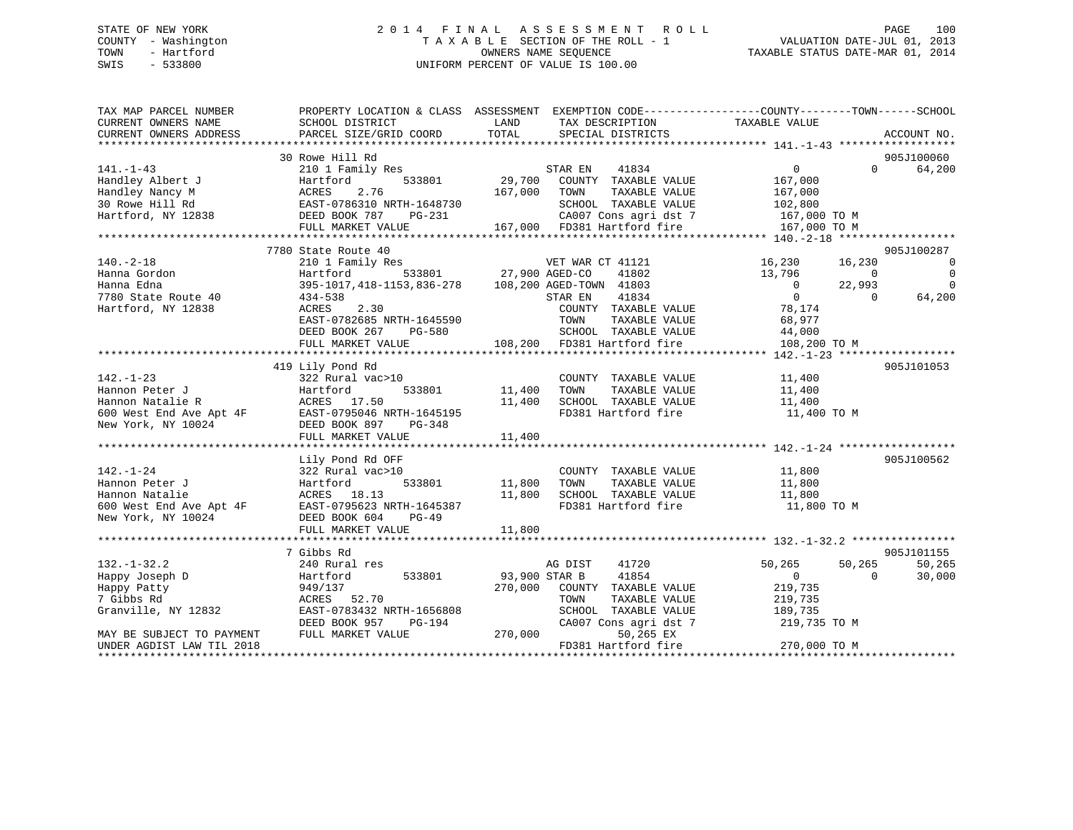## STATE OF NEW YORK 2 0 1 4 F I N A L A S S E S S M E N T R O L L PAGE 100 COUNTY - Washington T A X A B L E SECTION OF THE ROLL - 1 VALUATION DATE-JUL 01, 2013 TOWN - Hartford **TAXABLE STATUS DATE-MAR 01, 2014** OWNERS NAME SEQUENCE TAXABLE STATUS DATE-MAR 01, 2014 SWIS - 533800 UNIFORM PERCENT OF VALUE IS 100.00

| TAX MAP PARCEL NUMBER<br>CURRENT OWNERS NAME                  | SCHOOL DISTRICT                                   | LAND<br>TAX DESCRIPTION                                                                   | PROPERTY LOCATION & CLASS ASSESSMENT EXEMPTION CODE----------------COUNTY-------TOWN------SCHOOL<br>TAXABLE VALUE |
|---------------------------------------------------------------|---------------------------------------------------|-------------------------------------------------------------------------------------------|-------------------------------------------------------------------------------------------------------------------|
| CURRENT OWNERS ADDRESS                                        | PARCEL SIZE/GRID COORD                            | TOTAL<br>SPECIAL DISTRICTS                                                                | ACCOUNT NO.                                                                                                       |
|                                                               |                                                   |                                                                                           |                                                                                                                   |
|                                                               | 30 Rowe Hill Rd                                   |                                                                                           | 905J100060                                                                                                        |
| $141. - 1 - 43$                                               | 210 1 Family Res                                  | STAR EN<br>41834                                                                          | $0 \qquad \qquad$<br>$\Omega$<br>64,200                                                                           |
| Handley Albert J                                              | Hartford<br>533801                                | 29,700 COUNTY TAXABLE VALUE                                                               | 167,000                                                                                                           |
| Handley Nancy M                                               | 2.76<br>ACRES                                     | 167,000 TOWN<br>TAXABLE VALUE                                                             | 167,000                                                                                                           |
| 30 Rowe Hill Rd                                               | EAST-0786310 NRTH-1648730                         | SCHOOL TAXABLE VALUE                                                                      | 102,800                                                                                                           |
| Hartford, NY 12838                                            | DEED BOOK 787<br>PG-231                           | CA007 Cons agri dst 7                                                                     | 167,000 TO M                                                                                                      |
|                                                               | FULL MARKET VALUE                                 | 167,000 FD381 Hartford fire                                                               | 167,000 TO M                                                                                                      |
|                                                               |                                                   |                                                                                           |                                                                                                                   |
|                                                               | 7780 State Route 40                               |                                                                                           | 905J100287                                                                                                        |
| $140. - 2 - 18$                                               | 210 1 Family Res                                  | VET WAR CT 41121                                                                          | 16,230<br>16,230<br>$\overline{0}$                                                                                |
| Hanna Gordon                                                  |                                                   | Hartford 533801 27,900 AGED-CO 41802<br>395-1017,418-1153,836-278 108,200 AGED-TOWN 41803 | $\overline{0}$<br>13,796<br>$\overline{0}$                                                                        |
| Hanna Edna                                                    |                                                   |                                                                                           | $\overline{0}$<br>22,993<br>$\Omega$                                                                              |
| 7780 State Route 40                                           | 434-538                                           | 41834<br>STAR EN                                                                          | 64,200<br>$\overline{0}$<br>$\Omega$                                                                              |
| Hartford, NY 12838                                            | 2.30<br>ACRES                                     | COUNTY TAXABLE VALUE                                                                      | 78,174                                                                                                            |
|                                                               | EAST-0782685 NRTH-1645590                         | TOWN<br>TAXABLE VALUE                                                                     | 68,977                                                                                                            |
|                                                               | DEED BOOK 267<br>PG-580                           | SCHOOL TAXABLE VALUE                                                                      | 44,000                                                                                                            |
|                                                               | FULL MARKET VALUE                                 | 108,200 FD381 Hartford fire                                                               | 108,200 TO M                                                                                                      |
|                                                               |                                                   |                                                                                           |                                                                                                                   |
|                                                               | 419 Lily Pond Rd                                  |                                                                                           | 905J101053                                                                                                        |
| $142. - 1 - 23$                                               | 322 Rural vac>10                                  | COUNTY TAXABLE VALUE                                                                      | 11,400                                                                                                            |
| Hannon Peter J                                                | 533801<br>Hartford                                | 11,400<br>TAXABLE VALUE<br>TOWN                                                           | 11,400                                                                                                            |
|                                                               | ACRES 17.50                                       | 11,400<br>SCHOOL TAXABLE VALUE                                                            | 11,400                                                                                                            |
|                                                               | EAST-0795046 NRTH-1645195                         | FD381 Hartford fire                                                                       | 11,400 TO M                                                                                                       |
| Hannon Peter J<br>Hannon Natalie R<br>600 West End Ave Apt 4F | DEED BOOK 897<br>PG-348                           |                                                                                           |                                                                                                                   |
|                                                               | FULL MARKET VALUE                                 | 11,400                                                                                    |                                                                                                                   |
|                                                               |                                                   |                                                                                           |                                                                                                                   |
|                                                               | Lily Pond Rd OFF                                  |                                                                                           | 905J100562                                                                                                        |
| $142. - 1 - 24$                                               | 322 Rural vac>10                                  | COUNTY TAXABLE VALUE                                                                      | 11,800                                                                                                            |
| Hannon Peter J                                                | 533801<br>Hartford                                | 11,800<br>TAXABLE VALUE<br>TOWN                                                           | 11,800                                                                                                            |
| Hannon Natalie                                                | ACRES 18.13                                       | 11,800<br>SCHOOL TAXABLE VALUE                                                            | 11,800                                                                                                            |
|                                                               | 600 West End Ave Apt 4F EAST-0795623 NRTH-1645387 | FD381 Hartford fire                                                                       | 11,800 TO M                                                                                                       |
| New York, NY 10024                                            | DEED BOOK 604<br>PG-49                            |                                                                                           |                                                                                                                   |
|                                                               | FULL MARKET VALUE                                 | 11,800                                                                                    |                                                                                                                   |
|                                                               |                                                   |                                                                                           |                                                                                                                   |
|                                                               | 7 Gibbs Rd                                        |                                                                                           | 905J101155                                                                                                        |
| $132. - 1 - 32.2$                                             | 240 Rural res                                     | AG DIST<br>41720                                                                          | 50,265<br>50,265<br>50,265                                                                                        |
| Happy Joseph D                                                | 533801<br>Hartford                                | 93,900 STAR B<br>41854                                                                    | $\overline{0}$<br>$\Omega$<br>30,000                                                                              |
| Happy Patty                                                   | 949/137                                           | 270,000 COUNTY TAXABLE VALUE                                                              | 219,735                                                                                                           |
| 7 Gibbs Rd                                                    | ACRES 52.70                                       | TOWN<br>TAXABLE VALUE                                                                     | 219,735                                                                                                           |
| Granville, NY 12832                                           | EAST-0783432 NRTH-1656808                         | SCHOOL TAXABLE VALUE                                                                      | 189,735                                                                                                           |
|                                                               | DEED BOOK 957<br>PG-194                           | CA007 Cons agri dst 7                                                                     | 219,735 TO M                                                                                                      |
| MAY BE SUBJECT TO PAYMENT                                     | FULL MARKET VALUE                                 | 270,000<br>50,265 EX                                                                      |                                                                                                                   |
| UNDER AGDIST LAW TIL 2018                                     |                                                   | FD381 Hartford fire                                                                       | 270,000 TO M                                                                                                      |
|                                                               |                                                   |                                                                                           |                                                                                                                   |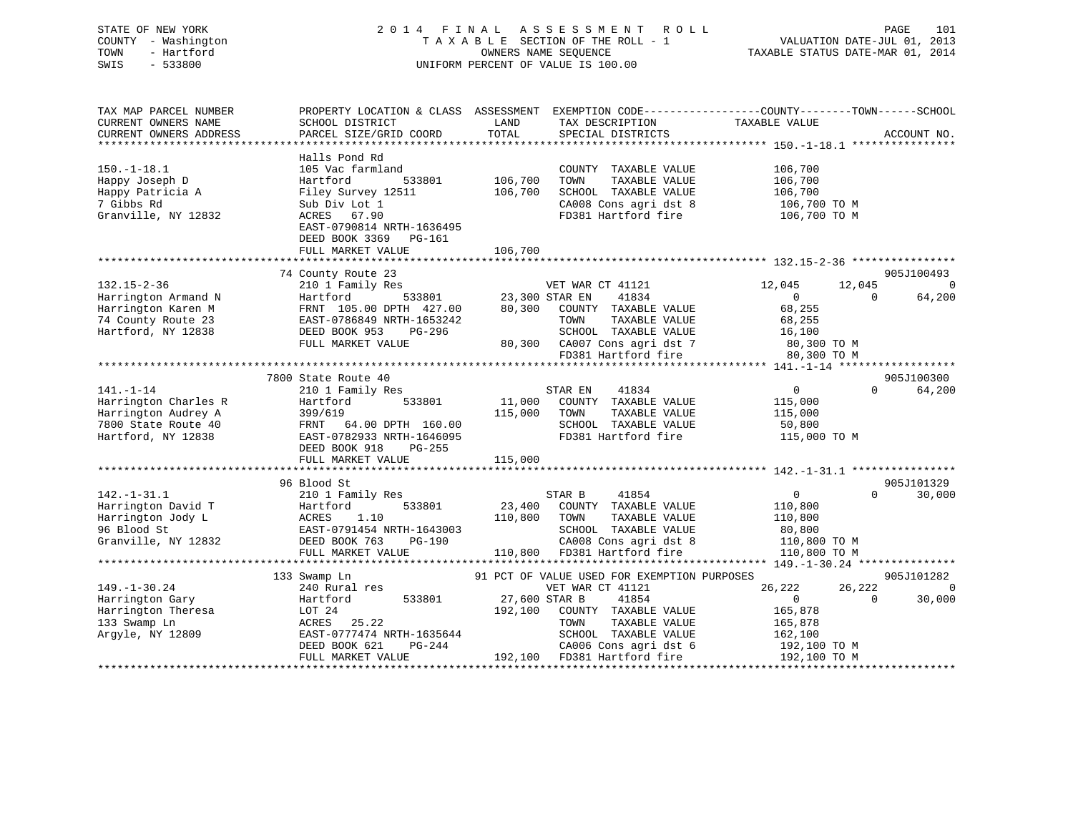| STATE OF NEW YORK<br>COUNTY - Washington<br>- Hartford<br>TOWN<br>SWIS<br>$-533800$                         | 2014 FINAL ASSESSMENT ROLL<br>TAXABLE SECTION OF THE ROLL - 1<br>UNIFORM PERCENT OF VALUE IS 100.00                                                                                      | 101<br>PAGE<br>VALUATION DATE-JUL 01, 2013<br>TAXABLE STATUS DATE-MAR 01, 2014                                                                                 |                                                                                                            |
|-------------------------------------------------------------------------------------------------------------|------------------------------------------------------------------------------------------------------------------------------------------------------------------------------------------|----------------------------------------------------------------------------------------------------------------------------------------------------------------|------------------------------------------------------------------------------------------------------------|
| TAX MAP PARCEL NUMBER<br>CURRENT OWNERS NAME<br>CURRENT OWNERS ADDRESS                                      | SCHOOL DISTRICT<br>PARCEL SIZE/GRID COORD                                                                                                                                                | PROPERTY LOCATION & CLASS ASSESSMENT EXEMPTION CODE---------------COUNTY-------TOWN-----SCHOOL<br>LAND<br>TAX DESCRIPTION<br>TOTAL<br>SPECIAL DISTRICTS        | TAXABLE VALUE<br>ACCOUNT NO.                                                                               |
| $150. - 1 - 18.1$<br>Happy Joseph D<br>Happy Patricia A<br>7 Gibbs Rd<br>Granville, NY 12832                | Halls Pond Rd<br>105 Vac farmland<br>Hartford<br>533801<br>Filey Survey 12511<br>Sub Div Lot 1<br>ACRES 67.90<br>EAST-0790814 NRTH-1636495<br>DEED BOOK 3369 PG-161<br>FULL MARKET VALUE | COUNTY TAXABLE VALUE<br>106,700<br>TOWN<br>TAXABLE VALUE<br>106,700<br>SCHOOL TAXABLE VALUE<br>CA008 Cons agri dst 8<br>FD381 Hartford fire<br>106,700         | 106,700<br>106,700<br>106,700<br>106,700 TO M<br>106,700 TO M                                              |
| $132.15 - 2 - 36$                                                                                           | 74 County Route 23<br>210 1 Family Res                                                                                                                                                   | VET WAR CT 41121                                                                                                                                               | 905J100493<br>12,045<br>12,045<br>$\overline{0}$                                                           |
| Harrington Armand N<br>Harrington Karen M<br>74 County Route 23<br>Hartford, NY 12838                       | Hartford<br>FRNT 105.00 DPTH 427.00<br>EAST-0786849 NRTH-1653242<br>DEED BOOK 953<br>PG-296<br>FULL MARKET VALUE                                                                         | 23,300 STAR EN<br>41834<br>80,300 COUNTY TAXABLE VALUE<br>TOWN<br>TAXABLE VALUE<br>SCHOOL TAXABLE VALUE<br>80,300 CA007 Cons agri dst 7<br>FD381 Hartford fire | $\overline{0}$<br>64,200<br>$\Omega$<br>68,255<br>68,255<br>16,100<br>16,100<br>80,300 TO M<br>80,300 TO M |
|                                                                                                             |                                                                                                                                                                                          |                                                                                                                                                                |                                                                                                            |
| $141. - 1 - 14$<br>Harrington Charles R<br>Harrington Audrey A<br>7800 State Route 40<br>Hartford, NY 12838 | 7800 State Route 40<br>210 1 Family Res<br>Hartford<br>533801<br>399/619<br>FRNT 64.00 DPTH 160.00<br>EAST-0782933 NRTH-1646095<br>$PG-255$<br>DEED BOOK 918<br>FULL MARKET VALUE        | STAR EN<br>41834<br>11,000 COUNTY TAXABLE VALUE<br>115,000 TOWN<br>TAXABLE VALUE<br>SCHOOL TAXABLE VALUE<br>FD381 Hartford fire<br>115,000                     | 905J100300<br>$0 \qquad \qquad$<br>$\Omega$<br>64,200<br>115,000<br>115,000<br>50,800<br>115,000 TO M      |
|                                                                                                             |                                                                                                                                                                                          |                                                                                                                                                                |                                                                                                            |
| $142. - 1 - 31.1$<br>Harrington David T<br>Harrington Jody L<br>96 Blood St<br>$- - - - - - - -$            | 96 Blood St<br>210 1 Family Res<br>533801<br>Hartford<br>1.10<br>ACRES<br>EAST-0791454 NRTH-1643003                                                                                      | 41854<br>STAR B<br>23,400 COUNTY TAXABLE VALUE<br>110,800 TOWN<br>TAXABLE VALUE<br>SCHOOL TAXABLE VALUE<br>$\frac{1}{2}$                                       | 905J101329<br>$\mathbf 0$<br>$\Omega$<br>30,000<br>110,800<br>110,800<br>80,800                            |

| Granville, NY 12832 | DEED BOOK 763<br>PG-190   |               | CA008 Cons agri dst 8                       | 110,800 TO M     |            |
|---------------------|---------------------------|---------------|---------------------------------------------|------------------|------------|
|                     | FULL MARKET VALUE         | 110,800       | FD381 Hartford fire                         | 110,800 TO M     |            |
|                     |                           |               |                                             |                  |            |
|                     | 133 Swamp Ln              |               | 91 PCT OF VALUE USED FOR EXEMPTION PURPOSES |                  | 905J101282 |
| $149. - 1 - 30.24$  | 240 Rural res             |               | VET WAR CT 41121                            | 26,222<br>26,222 | $\Omega$   |
| Harrington Gary     | 533801<br>Hartford        | 27,600 STAR B | 41854                                       |                  | 30,000     |
| Harrington Theresa  | LOT 24                    | 192,100       | TAXABLE VALUE<br>COUNTY                     | 165,878          |            |
| 133 Swamp Ln        | 25.22<br>ACRES            |               | TOWN<br>TAXABLE VALUE                       | 165,878          |            |
| Arqyle, NY 12809    | EAST-0777474 NRTH-1635644 |               | TAXABLE VALUE<br>SCHOOL                     | 162,100          |            |
|                     | DEED BOOK 621<br>PG-244   |               | CA006 Cons agri dst 6                       | 192,100 TO M     |            |
|                     | FULL MARKET VALUE         | 192,100       | FD381 Hartford fire                         | 192,100 TO M     |            |
|                     |                           |               |                                             |                  |            |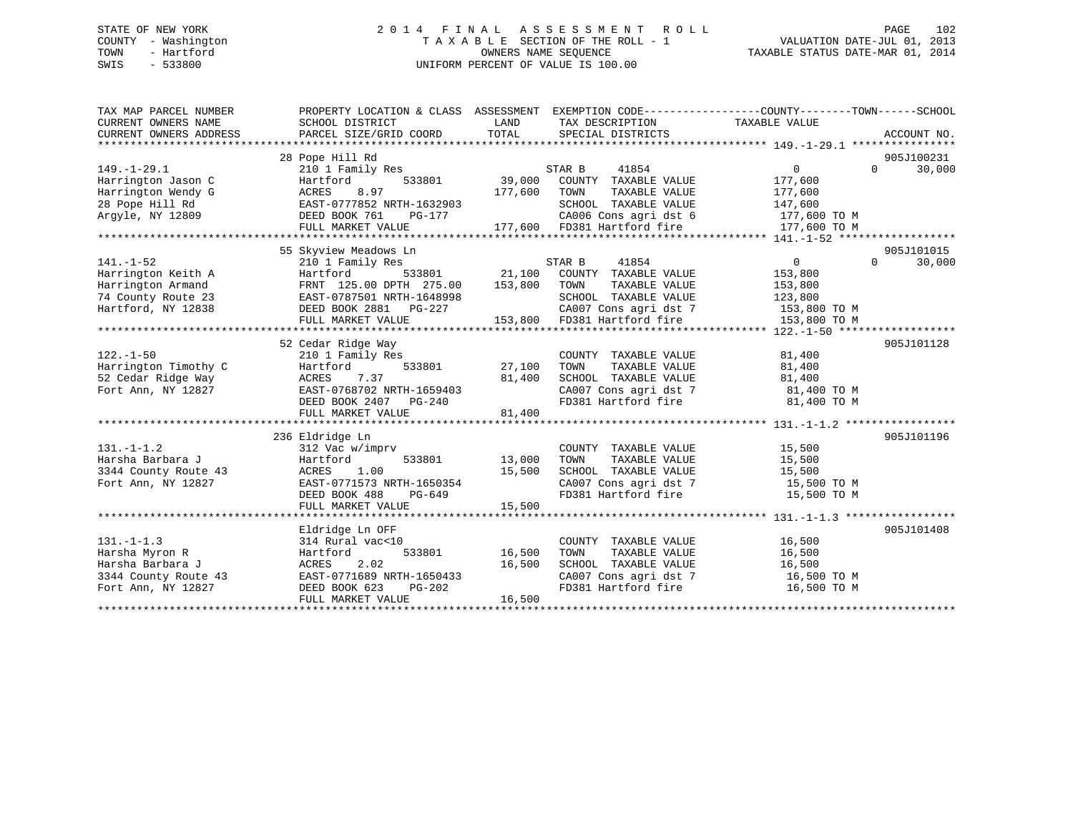## STATE OF NEW YORK 2 0 1 4 F I N A L A S S E S S M E N T R O L L PAGE 102 COUNTY - Washington T A X A B L E SECTION OF THE ROLL - 1 VALUATION DATE-JUL 01, 2013 TOWN - Hartford **TAXABLE STATUS DATE-MAR 01, 2014** OWNERS NAME SEQUENCE TAXABLE STATUS DATE-MAR 01, 2014 SWIS - 533800 UNIFORM PERCENT OF VALUE IS 100.00

| TAX MAP PARCEL NUMBER<br>CURRENT OWNERS NAME<br>CURRENT OWNERS ADDRESS                                 | PROPERTY LOCATION & CLASS ASSESSMENT EXEMPTION CODE----------------COUNTY-------TOWN-----SCHOOL<br>SCHOOL DISTRICT<br>PARCEL SIZE/GRID COORD            | LAND<br>TOTAL              | TAX DESCRIPTION<br>SPECIAL DISTRICTS                                                                                                             | TAXABLE VALUE                                                                 |          | ACCOUNT NO.          |
|--------------------------------------------------------------------------------------------------------|---------------------------------------------------------------------------------------------------------------------------------------------------------|----------------------------|--------------------------------------------------------------------------------------------------------------------------------------------------|-------------------------------------------------------------------------------|----------|----------------------|
| $149. - 1 - 29.1$<br>Harrington Jason C<br>Harrington Wendy G<br>28 Pope Hill Rd<br>Arqyle, NY 12809   | 28 Pope Hill Rd<br>210 1 Family Res<br>533801<br>Hartford<br>ACRES<br>8.97<br>EAST-0777852 NRTH-1632903<br>DEED BOOK 761<br>PG-177<br>FULL MARKET VALUE | 39,000<br>177,600          | STAR B<br>41854<br>COUNTY TAXABLE VALUE<br>TAXABLE VALUE<br>TOWN<br>SCHOOL TAXABLE VALUE<br>CA006 Cons agri dst 6<br>177,600 FD381 Hartford fire | $\Omega$<br>177,600<br>177,600<br>147,600<br>177,600 TO M<br>177,600 TO M     | $\Omega$ | 905J100231<br>30,000 |
|                                                                                                        | 55 Skyview Meadows Ln                                                                                                                                   |                            |                                                                                                                                                  |                                                                               |          | 905J101015           |
| $141. - 1 - 52$<br>Harrington Keith A<br>Harrington Armand<br>74 County Route 23<br>Hartford, NY 12838 | 210 1 Family Res<br>533801<br>Hartford<br>FRNT 125.00 DPTH 275.00<br>EAST-0787501 NRTH-1648998<br>DEED BOOK 2881 PG-227<br>FULL MARKET VALUE            | 21,100<br>153,800          | 41854<br>STAR B<br>COUNTY TAXABLE VALUE<br>TOWN<br>TAXABLE VALUE<br>SCHOOL TAXABLE VALUE<br>CA007 Cons agri dst 7<br>153,800 FD381 Hartford fire | $\mathbf{0}$<br>153,800<br>153,800<br>123,800<br>153,800 TO M<br>153,800 TO M | $\Omega$ | 30,000               |
|                                                                                                        | 52 Cedar Ridge Way                                                                                                                                      |                            |                                                                                                                                                  |                                                                               |          | 905J101128           |
| $122. - 1 - 50$<br>Harrington Timothy C<br>52 Cedar Ridge Way<br>Fort Ann, NY 12827                    | 210 1 Family Res<br>533801<br>Hartford<br>ACRES<br>7.37<br>EAST-0768702 NRTH-1659403<br>DEED BOOK 2407 PG-240<br>FULL MARKET VALUE                      | 27,100<br>81,400<br>81,400 | COUNTY TAXABLE VALUE<br>TAXABLE VALUE<br>TOWN<br>SCHOOL TAXABLE VALUE<br>CA007 Cons agri dst 7<br>FD381 Hartford fire                            | 81,400<br>81,400<br>81,400<br>81,400 TO M<br>81,400 TO M                      |          |                      |
|                                                                                                        | 236 Eldridge Ln                                                                                                                                         |                            |                                                                                                                                                  |                                                                               |          | 905J101196           |
| $131. - 1 - 1.2$<br>Harsha Barbara J<br>3344 County Route 43<br>Fort Ann, NY 12827                     | 312 Vac w/imprv<br>533801<br>Hartford<br>1.00<br>ACRES<br>EAST-0771573 NRTH-1650354<br>DEED BOOK 488<br>PG-649<br>FULL MARKET VALUE                     | 13,000<br>15,500<br>15,500 | COUNTY TAXABLE VALUE<br>TAXABLE VALUE<br>TOWN<br>SCHOOL TAXABLE VALUE<br>CA007 Cons agri dst 7<br>FD381 Hartford fire                            | 15,500<br>15,500<br>15,500<br>15,500 TO M<br>15,500 TO M                      |          |                      |
|                                                                                                        |                                                                                                                                                         |                            |                                                                                                                                                  |                                                                               |          |                      |
| $131. -1 - 1.3$<br>Harsha Myron R<br>Harsha Barbara J<br>3344 County Route 43<br>Fort Ann, NY 12827    | Eldridge Ln OFF<br>314 Rural vac<10<br>533801<br>Hartford<br>ACRES<br>2.02<br>EAST-0771689 NRTH-1650433<br>DEED BOOK 623<br>PG-202<br>FULL MARKET VALUE | 16,500<br>16,500<br>16,500 | COUNTY TAXABLE VALUE<br>TOWN<br>TAXABLE VALUE<br>SCHOOL TAXABLE VALUE<br>CA007 Cons agri dst 7<br>FD381 Hartford fire                            | 16,500<br>16,500<br>16,500<br>16,500 TO M<br>16,500 TO M                      |          | 905J101408           |
|                                                                                                        |                                                                                                                                                         |                            |                                                                                                                                                  |                                                                               |          |                      |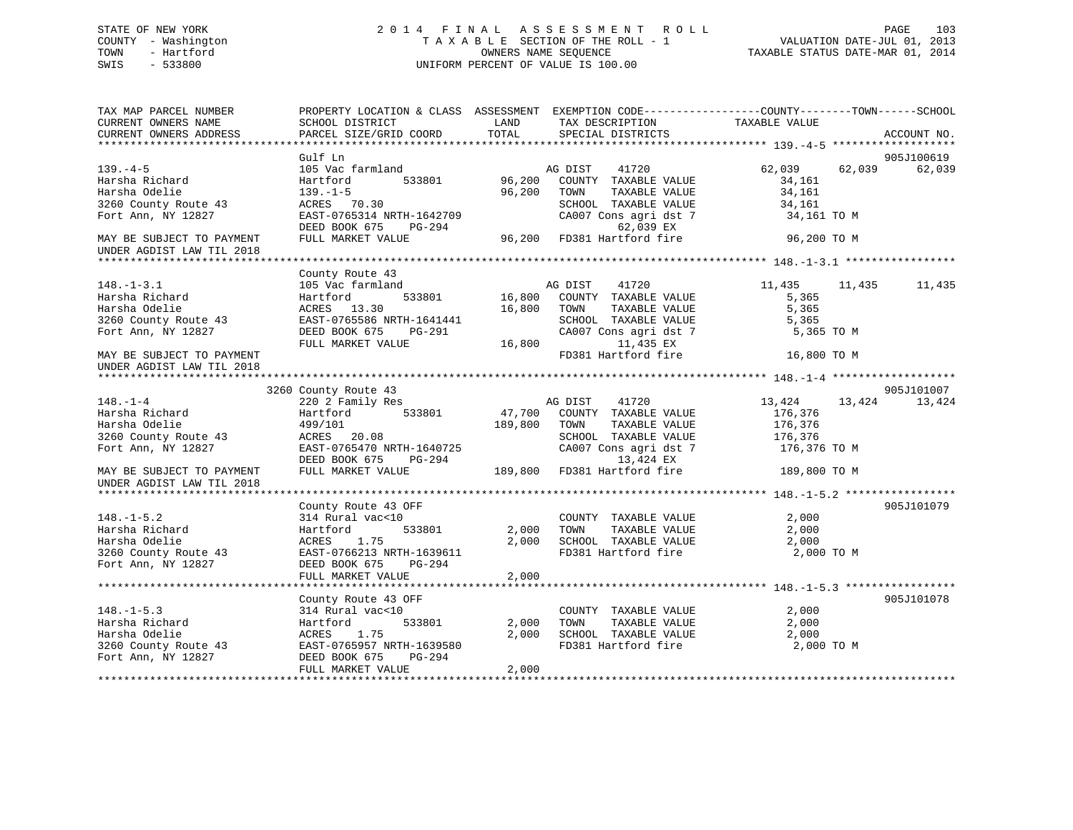## STATE OF NEW YORK 2 0 1 4 F I N A L A S S E S S M E N T R O L L PAGE 103 COUNTY - Washington T A X A B L E SECTION OF THE ROLL - 1 VALUATION DATE-JUL 01, 2013 TOWN - Hartford **TAXABLE STATUS DATE-MAR 01, 2014** OWNERS NAME SEQUENCE TAXABLE STATUS DATE-MAR 01, 2014 SWIS - 533800 UNIFORM PERCENT OF VALUE IS 100.00

| TAX MAP PARCEL NUMBER<br>CURRENT OWNERS NAME<br>CURRENT OWNERS ADDRESS | PROPERTY LOCATION & CLASS ASSESSMENT EXEMPTION CODE----------------COUNTY-------TOWN------SCHOOL<br>SCHOOL DISTRICT<br>PARCEL SIZE/GRID COORD | LAND<br>TOTAL | TAX DESCRIPTION TAXABLE VALUE<br>SPECIAL DISTRICTS |                    | ACCOUNT NO. |
|------------------------------------------------------------------------|-----------------------------------------------------------------------------------------------------------------------------------------------|---------------|----------------------------------------------------|--------------------|-------------|
|                                                                        |                                                                                                                                               |               |                                                    |                    |             |
|                                                                        | Gulf Ln                                                                                                                                       |               |                                                    |                    | 905J100619  |
| $139. -4 - 5$                                                          | 105 Vac farmland                                                                                                                              |               | 41720<br>AG DIST                                   | 62,039<br>62,039   | 62,039      |
| Harsha Richard                                                         | 533801<br>Hartford                                                                                                                            | 96,200        | COUNTY TAXABLE VALUE                               | 34,161             |             |
| Harsha Odelie                                                          | $139. - 1 - 5$                                                                                                                                | 96,200        | TOWN<br>TAXABLE VALUE                              | 34,161             |             |
| 3260 County Route 43                                                   | ACRES 70.30                                                                                                                                   |               | SCHOOL TAXABLE VALUE                               | 34,161             |             |
| Fort Ann, NY 12827                                                     | EAST-0765314 NRTH-1642709                                                                                                                     |               | CA007 Cons agri dst 7                              | 34,161 TO M        |             |
|                                                                        | DEED BOOK 675<br>PG-294                                                                                                                       |               | 62,039 EX                                          |                    |             |
| MAY BE SUBJECT TO PAYMENT                                              | FULL MARKET VALUE                                                                                                                             |               | 96,200 FD381 Hartford fire                         | 96,200 TO M        |             |
| UNDER AGDIST LAW TIL 2018                                              |                                                                                                                                               |               |                                                    |                    |             |
|                                                                        |                                                                                                                                               |               |                                                    |                    |             |
|                                                                        | County Route 43                                                                                                                               |               |                                                    |                    |             |
| $148. - 1 - 3.1$                                                       | 105 Vac farmland                                                                                                                              |               | AG DIST<br>41720                                   | 11,435<br>11,435   | 11,435      |
| Harsha Richard                                                         | Hartford                                                                                                                                      | 533801 16,800 | COUNTY TAXABLE VALUE                               | 5,365              |             |
| Harsha Odelie                                                          | ACRES 13.30                                                                                                                                   | 16,800        | TOWN<br>TAXABLE VALUE                              | 5,365              |             |
| 3260 County Route 43                                                   | EAST-0765586 NRTH-1641441                                                                                                                     |               | SCHOOL TAXABLE VALUE                               | 5,365              |             |
| Fort Ann, NY 12827                                                     | DEED BOOK 675<br>PG-291                                                                                                                       |               | CA007 Cons agri dst 7                              | 5,365 TO M         |             |
|                                                                        | FULL MARKET VALUE                                                                                                                             | 16,800        | 11,435 EX                                          |                    |             |
| MAY BE SUBJECT TO PAYMENT                                              |                                                                                                                                               |               | FD381 Hartford fire                                | 16,800 TO M        |             |
| UNDER AGDIST LAW TIL 2018                                              |                                                                                                                                               |               |                                                    |                    |             |
|                                                                        |                                                                                                                                               |               |                                                    |                    |             |
|                                                                        | 3260 County Route 43                                                                                                                          |               |                                                    |                    | 905J101007  |
| $148. - 1 - 4$<br>Harsha Richard                                       | 220 2 Family Res                                                                                                                              |               | AG DIST<br>41720                                   | 13,424<br>13,424   | 13,424      |
|                                                                        | Hartford<br>533801                                                                                                                            |               | 47,700 COUNTY TAXABLE VALUE                        | 176,376            |             |
| Harsha Odelie<br>3260 County Route 43                                  | 499/101                                                                                                                                       | 189,800       | TOWN<br>TAXABLE VALUE<br>SCHOOL TAXABLE VALUE      | 176,376<br>176,376 |             |
| Fort Ann, NY 12827                                                     | ACRES 20.08<br>EAST-0765470 NRTH-1640725                                                                                                      |               | CA007 Cons agri dst 7                              | 176,376 TO M       |             |
|                                                                        | DEED BOOK 675<br>PG-294                                                                                                                       |               | 13,424 EX                                          |                    |             |
| MAY BE SUBJECT TO PAYMENT                                              | FULL MARKET VALUE                                                                                                                             |               | 189,800 FD381 Hartford fire                        | 189,800 TO M       |             |
| UNDER AGDIST LAW TIL 2018                                              |                                                                                                                                               |               |                                                    |                    |             |
|                                                                        |                                                                                                                                               |               |                                                    |                    |             |
|                                                                        | County Route 43 OFF                                                                                                                           |               |                                                    |                    | 905J101079  |
| $148. - 1 - 5.2$                                                       | 314 Rural vac<10                                                                                                                              |               | COUNTY TAXABLE VALUE                               | 2,000              |             |
| Harsha Richard                                                         | 533801<br>Hartford                                                                                                                            | 2,000         | TAXABLE VALUE<br>TOWN                              | 2,000              |             |
| Harsha Odelie                                                          | 1.75<br>ACRES                                                                                                                                 | 2,000         | SCHOOL TAXABLE VALUE                               | 2,000              |             |
| 3260 County Route 43                                                   | EAST-0766213 NRTH-1639611                                                                                                                     |               | FD381 Hartford fire                                | 2,000 TO M         |             |
| Fort Ann, NY 12827                                                     | PG-294<br>DEED BOOK 675                                                                                                                       |               |                                                    |                    |             |
|                                                                        | FULL MARKET VALUE                                                                                                                             | 2,000         |                                                    |                    |             |
|                                                                        |                                                                                                                                               |               |                                                    |                    |             |
|                                                                        | County Route 43 OFF                                                                                                                           |               |                                                    |                    | 905J101078  |
| $148. - 1 - 5.3$                                                       | 314 Rural vac<10                                                                                                                              |               | COUNTY TAXABLE VALUE                               | 2,000              |             |
| Harsha Richard                                                         | 533801<br>Hartford                                                                                                                            | 2,000         | TAXABLE VALUE<br>TOWN                              | 2,000              |             |
| Harsha Odelie                                                          | 1.75<br>ACRES                                                                                                                                 | 2,000         | SCHOOL TAXABLE VALUE                               | 2,000              |             |
| 3260 County Route 43                                                   | EAST-0765957 NRTH-1639580                                                                                                                     |               | FD381 Hartford fire                                | 2,000 TO M         |             |
| Fort Ann, NY 12827                                                     | PG-294<br>DEED BOOK 675                                                                                                                       |               |                                                    |                    |             |
|                                                                        | FULL MARKET VALUE                                                                                                                             | 2,000         |                                                    |                    |             |
|                                                                        |                                                                                                                                               |               |                                                    |                    |             |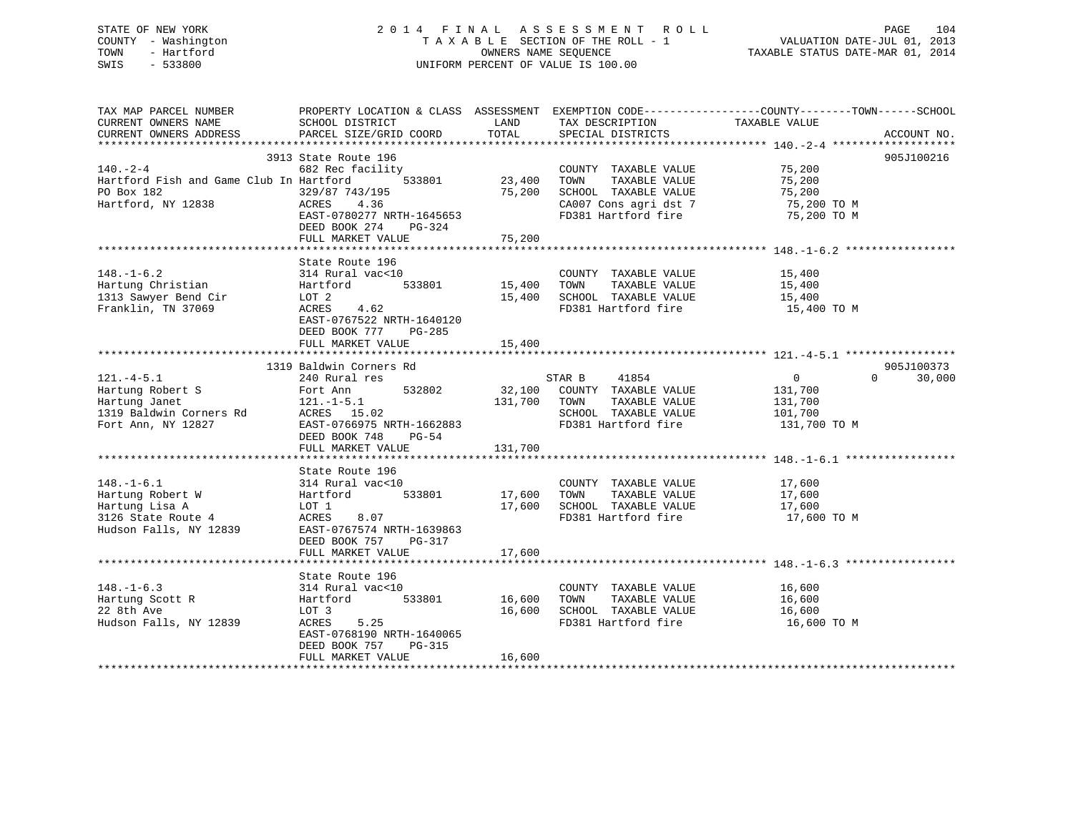STATE OF NEW YORK 2 0 1 4 F I N A L A S S E S S M E N T R O L L PAGE 104 COUNTY - Washington T A X A B L E SECTION OF THE ROLL - 1 VALUATION DATE-JUL 01, 2013 TOWN - Hartford **TAXABLE STATUS DATE-MAR 01, 2014** OWNERS NAME SEQUENCE TAXABLE STATUS DATE-MAR 01, 2014 SWIS - 533800 UNIFORM PERCENT OF VALUE IS 100.00

| TAX MAP PARCEL NUMBER                                                                                                                                                                                                                       | PROPERTY LOCATION & CLASS ASSESSMENT EXEMPTION CODE----------------COUNTY-------TOWN------SCHOOL                                                                               |        |                                                                       |               |                    |
|---------------------------------------------------------------------------------------------------------------------------------------------------------------------------------------------------------------------------------------------|--------------------------------------------------------------------------------------------------------------------------------------------------------------------------------|--------|-----------------------------------------------------------------------|---------------|--------------------|
| CURRENT OWNERS NAME                                                                                                                                                                                                                         | SCHOOL DISTRICT                                                                                                                                                                | LAND   | TAX DESCRIPTION                                                       | TAXABLE VALUE |                    |
|                                                                                                                                                                                                                                             |                                                                                                                                                                                |        | SPECIAL DISTRICTS                                                     |               | ACCOUNT NO.        |
|                                                                                                                                                                                                                                             |                                                                                                                                                                                |        |                                                                       |               |                    |
|                                                                                                                                                                                                                                             | 3913 State Route 196                                                                                                                                                           |        |                                                                       |               | 905J100216         |
|                                                                                                                                                                                                                                             |                                                                                                                                                                                |        |                                                                       |               |                    |
| 140.-2-4 682 Rec facility COUNTY TAXABLE VALUE 75,200<br>Hartford Fish and Game Club In Hartford 533801 23,400 TOWN TAXABLE VALUE 75,200                                                                                                    |                                                                                                                                                                                |        |                                                                       |               |                    |
| PO Box 182                                                                                                                                                                                                                                  |                                                                                                                                                                                |        |                                                                       |               |                    |
| Ho Box 182<br>Hartford, NY 12838                                                                                                                                                                                                            | $329/87$ 743/195 $75,200$ SCHOOL TAXABLE VALUE $75,200$<br>ACRES 4.36 CA007 Consagridst 7 75,200 TO M<br>ACRES 4.36                                                            |        |                                                                       |               |                    |
|                                                                                                                                                                                                                                             |                                                                                                                                                                                |        | FD381 Hartford fire 75,200 TO M                                       |               |                    |
|                                                                                                                                                                                                                                             | EAST-0780277 NRTH-1645653                                                                                                                                                      |        |                                                                       |               |                    |
|                                                                                                                                                                                                                                             | DEED BOOK 274 PG-324                                                                                                                                                           |        |                                                                       |               |                    |
|                                                                                                                                                                                                                                             | FULL MARKET VALUE                                                                                                                                                              | 75,200 |                                                                       |               |                    |
|                                                                                                                                                                                                                                             |                                                                                                                                                                                |        |                                                                       |               |                    |
|                                                                                                                                                                                                                                             | State Route 196                                                                                                                                                                |        |                                                                       |               |                    |
|                                                                                                                                                                                                                                             |                                                                                                                                                                                |        |                                                                       |               |                    |
|                                                                                                                                                                                                                                             |                                                                                                                                                                                |        |                                                                       |               |                    |
|                                                                                                                                                                                                                                             |                                                                                                                                                                                |        |                                                                       |               |                    |
|                                                                                                                                                                                                                                             |                                                                                                                                                                                |        | 15,400 SCHOOL TAXABLE VALUE 15,400<br>FD381 Hartford fire 15,400 TO M |               |                    |
|                                                                                                                                                                                                                                             | EAST-0767522 NRTH-1640120                                                                                                                                                      |        |                                                                       |               |                    |
|                                                                                                                                                                                                                                             | DEED BOOK 777 PG-285                                                                                                                                                           |        |                                                                       |               |                    |
|                                                                                                                                                                                                                                             | FULL MARKET VALUE                                                                                                                                                              | 15,400 |                                                                       |               |                    |
|                                                                                                                                                                                                                                             |                                                                                                                                                                                |        |                                                                       |               |                    |
|                                                                                                                                                                                                                                             |                                                                                                                                                                                |        |                                                                       |               | 905J100373         |
|                                                                                                                                                                                                                                             |                                                                                                                                                                                |        |                                                                       |               | 30,000<br>$\Omega$ |
| 121.-4-5.1 240 Rural res<br>Hartung Robert S<br>Hartung Janet 121.-1-5.1 32802 32,100 COUNTY TAXABLE VALUE 131,700<br>1319 Baldwin Corners Rd<br>Fort Ann, NY 12827 22<br>Fort Ann, NY 12827 22<br>LEED BOOK 748 PG-54<br>PULL MARKET VALUE |                                                                                                                                                                                |        |                                                                       |               |                    |
|                                                                                                                                                                                                                                             |                                                                                                                                                                                |        |                                                                       |               |                    |
|                                                                                                                                                                                                                                             |                                                                                                                                                                                |        |                                                                       |               |                    |
|                                                                                                                                                                                                                                             |                                                                                                                                                                                |        |                                                                       |               |                    |
|                                                                                                                                                                                                                                             |                                                                                                                                                                                |        |                                                                       | 131,700 TO M  |                    |
|                                                                                                                                                                                                                                             |                                                                                                                                                                                |        |                                                                       |               |                    |
|                                                                                                                                                                                                                                             | FULL MARKET VALUE 131,700                                                                                                                                                      |        |                                                                       |               |                    |
|                                                                                                                                                                                                                                             |                                                                                                                                                                                |        |                                                                       |               |                    |
|                                                                                                                                                                                                                                             | State Route 196                                                                                                                                                                |        |                                                                       |               |                    |
|                                                                                                                                                                                                                                             |                                                                                                                                                                                |        |                                                                       |               |                    |
|                                                                                                                                                                                                                                             |                                                                                                                                                                                |        |                                                                       |               |                    |
|                                                                                                                                                                                                                                             |                                                                                                                                                                                |        |                                                                       |               |                    |
| 148.-1-6.1<br>Hartung Robert W 314 Rural vac<10<br>Hartung Robert W Hartford 533801 17,600 TOWN TAXABLE VALUE 17,600<br>Hartung Lisa A LOT 1 17,600 SCHOOL TAXABLE VALUE 17,600<br>3126 State Route 4 ACRES 8.07 FD381 Hartford fire 1      |                                                                                                                                                                                |        | FD381 Hartford fire 17,600 TO M                                       |               |                    |
|                                                                                                                                                                                                                                             |                                                                                                                                                                                |        |                                                                       |               |                    |
|                                                                                                                                                                                                                                             | DEED BOOK 757 PG-317                                                                                                                                                           |        |                                                                       |               |                    |
|                                                                                                                                                                                                                                             | FULL MARKET VALUE                                                                                                                                                              | 17,600 |                                                                       |               |                    |
|                                                                                                                                                                                                                                             |                                                                                                                                                                                |        |                                                                       |               |                    |
|                                                                                                                                                                                                                                             | State Route 196                                                                                                                                                                |        |                                                                       |               |                    |
| $148. - 1 - 6.3$                                                                                                                                                                                                                            |                                                                                                                                                                                |        |                                                                       |               |                    |
|                                                                                                                                                                                                                                             |                                                                                                                                                                                |        |                                                                       |               |                    |
| Hartung Scott R<br>22 8th Ave                                                                                                                                                                                                               | COUNTY TAXABLE VALUE<br>314 Rural vac<10<br>Hartford 533801 16,600 TOWN TAXABLE VALUE 16,600<br>T.O.T 3 16,600 SCHOOL TAXABLE VALUE 16,600<br>The Term of Terminal fire 16,600 |        |                                                                       |               |                    |
| 22 8th Ave                                                                                                                                                                                                                                  | LOT 3<br>ACRES 5.25                                                                                                                                                            |        |                                                                       |               |                    |
| Hudson Falls, NY 12839                                                                                                                                                                                                                      |                                                                                                                                                                                |        | FD381 Hartford fire                                                   | 16,600 TO M   |                    |
|                                                                                                                                                                                                                                             | EAST-0768190 NRTH-1640065                                                                                                                                                      |        |                                                                       |               |                    |
|                                                                                                                                                                                                                                             | DEED BOOK 757 PG-315                                                                                                                                                           |        |                                                                       |               |                    |
|                                                                                                                                                                                                                                             | FULL MARKET VALUE                                                                                                                                                              | 16,600 |                                                                       |               |                    |
|                                                                                                                                                                                                                                             |                                                                                                                                                                                |        |                                                                       |               |                    |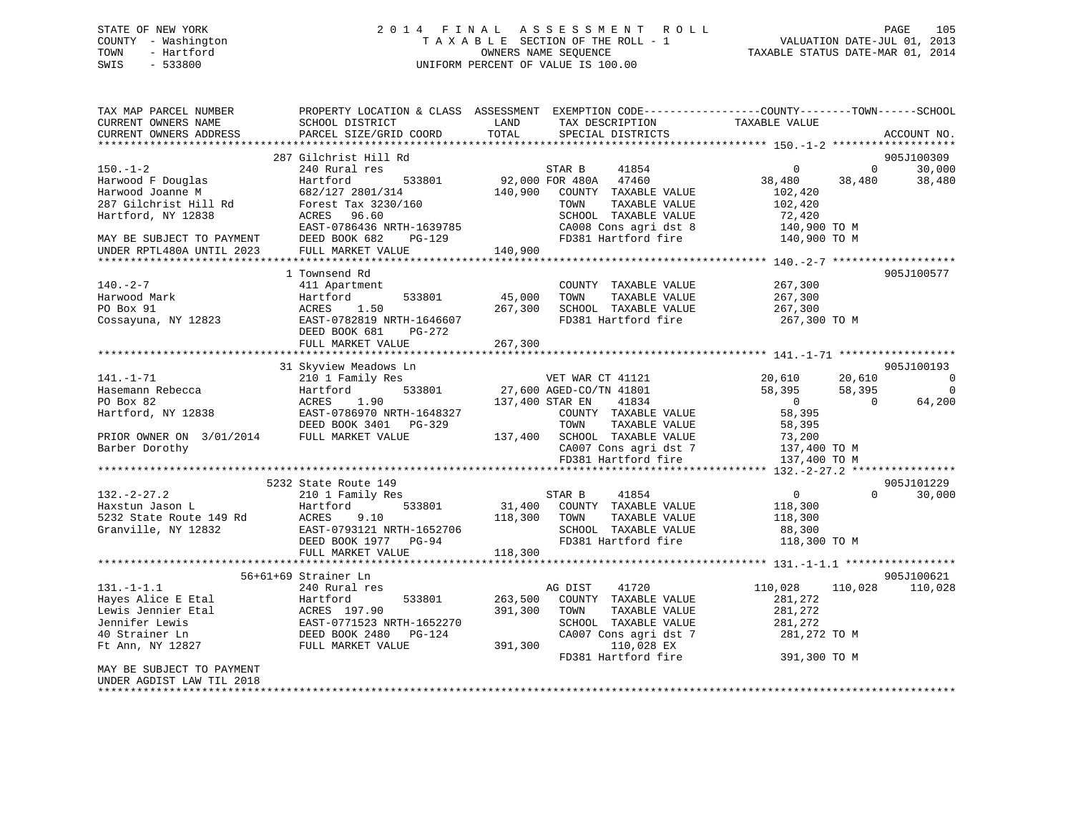## STATE OF NEW YORK 2 0 1 4 F I N A L A S S E S S M E N T R O L L PAGE 105 COUNTY - Washington T A X A B L E SECTION OF THE ROLL - 1 VALUATION DATE-JUL 01, 2013 TOWN - Hartford **TAXABLE STATUS DATE-MAR 01, 2014** OWNERS NAME SEQUENCE TAXABLE STATUS DATE-MAR 01, 2014 SWIS - 533800 UNIFORM PERCENT OF VALUE IS 100.00

| TAX MAP PARCEL NUMBER                      | PROPERTY LOCATION & CLASS ASSESSMENT EXEMPTION CODE---------------COUNTY-------TOWN------SCHOOL |                 |                                                                        |                         |                                                |
|--------------------------------------------|-------------------------------------------------------------------------------------------------|-----------------|------------------------------------------------------------------------|-------------------------|------------------------------------------------|
| CURRENT OWNERS NAME                        | SCHOOL DISTRICT                                                                                 | LAND            | TAX DESCRIPTION TAXABLE VALUE<br>SPECIAL DISTRICTS                     |                         |                                                |
| CURRENT OWNERS ADDRESS                     | PARCEL SIZE/GRID COORD                                                                          | TOTAL           | SPECIAL DISTRICTS                                                      |                         | ACCOUNT NO.                                    |
|                                            |                                                                                                 |                 |                                                                        |                         |                                                |
|                                            | 287 Gilchrist Hill Rd                                                                           |                 |                                                                        |                         | 905J100309                                     |
| $150. - 1 - 2$                             | 240 Rural res                                                                                   |                 | STAR B<br>41854                                                        | $\overline{0}$          | 30,000<br>$\overline{0}$                       |
| Harwood F Douglas<br>Harwood Joanne M      | 533801<br>Hartford<br>682/127 2801/314                                                          |                 | 92,000 FOR 480A 47460<br>140,900 COUNTY TAXABLE VALUE                  | 38,480                  | 38,480<br>38,480                               |
| 287 Gilchrist Hill Rd                      | Forest Tax 3230/160                                                                             |                 | TAXABLE VALUE<br>TOWN                                                  | 102,420<br>102,420      |                                                |
| Hartford, NY 12838                         | ACRES 96.60                                                                                     |                 | SCHOOL TAXABLE VALUE                                                   | 72,420                  |                                                |
|                                            |                                                                                                 |                 |                                                                        |                         |                                                |
| MAY BE SUBJECT TO PAYMENT                  | EAST-0786436 NRTH-1639785<br>DEED BOOK 682 PG-129                                               |                 | CA008 Cons agri dst 8 140,900 TO M<br>FD381 Hartford fire 140,900 TO M |                         |                                                |
| UNDER RPTL480A UNTIL 2023                  | FULL MARKET VALUE                                                                               | 140,900         |                                                                        |                         |                                                |
|                                            |                                                                                                 |                 |                                                                        |                         |                                                |
|                                            | 1 Townsend Rd                                                                                   |                 |                                                                        |                         | 905J100577                                     |
| $140. - 2 - 7$                             | 411 Apartment                                                                                   |                 | COUNTY TAXABLE VALUE                                                   | 267,300                 |                                                |
| Harwood Mark                               | Hartford<br>533801                                                                              | 45,000          | TAXABLE VALUE<br>TOWN                                                  | 267,300                 |                                                |
| PO Box 91                                  | ACRES 1.50                                                                                      | 267,300         | SCHOOL TAXABLE VALUE                                                   | 267,300                 |                                                |
| Cossayuna, NY 12823                        | EAST-0782819 NRTH-1646607                                                                       |                 | FD381 Hartford fire                                                    | 267,300 TO M            |                                                |
|                                            | DEED BOOK 681<br>PG-272                                                                         |                 |                                                                        |                         |                                                |
|                                            | FULL MARKET VALUE                                                                               | 267,300         |                                                                        |                         |                                                |
|                                            |                                                                                                 |                 |                                                                        |                         |                                                |
|                                            | 31 Skyview Meadows Ln                                                                           |                 |                                                                        |                         | 905J100193                                     |
| 141.-1-71<br>Hasemann Rebecca              | 210 1 Family Res<br>Hartford                                                                    |                 | VET WAR CT 41121<br>533801 27,600 AGED-CO/TN 41801                     | 20,610<br>58,395 58,395 | $\overline{\phantom{0}}$<br>20,610<br>$\Omega$ |
| PO Box 82                                  | 1.90<br>ACRES                                                                                   | 137,400 STAR EN | 41834                                                                  | $\overline{0}$          | $\Omega$<br>64,200                             |
|                                            | Hartford, NY 12838 EAST-0786970 NRTH-1648327                                                    |                 | COUNTY TAXABLE VALUE                                                   | 58,395                  |                                                |
|                                            | DEED BOOK 3401 PG-329                                                                           |                 | TOWN<br>TAXABLE VALUE                                                  | 58,395                  |                                                |
| PRIOR OWNER ON 3/01/2014 FULL MARKET VALUE |                                                                                                 |                 | 137,400 SCHOOL TAXABLE VALUE                                           |                         |                                                |
| Barber Dorothy                             |                                                                                                 |                 | CA007 Cons agri dst 7                                                  | 73,200<br>137,400 TO M  |                                                |
|                                            |                                                                                                 |                 | FD381 Hartford fire                                                    | 137,400 TO M            |                                                |
|                                            |                                                                                                 |                 |                                                                        |                         |                                                |
|                                            | 5232 State Route 149                                                                            |                 |                                                                        |                         | 905J101229                                     |
| $132 - 2 - 27.2$                           | 210 1 Family Res                                                                                |                 | 41854<br>STAR B                                                        | $\overline{0}$          | $\Omega$<br>30,000                             |
| Haxstun Jason L                            | 533801<br>Hartford                                                                              |                 | 31,400 COUNTY TAXABLE VALUE                                            | 118,300                 |                                                |
| 5232 State Route 149 Rd                    | ACRES                                                                                           | 118,300         | TAXABLE VALUE<br>TOWN                                                  | 118,300                 |                                                |
| Granville, NY 12832                        | ACRES 9.10<br>EAST-0793121 NRTH-1652706<br>---- 1077 DC-94                                      |                 | SCHOOL TAXABLE VALUE<br>FD381 Hartford fire 118,300 TO M               | 88,300                  |                                                |
|                                            | FULL MARKET VALUE                                                                               |                 |                                                                        |                         |                                                |
|                                            |                                                                                                 | 118,300         |                                                                        |                         |                                                |
|                                            | 56+61+69 Strainer Ln                                                                            |                 |                                                                        |                         | 905J100621                                     |
| $131. - 1 - 1.1$                           | 240 Rural res                                                                                   |                 | AG DIST<br>41720                                                       | 110,028<br>110,028      | 110,028                                        |
| Hayes Alice E Etal                         | 533801<br>Hartford                                                                              | 263,500         | COUNTY TAXABLE VALUE                                                   | 281,272                 |                                                |
| Lewis Jennier Etal                         |                                                                                                 | 391,300         | TOWN<br>TAXABLE VALUE                                                  | 281,272                 |                                                |
| Jennifer Lewis                             |                                                                                                 |                 | SCHOOL TAXABLE VALUE                                                   | 281,272                 |                                                |
| 40 Strainer Ln                             | ACRES 197.90<br>EAST-0771523 NRTH-1652270<br>DEED BOOK 2480 PG-124                              |                 | CA007 Cons agri dst 7                                                  | 281,272 TO M            |                                                |
| Ft Ann, NY 12827                           | FULL MARKET VALUE                                                                               | 391,300         | 110,028 EX                                                             |                         |                                                |
|                                            |                                                                                                 |                 | FD381 Hartford fire                                                    | 391,300 TO M            |                                                |
| MAY BE SUBJECT TO PAYMENT                  |                                                                                                 |                 |                                                                        |                         |                                                |
| UNDER AGDIST LAW TIL 2018                  |                                                                                                 |                 |                                                                        |                         |                                                |
|                                            |                                                                                                 |                 |                                                                        |                         |                                                |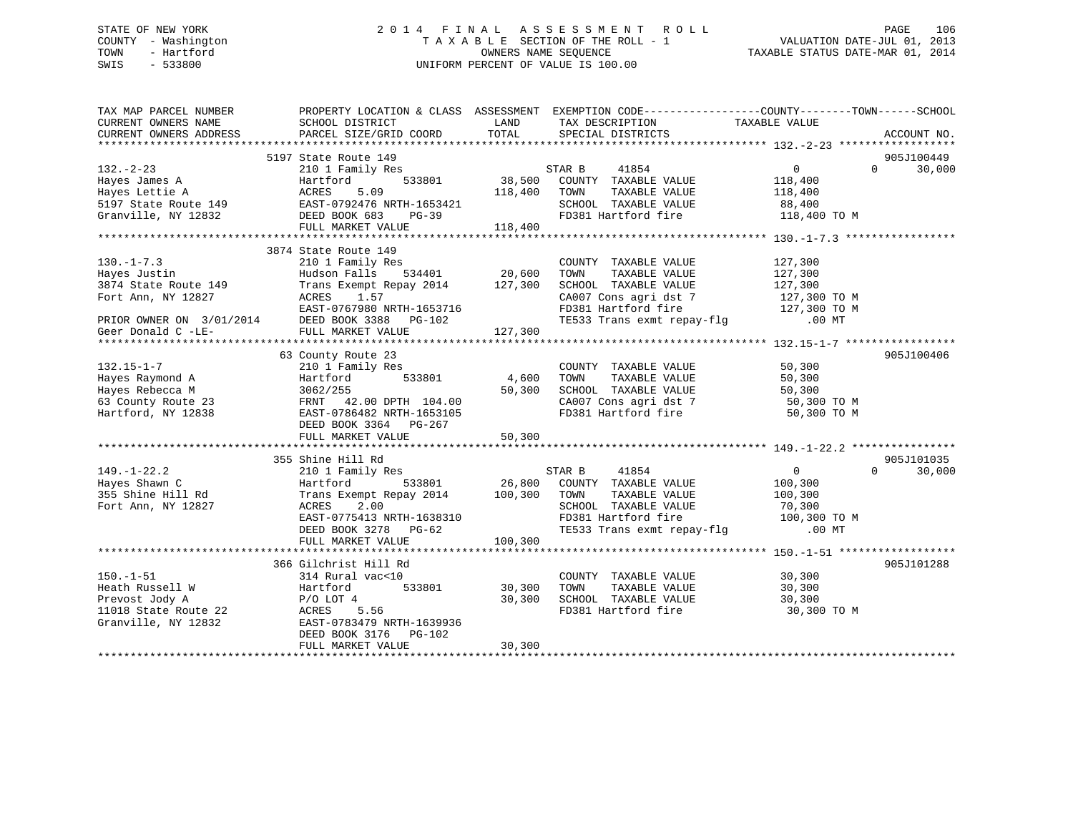## STATE OF NEW YORK 2 0 1 4 F I N A L A S S E S S M E N T R O L L PAGE 106 COUNTY - Washington T A X A B L E SECTION OF THE ROLL - 1 VALUATION DATE-JUL 01, 2013 TOWN - Hartford **TAXABLE STATUS DATE-MAR 01, 2014** OWNERS NAME SEQUENCE TAXABLE STATUS DATE-MAR 01, 2014 SWIS - 533800 UNIFORM PERCENT OF VALUE IS 100.00

| TAX MAP PARCEL NUMBER<br>CURRENT OWNERS NAME<br>CURRENT OWNERS ADDRESS   | PROPERTY LOCATION & CLASS ASSESSMENT EXEMPTION CODE----------------COUNTY-------TOWN------SCHOOL<br>SCHOOL DISTRICT<br><b>LAND</b><br>PARCEL SIZE/GRID COORD                                                                                                                                                                                                                                                         | TOTAL    | TAX DESCRIPTION TAXABLE VALUE<br>SPECIAL DISTRICTS                                                          |                    | ACCOUNT NO.                 |
|--------------------------------------------------------------------------|----------------------------------------------------------------------------------------------------------------------------------------------------------------------------------------------------------------------------------------------------------------------------------------------------------------------------------------------------------------------------------------------------------------------|----------|-------------------------------------------------------------------------------------------------------------|--------------------|-----------------------------|
|                                                                          |                                                                                                                                                                                                                                                                                                                                                                                                                      |          |                                                                                                             |                    |                             |
|                                                                          | 5197 State Route 149                                                                                                                                                                                                                                                                                                                                                                                                 |          |                                                                                                             |                    | 905J100449                  |
|                                                                          | $\begin{tabular}{lllllllllllllllllll} \hline 132.-2-23 & 2101 Family Res & STR B & 41854 & 0 \\ \hline \text{Hayes James A} & Hartford & 533801 & 38,500 COUNT TAXABLE VALUE & 118,400 \\ \text{Hayes Lettie A} & ACRES & 5.09 & 118,400 TOWN & TAXABLE VALUE & 118,400 \\ \text{5197 State Route 149 & EAST-0792476 NRTH-1653421 & 18,400 TOWN & TAXABLE VALUE & 88,400 \\ \text{Gramville, NY 12832 & DEED BOOK 6$ |          | s<br>533801 38,500 COUNTY TAXABLE VALUE                                                                     |                    | $0 \qquad \qquad$<br>30,000 |
|                                                                          |                                                                                                                                                                                                                                                                                                                                                                                                                      |          |                                                                                                             |                    |                             |
|                                                                          |                                                                                                                                                                                                                                                                                                                                                                                                                      |          |                                                                                                             |                    |                             |
|                                                                          |                                                                                                                                                                                                                                                                                                                                                                                                                      |          |                                                                                                             |                    |                             |
|                                                                          |                                                                                                                                                                                                                                                                                                                                                                                                                      |          |                                                                                                             |                    |                             |
|                                                                          | FULL MARKET VALUE                                                                                                                                                                                                                                                                                                                                                                                                    | 118,400  |                                                                                                             |                    |                             |
|                                                                          |                                                                                                                                                                                                                                                                                                                                                                                                                      |          |                                                                                                             |                    |                             |
|                                                                          | 3874 State Route 149                                                                                                                                                                                                                                                                                                                                                                                                 |          |                                                                                                             |                    |                             |
| $130. -1 - 7.3$                                                          | 210 1 Family Res                                                                                                                                                                                                                                                                                                                                                                                                     |          | COUNTY TAXABLE VALUE                                                                                        | 127,300            |                             |
| 130.-1-7.3<br>Hayes Justin<br>3874 State Route 149<br>Fort Ann, NY 12827 | 210 1 Pallily Res<br>Hudson Falls 534401 20,600<br>Trans Exempt Repay 2014 127,300<br>ACRES 1.57<br>EAST-0767980 NRTH-1653716                                                                                                                                                                                                                                                                                        |          | TOWN<br>TAXABLE VALUE                                                                                       |                    |                             |
|                                                                          |                                                                                                                                                                                                                                                                                                                                                                                                                      |          | SCHOOL TAXABLE VALUE                                                                                        | 127,300<br>127,300 |                             |
|                                                                          |                                                                                                                                                                                                                                                                                                                                                                                                                      |          |                                                                                                             |                    |                             |
|                                                                          |                                                                                                                                                                                                                                                                                                                                                                                                                      |          |                                                                                                             |                    |                             |
|                                                                          |                                                                                                                                                                                                                                                                                                                                                                                                                      |          | CA007 Cons agri dst 7 127,300 TO M<br>FD381 Hartford fire 127,300 TO M<br>TE533 Trans exmt repay-flg .00 MT |                    |                             |
|                                                                          | PRIOR OWNER ON 3/01/2014<br>EAST-0767980 NRTH-1653716<br>PRIOR OWNER ON 3/01/2014<br>DEED BOOK 3388 PG-102<br>FULL MARKET VALUE<br>FULL MARKET VALUE<br>FULL MARKET VALUE<br>FULL MARKET VALUE<br>FULL MARKET VALUE<br>FULL MARKET VALUE<br>127,30                                                                                                                                                                   |          |                                                                                                             |                    |                             |
|                                                                          |                                                                                                                                                                                                                                                                                                                                                                                                                      |          |                                                                                                             |                    |                             |
|                                                                          | 63 County Route 23                                                                                                                                                                                                                                                                                                                                                                                                   |          |                                                                                                             |                    | 905J100406                  |
| $132.15 - 1 - 7$                                                         | 210 1 Family Res                                                                                                                                                                                                                                                                                                                                                                                                     |          | COUNTY TAXABLE VALUE                                                                                        | 50,300             |                             |
| Hayes Raymond A                                                          | 533801 4,600                                                                                                                                                                                                                                                                                                                                                                                                         |          | TAXABLE VALUE<br>TOWN                                                                                       |                    |                             |
| Hayes Rebecca M                                                          | Hartford<br>3062/255                                                                                                                                                                                                                                                                                                                                                                                                 | 50,300   | SCHOOL TAXABLE VALUE                                                                                        | 50,300<br>50,300   |                             |
|                                                                          |                                                                                                                                                                                                                                                                                                                                                                                                                      |          | CA007 Cons agri dst 7 50,300 TO M                                                                           |                    |                             |
| Hartford, NY 12838                                                       |                                                                                                                                                                                                                                                                                                                                                                                                                      |          | FD381 Hartford fire                                                                                         | 50,300 TO M        |                             |
|                                                                          | DEED BOOK 3364 PG-267                                                                                                                                                                                                                                                                                                                                                                                                |          |                                                                                                             |                    |                             |
|                                                                          |                                                                                                                                                                                                                                                                                                                                                                                                                      |          |                                                                                                             |                    |                             |
|                                                                          |                                                                                                                                                                                                                                                                                                                                                                                                                      |          |                                                                                                             |                    |                             |
|                                                                          | 355 Shine Hill Rd                                                                                                                                                                                                                                                                                                                                                                                                    |          |                                                                                                             |                    | 905J101035                  |
|                                                                          |                                                                                                                                                                                                                                                                                                                                                                                                                      |          |                                                                                                             | $\overline{0}$     | $\Omega$                    |
| $149. - 1 - 22.2$                                                        |                                                                                                                                                                                                                                                                                                                                                                                                                      |          |                                                                                                             |                    | 30,000                      |
| Hayes Shawn C<br>355 Shine Hill Rd<br>Tay's                              | 210 1 Family Res<br>Hartford 533801 26,800 COUNTY TAXABLE VALUE<br>Trans Exempt Repay 2014 100,300 TOWN TAXABLE VALUE<br>ACRES 2.00 SCHOOL TAXABLE VALUE                                                                                                                                                                                                                                                             |          |                                                                                                             | 100,300            |                             |
|                                                                          |                                                                                                                                                                                                                                                                                                                                                                                                                      |          |                                                                                                             | 100,300            |                             |
| Fort Ann, NY 12827                                                       |                                                                                                                                                                                                                                                                                                                                                                                                                      |          |                                                                                                             |                    |                             |
|                                                                          |                                                                                                                                                                                                                                                                                                                                                                                                                      |          |                                                                                                             |                    |                             |
|                                                                          | ACRES 2.00 SCHOOL TAXABLE VALUE 70,300<br>EAST-0775413 NRTH-1638310 FD381 Hartford fire 70,300 TO M<br>DEED BOOK 3278 PG-62 TE533 Trans exmt repay-flg .00 MT                                                                                                                                                                                                                                                        |          |                                                                                                             |                    |                             |
|                                                                          | FULL MARKET VALUE                                                                                                                                                                                                                                                                                                                                                                                                    | 100, 300 |                                                                                                             |                    |                             |
|                                                                          |                                                                                                                                                                                                                                                                                                                                                                                                                      |          |                                                                                                             |                    |                             |
|                                                                          | 366 Gilchrist Hill Rd                                                                                                                                                                                                                                                                                                                                                                                                |          |                                                                                                             |                    | 905J101288                  |
| $150. - 1 - 51$                                                          | 314 Rural vac<10                                                                                                                                                                                                                                                                                                                                                                                                     |          | COUNTY TAXABLE VALUE 30,300                                                                                 |                    |                             |
| Heath Russell W                                                          | 533801 30,300<br>Hartford<br>P/O LOT 4                                                                                                                                                                                                                                                                                                                                                                               |          | TAXABLE VALUE<br>TOWN                                                                                       | 30,300<br>30,300   |                             |
| Prevost Jody A                                                           | $P/O$ lot $4$                                                                                                                                                                                                                                                                                                                                                                                                        | 30,300   | SCHOOL TAXABLE VALUE                                                                                        |                    |                             |
| 11018 State Route 22 ACRES                                               | 5.56                                                                                                                                                                                                                                                                                                                                                                                                                 |          | FD381 Hartford fire 30,300 TO M                                                                             |                    |                             |
| Granville, NY 12832                                                      | EAST-0783479 NRTH-1639936                                                                                                                                                                                                                                                                                                                                                                                            |          |                                                                                                             |                    |                             |
|                                                                          | DEED BOOK 3176 PG-102                                                                                                                                                                                                                                                                                                                                                                                                |          |                                                                                                             |                    |                             |
|                                                                          | FULL MARKET VALUE                                                                                                                                                                                                                                                                                                                                                                                                    | 30,300   |                                                                                                             |                    |                             |
|                                                                          |                                                                                                                                                                                                                                                                                                                                                                                                                      |          |                                                                                                             |                    |                             |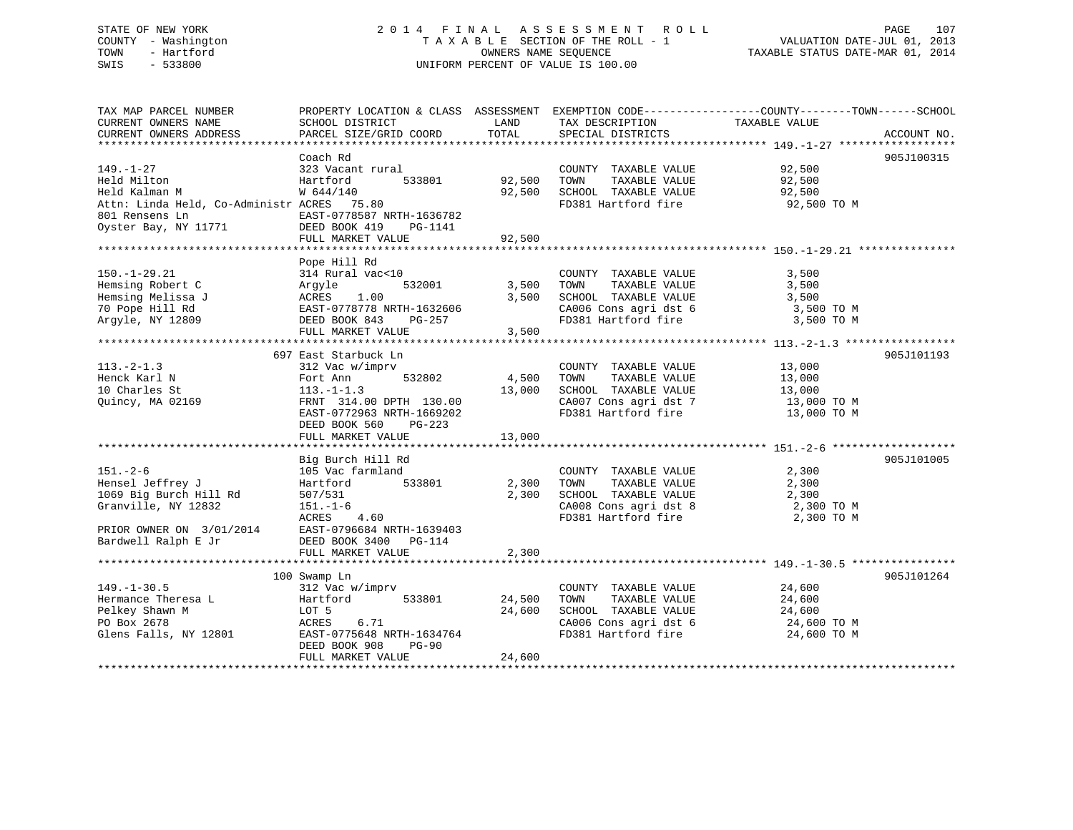| STATE OF NEW YORK |                     | 2014 FINAL ASSESSMENT ROLL         | PAGE                             | 107 |
|-------------------|---------------------|------------------------------------|----------------------------------|-----|
|                   | COUNTY - Washington | TAXABLE SECTION OF THE ROLL - 1    | VALUATION DATE-JUL 01, 2013      |     |
| TOWN              | - Hartford          | OWNERS NAME SEOUENCE               | TAXABLE STATUS DATE-MAR 01, 2014 |     |
| SWIS              | $-533800$           | UNIFORM PERCENT OF VALUE IS 100.00 |                                  |     |
|                   |                     |                                    |                                  |     |
|                   |                     |                                    |                                  |     |

| TAX MAP PARCEL NUMBER<br>CURRENT OWNERS NAME<br>CURRENT OWNERS ADDRESS                                                                                           | PROPERTY LOCATION & CLASS ASSESSMENT EXEMPTION CODE---------------COUNTY-------TOWN-----SCHOOL<br>SCHOOL DISTRICT<br>PARCEL SIZE/GRID COORD     | LAND<br>TOTAL             | TAX DESCRIPTION<br>SPECIAL DISTRICTS                                                                                                    | TAXABLE VALUE                                                     | ACCOUNT NO. |
|------------------------------------------------------------------------------------------------------------------------------------------------------------------|-------------------------------------------------------------------------------------------------------------------------------------------------|---------------------------|-----------------------------------------------------------------------------------------------------------------------------------------|-------------------------------------------------------------------|-------------|
|                                                                                                                                                                  |                                                                                                                                                 |                           |                                                                                                                                         |                                                                   |             |
| $149. - 1 - 27$<br>Held Milton<br>Held Kalman M<br>Attn: Linda Held, Co-Administr ACRES 75.80<br>801 Rensens Ln<br>Oyster Bay, NY 11771                          | Coach Rd<br>323 Vacant rural<br>Hartford<br>533801<br>W 644/140<br>EAST-0778587 NRTH-1636782<br>DEED BOOK 419<br>PG-1141                        | 92,500                    | COUNTY TAXABLE VALUE<br>TOWN<br>TAXABLE VALUE<br>92,500 SCHOOL TAXABLE VALUE<br>FD381 Hartford fire 92,500 TO M                         | 92,500<br>92,500<br>92,500                                        | 905J100315  |
|                                                                                                                                                                  | FULL MARKET VALUE                                                                                                                               | 92,500                    |                                                                                                                                         |                                                                   |             |
| $150. - 1 - 29.21$<br>Hemsing Robert C<br>Hemsing Melissa J<br>70 Pope Hill Rd<br>Arqyle, NY 12809                                                               | Pope Hill Rd<br>314 Rural vac<10<br>532001<br>Argyle<br>ACRES 1.00<br>EAST-0778778 NRTH-1632606<br>DEED BOOK 843<br>PG-257<br>FULL MARKET VALUE | 3,500<br>3,500<br>3,500   | COUNTY TAXABLE VALUE<br>TOWN<br>TAXABLE VALUE<br>SCHOOL TAXABLE VALUE<br>CA006 Cons agri dst 6<br>FD381 Hartford fire                   | 3,500<br>3,500<br>3,500<br>3,500 TO M<br>3,500 TO M               |             |
|                                                                                                                                                                  | 697 East Starbuck Ln                                                                                                                            |                           |                                                                                                                                         |                                                                   | 905J101193  |
| $113.-2-1.3$<br>Henck Karl N<br>10 Charles St<br>Quincy, MA 02169                                                                                                | 312 Vac w/imprv<br>532802<br>Fort Ann<br>$113.-1-1.3$<br>FRNT 314.00 DPTH 130.00<br>EAST-0772963 NRTH-1669202<br>DEED BOOK 560<br>PG-223        | 4,500<br>13,000<br>13,000 | COUNTY TAXABLE VALUE<br>TOWN<br>TAXABLE VALUE<br>SCHOOL TAXABLE VALUE<br>CA007 Cons agri dst 7 13,000 TO M<br>FD381 Hartford fire       | 13,000<br>13,000<br>13,000<br>13,000 TO M                         |             |
|                                                                                                                                                                  | FULL MARKET VALUE                                                                                                                               |                           |                                                                                                                                         |                                                                   |             |
| $151. - 2 - 6$<br>Hensel Jeffrey J<br>1069 Big Burch Hill Rd<br>Granville, NY 12832<br>PRIOR OWNER ON 3/01/2014 EAST-0796684 NRTH-1639403<br>Bardwell Ralph E Jr | Big Burch Hill Rd<br>105 Vac farmland<br>533801<br>Hartford<br>507/531<br>$151. - 1 - 6$<br>ACRES 4.60<br>DEED BOOK 3400 PG-114                 | 2,300<br>2,300            | COUNTY TAXABLE VALUE<br>TAXABLE VALUE<br>TOWN<br>SCHOOL TAXABLE VALUE<br>CA008 Cons agri dst 8<br>FD381 Hartford fire                   | 2,300<br>2,300<br>2,300<br>2,300 TO M<br>2,300 TO M               | 905J101005  |
|                                                                                                                                                                  | FULL MARKET VALUE                                                                                                                               | 2,300                     |                                                                                                                                         |                                                                   |             |
| $149. - 1 - 30.5$<br>Hermance Theresa L<br>Pelkey Shawn M<br>PO Box 2678<br>Glens Falls, NY 12801                                                                | 100 Swamp Ln<br>312 Vac w/imprv<br>533801<br>Hartford<br>LOT 5<br>ACRES<br>6.71<br>EAST-0775648 NRTH-1634764<br>DEED BOOK 908<br><b>PG-90</b>   | 24,500<br>24,600          | COUNTY TAXABLE VALUE<br>TAXABLE VALUE<br>TOWN<br>SCHOOL TAXABLE VALUE<br>CA006 Cons agri dst 6<br>FD381 Hartford<br>FD381 Hartford fire | 24,600<br>24,600<br>$24,600$ TO M<br>$24,600$ TO M<br>24,600 TO M | 905J101264  |
|                                                                                                                                                                  | FULL MARKET VALUE                                                                                                                               | 24,600                    |                                                                                                                                         |                                                                   |             |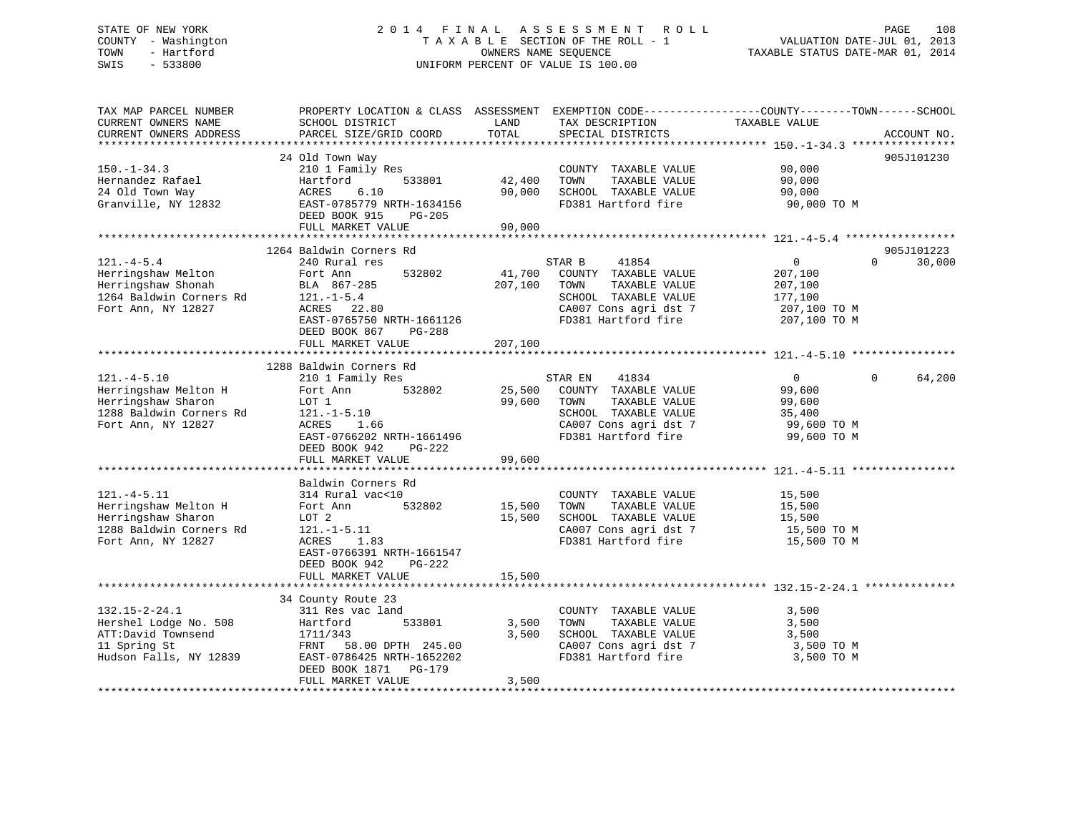## STATE OF NEW YORK 2 0 1 4 F I N A L A S S E S S M E N T R O L L PAGE 108 COUNTY - Washington T A X A B L E SECTION OF THE ROLL - 1 VALUATION DATE-JUL 01, 2013 TOWN - Hartford **TAXABLE STATUS DATE-MAR 01, 2014** OWNERS NAME SEQUENCE TAXABLE STATUS DATE-MAR 01, 2014 SWIS - 533800 UNIFORM PERCENT OF VALUE IS 100.00

| ACCOUNT NO.          |
|----------------------|
|                      |
| 905J101230           |
|                      |
| 905J101223<br>30,000 |
| 64,200               |
|                      |
|                      |
|                      |
|                      |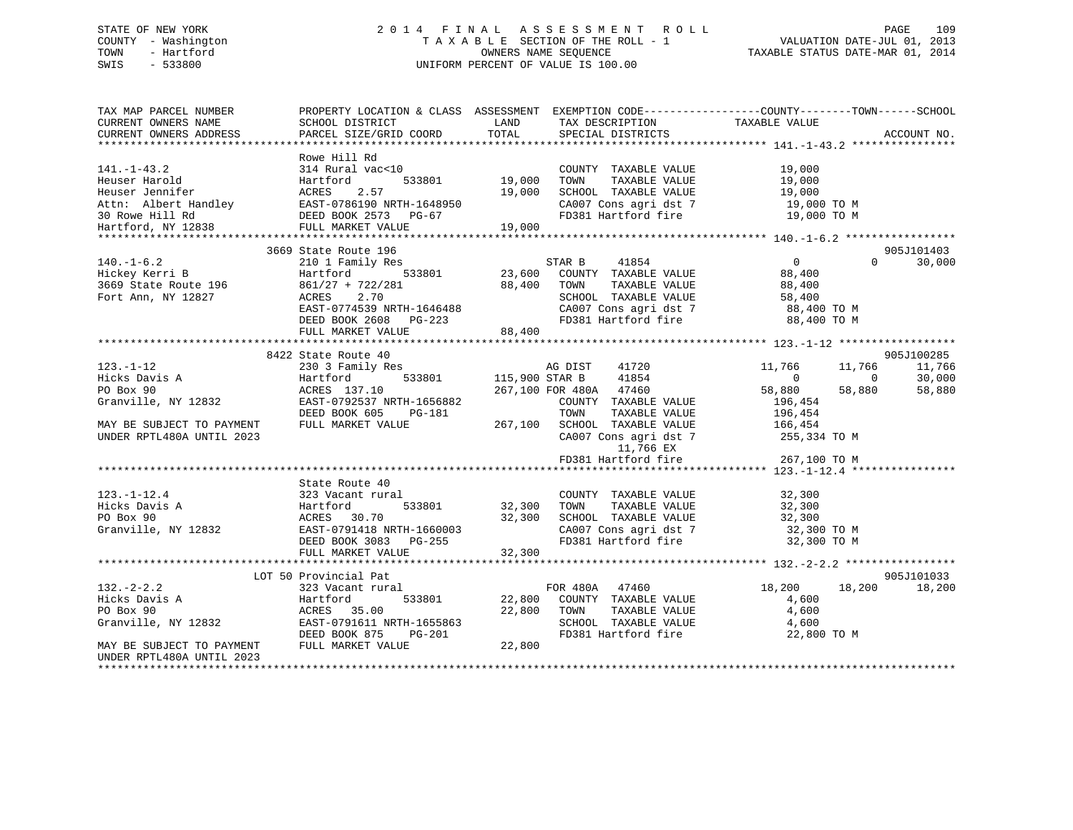# STATE OF NEW YORK 2 0 1 4 F I N A L A S S E S S M E N T R O L L PAGE 109 COUNTY - Washington T A X A B L E SECTION OF THE ROLL - 1 VALUATION DATE-JUL 01, 2013 TOWN - Hartford **TAXABLE STATUS DATE-MAR 01, 2014** OWNERS NAME SEQUENCE TAXABLE STATUS DATE-MAR 01, 2014 SWIS - 533800 UNIFORM PERCENT OF VALUE IS 100.00

| TAX MAP PARCEL NUMBER<br>CURRENT OWNERS NAME<br>CURRENT OWNERS ADDRESS                                                                                                                                                                                    | SCHOOL DISTRICT<br>PARCEL SIZE/GRID COORD                                                                                                                             | <b>EXAMPLE THE STATE OF STATE OF STATE OF STATE OF STATE OF STATE OF STATE OF STATE</b><br>TOTAL | TAX DESCRIPTION TAXABLE VALUE SPECIAL DISTRICTS          | PROPERTY LOCATION & CLASS ASSESSMENT EXEMPTION CODE----------------COUNTY-------TOWN-----SCHOOL                       | ACCOUNT NO.                 |
|-----------------------------------------------------------------------------------------------------------------------------------------------------------------------------------------------------------------------------------------------------------|-----------------------------------------------------------------------------------------------------------------------------------------------------------------------|--------------------------------------------------------------------------------------------------|----------------------------------------------------------|-----------------------------------------------------------------------------------------------------------------------|-----------------------------|
|                                                                                                                                                                                                                                                           |                                                                                                                                                                       |                                                                                                  |                                                          |                                                                                                                       |                             |
| $141. - 1 - 43.2$<br>141.-1-43.2<br>Heuser Harold Heuser Harold Heuser Harold Buser Harold Buser Jennifer (1990)<br>Attn: Albert Handley (19,000 EAST-0786190 NRTH-1648950 19,000 30 Rowe Hill Rd (1982)<br>Hartford, NY 12838 (FULL MARKET VALUE) (19,00 | Rowe Hill Rd<br>314 Rural vac<10                                                                                                                                      |                                                                                                  | COUNTY TAXABLE VALUE<br>TAXABLE VALUE<br>TOWN            | 19,000<br>19,000                                                                                                      |                             |
|                                                                                                                                                                                                                                                           |                                                                                                                                                                       |                                                                                                  |                                                          |                                                                                                                       |                             |
|                                                                                                                                                                                                                                                           |                                                                                                                                                                       |                                                                                                  |                                                          | SCHOOL TAXABLE VALUE $19,000$<br>CA007 Cons agri dst 7 19,000 TO M<br>FD381 Hartford fire 19,000 TO M                 |                             |
|                                                                                                                                                                                                                                                           |                                                                                                                                                                       |                                                                                                  |                                                          |                                                                                                                       |                             |
|                                                                                                                                                                                                                                                           |                                                                                                                                                                       |                                                                                                  |                                                          |                                                                                                                       |                             |
|                                                                                                                                                                                                                                                           |                                                                                                                                                                       |                                                                                                  |                                                          |                                                                                                                       |                             |
|                                                                                                                                                                                                                                                           | 3669 State Route 196                                                                                                                                                  |                                                                                                  |                                                          |                                                                                                                       | 905J101403                  |
| $140. - 1 - 6.2$                                                                                                                                                                                                                                          |                                                                                                                                                                       |                                                                                                  | STAR B<br>41854                                          | $\overline{0}$                                                                                                        | $0 \qquad \qquad$<br>30,000 |
| 140.-1-6.2<br>Hartford 533801 23,600 COUNTY TAXABLE VALUE<br>3669 State Route 196 861/27 + 722/281 88,400 TOWN TAXABLE VALUE<br>Fort Ann, NY 12827 ACRES 2.70 SCHOOL TAXABLE VALUE<br>SCHOOL TAXABLE VALUE<br>SCHOOL TAXABLE VALUE<br>SCH                 |                                                                                                                                                                       |                                                                                                  |                                                          | 88,400                                                                                                                |                             |
|                                                                                                                                                                                                                                                           |                                                                                                                                                                       |                                                                                                  |                                                          |                                                                                                                       |                             |
|                                                                                                                                                                                                                                                           |                                                                                                                                                                       |                                                                                                  | TOWN TAXABLE VALUE 88,400<br>SCHOOL TAXABLE VALUE 58,400 |                                                                                                                       |                             |
|                                                                                                                                                                                                                                                           |                                                                                                                                                                       |                                                                                                  |                                                          |                                                                                                                       |                             |
|                                                                                                                                                                                                                                                           | EAST-0774539 NRTH-1646488<br>DEED BOOK 2608 PG-223                                                                                                                    |                                                                                                  |                                                          | CA007 Cons agri dst 7 88,400 TO M<br>FD381 Hartford fire 88,400 TO M                                                  |                             |
|                                                                                                                                                                                                                                                           | FULL MARKET VALUE                                                                                                                                                     | 88,400                                                                                           |                                                          |                                                                                                                       |                             |
|                                                                                                                                                                                                                                                           |                                                                                                                                                                       |                                                                                                  |                                                          |                                                                                                                       |                             |
|                                                                                                                                                                                                                                                           | 8422 State Route 40                                                                                                                                                   |                                                                                                  |                                                          |                                                                                                                       | 905J100285                  |
| $123. - 1 - 12$                                                                                                                                                                                                                                           | State Route 40<br>230 3 Family Res                                                                                                                                    |                                                                                                  | AG DIST 41720                                            | 11,766<br>11,766                                                                                                      | 11,766                      |
| Hicks Davis A                                                                                                                                                                                                                                             | $533801$ 115,900 STAR B<br>Hartford                                                                                                                                   |                                                                                                  | 41854                                                    | $\begin{matrix}0&0\end{matrix}$                                                                                       | 30,000                      |
|                                                                                                                                                                                                                                                           |                                                                                                                                                                       |                                                                                                  | 267,100 FOR 480A 47460                                   | 58,880<br>58,880                                                                                                      | 58,880                      |
| PO Box 90<br>Granville, NY 12832 EAST-0792537 NRTH-1656882<br>PERST-0792537 NRTH-1656882                                                                                                                                                                  |                                                                                                                                                                       |                                                                                                  | COUNTY TAXABLE VALUE                                     | 196,454                                                                                                               |                             |
|                                                                                                                                                                                                                                                           |                                                                                                                                                                       |                                                                                                  | TOWN<br>TAXABLE VALUE                                    | 196,454                                                                                                               |                             |
|                                                                                                                                                                                                                                                           |                                                                                                                                                                       |                                                                                                  | 267,100 SCHOOL TAXABLE VALUE 166,454                     |                                                                                                                       |                             |
| MAY BE SUBJECT TO PAYMENT                                                                                                                                                                                                                                 | FULL MARKET VALUE                                                                                                                                                     |                                                                                                  |                                                          |                                                                                                                       |                             |
| UNDER RPTL480A UNTIL 2023                                                                                                                                                                                                                                 |                                                                                                                                                                       |                                                                                                  |                                                          | CA007 Cons agri dst 7 255,334 TO M                                                                                    |                             |
|                                                                                                                                                                                                                                                           |                                                                                                                                                                       |                                                                                                  | 11,766 EX                                                |                                                                                                                       |                             |
|                                                                                                                                                                                                                                                           |                                                                                                                                                                       |                                                                                                  | FD381 Hartford fire                                      | 267,100 TO M                                                                                                          |                             |
|                                                                                                                                                                                                                                                           |                                                                                                                                                                       |                                                                                                  |                                                          |                                                                                                                       |                             |
|                                                                                                                                                                                                                                                           | State Route 40                                                                                                                                                        |                                                                                                  |                                                          |                                                                                                                       |                             |
| $123. - 1 - 12.4$                                                                                                                                                                                                                                         | 323 Vacant rural                                                                                                                                                      |                                                                                                  | COUNTY TAXABLE VALUE 32,300                              |                                                                                                                       |                             |
| Hicks Davis A                                                                                                                                                                                                                                             | Hartford<br>ACRES 30.70<br>533801 32,300                                                                                                                              |                                                                                                  |                                                          |                                                                                                                       |                             |
| ACRES 30.70 32,300<br>Granville, NY 12832 EAST-0791418 NRTH-1660003<br>DEED BOOK 3083 PG-255                                                                                                                                                              |                                                                                                                                                                       |                                                                                                  |                                                          | TOWN TAXABLE VALUE 32,300<br>SCHOOL TAXABLE VALUE 32,300<br>CA007 Cons agri dst 7 32,300 TO M<br>PR381 Unit ford fixe |                             |
|                                                                                                                                                                                                                                                           |                                                                                                                                                                       |                                                                                                  |                                                          |                                                                                                                       |                             |
|                                                                                                                                                                                                                                                           |                                                                                                                                                                       |                                                                                                  | FD381 Hartford fire                                      | 32,300 TO M                                                                                                           |                             |
|                                                                                                                                                                                                                                                           |                                                                                                                                                                       | 32,300                                                                                           |                                                          |                                                                                                                       |                             |
|                                                                                                                                                                                                                                                           |                                                                                                                                                                       |                                                                                                  |                                                          |                                                                                                                       |                             |
|                                                                                                                                                                                                                                                           | LOT 50 Provincial Pat                                                                                                                                                 |                                                                                                  |                                                          |                                                                                                                       | 905J101033                  |
| $132 - 2 - 2.2$                                                                                                                                                                                                                                           | 323 Vacant rural                                                                                                                                                      |                                                                                                  | FOR 480A 47460                                           | 18,200<br>18,200                                                                                                      | 18,200                      |
| Hicks Davis A                                                                                                                                                                                                                                             | $\begin{array}{ll}\n 323 \text{ v} & \text{u} & \text{u} \\  \text{Hartford} & \\  \text{ACRES} & 35.00 & \\  \text{or } 27916111 & \\  \end{array}$<br>533801 22,800 |                                                                                                  | COUNTY TAXABLE VALUE                                     | 4,600                                                                                                                 |                             |
| PO Box 90                                                                                                                                                                                                                                                 |                                                                                                                                                                       | 22,800                                                                                           | TOWN<br>TAXABLE VALUE                                    | 4,600                                                                                                                 |                             |
| Granville, NY 12832 EAST-0791611 NRTH-1655863                                                                                                                                                                                                             |                                                                                                                                                                       |                                                                                                  | SCHOOL TAXABLE VALUE                                     | 4,600                                                                                                                 |                             |
|                                                                                                                                                                                                                                                           | DEED BOOK 875<br>PG-201                                                                                                                                               |                                                                                                  | FD381 Hartford fire                                      | 22,800 TO M                                                                                                           |                             |
| MAY BE SUBJECT TO PAYMENT                                                                                                                                                                                                                                 | FULL MARKET VALUE                                                                                                                                                     | 22,800                                                                                           |                                                          |                                                                                                                       |                             |
| UNDER RPTL480A UNTIL 2023                                                                                                                                                                                                                                 |                                                                                                                                                                       |                                                                                                  |                                                          |                                                                                                                       |                             |
|                                                                                                                                                                                                                                                           |                                                                                                                                                                       |                                                                                                  |                                                          |                                                                                                                       |                             |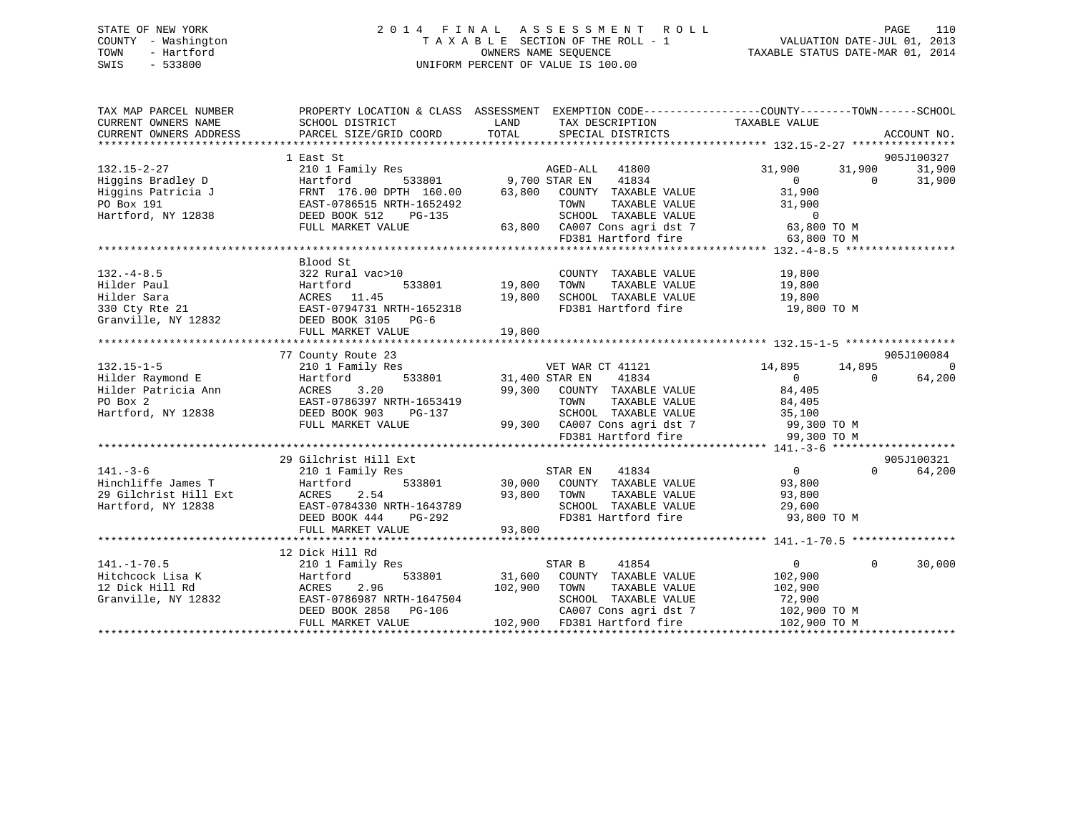# STATE OF NEW YORK 2 0 1 4 F I N A L A S S E S S M E N T R O L L PAGE 110 COUNTY - Washington T A X A B L E SECTION OF THE ROLL - 1 VALUATION DATE-JUL 01, 2013 TOWN - Hartford **TAXABLE STATUS DATE-MAR 01, 2014** OWNERS NAME SEQUENCE TAXABLE STATUS DATE-MAR 01, 2014 SWIS - 533800 UNIFORM PERCENT OF VALUE IS 100.00

| 905J100327<br>AGED-ALL 41800<br>Higgins Bradley D<br>Higgins Patricia J<br>PRNT 176.00 DPTH 160.00<br>PO Box 191<br>Hartford, NY 12838<br>Hartford, NY 12838<br>PEED BOOK 512<br>PG-135<br>PUBLE PAST-0786515<br>PG-135<br>PG-135<br>PG-135<br>31,900<br>31,900 31,900<br>$\begin{array}{c} 0 \\ 0 \\ 21 \end{array}$<br>$\overline{0}$<br>31,900<br>TAXABLE VALUE<br>TAXABLE VALUE<br>1652492 TOWN TAXABLE VALUE 31,900<br>3-135 SCHOOL TAXABLE VALUE 0<br>63,800 CA007 Cons agri dst 7 63,800 TO M<br>FD381 Hartford fire 63,800 TO M<br>FULL MARKET VALUE<br>FD381 Hartford fire<br>63,800 TO M<br>COUNTY TAXABLE VALUE 19,800<br>TOWN TAXABLE VALUE 19,800<br>All Care and Same Corporation of the Martin Corporation of the Same Corporation of the Same Corporation of the Corporation of the Corporation of the Corporation of the Corporation of the Corporation of the Corporation of t<br>19,800 SCHOOL TAXABLE VALUE 19,800<br>FD381 Hartford fire<br>19,800 TO M<br>905J100084<br>77 County Route 23<br>County Route 23<br>210 1 Family Res VET WAR CT 41121<br>Hartford 533801 31,400 STAR EN 41834<br>31,400 STAR EN 41834<br>14,895 14,895<br>$132.15 - 1 - 5$<br>$\overline{0}$<br>132.15-1-5<br>Hilder Raymond E<br>Hilder Patricia Ann<br>PO Box 2<br>Hartford, NY 12838<br>Hartford, NY 12838<br>PO BOR 2<br>Hartford, NY 12838<br>PO BOR 2<br>DEED BOOK 903<br>PO PG-137<br>$\overline{0}$<br>64,200<br>$\sim$ 0<br>35333319<br>99,300 COUNTY TAXABLE VALUE 84,405<br>RTH-1653419 79,300 TOWN TAXABLE VALUE 84,405<br>PG-137 SCHOOL TAXABLE VALUE 35,100<br>EAST-0786397 NRTH-1653419<br>1653419 TOWN TAXABLE VALUE 84,405<br>3-137 SCHOOL TAXABLE VALUE 35,100<br>99,300 CA007 Cons agri dst 7 99,300 TO M<br>FD381 Hartford fire 99,300 TO M<br>FULL MARKET VALUE<br>29 Gilchrist Hill Ext<br>905J100321<br>$\overline{0}$<br>$\Omega$<br>64,200<br>141.-3-6 210 1 Family Res STAR EN Hinchliffe James T<br>Hinchliffe James T<br>29 Gilchrist Hill Ext ACRES 2.54 93,800 TOWN<br>Hartford, NY 12838 EAST-0784330 NRTH-1643789 SCHOO DEED BOOK 444 PG-292 FD381<br>TAXABLE VALUE 93,800<br>TAXABLE VALUE 29,600<br>SCHOOL TAXABLE VALUE<br>FD381 Hartford fire 93,800 TO M<br>93,800<br>FULL MARKET VALUE<br>12 Dick Hill Rd<br>Dick Hill Rd<br>210 1 Family Res<br>$\overline{0}$<br>$\Omega$<br>30,000<br>CA007 Cons agri dst 7 102,900 TO M<br>102,900 TO M | TAX MAP PARCEL NUMBER<br>CURRENT OWNERS NAME<br>CURRENT OWNERS ADDRESS | PROPERTY LOCATION & CLASS ASSESSMENT EXEMPTION CODE----------------COUNTY-------TOWN------SCHOOL<br>SCHOOL DISTRICT<br>PARCEL SIZE/GRID COORD TOTAL | <b>LAND</b> | TAX DESCRIPTION TAXABLE VALUE<br>SPECIAL DISTRICTS | ACCOUNT NO. |
|--------------------------------------------------------------------------------------------------------------------------------------------------------------------------------------------------------------------------------------------------------------------------------------------------------------------------------------------------------------------------------------------------------------------------------------------------------------------------------------------------------------------------------------------------------------------------------------------------------------------------------------------------------------------------------------------------------------------------------------------------------------------------------------------------------------------------------------------------------------------------------------------------------------------------------------------------------------------------------------------------------------------------------------------------------------------------------------------------------------------------------------------------------------------------------------------------------------------------------------------------------------------------------------------------------------------------------------------------------------------------------------------------------------------------------------------------------------------------------------------------------------------------------------------------------------------------------------------------------------------------------------------------------------------------------------------------------------------------------------------------------------------------------------------------------------------------------------------------------------------------------------------------------------------------------------------------------------------------------------------------------------------------------------------------------------------------------------------------------------------------------------------------------------------------------------------------------------------------------------------------------------------------------------------------------------------------------------------------------------------------------------|------------------------------------------------------------------------|-----------------------------------------------------------------------------------------------------------------------------------------------------|-------------|----------------------------------------------------|-------------|
|                                                                                                                                                                                                                                                                                                                                                                                                                                                                                                                                                                                                                                                                                                                                                                                                                                                                                                                                                                                                                                                                                                                                                                                                                                                                                                                                                                                                                                                                                                                                                                                                                                                                                                                                                                                                                                                                                                                                                                                                                                                                                                                                                                                                                                                                                                                                                                                      |                                                                        |                                                                                                                                                     |             |                                                    |             |
|                                                                                                                                                                                                                                                                                                                                                                                                                                                                                                                                                                                                                                                                                                                                                                                                                                                                                                                                                                                                                                                                                                                                                                                                                                                                                                                                                                                                                                                                                                                                                                                                                                                                                                                                                                                                                                                                                                                                                                                                                                                                                                                                                                                                                                                                                                                                                                                      |                                                                        |                                                                                                                                                     |             |                                                    |             |
|                                                                                                                                                                                                                                                                                                                                                                                                                                                                                                                                                                                                                                                                                                                                                                                                                                                                                                                                                                                                                                                                                                                                                                                                                                                                                                                                                                                                                                                                                                                                                                                                                                                                                                                                                                                                                                                                                                                                                                                                                                                                                                                                                                                                                                                                                                                                                                                      |                                                                        |                                                                                                                                                     |             |                                                    |             |
|                                                                                                                                                                                                                                                                                                                                                                                                                                                                                                                                                                                                                                                                                                                                                                                                                                                                                                                                                                                                                                                                                                                                                                                                                                                                                                                                                                                                                                                                                                                                                                                                                                                                                                                                                                                                                                                                                                                                                                                                                                                                                                                                                                                                                                                                                                                                                                                      |                                                                        |                                                                                                                                                     |             |                                                    |             |
|                                                                                                                                                                                                                                                                                                                                                                                                                                                                                                                                                                                                                                                                                                                                                                                                                                                                                                                                                                                                                                                                                                                                                                                                                                                                                                                                                                                                                                                                                                                                                                                                                                                                                                                                                                                                                                                                                                                                                                                                                                                                                                                                                                                                                                                                                                                                                                                      |                                                                        |                                                                                                                                                     |             |                                                    |             |
|                                                                                                                                                                                                                                                                                                                                                                                                                                                                                                                                                                                                                                                                                                                                                                                                                                                                                                                                                                                                                                                                                                                                                                                                                                                                                                                                                                                                                                                                                                                                                                                                                                                                                                                                                                                                                                                                                                                                                                                                                                                                                                                                                                                                                                                                                                                                                                                      |                                                                        |                                                                                                                                                     |             |                                                    |             |
|                                                                                                                                                                                                                                                                                                                                                                                                                                                                                                                                                                                                                                                                                                                                                                                                                                                                                                                                                                                                                                                                                                                                                                                                                                                                                                                                                                                                                                                                                                                                                                                                                                                                                                                                                                                                                                                                                                                                                                                                                                                                                                                                                                                                                                                                                                                                                                                      |                                                                        |                                                                                                                                                     |             |                                                    |             |
|                                                                                                                                                                                                                                                                                                                                                                                                                                                                                                                                                                                                                                                                                                                                                                                                                                                                                                                                                                                                                                                                                                                                                                                                                                                                                                                                                                                                                                                                                                                                                                                                                                                                                                                                                                                                                                                                                                                                                                                                                                                                                                                                                                                                                                                                                                                                                                                      |                                                                        |                                                                                                                                                     |             |                                                    |             |
|                                                                                                                                                                                                                                                                                                                                                                                                                                                                                                                                                                                                                                                                                                                                                                                                                                                                                                                                                                                                                                                                                                                                                                                                                                                                                                                                                                                                                                                                                                                                                                                                                                                                                                                                                                                                                                                                                                                                                                                                                                                                                                                                                                                                                                                                                                                                                                                      |                                                                        |                                                                                                                                                     |             |                                                    |             |
|                                                                                                                                                                                                                                                                                                                                                                                                                                                                                                                                                                                                                                                                                                                                                                                                                                                                                                                                                                                                                                                                                                                                                                                                                                                                                                                                                                                                                                                                                                                                                                                                                                                                                                                                                                                                                                                                                                                                                                                                                                                                                                                                                                                                                                                                                                                                                                                      |                                                                        |                                                                                                                                                     |             |                                                    |             |
|                                                                                                                                                                                                                                                                                                                                                                                                                                                                                                                                                                                                                                                                                                                                                                                                                                                                                                                                                                                                                                                                                                                                                                                                                                                                                                                                                                                                                                                                                                                                                                                                                                                                                                                                                                                                                                                                                                                                                                                                                                                                                                                                                                                                                                                                                                                                                                                      |                                                                        |                                                                                                                                                     |             |                                                    |             |
|                                                                                                                                                                                                                                                                                                                                                                                                                                                                                                                                                                                                                                                                                                                                                                                                                                                                                                                                                                                                                                                                                                                                                                                                                                                                                                                                                                                                                                                                                                                                                                                                                                                                                                                                                                                                                                                                                                                                                                                                                                                                                                                                                                                                                                                                                                                                                                                      |                                                                        |                                                                                                                                                     |             |                                                    |             |
|                                                                                                                                                                                                                                                                                                                                                                                                                                                                                                                                                                                                                                                                                                                                                                                                                                                                                                                                                                                                                                                                                                                                                                                                                                                                                                                                                                                                                                                                                                                                                                                                                                                                                                                                                                                                                                                                                                                                                                                                                                                                                                                                                                                                                                                                                                                                                                                      |                                                                        |                                                                                                                                                     |             |                                                    |             |
|                                                                                                                                                                                                                                                                                                                                                                                                                                                                                                                                                                                                                                                                                                                                                                                                                                                                                                                                                                                                                                                                                                                                                                                                                                                                                                                                                                                                                                                                                                                                                                                                                                                                                                                                                                                                                                                                                                                                                                                                                                                                                                                                                                                                                                                                                                                                                                                      |                                                                        |                                                                                                                                                     |             |                                                    |             |
|                                                                                                                                                                                                                                                                                                                                                                                                                                                                                                                                                                                                                                                                                                                                                                                                                                                                                                                                                                                                                                                                                                                                                                                                                                                                                                                                                                                                                                                                                                                                                                                                                                                                                                                                                                                                                                                                                                                                                                                                                                                                                                                                                                                                                                                                                                                                                                                      |                                                                        |                                                                                                                                                     |             |                                                    |             |
|                                                                                                                                                                                                                                                                                                                                                                                                                                                                                                                                                                                                                                                                                                                                                                                                                                                                                                                                                                                                                                                                                                                                                                                                                                                                                                                                                                                                                                                                                                                                                                                                                                                                                                                                                                                                                                                                                                                                                                                                                                                                                                                                                                                                                                                                                                                                                                                      |                                                                        |                                                                                                                                                     |             |                                                    |             |
|                                                                                                                                                                                                                                                                                                                                                                                                                                                                                                                                                                                                                                                                                                                                                                                                                                                                                                                                                                                                                                                                                                                                                                                                                                                                                                                                                                                                                                                                                                                                                                                                                                                                                                                                                                                                                                                                                                                                                                                                                                                                                                                                                                                                                                                                                                                                                                                      |                                                                        |                                                                                                                                                     |             |                                                    |             |
|                                                                                                                                                                                                                                                                                                                                                                                                                                                                                                                                                                                                                                                                                                                                                                                                                                                                                                                                                                                                                                                                                                                                                                                                                                                                                                                                                                                                                                                                                                                                                                                                                                                                                                                                                                                                                                                                                                                                                                                                                                                                                                                                                                                                                                                                                                                                                                                      |                                                                        |                                                                                                                                                     |             |                                                    |             |
|                                                                                                                                                                                                                                                                                                                                                                                                                                                                                                                                                                                                                                                                                                                                                                                                                                                                                                                                                                                                                                                                                                                                                                                                                                                                                                                                                                                                                                                                                                                                                                                                                                                                                                                                                                                                                                                                                                                                                                                                                                                                                                                                                                                                                                                                                                                                                                                      |                                                                        |                                                                                                                                                     |             |                                                    |             |
|                                                                                                                                                                                                                                                                                                                                                                                                                                                                                                                                                                                                                                                                                                                                                                                                                                                                                                                                                                                                                                                                                                                                                                                                                                                                                                                                                                                                                                                                                                                                                                                                                                                                                                                                                                                                                                                                                                                                                                                                                                                                                                                                                                                                                                                                                                                                                                                      |                                                                        |                                                                                                                                                     |             |                                                    |             |
|                                                                                                                                                                                                                                                                                                                                                                                                                                                                                                                                                                                                                                                                                                                                                                                                                                                                                                                                                                                                                                                                                                                                                                                                                                                                                                                                                                                                                                                                                                                                                                                                                                                                                                                                                                                                                                                                                                                                                                                                                                                                                                                                                                                                                                                                                                                                                                                      |                                                                        |                                                                                                                                                     |             |                                                    |             |
|                                                                                                                                                                                                                                                                                                                                                                                                                                                                                                                                                                                                                                                                                                                                                                                                                                                                                                                                                                                                                                                                                                                                                                                                                                                                                                                                                                                                                                                                                                                                                                                                                                                                                                                                                                                                                                                                                                                                                                                                                                                                                                                                                                                                                                                                                                                                                                                      |                                                                        |                                                                                                                                                     |             |                                                    |             |
|                                                                                                                                                                                                                                                                                                                                                                                                                                                                                                                                                                                                                                                                                                                                                                                                                                                                                                                                                                                                                                                                                                                                                                                                                                                                                                                                                                                                                                                                                                                                                                                                                                                                                                                                                                                                                                                                                                                                                                                                                                                                                                                                                                                                                                                                                                                                                                                      |                                                                        |                                                                                                                                                     |             |                                                    |             |
|                                                                                                                                                                                                                                                                                                                                                                                                                                                                                                                                                                                                                                                                                                                                                                                                                                                                                                                                                                                                                                                                                                                                                                                                                                                                                                                                                                                                                                                                                                                                                                                                                                                                                                                                                                                                                                                                                                                                                                                                                                                                                                                                                                                                                                                                                                                                                                                      |                                                                        |                                                                                                                                                     |             |                                                    |             |
|                                                                                                                                                                                                                                                                                                                                                                                                                                                                                                                                                                                                                                                                                                                                                                                                                                                                                                                                                                                                                                                                                                                                                                                                                                                                                                                                                                                                                                                                                                                                                                                                                                                                                                                                                                                                                                                                                                                                                                                                                                                                                                                                                                                                                                                                                                                                                                                      |                                                                        |                                                                                                                                                     |             |                                                    |             |
|                                                                                                                                                                                                                                                                                                                                                                                                                                                                                                                                                                                                                                                                                                                                                                                                                                                                                                                                                                                                                                                                                                                                                                                                                                                                                                                                                                                                                                                                                                                                                                                                                                                                                                                                                                                                                                                                                                                                                                                                                                                                                                                                                                                                                                                                                                                                                                                      |                                                                        |                                                                                                                                                     |             |                                                    |             |
|                                                                                                                                                                                                                                                                                                                                                                                                                                                                                                                                                                                                                                                                                                                                                                                                                                                                                                                                                                                                                                                                                                                                                                                                                                                                                                                                                                                                                                                                                                                                                                                                                                                                                                                                                                                                                                                                                                                                                                                                                                                                                                                                                                                                                                                                                                                                                                                      |                                                                        |                                                                                                                                                     |             |                                                    |             |
|                                                                                                                                                                                                                                                                                                                                                                                                                                                                                                                                                                                                                                                                                                                                                                                                                                                                                                                                                                                                                                                                                                                                                                                                                                                                                                                                                                                                                                                                                                                                                                                                                                                                                                                                                                                                                                                                                                                                                                                                                                                                                                                                                                                                                                                                                                                                                                                      |                                                                        |                                                                                                                                                     |             |                                                    |             |
|                                                                                                                                                                                                                                                                                                                                                                                                                                                                                                                                                                                                                                                                                                                                                                                                                                                                                                                                                                                                                                                                                                                                                                                                                                                                                                                                                                                                                                                                                                                                                                                                                                                                                                                                                                                                                                                                                                                                                                                                                                                                                                                                                                                                                                                                                                                                                                                      |                                                                        |                                                                                                                                                     |             |                                                    |             |
|                                                                                                                                                                                                                                                                                                                                                                                                                                                                                                                                                                                                                                                                                                                                                                                                                                                                                                                                                                                                                                                                                                                                                                                                                                                                                                                                                                                                                                                                                                                                                                                                                                                                                                                                                                                                                                                                                                                                                                                                                                                                                                                                                                                                                                                                                                                                                                                      |                                                                        |                                                                                                                                                     |             |                                                    |             |
|                                                                                                                                                                                                                                                                                                                                                                                                                                                                                                                                                                                                                                                                                                                                                                                                                                                                                                                                                                                                                                                                                                                                                                                                                                                                                                                                                                                                                                                                                                                                                                                                                                                                                                                                                                                                                                                                                                                                                                                                                                                                                                                                                                                                                                                                                                                                                                                      |                                                                        |                                                                                                                                                     |             |                                                    |             |
|                                                                                                                                                                                                                                                                                                                                                                                                                                                                                                                                                                                                                                                                                                                                                                                                                                                                                                                                                                                                                                                                                                                                                                                                                                                                                                                                                                                                                                                                                                                                                                                                                                                                                                                                                                                                                                                                                                                                                                                                                                                                                                                                                                                                                                                                                                                                                                                      |                                                                        |                                                                                                                                                     |             |                                                    |             |
|                                                                                                                                                                                                                                                                                                                                                                                                                                                                                                                                                                                                                                                                                                                                                                                                                                                                                                                                                                                                                                                                                                                                                                                                                                                                                                                                                                                                                                                                                                                                                                                                                                                                                                                                                                                                                                                                                                                                                                                                                                                                                                                                                                                                                                                                                                                                                                                      |                                                                        |                                                                                                                                                     |             |                                                    |             |
|                                                                                                                                                                                                                                                                                                                                                                                                                                                                                                                                                                                                                                                                                                                                                                                                                                                                                                                                                                                                                                                                                                                                                                                                                                                                                                                                                                                                                                                                                                                                                                                                                                                                                                                                                                                                                                                                                                                                                                                                                                                                                                                                                                                                                                                                                                                                                                                      |                                                                        |                                                                                                                                                     |             |                                                    |             |
|                                                                                                                                                                                                                                                                                                                                                                                                                                                                                                                                                                                                                                                                                                                                                                                                                                                                                                                                                                                                                                                                                                                                                                                                                                                                                                                                                                                                                                                                                                                                                                                                                                                                                                                                                                                                                                                                                                                                                                                                                                                                                                                                                                                                                                                                                                                                                                                      |                                                                        |                                                                                                                                                     |             |                                                    |             |
|                                                                                                                                                                                                                                                                                                                                                                                                                                                                                                                                                                                                                                                                                                                                                                                                                                                                                                                                                                                                                                                                                                                                                                                                                                                                                                                                                                                                                                                                                                                                                                                                                                                                                                                                                                                                                                                                                                                                                                                                                                                                                                                                                                                                                                                                                                                                                                                      |                                                                        |                                                                                                                                                     |             |                                                    |             |
|                                                                                                                                                                                                                                                                                                                                                                                                                                                                                                                                                                                                                                                                                                                                                                                                                                                                                                                                                                                                                                                                                                                                                                                                                                                                                                                                                                                                                                                                                                                                                                                                                                                                                                                                                                                                                                                                                                                                                                                                                                                                                                                                                                                                                                                                                                                                                                                      |                                                                        |                                                                                                                                                     |             |                                                    |             |
|                                                                                                                                                                                                                                                                                                                                                                                                                                                                                                                                                                                                                                                                                                                                                                                                                                                                                                                                                                                                                                                                                                                                                                                                                                                                                                                                                                                                                                                                                                                                                                                                                                                                                                                                                                                                                                                                                                                                                                                                                                                                                                                                                                                                                                                                                                                                                                                      |                                                                        |                                                                                                                                                     |             |                                                    |             |
|                                                                                                                                                                                                                                                                                                                                                                                                                                                                                                                                                                                                                                                                                                                                                                                                                                                                                                                                                                                                                                                                                                                                                                                                                                                                                                                                                                                                                                                                                                                                                                                                                                                                                                                                                                                                                                                                                                                                                                                                                                                                                                                                                                                                                                                                                                                                                                                      |                                                                        |                                                                                                                                                     |             |                                                    |             |
|                                                                                                                                                                                                                                                                                                                                                                                                                                                                                                                                                                                                                                                                                                                                                                                                                                                                                                                                                                                                                                                                                                                                                                                                                                                                                                                                                                                                                                                                                                                                                                                                                                                                                                                                                                                                                                                                                                                                                                                                                                                                                                                                                                                                                                                                                                                                                                                      |                                                                        |                                                                                                                                                     |             |                                                    |             |
|                                                                                                                                                                                                                                                                                                                                                                                                                                                                                                                                                                                                                                                                                                                                                                                                                                                                                                                                                                                                                                                                                                                                                                                                                                                                                                                                                                                                                                                                                                                                                                                                                                                                                                                                                                                                                                                                                                                                                                                                                                                                                                                                                                                                                                                                                                                                                                                      |                                                                        |                                                                                                                                                     |             |                                                    |             |
|                                                                                                                                                                                                                                                                                                                                                                                                                                                                                                                                                                                                                                                                                                                                                                                                                                                                                                                                                                                                                                                                                                                                                                                                                                                                                                                                                                                                                                                                                                                                                                                                                                                                                                                                                                                                                                                                                                                                                                                                                                                                                                                                                                                                                                                                                                                                                                                      |                                                                        |                                                                                                                                                     |             |                                                    |             |
|                                                                                                                                                                                                                                                                                                                                                                                                                                                                                                                                                                                                                                                                                                                                                                                                                                                                                                                                                                                                                                                                                                                                                                                                                                                                                                                                                                                                                                                                                                                                                                                                                                                                                                                                                                                                                                                                                                                                                                                                                                                                                                                                                                                                                                                                                                                                                                                      |                                                                        |                                                                                                                                                     |             |                                                    |             |
|                                                                                                                                                                                                                                                                                                                                                                                                                                                                                                                                                                                                                                                                                                                                                                                                                                                                                                                                                                                                                                                                                                                                                                                                                                                                                                                                                                                                                                                                                                                                                                                                                                                                                                                                                                                                                                                                                                                                                                                                                                                                                                                                                                                                                                                                                                                                                                                      |                                                                        |                                                                                                                                                     |             |                                                    |             |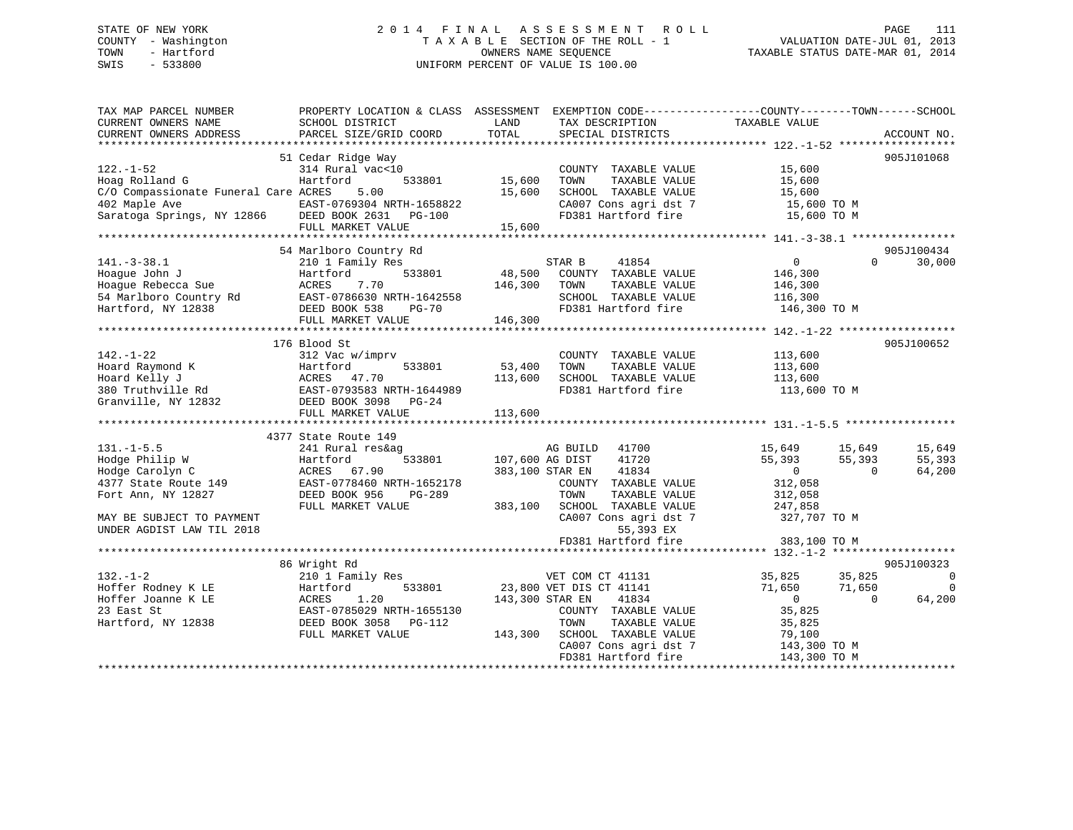# STATE OF NEW YORK 2 0 1 4 F I N A L A S S E S S M E N T R O L L PAGE 111 COUNTY - Washington T A X A B L E SECTION OF THE ROLL - 1 VALUATION DATE-JUL 01, 2013 TOWN - Hartford **TAXABLE STATUS DATE-MAR 01, 2014** OWNERS NAME SEQUENCE TAXABLE STATUS DATE-MAR 01, 2014 SWIS - 533800 UNIFORM PERCENT OF VALUE IS 100.00

| TAX MAP PARCEL NUMBER<br>CURRENT OWNERS NAME<br>CURRENT OWNERS ADDRESS                                                                                                                                                                                                           | PROPERTY LOCATION & CLASS ASSESSMENT EXEMPTION CODE---------------COUNTY-------TOWN-----SCHOOL<br>SCHOOL DISTRICT<br>PARCEL SIZE/GRID COORD | LAND<br>TOTAL                     | TAX DESCRIPTION<br>SPECIAL DISTRICTS                                                                                                                             | TAXABLE VALUE                                                                                                 | ACCOUNT NO.                                    |
|----------------------------------------------------------------------------------------------------------------------------------------------------------------------------------------------------------------------------------------------------------------------------------|---------------------------------------------------------------------------------------------------------------------------------------------|-----------------------------------|------------------------------------------------------------------------------------------------------------------------------------------------------------------|---------------------------------------------------------------------------------------------------------------|------------------------------------------------|
| 122.-1-52<br>Hoag Rolland G<br>C/O Compassionate Funeral Care ACRES 5.00<br>402 Maple Ave<br>Saratoga Springs, NY 12866 DEED BOOK 2631 PG-100                                                                                                                                    | 51 Cedar Ridge Way<br>314 Rural vac<10<br>Hartford<br>EAST-0769304 NRTH-1658822<br>FULL MARKET VALUE                                        | 533801 15,600<br>15,600<br>15,600 | COUNTY TAXABLE VALUE<br>TOWN<br>TAXABLE VALUE<br>SCHOOL TAXABLE VALUE                                                                                            | 15,600<br>15,600<br>15,600<br>CA007 Cons agri dst 7 15,600 TO M<br>FD381 Hartford fire 15,600 TO M            | 905J101068                                     |
|                                                                                                                                                                                                                                                                                  | 54 Marlboro Country Rd                                                                                                                      |                                   |                                                                                                                                                                  |                                                                                                               | 905J100434                                     |
| $141.-3-38.1$<br>Hoaque John J<br>ACRES 7.70<br>Hoague volume of the control of the control of the selected Sue<br>Hartford, NY 12838 DEED BOOK 538 PG-70<br>FULL MARKET VALUE<br>FULL MARKET VALUE<br>TOWN TAXABLE VALUE<br>SCHOOL TAXABLE VALUE<br>FD381 Hartford fire<br>146, | 210 1 Family Res<br>533801<br>Hartford                                                                                                      |                                   | STAR B<br>41854<br>48,500 COUNTY TAXABLE VALUE                                                                                                                   | $\overline{0}$<br>146,300                                                                                     | $\Omega$<br>30,000                             |
|                                                                                                                                                                                                                                                                                  | 176 Blood St                                                                                                                                |                                   |                                                                                                                                                                  |                                                                                                               | 905J100652                                     |
| $142. - 1 - 22$                                                                                                                                                                                                                                                                  | 312 Vac w/imprv                                                                                                                             | 53,400<br>113,600                 | COUNTY TAXABLE VALUE<br>TAXABLE VALUE<br>TOWN<br>SCHOOL TAXABLE VALUE<br>FD381 Hartford fire                                                                     | 113,600<br>113,600<br>113,600<br>113,600 TO M                                                                 |                                                |
|                                                                                                                                                                                                                                                                                  | 4377 State Route 149                                                                                                                        |                                   |                                                                                                                                                                  |                                                                                                               |                                                |
| $131. -1 - 5.5$<br>Hodge Philip W<br>Hodge Carolyn C<br>4377 State Route 149<br>Fort Ann, NY 12827<br>MAY BE SUBJECT TO PAYMENT                                                                                                                                                  | 241 Rural res&ag<br>Hartford<br>ACRES 67.90<br>EAST-0778460 NRTH-1652178<br>DEED BOOK 956<br>PG-289<br>FULL MARKET VALUE                    | 533801 107,600 AG DIST            | AG BUILD<br>41700<br>41720<br>383,100 STAR EN<br>41834<br>COUNTY TAXABLE VALUE<br>TOWN<br>TAXABLE VALUE<br>383,100 SCHOOL TAXABLE VALUE<br>CA007 Cons agri dst 7 | 15,649<br>15,649<br>55,393<br>55,393<br>$\sim$ 0<br>$\Omega$<br>312,058<br>312,058<br>247,858<br>327,707 TO M | 15,649<br>55,393<br>64,200                     |
| UNDER AGDIST LAW TIL 2018                                                                                                                                                                                                                                                        |                                                                                                                                             |                                   | 55,393 EX                                                                                                                                                        |                                                                                                               |                                                |
|                                                                                                                                                                                                                                                                                  |                                                                                                                                             |                                   | FD381 Hartford fire                                                                                                                                              | 383,100 TO M                                                                                                  |                                                |
| $132. - 1 - 2$                                                                                                                                                                                                                                                                   | 86 Wright Rd<br>210 1 Family Res                                                                                                            |                                   | VET COM CT 41131                                                                                                                                                 | 35,825 35,825                                                                                                 | 905J100323<br>$\overline{\phantom{0}}$         |
| Hoffer Rodney K LE<br>Hoffer Joanne K LE<br>23 East St<br>Hartford, NY 12838                                                                                                                                                                                                     | Hartford<br>ACRES<br>1.20<br>EAST-0785029 NRTH-1655130<br>DEED BOOK 3058 PG-112<br>FULL MARKET VALUE                                        | 143,300 STAR EN<br>143,300        | 533801 23,800 VET DIS CT 41141<br>41834<br>COUNTY TAXABLE VALUE<br>TOWN<br>TAXABLE VALUE<br>SCHOOL TAXABLE VALUE<br>CA007 Cons agri dst 7<br>FD381 Hartford fire | 71,650<br>71,650<br>$\overline{0}$<br>35,825<br>35,825<br>79,100<br>143,300 TO M<br>143,300 TO M              | $\overline{\phantom{0}}$<br>64,200<br>$\Omega$ |
|                                                                                                                                                                                                                                                                                  |                                                                                                                                             |                                   |                                                                                                                                                                  |                                                                                                               |                                                |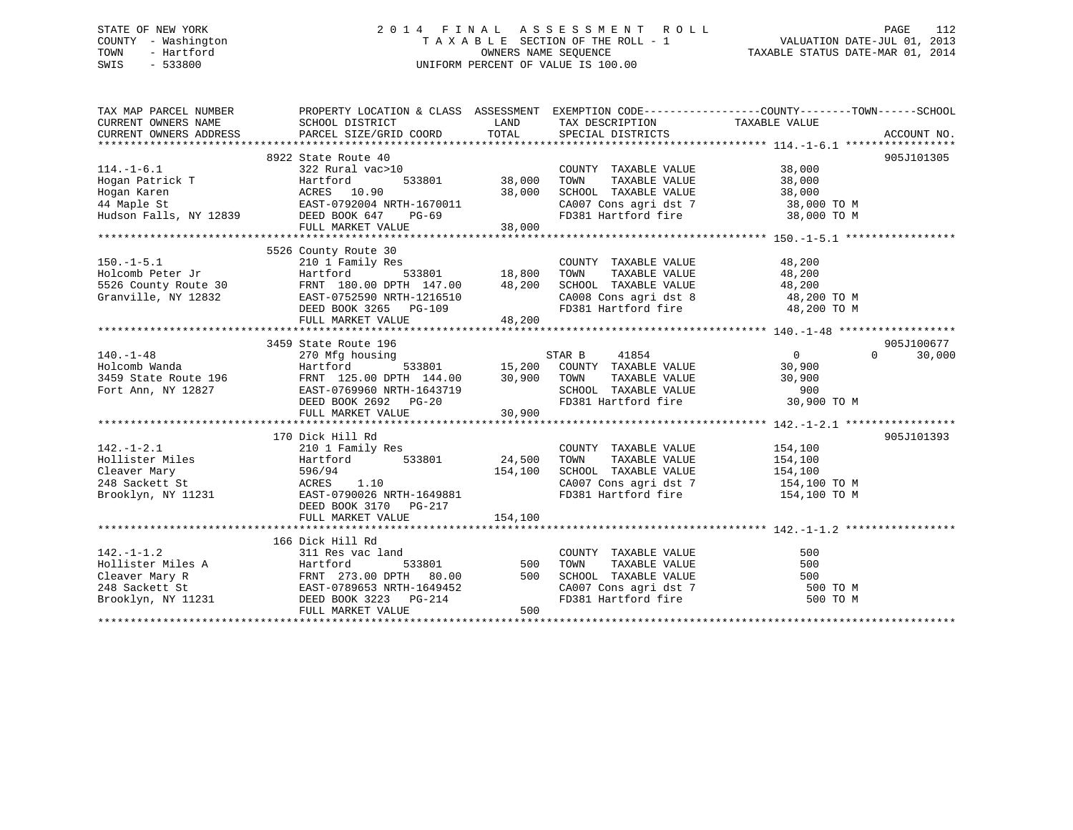# STATE OF NEW YORK 2 0 1 4 F I N A L A S S E S S M E N T R O L L PAGE 112 COUNTY - Washington T A X A B L E SECTION OF THE ROLL - 1 VALUATION DATE-JUL 01, 2013 TOWN - Hartford **TAXABLE STATUS DATE-MAR 01, 2014** OWNERS NAME SEQUENCE TAXABLE STATUS DATE-MAR 01, 2014 SWIS - 533800 UNIFORM PERCENT OF VALUE IS 100.00

| TAX MAP PARCEL NUMBER                                                                                                                                                                                                                                                        | PROPERTY LOCATION & CLASS ASSESSMENT EXEMPTION CODE-----------------COUNTY-------TOWN------SCHOOL                                                                                                                                                                |         |                              |                      |
|------------------------------------------------------------------------------------------------------------------------------------------------------------------------------------------------------------------------------------------------------------------------------|------------------------------------------------------------------------------------------------------------------------------------------------------------------------------------------------------------------------------------------------------------------|---------|------------------------------|----------------------|
| $114. -1 - 6.1$                                                                                                                                                                                                                                                              | 8922 State Route 40<br>ac>10<br>533801 38,000<br>30 <sup>20</sup><br>322 Rural vac>10                                                                                                                                                                            |         | COUNTY TAXABLE VALUE 38,000  | 905J101305           |
| 150.-1-5.1 210 1 Family Res<br>Holcomb Peter Jr Hartford 533801 18,800<br>5526 County Route 30 FRNT 180.00 DPTH 147.00 48,200<br>Granville, NY 12832 EAST-0752590 NRTH-1216510<br>DEED BOOK 3265 PG-109<br>THE MADART VALUE 48,200                                           | 5526 County Route 30<br>COUNTY TAXABLE VALUE<br>210 1 Family Res<br>Hartford 533801 18,800 TOWN TAXABLE VALUE 48,200<br>FRNT 180.00 DPTH 147.00 48,200 SCHOOL TAXABLE VALUE 48,200<br>EAST-0752590 NRTH-1216510 CA008 Cons agri dst 8 48,200 TO M<br>FD381 Hartf |         |                              |                      |
| 140.-1-48<br>Holcomb Wanda<br>3459 State Route 196<br>Fort Ann, NY 12827<br>Fort Ann, NY 12827<br>Fort Ann, NY 12827<br>Fort Ann, NY 12827<br>Fort Ann, NY 12827<br>Fort Ann, NY 12827<br>Fort Ann, NY 12827<br>Fort Ann, NY 12827<br>Fort Ann, NY                           | 3459 State Route 196                                                                                                                                                                                                                                             |         |                              | 905J100677<br>30,000 |
| $142. - 1 - 2.1$<br>Follister Miles<br>Cleaver Mary 596/94<br>248 Sackett St 24.500<br>248 Sackett St 24.500<br>248 Sackett St 2533801<br>248 Sackett St 254,100<br>248 Sackett St 212<br>270 DOMN TAXABLE VALUE<br>24.500<br>24.500<br>24.500<br>24.500<br>24.500<br>24.500 | 170 Dick Hill Rd<br>210 1 Family Res<br>DEED BOOK 3170 PG-217<br>FULL MARKET VALUE                                                                                                                                                                               | 154,100 | COUNTY TAXABLE VALUE 154,100 | 905J101393           |
| 142.-1-1.2<br>Hobbuck Hill Rd<br>Hobbuck Hill Rd<br>311 Res vac land<br>533801<br>Cleaver Mary R<br>FRNT 273.00 DPTH 80.00<br>FRNT 273.00 DPTH 80.00<br>500 TOWN TAXABLE VALUE<br>500 TOWN TAXABLE VALUE<br>500 TOWN TAXABLE VALUE<br>500 TOWN TAXAB                         | 166 Dick Hill Rd<br>FULL MARKET VALUE                                                                                                                                                                                                                            | 500     |                              |                      |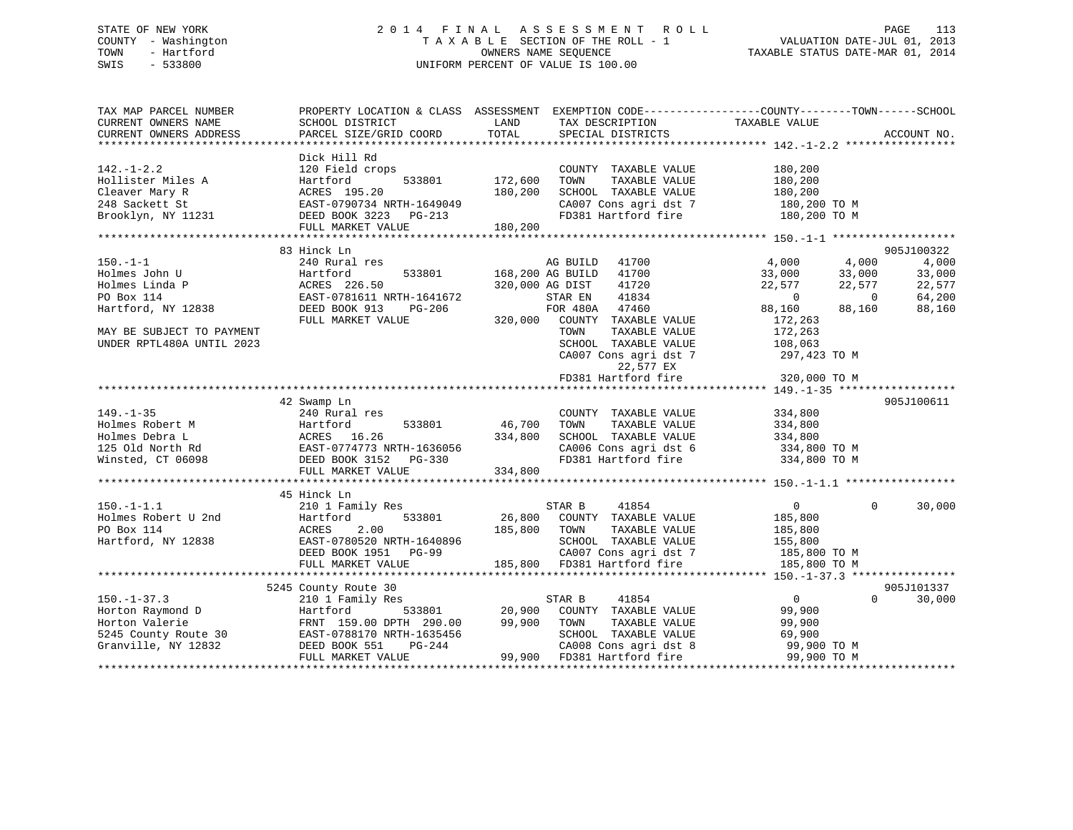# STATE OF NEW YORK 2 0 1 4 F I N A L A S S E S S M E N T R O L L PAGE 113 COUNTY - Washington T A X A B L E SECTION OF THE ROLL - 1 VALUATION DATE-JUL 01, 2013 TOWN - Hartford OWNERS NAME SEQUENCE TAXABLE STATUS DATE-MAR 01, 2014 SWIS - 533800 UNIFORM PERCENT OF VALUE IS 100.00

| TAX MAP PARCEL NUMBER<br>CURRENT OWNERS NAME<br>CURRENT OWNERS ADDRESS                                                                                                                                                                                 | PROPERTY LOCATION & CLASS ASSESSMENT EXEMPTION CODE----------------COUNTY-------TOWN------SCHOOL<br>SCHOOL DISTRICT<br>PARCEL SIZE/GRID COORD    | LAND<br>TOTAL                 | TAX DESCRIPTION TAXABLE VALUE SPECIAL DISTRICTS                                                |                                                                                                         | ACCOUNT NO.                                           |
|--------------------------------------------------------------------------------------------------------------------------------------------------------------------------------------------------------------------------------------------------------|--------------------------------------------------------------------------------------------------------------------------------------------------|-------------------------------|------------------------------------------------------------------------------------------------|---------------------------------------------------------------------------------------------------------|-------------------------------------------------------|
| $142. - 1 - 2.2$<br>Hollister Miles A<br>Cleaver Mary R<br>248 Sackett St<br>Brooklyn, NY 11231                                                                                                                                                        | Dick Hill Rd<br>120 Field crops<br>533801<br>Hartford<br>ACRES 195.20<br>EAST-0790734 NRTH-1649049<br>DEED BOOK 3223 PG-213<br>FULL MARKET VALUE | 172,600<br>180,200<br>180,200 | COUNTY TAXABLE VALUE<br>TAXABLE VALUE<br>TOWN<br>SCHOOL TAXABLE VALUE<br>CA007 Cons agri dst 7 | 180,200<br>180,200<br>180,200<br>$180, 200$ TO M<br>$180, 200$ TO M<br>FD381 Hartford fire 180,200 TO M |                                                       |
|                                                                                                                                                                                                                                                        |                                                                                                                                                  |                               |                                                                                                |                                                                                                         |                                                       |
|                                                                                                                                                                                                                                                        | 83 Hinck Ln                                                                                                                                      |                               |                                                                                                |                                                                                                         | 905J100322                                            |
| $150. - 1 - 1$<br>Holmes John U<br>Holmes Linda P<br>PO Box 114                                                                                                                                                                                        | 240 Rural res<br>Hartford<br>533801<br>ACRES 226.50<br>EAST-0781611 NRTH-1641672                                                                 |                               | AG BUILD<br>41700<br>168,200 AG BUILD<br>41700<br>320,000 AG DIST<br>41720<br>41834<br>STAR EN | 4,000<br>4,000<br>33,000<br>33,000<br>22,577<br>22,577<br>$\overline{0}$                                | 4,000<br>33,000<br>22,577<br>64,200<br>$\overline{0}$ |
| Hartford, NY 12838<br>MAY BE SUBJECT TO PAYMENT                                                                                                                                                                                                        | DEED BOOK 913<br>PG-206<br>FULL MARKET VALUE                                                                                                     |                               | FOR 480A 47460<br>320,000 COUNTY TAXABLE VALUE<br>TOWN<br>TAXABLE VALUE                        | 88,160<br>88,160<br>172,263<br>172,263                                                                  | 88,160                                                |
| UNDER RPTL480A UNTIL 2023                                                                                                                                                                                                                              |                                                                                                                                                  |                               | SCHOOL TAXABLE VALUE<br>CA007 Cons agri dst 7<br>22,577 EX                                     | 108,063<br>297,423 TO M                                                                                 |                                                       |
|                                                                                                                                                                                                                                                        |                                                                                                                                                  |                               | FD381 Hartford fire                                                                            | 320,000 TO M                                                                                            |                                                       |
|                                                                                                                                                                                                                                                        |                                                                                                                                                  |                               |                                                                                                |                                                                                                         |                                                       |
|                                                                                                                                                                                                                                                        | 42 Swamp Ln                                                                                                                                      |                               |                                                                                                |                                                                                                         | 905J100611                                            |
| $149. - 1 - 35$                                                                                                                                                                                                                                        | 240 Rural res                                                                                                                                    |                               | COUNTY TAXABLE VALUE                                                                           | 334,800                                                                                                 |                                                       |
|                                                                                                                                                                                                                                                        |                                                                                                                                                  | 46,700                        | TAXABLE VALUE<br>TOWN                                                                          | 334,800                                                                                                 |                                                       |
|                                                                                                                                                                                                                                                        |                                                                                                                                                  |                               | SCHOOL TAXABLE VALUE                                                                           | 334,800                                                                                                 |                                                       |
| Holmes Robert M<br>Holmes Debra L<br>125 Old North Rd<br>125 Old North Rd<br>125 Old North Rd<br>125 Old North Rd<br>125 Old North Rd<br>125 Old North Rd<br>125 Old North Rd<br>125 Old North Rd<br>125 Old North Rd<br>125 Old North Rd<br>125 Old N | FULL MARKET VALUE                                                                                                                                | 334,800                       |                                                                                                | CA006 Cons agri dst 6 334,800 TO M<br>FD381 Hartford fire 334,800 TO M                                  |                                                       |
|                                                                                                                                                                                                                                                        |                                                                                                                                                  |                               |                                                                                                |                                                                                                         |                                                       |
|                                                                                                                                                                                                                                                        | 45 Hinck Ln                                                                                                                                      |                               |                                                                                                |                                                                                                         |                                                       |
| $150. -1 - 1.1$                                                                                                                                                                                                                                        | 210 1 Family Res                                                                                                                                 |                               | 41854<br>STAR B                                                                                | $\mathbf{0}$                                                                                            | 30,000<br>$\Omega$                                    |
| Holmes Robert U 2nd                                                                                                                                                                                                                                    | 533801<br>Hartford                                                                                                                               |                               | 26,800 COUNTY TAXABLE VALUE                                                                    | 185,800                                                                                                 |                                                       |
| PO Box 114                                                                                                                                                                                                                                             | 2.00<br>ACRES                                                                                                                                    | 185,800                       | TOWN<br>TAXABLE VALUE                                                                          | 185,800                                                                                                 |                                                       |
| Hartford, NY 12838                                                                                                                                                                                                                                     | EAST-0780520 NRTH-1640896                                                                                                                        |                               | CA007 Cons agri dst 7<br>FD381 Hartford                                                        | 155,800                                                                                                 |                                                       |
|                                                                                                                                                                                                                                                        | DEED BOOK 1951 PG-99                                                                                                                             |                               |                                                                                                | 185,800 TO M                                                                                            |                                                       |
|                                                                                                                                                                                                                                                        | FULL MARKET VALUE                                                                                                                                |                               | 185,800 FD381 Hartford fire                                                                    | 185,800 TO M                                                                                            |                                                       |
|                                                                                                                                                                                                                                                        |                                                                                                                                                  |                               |                                                                                                |                                                                                                         |                                                       |
|                                                                                                                                                                                                                                                        | 5245 County Route 30                                                                                                                             |                               |                                                                                                |                                                                                                         | 905J101337                                            |
| $150. - 1 - 37.3$                                                                                                                                                                                                                                      | 210 1 Family Res                                                                                                                                 |                               | STAR B<br>41854                                                                                | $\overline{0}$                                                                                          | 30,000<br>$\Omega$                                    |
| Horton Raymond D                                                                                                                                                                                                                                       | Hartford                                                                                                                                         | 533801 20,900                 | COUNTY TAXABLE VALUE                                                                           | 99,900                                                                                                  |                                                       |
| Horton Valerie                                                                                                                                                                                                                                         | FRNT 159.00 DPTH 290.00                                                                                                                          | 99,900                        | TOWN<br>TAXABLE VALUE                                                                          | 99,900                                                                                                  |                                                       |
| 5245 County Route 30 EAST-0788170 NRTH-1635456                                                                                                                                                                                                         |                                                                                                                                                  |                               | SCHOOL TAXABLE VALUE                                                                           | 69,900                                                                                                  |                                                       |
| Granville, NY 12832                                                                                                                                                                                                                                    | DEED BOOK 551<br>PG-244                                                                                                                          |                               | CA008 Cons agri dst 8                                                                          | 99,900 TO M                                                                                             |                                                       |
|                                                                                                                                                                                                                                                        | FULL MARKET VALUE                                                                                                                                |                               | 99,900 FD381 Hartford fire                                                                     | 99,900 TO M                                                                                             |                                                       |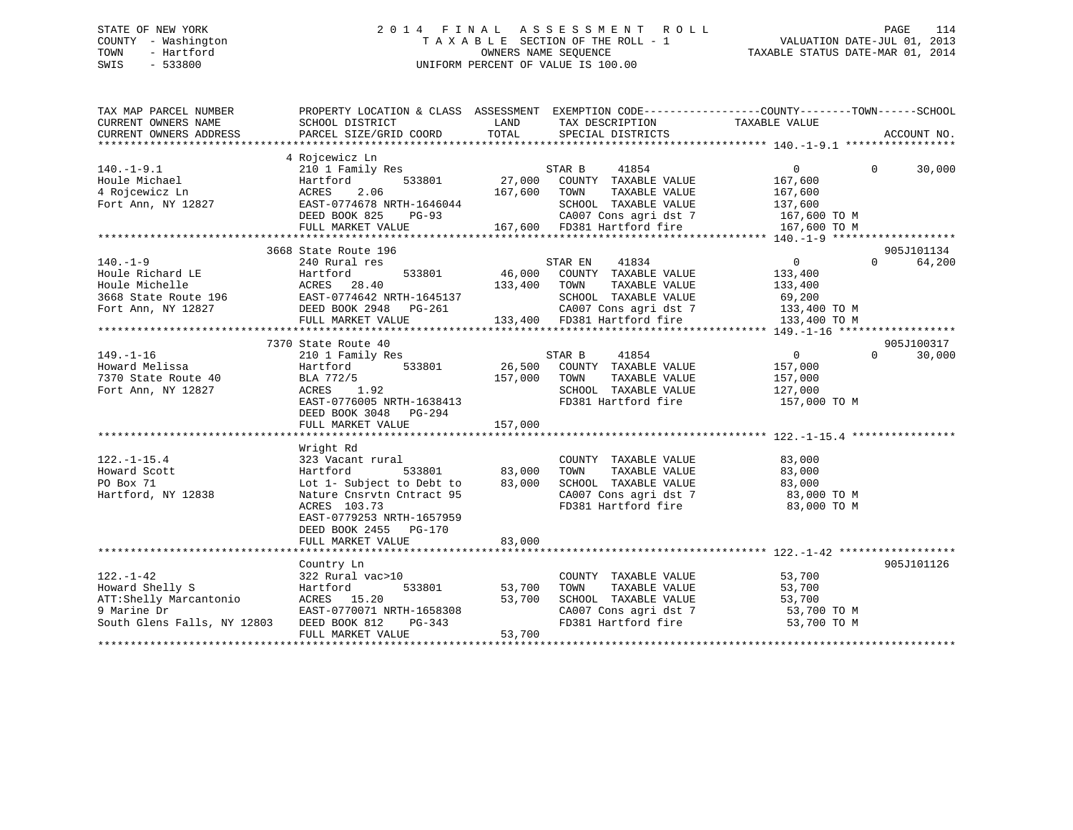# STATE OF NEW YORK 2 0 1 4 F I N A L A S S E S S M E N T R O L L PAGE 114 COUNTY - Washington T A X A B L E SECTION OF THE ROLL - 1 VALUATION DATE-JUL 01, 2013 TOWN - Hartford OWNERS NAME SEQUENCE TAXABLE STATUS DATE-MAR 01, 2014 SWIS - 533800 UNIFORM PERCENT OF VALUE IS 100.00

| CURRENT OWNERS NAME<br>TAXABLE VALUE<br>SCHOOL DISTRICT<br>LAND<br>TAX DESCRIPTION<br>TOTAL<br>CURRENT OWNERS ADDRESS<br>PARCEL SIZE/GRID COORD<br>SPECIAL DISTRICTS<br>4 Rojcewicz Ln<br>210 1 Family Res<br>$140. - 1 - 9.1$<br>STAR B<br>41854<br>$\overline{0}$<br>$0 \qquad \qquad$<br>27,000 COUNTY TAXABLE VALUE<br>167,600<br>Fort Ann, NY 12827 EAST-0774678 NRTH-1646044 SCHOOL TAXABLE VALUE 137,600<br>DEED BOOK 825 PG-93 CA007 Cons agri dst 7 167,600 TO M<br>FULL MARKET VALUE 167,600 FD381 Hartford fire 167,600 TO M<br>**********************************<br>3668 State Route 196<br>905J101134<br>$140. - 1 - 9$<br>$\overline{0}$<br>STAR EN 41834<br>$\Omega$<br>240 Rural res<br>533801 46,000 COUNTY TAXABLE VALUE 133,400<br>Houle Richard LE<br>Houle Richard LE<br>3668 State Route 196 EAST-0774642 NRTH-1645137<br>133,400 TOWN<br>TAXABLE VALUE<br>133,400<br>SCHOOL TAXABLE VALUE 69,200<br>905J100317<br>7370 State Route 40<br>210 1 Family Res<br>$\overline{0}$<br>$149. - 1 - 16$<br>41854<br>STAR B<br>$\Omega$<br>533801 26,500 COUNTY TAXABLE VALUE<br>40<br>Howard Melissa<br>157,000<br>Hartford<br>7370 State Route 40<br>BLA 772/5<br>157,000 TOWN<br>TAXABLE VALUE<br>157,000<br>SCHOOL TAXABLE VALUE 127,000<br>1.92<br>Fort Ann, NY 12827<br>ACRES<br>FD381 Hartford fire<br>EAST-0776005 NRTH-1638413<br>157,000 TO M<br>DEED BOOK 3048 PG-294<br>FULL MARKET VALUE<br>157,000<br>Wright Rd<br>$122. - 1 - 15.4$<br>323 Vacant rural<br>COUNTY TAXABLE VALUE<br>$83,000$<br>$83$<br>533801 83,000<br>Howard Scott<br>Hartford<br>TOWN<br>TAXABLE VALUE<br>83,000<br>Lot 1- Subject to Debt to 83,000<br>PO Box 71<br>SCHOOL TAXABLE VALUE<br>Hartford, NY 12838<br>CA007 Cons agri dst 7<br>Theori Hitfard fire<br>83,000 TO M<br>Nature Cnsrvtn Cntract 95<br>ACRES 103.73<br>FD381 Hartford fire<br>83,000 TO M<br>EAST-0779253 NRTH-1657959<br>DEED BOOK 2455 PG-170<br>83,000<br>FULL MARKET VALUE<br>905J101126<br>Country Ln<br>$122. - 1 - 42$<br>53,700<br>COUNTY TAXABLE VALUE<br>322 Rural vac>10<br>Howard Shelly S<br>533801<br>Hartford<br>53,700<br>TOWN<br>TAXABLE VALUE<br>ACRES 15.20<br>53,700<br>SCHOOL TAXABLE VALUE | TAX MAP PARCEL NUMBER                 | PROPERTY LOCATION & CLASS ASSESSMENT EXEMPTION CODE---------------COUNTY-------TOWN-----SCHOOL |  |        |             |
|------------------------------------------------------------------------------------------------------------------------------------------------------------------------------------------------------------------------------------------------------------------------------------------------------------------------------------------------------------------------------------------------------------------------------------------------------------------------------------------------------------------------------------------------------------------------------------------------------------------------------------------------------------------------------------------------------------------------------------------------------------------------------------------------------------------------------------------------------------------------------------------------------------------------------------------------------------------------------------------------------------------------------------------------------------------------------------------------------------------------------------------------------------------------------------------------------------------------------------------------------------------------------------------------------------------------------------------------------------------------------------------------------------------------------------------------------------------------------------------------------------------------------------------------------------------------------------------------------------------------------------------------------------------------------------------------------------------------------------------------------------------------------------------------------------------------------------------------------------------------------------------------------------------------------------------------------------------------------------------------------------------------------------------------------------------------------------------------------------------------------------------------------------------------------------------|---------------------------------------|------------------------------------------------------------------------------------------------|--|--------|-------------|
|                                                                                                                                                                                                                                                                                                                                                                                                                                                                                                                                                                                                                                                                                                                                                                                                                                                                                                                                                                                                                                                                                                                                                                                                                                                                                                                                                                                                                                                                                                                                                                                                                                                                                                                                                                                                                                                                                                                                                                                                                                                                                                                                                                                          |                                       |                                                                                                |  |        |             |
|                                                                                                                                                                                                                                                                                                                                                                                                                                                                                                                                                                                                                                                                                                                                                                                                                                                                                                                                                                                                                                                                                                                                                                                                                                                                                                                                                                                                                                                                                                                                                                                                                                                                                                                                                                                                                                                                                                                                                                                                                                                                                                                                                                                          |                                       |                                                                                                |  |        | ACCOUNT NO. |
|                                                                                                                                                                                                                                                                                                                                                                                                                                                                                                                                                                                                                                                                                                                                                                                                                                                                                                                                                                                                                                                                                                                                                                                                                                                                                                                                                                                                                                                                                                                                                                                                                                                                                                                                                                                                                                                                                                                                                                                                                                                                                                                                                                                          |                                       |                                                                                                |  |        |             |
|                                                                                                                                                                                                                                                                                                                                                                                                                                                                                                                                                                                                                                                                                                                                                                                                                                                                                                                                                                                                                                                                                                                                                                                                                                                                                                                                                                                                                                                                                                                                                                                                                                                                                                                                                                                                                                                                                                                                                                                                                                                                                                                                                                                          |                                       |                                                                                                |  |        |             |
|                                                                                                                                                                                                                                                                                                                                                                                                                                                                                                                                                                                                                                                                                                                                                                                                                                                                                                                                                                                                                                                                                                                                                                                                                                                                                                                                                                                                                                                                                                                                                                                                                                                                                                                                                                                                                                                                                                                                                                                                                                                                                                                                                                                          |                                       |                                                                                                |  |        | 30,000      |
|                                                                                                                                                                                                                                                                                                                                                                                                                                                                                                                                                                                                                                                                                                                                                                                                                                                                                                                                                                                                                                                                                                                                                                                                                                                                                                                                                                                                                                                                                                                                                                                                                                                                                                                                                                                                                                                                                                                                                                                                                                                                                                                                                                                          |                                       |                                                                                                |  |        |             |
|                                                                                                                                                                                                                                                                                                                                                                                                                                                                                                                                                                                                                                                                                                                                                                                                                                                                                                                                                                                                                                                                                                                                                                                                                                                                                                                                                                                                                                                                                                                                                                                                                                                                                                                                                                                                                                                                                                                                                                                                                                                                                                                                                                                          |                                       |                                                                                                |  |        |             |
|                                                                                                                                                                                                                                                                                                                                                                                                                                                                                                                                                                                                                                                                                                                                                                                                                                                                                                                                                                                                                                                                                                                                                                                                                                                                                                                                                                                                                                                                                                                                                                                                                                                                                                                                                                                                                                                                                                                                                                                                                                                                                                                                                                                          |                                       |                                                                                                |  |        |             |
|                                                                                                                                                                                                                                                                                                                                                                                                                                                                                                                                                                                                                                                                                                                                                                                                                                                                                                                                                                                                                                                                                                                                                                                                                                                                                                                                                                                                                                                                                                                                                                                                                                                                                                                                                                                                                                                                                                                                                                                                                                                                                                                                                                                          |                                       |                                                                                                |  |        |             |
|                                                                                                                                                                                                                                                                                                                                                                                                                                                                                                                                                                                                                                                                                                                                                                                                                                                                                                                                                                                                                                                                                                                                                                                                                                                                                                                                                                                                                                                                                                                                                                                                                                                                                                                                                                                                                                                                                                                                                                                                                                                                                                                                                                                          |                                       |                                                                                                |  |        |             |
|                                                                                                                                                                                                                                                                                                                                                                                                                                                                                                                                                                                                                                                                                                                                                                                                                                                                                                                                                                                                                                                                                                                                                                                                                                                                                                                                                                                                                                                                                                                                                                                                                                                                                                                                                                                                                                                                                                                                                                                                                                                                                                                                                                                          |                                       |                                                                                                |  |        |             |
|                                                                                                                                                                                                                                                                                                                                                                                                                                                                                                                                                                                                                                                                                                                                                                                                                                                                                                                                                                                                                                                                                                                                                                                                                                                                                                                                                                                                                                                                                                                                                                                                                                                                                                                                                                                                                                                                                                                                                                                                                                                                                                                                                                                          |                                       |                                                                                                |  |        |             |
|                                                                                                                                                                                                                                                                                                                                                                                                                                                                                                                                                                                                                                                                                                                                                                                                                                                                                                                                                                                                                                                                                                                                                                                                                                                                                                                                                                                                                                                                                                                                                                                                                                                                                                                                                                                                                                                                                                                                                                                                                                                                                                                                                                                          |                                       |                                                                                                |  |        | 64,200      |
|                                                                                                                                                                                                                                                                                                                                                                                                                                                                                                                                                                                                                                                                                                                                                                                                                                                                                                                                                                                                                                                                                                                                                                                                                                                                                                                                                                                                                                                                                                                                                                                                                                                                                                                                                                                                                                                                                                                                                                                                                                                                                                                                                                                          |                                       |                                                                                                |  |        |             |
|                                                                                                                                                                                                                                                                                                                                                                                                                                                                                                                                                                                                                                                                                                                                                                                                                                                                                                                                                                                                                                                                                                                                                                                                                                                                                                                                                                                                                                                                                                                                                                                                                                                                                                                                                                                                                                                                                                                                                                                                                                                                                                                                                                                          |                                       |                                                                                                |  |        |             |
|                                                                                                                                                                                                                                                                                                                                                                                                                                                                                                                                                                                                                                                                                                                                                                                                                                                                                                                                                                                                                                                                                                                                                                                                                                                                                                                                                                                                                                                                                                                                                                                                                                                                                                                                                                                                                                                                                                                                                                                                                                                                                                                                                                                          |                                       |                                                                                                |  |        |             |
|                                                                                                                                                                                                                                                                                                                                                                                                                                                                                                                                                                                                                                                                                                                                                                                                                                                                                                                                                                                                                                                                                                                                                                                                                                                                                                                                                                                                                                                                                                                                                                                                                                                                                                                                                                                                                                                                                                                                                                                                                                                                                                                                                                                          |                                       |                                                                                                |  |        |             |
|                                                                                                                                                                                                                                                                                                                                                                                                                                                                                                                                                                                                                                                                                                                                                                                                                                                                                                                                                                                                                                                                                                                                                                                                                                                                                                                                                                                                                                                                                                                                                                                                                                                                                                                                                                                                                                                                                                                                                                                                                                                                                                                                                                                          |                                       |                                                                                                |  |        |             |
|                                                                                                                                                                                                                                                                                                                                                                                                                                                                                                                                                                                                                                                                                                                                                                                                                                                                                                                                                                                                                                                                                                                                                                                                                                                                                                                                                                                                                                                                                                                                                                                                                                                                                                                                                                                                                                                                                                                                                                                                                                                                                                                                                                                          |                                       |                                                                                                |  |        |             |
|                                                                                                                                                                                                                                                                                                                                                                                                                                                                                                                                                                                                                                                                                                                                                                                                                                                                                                                                                                                                                                                                                                                                                                                                                                                                                                                                                                                                                                                                                                                                                                                                                                                                                                                                                                                                                                                                                                                                                                                                                                                                                                                                                                                          |                                       |                                                                                                |  |        |             |
|                                                                                                                                                                                                                                                                                                                                                                                                                                                                                                                                                                                                                                                                                                                                                                                                                                                                                                                                                                                                                                                                                                                                                                                                                                                                                                                                                                                                                                                                                                                                                                                                                                                                                                                                                                                                                                                                                                                                                                                                                                                                                                                                                                                          |                                       |                                                                                                |  |        | 30,000      |
|                                                                                                                                                                                                                                                                                                                                                                                                                                                                                                                                                                                                                                                                                                                                                                                                                                                                                                                                                                                                                                                                                                                                                                                                                                                                                                                                                                                                                                                                                                                                                                                                                                                                                                                                                                                                                                                                                                                                                                                                                                                                                                                                                                                          |                                       |                                                                                                |  |        |             |
|                                                                                                                                                                                                                                                                                                                                                                                                                                                                                                                                                                                                                                                                                                                                                                                                                                                                                                                                                                                                                                                                                                                                                                                                                                                                                                                                                                                                                                                                                                                                                                                                                                                                                                                                                                                                                                                                                                                                                                                                                                                                                                                                                                                          |                                       |                                                                                                |  |        |             |
|                                                                                                                                                                                                                                                                                                                                                                                                                                                                                                                                                                                                                                                                                                                                                                                                                                                                                                                                                                                                                                                                                                                                                                                                                                                                                                                                                                                                                                                                                                                                                                                                                                                                                                                                                                                                                                                                                                                                                                                                                                                                                                                                                                                          |                                       |                                                                                                |  |        |             |
|                                                                                                                                                                                                                                                                                                                                                                                                                                                                                                                                                                                                                                                                                                                                                                                                                                                                                                                                                                                                                                                                                                                                                                                                                                                                                                                                                                                                                                                                                                                                                                                                                                                                                                                                                                                                                                                                                                                                                                                                                                                                                                                                                                                          |                                       |                                                                                                |  |        |             |
|                                                                                                                                                                                                                                                                                                                                                                                                                                                                                                                                                                                                                                                                                                                                                                                                                                                                                                                                                                                                                                                                                                                                                                                                                                                                                                                                                                                                                                                                                                                                                                                                                                                                                                                                                                                                                                                                                                                                                                                                                                                                                                                                                                                          |                                       |                                                                                                |  |        |             |
|                                                                                                                                                                                                                                                                                                                                                                                                                                                                                                                                                                                                                                                                                                                                                                                                                                                                                                                                                                                                                                                                                                                                                                                                                                                                                                                                                                                                                                                                                                                                                                                                                                                                                                                                                                                                                                                                                                                                                                                                                                                                                                                                                                                          |                                       |                                                                                                |  |        |             |
|                                                                                                                                                                                                                                                                                                                                                                                                                                                                                                                                                                                                                                                                                                                                                                                                                                                                                                                                                                                                                                                                                                                                                                                                                                                                                                                                                                                                                                                                                                                                                                                                                                                                                                                                                                                                                                                                                                                                                                                                                                                                                                                                                                                          |                                       |                                                                                                |  |        |             |
|                                                                                                                                                                                                                                                                                                                                                                                                                                                                                                                                                                                                                                                                                                                                                                                                                                                                                                                                                                                                                                                                                                                                                                                                                                                                                                                                                                                                                                                                                                                                                                                                                                                                                                                                                                                                                                                                                                                                                                                                                                                                                                                                                                                          |                                       |                                                                                                |  |        |             |
|                                                                                                                                                                                                                                                                                                                                                                                                                                                                                                                                                                                                                                                                                                                                                                                                                                                                                                                                                                                                                                                                                                                                                                                                                                                                                                                                                                                                                                                                                                                                                                                                                                                                                                                                                                                                                                                                                                                                                                                                                                                                                                                                                                                          |                                       |                                                                                                |  |        |             |
|                                                                                                                                                                                                                                                                                                                                                                                                                                                                                                                                                                                                                                                                                                                                                                                                                                                                                                                                                                                                                                                                                                                                                                                                                                                                                                                                                                                                                                                                                                                                                                                                                                                                                                                                                                                                                                                                                                                                                                                                                                                                                                                                                                                          |                                       |                                                                                                |  |        |             |
|                                                                                                                                                                                                                                                                                                                                                                                                                                                                                                                                                                                                                                                                                                                                                                                                                                                                                                                                                                                                                                                                                                                                                                                                                                                                                                                                                                                                                                                                                                                                                                                                                                                                                                                                                                                                                                                                                                                                                                                                                                                                                                                                                                                          |                                       |                                                                                                |  |        |             |
|                                                                                                                                                                                                                                                                                                                                                                                                                                                                                                                                                                                                                                                                                                                                                                                                                                                                                                                                                                                                                                                                                                                                                                                                                                                                                                                                                                                                                                                                                                                                                                                                                                                                                                                                                                                                                                                                                                                                                                                                                                                                                                                                                                                          |                                       |                                                                                                |  |        |             |
|                                                                                                                                                                                                                                                                                                                                                                                                                                                                                                                                                                                                                                                                                                                                                                                                                                                                                                                                                                                                                                                                                                                                                                                                                                                                                                                                                                                                                                                                                                                                                                                                                                                                                                                                                                                                                                                                                                                                                                                                                                                                                                                                                                                          |                                       |                                                                                                |  |        |             |
|                                                                                                                                                                                                                                                                                                                                                                                                                                                                                                                                                                                                                                                                                                                                                                                                                                                                                                                                                                                                                                                                                                                                                                                                                                                                                                                                                                                                                                                                                                                                                                                                                                                                                                                                                                                                                                                                                                                                                                                                                                                                                                                                                                                          |                                       |                                                                                                |  |        |             |
|                                                                                                                                                                                                                                                                                                                                                                                                                                                                                                                                                                                                                                                                                                                                                                                                                                                                                                                                                                                                                                                                                                                                                                                                                                                                                                                                                                                                                                                                                                                                                                                                                                                                                                                                                                                                                                                                                                                                                                                                                                                                                                                                                                                          |                                       |                                                                                                |  |        |             |
|                                                                                                                                                                                                                                                                                                                                                                                                                                                                                                                                                                                                                                                                                                                                                                                                                                                                                                                                                                                                                                                                                                                                                                                                                                                                                                                                                                                                                                                                                                                                                                                                                                                                                                                                                                                                                                                                                                                                                                                                                                                                                                                                                                                          |                                       |                                                                                                |  |        |             |
|                                                                                                                                                                                                                                                                                                                                                                                                                                                                                                                                                                                                                                                                                                                                                                                                                                                                                                                                                                                                                                                                                                                                                                                                                                                                                                                                                                                                                                                                                                                                                                                                                                                                                                                                                                                                                                                                                                                                                                                                                                                                                                                                                                                          |                                       |                                                                                                |  |        |             |
|                                                                                                                                                                                                                                                                                                                                                                                                                                                                                                                                                                                                                                                                                                                                                                                                                                                                                                                                                                                                                                                                                                                                                                                                                                                                                                                                                                                                                                                                                                                                                                                                                                                                                                                                                                                                                                                                                                                                                                                                                                                                                                                                                                                          |                                       |                                                                                                |  |        |             |
|                                                                                                                                                                                                                                                                                                                                                                                                                                                                                                                                                                                                                                                                                                                                                                                                                                                                                                                                                                                                                                                                                                                                                                                                                                                                                                                                                                                                                                                                                                                                                                                                                                                                                                                                                                                                                                                                                                                                                                                                                                                                                                                                                                                          |                                       |                                                                                                |  |        |             |
|                                                                                                                                                                                                                                                                                                                                                                                                                                                                                                                                                                                                                                                                                                                                                                                                                                                                                                                                                                                                                                                                                                                                                                                                                                                                                                                                                                                                                                                                                                                                                                                                                                                                                                                                                                                                                                                                                                                                                                                                                                                                                                                                                                                          |                                       |                                                                                                |  |        |             |
|                                                                                                                                                                                                                                                                                                                                                                                                                                                                                                                                                                                                                                                                                                                                                                                                                                                                                                                                                                                                                                                                                                                                                                                                                                                                                                                                                                                                                                                                                                                                                                                                                                                                                                                                                                                                                                                                                                                                                                                                                                                                                                                                                                                          |                                       |                                                                                                |  |        |             |
|                                                                                                                                                                                                                                                                                                                                                                                                                                                                                                                                                                                                                                                                                                                                                                                                                                                                                                                                                                                                                                                                                                                                                                                                                                                                                                                                                                                                                                                                                                                                                                                                                                                                                                                                                                                                                                                                                                                                                                                                                                                                                                                                                                                          | ATT:Shelly Marcantonio<br>9 Marine Dr |                                                                                                |  | 53,700 |             |
| EAST-0770071 NRTH-1658308<br>CA007 Cons agri dst 7<br>53,700 TO M                                                                                                                                                                                                                                                                                                                                                                                                                                                                                                                                                                                                                                                                                                                                                                                                                                                                                                                                                                                                                                                                                                                                                                                                                                                                                                                                                                                                                                                                                                                                                                                                                                                                                                                                                                                                                                                                                                                                                                                                                                                                                                                        |                                       |                                                                                                |  |        |             |
| South Glens Falls, NY 12803 DEED BOOK 812<br>FD381 Hartford fire<br>53,700 TO M                                                                                                                                                                                                                                                                                                                                                                                                                                                                                                                                                                                                                                                                                                                                                                                                                                                                                                                                                                                                                                                                                                                                                                                                                                                                                                                                                                                                                                                                                                                                                                                                                                                                                                                                                                                                                                                                                                                                                                                                                                                                                                          |                                       |                                                                                                |  |        |             |
| 53,700<br>FULL MARKET VALUE                                                                                                                                                                                                                                                                                                                                                                                                                                                                                                                                                                                                                                                                                                                                                                                                                                                                                                                                                                                                                                                                                                                                                                                                                                                                                                                                                                                                                                                                                                                                                                                                                                                                                                                                                                                                                                                                                                                                                                                                                                                                                                                                                              |                                       |                                                                                                |  |        |             |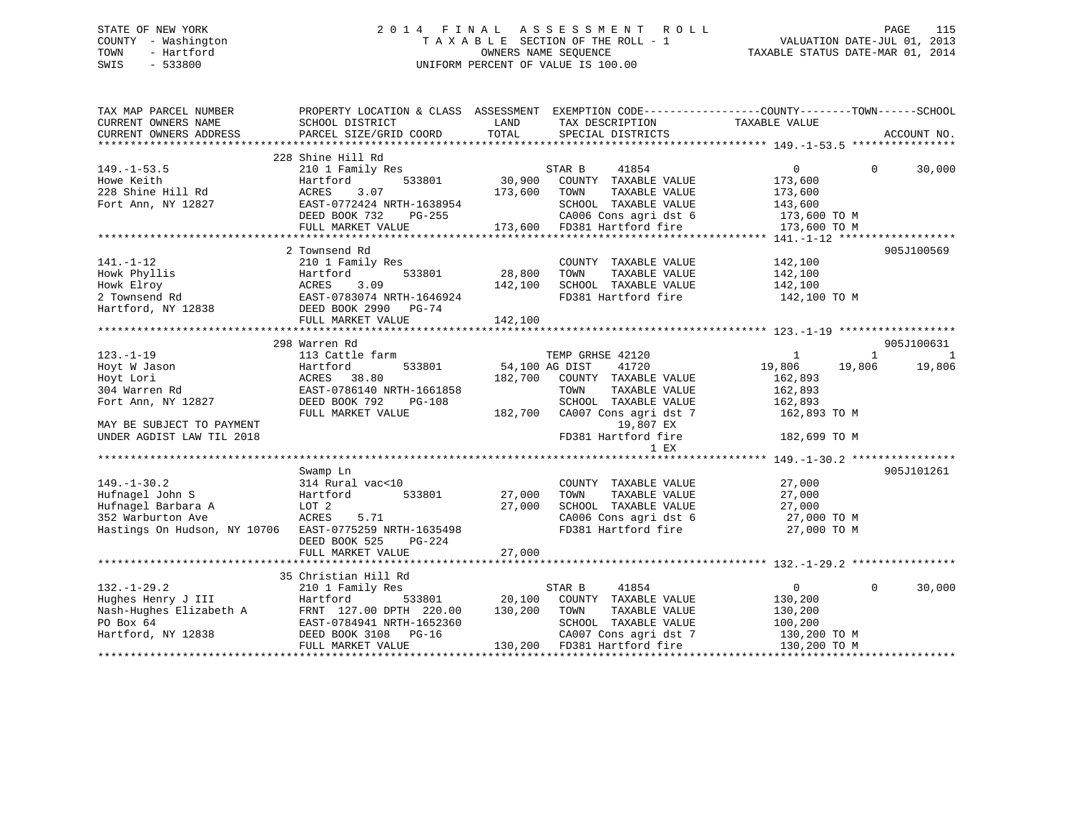# STATE OF NEW YORK 2 0 1 4 F I N A L A S S E S S M E N T R O L L PAGE 115 COUNTY - Washington T A X A B L E SECTION OF THE ROLL - 1 VALUATION DATE-JUL 01, 2013 TOWN - Hartford OWNERS NAME SEQUENCE TAXABLE STATUS DATE-MAR 01, 2014 SWIS - 533800 UNIFORM PERCENT OF VALUE IS 100.00

| TAX MAP PARCEL NUMBER<br>CURRENT OWNERS NAME           | PROPERTY LOCATION & CLASS ASSESSMENT EXEMPTION CODE----------------COUNTY-------TOWN------SCHOOL<br>SCHOOL DISTRICT | LAND           | TAX DESCRIPTION TAXABLE VALUE      |                            |                |
|--------------------------------------------------------|---------------------------------------------------------------------------------------------------------------------|----------------|------------------------------------|----------------------------|----------------|
| CURRENT OWNERS ADDRESS                                 | PARCEL SIZE/GRID COORD                                                                                              | TOTAL          | SPECIAL DISTRICTS                  |                            | ACCOUNT NO.    |
|                                                        |                                                                                                                     |                |                                    |                            |                |
|                                                        | 228 Shine Hill Rd                                                                                                   |                |                                    |                            |                |
| $149. - 1 - 53.5$                                      | 210 1 Family Res                                                                                                    | ؛<br>30 , 90 0 | STAR B<br>41854                    | $\overline{0}$<br>$\Omega$ | 30,000         |
| Howe Keith                                             | Hartford<br>533801                                                                                                  |                | COUNTY TAXABLE VALUE               | 173,600                    |                |
| 228 Shine Hill Rd                                      | 3.07<br>ACRES                                                                                                       | 173,600        | TAXABLE VALUE<br>TOWN              | 173,600                    |                |
| Fort Ann, NY 12827                                     | EAST-0772424 NRTH-1638954                                                                                           |                | SCHOOL TAXABLE VALUE               | 143,600                    |                |
|                                                        | DEED BOOK 732<br>PG-255                                                                                             |                | CA006 Cons agri dst 6 173,600 TO M |                            |                |
|                                                        | FULL MARKET VALUE                                                                                                   |                | 173,600 FD381 Hartford fire        | 173,600 TO M               |                |
|                                                        |                                                                                                                     |                |                                    |                            |                |
|                                                        | 2 Townsend Rd                                                                                                       |                |                                    |                            | 905J100569     |
| $141. - 1 - 12$                                        | 210 1 Family Res                                                                                                    |                | COUNTY TAXABLE VALUE               | 142,100                    |                |
| Howk Phyllis                                           | Hartford                                                                                                            | 533801 28,800  | TOWN<br>TAXABLE VALUE              | 142,100                    |                |
| Howk Elroy                                             | ACRES<br>3.09                                                                                                       | 142,100        | SCHOOL TAXABLE VALUE               | 142,100                    |                |
| 2 Townsend Rd                                          |                                                                                                                     |                | FD381 Hartford fire 142,100 TO M   |                            |                |
|                                                        | EAST-0783074 NRTH-1646924                                                                                           |                |                                    |                            |                |
| Hartford, NY 12838                                     | DEED BOOK 2990 PG-74                                                                                                |                |                                    |                            |                |
|                                                        | FULL MARKET VALUE                                                                                                   | 142,100        |                                    |                            |                |
|                                                        |                                                                                                                     |                |                                    |                            |                |
|                                                        | 298 Warren Rd                                                                                                       |                |                                    |                            | 905J100631     |
| $123. - 1 - 19$                                        | 113 Cattle farm                                                                                                     |                | TEMP GRHSE 42120                   | 1<br>1                     | $\overline{1}$ |
| Hoyt W Jason                                           | 533801<br>Hartford                                                                                                  | 54,100 AG DIST | 41720                              | 19,806<br>19,806           | 19,806         |
| Hoyt Lori                                              | ACRES<br>38.80                                                                                                      | 182,700        | COUNTY TAXABLE VALUE               | 162,893                    |                |
| 304 Warren Rd                                          | EAST-0786140 NRTH-1661858                                                                                           |                | TAXABLE VALUE<br>TOWN              | 162,893                    |                |
| Fort Ann, NY 12827                                     | DEED BOOK 792<br>PG-108                                                                                             |                | SCHOOL TAXABLE VALUE               | 162,893                    |                |
|                                                        | FULL MARKET VALUE                                                                                                   | 182,700        | CA007 Cons agri dst 7              | 162,893 TO M               |                |
| MAY BE SUBJECT TO PAYMENT                              |                                                                                                                     |                | 19,807 EX                          |                            |                |
| UNDER AGDIST LAW TIL 2018                              |                                                                                                                     |                | FD381 Hartford fire                | 182,699 TO M               |                |
|                                                        |                                                                                                                     |                | 1 EX                               |                            |                |
|                                                        |                                                                                                                     |                |                                    |                            |                |
|                                                        | Swamp Ln                                                                                                            |                |                                    |                            | 905J101261     |
| $149. - 1 - 30.2$                                      | 314 Rural vac<10                                                                                                    |                | COUNTY TAXABLE VALUE               | 27,000                     |                |
| Hufnagel John S                                        | 533801<br>Hartford                                                                                                  | 27,000         | TAXABLE VALUE<br>TOWN              | 27,000                     |                |
|                                                        |                                                                                                                     | 27,000         |                                    |                            |                |
| Hufnagel Barbara A                                     | LOT 2                                                                                                               |                | SCHOOL TAXABLE VALUE               | 27,000                     |                |
| 352 Warburton Ave                                      | ACRES<br>5.71                                                                                                       |                | CA006 Cons agri dst 6              | 27,000 TO M                |                |
| Hastings On Hudson, NY 10706 EAST-0775259 NRTH-1635498 |                                                                                                                     |                | FD381 Hartford fire                | 27,000 TO M                |                |
|                                                        | DEED BOOK 525<br>PG-224                                                                                             |                |                                    |                            |                |
|                                                        |                                                                                                                     |                |                                    |                            |                |
|                                                        |                                                                                                                     |                |                                    |                            |                |
|                                                        | 35 Christian Hill Rd                                                                                                |                |                                    |                            |                |
| $132. - 1 - 29.2$                                      | 210 1 Family Res                                                                                                    |                | STAR B<br>41854                    | $\mathsf{O}$<br>$\Omega$   | 30,000         |
| Hughes Henry J III                                     |                                                                                                                     | 20,100         | COUNTY TAXABLE VALUE               | 130,200                    |                |
|                                                        |                                                                                                                     | 130,200        | TOWN<br>TAXABLE VALUE              | 130,200                    |                |
| PO Box 64                                              | EAST-0784941 NRTH-1652360                                                                                           |                | SCHOOL TAXABLE VALUE               | 100,200                    |                |
| Hartford, NY 12838                                     | DEED BOOK 3108 PG-16                                                                                                |                | CA007 Cons agri dst 7              | 130,200 TO M               |                |
|                                                        | FULL MARKET VALUE                                                                                                   |                | 130,200 FD381 Hartford fire        | 130,200 TO M               |                |
|                                                        |                                                                                                                     |                |                                    |                            |                |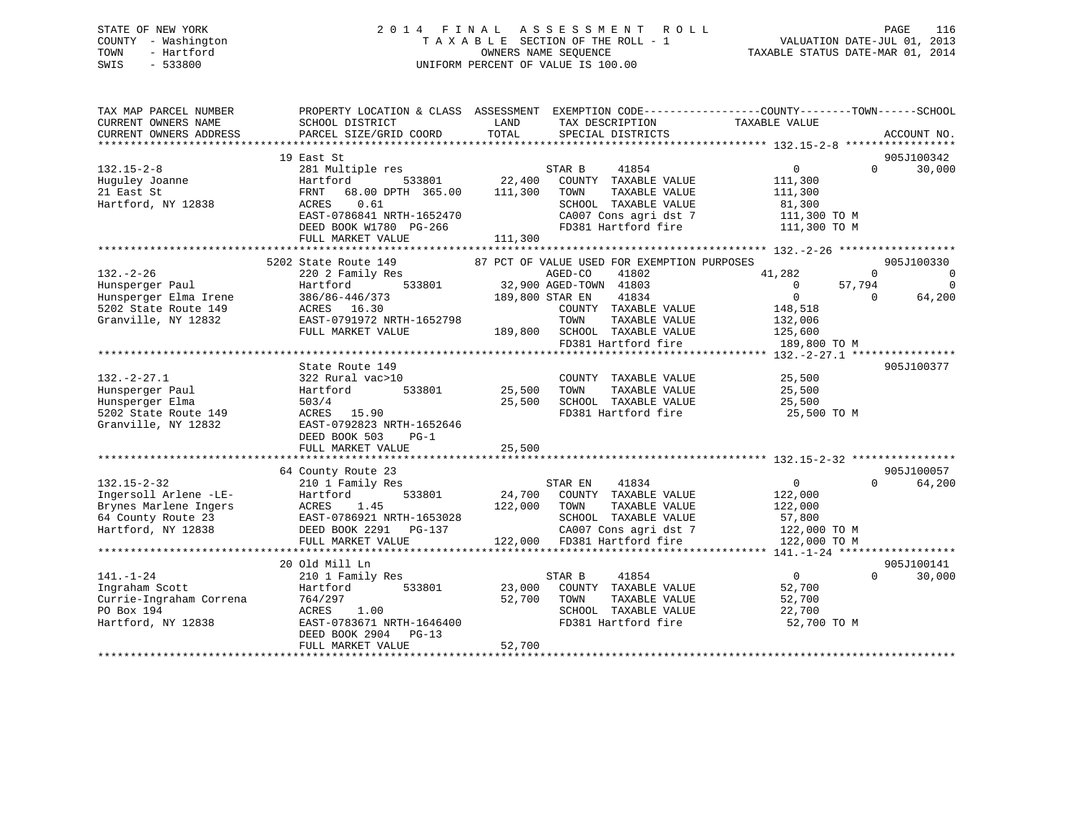# STATE OF NEW YORK 2 0 1 4 F I N A L A S S E S S M E N T R O L L PAGE 116 COUNTY - Washington T A X A B L E SECTION OF THE ROLL - 1 VALUATION DATE-JUL 01, 2013 TOWN - Hartford OWNERS NAME SEQUENCE TAXABLE STATUS DATE-MAR 01, 2014 SWIS - 533800 UNIFORM PERCENT OF VALUE IS 100.00

| TAX MAP PARCEL NUMBER<br>CURRENT OWNERS NAME | SCHOOL DISTRICT                    | LAND<br>TOTAL   | TAX DESCRIPTION                               | PROPERTY LOCATION & CLASS ASSESSMENT EXEMPTION CODE----------------COUNTY-------TOWN------SCHOOL<br>TAXABLE VALUE |                                  |
|----------------------------------------------|------------------------------------|-----------------|-----------------------------------------------|-------------------------------------------------------------------------------------------------------------------|----------------------------------|
| CURRENT OWNERS ADDRESS                       | PARCEL SIZE/GRID COORD             |                 | SPECIAL DISTRICTS                             |                                                                                                                   | ACCOUNT NO.                      |
|                                              | 19 East St                         |                 |                                               |                                                                                                                   | 905J100342                       |
| $132.15 - 2 - 8$                             | 281 Multiple res                   |                 | STAR B<br>41854                               | $0 \qquad \qquad$                                                                                                 | 30,000<br>$\Omega$               |
| Huguley Joanne                               | 533801<br>Hartford                 | 22,400          | COUNTY TAXABLE VALUE                          | 111,300                                                                                                           |                                  |
| 21 East St                                   | FRNT<br>68.00 DPTH 365.00          | 111,300         | TOWN<br>TAXABLE VALUE                         | 111,300                                                                                                           |                                  |
| Hartford, NY 12838                           | ACRES<br>0.61                      |                 | SCHOOL TAXABLE VALUE                          | 81,300                                                                                                            |                                  |
|                                              | EAST-0786841 NRTH-1652470          |                 | CA007 Cons agri dst 7                         | 111,300 TO M                                                                                                      |                                  |
|                                              | DEED BOOK W1780 PG-266             |                 | FD381 Hartford fire                           | 111,300 TO M                                                                                                      |                                  |
|                                              | FULL MARKET VALUE                  | 111,300         |                                               |                                                                                                                   |                                  |
|                                              |                                    |                 |                                               |                                                                                                                   |                                  |
|                                              | 5202 State Route 149               |                 | 87 PCT OF VALUE USED FOR EXEMPTION PURPOSES   |                                                                                                                   | 905J100330                       |
| $132. - 2 - 26$                              | 220 2 Family Res                   |                 | AGED-CO<br>41802                              | 41,282                                                                                                            | $\Omega$<br>$\Omega$             |
| Hunsperger Paul                              | Hartford                           |                 | 533801 32,900 AGED-TOWN 41803                 | $\overline{0}$<br>57,794                                                                                          | $\Omega$                         |
| Hunsperger Elma Irene                        | 386/86-446/373                     | 189,800 STAR EN | 41834                                         | $\overline{0}$                                                                                                    | 64,200<br>$\Omega$               |
| 5202 State Route 149                         | ACRES 16.30                        |                 | COUNTY TAXABLE VALUE                          | 148,518                                                                                                           |                                  |
| Granville, NY 12832                          | EAST-0791972 NRTH-1652798          |                 | TOWN<br>TAXABLE VALUE                         | 132,006                                                                                                           |                                  |
|                                              | FULL MARKET VALUE                  |                 | 189,800 SCHOOL TAXABLE VALUE                  | 125,600                                                                                                           |                                  |
|                                              |                                    |                 | FD381 Hartford fire                           | 189,800 TO M                                                                                                      |                                  |
|                                              |                                    |                 |                                               |                                                                                                                   |                                  |
|                                              | State Route 149                    |                 |                                               |                                                                                                                   | 905J100377                       |
| $132. - 2 - 27.1$                            | 322 Rural vac>10                   |                 | COUNTY TAXABLE VALUE                          | 25,500                                                                                                            |                                  |
| Hunsperger Paul                              | 533801<br>Hartford                 | 25,500          | TAXABLE VALUE<br>TOWN                         | 25,500                                                                                                            |                                  |
| Hunsperger Elma                              | 503/4                              | 25,500          | SCHOOL TAXABLE VALUE                          | 25,500                                                                                                            |                                  |
| 5202 State Route 149                         | ACRES 15.90                        |                 | FD381 Hartford fire                           | 25,500 TO M                                                                                                       |                                  |
| Granville, NY 12832                          | EAST-0792823 NRTH-1652646          |                 |                                               |                                                                                                                   |                                  |
|                                              | DEED BOOK 503<br>$PG-1$            |                 |                                               |                                                                                                                   |                                  |
|                                              | FULL MARKET VALUE                  | 25,500          |                                               |                                                                                                                   |                                  |
|                                              |                                    |                 |                                               |                                                                                                                   |                                  |
| $132.15 - 2 - 32$                            | 64 County Route 23                 |                 | STAR EN<br>41834                              | $\Omega$                                                                                                          | 905J100057<br>$\Omega$<br>64,200 |
| Ingersoll Arlene -LE-                        | 210 1 Family Res                   |                 | 24,700 COUNTY TAXABLE VALUE                   |                                                                                                                   |                                  |
| Brynes Marlene Ingers                        | Hartford<br>533801<br>1.45         | 122,000 TOWN    | TAXABLE VALUE                                 | 122,000                                                                                                           |                                  |
|                                              | ACRES<br>EAST-0786921 NRTH-1653028 |                 |                                               | 122,000                                                                                                           |                                  |
| 64 County Route 23<br>Hartford, NY 12838     |                                    |                 | SCHOOL TAXABLE VALUE<br>CA007 Cons agri dst 7 | 57,800<br>122,000 TO M                                                                                            |                                  |
|                                              |                                    |                 | 122,000 FD381 Hartford fire                   |                                                                                                                   |                                  |
|                                              | FULL MARKET VALUE                  |                 |                                               | 122,000 TO M                                                                                                      |                                  |
|                                              | 20 Old Mill Ln                     |                 |                                               |                                                                                                                   | 905J100141                       |
| $141. - 1 - 24$                              | 210 1 Family Res                   |                 | 41854<br>STAR B                               | $\overline{0}$                                                                                                    | $\Omega$<br>30,000               |
| Ingraham Scott                               | 533801<br>Hartford                 | 23,000          | COUNTY TAXABLE VALUE                          | 52,700                                                                                                            |                                  |
| Currie-Ingraham Correna                      | 764/297                            | 52,700          | TOWN<br>TAXABLE VALUE                         | 52,700                                                                                                            |                                  |
| PO Box 194                                   | ACRES<br>1.00                      |                 | SCHOOL TAXABLE VALUE                          | 22,700                                                                                                            |                                  |
| Hartford, NY 12838                           | EAST-0783671 NRTH-1646400          |                 | FD381 Hartford fire                           | 52,700 TO M                                                                                                       |                                  |
|                                              | DEED BOOK 2904 PG-13               |                 |                                               |                                                                                                                   |                                  |
|                                              | FULL MARKET VALUE                  | 52,700          |                                               |                                                                                                                   |                                  |
|                                              |                                    |                 |                                               |                                                                                                                   |                                  |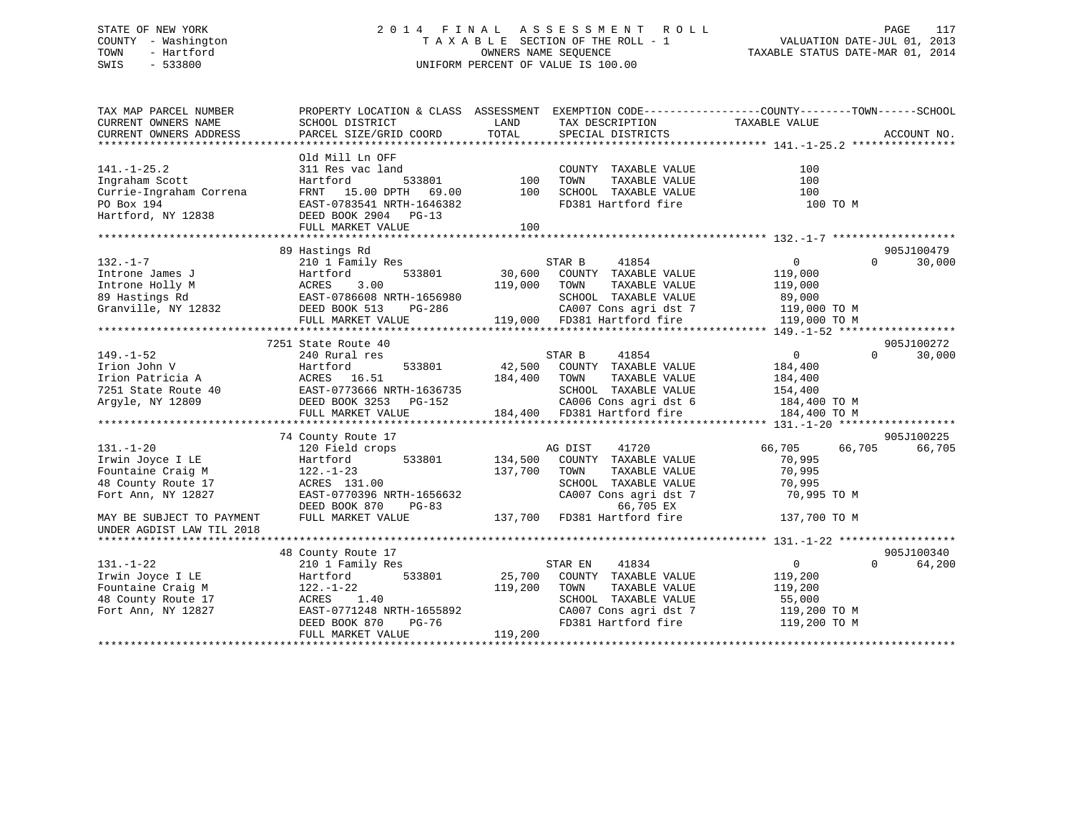# STATE OF NEW YORK 2 0 1 4 F I N A L A S S E S S M E N T R O L L PAGE 117 COUNTY - Washington T A X A B L E SECTION OF THE ROLL - 1 VALUATION DATE-JUL 01, 2013 TOWN - Hartford **TAXABLE STATUS DATE-MAR 01, 2014** OWNERS NAME SEQUENCE TAXABLE STATUS DATE-MAR 01, 2014 SWIS - 533800 UNIFORM PERCENT OF VALUE IS 100.00

| TAX MAP PARCEL NUMBER<br>CURRENT OWNERS NAME<br>CURRENT OWNERS ADDRESS                               | PROPERTY LOCATION & CLASS ASSESSMENT EXEMPTION CODE---------------COUNTY-------TOWN-----SCHOOL<br>SCHOOL DISTRICT<br>PARCEL SIZE/GRID COORD                            | LAND<br>TOTAL                | TAX DESCRIPTION TAXABLE VALUE<br>SPECIAL DISTRICTS                                                                                                                                          |                                                                                            | ACCOUNT NO.          |
|------------------------------------------------------------------------------------------------------|------------------------------------------------------------------------------------------------------------------------------------------------------------------------|------------------------------|---------------------------------------------------------------------------------------------------------------------------------------------------------------------------------------------|--------------------------------------------------------------------------------------------|----------------------|
| $141. - 1 - 25.2$<br>Ingraham Scott<br>Currie-Ingraham Correna<br>PO Box 194<br>Hartford, NY 12838   | Old Mill Ln OFF<br>311 Res vac land<br>Hartford<br>533801<br>FRNT 15.00 DPTH 69.00<br>EAST-0783541 NRTH-1646382<br>DEED BOOK 2904 PG-13                                | 100<br>100                   | COUNTY TAXABLE VALUE<br>TOWN<br>TAXABLE VALUE<br>SCHOOL TAXABLE VALUE<br>FD381 Hartford fire                                                                                                | 100<br>100<br>100<br>100 TO M                                                              |                      |
|                                                                                                      | FULL MARKET VALUE                                                                                                                                                      | 100                          |                                                                                                                                                                                             |                                                                                            |                      |
| $132. - 1 - 7$<br>Introne James J<br>Introne Holly M<br>89 Hastings Rd<br>Granville, NY 12832        | 89 Hastings Rd<br>210 1 Family Res<br>533801<br>Hartford<br>3.00<br>ACRES<br>EAST-0786608 NRTH-1656980<br>DEED BOOK 513<br>PG-286<br>FULL MARKET VALUE                 | 119,000                      | STAR B<br>41854<br>30,600 COUNTY TAXABLE VALUE<br>TAXABLE VALUE<br>TOWN<br>SCHOOL TAXABLE VALUE<br>CA007 Cons agri dst 7 119,000 TO M<br>119,000 FD381 Hartford fire                        | $\overline{0}$<br>$\Omega$<br>119,000<br>119,000<br>89,000<br>119,000 TO M                 | 905J100479<br>30,000 |
|                                                                                                      |                                                                                                                                                                        |                              |                                                                                                                                                                                             |                                                                                            |                      |
| $149. - 1 - 52$<br>Irion John V<br>Irion Patricia A<br>7251 State Route 40<br>Argyle, NY 12809       | 7251 State Route 40<br>240 Rural res<br>Hartford<br>533801<br>ACRES 16.51<br>EAST-0773666 NRTH-1636735<br>DEED BOOK 3253 PG-152<br>FULL MARKET VALUE                   | 42,500                       | 41854<br>STAR B<br>COUNTY TAXABLE VALUE<br>184,400 TOWN TAXABLE VALUE<br>SCHOOL TAXABLE VALUE<br>CA006 Cons agri dst 6<br>184,400 FD381 Hartford fire<br>CA006 Cons agri dst 6 184,400 TO M | $\overline{0}$<br>$\Omega$<br>184,400<br>184,400<br>154,400<br>184,400 TO M                | 905J100272<br>30,000 |
|                                                                                                      |                                                                                                                                                                        |                              |                                                                                                                                                                                             |                                                                                            |                      |
| $131. - 1 - 20$<br>Irwin Joyce I LE<br>Fountaine Craig M<br>48 County Route 17<br>Fort Ann, NY 12827 | 74 County Route 17<br>120 Field crops<br>533801<br>Hartford<br>$122. - 1 - 23$<br>ACRES 131.00<br>EAST-0770396 NRTH-1656632<br>DEED BOOK 870<br>PG-83                  | 134,500<br>137,700           | 41720<br>AG DIST<br>COUNTY TAXABLE VALUE<br>TOWN<br>TAXABLE VALUE<br>SCHOOL TAXABLE VALUE<br>CA007 Cons agri dst 7<br>66,705 EX                                                             | 66,705<br>66,705<br>70,995<br>70,995<br>70,995<br>70,995 TO M                              | 905J100225<br>66,705 |
| MAY BE SUBJECT TO PAYMENT<br>UNDER AGDIST LAW TIL 2018                                               | FULL MARKET VALUE                                                                                                                                                      |                              | 137,700 FD381 Hartford fire                                                                                                                                                                 | 137,700 TO M                                                                               |                      |
| $131. - 1 - 22$<br>Irwin Joyce I LE<br>Fountaine Craig M<br>48 County Route 17<br>Fort Ann, NY 12827 | 48 County Route 17<br>210 1 Family Res<br>533801<br>Hartford<br>122.-1-22<br>ACRES<br>1.40<br>EAST-0771248 NRTH-1655892<br>PG-76<br>DEED BOOK 870<br>FULL MARKET VALUE | 25,700<br>119,200<br>119,200 | STAR EN<br>41834<br>COUNTY TAXABLE VALUE<br>TOWN<br>TAXABLE VALUE<br>SCHOOL TAXABLE VALUE<br>CA007 Cons agri dst 7<br>CA007 Cons agri dst 7                                                 | $\overline{0}$<br>$\Omega$<br>119,200<br>119,200<br>55,000<br>119,200 TO M<br>119,200 TO M | 905J100340<br>64,200 |
|                                                                                                      |                                                                                                                                                                        |                              |                                                                                                                                                                                             |                                                                                            |                      |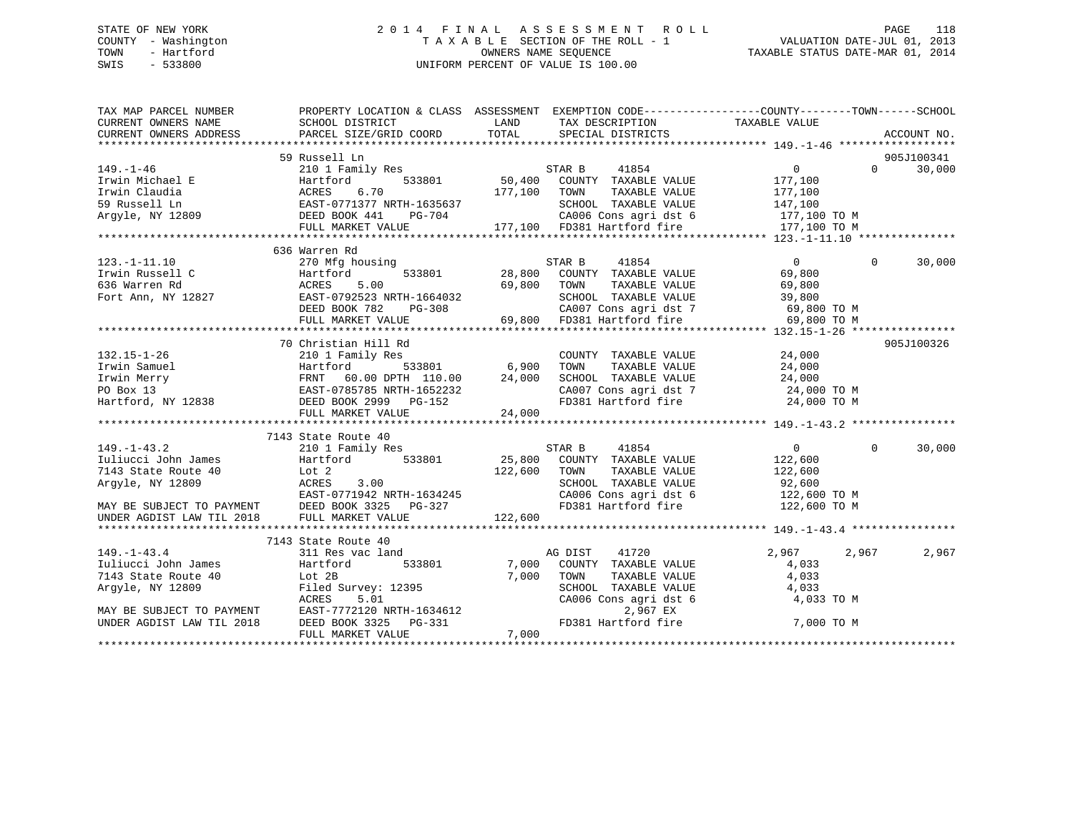# STATE OF NEW YORK 2 0 1 4 F I N A L A S S E S S M E N T R O L L PAGE 118 COUNTY - Washington T A X A B L E SECTION OF THE ROLL - 1 VALUATION DATE-JUL 01, 2013 TOWN - Hartford **TAXABLE STATUS DATE-MAR 01, 2014** OWNERS NAME SEQUENCE TAXABLE STATUS DATE-MAR 01, 2014 SWIS - 533800 UNIFORM PERCENT OF VALUE IS 100.00

| TAX MAP PARCEL NUMBER                                                                                                                                                                                                                                                                                                                                                                     | PROPERTY LOCATION & CLASS ASSESSMENT EXEMPTION CODE-----------------COUNTY-------TOWN------SCHOOL |      |                                                                                                                                                                                        |                                                                   |            |
|-------------------------------------------------------------------------------------------------------------------------------------------------------------------------------------------------------------------------------------------------------------------------------------------------------------------------------------------------------------------------------------------|---------------------------------------------------------------------------------------------------|------|----------------------------------------------------------------------------------------------------------------------------------------------------------------------------------------|-------------------------------------------------------------------|------------|
|                                                                                                                                                                                                                                                                                                                                                                                           |                                                                                                   | LAND | TAX DESCRIPTION                                                                                                                                                                        | TAXABLE VALUE                                                     |            |
| CURRENT OWNERS NAME SCHOOL DISTRICT<br>CURRENT OWNERS ADDRESS PARCEL SIZE/GRIL                                                                                                                                                                                                                                                                                                            |                                                                                                   |      |                                                                                                                                                                                        |                                                                   |            |
|                                                                                                                                                                                                                                                                                                                                                                                           |                                                                                                   |      |                                                                                                                                                                                        |                                                                   |            |
|                                                                                                                                                                                                                                                                                                                                                                                           | 59 Russell Ln                                                                                     |      |                                                                                                                                                                                        |                                                                   | 905J100341 |
|                                                                                                                                                                                                                                                                                                                                                                                           |                                                                                                   |      |                                                                                                                                                                                        |                                                                   |            |
|                                                                                                                                                                                                                                                                                                                                                                                           |                                                                                                   |      |                                                                                                                                                                                        |                                                                   |            |
|                                                                                                                                                                                                                                                                                                                                                                                           |                                                                                                   |      |                                                                                                                                                                                        |                                                                   |            |
|                                                                                                                                                                                                                                                                                                                                                                                           |                                                                                                   |      |                                                                                                                                                                                        |                                                                   |            |
|                                                                                                                                                                                                                                                                                                                                                                                           |                                                                                                   |      |                                                                                                                                                                                        |                                                                   |            |
|                                                                                                                                                                                                                                                                                                                                                                                           |                                                                                                   |      |                                                                                                                                                                                        |                                                                   |            |
| $\begin{tabular}{lllllllllll} 149.-1-46 & 59 \text{ Russell }\text{Ln} & 30,000\\ & & 210\text{ I Family Res} & 533801 & 50,400\text{ COUNTY} & TAXABLE VALUE & 177,100\\ & & 533801 & 50,400\text{ COUNTY} & TAXABLE VALUE & 177,100\\ & & 59 \text{ Russell }\text{Ln} & 5083801 & 50,400\text{ COUNTY} & TAXABLE VALUE & 177,100\\ & & 59 \text{ Russell }\text{Ln} & 5070 & 177,100\$ |                                                                                                   |      |                                                                                                                                                                                        |                                                                   |            |
|                                                                                                                                                                                                                                                                                                                                                                                           | 636 Warren Rd                                                                                     |      |                                                                                                                                                                                        |                                                                   |            |
| $123. -1 - 11.10$                                                                                                                                                                                                                                                                                                                                                                         | 270 Mfg housing                                                                                   |      | 41854<br>STAR B                                                                                                                                                                        | $\overline{0}$<br>$\Omega$                                        | 30,000     |
|                                                                                                                                                                                                                                                                                                                                                                                           |                                                                                                   |      |                                                                                                                                                                                        |                                                                   |            |
|                                                                                                                                                                                                                                                                                                                                                                                           |                                                                                                   |      |                                                                                                                                                                                        |                                                                   |            |
|                                                                                                                                                                                                                                                                                                                                                                                           |                                                                                                   |      |                                                                                                                                                                                        |                                                                   |            |
|                                                                                                                                                                                                                                                                                                                                                                                           |                                                                                                   |      |                                                                                                                                                                                        |                                                                   |            |
| 123.1.1.1.0 12827<br>Fort Ann, NY 12827<br>Fort Ann, NY 12827<br>Fort Ann, NY 12827<br>FULL MARKET VALUE<br>FULL MARKET VALUE<br>FULL MARKET VALUE<br>FULL MARKET VALUE<br>FULL MARKET VALUE<br>FULL MARKET VALUE<br>FULL MARKET VALUE<br>FULL MARKE                                                                                                                                      |                                                                                                   |      |                                                                                                                                                                                        |                                                                   |            |
|                                                                                                                                                                                                                                                                                                                                                                                           |                                                                                                   |      |                                                                                                                                                                                        |                                                                   |            |
|                                                                                                                                                                                                                                                                                                                                                                                           | 70 Christian Hill Rd                                                                              |      |                                                                                                                                                                                        |                                                                   | 905J100326 |
|                                                                                                                                                                                                                                                                                                                                                                                           |                                                                                                   |      | COUNTY TAXABLE VALUE 24,000                                                                                                                                                            |                                                                   |            |
|                                                                                                                                                                                                                                                                                                                                                                                           |                                                                                                   |      |                                                                                                                                                                                        |                                                                   |            |
|                                                                                                                                                                                                                                                                                                                                                                                           |                                                                                                   |      | TOWN TAXABLE VALUE<br>SCHOOL TAXABLE VALUE 24,000                                                                                                                                      |                                                                   |            |
|                                                                                                                                                                                                                                                                                                                                                                                           |                                                                                                   |      |                                                                                                                                                                                        | CA007 Cons agri dst 7 24,000 TO M                                 |            |
|                                                                                                                                                                                                                                                                                                                                                                                           |                                                                                                   |      | FD381 Hartford fire                                                                                                                                                                    | 24,000 TO M                                                       |            |
| 17win Samuel 210 1 Family Res<br>17win Merry Hartford 533801 6,900<br>PO Box 13<br>Hartford, NY 12838<br>Hartford, NY 12838<br>FULL MARKET VALUE<br>FULL MARKET VALUE                                                                                                                                                                                                                     |                                                                                                   |      |                                                                                                                                                                                        |                                                                   |            |
|                                                                                                                                                                                                                                                                                                                                                                                           |                                                                                                   |      |                                                                                                                                                                                        |                                                                   |            |
|                                                                                                                                                                                                                                                                                                                                                                                           | 7143 State Route 40                                                                               |      |                                                                                                                                                                                        |                                                                   |            |
| 149.-1-43.2<br>149.-1-43.2<br>149.-1-43.2<br>149.-1-43.2<br>149.-1-43.2<br>2101 Family Res<br>1533801<br>122,600 COUNTY TAXABLE VALUE<br>25,800 COUNTY TAXABLE VALUE<br>25,800 COUNTY TAXABLE VALUE<br>25,800 COUNTY TAXABLE VALUE<br>25,800 COUNTY                                                                                                                                       |                                                                                                   |      |                                                                                                                                                                                        | $\overline{0}$<br>$\Omega$                                        | 30,000     |
|                                                                                                                                                                                                                                                                                                                                                                                           |                                                                                                   |      |                                                                                                                                                                                        | 122,600                                                           |            |
|                                                                                                                                                                                                                                                                                                                                                                                           |                                                                                                   |      |                                                                                                                                                                                        | TAXABLE VALUE 122,600                                             |            |
|                                                                                                                                                                                                                                                                                                                                                                                           |                                                                                                   |      |                                                                                                                                                                                        |                                                                   |            |
|                                                                                                                                                                                                                                                                                                                                                                                           |                                                                                                   |      |                                                                                                                                                                                        | SCHOOL TAXABLE VALUE 92,600<br>CA006 Cons agri dst 6 122,600 TO M |            |
|                                                                                                                                                                                                                                                                                                                                                                                           |                                                                                                   |      |                                                                                                                                                                                        |                                                                   |            |
|                                                                                                                                                                                                                                                                                                                                                                                           |                                                                                                   |      |                                                                                                                                                                                        |                                                                   |            |
|                                                                                                                                                                                                                                                                                                                                                                                           |                                                                                                   |      |                                                                                                                                                                                        |                                                                   |            |
|                                                                                                                                                                                                                                                                                                                                                                                           | 7143 State Route 40                                                                               |      |                                                                                                                                                                                        |                                                                   |            |
| $149. - 1 - 43.4$                                                                                                                                                                                                                                                                                                                                                                         | 311 Res vac land                                                                                  |      | 41720<br>AG DIST                                                                                                                                                                       | 2,967<br>2,967                                                    | 2,967      |
| Iuliucci John James Martford 533801 7,000                                                                                                                                                                                                                                                                                                                                                 |                                                                                                   |      | COUNTY TAXABLE VALUE 4,033                                                                                                                                                             |                                                                   |            |
| 7143 State Route 40                                                                                                                                                                                                                                                                                                                                                                       |                                                                                                   |      | TOWN                                                                                                                                                                                   |                                                                   |            |
| Arqyle, NY 12809                                                                                                                                                                                                                                                                                                                                                                          |                                                                                                   |      | $\begin{tabular}{lllllllll} \textsc{TOWN} & \textsc{TXABLE} & \textsc{VALUE} & \textsc{4,033} \\ \textsc{SCHOOD} & \textsc{TXABLE} & \textsc{VALUE} & \textsc{4,033} \\ \end{tabular}$ |                                                                   |            |
|                                                                                                                                                                                                                                                                                                                                                                                           |                                                                                                   |      |                                                                                                                                                                                        |                                                                   |            |
| MAY BE SUBJECT TO PAYMENT                                                                                                                                                                                                                                                                                                                                                                 |                                                                                                   |      | 2,967 EX                                                                                                                                                                               | CA006 Cons agri dst 6 4,033 TO M                                  |            |
| UNDER AGDIST LAW TIL 2018                                                                                                                                                                                                                                                                                                                                                                 |                                                                                                   |      |                                                                                                                                                                                        | FD381 Hartford fire 7,000 TO M                                    |            |
|                                                                                                                                                                                                                                                                                                                                                                                           |                                                                                                   |      |                                                                                                                                                                                        |                                                                   |            |
|                                                                                                                                                                                                                                                                                                                                                                                           |                                                                                                   |      |                                                                                                                                                                                        |                                                                   |            |
|                                                                                                                                                                                                                                                                                                                                                                                           |                                                                                                   |      |                                                                                                                                                                                        |                                                                   |            |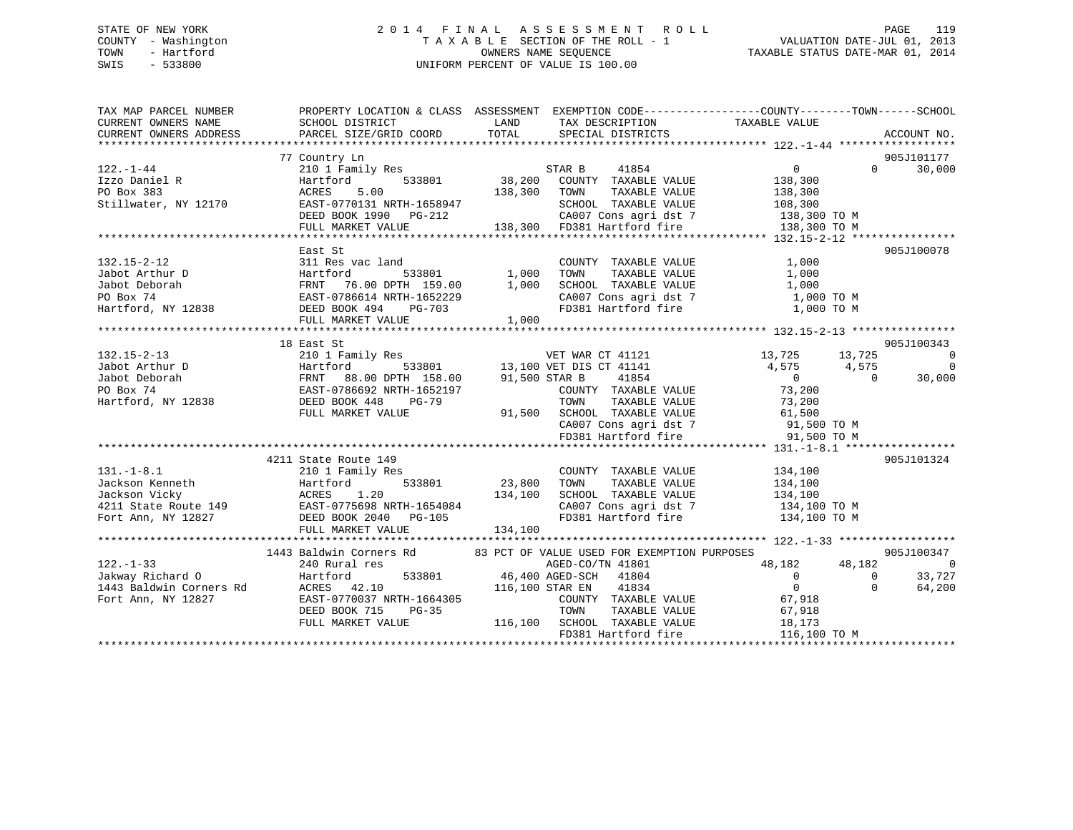# STATE OF NEW YORK 2 0 1 4 F I N A L A S S E S S M E N T R O L L PAGE 119 COUNTY - Washington T A X A B L E SECTION OF THE ROLL - 1 VALUATION DATE-JUL 01, 2013 TOWN - Hartford **TAXABLE STATUS DATE-MAR 01, 2014** OWNERS NAME SEQUENCE TAXABLE STATUS DATE-MAR 01, 2014 SWIS - 533800 UNIFORM PERCENT OF VALUE IS 100.00

| PROPERTY LOCATION & CLASS ASSESSMENT EXEMPTION CODE---------------COUNTY-------TOWN------SCHOOL<br>TAX MAP PARCEL NUMBER                                                                                                                                                                                                                                                                                                                                                                                        |                                       |
|-----------------------------------------------------------------------------------------------------------------------------------------------------------------------------------------------------------------------------------------------------------------------------------------------------------------------------------------------------------------------------------------------------------------------------------------------------------------------------------------------------------------|---------------------------------------|
| TAXABLE VALUE<br>CURRENT OWNERS NAME<br>SCHOOL DISTRICT<br>LAND<br>TAX DESCRIPTION                                                                                                                                                                                                                                                                                                                                                                                                                              |                                       |
| TOTAL<br>CURRENT OWNERS ADDRESS<br>PARCEL SIZE/GRID COORD<br>SPECIAL DISTRICTS                                                                                                                                                                                                                                                                                                                                                                                                                                  | ACCOUNT NO.                           |
|                                                                                                                                                                                                                                                                                                                                                                                                                                                                                                                 |                                       |
| 77 Country Ln                                                                                                                                                                                                                                                                                                                                                                                                                                                                                                   | 905J101177                            |
| 210 1 Family Res<br>$\overline{0}$<br>$122. - 1 - 44$<br>STAR B 41854                                                                                                                                                                                                                                                                                                                                                                                                                                           | $\Omega$<br>30,000                    |
| 38,200 COUNTY TAXABLE VALUE<br>533801<br>138,300<br>Izzo Daniel R<br>Hartford                                                                                                                                                                                                                                                                                                                                                                                                                                   |                                       |
| PO Box 383<br>5.00<br>138,300 TOWN<br>ACRES<br>TAXABLE VALUE<br>138,300<br>108,300                                                                                                                                                                                                                                                                                                                                                                                                                              |                                       |
| EAST-0770131 NRTH-1658947<br>Stillwater, NY 12170<br>SCHOOL TAXABLE VALUE                                                                                                                                                                                                                                                                                                                                                                                                                                       |                                       |
| CA007 Cons agri dst 7 138,300 TO M                                                                                                                                                                                                                                                                                                                                                                                                                                                                              |                                       |
|                                                                                                                                                                                                                                                                                                                                                                                                                                                                                                                 | 138,300 TO M                          |
|                                                                                                                                                                                                                                                                                                                                                                                                                                                                                                                 |                                       |
| East St                                                                                                                                                                                                                                                                                                                                                                                                                                                                                                         | 905J100078                            |
| $132.15 - 2 - 12$<br>COUNTY TAXABLE VALUE<br>1,000                                                                                                                                                                                                                                                                                                                                                                                                                                                              |                                       |
| TOWN<br>TAXABLE VALUE<br>1,000                                                                                                                                                                                                                                                                                                                                                                                                                                                                                  |                                       |
| SCHOOL TAXABLE VALUE<br>1,000<br>SCHOOL TAXABLE VALUE 1,000<br>CA007 Cons agri dst 7 1,000 TO M                                                                                                                                                                                                                                                                                                                                                                                                                 |                                       |
|                                                                                                                                                                                                                                                                                                                                                                                                                                                                                                                 |                                       |
| Facture 1533801<br>Factbook Deborah Martford 533801<br>PO Box 74 EAST-0786614 NRTH-1652229<br>Hartford, NY 12838 DEED BOOK 494 PG-703<br>FD381 Hartford fire                                                                                                                                                                                                                                                                                                                                                    | 1,000 TO M                            |
| Ast b.<br>311 Res vac lanu<br>Hartford 533801<br>FRNT 76.00 DPTH 159.00 1,000<br>72T-0786614 NRTH-1652229<br>1,000<br>1,000<br>1,000                                                                                                                                                                                                                                                                                                                                                                            |                                       |
|                                                                                                                                                                                                                                                                                                                                                                                                                                                                                                                 |                                       |
| 18 East St                                                                                                                                                                                                                                                                                                                                                                                                                                                                                                      | 905J100343                            |
| 210 1 Family Res<br>VET WAR CT 41121 13,725 13,725<br>$132.15 - 2 - 13$                                                                                                                                                                                                                                                                                                                                                                                                                                         | $\sim$ 0                              |
| 533801 13,100 VET DIS CT 41141                                                                                                                                                                                                                                                                                                                                                                                                                                                                                  | 4,575 4,575<br>$\sim$ 0<br>, 575<br>0 |
| University of the Martford and the Martford of the Martford of the Martford of the Martford of the Martford (<br>FRNT 88.00 DPTH 158.00 91,500 STAR B<br>PO Box 74 EAST-0786692 NRTH-1652197 COUNTY<br>Hartford, NY 12838 DEED BOOK<br>41854<br>$\overline{0}$                                                                                                                                                                                                                                                  | 30,000                                |
| COUNTY TAXABLE VALUE 73,200                                                                                                                                                                                                                                                                                                                                                                                                                                                                                     |                                       |
| $\begin{tabular}{lllllllllll} \multicolumn{4}{c}{\text{\small\tt TOWN}} & \multicolumn{4}{c}{\text{\small\tt TAXABLE VALUE}} & \multicolumn{4}{c}{\text{\small\tt 73,200}}\\ & \multicolumn{4}{c}{\text{\small\tt TOVN}} & \multicolumn{4}{c}{\text{\small\tt TAXABLE VALUE}} & \multicolumn{4}{c}{\text{\small\tt 73,200}}\\ \multicolumn{4}{c}{\text{\small\tt 91,500}} & \multicolumn{4}{c}{\text{\small\tt SCHOOL}} & \multicolumn{4}{c}{\text{\small\tt TAXABLE VALUE}} & \multicolumn{4}{c}{\text{\small$ |                                       |
| FULL MARKET VALUE                                                                                                                                                                                                                                                                                                                                                                                                                                                                                               |                                       |
| $\begin{array}{lll} \texttt{CA007} \texttt{ Cons} & \texttt{asgri} \texttt{dst} & 7 & \texttt{91,500} \texttt{TO M} \\ \texttt{FD381} & \texttt{Hartford} \texttt{fire} & \texttt{91,500} \texttt{TO M} \end{array}$                                                                                                                                                                                                                                                                                            |                                       |
|                                                                                                                                                                                                                                                                                                                                                                                                                                                                                                                 |                                       |
|                                                                                                                                                                                                                                                                                                                                                                                                                                                                                                                 |                                       |
| 4211 State Route 149                                                                                                                                                                                                                                                                                                                                                                                                                                                                                            | 905J101324                            |
| $131. - 1 - 8.1$<br>COUNTY TAXABLE VALUE 134,100<br>210 1 Family Res                                                                                                                                                                                                                                                                                                                                                                                                                                            |                                       |
| 23,800<br>TAXABLE VALUE 134,100<br>TAXABLE VALUE 134,100<br>TOWN                                                                                                                                                                                                                                                                                                                                                                                                                                                |                                       |
| SCHOOL TAXABLE VALUE                                                                                                                                                                                                                                                                                                                                                                                                                                                                                            |                                       |
| CA007 Cons agri dst 7 134,100 TO M                                                                                                                                                                                                                                                                                                                                                                                                                                                                              |                                       |
| 323,800<br>Jackson Kenneth<br>Jackson Vicky<br>4211 State Route 149<br>Fort Ann, NY 12827<br>Fort Ann, NY 12827<br>CREED BOOK 2040<br>The CHAPT CONSERVER POST OF 105<br>FD381 Hartford fire                                                                                                                                                                                                                                                                                                                    | 134,100 TO M                          |
| 134,100<br>FULL MARKET VALUE                                                                                                                                                                                                                                                                                                                                                                                                                                                                                    |                                       |
|                                                                                                                                                                                                                                                                                                                                                                                                                                                                                                                 |                                       |
| 1443 Baldwin Corners Rd 83 PCT OF VALUE USED FOR EXEMPTION PURPOSES                                                                                                                                                                                                                                                                                                                                                                                                                                             | 905J100347                            |
| 48,182<br>$122. - 1 - 33$<br>240 Rural res<br>AGED-CO/TN 41801                                                                                                                                                                                                                                                                                                                                                                                                                                                  | 48,182<br>$\overline{0}$              |
| 533801 46,400 AGED-SCH 41804<br>$\overline{0}$                                                                                                                                                                                                                                                                                                                                                                                                                                                                  | 33,727<br>$\overline{0}$              |
| $\overline{0}$<br>116,100 STAR EN 41834                                                                                                                                                                                                                                                                                                                                                                                                                                                                         | $\Omega$<br>64,200                    |
| EAST-0770037 NRTH-1664305<br>Fort Ann, NY 12827<br>COUNTY TAXABLE VALUE 67,918                                                                                                                                                                                                                                                                                                                                                                                                                                  |                                       |
| TOWN<br>DEED BOOK 715<br>$PG-35$<br>TAXABLE VALUE<br>67,918                                                                                                                                                                                                                                                                                                                                                                                                                                                     |                                       |
| 116,100 SCHOOL TAXABLE VALUE 18,173<br>FD381 Hartford fire 116,100<br>FULL MARKET VALUE                                                                                                                                                                                                                                                                                                                                                                                                                         |                                       |
|                                                                                                                                                                                                                                                                                                                                                                                                                                                                                                                 | 116,100 TO M                          |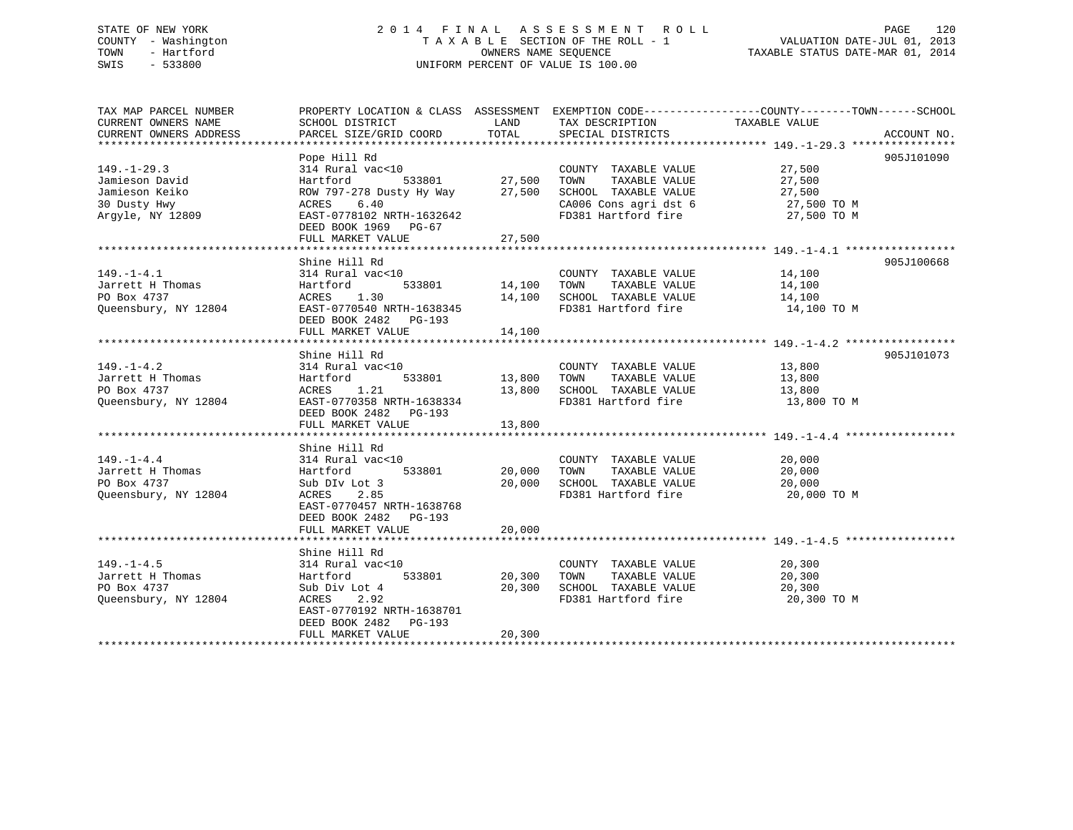# STATE OF NEW YORK 2 0 1 4 F I N A L A S S E S S M E N T R O L L PAGE 120 COUNTY - Washington T A X A B L E SECTION OF THE ROLL - 1 VALUATION DATE-JUL 01, 2013 TOWN - Hartford **TAXABLE STATUS DATE-MAR 01, 2014** OWNERS NAME SEQUENCE TAXABLE STATUS DATE-MAR 01, 2014 SWIS - 533800 UNIFORM PERCENT OF VALUE IS 100.00

| TAX MAP PARCEL NUMBER  | PROPERTY LOCATION & CLASS ASSESSMENT EXEMPTION CODE----------------COUNTY-------TOWN------SCHOOL |                    |                                                                      |                       |             |
|------------------------|--------------------------------------------------------------------------------------------------|--------------------|----------------------------------------------------------------------|-----------------------|-------------|
| CURRENT OWNERS NAME    | SCHOOL DISTRICT                                                                                  | LAND               | TAX DESCRIPTION                                                      | TAXABLE VALUE         |             |
| CURRENT OWNERS ADDRESS | PARCEL SIZE/GRID COORD                                                                           | TOTAL              | SPECIAL DISTRICTS                                                    |                       | ACCOUNT NO. |
|                        |                                                                                                  |                    |                                                                      |                       |             |
|                        | Pope Hill Rd                                                                                     |                    |                                                                      |                       | 905J101090  |
| $149. - 1 - 29.3$      | 314 Rural vac<10                                                                                 |                    | COUNTY TAXABLE VALUE 27,500                                          |                       |             |
| Jamieson David         | Hartford                                                                                         | 533801 27,500      | TAXABLE VALUE<br>TOWN                                                | 27,500                |             |
| Jamieson Keiko         | ROW 797-278 Dusty Hy Way 27,500                                                                  |                    |                                                                      |                       |             |
| 30 Dusty Hwy           | 6.40<br>ACRES                                                                                    |                    | SCHOOL TAXABLE VALUE $27,500$<br>CA006 Cons agri dst 6 $27,500$ TO M |                       |             |
| Argyle, NY 12809       | EAST-0778102 NRTH-1632642                                                                        |                    | FD381 Hartford fire 27,500 TO M                                      |                       |             |
|                        | DEED BOOK 1969 PG-67                                                                             |                    |                                                                      |                       |             |
|                        | FULL MARKET VALUE                                                                                | 27,500             |                                                                      |                       |             |
|                        |                                                                                                  |                    |                                                                      |                       |             |
|                        | Shine Hill Rd                                                                                    |                    |                                                                      |                       | 905J100668  |
| $149. - 1 - 4.1$       | 314 Rural vac<10                                                                                 |                    | COUNTY TAXABLE VALUE                                                 |                       |             |
| Jarrett H Thomas       | 533801<br>Hartford                                                                               | 14,100 TOWN        | TAXABLE VALUE                                                        | 14,100<br>14,100      |             |
| PO Box 4737            | ACRES 1.30                                                                                       |                    | 14,100 SCHOOL TAXABLE VALUE 14,100                                   |                       |             |
| Queensbury, NY 12804   | EAST-0770540 NRTH-1638345                                                                        |                    | FD381 Hartford fire                                                  | 14,100 TO M           |             |
|                        | DEED BOOK 2482    PG-193                                                                         |                    |                                                                      |                       |             |
|                        | FULL MARKET VALUE                                                                                | 14,100             |                                                                      |                       |             |
|                        |                                                                                                  |                    |                                                                      |                       |             |
|                        | Shine Hill Rd                                                                                    |                    |                                                                      |                       | 905J101073  |
| $149. - 1 - 4.2$       | 314 Rural vac<10                                                                                 |                    | COUNTY TAXABLE VALUE 13,800                                          |                       |             |
| Jarrett H Thomas       | Hartford                                                                                         | 533801 13,800 TOWN |                                                                      | TAXABLE VALUE 13,800  |             |
| PO Box 4737            | ACRES<br>1.21                                                                                    | 13,800             |                                                                      |                       |             |
| Queensbury, NY 12804   | EAST-0770358 NRTH-1638334                                                                        |                    | SCHOOL TAXABLE VALUE<br>FD381 Hartford fire                          | 13,800<br>13,800 TO M |             |
|                        | DEED BOOK 2482 PG-193                                                                            |                    |                                                                      |                       |             |
|                        | FULL MARKET VALUE                                                                                | 13,800             |                                                                      |                       |             |
|                        |                                                                                                  |                    |                                                                      |                       |             |
|                        | Shine Hill Rd                                                                                    |                    |                                                                      |                       |             |
| $149. - 1 - 4.4$       | 314 Rural vac<10                                                                                 |                    | COUNTY TAXABLE VALUE 20,000                                          |                       |             |
| Jarrett H Thomas       | 533801<br>Hartford                                                                               | 20,000             | TAXABLE VALUE<br>TOWN                                                | 20,000                |             |
| PO Box 4737            | Sub DIv Lot 3                                                                                    |                    | 20,000 SCHOOL TAXABLE VALUE                                          | 20,000                |             |
| Queensbury, NY 12804   | 2.85<br>ACRES                                                                                    |                    | FD381 Hartford fire 30,000 TO M                                      |                       |             |
|                        | EAST-0770457 NRTH-1638768                                                                        |                    |                                                                      |                       |             |
|                        | DEED BOOK 2482 PG-193                                                                            |                    |                                                                      |                       |             |
|                        | FULL MARKET VALUE                                                                                | 20,000             |                                                                      |                       |             |
|                        |                                                                                                  |                    |                                                                      |                       |             |
|                        | Shine Hill Rd                                                                                    |                    |                                                                      |                       |             |
| $149. - 1 - 4.5$       | 314 Rural vac<10                                                                                 |                    | COUNTY TAXABLE VALUE                                                 | 20,300                |             |
| Jarrett H Thomas       | Hartford                                                                                         | 533801 20,300 TOWN | TAXABLE VALUE                                                        | 20,300                |             |
| PO Box 4737            | Sub Div Lot 4                                                                                    |                    |                                                                      |                       |             |
| Oueensbury, NY 12804   | ACRES 2.92                                                                                       |                    | 20,300 SCHOOL TAXABLE VALUE 20,300<br>FD381 Hartford fire            | 20,300 TO M           |             |
|                        |                                                                                                  |                    |                                                                      |                       |             |
|                        | EAST-0770192 NRTH-1638701                                                                        |                    |                                                                      |                       |             |
|                        | DEED BOOK 2482 PG-193                                                                            |                    |                                                                      |                       |             |
|                        | FULL MARKET VALUE                                                                                | 20,300             |                                                                      |                       |             |
|                        |                                                                                                  |                    |                                                                      |                       |             |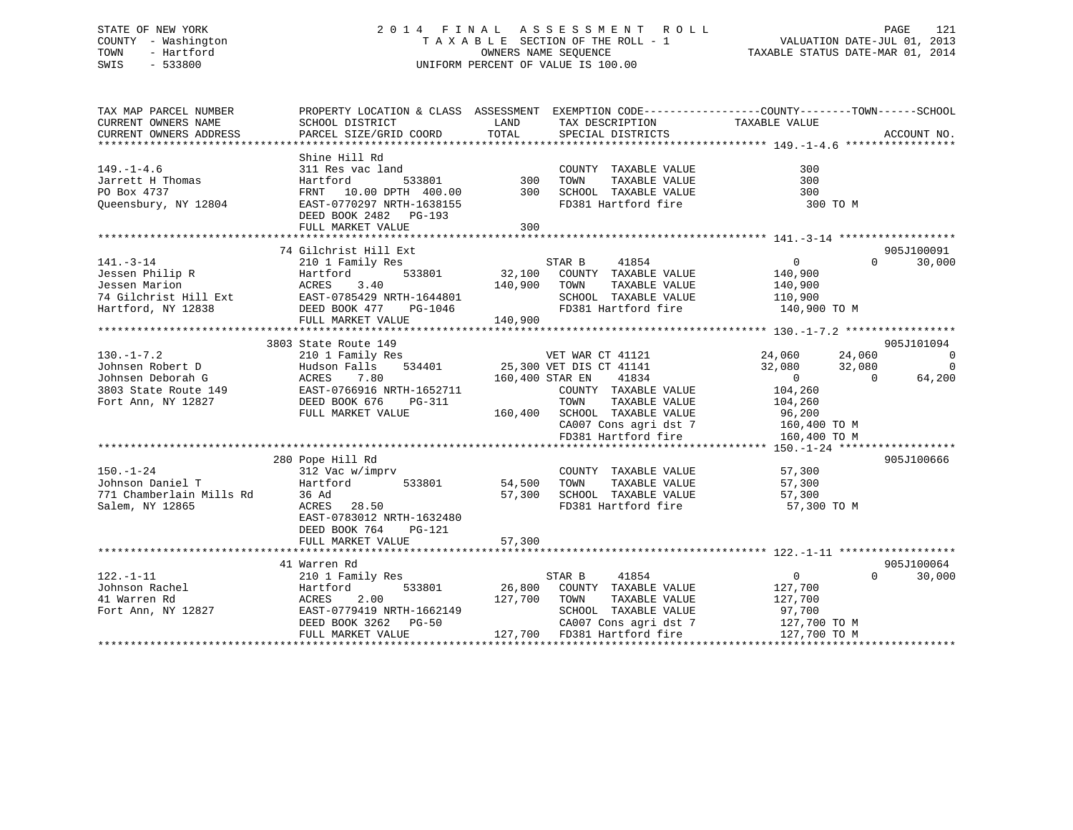# STATE OF NEW YORK 2 0 1 4 F I N A L A S S E S S M E N T R O L L PAGE 121 COUNTY - Washington T A X A B L E SECTION OF THE ROLL - 1 VALUATION DATE-JUL 01, 2013 TOWN - Hartford **TAXABLE STATUS DATE-MAR 01, 2014** OWNERS NAME SEQUENCE TAXABLE STATUS DATE-MAR 01, 2014 SWIS - 533800 UNIFORM PERCENT OF VALUE IS 100.00

| TAX MAP PARCEL NUMBER<br>CURRENT OWNERS NAME<br>CURRENT OWNERS ADDRESS                                                        | PROPERTY LOCATION & CLASS ASSESSMENT EXEMPTION CODE----------------COUNTY-------TOWN------SCHOOL<br>SCHOOL DISTRICT<br>PARCEL SIZE/GRID COORD                | LAND<br>TOTAL              | TAX DESCRIPTION TAXABLE VALUE<br>SPECIAL DISTRICTS                                                                                              |                                                                                   |                                    | ACCOUNT NO.                             |
|-------------------------------------------------------------------------------------------------------------------------------|--------------------------------------------------------------------------------------------------------------------------------------------------------------|----------------------------|-------------------------------------------------------------------------------------------------------------------------------------------------|-----------------------------------------------------------------------------------|------------------------------------|-----------------------------------------|
| $149. - 1 - 4.6$<br>Jarrett H Thomas<br>PO Box 4737<br>Queensbury, NY 12804                                                   | Shine Hill Rd<br>311 Res vac land<br>Hartford<br>533801<br>FRNT 10.00 DPTH 400.00<br>EAST-0770297 NRTH-1638155<br>DEED BOOK 2482 PG-193<br>FULL MARKET VALUE | $\frac{300}{300}$<br>300   | COUNTY TAXABLE VALUE<br>TAXABLE VALUE<br>TOWN<br>SCHOOL TAXABLE VALUE<br>FD381 Hartford fire                                                    | 300<br>300<br>300<br>300 TO M                                                     |                                    |                                         |
|                                                                                                                               |                                                                                                                                                              |                            |                                                                                                                                                 |                                                                                   |                                    |                                         |
| $141. - 3 - 14$<br>Jessen Philip R<br>Jessen Marion<br>Jessen Marion<br>74 Gilchrist Hill Ext<br>Hartford, NY 12838<br>DEED E | 74 Gilchrist Hill Ext<br>210 1 Family Res<br>Hartford<br>533801<br>3.40<br>EAST-0785429 NRTH-1644801<br>DEED BOOK 477<br>PG-1046<br>FULL MARKET VALUE        | 140,900 TOWN<br>140,900    | STAR B<br>41854<br>32,100 COUNTY TAXABLE VALUE<br>TAXABLE VALUE<br>SCHOOL TAXABLE VALUE<br>SCHOOL TAXABLE VALUE<br>FD381 Hartford fire          | $\overline{0}$<br>140,900<br>140,900<br>110,900<br>140,900 TO M                   | $\Omega$                           | 905J100091<br>30,000                    |
|                                                                                                                               | 3803 State Route 149                                                                                                                                         |                            |                                                                                                                                                 |                                                                                   |                                    | 905J101094                              |
| $130. - 1 - 7.2$<br>Johnsen Robert D<br>Johnsen Deborah G<br>oonnsen Deporan G<br>3803 State Route 149<br>Fort Ann, NY 12827  | 210 1 Family Res<br>Hudson Falls<br>ACRES<br>7.80<br>EAST-0766916 NRTH-1652711<br>DEED BOOK 676<br>PG-311                                                    | 160,400 STAR EN            | VET WAR CT 41121<br>534401 25,300 VET DIS CT 41141<br>41834<br>COUNTY TAXABLE VALUE<br>TAXABLE VALUE<br>TOWN                                    | 24,060<br>32,080<br>$\overline{0}$<br>104,260<br>104,260                          | 24,060<br>32,080<br>$\overline{0}$ | $\overline{0}$<br>$\mathbf 0$<br>64,200 |
|                                                                                                                               | FULL MARKET VALUE                                                                                                                                            |                            | 160,400 SCHOOL TAXABLE VALUE<br>CA007 Cons agri dst 7 160,400 TO M<br>FD381 Hartford fire                                                       | 96,200<br>160,400 TO M                                                            |                                    |                                         |
|                                                                                                                               | 280 Pope Hill Rd                                                                                                                                             |                            |                                                                                                                                                 |                                                                                   |                                    | 905J100666                              |
| $150. - 1 - 24$<br>Johnson Daniel T<br>771 Chamberlain Mills Rd<br>Salem, NY 12865                                            | 312 Vac w/imprv<br>533801<br>Hartford<br>36 Ad<br>ACRES 28.50<br>EAST-0783012 NRTH-1632480<br>DEED BOOK 764<br>PG-121<br>FULL MARKET VALUE                   | 54,500<br>57,300<br>57,300 | COUNTY TAXABLE VALUE<br>TAXABLE VALUE<br>TOWN<br>SCHOOL TAXABLE VALUE<br>FD381 Hartford fire                                                    | 57,300<br>57,300<br>57,300<br>57,300 TO M                                         |                                    |                                         |
|                                                                                                                               |                                                                                                                                                              |                            |                                                                                                                                                 |                                                                                   |                                    |                                         |
| $122. - 1 - 11$<br>Johnson Rachel<br>41 Warren Rd<br>Fort Ann, NY 12827                                                       | 41 Warren Rd<br>210 1 Family Res<br>533801<br>Hartford<br>2.00<br>ACRES<br>EAST-0779419 NRTH-1662149<br>DEED BOOK 3262 PG-50<br>FULL MARKET VALUE            | 127,700 TOWN               | STAR B<br>41854<br>26,800 COUNTY TAXABLE VALUE<br>TAXABLE VALUE<br>SCHOOL TAXABLE VALUE<br>CA007 Cons agri dst 7<br>127,700 FD381 Hartford fire | $0 \qquad \qquad$<br>127,700<br>127,700<br>97,700<br>127,700 TO M<br>127,700 TO M | $\Omega$                           | 905J100064<br>30,000                    |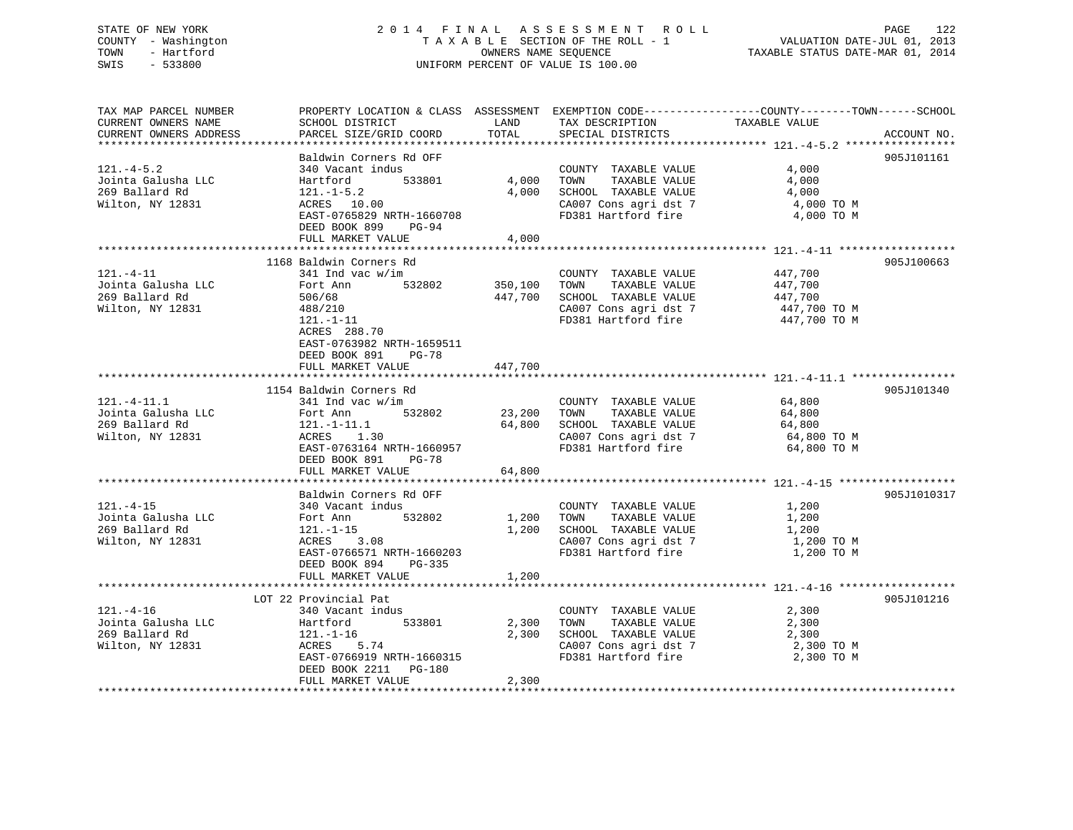# STATE OF NEW YORK 2 0 1 4 F I N A L A S S E S S M E N T R O L L PAGE 122 COUNTY - Washington T A X A B L E SECTION OF THE ROLL - 1 VALUATION DATE-JUL 01, 2013 TOWN - Hartford **TAXABLE STATUS DATE-MAR 01, 2014** OWNERS NAME SEQUENCE TAXABLE STATUS DATE-MAR 01, 2014 SWIS - 533800 UNIFORM PERCENT OF VALUE IS 100.00

| TAX MAP PARCEL NUMBER  | PROPERTY LOCATION & CLASS ASSESSMENT EXEMPTION CODE---------------COUNTY-------TOWN------SCHOOL                                                                                                             |        |                                                                                                                                                                                   |               |             |
|------------------------|-------------------------------------------------------------------------------------------------------------------------------------------------------------------------------------------------------------|--------|-----------------------------------------------------------------------------------------------------------------------------------------------------------------------------------|---------------|-------------|
| CURRENT OWNERS NAME    | SCHOOL DISTRICT                                                                                                                                                                                             | LAND   | TAX DESCRIPTION                                                                                                                                                                   |               |             |
| CURRENT OWNERS ADDRESS | PARCEL SIZE/GRID COORD TOTAL                                                                                                                                                                                |        | SPECIAL DISTRICTS                                                                                                                                                                 | TAXABLE VALUE | ACCOUNT NO. |
|                        |                                                                                                                                                                                                             |        |                                                                                                                                                                                   |               |             |
|                        | Baldwin Corners Rd OFF                                                                                                                                                                                      |        |                                                                                                                                                                                   |               | 905J101161  |
| $121.-4-5.2$           | 340 Vacant indus                                                                                                                                                                                            |        | COUNTY TAXABLE VALUE                                                                                                                                                              | 4,000         |             |
|                        |                                                                                                                                                                                                             |        |                                                                                                                                                                                   |               |             |
|                        | Value 1.000 TOWN<br>100 Martford 533801 4,000 TOWN<br>269 Ballard Rd 121.-1-5.2 4,000 SCHOO                                                                                                                 |        | TAXABLE VALUE                                                                                                                                                                     | 4,000         |             |
|                        | 121.-1-5.2<br>ACRES 10.00                                                                                                                                                                                   |        | 4,000 SCHOOL TAXABLE VALUE                                                                                                                                                        | 4,000         |             |
| Wilton, NY 12831       |                                                                                                                                                                                                             |        | CA007 Cons agri dst 7 4,000 TO M                                                                                                                                                  |               |             |
|                        | EAST-0765829 NRTH-1660708                                                                                                                                                                                   |        | FD381 Hartford fire                                                                                                                                                               | 4,000 TO M    |             |
|                        | DEED BOOK 899 PG-94                                                                                                                                                                                         |        |                                                                                                                                                                                   |               |             |
|                        | FULL MARKET VALUE                                                                                                                                                                                           | 4,000  |                                                                                                                                                                                   |               |             |
|                        |                                                                                                                                                                                                             |        |                                                                                                                                                                                   |               |             |
|                        | 1168 Baldwin Corners Rd                                                                                                                                                                                     |        |                                                                                                                                                                                   |               | 905J100663  |
| $121. - 4 - 11$        | 341 Ind vac w/im                                                                                                                                                                                            |        |                                                                                                                                                                                   |               |             |
|                        |                                                                                                                                                                                                             |        | $\begin{tabular}{lllllllll} \multicolumn{2}{c}{\text{COUNTY}} & \text{TXABLE VALUE} & & & \text{447,700} \\ \text{TOWN} & \text{TXABLE VALUE} & & & \text{447,700} \end{tabular}$ |               |             |
| 269 Ballard Rd         |                                                                                                                                                                                                             |        |                                                                                                                                                                                   |               |             |
|                        | 506/68<br>488/210                                                                                                                                                                                           |        | 447,700 SCHOOL TAXABLE VALUE 447,700<br>CA007 Cons agri dst 7 447,700 TO M                                                                                                        |               |             |
| Wilton, NY 12831       |                                                                                                                                                                                                             |        |                                                                                                                                                                                   |               |             |
|                        | 506/68<br>488/210<br>121.-1-11<br>ACRES 288.70<br>RACRES 288.70                                                                                                                                             |        | FD381 Hartford fire 447,700 TO M                                                                                                                                                  |               |             |
|                        |                                                                                                                                                                                                             |        |                                                                                                                                                                                   |               |             |
|                        | EAST-0763982 NRTH-1659511                                                                                                                                                                                   |        |                                                                                                                                                                                   |               |             |
|                        | DEED BOOK 891 PG-78                                                                                                                                                                                         |        |                                                                                                                                                                                   |               |             |
|                        | FULL MARKET VALUE 447,700                                                                                                                                                                                   |        |                                                                                                                                                                                   |               |             |
|                        |                                                                                                                                                                                                             |        |                                                                                                                                                                                   |               |             |
|                        | 1154 Baldwin Corners Rd                                                                                                                                                                                     |        |                                                                                                                                                                                   |               | 905J101340  |
| $121.-4-11.1$          | 341 Ind vac w/im                                                                                                                                                                                            |        | COUNTY TAXABLE VALUE 64,800                                                                                                                                                       |               |             |
|                        |                                                                                                                                                                                                             |        |                                                                                                                                                                                   |               |             |
|                        |                                                                                                                                                                                                             |        |                                                                                                                                                                                   |               |             |
|                        |                                                                                                                                                                                                             |        |                                                                                                                                                                                   |               |             |
|                        | ACRES 1.30<br>EAST-0763164 NRTH-1660957                                                                                                                                                                     |        | CA007 Cons agri dst 7 64,800 TO M<br>FD381 Hartford fire 64,800 TO M                                                                                                              |               |             |
|                        | DEED BOOK 891 PG-78                                                                                                                                                                                         |        |                                                                                                                                                                                   |               |             |
|                        |                                                                                                                                                                                                             |        |                                                                                                                                                                                   |               |             |
|                        | FULL MARKET VALUE                                                                                                                                                                                           | 64,800 |                                                                                                                                                                                   |               |             |
|                        |                                                                                                                                                                                                             |        |                                                                                                                                                                                   |               |             |
|                        | Baldwin Corners Rd OFF                                                                                                                                                                                      |        |                                                                                                                                                                                   |               | 905J1010317 |
| $121. - 4 - 15$        | 340 Vacant indus                                                                                                                                                                                            |        | COUNTY TAXABLE VALUE                                                                                                                                                              | 1,200         |             |
|                        |                                                                                                                                                                                                             |        |                                                                                                                                                                                   | 1,200         |             |
|                        |                                                                                                                                                                                                             |        |                                                                                                                                                                                   |               |             |
|                        | Fort Ann 532802 1,200 TOWN TAXABLE VALUE<br>269 Ballard Rd 121.-1-15 1,200 SCHOOL TAXABLE VALUE<br>Wilton, NY 12831 ACRES 3.08 CA007 Cons agri dst 7                                                        |        | 1,200 SCHOOL TAXABLE VALUE 1,200<br>CA007 Cons agri dst 7 1,200 TO M                                                                                                              |               |             |
|                        | EAST-0766571 NRTH-1660203                                                                                                                                                                                   |        | FD381 Hartford fire                                                                                                                                                               | 1,200 TO M    |             |
|                        | DEED BOOK 894 PG-335                                                                                                                                                                                        |        |                                                                                                                                                                                   |               |             |
|                        | FULL MARKET VALUE                                                                                                                                                                                           | 1,200  |                                                                                                                                                                                   |               |             |
|                        |                                                                                                                                                                                                             |        |                                                                                                                                                                                   |               |             |
|                        | LOT 22 Provincial Pat                                                                                                                                                                                       |        |                                                                                                                                                                                   |               | 905J101216  |
|                        |                                                                                                                                                                                                             |        | COUNTY TAXABLE VALUE 2,300                                                                                                                                                        |               |             |
|                        | 121.-4-16<br>Jointa Galusha LLC<br>129 Ballard Rd<br>121.-1-16<br>121.-1-16<br>121.-1-16<br>122.-1-16<br>122.-1-16<br>122.-1-16<br>123.74<br>22.5.74<br>22.5.74<br>22.5.74<br>22.5.74<br>22.5.74<br>22.5.74 |        | 2,300 TOWN TAXABLE VALUE                                                                                                                                                          | 2,300         |             |
|                        |                                                                                                                                                                                                             |        |                                                                                                                                                                                   |               |             |
|                        |                                                                                                                                                                                                             |        |                                                                                                                                                                                   |               |             |
|                        |                                                                                                                                                                                                             |        | FD381 Hartford fire 2,300 TO M                                                                                                                                                    |               |             |
|                        | EAST-0766919 NRTH-1660315                                                                                                                                                                                   |        |                                                                                                                                                                                   |               |             |
|                        | DEED BOOK 2211 PG-180                                                                                                                                                                                       |        |                                                                                                                                                                                   |               |             |
|                        | FULL MARKET VALUE                                                                                                                                                                                           | 2,300  |                                                                                                                                                                                   |               |             |
|                        |                                                                                                                                                                                                             |        |                                                                                                                                                                                   |               |             |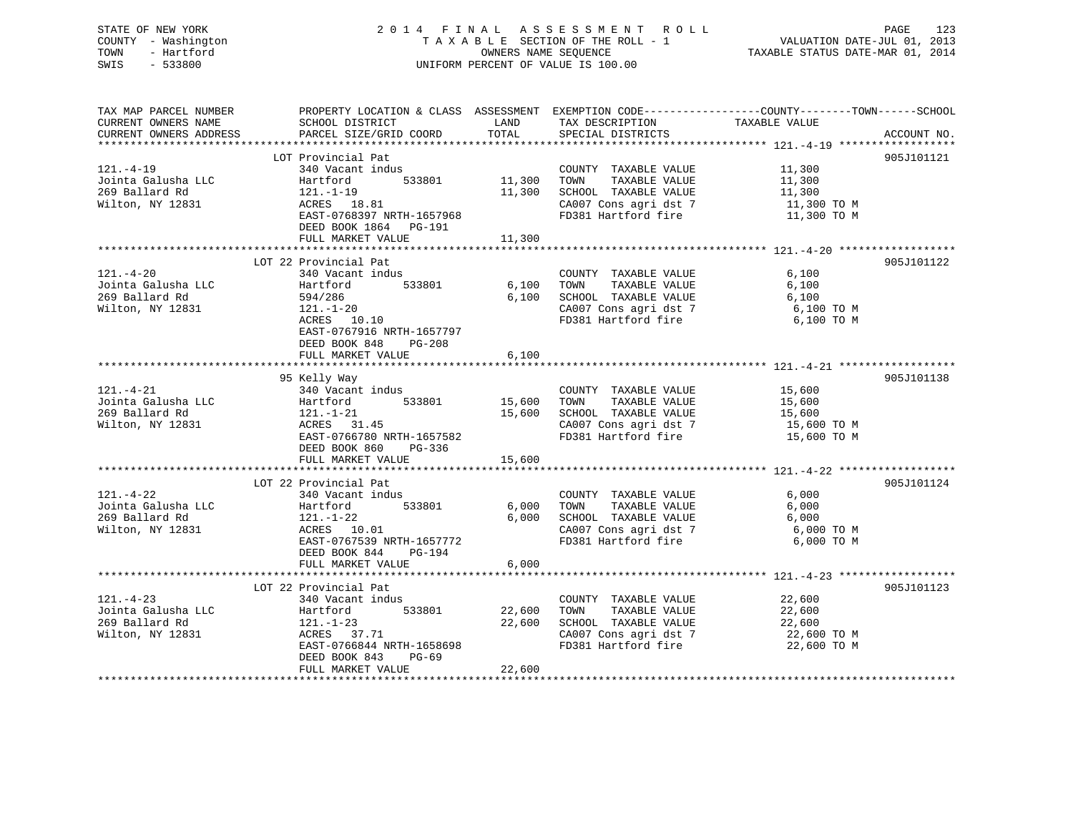# STATE OF NEW YORK 2 0 1 4 F I N A L A S S E S S M E N T R O L L PAGE 123 COUNTY - Washington T A X A B L E SECTION OF THE ROLL - 1 VALUATION DATE-JUL 01, 2013 TOWN - Hartford **TAXABLE STATUS DATE-MAR 01, 2014** OWNERS NAME SEQUENCE TAXABLE STATUS DATE-MAR 01, 2014 SWIS - 533800 UNIFORM PERCENT OF VALUE IS 100.00

| TAX MAP PARCEL NUMBER<br>CURRENT OWNERS NAME<br>CURRENT OWNERS ADDRESS      | PROPERTY LOCATION & CLASS ASSESSMENT EXEMPTION CODE---------------COUNTY-------TOWN------SCHOOL<br>SCHOOL DISTRICT<br>PARCEL SIZE/GRID COORD                                 | LAND<br>TOTAL              | TAX DESCRIPTION<br>SPECIAL DISTRICTS                                                                                  | TAXABLE VALUE                                            | ACCOUNT NO. |
|-----------------------------------------------------------------------------|------------------------------------------------------------------------------------------------------------------------------------------------------------------------------|----------------------------|-----------------------------------------------------------------------------------------------------------------------|----------------------------------------------------------|-------------|
| $121. - 4 - 19$<br>Jointa Galusha LLC<br>269 Ballard Rd<br>Wilton, NY 12831 | LOT Provincial Pat<br>340 Vacant indus<br>533801<br>Hartford<br>$121. - 1 - 19$<br>ACRES 18.81<br>EAST-0768397 NRTH-1657968<br>DEED BOOK 1864<br>PG-191<br>FULL MARKET VALUE | 11,300<br>11,300<br>11,300 | COUNTY TAXABLE VALUE<br>TOWN<br>TAXABLE VALUE<br>SCHOOL TAXABLE VALUE<br>CA007 Cons agri dst 7<br>FD381 Hartford fire | 11,300<br>11,300<br>11,300<br>11,300 TO M<br>11,300 TO M | 905J101121  |
| $121. - 4 - 20$                                                             | **************************<br>LOT 22 Provincial Pat<br>340 Vacant indus                                                                                                      | *************              | COUNTY TAXABLE VALUE                                                                                                  | 6,100                                                    | 905J101122  |
| Jointa Galusha LLC<br>269 Ballard Rd<br>Wilton, NY 12831                    | 533801<br>Hartford<br>594/286<br>$121. - 1 - 20$<br>ACRES 10.10<br>EAST-0767916 NRTH-1657797<br>DEED BOOK 848<br>PG-208<br>FULL MARKET VALUE                                 | 6,100<br>6,100<br>6,100    | TOWN<br>TAXABLE VALUE<br>SCHOOL TAXABLE VALUE<br>CA007 Cons agri dst 7<br>FD381 Hartford fire                         | 6,100<br>6,100<br>6,100 TO M<br>6,100 TO M               |             |
|                                                                             |                                                                                                                                                                              |                            |                                                                                                                       |                                                          |             |
| $121. - 4 - 21$<br>Jointa Galusha LLC<br>269 Ballard Rd<br>Wilton, NY 12831 | 95 Kelly Way<br>340 Vacant indus<br>533801<br>Hartford<br>121.-1-21<br>ACRES 31.45<br>EAST-0766780 NRTH-1657582<br>DEED BOOK 860<br>PG-336                                   | 15,600<br>15,600           | COUNTY TAXABLE VALUE<br>TAXABLE VALUE<br>TOWN<br>SCHOOL TAXABLE VALUE<br>CA007 Cons agri dst 7<br>FD381 Hartford fire | 15,600<br>15,600<br>15,600<br>15,600 TO M<br>15,600 ТО М | 905J101138  |
|                                                                             | FULL MARKET VALUE                                                                                                                                                            | 15,600                     |                                                                                                                       |                                                          |             |
| $121. - 4 - 22$<br>Jointa Galusha LLC<br>269 Ballard Rd<br>Wilton, NY 12831 | LOT 22 Provincial Pat<br>340 Vacant indus<br>533801<br>Hartford<br>$121. - 1 - 22$<br>ACRES 10.01<br>EAST-0767539 NRTH-1657772                                               | 6,000<br>6,000             | COUNTY TAXABLE VALUE<br>TOWN<br>TAXABLE VALUE<br>SCHOOL TAXABLE VALUE<br>CA007 Cons agri dst 7<br>FD381 Hartford fire | 6,000<br>6,000<br>6,000<br>6,000 TO M<br>6,000 TO M      | 905J101124  |
|                                                                             | DEED BOOK 844<br>PG-194<br>FULL MARKET VALUE                                                                                                                                 | 6,000                      |                                                                                                                       |                                                          |             |
| $121. - 4 - 23$<br>Jointa Galusha LLC<br>269 Ballard Rd<br>Wilton, NY 12831 | LOT 22 Provincial Pat<br>340 Vacant indus<br>533801<br>Hartford<br>$121. - 1 - 23$<br>ACRES 37.71<br>EAST-0766844 NRTH-1658698                                               | 22,600<br>22,600           | COUNTY TAXABLE VALUE<br>TOWN<br>TAXABLE VALUE<br>SCHOOL TAXABLE VALUE<br>CA007 Cons agri dst 7<br>FD381 Hartford fire | 22,600<br>22,600<br>22,600<br>22,600 TO M<br>22,600 TO M | 905J101123  |
|                                                                             | DEED BOOK 843<br>$PG-69$<br>FULL MARKET VALUE                                                                                                                                | 22,600                     |                                                                                                                       |                                                          |             |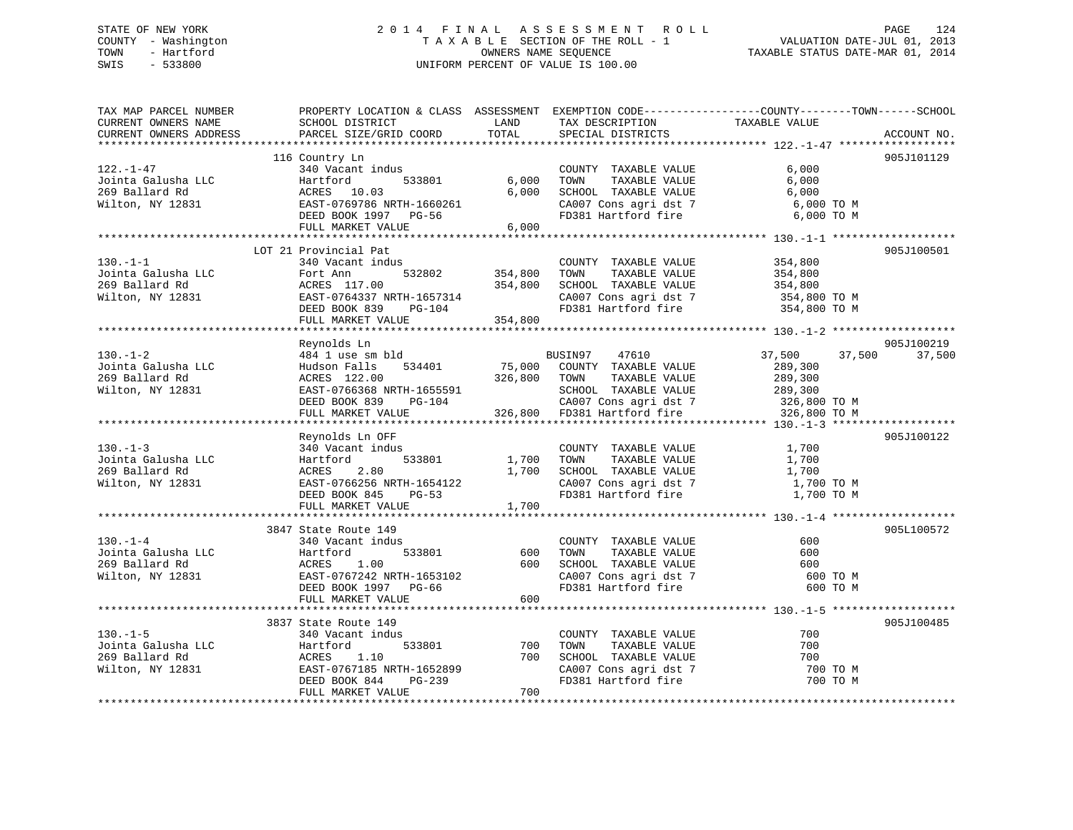# STATE OF NEW YORK 2 0 1 4 F I N A L A S S E S S M E N T R O L L PAGE 124 COUNTY - Washington T A X A B L E SECTION OF THE ROLL - 1 VALUATION DATE-JUL 01, 2013 TOWN - Hartford **TAXABLE STATUS DATE-MAR 01, 2014** OWNERS NAME SEQUENCE TAXABLE STATUS DATE-MAR 01, 2014 SWIS - 533800 UNIFORM PERCENT OF VALUE IS 100.00

| TAX MAP PARCEL NUMBER<br>CURRENT OWNERS NAME<br>CURRENT OWNERS ADDRESS      | SCHOOL DISTRICT<br>PARCEL SIZE/GRID COORD                                                                                                                                                                                                          | LAND<br>TOTAL             | TAX DESCRIPTION<br>SPECIAL DISTRICTS                                                                                             | PROPERTY LOCATION & CLASS ASSESSMENT EXEMPTION CODE----------------COUNTY-------TOWN------SCHOOL<br>TAXABLE VALUE | ACCOUNT NO.          |
|-----------------------------------------------------------------------------|----------------------------------------------------------------------------------------------------------------------------------------------------------------------------------------------------------------------------------------------------|---------------------------|----------------------------------------------------------------------------------------------------------------------------------|-------------------------------------------------------------------------------------------------------------------|----------------------|
| $122. - 1 - 47$<br>Jointa Galusha LLC<br>269 Ballard Rd<br>Wilton, NY 12831 | 116 Country Ln<br>340 Vacant indus<br>Hartford<br>533801<br>ACRES 10.03<br>EAST-0769786 NRTH-1660261<br>DEED BOOK 1997 PG-56<br>FULL MARKET VALUE                                                                                                  | 6,000<br>6.000<br>6,000   | COUNTY TAXABLE VALUE<br>TOWN<br>TAXABLE VALUE<br>SCHOOL TAXABLE VALUE<br>CA007 Cons agri dst 7<br>FD381 Hartford fire            | 6,000<br>6,000<br>6,000<br>6,000 TO M<br>6,000 TO M                                                               | 905J101129           |
| $130 - 1 - 1$<br>Jointa Galusha LLC<br>269 Ballard Rd<br>Wilton, NY 12831   | LOT 21 Provincial Pat<br>340 Vacant indus<br>Fort Ann<br>ACRES 117.00<br>EAST-0764337 NRTH-1657314<br>DEED BOOK 839 PG-104<br>FULL MARKET VALUE 354,800                                                                                            | 532802 354,800<br>354,800 | COUNTY TAXABLE VALUE<br>TAXABLE VALUE<br>TOWN<br>SCHOOL TAXABLE VALUE<br>CA007 Cons agri dst 7<br>FD381 Hartford fire            | 354,800<br>354,800<br>354,800<br>354,800 TO M<br>354,800 TO M                                                     | 905J100501           |
| $130. - 1 - 2$<br>Jointa Galusha LLC<br>269 Ballard Rd<br>Wilton, NY 12831  | Reynolds Ln<br>484 1 use sm bld<br>Hudson Falls 534401 75,000 COUNTY TAXABLE VALUE<br>ACRES 122.00 326,800 TOWN TAXABLE VALUE<br>EAST-0766368 NRTH-1655591 SCHOOL TAXABLE VALUE<br>DEED BOOK 839 PG-104 CA007 Cons agri dst 7<br>FULL MARKET VALUE |                           | BUSIN97<br>47610<br>SCHOOL TAXABLE VALUE                                                                                         | 37,500<br>37,500<br>289,300<br>289,300<br>289,300                                                                 | 905J100219<br>37,500 |
| $130 - 1 - 3$<br>Jointa Galusha LLC<br>269 Ballard Rd<br>Wilton, NY 12831   | Reynolds Ln OFF<br>340 Vacant indus<br>533801<br>Hartford<br>ACRES 2.80<br>EAST-0766256 NRTH-1654122<br>DEED BOOK 845 PG-53<br>FULL MARKET VALUE                                                                                                   | 1,700 TOWN<br>1,700       | COUNTY TAXABLE VALUE<br>TAXABLE VALUE<br>1,700 SCHOOL TAXABLE VALUE<br>CA007 Cons agri dst 7<br>FD381 Hartford fire              | 1,700<br>1,700<br>1,700<br>1,700 TO M<br>1,700 TO M                                                               | 905J100122           |
| $130 - 1 - 4$<br>Jointa Galusha LLC<br>269 Ballard Rd<br>Wilton, NY 12831   | 3847 State Route 149<br>340 Vacant indus<br>533801<br>Hartford<br>1.00<br>ACRES<br>EAST-0767242 NRTH-1653102<br>DEED BOOK 1997 PG-66<br>FULL MARKET VALUE                                                                                          | 600<br>600                | COUNTY TAXABLE VALUE<br>TOWN<br>TAXABLE VALUE<br>600 SCHOOL TAXABLE VALUE<br>SCHOOL IAAADDD<br>CAOO7 Cons agridst 7<br>Lind fire | 600<br>600<br>600<br>600 TO M<br>600 TO M                                                                         | 905L100572           |
| $130. -1 - 5$<br>Jointa Galusha LLC<br>269 Ballard Rd<br>Wilton, NY 12831   | 3837 State Route 149<br>340 Vacant indus<br>533801<br>Hartford<br>ACRES<br>1.10<br>EAST-0767185 NRTH-1652899<br>DEED BOOK 844<br>PG-239<br>FULL MARKET VALUE                                                                                       | 700<br>700<br>700         | COUNTY TAXABLE VALUE<br>TOWN<br>TAXABLE VALUE<br>SCHOOL TAXABLE VALUE<br>CA007 Cons agri dst 7<br>FD381 Hartford fire            | 700<br>700<br>700<br>700 TO M<br>700 TO M                                                                         | 905J100485           |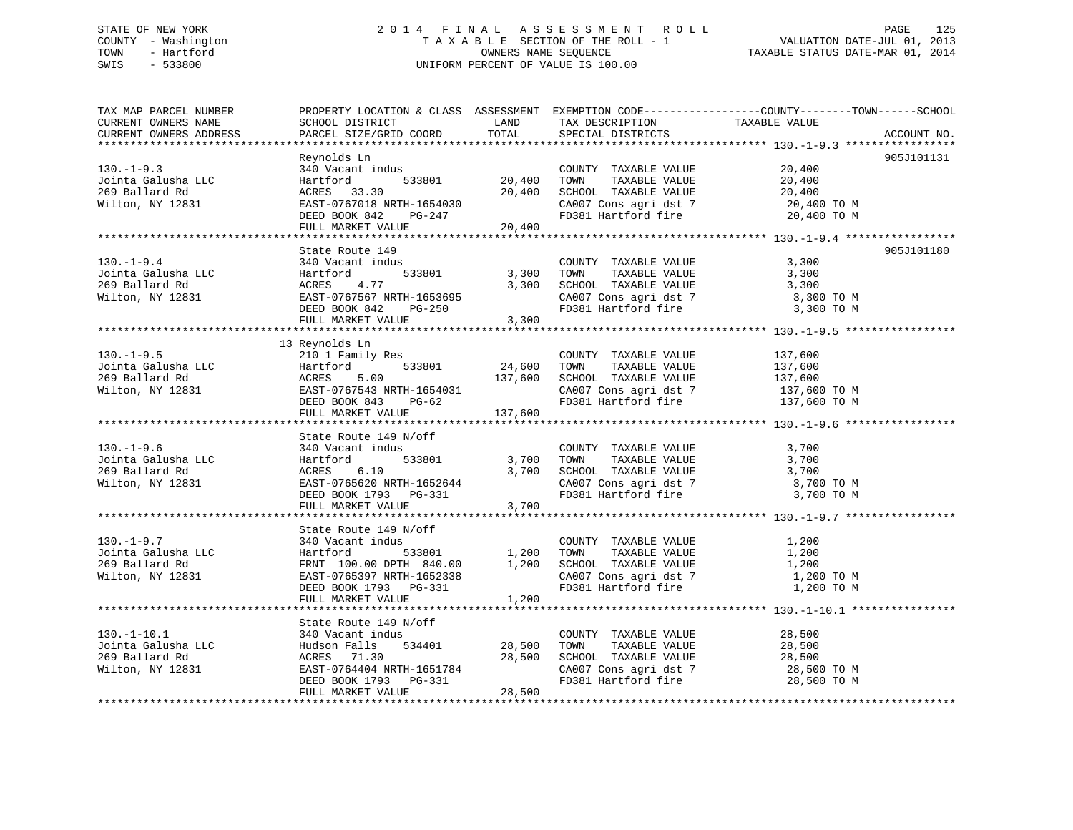# STATE OF NEW YORK 2 0 1 4 F I N A L A S S E S S M E N T R O L L PAGE 125 COUNTY - Washington T A X A B L E SECTION OF THE ROLL - 1 VALUATION DATE-JUL 01, 2013 TOWN - Hartford **TAXABLE STATUS DATE-MAR 01, 2014** OWNERS NAME SEQUENCE TAXABLE STATUS DATE-MAR 01, 2014 SWIS - 533800 UNIFORM PERCENT OF VALUE IS 100.00

| TAX MAP PARCEL NUMBER<br>CURRENT OWNERS NAME<br>CURRENT OWNERS ADDRESS                                                                                                                                                                                                       | SCHOOL DISTRICT LAND<br>PARCEL SIZE/GRID COORD                                                                                                                                                                                            | TOTAL                 | TAX DESCRIPTION TAXABLE VALUE<br>SPECIAL DISTRICTS                                                                                    | PROPERTY LOCATION & CLASS ASSESSMENT EXEMPTION CODE----------------COUNTY-------TOWN------SCHOOL<br>ACCOUNT NO.                         |
|------------------------------------------------------------------------------------------------------------------------------------------------------------------------------------------------------------------------------------------------------------------------------|-------------------------------------------------------------------------------------------------------------------------------------------------------------------------------------------------------------------------------------------|-----------------------|---------------------------------------------------------------------------------------------------------------------------------------|-----------------------------------------------------------------------------------------------------------------------------------------|
|                                                                                                                                                                                                                                                                              |                                                                                                                                                                                                                                           |                       |                                                                                                                                       |                                                                                                                                         |
| 130.-1-9.3<br>Jointa Galusha LLC Hartford<br>269 Ballard Rd ACRES 33.30<br>20,400<br>20,400<br>20,400<br>20,400<br>20,400<br>20,400<br>20,400<br>20,400<br>20,400<br>20,400<br>20,400<br>20,400<br>20,400<br>20,400<br>20,400<br>20,400<br>20,400<br>20,400<br>20,400<br>2   | Reynolds Ln<br>Reynolds Ln<br>340 Vacant indus<br>Hartford 533801 20,400 TOWN TAXABLE VALUE<br>20,400 TOWN TAXABLE VALUE 20,400<br>20,400 SCHOOL TAXABLE VALUE 20,400<br>20,400 DAST-0767018 NRTH-1654030 CA007 Cons agri dst 7 20,400 TO |                       |                                                                                                                                       | 905J101131                                                                                                                              |
|                                                                                                                                                                                                                                                                              |                                                                                                                                                                                                                                           |                       |                                                                                                                                       |                                                                                                                                         |
| $130. -1 - 9.4$<br>340 Vacant Indus<br>Jointa Galusha LLC Hartford 533801 3,300<br>269 Ballard Rd ACRES 4.77 3,300<br>Wilton, NY 12831 BAST-0767567 NRTH-1653695 3,300                                                                                                       | State Route 149<br>340 Vacant indus<br>FULL MARKET VALUE 3,300                                                                                                                                                                            | $533801$ $3,300$ TOWN | COUNTY TAXABLE VALUE 3,300<br>TOWN TAXABLE VALUE 3,300                                                                                | 905J101180<br>3,300 SCHOOL TAXABLE VALUE 3,300<br>CA007 Cons agri dst 7 3,300 TO M<br>FD381 Hartford fire 3,300 TO M                    |
|                                                                                                                                                                                                                                                                              | 13 Reynolds Ln                                                                                                                                                                                                                            |                       |                                                                                                                                       |                                                                                                                                         |
| $130. -1 - 9.5$<br>130.-1-9.5<br>Jointa Galusha LLC<br>2010 1 Family Res<br>2010 1 Family Res<br>24,600 TOWN TAXABLE VALUE<br>269 Ballard Rd<br>269 Ballard Rd<br>269 Ballard Rd<br>269 Ballard Rd<br>269 Ballard Rd<br>269 Ballard Rd<br>269 Ballard Rd<br>269 Ballard R    |                                                                                                                                                                                                                                           |                       | COUNTY TAXABLE VALUE                                                                                                                  | 137,600<br>137,600<br>9.17,600<br>CAOOL TAXABLE VALUE 137,600<br>CA007 Cons agri dst 7 137,600 TO M<br>FD381 Hartford fire 137,600 TO M |
|                                                                                                                                                                                                                                                                              |                                                                                                                                                                                                                                           |                       |                                                                                                                                       |                                                                                                                                         |
|                                                                                                                                                                                                                                                                              | State Route 149 N/off                                                                                                                                                                                                                     |                       | COUNTY TAXABLE VALUE<br>533801 3,700 TOWN TAXABLE VALUE<br>3,700 SCHOOL TAXABLE VALUE<br>CA007 Cons agri dst 7<br>FD381 Hartford fire | 3,700<br>3,700<br>3,700<br>3,700 TO M<br>3,700 TO M                                                                                     |
|                                                                                                                                                                                                                                                                              |                                                                                                                                                                                                                                           |                       |                                                                                                                                       |                                                                                                                                         |
|                                                                                                                                                                                                                                                                              |                                                                                                                                                                                                                                           |                       |                                                                                                                                       |                                                                                                                                         |
|                                                                                                                                                                                                                                                                              |                                                                                                                                                                                                                                           |                       |                                                                                                                                       |                                                                                                                                         |
| 130.-1-10.1<br>Jointa Galusha LLC<br>269 Ballard Rd<br>Wilton, NY 12831<br>28,500<br>28,500<br>28,500<br>28,500<br>28,500<br>28,500<br>28,500<br>28,500<br>28,500<br>28,500<br>28,500<br>28,500<br>28,500<br>28,500<br>28,500<br>28,500<br>28,500<br>28,500<br>28,500<br>28, | State Route 149 N/off<br>DEED BOOK 1793 PG-331                                                                                                                                                                                            | 28,500                | COUNTY TAXABLE VALUE 28,500<br>TOWN TAXABLE VALUE 28,500<br>$28,500$<br>$28,500$<br>$28,500$<br>$28,500$                              | SCHOOL TAXABLE VALUE 28,500<br>CA007 Cons agri dst 7 28,500 TO M<br>FD381 Hartford fire 28,500 TO M                                     |
|                                                                                                                                                                                                                                                                              | FULL MARKET VALUE                                                                                                                                                                                                                         |                       |                                                                                                                                       |                                                                                                                                         |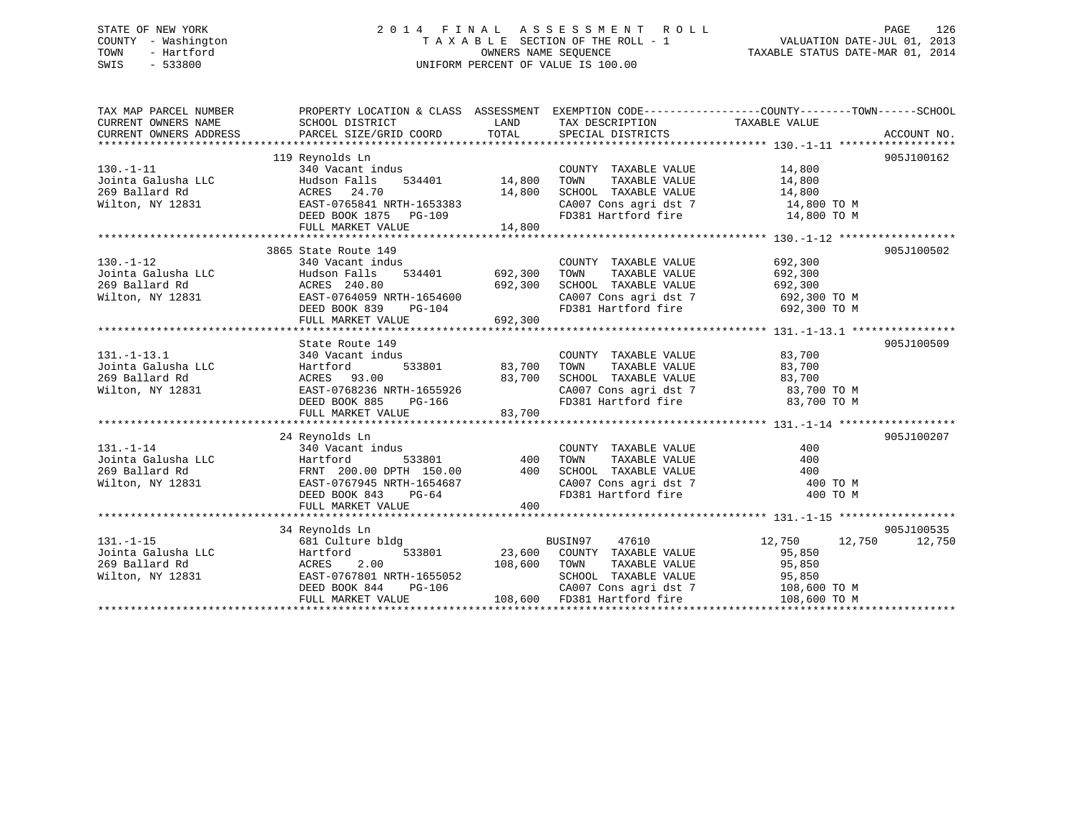# STATE OF NEW YORK 2 0 1 4 F I N A L A S S E S S M E N T R O L L PAGE 126 COUNTY - Washington T A X A B L E SECTION OF THE ROLL - 1 VALUATION DATE-JUL 01, 2013 TOWN - Hartford OWNERS NAME SEQUENCE TAXABLE STATUS DATE-MAR 01, 2014 SWIS - 533800 UNIFORM PERCENT OF VALUE IS 100.00

| TAX MAP PARCEL NUMBER<br>CURRENT OWNERS NAME<br>CURRENT OWNERS ADDRESS                                                         | PROPERTY LOCATION & CLASS ASSESSMENT EXEMPTION CODE---------------COUNTY-------TOWN-----SCHOOL<br>SCHOOL DISTRICT<br>PARCEL SIZE/GRID COORD TOTAL SPECIAL DISTRICTS | LAND                                | TAX DESCRIPTION TAXABLE VALUE SPECIAL DISTRICTS                                                                                                                                                          |                       | ACCOUNT NO. |
|--------------------------------------------------------------------------------------------------------------------------------|---------------------------------------------------------------------------------------------------------------------------------------------------------------------|-------------------------------------|----------------------------------------------------------------------------------------------------------------------------------------------------------------------------------------------------------|-----------------------|-------------|
|                                                                                                                                |                                                                                                                                                                     |                                     |                                                                                                                                                                                                          |                       |             |
|                                                                                                                                | 119 Reynolds Ln                                                                                                                                                     |                                     |                                                                                                                                                                                                          |                       | 905J100162  |
| $130. - 1 - 11$                                                                                                                | 340 Vacant indus                                                                                                                                                    |                                     | COUNTY TAXABLE VALUE 14,800                                                                                                                                                                              |                       |             |
| Jointa Galusha LLC                                                                                                             | 14,800<br>Hudson Falls                                                                                                                                              |                                     | TOWN                                                                                                                                                                                                     | TAXABLE VALUE 14,800  |             |
| 269 Ballard Rd                                                                                                                 | ACRES 24.70                                                                                                                                                         | 14,800                              | SCHOOL TAXABLE VALUE                                                                                                                                                                                     | 14,800<br>14,800 TO M |             |
| Wilton, NY 12831                                                                                                               | EAST-0765841 NRTH-1653383                                                                                                                                           |                                     | CA007 Cons agri dst 7 14,800 TO M<br>FD381 Hartford fire 14,800 TO M                                                                                                                                     |                       |             |
|                                                                                                                                | DEED BOOK 1875 PG-109                                                                                                                                               |                                     |                                                                                                                                                                                                          |                       |             |
|                                                                                                                                | FULL MARKET VALUE                                                                                                                                                   | 14,800                              |                                                                                                                                                                                                          |                       |             |
|                                                                                                                                |                                                                                                                                                                     |                                     |                                                                                                                                                                                                          |                       |             |
|                                                                                                                                | 3865 State Route 149                                                                                                                                                |                                     |                                                                                                                                                                                                          |                       | 905J100502  |
| $130. - 1 - 12$                                                                                                                | 340 Vacant indus                                                                                                                                                    |                                     | COUNTY TAXABLE VALUE                                                                                                                                                                                     | 692,300               |             |
| Fointa Galusha LLC<br>269 Ballard Rd<br>269 Ballard Rd<br>269 Ballard Rd<br>269 Ruilton, NY 12831<br>28ST-0764059 NRTH-1654600 | 534401 692,300                                                                                                                                                      |                                     | TOWN                                                                                                                                                                                                     | TAXABLE VALUE 692,300 |             |
|                                                                                                                                |                                                                                                                                                                     | 692,300                             | SCHOOL TAXABLE VALUE                                                                                                                                                                                     | 692,300               |             |
|                                                                                                                                |                                                                                                                                                                     |                                     | CA007 Cons agri dst 7 692,300 TO M                                                                                                                                                                       |                       |             |
|                                                                                                                                | $PG-104$<br>DEED BOOK 839                                                                                                                                           |                                     | FD381 Hartford fire 692,300 TO M                                                                                                                                                                         |                       |             |
|                                                                                                                                | FULL MARKET VALUE                                                                                                                                                   | 692,300                             |                                                                                                                                                                                                          |                       |             |
|                                                                                                                                |                                                                                                                                                                     |                                     |                                                                                                                                                                                                          |                       |             |
|                                                                                                                                | State Route 149                                                                                                                                                     |                                     |                                                                                                                                                                                                          |                       | 905J100509  |
| $131. - 1 - 13.1$                                                                                                              | 340 Vacant indus                                                                                                                                                    | з<br>533801                  83,700 |                                                                                                                                                                                                          |                       |             |
|                                                                                                                                | Hartford                                                                                                                                                            |                                     | $\begin{tabular}{lllllllll} \multicolumn{2}{c}{\textbf{COUNTY}} & \textbf{TXABLE VALUE} & & & 83,700 \\ \multicolumn{2}{c}{\textbf{TOWN}} & \textbf{TXABLE VALUE} & & & 83,700 \\ \end{tabular}$<br>TOWN |                       |             |
| 131.-1-13.1<br>Jointa Galusha LLC<br>269 Ballard Rd                                                                            |                                                                                                                                                                     |                                     | SCHOOL TAXABLE VALUE                                                                                                                                                                                     | 83,700                |             |
| Wilton, NY 12831                                                                                                               | ACRES 93.00 83,700<br>EAST-0768236 NRTH-1655926 83,700<br>DEED BOOK 885 PG-166                                                                                      |                                     | CA007 Cons agri dst 7 83,700 TO M                                                                                                                                                                        |                       |             |
|                                                                                                                                | DEED BOOK 885 PG-166                                                                                                                                                |                                     | FD381 Hartford fire                                                                                                                                                                                      | 83,700 TO M           |             |
|                                                                                                                                | FULL MARKET VALUE                                                                                                                                                   | 83,700                              |                                                                                                                                                                                                          |                       |             |
|                                                                                                                                |                                                                                                                                                                     |                                     |                                                                                                                                                                                                          |                       |             |
|                                                                                                                                | 24 Reynolds Ln                                                                                                                                                      |                                     |                                                                                                                                                                                                          |                       | 905J100207  |
| $131. - 1 - 14$                                                                                                                | 340 Vacant indus                                                                                                                                                    |                                     | COUNTY TAXABLE VALUE                                                                                                                                                                                     | 400                   |             |
|                                                                                                                                |                                                                                                                                                                     |                                     |                                                                                                                                                                                                          |                       |             |
|                                                                                                                                |                                                                                                                                                                     |                                     |                                                                                                                                                                                                          |                       |             |
|                                                                                                                                |                                                                                                                                                                     |                                     |                                                                                                                                                                                                          |                       |             |
|                                                                                                                                |                                                                                                                                                                     |                                     |                                                                                                                                                                                                          |                       |             |
|                                                                                                                                |                                                                                                                                                                     |                                     |                                                                                                                                                                                                          |                       |             |
|                                                                                                                                |                                                                                                                                                                     |                                     |                                                                                                                                                                                                          |                       |             |
|                                                                                                                                | 34 Reynolds Ln                                                                                                                                                      |                                     |                                                                                                                                                                                                          |                       | 905J100535  |
|                                                                                                                                | 681 Culture bldg                                                                                                                                                    |                                     | BUSIN97<br>47610                                                                                                                                                                                         | 12,750 12,750         | 12,750      |
|                                                                                                                                | 533801                                                                                                                                                              |                                     |                                                                                                                                                                                                          | 95,850                |             |
| 131.-1-15 681 Cultu<br>Jointa Galusha LLC Hartford<br>269 Ballard Rd ACRES 3<br>Wilton NY 13831                                | ACRES 2.00                                                                                                                                                          |                                     | 23,600 COUNTY TAXABLE VALUE<br>108,600 TOWN TAXABLE VALUE                                                                                                                                                | 95,850                |             |
| Wilton, NY 12831                                                                                                               | EAST-0767801 NRTH-1655052                                                                                                                                           |                                     | SCHOOL TAXABLE VALUE                                                                                                                                                                                     | 95,850                |             |
|                                                                                                                                | DEED BOOK 844<br>PG-106                                                                                                                                             |                                     |                                                                                                                                                                                                          |                       |             |
|                                                                                                                                | FULL MARKET VALUE                                                                                                                                                   |                                     | CA007 Cons agri dst 7 108,600 TO M<br>FD381 Hartford fire 108,600 TO M<br>108,600 FD381 Hartford fire                                                                                                    |                       |             |
|                                                                                                                                |                                                                                                                                                                     |                                     |                                                                                                                                                                                                          |                       |             |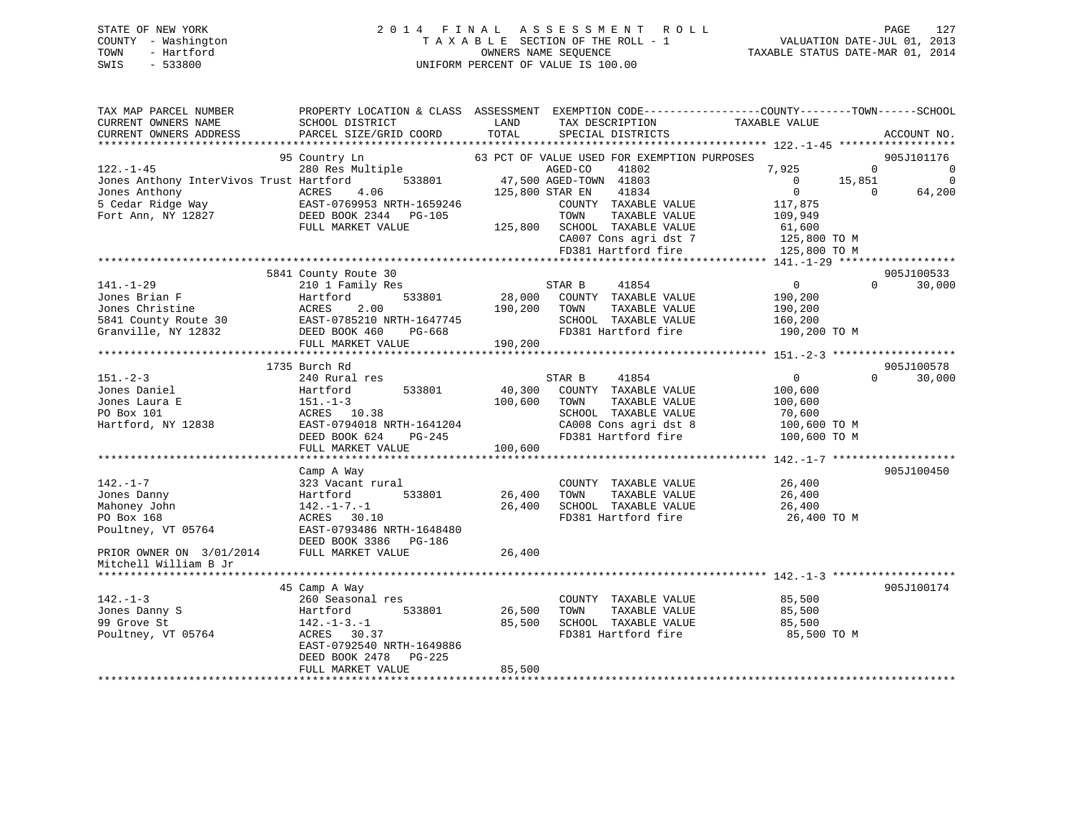# STATE OF NEW YORK 2 0 1 4 F I N A L A S S E S S M E N T R O L L PAGE 127 COUNTY - Washington T A X A B L E SECTION OF THE ROLL - 1 VALUATION DATE-JUL 01, 2013 TOWN - Hartford **TAXABLE STATUS DATE-MAR 01, 2014** OWNERS NAME SEQUENCE TAXABLE STATUS DATE-MAR 01, 2014 SWIS - 533800 UNIFORM PERCENT OF VALUE IS 100.00

| TAX MAP PARCEL NUMBER<br>CURRENT OWNERS NAME<br>CURRENT OWNERS ADDRESS | SCHOOL DISTRICT<br>PARCEL SIZE/GRID COORD                               | LAND<br>TOTAL   | TAX DESCRIPTION<br>SPECIAL DISTRICTS                            | PROPERTY LOCATION & CLASS ASSESSMENT EXEMPTION CODE----------------COUNTY-------TOWN------SCHOOL<br>TAXABLE VALUE | ACCOUNT NO.                      |
|------------------------------------------------------------------------|-------------------------------------------------------------------------|-----------------|-----------------------------------------------------------------|-------------------------------------------------------------------------------------------------------------------|----------------------------------|
|                                                                        |                                                                         |                 |                                                                 |                                                                                                                   |                                  |
| $122. - 1 - 45$                                                        | 95 Country Ln<br>280 Res Multiple                                       |                 | 63 PCT OF VALUE USED FOR EXEMPTION PURPOSES<br>AGED-CO<br>41802 | 7,925                                                                                                             | 905J101176<br>$\mathbf{0}$<br>0  |
| Jones Anthony InterVivos Trust Hartford<br>Jones Anthony               | 533801<br>4.06<br>ACRES                                                 | 125,800 STAR EN | 47,500 AGED-TOWN 41803<br>41834                                 | 15,851<br>$\mathbf{0}$<br>$\mathbf{0}$                                                                            | $\Omega$<br>64,200<br>$\Omega$   |
| 5 Cedar Ridge Way<br>Fort Ann, NY 12827                                | EAST-0769953 NRTH-1659246<br>DEED BOOK 2344<br>PG-105                   |                 | COUNTY TAXABLE VALUE<br>TOWN<br>TAXABLE VALUE                   | 117,875<br>109,949                                                                                                |                                  |
|                                                                        | FULL MARKET VALUE                                                       | 125,800         | SCHOOL TAXABLE VALUE<br>CA007 Cons agri dst 7                   | 61,600<br>125,800 TO M                                                                                            |                                  |
|                                                                        |                                                                         |                 | FD381 Hartford fire                                             | 125,800 TO M                                                                                                      |                                  |
|                                                                        |                                                                         |                 |                                                                 |                                                                                                                   |                                  |
| $141. - 1 - 29$                                                        | 5841 County Route 30<br>210 1 Family Res                                |                 | STAR B<br>41854                                                 | $\Omega$                                                                                                          | 905J100533<br>30,000<br>$\Omega$ |
| Jones Brian F                                                          | 533801<br>Hartford                                                      | 28,000          | COUNTY TAXABLE VALUE                                            | 190,200                                                                                                           |                                  |
| Jones Christine                                                        | ACRES<br>2.00                                                           | 190,200         | TOWN<br>TAXABLE VALUE                                           | 190,200                                                                                                           |                                  |
| 5841 County Route 30<br>Granville, NY 12832                            | EAST-0785210 NRTH-1647745<br>DEED BOOK 460<br>PG-668                    |                 | SCHOOL TAXABLE VALUE<br>FD381 Hartford fire                     | 160,200<br>190,200 TO M                                                                                           |                                  |
|                                                                        | FULL MARKET VALUE                                                       | 190,200         |                                                                 |                                                                                                                   |                                  |
|                                                                        | ************************<br>1735 Burch Rd                               |                 |                                                                 |                                                                                                                   | 905J100578                       |
| $151 - 2 - 3$                                                          | 240 Rural res                                                           |                 | 41854<br>STAR B                                                 | 0                                                                                                                 | $\Omega$<br>30,000               |
| Jones Daniel                                                           | Hartford<br>533801                                                      | 40,300          | COUNTY TAXABLE VALUE                                            | 100,600                                                                                                           |                                  |
| Jones Laura E                                                          | $151 - 1 - 3$                                                           | 100,600         | TAXABLE VALUE<br>TOWN                                           | 100,600                                                                                                           |                                  |
| PO Box 101                                                             | ACRES 10.38                                                             |                 | SCHOOL TAXABLE VALUE                                            | 70,600                                                                                                            |                                  |
| Hartford, NY 12838                                                     | EAST-0794018 NRTH-1641204                                               |                 | CA008 Cons agri dst 8                                           | 100,600 TO M                                                                                                      |                                  |
|                                                                        | DEED BOOK 624<br>$PG-245$<br>FULL MARKET VALUE                          | 100,600         | FD381 Hartford fire                                             | 100,600 TO M                                                                                                      |                                  |
|                                                                        | **************************                                              |                 |                                                                 |                                                                                                                   |                                  |
|                                                                        | Camp A Way                                                              |                 |                                                                 |                                                                                                                   | 905J100450                       |
| $142. - 1 - 7$                                                         | 323 Vacant rural                                                        |                 | COUNTY TAXABLE VALUE                                            | 26,400                                                                                                            |                                  |
| Jones Danny                                                            | Hartford<br>533801                                                      | 26,400          | TAXABLE VALUE<br>TOWN                                           | 26,400                                                                                                            |                                  |
| Mahoney John                                                           | $142. - 1 - 7. - 1$                                                     | 26,400          | SCHOOL TAXABLE VALUE                                            | 26,400                                                                                                            |                                  |
| PO Box 168                                                             | ACRES<br>30.10                                                          |                 | FD381 Hartford fire                                             | 26,400 TO M                                                                                                       |                                  |
| Poultney, VT 05764                                                     | EAST-0793486 NRTH-1648480<br>DEED BOOK 3386<br>PG-186                   |                 |                                                                 |                                                                                                                   |                                  |
| PRIOR OWNER ON 3/01/2014                                               | FULL MARKET VALUE                                                       | 26,400          |                                                                 |                                                                                                                   |                                  |
| Mitchell William B Jr                                                  |                                                                         |                 |                                                                 |                                                                                                                   |                                  |
|                                                                        |                                                                         |                 |                                                                 |                                                                                                                   |                                  |
|                                                                        | 45 Camp A Way                                                           |                 |                                                                 |                                                                                                                   | 905J100174                       |
| $142. - 1 - 3$                                                         | 260 Seasonal res                                                        |                 | COUNTY TAXABLE VALUE                                            | 85,500                                                                                                            |                                  |
| Jones Danny S                                                          | Hartford<br>533801                                                      | 26,500          | TAXABLE VALUE<br>TOWN                                           | 85,500                                                                                                            |                                  |
| 99 Grove St                                                            | $142. - 1 - 3. - 1$                                                     | 85,500          | SCHOOL TAXABLE VALUE                                            | 85,500                                                                                                            |                                  |
| Poultney, VT 05764                                                     | ACRES<br>30.37<br>EAST-0792540 NRTH-1649886<br>DEED BOOK 2478<br>PG-225 |                 | FD381 Hartford fire                                             | 85,500 TO M                                                                                                       |                                  |
|                                                                        | FULL MARKET VALUE                                                       | 85,500          |                                                                 |                                                                                                                   |                                  |
|                                                                        |                                                                         |                 |                                                                 |                                                                                                                   |                                  |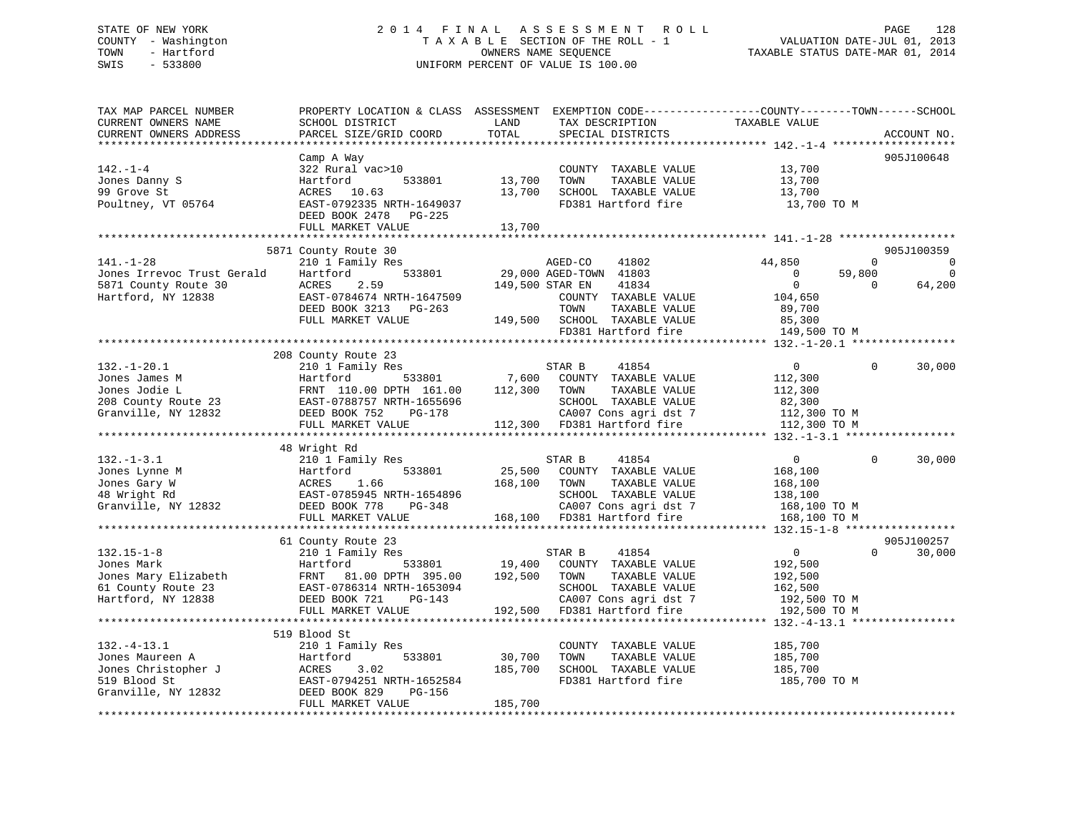# STATE OF NEW YORK 2 0 1 4 F I N A L A S S E S S M E N T R O L L PAGE 128 COUNTY - Washington T A X A B L E SECTION OF THE ROLL - 1 VALUATION DATE-JUL 01, 2013 TOWN - Hartford **TAXABLE STATUS DATE-MAR 01, 2014** OWNERS NAME SEQUENCE TAXABLE STATUS DATE-MAR 01, 2014 SWIS - 533800 UNIFORM PERCENT OF VALUE IS 100.00

| TAX MAP PARCEL NUMBER<br>CURRENT OWNERS NAME<br>CURRENT OWNERS ADDRESS | PROPERTY LOCATION & CLASS ASSESSMENT<br>SCHOOL DISTRICT<br>PARCEL SIZE/GRID COORD                | LAND<br>TOTAL    | TAX DESCRIPTION<br>SPECIAL DISTRICTS                                                         | EXEMPTION CODE-----------------COUNTY-------TOWN------SCHOOL<br>TAXABLE VALUE | ACCOUNT NO.           |
|------------------------------------------------------------------------|--------------------------------------------------------------------------------------------------|------------------|----------------------------------------------------------------------------------------------|-------------------------------------------------------------------------------|-----------------------|
| ***********************                                                |                                                                                                  |                  |                                                                                              |                                                                               |                       |
| $142. - 1 - 4$<br>Jones Danny S<br>99 Grove St<br>Poultney, VT 05764   | Camp A Way<br>322 Rural vac>10<br>Hartford<br>533801<br>ACRES 10.63<br>EAST-0792335 NRTH-1649037 | 13,700<br>13,700 | COUNTY TAXABLE VALUE<br>TOWN<br>TAXABLE VALUE<br>SCHOOL TAXABLE VALUE<br>FD381 Hartford fire | 13,700<br>13,700<br>13,700<br>13,700 TO M                                     | 905J100648            |
|                                                                        | DEED BOOK 2478<br>PG-225<br>FULL MARKET VALUE                                                    | 13,700           |                                                                                              |                                                                               |                       |
|                                                                        |                                                                                                  | **************** |                                                                                              |                                                                               |                       |
|                                                                        | 5871 County Route 30                                                                             |                  |                                                                                              |                                                                               | 905J100359            |
| $141. - 1 - 28$                                                        | 210 1 Family Res                                                                                 |                  | 41802<br>AGED-CO                                                                             | 44,850                                                                        | $\Omega$<br>0         |
| Jones Irrevoc Trust Gerald                                             | 533801<br>Hartford                                                                               |                  | 29,000 AGED-TOWN 41803                                                                       | 59,800<br>$\circ$                                                             | $\Omega$              |
| 5871 County Route 30                                                   | 2.59<br>ACRES                                                                                    | 149,500 STAR EN  | 41834                                                                                        | $\overline{0}$                                                                | 64,200<br>$\Omega$    |
| Hartford, NY 12838                                                     | EAST-0784674 NRTH-1647509                                                                        |                  | COUNTY TAXABLE VALUE                                                                         | 104,650                                                                       |                       |
|                                                                        | DEED BOOK 3213 PG-263                                                                            |                  | TOWN<br>TAXABLE VALUE                                                                        | 89,700                                                                        |                       |
|                                                                        | FULL MARKET VALUE                                                                                | 149,500          | SCHOOL TAXABLE VALUE                                                                         | 85,300                                                                        |                       |
|                                                                        |                                                                                                  |                  | FD381 Hartford fire                                                                          | 149,500 TO M                                                                  |                       |
|                                                                        |                                                                                                  |                  |                                                                                              |                                                                               |                       |
|                                                                        | 208 County Route 23                                                                              |                  |                                                                                              |                                                                               |                       |
| $132. - 1 - 20.1$                                                      | 210 1 Family Res                                                                                 |                  | STAR B<br>41854                                                                              | $\overline{0}$                                                                | 30,000<br>$\mathbf 0$ |
| Jones James M                                                          | 533801<br>Hartford                                                                               | 7,600            | COUNTY TAXABLE VALUE                                                                         | 112,300                                                                       |                       |
| Jones Jodie L                                                          | FRNT 110.00 DPTH 161.00                                                                          | 112,300          | TAXABLE VALUE<br>TOWN                                                                        | 112,300                                                                       |                       |
| 208 County Route 23                                                    | EAST-0788757 NRTH-1655696                                                                        |                  | SCHOOL TAXABLE VALUE                                                                         | 82,300                                                                        |                       |
| Granville, NY 12832                                                    | DEED BOOK 752<br>PG-178                                                                          |                  | CA007 Cons agri dst 7                                                                        | 112,300 TO M                                                                  |                       |
|                                                                        | FULL MARKET VALUE                                                                                |                  | 112,300 FD381 Hartford fire                                                                  | 112,300 TO M                                                                  |                       |
|                                                                        |                                                                                                  |                  |                                                                                              |                                                                               |                       |
|                                                                        | 48 Wright Rd                                                                                     |                  |                                                                                              |                                                                               |                       |
| $132. - 1 - 3.1$                                                       | 210 1 Family Res                                                                                 |                  | STAR B<br>41854                                                                              | 0                                                                             | 30,000<br>$\Omega$    |
| Jones Lynne M                                                          | 533801<br>Hartford                                                                               | 25,500           | COUNTY TAXABLE VALUE                                                                         | 168,100                                                                       |                       |
| Jones Gary W                                                           | 1.66<br>ACRES                                                                                    | 168,100          | TOWN<br>TAXABLE VALUE                                                                        | 168,100                                                                       |                       |
| 48 Wright Rd                                                           | EAST-0785945 NRTH-1654896                                                                        |                  | SCHOOL TAXABLE VALUE                                                                         | 138,100                                                                       |                       |
| Granville, NY 12832                                                    | DEED BOOK 778<br>PG-348                                                                          |                  | CA007 Cons agri dst 7                                                                        | 168,100 то м                                                                  |                       |
|                                                                        | FULL MARKET VALUE<br>**************************                                                  |                  | 168,100 FD381 Hartford fire                                                                  | 168,100 TO M                                                                  |                       |
|                                                                        |                                                                                                  |                  |                                                                                              |                                                                               |                       |
|                                                                        | 61 County Route 23                                                                               |                  |                                                                                              |                                                                               | 905J100257            |
| $132.15 - 1 - 8$                                                       | 210 1 Family Res                                                                                 |                  | 41854<br>STAR B                                                                              | $\overline{0}$                                                                | $\Omega$<br>30,000    |
| Jones Mark                                                             | Hartford<br>533801                                                                               | 19,400           | COUNTY TAXABLE VALUE                                                                         | 192,500                                                                       |                       |
| Jones Mary Elizabeth                                                   | FRNT 81.00 DPTH 395.00                                                                           | 192,500          | TOWN<br>TAXABLE VALUE                                                                        | 192,500                                                                       |                       |
| 61 County Route 23                                                     | EAST-0786314 NRTH-1653094                                                                        |                  | SCHOOL TAXABLE VALUE                                                                         | 162,500                                                                       |                       |
| Hartford, NY 12838                                                     | DEED BOOK 721<br>PG-143                                                                          |                  | CA007 Cons agri dst 7                                                                        | 192,500 TO M                                                                  |                       |
|                                                                        | FULL MARKET VALUE                                                                                | 192,500          | FD381 Hartford fire                                                                          | 192,500 TO M                                                                  |                       |
|                                                                        |                                                                                                  |                  |                                                                                              | ******************************* 132.-4-13.1 ***                               |                       |
|                                                                        | 519 Blood St                                                                                     |                  |                                                                                              |                                                                               |                       |
| $132. - 4 - 13.1$                                                      | 210 1 Family Res                                                                                 |                  | COUNTY TAXABLE VALUE                                                                         | 185,700                                                                       |                       |
| Jones Maureen A                                                        | Hartford<br>533801                                                                               | 30,700           | TAXABLE VALUE<br>TOWN                                                                        | 185,700                                                                       |                       |
| Jones Christopher J                                                    | ACRES<br>3.02                                                                                    | 185,700          | SCHOOL TAXABLE VALUE                                                                         | 185,700                                                                       |                       |
| 519 Blood St                                                           | EAST-0794251 NRTH-1652584                                                                        |                  | FD381 Hartford fire                                                                          | 185,700 TO M                                                                  |                       |
| Granville, NY 12832                                                    | PG-156<br>DEED BOOK 829                                                                          |                  |                                                                                              |                                                                               |                       |
|                                                                        | FULL MARKET VALUE                                                                                | 185,700          |                                                                                              |                                                                               |                       |
|                                                                        |                                                                                                  |                  |                                                                                              |                                                                               |                       |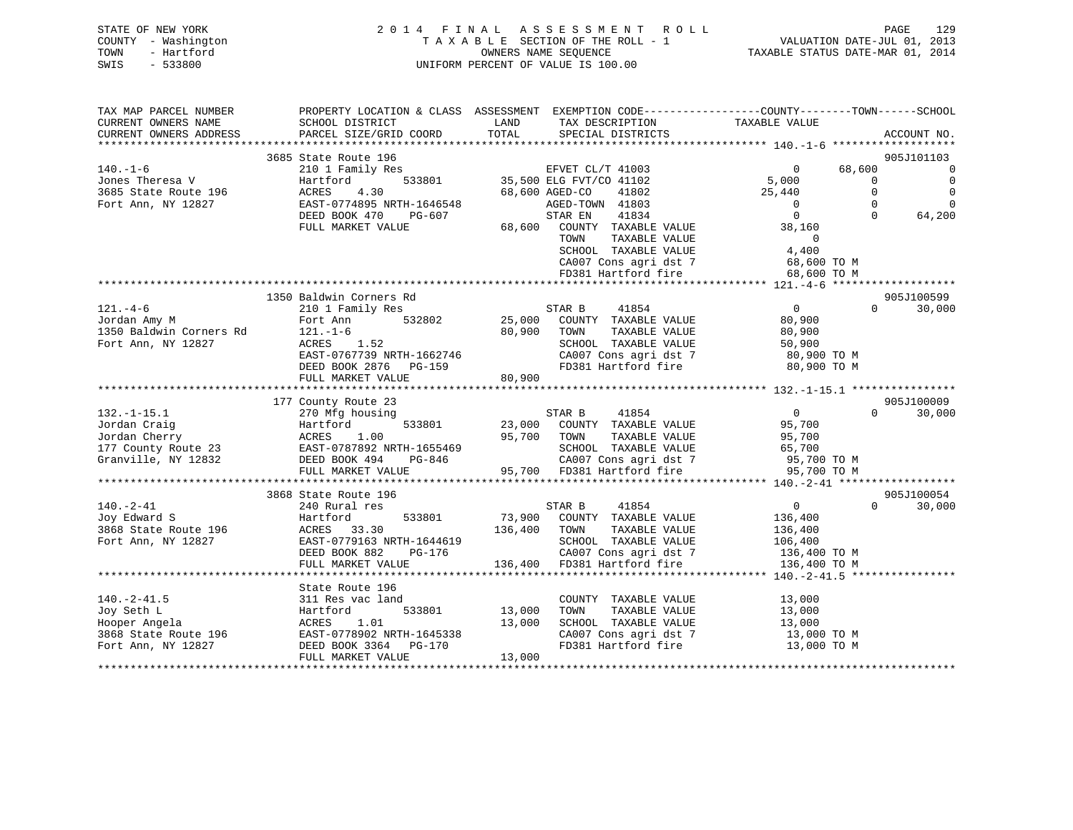| STATE OF NEW YORK   | 2014 FINAL ASSESSMENT ROLL         | 129<br>PAGE                      |
|---------------------|------------------------------------|----------------------------------|
| COUNTY - Washington | TAXABLE SECTION OF THE ROLL - 1    | VALUATION DATE-JUL 01, 2013      |
| TOWN<br>- Hartford  | OWNERS NAME SEOUENCE               | TAXABLE STATUS DATE-MAR 01, 2014 |
| $-533800$<br>SWIS   | UNIFORM PERCENT OF VALUE IS 100.00 |                                  |

| TAX MAP PARCEL NUMBER<br>CURRENT OWNERS NAME | SCHOOL DISTRICT                                    | LAND<br>TAX DESCRIPTION                        | PROPERTY LOCATION & CLASS ASSESSMENT EXEMPTION CODE----------------COUNTY-------TOWN-----SCHOOL<br>TAXABLE VALUE |
|----------------------------------------------|----------------------------------------------------|------------------------------------------------|------------------------------------------------------------------------------------------------------------------|
| CURRENT OWNERS ADDRESS                       | PARCEL SIZE/GRID COORD                             | TOTAL<br>SPECIAL DISTRICTS                     | ACCOUNT NO.                                                                                                      |
|                                              | 3685 State Route 196                               |                                                | 905J101103                                                                                                       |
| $140. - 1 - 6$                               | 210 1 Family Res                                   | EFVET CL/T 41003                               | 68,600<br>$\overline{0}$<br>$\overline{0}$                                                                       |
| Jones Theresa V                              | 533801<br>Hartford                                 | 35,500 ELG FVT/CO 41102                        | 5,000<br>$\overline{0}$<br>$\overline{0}$                                                                        |
| 3685 State Route 196                         | 4.30<br>ACRES                                      | 68,600 AGED-CO<br>41802                        | $\Omega$<br>$\mathbf 0$<br>25,440                                                                                |
| Fort Ann, NY 12827                           | EAST-0774895 NRTH-1646548                          | AGED-TOWN 41803                                | $\Omega$<br>$\Omega$<br>$\overline{0}$                                                                           |
|                                              | DEED BOOK 470<br>PG-607                            | 41834<br>STAR EN                               | $\overline{0}$<br>$\Omega$<br>64,200                                                                             |
|                                              | FULL MARKET VALUE                                  | 68,600 COUNTY TAXABLE VALUE                    | 38,160                                                                                                           |
|                                              |                                                    | TOWN<br>TAXABLE VALUE                          | $\Omega$                                                                                                         |
|                                              |                                                    | SCHOOL TAXABLE VALUE                           | 4,400                                                                                                            |
|                                              |                                                    | CA007 Cons agri dst 7<br>FD381 Hartford fire   | 68,600 TO M                                                                                                      |
|                                              |                                                    |                                                | 68,600 TO M                                                                                                      |
|                                              |                                                    |                                                |                                                                                                                  |
|                                              | 1350 Baldwin Corners Rd                            |                                                | 905J100599<br>$\overline{0}$<br>$\Omega$                                                                         |
| $121. - 4 - 6$                               | 210 1 Family Res<br>532802                         | STAR B<br>41854<br>25,000 COUNTY TAXABLE VALUE | 30,000                                                                                                           |
| Jordan Amy M<br>1350 Baldwin Corners Rd      | Fort Ann<br>$121. - 1 - 6$                         | 80,900<br>TAXABLE VALUE<br>TOWN                | 80,900<br>80,900                                                                                                 |
| Fort Ann, NY 12827                           | ACRES<br>1.52                                      | SCHOOL TAXABLE VALUE                           | 50,900                                                                                                           |
|                                              | EAST-0767739 NRTH-1662746                          | CA007 Cons agri dst 7                          | 80,900 TO M                                                                                                      |
|                                              | DEED BOOK 2876<br>PG-159                           | FD381 Hartford fire                            | 80,900 TO M                                                                                                      |
|                                              | FULL MARKET VALUE                                  | 80,900                                         |                                                                                                                  |
|                                              |                                                    |                                                |                                                                                                                  |
|                                              | 177 County Route 23                                |                                                | 905J100009                                                                                                       |
| $132. - 1 - 15.1$                            | 270 Mfg housing                                    | 41854<br>STAR B                                | $\overline{0}$<br>$\Omega$<br>30,000                                                                             |
| Jordan Craig                                 | 533801<br>Hartford                                 | 23,000 COUNTY TAXABLE VALUE                    | 95,700                                                                                                           |
| Jordan Cherry                                | 1.00<br>ACRES                                      | 95,700 TOWN<br>TAXABLE VALUE                   | 95,700                                                                                                           |
| 177 County Route 23                          | EAST-0787892 NRTH-1655469                          | SCHOOL TAXABLE VALUE                           |                                                                                                                  |
| Granville, NY 12832                          | DEED BOOK 494<br>PG-846                            | CA007 Cons agri dst 7                          | 65,700<br>95,700 TO M                                                                                            |
|                                              | FULL MARKET VALUE<br>***************************** | 95,700 FD381 Hartford fire                     | 95,700 TO M                                                                                                      |
|                                              |                                                    |                                                |                                                                                                                  |
|                                              | 3868 State Route 196                               |                                                | 905J100054<br>$\Omega$                                                                                           |
| $140. - 2 - 41$<br>Joy Edward S              | 240 Rural res<br>533801<br>Hartford                | 41854<br>STAR B<br>73,900 COUNTY TAXABLE VALUE | $\overline{0}$<br>30,000<br>136,400                                                                              |
| 3868 State Route 196                         | ACRES 33.30                                        | 136,400 TOWN<br>TAXABLE VALUE                  | 136,400                                                                                                          |
| Fort Ann, NY 12827                           | EAST-0779163 NRTH-1644619                          | SCHOOL TAXABLE VALUE                           | 106,400                                                                                                          |
|                                              | DEED BOOK 882<br>PG-176                            | CA007 Cons agri dst 7                          | 136,400 TO M                                                                                                     |
|                                              | FULL MARKET VALUE                                  | 136,400<br>FD381 Hartford fire                 | 136,400 TO M                                                                                                     |
|                                              |                                                    |                                                |                                                                                                                  |
|                                              | State Route 196                                    |                                                |                                                                                                                  |
| $140. - 2 - 41.5$                            | 311 Res vac land                                   | COUNTY TAXABLE VALUE                           | 13,000                                                                                                           |
| Joy Seth L                                   | 533801<br>Hartford                                 | 13,000<br>TAXABLE VALUE<br>TOWN                | 13,000                                                                                                           |
| Hooper Angela                                | ACRES 1.01                                         | 13,000<br>SCHOOL TAXABLE VALUE                 | 13,000                                                                                                           |
| 3868 State Route 196                         | EAST-0778902 NRTH-1645338                          | CA007 Cons agri dst 7                          | 13,000 TO M                                                                                                      |
| Fort Ann, NY 12827                           | DEED BOOK 3364 PG-170                              | FD381 Hartford fire                            | 13,000 TO M                                                                                                      |
|                                              | FULL MARKET VALUE                                  | 13,000                                         |                                                                                                                  |
|                                              |                                                    |                                                |                                                                                                                  |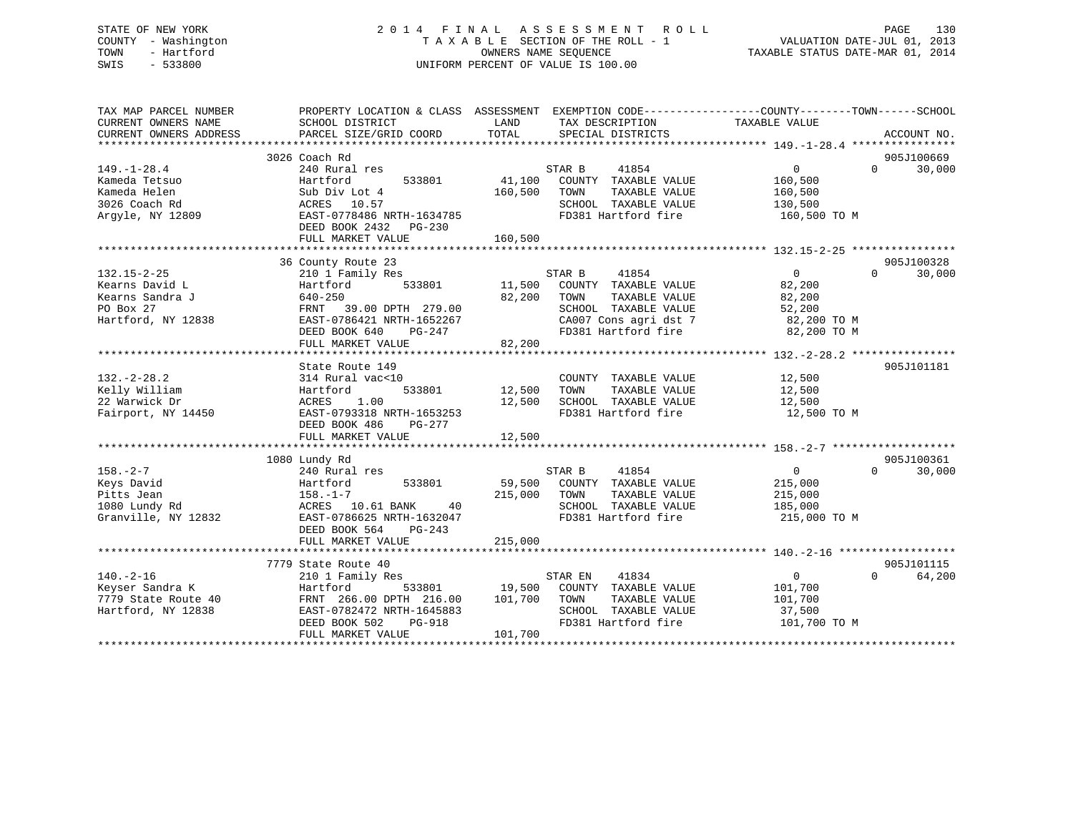# STATE OF NEW YORK 2 0 1 4 F I N A L A S S E S S M E N T R O L L PAGE 130 COUNTY - Washington T A X A B L E SECTION OF THE ROLL - 1 VALUATION DATE-JUL 01, 2013 TOWN - Hartford **TAXABLE STATUS DATE-MAR 01, 2014** OWNERS NAME SEQUENCE TAXABLE STATUS DATE-MAR 01, 2014 SWIS - 533800 UNIFORM PERCENT OF VALUE IS 100.00

| TAX MAP PARCEL NUMBER  | PROPERTY LOCATION & CLASS ASSESSMENT EXEMPTION CODE---------------COUNTY-------TOWN------SCHOOL |               |                                              |                   |                    |
|------------------------|-------------------------------------------------------------------------------------------------|---------------|----------------------------------------------|-------------------|--------------------|
| CURRENT OWNERS NAME    | SCHOOL DISTRICT                                                                                 | LAND          | TAX DESCRIPTION                              | TAXABLE VALUE     |                    |
| CURRENT OWNERS ADDRESS | PARCEL SIZE/GRID COORD                                                                          | TOTAL         | SPECIAL DISTRICTS                            |                   | ACCOUNT NO.        |
|                        | 3026 Coach Rd                                                                                   |               |                                              |                   | 905J100669         |
|                        |                                                                                                 |               | 41854                                        | $0 \qquad \qquad$ | 30,000<br>$\Omega$ |
| $149. - 1 - 28.4$      | 240 Rural res<br>533801                                                                         | 41,100        | STAR B                                       | 160,500           |                    |
| Kameda Tetsuo          | Hartford                                                                                        |               | COUNTY TAXABLE VALUE                         |                   |                    |
| Kameda Helen           | Sub Div Lot 4                                                                                   | 160,500       | TOWN<br>TAXABLE VALUE                        | 160,500           |                    |
| 3026 Coach Rd          | ACRES 10.57                                                                                     |               | SCHOOL TAXABLE VALUE                         | 130,500           |                    |
| Argyle, NY 12809       | EAST-0778486 NRTH-1634785                                                                       |               | FD381 Hartford fire                          | 160,500 TO M      |                    |
|                        | DEED BOOK 2432 PG-230                                                                           |               |                                              |                   |                    |
|                        | FULL MARKET VALUE                                                                               | 160,500       |                                              |                   |                    |
|                        | 36 County Route 23                                                                              |               |                                              |                   | 905J100328         |
| $132.15 - 2 - 25$      | 210 1 Family Res                                                                                |               | STAR B<br>41854                              | $\overline{0}$    | $\Omega$<br>30,000 |
|                        |                                                                                                 |               |                                              |                   |                    |
| Kearns David L         | 533801<br>Hartford                                                                              | 11,500        | COUNTY TAXABLE VALUE                         | 82,200            |                    |
| Kearns Sandra J        | 640-250                                                                                         | 82,200        | TOWN<br>TAXABLE VALUE                        | 82,200            |                    |
| PO Box 27              | FRNT 39.00 DPTH 279.00                                                                          |               | SCHOOL TAXABLE VALUE                         | 52,200            |                    |
| Hartford, NY 12838     | EAST-0786421 NRTH-1652267                                                                       |               | CA007 Cons agri dst 7<br>En201 Hartford fire | 82,200 TO M       |                    |
|                        | DEED BOOK 640                                                                                   | $PG-247$      |                                              | 82,200 TO M       |                    |
|                        | FULL MARKET VALUE                                                                               | 82,200        |                                              |                   |                    |
|                        |                                                                                                 |               |                                              |                   |                    |
|                        | State Route 149                                                                                 |               |                                              |                   | 905J101181         |
| $132 - 2 - 28.2$       | 314 Rural vac<10                                                                                |               | COUNTY TAXABLE VALUE                         | 12,500            |                    |
| Kelly William          | Hartford                                                                                        | 533801 12,500 | TAXABLE VALUE<br>TOWN                        | 12,500            |                    |
| 22 Warwick Dr          | 1.00<br>ACRES                                                                                   | 12,500        | SCHOOL TAXABLE VALUE                         | 12,500            |                    |
| Fairport, NY 14450     | EAST-0793318 NRTH-1653253                                                                       |               | FD381 Hartford fire                          | 12,500 TO M       |                    |
|                        | DEED BOOK 486<br>PG-277                                                                         |               |                                              |                   |                    |
|                        | FULL MARKET VALUE                                                                               | 12,500        |                                              |                   |                    |
|                        |                                                                                                 |               |                                              |                   |                    |
|                        | 1080 Lundy Rd                                                                                   |               |                                              |                   | 905J100361         |
| $158. - 2 - 7$         | 240 Rural res                                                                                   |               | STAR B<br>41854                              | $\overline{0}$    | $\Omega$<br>30,000 |
| Keys David             | 533801<br>Hartford                                                                              |               | 59,500 COUNTY TAXABLE VALUE                  | 215,000           |                    |
| Pitts Jean             | $158. - 1 - 7$                                                                                  | 215,000 TOWN  | TAXABLE VALUE                                | 215,000           |                    |
| 1080 Lundy Rd          | ACRES 10.61 BANK<br>40                                                                          |               | SCHOOL TAXABLE VALUE                         | 185,000           |                    |
| Granville, NY 12832    | EAST-0786625 NRTH-1632047                                                                       |               | FD381 Hartford fire                          | 215,000 TO M      |                    |
|                        | DEED BOOK 564<br>$PG-243$                                                                       |               |                                              |                   |                    |
|                        | FULL MARKET VALUE                                                                               | 215,000       |                                              |                   |                    |
|                        |                                                                                                 |               |                                              |                   |                    |
|                        | 7779 State Route 40                                                                             |               |                                              |                   | 905J101115         |
| $140. - 2 - 16$        | 210 1 Family Res                                                                                |               | STAR EN 41834                                | 0                 | 64,200<br>$\Omega$ |
| Keyser Sandra K        | Hartford                                                                                        |               | 533801 19,500 COUNTY TAXABLE VALUE           | 101,700           |                    |
| 7779 State Route 40    | FRNT 266.00 DPTH 216.00                                                                         | 101,700       | TAXABLE VALUE<br>TOWN                        | 101,700           |                    |
| Hartford, NY 12838     | EAST-0782472 NRTH-1645883                                                                       |               | SCHOOL TAXABLE VALUE                         | 37,500            |                    |
|                        | DEED BOOK 502<br>PG-918                                                                         |               | FD381 Hartford fire                          | 101,700 TO M      |                    |
|                        | FULL MARKET VALUE                                                                               | 101,700       |                                              |                   |                    |
|                        |                                                                                                 |               |                                              |                   |                    |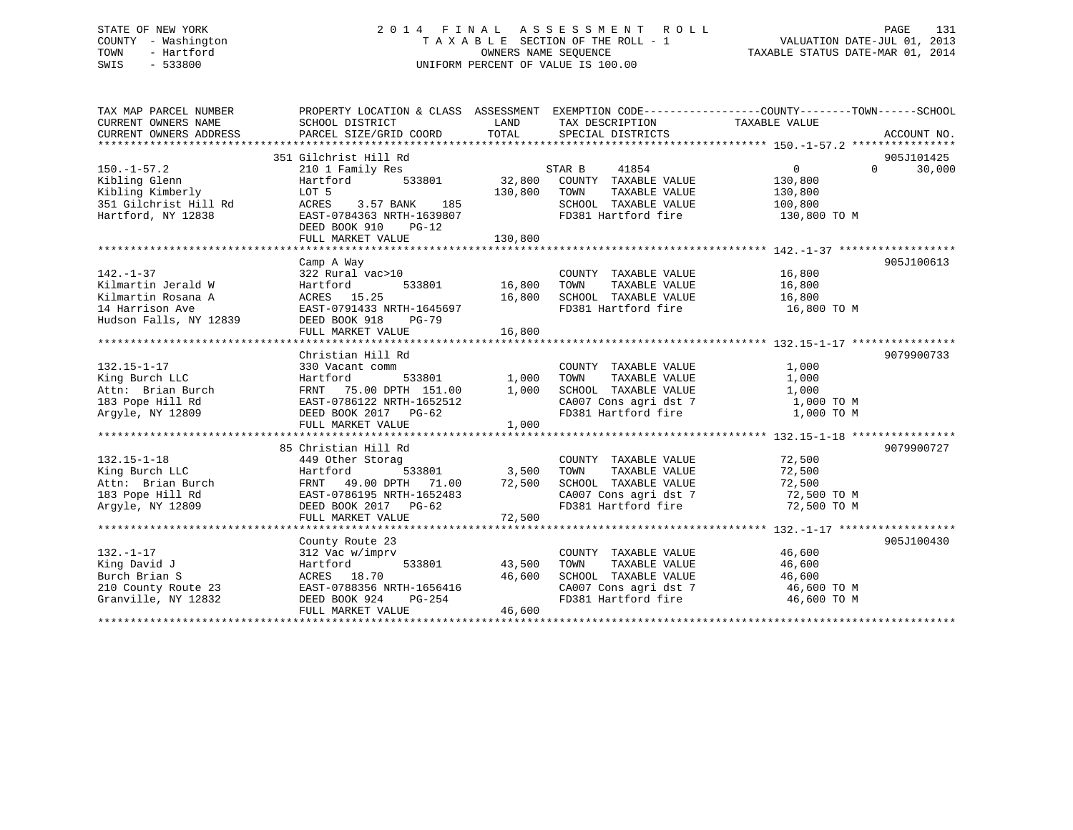# STATE OF NEW YORK 2 0 1 4 F I N A L A S S E S S M E N T R O L L PAGE 131 COUNTY - Washington T A X A B L E SECTION OF THE ROLL - 1 VALUATION DATE-JUL 01, 2013 TOWN - Hartford **TAXABLE STATUS DATE-MAR 01, 2014** OWNERS NAME SEQUENCE TAXABLE STATUS DATE-MAR 01, 2014 SWIS - 533800 UNIFORM PERCENT OF VALUE IS 100.00

| TAX MAP PARCEL NUMBER<br>CURRENT OWNERS NAME<br>CURRENT OWNERS ADDRESS                                   | PROPERTY LOCATION & CLASS ASSESSMENT EXEMPTION CODE----------------COUNTY-------TOWN------SCHOOL<br>SCHOOL DISTRICT<br>PARCEL SIZE/GRID COORD                                  | LAND<br>TOTAL                  | TAX DESCRIPTION TAXABLE VALUE<br>SPECIAL DISTRICTS                                                                                                             |                                                | ACCOUNT NO.                      |
|----------------------------------------------------------------------------------------------------------|--------------------------------------------------------------------------------------------------------------------------------------------------------------------------------|--------------------------------|----------------------------------------------------------------------------------------------------------------------------------------------------------------|------------------------------------------------|----------------------------------|
| $150. - 1 - 57.2$<br>Kibling Glenn<br>Kibling Kimberly<br>351 Gilchrist Hill Rd<br>Hartford, NY 12838    | 351 Gilchrist Hill Rd<br>210 1 Family Res<br>Hartford<br>LOT 5<br>ACRES 3.57 BANK 185<br>EAST-0784363 NRTH-1639807<br>DEED BOOK 910<br>$PG-12$<br>FULL MARKET VALUE            | 130,800<br>130,800             | STAR B<br>41854<br>533801 32,800 COUNTY TAXABLE VALUE<br>TOWN<br>TAXABLE VALUE<br>SCHOOL TAXABLE VALUE 100,800<br>FD381 Hartford fire                          | $\Omega$<br>130,800<br>130,800<br>130,800 TO M | 905J101425<br>30,000<br>$\Omega$ |
| $142. - 1 - 37$<br>Kilmartin Jerald W<br>Kilmartin Rosana A<br>14 Harrison Ave<br>Hudson Falls, NY 12839 | Camp A Way<br>322 Rural vac>10<br>533801<br>Hartford<br>ACRES 15.25<br>EAST-0791433 NRTH-1645697<br>DEED BOOK 918<br>PG-79                                                     | 16,800<br>16,800               | COUNTY TAXABLE VALUE 16,800<br>FD381 Hartford fire 16,800 TO M                                                                                                 |                                                | 905J100613                       |
| $132.15 - 1 - 17$<br>King Burch LLC<br>Attn: Brian Burch<br>183 Pope Hill Rd<br>Argyle, NY 12809         | Christian Hill Rd<br>330 Vacant comm<br>Hartford<br>FRNT 75.00 DPTH 151.00<br>FRNT 75.00 DPTH 151.00<br>EAST-0786122 NRTH-1652512<br>DEED BOOK 2017 PG-62<br>FULL MARKET VALUE | 533801 1,000<br>1,000<br>1,000 | COUNTY TAXABLE VALUE<br>TOWN<br>TAXABLE VALUE<br>SCHOOL TAXABLE VALUE<br>SCHOOL TAXABLE VALUE 1,000<br>CA007 Cons agri dst 7 1,000 TO M<br>FD381 Hartford fire | 1,000<br>1,000<br>1,000<br>1,000 TO M          | 9079900733                       |
| $132.15 - 1 - 18$<br>King Burch LLC                                                                      | 85 Christian Hill Rd<br>449 Other Storag<br>Hartford<br>FRNT 49.00 DPTH 71.00 72,500<br>EAST-0786195 NRTH-1652483 72,500<br>DEED BOOK 2017 PG-62<br>FULL MARKET VALUE          | 533801 3,500<br>72,500         | COUNTY TAXABLE VALUE<br>TOWN<br>TAXABLE VALUE<br>SCHOOL TAXABLE VALUE<br>CA007 Cons agri dst 7 72,500 TO M<br>FD381 Hartford fire 72,500 TO M                  | 72,500<br>72,500<br>72,500                     | 9079900727                       |
| $132. - 1 - 17$<br>King David J<br>Burch Brian S<br>210 County Route 23<br>Granville, NY 12832           | County Route 23<br>312 Vac w/imprv<br>Hartford<br>533801<br>ACRES 18.70<br>EAST-0788356 NRTH-1656416<br>DEED BOOK 924<br>PG-254<br>FULL MARKET VALUE                           | 43,500<br>46,600<br>46,600     | COUNTY TAXABLE VALUE<br>TOWN<br>TAXABLE VALUE<br>SCHOOL TAXABLE VALUE<br>CA007 Cons agri dst 7 46,600 TO M<br>FD381 Hartford fire 46,600 TO M                  | 46,600<br>46,600<br>46,600                     | 905J100430                       |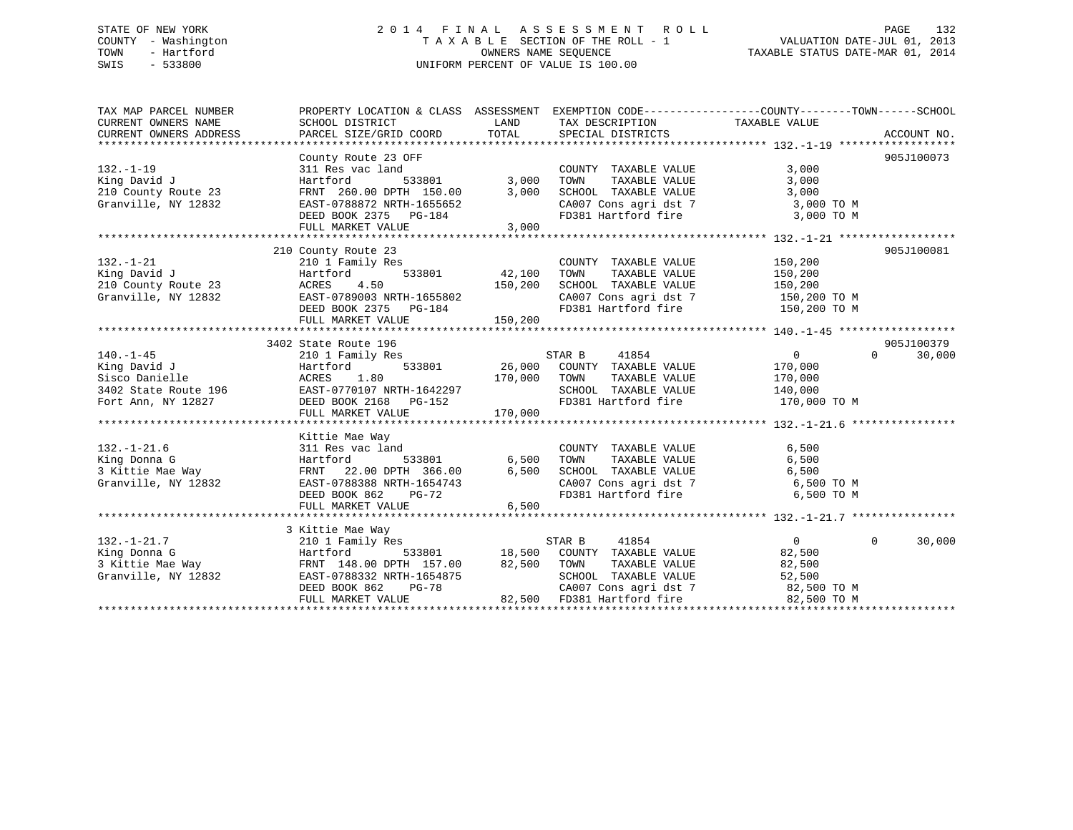# STATE OF NEW YORK 2 0 1 4 F I N A L A S S E S S M E N T R O L L PAGE 132 COUNTY - Washington T A X A B L E SECTION OF THE ROLL - 1 VALUATION DATE-JUL 01, 2013 TOWN - Hartford **TAXABLE STATUS DATE-MAR 01, 2014** OWNERS NAME SEQUENCE TAXABLE STATUS DATE-MAR 01, 2014 SWIS - 533800 UNIFORM PERCENT OF VALUE IS 100.00

| TAX MAP PARCEL NUMBER                                                                                                                                                                                                                                       | PROPERTY LOCATION & CLASS ASSESSMENT EXEMPTION CODE---------------COUNTY-------TOWN------SCHOOL          |              |                                                                                        |                       |                        |
|-------------------------------------------------------------------------------------------------------------------------------------------------------------------------------------------------------------------------------------------------------------|----------------------------------------------------------------------------------------------------------|--------------|----------------------------------------------------------------------------------------|-----------------------|------------------------|
| CURRENT OWNERS NAME                                                                                                                                                                                                                                         | SCHOOL DISTRICT                                                                                          |              | LAND TAX DESCRIPTION                                                                   | TAXABLE VALUE         |                        |
| CURRENT OWNERS ADDRESS                                                                                                                                                                                                                                      | PARCEL SIZE/GRID COORD                                                                                   |              | TOTAL SPECIAL DISTRICTS                                                                |                       | ACCOUNT NO.            |
|                                                                                                                                                                                                                                                             |                                                                                                          |              |                                                                                        |                       |                        |
|                                                                                                                                                                                                                                                             | County Route 23 OFF                                                                                      |              |                                                                                        |                       | 905J100073             |
| $132. - 1 - 19$                                                                                                                                                                                                                                             | 311 Res vac land                                                                                         |              | COUNTY TAXABLE VALUE                                                                   | 3,000                 |                        |
| King David J                                                                                                                                                                                                                                                | Hartford                                                                                                 | 533801 3,000 | TOWN<br>TAXABLE VALUE                                                                  | 3,000                 |                        |
| 210 County Route 23                                                                                                                                                                                                                                         |                                                                                                          | 3,000        | SCHOOL TAXABLE VALUE<br>SCHOOL TAXABLE VALUE 3,000<br>CA007 Cons agri dst 7 3,000 TO M | 3,000                 |                        |
| Granville, NY 12832                                                                                                                                                                                                                                         | FRNT 260.00 DPTH 150.00 3,000<br>EAST-0788872 NRTH-1655652                                               |              |                                                                                        |                       |                        |
|                                                                                                                                                                                                                                                             | DEED BOOK 2375 PG-184                                                                                    |              | FD381 Hartford fire 3,000 TO M                                                         |                       |                        |
|                                                                                                                                                                                                                                                             | FULL MARKET VALUE                                                                                        | 3,000        |                                                                                        |                       |                        |
|                                                                                                                                                                                                                                                             |                                                                                                          |              |                                                                                        |                       |                        |
|                                                                                                                                                                                                                                                             | 210 County Route 23                                                                                      |              |                                                                                        |                       | 905J100081             |
| $132. - 1 - 21$                                                                                                                                                                                                                                             |                                                                                                          |              | COUNTY TAXABLE VALUE                                                                   | 150,200               |                        |
| King David J<br>210 County Route 23 ACRES 4.50                                                                                                                                                                                                              |                                                                                                          |              | TAXABLE VALUE                                                                          |                       |                        |
|                                                                                                                                                                                                                                                             | 210 1 Family Res<br>Hartford 533801 42,100 TOWN<br>ACRES 4.50 150,200 SCHOO1<br>FAST-0789003 NEWS 155022 |              |                                                                                        |                       |                        |
| Granville, NY 12832                                                                                                                                                                                                                                         | EAST-0789003 NRTH-1655802                                                                                |              | CA007 Cons agri dst 7 150,200 TO M                                                     |                       |                        |
|                                                                                                                                                                                                                                                             | DEED BOOK 2375 PG-184                                                                                    |              | FD381 Hartford fire                                                                    | 150,200 TO M          |                        |
|                                                                                                                                                                                                                                                             | FULL MARKET VALUE                                                                                        | 150,200      |                                                                                        |                       |                        |
|                                                                                                                                                                                                                                                             |                                                                                                          |              |                                                                                        |                       |                        |
|                                                                                                                                                                                                                                                             | 3402 State Route 196                                                                                     |              |                                                                                        |                       | 905J100379             |
| $140. - 1 - 45$                                                                                                                                                                                                                                             |                                                                                                          |              |                                                                                        | $\overline{0}$        | $\Omega$<br>30,000     |
| King David J                                                                                                                                                                                                                                                | Hartford                                                                                                 |              |                                                                                        |                       |                        |
|                                                                                                                                                                                                                                                             |                                                                                                          |              |                                                                                        | TAXABLE VALUE 170,000 |                        |
|                                                                                                                                                                                                                                                             |                                                                                                          |              | SCHOOL TAXABLE VALUE 140,000<br>FD381 Hartford fire 170,000 TO M                       |                       |                        |
| Aring David UP<br>Sisco Danielle ACRES 1.80 170,000 TOWN<br>3402 State Route 196 EAST-0770107 NRTH-1642297 SCHOOL<br>Fort Ann, NY 12827 DEED BOOK 2168 PG-152 FD381<br>FULL MARKET VALUE 170,000 170,000                                                    |                                                                                                          |              |                                                                                        |                       |                        |
|                                                                                                                                                                                                                                                             |                                                                                                          |              |                                                                                        |                       |                        |
|                                                                                                                                                                                                                                                             |                                                                                                          |              |                                                                                        |                       |                        |
| $132. - 1 - 21.6$                                                                                                                                                                                                                                           | Kittie Mae Way<br>311 Res vac land                                                                       |              | COUNTY TAXABLE VALUE                                                                   | 6,500                 |                        |
|                                                                                                                                                                                                                                                             |                                                                                                          |              | TOWN                                                                                   | 6,500                 |                        |
|                                                                                                                                                                                                                                                             |                                                                                                          |              | TAXABLE VALUE                                                                          |                       |                        |
|                                                                                                                                                                                                                                                             |                                                                                                          |              | SCHOOL TAXABLE VALUE 6,500<br>CA007 Cons agri dst 7 6,500 TO M                         |                       |                        |
| 132.-1-2<br>Xing Donna G<br>3 Kittie Mae Way<br>3 Kittie Mae Way<br>3 Kittie Mae Way<br>533801 533801 6,500<br>3 Kittie Mae Way<br>EAST-0788388 NRTH-1654743<br>DEED BOOK 862 PG-72                                                                         |                                                                                                          |              | FD381 Hartford fire 6,500 TO M                                                         |                       |                        |
|                                                                                                                                                                                                                                                             |                                                                                                          | 6,500        |                                                                                        |                       |                        |
|                                                                                                                                                                                                                                                             | FULL MARKET VALUE                                                                                        |              |                                                                                        |                       |                        |
|                                                                                                                                                                                                                                                             | 3 Kittie Mae Way                                                                                         |              |                                                                                        |                       |                        |
|                                                                                                                                                                                                                                                             |                                                                                                          |              |                                                                                        | $\overline{0}$        | $\mathbf{0}$<br>30,000 |
|                                                                                                                                                                                                                                                             |                                                                                                          |              |                                                                                        | 82,500                |                        |
| 132.-1-21.7<br>132.-1-21.7<br>210 1 Family Res<br>210 1 Family Res<br>533801<br>3 Kittie Mae Way<br>3 Kittie Mae Way<br>3 Kittie Mae Way<br>533801<br>216.500 COUNTY TAXABLE VALUE<br>3 Kittie Mae Way<br>533801<br>22,500 TOWN TAXABLE VALUE<br>533801<br> |                                                                                                          |              | TAXABLE VALUE                                                                          | 82,500                |                        |
|                                                                                                                                                                                                                                                             |                                                                                                          |              |                                                                                        |                       |                        |
|                                                                                                                                                                                                                                                             |                                                                                                          |              |                                                                                        |                       |                        |
| Granville, NY 12832 EAST-0788332 NRTH-1654875 SCHOOL TAXABLE VALUE 52,500<br>DEED BOOK 862 PG-78 CA007 Cons agri dst 7 82,500 TO M<br>FULL MARKET VALUE 82,500 FD381 Hartford fire 82,500 TO M<br>FULL MARKET VALUE 82,500 FD381 Hartfo                     |                                                                                                          |              |                                                                                        |                       |                        |
|                                                                                                                                                                                                                                                             |                                                                                                          |              |                                                                                        |                       |                        |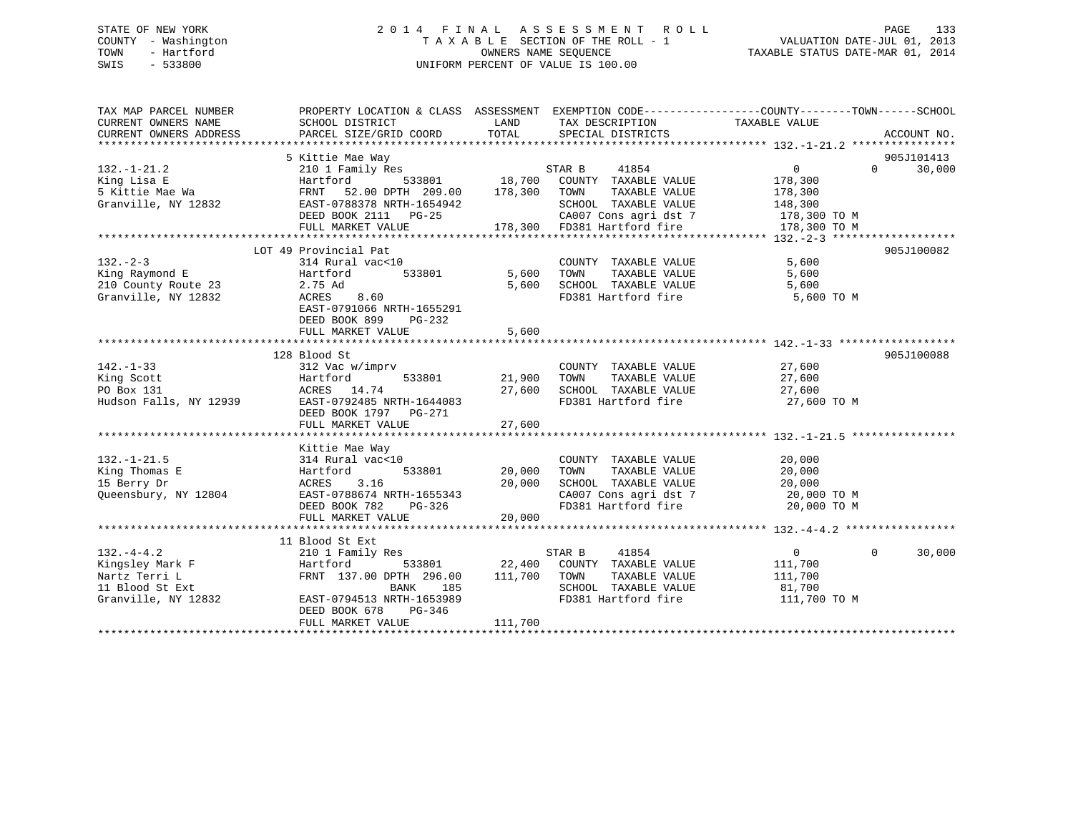# STATE OF NEW YORK 2 0 1 4 F I N A L A S S E S S M E N T R O L L PAGE 133 COUNTY - Washington T A X A B L E SECTION OF THE ROLL - 1 VALUATION DATE-JUL 01, 2013 TOWN - Hartford **TAXABLE STATUS DATE-MAR 01, 2014** OWNERS NAME SEQUENCE TAXABLE STATUS DATE-MAR 01, 2014 SWIS - 533800 UNIFORM PERCENT OF VALUE IS 100.00

| TAX MAP PARCEL NUMBER<br>CURRENT OWNERS NAME | PROPERTY LOCATION & CLASS ASSESSMENT<br>SCHOOL DISTRICT | LAND    | TAX DESCRIPTION                               | EXEMPTION CODE----------------COUNTY-------TOWN------SCHOOL<br>TAXABLE VALUE |                    |
|----------------------------------------------|---------------------------------------------------------|---------|-----------------------------------------------|------------------------------------------------------------------------------|--------------------|
| CURRENT OWNERS ADDRESS                       | PARCEL SIZE/GRID COORD                                  | TOTAL   | SPECIAL DISTRICTS                             |                                                                              | ACCOUNT NO.        |
|                                              |                                                         |         |                                               |                                                                              |                    |
|                                              | 5 Kittie Mae Way                                        |         |                                               |                                                                              | 905J101413         |
| $132. - 1 - 21.2$                            | 210 1 Family Res                                        |         | STAR B<br>41854                               | $\overline{0}$                                                               | $\Omega$<br>30,000 |
| King Lisa E                                  | Hartford<br>533801                                      | 18,700  | COUNTY TAXABLE VALUE                          | 178,300                                                                      |                    |
| 5 Kittie Mae Wa                              | 52.00 DPTH 209.00<br>FRNT                               | 178,300 | TOWN<br>TAXABLE VALUE                         | 178,300                                                                      |                    |
| Granville, NY 12832                          | EAST-0788378 NRTH-1654942                               |         | SCHOOL TAXABLE VALUE                          | 148,300                                                                      |                    |
|                                              | DEED BOOK 2111 PG-25                                    |         | CA007 Cons agri dst 7                         | 178,300 TO M                                                                 |                    |
|                                              | FULL MARKET VALUE                                       |         | 178,300 FD381 Hartford fire                   | 178,300 TO M                                                                 |                    |
|                                              |                                                         |         |                                               |                                                                              |                    |
|                                              | LOT 49 Provincial Pat                                   |         |                                               |                                                                              | 905J100082         |
| $132 - 2 - 3$                                | 314 Rural vac<10                                        |         | COUNTY TAXABLE VALUE                          | 5,600                                                                        |                    |
| King Raymond E                               | Hartford<br>533801                                      | 5,600   | TOWN<br>TAXABLE VALUE                         | 5,600                                                                        |                    |
| 210 County Route 23                          | 2.75 Ad                                                 | 5,600   | SCHOOL TAXABLE VALUE                          | 5,600                                                                        |                    |
| Granville, NY 12832                          | ACRES<br>8.60                                           |         | FD381 Hartford fire                           | 5,600 TO M                                                                   |                    |
|                                              | EAST-0791066 NRTH-1655291                               |         |                                               |                                                                              |                    |
|                                              | DEED BOOK 899<br>PG-232                                 |         |                                               |                                                                              |                    |
|                                              | FULL MARKET VALUE                                       | 5,600   |                                               |                                                                              |                    |
|                                              |                                                         |         |                                               |                                                                              |                    |
|                                              | 128 Blood St                                            |         |                                               |                                                                              | 905J100088         |
| $142. - 1 - 33$                              | 312 Vac w/imprv                                         |         | COUNTY TAXABLE VALUE                          | 27,600                                                                       |                    |
| King Scott                                   | Hartford<br>533801                                      | 21,900  | TAXABLE VALUE<br>TOWN                         | 27,600                                                                       |                    |
| PO Box 131                                   | ACRES 14.74                                             | 27,600  | SCHOOL TAXABLE VALUE                          | 27,600                                                                       |                    |
| Hudson Falls, NY 12939                       | EAST-0792485 NRTH-1644083                               |         | FD381 Hartford fire                           | 27,600 TO M                                                                  |                    |
|                                              | DEED BOOK 1797 PG-271                                   |         |                                               |                                                                              |                    |
|                                              | FULL MARKET VALUE                                       | 27,600  |                                               |                                                                              |                    |
|                                              |                                                         |         |                                               |                                                                              |                    |
|                                              | Kittie Mae Way                                          |         |                                               |                                                                              |                    |
| $132. - 1 - 21.5$                            | 314 Rural vac<10                                        |         | COUNTY TAXABLE VALUE                          | 20,000                                                                       |                    |
| King Thomas E                                | Hartford<br>533801                                      | 20,000  | TAXABLE VALUE<br>TOWN                         | 20,000                                                                       |                    |
| 15 Berry Dr                                  | ACRES<br>3.16                                           | 20,000  | SCHOOL TAXABLE VALUE                          | 20,000                                                                       |                    |
| Oueensbury, NY 12804                         | EAST-0788674 NRTH-1655343                               |         | CA007 Cons agri dst 7                         | 20,000 TO M                                                                  |                    |
|                                              | DEED BOOK 782<br>$PG-326$                               |         | FD381 Hartford fire                           | 20,000 TO M                                                                  |                    |
|                                              | FULL MARKET VALUE                                       | 20,000  |                                               |                                                                              |                    |
|                                              |                                                         |         |                                               |                                                                              |                    |
| $132. -4 - 4.2$                              | 11 Blood St Ext                                         |         | 41854                                         | $\overline{0}$                                                               | $\Omega$<br>30,000 |
|                                              | 210 1 Family Res                                        | 22,400  | STAR B                                        |                                                                              |                    |
| Kingsley Mark F<br>Nartz Terri L             | Hartford<br>533801<br>FRNT 137.00 DPTH 296.00           | 111,700 | COUNTY TAXABLE VALUE<br>TOWN<br>TAXABLE VALUE | 111,700<br>111,700                                                           |                    |
| 11 Blood St Ext                              | BANK<br>185                                             |         | SCHOOL TAXABLE VALUE                          | 81,700                                                                       |                    |
| Granville, NY 12832                          | EAST-0794513 NRTH-1653989                               |         | FD381 Hartford fire                           | 111,700 TO M                                                                 |                    |
|                                              | DEED BOOK 678<br>$PG-346$                               |         |                                               |                                                                              |                    |
|                                              | FULL MARKET VALUE                                       | 111,700 |                                               |                                                                              |                    |
|                                              | *************************************                   |         |                                               |                                                                              |                    |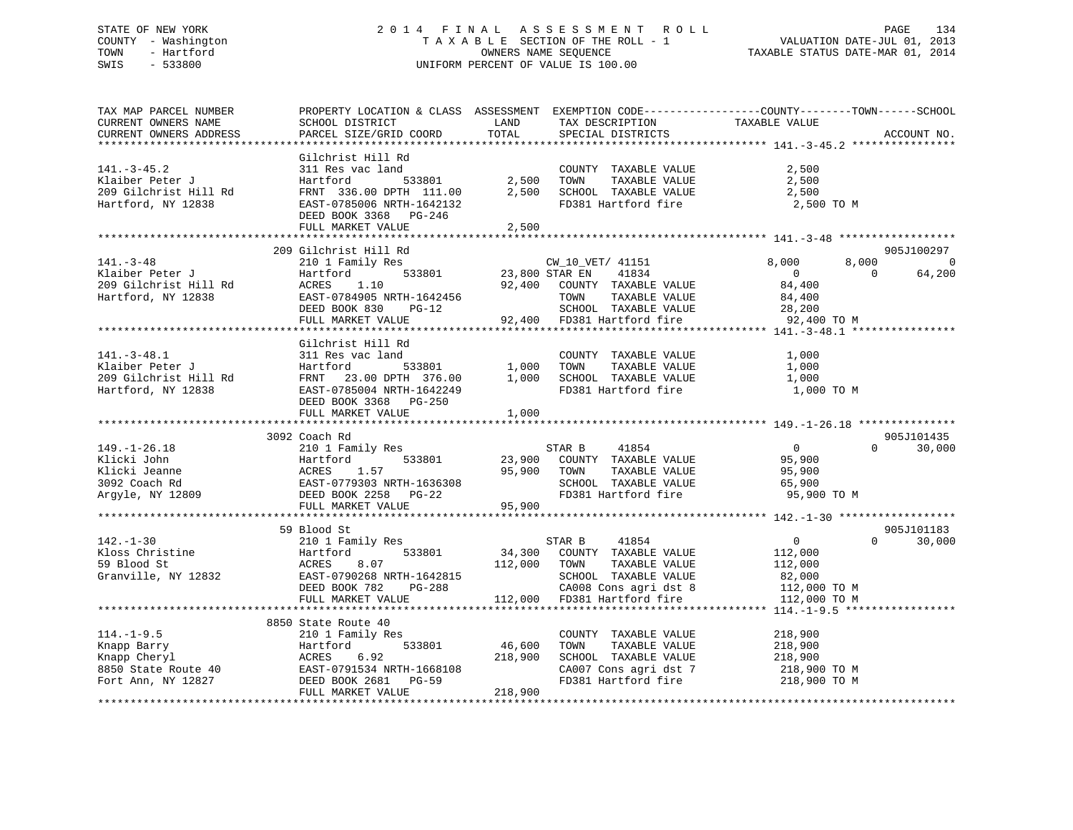# STATE OF NEW YORK 2 0 1 4 F I N A L A S S E S S M E N T R O L L PAGE 134 COUNTY - Washington T A X A B L E SECTION OF THE ROLL - 1 VALUATION DATE-JUL 01, 2013 TOWN - Hartford **TAXABLE STATUS DATE-MAR 01, 2014** OWNERS NAME SEQUENCE TAXABLE STATUS DATE-MAR 01, 2014 SWIS - 533800 UNIFORM PERCENT OF VALUE IS 100.00

| TAX MAP PARCEL NUMBER<br>CURRENT OWNERS NAME<br>CURRENT OWNERS ADDRESS                                                                                                          | SCHOOL DISTRICT<br>PARCEL SIZE/GRID COORD | LAND<br>TOTAL         | TAX DESCRIPTION<br>SPECIAL DISTRICTS | PROPERTY LOCATION & CLASS ASSESSMENT EXEMPTION CODE----------------COUNTY-------TOWN-----SCHOOL<br>TAXABLE VALUE<br>ACCOUNT NO. |            |
|---------------------------------------------------------------------------------------------------------------------------------------------------------------------------------|-------------------------------------------|-----------------------|--------------------------------------|---------------------------------------------------------------------------------------------------------------------------------|------------|
|                                                                                                                                                                                 |                                           |                       |                                      |                                                                                                                                 |            |
|                                                                                                                                                                                 | Gilchrist Hill Rd                         |                       |                                      |                                                                                                                                 |            |
| $141. - 3 - 45.2$                                                                                                                                                               | 311 Res vac land                          |                       | COUNTY TAXABLE VALUE                 | 2,500                                                                                                                           |            |
| Klaiber Peter J                                                                                                                                                                 | 533801<br>Hartford                        | 2,500                 | TOWN<br>TAXABLE VALUE                | 2,500                                                                                                                           |            |
| 209 Gilchrist Hill Rd                                                                                                                                                           | FRNT 336.00 DPTH 111.00                   | 2,500                 | SCHOOL TAXABLE VALUE                 | 2,500                                                                                                                           |            |
| Hartford, NY 12838                                                                                                                                                              | EAST-0785006 NRTH-1642132                 |                       | FD381 Hartford fire                  | 2,500 TO M                                                                                                                      |            |
|                                                                                                                                                                                 | DEED BOOK 3368 PG-246                     |                       |                                      |                                                                                                                                 |            |
|                                                                                                                                                                                 | FULL MARKET VALUE                         | 2,500                 |                                      |                                                                                                                                 |            |
|                                                                                                                                                                                 |                                           |                       |                                      |                                                                                                                                 |            |
|                                                                                                                                                                                 | 209 Gilchrist Hill Rd                     |                       |                                      | 905J100297                                                                                                                      |            |
| $141. - 3 - 48$                                                                                                                                                                 | 210 1 Family Res                          |                       | CW_10_VET/ 41151                     | 8,000<br>8,000                                                                                                                  | $\bigcirc$ |
| Klaiber Peter J                                                                                                                                                                 | Hartford                                  | 533801 23,800 STAR EN | 41834                                | 64,200<br>$\Omega$<br>$\overline{0}$                                                                                            |            |
| 209 Gilchrist Hill Rd                                                                                                                                                           | ACRES<br>1.10                             |                       | 92,400 COUNTY TAXABLE VALUE          | 84,400                                                                                                                          |            |
| Hartford, NY 12838                                                                                                                                                              | EAST-0784905 NRTH-1642456                 |                       | TOWN<br>TAXABLE VALUE                | 84,400                                                                                                                          |            |
|                                                                                                                                                                                 | DEED BOOK 830<br>$PG-12$                  |                       | SCHOOL TAXABLE VALUE                 | 28,200                                                                                                                          |            |
|                                                                                                                                                                                 | FULL MARKET VALUE                         |                       | 92,400 FD381 Hartford fire           | 92,400 TO M                                                                                                                     |            |
|                                                                                                                                                                                 |                                           |                       |                                      |                                                                                                                                 |            |
|                                                                                                                                                                                 | Gilchrist Hill Rd                         |                       |                                      |                                                                                                                                 |            |
| $141. - 3 - 48.1$                                                                                                                                                               | 311 Res vac land                          |                       | COUNTY TAXABLE VALUE                 | 1,000                                                                                                                           |            |
| Klaiber Peter J                                                                                                                                                                 | Hartford<br>533801                        | 1,000                 | TAXABLE VALUE<br>TOWN                | 1,000                                                                                                                           |            |
| 209 Gilchrist Hill Rd                                                                                                                                                           | FRNT 23.00 DPTH 376.00                    | 1,000                 | SCHOOL TAXABLE VALUE                 | 1,000                                                                                                                           |            |
| Hartford, NY 12838                                                                                                                                                              | EAST-0785004 NRTH-1642249                 |                       | FD381 Hartford fire                  | 1,000 TO M                                                                                                                      |            |
|                                                                                                                                                                                 | DEED BOOK 3368 PG-250                     |                       |                                      |                                                                                                                                 |            |
|                                                                                                                                                                                 | FULL MARKET VALUE                         | 1,000                 |                                      |                                                                                                                                 |            |
|                                                                                                                                                                                 |                                           |                       |                                      |                                                                                                                                 |            |
|                                                                                                                                                                                 | 3092 Coach Rd                             |                       |                                      | 905J101435                                                                                                                      |            |
| $149. - 1 - 26.18$                                                                                                                                                              | 210 1 Family Res                          |                       | STAR B<br>41854                      | $\overline{0}$<br>30,000<br>$\Omega$                                                                                            |            |
|                                                                                                                                                                                 |                                           | 23,900                | COUNTY TAXABLE VALUE                 | 95,900                                                                                                                          |            |
|                                                                                                                                                                                 |                                           | 95,900                | TOWN<br>TAXABLE VALUE                | 95,900                                                                                                                          |            |
|                                                                                                                                                                                 |                                           |                       | SCHOOL TAXABLE VALUE                 | 65,900                                                                                                                          |            |
|                                                                                                                                                                                 |                                           |                       | FD381 Hartford fire                  | 95,900 TO M                                                                                                                     |            |
|                                                                                                                                                                                 | FULL MARKET VALUE                         | 95,900                |                                      |                                                                                                                                 |            |
|                                                                                                                                                                                 |                                           |                       |                                      |                                                                                                                                 |            |
|                                                                                                                                                                                 | 59 Blood St                               |                       |                                      | 905J101183                                                                                                                      |            |
| $142. - 1 - 30$                                                                                                                                                                 | 210 1 Family Res                          |                       | STAR B<br>41854                      | $\Omega$<br>30,000<br>$\overline{0}$                                                                                            |            |
| Kloss Christine                                                                                                                                                                 | 533801<br>Hartford                        |                       | 34,300 COUNTY TAXABLE VALUE          | 112,000                                                                                                                         |            |
| 59 Blood St                                                                                                                                                                     | 8.07                                      | 112,000               | TAXABLE VALUE<br>TOWN                | 112,000                                                                                                                         |            |
| Hartfc<br>ACRES<br>EAST-0<br>Granville, NY 12832                                                                                                                                | EAST-0790268 NRTH-1642815                 |                       | SCHOOL TAXABLE VALUE                 | 82,000                                                                                                                          |            |
|                                                                                                                                                                                 | DEED BOOK 782<br>PG-288                   |                       | CA008 Cons agri dst 8                | 112,000 TO M                                                                                                                    |            |
|                                                                                                                                                                                 | FULL MARKET VALUE                         |                       | 112,000 FD381 Hartford fire          | 112,000 TO M                                                                                                                    |            |
|                                                                                                                                                                                 |                                           |                       |                                      |                                                                                                                                 |            |
|                                                                                                                                                                                 | 8850 State Route 40                       |                       |                                      |                                                                                                                                 |            |
| $114. - 1 - 9.5$                                                                                                                                                                | 210 1 Family Res                          |                       | COUNTY TAXABLE VALUE                 | 218,900                                                                                                                         |            |
|                                                                                                                                                                                 | 533801                                    | 46,600                | TOWN<br>TAXABLE VALUE                | 218,900                                                                                                                         |            |
|                                                                                                                                                                                 |                                           | 218,900               | SCHOOL TAXABLE VALUE                 | 218,900                                                                                                                         |            |
| Example Barry Martford 533801<br>Example the part of the Martford 533801<br>EXERE 6.92<br>Fort Ann, NY 12827<br>Fort Ann, NY 12827<br>EXED BOOK 2681<br>PC-59<br>PC-59<br>PC-59 |                                           |                       | CA007 Cons agri dst 7                | 218,900 TO M                                                                                                                    |            |
|                                                                                                                                                                                 |                                           |                       | FD381 Hartford fire                  | 218,900 TO M                                                                                                                    |            |
|                                                                                                                                                                                 | FULL MARKET VALUE                         | 218,900               |                                      |                                                                                                                                 |            |
|                                                                                                                                                                                 |                                           |                       |                                      |                                                                                                                                 |            |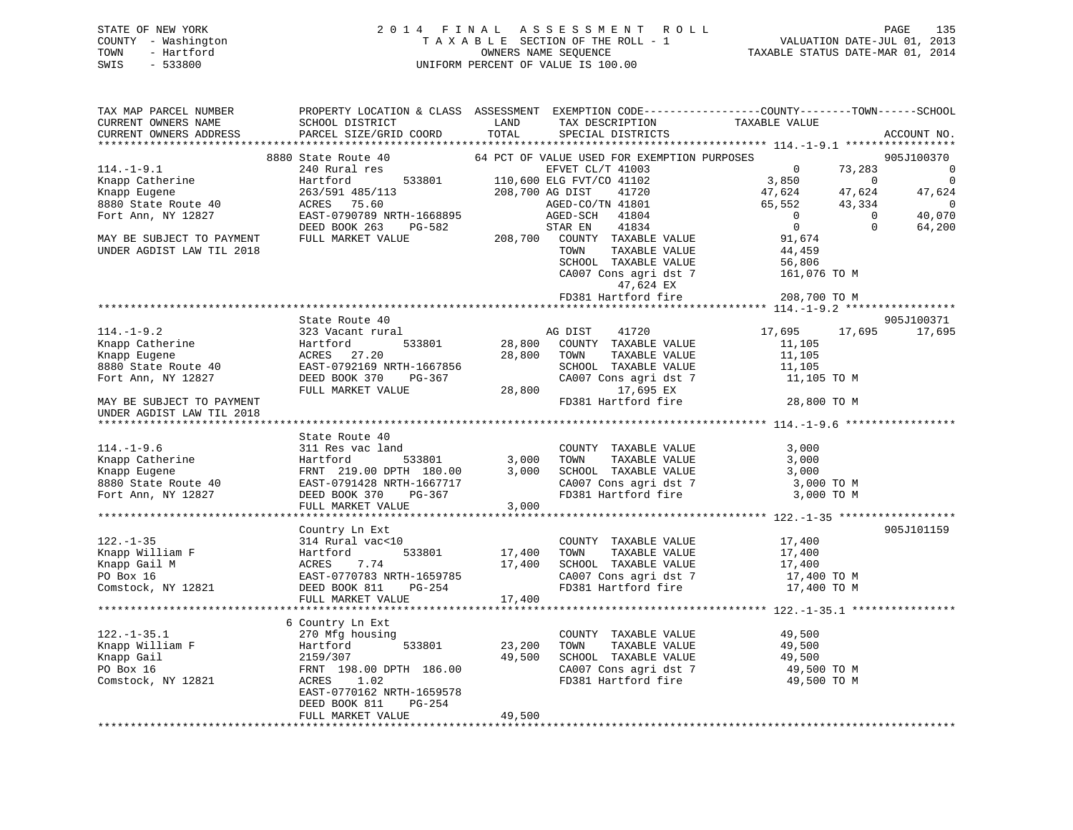# STATE OF NEW YORK 2 0 1 4 F I N A L A S S E S S M E N T R O L L PAGE 135 COUNTY - Washington T A X A B L E SECTION OF THE ROLL - 1 VALUATION DATE-JUL 01, 2013 TOWN - Hartford **TAXABLE STATUS DATE-MAR 01, 2014** OWNERS NAME SEQUENCE TAXABLE STATUS DATE-MAR 01, 2014 SWIS - 533800 UNIFORM PERCENT OF VALUE IS 100.00

| TAX MAP PARCEL NUMBER<br>CURRENT OWNERS NAME | SCHOOL DISTRICT                                                      | LAND           | TAX DESCRIPTION                                                       | PROPERTY LOCATION & CLASS ASSESSMENT EXEMPTION CODE---------------COUNTY-------TOWN-----SCHOOL<br>TAXABLE VALUE |                          |
|----------------------------------------------|----------------------------------------------------------------------|----------------|-----------------------------------------------------------------------|-----------------------------------------------------------------------------------------------------------------|--------------------------|
| CURRENT OWNERS ADDRESS                       | PARCEL SIZE/GRID COORD                                               | TOTAL          | SPECIAL DISTRICTS                                                     |                                                                                                                 | ACCOUNT NO.              |
|                                              |                                                                      |                |                                                                       |                                                                                                                 |                          |
|                                              | 8880 State Route 40                                                  |                | 64 PCT OF VALUE USED FOR EXEMPTION PURPOSES                           |                                                                                                                 | 905J100370               |
| $114.-1-9.1$                                 | 240 Rural res                                                        |                | EFVET CL/T 41003<br>110,600 ELG FVT/CO 41102<br>208,700 AG DIST 41720 | 73,283<br>$\sim$ 0                                                                                              | $\overline{\phantom{0}}$ |
| Knapp Catherine                              | 533801<br>Hartford                                                   |                |                                                                       | 3,850<br>$\overline{0}$                                                                                         | $\overline{0}$           |
| Knapp Eugene                                 | 263/591 485/113                                                      |                |                                                                       | 47,624<br>47,624                                                                                                | 47,624                   |
| 8880 State Route 40                          | ACRES 75.60                                                          |                | AGED-CO/TN 41801                                                      | 65,552<br>43,334                                                                                                | $\overline{0}$           |
| Fort Ann, NY 12827                           | EAST-0790789 NRTH-1668895                                            |                | AGED-SCH 41804                                                        | $\overline{0}$<br>$\overline{0}$                                                                                | 40,070                   |
|                                              | DEED BOOK 263<br>PG-582                                              |                | 41834<br>STAR EN                                                      | $\overline{0}$<br>$\Omega$                                                                                      | 64,200                   |
| MAY BE SUBJECT TO PAYMENT                    | FULL MARKET VALUE                                                    |                | 208,700 COUNTY TAXABLE VALUE                                          | 91,674                                                                                                          |                          |
| UNDER AGDIST LAW TIL 2018                    |                                                                      |                | TOWN<br>TAXABLE VALUE                                                 | 44,459                                                                                                          |                          |
|                                              |                                                                      |                | SCHOOL TAXABLE VALUE                                                  | 56,806                                                                                                          |                          |
|                                              |                                                                      |                | CA007 Cons agri dst 7                                                 | 161,076 TO M                                                                                                    |                          |
|                                              |                                                                      |                | 47,624 EX                                                             |                                                                                                                 |                          |
|                                              |                                                                      |                | FD381 Hartford fire                                                   | 208,700 TO M                                                                                                    |                          |
|                                              |                                                                      |                |                                                                       |                                                                                                                 |                          |
|                                              | State Route 40                                                       |                |                                                                       |                                                                                                                 | 905J100371               |
| $114. - 1 - 9.2$                             | 323 Vacant rural                                                     |                | AG DIST<br>41720                                                      | 17,695<br>17,695                                                                                                | 17,695                   |
| II4.-1<br>Knapp Catherine                    | 533801<br>Hartford                                                   | 28,800         | COUNTY TAXABLE VALUE                                                  | 11,105                                                                                                          |                          |
| Knapp Eugene                                 | ACRES 27.20                                                          | 28,800         | TOWN<br>TAXABLE VALUE                                                 | 11,105                                                                                                          |                          |
| 8880 State Route 40                          | EAST-0792169 NRTH-1667856                                            |                | SCHOOL TAXABLE VALUE                                                  | 11,105                                                                                                          |                          |
| Fort Ann, NY 12827                           | DEED BOOK 370<br>PG-367                                              |                | CA007 Cons agri dst 7                                                 | 11,105 TO M                                                                                                     |                          |
|                                              | FULL MARKET VALUE                                                    | 28,800         | 17,695 EX                                                             |                                                                                                                 |                          |
| MAY BE SUBJECT TO PAYMENT                    |                                                                      |                | FD381 Hartford fire                                                   | 28,800 TO M                                                                                                     |                          |
| UNDER AGDIST LAW TIL 2018                    |                                                                      |                |                                                                       |                                                                                                                 |                          |
|                                              |                                                                      |                |                                                                       |                                                                                                                 |                          |
|                                              | State Route 40                                                       |                |                                                                       |                                                                                                                 |                          |
| $114. - 1 - 9.6$                             | 311 Res vac land                                                     |                | COUNTY TAXABLE VALUE                                                  | 3,000                                                                                                           |                          |
|                                              | Hartford<br>533801                                                   |                | TAXABLE VALUE<br>TOWN                                                 | 3,000                                                                                                           |                          |
| Knapp Catherine                              |                                                                      | 3,000<br>3,000 |                                                                       | 3,000                                                                                                           |                          |
| Knapp Eugene                                 | FRNT 219.00 DPTH 180.00                                              |                | SCHOOL TAXABLE VALUE                                                  |                                                                                                                 |                          |
| 8880 State Route 40                          | EAST-0791428 NRTH-1667717                                            |                | CA007 Cons agri dst 7                                                 | 3,000 TO M                                                                                                      |                          |
| Fort Ann, NY 12827                           | DEED BOOK 370<br>PG-367                                              |                | FD381 Hartford fire                                                   | 3,000 TO M                                                                                                      |                          |
|                                              | FULL MARKET VALUE                                                    | 3,000          |                                                                       |                                                                                                                 |                          |
|                                              |                                                                      |                |                                                                       |                                                                                                                 |                          |
|                                              | Country Ln Ext                                                       |                |                                                                       |                                                                                                                 | 905J101159               |
| $122. - 1 - 35$                              | 314 Rural vac<10                                                     |                | COUNTY TAXABLE VALUE                                                  | 17,400                                                                                                          |                          |
| Knapp William F                              | 533801<br>Hartford 533801<br>ACRES 7.74<br>EAST-0770783 NRTH-1659785 | 17,400         | TOWN<br>TAXABLE VALUE                                                 | 17,400                                                                                                          |                          |
| Knapp Gail M                                 |                                                                      | 17,400         | SCHOOL TAXABLE VALUE                                                  | 17,400                                                                                                          |                          |
| PO Box 16                                    |                                                                      |                | CA007 Cons agri dst 7                                                 | 17,400 TO M                                                                                                     |                          |
| Comstock, NY 12821                           | DEED BOOK 811<br>PG-254                                              |                | FD381 Hartford fire                                                   | 17,400 TO M                                                                                                     |                          |
|                                              | FULL MARKET VALUE                                                    | 17,400         |                                                                       |                                                                                                                 |                          |
|                                              |                                                                      |                |                                                                       |                                                                                                                 |                          |
|                                              | 6 Country Ln Ext                                                     |                |                                                                       |                                                                                                                 |                          |
|                                              | 270 Mfg housing                                                      |                | COUNTY TAXABLE VALUE                                                  | 49,500                                                                                                          |                          |
|                                              | 533801<br>Hartford                                                   | 23,200         | TAXABLE VALUE<br>TOWN                                                 | 49,500                                                                                                          |                          |
| 122.-1-35.1<br>Knapp William F               | 2159/307                                                             | 49,500         | SCHOOL TAXABLE VALUE                                                  | 49,500                                                                                                          |                          |
| PO Box 16                                    | FRNT 198.00 DPTH 186.00                                              |                | CA007 Cons agri dst 7                                                 | 49,500 TO M                                                                                                     |                          |
| Comstock, NY 12821                           | ACRES<br>1.02                                                        |                | FD381 Hartford fire                                                   | 49,500 TO M                                                                                                     |                          |
|                                              | EAST-0770162 NRTH-1659578                                            |                |                                                                       |                                                                                                                 |                          |
|                                              | DEED BOOK 811<br>PG-254                                              |                |                                                                       |                                                                                                                 |                          |
|                                              | FULL MARKET VALUE                                                    | 49,500         |                                                                       |                                                                                                                 |                          |
|                                              |                                                                      |                |                                                                       |                                                                                                                 |                          |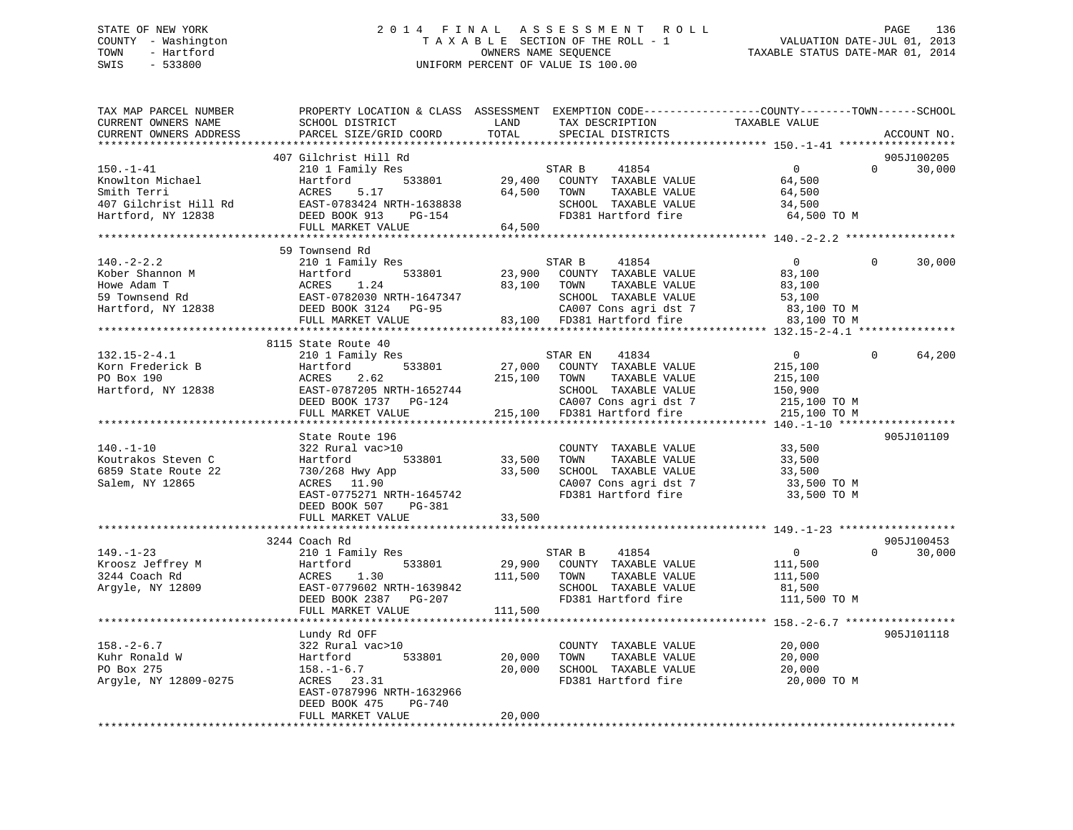# STATE OF NEW YORK 2 0 1 4 F I N A L A S S E S S M E N T R O L L PAGE 136 COUNTY - Washington T A X A B L E SECTION OF THE ROLL - 1 VALUATION DATE-JUL 01, 2013 TOWN - Hartford **TAXABLE STATUS DATE-MAR 01, 2014** OWNERS NAME SEQUENCE TAXABLE STATUS DATE-MAR 01, 2014 SWIS - 533800 UNIFORM PERCENT OF VALUE IS 100.00

| TAX MAP PARCEL NUMBER<br>CURRENT OWNERS NAME | PROPERTY LOCATION & CLASS ASSESSMENT EXEMPTION CODE----------------COUNTY-------TOWN------SCHOOL<br>SCHOOL DISTRICT | LAND         | TAX DESCRIPTION                               | TAXABLE VALUE  |                    |
|----------------------------------------------|---------------------------------------------------------------------------------------------------------------------|--------------|-----------------------------------------------|----------------|--------------------|
| CURRENT OWNERS ADDRESS                       | PARCEL SIZE/GRID COORD                                                                                              | TOTAL        | SPECIAL DISTRICTS                             |                | ACCOUNT NO.        |
|                                              |                                                                                                                     |              |                                               |                |                    |
|                                              | 407 Gilchrist Hill Rd                                                                                               |              |                                               |                | 905J100205         |
| $150. - 1 - 41$                              | 210 1 Family Res                                                                                                    |              | STAR B<br>41854                               | $\Omega$       | $\Omega$<br>30,000 |
| Knowlton Michael                             | 533801<br>Hartford                                                                                                  | 29,400       | COUNTY TAXABLE VALUE                          | 64,500         |                    |
| Smith Terri                                  | 5.17<br>ACRES                                                                                                       | 64,500       | TOWN<br>TAXABLE VALUE                         | 64,500         |                    |
| 407 Gilchrist Hill Rd                        | EAST-0783424 NRTH-1638838                                                                                           |              | SCHOOL TAXABLE VALUE                          | 34,500         |                    |
| Hartford, NY 12838                           | DEED BOOK 913<br>PG-154                                                                                             |              | FD381 Hartford fire                           | 64,500 TO M    |                    |
|                                              | FULL MARKET VALUE                                                                                                   | 64,500       |                                               |                |                    |
|                                              | 59 Townsend Rd                                                                                                      |              |                                               |                |                    |
| $140. - 2 - 2.2$                             | 210 1 Family Res                                                                                                    |              | 41854<br>STAR B                               | $\overline{0}$ | $\Omega$<br>30,000 |
| Kober Shannon M                              | Hartford<br>533801                                                                                                  |              | 23,900 COUNTY TAXABLE VALUE                   | 83,100         |                    |
| Howe Adam T                                  | ACRES<br>1.24                                                                                                       |              | 83,100 TOWN<br>TAXABLE VALUE                  | 83,100         |                    |
|                                              |                                                                                                                     |              |                                               | 53,100         |                    |
| 59 Townsend Rd<br>Hartford, NY 12838         | EAST-0782030 NRTH-1647347<br>DEED BOOK 3124 PG-95                                                                   |              | SCHOOL TAXABLE VALUE<br>CA007 Cons agri dst 7 | 83,100 TO M    |                    |
|                                              | FULL MARKET VALUE                                                                                                   |              | 83,100 FD381 Hartford fire                    | 83,100 TO M    |                    |
|                                              |                                                                                                                     |              |                                               |                |                    |
|                                              | 8115 State Route 40                                                                                                 |              |                                               |                |                    |
| $132.15 - 2 - 4.1$                           | 210 1 Family Res                                                                                                    |              | STAR EN<br>41834                              | $\overline{0}$ | 64,200<br>$\Omega$ |
| Korn Frederick B                             | 533801<br>Hartford                                                                                                  | 27,000       | COUNTY TAXABLE VALUE                          | 215,100        |                    |
| PO Box 190                                   | ACRES<br>2.62                                                                                                       | 215,100      | TAXABLE VALUE<br>TOWN                         | 215,100        |                    |
| Hartford, NY 12838                           | EAST-0787205 NRTH-1652744                                                                                           |              | SCHOOL TAXABLE VALUE                          | 150,900        |                    |
|                                              | DEED BOOK 1737 PG-124                                                                                               |              | CA007 Cons agri dst 7                         | 215,100 TO M   |                    |
|                                              | FULL MARKET VALUE                                                                                                   |              | 215,100 FD381 Hartford fire                   | 215,100 TO M   |                    |
|                                              |                                                                                                                     |              |                                               |                |                    |
|                                              | State Route 196                                                                                                     |              |                                               |                | 905J101109         |
| $140. - 1 - 10$                              | 322 Rural vac>10                                                                                                    |              | COUNTY TAXABLE VALUE                          | 33,500         |                    |
| Koutrakos Steven C                           | Hartford 533801                                                                                                     | 33,500       | TAXABLE VALUE<br>TOWN                         | 33,500         |                    |
| 6859 State Route 22                          | 730/268 Hwy App                                                                                                     | 33,500       | SCHOOL TAXABLE VALUE                          | 33,500         |                    |
| Salem, NY 12865                              | ACRES 11.90                                                                                                         |              | CA007 Cons agri dst 7                         | 33,500 TO M    |                    |
|                                              | EAST-0775271 NRTH-1645742                                                                                           |              | FD381 Hartford fire                           | 33,500 TO M    |                    |
|                                              | DEED BOOK 507 PG-381                                                                                                |              |                                               |                |                    |
|                                              | FULL MARKET VALUE                                                                                                   | 33,500       |                                               |                |                    |
|                                              |                                                                                                                     |              |                                               |                |                    |
|                                              | 3244 Coach Rd                                                                                                       |              |                                               |                | 905J100453         |
| $149. - 1 - 23$                              | 210 1 Family Res                                                                                                    |              | 41854<br>STAR B                               | $\overline{0}$ | $\Omega$<br>30,000 |
| Kroosz Jeffrey M                             | 533801<br>Hartford                                                                                                  |              | 29,900 COUNTY TAXABLE VALUE                   | 111,500        |                    |
| 3244 Coach Rd                                | 1.30<br>ACRES                                                                                                       | 111,500 TOWN | TAXABLE VALUE                                 | 111,500        |                    |
| Argyle, NY 12809                             | EAST-0779602 NRTH-1639842                                                                                           |              | SCHOOL TAXABLE VALUE                          | 81,500         |                    |
|                                              | DEED BOOK 2387 PG-207                                                                                               |              | FD381 Hartford fire                           | 111,500 TO M   |                    |
|                                              | FULL MARKET VALUE                                                                                                   | 111,500      |                                               |                |                    |
|                                              |                                                                                                                     |              |                                               |                |                    |
|                                              | Lundy Rd OFF                                                                                                        |              |                                               |                | 905J101118         |
| $158. - 2 - 6.7$                             | 322 Rural vac>10                                                                                                    |              | COUNTY TAXABLE VALUE                          | 20,000         |                    |
| Kuhr Ronald W                                | 533801<br>Hartford                                                                                                  | 20,000       | TOWN<br>TAXABLE VALUE                         | 20,000         |                    |
| PO Box 275                                   | $158. - 1 - 6.7$                                                                                                    | 20,000       | SCHOOL TAXABLE VALUE                          | 20,000         |                    |
| Argyle, NY 12809-0275                        | ACRES 23.31                                                                                                         |              | FD381 Hartford fire                           | 20,000 TO M    |                    |
|                                              | EAST-0787996 NRTH-1632966<br>DEED BOOK 475<br>PG-740                                                                |              |                                               |                |                    |
|                                              | FULL MARKET VALUE                                                                                                   | 20,000       |                                               |                |                    |
|                                              |                                                                                                                     |              |                                               |                |                    |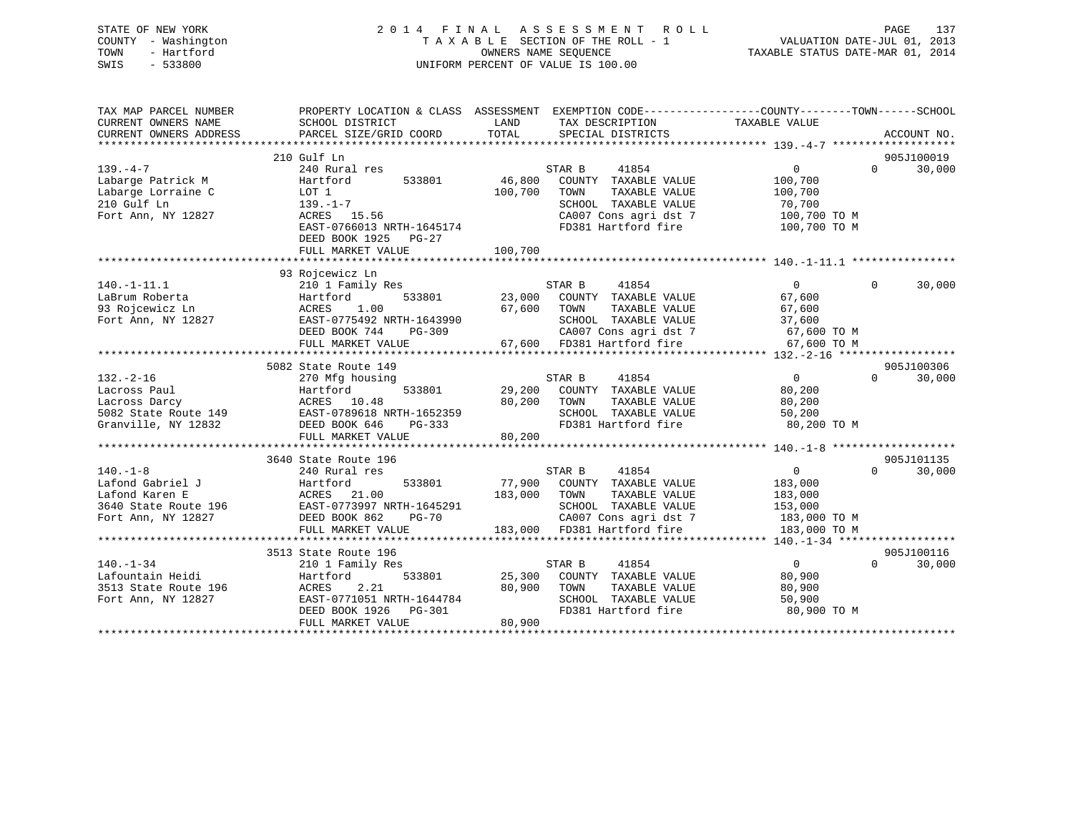# STATE OF NEW YORK 2 0 1 4 F I N A L A S S E S S M E N T R O L L PAGE 137 COUNTY - Washington T A X A B L E SECTION OF THE ROLL - 1 VALUATION DATE-JUL 01, 2013 TOWN - Hartford **TAXABLE STATUS DATE-MAR 01, 2014** OWNERS NAME SEQUENCE TAXABLE STATUS DATE-MAR 01, 2014 SWIS - 533800 UNIFORM PERCENT OF VALUE IS 100.00

| TAX MAP PARCEL NUMBER  |                                                |                                                                             | PROPERTY LOCATION & CLASS ASSESSMENT EXEMPTION CODE----------------COUNTY-------TOWN------SCHOOL |
|------------------------|------------------------------------------------|-----------------------------------------------------------------------------|--------------------------------------------------------------------------------------------------|
| CURRENT OWNERS NAME    | SCHOOL DISTRICT                                | LAND<br>TAX DESCRIPTION                                                     | TAXABLE VALUE                                                                                    |
| CURRENT OWNERS ADDRESS | PARCEL SIZE/GRID COORD                         | TOTAL<br>SPECIAL DISTRICTS                                                  | ACCOUNT NO.                                                                                      |
|                        |                                                |                                                                             |                                                                                                  |
|                        | 210 Gulf Ln                                    |                                                                             | 905J100019                                                                                       |
| $139. -4 -7$           | 240 Rural res                                  | 41854<br>STAR B                                                             | $\Omega$<br>30,000<br>$0 \qquad \qquad$                                                          |
| Labarge Patrick M      | 533801<br>Hartford                             | 46,800<br>COUNTY TAXABLE VALUE                                              | 100,700                                                                                          |
| Labarge Lorraine C     | LOT 1                                          | 100,700<br>TOWN<br>TAXABLE VALUE                                            | 100,700                                                                                          |
| 210 Gulf Ln            | $139. - 1 - 7$                                 | SCHOOL TAXABLE VALUE                                                        | 70,700                                                                                           |
| Fort Ann, NY 12827     | ACRES 15.56                                    | CA007 Cons agri dst 7                                                       | 100,700 TO M                                                                                     |
|                        | EAST-0766013 NRTH-1645174                      | FD381 Hartford fire                                                         | 100,700 TO M                                                                                     |
|                        | DEED BOOK 1925 PG-27                           |                                                                             |                                                                                                  |
|                        | FULL MARKET VALUE                              | 100,700                                                                     |                                                                                                  |
|                        |                                                |                                                                             |                                                                                                  |
|                        | 93 Rojcewicz Ln                                |                                                                             |                                                                                                  |
| $140. - 1 - 11.1$      | 210 1 Family Res                               | STAR B<br>41854                                                             | $\Omega$<br>30,000<br>$\mathbf{0}$                                                               |
| LaBrum Roberta         | 533801<br>Hartford                             | 23,000<br>COUNTY TAXABLE VALUE                                              | 67,600                                                                                           |
| 93 Rojcewicz Ln        | ACRES<br>1.00                                  | 67,600<br>TOWN<br>TAXABLE VALUE                                             | 67,600                                                                                           |
| Fort Ann, NY 12827     | EAST-0775492 NRTH-1643990                      | SCHOOL TAXABLE VALUE                                                        | 37,600                                                                                           |
|                        | DEED BOOK 744<br>PG-309                        | CA007 Cons agri dst 7 67,600 TO M<br>67,600 FD381 Hartford fire 67,600 TO M |                                                                                                  |
|                        | FULL MARKET VALUE                              |                                                                             |                                                                                                  |
|                        | 5082 State Route 149                           |                                                                             | 905J100306                                                                                       |
| $132. - 2 - 16$        |                                                | 41854                                                                       | $\overline{0}$<br>$\Omega$<br>30,000                                                             |
| Lacross Paul           | 270 Mfg housing<br>533801<br>Hartford          | STAR B<br>29,200<br>COUNTY TAXABLE VALUE                                    | 80,200                                                                                           |
| Lacross Darcy          | ACRES 10.48                                    | 80,200<br>TOWN<br>TAXABLE VALUE                                             | 80,200                                                                                           |
|                        | 5082 State Route 149 EAST-0789618 NRTH-1652359 | SCHOOL TAXABLE VALUE                                                        | 50,200                                                                                           |
| Granville, NY 12832    | DEED BOOK 646<br>PG-333                        | FD381 Hartford fire                                                         | 80,200 TO M                                                                                      |
|                        | FULL MARKET VALUE                              | 80,200                                                                      |                                                                                                  |
|                        |                                                |                                                                             |                                                                                                  |
|                        | 3640 State Route 196                           |                                                                             | 905J101135                                                                                       |
| $140. - 1 - 8$         | 240 Rural res                                  | STAR B<br>41854                                                             | $\Omega$<br>$\overline{0}$<br>30,000                                                             |
| Lafond Gabriel J       | 533801<br>Hartford                             | 77,900<br>COUNTY TAXABLE VALUE                                              | 183,000                                                                                          |
| Lafond Karen E         | ACRES 21.00                                    | 183,000<br>TOWN<br>TAXABLE VALUE                                            | 183,000                                                                                          |
| 3640 State Route 196   | EAST-0773997 NRTH-1645291                      | SCHOOL TAXABLE VALUE                                                        | 153,000                                                                                          |
| Fort Ann, NY 12827     | DEED BOOK 862<br>$PG-70$                       | CA007 Cons agri dst 7                                                       | 183,000 TO M                                                                                     |
|                        | FULL MARKET VALUE                              | 183,000 FD381 Hartford fire                                                 | 183,000 TO M                                                                                     |
|                        |                                                |                                                                             |                                                                                                  |
|                        | 3513 State Route 196                           |                                                                             | 905J100116                                                                                       |
| $140. - 1 - 34$        | 210 1 Family Res                               | 41854<br>STAR B                                                             | $\overline{0}$<br>$\Omega$<br>30,000                                                             |
| Lafountain Heidi       | Hartford                                       | 533801 25,300<br>COUNTY TAXABLE VALUE                                       | 80,900                                                                                           |
| 3513 State Route 196   | 2.21<br>ACRES                                  | 80,900<br>TOWN<br>TAXABLE VALUE                                             | 80,900                                                                                           |
| Fort Ann, NY 12827     | EAST-0771051 NRTH-1644784                      | SCHOOL TAXABLE VALUE                                                        | 50,900                                                                                           |
|                        | DEED BOOK 1926<br>PG-301                       | FD381 Hartford fire                                                         | 80,900 TO M                                                                                      |
|                        | FULL MARKET VALUE                              | 80,900                                                                      |                                                                                                  |
|                        |                                                |                                                                             |                                                                                                  |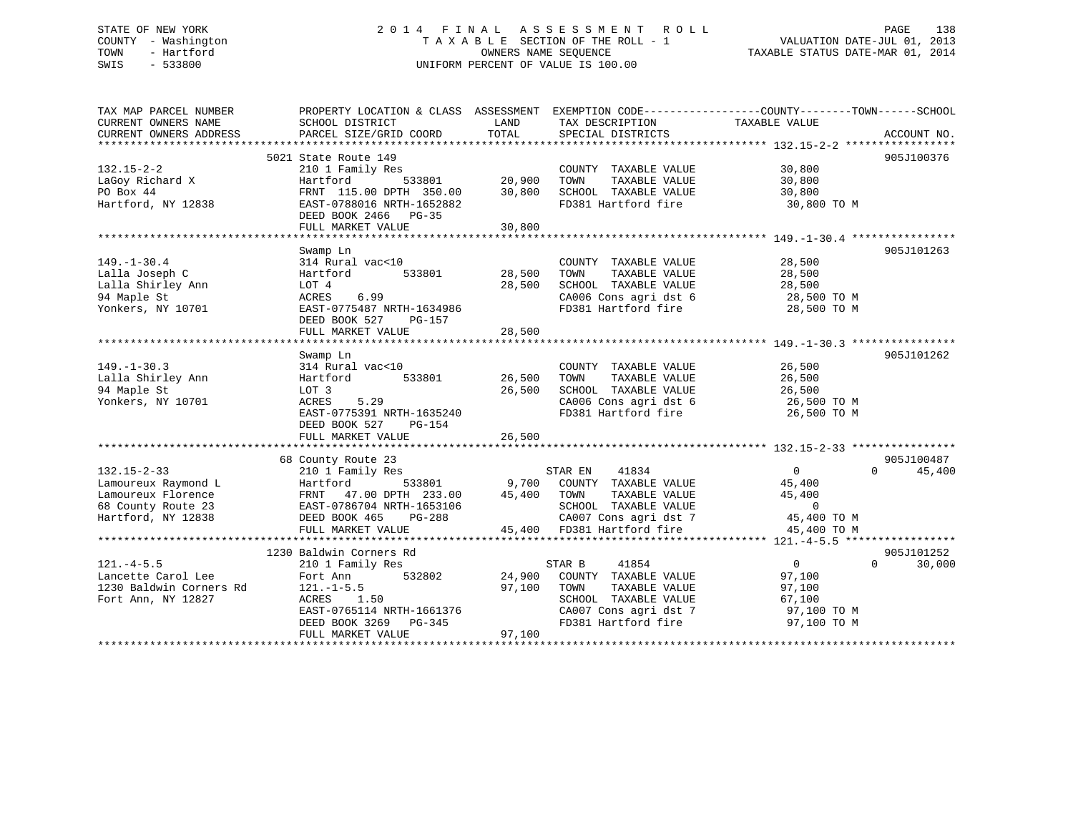# STATE OF NEW YORK 2 0 1 4 F I N A L A S S E S S M E N T R O L L PAGE 138 COUNTY - Washington T A X A B L E SECTION OF THE ROLL - 1 VALUATION DATE-JUL 01, 2013 TOWN - Hartford **TAXABLE STATUS DATE-MAR 01, 2014** OWNERS NAME SEQUENCE TAXABLE STATUS DATE-MAR 01, 2014 SWIS - 533800 UNIFORM PERCENT OF VALUE IS 100.00

| TAX MAP PARCEL NUMBER   |                                                |               |                                   | PROPERTY LOCATION & CLASS ASSESSMENT EXEMPTION CODE----------------COUNTY-------TOWN------SCHOOL |             |
|-------------------------|------------------------------------------------|---------------|-----------------------------------|--------------------------------------------------------------------------------------------------|-------------|
| CURRENT OWNERS NAME     | SCHOOL DISTRICT                                | LAND          | TAX DESCRIPTION                   | TAXABLE VALUE                                                                                    |             |
| CURRENT OWNERS ADDRESS  | PARCEL SIZE/GRID COORD                         | TOTAL         | SPECIAL DISTRICTS                 |                                                                                                  | ACCOUNT NO. |
|                         |                                                |               |                                   |                                                                                                  |             |
|                         | 5021 State Route 149                           |               |                                   |                                                                                                  | 905J100376  |
| $132.15 - 2 - 2$        | 210 1 Family Res                               |               | COUNTY TAXABLE VALUE              | 30,800                                                                                           |             |
| LaGoy Richard X         | Hartford                                       | 533801 20,900 | TAXABLE VALUE<br>TOWN             | 30,800                                                                                           |             |
| PO Box 44               | FRNT 115.00 DPTH 350.00 30,800                 |               | SCHOOL TAXABLE VALUE              | 30,800                                                                                           |             |
| Hartford, NY 12838      | EAST-0788016 NRTH-1652882                      |               | FD381 Hartford fire               | 30,800 TO M                                                                                      |             |
|                         | DEED BOOK 2466 PG-35                           |               |                                   |                                                                                                  |             |
|                         | FULL MARKET VALUE                              | 30,800        |                                   |                                                                                                  |             |
|                         |                                                |               |                                   |                                                                                                  |             |
|                         | Swamp Ln                                       |               |                                   |                                                                                                  | 905J101263  |
| $149. - 1 - 30.4$       | 314 Rural vac<10                               |               | COUNTY TAXABLE VALUE              | 28,500                                                                                           |             |
| Lalla Joseph C          | 533801<br>Hartford                             | 28,500        | TAXABLE VALUE<br>TOWN             | 28,500                                                                                           |             |
| Lalla Shirley Ann       | LOT 4                                          | 28,500        | SCHOOL TAXABLE VALUE              | 28,500                                                                                           |             |
| 94 Maple St             | ACRES 6.99                                     |               | CA006 Cons agri dst 6             | 28,500 TO M                                                                                      |             |
| Yonkers, NY 10701       | EAST-0775487 NRTH-1634986                      |               | FD381 Hartford fire               | 28,500 TO M                                                                                      |             |
|                         | DEED BOOK 527<br>PG-157                        |               |                                   |                                                                                                  |             |
|                         | FULL MARKET VALUE                              | 28,500        |                                   |                                                                                                  |             |
|                         |                                                |               |                                   |                                                                                                  |             |
|                         | Swamp Ln                                       |               |                                   |                                                                                                  | 905J101262  |
| $149. - 1 - 30.3$       | 314 Rural vac<10                               |               | COUNTY TAXABLE VALUE              | 26,500                                                                                           |             |
| Lalla Shirley Ann       | 533801<br>Hartford                             | 26,500        | TOWN<br>TAXABLE VALUE             | 26,500                                                                                           |             |
| 94 Maple St             | LOT 3                                          | 26,500        | SCHOOL TAXABLE VALUE              |                                                                                                  |             |
| Yonkers, NY 10701       | 5.29<br>ACRES                                  |               | CA006 Cons agri dst 6             | 26,500<br>26,500 TO M<br>---- TO TO M                                                            |             |
|                         | EAST-0775391 NRTH-1635240                      |               | FD381 Hartford fire               | 26,500 TO M                                                                                      |             |
|                         | DEED BOOK 527<br>PG-154                        |               |                                   |                                                                                                  |             |
|                         | FULL MARKET VALUE                              | 26,500        |                                   |                                                                                                  |             |
|                         |                                                |               |                                   |                                                                                                  |             |
|                         | 68 County Route 23                             |               |                                   | $\Omega$                                                                                         | 905J100487  |
| $132.15 - 2 - 33$       | 210 1 Family Res                               |               | 41834<br>STAR EN                  | $0 \qquad \qquad$                                                                                | 45,400      |
| Lamoureux Raymond L     | Hartford<br>FRNT 47.00 DPTH 233.00 45,400 TOWN |               | 533801 9,700 COUNTY TAXABLE VALUE | 45,400                                                                                           |             |
| Lamoureux Florence      |                                                |               | TAXABLE VALUE                     | 45,400                                                                                           |             |
| 68 County Route 23      | EAST-0786704 NRTH-1653106                      |               | SCHOOL TAXABLE VALUE              | $\Omega$                                                                                         |             |
| Hartford, NY 12838      | DEED BOOK 465<br>PG-288                        |               | CA007 Cons agri dst 7             | 45,400 TO M                                                                                      |             |
|                         | FULL MARKET VALUE                              |               | 45,400 FD381 Hartford fire        | 45,400 TO M                                                                                      |             |
|                         |                                                |               |                                   |                                                                                                  |             |
|                         | 1230 Baldwin Corners Rd                        |               |                                   |                                                                                                  | 905J101252  |
| $121. -4 - 5.5$         | 210 1 Family Res                               |               | 41854<br>STAR B                   | $\overline{0}$<br>$\Omega$                                                                       | 30,000      |
| Lancette Carol Lee      | 532802<br>Fort Ann                             | 24,900        | COUNTY TAXABLE VALUE              | 97,100                                                                                           |             |
| 1230 Baldwin Corners Rd | $121. - 1 - 5.5$                               | 97,100        | TOWN<br>TAXABLE VALUE             | 97,100                                                                                           |             |
| Fort Ann, NY 12827      | ACRES 1.50                                     |               | SCHOOL TAXABLE VALUE              | 67,100                                                                                           |             |
|                         | EAST-0765114 NRTH-1661376                      |               | CA007 Cons agri dst 7             | 97,100 TO M                                                                                      |             |
|                         | DEED BOOK 3269 PG-345                          |               | FD381 Hartford fire               | 97,100 TO M                                                                                      |             |
|                         | FULL MARKET VALUE                              | 97,100        |                                   |                                                                                                  |             |
|                         |                                                |               |                                   |                                                                                                  |             |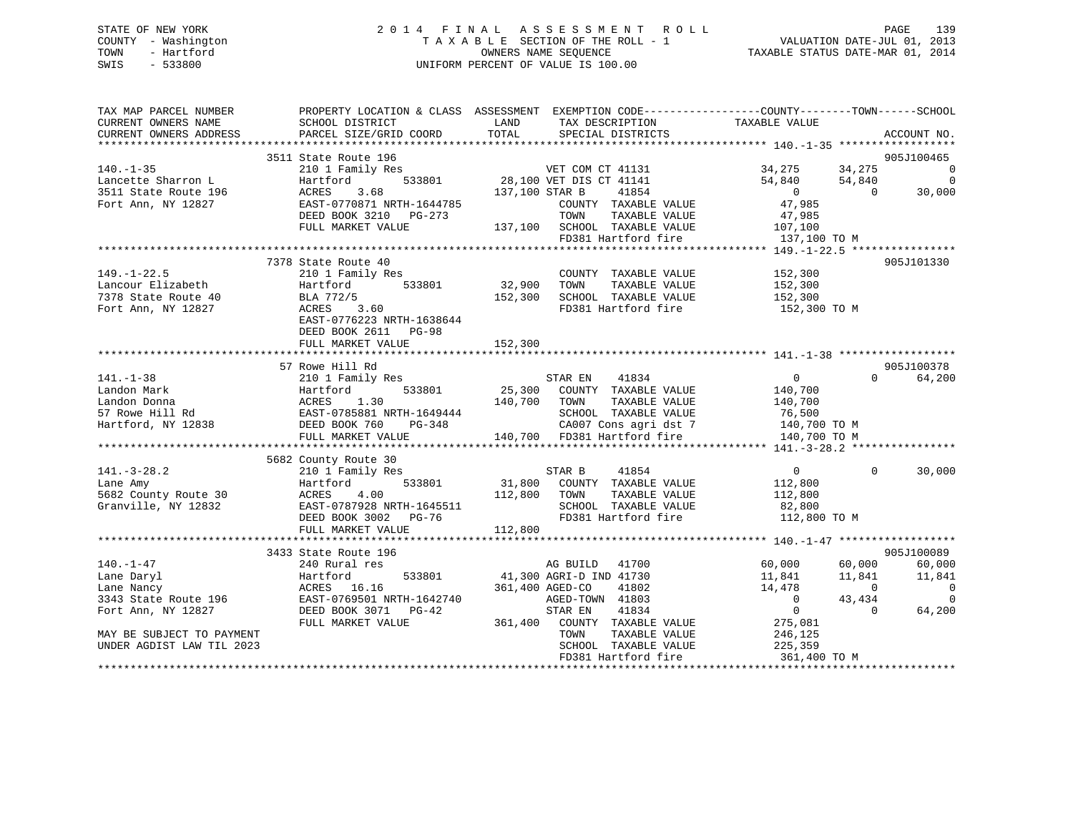# STATE OF NEW YORK 2 0 1 4 F I N A L A S S E S S M E N T R O L L PAGE 139 COUNTY - Washington T A X A B L E SECTION OF THE ROLL - 1 VALUATION DATE-JUL 01, 2013 TOWN - Hartford **TAXABLE STATUS DATE-MAR 01, 2014** OWNERS NAME SEQUENCE TAXABLE STATUS DATE-MAR 01, 2014 SWIS - 533800 UNIFORM PERCENT OF VALUE IS 100.00

| TAX MAP PARCEL NUMBER     | PROPERTY LOCATION & CLASS ASSESSMENT EXEMPTION CODE----------------COUNTY-------TOWN------SCHOOL                                                    |                     |                                              |                        |                            |
|---------------------------|-----------------------------------------------------------------------------------------------------------------------------------------------------|---------------------|----------------------------------------------|------------------------|----------------------------|
| CURRENT OWNERS NAME       | SCHOOL DISTRICT                                                                                                                                     | LAND                | TAX DESCRIPTION                              | TAXABLE VALUE          |                            |
| CURRENT OWNERS ADDRESS    | PARCEL SIZE/GRID COORD                                                                                                                              | TOTAL               | SPECIAL DISTRICTS                            |                        | ACCOUNT NO.                |
|                           |                                                                                                                                                     |                     |                                              |                        |                            |
|                           | 3511 State Route 196                                                                                                                                |                     |                                              |                        | 905J100465                 |
| $140. - 1 - 35$           |                                                                                                                                                     |                     |                                              |                        |                            |
|                           |                                                                                                                                                     |                     |                                              |                        |                            |
|                           |                                                                                                                                                     | 137,100 STAR B      |                                              |                        | 30,000                     |
|                           | EAST-0770871 NRTH-1644785                                                                                                                           |                     | COUNTY TAXABLE VALUE                         | 47,985                 |                            |
|                           | DEED BOOK 3210 PG-273                                                                                                                               |                     | TOWN<br>TAXABLE VALUE                        | 47,985                 |                            |
|                           | FULL MARKET VALUE                                                                                                                                   |                     | 137,100 SCHOOL TAXABLE VALUE                 | 107,100                |                            |
|                           |                                                                                                                                                     |                     | FD381 Hartford fire                          | 137,100 TO M           |                            |
|                           |                                                                                                                                                     |                     |                                              |                        |                            |
|                           | 7378 State Route 40                                                                                                                                 |                     | COUNTY TAXABLE VALUE                         | 152,300                | 905J101330                 |
|                           |                                                                                                                                                     |                     | TOWN<br>TAXABLE VALUE                        | 152,300                |                            |
|                           | 149.-1-22.5<br>Lancour Elizabeth (210 1 Family Res)<br>7378 State Route 40 (BLA 772/5) (152,300 (152,300 Fort Ann, NY 12827 (ACRES) 3.60            |                     | SCHOOL TAXABLE VALUE                         | 152,300                |                            |
|                           |                                                                                                                                                     |                     | FD381 Hartford fire                          | 152,300 TO M           |                            |
|                           | EAST-0776223 NRTH-1638644                                                                                                                           |                     |                                              |                        |                            |
|                           | DEED BOOK 2611 PG-98                                                                                                                                |                     |                                              |                        |                            |
|                           | FULL MARKET VALUE                                                                                                                                   | 152,300             |                                              |                        |                            |
|                           |                                                                                                                                                     |                     |                                              |                        |                            |
|                           | 57 Rowe Hill Rd                                                                                                                                     |                     |                                              |                        | 905J100378                 |
| $141. - 1 - 38$           | 210 1 Family Res                                                                                                                                    |                     |                                              | $\overline{0}$         | $\Omega$<br>64,200         |
|                           |                                                                                                                                                     |                     | STAR EN 41834<br>25,300 COUNTY TAXABLE VALUE | 140,700                |                            |
|                           | Landon Mark Martford 533801<br>Landon Donna Martford 533801<br>57 Rowe Hill Rd EAST-0785881 NRTH-1649444<br>Hartford, NY 12838 DEED BOOK 760 PG-348 | 140,700 TOWN        | TAXABLE VALUE                                | 140,700                |                            |
|                           |                                                                                                                                                     |                     | SCHOOL TAXABLE VALUE                         | 76,500                 |                            |
|                           |                                                                                                                                                     | H-1649444<br>PG-348 | CA007 Cons agri dst 7 140,700 TO M           |                        |                            |
|                           | FULL MARKET VALUE                                                                                                                                   |                     | 140,700 FD381 Hartford fire                  | 140,700 TO M           |                            |
|                           |                                                                                                                                                     |                     |                                              |                        |                            |
|                           | 5682 County Route 30                                                                                                                                |                     |                                              |                        |                            |
| $141. - 3 - 28.2$         | 210 1 Family Res                                                                                                                                    |                     | STAR B<br>41854                              | $\overline{0}$         | 30,000<br>$\Omega$         |
| Lane Amy                  | 533801<br>Hartford                                                                                                                                  |                     | 31,800 COUNTY TAXABLE VALUE                  | 112,800                |                            |
| 5682 County Route 30      | Hartfor<br>ACRES<br>4.00                                                                                                                            | 112,800             | TOWN<br>TAXABLE VALUE                        | 112,800                |                            |
| Granville, NY 12832       | EAST-0787928 NRTH-1645511                                                                                                                           |                     | SCHOOL TAXABLE VALUE                         |                        |                            |
|                           | DEED BOOK 3002 PG-76                                                                                                                                |                     | FD381 Hartford fire                          | 82,800<br>112,800 TO M |                            |
|                           | FULL MARKET VALUE                                                                                                                                   | 112,800             |                                              |                        |                            |
|                           |                                                                                                                                                     |                     |                                              |                        |                            |
|                           | 3433 State Route 196                                                                                                                                |                     |                                              |                        | 905J100089                 |
| $140. - 1 - 47$           | 240 Rural res                                                                                                                                       |                     | AG BUILD 41700                               | 60,000                 | 60,000<br>60,000           |
| Lane Daryl                | 533801<br>Hartford                                                                                                                                  |                     | 41,300 AGRI-D IND 41730                      | 11,841                 | 11,841<br>11,841           |
| Lane Nancy                | ACRES 16.16                                                                                                                                         |                     | 361,400 AGED-CO<br>41802                     | 14,478                 | $\sim$ 0<br>$\overline{0}$ |
|                           | 3343 State Route 196 EAST-0769501 NRTH-1642740                                                                                                      |                     | AGED-TOWN 41803                              | $\overline{0}$         | 43,434<br>$\overline{0}$   |
| Fort Ann, NY 12827        | DEED BOOK 3071 PG-42                                                                                                                                |                     | 41834<br>STAR EN                             | $\overline{0}$         | $\bigcap$<br>64,200        |
|                           | FULL MARKET VALUE                                                                                                                                   |                     | 361,400 COUNTY TAXABLE VALUE 275,081         |                        |                            |
| MAY BE SUBJECT TO PAYMENT |                                                                                                                                                     |                     | TAXABLE VALUE<br>TOWN                        | 246,125                |                            |
| UNDER AGDIST LAW TIL 2023 |                                                                                                                                                     |                     | SCHOOL TAXABLE VALUE                         | 240,⊥25<br>225,359     |                            |
|                           |                                                                                                                                                     |                     | FD381 Hartford fire                          | 361,400 TO M           |                            |
|                           |                                                                                                                                                     |                     |                                              |                        |                            |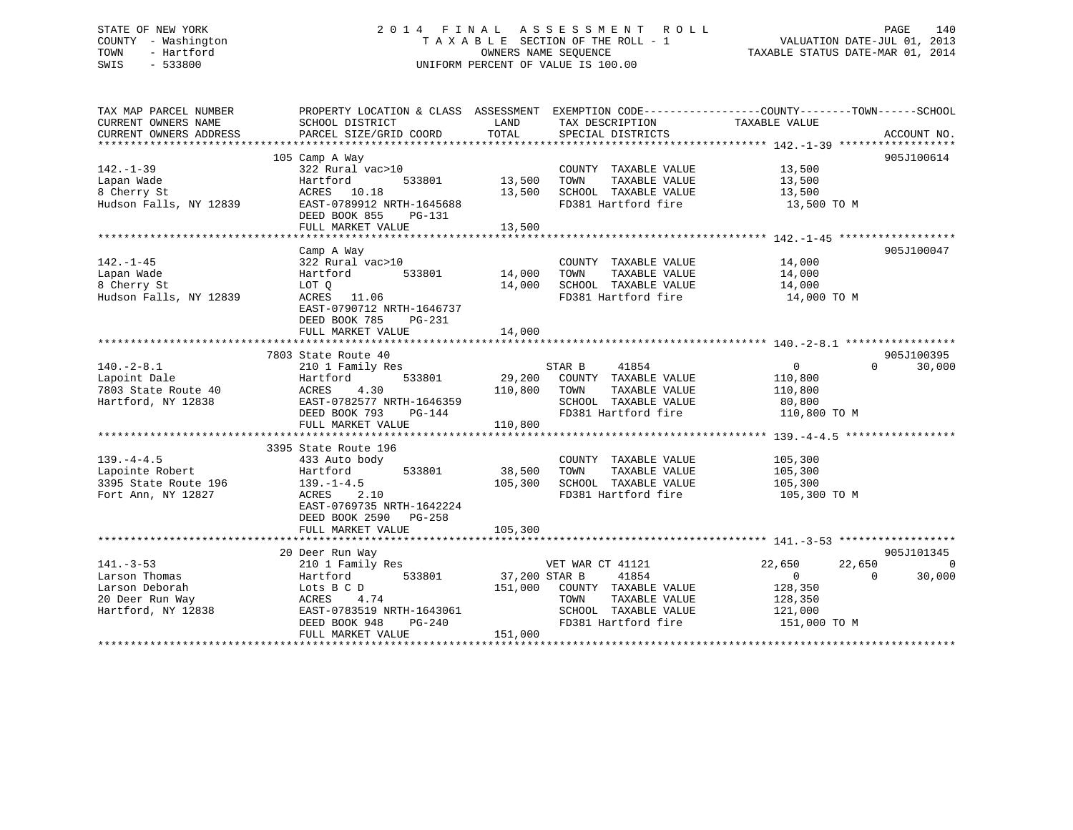# STATE OF NEW YORK 2 0 1 4 F I N A L A S S E S S M E N T R O L L PAGE 140 COUNTY - Washington T A X A B L E SECTION OF THE ROLL - 1 VALUATION DATE-JUL 01, 2013 TOWN - Hartford **TAXABLE STATUS DATE-MAR 01, 2014** OWNERS NAME SEQUENCE TAXABLE STATUS DATE-MAR 01, 2014 SWIS - 533800 UNIFORM PERCENT OF VALUE IS 100.00

| TAX MAP PARCEL NUMBER  |                                    | PROPERTY LOCATION & CLASS ASSESSMENT EXEMPTION CODE---------------COUNTY-------TOWN-----SCHOOL |                                      |
|------------------------|------------------------------------|------------------------------------------------------------------------------------------------|--------------------------------------|
| CURRENT OWNERS NAME    | SCHOOL DISTRICT                    | LAND<br>TAX DESCRIPTION                                                                        | TAXABLE VALUE                        |
| CURRENT OWNERS ADDRESS | PARCEL SIZE/GRID COORD             | TOTAL<br>SPECIAL DISTRICTS                                                                     | ACCOUNT NO.                          |
|                        |                                    |                                                                                                | 905J100614                           |
| $142. - 1 - 39$        | 105 Camp A Way<br>322 Rural vac>10 | COUNTY TAXABLE VALUE                                                                           | 13,500                               |
| Lapan Wade             | Hartford<br>533801                 | 13,500<br>TAXABLE VALUE<br>TOWN                                                                | 13,500                               |
| 8 Cherry St            | ACRES 10.18                        | SCHOOL TAXABLE VALUE<br>13,500                                                                 | 13,500                               |
| Hudson Falls, NY 12839 | EAST-0789912 NRTH-1645688          | FD381 Hartford fire                                                                            | 13,500 TO M                          |
|                        | DEED BOOK 855<br>PG-131            |                                                                                                |                                      |
|                        | FULL MARKET VALUE                  | 13,500                                                                                         |                                      |
|                        |                                    |                                                                                                |                                      |
|                        | Camp A Way                         |                                                                                                | 905J100047                           |
| $142. - 1 - 45$        | 322 Rural vac>10                   | COUNTY TAXABLE VALUE                                                                           | 14,000                               |
| Lapan Wade             | 533801<br>Hartford                 | 14,000<br>TAXABLE VALUE<br>TOWN                                                                | 14,000                               |
| 8 Cherry St            | LOT Q                              | 14,000<br>SCHOOL TAXABLE VALUE                                                                 | 14,000                               |
| Hudson Falls, NY 12839 | ACRES 11.06                        | FD381 Hartford fire                                                                            | 14,000 TO M                          |
|                        | EAST-0790712 NRTH-1646737          |                                                                                                |                                      |
|                        | DEED BOOK 785<br>PG-231            |                                                                                                |                                      |
|                        | FULL MARKET VALUE                  | 14,000                                                                                         |                                      |
|                        |                                    |                                                                                                |                                      |
|                        | 7803 State Route 40                |                                                                                                | 905J100395                           |
| $140. -2 - 8.1$        | 210 1 Family Res                   | STAR B<br>41854                                                                                | $\overline{0}$<br>$\Omega$<br>30,000 |
| Lapoint Dale           | 533801<br>Hartford                 | 29,200 COUNTY TAXABLE VALUE                                                                    | 110,800                              |
| 7803 State Route 40    | 4.30<br>ACRES                      | TAXABLE VALUE<br>110,800<br>TOWN                                                               | 110,800                              |
| Hartford, NY 12838     | EAST-0782577 NRTH-1646359          | SCHOOL TAXABLE VALUE                                                                           | 80,800                               |
|                        | DEED BOOK 793<br>PG-144            | FD381 Hartford fire                                                                            | 110,800 TO M                         |
|                        | FULL MARKET VALUE                  | 110,800                                                                                        |                                      |
|                        |                                    |                                                                                                |                                      |
|                        | 3395 State Route 196               |                                                                                                |                                      |
| $139. -4 - 4.5$        | 433 Auto body                      | COUNTY TAXABLE VALUE                                                                           | 105,300                              |
| Lapointe Robert        | 533801<br>Hartford                 | 38,500<br>TAXABLE VALUE<br>TOWN                                                                | 105,300                              |
| 3395 State Route 196   | $139. - 1 - 4.5$                   | 105,300<br>SCHOOL TAXABLE VALUE                                                                | 105,300                              |
| Fort Ann, NY 12827     | ACRES<br>2.10                      | FD381 Hartford fire                                                                            | 105,300 TO M                         |
|                        | EAST-0769735 NRTH-1642224          |                                                                                                |                                      |
|                        | DEED BOOK 2590 PG-258              |                                                                                                |                                      |
|                        | FULL MARKET VALUE                  | 105,300                                                                                        |                                      |
|                        |                                    |                                                                                                |                                      |
|                        | 20 Deer Run Way                    |                                                                                                | 905J101345                           |
| $141. - 3 - 53$        | 210 1 Family Res                   | VET WAR CT 41121                                                                               | 22,650<br>22,650<br>$\Omega$         |
| Larson Thomas          | Hartford<br>533801                 | 37,200 STAR B<br>41854                                                                         | $\overline{0}$<br>$\Omega$<br>30,000 |
| Larson Deborah         | Lots B C D                         | 151,000<br>COUNTY TAXABLE VALUE                                                                | 128,350                              |
| 20 Deer Run Way        | ACRES 4.74                         | TOWN<br>TAXABLE VALUE                                                                          | 128,350                              |
| Hartford, NY 12838     | EAST-0783519 NRTH-1643061          | SCHOOL TAXABLE VALUE                                                                           | 121,000                              |
|                        | DEED BOOK 948<br>PG-240            | FD381 Hartford fire                                                                            | 151,000 TO M                         |
|                        | FULL MARKET VALUE                  | 151,000                                                                                        |                                      |
|                        |                                    |                                                                                                |                                      |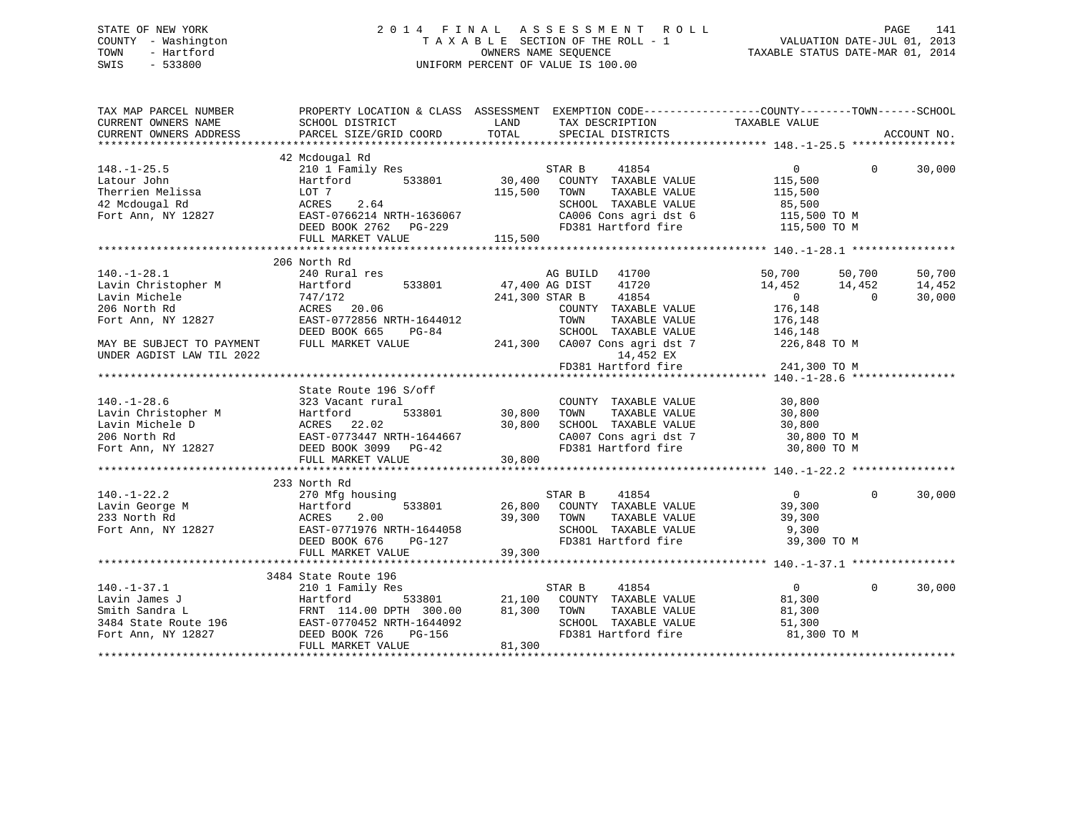# STATE OF NEW YORK 2 0 1 4 F I N A L A S S E S S M E N T R O L L PAGE 141 COUNTY - Washington T A X A B L E SECTION OF THE ROLL - 1 VALUATION DATE-JUL 01, 2013 TOWN - Hartford OWNERS NAME SEQUENCE TAXABLE STATUS DATE-MAR 01, 2014 SWIS - 533800 UNIFORM PERCENT OF VALUE IS 100.00

| TAX MAP PARCEL NUMBER<br>CURRENT OWNERS NAME | PROPERTY LOCATION & CLASS ASSESSMENT EXEMPTION CODE---------------COUNTY-------TOWN-----SCHOOL<br>SCHOOL DISTRICT                                                                                                                                                                                                                                                                                                            | LAND   |                                                                                                                                             |                                                                      |          |             |
|----------------------------------------------|------------------------------------------------------------------------------------------------------------------------------------------------------------------------------------------------------------------------------------------------------------------------------------------------------------------------------------------------------------------------------------------------------------------------------|--------|---------------------------------------------------------------------------------------------------------------------------------------------|----------------------------------------------------------------------|----------|-------------|
| CURRENT OWNERS ADDRESS                       | PARCEL SIZE/GRID COORD                                                                                                                                                                                                                                                                                                                                                                                                       | TOTAL  | TAX DESCRIPTION TAXABLE VALUE SPECIAL DISTRICTS                                                                                             |                                                                      |          | ACCOUNT NO. |
|                                              |                                                                                                                                                                                                                                                                                                                                                                                                                              |        |                                                                                                                                             |                                                                      |          |             |
|                                              | 42 Mcdougal Rd                                                                                                                                                                                                                                                                                                                                                                                                               |        |                                                                                                                                             |                                                                      |          |             |
|                                              | 210 1 Family Res<br>Hartford 533801 30,400                                                                                                                                                                                                                                                                                                                                                                                   |        | STAR B<br>41854                                                                                                                             | $\overline{0}$                                                       | $\Omega$ | 30,000      |
|                                              |                                                                                                                                                                                                                                                                                                                                                                                                                              |        | COUNTY TAXABLE VALUE                                                                                                                        | 115,500                                                              |          |             |
|                                              |                                                                                                                                                                                                                                                                                                                                                                                                                              |        | TAXABLE VALUE<br>TOWN                                                                                                                       | 115,500                                                              |          |             |
|                                              |                                                                                                                                                                                                                                                                                                                                                                                                                              |        |                                                                                                                                             |                                                                      |          |             |
|                                              |                                                                                                                                                                                                                                                                                                                                                                                                                              |        |                                                                                                                                             |                                                                      |          |             |
|                                              |                                                                                                                                                                                                                                                                                                                                                                                                                              |        | TOWN TAAADDE VALUE<br>SCHOOL TAXABLE VALUE<br>CA006 Cons agridst 6 115,500 TO M<br>Allo The Canada Tire 115,500 TO M<br>FD381 Hartford fire |                                                                      |          |             |
|                                              | $\begin{tabular}{lllllllllll} 148.-1-25.5 & - & & & \\ \text{Latour John} & Hartford & 533801 & & & \\ \text{Therrien Melissa} & LOT & 7 & & & \\ 42\text{ Modough Rd} & \text{ACRES} & 2.64 & & \\ \text{Fort Ann, NY 12827} & \text{EAST-0766214 NATH-1636067} & & & \\ \text{DEED BOOK 2762} & PG-229 & & & \\ \text{MDF} & \text{MDF} & \text{MDE} & \text{MDF} & \text{MDF} & \text{MDF} & \text{MDF} & \text{MDF} & \$ |        |                                                                                                                                             |                                                                      |          |             |
|                                              |                                                                                                                                                                                                                                                                                                                                                                                                                              |        |                                                                                                                                             |                                                                      |          |             |
|                                              | 206 North Rd                                                                                                                                                                                                                                                                                                                                                                                                                 |        |                                                                                                                                             |                                                                      |          |             |
|                                              |                                                                                                                                                                                                                                                                                                                                                                                                                              |        | AG BUILD 41700                                                                                                                              |                                                                      |          | 50,700      |
|                                              | $47,400$ AG DIST                                                                                                                                                                                                                                                                                                                                                                                                             |        | 41720                                                                                                                                       | 50,700 50,700<br>14,452 14,452                                       |          | 14,452      |
|                                              |                                                                                                                                                                                                                                                                                                                                                                                                                              |        | 241,300 STAR B<br>41854                                                                                                                     | $\overline{0}$                                                       | $\Omega$ | 30,000      |
|                                              | 140.-1-28.1<br>Lavin Christopher M<br>Lavin Michele 747/172<br>ACRES 20.06<br>Tom 0779856 NRTH-1644012                                                                                                                                                                                                                                                                                                                       |        | COUNTY TAXABLE VALUE                                                                                                                        | 176,148                                                              |          |             |
|                                              | EAST-0772856 NRTH-1644012                                                                                                                                                                                                                                                                                                                                                                                                    |        | TOWN<br>TAXABLE VALUE                                                                                                                       | 176,148                                                              |          |             |
|                                              | DEED BOOK 665<br>$PG-84$                                                                                                                                                                                                                                                                                                                                                                                                     |        |                                                                                                                                             |                                                                      |          |             |
| MAY BE SUBJECT TO PAYMENT                    | FULL MARKET VALUE                                                                                                                                                                                                                                                                                                                                                                                                            |        | 3-84 SCHOOL TAXABLE VALUE 146,148<br>241,300 CA007 Cons agri dst 7 226,848 TO M                                                             |                                                                      |          |             |
| UNDER AGDIST LAW TIL 2022                    |                                                                                                                                                                                                                                                                                                                                                                                                                              |        |                                                                                                                                             |                                                                      |          |             |
|                                              |                                                                                                                                                                                                                                                                                                                                                                                                                              |        | FD381 Hartford fire                                                                                                                         |                                                                      |          |             |
|                                              |                                                                                                                                                                                                                                                                                                                                                                                                                              |        |                                                                                                                                             | 14,452 EX<br>14,452 EX<br>14,152 EX<br>241,300 TO M<br>140 -1-28.6 * |          |             |
|                                              | State Route 196 S/off                                                                                                                                                                                                                                                                                                                                                                                                        |        |                                                                                                                                             |                                                                      |          |             |
| $140. - 1 - 28.6$                            | 323 Vacant rural                                                                                                                                                                                                                                                                                                                                                                                                             |        | COUNTY TAXABLE VALUE 30,800                                                                                                                 |                                                                      |          |             |
|                                              |                                                                                                                                                                                                                                                                                                                                                                                                                              |        | TAXABLE VALUE                                                                                                                               | 30,800                                                               |          |             |
|                                              |                                                                                                                                                                                                                                                                                                                                                                                                                              |        | SCHOOL TAXABLE VALUE 30,800                                                                                                                 |                                                                      |          |             |
|                                              |                                                                                                                                                                                                                                                                                                                                                                                                                              |        |                                                                                                                                             |                                                                      |          |             |
|                                              | Lavin Christopher M<br>Lavin Michele D<br>206 North Rd<br>Fort Ann, NY 12827<br>206 North Rd<br>EAST-0773447 NRTH-1644667<br>20.800<br>20.800<br>20.800<br>20.800<br>20.800<br>20.800<br>20.800<br>20.800<br>20.800<br>20.800<br>20.800<br>20.800<br>20.800<br>20.80                                                                                                                                                         |        | CA007 Cons agri dst 7 30,800 TO M<br>FD381 Hartford fire 30,800 TO M                                                                        |                                                                      |          |             |
|                                              |                                                                                                                                                                                                                                                                                                                                                                                                                              |        |                                                                                                                                             |                                                                      |          |             |
|                                              |                                                                                                                                                                                                                                                                                                                                                                                                                              |        |                                                                                                                                             |                                                                      |          |             |
|                                              | 233 North Rd                                                                                                                                                                                                                                                                                                                                                                                                                 |        |                                                                                                                                             |                                                                      |          |             |
| $140. - 1 - 22.2$                            | 270 Mfg housing                                                                                                                                                                                                                                                                                                                                                                                                              |        | STAR B<br>41854                                                                                                                             | $\overline{0}$                                                       | $\Omega$ | 30,000      |
|                                              |                                                                                                                                                                                                                                                                                                                                                                                                                              |        |                                                                                                                                             |                                                                      |          |             |
|                                              |                                                                                                                                                                                                                                                                                                                                                                                                                              |        |                                                                                                                                             |                                                                      |          |             |
|                                              |                                                                                                                                                                                                                                                                                                                                                                                                                              |        |                                                                                                                                             |                                                                      |          |             |
|                                              |                                                                                                                                                                                                                                                                                                                                                                                                                              |        |                                                                                                                                             |                                                                      |          |             |
|                                              |                                                                                                                                                                                                                                                                                                                                                                                                                              |        |                                                                                                                                             |                                                                      |          |             |
|                                              | $\begin{array}{cccccccc} 140.-1-22.2 & 210 & \text{mig hours} & 533801 & 26,800 & \text{COMITY} & \text{TAXABLE VALUE} & 39,300 \\ \text{LawN} & 6000 & 533801 & 26,800 & \text{COMITY} & \text{TAXABLE VALUE} & 39,300 \\ \text{Z33 North Red} & \text{ACRES} & 2.00 & 39,300 & \text{COMNY} & \text{TAXABLE VALUE} & 39,300 \\ \text{Fort Ann, NY 12827} & \text{EAST-0771976 NRTH-164405$                                 |        |                                                                                                                                             |                                                                      |          |             |
|                                              | 3484 State Route 196                                                                                                                                                                                                                                                                                                                                                                                                         |        |                                                                                                                                             |                                                                      |          |             |
| $140. - 1 - 37.1$                            | 210 1 Family Res                                                                                                                                                                                                                                                                                                                                                                                                             |        | STAR B<br>41854                                                                                                                             | $\overline{0}$                                                       | $\Omega$ | 30,000      |
|                                              |                                                                                                                                                                                                                                                                                                                                                                                                                              |        |                                                                                                                                             | 81,300                                                               |          |             |
|                                              |                                                                                                                                                                                                                                                                                                                                                                                                                              |        | 533801 21,100 COUNTY TAXABLE VALUE<br>0 DPTH 300.00 81,300 TOWN TAXABLE VALUE<br>TAXABLE VALUE                                              | 81,300                                                               |          |             |
|                                              |                                                                                                                                                                                                                                                                                                                                                                                                                              |        | SCHOOL TAXABLE VALUE                                                                                                                        | 51,300                                                               |          |             |
|                                              |                                                                                                                                                                                                                                                                                                                                                                                                                              |        | FD381 Hartford fire                                                                                                                         | 81,300 TO M                                                          |          |             |
|                                              | Lavin James J<br>Lavin James J<br>Smith Sandra L<br>3484 State Route 196<br>FRNT 114.00 DPTH 300.00<br>Fort Ann, NY 12827<br>DEED BOOK 726<br>FILI. MARKET VALUE<br>FULL MARKET VALUE                                                                                                                                                                                                                                        | 81,300 |                                                                                                                                             |                                                                      |          |             |
|                                              |                                                                                                                                                                                                                                                                                                                                                                                                                              |        |                                                                                                                                             |                                                                      |          |             |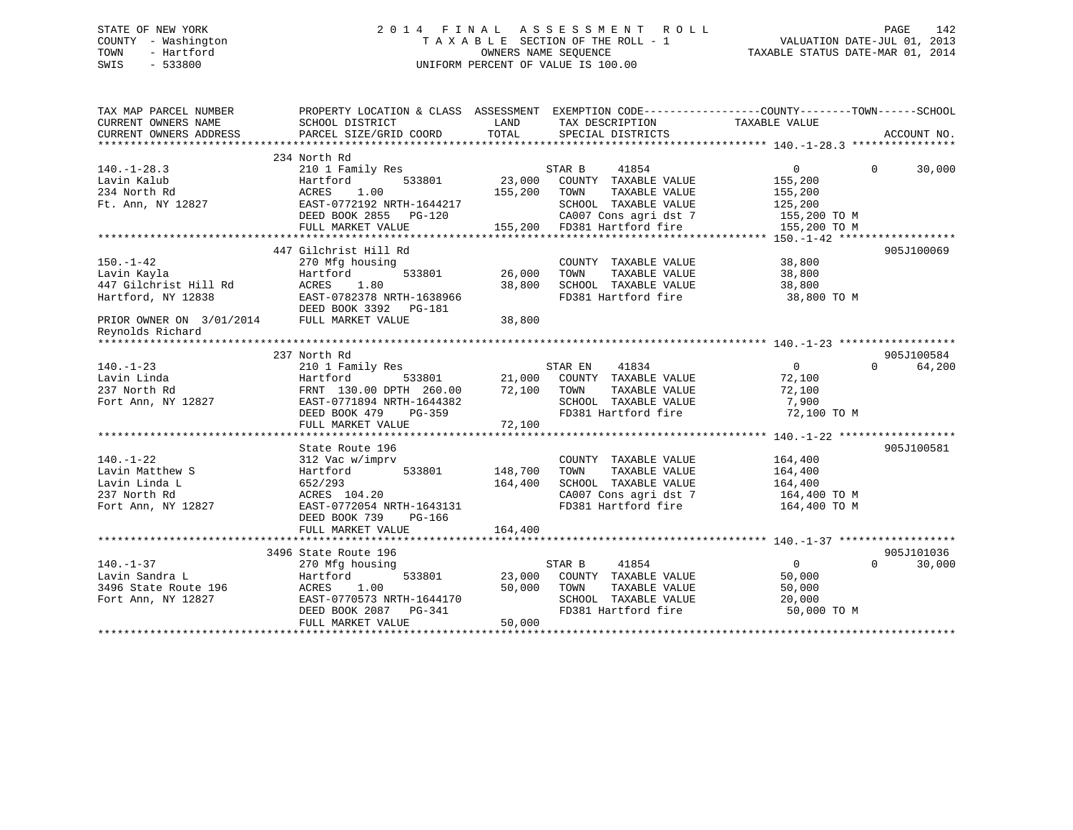# STATE OF NEW YORK 2 0 1 4 F I N A L A S S E S S M E N T R O L L PAGE 142 COUNTY - Washington T A X A B L E SECTION OF THE ROLL - 1 VALUATION DATE-JUL 01, 2013 TOWN - Hartford **TAXABLE STATUS DATE-MAR 01, 2014** OWNERS NAME SEQUENCE TAXABLE STATUS DATE-MAR 01, 2014 SWIS - 533800 UNIFORM PERCENT OF VALUE IS 100.00

| TAX MAP PARCEL NUMBER<br>CURRENT OWNERS NAME<br>CURRENT OWNERS ADDRESS | PROPERTY LOCATION & CLASS ASSESSMENT EXEMPTION CODE----------------COUNTY-------TOWN------SCHOOL<br>SCHOOL DISTRICT<br>PARCEL SIZE/GRID COORD | LAND<br>TOTAL | TAX DESCRIPTION<br>SPECIAL DISTRICTS                 | TAXABLE VALUE  | ACCOUNT NO.        |
|------------------------------------------------------------------------|-----------------------------------------------------------------------------------------------------------------------------------------------|---------------|------------------------------------------------------|----------------|--------------------|
|                                                                        |                                                                                                                                               |               |                                                      |                |                    |
| $140. - 1 - 28.3$                                                      | 234 North Rd<br>210 1 Family Res                                                                                                              |               | STAR B<br>41854                                      | $\Omega$       | $\Omega$<br>30,000 |
| Lavin Kalub                                                            | Hartford<br>533801                                                                                                                            | 23,000        | COUNTY TAXABLE VALUE                                 | 155,200        |                    |
| 234 North Rd                                                           | 1.00<br>ACRES                                                                                                                                 | 155,200       | TOWN<br>TAXABLE VALUE                                | 155,200        |                    |
|                                                                        | Ft. Ann, NY 12827 EAST-0772192 NRTH-1644217                                                                                                   |               | SCHOOL TAXABLE VALUE                                 | 125,200        |                    |
|                                                                        | DEED BOOK 2855 PG-120                                                                                                                         |               | CA007 Cons agri dst 7<br>155,200 FD381 Hartford fire | 155,200 TO M   |                    |
|                                                                        | FULL MARKET VALUE                                                                                                                             |               |                                                      | 155,200 TO M   |                    |
|                                                                        |                                                                                                                                               |               |                                                      |                |                    |
|                                                                        | 447 Gilchrist Hill Rd                                                                                                                         |               |                                                      |                | 905J100069         |
| $150. - 1 - 42$                                                        | 270 Mfg housing                                                                                                                               |               | COUNTY TAXABLE VALUE                                 | 38,800         |                    |
| Lavin Kayla                                                            | 533801<br>Hartford                                                                                                                            | 26,000        | TOWN<br>TAXABLE VALUE                                | 38,800         |                    |
| 447 Gilchrist Hill Rd                                                  | ACRES<br>1.80                                                                                                                                 | 38,800        | SCHOOL TAXABLE VALUE                                 | 38,800         |                    |
| Hartford, NY 12838                                                     | EAST-0782378 NRTH-1638966                                                                                                                     |               | FD381 Hartford fire                                  | 38,800 TO M    |                    |
|                                                                        | DEED BOOK 3392 PG-181                                                                                                                         |               |                                                      |                |                    |
| PRIOR OWNER ON 3/01/2014                                               | FULL MARKET VALUE                                                                                                                             | 38,800        |                                                      |                |                    |
| Reynolds Richard                                                       |                                                                                                                                               |               |                                                      |                |                    |
|                                                                        |                                                                                                                                               |               |                                                      |                |                    |
|                                                                        | 237 North Rd                                                                                                                                  |               |                                                      |                | 905J100584         |
| $140. - 1 - 23$                                                        | 210 1 Family Res                                                                                                                              |               | 41834<br>STAR EN                                     | $\overline{0}$ | 64,200<br>$\Omega$ |
| Lavin Linda                                                            | Hartford<br>533801                                                                                                                            |               | 21,000 COUNTY TAXABLE VALUE                          | 72,100         |                    |
| 237 North Rd                                                           | FRNT 130.00 DPTH 260.00                                                                                                                       | 72,100 TOWN   | TAXABLE VALUE                                        | 72,100         |                    |
| Fort Ann, NY 12827                                                     | EAST-0771894 NRTH-1644382                                                                                                                     |               | SCHOOL TAXABLE VALUE                                 | 7,900          |                    |
|                                                                        | DEED BOOK 479<br>PG-359                                                                                                                       |               | FD381 Hartford fire                                  | 72,100 TO M    |                    |
|                                                                        | FULL MARKET VALUE                                                                                                                             | 72,100        |                                                      |                |                    |
|                                                                        |                                                                                                                                               |               |                                                      |                |                    |
|                                                                        | State Route 196                                                                                                                               |               |                                                      |                | 905J100581         |
| $140. - 1 - 22$                                                        | 312 Vac w/imprv                                                                                                                               |               | COUNTY TAXABLE VALUE                                 | 164,400        |                    |
| Lavin Matthew S                                                        | Hartford 533801                                                                                                                               | 148,700       | TAXABLE VALUE<br>TOWN                                | 164,400        |                    |
| Lavin Linda L                                                          | 652/293                                                                                                                                       | 164,400       | SCHOOL TAXABLE VALUE                                 | 164,400        |                    |
| 237 North Rd                                                           | ACRES 104.20                                                                                                                                  |               | CA007 Cons agri dst 7 164,400 TO M                   |                |                    |
| Fort Ann, NY 12827                                                     | EAST-0772054 NRTH-1643131                                                                                                                     |               | FD381 Hartford fire                                  | 164,400 TO M   |                    |
|                                                                        | DEED BOOK 739<br>PG-166                                                                                                                       |               |                                                      |                |                    |
|                                                                        | FULL MARKET VALUE                                                                                                                             | 164,400       |                                                      |                |                    |
|                                                                        |                                                                                                                                               |               |                                                      |                |                    |
|                                                                        | 3496 State Route 196                                                                                                                          |               |                                                      |                | 905J101036         |
| $140. - 1 - 37$                                                        | 270 Mfg housing                                                                                                                               |               | STAR B<br>41854                                      | $\overline{0}$ | 30,000<br>$\Omega$ |
| Lavin Sandra L                                                         | 533801<br>Hartford                                                                                                                            | 23,000        | COUNTY TAXABLE VALUE                                 | 50,000         |                    |
| 3496 State Route 196                                                   | ACRES<br>1.00                                                                                                                                 | 50,000        | TOWN<br>TAXABLE VALUE                                | 50,000         |                    |
| Fort Ann, NY 12827                                                     | EAST-0770573 NRTH-1644170                                                                                                                     |               | SCHOOL TAXABLE VALUE                                 | 20,000         |                    |
|                                                                        | DEED BOOK 2087    PG-341                                                                                                                      |               | FD381 Hartford fire                                  | 50,000 TO M    |                    |
|                                                                        | FULL MARKET VALUE                                                                                                                             | 50,000        |                                                      |                |                    |
|                                                                        |                                                                                                                                               |               |                                                      |                |                    |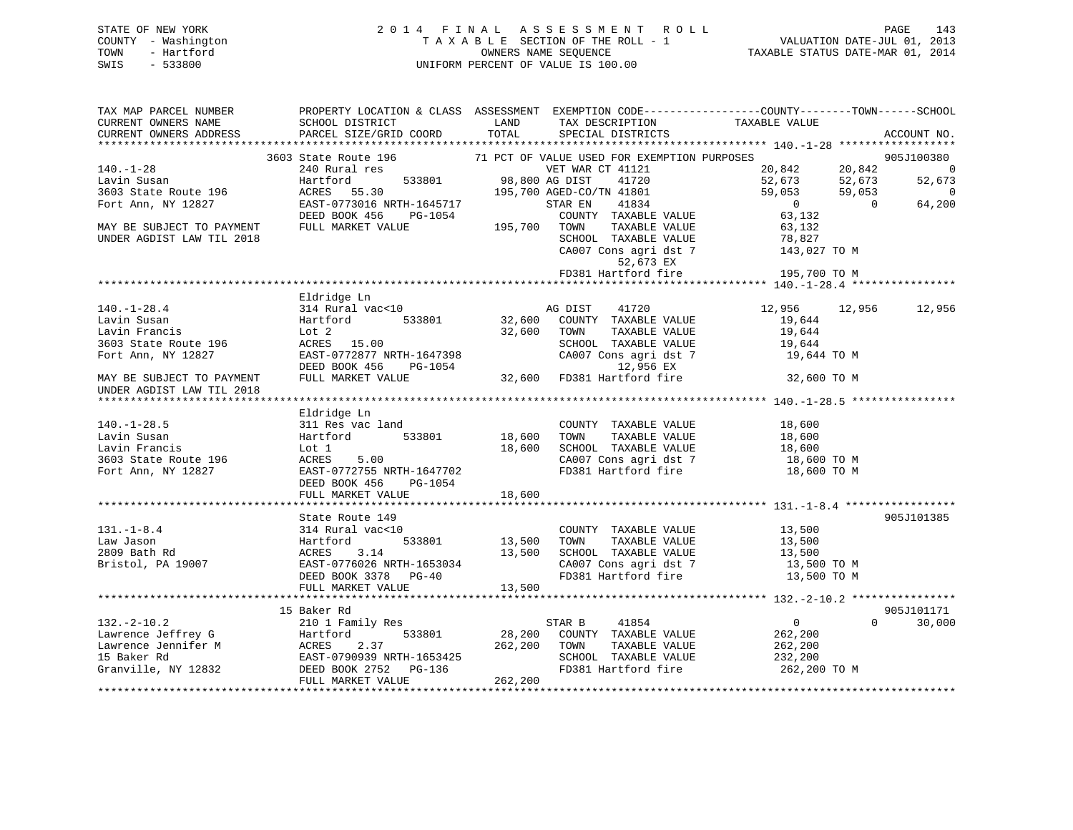# STATE OF NEW YORK 2 0 1 4 F I N A L A S S E S S M E N T R O L L PAGE 143 COUNTY - Washington T A X A B L E SECTION OF THE ROLL - 1 VALUATION DATE-JUL 01, 2013 TOWN - Hartford **TAXABLE STATUS DATE-MAR 01, 2014** OWNERS NAME SEQUENCE TAXABLE STATUS DATE-MAR 01, 2014 SWIS - 533800 UNIFORM PERCENT OF VALUE IS 100.00

| TAX MAP PARCEL NUMBER                      |                           |                                                                                                                                                                                                                                                     | PROPERTY LOCATION & CLASS ASSESSMENT EXEMPTION CODE---------------COUNTY-------TOWN-----SCHOOL |
|--------------------------------------------|---------------------------|-----------------------------------------------------------------------------------------------------------------------------------------------------------------------------------------------------------------------------------------------------|------------------------------------------------------------------------------------------------|
| CURRENT OWNERS NAME                        | SCHOOL DISTRICT           | LAND<br>TAX DESCRIPTION                                                                                                                                                                                                                             | TAXABLE VALUE                                                                                  |
| CURRENT OWNERS ADDRESS                     | PARCEL SIZE/GRID COORD    | TOTAL<br>SPECIAL DISTRICTS                                                                                                                                                                                                                          | ACCOUNT NO.                                                                                    |
|                                            |                           |                                                                                                                                                                                                                                                     |                                                                                                |
|                                            | 3603 State Route 196      | 71 PCT OF VALUE USED FOR EXEMPTION PURPOSES                                                                                                                                                                                                         | 905J100380                                                                                     |
| $140. - 1 - 28$                            | 240 Rural res             | VET WAR CT 41121                                                                                                                                                                                                                                    | $20,842$ $20,842$<br>$\overline{0}$                                                            |
| Lavin Susan                                | Hartford                  | 533801 98,800 AG DIST<br>41720                                                                                                                                                                                                                      | 52,673<br>52,673<br>52,673                                                                     |
| 3603 State Route 196                       | ACRES 55.30               | 195,700 AGED-CO/TN 41801                                                                                                                                                                                                                            | 59,053<br>59,053<br>0                                                                          |
| Fort Ann, NY 12827                         | EAST-0773016 NRTH-1645717 | STAR EN<br>41834                                                                                                                                                                                                                                    | 64,200<br>$\overline{0}$                                                                       |
|                                            | DEED BOOK 456<br>PG-1054  | COUNTY TAXABLE VALUE                                                                                                                                                                                                                                | $\begin{array}{c}\n0 \\ 63\n\end{array}$                                                       |
| MAY BE SUBJECT TO PAYMENT                  | FULL MARKET VALUE         | 195,700 TOWN<br>TAXABLE VALUE                                                                                                                                                                                                                       |                                                                                                |
| UNDER AGDIST LAW TIL 2018                  |                           |                                                                                                                                                                                                                                                     | TOWN TAXABLE VALUE 63,132<br>SCHOOL TAXABLE VALUE 78,827<br>CA007 Cons agri dst 7 143,027 TO M |
|                                            |                           |                                                                                                                                                                                                                                                     |                                                                                                |
|                                            |                           | 52,673 EX                                                                                                                                                                                                                                           |                                                                                                |
|                                            |                           | FD381 Hartford fire                                                                                                                                                                                                                                 | 195,700 TO M                                                                                   |
|                                            |                           |                                                                                                                                                                                                                                                     |                                                                                                |
|                                            | Eldridge Ln               |                                                                                                                                                                                                                                                     |                                                                                                |
| $140. - 1 - 28.4$                          | 314 Rural vac<10          | AG DIST<br>41720                                                                                                                                                                                                                                    | 12,956<br>12,956<br>12,956                                                                     |
| Lavin Susan                                | 533801<br>Hartford        | 32,600<br>COUNTY TAXABLE VALUE                                                                                                                                                                                                                      | 19,644                                                                                         |
| Lavin Francis                              | Lot 2                     | 32,600<br>TAXABLE VALUE<br>TOWN                                                                                                                                                                                                                     | 19,644                                                                                         |
|                                            | ACRES 15.00               |                                                                                                                                                                                                                                                     | 19,644                                                                                         |
| 3603 State Route 196<br>Fort Ann, NY 12827 |                           | SCHOOL TAXABLE VALUE<br>CA007 Cons agri dst 7                                                                                                                                                                                                       | 19,644 TO M                                                                                    |
|                                            |                           |                                                                                                                                                                                                                                                     |                                                                                                |
| MAY BE SUBJECT TO PAYMENT                  |                           | ACRES 15.00<br>EAST-0772877 NRTH-1647398 CA007 Cons agri dst 7<br>DEED BOOK 456 PG-1054 12,956 EX<br>FULL MARKET VALUE 32,600 FD381 Hartford fire                                                                                                   | 32,600 TO M                                                                                    |
| UNDER AGDIST LAW TIL 2018                  |                           |                                                                                                                                                                                                                                                     |                                                                                                |
|                                            |                           |                                                                                                                                                                                                                                                     |                                                                                                |
|                                            | Eldridge Ln               |                                                                                                                                                                                                                                                     |                                                                                                |
| $140.-1-28.5$                              | 311 Res vac land          |                                                                                                                                                                                                                                                     | COUNTY TAXABLE VALUE 18,600                                                                    |
| Lavin Susan                                | Hartford 533801           | 18,600<br>TOWN<br>TAXABLE VALUE                                                                                                                                                                                                                     | 18,600                                                                                         |
| Lavin Francis                              | Lot 1                     | 18,600                                                                                                                                                                                                                                              |                                                                                                |
| 3603 State Route 196                       | ACRES<br>5.00             | CA007 Cons agri dst 7                                                                                                                                                                                                                               | SCHOOL TAXABLE VALUE $18,600$<br>CA007 Cons. agri dst. 7 (18.60)<br>18,600 TO M                |
| Fort Ann, NY 12827                         | EAST-0772755 NRTH-1647702 | FD381 Hartford fire                                                                                                                                                                                                                                 | 18,600 TO M                                                                                    |
|                                            | DEED BOOK 456 PG-1054     |                                                                                                                                                                                                                                                     |                                                                                                |
|                                            | FULL MARKET VALUE         | 18,600                                                                                                                                                                                                                                              |                                                                                                |
|                                            |                           |                                                                                                                                                                                                                                                     |                                                                                                |
|                                            | State Route 149           |                                                                                                                                                                                                                                                     | 905J101385                                                                                     |
|                                            |                           |                                                                                                                                                                                                                                                     | COUNTY TAXABLE VALUE 13,500                                                                    |
|                                            |                           | TOWN                                                                                                                                                                                                                                                |                                                                                                |
|                                            |                           | SCHOOL TAXABLE VALUE                                                                                                                                                                                                                                | TAXABLE VALUE 13,500<br>TAXABLE VALUE 13,500                                                   |
|                                            |                           |                                                                                                                                                                                                                                                     | 13,500 TO M                                                                                    |
|                                            |                           | CA007 Cons agri dst 7<br>FD381 Hartford fire                                                                                                                                                                                                        | 13,500 TO M                                                                                    |
|                                            | FULL MARKET VALUE         | 13,500                                                                                                                                                                                                                                              |                                                                                                |
|                                            |                           |                                                                                                                                                                                                                                                     |                                                                                                |
|                                            | 15 Baker Rd               |                                                                                                                                                                                                                                                     | 905J101171                                                                                     |
|                                            |                           |                                                                                                                                                                                                                                                     | $\overline{0}$<br>$\Omega$<br>30,000                                                           |
|                                            |                           |                                                                                                                                                                                                                                                     |                                                                                                |
|                                            |                           |                                                                                                                                                                                                                                                     | 262,200                                                                                        |
|                                            |                           |                                                                                                                                                                                                                                                     | 262,200                                                                                        |
|                                            |                           |                                                                                                                                                                                                                                                     | SCHOOL TAXABLE VALUE 232,200<br>FD381 Hartford fire 262,200 TO M                               |
|                                            |                           | 132.-2-10.2<br>Lawrence Jeffrey G<br>Lawrence Jeffrey G<br>Lawrence Jennifer M<br>Lawrence Jennifer M<br>MARES 2.37<br>15 Baker Rd<br>ERST-0790939 NRTH-1653425<br>Granville, NY 12832<br>DEED BOOK 2752 PG-136<br>PD381 Hartford fire<br>PD381 Har |                                                                                                |
|                                            |                           |                                                                                                                                                                                                                                                     |                                                                                                |
|                                            |                           |                                                                                                                                                                                                                                                     |                                                                                                |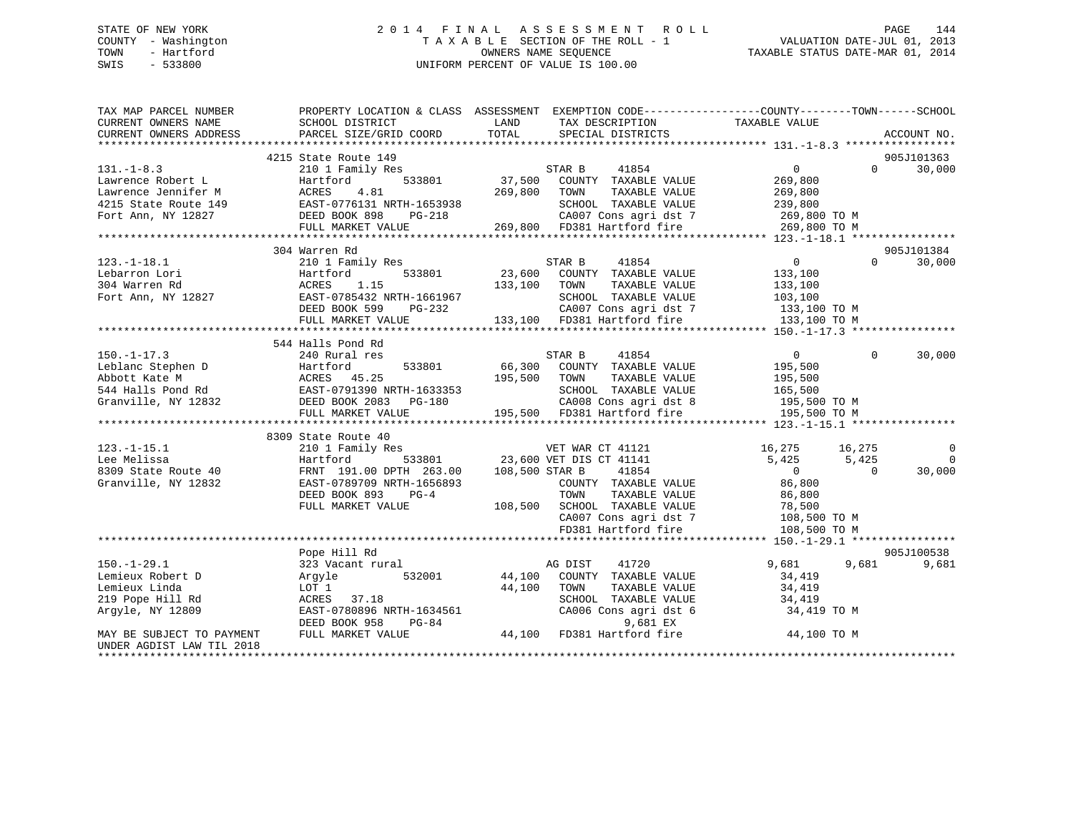# STATE OF NEW YORK 2 0 1 4 F I N A L A S S E S S M E N T R O L L PAGE 144 COUNTY - Washington T A X A B L E SECTION OF THE ROLL - 1 VALUATION DATE-JUL 01, 2013 TOWN - Hartford OWNERS NAME SEQUENCE TAXABLE STATUS DATE-MAR 01, 2014 SWIS - 533800 UNIFORM PERCENT OF VALUE IS 100.00

| TAX MAP PARCEL NUMBER     | PROPERTY LOCATION & CLASS ASSESSMENT                                                                                                                                                                                                     |                           | EXEMPTION CODE-----------------COUNTY-------TOWN------SCHOOL       |                |          |                    |
|---------------------------|------------------------------------------------------------------------------------------------------------------------------------------------------------------------------------------------------------------------------------------|---------------------------|--------------------------------------------------------------------|----------------|----------|--------------------|
| CURRENT OWNERS NAME       | SCHOOL DISTRICT                                                                                                                                                                                                                          | LAND                      | TAX DESCRIPTION                                                    | TAXABLE VALUE  |          |                    |
| CURRENT OWNERS ADDRESS    | PARCEL SIZE/GRID COORD                                                                                                                                                                                                                   | TOTAL                     | SPECIAL DISTRICTS                                                  |                |          | ACCOUNT NO.        |
|                           |                                                                                                                                                                                                                                          |                           |                                                                    |                |          |                    |
|                           | 4215 State Route 149                                                                                                                                                                                                                     |                           |                                                                    |                |          | 905J101363         |
| $131. - 1 - 8.3$          | 210 1 Family Res                                                                                                                                                                                                                         |                           | STAR B 41854                                                       | $\overline{0}$ |          | 30,000<br>$\Omega$ |
| Lawrence Robert L         | 533801<br>Hartford                                                                                                                                                                                                                       |                           | 37,500 COUNTY TAXABLE VALUE                                        | 269,800        |          |                    |
|                           |                                                                                                                                                                                                                                          |                           |                                                                    |                |          |                    |
|                           |                                                                                                                                                                                                                                          |                           |                                                                    |                |          |                    |
|                           |                                                                                                                                                                                                                                          |                           |                                                                    |                |          |                    |
|                           |                                                                                                                                                                                                                                          |                           |                                                                    |                |          |                    |
|                           | Lawrence Robert Lawrence Jennifer M<br>Lawrence Jennifer M<br>4.81 209,000 2007,000 2007 CONSILE VALUE<br>Fort Ann, NY 12827 DEED BOOK 898 PG-218 269,800 TO M<br>FILL MARKET VALUE 269,800 FD381 Hartford fire 269,800 TO M<br>FILL MAR |                           |                                                                    |                |          |                    |
|                           | 304 Warren Rd                                                                                                                                                                                                                            |                           |                                                                    |                |          | 905J101384         |
| $123.-1-18.1$             | 210 1 Family Res                                                                                                                                                                                                                         |                           | 41854<br>STAR B                                                    | $\overline{0}$ | $\Omega$ | 30,000             |
| Lebarron Lori             | 533801<br>Hartford                                                                                                                                                                                                                       |                           | $23,600$ COUNTY TAXABLE VALUE                                      | 133,100        |          |                    |
| 304 Warren Rd             | ACRES<br>1.15                                                                                                                                                                                                                            | 133,100 TOWN              | TAXABLE VALUE                                                      | 133,100        |          |                    |
| Fort Ann, NY 12827        | EAST-0785432 NRTH-1661967                                                                                                                                                                                                                |                           | SCHOOL TAXABLE VALUE 103,100<br>CA007 Cons agri dst 7 133,100 TO M |                |          |                    |
|                           | $PG-232$<br>DEED BOOK 599                                                                                                                                                                                                                |                           |                                                                    |                |          |                    |
|                           | FULL MARKET VALUE                                                                                                                                                                                                                        |                           | 133,100 FD381 Hartford fire                                        | 133,100 TO M   |          |                    |
|                           |                                                                                                                                                                                                                                          |                           |                                                                    |                |          |                    |
|                           | 544 Halls Pond Rd                                                                                                                                                                                                                        |                           |                                                                    |                |          |                    |
| $150. - 1 - 17.3$         | 240 Rural res                                                                                                                                                                                                                            |                           | STAR B<br>41854                                                    | $\overline{0}$ | $\Omega$ | 30,000             |
|                           | Explaint Stephen D<br>Explaint Stephen D<br>Abbott Kate M<br>ACRES 45.25<br>544 Halls Pond Rd<br>Granville, NY 12832<br>DEED BOOK 2083 PG-180                                                                                            |                           | 66,300 COUNTY TAXABLE VALUE                                        | 195,500        |          |                    |
|                           |                                                                                                                                                                                                                                          | 195,500 TOWN              | TAXABLE VALUE                                                      | 195,500        |          |                    |
|                           |                                                                                                                                                                                                                                          |                           | SCHOOL TAXABLE VALUE                                               | 165,500        |          |                    |
|                           |                                                                                                                                                                                                                                          | H-1633353<br>_PG-180<br>- | CA008 Cons agri dst 8                                              | 195,500 TO M   |          |                    |
|                           | FULL MARKET VALUE                                                                                                                                                                                                                        |                           | 195,500 FD381 Hartford fire                                        | 195,500 TO M   |          |                    |
|                           |                                                                                                                                                                                                                                          |                           |                                                                    |                |          |                    |
|                           | 8309 State Route 40                                                                                                                                                                                                                      |                           |                                                                    |                |          |                    |
| $123. - 1 - 15.1$         | 210 1 Family Res                                                                                                                                                                                                                         |                           | VET WAR CT 41121 16,275 16,275                                     |                |          | 0                  |
| Lee Melissa               | Hartford 533801 23,600 VET DIS CT 41141<br>191.00 DPTH 263.00 108,500 STAR B 41854<br>12832 EAST-0789709 NRTH-1656893 COUNTY TAXABLE                                                                                                     |                           |                                                                    | 5,425          | 5,425    | $\overline{0}$     |
| 8309 State Route 40       |                                                                                                                                                                                                                                          |                           |                                                                    | $\overline{0}$ | $\Omega$ | 30,000             |
| Granville, NY 12832       |                                                                                                                                                                                                                                          |                           |                                                                    |                |          |                    |
|                           | DEED BOOK 893<br>$PG-4$                                                                                                                                                                                                                  |                           | COUNTY TAXABLE VALUE 86,800<br>TAXABLE VALUE<br>TOWN               | 86,800         |          |                    |
|                           | FULL MARKET VALUE                                                                                                                                                                                                                        |                           | 108,500 SCHOOL TAXABLE VALUE                                       |                |          |                    |
|                           |                                                                                                                                                                                                                                          |                           |                                                                    | 78,500         |          |                    |
|                           |                                                                                                                                                                                                                                          |                           | SCHOOL TAAADDE WALL<br>CA007 Cons agri dst 7<br>Line fire          | 108,500 TO M   |          |                    |
|                           |                                                                                                                                                                                                                                          |                           |                                                                    | 108,500 TO M   |          |                    |
|                           |                                                                                                                                                                                                                                          |                           |                                                                    |                |          |                    |
|                           | Pope Hill Rd                                                                                                                                                                                                                             |                           |                                                                    |                |          | 905J100538         |
| $150. - 1 - 29.1$         | 323 Vacant rural                                                                                                                                                                                                                         |                           | 41720<br>AG DIST                                                   | 9,681          | 9,681    | 9,681              |
| Lemieux Robert D          | 532001<br>Argyle                                                                                                                                                                                                                         |                           | 44,100 COUNTY TAXABLE VALUE                                        | 34,419         |          |                    |
| Lemieux Linda             | LOT 1                                                                                                                                                                                                                                    | 44,100                    | TOWN<br>TAXABLE VALUE                                              | 34,419         |          |                    |
| 219 Pope Hill Rd          | ACRES 37.18                                                                                                                                                                                                                              |                           | SCHOOL TAXABLE VALUE                                               | 34,419         |          |                    |
| Argyle, NY 12809          |                                                                                                                                                                                                                                          |                           |                                                                    | 34,419 TO M    |          |                    |
|                           | ACRES 37.18<br>EAST-0780896 NRTH-1634561 (2006 Cons agridst 6<br>DEED BOOK 958 PG-84 9,681 EX<br>FIILI. MARKET VALUE 44,100 FD381 Hartford fire                                                                                          |                           |                                                                    |                |          |                    |
| MAY BE SUBJECT TO PAYMENT |                                                                                                                                                                                                                                          |                           |                                                                    | 44,100 TO M    |          |                    |
| UNDER AGDIST LAW TIL 2018 |                                                                                                                                                                                                                                          |                           |                                                                    |                |          |                    |
|                           |                                                                                                                                                                                                                                          |                           |                                                                    |                |          |                    |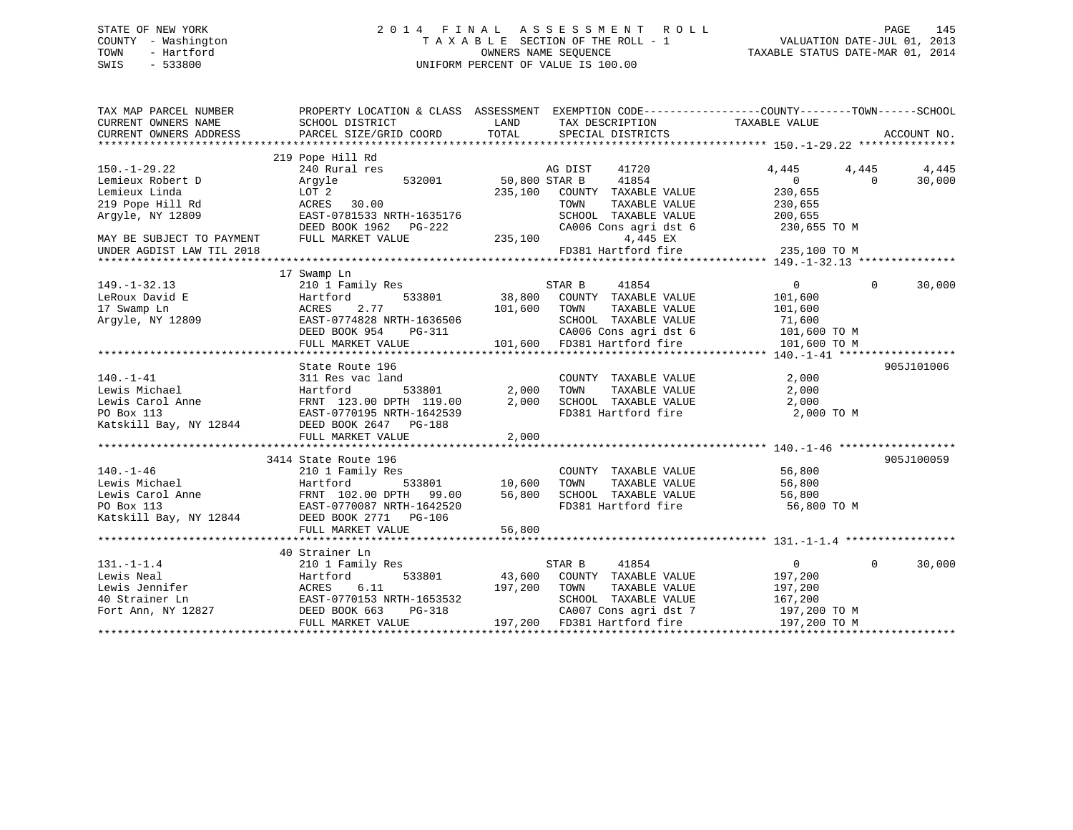#### STATE OF NEW YORK 2 0 1 4 F I N A L A S S E S S M E N T R O L L PAGE 145COUNTY - Washington  $T A X A B L E$  SECTION OF THE ROLL - 1<br>TOWN - Hartford OWNERS NAME SEQUENCE TAXABLE STATUS DATE-MAR 01, 2014 SWIS - 533800 UNIFORM PERCENT OF VALUE IS 100.00

| TAX MAP PARCEL NUMBER                                                                                                            | PROPERTY LOCATION & CLASS ASSESSMENT EXEMPTION CODE----------------COUNTY-------TOWN------SCHOOL |                          |                                             |                   |                    |
|----------------------------------------------------------------------------------------------------------------------------------|--------------------------------------------------------------------------------------------------|--------------------------|---------------------------------------------|-------------------|--------------------|
|                                                                                                                                  | 219 Pope Hill Rd                                                                                 |                          |                                             |                   |                    |
| $150. - 1 - 29.22$                                                                                                               | 240 Rural res                                                                                    |                          | AG DIST<br>41720                            | 4,445<br>4,445    | 4,445              |
| Lemieux Robert D                                                                                                                 | 532001 50,800 STAR B<br>Arqyle                                                                   |                          | 41854                                       | $\overline{0}$    | 30,000<br>$\Omega$ |
| Lemieux Linda                                                                                                                    | LOT 2                                                                                            | 235,100                  | COUNTY TAXABLE VALUE                        | 230,655           |                    |
| 219 Pope Hill Rd                                                                                                                 | ACRES 30.00                                                                                      |                          | TAXABLE VALUE<br>TOWN                       | 230,655           |                    |
| Argyle, NY 12809                                                                                                                 | EAST-0781533 NRTH-1635176                                                                        |                          | SCHOOL TAXABLE VALUE                        | 200,655           |                    |
|                                                                                                                                  | DEED BOOK 1962 PG-222                                                                            |                          | CA006 Cons agri dst 6                       | 230,655 TO M      |                    |
| MAY BE SUBJECT TO PAYMENT                                                                                                        | FULL MARKET VALUE                                                                                | 235,100                  | 4,445 EX                                    |                   |                    |
| UNDER AGDIST LAW TIL 2018                                                                                                        |                                                                                                  |                          | FD381 Hartford fire                         | 235,100 TO M      |                    |
|                                                                                                                                  |                                                                                                  |                          |                                             |                   |                    |
|                                                                                                                                  | 17 Swamp Ln                                                                                      |                          |                                             |                   |                    |
| $149. - 1 - 32.13$                                                                                                               | 210 1 Family Res                                                                                 |                          | 41854<br>STAR B                             | $\overline{0}$    | $\Omega$<br>30,000 |
| LeRoux David E                                                                                                                   | Hartford                                                                                         |                          | 533801 38,800 COUNTY TAXABLE VALUE          | 101,600           |                    |
| 17 Swamp Ln<br>17 Swamp Ln<br>Argyle, NY 12809                                                                                   | ACRES<br>2.77                                                                                    | 101,600                  | TAXABLE VALUE<br>TOWN                       | 101,600           |                    |
|                                                                                                                                  | EAST-0774828 NRTH-1636506                                                                        |                          | SCHOOL TAXABLE VALUE                        | 71,600            |                    |
|                                                                                                                                  | DEED BOOK 954                                                                                    | n-1636506<br>PG-311<br>P | CA006 Cons agri dst 6                       | 101,600 TO M      |                    |
|                                                                                                                                  | FULL MARKET VALUE                                                                                |                          | 101,600 FD381 Hartford fire                 | 101,600 TO M      |                    |
|                                                                                                                                  |                                                                                                  |                          |                                             |                   |                    |
|                                                                                                                                  | State Route 196                                                                                  |                          |                                             |                   | 905J101006         |
| $140. - 1 - 41$                                                                                                                  | 311 Res vac land                                                                                 |                          | COUNTY TAXABLE VALUE                        | 2,000             |                    |
| Lewis Michael                                                                                                                    | Hartford                                                                                         | 533801 2,000             | TOWN<br>TAXABLE VALUE                       | 2,000             |                    |
|                                                                                                                                  |                                                                                                  | 2,000                    | SCHOOL TAXABLE VALUE                        | 2,000             |                    |
| Lewis Carol Anne FRNT 123.00 DPTH 119.00<br>PO Box 113 EAST-0770195 NRTH-1642539<br>Katskill Bay, NY 12844 DEED BOOK 2647 PG-188 |                                                                                                  |                          | FD381 Hartford fire                         | 2,000 TO M        |                    |
|                                                                                                                                  |                                                                                                  |                          |                                             |                   |                    |
|                                                                                                                                  | FULL MARKET VALUE                                                                                | 2,000                    |                                             |                   |                    |
|                                                                                                                                  |                                                                                                  |                          |                                             |                   |                    |
|                                                                                                                                  | 3414 State Route 196                                                                             |                          |                                             |                   | 905J100059         |
| $140. - 1 - 46$                                                                                                                  | 210 1 Family Res                                                                                 |                          | COUNTY TAXABLE VALUE                        | 56,800            |                    |
|                                                                                                                                  |                                                                                                  |                          | TAXABLE VALUE<br>TOWN                       | 56,800            |                    |
| 140.-1-40<br>Lewis Michael Martford 533801<br>Lewis Carol Anne FRNT 102.00 DPTH 99.00<br>PO Box 113<br>EAST-0770087 NRTH-1642520 |                                                                                                  | 56,800                   | SCHOOL TAXABLE VALUE<br>FD381 Hartford fire | 56,800            |                    |
|                                                                                                                                  |                                                                                                  |                          |                                             | 56,800 TO M       |                    |
| Katskill Bay, NY 12844                                                                                                           | DEED BOOK 2771 PG-106                                                                            |                          |                                             |                   |                    |
|                                                                                                                                  | FULL MARKET VALUE                                                                                | 56,800                   |                                             |                   |                    |
|                                                                                                                                  |                                                                                                  |                          |                                             |                   |                    |
|                                                                                                                                  | 40 Strainer Ln                                                                                   |                          |                                             |                   |                    |
| $131. - 1 - 1.4$                                                                                                                 | 210 1 Family Res                                                                                 |                          | STAR B<br>41854                             | $0 \qquad \qquad$ | $\Omega$<br>30,000 |
| Lewis Neal                                                                                                                       | Hartford                                                                                         |                          | 533801 43,600 COUNTY TAXABLE VALUE          | 197,200           |                    |
|                                                                                                                                  | ACRES<br>6.11                                                                                    | 197,200 TOWN             | TAXABLE VALUE                               | 197,200           |                    |
| Lewis Jennifer<br>40 Strainer Ln<br>Fort Ann, NY 12827                                                                           | EAST-0770153 NRTH-1653532                                                                        |                          | SCHOOL TAXABLE VALUE                        | 167,200           |                    |
|                                                                                                                                  | PG-318<br>DEED BOOK 663                                                                          |                          | CA007 Cons agri dst 7 197,200 TO M          |                   |                    |
|                                                                                                                                  | FULL MARKET VALUE                                                                                |                          | 197,200 FD381 Hartford fire                 | 197,200 TO M      |                    |
|                                                                                                                                  |                                                                                                  |                          |                                             |                   |                    |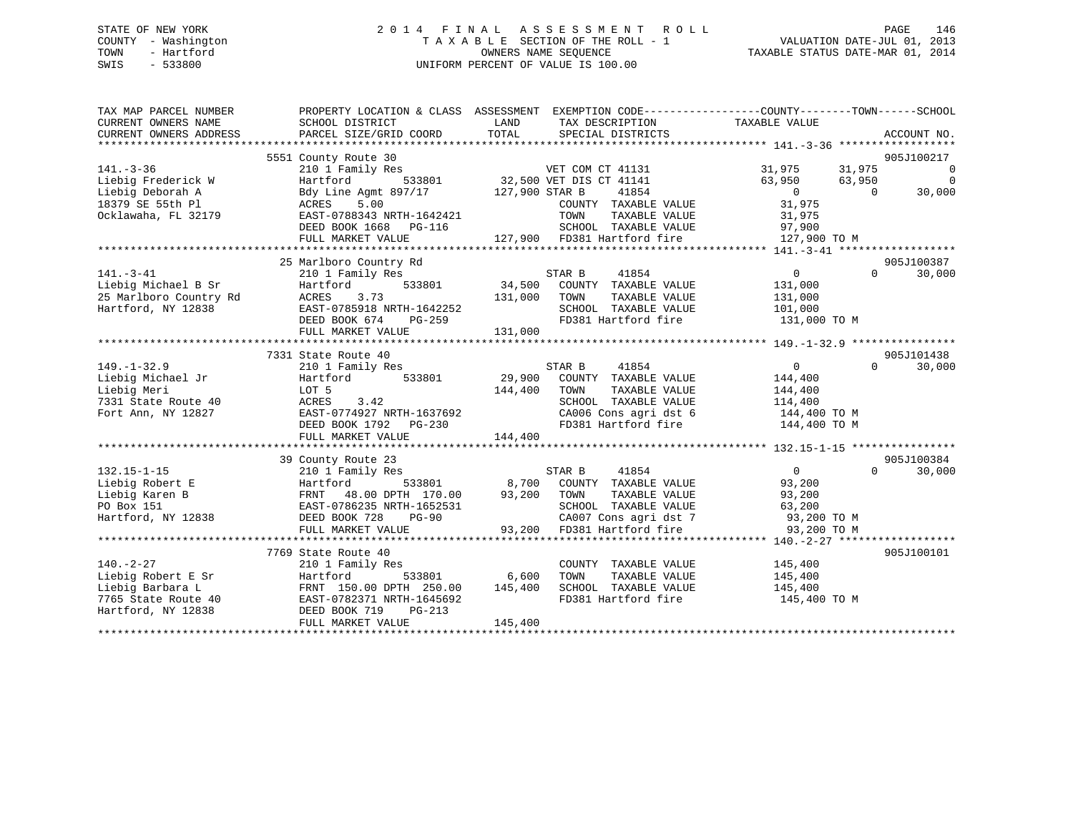# STATE OF NEW YORK 2 0 1 4 F I N A L A S S E S S M E N T R O L L PAGE 146 COUNTY - Washington T A X A B L E SECTION OF THE ROLL - 1 VALUATION DATE-JUL 01, 2013 TOWN - Hartford **TAXABLE STATUS DATE-MAR 01, 2014** OWNERS NAME SEQUENCE TAXABLE STATUS DATE-MAR 01, 2014 SWIS - 533800 UNIFORM PERCENT OF VALUE IS 100.00

| TAX MAP PARCEL NUMBER<br>CURRENT OWNERS NAME<br>CURRENT OWNERS ADDRESS | SCHOOL DISTRICT<br>PARCEL SIZE/GRID COORD           | LAND<br>TAX DESCRIPTION TAXABLE VALUE<br>TOTAL<br>SPECIAL DISTRICTS                                                                                                         | PROPERTY LOCATION & CLASS ASSESSMENT EXEMPTION CODE---------------COUNTY-------TOWN-----SCHOOL<br>ACCOUNT NO. |
|------------------------------------------------------------------------|-----------------------------------------------------|-----------------------------------------------------------------------------------------------------------------------------------------------------------------------------|---------------------------------------------------------------------------------------------------------------|
|                                                                        |                                                     |                                                                                                                                                                             |                                                                                                               |
|                                                                        | 5551 County Route 30                                |                                                                                                                                                                             | 905J100217                                                                                                    |
| $141. - 3 - 36$                                                        |                                                     |                                                                                                                                                                             | 31,975 31,975<br>$\overline{\phantom{0}}$                                                                     |
| Liebig Frederick W                                                     |                                                     | 2001<br>2010 1 Family Res<br>Hartford 533801 32,500 VET DIS CT 41141<br>2010 1 Family Res<br>32,500 VET DIS CT 41141<br>2010 STAR B 41854<br>2010 2000 COUNTY TAXABLE VALUE | $\overline{0}$<br>63,950 63,950                                                                               |
| Liebig Deborah A                                                       |                                                     |                                                                                                                                                                             | $\overline{0}$<br>30,000<br>$\overline{0}$                                                                    |
| 18379 SE 55th Pl                                                       | EAST-0788343 NRTH-1642421                           | COUNTY TAXABLE VALUE                                                                                                                                                        | 31,975                                                                                                        |
| Ocklawaha, FL 32179                                                    |                                                     |                                                                                                                                                                             |                                                                                                               |
|                                                                        | DEED BOOK 1668 PG-116                               |                                                                                                                                                                             |                                                                                                               |
|                                                                        |                                                     |                                                                                                                                                                             |                                                                                                               |
|                                                                        |                                                     |                                                                                                                                                                             |                                                                                                               |
|                                                                        | 25 Marlboro Country Rd                              |                                                                                                                                                                             | 905J100387                                                                                                    |
| $141. - 3 - 41$                                                        | 210 1 Family Res                                    | 41854<br>STAR B                                                                                                                                                             | $\overline{0}$<br>$\Omega$<br>30,000                                                                          |
| Liebig Michael B Sr                                                    | 533801<br>Hartford                                  |                                                                                                                                                                             | 131,000                                                                                                       |
| 25 Marlboro Country Rd                                                 | ACRES<br>3.73                                       | 131,000 TOWN<br>TAXABLE VALUE                                                                                                                                               | 131,000                                                                                                       |
| Hartford, NY 12838                                                     | EAST-0785918 NRTH-1642252                           | SCHOOL TAXABLE VALUE<br>$\mathbf{z}$                                                                                                                                        | 101,000                                                                                                       |
|                                                                        | DEED BOOK 674<br>PG-259                             | FD381 Hartford fire                                                                                                                                                         | 131,000 TO M                                                                                                  |
|                                                                        | FULL MARKET VALUE                                   | 131,000                                                                                                                                                                     |                                                                                                               |
|                                                                        |                                                     |                                                                                                                                                                             |                                                                                                               |
|                                                                        | 7331 State Route 40                                 |                                                                                                                                                                             | 905J101438                                                                                                    |
| $149. - 1 - 32.9$                                                      | 210 1 Family Res                                    | STAR B 41854<br>29,900 COUNTY TAXABLE VALUE                                                                                                                                 | $\overline{0}$<br>30,000<br>$\Omega$                                                                          |
| Liebig Michael Jr                                                      | Hartford<br>533801                                  |                                                                                                                                                                             | 144,400                                                                                                       |
| Liebig Meri                                                            | LOT 5                                               | 144,400<br>TOWN<br>TAXABLE VALUE                                                                                                                                            | 144,400                                                                                                       |
| 7331 State Route 40                                                    | ACRES 3.42<br>EAST-0774927 NRTH-1637692             | SCHOOL TAXABLE VALUE                                                                                                                                                        | 114,400                                                                                                       |
| Fort Ann, NY 12827                                                     |                                                     |                                                                                                                                                                             | CA006 Cons agri dst 6 144,400 TO M<br>FD381 Hartford fire 144,400 TO M                                        |
|                                                                        | DEED BOOK 1792 PG-230                               |                                                                                                                                                                             |                                                                                                               |
|                                                                        |                                                     |                                                                                                                                                                             |                                                                                                               |
|                                                                        |                                                     |                                                                                                                                                                             |                                                                                                               |
|                                                                        | 39 County Route 23                                  |                                                                                                                                                                             | 905J100384                                                                                                    |
| $132.15 - 1 - 15$                                                      | 210 1 Family Res                                    | STAR B 41854                                                                                                                                                                | $\overline{0}$<br>$\Omega$<br>30,000                                                                          |
| Liebig Robert E                                                        | Hartford                                            | 533801 8,700 COUNTY TAXABLE VALUE                                                                                                                                           | 93,200                                                                                                        |
| Liebig Karen B                                                         | FRNT 48.00 DPTH 170.00<br>EAST-0786235 NRTH-1652531 | 93,200 TOWN<br>TAXABLE VALUE                                                                                                                                                | 93,200                                                                                                        |
| PO Box 151                                                             | EAST-0786235 NRTH-1652531                           | SCHOOL TAXABLE VALUE                                                                                                                                                        | 63,200                                                                                                        |
| Hartford, NY 12838                                                     | DEED BOOK 728<br>$PG-90$                            |                                                                                                                                                                             | CA007 Cons agri dst 7 93,200 TO M                                                                             |
|                                                                        | FULL MARKET VALUE                                   | 93,200 FD381 Hartford fire                                                                                                                                                  | 93,200 TO M                                                                                                   |
|                                                                        |                                                     |                                                                                                                                                                             |                                                                                                               |
|                                                                        | 7769 State Route 40                                 |                                                                                                                                                                             | 905J100101                                                                                                    |
| $140. - 2 - 27$                                                        | 210 1 Family Res                                    | COUNTY TAXABLE VALUE                                                                                                                                                        |                                                                                                               |
| Liebig Robert E Sr                                                     | Hartford                                            | 533801 6,600<br>TAXABLE VALUE<br>TOWN                                                                                                                                       | 145,400<br>145,400                                                                                            |
| Liebig Barbara L                                                       | FRNT 150.00 DPTH 250.00 145,400                     | SCHOOL TAXABLE VALUE                                                                                                                                                        | 145,400                                                                                                       |
| 7765 State Route 40                                                    | EAST-0782371 NRTH-1645692                           | FD381 Hartford fire                                                                                                                                                         | 145,400 TO M                                                                                                  |
| Hartford, NY 12838                                                     | DEED BOOK 719<br>$PG-213$                           |                                                                                                                                                                             |                                                                                                               |
|                                                                        | FULL MARKET VALUE                                   | 145,400                                                                                                                                                                     |                                                                                                               |
|                                                                        |                                                     |                                                                                                                                                                             |                                                                                                               |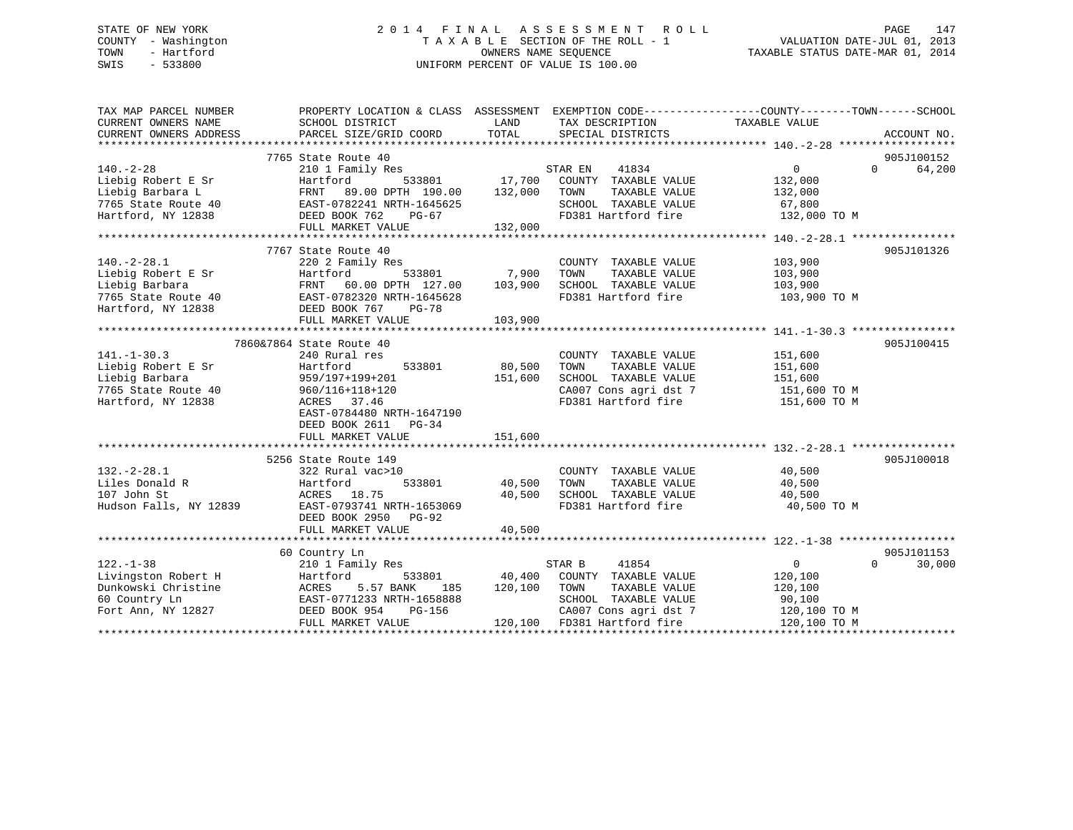# STATE OF NEW YORK 2 0 1 4 F I N A L A S S E S S M E N T R O L L PAGE 147 COUNTY - Washington T A X A B L E SECTION OF THE ROLL - 1 VALUATION DATE-JUL 01, 2013 TOWN - Hartford **TAXABLE STATUS DATE-MAR 01, 2014** OWNERS NAME SEQUENCE TAXABLE STATUS DATE-MAR 01, 2014 SWIS - 533800 UNIFORM PERCENT OF VALUE IS 100.00

| TAX MAP PARCEL NUMBER                         | PROPERTY LOCATION & CLASS ASSESSMENT EXEMPTION CODE----------------COUNTY-------TOWN------SCHOOL |               |                                      |                            |             |
|-----------------------------------------------|--------------------------------------------------------------------------------------------------|---------------|--------------------------------------|----------------------------|-------------|
| CURRENT OWNERS NAME<br>CURRENT OWNERS ADDRESS | SCHOOL DISTRICT<br>PARCEL SIZE/GRID COORD                                                        | LAND<br>TOTAL | TAX DESCRIPTION<br>SPECIAL DISTRICTS | TAXABLE VALUE              | ACCOUNT NO. |
|                                               |                                                                                                  |               |                                      |                            |             |
|                                               | 7765 State Route 40                                                                              |               |                                      |                            | 905J100152  |
| $140. - 2 - 28$                               | 210 1 Family Res                                                                                 |               | STAR EN<br>41834                     | $\overline{0}$<br>$\Omega$ | 64,200      |
| Liebig Robert E Sr                            | 533801<br>Hartford                                                                               | 17,700        | COUNTY TAXABLE VALUE                 | 132,000                    |             |
| Liebig Barbara L                              | 89.00 DPTH 190.00<br>FRNT                                                                        | 132,000       | TAXABLE VALUE<br>TOWN                | 132,000                    |             |
| 7765 State Route 40                           | EAST-0782241 NRTH-1645625                                                                        |               | SCHOOL TAXABLE VALUE                 | 67,800                     |             |
| Hartford, NY 12838                            | DEED BOOK 762<br>PG-67                                                                           |               | FD381 Hartford fire                  | 132,000 TO M               |             |
|                                               | FULL MARKET VALUE                                                                                | 132,000       |                                      |                            |             |
|                                               |                                                                                                  |               |                                      |                            |             |
|                                               | 7767 State Route 40                                                                              |               |                                      |                            | 905J101326  |
| $140.-2-28.1$                                 | 220 2 Family Res                                                                                 |               | COUNTY TAXABLE VALUE                 | 103,900                    |             |
| Liebig Robert E Sr                            | Hartford<br>533801                                                                               | 7,900         | TOWN<br>TAXABLE VALUE                | 103,900                    |             |
| Liebig Barbara                                | FRNT 60.00 DPTH 127.00                                                                           | 103,900       | SCHOOL TAXABLE VALUE                 | 103,900                    |             |
| 7765 State Route 40                           | EAST-0782320 NRTH-1645628                                                                        |               | FD381 Hartford fire                  | 103,900 TO M               |             |
| Hartford, NY 12838                            | DEED BOOK 767<br>$PG-78$                                                                         |               |                                      |                            |             |
|                                               | FULL MARKET VALUE                                                                                | 103,900       |                                      |                            |             |
|                                               |                                                                                                  |               |                                      |                            |             |
|                                               | 7860&7864 State Route 40                                                                         |               |                                      |                            | 905J100415  |
| $141. - 1 - 30.3$                             | 240 Rural res                                                                                    |               | COUNTY TAXABLE VALUE                 | 151,600                    |             |
| Liebig Robert E Sr                            | Hartford<br>533801                                                                               | 80,500        | TOWN<br>TAXABLE VALUE                | 151,600                    |             |
| Liebig Barbara                                | 959/197+199+201                                                                                  | 151,600       | SCHOOL TAXABLE VALUE                 | 151,600                    |             |
| 7765 State Route 40                           | 960/116+118+120                                                                                  |               | CA007 Cons agri dst 7                | 151,600 TO M               |             |
| Hartford, NY 12838                            | ACRES 37.46                                                                                      |               | FD381 Hartford fire                  | 151,600 TO M               |             |
|                                               | EAST-0784480 NRTH-1647190                                                                        |               |                                      |                            |             |
|                                               | DEED BOOK 2611 PG-34                                                                             |               |                                      |                            |             |
|                                               | FULL MARKET VALUE                                                                                | 151,600       |                                      |                            |             |
|                                               |                                                                                                  |               |                                      |                            |             |
|                                               | 5256 State Route 149                                                                             |               |                                      |                            | 905J100018  |
| $132 - 2 - 28.1$                              | 322 Rural vac>10                                                                                 |               | COUNTY TAXABLE VALUE                 | 40,500                     |             |
| Liles Donald R                                | 533801<br>Hartford                                                                               | 40,500        | TOWN<br>TAXABLE VALUE                | 40,500                     |             |
| 107 John St                                   | ACRES 18.75                                                                                      | 40,500        | SCHOOL TAXABLE VALUE                 | 40,500                     |             |
| Hudson Falls, NY 12839                        | EAST-0793741 NRTH-1653069                                                                        |               | FD381 Hartford fire                  |                            |             |
|                                               |                                                                                                  |               |                                      | 40,500 TO M                |             |
|                                               | DEED BOOK 2950<br>PG-92                                                                          |               |                                      |                            |             |
|                                               | FULL MARKET VALUE                                                                                | 40,500        |                                      |                            |             |
|                                               |                                                                                                  |               |                                      |                            |             |
|                                               | 60 Country Ln                                                                                    |               |                                      |                            | 905J101153  |
| $122. - 1 - 38$                               | 210 1 Family Res                                                                                 |               | STAR B<br>41854                      | 0<br>$\Omega$              | 30,000      |
| Livingston Robert H                           | Hartford<br>533801                                                                               | 40,400        | COUNTY TAXABLE VALUE                 | 120,100                    |             |
| Dunkowski Christine                           | 5.57 BANK<br>ACRES<br>185                                                                        | 120,100       | TOWN<br>TAXABLE VALUE                | 120,100                    |             |
| 60 Country Ln                                 | EAST-0771233 NRTH-1658888                                                                        |               | SCHOOL TAXABLE VALUE                 | 90,100                     |             |
| Fort Ann, NY 12827                            | DEED BOOK 954<br>PG-156                                                                          |               | CA007 Cons agri dst 7                | 120,100 TO M               |             |
|                                               | FULL MARKET VALUE                                                                                |               | 120,100 FD381 Hartford fire          | 120,100 TO M               |             |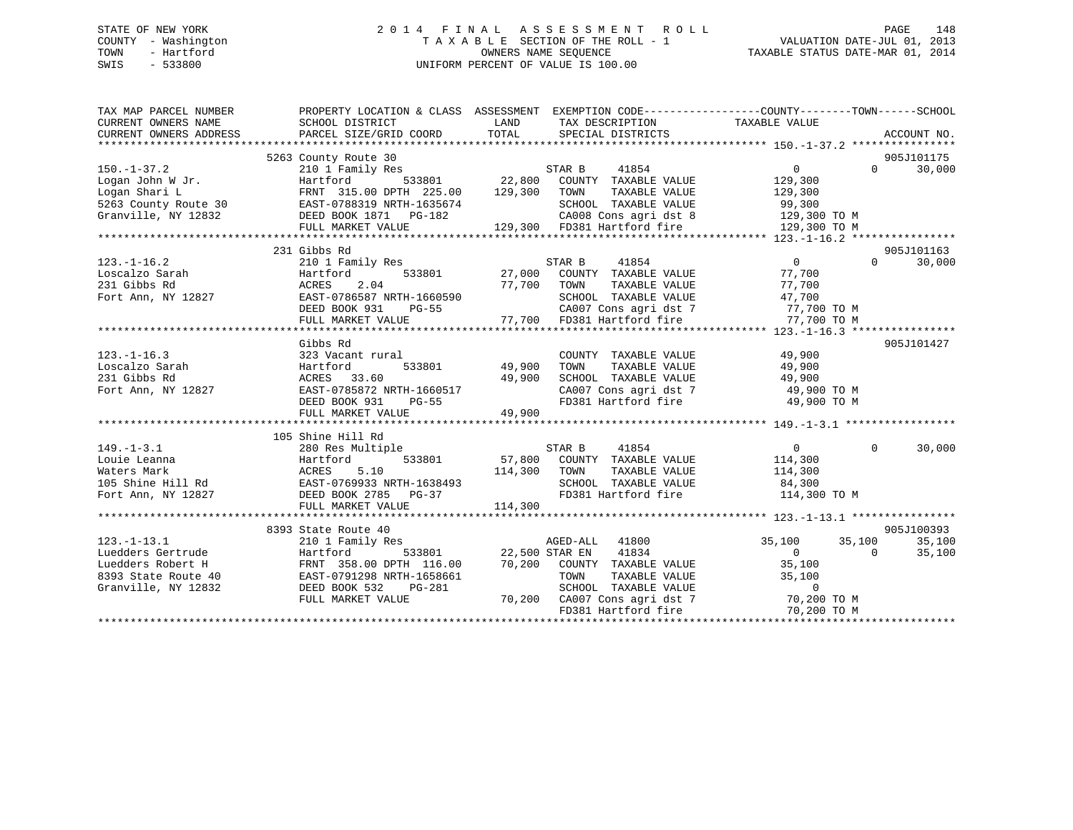# STATE OF NEW YORK 2 0 1 4 F I N A L A S S E S S M E N T R O L L PAGE 148 COUNTY - Washington T A X A B L E SECTION OF THE ROLL - 1 VALUATION DATE-JUL 01, 2013 TOWN - Hartford **TAXABLE STATUS DATE-MAR 01, 2014** OWNERS NAME SEQUENCE TAXABLE STATUS DATE-MAR 01, 2014 SWIS - 533800 UNIFORM PERCENT OF VALUE IS 100.00

| TAX MAP PARCEL NUMBER<br>CURRENT OWNERS NAME<br>CURRENT OWNERS ADDRESS                                                                                                                                                                               | PROPERTY LOCATION & CLASS ASSESSMENT EXEMPTION CODE---------------COUNTY-------TOWN------SCHOOL<br>SCHOOL DISTRICT<br><b>EXAMPLE DESCRIPTION OF STREET AND STREET AND STREET AND STREET AND STREET AND STREET AND STREET AND STREET AND</b><br>PARCEL SIZE/GRID COORD TOTAL |                                      | TAX DESCRIPTION TAXABLE VALUE<br>SPECIAL DISTRICTS         |                     |          | ACCOUNT NO. |
|------------------------------------------------------------------------------------------------------------------------------------------------------------------------------------------------------------------------------------------------------|-----------------------------------------------------------------------------------------------------------------------------------------------------------------------------------------------------------------------------------------------------------------------------|--------------------------------------|------------------------------------------------------------|---------------------|----------|-------------|
|                                                                                                                                                                                                                                                      | 5263 County Route 30                                                                                                                                                                                                                                                        |                                      |                                                            |                     |          | 905J101175  |
| 3203 COUNTY RABBER 218188 199,300<br>150.-1-37.2 2101 Family Res<br>Logan John W Jr.<br>129,300<br>129,300<br>129,300<br>5263 County Route 30<br>EAST-0788319 NRTH-1635674<br>Granville, NY 12832<br>EED BOOK 1871 PG-182<br>FULL MARKET VALUE<br>12 |                                                                                                                                                                                                                                                                             |                                      |                                                            |                     | $\Omega$ | 30,000      |
|                                                                                                                                                                                                                                                      |                                                                                                                                                                                                                                                                             |                                      |                                                            |                     |          |             |
|                                                                                                                                                                                                                                                      |                                                                                                                                                                                                                                                                             |                                      |                                                            |                     |          |             |
|                                                                                                                                                                                                                                                      |                                                                                                                                                                                                                                                                             |                                      |                                                            |                     |          |             |
|                                                                                                                                                                                                                                                      |                                                                                                                                                                                                                                                                             |                                      | CA008 Cons agri dst 8 129,300 TO M                         |                     |          |             |
|                                                                                                                                                                                                                                                      |                                                                                                                                                                                                                                                                             |                                      |                                                            | 129,300 TO M        |          |             |
|                                                                                                                                                                                                                                                      |                                                                                                                                                                                                                                                                             |                                      |                                                            |                     |          |             |
|                                                                                                                                                                                                                                                      | 231 Gibbs Rd                                                                                                                                                                                                                                                                |                                      |                                                            |                     |          | 905J101163  |
|                                                                                                                                                                                                                                                      | 210 1 Family Res<br>Hartford 533801 27,000 COUNTY TAXABLE VALUE                                                                                                                                                                                                             |                                      |                                                            | $\overline{0}$      | $\Omega$ | 30,000      |
| 123.-1-16.2<br>Loscalzo Sarah Hartford 533801 27,000 COOM<br>231 Gibbs Rd ACRES 2.04 77,700 TOWN<br>Fort Ann, NY 12827 EAST-0786587 NRTH-1660590 SCHOO<br>DEED BOOK 931 PG-55 CA007<br>The Matthew MALIE 25 CA007<br>The Matthew MALIE 25            |                                                                                                                                                                                                                                                                             |                                      |                                                            | 77,700              |          |             |
|                                                                                                                                                                                                                                                      |                                                                                                                                                                                                                                                                             |                                      | TAXABLE VALUE                                              | 77,700              |          |             |
|                                                                                                                                                                                                                                                      |                                                                                                                                                                                                                                                                             |                                      | SCHOOL TAXABLE VALUE                                       | 47,700              |          |             |
|                                                                                                                                                                                                                                                      |                                                                                                                                                                                                                                                                             |                                      | CA007 Cons agri dst 7 77,700 TO M                          |                     |          |             |
|                                                                                                                                                                                                                                                      |                                                                                                                                                                                                                                                                             |                                      |                                                            |                     |          |             |
|                                                                                                                                                                                                                                                      |                                                                                                                                                                                                                                                                             |                                      |                                                            |                     |          |             |
|                                                                                                                                                                                                                                                      | Gibbs Rd                                                                                                                                                                                                                                                                    |                                      |                                                            |                     |          | 905J101427  |
| $123. - 1 - 16.3$                                                                                                                                                                                                                                    | 323 Vacant rural                                                                                                                                                                                                                                                            | l<br>533801                   49,900 | COUNTY TAXABLE VALUE                                       | 49,900              |          |             |
| 123.-1-10.<br>Loscalzo Sarah                                                                                                                                                                                                                         | Hartford                                                                                                                                                                                                                                                                    |                                      | TOWN                                                       |                     |          |             |
|                                                                                                                                                                                                                                                      |                                                                                                                                                                                                                                                                             |                                      | TOWN TAXABLE VALUE 49,900<br>SCHOOL TAXABLE VALUE 49,900   |                     |          |             |
| Fort Ann, NY 12827                                                                                                                                                                                                                                   |                                                                                                                                                                                                                                                                             |                                      | CA007 Cons agri dst 7 49,900 TO M                          |                     |          |             |
|                                                                                                                                                                                                                                                      |                                                                                                                                                                                                                                                                             |                                      | FD381 Hartford fire 49,900 TO M                            |                     |          |             |
|                                                                                                                                                                                                                                                      | ACRES 33.60 49,900<br>EAST-0785872 NRTH-1660517<br>DEED BOOK 931 PG-55<br>FULL MARKET VALUE 49,900                                                                                                                                                                          |                                      |                                                            |                     |          |             |
|                                                                                                                                                                                                                                                      |                                                                                                                                                                                                                                                                             |                                      |                                                            |                     |          |             |
|                                                                                                                                                                                                                                                      | 105 Shine Hill Rd                                                                                                                                                                                                                                                           |                                      |                                                            |                     |          |             |
| $149. - 1 - 3.1$                                                                                                                                                                                                                                     |                                                                                                                                                                                                                                                                             |                                      |                                                            |                     | $\Omega$ | 30,000      |
|                                                                                                                                                                                                                                                      |                                                                                                                                                                                                                                                                             |                                      |                                                            |                     |          |             |
|                                                                                                                                                                                                                                                      |                                                                                                                                                                                                                                                                             |                                      | TOWN TAXABLE VALUE 114,300<br>SCHOOL TAXABLE VALUE 184,300 |                     |          |             |
|                                                                                                                                                                                                                                                      |                                                                                                                                                                                                                                                                             |                                      |                                                            |                     |          |             |
| Louie Leanna<br>Maters Mark Mark 2007 105 Shine Hill Rd<br>105 Shine Hill Rd<br>114,300<br>Fort Ann, NY 12827<br>2008 2785 PG-37<br>2008 2785 PG-37<br>2008 2785 PG-37<br>2008 2785 PG-37<br>2008 2785 PG-37                                         |                                                                                                                                                                                                                                                                             |                                      | FD381 Hartford fire 114,300 TO M                           |                     |          |             |
|                                                                                                                                                                                                                                                      | FULL MARKET VALUE                                                                                                                                                                                                                                                           | 114,300                              |                                                            |                     |          |             |
|                                                                                                                                                                                                                                                      |                                                                                                                                                                                                                                                                             |                                      |                                                            |                     |          |             |
|                                                                                                                                                                                                                                                      | 8393 State Route 40                                                                                                                                                                                                                                                         |                                      |                                                            |                     |          | 905J100393  |
| $123. - 1 - 13.1$<br>Luedders Gertrude                                                                                                                                                                                                               | 210 1 Family Res                                                                                                                                                                                                                                                            |                                      | AGED-ALL 41800<br>מיא באר                                  | $35,100$ $35,100$ 0 |          | 35,100      |
|                                                                                                                                                                                                                                                      | Hartford                                                                                                                                                                                                                                                                    |                                      | 533801 22,500 STAR EN 41834                                |                     |          | 35,100      |
|                                                                                                                                                                                                                                                      |                                                                                                                                                                                                                                                                             |                                      |                                                            |                     |          |             |
|                                                                                                                                                                                                                                                      |                                                                                                                                                                                                                                                                             |                                      |                                                            |                     |          |             |
|                                                                                                                                                                                                                                                      |                                                                                                                                                                                                                                                                             |                                      |                                                            |                     |          |             |
| Example of the country the country that the country of the country of the country of the country of the country of the country of the country of the country of the country of the country of the country of the country of th                       |                                                                                                                                                                                                                                                                             |                                      | FD381 Hartford fire                                        | 70,200 TO M         |          |             |
|                                                                                                                                                                                                                                                      |                                                                                                                                                                                                                                                                             |                                      |                                                            |                     |          |             |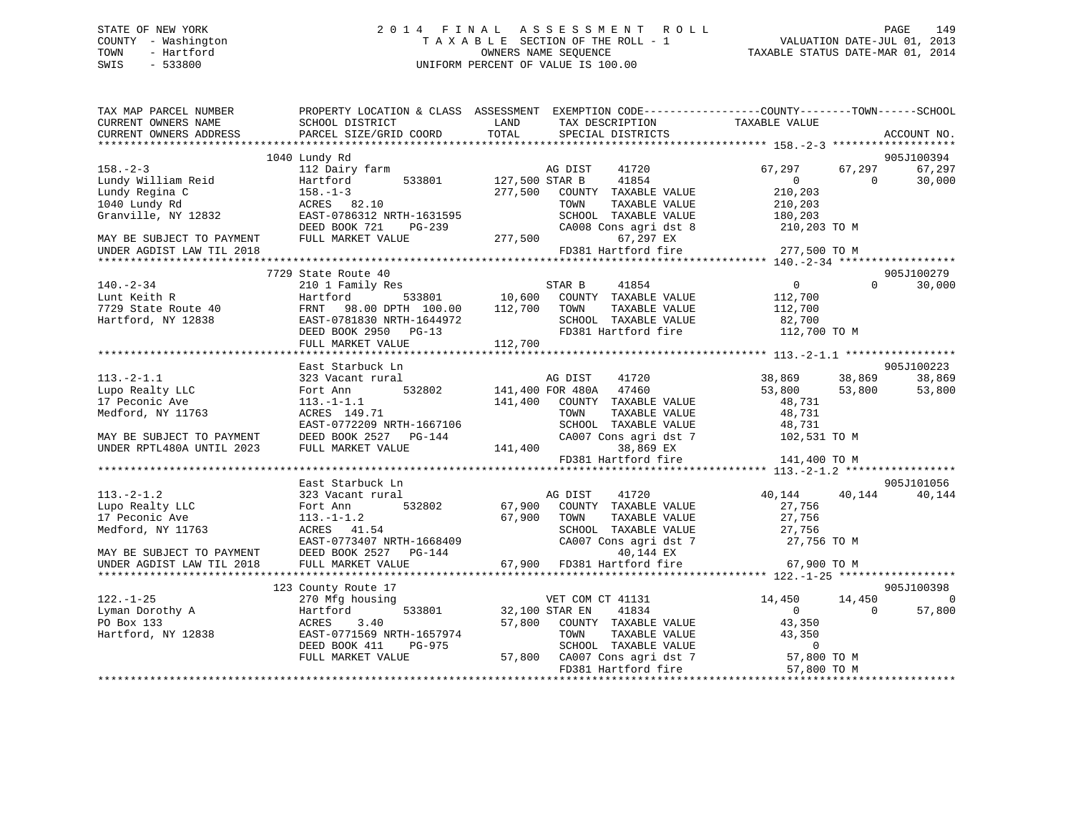# STATE OF NEW YORK 2 0 1 4 F I N A L A S S E S S M E N T R O L L PAGE 149 COUNTY - Washington T A X A B L E SECTION OF THE ROLL - 1 VALUATION DATE-JUL 01, 2013 TOWN - Hartford **TAXABLE STATUS DATE-MAR 01, 2014** OWNERS NAME SEQUENCE TAXABLE STATUS DATE-MAR 01, 2014 SWIS - 533800 UNIFORM PERCENT OF VALUE IS 100.00

| TAX MAP PARCEL NUMBER<br>CURRENT OWNERS NAME<br>CURRENT OWNERS ADDRESS | PROPERTY LOCATION & CLASS ASSESSMENT<br>SCHOOL DISTRICT<br>PARCEL SIZE/GRID COORD | LAND<br>TOTAL  | EXEMPTION CODE-----------------COUNTY-------TOWN------SCHOOL<br>TAX DESCRIPTION<br>SPECIAL DISTRICTS | TAXABLE VALUE                            |          | ACCOUNT NO.          |
|------------------------------------------------------------------------|-----------------------------------------------------------------------------------|----------------|------------------------------------------------------------------------------------------------------|------------------------------------------|----------|----------------------|
| ***********************                                                |                                                                                   |                |                                                                                                      |                                          |          |                      |
|                                                                        | 1040 Lundy Rd                                                                     |                |                                                                                                      |                                          |          | 905J100394           |
| $158. - 2 - 3$                                                         | 112 Dairy farm                                                                    |                | AG DIST<br>41720                                                                                     | 67,297                                   | 67,297   | 67,297               |
| Lundy William Reid                                                     | Hartford<br>533801                                                                | 127,500 STAR B | 41854                                                                                                | $\overline{0}$                           | $\Omega$ | 30,000               |
| Lundy Regina C                                                         | $158. - 1 - 3$                                                                    | 277,500        | COUNTY TAXABLE VALUE                                                                                 | 210,203                                  |          |                      |
| 1040 Lundy Rd                                                          | ACRES 82.10                                                                       |                | TOWN<br>TAXABLE VALUE                                                                                | 210,203                                  |          |                      |
| Granville, NY 12832                                                    | EAST-0786312 NRTH-1631595                                                         |                | SCHOOL TAXABLE VALUE                                                                                 | 180,203                                  |          |                      |
|                                                                        | DEED BOOK 721<br>$PG-239$                                                         |                | CA008 Cons agri dst 8                                                                                | 210,203 TO M                             |          |                      |
| MAY BE SUBJECT TO PAYMENT                                              | FULL MARKET VALUE                                                                 | 277,500        | 67,297 EX                                                                                            |                                          |          |                      |
| UNDER AGDIST LAW TIL 2018<br>* * * * * * * * * * * * * * *             |                                                                                   |                | FD381 Hartford fire                                                                                  | 277,500 TO M                             |          |                      |
|                                                                        |                                                                                   |                |                                                                                                      | ********** 140.-2-34 ******************* |          |                      |
| $140. - 2 - 34$                                                        | 7729 State Route 40                                                               |                | STAR B<br>41854                                                                                      | $\Omega$                                 | $\Omega$ | 905J100279<br>30,000 |
| Lunt Keith R                                                           | 210 1 Family Res<br>533801<br>Hartford                                            | 10,600         | COUNTY TAXABLE VALUE                                                                                 | 112,700                                  |          |                      |
| 7729 State Route 40                                                    | FRNT<br>98.00 DPTH 100.00                                                         | 112,700        | TOWN<br>TAXABLE VALUE                                                                                | 112,700                                  |          |                      |
| Hartford, NY 12838                                                     | EAST-0781830 NRTH-1644972                                                         |                | SCHOOL TAXABLE VALUE                                                                                 | 82,700                                   |          |                      |
|                                                                        | DEED BOOK 2950 PG-13                                                              |                | FD381 Hartford fire                                                                                  | 112,700 TO M                             |          |                      |
|                                                                        | FULL MARKET VALUE                                                                 | 112,700        |                                                                                                      |                                          |          |                      |
|                                                                        |                                                                                   |                |                                                                                                      |                                          |          |                      |
|                                                                        | East Starbuck Ln                                                                  |                |                                                                                                      |                                          |          | 905J100223           |
| $113. -2 - 1.1$                                                        | 323 Vacant rural                                                                  |                | AG DIST<br>41720                                                                                     | 38,869                                   | 38,869   | 38,869               |
| Lupo Realty LLC                                                        | 532802<br>Fort Ann                                                                |                | 141,400 FOR 480A 47460                                                                               | 53,800                                   | 53,800   | 53,800               |
| 17 Peconic Ave                                                         | $113.-1-1.1$                                                                      | 141,400        | COUNTY TAXABLE VALUE                                                                                 | 48,731                                   |          |                      |
| Medford, NY 11763                                                      | ACRES 149.71                                                                      |                | TOWN<br>TAXABLE VALUE                                                                                | 48,731                                   |          |                      |
|                                                                        | EAST-0772209 NRTH-1667106                                                         |                | SCHOOL TAXABLE VALUE                                                                                 | 48,731                                   |          |                      |
| MAY BE SUBJECT TO PAYMENT                                              | DEED BOOK 2527 PG-144                                                             |                | CA007 Cons agri dst 7                                                                                | 102,531 TO M                             |          |                      |
| UNDER RPTL480A UNTIL 2023                                              | FULL MARKET VALUE                                                                 | 141,400        | 38,869 EX                                                                                            |                                          |          |                      |
|                                                                        |                                                                                   |                | FD381 Hartford fire                                                                                  | 141,400 TO M                             |          |                      |
|                                                                        |                                                                                   |                |                                                                                                      |                                          |          |                      |
|                                                                        | East Starbuck Ln                                                                  |                |                                                                                                      |                                          |          | 905J101056           |
| $113. - 2 - 1.2$                                                       | 323 Vacant rural                                                                  |                | 41720<br>AG DIST                                                                                     | 40,144                                   | 40,144   | 40,144               |
| Lupo Realty LLC                                                        | 532802<br>Fort Ann                                                                |                | 67,900 COUNTY TAXABLE VALUE                                                                          | 27,756                                   |          |                      |
| 17 Peconic Ave                                                         | $113.-1-1.2$                                                                      | 67,900         | TOWN<br>TAXABLE VALUE                                                                                | 27,756                                   |          |                      |
| Medford, NY 11763                                                      | ACRES 41.54                                                                       |                | SCHOOL TAXABLE VALUE                                                                                 | 27,756                                   |          |                      |
|                                                                        | EAST-0773407 NRTH-1668409                                                         |                | CA007 Cons agri dst 7                                                                                | 27,756 TO M                              |          |                      |
| MAY BE SUBJECT TO PAYMENT                                              | DEED BOOK 2527 PG-144                                                             |                | 40,144 EX                                                                                            |                                          |          |                      |
| UNDER AGDIST LAW TIL 2018                                              | FULL MARKET VALUE                                                                 | 67,900         | FD381 Hartford fire                                                                                  | 67,900 TO M                              |          |                      |
|                                                                        |                                                                                   |                |                                                                                                      |                                          |          |                      |
|                                                                        | 123 County Route 17                                                               |                |                                                                                                      |                                          |          | 905J100398           |
| $122. - 1 - 25$                                                        | 270 Mfg housing                                                                   |                | VET COM CT 41131                                                                                     | 14,450                                   | 14,450   | $\Omega$             |
| Lyman Dorothy A                                                        | Hartford<br>533801                                                                |                | 41834<br>32,100 STAR EN                                                                              | $\Omega$                                 | $\Omega$ | 57,800               |
| PO Box 133                                                             | 3.40<br>ACRES                                                                     | 57,800         | COUNTY TAXABLE VALUE                                                                                 | 43,350                                   |          |                      |
| Hartford, NY 12838                                                     | EAST-0771569 NRTH-1657974                                                         |                | TOWN<br>TAXABLE VALUE                                                                                | 43,350                                   |          |                      |
|                                                                        | DEED BOOK 411<br>PG-975                                                           |                | SCHOOL TAXABLE VALUE                                                                                 | $\overline{0}$                           |          |                      |
|                                                                        | FULL MARKET VALUE                                                                 |                | 57,800 CA007 Cons agri dst 7                                                                         | 57,800 TO M                              |          |                      |
|                                                                        |                                                                                   |                | FD381 Hartford fire                                                                                  | 57,800 TO M                              |          |                      |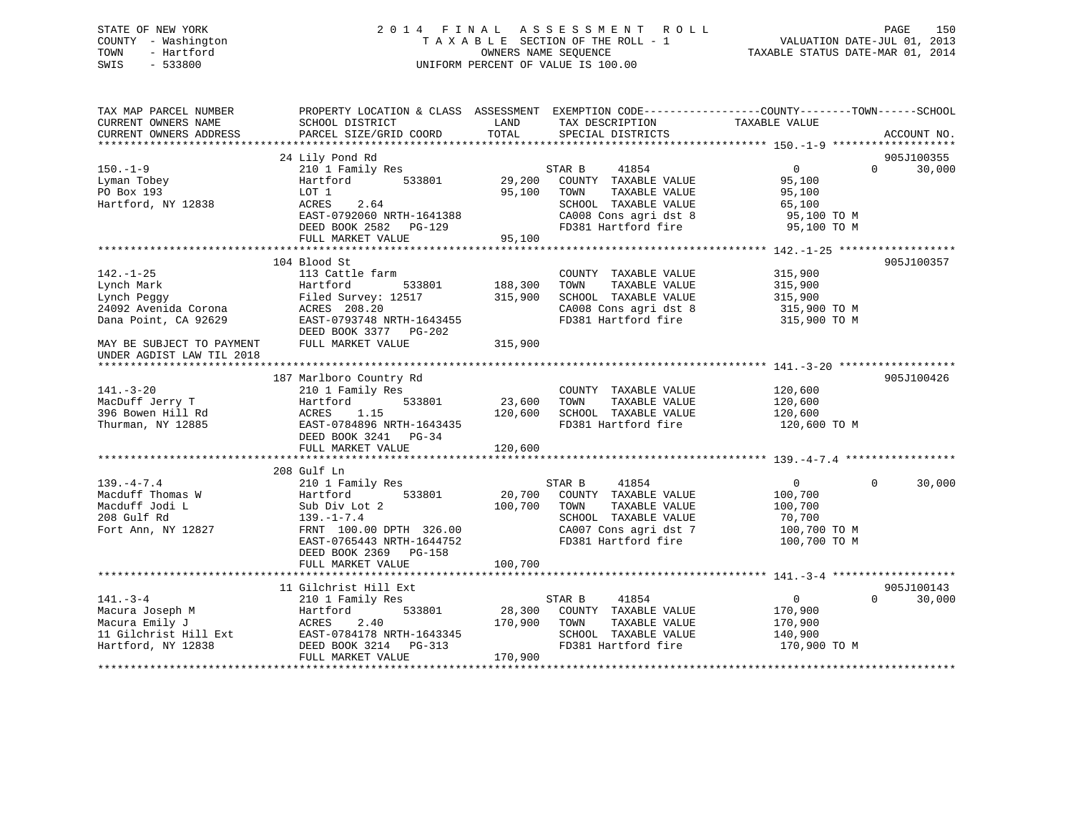#### STATE OF NEW YORK 2014 FINAL ASSESSMENT ROLL PAGE 150 COUNTY - Washington  $T A X A B L E$  SECTION OF THE ROLL - 1<br>TOWN - Hartford OWNERS NAME SEQUENCE TAXABLE STATUS DATE-MAR 01, 2014 SWIS - 533800 UNIFORM PERCENT OF VALUE IS 100.00

| TAX MAP PARCEL NUMBER<br>CURRENT OWNERS NAME<br>CURRENT OWNERS ADDRESS | PROPERTY LOCATION & CLASS ASSESSMENT EXEMPTION CODE----------------COUNTY-------TOWN-----SCHOOL<br>SCHOOL DISTRICT<br>PARCEL SIZE/GRID COORD | LAND<br>TOTAL | TAX DESCRIPTION<br>SPECIAL DISTRICTS | TAXABLE VALUE     | ACCOUNT NO.        |
|------------------------------------------------------------------------|----------------------------------------------------------------------------------------------------------------------------------------------|---------------|--------------------------------------|-------------------|--------------------|
|                                                                        |                                                                                                                                              |               |                                      |                   |                    |
|                                                                        | 24 Lily Pond Rd                                                                                                                              |               |                                      |                   | 905J100355         |
| $150. - 1 - 9$                                                         | 210 1 Family Res                                                                                                                             |               | 41854<br>STAR B                      | $0 \qquad \qquad$ | 30,000<br>$\Omega$ |
| Lyman Tobey                                                            | Hartford<br>533801                                                                                                                           | 29,200        | COUNTY TAXABLE VALUE                 | 95,100            |                    |
| PO Box 193                                                             | LOT 1                                                                                                                                        | 95,100        | TOWN<br>TAXABLE VALUE                | 95,100            |                    |
| Hartford, NY 12838                                                     | ACRES<br>2.64                                                                                                                                |               | SCHOOL TAXABLE VALUE                 | 65,100            |                    |
|                                                                        | EAST-0792060 NRTH-1641388                                                                                                                    |               | CA008 Cons agri dst 8                | 95,100 TO M       |                    |
|                                                                        | DEED BOOK 2582 PG-129                                                                                                                        |               | FD381 Hartford fire                  | 95,100 TO M       |                    |
|                                                                        | FULL MARKET VALUE                                                                                                                            | 95,100        |                                      |                   |                    |
|                                                                        |                                                                                                                                              |               |                                      |                   |                    |
|                                                                        | 104 Blood St                                                                                                                                 |               |                                      |                   | 905J100357         |
| $142. - 1 - 25$                                                        | 113 Cattle farm                                                                                                                              |               | COUNTY TAXABLE VALUE                 | 315,900           |                    |
| Lynch Mark                                                             | Hartford<br>533801                                                                                                                           | 188,300       | TOWN<br>TAXABLE VALUE                | 315,900           |                    |
| Lynch Peggy                                                            | Filed Survey: 12517                                                                                                                          | 315,900       | SCHOOL TAXABLE VALUE                 | 315,900           |                    |
| 24092 Avenida Corona                                                   | ACRES 208.20                                                                                                                                 |               | CA008 Cons agri dst 8                | 315,900 TO M      |                    |
| Dana Point, CA 92629                                                   | EAST-0793748 NRTH-1643455                                                                                                                    |               | FD381 Hartford fire                  | 315,900 TO M      |                    |
|                                                                        | DEED BOOK 3377 PG-202                                                                                                                        |               |                                      |                   |                    |
| MAY BE SUBJECT TO PAYMENT                                              | FULL MARKET VALUE                                                                                                                            | 315,900       |                                      |                   |                    |
| UNDER AGDIST LAW TIL 2018                                              |                                                                                                                                              |               |                                      |                   |                    |
|                                                                        |                                                                                                                                              |               |                                      |                   |                    |
|                                                                        | 187 Marlboro Country Rd                                                                                                                      |               |                                      |                   | 905J100426         |
| $141. - 3 - 20$                                                        | 210 1 Family Res                                                                                                                             |               | COUNTY TAXABLE VALUE                 | 120,600           |                    |
| MacDuff Jerry T                                                        | Hartford<br>533801                                                                                                                           | 23,600        | TOWN<br>TAXABLE VALUE                | 120,600           |                    |
| 396 Bowen Hill Rd                                                      | ACRES<br>1.15                                                                                                                                | 120,600       | SCHOOL TAXABLE VALUE                 | 120,600           |                    |
| Thurman, NY 12885                                                      | EAST-0784896 NRTH-1643435                                                                                                                    |               | FD381 Hartford fire                  | 120,600 TO M      |                    |
|                                                                        | DEED BOOK 3241 PG-34                                                                                                                         |               |                                      |                   |                    |
|                                                                        | FULL MARKET VALUE                                                                                                                            | 120,600       |                                      |                   |                    |
|                                                                        |                                                                                                                                              |               |                                      |                   |                    |
|                                                                        | 208 Gulf Ln                                                                                                                                  |               |                                      |                   |                    |
| $139. -4 - 7.4$                                                        | 210 1 Family Res                                                                                                                             |               | STAR B<br>41854                      | $\Omega$          | $\Omega$<br>30,000 |
| Macduff Thomas W                                                       | 533801<br>Hartford                                                                                                                           | 20,700        | COUNTY TAXABLE VALUE                 | 100,700           |                    |
| Macduff Jodi L                                                         | Sub Div Lot 2                                                                                                                                | 100,700       | TOWN<br>TAXABLE VALUE                | 100,700           |                    |
| 208 Gulf Rd                                                            | $139. - 1 - 7.4$                                                                                                                             |               | SCHOOL TAXABLE VALUE                 | 70,700            |                    |
| Fort Ann, NY 12827                                                     | FRNT 100.00 DPTH 326.00                                                                                                                      |               | CA007 Cons agri dst 7                | 100,700 TO M      |                    |
|                                                                        | EAST-0765443 NRTH-1644752                                                                                                                    |               | FD381 Hartford fire                  | 100,700 TO M      |                    |
|                                                                        | DEED BOOK 2369 PG-158                                                                                                                        |               |                                      |                   |                    |
|                                                                        | FULL MARKET VALUE                                                                                                                            | 100,700       |                                      |                   |                    |
|                                                                        |                                                                                                                                              |               |                                      |                   |                    |
|                                                                        | 11 Gilchrist Hill Ext                                                                                                                        |               |                                      |                   | 905J100143         |
| $141. - 3 - 4$                                                         | 210 1 Family Res                                                                                                                             |               | STAR B<br>41854                      | $\mathbf{0}$      | $\Omega$<br>30,000 |
| Macura Joseph M                                                        | 533801<br>Hartford                                                                                                                           | 28,300        | COUNTY TAXABLE VALUE                 | 170,900           |                    |
| Macura Emily J                                                         | ACRES<br>2.40                                                                                                                                | 170,900       | TOWN<br>TAXABLE VALUE                | 170,900           |                    |
| 11 Gilchrist Hill Ext                                                  | EAST-0784178 NRTH-1643345                                                                                                                    |               | SCHOOL TAXABLE VALUE                 | 140,900           |                    |
| Hartford, NY 12838                                                     | DEED BOOK 3214 PG-313                                                                                                                        |               | FD381 Hartford fire                  | 170,900 TO M      |                    |
|                                                                        | FULL MARKET VALUE                                                                                                                            | 170,900       |                                      |                   |                    |
|                                                                        |                                                                                                                                              |               |                                      |                   |                    |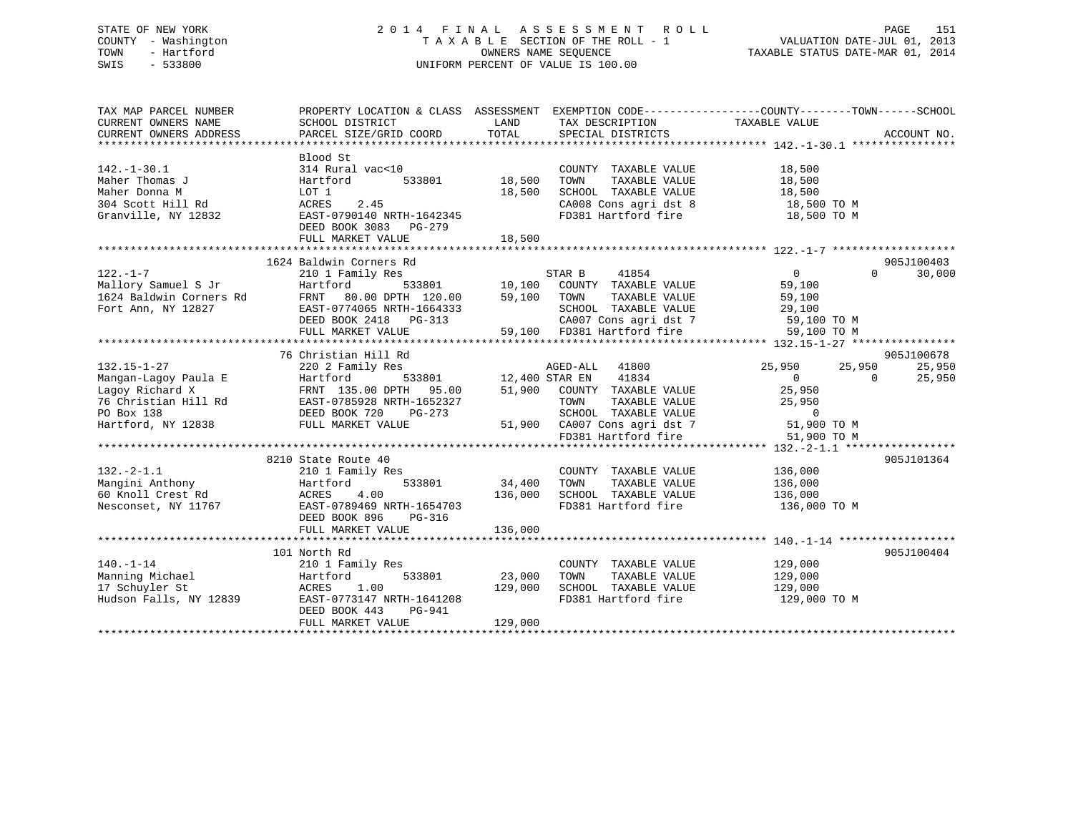# STATE OF NEW YORK 2 0 1 4 F I N A L A S S E S S M E N T R O L L PAGE 151 COUNTY - Washington T A X A B L E SECTION OF THE ROLL - 1 VALUATION DATE-JUL 01, 2013 TOWN - Hartford **TAXABLE STATUS DATE-MAR 01, 2014** OWNERS NAME SEQUENCE TAXABLE STATUS DATE-MAR 01, 2014 SWIS - 533800 UNIFORM PERCENT OF VALUE IS 100.00

| TAX MAP PARCEL NUMBER<br>CURRENT OWNERS NAME<br>CURRENT OWNERS ADDRESS                           | PROPERTY LOCATION & CLASS ASSESSMENT EXEMPTION CODE---------------COUNTY-------TOWN-----SCHOOL<br>SCHOOL DISTRICT<br>PARCEL SIZE/GRID COORD                                                                                                                                                                                                                                        | LAND<br>TOTAL                       | TAX DESCRIPTION TAXABLE VALUE SPECIAL DISTRICTS                                                                                                                          |                                                          | ACCOUNT NO.                    |
|--------------------------------------------------------------------------------------------------|------------------------------------------------------------------------------------------------------------------------------------------------------------------------------------------------------------------------------------------------------------------------------------------------------------------------------------------------------------------------------------|-------------------------------------|--------------------------------------------------------------------------------------------------------------------------------------------------------------------------|----------------------------------------------------------|--------------------------------|
| $142. - 1 - 30.1$<br>Maher Thomas J<br>Maher Donna M<br>304 Scott Hill Rd<br>Granville, NY 12832 | Blood St<br>314 Rural vac<10<br>Hartford<br>LOT 1<br>ACRES<br>2.45<br>EAST-0790140 NRTH-1642345<br>DEED BOOK 3083 - DO 270<br>FULL MARKET VALUE                                                                                                                                                                                                                                    | 533801 18,500<br>18,500<br>18,500   | COUNTY TAXABLE VALUE<br>TAXABLE VALUE<br>TOWN<br>SCHOOL TAXABLE VALUE<br>CA008 Cons agri dst 8 18,500 TO M<br>FD381 Hartford fire                                        | 18,500<br>$\frac{10}{18}, \frac{50}{500}$<br>18,500 TO M |                                |
|                                                                                                  |                                                                                                                                                                                                                                                                                                                                                                                    |                                     |                                                                                                                                                                          |                                                          | 905J100403                     |
|                                                                                                  | 122.-1-7<br>Mallory Samuel S Jr Hartford 533801<br>1624 Baldwin Corners Rd FRNT 80.00 DPTH 120.00<br>Fort Ann, NY 12827<br>EAST-0774065 NRTH-1664333<br>DEED BOOK 2418 PG-313<br>THE MARKET VALUE<br>EAST-0774065 NRTH-1664333<br>DEED BOOK 2418 PG-313<br>FULL MARKET VALUE 59,100<br>FD381 Hartford fire 59,100 TO M<br>FULL MARKET VALUE 59,100 FD381 Hartford fire 59,100 TO M | 59,100 TOWN                         | TAXABLE VALUE                                                                                                                                                            | $\overline{0}$<br>59,100<br>59,100                       | $\Omega$<br>30,000             |
|                                                                                                  |                                                                                                                                                                                                                                                                                                                                                                                    |                                     |                                                                                                                                                                          |                                                          |                                |
| $132.15 - 1 - 27$                                                                                | 76 Christian Hill Rd<br>220 2 Family Res                                                                                                                                                                                                                                                                                                                                           |                                     | 1652327 TOWN TAXABLE VALUE 25,950<br>3-273 SCHOOL TAXABLE VALUE 0<br>51,900 CA007 Cons agri dst 7 51,900 TO M<br>FD381 Hartford fire 51,900 TO M                         | 25,950<br>25,950<br>$\overline{0}$                       | 905J100678<br>25,950<br>25,950 |
|                                                                                                  |                                                                                                                                                                                                                                                                                                                                                                                    |                                     |                                                                                                                                                                          |                                                          |                                |
| $132. -2 - 1.1$                                                                                  | 8210 State Route 40<br>210 1 Family Res<br>DEED BOOK 896<br>PG-316<br>FULL MARKET VALUE                                                                                                                                                                                                                                                                                            | 533801 34,400<br>136,000<br>136,000 | COUNTY TAXABLE VALUE<br>TOWN<br>TAXABLE VALUE<br>SCHOOL   TAXABLE  VALUE                           136,000<br>FD381  Hartford fire                          136,000 TO M | 136,000<br>136,000                                       | 905J101364                     |
|                                                                                                  |                                                                                                                                                                                                                                                                                                                                                                                    |                                     |                                                                                                                                                                          |                                                          |                                |
| $140. - 1 - 14$<br>Manning Michael<br>17 Schuyler St                                             | 101 North Rd<br>210 1 Family Res<br>533801<br>Hartford<br>129,000<br>ACRES 1.00<br>Hudson Falls, NY 12839 EAST-0773147 NRTH-1641208<br>DEED BOOK 443<br>PG-941<br>FULL MARKET VALUE                                                                                                                                                                                                | 23,000<br>129,000                   | COUNTY TAXABLE VALUE 129,000<br>TOWN<br>TAXABLE VALUE                                                                                                                    | 129,000                                                  | 905J100404                     |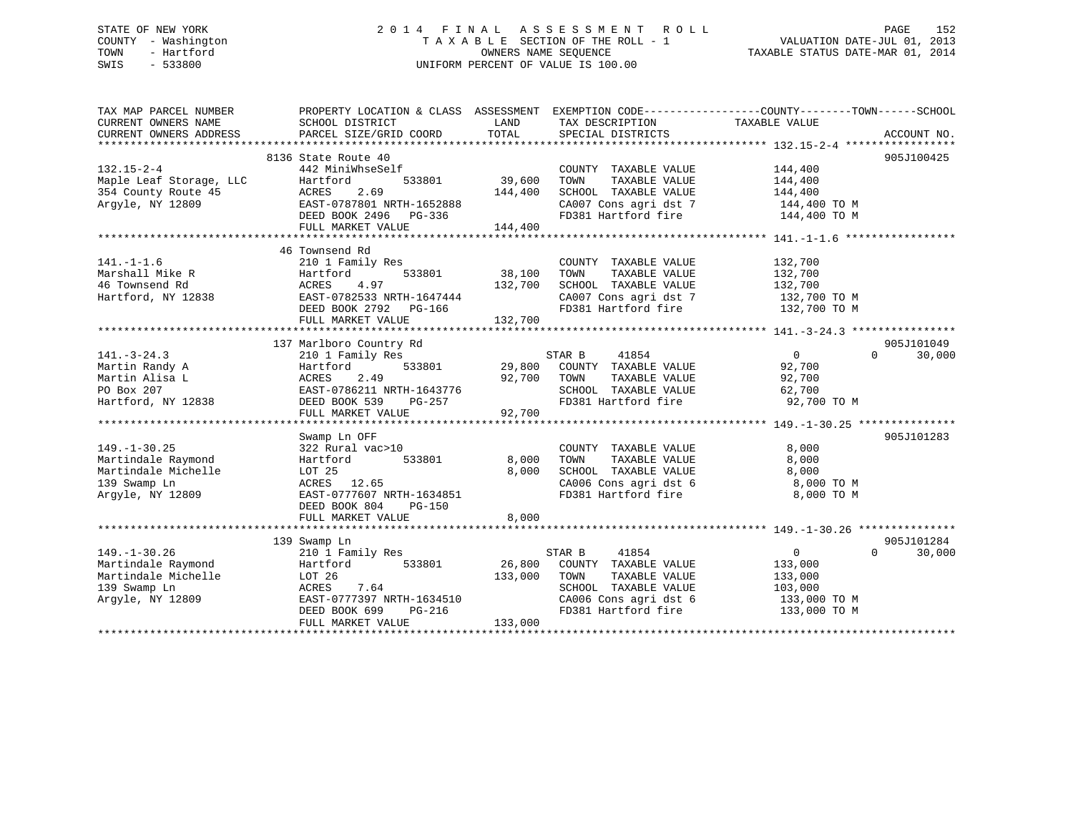# STATE OF NEW YORK 2 0 1 4 F I N A L A S S E S S M E N T R O L L PAGE 152 COUNTY - Washington T A X A B L E SECTION OF THE ROLL - 1 VALUATION DATE-JUL 01, 2013 TOWN - Hartford **TAXABLE STATUS DATE-MAR 01, 2014** OWNERS NAME SEQUENCE TAXABLE STATUS DATE-MAR 01, 2014 SWIS - 533800 UNIFORM PERCENT OF VALUE IS 100.00

| TAX MAP PARCEL NUMBER<br>CURRENT OWNERS NAME<br>CURRENT OWNERS ADDRESS | PROPERTY LOCATION & CLASS ASSESSMENT<br>SCHOOL DISTRICT<br>PARCEL SIZE/GRID COORD | LAND<br>TOTAL | TAX DESCRIPTION<br>SPECIAL DISTRICTS    | EXEMPTION CODE-----------------COUNTY-------TOWN------SCHOOL<br>TAXABLE VALUE | ACCOUNT NO.            |
|------------------------------------------------------------------------|-----------------------------------------------------------------------------------|---------------|-----------------------------------------|-------------------------------------------------------------------------------|------------------------|
|                                                                        |                                                                                   |               |                                         |                                                                               |                        |
|                                                                        | 8136 State Route 40                                                               |               |                                         |                                                                               | 905J100425             |
| $132.15 - 2 - 4$                                                       | 442 MiniWhseSelf                                                                  |               | COUNTY TAXABLE VALUE                    | 144,400                                                                       |                        |
| Maple Leaf Storage, LLC                                                | 533801<br>Hartford                                                                | 39,600        | TAXABLE VALUE<br>TOWN                   | 144,400                                                                       |                        |
| 354 County Route 45                                                    | 2.69<br>ACRES                                                                     | 144,400       | SCHOOL TAXABLE VALUE                    | 144,400                                                                       |                        |
| Argyle, NY 12809                                                       | EAST-0787801 NRTH-1652888                                                         |               | CA007 Cons agri dst 7                   | 144,400 TO M                                                                  |                        |
|                                                                        | DEED BOOK 2496 PG-336                                                             |               | FD381 Hartford fire                     | 144,400 TO M                                                                  |                        |
|                                                                        | FULL MARKET VALUE                                                                 | 144,400       |                                         |                                                                               |                        |
|                                                                        |                                                                                   |               |                                         |                                                                               |                        |
|                                                                        | 46 Townsend Rd                                                                    |               |                                         |                                                                               |                        |
| $141. - 1 - 1.6$                                                       | 210 1 Family Res                                                                  |               | COUNTY TAXABLE VALUE                    | 132,700                                                                       |                        |
| Marshall Mike R                                                        | 533801<br>Hartford                                                                | 38,100        | TOWN<br>TAXABLE VALUE                   | 132,700                                                                       |                        |
| 46 Townsend Rd                                                         | 4.97<br>ACRES                                                                     | 132,700       | SCHOOL TAXABLE VALUE                    | 132,700                                                                       |                        |
| Hartford, NY 12838                                                     | EAST-0782533 NRTH-1647444                                                         |               | CA007 Cons agri dst 7                   | 132,700 TO M                                                                  |                        |
|                                                                        | DEED BOOK 2792 PG-166                                                             |               | FD381 Hartford fire                     | 132,700 TO M                                                                  |                        |
|                                                                        | FULL MARKET VALUE                                                                 | 132,700       |                                         |                                                                               |                        |
|                                                                        |                                                                                   |               |                                         |                                                                               |                        |
|                                                                        | 137 Marlboro Country Rd                                                           |               |                                         |                                                                               | 905J101049<br>$\Omega$ |
| $141. - 3 - 24.3$<br>Martin Randy A                                    | 210 1 Family Res<br>533801<br>Hartford                                            | 29,800        | STAR B<br>41854<br>COUNTY TAXABLE VALUE | $\overline{0}$<br>92,700                                                      | 30,000                 |
| Martin Alisa L                                                         | 2.49<br>ACRES                                                                     | 92,700        | TAXABLE VALUE<br>TOWN                   | 92,700                                                                        |                        |
| PO Box 207                                                             | EAST-0786211 NRTH-1643776                                                         |               | SCHOOL TAXABLE VALUE                    | 62,700                                                                        |                        |
| Hartford, NY 12838                                                     | DEED BOOK 539<br>PG-257                                                           |               | FD381 Hartford fire                     | 92,700 TO M                                                                   |                        |
|                                                                        | FULL MARKET VALUE                                                                 | 92,700        |                                         |                                                                               |                        |
|                                                                        |                                                                                   |               |                                         |                                                                               |                        |
|                                                                        | Swamp Ln OFF                                                                      |               |                                         |                                                                               | 905J101283             |
| $149. - 1 - 30.25$                                                     | 322 Rural vac>10                                                                  |               | COUNTY TAXABLE VALUE                    | 8,000                                                                         |                        |
| Martindale Raymond                                                     | 533801<br>Hartford                                                                | 8,000         | TOWN<br>TAXABLE VALUE                   | 8,000                                                                         |                        |
| Martindale Michelle                                                    | LOT 25                                                                            | 8,000         | SCHOOL TAXABLE VALUE                    | 8,000                                                                         |                        |
| 139 Swamp Ln                                                           | 12.65<br>ACRES                                                                    |               | CA006 Cons agri dst 6                   | 8,000 TO M                                                                    |                        |
| Argyle, NY 12809                                                       | EAST-0777607 NRTH-1634851                                                         |               | FD381 Hartford fire                     | 8,000 TO M                                                                    |                        |
|                                                                        | DEED BOOK 804<br><b>PG-150</b>                                                    |               |                                         |                                                                               |                        |
|                                                                        | FULL MARKET VALUE                                                                 | 8,000         |                                         |                                                                               |                        |
|                                                                        |                                                                                   |               |                                         |                                                                               |                        |
|                                                                        | 139 Swamp Ln                                                                      |               |                                         |                                                                               | 905J101284             |
| $149. - 1 - 30.26$                                                     | 210 1 Family Res                                                                  |               | STAR B<br>41854                         | $\Omega$                                                                      | 30,000<br>$\Omega$     |
| Martindale Raymond                                                     | Hartford<br>533801                                                                | 26,800        | COUNTY TAXABLE VALUE                    | 133,000                                                                       |                        |
| Martindale Michelle                                                    | LOT 26                                                                            | 133,000       | TOWN<br>TAXABLE VALUE                   | 133,000                                                                       |                        |
| 139 Swamp Ln                                                           | ACRES<br>7.64                                                                     |               | SCHOOL TAXABLE VALUE                    | 103,000                                                                       |                        |
| Argyle, NY 12809                                                       | EAST-0777397 NRTH-1634510                                                         |               | CA006 Cons agri dst 6                   | 133,000 TO M                                                                  |                        |
|                                                                        | DEED BOOK 699<br>PG-216                                                           |               | FD381 Hartford fire                     | 133,000 TO M                                                                  |                        |
|                                                                        | FULL MARKET VALUE                                                                 | 133,000       |                                         |                                                                               |                        |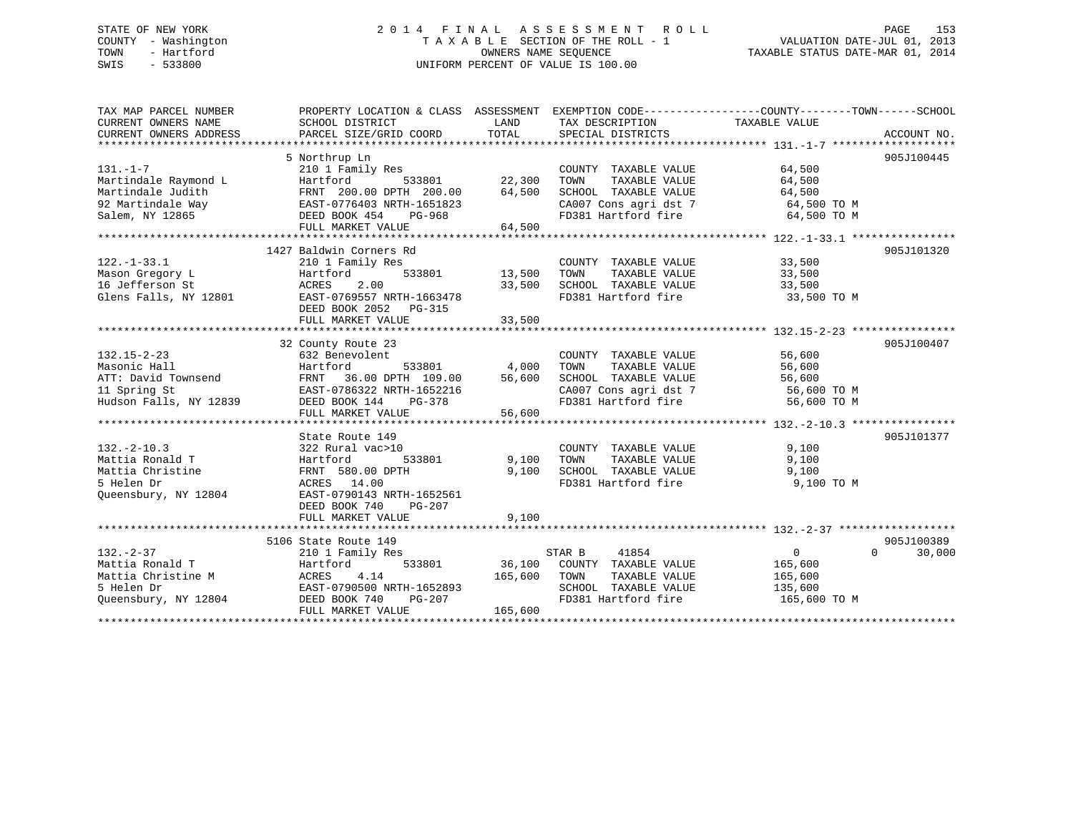# STATE OF NEW YORK 2 0 1 4 F I N A L A S S E S S M E N T R O L L PAGE 153 COUNTY - Washington T A X A B L E SECTION OF THE ROLL - 1 VALUATION DATE-JUL 01, 2013 TOWN - Hartford **TAXABLE STATUS DATE-MAR 01, 2014** OWNERS NAME SEQUENCE TAXABLE STATUS DATE-MAR 01, 2014 SWIS - 533800 UNIFORM PERCENT OF VALUE IS 100.00

| TAX MAP PARCEL NUMBER                                         | PROPERTY LOCATION & CLASS ASSESSMENT EXEMPTION CODE---------------COUNTY-------TOWN-----SCHOOL |               |                                              |                                                                                                                                                                                                                                                                                                                                    |                    |
|---------------------------------------------------------------|------------------------------------------------------------------------------------------------|---------------|----------------------------------------------|------------------------------------------------------------------------------------------------------------------------------------------------------------------------------------------------------------------------------------------------------------------------------------------------------------------------------------|--------------------|
| CURRENT OWNERS NAME                                           | SCHOOL DISTRICT                                                                                | LAND          | TAX DESCRIPTION                              | TAXABLE VALUE                                                                                                                                                                                                                                                                                                                      |                    |
| CURRENT OWNERS ADDRESS                                        | PARCEL SIZE/GRID COORD                                                                         | TOTAL         | SPECIAL DISTRICTS                            |                                                                                                                                                                                                                                                                                                                                    | ACCOUNT NO.        |
|                                                               |                                                                                                |               |                                              |                                                                                                                                                                                                                                                                                                                                    |                    |
|                                                               | 5 Northrup Ln                                                                                  |               |                                              |                                                                                                                                                                                                                                                                                                                                    | 905J100445         |
| $131. - 1 - 7$                                                | 210 1 Family Res                                                                               |               | COUNTY TAXABLE VALUE                         | 64,500                                                                                                                                                                                                                                                                                                                             |                    |
| Martindale Raymond L                                          | 533801 22,300<br>00 DPTH 200.00 64.500<br>Hartford                                             |               | TAXABLE VALUE<br>TOWN                        | 64,500                                                                                                                                                                                                                                                                                                                             |                    |
| Martindale Judith                                             |                                                                                                | 64,500        | SCHOOL TAXABLE VALUE                         | 64,500                                                                                                                                                                                                                                                                                                                             |                    |
| 92 Martindale Way                                             | EAST-0776403 NRTH-1651823                                                                      |               | CA007 Cons agri dst 7 64,500 TO M            |                                                                                                                                                                                                                                                                                                                                    |                    |
| Salem, NY 12865                                               | DEED BOOK 454<br>PG-968                                                                        |               | FD381 Hartford fire                          | 64,500 TO M                                                                                                                                                                                                                                                                                                                        |                    |
|                                                               | FULL MARKET VALUE                                                                              | 64,500        |                                              |                                                                                                                                                                                                                                                                                                                                    |                    |
|                                                               |                                                                                                |               |                                              |                                                                                                                                                                                                                                                                                                                                    |                    |
|                                                               | 1427 Baldwin Corners Rd                                                                        |               |                                              |                                                                                                                                                                                                                                                                                                                                    | 905J101320         |
| $122. - 1 - 33.1$                                             | 210 1 Family Res                                                                               |               | COUNTY TAXABLE VALUE 33,500                  |                                                                                                                                                                                                                                                                                                                                    |                    |
| Mason Gregory L                                               | Hartford                                                                                       | 533801 13,500 | TOWN<br>TAXABLE VALUE                        | 33,500                                                                                                                                                                                                                                                                                                                             |                    |
| 16 Jefferson St<br>Glens Falls, NY 12801                      | ACRES 2.00                                                                                     | 33,500        | SCHOOL TAXABLE VALUE<br>FD381 Hartford fire  | 33,500                                                                                                                                                                                                                                                                                                                             |                    |
|                                                               | EAST-0769557 NRTH-1663478                                                                      |               |                                              | 33,500 TO M                                                                                                                                                                                                                                                                                                                        |                    |
|                                                               | DEED BOOK 2052 PG-315                                                                          |               |                                              |                                                                                                                                                                                                                                                                                                                                    |                    |
|                                                               | FULL MARKET VALUE                                                                              | 33,500        |                                              |                                                                                                                                                                                                                                                                                                                                    |                    |
|                                                               |                                                                                                |               |                                              |                                                                                                                                                                                                                                                                                                                                    |                    |
|                                                               | 32 County Route 23                                                                             |               |                                              |                                                                                                                                                                                                                                                                                                                                    | 905J100407         |
| $132.15 - 2 - 23$                                             | 632 Benevolent                                                                                 |               | COUNTY TAXABLE VALUE                         | 56,600                                                                                                                                                                                                                                                                                                                             |                    |
| Masonic Hall                                                  | Hartford                                                                                       | 533801 4,000  | TOWN<br>TAXABLE VALUE                        | 56,600                                                                                                                                                                                                                                                                                                                             |                    |
| ATT: David Townsend<br>11 Spring St<br>Hudson Falls, NY 12839 | FRNT<br>36.00 DPTH 109.00                                                                      | 56,600        | SCHOOL TAXABLE VALUE                         | 56,600                                                                                                                                                                                                                                                                                                                             |                    |
|                                                               | EAST-0786322 NRTH-1652216                                                                      |               | CA007 Cons agri dst 7<br>FD381 Hartford fire | 56,600 TO M                                                                                                                                                                                                                                                                                                                        |                    |
|                                                               | DEED BOOK 144<br>PG-378                                                                        |               |                                              | 56,600 TO M                                                                                                                                                                                                                                                                                                                        |                    |
|                                                               | FULL MARKET VALUE                                                                              | 56,600        |                                              |                                                                                                                                                                                                                                                                                                                                    |                    |
|                                                               |                                                                                                |               |                                              |                                                                                                                                                                                                                                                                                                                                    |                    |
|                                                               | State Route 149                                                                                |               |                                              |                                                                                                                                                                                                                                                                                                                                    | 905J101377         |
| $132 - 2 - 10.3$                                              | 322 Rural vac>10                                                                               |               | COUNTY TAXABLE VALUE                         | 9,100                                                                                                                                                                                                                                                                                                                              |                    |
| Mattia Ronald T                                               | Hartford<br>533801                                                                             | 9,100         | TOWN<br>TAXABLE VALUE                        | 9,100                                                                                                                                                                                                                                                                                                                              |                    |
| Mattia Christine                                              | FRNT 580.00 DPTH                                                                               | 9,100         | SCHOOL TAXABLE VALUE                         | 9,100                                                                                                                                                                                                                                                                                                                              |                    |
| 5 Helen Dr                                                    | ACRES 14.00                                                                                    |               | FD381 Hartford fire                          | 9,100 TO M                                                                                                                                                                                                                                                                                                                         |                    |
| Queensbury, NY 12804                                          | EAST-0790143 NRTH-1652561                                                                      |               |                                              |                                                                                                                                                                                                                                                                                                                                    |                    |
|                                                               | DEED BOOK 740<br>PG-207                                                                        |               |                                              |                                                                                                                                                                                                                                                                                                                                    |                    |
|                                                               | FULL MARKET VALUE                                                                              | 9,100         |                                              |                                                                                                                                                                                                                                                                                                                                    |                    |
|                                                               |                                                                                                |               |                                              |                                                                                                                                                                                                                                                                                                                                    |                    |
|                                                               | 5106 State Route 149                                                                           |               |                                              |                                                                                                                                                                                                                                                                                                                                    | 905J100389         |
| $132 - 2 - 37$                                                | 210 1 Family Res                                                                               |               | 41854<br>STAR B                              | $\overline{0}$ and $\overline{0}$ and $\overline{0}$ and $\overline{0}$ and $\overline{0}$ and $\overline{0}$ and $\overline{0}$ and $\overline{0}$ and $\overline{0}$ and $\overline{0}$ and $\overline{0}$ and $\overline{0}$ and $\overline{0}$ and $\overline{0}$ and $\overline{0}$ and $\overline{0}$ and $\overline{0}$ and | $\Omega$<br>30,000 |
| Mattia Ronald T                                               | 533801<br>Hartford                                                                             |               | 36,100 COUNTY TAXABLE VALUE                  | 165,600                                                                                                                                                                                                                                                                                                                            |                    |
| Mattia Christine M                                            | ACRES<br>4.14                                                                                  | 165,600 TOWN  | TAXABLE VALUE                                | 165,600                                                                                                                                                                                                                                                                                                                            |                    |
| 5 Helen Dr                                                    | EAST-0790500 NRTH-1652893                                                                      |               | SCHOOL TAXABLE VALUE 135,600                 |                                                                                                                                                                                                                                                                                                                                    |                    |
| Queensbury, NY 12804                                          | DEED BOOK 740<br>PG-207                                                                        |               | FD381 Hartford fire                          | 165,600 TO M                                                                                                                                                                                                                                                                                                                       |                    |
|                                                               | FULL MARKET VALUE                                                                              | 165,600       |                                              |                                                                                                                                                                                                                                                                                                                                    |                    |
|                                                               |                                                                                                |               |                                              |                                                                                                                                                                                                                                                                                                                                    |                    |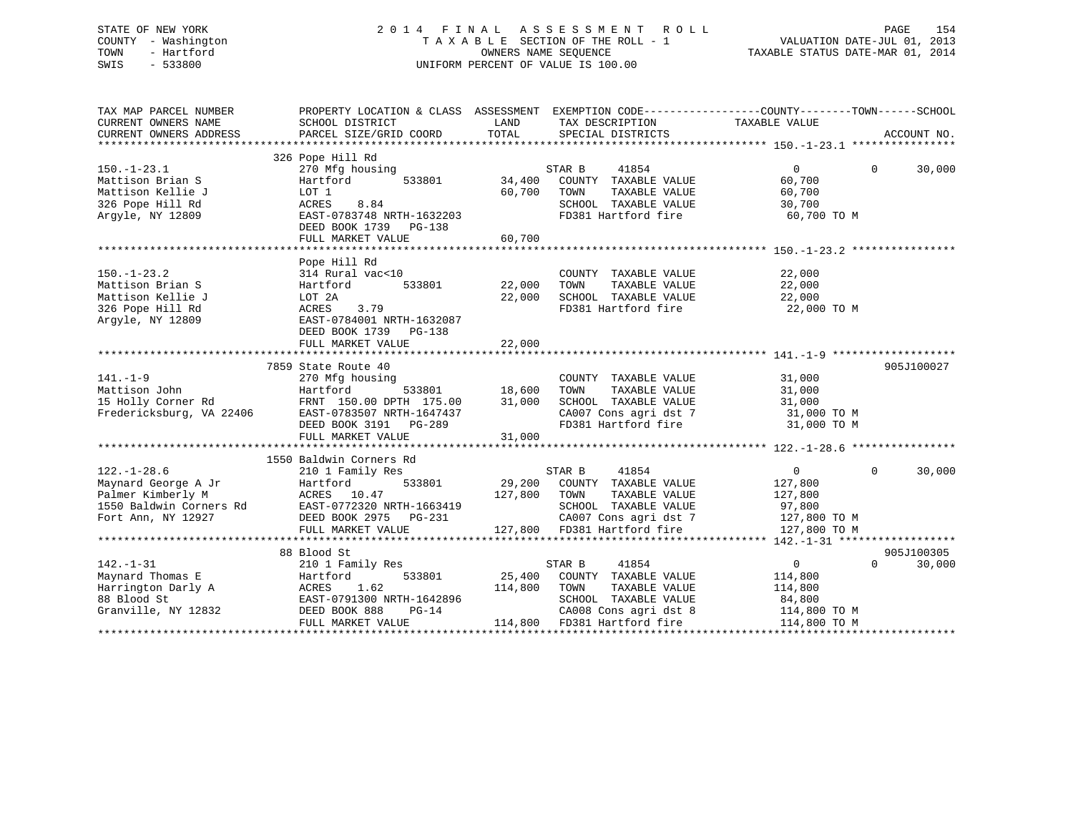# STATE OF NEW YORK 2 0 1 4 F I N A L A S S E S S M E N T R O L L PAGE 154 COUNTY - Washington T A X A B L E SECTION OF THE ROLL - 1 VALUATION DATE-JUL 01, 2013 TOWN - Hartford **TAXABLE STATUS DATE-MAR 01, 2014** OWNERS NAME SEQUENCE TAXABLE STATUS DATE-MAR 01, 2014 SWIS - 533800 UNIFORM PERCENT OF VALUE IS 100.00

| 326 Pope Hill Rd<br>STAR B<br>41854<br>$\Omega$<br>$\Omega$<br>30,000<br>$150. - 1 - 23.1$<br>270 Mfg housing<br>Mattison Brian S<br>Hartford<br>34,400<br>COUNTY TAXABLE VALUE<br>60,700<br>533801<br>Mattison Kellie J<br>60,700<br>TAXABLE VALUE<br>60,700<br>LOT 1<br>TOWN<br>326 Pope Hill Rd<br>ACRES<br>8.84<br>SCHOOL TAXABLE VALUE<br>30,700<br>Argyle, NY 12809<br>EAST-0783748 NRTH-1632203<br>FD381 Hartford fire<br>60,700 TO M<br>DEED BOOK 1739 PG-138<br>60,700<br>FULL MARKET VALUE<br>Pope Hill Rd<br>22,000<br>$150. - 1 - 23.2$<br>314 Rural vac<10<br>COUNTY TAXABLE VALUE<br>533801<br>22,000<br>22,000<br>Mattison Brian S<br>Hartford<br>TOWN<br>TAXABLE VALUE<br>SCHOOL TAXABLE VALUE<br>Mattison Kellie J<br>22,000<br>22,000<br>LOT 2A<br>FD381 Hartford fire<br>326 Pope Hill Rd<br>ACRES<br>3.79<br>22,000 TO M<br>Arqyle, NY 12809<br>EAST-0784001 NRTH-1632087<br>DEED BOOK 1739<br>PG-138<br>22,000<br>FULL MARKET VALUE<br>7859 State Route 40<br>905J100027<br>$141. - 1 - 9$<br>31,000<br>270 Mfg housing<br>COUNTY TAXABLE VALUE<br>533801 18,600<br>Mattison John<br>31,000<br>Hartford<br>TOWN<br>TAXABLE VALUE<br>15 Holly Corner Rd<br>31,000<br>SCHOOL TAXABLE VALUE<br>FRNT 150.00 DPTH 175.00<br>31,000<br>CA007 Cons agri dst 7<br>Fredericksburg, VA 22406<br>EAST-0783507 NRTH-1647437<br>31,000 TO M<br>FD381 Hartford fire<br>DEED BOOK 3191 PG-289<br>31,000 TO M<br>FULL MARKET VALUE<br>31,000<br>1550 Baldwin Corners Rd<br>0<br>$\mathbf 0$<br>$122. - 1 - 28.6$<br>210 1 Family Res<br>STAR B<br>41854<br>30,000<br>Hartford<br>29,200 COUNTY TAXABLE VALUE<br>533801<br>127,800<br>127,800<br>Palmer Kimberly M<br>1550 Baldwin Corners Rd<br>Fort Ann, NY 12927<br>ACRES 10.47<br>TOWN<br>TAXABLE VALUE<br>127,800<br>SCHOOL TAXABLE VALUE<br>EAST-0772320 NRTH-1663419<br>97,800<br>CA007 Cons agri dst 7<br>DEED BOOK 2975 PG-231<br>127,800 TO M<br>127,800 FD381 Hartford fire<br>FULL MARKET VALUE<br>127,800 TO M<br>905J100305<br>88 Blood St<br>$142. - 1 - 31$<br>210 1 Family Res<br>41854<br>$\overline{0}$<br>$\Omega$<br>30,000<br>STAR B<br>Maynard Thomas E<br>533801<br>25,400 COUNTY TAXABLE VALUE<br>Hartford<br>114,800<br>Harrington Darly A<br>1.62<br>114,800<br>TOWN<br>TAXABLE VALUE<br>114,800<br>ACRES<br>88 Blood St<br>EAST-0791300 NRTH-1642896<br>SCHOOL TAXABLE VALUE<br>84,800<br>Granville, NY 12832<br>DEED BOOK 888<br>$PG-14$<br>CA008 Cons agri dst 8<br>114,800 TO M<br>114,800 FD381 Hartford fire<br>FULL MARKET VALUE<br>114,800 TO M | TAX MAP PARCEL NUMBER<br>CURRENT OWNERS NAME<br>CURRENT OWNERS ADDRESS | PROPERTY LOCATION & CLASS ASSESSMENT EXEMPTION CODE---------------COUNTY-------TOWN-----SCHOOL<br>SCHOOL DISTRICT<br>PARCEL SIZE/GRID COORD | LAND<br>TOTAL | TAX DESCRIPTION<br>SPECIAL DISTRICTS | TAXABLE VALUE | ACCOUNT NO. |
|----------------------------------------------------------------------------------------------------------------------------------------------------------------------------------------------------------------------------------------------------------------------------------------------------------------------------------------------------------------------------------------------------------------------------------------------------------------------------------------------------------------------------------------------------------------------------------------------------------------------------------------------------------------------------------------------------------------------------------------------------------------------------------------------------------------------------------------------------------------------------------------------------------------------------------------------------------------------------------------------------------------------------------------------------------------------------------------------------------------------------------------------------------------------------------------------------------------------------------------------------------------------------------------------------------------------------------------------------------------------------------------------------------------------------------------------------------------------------------------------------------------------------------------------------------------------------------------------------------------------------------------------------------------------------------------------------------------------------------------------------------------------------------------------------------------------------------------------------------------------------------------------------------------------------------------------------------------------------------------------------------------------------------------------------------------------------------------------------------------------------------------------------------------------------------------------------------------------------------------------------------------------------------------------------------------------------------------------------------------------------------------------------------------------------------------------------------------------------------------------------------------------------------------|------------------------------------------------------------------------|---------------------------------------------------------------------------------------------------------------------------------------------|---------------|--------------------------------------|---------------|-------------|
|                                                                                                                                                                                                                                                                                                                                                                                                                                                                                                                                                                                                                                                                                                                                                                                                                                                                                                                                                                                                                                                                                                                                                                                                                                                                                                                                                                                                                                                                                                                                                                                                                                                                                                                                                                                                                                                                                                                                                                                                                                                                                                                                                                                                                                                                                                                                                                                                                                                                                                                                        |                                                                        |                                                                                                                                             |               |                                      |               |             |
|                                                                                                                                                                                                                                                                                                                                                                                                                                                                                                                                                                                                                                                                                                                                                                                                                                                                                                                                                                                                                                                                                                                                                                                                                                                                                                                                                                                                                                                                                                                                                                                                                                                                                                                                                                                                                                                                                                                                                                                                                                                                                                                                                                                                                                                                                                                                                                                                                                                                                                                                        |                                                                        |                                                                                                                                             |               |                                      |               |             |
|                                                                                                                                                                                                                                                                                                                                                                                                                                                                                                                                                                                                                                                                                                                                                                                                                                                                                                                                                                                                                                                                                                                                                                                                                                                                                                                                                                                                                                                                                                                                                                                                                                                                                                                                                                                                                                                                                                                                                                                                                                                                                                                                                                                                                                                                                                                                                                                                                                                                                                                                        |                                                                        |                                                                                                                                             |               |                                      |               |             |
|                                                                                                                                                                                                                                                                                                                                                                                                                                                                                                                                                                                                                                                                                                                                                                                                                                                                                                                                                                                                                                                                                                                                                                                                                                                                                                                                                                                                                                                                                                                                                                                                                                                                                                                                                                                                                                                                                                                                                                                                                                                                                                                                                                                                                                                                                                                                                                                                                                                                                                                                        |                                                                        |                                                                                                                                             |               |                                      |               |             |
|                                                                                                                                                                                                                                                                                                                                                                                                                                                                                                                                                                                                                                                                                                                                                                                                                                                                                                                                                                                                                                                                                                                                                                                                                                                                                                                                                                                                                                                                                                                                                                                                                                                                                                                                                                                                                                                                                                                                                                                                                                                                                                                                                                                                                                                                                                                                                                                                                                                                                                                                        |                                                                        |                                                                                                                                             |               |                                      |               |             |
|                                                                                                                                                                                                                                                                                                                                                                                                                                                                                                                                                                                                                                                                                                                                                                                                                                                                                                                                                                                                                                                                                                                                                                                                                                                                                                                                                                                                                                                                                                                                                                                                                                                                                                                                                                                                                                                                                                                                                                                                                                                                                                                                                                                                                                                                                                                                                                                                                                                                                                                                        |                                                                        |                                                                                                                                             |               |                                      |               |             |
|                                                                                                                                                                                                                                                                                                                                                                                                                                                                                                                                                                                                                                                                                                                                                                                                                                                                                                                                                                                                                                                                                                                                                                                                                                                                                                                                                                                                                                                                                                                                                                                                                                                                                                                                                                                                                                                                                                                                                                                                                                                                                                                                                                                                                                                                                                                                                                                                                                                                                                                                        |                                                                        |                                                                                                                                             |               |                                      |               |             |
|                                                                                                                                                                                                                                                                                                                                                                                                                                                                                                                                                                                                                                                                                                                                                                                                                                                                                                                                                                                                                                                                                                                                                                                                                                                                                                                                                                                                                                                                                                                                                                                                                                                                                                                                                                                                                                                                                                                                                                                                                                                                                                                                                                                                                                                                                                                                                                                                                                                                                                                                        |                                                                        |                                                                                                                                             |               |                                      |               |             |
|                                                                                                                                                                                                                                                                                                                                                                                                                                                                                                                                                                                                                                                                                                                                                                                                                                                                                                                                                                                                                                                                                                                                                                                                                                                                                                                                                                                                                                                                                                                                                                                                                                                                                                                                                                                                                                                                                                                                                                                                                                                                                                                                                                                                                                                                                                                                                                                                                                                                                                                                        |                                                                        |                                                                                                                                             |               |                                      |               |             |
|                                                                                                                                                                                                                                                                                                                                                                                                                                                                                                                                                                                                                                                                                                                                                                                                                                                                                                                                                                                                                                                                                                                                                                                                                                                                                                                                                                                                                                                                                                                                                                                                                                                                                                                                                                                                                                                                                                                                                                                                                                                                                                                                                                                                                                                                                                                                                                                                                                                                                                                                        |                                                                        |                                                                                                                                             |               |                                      |               |             |
|                                                                                                                                                                                                                                                                                                                                                                                                                                                                                                                                                                                                                                                                                                                                                                                                                                                                                                                                                                                                                                                                                                                                                                                                                                                                                                                                                                                                                                                                                                                                                                                                                                                                                                                                                                                                                                                                                                                                                                                                                                                                                                                                                                                                                                                                                                                                                                                                                                                                                                                                        |                                                                        |                                                                                                                                             |               |                                      |               |             |
|                                                                                                                                                                                                                                                                                                                                                                                                                                                                                                                                                                                                                                                                                                                                                                                                                                                                                                                                                                                                                                                                                                                                                                                                                                                                                                                                                                                                                                                                                                                                                                                                                                                                                                                                                                                                                                                                                                                                                                                                                                                                                                                                                                                                                                                                                                                                                                                                                                                                                                                                        |                                                                        |                                                                                                                                             |               |                                      |               |             |
|                                                                                                                                                                                                                                                                                                                                                                                                                                                                                                                                                                                                                                                                                                                                                                                                                                                                                                                                                                                                                                                                                                                                                                                                                                                                                                                                                                                                                                                                                                                                                                                                                                                                                                                                                                                                                                                                                                                                                                                                                                                                                                                                                                                                                                                                                                                                                                                                                                                                                                                                        |                                                                        |                                                                                                                                             |               |                                      |               |             |
|                                                                                                                                                                                                                                                                                                                                                                                                                                                                                                                                                                                                                                                                                                                                                                                                                                                                                                                                                                                                                                                                                                                                                                                                                                                                                                                                                                                                                                                                                                                                                                                                                                                                                                                                                                                                                                                                                                                                                                                                                                                                                                                                                                                                                                                                                                                                                                                                                                                                                                                                        |                                                                        |                                                                                                                                             |               |                                      |               |             |
|                                                                                                                                                                                                                                                                                                                                                                                                                                                                                                                                                                                                                                                                                                                                                                                                                                                                                                                                                                                                                                                                                                                                                                                                                                                                                                                                                                                                                                                                                                                                                                                                                                                                                                                                                                                                                                                                                                                                                                                                                                                                                                                                                                                                                                                                                                                                                                                                                                                                                                                                        |                                                                        |                                                                                                                                             |               |                                      |               |             |
|                                                                                                                                                                                                                                                                                                                                                                                                                                                                                                                                                                                                                                                                                                                                                                                                                                                                                                                                                                                                                                                                                                                                                                                                                                                                                                                                                                                                                                                                                                                                                                                                                                                                                                                                                                                                                                                                                                                                                                                                                                                                                                                                                                                                                                                                                                                                                                                                                                                                                                                                        |                                                                        |                                                                                                                                             |               |                                      |               |             |
|                                                                                                                                                                                                                                                                                                                                                                                                                                                                                                                                                                                                                                                                                                                                                                                                                                                                                                                                                                                                                                                                                                                                                                                                                                                                                                                                                                                                                                                                                                                                                                                                                                                                                                                                                                                                                                                                                                                                                                                                                                                                                                                                                                                                                                                                                                                                                                                                                                                                                                                                        |                                                                        |                                                                                                                                             |               |                                      |               |             |
|                                                                                                                                                                                                                                                                                                                                                                                                                                                                                                                                                                                                                                                                                                                                                                                                                                                                                                                                                                                                                                                                                                                                                                                                                                                                                                                                                                                                                                                                                                                                                                                                                                                                                                                                                                                                                                                                                                                                                                                                                                                                                                                                                                                                                                                                                                                                                                                                                                                                                                                                        |                                                                        |                                                                                                                                             |               |                                      |               |             |
|                                                                                                                                                                                                                                                                                                                                                                                                                                                                                                                                                                                                                                                                                                                                                                                                                                                                                                                                                                                                                                                                                                                                                                                                                                                                                                                                                                                                                                                                                                                                                                                                                                                                                                                                                                                                                                                                                                                                                                                                                                                                                                                                                                                                                                                                                                                                                                                                                                                                                                                                        |                                                                        |                                                                                                                                             |               |                                      |               |             |
|                                                                                                                                                                                                                                                                                                                                                                                                                                                                                                                                                                                                                                                                                                                                                                                                                                                                                                                                                                                                                                                                                                                                                                                                                                                                                                                                                                                                                                                                                                                                                                                                                                                                                                                                                                                                                                                                                                                                                                                                                                                                                                                                                                                                                                                                                                                                                                                                                                                                                                                                        |                                                                        |                                                                                                                                             |               |                                      |               |             |
|                                                                                                                                                                                                                                                                                                                                                                                                                                                                                                                                                                                                                                                                                                                                                                                                                                                                                                                                                                                                                                                                                                                                                                                                                                                                                                                                                                                                                                                                                                                                                                                                                                                                                                                                                                                                                                                                                                                                                                                                                                                                                                                                                                                                                                                                                                                                                                                                                                                                                                                                        |                                                                        |                                                                                                                                             |               |                                      |               |             |
|                                                                                                                                                                                                                                                                                                                                                                                                                                                                                                                                                                                                                                                                                                                                                                                                                                                                                                                                                                                                                                                                                                                                                                                                                                                                                                                                                                                                                                                                                                                                                                                                                                                                                                                                                                                                                                                                                                                                                                                                                                                                                                                                                                                                                                                                                                                                                                                                                                                                                                                                        |                                                                        |                                                                                                                                             |               |                                      |               |             |
|                                                                                                                                                                                                                                                                                                                                                                                                                                                                                                                                                                                                                                                                                                                                                                                                                                                                                                                                                                                                                                                                                                                                                                                                                                                                                                                                                                                                                                                                                                                                                                                                                                                                                                                                                                                                                                                                                                                                                                                                                                                                                                                                                                                                                                                                                                                                                                                                                                                                                                                                        |                                                                        |                                                                                                                                             |               |                                      |               |             |
|                                                                                                                                                                                                                                                                                                                                                                                                                                                                                                                                                                                                                                                                                                                                                                                                                                                                                                                                                                                                                                                                                                                                                                                                                                                                                                                                                                                                                                                                                                                                                                                                                                                                                                                                                                                                                                                                                                                                                                                                                                                                                                                                                                                                                                                                                                                                                                                                                                                                                                                                        |                                                                        |                                                                                                                                             |               |                                      |               |             |
|                                                                                                                                                                                                                                                                                                                                                                                                                                                                                                                                                                                                                                                                                                                                                                                                                                                                                                                                                                                                                                                                                                                                                                                                                                                                                                                                                                                                                                                                                                                                                                                                                                                                                                                                                                                                                                                                                                                                                                                                                                                                                                                                                                                                                                                                                                                                                                                                                                                                                                                                        |                                                                        |                                                                                                                                             |               |                                      |               |             |
|                                                                                                                                                                                                                                                                                                                                                                                                                                                                                                                                                                                                                                                                                                                                                                                                                                                                                                                                                                                                                                                                                                                                                                                                                                                                                                                                                                                                                                                                                                                                                                                                                                                                                                                                                                                                                                                                                                                                                                                                                                                                                                                                                                                                                                                                                                                                                                                                                                                                                                                                        |                                                                        |                                                                                                                                             |               |                                      |               |             |
|                                                                                                                                                                                                                                                                                                                                                                                                                                                                                                                                                                                                                                                                                                                                                                                                                                                                                                                                                                                                                                                                                                                                                                                                                                                                                                                                                                                                                                                                                                                                                                                                                                                                                                                                                                                                                                                                                                                                                                                                                                                                                                                                                                                                                                                                                                                                                                                                                                                                                                                                        | Maynard George A Jr                                                    |                                                                                                                                             |               |                                      |               |             |
|                                                                                                                                                                                                                                                                                                                                                                                                                                                                                                                                                                                                                                                                                                                                                                                                                                                                                                                                                                                                                                                                                                                                                                                                                                                                                                                                                                                                                                                                                                                                                                                                                                                                                                                                                                                                                                                                                                                                                                                                                                                                                                                                                                                                                                                                                                                                                                                                                                                                                                                                        |                                                                        |                                                                                                                                             |               |                                      |               |             |
|                                                                                                                                                                                                                                                                                                                                                                                                                                                                                                                                                                                                                                                                                                                                                                                                                                                                                                                                                                                                                                                                                                                                                                                                                                                                                                                                                                                                                                                                                                                                                                                                                                                                                                                                                                                                                                                                                                                                                                                                                                                                                                                                                                                                                                                                                                                                                                                                                                                                                                                                        |                                                                        |                                                                                                                                             |               |                                      |               |             |
|                                                                                                                                                                                                                                                                                                                                                                                                                                                                                                                                                                                                                                                                                                                                                                                                                                                                                                                                                                                                                                                                                                                                                                                                                                                                                                                                                                                                                                                                                                                                                                                                                                                                                                                                                                                                                                                                                                                                                                                                                                                                                                                                                                                                                                                                                                                                                                                                                                                                                                                                        |                                                                        |                                                                                                                                             |               |                                      |               |             |
|                                                                                                                                                                                                                                                                                                                                                                                                                                                                                                                                                                                                                                                                                                                                                                                                                                                                                                                                                                                                                                                                                                                                                                                                                                                                                                                                                                                                                                                                                                                                                                                                                                                                                                                                                                                                                                                                                                                                                                                                                                                                                                                                                                                                                                                                                                                                                                                                                                                                                                                                        |                                                                        |                                                                                                                                             |               |                                      |               |             |
|                                                                                                                                                                                                                                                                                                                                                                                                                                                                                                                                                                                                                                                                                                                                                                                                                                                                                                                                                                                                                                                                                                                                                                                                                                                                                                                                                                                                                                                                                                                                                                                                                                                                                                                                                                                                                                                                                                                                                                                                                                                                                                                                                                                                                                                                                                                                                                                                                                                                                                                                        |                                                                        |                                                                                                                                             |               |                                      |               |             |
|                                                                                                                                                                                                                                                                                                                                                                                                                                                                                                                                                                                                                                                                                                                                                                                                                                                                                                                                                                                                                                                                                                                                                                                                                                                                                                                                                                                                                                                                                                                                                                                                                                                                                                                                                                                                                                                                                                                                                                                                                                                                                                                                                                                                                                                                                                                                                                                                                                                                                                                                        |                                                                        |                                                                                                                                             |               |                                      |               |             |
|                                                                                                                                                                                                                                                                                                                                                                                                                                                                                                                                                                                                                                                                                                                                                                                                                                                                                                                                                                                                                                                                                                                                                                                                                                                                                                                                                                                                                                                                                                                                                                                                                                                                                                                                                                                                                                                                                                                                                                                                                                                                                                                                                                                                                                                                                                                                                                                                                                                                                                                                        |                                                                        |                                                                                                                                             |               |                                      |               |             |
|                                                                                                                                                                                                                                                                                                                                                                                                                                                                                                                                                                                                                                                                                                                                                                                                                                                                                                                                                                                                                                                                                                                                                                                                                                                                                                                                                                                                                                                                                                                                                                                                                                                                                                                                                                                                                                                                                                                                                                                                                                                                                                                                                                                                                                                                                                                                                                                                                                                                                                                                        |                                                                        |                                                                                                                                             |               |                                      |               |             |
|                                                                                                                                                                                                                                                                                                                                                                                                                                                                                                                                                                                                                                                                                                                                                                                                                                                                                                                                                                                                                                                                                                                                                                                                                                                                                                                                                                                                                                                                                                                                                                                                                                                                                                                                                                                                                                                                                                                                                                                                                                                                                                                                                                                                                                                                                                                                                                                                                                                                                                                                        |                                                                        |                                                                                                                                             |               |                                      |               |             |
|                                                                                                                                                                                                                                                                                                                                                                                                                                                                                                                                                                                                                                                                                                                                                                                                                                                                                                                                                                                                                                                                                                                                                                                                                                                                                                                                                                                                                                                                                                                                                                                                                                                                                                                                                                                                                                                                                                                                                                                                                                                                                                                                                                                                                                                                                                                                                                                                                                                                                                                                        |                                                                        |                                                                                                                                             |               |                                      |               |             |
|                                                                                                                                                                                                                                                                                                                                                                                                                                                                                                                                                                                                                                                                                                                                                                                                                                                                                                                                                                                                                                                                                                                                                                                                                                                                                                                                                                                                                                                                                                                                                                                                                                                                                                                                                                                                                                                                                                                                                                                                                                                                                                                                                                                                                                                                                                                                                                                                                                                                                                                                        |                                                                        |                                                                                                                                             |               |                                      |               |             |
|                                                                                                                                                                                                                                                                                                                                                                                                                                                                                                                                                                                                                                                                                                                                                                                                                                                                                                                                                                                                                                                                                                                                                                                                                                                                                                                                                                                                                                                                                                                                                                                                                                                                                                                                                                                                                                                                                                                                                                                                                                                                                                                                                                                                                                                                                                                                                                                                                                                                                                                                        |                                                                        |                                                                                                                                             |               |                                      |               |             |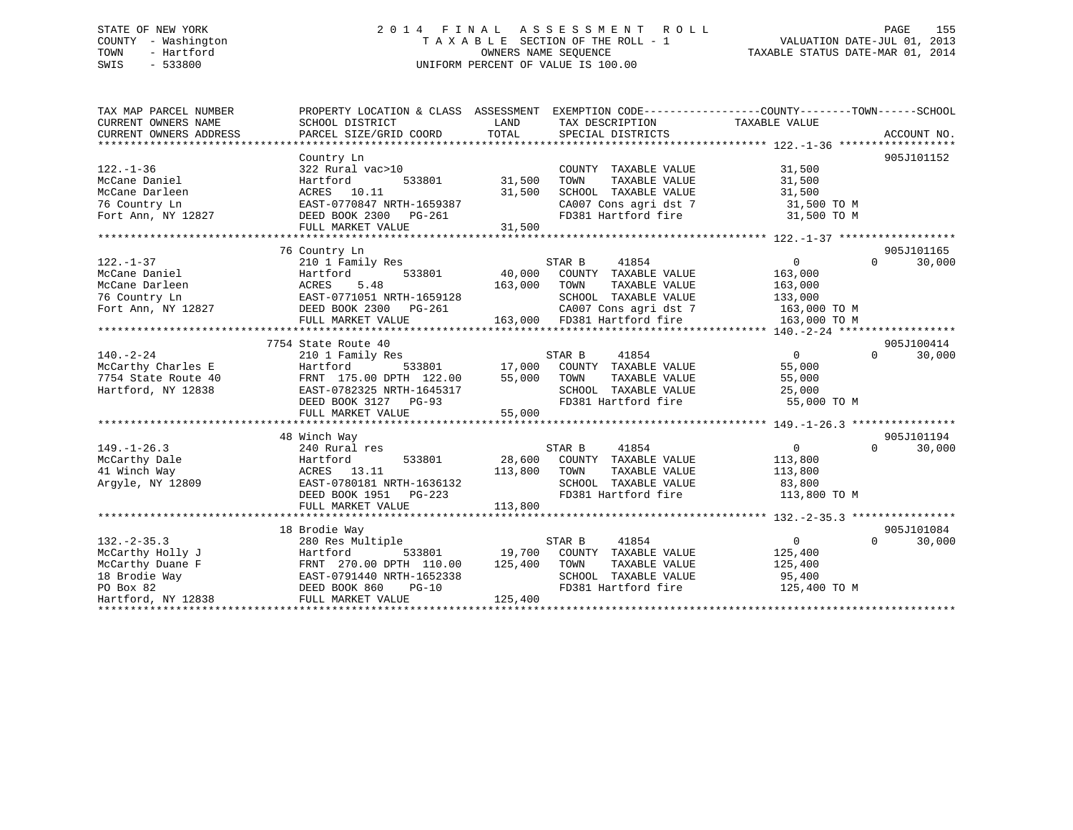# STATE OF NEW YORK 2 0 1 4 F I N A L A S S E S S M E N T R O L L PAGE 155 COUNTY - Washington T A X A B L E SECTION OF THE ROLL - 1 VALUATION DATE-JUL 01, 2013 TOWN - Hartford **TAXABLE STATUS DATE-MAR 01, 2014** OWNERS NAME SEQUENCE TAXABLE STATUS DATE-MAR 01, 2014 SWIS - 533800 UNIFORM PERCENT OF VALUE IS 100.00

| TAX MAP PARCEL NUMBER<br>CURRENT OWNERS NAME | PROPERTY LOCATION & CLASS ASSESSMENT EXEMPTION CODE----------------COUNTY-------TOWN------SCHOOL<br>SCHOOL DISTRICT | LAND                                                                         | TAX DESCRIPTION TAXABLE VALUE                |                                |                    |
|----------------------------------------------|---------------------------------------------------------------------------------------------------------------------|------------------------------------------------------------------------------|----------------------------------------------|--------------------------------|--------------------|
| CURRENT OWNERS ADDRESS                       | PARCEL SIZE/GRID COORD                                                                                              | TOTAL                                                                        | SPECIAL DISTRICTS                            |                                | ACCOUNT NO.        |
|                                              |                                                                                                                     |                                                                              |                                              |                                |                    |
|                                              | Country Ln                                                                                                          |                                                                              |                                              |                                | 905J101152         |
| $122. - 1 - 36$                              | 322 Rural vac>10                                                                                                    |                                                                              | COUNTY TAXABLE VALUE                         | 31,500                         |                    |
| McCane Daniel                                | 533801 31,500<br>Hartford                                                                                           |                                                                              | TAXABLE VALUE<br>TOWN                        | 31,500                         |                    |
| McCane Darleen                               | ACRES 10.11                                                                                                         | 31,500                                                                       | SCHOOL TAXABLE VALUE                         | $31,500$ TO M<br>$31,500$ TO M |                    |
| 76 Country Ln                                | EAST-0770847 NRTH-1659387                                                                                           |                                                                              | CA007 Cons agri dst 7<br>FD381 Hartford fire |                                |                    |
| Fort Ann, NY 12827                           | DEED BOOK 2300 PG-261                                                                                               |                                                                              |                                              | 31,500 TO M                    |                    |
|                                              | FULL MARKET VALUE                                                                                                   | 31,500                                                                       |                                              |                                |                    |
|                                              |                                                                                                                     |                                                                              |                                              |                                |                    |
|                                              | 76 Country Ln                                                                                                       |                                                                              |                                              |                                | 905J101165         |
| $122. - 1 - 37$                              | 210 1 Family Res                                                                                                    |                                                                              | STAR B<br>41854                              | $0 \qquad \qquad$              | $\Omega$<br>30,000 |
| McCane Daniel                                | 533801<br>Hartford                                                                                                  | 40,000                                                                       | COUNTY TAXABLE VALUE                         | 163,000                        |                    |
| McCane Darleen                               | 5.48<br>ACRES                                                                                                       | 163,000                                                                      | TOWN<br>TAXABLE VALUE                        | 163,000                        |                    |
| 76 Country Ln                                | EAST-0771051 NRTH-1659128                                                                                           |                                                                              | SCHOOL TAXABLE VALUE                         | 133,000                        |                    |
| Fort Ann, NY 12827                           | DEED BOOK 2300 PG-261                                                                                               |                                                                              | CA007 Cons agri dst 7                        | 163,000 TO M                   |                    |
|                                              | FULL MARKET VALUE                                                                                                   |                                                                              | 163,000 FD381 Hartford fire                  | 163,000 TO M                   |                    |
|                                              |                                                                                                                     |                                                                              |                                              |                                |                    |
|                                              | 7754 State Route 40                                                                                                 |                                                                              |                                              |                                | 905J100414         |
| $140. - 2 - 24$                              | 210 1 Family Res                                                                                                    |                                                                              | STAR B 41854                                 | $\overline{0}$                 | 30,000<br>$\Omega$ |
| McCarthy Charles E                           | Hartford                                                                                                            |                                                                              | 533801 17,000 COUNTY TAXABLE VALUE           | 55,000                         |                    |
| 7754 State Route 40                          | FRNT 175.00 DPTH 122.00 55,000 TOWN                                                                                 |                                                                              | TAXABLE VALUE                                | 55,000                         |                    |
| Hartford, NY 12838                           |                                                                                                                     |                                                                              | SCHOOL TAXABLE VALUE<br>FD381 Hartford fire  | 25,000                         |                    |
|                                              | EASI-0782325 NRTH-1645317<br>DEED BOOK 3127 PG-93                                                                   |                                                                              |                                              | 55,000 TO M                    |                    |
|                                              | FULL MARKET VALUE                                                                                                   | 55,000                                                                       |                                              |                                |                    |
|                                              |                                                                                                                     |                                                                              |                                              |                                |                    |
|                                              | 48 Winch Way                                                                                                        |                                                                              |                                              |                                | 905J101194         |
| $149. - 1 - 26.3$                            | 240 Rural res                                                                                                       |                                                                              | STAR B<br>41854                              | $\overline{0}$                 | $\Omega$<br>30,000 |
| McCarthy Dale                                | 533801<br>Hartford                                                                                                  |                                                                              | 28,600 COUNTY TAXABLE VALUE                  | 113,800                        |                    |
| 41 Winch Way                                 | ACRES 13.11                                                                                                         | 113,800                                                                      | TAXABLE VALUE<br>TOWN                        | 113,800                        |                    |
| Argyle, NY 12809                             | EAST-0780181 NRTH-1636132                                                                                           |                                                                              | SCHOOL TAXABLE VALUE 83,800                  |                                |                    |
|                                              | DEED BOOK 1951 PG-223                                                                                               |                                                                              | FD381 Hartford fire                          | 113,800 TO M                   |                    |
|                                              | FULL MARKET VALUE                                                                                                   | $\begin{array}{c} \begin{array}{c} \cdot \end{array} \\ 113,800 \end{array}$ |                                              |                                |                    |
|                                              |                                                                                                                     |                                                                              |                                              |                                |                    |
|                                              | 18 Brodie Way                                                                                                       |                                                                              |                                              |                                | 905J101084         |
| $132 - 2 - 35.3$                             | 280 Res Multiple                                                                                                    |                                                                              | STAR B<br>41854                              | $\overline{0}$                 | $\Omega$<br>30,000 |
| McCarthy Holly J                             | Hartford                                                                                                            |                                                                              | 533801 19,700 COUNTY TAXABLE VALUE           | 125,400                        |                    |
| McCarthy Duane F                             | FRANT 270.00 DPTH 110.00<br>EAST-0791440 NRTH-1652338<br>DEED BOOK 860 PG-10                                        | 125,400                                                                      | TAXABLE VALUE<br>TOWN                        | 125,400                        |                    |
| 18 Brodie Way                                |                                                                                                                     |                                                                              | SCHOOL TAXABLE VALUE                         | 95,400                         |                    |
| PO Box 82                                    | DEED BOOK 860<br>$PG-10$                                                                                            |                                                                              | FD381 Hartford fire                          | 125,400 TO M                   |                    |
| Hartford, NY 12838                           | FULL MARKET VALUE                                                                                                   | 125,400                                                                      |                                              |                                |                    |
|                                              |                                                                                                                     |                                                                              |                                              |                                |                    |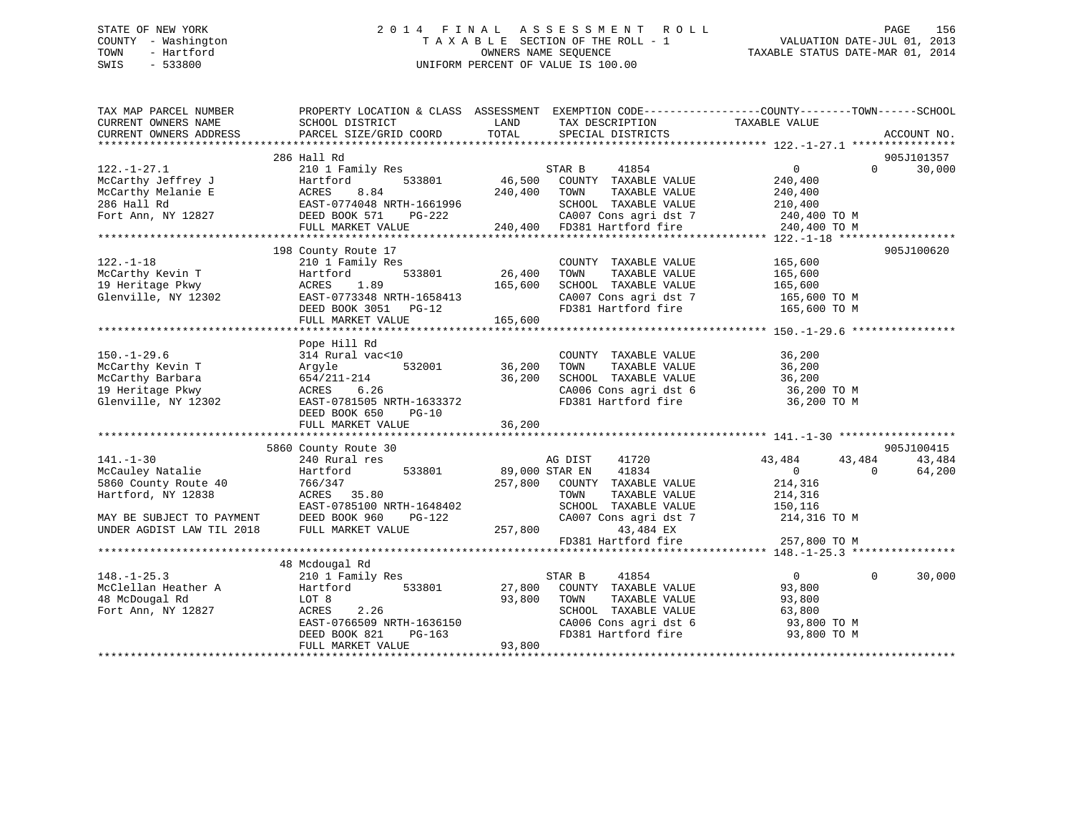# STATE OF NEW YORK 2 0 1 4 F I N A L A S S E S S M E N T R O L L PAGE 156 COUNTY - Washington T A X A B L E SECTION OF THE ROLL - 1 VALUATION DATE-JUL 01, 2013 TOWN - Hartford **TAXABLE STATUS DATE-MAR 01, 2014** OWNERS NAME SEQUENCE TAXABLE STATUS DATE-MAR 01, 2014 SWIS - 533800 UNIFORM PERCENT OF VALUE IS 100.00

| TAX MAP PARCEL NUMBER<br>CURRENT OWNERS NAME           | SCHOOL DISTRICT                                   | LAND<br>TAX DESCRIPTION                                                                                                                                   | PROPERTY LOCATION & CLASS ASSESSMENT EXEMPTION CODE---------------COUNTY-------TOWN-----SCHOOL<br>TAXABLE VALUE |
|--------------------------------------------------------|---------------------------------------------------|-----------------------------------------------------------------------------------------------------------------------------------------------------------|-----------------------------------------------------------------------------------------------------------------|
| CURRENT OWNERS ADDRESS                                 | PARCEL SIZE/GRID COORD                            | TOTAL<br>SPECIAL DISTRICTS                                                                                                                                | ACCOUNT NO.                                                                                                     |
|                                                        |                                                   |                                                                                                                                                           |                                                                                                                 |
|                                                        | 286 Hall Rd                                       |                                                                                                                                                           | 905J101357                                                                                                      |
| $122. - 1 - 27.1$                                      | 210 1 Family Res                                  | STAR B<br>41854                                                                                                                                           | $\overline{0}$<br>30,000<br>$\Omega$                                                                            |
| McCarthy Jeffrey J                                     | Hartford<br>533801                                | 46,500<br>COUNTY TAXABLE VALUE                                                                                                                            | 240,400                                                                                                         |
| McCarthy Melanie E                                     | 8.84<br>ACRES                                     | 240,400<br>TAXABLE VALUE<br>TOWN                                                                                                                          | 240,400                                                                                                         |
| 286 Hall Rd                                            |                                                   |                                                                                                                                                           | 210,400                                                                                                         |
| Fort Ann, NY 12827                                     |                                                   |                                                                                                                                                           |                                                                                                                 |
|                                                        |                                                   | EXET-0774048 NRTH-1661996<br>DEED BOOK 571 PG-222 20,400 CA007 Cons agri dst 7 240,400 TO M<br>FULL MARKET VALUE 240,400 PD381 Hartford fire 240,400 TO M |                                                                                                                 |
|                                                        |                                                   |                                                                                                                                                           |                                                                                                                 |
|                                                        | 198 County Route 17                               |                                                                                                                                                           | 905J100620                                                                                                      |
| $122. - 1 - 18$                                        | 210 1 Family Res                                  | COUNTY TAXABLE VALUE                                                                                                                                      | 165,600                                                                                                         |
|                                                        | 533801<br>Hartford                                | 26,400<br>TAXABLE VALUE<br>TOWN                                                                                                                           | 165,600                                                                                                         |
|                                                        | 1.89                                              | 165,600<br>SCHOOL TAXABLE VALUE                                                                                                                           | 165,600                                                                                                         |
| Glenville, NY 12302                                    | EAST-0773348 NRTH-1658413<br>DRED BOOK 3051 PG-12 |                                                                                                                                                           | CA007 Cons agri dst 7 165,600 TO M                                                                              |
|                                                        | DEED BOOK 3051 PG-12                              | FD381 Hartford fire                                                                                                                                       | 165,600 TO M                                                                                                    |
|                                                        | FULL MARKET VALUE                                 | 165,600                                                                                                                                                   |                                                                                                                 |
|                                                        |                                                   |                                                                                                                                                           |                                                                                                                 |
|                                                        | Pope Hill Rd                                      |                                                                                                                                                           |                                                                                                                 |
| $150. - 1 - 29.6$                                      | 314 Rural vac<10                                  | COUNTY TAXABLE VALUE<br>TOWN       TAXABLE  VALUE                                                                                                         | 36,200                                                                                                          |
| McCarthy Kevin T                                       | Argyle                                            |                                                                                                                                                           | 36,200                                                                                                          |
| McCarthy Barbara                                       | 654/211-214                                       | 36,200                                                                                                                                                    | SCHOOL TAXABLE VALUE 36,200<br>CA006 Cons agri dst 6 36,200 TO M                                                |
| 19 Heritage Pkwy                                       | ACRES 6.26                                        |                                                                                                                                                           |                                                                                                                 |
| Glenville, NY 12302                                    | EAST-0781505 NRTH-1633372                         | FD381 Hartford fire                                                                                                                                       | 36,200 TO M                                                                                                     |
|                                                        | DEED BOOK 650<br>$PG-10$                          |                                                                                                                                                           |                                                                                                                 |
|                                                        | FULL MARKET VALUE                                 | 36,200                                                                                                                                                    |                                                                                                                 |
|                                                        |                                                   |                                                                                                                                                           |                                                                                                                 |
|                                                        | 5860 County Route 30                              |                                                                                                                                                           | 905J100415                                                                                                      |
| $141. - 1 - 30$                                        | 240 Rural res                                     | 41720<br>AG DIST<br>89,000 STAR EN                                                                                                                        | 43,484<br>43,484<br>43,484                                                                                      |
| McCauley Natalie                                       | 533801<br>Hartford                                | 41834                                                                                                                                                     | $\overline{0}$<br>64,200<br>$\overline{0}$                                                                      |
| 5860 County Route 40                                   | 766/347                                           | 257,800 COUNTY TAXABLE VALUE                                                                                                                              | 214,316                                                                                                         |
| Hartford, NY 12838                                     | ACRES 35.80                                       | TAXABLE VALUE<br>TOWN                                                                                                                                     | 214,316                                                                                                         |
|                                                        | EAST-0785100 NRTH-1648402                         | SCHOOL TAXABLE VALUE                                                                                                                                      | 150,116                                                                                                         |
| MAY BE SUBJECT TO PAYMENT<br>UNDER AGDIST LAW TIL 2018 | DEED BOOK 960<br>PG-122                           | CA007 Cons agri dst 7                                                                                                                                     | 214,316 TO M                                                                                                    |
|                                                        | FULL MARKET VALUE 257,800                         | 43,484 EX                                                                                                                                                 |                                                                                                                 |
|                                                        |                                                   | FD381 Hartford fire                                                                                                                                       | 257,800 TO M                                                                                                    |
|                                                        |                                                   |                                                                                                                                                           |                                                                                                                 |
|                                                        | 48 Mcdougal Rd                                    |                                                                                                                                                           |                                                                                                                 |
| $148. - 1 - 25.3$                                      | 210 1 Family Res                                  | STAR B<br>41854                                                                                                                                           | $\Omega$<br>30,000<br>$\overline{0}$                                                                            |
| McClellan Heather A                                    | 533801<br>Hartford                                | 27,800<br>COUNTY TAXABLE VALUE                                                                                                                            | 93,800                                                                                                          |
| 48 McDougal Rd                                         | LOT 8                                             | 93,800<br>TOWN<br>TAXABLE VALUE                                                                                                                           | 93,800                                                                                                          |
| Fort Ann, NY 12827                                     | ACRES<br>2.26                                     | SCHOOL TAXABLE VALUE                                                                                                                                      | 63,800                                                                                                          |
|                                                        |                                                   | CA006 Cons agri dst 6<br>FD381 Hartford fire                                                                                                              | 93,800 TO M                                                                                                     |
|                                                        | EAST-0766509 NRTH-1636150<br>DEED BOOK 821 PG-163 |                                                                                                                                                           | 93,800 TO M                                                                                                     |
|                                                        | FULL MARKET VALUE                                 | 93,800                                                                                                                                                    |                                                                                                                 |
|                                                        |                                                   |                                                                                                                                                           |                                                                                                                 |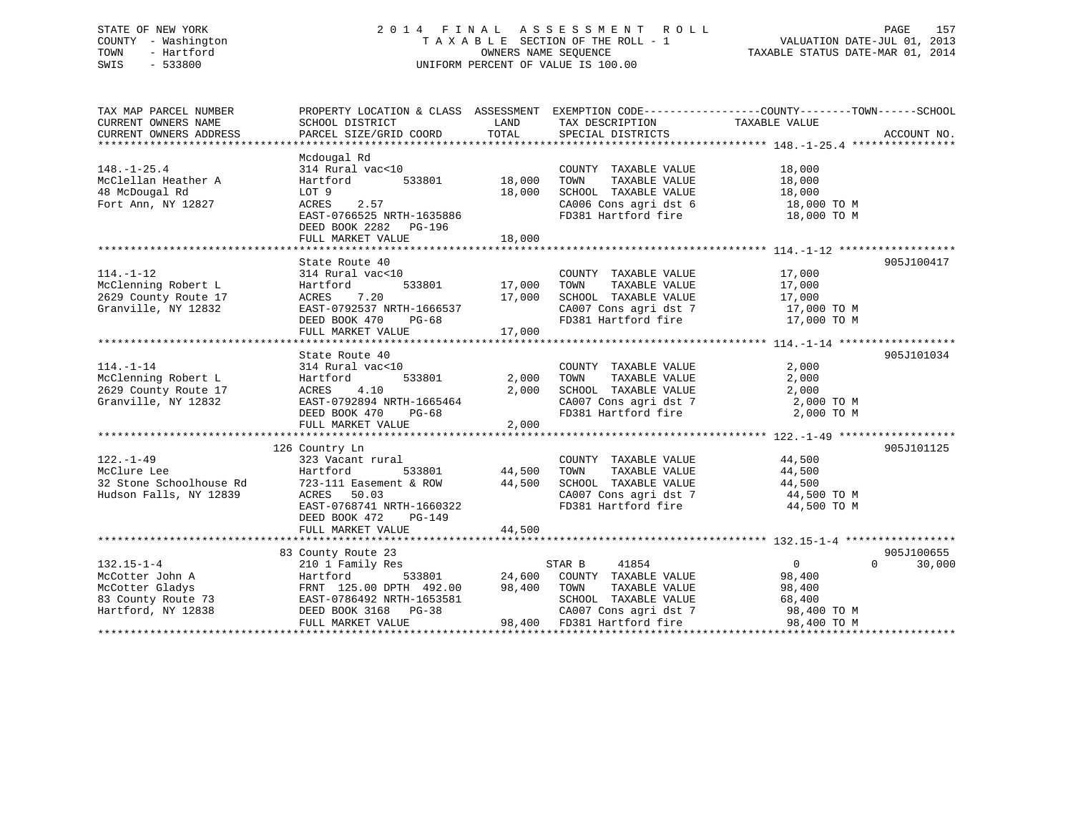# STATE OF NEW YORK 2 0 1 4 F I N A L A S S E S S M E N T R O L L PAGE 157 COUNTY - Washington T A X A B L E SECTION OF THE ROLL - 1 VALUATION DATE-JUL 01, 2013 TOWN - Hartford OWNERS NAME SEQUENCE TAXABLE STATUS DATE-MAR 01, 2014 SWIS - 533800 UNIFORM PERCENT OF VALUE IS 100.00

| TAX MAP PARCEL NUMBER                                                                                                                                                                                                                                          |                                                                                                                                                                                         |                                   |                                                                                                            | PROPERTY LOCATION & CLASS ASSESSMENT EXEMPTION CODE---------------COUNTY-------TOWN------SCHOOL                                                                                                                                               |                    |
|----------------------------------------------------------------------------------------------------------------------------------------------------------------------------------------------------------------------------------------------------------------|-----------------------------------------------------------------------------------------------------------------------------------------------------------------------------------------|-----------------------------------|------------------------------------------------------------------------------------------------------------|-----------------------------------------------------------------------------------------------------------------------------------------------------------------------------------------------------------------------------------------------|--------------------|
|                                                                                                                                                                                                                                                                |                                                                                                                                                                                         |                                   |                                                                                                            |                                                                                                                                                                                                                                               |                    |
| $148. - 1 - 25.4$<br>McClellan Heather A<br>48 McDougal Rd<br>Fort Ann, NY 12827                                                                                                                                                                               | Mcdougal Rd<br>314 Rural vac<10<br>vac<10<br>533801 18,000<br>Hartford<br>LOT 9<br>2.57<br>EAST-0766525 NRTH-1635886                                                                    | 18,000                            | COUNTY TAXABLE VALUE<br>LOWN TAXABLE VALUE 18,000<br>SCHOOL TAXABLE VALUE 18,000<br>CA006 Conserved 18,000 | 18,000<br>$\begin{array}{lll} \texttt{CA006} \texttt{ Cons} & \texttt{aspti} & \texttt{dst} & \texttt{6} & \texttt{18,000} \texttt{ TO M} \\ \texttt{FD381} & \texttt{Hartford} & \texttt{fire} & \texttt{18,000} \texttt{ TO M} \end{array}$ |                    |
|                                                                                                                                                                                                                                                                | DEED BOOK 2282 PG-196                                                                                                                                                                   |                                   |                                                                                                            |                                                                                                                                                                                                                                               |                    |
|                                                                                                                                                                                                                                                                |                                                                                                                                                                                         |                                   |                                                                                                            |                                                                                                                                                                                                                                               |                    |
| $114. - 1 - 12$<br>2629 County Route 17<br>Granville, NY 12832                                                                                                                                                                                                 | State Route 40<br>314 Rural vac<10<br>ACRES 7.20<br>EAST-0792537 NRTH-1666537<br>DEED BOOK 470<br>PG-68<br>FULL MARKET VALUE                                                            | 17,000<br>17,000                  | COUNTY TAXABLE VALUE 17,000<br>TOWN                                                                        | TAXABLE VALUE 17,000<br>SCHOOL TAXABLE VALUE $17,000$<br>CA007 Cons agri dst 7 17,000 TO M<br>FD381 Hartford fire 17,000 TO M                                                                                                                 | 905J100417         |
|                                                                                                                                                                                                                                                                | State Route 40                                                                                                                                                                          |                                   |                                                                                                            |                                                                                                                                                                                                                                               | 905J101034         |
| $114. - 1 - 14$<br>McClenning Robert L<br>McClenning Robert L<br>2629 County Route 17<br>Granville, NY 12832<br>EAST-0792894 N<br>DEED BOOK 470                                                                                                                | $314$ Rural vac<10<br>533801<br>ACRES 4.10 2,000<br>EAST-0792894 NRTH-1665464 2,000<br>DEED BOOK 470 PG-68<br>FULL MARKET VALUE                                                         | 2,000 TOWN<br>2,000<br>2,000      | COUNTY TAXABLE VALUE<br>TAXABLE VALUE                                                                      | 2,000<br>2,000<br>SCHOOL TAXABLE VALUE 2,000<br>CA007 Cons agri dst 7 2,000 TO M<br>FD381 Hartford fire 2,000 TO M                                                                                                                            |                    |
|                                                                                                                                                                                                                                                                |                                                                                                                                                                                         |                                   |                                                                                                            |                                                                                                                                                                                                                                               |                    |
| $122. - 1 - 49$<br>McClure Lee<br>32 Stone Schoolhouse Rd<br>Hudson Falls, NY 12839                                                                                                                                                                            | 126 Country Ln<br>323 Vacant rural<br>Hartford<br>723-111 Easement & ROW 44,500<br>ACRES 50.03<br>ACRES 50.03<br>EAST-0768741 NRTH-1660322<br>DEED BOOK 472 PG-149<br>FULL MARKET VALUE | L<br>533801 44,500 TOWN<br>44,500 | COUNTY TAXABLE VALUE 44,500                                                                                | TAXABLE VALUE 44,500<br>SCHOOL TAXABLE VALUE $44,500$<br>CA007 Cons agri dst 7 $44,500$ TO M<br>FD381 Hartford fire $44,500$ TO M                                                                                                             | 905J101125         |
|                                                                                                                                                                                                                                                                |                                                                                                                                                                                         |                                   |                                                                                                            |                                                                                                                                                                                                                                               |                    |
|                                                                                                                                                                                                                                                                | 83 County Route 23                                                                                                                                                                      |                                   |                                                                                                            |                                                                                                                                                                                                                                               | 905J100655         |
| $132.15 - 1 - 4$<br>132.15-1-4<br>McCotter John A<br>McCotter Gladys Hartford FRNT 125.00 DPTH 492.00<br>McCotter Gladys FRNT 125.00 DPTH 492.00<br>McCotter Gladys FRNT 125.00 DPTH 492.00<br>McCotter State VALUE<br>McCotter Gladys FRNT 125.00 DPTH 492.00 | 210 1 Family Res                                                                                                                                                                        |                                   | 41854<br>STAR B                                                                                            | $\overline{0}$                                                                                                                                                                                                                                | $\Omega$<br>30,000 |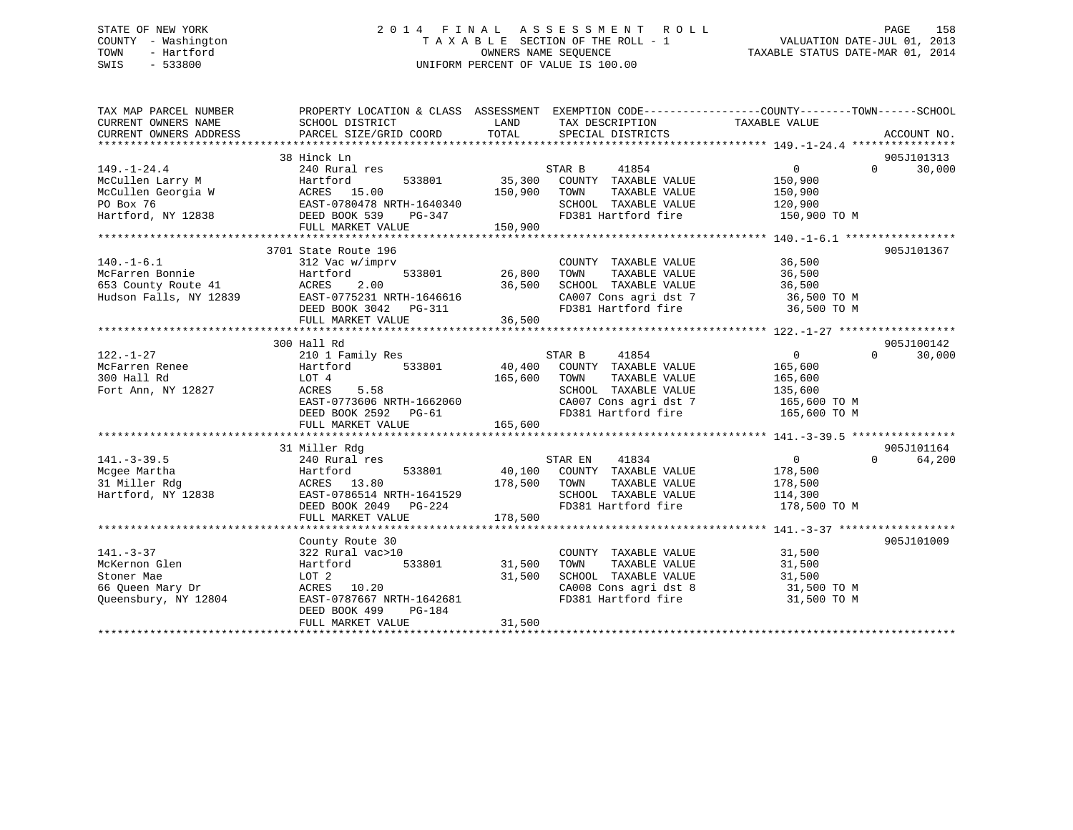# STATE OF NEW YORK 2 0 1 4 F I N A L A S S E S S M E N T R O L L PAGE 158 COUNTY - Washington T A X A B L E SECTION OF THE ROLL - 1 VALUATION DATE-JUL 01, 2013 TOWN - Hartford **TAXABLE STATUS DATE-MAR 01, 2014** OWNERS NAME SEQUENCE TAXABLE STATUS DATE-MAR 01, 2014 SWIS - 533800 UNIFORM PERCENT OF VALUE IS 100.00

| TAX MAP PARCEL NUMBER                                                                                                       | PROPERTY LOCATION & CLASS ASSESSMENT EXEMPTION CODE---------------COUNTY-------TOWN-----SCHOOL |               |                                                                    |                   |                        |
|-----------------------------------------------------------------------------------------------------------------------------|------------------------------------------------------------------------------------------------|---------------|--------------------------------------------------------------------|-------------------|------------------------|
| CURRENT OWNERS NAME                                                                                                         | SCHOOL DISTRICT                                                                                | LAND          | TAX DESCRIPTION                                                    | TAXABLE VALUE     |                        |
| CURRENT OWNERS ADDRESS                                                                                                      | PARCEL SIZE/GRID COORD                                                                         | TOTAL         | SPECIAL DISTRICTS                                                  |                   | ACCOUNT NO.            |
|                                                                                                                             | 38 Hinck Ln                                                                                    |               |                                                                    |                   | 905J101313             |
| $149. - 1 - 24.4$                                                                                                           | 240 Rural res                                                                                  |               | STAR B 41854                                                       | $0 \qquad \qquad$ | 30,000<br>$\Omega$     |
| McCullen Larry M                                                                                                            | 533801<br>Hartford                                                                             |               | 35,300 COUNTY TAXABLE VALUE                                        | 150,900           |                        |
|                                                                                                                             |                                                                                                | 150,900 TOWN  | TAXABLE VALUE                                                      | 150,900           |                        |
|                                                                                                                             |                                                                                                |               | SCHOOL TAXABLE VALUE                                               | 120,900           |                        |
| McCullen Georgia W<br>PO Box 76<br>Hartford, NY 12838<br>Hartford, NY 12838<br>McCullen Georgia W<br>EED BOOK 539<br>PG-347 |                                                                                                |               | FD381 Hartford fire                                                | 150,900 TO M      |                        |
|                                                                                                                             | FULL MARKET VALUE                                                                              | 150,900       |                                                                    |                   |                        |
|                                                                                                                             |                                                                                                |               |                                                                    |                   |                        |
|                                                                                                                             | 3701 State Route 196                                                                           |               |                                                                    |                   | 905J101367             |
| $140. - 1 - 6.1$                                                                                                            | 312 Vac w/imprv                                                                                | 533801 26,800 | COUNTY TAXABLE VALUE                                               | 36,500            |                        |
| McFarren Bonnie<br>653 County Route 41                                                                                      | Hartford                                                                                       |               | TAXABLE VALUE<br>TOWN                                              | 36,500            |                        |
|                                                                                                                             | ACRES<br>2.00                                                                                  | 36,500        | SCHOOL TAXABLE VALUE                                               | 36,500            |                        |
| Hudson Falls, NY 12839                                                                                                      | EAST-0775231 NRTH-1646616                                                                      |               | CA007 Cons agri dst 7<br>FD381 Hartford fire                       | 36,500 TO M       |                        |
|                                                                                                                             | DEED BOOK 3042 PG-311                                                                          |               |                                                                    | 36,500 TO M       |                        |
|                                                                                                                             | FULL MARKET VALUE                                                                              | 36,500        |                                                                    |                   |                        |
|                                                                                                                             |                                                                                                |               |                                                                    |                   |                        |
|                                                                                                                             | 300 Hall Rd                                                                                    |               |                                                                    |                   | 905J100142             |
| $122. - 1 - 27$                                                                                                             | 210 1 Family Res                                                                               |               | STAR B<br>41854                                                    | $\overline{0}$    | 30,000<br>$\Omega$     |
| McFarren Renee                                                                                                              | Hartford 533801                                                                                |               | 40,400 COUNTY TAXABLE VALUE                                        | 165,600           |                        |
| 300 Hall Rd                                                                                                                 | LOT 4                                                                                          | 165,600       | TOWN<br>TAXABLE VALUE                                              | 165,600           |                        |
| Fort Ann, NY 12827                                                                                                          | ACRES<br>5.58                                                                                  |               | SCHOOL TAXABLE VALUE 135,600<br>CA007 Cons agri dst 7 165,600 TO M |                   |                        |
|                                                                                                                             | EAST-0773606 NRTH-1662060                                                                      |               |                                                                    |                   |                        |
|                                                                                                                             | DEED BOOK 2592 PG-61                                                                           |               | FD381 Hartford fire 165,600 TO M                                   |                   |                        |
|                                                                                                                             | FULL MARKET VALUE 165,600                                                                      |               |                                                                    |                   |                        |
|                                                                                                                             |                                                                                                |               |                                                                    |                   |                        |
|                                                                                                                             | 31 Miller Rdg                                                                                  |               |                                                                    |                   | 905J101164<br>$\Omega$ |
| $141. - 3 - 39.5$                                                                                                           | 240 Rural res                                                                                  |               | STAR EN 41834<br>533801 40,100 COUNTY TAXABLE VALUE                | $\overline{0}$    | 64,200                 |
| ---- - ---<br>Mcgee Martha<br>31 Miller Rdg<br>Hartford, NY 12838                                                           | Hartford                                                                                       | 178,500       |                                                                    | 178,500           |                        |
|                                                                                                                             | ACRES 13.80                                                                                    |               | TAXABLE VALUE<br>TOWN                                              | 178,500           |                        |
|                                                                                                                             | EAST-0786514 NRTH-1641529<br>$PG-224$<br>DEED BOOK 2049                                        |               | SCHOOL TAXABLE VALUE<br>FD381 Hartford fire 178,500 TO M           | 114,300           |                        |
|                                                                                                                             | FULL MARKET VALUE                                                                              | 178,500       |                                                                    |                   |                        |
|                                                                                                                             |                                                                                                |               |                                                                    |                   |                        |
|                                                                                                                             | County Route 30                                                                                |               |                                                                    |                   | 905J101009             |
| $141. - 3 - 37$                                                                                                             | 322 Rural vac>10                                                                               |               | COUNTY TAXABLE VALUE                                               | 31,500            |                        |
| McKernon Glen                                                                                                               | 533801<br>Hartford                                                                             | 31,500        | TAXABLE VALUE<br>TOWN                                              | 31,500            |                        |
| Stoner Mae                                                                                                                  | LOT 2                                                                                          | 31,500        | SCHOOL TAXABLE VALUE                                               | 31,500            |                        |
| 66 Oueen Mary Dr                                                                                                            | ACRES 10.20                                                                                    |               |                                                                    | 31,500 TO M       |                        |
| Oueensbury, NY 12804                                                                                                        | EAST-0787667 NRTH-1642681                                                                      |               | CA008 Cons agri dst 8<br>FD381 Hartford fire                       | 31,500 TO M       |                        |
|                                                                                                                             | DEED BOOK 499<br>PG-184                                                                        |               |                                                                    |                   |                        |
|                                                                                                                             | FULL MARKET VALUE                                                                              | 31,500        |                                                                    |                   |                        |
|                                                                                                                             |                                                                                                |               |                                                                    |                   |                        |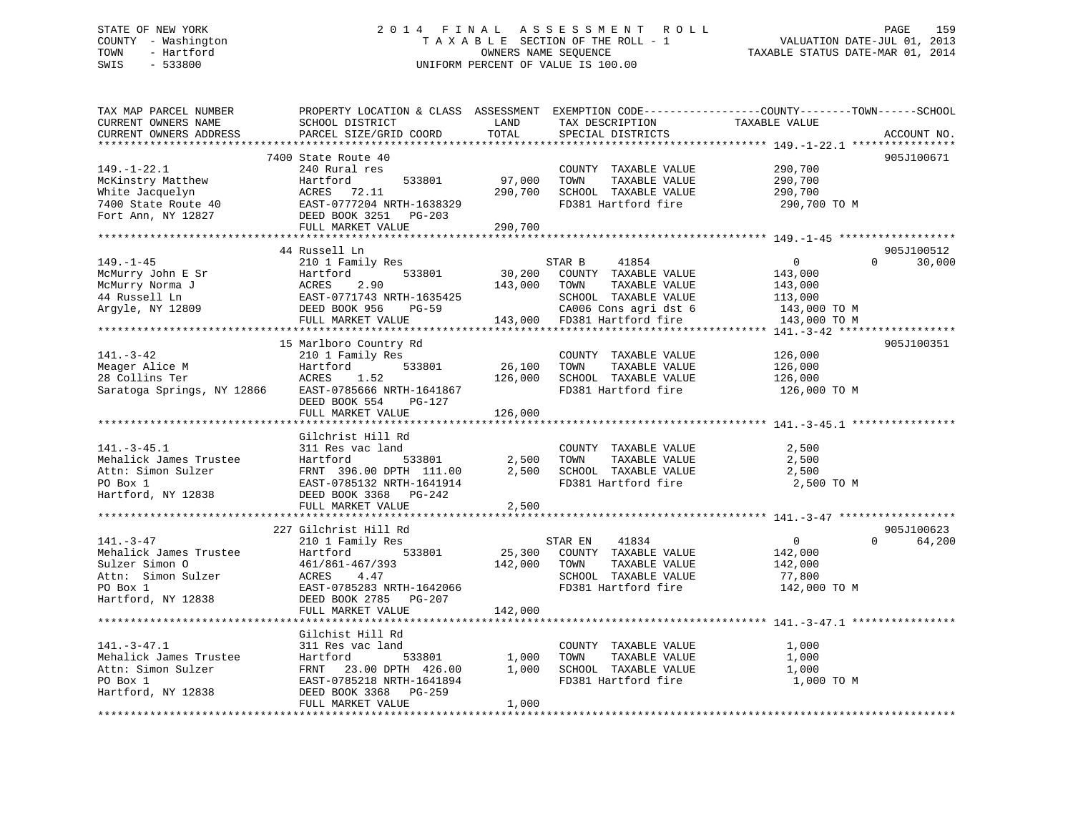# STATE OF NEW YORK 2 0 1 4 F I N A L A S S E S S M E N T R O L L PAGE 159 COUNTY - Washington T A X A B L E SECTION OF THE ROLL - 1 VALUATION DATE-JUL 01, 2013 TOWN - Hartford **TAXABLE STATUS DATE-MAR 01, 2014** OWNERS NAME SEQUENCE TAXABLE STATUS DATE-MAR 01, 2014 SWIS - 533800 UNIFORM PERCENT OF VALUE IS 100.00

| TAX MAP PARCEL NUMBER<br>CURRENT OWNERS NAME<br>CURRENT OWNERS ADDRESS                                              | PROPERTY LOCATION & CLASS ASSESSMENT EXEMPTION CODE----------------COUNTY-------TOWN------SCHOOL<br>SCHOOL DISTRICT<br>PARCEL SIZE/GRID COORD                    | LAND<br>TOTAL                | TAX DESCRIPTION<br>SPECIAL DISTRICTS                                                                              | TAXABLE VALUE                                                   | ACCOUNT NO.        |
|---------------------------------------------------------------------------------------------------------------------|------------------------------------------------------------------------------------------------------------------------------------------------------------------|------------------------------|-------------------------------------------------------------------------------------------------------------------|-----------------------------------------------------------------|--------------------|
| ***********************<br>$149. - 1 - 22.1$                                                                        | 7400 State Route 40<br>240 Rural res                                                                                                                             |                              | COUNTY TAXABLE VALUE                                                                                              | 290,700                                                         | 905J100671         |
| McKinstry Matthew<br>White Jacquelyn<br>7400 State Route 40                                                         | Hartford<br>533801<br>ACRES 72.11<br>EAST-0777204 NRTH-1638329                                                                                                   | 97,000<br>290,700            | TOWN<br>TAXABLE VALUE<br>SCHOOL TAXABLE VALUE<br>FD381 Hartford fire                                              | 290,700<br>290,700<br>290,700 TO M                              |                    |
| Fort Ann, NY 12827                                                                                                  | DEED BOOK 3251 PG-203<br>FULL MARKET VALUE                                                                                                                       | 290,700                      |                                                                                                                   |                                                                 |                    |
|                                                                                                                     | *********************************<br>44 Russell Ln                                                                                                               |                              |                                                                                                                   |                                                                 | 905J100512         |
| $149. - 1 - 45$<br>McMurry John E Sr<br>McMurry Norma J<br>44 Russell Ln<br>Argyle, NY 12809                        | 210 1 Family Res<br>533801<br>Hartford<br>2.90<br>ACRES<br>EAST-0771743 NRTH-1635425<br>DEED BOOK 956<br><b>PG-59</b>                                            | 30,200<br>143,000            | STAR B<br>41854<br>COUNTY TAXABLE VALUE<br>TOWN<br>TAXABLE VALUE<br>SCHOOL TAXABLE VALUE<br>CA006 Cons agri dst 6 | $\overline{0}$<br>143,000<br>143,000<br>113,000<br>143,000 TO M | 30,000<br>$\Omega$ |
|                                                                                                                     | FULL MARKET VALUE                                                                                                                                                |                              | 143,000 FD381 Hartford fire                                                                                       | 143,000 TO M                                                    |                    |
| $141. - 3 - 42$<br>Meager Alice M<br>28 Collins Ter<br>Saratoga Springs, NY 12866                                   | 15 Marlboro Country Rd<br>210 1 Family Res<br>533801<br>Hartford<br>ACRES<br>1.52<br>EAST-0785666 NRTH-1641867<br>DEED BOOK 554<br>$PG-127$<br>FULL MARKET VALUE | 26,100<br>126,000<br>126,000 | COUNTY TAXABLE VALUE<br>TAXABLE VALUE<br>TOWN<br>SCHOOL TAXABLE VALUE<br>FD381 Hartford fire                      | 126,000<br>126,000<br>126,000<br>126,000 TO M                   | 905J100351         |
|                                                                                                                     |                                                                                                                                                                  |                              |                                                                                                                   |                                                                 |                    |
| $141. - 3 - 45.1$<br>Mehalick James Trustee<br>Attn: Simon Sulzer<br>PO Box 1<br>Hartford, NY 12838                 | Gilchrist Hill Rd<br>311 Res vac land<br>Hartford<br>533801<br>FRNT 396.00 DPTH 111.00<br>EAST-0785132 NRTH-1641914<br>DEED BOOK 3368 PG-242                     | 2,500<br>2,500               | COUNTY TAXABLE VALUE<br>TOWN<br>TAXABLE VALUE<br>SCHOOL TAXABLE VALUE<br>FD381 Hartford fire                      | 2,500<br>2,500<br>2,500<br>2,500 TO M                           |                    |
|                                                                                                                     | FULL MARKET VALUE                                                                                                                                                | 2,500                        |                                                                                                                   |                                                                 |                    |
|                                                                                                                     | 227 Gilchrist Hill Rd                                                                                                                                            |                              |                                                                                                                   |                                                                 | 905J100623         |
| $141. - 3 - 47$<br>Mehalick James Trustee<br>Sulzer Simon 0<br>Attn: Simon Sulzer<br>PO Box 1<br>Hartford, NY 12838 | 210 1 Family Res<br>Hartford<br>533801<br>461/861-467/393<br>ACRES<br>4.47<br>EAST-0785283 NRTH-1642066<br>DEED BOOK 2785 PG-207                                 | 25,300<br>142,000            | 41834<br>STAR EN<br>COUNTY TAXABLE VALUE<br>TOWN<br>TAXABLE VALUE<br>SCHOOL TAXABLE VALUE<br>FD381 Hartford fire  | $\overline{0}$<br>142,000<br>142,000<br>77,800<br>142,000 TO M  | 64,200<br>$\Omega$ |
|                                                                                                                     | FULL MARKET VALUE                                                                                                                                                | 142,000                      |                                                                                                                   |                                                                 |                    |
|                                                                                                                     | Gilchist Hill Rd                                                                                                                                                 |                              |                                                                                                                   |                                                                 |                    |
| $141. - 3 - 47.1$<br>Mehalick James Trustee<br>Attn: Simon Sulzer<br>PO Box 1<br>Hartford, NY 12838                 | 311 Res vac land<br>Hartford<br>533801<br>FRNT 23.00 DPTH 426.00<br>EAST-0785218 NRTH-1641894<br>DEED BOOK 3368 PG-259                                           | 1,000<br>1,000               | COUNTY TAXABLE VALUE<br>TOWN<br>TAXABLE VALUE<br>SCHOOL TAXABLE VALUE<br>FD381 Hartford fire                      | 1,000<br>1,000<br>1,000<br>1,000 TO M                           |                    |
|                                                                                                                     | FULL MARKET VALUE                                                                                                                                                | 1,000                        |                                                                                                                   |                                                                 |                    |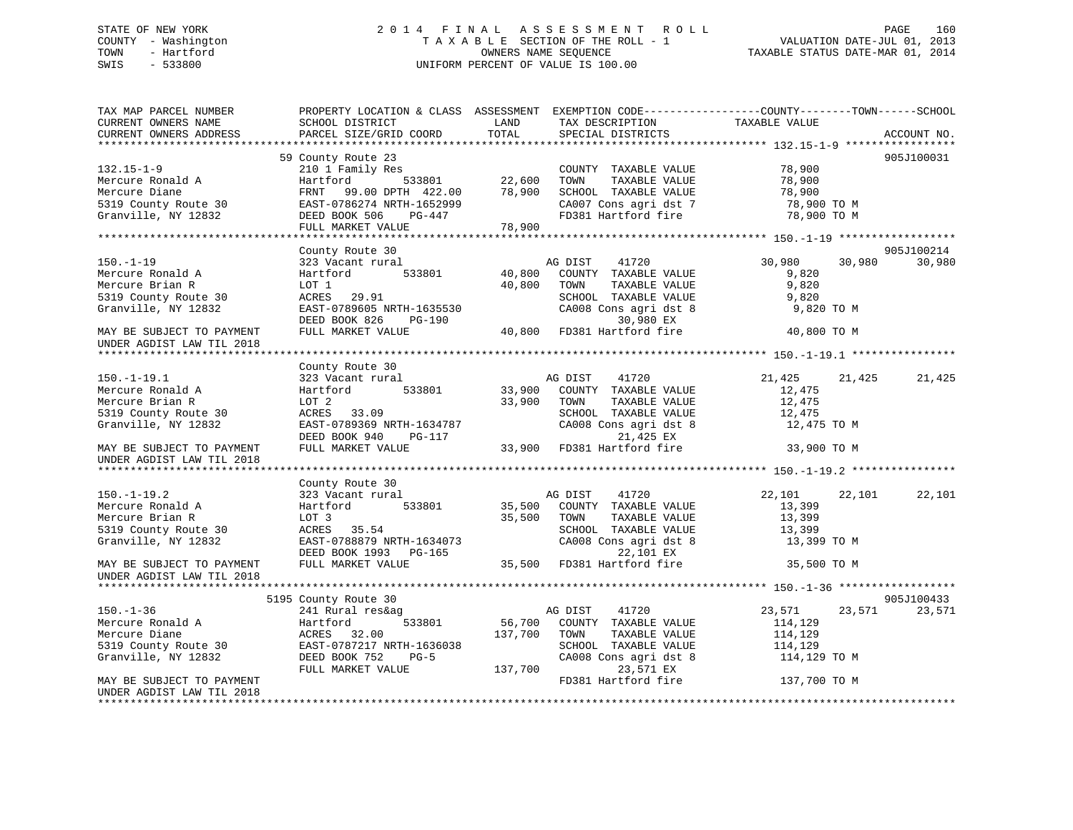# STATE OF NEW YORK 2 0 1 4 F I N A L A S S E S S M E N T R O L L PAGE 160 COUNTY - Washington T A X A B L E SECTION OF THE ROLL - 1 VALUATION DATE-JUL 01, 2013 TOWN - Hartford **TAXABLE STATUS DATE-MAR 01, 2014** OWNERS NAME SEQUENCE TAXABLE STATUS DATE-MAR 01, 2014 SWIS - 533800 UNIFORM PERCENT OF VALUE IS 100.00

| TAX MAP PARCEL NUMBER<br>CURRENT OWNERS NAME<br>CURRENT OWNERS ADDRESS | PROPERTY LOCATION & CLASS ASSESSMENT EXEMPTION CODE----------------COUNTY-------TOWN------SCHOOL<br>SCHOOL DISTRICT<br>PARCEL SIZE/GRID COORD | LAND<br>TOTAL | TAX DESCRIPTION<br>SPECIAL DISTRICTS | TAXABLE VALUE    | ACCOUNT NO. |
|------------------------------------------------------------------------|-----------------------------------------------------------------------------------------------------------------------------------------------|---------------|--------------------------------------|------------------|-------------|
|                                                                        |                                                                                                                                               |               |                                      |                  |             |
|                                                                        | 59 County Route 23                                                                                                                            |               |                                      |                  | 905J100031  |
| $132.15 - 1 - 9$                                                       | 210 1 Family Res                                                                                                                              |               | COUNTY TAXABLE VALUE                 | 78,900           |             |
| Mercure Ronald A                                                       | 533801<br>Hartford                                                                                                                            | 22,600        | TOWN<br>TAXABLE VALUE                | 78,900           |             |
| Mercure Diane                                                          | FRNT 99.00 DPTH 422.00                                                                                                                        | 78,900        | SCHOOL TAXABLE VALUE                 | 78,900           |             |
| 5319 County Route 30                                                   | EAST-0786274 NRTH-1652999                                                                                                                     |               | CA007 Cons agri dst 7                | 78,900 TO M      |             |
| Granville, NY 12832                                                    | DEED BOOK 506<br>PG-447                                                                                                                       |               | FD381 Hartford fire                  | 78,900 TO M      |             |
|                                                                        | FULL MARKET VALUE                                                                                                                             | 78,900        |                                      |                  |             |
|                                                                        |                                                                                                                                               |               |                                      |                  |             |
|                                                                        | County Route 30                                                                                                                               |               |                                      |                  | 905J100214  |
| $150. - 1 - 19$                                                        | 323 Vacant rural                                                                                                                              |               | AG DIST<br>41720                     | 30,980<br>30,980 | 30,980      |
| Mercure Ronald A                                                       | 533801<br>Hartford                                                                                                                            | 40,800        | COUNTY TAXABLE VALUE                 | 9,820            |             |
| Mercure Brian R                                                        | LOT 1                                                                                                                                         | 40,800        | TOWN<br>TAXABLE VALUE                | 9,820            |             |
| 5319 County Route 30                                                   | ACRES<br>29.91                                                                                                                                |               | SCHOOL TAXABLE VALUE                 | 9,820            |             |
| Granville, NY 12832                                                    | EAST-0789605 NRTH-1635530                                                                                                                     |               | CA008 Cons agri dst 8                | 9,820 TO M       |             |
|                                                                        | DEED BOOK 826<br>PG-190                                                                                                                       |               | 30,980 EX                            |                  |             |
| MAY BE SUBJECT TO PAYMENT                                              | FULL MARKET VALUE                                                                                                                             | 40,800        | FD381 Hartford fire                  | 40,800 TO M      |             |
| UNDER AGDIST LAW TIL 2018                                              |                                                                                                                                               |               |                                      |                  |             |
|                                                                        |                                                                                                                                               |               |                                      |                  |             |
|                                                                        | County Route 30                                                                                                                               |               |                                      |                  |             |
| $150. - 1 - 19.1$                                                      | 323 Vacant rural                                                                                                                              |               | AG DIST<br>41720                     | 21,425<br>21,425 | 21,425      |
| Mercure Ronald A                                                       | Hartford<br>533801                                                                                                                            | 33,900        | COUNTY TAXABLE VALUE                 | 12,475           |             |
| Mercure Brian R                                                        | LOT 2                                                                                                                                         | 33,900        | TOWN<br>TAXABLE VALUE                | 12,475           |             |
| 5319 County Route 30                                                   | ACRES 33.09                                                                                                                                   |               | SCHOOL TAXABLE VALUE                 | 12,475           |             |
| Granville, NY 12832                                                    | EAST-0789369 NRTH-1634787                                                                                                                     |               | CA008 Cons agri dst 8                | 12,475 TO M      |             |
|                                                                        | DEED BOOK 940<br>PG-117                                                                                                                       |               | 21,425 EX                            |                  |             |
| MAY BE SUBJECT TO PAYMENT                                              | FULL MARKET VALUE                                                                                                                             |               | 33,900 FD381 Hartford fire           | 33,900 TO M      |             |
| UNDER AGDIST LAW TIL 2018                                              |                                                                                                                                               |               |                                      |                  |             |
|                                                                        | County Route 30                                                                                                                               |               |                                      |                  |             |
| $150. - 1 - 19.2$                                                      | 323 Vacant rural                                                                                                                              |               | AG DIST<br>41720                     | 22,101<br>22,101 | 22,101      |
| Mercure Ronald A                                                       | 533801<br>Hartford                                                                                                                            | 35,500        | COUNTY TAXABLE VALUE                 | 13,399           |             |
| Mercure Brian R                                                        | LOT 3                                                                                                                                         | 35,500        | TAXABLE VALUE<br>TOWN                | 13,399           |             |
| 5319 County Route 30                                                   | ACRES 35.54                                                                                                                                   |               | SCHOOL TAXABLE VALUE                 | 13,399           |             |
| Granville, NY 12832                                                    | EAST-0788879 NRTH-1634073                                                                                                                     |               | CA008 Cons agri dst 8                | 13,399 TO M      |             |
|                                                                        | DEED BOOK 1993 PG-165                                                                                                                         |               | 22,101 EX                            |                  |             |
| MAY BE SUBJECT TO PAYMENT                                              | FULL MARKET VALUE                                                                                                                             |               | 35,500 FD381 Hartford fire           | 35,500 TO M      |             |
| UNDER AGDIST LAW TIL 2018                                              |                                                                                                                                               |               |                                      |                  |             |
|                                                                        |                                                                                                                                               |               |                                      |                  |             |
|                                                                        | 5195 County Route 30                                                                                                                          |               |                                      |                  | 905J100433  |
| $150. - 1 - 36$                                                        | 241 Rural res&ag                                                                                                                              |               | AG DIST<br>41720                     | 23,571<br>23,571 | 23,571      |
| Mercure Ronald A                                                       | 533801<br>Hartford                                                                                                                            | 56,700        | COUNTY TAXABLE VALUE                 | 114,129          |             |
| Mercure Diane                                                          | ACRES 32.00                                                                                                                                   | 137,700       | TOWN<br>TAXABLE VALUE                | 114,129          |             |
| 5319 County Route 30                                                   | EAST-0787217 NRTH-1636038                                                                                                                     |               | SCHOOL TAXABLE VALUE                 | 114,129          |             |
| Granville, NY 12832                                                    | DEED BOOK 752<br>$PG-5$                                                                                                                       |               | CA008 Cons agri dst 8                | 114,129 TO M     |             |
|                                                                        | FULL MARKET VALUE                                                                                                                             | 137,700       | 23,571 EX                            |                  |             |
| MAY BE SUBJECT TO PAYMENT                                              |                                                                                                                                               |               | FD381 Hartford fire                  | 137,700 TO M     |             |
| UNDER AGDIST LAW TIL 2018                                              |                                                                                                                                               |               |                                      |                  |             |
|                                                                        |                                                                                                                                               |               |                                      |                  |             |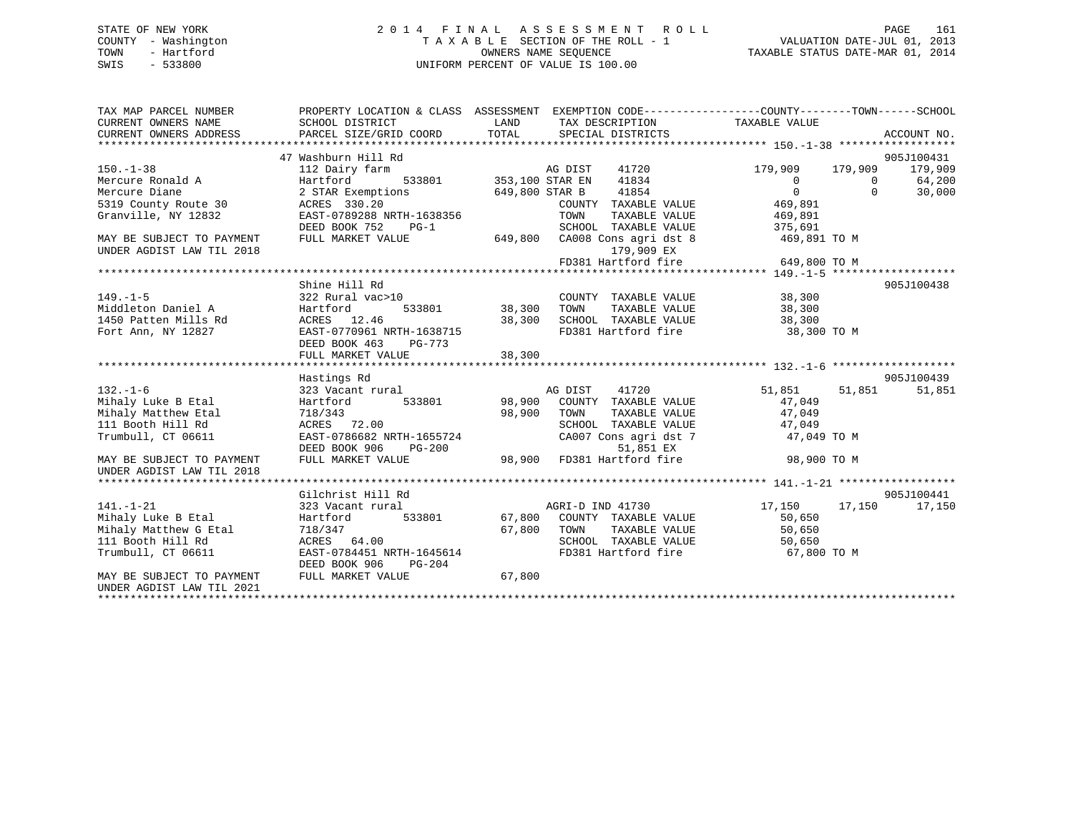# STATE OF NEW YORK 2 0 1 4 F I N A L A S S E S S M E N T R O L L PAGE 161 COUNTY - Washington T A X A B L E SECTION OF THE ROLL - 1 VALUATION DATE-JUL 01, 2013 TOWN - Hartford **TAXABLE STATUS DATE-MAR 01, 2014** OWNERS NAME SEQUENCE TAXABLE STATUS DATE-MAR 01, 2014 SWIS - 533800 UNIFORM PERCENT OF VALUE IS 100.00

| TAX MAP PARCEL NUMBER<br>CURRENT OWNERS NAME<br>CURRENT OWNERS ADDRESS | PROPERTY LOCATION & CLASS ASSESSMENT EXEMPTION CODE----------------COUNTY-------TOWN------SCHOOL<br>SCHOOL DISTRICT<br>PARCEL SIZE/GRID COORD | LAND<br>TOTAL  | TAX DESCRIPTION TAXABLE VALUE<br>SPECIAL DISTRICTS |              |              | ACCOUNT NO. |
|------------------------------------------------------------------------|-----------------------------------------------------------------------------------------------------------------------------------------------|----------------|----------------------------------------------------|--------------|--------------|-------------|
|                                                                        |                                                                                                                                               |                |                                                    |              |              |             |
|                                                                        | 47 Washburn Hill Rd                                                                                                                           |                |                                                    |              |              | 905J100431  |
| $150. - 1 - 38$                                                        | 112 Dairy farm                                                                                                                                |                | 41720<br>AG DIST                                   | 179,909      | 179,909      | 179,909     |
| Mercure Ronald A                                                       | AG DIST<br>533801 353,100 STAR EN<br>Hartford                                                                                                 |                | 41834                                              | $\mathbf{0}$ | $\mathbf{0}$ | 64,200      |
| Mercure Diane                                                          | 2 STAR Exemptions                                                                                                                             | 649,800 STAR B | 41854                                              | $\Omega$     | $\Omega$     | 30,000      |
| 5319 County Route 30                                                   | ACRES 330.20                                                                                                                                  |                | COUNTY TAXABLE VALUE                               | 469,891      |              |             |
| Granville, NY 12832                                                    | EAST-0789288 NRTH-1638356                                                                                                                     |                | TOWN<br>TAXABLE VALUE                              | 469,891      |              |             |
|                                                                        | DEED BOOK 752<br>$PG-1$                                                                                                                       |                | SCHOOL TAXABLE VALUE                               | 375,691      |              |             |
| MAY BE SUBJECT TO PAYMENT                                              | FULL MARKET VALUE                                                                                                                             |                | 649,800 CA008 Cons agri dst 8                      | 469,891 TO M |              |             |
| UNDER AGDIST LAW TIL 2018                                              |                                                                                                                                               |                | 179,909 EX                                         |              |              |             |
|                                                                        |                                                                                                                                               |                | FD381 Hartford fire                                | 649,800 TO M |              |             |
|                                                                        |                                                                                                                                               |                |                                                    |              |              |             |
|                                                                        | Shine Hill Rd                                                                                                                                 |                |                                                    |              |              | 905J100438  |
| $149. - 1 - 5$                                                         | 322 Rural vac>10                                                                                                                              |                | COUNTY TAXABLE VALUE                               | 38,300       |              |             |
| Middleton Daniel A                                                     | Hartford<br>533801                                                                                                                            | 38,300         | TAXABLE VALUE<br>TOWN                              | 38,300       |              |             |
| 1450 Patten Mills Rd                                                   | ACRES 12.46                                                                                                                                   | 38,300         | SCHOOL TAXABLE VALUE                               | 38,300       |              |             |
| Fort Ann, NY 12827                                                     | EAST-0770961 NRTH-1638715                                                                                                                     |                | FD381 Hartford fire                                | 38,300 TO M  |              |             |
|                                                                        | DEED BOOK 463<br>PG-773                                                                                                                       |                |                                                    |              |              |             |
|                                                                        | FULL MARKET VALUE                                                                                                                             | 38,300         |                                                    |              |              |             |
|                                                                        |                                                                                                                                               |                |                                                    |              |              |             |
|                                                                        | Hastings Rd                                                                                                                                   |                |                                                    |              |              | 905J100439  |
| $132. - 1 - 6$                                                         | 323 Vacant rural                                                                                                                              |                | AG DIST<br>41720                                   | 51,851       | 51,851       | 51,851      |
| Mihaly Luke B Etal                                                     | Hartford<br>533801                                                                                                                            | 98,900         | COUNTY TAXABLE VALUE                               | 47,049       |              |             |
| Mihaly Matthew Etal                                                    | 718/343                                                                                                                                       | 98,900         | TOWN<br>TAXABLE VALUE                              | 47,049       |              |             |
| 111 Booth Hill Rd                                                      | ACRES 72.00                                                                                                                                   |                | SCHOOL TAXABLE VALUE                               | 47,049       |              |             |
| Trumbull, CT 06611                                                     | EAST-0786682 NRTH-1655724                                                                                                                     |                | CA007 Cons agri dst 7                              | 47,049 TO M  |              |             |
|                                                                        | DEED BOOK 906<br>$PG-200$                                                                                                                     |                | 51,851 EX                                          |              |              |             |
| MAY BE SUBJECT TO PAYMENT                                              | FULL MARKET VALUE                                                                                                                             | 98,900         | FD381 Hartford fire                                | 98,900 TO M  |              |             |
| UNDER AGDIST LAW TIL 2018                                              |                                                                                                                                               |                |                                                    |              |              |             |
|                                                                        |                                                                                                                                               |                |                                                    |              |              |             |
|                                                                        | Gilchrist Hill Rd                                                                                                                             |                |                                                    |              |              | 905J100441  |
| $141. - 1 - 21$                                                        | 323 Vacant rural                                                                                                                              |                | AGRI-D IND 41730                                   | 17,150       | 17,150       | 17,150      |
| Mihaly Luke B Etal                                                     | 533801<br>Hartford                                                                                                                            | 67,800         | COUNTY TAXABLE VALUE                               | 50,650       |              |             |
| Mihaly Matthew G Etal                                                  | 718/347                                                                                                                                       | 67,800         | TOWN<br>TAXABLE VALUE                              | 50,650       |              |             |
| 111 Booth Hill Rd                                                      | ACRES 64.00                                                                                                                                   |                | SCHOOL TAXABLE VALUE                               | 50,650       |              |             |
| Trumbull, CT 06611                                                     | EAST-0784451 NRTH-1645614                                                                                                                     |                | FD381 Hartford fire                                | 67,800 TO M  |              |             |
|                                                                        | DEED BOOK 906<br>PG-204                                                                                                                       |                |                                                    |              |              |             |
| MAY BE SUBJECT TO PAYMENT                                              | FULL MARKET VALUE                                                                                                                             | 67,800         |                                                    |              |              |             |
| UNDER AGDIST LAW TIL 2021                                              |                                                                                                                                               |                |                                                    |              |              |             |
|                                                                        |                                                                                                                                               |                |                                                    |              |              |             |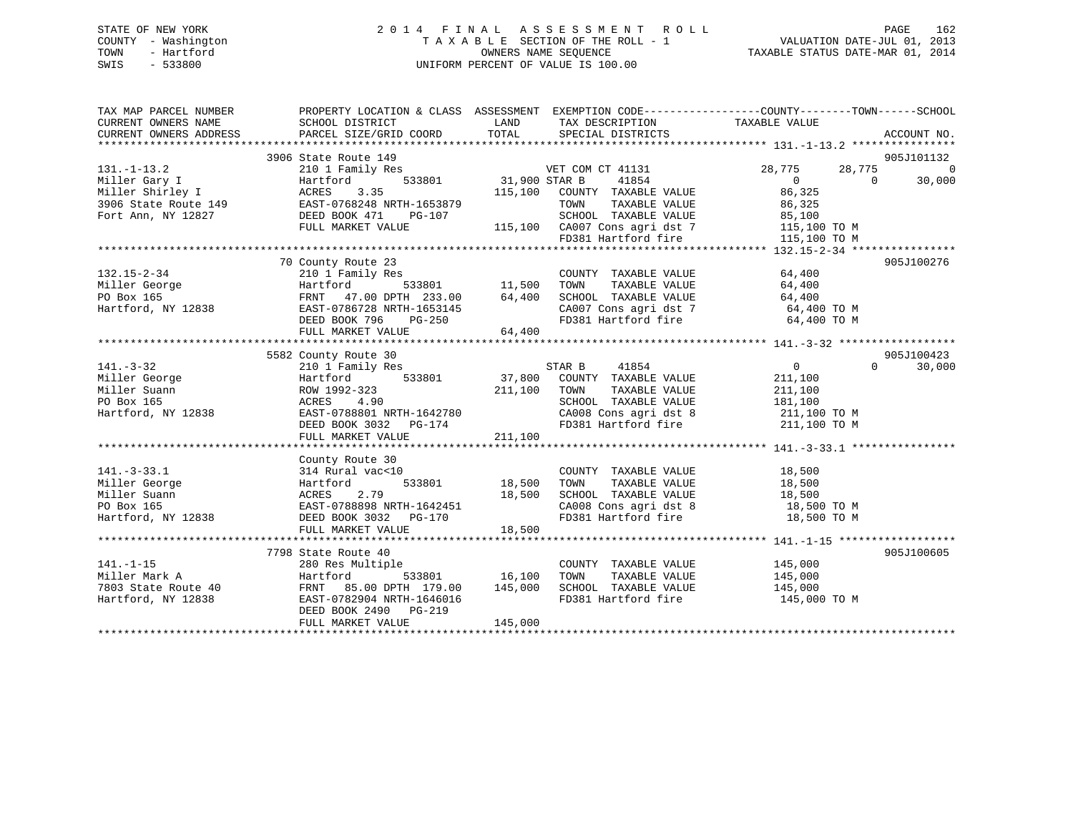# STATE OF NEW YORK 2 0 1 4 F I N A L A S S E S S M E N T R O L L PAGE 162 COUNTY - Washington T A X A B L E SECTION OF THE ROLL - 1 VALUATION DATE-JUL 01, 2013 TOWN - Hartford **TAXABLE STATUS DATE-MAR 01, 2014** OWNERS NAME SEQUENCE TAXABLE STATUS DATE-MAR 01, 2014 SWIS - 533800 UNIFORM PERCENT OF VALUE IS 100.00

| TAX MAP PARCEL NUMBER                                                                                                                                                                                                                             | PROPERTY LOCATION & CLASS ASSESSMENT EXEMPTION CODE----------------COUNTY-------TOWN------SCHOOL |                      |                                                                                                        |                            |                    |
|---------------------------------------------------------------------------------------------------------------------------------------------------------------------------------------------------------------------------------------------------|--------------------------------------------------------------------------------------------------|----------------------|--------------------------------------------------------------------------------------------------------|----------------------------|--------------------|
|                                                                                                                                                                                                                                                   | 3906 State Route 149                                                                             |                      |                                                                                                        |                            | 905J101132         |
| $131. -1 - 13.2$                                                                                                                                                                                                                                  | 210 1 Family Res                                                                                 |                      | VET COM CT 41131                                                                                       | 28,775<br>28,775           | $\overline{0}$     |
|                                                                                                                                                                                                                                                   |                                                                                                  | 533801 31,900 STAR B | 41854                                                                                                  | $\Omega$<br>$\overline{0}$ | 30,000             |
|                                                                                                                                                                                                                                                   |                                                                                                  | 115,100              | COUNTY TAXABLE VALUE                                                                                   | 86,325                     |                    |
| Miller Gary I artford 533801<br>Miller Shirley I ACRES 3.35<br>3906 State Route 149 EAST-0768248 NRTH-1653879<br>Fort Ann, NY 12827 DEED BOOK 471 PG-107<br>FULL MARKET VALUE                                                                     |                                                                                                  |                      | TOWN                                                                                                   | TAXABLE VALUE 86,325       |                    |
|                                                                                                                                                                                                                                                   |                                                                                                  |                      |                                                                                                        |                            |                    |
|                                                                                                                                                                                                                                                   | FULL MARKET VALUE                                                                                |                      | 3-107 SCHOOL TAXABLE VALUE 85,100<br>115,100 CA007 Cons agri dst 7 115,100 TO M                        |                            |                    |
|                                                                                                                                                                                                                                                   |                                                                                                  |                      | FD381 Hartford fire                                                                                    | 115,100 TO M               |                    |
|                                                                                                                                                                                                                                                   |                                                                                                  |                      |                                                                                                        |                            |                    |
|                                                                                                                                                                                                                                                   | 70 County Route 23                                                                               |                      |                                                                                                        |                            | 905J100276         |
|                                                                                                                                                                                                                                                   |                                                                                                  |                      |                                                                                                        | 64,400                     |                    |
|                                                                                                                                                                                                                                                   |                                                                                                  |                      | COUNTY TAXABLE VALUE<br>TOWN TAXABLE VALUE                                                             | 64,400                     |                    |
| 132.15-2-34<br>Miller George 210 1 Family Res<br>Miller George Hartford 533801 11,500<br>PO Box 165<br>Hartford, NY 12838<br>EAST-0786728 NRTH-1653145<br>DEED BOOK 796 PG-250                                                                    |                                                                                                  |                      |                                                                                                        |                            |                    |
|                                                                                                                                                                                                                                                   |                                                                                                  |                      | SCHOOL TAXABLE VALUE $64,400$<br>CA007 Cons agri dst 7 64,400 TO M<br>FD381 Hartford fire 64,400 TO M  |                            |                    |
|                                                                                                                                                                                                                                                   |                                                                                                  | H-1653145<br>PG-250  |                                                                                                        |                            |                    |
|                                                                                                                                                                                                                                                   | FULL MARKET VALUE                                                                                | 64,400               |                                                                                                        |                            |                    |
|                                                                                                                                                                                                                                                   |                                                                                                  |                      |                                                                                                        |                            |                    |
|                                                                                                                                                                                                                                                   | 5582 County Route 30                                                                             |                      |                                                                                                        |                            | 905J100423         |
| $141. - 3 - 32$                                                                                                                                                                                                                                   | 210 1 Family Res                                                                                 |                      |                                                                                                        | $\overline{0}$             | $\Omega$<br>30,000 |
|                                                                                                                                                                                                                                                   |                                                                                                  |                      |                                                                                                        | 211,100                    |                    |
|                                                                                                                                                                                                                                                   |                                                                                                  |                      |                                                                                                        | 211,100                    |                    |
|                                                                                                                                                                                                                                                   |                                                                                                  |                      |                                                                                                        |                            |                    |
|                                                                                                                                                                                                                                                   |                                                                                                  |                      | SCHOOL TAXABLE VALUE 181,100<br>CA008 Cons agri dst 8 211,100 TO M<br>FD381 Hartford fire 211,100 TO M |                            |                    |
|                                                                                                                                                                                                                                                   |                                                                                                  |                      |                                                                                                        |                            |                    |
|                                                                                                                                                                                                                                                   | DEED BOOK 3032 PG-174<br>FULL MARKET VALUE 211,100                                               |                      |                                                                                                        |                            |                    |
|                                                                                                                                                                                                                                                   |                                                                                                  |                      |                                                                                                        |                            |                    |
|                                                                                                                                                                                                                                                   |                                                                                                  |                      |                                                                                                        |                            |                    |
|                                                                                                                                                                                                                                                   |                                                                                                  |                      | COUNTY TAXABLE VALUE                                                                                   | 18,500                     |                    |
|                                                                                                                                                                                                                                                   |                                                                                                  |                      | TOWN                                                                                                   | TAXABLE VALUE 18,500       |                    |
| Miller George<br>Miller Suann accord Hartford 533801<br>Miller Suann ACRES 2.79<br>PO Box 165<br>Hartford, NY 12838<br>ALRES 2.79<br>DEED BOOK 3032<br>PO PO BOX 165<br>Hartford, NY 12838<br>PO BOOK 3032<br>PO PO PO PO PO PO PO PO PO PO PO PO |                                                                                                  | 18,500               |                                                                                                        |                            |                    |
|                                                                                                                                                                                                                                                   |                                                                                                  |                      | SCHOOL TAXABLE VALUE 18,500<br>CA008 Cons agri dst 8 18,500 TO M<br>FD381 Hartford fire 18,500 TO M    |                            |                    |
|                                                                                                                                                                                                                                                   | EAST-0788898 NRTH-1642451<br>DEED BOOK 3032 PG-170                                               |                      |                                                                                                        |                            |                    |
|                                                                                                                                                                                                                                                   |                                                                                                  | 18,500               |                                                                                                        |                            |                    |
|                                                                                                                                                                                                                                                   |                                                                                                  |                      |                                                                                                        |                            |                    |
|                                                                                                                                                                                                                                                   | 7798 State Route 40                                                                              |                      |                                                                                                        |                            | 905J100605         |
| $141. - 1 - 15$                                                                                                                                                                                                                                   | 280 Res Multiple                                                                                 |                      |                                                                                                        |                            |                    |
| 280 Res Multiple<br>16,100 Miller Mark A (100 Hartford 533801 16,100<br>7803 State Route 40 (1981) FRNT 85.00 DPTH 179.00 145,000<br>145,000 Hartford, NY 12838 (1982) EAST-0782904 NRTH-1646016                                                  |                                                                                                  |                      | COUNTY TAXABLE VALUE 145,000<br>TOWN TAXABLE VALUE 145,000<br>TOWN                                     |                            |                    |
|                                                                                                                                                                                                                                                   |                                                                                                  |                      | SCHOOL TAXABLE VALUE 145,000                                                                           |                            |                    |
|                                                                                                                                                                                                                                                   |                                                                                                  |                      | FD381 Hartford fire                                                                                    | 145,000 TO M               |                    |
|                                                                                                                                                                                                                                                   | DEED BOOK 2490 PG-219                                                                            |                      |                                                                                                        |                            |                    |
|                                                                                                                                                                                                                                                   | FULL MARKET VALUE                                                                                | 145,000              |                                                                                                        |                            |                    |
|                                                                                                                                                                                                                                                   |                                                                                                  |                      |                                                                                                        |                            |                    |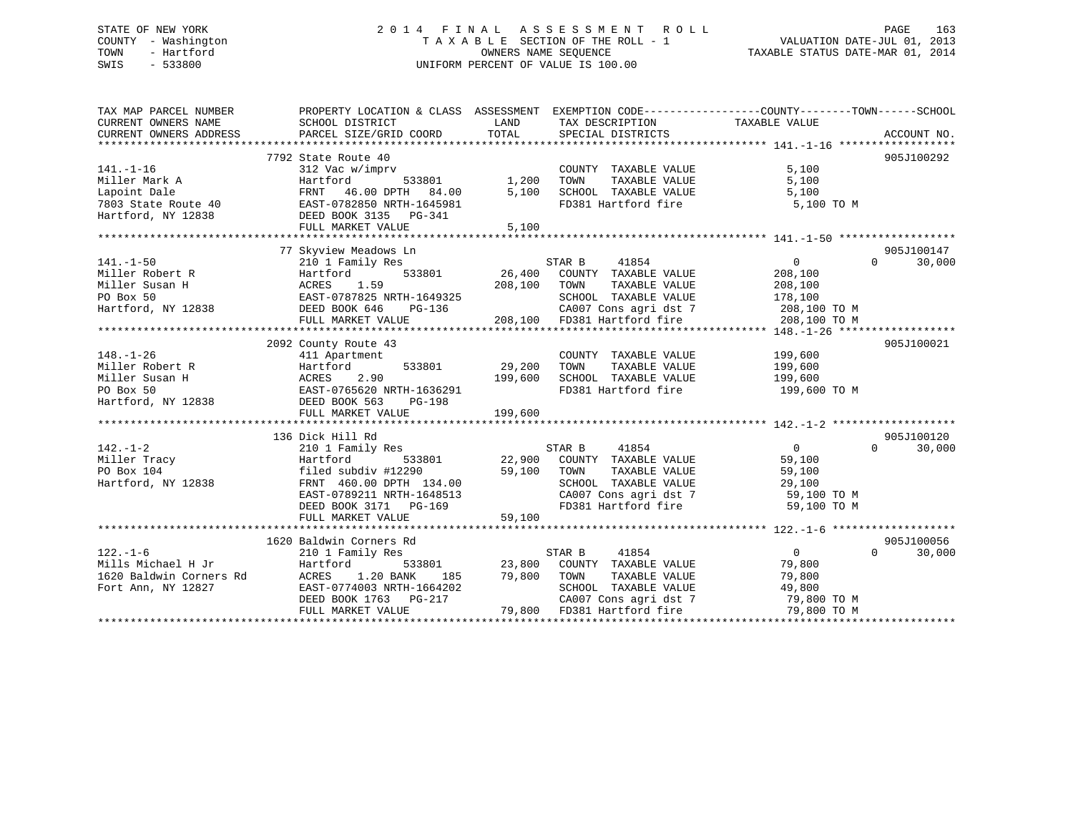# STATE OF NEW YORK 2 0 1 4 F I N A L A S S E S S M E N T R O L L PAGE 163 COUNTY - Washington T A X A B L E SECTION OF THE ROLL - 1 VALUATION DATE-JUL 01, 2013 TOWN - Hartford **TAXABLE STATUS DATE-MAR 01, 2014** OWNERS NAME SEQUENCE TAXABLE STATUS DATE-MAR 01, 2014 SWIS - 533800 UNIFORM PERCENT OF VALUE IS 100.00

| TAX MAP PARCEL NUMBER<br>CURRENT OWNERS NAME<br>CURRENT OWNERS ADDRESS                                                                                                                                                                                                                                                                                                                                                          | PROPERTY LOCATION & CLASS ASSESSMENT EXEMPTION CODE---------------COUNTY-------TOWN-----SCHOOL<br>SCHOOL DISTRICT<br>PARCEL SIZE/GRID COORD |         | LAND TAX DESCRIPTION<br>TOTAL SPECIAL DISTRICTS                             | TAXABLE VALUE                    | ACCOUNT NO.        |
|---------------------------------------------------------------------------------------------------------------------------------------------------------------------------------------------------------------------------------------------------------------------------------------------------------------------------------------------------------------------------------------------------------------------------------|---------------------------------------------------------------------------------------------------------------------------------------------|---------|-----------------------------------------------------------------------------|----------------------------------|--------------------|
|                                                                                                                                                                                                                                                                                                                                                                                                                                 |                                                                                                                                             |         |                                                                             |                                  |                    |
|                                                                                                                                                                                                                                                                                                                                                                                                                                 | 7792 State Route 40                                                                                                                         |         |                                                                             |                                  | 905J100292         |
| $141. - 1 - 16$                                                                                                                                                                                                                                                                                                                                                                                                                 | 312 Vac w/imprv                                                                                                                             |         | COUNTY TAXABLE VALUE                                                        | 5,100                            |                    |
| Miller Mark A<br>Lanoint Dale                                                                                                                                                                                                                                                                                                                                                                                                   |                                                                                                                                             |         | TOWN<br>TAXABLE VALUE                                                       | 5,100                            |                    |
|                                                                                                                                                                                                                                                                                                                                                                                                                                 |                                                                                                                                             |         | SCHOOL TAXABLE VALUE                                                        | 5,100                            |                    |
|                                                                                                                                                                                                                                                                                                                                                                                                                                 |                                                                                                                                             |         |                                                                             | FD381 Hartford fire 5,100 TO M   |                    |
| Hartford, NY 12838 DEED BOOK 3135 PG-341                                                                                                                                                                                                                                                                                                                                                                                        |                                                                                                                                             |         |                                                                             |                                  |                    |
|                                                                                                                                                                                                                                                                                                                                                                                                                                 | FULL MARKET VALUE                                                                                                                           | 5,100   |                                                                             |                                  |                    |
|                                                                                                                                                                                                                                                                                                                                                                                                                                 |                                                                                                                                             |         |                                                                             |                                  |                    |
|                                                                                                                                                                                                                                                                                                                                                                                                                                 | 77 Skyview Meadows Ln                                                                                                                       |         |                                                                             |                                  | 905J100147         |
| $141. - 1 - 50$                                                                                                                                                                                                                                                                                                                                                                                                                 | 210 1 Family Res                                                                                                                            |         | STAR B 41854                                                                | $\overline{0}$                   | $\Omega$<br>30,000 |
|                                                                                                                                                                                                                                                                                                                                                                                                                                 |                                                                                                                                             |         |                                                                             |                                  |                    |
| 11.1 Probert R<br>Miller Susan H<br>Miller Susan H<br>Miller Susan H<br>Miller Susan H<br>Miller Susan H<br>Miller Susan H<br>Miller Susan H<br>Miller Susan H<br>Miller Susan H<br>Miller Susan H<br>Miller Susan H<br>Miller Susan H<br>Miller Susan H                                                                                                                                                                        |                                                                                                                                             |         |                                                                             |                                  |                    |
|                                                                                                                                                                                                                                                                                                                                                                                                                                 |                                                                                                                                             |         |                                                                             |                                  |                    |
|                                                                                                                                                                                                                                                                                                                                                                                                                                 |                                                                                                                                             |         |                                                                             |                                  |                    |
|                                                                                                                                                                                                                                                                                                                                                                                                                                 |                                                                                                                                             |         |                                                                             |                                  |                    |
|                                                                                                                                                                                                                                                                                                                                                                                                                                 |                                                                                                                                             |         |                                                                             |                                  |                    |
|                                                                                                                                                                                                                                                                                                                                                                                                                                 |                                                                                                                                             |         |                                                                             |                                  |                    |
|                                                                                                                                                                                                                                                                                                                                                                                                                                 | 2092 County Route 43                                                                                                                        |         |                                                                             |                                  | 905J100021         |
|                                                                                                                                                                                                                                                                                                                                                                                                                                 |                                                                                                                                             |         | COUNTY TAXABLE VALUE 199,600                                                |                                  |                    |
|                                                                                                                                                                                                                                                                                                                                                                                                                                 |                                                                                                                                             |         | TAXABLE VALUE                                                               | 199,600                          |                    |
|                                                                                                                                                                                                                                                                                                                                                                                                                                 |                                                                                                                                             |         | 199,600 SCHOOL TAXABLE VALUE 199,600<br>FD381 Hartford fire 199,600 199,600 |                                  |                    |
|                                                                                                                                                                                                                                                                                                                                                                                                                                 |                                                                                                                                             |         |                                                                             | FD381 Hartford fire 199,600 TO M |                    |
|                                                                                                                                                                                                                                                                                                                                                                                                                                 |                                                                                                                                             |         |                                                                             |                                  |                    |
|                                                                                                                                                                                                                                                                                                                                                                                                                                 | FULL MARKET VALUE                                                                                                                           | 199,600 |                                                                             |                                  |                    |
|                                                                                                                                                                                                                                                                                                                                                                                                                                 |                                                                                                                                             |         |                                                                             |                                  |                    |
|                                                                                                                                                                                                                                                                                                                                                                                                                                 | 136 Dick Hill Rd                                                                                                                            |         |                                                                             |                                  | 905J100120         |
| 142.-1-2<br>Miller Tracy<br>210 1 Family Res<br>22,900 COUNTY TAXABLE VALUE<br>22,900 COUNTY TAXABLE VALUE<br>22,900 COUNTY TAXABLE VALUE<br>22,900 COUNTY TAXABLE VALUE<br>22,900 COUNTY TAXABLE VALUE<br>22,900 COUNTY TAXABLE VALUE<br>22,900                                                                                                                                                                                |                                                                                                                                             |         |                                                                             | $\overline{0}$                   | $\Omega$<br>30,000 |
|                                                                                                                                                                                                                                                                                                                                                                                                                                 |                                                                                                                                             |         |                                                                             | 59,100                           |                    |
|                                                                                                                                                                                                                                                                                                                                                                                                                                 |                                                                                                                                             |         |                                                                             | 59,100                           |                    |
|                                                                                                                                                                                                                                                                                                                                                                                                                                 |                                                                                                                                             |         | SCHOOL TAXABLE VALUE 29,100                                                 |                                  |                    |
|                                                                                                                                                                                                                                                                                                                                                                                                                                 |                                                                                                                                             |         |                                                                             |                                  |                    |
|                                                                                                                                                                                                                                                                                                                                                                                                                                 | EAST-0789211 NRTH-1648513<br>DEED BOOK 3171 PG-169                                                                                          |         | CA007 Cons agri dst 7 59,100 TO M<br>FD381 Hartford fire                    |                                  |                    |
|                                                                                                                                                                                                                                                                                                                                                                                                                                 |                                                                                                                                             |         |                                                                             | 59,100 TO M                      |                    |
|                                                                                                                                                                                                                                                                                                                                                                                                                                 | FULL MARKET VALUE                                                                                                                           | 59,100  |                                                                             |                                  |                    |
|                                                                                                                                                                                                                                                                                                                                                                                                                                 |                                                                                                                                             |         |                                                                             |                                  |                    |
|                                                                                                                                                                                                                                                                                                                                                                                                                                 | 1620 Baldwin Corners Rd                                                                                                                     |         |                                                                             |                                  | 905J100056         |
| $122. - 1 - 6$                                                                                                                                                                                                                                                                                                                                                                                                                  | 210 1 Family Res                                                                                                                            |         | STAR B<br>41854                                                             | $\overline{0}$                   | $\Omega$<br>30,000 |
|                                                                                                                                                                                                                                                                                                                                                                                                                                 |                                                                                                                                             |         |                                                                             |                                  |                    |
|                                                                                                                                                                                                                                                                                                                                                                                                                                 |                                                                                                                                             |         |                                                                             |                                  |                    |
|                                                                                                                                                                                                                                                                                                                                                                                                                                 |                                                                                                                                             |         |                                                                             |                                  |                    |
|                                                                                                                                                                                                                                                                                                                                                                                                                                 |                                                                                                                                             |         |                                                                             |                                  |                    |
| $\begin{array}{cccccccc} \texttt{122.1--0} & \texttt{2101 Fall11y Res} & \texttt{S1AK B} & \texttt{41854} & \texttt{41854} & \texttt{0} & \texttt{30,001} \\ \texttt{Mills Michael H Jr} & \texttt{Hartford} & \texttt{120 BANK} & \texttt{185} & \texttt{79,800} & \texttt{COMNT TAXABLE VALUE} & \texttt{19,800} & \texttt{79,800} \\ \texttt{1620 Balwin Conners Rd} & \texttt{ACRES} & \texttt{1.20 BANK} & \texttt{185} &$ |                                                                                                                                             |         |                                                                             |                                  |                    |
|                                                                                                                                                                                                                                                                                                                                                                                                                                 |                                                                                                                                             |         |                                                                             |                                  |                    |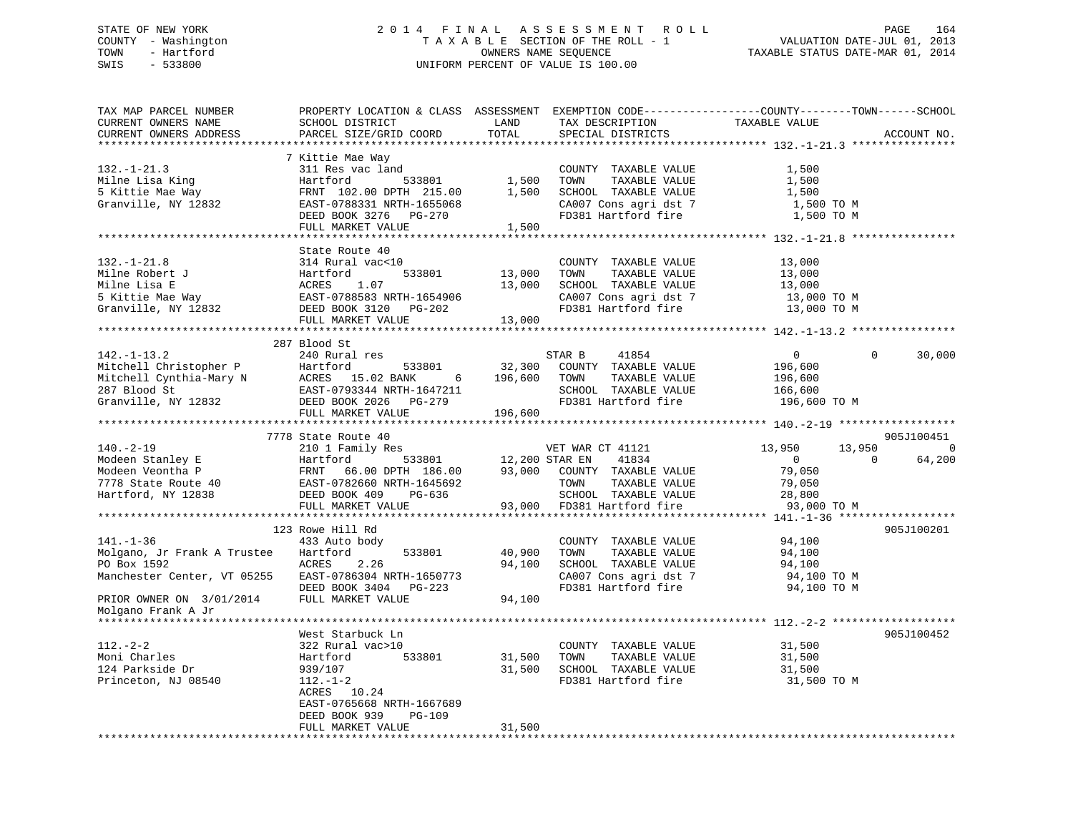# STATE OF NEW YORK 2 0 1 4 F I N A L A S S E S S M E N T R O L L PAGE 164 COUNTY - Washington T A X A B L E SECTION OF THE ROLL - 1 VALUATION DATE-JUL 01, 2013 TOWN - Hartford **TAXABLE STATUS DATE-MAR 01, 2014** OWNERS NAME SEQUENCE TAXABLE STATUS DATE-MAR 01, 2014 SWIS - 533800 UNIFORM PERCENT OF VALUE IS 100.00

| TAX MAP PARCEL NUMBER<br>CURRENT OWNERS NAME          | PROPERTY LOCATION & CLASS ASSESSMENT<br>SCHOOL DISTRICT | LAND                  | TAX DESCRIPTION            | EXEMPTION CODE-----------------COUNTY-------TOWN------SCHOOL<br>TAXABLE VALUE |
|-------------------------------------------------------|---------------------------------------------------------|-----------------------|----------------------------|-------------------------------------------------------------------------------|
| CURRENT OWNERS ADDRESS                                | PARCEL SIZE/GRID COORD                                  | TOTAL                 | SPECIAL DISTRICTS          | ACCOUNT NO.                                                                   |
|                                                       |                                                         |                       |                            |                                                                               |
|                                                       | 7 Kittie Mae Way                                        |                       |                            |                                                                               |
|                                                       |                                                         |                       |                            |                                                                               |
| $132. - 1 - 21.3$                                     | 311 Res vac land                                        |                       | COUNTY TAXABLE VALUE       | 1,500                                                                         |
| Milne Lisa King                                       | Hartford<br>533801                                      | 1,500                 | TAXABLE VALUE<br>TOWN      | 1,500                                                                         |
| 5 Kittie Mae Way                                      | FRNT 102.00 DPTH 215.00                                 | 1,500                 | SCHOOL TAXABLE VALUE       | 1,500                                                                         |
| Granville, NY 12832                                   | EAST-0788331 NRTH-1655068                               |                       | CA007 Cons agri dst 7      | 1,500 TO M                                                                    |
|                                                       | DEED BOOK 3276 PG-270                                   |                       | FD381 Hartford fire        | 1,500 TO M                                                                    |
|                                                       | FULL MARKET VALUE                                       | 1,500                 |                            |                                                                               |
|                                                       |                                                         |                       |                            |                                                                               |
|                                                       | State Route 40                                          |                       |                            |                                                                               |
| $132. - 1 - 21.8$                                     | 314 Rural vac<10                                        |                       | COUNTY TAXABLE VALUE       | 13,000                                                                        |
| Milne Robert J                                        | 533801                                                  | 13,000                | TOWN<br>TAXABLE VALUE      | 13,000                                                                        |
| Milne Lisa E                                          |                                                         | 13,000                | SCHOOL TAXABLE VALUE       | 13,000                                                                        |
| 5 Kittie Mae Way                                      |                                                         |                       | CA007 Cons agri dst 7      | 13,000 TO M                                                                   |
| Granville, NY 12832                                   | DEED BOOK 3120 PG-202                                   |                       | FD381 Hartford fire        | 13,000 TO M                                                                   |
|                                                       | FULL MARKET VALUE                                       | 13,000                |                            |                                                                               |
|                                                       |                                                         |                       |                            |                                                                               |
|                                                       |                                                         |                       |                            |                                                                               |
|                                                       | 287 Blood St                                            |                       |                            |                                                                               |
| $142. - 1 - 13.2$                                     | 240 Rural res                                           |                       | STAR B<br>41854            | $\overline{0}$<br>$\Omega$<br>30,000                                          |
| Mitchell Christopher P                                | Hartford<br>533801                                      | 32,300                | COUNTY TAXABLE VALUE       | 196,600                                                                       |
| Mitchell Cynthia-Mary N                               | ACRES 15.02 BANK<br>6                                   | 196,600               | TOWN<br>TAXABLE VALUE      | 196,600                                                                       |
| 287 Blood St                                          | EAST-0793344 NRTH-1647211                               |                       | SCHOOL TAXABLE VALUE       | 166,600                                                                       |
| Granville, NY 12832                                   | DEED BOOK 2026<br>PG-279                                |                       | FD381 Hartford fire        | 196,600 ТО М                                                                  |
|                                                       | FULL MARKET VALUE                                       | 196,600               |                            |                                                                               |
|                                                       |                                                         |                       |                            |                                                                               |
|                                                       | 7778 State Route 40                                     |                       |                            | 905J100451                                                                    |
| $140. - 2 - 19$                                       |                                                         |                       |                            |                                                                               |
|                                                       |                                                         |                       |                            |                                                                               |
|                                                       | 210 1 Family Res                                        |                       | VET WAR CT 41121           | 13,950<br>13,950<br>0                                                         |
| Modeen Stanley E                                      | Hartford                                                | 533801 12,200 STAR EN | 41834                      | 64,200<br>$\overline{0}$<br>$\Omega$                                          |
| Modeen Veontha P                                      | FRNT 66.00 DPTH 186.00 93,000                           |                       | COUNTY TAXABLE VALUE       | 79,050                                                                        |
| 7778 State Route 40                                   | EAST-0782660 NRTH-1645692                               |                       | TOWN<br>TAXABLE VALUE      | 79,050                                                                        |
| Hartford, NY 12838                                    | DEED BOOK 409<br>PG-636                                 |                       | SCHOOL TAXABLE VALUE       | 28,800                                                                        |
|                                                       | FULL MARKET VALUE                                       |                       | 93,000 FD381 Hartford fire | 93,000 TO M                                                                   |
|                                                       |                                                         |                       |                            |                                                                               |
|                                                       | 123 Rowe Hill Rd                                        |                       |                            | 905J100201                                                                    |
| $141. - 1 - 36$                                       | 433 Auto body                                           |                       | COUNTY TAXABLE VALUE       | 94,100                                                                        |
| Molgano, Jr Frank A Trustee                           | Hartford<br>533801                                      | 40,900                | TOWN<br>TAXABLE VALUE      | 94,100                                                                        |
| PO Box 1592                                           | ACRES<br>2.26                                           | 94,100                | SCHOOL TAXABLE VALUE       | 94,100                                                                        |
| Manchester Center, VT 05255 EAST-0786304 NRTH-1650773 |                                                         |                       | CA007 Cons agri dst 7      | 94,100 TO M                                                                   |
|                                                       | DEED BOOK 3404 PG-223                                   |                       | FD381 Hartford fire        | 94,100 TO M                                                                   |
|                                                       | FULL MARKET VALUE                                       | 94,100                |                            |                                                                               |
| PRIOR OWNER ON 3/01/2014<br>Molgano Frank A Jr        |                                                         |                       |                            |                                                                               |
|                                                       |                                                         |                       |                            |                                                                               |
|                                                       |                                                         |                       |                            |                                                                               |
|                                                       | West Starbuck Ln                                        |                       |                            | 905J100452                                                                    |
| $112. - 2 - 2$                                        | 322 Rural vac>10                                        |                       | COUNTY TAXABLE VALUE       | 31,500                                                                        |
| Moni Charles                                          | 533801<br>Hartford                                      | 31,500                | TOWN<br>TAXABLE VALUE      | 31,500                                                                        |
| 124 Parkside Dr                                       | 939/107                                                 | 31,500                | SCHOOL TAXABLE VALUE       | 31,500                                                                        |
| Princeton, NJ 08540                                   | $112. - 1 - 2$                                          |                       | FD381 Hartford fire        | 31,500 TO M                                                                   |
|                                                       | ACRES 10.24                                             |                       |                            |                                                                               |
|                                                       | EAST-0765668 NRTH-1667689                               |                       |                            |                                                                               |
|                                                       | DEED BOOK 939<br><b>PG-109</b>                          |                       |                            |                                                                               |
|                                                       | FULL MARKET VALUE                                       | 31,500                |                            |                                                                               |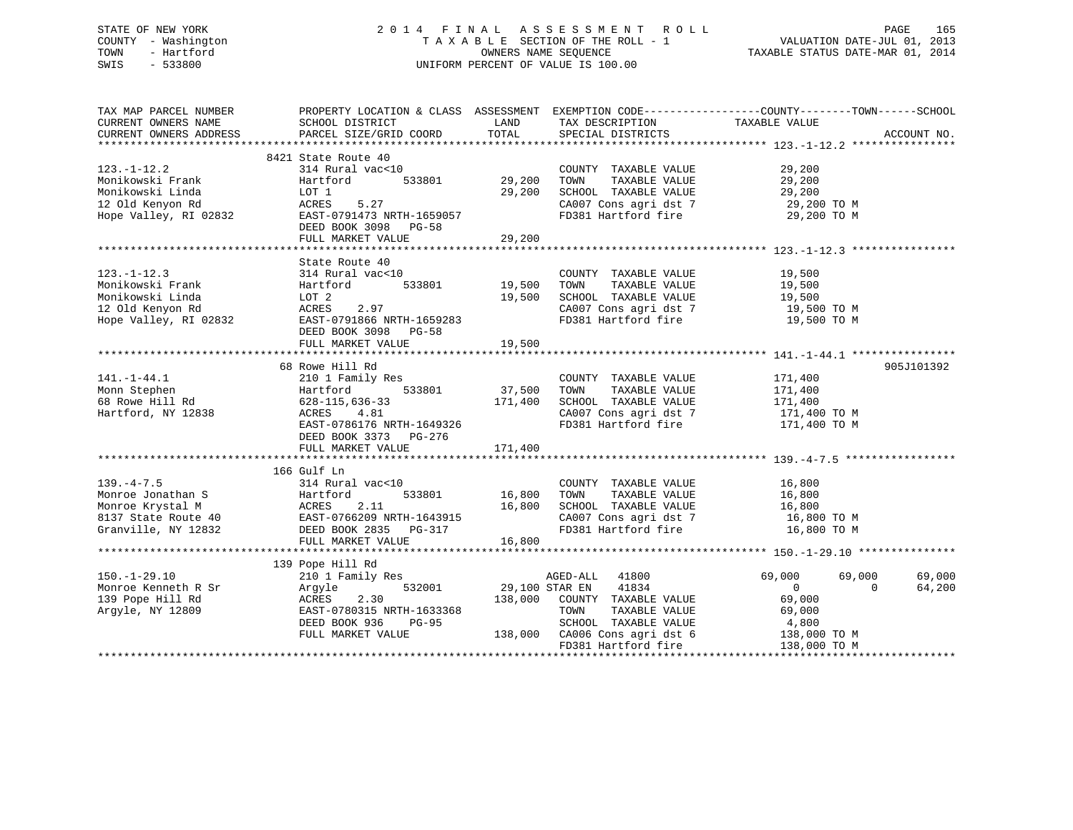# STATE OF NEW YORK 2 0 1 4 F I N A L A S S E S S M E N T R O L L PAGE 165 COUNTY - Washington T A X A B L E SECTION OF THE ROLL - 1 VALUATION DATE-JUL 01, 2013 TOWN - Hartford **TAXABLE STATUS DATE-MAR 01, 2014** OWNERS NAME SEQUENCE TAXABLE STATUS DATE-MAR 01, 2014 SWIS - 533800 UNIFORM PERCENT OF VALUE IS 100.00

| TAX MAP PARCEL NUMBER<br>CURRENT OWNERS NAME | PROPERTY LOCATION & CLASS ASSESSMENT EXEMPTION CODE---------------COUNTY-------TOWN-----SCHOOL<br>SCHOOL DISTRICT | LAND                  | TAX DESCRIPTION                                                        |                            |             |
|----------------------------------------------|-------------------------------------------------------------------------------------------------------------------|-----------------------|------------------------------------------------------------------------|----------------------------|-------------|
| CURRENT OWNERS ADDRESS                       | PARCEL SIZE/GRID COORD                                                                                            | TOTAL                 | SPECIAL DISTRICTS                                                      | TAXABLE VALUE              | ACCOUNT NO. |
|                                              |                                                                                                                   |                       |                                                                        |                            |             |
|                                              | 8421 State Route 40                                                                                               |                       |                                                                        |                            |             |
| $123. - 1 - 12.2$                            | 314 Rural vac<10                                                                                                  |                       | COUNTY TAXABLE VALUE                                                   | 29,200                     |             |
| Monikowski Frank                             | 533801<br>Hartford                                                                                                | 29,200                | TOWN<br>TAXABLE VALUE                                                  | 29,200                     |             |
| Monikowski Linda                             | LOT 1                                                                                                             | 29,200                |                                                                        | 29,200                     |             |
| 12 Old Kenyon Rd                             | 5.27<br>ACRES                                                                                                     |                       |                                                                        | 29,200 TO M                |             |
| Hope Valley, RI 02832                        | EAST-0791473 NRTH-1659057                                                                                         |                       | FD381 Hartford fire 29,200 TO M                                        |                            |             |
|                                              | DEED BOOK 3098 PG-58                                                                                              |                       |                                                                        |                            |             |
|                                              | FULL MARKET VALUE                                                                                                 | 29,200                |                                                                        |                            |             |
|                                              |                                                                                                                   |                       |                                                                        |                            |             |
|                                              | State Route 40                                                                                                    |                       |                                                                        |                            |             |
| $123. - 1 - 12.3$                            | 314 Rural vac<10                                                                                                  |                       | COUNTY TAXABLE VALUE                                                   | 19,500                     |             |
| Monikowski Frank                             | Hartford                                                                                                          | 533801 19,500         | TOWN<br>TAXABLE VALUE                                                  | 19,500                     |             |
| Monikowski Linda                             | LOT 2                                                                                                             | 19,500                | SCHOOL TAXABLE VALUE                                                   |                            |             |
| 12 Old Kenyon Rd                             | 2.97<br>ACRES                                                                                                     |                       | CA007 Cons agri dst 7                                                  | 19,500                     |             |
| Hope Valley, RI 02832                        |                                                                                                                   |                       | FD381 Hartford fire 19,500 TO M                                        | 19,500 TO M                |             |
|                                              | EAST-0791866 NRTH-1659283                                                                                         |                       |                                                                        |                            |             |
|                                              | DEED BOOK 3098 PG-58                                                                                              |                       |                                                                        |                            |             |
|                                              | FULL MARKET VALUE                                                                                                 | 19,500                |                                                                        |                            |             |
|                                              |                                                                                                                   |                       |                                                                        |                            |             |
|                                              | 68 Rowe Hill Rd                                                                                                   |                       |                                                                        |                            | 905J101392  |
| $141. - 1 - 44.1$                            | 210 1 Family Res                                                                                                  |                       | COUNTY TAXABLE VALUE                                                   | 171,400<br>171.400         |             |
| Monn Stephen                                 | 533801 37,500<br>Hartford                                                                                         |                       | TAXABLE VALUE<br>TOWN                                                  | 171,400                    |             |
| 68 Rowe Hill Rd                              | 628-115,636-33 171,400<br>ACRES 4.81                                                                              |                       | SCHOOL TAXABLE VALUE                                                   | 171,400                    |             |
| Hartford, NY 12838                           | ACRES<br>4.81                                                                                                     |                       | CA007 Cons agri dst 7 171,400 TO M<br>FD381 Hartford fire 171,400 TO M |                            |             |
|                                              | EAST-0786176 NRTH-1649326                                                                                         |                       |                                                                        |                            |             |
|                                              | DEED BOOK 3373 PG-276                                                                                             |                       |                                                                        |                            |             |
|                                              | FULL MARKET VALUE                                                                                                 | 171,400               |                                                                        |                            |             |
|                                              |                                                                                                                   |                       |                                                                        |                            |             |
|                                              | 166 Gulf Ln                                                                                                       |                       |                                                                        |                            |             |
| $139. -4 - 7.5$                              | 314 Rural vac<10                                                                                                  |                       | COUNTY TAXABLE VALUE                                                   | 16,800<br>16,800           |             |
| Monroe Jonathan S                            | 533801<br>Hartford                                                                                                | 16,800                | TAXABLE VALUE<br>TOWN                                                  |                            |             |
|                                              |                                                                                                                   |                       | SCHOOL TAXABLE VALUE                                                   |                            |             |
|                                              | Monroe Erystal M<br>Monroe Krystal M<br>8137 State Route 40<br>Granville, NY 12832<br>DEED BOOK 2835 PG-317       |                       | CA007 Cons agri dst 7 16,800 TO M<br>FD381 Hartford fire 16,800 TO M   | 16,800<br>16,800 TO M      |             |
|                                              |                                                                                                                   |                       |                                                                        |                            |             |
|                                              | FULL MARKET VALUE                                                                                                 | 16,800                |                                                                        |                            |             |
|                                              |                                                                                                                   |                       |                                                                        |                            |             |
|                                              | 139 Pope Hill Rd                                                                                                  |                       |                                                                        |                            |             |
| $150. - 1 - 29.10$                           | 210 1 Family Res                                                                                                  |                       | AGED-ALL 41800                                                         | 69,000<br>69,000           | 69,000      |
|                                              |                                                                                                                   | 532001 29,100 STAR EN | 41834                                                                  | $\Omega$<br>$\overline{0}$ | 64,200      |
|                                              | 2.30                                                                                                              |                       | 138,000 COUNTY TAXABLE VALUE                                           | 69,000                     |             |
| Argyle, NY 12809                             | EAST-0780315 NRTH-1633368                                                                                         |                       | TOWN<br>TAXABLE VALUE                                                  | 69,000                     |             |
|                                              | DEED BOOK 936<br>PG-95                                                                                            |                       | SCHOOL TAXABLE VALUE                                                   | 4,800                      |             |
|                                              | FULL MARKET VALUE                                                                                                 |                       | 138,000 CA006 Cons agri dst 6                                          | 138,000 TO M               |             |
|                                              |                                                                                                                   |                       | FD381 Hartford fire                                                    | 138,000 TO M               |             |
|                                              |                                                                                                                   |                       |                                                                        |                            |             |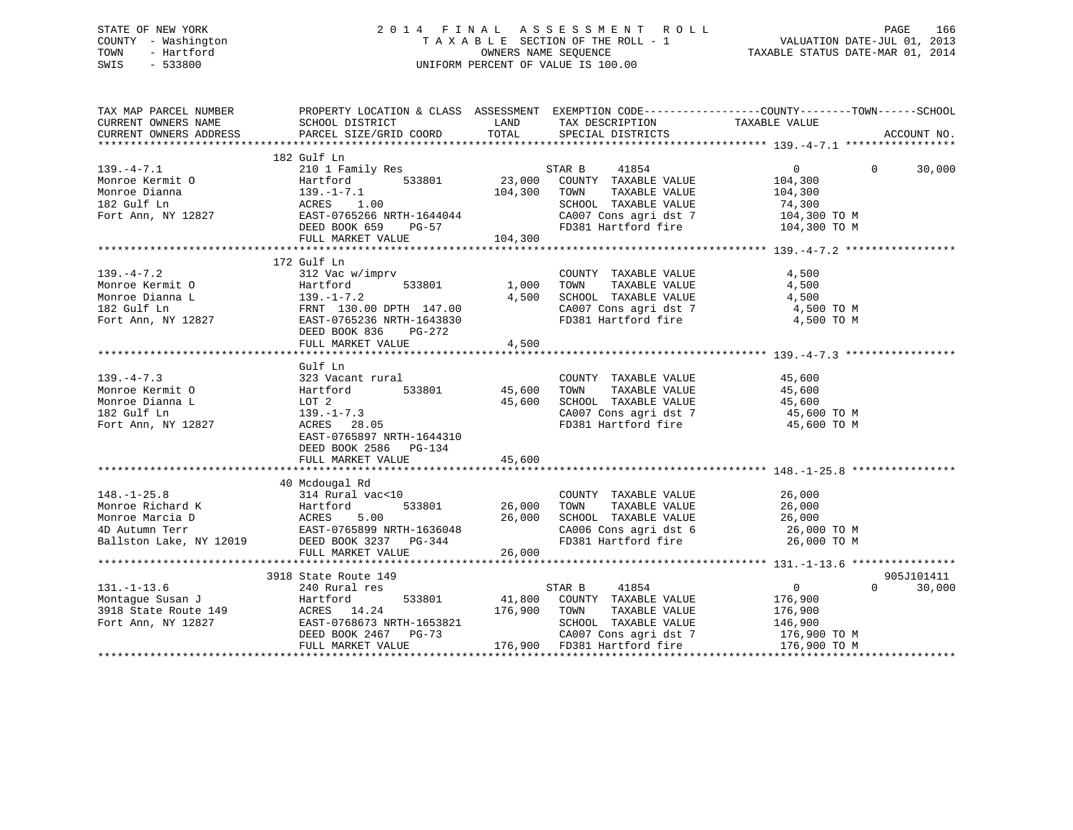# STATE OF NEW YORK 2 0 1 4 F I N A L A S S E S S M E N T R O L L PAGE 166 COUNTY - Washington T A X A B L E SECTION OF THE ROLL - 1 VALUATION DATE-JUL 01, 2013 TOWN - Hartford **TAXABLE STATUS DATE-MAR 01, 2014** OWNERS NAME SEQUENCE TAXABLE STATUS DATE-MAR 01, 2014 SWIS - 533800 UNIFORM PERCENT OF VALUE IS 100.00

| TAX MAP PARCEL NUMBER<br>CURRENT OWNERS NAME<br>CURRENT OWNERS ADDRESS |                                                                                                                                                                                                                                                                                                                        |            |                                                                                                                                                                                                                                                       | PROPERTY LOCATION & CLASS ASSESSMENT EXEMPTION CODE----------------COUNTY-------TOWN------SCHOOL | ACCOUNT NO. |
|------------------------------------------------------------------------|------------------------------------------------------------------------------------------------------------------------------------------------------------------------------------------------------------------------------------------------------------------------------------------------------------------------|------------|-------------------------------------------------------------------------------------------------------------------------------------------------------------------------------------------------------------------------------------------------------|--------------------------------------------------------------------------------------------------|-------------|
|                                                                        |                                                                                                                                                                                                                                                                                                                        |            |                                                                                                                                                                                                                                                       |                                                                                                  |             |
|                                                                        | 182 Gulf Ln                                                                                                                                                                                                                                                                                                            |            |                                                                                                                                                                                                                                                       |                                                                                                  |             |
|                                                                        |                                                                                                                                                                                                                                                                                                                        |            |                                                                                                                                                                                                                                                       | $0 \qquad \qquad$<br>$\Omega$                                                                    | 30,000      |
|                                                                        |                                                                                                                                                                                                                                                                                                                        |            |                                                                                                                                                                                                                                                       | 104,300                                                                                          |             |
|                                                                        |                                                                                                                                                                                                                                                                                                                        |            |                                                                                                                                                                                                                                                       | 104,300                                                                                          |             |
|                                                                        |                                                                                                                                                                                                                                                                                                                        |            |                                                                                                                                                                                                                                                       | 74,300                                                                                           |             |
|                                                                        |                                                                                                                                                                                                                                                                                                                        |            |                                                                                                                                                                                                                                                       |                                                                                                  |             |
|                                                                        | DEED BOOK 659 PG-57<br>FULL MARKET VALUE                                                                                                                                                                                                                                                                               | 104,300    | CA007 Cons agri dst 7 104,300 TO M<br>FD381 Hartford fire 104,300 TO M<br>FD381 Hartford fire                                                                                                                                                         |                                                                                                  |             |
|                                                                        |                                                                                                                                                                                                                                                                                                                        |            |                                                                                                                                                                                                                                                       |                                                                                                  |             |
|                                                                        | 172 Gulf Ln                                                                                                                                                                                                                                                                                                            |            |                                                                                                                                                                                                                                                       |                                                                                                  |             |
| $139. - 4 - 7.2$                                                       | 312 Vac w/imprv                                                                                                                                                                                                                                                                                                        |            | COUNTY TAXABLE VALUE                                                                                                                                                                                                                                  | 4,500                                                                                            |             |
| Monroe Kermit O                                                        | $\frac{5}{2}$ and $\frac{1}{2}$ $\frac{1}{2}$ $\frac{1}{2}$ $\frac{1}{2}$ $\frac{1}{2}$ $\frac{1}{2}$ $\frac{1}{2}$ $\frac{1}{2}$ $\frac{1}{2}$ $\frac{1}{2}$ $\frac{1}{2}$ $\frac{1}{2}$ $\frac{1}{2}$ $\frac{1}{2}$ $\frac{1}{2}$ $\frac{1}{2}$ $\frac{1}{2}$ $\frac{1}{2}$ $\frac{1}{2}$ $\frac{1}{2}$ $\frac{1}{2$ | 1,000 TOWN | TAXABLE VALUE                                                                                                                                                                                                                                         | 4,500                                                                                            |             |
|                                                                        |                                                                                                                                                                                                                                                                                                                        |            | SCHOOL TAXABLE VALUE 4,500                                                                                                                                                                                                                            |                                                                                                  |             |
|                                                                        |                                                                                                                                                                                                                                                                                                                        |            |                                                                                                                                                                                                                                                       |                                                                                                  |             |
|                                                                        | Monroe Dianna L<br>Monroe Dianna L<br>139.-1-7.2<br>182 Gulf Ln<br>FRNT 130.00 DPTH 147.00<br>Fort Ann, NY 12827<br>EAST-0765236 NRTH-1643830                                                                                                                                                                          |            | $\begin{array}{lllllll} \texttt{CA007} & \texttt{Cons}\ \texttt{agri}\ \texttt{dst}\ \texttt{7} & \texttt{4,500}\ \texttt{T0}\ \texttt{M} & \texttt{FD381}\ \texttt{Hartford}\ \texttt{fire} & \texttt{4,500}\ \texttt{T0}\ \texttt{M} & \end{array}$ |                                                                                                  |             |
|                                                                        | DEED BOOK 836 PG-272                                                                                                                                                                                                                                                                                                   |            |                                                                                                                                                                                                                                                       |                                                                                                  |             |
|                                                                        | FULL MARKET VALUE                                                                                                                                                                                                                                                                                                      | 4,500      |                                                                                                                                                                                                                                                       |                                                                                                  |             |
|                                                                        |                                                                                                                                                                                                                                                                                                                        |            |                                                                                                                                                                                                                                                       |                                                                                                  |             |
|                                                                        | Gulf Ln                                                                                                                                                                                                                                                                                                                |            |                                                                                                                                                                                                                                                       |                                                                                                  |             |
| $139. -4 - 7.3$                                                        | 323 Vacant rural                                                                                                                                                                                                                                                                                                       |            | COUNTY TAXABLE VALUE                                                                                                                                                                                                                                  |                                                                                                  |             |
| Monroe Kermit O                                                        | Hartford 533801 45,600                                                                                                                                                                                                                                                                                                 |            | TAXABLE VALUE<br>TOWN                                                                                                                                                                                                                                 | 45,600<br>45,600                                                                                 |             |
| Monroe Dianna L                                                        | LOT 2                                                                                                                                                                                                                                                                                                                  | 45,600     | SCHOOL TAXABLE VALUE 45,600                                                                                                                                                                                                                           |                                                                                                  |             |
| 182 Gulf Ln                                                            | $139. - 1 - 7.3$                                                                                                                                                                                                                                                                                                       |            |                                                                                                                                                                                                                                                       |                                                                                                  |             |
| Fort Ann, NY 12827                                                     | ACRES 28.05                                                                                                                                                                                                                                                                                                            |            | CA007 Cons agri dst 7 45,600 TO M<br>FD381 Hartford fire 45,600 TO M                                                                                                                                                                                  |                                                                                                  |             |
|                                                                        | EAST-0765897 NRTH-1644310                                                                                                                                                                                                                                                                                              |            |                                                                                                                                                                                                                                                       |                                                                                                  |             |
|                                                                        | DEED BOOK 2586 PG-134                                                                                                                                                                                                                                                                                                  |            |                                                                                                                                                                                                                                                       |                                                                                                  |             |
|                                                                        | FULL MARKET VALUE                                                                                                                                                                                                                                                                                                      | 45,600     |                                                                                                                                                                                                                                                       |                                                                                                  |             |
|                                                                        |                                                                                                                                                                                                                                                                                                                        |            |                                                                                                                                                                                                                                                       |                                                                                                  |             |
|                                                                        | 40 Mcdougal Rd                                                                                                                                                                                                                                                                                                         |            |                                                                                                                                                                                                                                                       |                                                                                                  |             |
| $148. - 1 - 25.8$                                                      | $314$ Rural vac< $10$                                                                                                                                                                                                                                                                                                  |            | COUNTY TAXABLE VALUE 26,000                                                                                                                                                                                                                           |                                                                                                  |             |
|                                                                        |                                                                                                                                                                                                                                                                                                                        |            |                                                                                                                                                                                                                                                       |                                                                                                  |             |
|                                                                        |                                                                                                                                                                                                                                                                                                                        |            |                                                                                                                                                                                                                                                       |                                                                                                  |             |
|                                                                        |                                                                                                                                                                                                                                                                                                                        |            |                                                                                                                                                                                                                                                       |                                                                                                  |             |
|                                                                        |                                                                                                                                                                                                                                                                                                                        |            |                                                                                                                                                                                                                                                       |                                                                                                  |             |
|                                                                        |                                                                                                                                                                                                                                                                                                                        |            |                                                                                                                                                                                                                                                       |                                                                                                  |             |
|                                                                        | 148.-1-25.8<br>Monroe Richard K (1991) Hartford 533801 (26,000 TOWN TAXABLE VALUE 206,000<br>Monroe Marchard K (1992) ACRES 5.00 (26,000 TOM 26,000 CHOOL TAXABLE VALUE 26,000<br>4D Autumn Terr (1993) EXED BOOK 3237 PG-344 (26,0                                                                                    |            |                                                                                                                                                                                                                                                       |                                                                                                  |             |
|                                                                        | 3918 State Route 149                                                                                                                                                                                                                                                                                                   |            |                                                                                                                                                                                                                                                       |                                                                                                  | 905J101411  |
| $131. - 1 - 13.6$                                                      | 240 Rural res                                                                                                                                                                                                                                                                                                          |            | STAR B<br>41854                                                                                                                                                                                                                                       | $\overline{0}$<br>$\Omega$                                                                       | 30,000      |
| Montague Susan J                                                       |                                                                                                                                                                                                                                                                                                                        |            | 533801 41,800 COUNTY TAXABLE VALUE                                                                                                                                                                                                                    |                                                                                                  |             |
|                                                                        |                                                                                                                                                                                                                                                                                                                        | 176,900    | TOWN<br>TAXABLE VALUE                                                                                                                                                                                                                                 | 176,900<br>176,900                                                                               |             |
| Fort Ann, NY 12827                                                     | EAST-0768673 NRTH-1653821                                                                                                                                                                                                                                                                                              |            | SCHOOL TAXABLE VALUE                                                                                                                                                                                                                                  |                                                                                                  |             |
|                                                                        | ----- 0700075 NRIH-1653821<br>DEED BOOK 2467 PG-73<br>FUIT MANU--                                                                                                                                                                                                                                                      |            | CA007 Cons agri dst 7                                                                                                                                                                                                                                 | 146,900<br>176,900 ТО М                                                                          |             |
|                                                                        | FULL MARKET VALUE                                                                                                                                                                                                                                                                                                      |            | 176,900 FD381 Hartford fire 176,900 TO M                                                                                                                                                                                                              |                                                                                                  |             |
|                                                                        |                                                                                                                                                                                                                                                                                                                        |            |                                                                                                                                                                                                                                                       |                                                                                                  |             |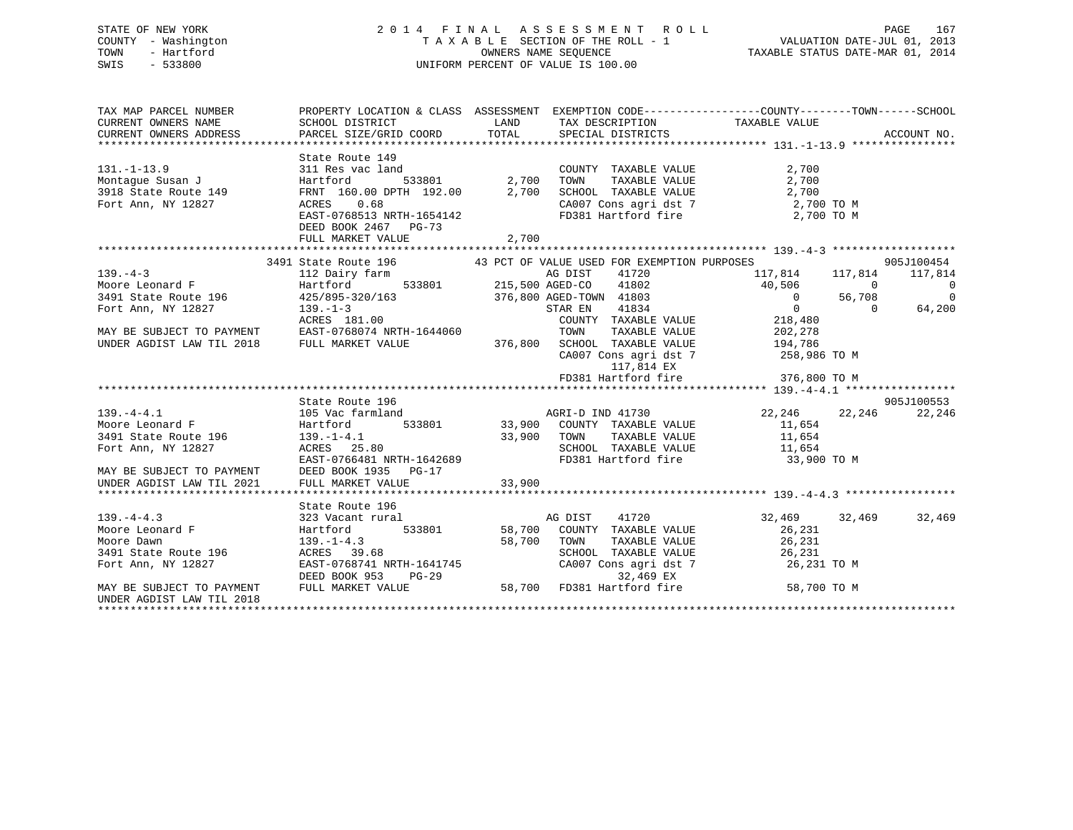# STATE OF NEW YORK 2 0 1 4 F I N A L A S S E S S M E N T R O L L PAGE 167 COUNTY - Washington T A X A B L E SECTION OF THE ROLL - 1 VALUATION DATE-JUL 01, 2013 TOWN - Hartford **TAXABLE STATUS DATE-MAR 01, 2014** OWNERS NAME SEQUENCE TAXABLE STATUS DATE-MAR 01, 2014 SWIS - 533800 UNIFORM PERCENT OF VALUE IS 100.00

| TAX MAP PARCEL NUMBER<br>CURRENT OWNERS NAME<br>CURRENT OWNERS ADDRESS |                                                                                                                                                                                                                                                                                                                                                                                                                                                            |        |                                                              | PROPERTY LOCATION & CLASS ASSESSMENT EXEMPTION CODE---------------COUNTY-------TOWN-----SCHOOL |                |
|------------------------------------------------------------------------|------------------------------------------------------------------------------------------------------------------------------------------------------------------------------------------------------------------------------------------------------------------------------------------------------------------------------------------------------------------------------------------------------------------------------------------------------------|--------|--------------------------------------------------------------|------------------------------------------------------------------------------------------------|----------------|
|                                                                        |                                                                                                                                                                                                                                                                                                                                                                                                                                                            |        |                                                              |                                                                                                |                |
|                                                                        | State Route 149                                                                                                                                                                                                                                                                                                                                                                                                                                            |        |                                                              |                                                                                                |                |
| $131. - 1 - 13.9$                                                      | 311 Res vac land                                                                                                                                                                                                                                                                                                                                                                                                                                           |        | land COUNTY TAXABLE VALUE<br>533801 2,700 TOWN TAXABLE VALUE | 2,700                                                                                          |                |
|                                                                        |                                                                                                                                                                                                                                                                                                                                                                                                                                                            |        |                                                              |                                                                                                |                |
|                                                                        |                                                                                                                                                                                                                                                                                                                                                                                                                                                            |        |                                                              |                                                                                                |                |
|                                                                        |                                                                                                                                                                                                                                                                                                                                                                                                                                                            |        |                                                              |                                                                                                |                |
|                                                                        | $\begin{array}{cccccc} \text{131.-1-13.9} & \text{311 Res vac land} & \text{CUDN11 I AADLE VALUE} & \text{2,700} \\ \text{Montague Susan J} & \text{Hartford} & \text{533801} & \text{2,700 TOWN TAXABLE VALUE} & \text{2,700} \\ \text{3918 State Route 149} & \text{FRNT 160.00 DPTH 192.00} & \text{2,700 SCHOOL TAXABLE VALUE} & \text{2,700} \\ \text{Fort Ann, NY 12827} & \text{ACRES} & 0.68 & \text{CAO07 Cons agri dat $<br>DEED BOOK 2467 PG-73 |        |                                                              |                                                                                                |                |
|                                                                        | FULL MARKET VALUE                                                                                                                                                                                                                                                                                                                                                                                                                                          | 2,700  |                                                              |                                                                                                |                |
|                                                                        |                                                                                                                                                                                                                                                                                                                                                                                                                                                            |        |                                                              |                                                                                                | 905J100454     |
|                                                                        | 3491 State Route 196 43 PCT OF VALUE USED FOR EXEMPTION PURPOSES                                                                                                                                                                                                                                                                                                                                                                                           |        |                                                              |                                                                                                | 117,814        |
|                                                                        |                                                                                                                                                                                                                                                                                                                                                                                                                                                            |        |                                                              |                                                                                                | $\sim$ 0       |
|                                                                        |                                                                                                                                                                                                                                                                                                                                                                                                                                                            |        |                                                              |                                                                                                | $\overline{0}$ |
|                                                                        |                                                                                                                                                                                                                                                                                                                                                                                                                                                            |        |                                                              |                                                                                                | 64,200         |
|                                                                        |                                                                                                                                                                                                                                                                                                                                                                                                                                                            |        |                                                              |                                                                                                |                |
|                                                                        | Fort Ann, NY 12827 139.-1-3<br>Fort Ann, NY 12827 139.-1-3<br>ACRES 181.00 COUNTY TAXABLE VALUE 218,480<br>MAY BE SUBJECT TO PAYMENT EAST-0768074 NRTH-1644060 TOWN TAXABLE VALUE 202,278<br>UNDER AGDIST LAW TIL 2018 FULL MARKET VAL                                                                                                                                                                                                                     |        |                                                              |                                                                                                |                |
|                                                                        |                                                                                                                                                                                                                                                                                                                                                                                                                                                            |        |                                                              |                                                                                                |                |
|                                                                        |                                                                                                                                                                                                                                                                                                                                                                                                                                                            |        |                                                              | CA007 Cons agri dst 7 258,986 TO M                                                             |                |
|                                                                        |                                                                                                                                                                                                                                                                                                                                                                                                                                                            |        | 117,814 EX                                                   |                                                                                                |                |
|                                                                        |                                                                                                                                                                                                                                                                                                                                                                                                                                                            |        |                                                              |                                                                                                |                |
|                                                                        |                                                                                                                                                                                                                                                                                                                                                                                                                                                            |        |                                                              |                                                                                                |                |
|                                                                        | State Route 196                                                                                                                                                                                                                                                                                                                                                                                                                                            |        |                                                              |                                                                                                | 905J100553     |
|                                                                        |                                                                                                                                                                                                                                                                                                                                                                                                                                                            |        |                                                              |                                                                                                |                |
|                                                                        | 139.-4-4.1<br>Moore Leonard F<br>Moore Leonard F<br>3491 State Route 196 Hartford 533801 33,900 COUNTY TAXABLE VALUE 11,654<br>Fort Ann, NY 12827 ACRES 25.80 SCHOOL TAXABLE VALUE 11,654<br>FOR THE SAST-0766481 NRTH-1642689 FD381 Har                                                                                                                                                                                                                   |        |                                                              |                                                                                                |                |
|                                                                        |                                                                                                                                                                                                                                                                                                                                                                                                                                                            |        |                                                              |                                                                                                |                |
|                                                                        |                                                                                                                                                                                                                                                                                                                                                                                                                                                            |        |                                                              |                                                                                                |                |
|                                                                        |                                                                                                                                                                                                                                                                                                                                                                                                                                                            |        |                                                              |                                                                                                |                |
|                                                                        | MAY BE SUBJECT TO PAYMENT DEED BOOK 1935 PG-17<br>UNDER AGDIST LAW TIL 2021 FULL MARKET VALUE                                                                                                                                                                                                                                                                                                                                                              |        |                                                              |                                                                                                |                |
|                                                                        |                                                                                                                                                                                                                                                                                                                                                                                                                                                            | 33,900 |                                                              |                                                                                                |                |
|                                                                        |                                                                                                                                                                                                                                                                                                                                                                                                                                                            |        |                                                              |                                                                                                |                |
|                                                                        |                                                                                                                                                                                                                                                                                                                                                                                                                                                            |        |                                                              |                                                                                                |                |
|                                                                        |                                                                                                                                                                                                                                                                                                                                                                                                                                                            |        |                                                              | 32,469 32,469 32,469<br>26,231                                                                 |                |
|                                                                        |                                                                                                                                                                                                                                                                                                                                                                                                                                                            |        |                                                              |                                                                                                |                |
|                                                                        |                                                                                                                                                                                                                                                                                                                                                                                                                                                            |        |                                                              | TAXABLE VALUE 26,231                                                                           |                |
|                                                                        |                                                                                                                                                                                                                                                                                                                                                                                                                                                            |        |                                                              |                                                                                                |                |
|                                                                        | XDER<br>*******************<br>139.-4-4.3<br>Moore Leonard F<br>The Dawn<br>196 139.-1-4.3<br>196 139.-1-4.3<br>ACRES 39.68<br>TACRES 39.68<br>TACRES 19768741 NRTH-1641745<br>PG-29                                                                                                                                                                                                                                                                       |        |                                                              | SCHOOL TAXABLE VALUE 26, 231<br>CA007 Cons agri dst 7 26, 231 TO M<br>32, 469 EX 26, 231 TO M  |                |
| MAY BE SUBJECT TO PAYMENT                                              | 139.-1-4.3<br>ACRES 39.68<br>EAST-0768741 NRTH-1641745<br>DEED BOOK 953 PG-29<br>FULL MARKET VALUE<br>FULL MARKET VALUE<br>28,700 FD381 Hartford fire                                                                                                                                                                                                                                                                                                      |        |                                                              | 58,700 TO M                                                                                    |                |
| UNDER AGDIST LAW TIL 2018                                              |                                                                                                                                                                                                                                                                                                                                                                                                                                                            |        |                                                              |                                                                                                |                |
|                                                                        |                                                                                                                                                                                                                                                                                                                                                                                                                                                            |        |                                                              |                                                                                                |                |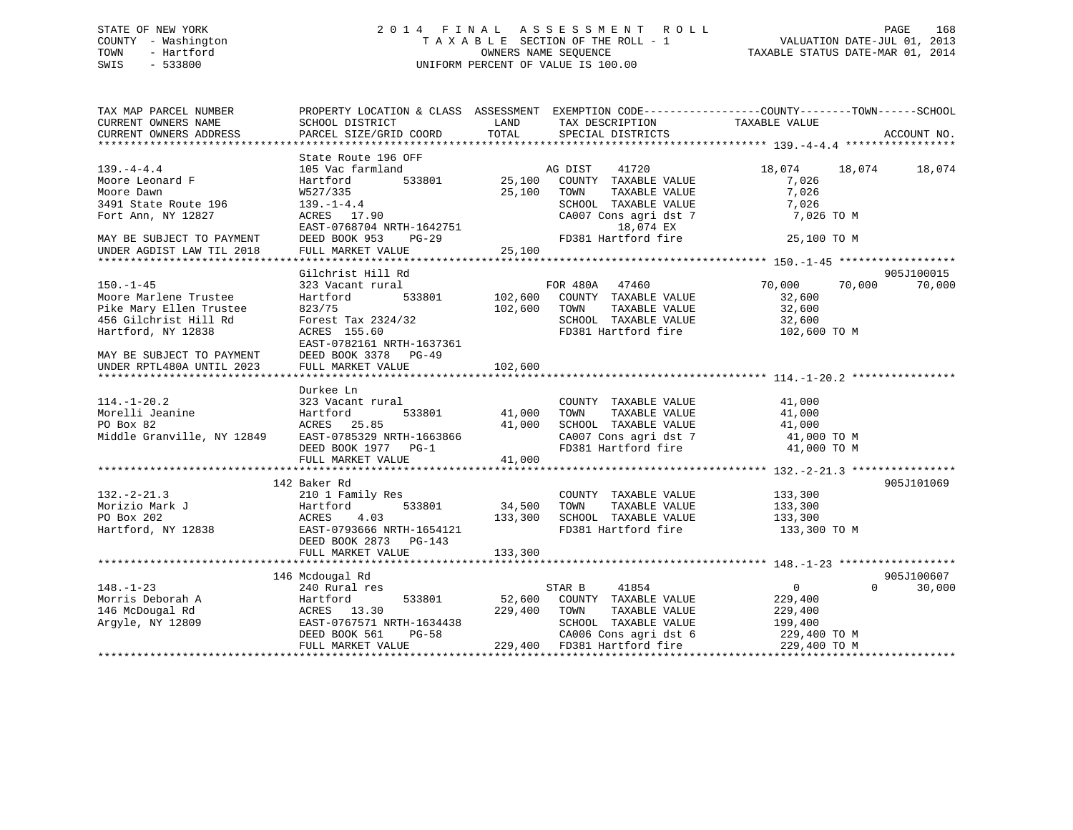# STATE OF NEW YORK 2 0 1 4 F I N A L A S S E S S M E N T R O L L PAGE 168 COUNTY - Washington T A X A B L E SECTION OF THE ROLL - 1 VALUATION DATE-JUL 01, 2013 TOWN - Hartford **TAXABLE STATUS DATE-MAR 01, 2014** OWNERS NAME SEQUENCE TAXABLE STATUS DATE-MAR 01, 2014 SWIS - 533800 UNIFORM PERCENT OF VALUE IS 100.00

| TAX MAP PARCEL NUMBER<br>CURRENT OWNERS NAME<br>CURRENT OWNERS ADDRESS          | SCHOOL DISTRICT<br>PARCEL SIZE/GRID COORD                                                                     | PROPERTY LOCATION & CLASS ASSESSMENT EXEMPTION CODE---------------COUNTY-------TOWN------SCHOOL<br>LAND<br>TAX DESCRIPTION<br>TOTAL<br>SPECIAL DISTRICTS | TAXABLE VALUE<br>ACCOUNT NO.                     |
|---------------------------------------------------------------------------------|---------------------------------------------------------------------------------------------------------------|----------------------------------------------------------------------------------------------------------------------------------------------------------|--------------------------------------------------|
| $139. -4 - 4.4$                                                                 | State Route 196 OFF<br>105 Vac farmland                                                                       | AG DIST<br>41720                                                                                                                                         | 18,074<br>18,074<br>18,074                       |
| Moore Leonard F<br>Moore Dawn                                                   | 533801<br>Hartford<br>W527/335                                                                                | 25,100<br>COUNTY TAXABLE VALUE<br>25,100<br>TOWN<br>TAXABLE VALUE                                                                                        | 7,026<br>7,026                                   |
| 3491 State Route 196<br>Fort Ann, NY 12827                                      | $139. - 1 - 4.4$<br>ACRES 17.90                                                                               | SCHOOL TAXABLE VALUE<br>CA007 Cons agri dst 7                                                                                                            | 7,026<br>7,026 TO M                              |
| MAY BE SUBJECT TO PAYMENT<br>UNDER AGDIST LAW TIL 2018                          | EAST-0768704 NRTH-1642751<br>DEED BOOK 953<br>$PG-29$<br>FULL MARKET VALUE                                    | 18,074 EX<br>FD381 Hartford fire<br>25,100                                                                                                               | 25,100 TO M                                      |
|                                                                                 |                                                                                                               |                                                                                                                                                          |                                                  |
| $150. - 1 - 45$                                                                 | Gilchrist Hill Rd<br>323 Vacant rural                                                                         | FOR 480A 47460                                                                                                                                           | 905J100015<br>70,000<br>70,000<br>70,000         |
| Moore Marlene Trustee<br>Pike Mary Ellen Trustee<br>456 Gilchrist Hill Rd       | 533801<br>Hartford<br>823/75<br>Forest Tax 2324/32                                                            | 102,600<br>COUNTY TAXABLE VALUE<br>102,600<br>TOWN<br>TAXABLE VALUE<br>SCHOOL TAXABLE VALUE                                                              | 32,600<br>32,600<br>32,600                       |
| Hartford, NY 12838                                                              | ACRES 155.60<br>EAST-0782161 NRTH-1637361                                                                     | FD381 Hartford fire                                                                                                                                      | 102,600 TO M                                     |
| MAY BE SUBJECT TO PAYMENT<br>UNDER RPTL480A UNTIL 2023                          | DEED BOOK 3378 PG-49<br>FULL MARKET VALUE                                                                     | 102,600<br>*************                                                                                                                                 |                                                  |
|                                                                                 |                                                                                                               |                                                                                                                                                          |                                                  |
| $114. - 1 - 20.2$<br>Morelli Jeanine<br>PO Box 82<br>Middle Granville, NY 12849 | Durkee Ln<br>323 Vacant rural<br>533801<br>Hartford<br>ACRES 25.85<br>EAST-0785329 NRTH-1663866               | COUNTY TAXABLE VALUE<br>41,000<br>TAXABLE VALUE<br>TOWN<br>41,000<br>SCHOOL TAXABLE VALUE<br>CA007 Cons agri dst 7                                       | 41,000<br>41,000<br>41,000<br>41,000 TO M        |
|                                                                                 | DEED BOOK 1977 PG-1<br>FULL MARKET VALUE                                                                      | FD381 Hartford fire<br>41,000                                                                                                                            | 41,000 TO M                                      |
|                                                                                 |                                                                                                               |                                                                                                                                                          |                                                  |
|                                                                                 | 142 Baker Rd                                                                                                  |                                                                                                                                                          | 905J101069                                       |
| $132 - 2 - 21.3$<br>Morizio Mark J<br>PO Box 202<br>Hartford, NY 12838          | 210 1 Family Res<br>Hartford<br>533801<br>4.03<br>ACRES<br>EAST-0793666 NRTH-1654121<br>DEED BOOK 2873 PG-143 | COUNTY TAXABLE VALUE<br>TAXABLE VALUE<br>34,500<br>TOWN<br>133,300<br>SCHOOL TAXABLE VALUE<br>FD381 Hartford fire                                        | 133,300<br>133,300<br>133,300<br>133,300 TO M    |
|                                                                                 | FULL MARKET VALUE                                                                                             | 133,300                                                                                                                                                  |                                                  |
|                                                                                 |                                                                                                               |                                                                                                                                                          |                                                  |
| $148. - 1 - 23$                                                                 | 146 Mcdougal Rd<br>240 Rural res                                                                              | 41854<br>STAR B                                                                                                                                          | 905J100607<br>$\mathbf{0}$<br>$\Omega$<br>30,000 |
| Morris Deborah A<br>146 McDougal Rd<br>Argyle, NY 12809                         | Hartford<br>533801<br>ACRES 13.30<br>EAST-0767571 NRTH-1634438                                                | 52,600<br>COUNTY TAXABLE VALUE<br>229,400<br>TOWN<br>TAXABLE VALUE<br>SCHOOL TAXABLE VALUE                                                               | 229,400<br>229,400<br>199,400                    |
|                                                                                 | DEED BOOK 561<br>$PG-58$<br>FULL MARKET VALUE                                                                 | CA006 Cons agri dst 6<br>229,400<br>FD381 Hartford fire                                                                                                  | 229,400 TO M<br>229,400 TO M                     |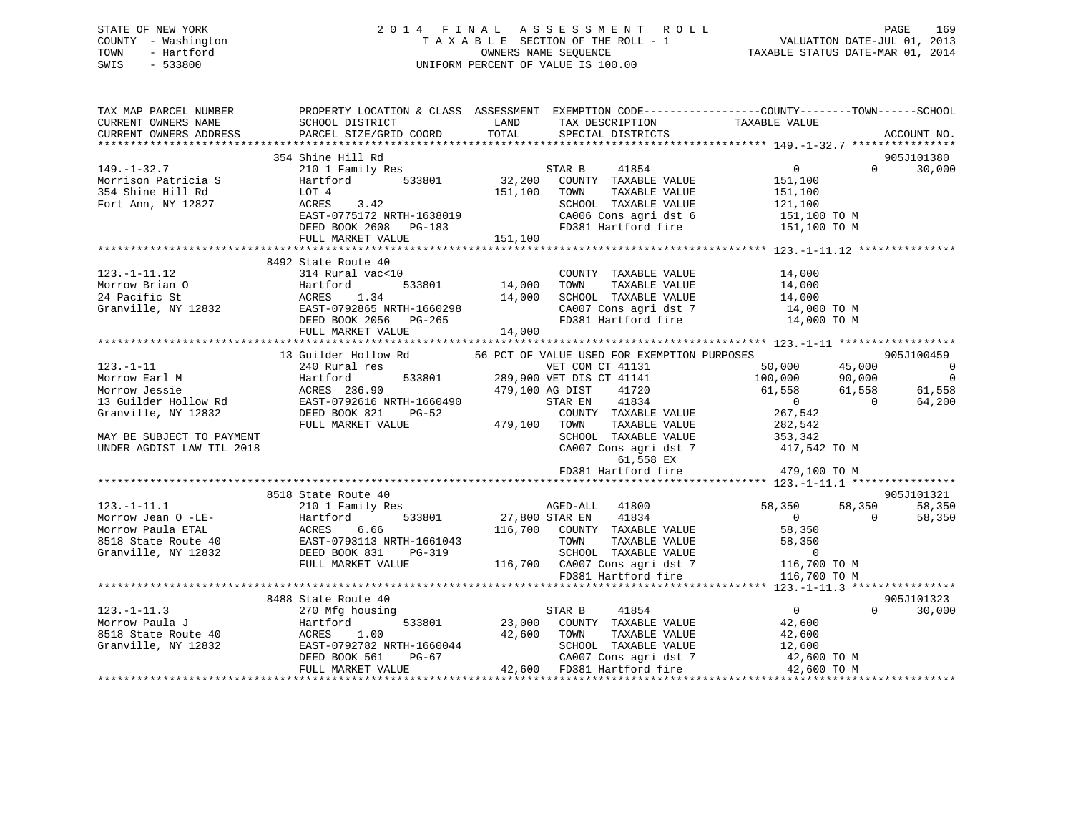# STATE OF NEW YORK 2 0 1 4 F I N A L A S S E S S M E N T R O L L PAGE 169 COUNTY - Washington T A X A B L E SECTION OF THE ROLL - 1 VALUATION DATE-JUL 01, 2013 TOWN - Hartford **TAXABLE STATUS DATE-MAR 01, 2014** OWNERS NAME SEQUENCE TAXABLE STATUS DATE-MAR 01, 2014 SWIS - 533800 UNIFORM PERCENT OF VALUE IS 100.00

| TAX MAP PARCEL NUMBER<br>CURRENT OWNERS NAME<br>CURRENT OWNERS ADDRESS | SCHOOL DISTRICT<br>PARCEL SIZE/GRID COORD                                                        | LAND<br>TOTAL            | TAX DESCRIPTION TAXABLE VALUE SPECIAL DISTRICTS                                                      | PROPERTY LOCATION & CLASS ASSESSMENT EXEMPTION CODE----------------COUNTY-------TOWN-----SCHOOL | ACCOUNT NO.          |
|------------------------------------------------------------------------|--------------------------------------------------------------------------------------------------|--------------------------|------------------------------------------------------------------------------------------------------|-------------------------------------------------------------------------------------------------|----------------------|
| $149. - 1 - 32.7$                                                      | 354 Shine Hill Rd<br>210 1 Family Res                                                            |                          | STAR B<br>41854                                                                                      | $\overline{0}$<br>$\Omega$                                                                      | 905J101380<br>30,000 |
| Morrison Patricia S<br>354 Shine Hill Rd                               | Hartford<br>LOT 4                                                                                | 533801 32,200<br>151,100 | COUNTY TAXABLE VALUE<br>TAXABLE VALUE<br>TOWN                                                        | 151,100<br>151,100                                                                              |                      |
| Fort Ann, NY 12827                                                     | ACRES<br>3.42                                                                                    |                          | SCHOOL TAXABLE VALUE                                                                                 |                                                                                                 |                      |
|                                                                        | EAST-0775172 NRTH-1638019                                                                        |                          | CA006 Cons agri dst 6                                                                                | 121,100<br>151,100 TO M                                                                         |                      |
|                                                                        | DEED BOOK 2608 PG-183                                                                            |                          |                                                                                                      | FD381 Hartford fire 151,100 TO M                                                                |                      |
|                                                                        | FULL MARKET VALUE                                                                                | 151,100                  |                                                                                                      |                                                                                                 |                      |
|                                                                        |                                                                                                  |                          |                                                                                                      |                                                                                                 |                      |
|                                                                        | 8492 State Route 40                                                                              |                          |                                                                                                      |                                                                                                 |                      |
| $123. - 1 - 11.12$                                                     | 314 Rural vac<10                                                                                 |                          | COUNTY TAXABLE VALUE                                                                                 | $14,000$<br>$14,000$                                                                            |                      |
| Morrow Brian O                                                         |                                                                                                  |                          | TOWN<br>TAXABLE VALUE                                                                                |                                                                                                 |                      |
| 24 Pacific St                                                          |                                                                                                  | 14,000                   |                                                                                                      | SCHOOL TAXABLE VALUE 14,000<br>CA007 Cons agri dst 7 14,000 TO M                                |                      |
| Granville, NY 12832                                                    |                                                                                                  |                          |                                                                                                      |                                                                                                 |                      |
|                                                                        |                                                                                                  | 14,000                   | FD381 Hartford fire                                                                                  | 14,000 TO M                                                                                     |                      |
|                                                                        | FULL MARKET VALUE                                                                                |                          |                                                                                                      |                                                                                                 |                      |
|                                                                        | 13 Guilder Hollow Rd                                                                             |                          | 56 PCT OF VALUE USED FOR EXEMPTION PURPOSES                                                          |                                                                                                 | 905J100459           |
| $123. - 1 - 11$                                                        | 240 Rural res                                                                                    |                          | 56 PCT OF VALUE OM CT 41131<br>VET COM CT 41131<br>289,900 VET DIS CT 41141<br>179 100 AG DIST 41720 | 50,000                                                                                          | $\overline{0}$       |
| Morrow Earl M                                                          | 533801<br>Hartford                                                                               |                          |                                                                                                      | 45,000<br>90,000<br>100,000                                                                     | $\overline{0}$       |
| Morrow Jessie                                                          |                                                                                                  |                          |                                                                                                      | 61,558<br>61,558                                                                                | 61,558               |
| 13 Guilder Hollow Rd                                                   |                                                                                                  |                          |                                                                                                      | $\overline{0}$<br>$\overline{0}$                                                                | 64,200               |
| Granville, NY 12832                                                    | DEED BOOK 821<br>$PG-52$                                                                         |                          | COUNTY TAXABLE VALUE                                                                                 | 267,542                                                                                         |                      |
|                                                                        | FULL MARKET VALUE                                                                                |                          | TAXABLE VALUE                                                                                        | 282,542                                                                                         |                      |
| MAY BE SUBJECT TO PAYMENT                                              |                                                                                                  |                          | SCHOOL TAXABLE VALUE                                                                                 |                                                                                                 |                      |
| UNDER AGDIST LAW TIL 2018                                              |                                                                                                  |                          | CA007 Cons agri dst 7<br>61,558 EX                                                                   | 353,342<br>417,542 TO M                                                                         |                      |
|                                                                        |                                                                                                  |                          | FD381 Hartford fire                                                                                  | 479,100 TO M                                                                                    |                      |
|                                                                        |                                                                                                  |                          |                                                                                                      |                                                                                                 |                      |
|                                                                        | 8518 State Route 40                                                                              |                          |                                                                                                      |                                                                                                 | 905J101321           |
| $123. - 1 - 11.1$                                                      | 210 1 Family Res                                                                                 |                          | AGED-ALL 41800                                                                                       | 58,350<br>58,350                                                                                | 58,350               |
| Morrow Jean O -LE-                                                     |                                                                                                  | 27,800 STAR EN           | 41834                                                                                                | $\overline{0}$<br>$\Omega$                                                                      | 58,350               |
| Morrow Paula ETAL<br>8518 State Route 40                               |                                                                                                  |                          | 116,700 COUNTY TAXABLE VALUE<br>TOWN<br>TAXABLE VALUE                                                | 58,350<br>58,350                                                                                |                      |
| Granville, NY 12832                                                    |                                                                                                  |                          |                                                                                                      | $\overline{0}$                                                                                  |                      |
|                                                                        |                                                                                                  |                          | SCHOOL TAXABLE VALUE<br>116,700 CA007 Cons agri dst 7 116,7                                          | 116,700 TO M                                                                                    |                      |
|                                                                        | Hartford<br>ACRES 6.66<br>EAST-0793113 NRTH-1661043<br>DEED BOOK 831 PG-319<br>FULL MARKET VALUE |                          | FD381 Hartford fire                                                                                  | 116,700 TO M                                                                                    |                      |
|                                                                        |                                                                                                  |                          |                                                                                                      |                                                                                                 |                      |
|                                                                        | 8488 State Route 40                                                                              |                          |                                                                                                      |                                                                                                 | 905J101323           |
| $123. - 1 - 11.3$                                                      | 270 Mfg housing                                                                                  |                          | 41854<br>STAR B                                                                                      | $\overline{0}$<br>$\Omega$                                                                      | 30,000               |
| Morrow Paula J                                                         | 533801<br>Hartford                                                                               | 23,000                   | COUNTY TAXABLE VALUE                                                                                 | 42,600                                                                                          |                      |
| 8518 State Route 40                                                    |                                                                                                  | 42,600                   | TOWN<br>TAXABLE VALUE                                                                                | 42,600                                                                                          |                      |
| Granville, NY 12832                                                    |                                                                                                  |                          | SCHOOL TAXABLE VALUE                                                                                 | 12,600                                                                                          |                      |
|                                                                        | ACRES 1.00<br>EAST-0792782 NRTH-1660044<br>DEED BOOK 561 PG-67                                   |                          |                                                                                                      | CA007 Cons agri dst 7 42,600 TO M                                                               |                      |
|                                                                        | FULL MARKET VALUE                                                                                |                          | 42,600 FD381 Hartford fire                                                                           | 42,600 TO M                                                                                     |                      |
|                                                                        |                                                                                                  |                          |                                                                                                      |                                                                                                 |                      |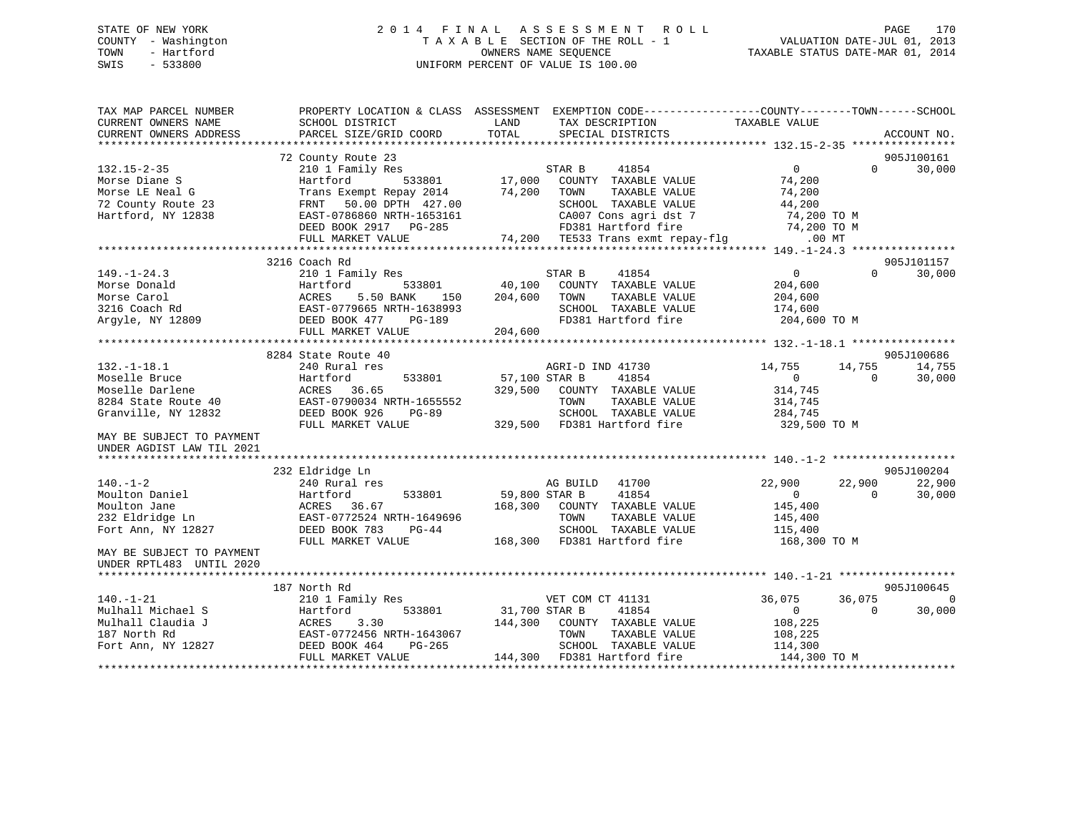# STATE OF NEW YORK 2 0 1 4 F I N A L A S S E S S M E N T R O L L PAGE 170 COUNTY - Washington T A X A B L E SECTION OF THE ROLL - 1 VALUATION DATE-JUL 01, 2013 TOWN - Hartford **TAXABLE STATUS DATE-MAR 01, 2014** OWNERS NAME SEQUENCE TAXABLE STATUS DATE-MAR 01, 2014 SWIS - 533800 UNIFORM PERCENT OF VALUE IS 100.00

| ACCOUNT NO.<br>72 County Route 23<br>905J100161<br>210 1 Family Res<br>41854<br>$\overline{0}$<br>30,000<br>STAR B<br>$\Omega$<br>Hartford<br>533801<br>17,000<br>COUNTY TAXABLE VALUE<br>74,200<br>74,200<br>TOWN<br>TAXABLE VALUE<br>74,200<br>Trans Exempt Repay 2014<br>50.00 DPTH 427.00<br>SCHOOL TAXABLE VALUE<br>FRNT<br>44,200<br>EAST-0786860 NRTH-1653161<br>CA007 Cons agri dst 7<br>74,200 TO M<br>FD381 Hartford fire<br>74,200 TO M<br>DEED BOOK 2917 PG-285<br>FULL MARKET VALUE<br>74,200<br>TE533 Trans exmt repay-flg<br>$.00$ MT<br>3216 Coach Rd<br>905J101157<br>$149. - 1 - 24.3$<br>41854<br>30,000<br>210 1 Family Res<br>STAR B<br>$\overline{0}$<br>$\Omega$<br>40,100<br>Morse Donald<br>Hartford<br>533801<br>COUNTY TAXABLE VALUE<br>204,600<br>Morse Carol<br>ACRES<br>5.50 BANK<br>150<br>204,600<br>TOWN<br>TAXABLE VALUE<br>204,600<br>EAST-0779665 NRTH-1638993<br>3216 Coach Rd<br>SCHOOL TAXABLE VALUE<br>174,600<br><b>PG-189</b><br>FD381 Hartford fire<br>204,600 TO M<br>Argyle, NY 12809<br>DEED BOOK 477<br>FULL MARKET VALUE<br>204,600<br>8284 State Route 40<br>905J100686<br>$132. - 1 - 18.1$<br>240 Rural res<br>AGRI-D IND 41730<br>14,755<br>14,755<br>14,755<br>Moselle Bruce<br>533801<br>57,100 STAR B<br>41854<br>30,000<br>Hartford<br>$\Omega$<br>$\Omega$<br>Moselle Darlene<br>ACRES<br>36.65<br>329,500<br>COUNTY TAXABLE VALUE<br>314,745<br>EAST-0790034 NRTH-1655552<br>TAXABLE VALUE<br>8284 State Route 40<br>TOWN<br>314,745<br>Granville, NY 12832<br>DEED BOOK 926<br>SCHOOL TAXABLE VALUE<br>284,745<br><b>PG-89</b><br>FULL MARKET VALUE<br>329,500<br>FD381 Hartford fire<br>329,500 TO M<br>905J100204<br>232 Eldridge Ln<br>$140. - 1 - 2$<br>240 Rural res<br>41700<br>22,900<br>22,900<br>22,900<br>AG BUILD<br>$\mathbf{0}$<br>Moulton Daniel<br>Hartford<br>533801<br>59,800 STAR B<br>41854<br>$\Omega$<br>30,000<br>Moulton Jane<br>ACRES<br>36.67<br>168,300<br>COUNTY TAXABLE VALUE<br>145,400<br>232 Eldridge Ln<br>EAST-0772524 NRTH-1649696<br>TAXABLE VALUE<br>TOWN<br>145,400<br>SCHOOL TAXABLE VALUE<br>Fort Ann, NY 12827<br>DEED BOOK 783<br>$PG-44$<br>115,400<br>FULL MARKET VALUE<br>168,300<br>FD381 Hartford fire<br>168,300 TO M<br>MAY BE SUBJECT TO PAYMENT<br>UNDER RPTL483 UNTIL 2020<br>905J100645<br>187 North Rd<br>210 1 Family Res<br>VET COM CT 41131<br>36,075<br>36,075<br>$\Omega$<br>30,000<br>Hartford<br>533801<br>31,700 STAR B<br>41854<br>$\overline{0}$<br>$\Omega$<br>ACRES<br>3.30<br>144,300<br>COUNTY TAXABLE VALUE<br>108,225<br>EAST-0772456 NRTH-1643067<br>TOWN<br>TAXABLE VALUE<br>108,225 | TAX MAP PARCEL NUMBER<br>CURRENT OWNERS NAME | PROPERTY LOCATION & CLASS ASSESSMENT<br>SCHOOL DISTRICT | LAND  | EXEMPTION CODE-----------------COUNTY-------TOWN------SCHOOL<br>TAX DESCRIPTION | TAXABLE VALUE |  |
|------------------------------------------------------------------------------------------------------------------------------------------------------------------------------------------------------------------------------------------------------------------------------------------------------------------------------------------------------------------------------------------------------------------------------------------------------------------------------------------------------------------------------------------------------------------------------------------------------------------------------------------------------------------------------------------------------------------------------------------------------------------------------------------------------------------------------------------------------------------------------------------------------------------------------------------------------------------------------------------------------------------------------------------------------------------------------------------------------------------------------------------------------------------------------------------------------------------------------------------------------------------------------------------------------------------------------------------------------------------------------------------------------------------------------------------------------------------------------------------------------------------------------------------------------------------------------------------------------------------------------------------------------------------------------------------------------------------------------------------------------------------------------------------------------------------------------------------------------------------------------------------------------------------------------------------------------------------------------------------------------------------------------------------------------------------------------------------------------------------------------------------------------------------------------------------------------------------------------------------------------------------------------------------------------------------------------------------------------------------------------------------------------------------------------------------------------------------------------------------------------------------------------------------------------------------------------------------------------------------------|----------------------------------------------|---------------------------------------------------------|-------|---------------------------------------------------------------------------------|---------------|--|
|                                                                                                                                                                                                                                                                                                                                                                                                                                                                                                                                                                                                                                                                                                                                                                                                                                                                                                                                                                                                                                                                                                                                                                                                                                                                                                                                                                                                                                                                                                                                                                                                                                                                                                                                                                                                                                                                                                                                                                                                                                                                                                                                                                                                                                                                                                                                                                                                                                                                                                                                                                                                                        | CURRENT OWNERS ADDRESS                       | PARCEL SIZE/GRID COORD                                  | TOTAL | SPECIAL DISTRICTS                                                               |               |  |
|                                                                                                                                                                                                                                                                                                                                                                                                                                                                                                                                                                                                                                                                                                                                                                                                                                                                                                                                                                                                                                                                                                                                                                                                                                                                                                                                                                                                                                                                                                                                                                                                                                                                                                                                                                                                                                                                                                                                                                                                                                                                                                                                                                                                                                                                                                                                                                                                                                                                                                                                                                                                                        |                                              |                                                         |       |                                                                                 |               |  |
|                                                                                                                                                                                                                                                                                                                                                                                                                                                                                                                                                                                                                                                                                                                                                                                                                                                                                                                                                                                                                                                                                                                                                                                                                                                                                                                                                                                                                                                                                                                                                                                                                                                                                                                                                                                                                                                                                                                                                                                                                                                                                                                                                                                                                                                                                                                                                                                                                                                                                                                                                                                                                        | $132.15 - 2 - 35$                            |                                                         |       |                                                                                 |               |  |
|                                                                                                                                                                                                                                                                                                                                                                                                                                                                                                                                                                                                                                                                                                                                                                                                                                                                                                                                                                                                                                                                                                                                                                                                                                                                                                                                                                                                                                                                                                                                                                                                                                                                                                                                                                                                                                                                                                                                                                                                                                                                                                                                                                                                                                                                                                                                                                                                                                                                                                                                                                                                                        | Morse Diane S                                |                                                         |       |                                                                                 |               |  |
|                                                                                                                                                                                                                                                                                                                                                                                                                                                                                                                                                                                                                                                                                                                                                                                                                                                                                                                                                                                                                                                                                                                                                                                                                                                                                                                                                                                                                                                                                                                                                                                                                                                                                                                                                                                                                                                                                                                                                                                                                                                                                                                                                                                                                                                                                                                                                                                                                                                                                                                                                                                                                        | Morse LE Neal G                              |                                                         |       |                                                                                 |               |  |
|                                                                                                                                                                                                                                                                                                                                                                                                                                                                                                                                                                                                                                                                                                                                                                                                                                                                                                                                                                                                                                                                                                                                                                                                                                                                                                                                                                                                                                                                                                                                                                                                                                                                                                                                                                                                                                                                                                                                                                                                                                                                                                                                                                                                                                                                                                                                                                                                                                                                                                                                                                                                                        | 72 County Route 23                           |                                                         |       |                                                                                 |               |  |
|                                                                                                                                                                                                                                                                                                                                                                                                                                                                                                                                                                                                                                                                                                                                                                                                                                                                                                                                                                                                                                                                                                                                                                                                                                                                                                                                                                                                                                                                                                                                                                                                                                                                                                                                                                                                                                                                                                                                                                                                                                                                                                                                                                                                                                                                                                                                                                                                                                                                                                                                                                                                                        | Hartford, NY 12838                           |                                                         |       |                                                                                 |               |  |
|                                                                                                                                                                                                                                                                                                                                                                                                                                                                                                                                                                                                                                                                                                                                                                                                                                                                                                                                                                                                                                                                                                                                                                                                                                                                                                                                                                                                                                                                                                                                                                                                                                                                                                                                                                                                                                                                                                                                                                                                                                                                                                                                                                                                                                                                                                                                                                                                                                                                                                                                                                                                                        |                                              |                                                         |       |                                                                                 |               |  |
|                                                                                                                                                                                                                                                                                                                                                                                                                                                                                                                                                                                                                                                                                                                                                                                                                                                                                                                                                                                                                                                                                                                                                                                                                                                                                                                                                                                                                                                                                                                                                                                                                                                                                                                                                                                                                                                                                                                                                                                                                                                                                                                                                                                                                                                                                                                                                                                                                                                                                                                                                                                                                        |                                              |                                                         |       |                                                                                 |               |  |
|                                                                                                                                                                                                                                                                                                                                                                                                                                                                                                                                                                                                                                                                                                                                                                                                                                                                                                                                                                                                                                                                                                                                                                                                                                                                                                                                                                                                                                                                                                                                                                                                                                                                                                                                                                                                                                                                                                                                                                                                                                                                                                                                                                                                                                                                                                                                                                                                                                                                                                                                                                                                                        |                                              |                                                         |       |                                                                                 |               |  |
|                                                                                                                                                                                                                                                                                                                                                                                                                                                                                                                                                                                                                                                                                                                                                                                                                                                                                                                                                                                                                                                                                                                                                                                                                                                                                                                                                                                                                                                                                                                                                                                                                                                                                                                                                                                                                                                                                                                                                                                                                                                                                                                                                                                                                                                                                                                                                                                                                                                                                                                                                                                                                        |                                              |                                                         |       |                                                                                 |               |  |
|                                                                                                                                                                                                                                                                                                                                                                                                                                                                                                                                                                                                                                                                                                                                                                                                                                                                                                                                                                                                                                                                                                                                                                                                                                                                                                                                                                                                                                                                                                                                                                                                                                                                                                                                                                                                                                                                                                                                                                                                                                                                                                                                                                                                                                                                                                                                                                                                                                                                                                                                                                                                                        |                                              |                                                         |       |                                                                                 |               |  |
|                                                                                                                                                                                                                                                                                                                                                                                                                                                                                                                                                                                                                                                                                                                                                                                                                                                                                                                                                                                                                                                                                                                                                                                                                                                                                                                                                                                                                                                                                                                                                                                                                                                                                                                                                                                                                                                                                                                                                                                                                                                                                                                                                                                                                                                                                                                                                                                                                                                                                                                                                                                                                        |                                              |                                                         |       |                                                                                 |               |  |
|                                                                                                                                                                                                                                                                                                                                                                                                                                                                                                                                                                                                                                                                                                                                                                                                                                                                                                                                                                                                                                                                                                                                                                                                                                                                                                                                                                                                                                                                                                                                                                                                                                                                                                                                                                                                                                                                                                                                                                                                                                                                                                                                                                                                                                                                                                                                                                                                                                                                                                                                                                                                                        |                                              |                                                         |       |                                                                                 |               |  |
|                                                                                                                                                                                                                                                                                                                                                                                                                                                                                                                                                                                                                                                                                                                                                                                                                                                                                                                                                                                                                                                                                                                                                                                                                                                                                                                                                                                                                                                                                                                                                                                                                                                                                                                                                                                                                                                                                                                                                                                                                                                                                                                                                                                                                                                                                                                                                                                                                                                                                                                                                                                                                        |                                              |                                                         |       |                                                                                 |               |  |
|                                                                                                                                                                                                                                                                                                                                                                                                                                                                                                                                                                                                                                                                                                                                                                                                                                                                                                                                                                                                                                                                                                                                                                                                                                                                                                                                                                                                                                                                                                                                                                                                                                                                                                                                                                                                                                                                                                                                                                                                                                                                                                                                                                                                                                                                                                                                                                                                                                                                                                                                                                                                                        |                                              |                                                         |       |                                                                                 |               |  |
|                                                                                                                                                                                                                                                                                                                                                                                                                                                                                                                                                                                                                                                                                                                                                                                                                                                                                                                                                                                                                                                                                                                                                                                                                                                                                                                                                                                                                                                                                                                                                                                                                                                                                                                                                                                                                                                                                                                                                                                                                                                                                                                                                                                                                                                                                                                                                                                                                                                                                                                                                                                                                        |                                              |                                                         |       |                                                                                 |               |  |
|                                                                                                                                                                                                                                                                                                                                                                                                                                                                                                                                                                                                                                                                                                                                                                                                                                                                                                                                                                                                                                                                                                                                                                                                                                                                                                                                                                                                                                                                                                                                                                                                                                                                                                                                                                                                                                                                                                                                                                                                                                                                                                                                                                                                                                                                                                                                                                                                                                                                                                                                                                                                                        |                                              |                                                         |       |                                                                                 |               |  |
|                                                                                                                                                                                                                                                                                                                                                                                                                                                                                                                                                                                                                                                                                                                                                                                                                                                                                                                                                                                                                                                                                                                                                                                                                                                                                                                                                                                                                                                                                                                                                                                                                                                                                                                                                                                                                                                                                                                                                                                                                                                                                                                                                                                                                                                                                                                                                                                                                                                                                                                                                                                                                        |                                              |                                                         |       |                                                                                 |               |  |
|                                                                                                                                                                                                                                                                                                                                                                                                                                                                                                                                                                                                                                                                                                                                                                                                                                                                                                                                                                                                                                                                                                                                                                                                                                                                                                                                                                                                                                                                                                                                                                                                                                                                                                                                                                                                                                                                                                                                                                                                                                                                                                                                                                                                                                                                                                                                                                                                                                                                                                                                                                                                                        |                                              |                                                         |       |                                                                                 |               |  |
|                                                                                                                                                                                                                                                                                                                                                                                                                                                                                                                                                                                                                                                                                                                                                                                                                                                                                                                                                                                                                                                                                                                                                                                                                                                                                                                                                                                                                                                                                                                                                                                                                                                                                                                                                                                                                                                                                                                                                                                                                                                                                                                                                                                                                                                                                                                                                                                                                                                                                                                                                                                                                        |                                              |                                                         |       |                                                                                 |               |  |
|                                                                                                                                                                                                                                                                                                                                                                                                                                                                                                                                                                                                                                                                                                                                                                                                                                                                                                                                                                                                                                                                                                                                                                                                                                                                                                                                                                                                                                                                                                                                                                                                                                                                                                                                                                                                                                                                                                                                                                                                                                                                                                                                                                                                                                                                                                                                                                                                                                                                                                                                                                                                                        |                                              |                                                         |       |                                                                                 |               |  |
|                                                                                                                                                                                                                                                                                                                                                                                                                                                                                                                                                                                                                                                                                                                                                                                                                                                                                                                                                                                                                                                                                                                                                                                                                                                                                                                                                                                                                                                                                                                                                                                                                                                                                                                                                                                                                                                                                                                                                                                                                                                                                                                                                                                                                                                                                                                                                                                                                                                                                                                                                                                                                        |                                              |                                                         |       |                                                                                 |               |  |
|                                                                                                                                                                                                                                                                                                                                                                                                                                                                                                                                                                                                                                                                                                                                                                                                                                                                                                                                                                                                                                                                                                                                                                                                                                                                                                                                                                                                                                                                                                                                                                                                                                                                                                                                                                                                                                                                                                                                                                                                                                                                                                                                                                                                                                                                                                                                                                                                                                                                                                                                                                                                                        | MAY BE SUBJECT TO PAYMENT                    |                                                         |       |                                                                                 |               |  |
|                                                                                                                                                                                                                                                                                                                                                                                                                                                                                                                                                                                                                                                                                                                                                                                                                                                                                                                                                                                                                                                                                                                                                                                                                                                                                                                                                                                                                                                                                                                                                                                                                                                                                                                                                                                                                                                                                                                                                                                                                                                                                                                                                                                                                                                                                                                                                                                                                                                                                                                                                                                                                        | UNDER AGDIST LAW TIL 2021                    |                                                         |       |                                                                                 |               |  |
|                                                                                                                                                                                                                                                                                                                                                                                                                                                                                                                                                                                                                                                                                                                                                                                                                                                                                                                                                                                                                                                                                                                                                                                                                                                                                                                                                                                                                                                                                                                                                                                                                                                                                                                                                                                                                                                                                                                                                                                                                                                                                                                                                                                                                                                                                                                                                                                                                                                                                                                                                                                                                        |                                              |                                                         |       |                                                                                 |               |  |
|                                                                                                                                                                                                                                                                                                                                                                                                                                                                                                                                                                                                                                                                                                                                                                                                                                                                                                                                                                                                                                                                                                                                                                                                                                                                                                                                                                                                                                                                                                                                                                                                                                                                                                                                                                                                                                                                                                                                                                                                                                                                                                                                                                                                                                                                                                                                                                                                                                                                                                                                                                                                                        |                                              |                                                         |       |                                                                                 |               |  |
|                                                                                                                                                                                                                                                                                                                                                                                                                                                                                                                                                                                                                                                                                                                                                                                                                                                                                                                                                                                                                                                                                                                                                                                                                                                                                                                                                                                                                                                                                                                                                                                                                                                                                                                                                                                                                                                                                                                                                                                                                                                                                                                                                                                                                                                                                                                                                                                                                                                                                                                                                                                                                        |                                              |                                                         |       |                                                                                 |               |  |
|                                                                                                                                                                                                                                                                                                                                                                                                                                                                                                                                                                                                                                                                                                                                                                                                                                                                                                                                                                                                                                                                                                                                                                                                                                                                                                                                                                                                                                                                                                                                                                                                                                                                                                                                                                                                                                                                                                                                                                                                                                                                                                                                                                                                                                                                                                                                                                                                                                                                                                                                                                                                                        |                                              |                                                         |       |                                                                                 |               |  |
|                                                                                                                                                                                                                                                                                                                                                                                                                                                                                                                                                                                                                                                                                                                                                                                                                                                                                                                                                                                                                                                                                                                                                                                                                                                                                                                                                                                                                                                                                                                                                                                                                                                                                                                                                                                                                                                                                                                                                                                                                                                                                                                                                                                                                                                                                                                                                                                                                                                                                                                                                                                                                        |                                              |                                                         |       |                                                                                 |               |  |
|                                                                                                                                                                                                                                                                                                                                                                                                                                                                                                                                                                                                                                                                                                                                                                                                                                                                                                                                                                                                                                                                                                                                                                                                                                                                                                                                                                                                                                                                                                                                                                                                                                                                                                                                                                                                                                                                                                                                                                                                                                                                                                                                                                                                                                                                                                                                                                                                                                                                                                                                                                                                                        |                                              |                                                         |       |                                                                                 |               |  |
|                                                                                                                                                                                                                                                                                                                                                                                                                                                                                                                                                                                                                                                                                                                                                                                                                                                                                                                                                                                                                                                                                                                                                                                                                                                                                                                                                                                                                                                                                                                                                                                                                                                                                                                                                                                                                                                                                                                                                                                                                                                                                                                                                                                                                                                                                                                                                                                                                                                                                                                                                                                                                        |                                              |                                                         |       |                                                                                 |               |  |
|                                                                                                                                                                                                                                                                                                                                                                                                                                                                                                                                                                                                                                                                                                                                                                                                                                                                                                                                                                                                                                                                                                                                                                                                                                                                                                                                                                                                                                                                                                                                                                                                                                                                                                                                                                                                                                                                                                                                                                                                                                                                                                                                                                                                                                                                                                                                                                                                                                                                                                                                                                                                                        |                                              |                                                         |       |                                                                                 |               |  |
|                                                                                                                                                                                                                                                                                                                                                                                                                                                                                                                                                                                                                                                                                                                                                                                                                                                                                                                                                                                                                                                                                                                                                                                                                                                                                                                                                                                                                                                                                                                                                                                                                                                                                                                                                                                                                                                                                                                                                                                                                                                                                                                                                                                                                                                                                                                                                                                                                                                                                                                                                                                                                        |                                              |                                                         |       |                                                                                 |               |  |
|                                                                                                                                                                                                                                                                                                                                                                                                                                                                                                                                                                                                                                                                                                                                                                                                                                                                                                                                                                                                                                                                                                                                                                                                                                                                                                                                                                                                                                                                                                                                                                                                                                                                                                                                                                                                                                                                                                                                                                                                                                                                                                                                                                                                                                                                                                                                                                                                                                                                                                                                                                                                                        |                                              |                                                         |       |                                                                                 |               |  |
|                                                                                                                                                                                                                                                                                                                                                                                                                                                                                                                                                                                                                                                                                                                                                                                                                                                                                                                                                                                                                                                                                                                                                                                                                                                                                                                                                                                                                                                                                                                                                                                                                                                                                                                                                                                                                                                                                                                                                                                                                                                                                                                                                                                                                                                                                                                                                                                                                                                                                                                                                                                                                        |                                              |                                                         |       |                                                                                 |               |  |
|                                                                                                                                                                                                                                                                                                                                                                                                                                                                                                                                                                                                                                                                                                                                                                                                                                                                                                                                                                                                                                                                                                                                                                                                                                                                                                                                                                                                                                                                                                                                                                                                                                                                                                                                                                                                                                                                                                                                                                                                                                                                                                                                                                                                                                                                                                                                                                                                                                                                                                                                                                                                                        | $140. - 1 - 21$                              |                                                         |       |                                                                                 |               |  |
|                                                                                                                                                                                                                                                                                                                                                                                                                                                                                                                                                                                                                                                                                                                                                                                                                                                                                                                                                                                                                                                                                                                                                                                                                                                                                                                                                                                                                                                                                                                                                                                                                                                                                                                                                                                                                                                                                                                                                                                                                                                                                                                                                                                                                                                                                                                                                                                                                                                                                                                                                                                                                        | Mulhall Michael S                            |                                                         |       |                                                                                 |               |  |
|                                                                                                                                                                                                                                                                                                                                                                                                                                                                                                                                                                                                                                                                                                                                                                                                                                                                                                                                                                                                                                                                                                                                                                                                                                                                                                                                                                                                                                                                                                                                                                                                                                                                                                                                                                                                                                                                                                                                                                                                                                                                                                                                                                                                                                                                                                                                                                                                                                                                                                                                                                                                                        | Mulhall Claudia J                            |                                                         |       |                                                                                 |               |  |
|                                                                                                                                                                                                                                                                                                                                                                                                                                                                                                                                                                                                                                                                                                                                                                                                                                                                                                                                                                                                                                                                                                                                                                                                                                                                                                                                                                                                                                                                                                                                                                                                                                                                                                                                                                                                                                                                                                                                                                                                                                                                                                                                                                                                                                                                                                                                                                                                                                                                                                                                                                                                                        | 187 North Rd                                 |                                                         |       |                                                                                 |               |  |
|                                                                                                                                                                                                                                                                                                                                                                                                                                                                                                                                                                                                                                                                                                                                                                                                                                                                                                                                                                                                                                                                                                                                                                                                                                                                                                                                                                                                                                                                                                                                                                                                                                                                                                                                                                                                                                                                                                                                                                                                                                                                                                                                                                                                                                                                                                                                                                                                                                                                                                                                                                                                                        | Fort Ann, NY 12827                           | DEED BOOK 464<br>PG-265                                 |       | SCHOOL TAXABLE VALUE                                                            | 114,300       |  |
| FULL MARKET VALUE<br>144,300<br>FD381 Hartford fire<br>144,300 TO M                                                                                                                                                                                                                                                                                                                                                                                                                                                                                                                                                                                                                                                                                                                                                                                                                                                                                                                                                                                                                                                                                                                                                                                                                                                                                                                                                                                                                                                                                                                                                                                                                                                                                                                                                                                                                                                                                                                                                                                                                                                                                                                                                                                                                                                                                                                                                                                                                                                                                                                                                    |                                              |                                                         |       |                                                                                 |               |  |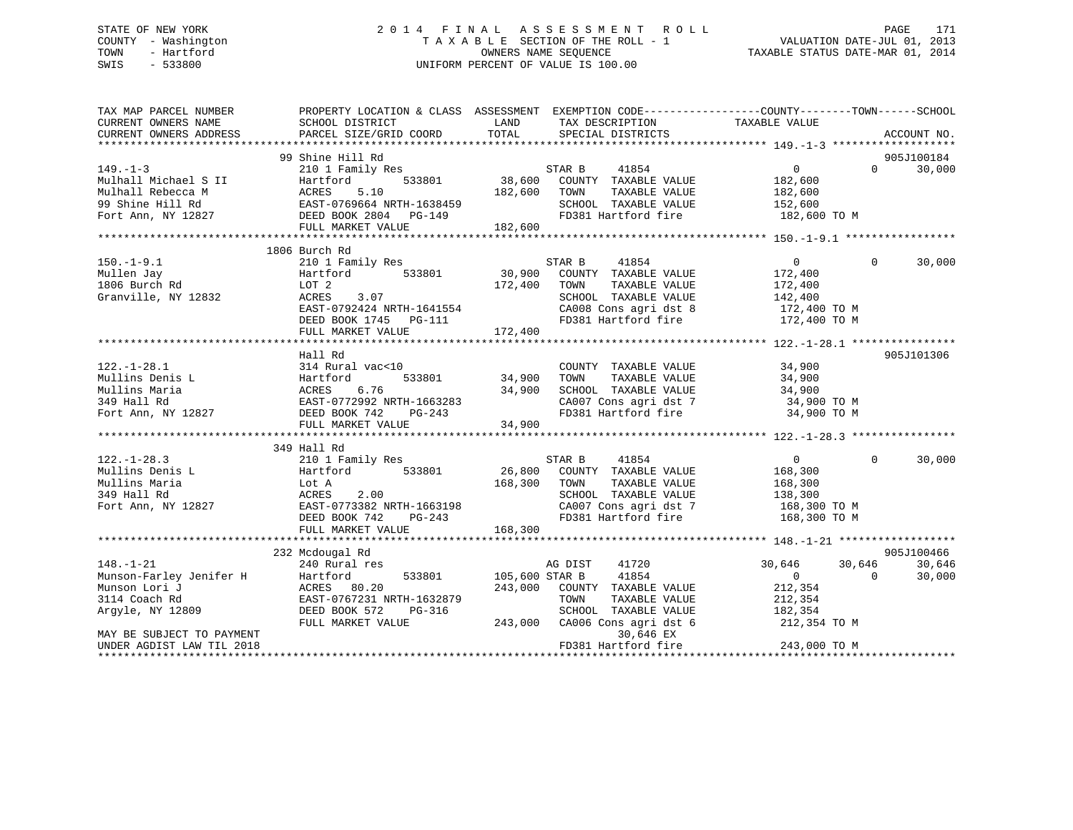# STATE OF NEW YORK 2 0 1 4 F I N A L A S S E S S M E N T R O L L PAGE 171 COUNTY - Washington T A X A B L E SECTION OF THE ROLL - 1 VALUATION DATE-JUL 01, 2013 TOWN - Hartford OWNERS NAME SEQUENCE TAXABLE STATUS DATE-MAR 01, 2014 SWIS - 533800 UNIFORM PERCENT OF VALUE IS 100.00

| TAX MAP PARCEL NUMBER     | PROPERTY LOCATION & CLASS ASSESSMENT EXEMPTION CODE---------------COUNTY-------TOWN-----SCHOOL                                                                                                                                                         |                                  |                                            |                                                |                    |
|---------------------------|--------------------------------------------------------------------------------------------------------------------------------------------------------------------------------------------------------------------------------------------------------|----------------------------------|--------------------------------------------|------------------------------------------------|--------------------|
| CURRENT OWNERS NAME       | SCHOOL DISTRICT                                                                                                                                                                                                                                        | <b>LAND</b>                      | TAX DESCRIPTION                            | TAXABLE VALUE                                  |                    |
| CURRENT OWNERS ADDRESS    | ${\tt PARCEL\ SIZE/GRID\ COORD}\qquad\qquad {\tt TOTAL}\qquad\qquad {\tt SPECIAL\ DISTRICTS}$                                                                                                                                                          |                                  |                                            |                                                | ACCOUNT NO.        |
|                           |                                                                                                                                                                                                                                                        |                                  |                                            |                                                |                    |
|                           | 99 Shine Hill Rd                                                                                                                                                                                                                                       |                                  |                                            |                                                | 905J100184         |
| $149. - 1 - 3$            |                                                                                                                                                                                                                                                        |                                  |                                            | $\overline{0}$                                 | 30,000<br>$\Omega$ |
|                           |                                                                                                                                                                                                                                                        |                                  |                                            |                                                |                    |
|                           |                                                                                                                                                                                                                                                        |                                  |                                            |                                                |                    |
|                           |                                                                                                                                                                                                                                                        |                                  |                                            |                                                |                    |
|                           |                                                                                                                                                                                                                                                        |                                  |                                            |                                                |                    |
|                           |                                                                                                                                                                                                                                                        |                                  |                                            |                                                |                    |
|                           | 149.-1-3<br>Mulhall Michael S II Hartford 533801 38,600 COUNTY TAXABLE VALUE<br>Mulhall Rebecca M ACRES 5.10 182,600 TOWN TAXABLE VALUE 182,600<br>99 Shine Hill Rd EAST-0769664 NRTH-1638459 SCHOOL TAXABLE VALUE 152,600<br>Fort Ann                 |                                  |                                            |                                                |                    |
|                           | 1806 Burch Rd                                                                                                                                                                                                                                          |                                  |                                            |                                                |                    |
| $150. -1 - 9.1$           | 210 1 Family Res<br>210 1 Fami<br>Hartford<br>LOT 2                                                                                                                                                                                                    |                                  |                                            | $\Omega$                                       | $\Omega$<br>30,000 |
| Mullen Jay                |                                                                                                                                                                                                                                                        |                                  |                                            | 172,400<br>172,400                             |                    |
|                           |                                                                                                                                                                                                                                                        |                                  |                                            |                                                |                    |
|                           |                                                                                                                                                                                                                                                        |                                  |                                            |                                                |                    |
|                           |                                                                                                                                                                                                                                                        |                                  |                                            |                                                |                    |
|                           |                                                                                                                                                                                                                                                        |                                  |                                            |                                                |                    |
|                           |                                                                                                                                                                                                                                                        |                                  |                                            |                                                |                    |
|                           | 172,400<br>CHERE 3.07<br>CHERE 3.07<br>EAST-0792424 NRTH-1641554<br>DEED BOOK 1745 PG-111<br>FULL MARKET VALUE<br>TOR 172,400<br>EAST-0792424 NRTH-1641554<br>CA008 Cons agri dst 8<br>TOR 172,400 TO M<br>FULL MARKET VALUE<br>TOR 172,400 TO M<br>FU |                                  |                                            |                                                |                    |
|                           | Hall Rd                                                                                                                                                                                                                                                |                                  |                                            |                                                | 905J101306         |
| $122. - 1 - 28.1$         | 314 Rural vac<10                                                                                                                                                                                                                                       |                                  | COUNTY TAXABLE VALUE 34,900                |                                                |                    |
|                           |                                                                                                                                                                                                                                                        |                                  |                                            |                                                |                    |
|                           |                                                                                                                                                                                                                                                        |                                  |                                            |                                                |                    |
|                           |                                                                                                                                                                                                                                                        |                                  | CA007 Cons agri dst 7 34,900 TO M          |                                                |                    |
|                           |                                                                                                                                                                                                                                                        |                                  |                                            | 34,900 TO M                                    |                    |
|                           | 12827 FOR TANABLE VALUE<br>Mullins Denis L.<br>Mullins Maria (1990) ACRES 6.76 34,900 SCHOOL TAXABLE VALUE 34,900<br>349 Hall Rd EAST-0772992 NRTH-1663283 CA007 Cons agri dst 7 34,900<br>Fort Ann, NY 12827 DEED BOOK 742 PG-243 FD3                 |                                  |                                            |                                                |                    |
|                           |                                                                                                                                                                                                                                                        |                                  |                                            |                                                |                    |
|                           | 349 Hall Rd                                                                                                                                                                                                                                            |                                  |                                            |                                                |                    |
|                           |                                                                                                                                                                                                                                                        |                                  |                                            | $\overline{0}$                                 | $\Omega$<br>30,000 |
|                           |                                                                                                                                                                                                                                                        |                                  |                                            | 168,300                                        |                    |
|                           |                                                                                                                                                                                                                                                        |                                  |                                            |                                                |                    |
|                           |                                                                                                                                                                                                                                                        |                                  |                                            | TAXABLE VALUE 168,300<br>TAXABLE VALUE 138,300 |                    |
|                           |                                                                                                                                                                                                                                                        |                                  | CA007 Cons agri dst 7 168,300 TO M         |                                                |                    |
|                           | Fort Ann, NY 12827<br>Fort Ann, NY 12827<br>DEED BOOK 742 PG-243                                                                                                                                                                                       |                                  | FD381 Hartford fire                        | 168,300 TO M                                   |                    |
|                           |                                                                                                                                                                                                                                                        | 168,300                          |                                            |                                                |                    |
|                           | FULL MARKET VALUE                                                                                                                                                                                                                                      |                                  |                                            |                                                |                    |
|                           |                                                                                                                                                                                                                                                        |                                  |                                            |                                                | 905J100466         |
|                           | 232 Mcdougal Rd                                                                                                                                                                                                                                        |                                  |                                            |                                                |                    |
|                           |                                                                                                                                                                                                                                                        | AG DIST<br>533801 105,600 STAR B | 41720                                      | 30,646 30,646                                  | 30,646             |
|                           | 148.-1-21<br>Munson-Farley Jenifer H Hartford 533801<br>Munson Lori J ACRES 80.20<br>3114 Coach Rd EAST-0767231 NRTH-1632879<br>Argyle, NY 12809 DEED BOOK 572 PG-316                                                                                  |                                  | 41854                                      | $\overline{0}$<br>$\overline{0}$               | 30,000             |
|                           |                                                                                                                                                                                                                                                        |                                  | 243,000 COUNTY TAXABLE VALUE 212,354       |                                                |                    |
|                           |                                                                                                                                                                                                                                                        |                                  | TOWN<br>TAXABLE VALUE                      | 212,354                                        |                    |
|                           | PG-316                                                                                                                                                                                                                                                 |                                  | SCHOOL TAXABLE VALUE 182,354               |                                                |                    |
|                           | FULL MARKET VALUE                                                                                                                                                                                                                                      |                                  | 243,000 CA006 Cons agri dst 6 212,354 TO M |                                                |                    |
| MAY BE SUBJECT TO PAYMENT |                                                                                                                                                                                                                                                        |                                  | 30,646 EX                                  |                                                |                    |
| UNDER AGDIST LAW TIL 2018 |                                                                                                                                                                                                                                                        |                                  | FD381 Hartford fire                        | 243,000 TO M                                   |                    |
|                           |                                                                                                                                                                                                                                                        |                                  |                                            |                                                |                    |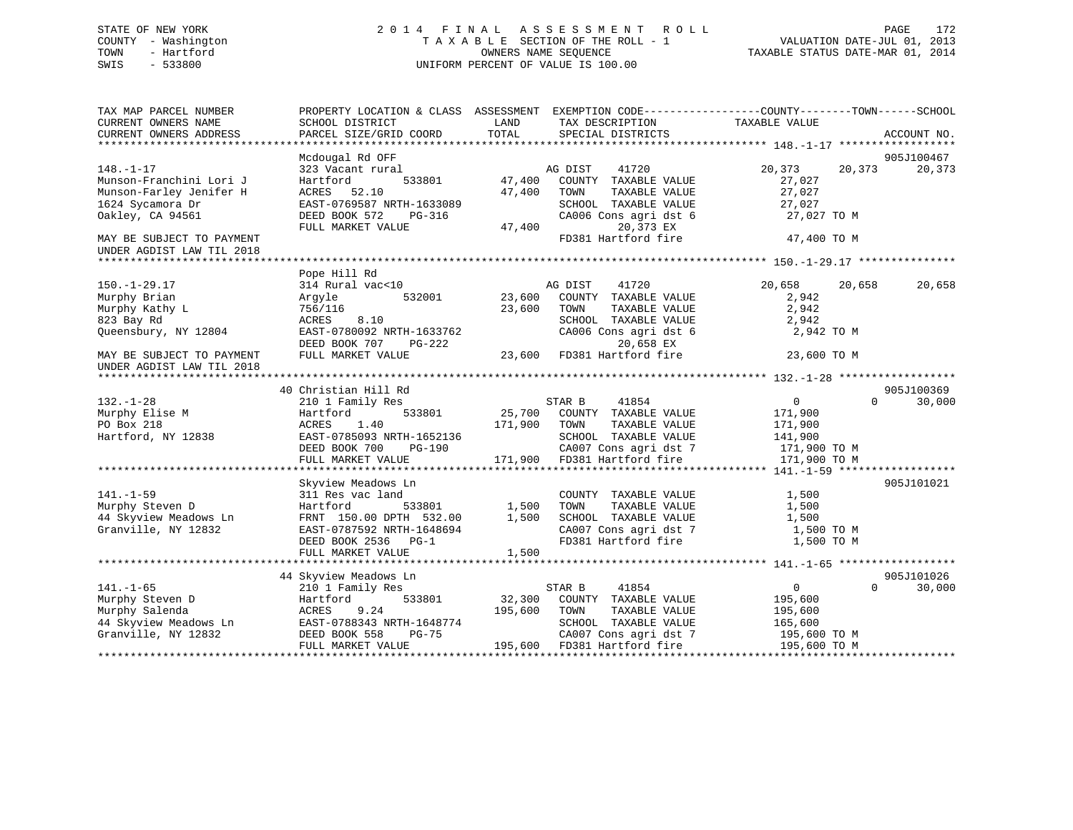# STATE OF NEW YORK 2 0 1 4 F I N A L A S S E S S M E N T R O L L PAGE 172 COUNTY - Washington T A X A B L E SECTION OF THE ROLL - 1 VALUATION DATE-JUL 01, 2013 TOWN - Hartford **TAXABLE STATUS DATE-MAR 01, 2014** OWNERS NAME SEQUENCE TAXABLE STATUS DATE-MAR 01, 2014 SWIS - 533800 UNIFORM PERCENT OF VALUE IS 100.00

| TAX MAP PARCEL NUMBER<br>CURRENT OWNERS NAME           | SCHOOL DISTRICT                                      | PROPERTY LOCATION & CLASS ASSESSMENT EXEMPTION CODE----------------COUNTY-------TOWN------SCHOOL<br>LAND<br>TAX DESCRIPTION | TAXABLE VALUE                        |
|--------------------------------------------------------|------------------------------------------------------|-----------------------------------------------------------------------------------------------------------------------------|--------------------------------------|
| CURRENT OWNERS ADDRESS                                 | PARCEL SIZE/GRID COORD                               | TOTAL<br>SPECIAL DISTRICTS                                                                                                  | ACCOUNT NO.<br>* * * * * *           |
|                                                        | Mcdougal Rd OFF                                      |                                                                                                                             | 905J100467                           |
| $148. - 1 - 17$<br>Munson-Franchini Lori J             | 323 Vacant rural<br>533801<br>Hartford               | 41720<br>AG DIST<br>47,400<br>COUNTY TAXABLE VALUE                                                                          | 20,373<br>20,373<br>20,373<br>27,027 |
| Munson-Farley Jenifer H                                | ACRES 52.10                                          | 47,400<br>TOWN<br>TAXABLE VALUE                                                                                             | 27,027                               |
| 1624 Sycamora Dr                                       | EAST-0769587 NRTH-1633089                            | SCHOOL TAXABLE VALUE                                                                                                        | 27,027                               |
| Oakley, CA 94561                                       | DEED BOOK 572<br>PG-316                              | CA006 Cons agri dst 6                                                                                                       | 27,027 TO M                          |
|                                                        | FULL MARKET VALUE                                    | 47,400<br>20,373 EX                                                                                                         |                                      |
| MAY BE SUBJECT TO PAYMENT<br>UNDER AGDIST LAW TIL 2018 |                                                      | FD381 Hartford fire                                                                                                         | 47,400 TO M                          |
|                                                        |                                                      |                                                                                                                             |                                      |
| $150. - 1 - 29.17$                                     | Pope Hill Rd<br>314 Rural vac<10                     | AG DIST<br>41720                                                                                                            | 20,658<br>20,658<br>20,658           |
| Murphy Brian                                           | 532001<br>Argyle                                     | 23,600<br>COUNTY TAXABLE VALUE                                                                                              | 2,942                                |
| Murphy Kathy L                                         | 756/116                                              | 23,600<br>TOWN<br>TAXABLE VALUE                                                                                             | 2,942                                |
| 823 Bay Rd                                             | ACRES<br>8.10                                        | SCHOOL TAXABLE VALUE                                                                                                        | 2,942                                |
| Queensbury, NY 12804                                   | EAST-0780092 NRTH-1633762<br>DEED BOOK 707<br>PG-222 | CA006 Cons agri dst 6<br>20,658 EX                                                                                          | 2,942 TO M                           |
| MAY BE SUBJECT TO PAYMENT<br>UNDER AGDIST LAW TIL 2018 | FULL MARKET VALUE                                    | 23,600<br>FD381 Hartford fire                                                                                               | 23,600 TO M                          |
|                                                        |                                                      |                                                                                                                             |                                      |
|                                                        | 40 Christian Hill Rd                                 |                                                                                                                             | 905J100369                           |
| $132. - 1 - 28$                                        | 210 1 Family Res                                     | STAR B<br>41854                                                                                                             | $\overline{0}$<br>$\Omega$<br>30,000 |
| Murphy Elise M                                         | 533801<br>Hartford                                   | 25,700 COUNTY TAXABLE VALUE                                                                                                 | 171,900                              |
| PO Box 218                                             | ACRES<br>1.40                                        | 171,900<br>TOWN<br>TAXABLE VALUE                                                                                            | 171,900                              |
| Hartford, NY 12838                                     | EAST-0785093 NRTH-1652136                            | SCHOOL TAXABLE VALUE                                                                                                        | 141,900                              |
|                                                        | DEED BOOK 700<br>PG-190                              | CA007 Cons agri dst 7                                                                                                       | 171,900 TO M                         |
|                                                        | FULL MARKET VALUE                                    | 171,900<br>FD381 Hartford fire                                                                                              | 171,900 TO M                         |
|                                                        | Skyview Meadows Ln                                   |                                                                                                                             | 905J101021                           |
| $141. - 1 - 59$                                        | 311 Res vac land                                     | COUNTY TAXABLE VALUE                                                                                                        | 1,500                                |
| Murphy Steven D                                        | Hartford<br>533801                                   | 1,500<br>TOWN<br>TAXABLE VALUE                                                                                              | 1,500                                |
| 44 Skyview Meadows Ln                                  | FRNT 150.00 DPTH 532.00                              | 1,500<br>SCHOOL TAXABLE VALUE                                                                                               | 1,500                                |
| Granville, NY 12832                                    | EAST-0787592 NRTH-1648694                            | CA007 Cons agri dst 7                                                                                                       | 1,500 TO M                           |
|                                                        | DEED BOOK 2536 PG-1<br>FULL MARKET VALUE             | FD381 Hartford fire<br>1,500                                                                                                | 1,500 TO M                           |
|                                                        |                                                      |                                                                                                                             |                                      |
|                                                        | 44 Skyview Meadows Ln                                |                                                                                                                             | 905J101026                           |
| $141. - 1 - 65$                                        | 210 1 Family Res                                     | STAR B<br>41854                                                                                                             | 0<br>$\Omega$<br>30,000              |
| Murphy Steven D                                        | 533801<br>Hartford                                   | 32,300<br>COUNTY TAXABLE VALUE                                                                                              | 195,600                              |
| Murphy Salenda                                         | ACRES<br>9.24                                        | 195,600<br>TOWN<br>TAXABLE VALUE                                                                                            | 195,600                              |
| 44 Skyview Meadows Ln                                  | EAST-0788343 NRTH-1648774                            | SCHOOL TAXABLE VALUE                                                                                                        | 165,600                              |
| Granville, NY 12832                                    | DEED BOOK 558<br>PG-75                               | CA007 Cons agri dst 7                                                                                                       | 195,600 ТО М                         |
|                                                        | FULL MARKET VALUE                                    | 195,600<br>FD381 Hartford fire                                                                                              | 195,600 TO M                         |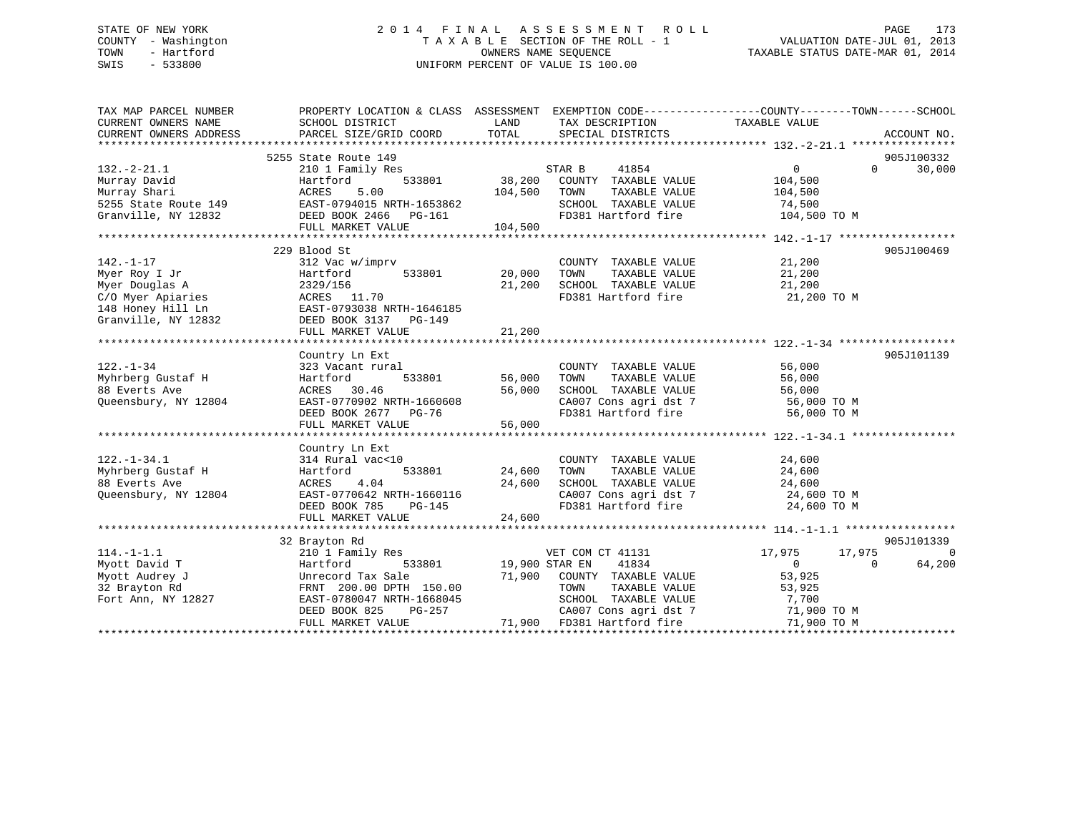# STATE OF NEW YORK 2 0 1 4 F I N A L A S S E S S M E N T R O L L PAGE 173 COUNTY - Washington T A X A B L E SECTION OF THE ROLL - 1 VALUATION DATE-JUL 01, 2013 TOWN - Hartford **TAXABLE STATUS DATE-MAR 01, 2014** OWNERS NAME SEQUENCE TAXABLE STATUS DATE-MAR 01, 2014 SWIS - 533800 UNIFORM PERCENT OF VALUE IS 100.00

| TAX MAP PARCEL NUMBER                                                                                                                | PROPERTY LOCATION & CLASS ASSESSMENT EXEMPTION CODE---------------COUNTY-------TOWN-----SCHOOL                                         |                  |                                                                                                                                                               |                               |                    |
|--------------------------------------------------------------------------------------------------------------------------------------|----------------------------------------------------------------------------------------------------------------------------------------|------------------|---------------------------------------------------------------------------------------------------------------------------------------------------------------|-------------------------------|--------------------|
| CURRENT OWNERS NAME                                                                                                                  | SCHOOL DISTRICT                                                                                                                        | LAND             | TAX DESCRIPTION                                                                                                                                               | TAXABLE VALUE                 |                    |
| CURRENT OWNERS ADDRESS                                                                                                               | PARCEL SIZE/GRID COORD                                                                                                                 | TOTAL            | SPECIAL DISTRICTS                                                                                                                                             |                               | ACCOUNT NO.        |
|                                                                                                                                      |                                                                                                                                        |                  |                                                                                                                                                               |                               |                    |
|                                                                                                                                      | 5255 State Route 149                                                                                                                   |                  |                                                                                                                                                               |                               | 905J100332         |
| $132. -2 - 21.1$                                                                                                                     | 210 1 Family Res                                                                                                                       |                  | $\begin{array}{cccc}\n\texttt{STAR} & \texttt{B} & \texttt{41854} \\ \texttt{3801} & \texttt{38,200} & \texttt{COUNTY} & \texttt{TAXABLE VALUE}\n\end{array}$ | $\overline{0}$                | 30,000<br>$\Omega$ |
| Murray David                                                                                                                         | 533801<br>Hartford                                                                                                                     |                  |                                                                                                                                                               | 104,500                       |                    |
|                                                                                                                                      |                                                                                                                                        | 104,500          | TOWN<br>TAXABLE VALUE                                                                                                                                         | 104,500                       |                    |
|                                                                                                                                      |                                                                                                                                        |                  | SCHOOL TAXABLE VALUE 74,500                                                                                                                                   |                               |                    |
|                                                                                                                                      | Murray Bavid<br>Murray Shari (Murray Solomon)<br>5255 State Route 149<br>Granville, NY 12832<br>TELL MARKET VALUE<br>FULL MARKET VALUE |                  | FD381 Hartford fire                                                                                                                                           | 104,500 TO M                  |                    |
|                                                                                                                                      | FULL MARKET VALUE                                                                                                                      | 104,500          |                                                                                                                                                               |                               |                    |
|                                                                                                                                      |                                                                                                                                        |                  |                                                                                                                                                               |                               |                    |
|                                                                                                                                      | 229 Blood St                                                                                                                           |                  |                                                                                                                                                               |                               | 905J100469         |
| $142. - 1 - 17$                                                                                                                      | 312 Vac w/imprv                                                                                                                        |                  | COUNTY TAXABLE VALUE 21,200                                                                                                                                   |                               |                    |
| Myer Roy I Jr                                                                                                                        | Hartford<br>533801                                                                                                                     | 20,000           | TOWN TAXABLE VALUE 21,200<br>SCHOOL TAXABLE VALUE 21,200                                                                                                      |                               |                    |
| Myer Douglas A                                                                                                                       | 2329/156                                                                                                                               | 21,200           |                                                                                                                                                               |                               |                    |
| C/O Myer Apiaries<br>148 Honey Hill Ln<br>148 Honey Hill Ln<br>148 Honey Hill Ln<br>148 Honey Hill Ln<br>12832 DEED BOOK 3137 PG-149 |                                                                                                                                        |                  | FD381 Hartford fire 21,200 TO M                                                                                                                               |                               |                    |
|                                                                                                                                      |                                                                                                                                        |                  |                                                                                                                                                               |                               |                    |
|                                                                                                                                      |                                                                                                                                        |                  |                                                                                                                                                               |                               |                    |
|                                                                                                                                      | FULL MARKET VALUE                                                                                                                      | 21,200           |                                                                                                                                                               |                               |                    |
|                                                                                                                                      |                                                                                                                                        |                  |                                                                                                                                                               |                               |                    |
|                                                                                                                                      | Country Ln Ext                                                                                                                         |                  |                                                                                                                                                               | 56,000                        | 905J101139         |
| $122. - 1 - 34$                                                                                                                      | 323 Vacant rural                                                                                                                       |                  | COUNTY TAXABLE VALUE                                                                                                                                          |                               |                    |
| Myhrberg Gustaf H<br>a Tanzania (1999)<br>Alian Alian Alian (1999)                                                                   | 533801<br>Hartford                                                                                                                     | 56,000           | TAXABLE VALUE<br>TOWN                                                                                                                                         |                               |                    |
| 88 Everts Ave                                                                                                                        | ACRES 30.46                                                                                                                            | 56,000           | SCHOOL TAXABLE VALUE                                                                                                                                          | 56,000                        |                    |
| Queensbury, NY 12804                                                                                                                 | EAST-0770902 NRTH-1660608                                                                                                              |                  | CA007 Cons agri dst 7 56,000 TO M<br>FD381 Hartford fire 56,000 TO M                                                                                          |                               |                    |
|                                                                                                                                      | DEED BOOK 2677 PG-76                                                                                                                   |                  |                                                                                                                                                               |                               |                    |
|                                                                                                                                      | FULL MARKET VALUE                                                                                                                      | 56,000           |                                                                                                                                                               |                               |                    |
|                                                                                                                                      |                                                                                                                                        |                  |                                                                                                                                                               |                               |                    |
| $122. - 1 - 34.1$                                                                                                                    | Country Ln Ext                                                                                                                         |                  |                                                                                                                                                               |                               |                    |
|                                                                                                                                      | 314 Rural vac<10<br>533801                                                                                                             |                  | COUNTY TAXABLE VALUE                                                                                                                                          | 24,600                        |                    |
| 122.-1-34.1<br>Myhrberg Gustaf H<br>88 Everts Ave                                                                                    | Hartford<br>4.04<br>ACRES                                                                                                              | 24,600<br>24,600 | TAXABLE VALUE<br>TOWN<br>SCHOOL TAXABLE VALUE 24,600                                                                                                          | 24,600                        |                    |
| Queensbury, NY 12804                                                                                                                 | EAST-0770642 NRTH-1660116                                                                                                              |                  |                                                                                                                                                               | 24,600 TO M                   |                    |
|                                                                                                                                      | IRTH-1660116<br>PG-145<br>DEED BOOK 785                                                                                                |                  | CA007 Cons agri dst 7<br>FD381 Hartford fire                                                                                                                  | 24,600 TO M                   |                    |
|                                                                                                                                      | FULL MARKET VALUE                                                                                                                      | 24,600           |                                                                                                                                                               |                               |                    |
|                                                                                                                                      |                                                                                                                                        |                  |                                                                                                                                                               |                               |                    |
|                                                                                                                                      | 32 Brayton Rd                                                                                                                          |                  |                                                                                                                                                               |                               | 905J101339         |
| $114. - 1 - 1.1$                                                                                                                     | 210 1 Family Res                                                                                                                       |                  | VET COM CT 41131                                                                                                                                              | 17,975<br>17,975              | $\Omega$           |
| Myott David T                                                                                                                        | Hartford                                                                                                                               |                  | 533801 19,900 STAR EN 41834                                                                                                                                   | $\Omega$                      | 64,200<br>$\Omega$ |
| Myott Audrey J                                                                                                                       | Unrecord Tax Sale                                                                                                                      |                  | 71,900 COUNTY TAXABLE VALUE                                                                                                                                   | 53,925                        |                    |
| 32 Brayton Rd                                                                                                                        | FRNT 200.00 DPTH 150.00                                                                                                                |                  | TAXABLE VALUE<br>TOWN                                                                                                                                         |                               |                    |
| Fort Ann, NY 12827                                                                                                                   | EAST-0780047 NRTH-1668045                                                                                                              |                  | SCHOOL TAXABLE VALUE                                                                                                                                          | $\frac{53}{7}$ , 925<br>7,700 |                    |
|                                                                                                                                      | DEED BOOK 825                                                                                                                          | $PG-257$         | CA007 Cons agri dst 7 $71,900$ TO M                                                                                                                           |                               |                    |
|                                                                                                                                      | FULL MARKET VALUE                                                                                                                      |                  | 71,900 FD381 Hartford fire                                                                                                                                    | 71,900 TO M                   |                    |
|                                                                                                                                      |                                                                                                                                        |                  |                                                                                                                                                               |                               |                    |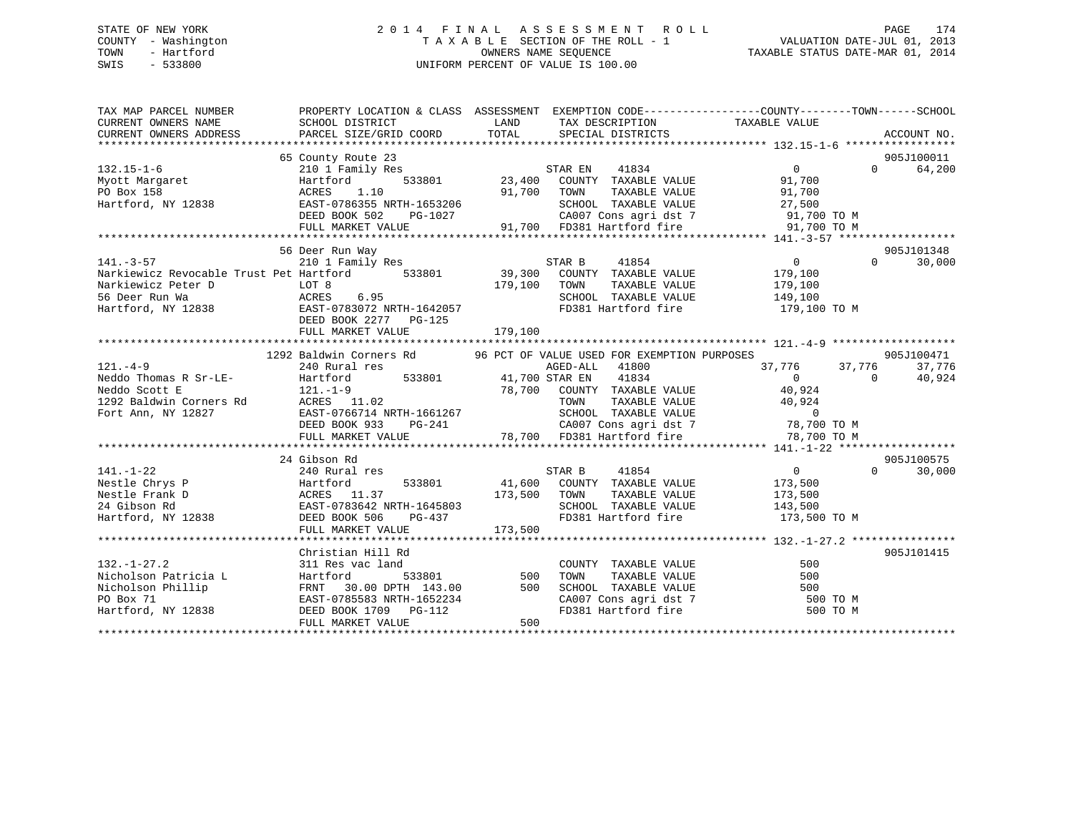# STATE OF NEW YORK 2 0 1 4 F I N A L A S S E S S M E N T R O L L PAGE 174 COUNTY - Washington T A X A B L E SECTION OF THE ROLL - 1 VALUATION DATE-JUL 01, 2013 TOWN - Hartford **TAXABLE STATUS DATE-MAR 01, 2014** OWNERS NAME SEQUENCE TAXABLE STATUS DATE-MAR 01, 2014 SWIS - 533800 UNIFORM PERCENT OF VALUE IS 100.00

| TAX MAP PARCEL NUMBER<br>CURRENT OWNERS NAME<br>CURRENT OWNERS ADDRESS | PROPERTY LOCATION & CLASS ASSESSMENT EXEMPTION CODE----------------COUNTY-------TOWN------SCHOOL<br>SCHOOL DISTRICT<br>PARCEL SIZE/GRID COORD | LAND<br>TOTAL   | TAX DESCRIPTION TAXABLE VALUE<br>SPECIAL DISTRICTS              |                                                                                            | ACCOUNT NO.                 |
|------------------------------------------------------------------------|-----------------------------------------------------------------------------------------------------------------------------------------------|-----------------|-----------------------------------------------------------------|--------------------------------------------------------------------------------------------|-----------------------------|
|                                                                        |                                                                                                                                               |                 |                                                                 |                                                                                            |                             |
|                                                                        | 65 County Route 23                                                                                                                            |                 |                                                                 |                                                                                            | 905J100011                  |
| $132.15 - 1 - 6$                                                       | 210 1 Family Res                                                                                                                              |                 | STAR EN<br>41834                                                | $\Omega$                                                                                   | $0 \qquad \qquad$<br>64,200 |
| Myott Margaret                                                         | Hartford                                                                                                                                      |                 | 533801 23,400 COUNTY TAXABLE VALUE                              | 91,700                                                                                     |                             |
| PO Box 158                                                             | 1.10<br>ACRES                                                                                                                                 | 91,700 TOWN     | TAXABLE VALUE                                                   | 91,700                                                                                     |                             |
| Hartford, NY 12838                                                     | EAST-0786355 NRTH-1653206                                                                                                                     |                 | SCHOOL TAXABLE VALUE                                            | 27,500                                                                                     |                             |
|                                                                        | DEED BOOK 502<br>PG-1027                                                                                                                      |                 | CA007 Cons agri dst 7<br>91,700 FD381 Hartford fire             | 91,700 TO M                                                                                |                             |
|                                                                        | FULL MARKET VALUE                                                                                                                             |                 |                                                                 | 91,700 TO M                                                                                |                             |
|                                                                        |                                                                                                                                               |                 |                                                                 |                                                                                            |                             |
|                                                                        | 56 Deer Run Way                                                                                                                               |                 |                                                                 |                                                                                            | 905J101348                  |
| $141. - 3 - 57$                                                        | 210 1 Family Res                                                                                                                              |                 | STAR B<br>41854                                                 | $\overline{0}$                                                                             | $\Omega$<br>30,000          |
| Narkiewicz Revocable Trust Pet Hartford 533801                         |                                                                                                                                               |                 | 39,300 COUNTY TAXABLE VALUE                                     | 179,100                                                                                    |                             |
| Narkiewicz Peter D                                                     | LOT 8                                                                                                                                         | 179,100         | TOWN<br>TAXABLE VALUE                                           | 179,100                                                                                    |                             |
| 56 Deer Run Wa                                                         | ACRES<br>6.95                                                                                                                                 |                 | SCHOOL TAXABLE VALUE 149,100                                    |                                                                                            |                             |
| Hartford, NY 12838                                                     | EAST-0783072 NRTH-1642057                                                                                                                     |                 | FD381 Hartford fire                                             | 179,100 TO M                                                                               |                             |
|                                                                        | DEED BOOK 2277 PG-125                                                                                                                         |                 |                                                                 |                                                                                            |                             |
|                                                                        | FULL MARKET VALUE                                                                                                                             | 179,100         |                                                                 |                                                                                            |                             |
|                                                                        |                                                                                                                                               |                 |                                                                 |                                                                                            |                             |
|                                                                        | 1292 Baldwin Corners Rd 96 PCT OF VALUE USED FOR EXEMPTION PURPOSES                                                                           |                 |                                                                 |                                                                                            | 905J100471                  |
| $121 - 4 - 9$                                                          | 240 Rural res                                                                                                                                 |                 | AGED-ALL<br>41800                                               | 37,776 37,776                                                                              | 37,776                      |
| Neddo Thomas R Sr-LE-                                                  | 533801 41,700 STAR EN<br>Hartford                                                                                                             |                 | 41834                                                           | $\Omega$                                                                                   | 40,924<br>$\overline{0}$    |
| Neddo Scott E                                                          | $121.-1-9$                                                                                                                                    |                 | 78,700 COUNTY TAXABLE VALUE                                     | 40,924                                                                                     |                             |
| 1292 Baldwin Corners Rd                                                | ACRES 11.02                                                                                                                                   |                 |                                                                 |                                                                                            |                             |
| Fort Ann, NY 12827                                                     |                                                                                                                                               |                 |                                                                 | TOWN TAXABLE VALUE $40,924$<br>SCHOOL TAXABLE VALUE 0<br>CA007 Cons agri dst 7 78,700 TO M |                             |
|                                                                        | DEED BOOK 933                                                                                                                                 |                 | PG-241 CA007 Cons agri dst 7<br>LLUE 78,700 FD381 Hartford fire |                                                                                            |                             |
|                                                                        | FULL MARKET VALUE                                                                                                                             |                 |                                                                 | 78,700 TO M                                                                                |                             |
|                                                                        |                                                                                                                                               |                 |                                                                 |                                                                                            |                             |
|                                                                        | 24 Gibson Rd                                                                                                                                  |                 |                                                                 |                                                                                            | 905J100575                  |
| $141. - 1 - 22$                                                        | 240 Rural res                                                                                                                                 |                 | STAR B<br>41854<br>533801 41,600 COUNTY TAXABLE VALUE           | $\overline{0}$                                                                             | $\Omega$<br>30,000          |
| Nestle Chrys P                                                         | Hartford                                                                                                                                      |                 |                                                                 | 173,500                                                                                    |                             |
| Nestle Frank D<br>24 Gibson Rd                                         | ACRES 11.37<br>EAST-0783642 NRTH-1645803                                                                                                      | 173,500 TOWN    | TAXABLE VALUE<br>SCHOOL TAXABLE VALUE                           | 173,500                                                                                    |                             |
|                                                                        |                                                                                                                                               |                 | FD381 Hartford fire                                             | 143,500<br>173,500 TO M                                                                    |                             |
| Hartford, NY 12838                                                     | DEED BOOK 506<br>PG-437<br>FULL MARKET VALUE                                                                                                  | 173,500         |                                                                 |                                                                                            |                             |
|                                                                        |                                                                                                                                               |                 |                                                                 |                                                                                            |                             |
|                                                                        | Christian Hill Rd                                                                                                                             |                 |                                                                 |                                                                                            | 905J101415                  |
| $132. - 1 - 27.2$                                                      | 311 Res vac land                                                                                                                              |                 | COUNTY TAXABLE VALUE                                            | 500                                                                                        |                             |
| Nicholson Patricia L                                                   | Hartford                                                                                                                                      | -<br>533801 500 | TAXABLE VALUE<br>TOWN                                           | 500                                                                                        |                             |
| Nicholson Phillip                                                      | FRNT<br>30.00 DPTH 143.00                                                                                                                     | 500             | SCHOOL TAXABLE VALUE                                            | 500                                                                                        |                             |
| PO Box 71                                                              | EAST-0785583 NRTH-1652234                                                                                                                     |                 |                                                                 | 500 TO M                                                                                   |                             |
| Hartford, NY 12838                                                     | DEED BOOK 1709 PG-112                                                                                                                         |                 | SCHOOL TAXADDE WILLIAM CA007 Cons agri dst 7                    | 500 TO M                                                                                   |                             |
|                                                                        | FULL MARKET VALUE                                                                                                                             | 500             |                                                                 |                                                                                            |                             |
|                                                                        |                                                                                                                                               |                 |                                                                 |                                                                                            |                             |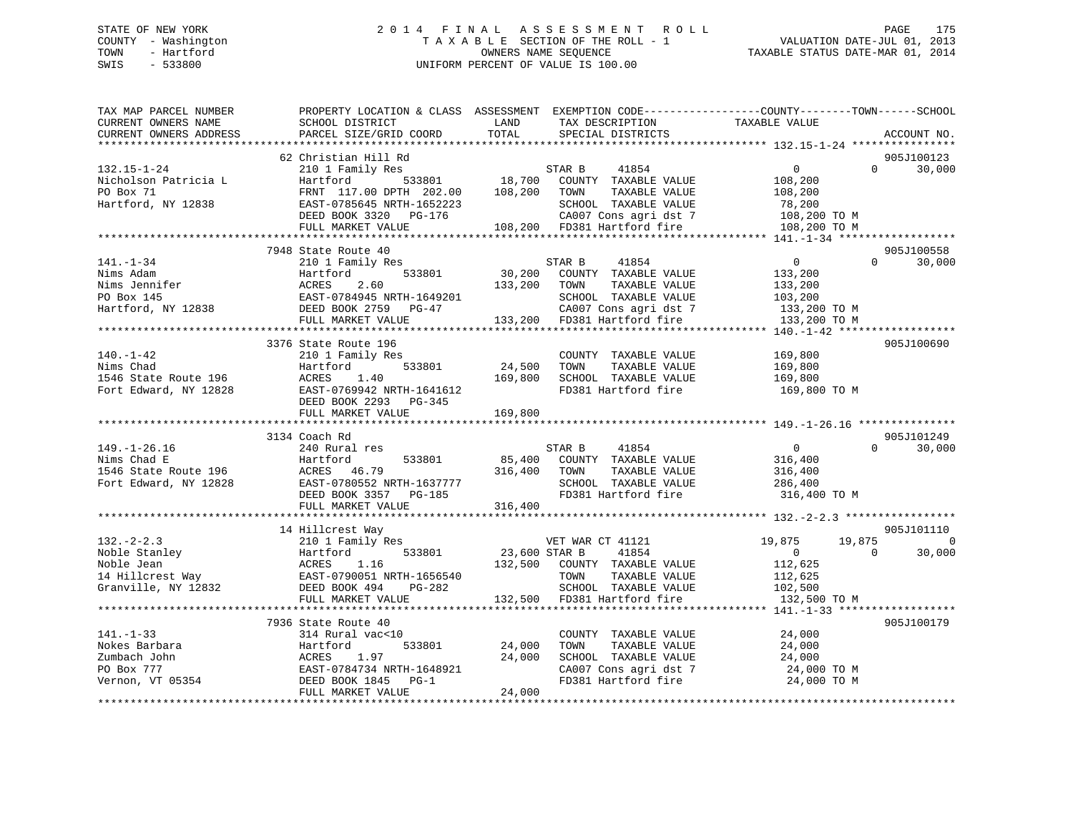# STATE OF NEW YORK 2 0 1 4 F I N A L A S S E S S M E N T R O L L PAGE 175 COUNTY - Washington T A X A B L E SECTION OF THE ROLL - 1 VALUATION DATE-JUL 01, 2013 TOWN - Hartford OWNERS NAME SEQUENCE TAXABLE STATUS DATE-MAR 01, 2014 SWIS - 533800 UNIFORM PERCENT OF VALUE IS 100.00UNIFORM PERCENT OF VALUE IS 100.00

| TAX MAP PARCEL NUMBER<br>CURRENT OWNERS NAME<br>CURRENT OWNERS ADDRESS                    | PROPERTY LOCATION & CLASS ASSESSMENT EXEMPTION CODE----------------COUNTY-------TOWN------SCHOOL<br>SCHOOL DISTRICT<br>PARCEL SIZE/GRID COORD                                                          | LAND<br>TOTAL                       | TAX DESCRIPTION<br>SPECIAL DISTRICTS                                                                                                             | TAXABLE VALUE                                                                 |                    | ACCOUNT NO.                         |
|-------------------------------------------------------------------------------------------|--------------------------------------------------------------------------------------------------------------------------------------------------------------------------------------------------------|-------------------------------------|--------------------------------------------------------------------------------------------------------------------------------------------------|-------------------------------------------------------------------------------|--------------------|-------------------------------------|
|                                                                                           |                                                                                                                                                                                                        |                                     |                                                                                                                                                  |                                                                               |                    |                                     |
| $132.15 - 1 - 24$<br>Nicholson Patricia L<br>PO Box 71<br>Hartford, NY 12838              | 62 Christian Hill Rd<br>210 1 Family Res<br>533801<br>Hartford<br>FRNT 117.00 DPTH 202.00<br>EAST-0785645 NRTH-1652223<br>DEED BOOK 3320<br>PG-176<br>FULL MARKET VALUE<br>*************************** | 18,700<br>108,200                   | STAR B<br>41854<br>COUNTY TAXABLE VALUE<br>TOWN<br>TAXABLE VALUE<br>SCHOOL TAXABLE VALUE<br>CA007 Cons agri dst 7<br>108,200 FD381 Hartford fire | $\mathbf 0$<br>108,200<br>108,200<br>78,200<br>108,200 TO M<br>108,200 TO M   | $\Omega$           | 905J100123<br>30,000                |
|                                                                                           | 7948 State Route 40                                                                                                                                                                                    |                                     |                                                                                                                                                  |                                                                               |                    | 905J100558                          |
| $141. - 1 - 34$<br>Nims Adam<br>Nims Jennifer<br>PO Box 145<br>Hartford, NY 12838         | 210 1 Family Res<br>533801<br>Hartford<br>ACRES<br>2.60<br>EAST-0784945 NRTH-1649201<br>DEED BOOK 2759 PG-47<br>FULL MARKET VALUE                                                                      | 30,200<br>133,200                   | STAR B<br>41854<br>COUNTY TAXABLE VALUE<br>TOWN<br>TAXABLE VALUE<br>SCHOOL TAXABLE VALUE<br>CA007 Cons agri dst 7<br>133,200 FD381 Hartford fire | $\mathbf{0}$<br>133,200<br>133,200<br>103,200<br>133,200 TO M<br>133,200 TO M | $\Omega$           | 30,000                              |
|                                                                                           | 3376 State Route 196                                                                                                                                                                                   |                                     |                                                                                                                                                  |                                                                               |                    | 905J100690                          |
| $140. - 1 - 42$<br>Nims Chad<br>1546 State Route 196<br>Fort Edward, NY 12828             | 210 1 Family Res<br>533801<br>Hartford<br>ACRES<br>1.40<br>EAST-0769942 NRTH-1641612<br>DEED BOOK 2293 PG-345<br>FULL MARKET VALUE                                                                     | 24,500<br>169,800<br>169,800        | COUNTY TAXABLE VALUE<br>TAXABLE VALUE<br>TOWN<br>SCHOOL TAXABLE VALUE<br>FD381 Hartford fire                                                     | 169,800<br>169,800<br>169,800<br>169,800 TO M                                 |                    |                                     |
|                                                                                           |                                                                                                                                                                                                        |                                     |                                                                                                                                                  |                                                                               |                    |                                     |
| $149. - 1 - 26.16$<br>Nims Chad E<br>1546 State Route 196<br>Fort Edward, NY 12828        | 3134 Coach Rd<br>240 Rural res<br>Hartford<br>533801<br>ACRES<br>46.79<br>EAST-0780552 NRTH-1637777<br>DEED BOOK 3357 PG-185<br>FULL MARKET VALUE                                                      | 85,400<br>316,400<br>316,400        | 41854<br>STAR B<br>COUNTY TAXABLE VALUE<br>TOWN<br>TAXABLE VALUE<br>SCHOOL TAXABLE VALUE<br>FD381 Hartford fire                                  | $\overline{0}$<br>316,400<br>316,400<br>286,400<br>316,400 TO M               | $\Omega$           | 905J101249<br>30,000                |
|                                                                                           |                                                                                                                                                                                                        |                                     |                                                                                                                                                  |                                                                               |                    |                                     |
| $132 - 2 - 2.3$<br>Noble Stanley<br>Noble Jean<br>14 Hillcrest Way<br>Granville, NY 12832 | 14 Hillcrest Way<br>210 1 Family Res<br>533801<br>Hartford<br>ACRES<br>1.16<br>EAST-0790051 NRTH-1656540<br>DEED BOOK 494<br>PG-282<br>FULL MARKET VALUE                                               | 23,600 STAR B<br>132,500<br>132,500 | VET WAR CT 41121<br>41854<br>COUNTY TAXABLE VALUE<br>TAXABLE VALUE<br>TOWN<br>SCHOOL TAXABLE VALUE<br>FD381 Hartford fire                        | 19,875<br>$\overline{0}$<br>112,625<br>112,625<br>102,500<br>132,500 TO M     | 19,875<br>$\Omega$ | 905J101110<br>$\mathbf 0$<br>30,000 |
|                                                                                           | ****************************                                                                                                                                                                           |                                     |                                                                                                                                                  |                                                                               |                    |                                     |
| $141. - 1 - 33$<br>Nokes Barbara<br>Zumbach John<br>PO Box 777<br>Vernon, VT 05354        | 7936 State Route 40<br>314 Rural vac<10<br>Hartford<br>533801<br>ACRES<br>1.97<br>EAST-0784734 NRTH-1648921<br>DEED BOOK 1845<br>$PG-1$                                                                | 24,000<br>24,000                    | COUNTY TAXABLE VALUE<br>TOWN<br>TAXABLE VALUE<br>SCHOOL TAXABLE VALUE<br>CA007 Cons agri dst 7<br>FD381 Hartford fire                            | 24,000<br>24,000<br>24,000<br>24,000 TO M<br>24,000 TO M                      |                    | 905J100179                          |
|                                                                                           | FULL MARKET VALUE                                                                                                                                                                                      | 24,000                              |                                                                                                                                                  |                                                                               |                    |                                     |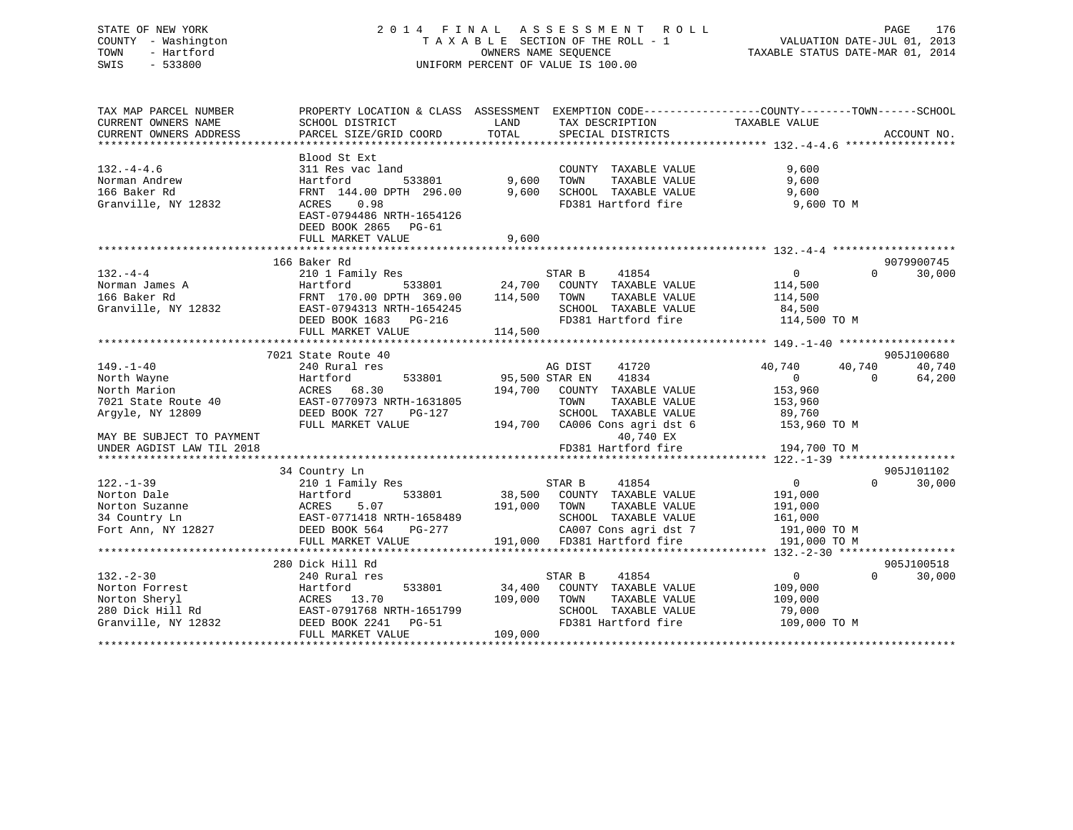# STATE OF NEW YORK 2 0 1 4 F I N A L A S S E S S M E N T R O L L PAGE 176 COUNTY - Washington T A X A B L E SECTION OF THE ROLL - 1 VALUATION DATE-JUL 01, 2013 TOWN - Hartford **TAXABLE STATUS DATE-MAR 01, 2014** OWNERS NAME SEQUENCE TAXABLE STATUS DATE-MAR 01, 2014 SWIS - 533800 UNIFORM PERCENT OF VALUE IS 100.00

| TAX MAP PARCEL NUMBER     | PROPERTY LOCATION & CLASS ASSESSMENT |         | EXEMPTION CODE-----------------COUNTY-------TOWN------SCHOOL |                |          |             |
|---------------------------|--------------------------------------|---------|--------------------------------------------------------------|----------------|----------|-------------|
| CURRENT OWNERS NAME       | SCHOOL DISTRICT                      | LAND    | TAX DESCRIPTION                                              | TAXABLE VALUE  |          |             |
| CURRENT OWNERS ADDRESS    | PARCEL SIZE/GRID COORD               | TOTAL   | SPECIAL DISTRICTS                                            |                |          | ACCOUNT NO. |
|                           |                                      |         |                                                              |                |          |             |
|                           | Blood St Ext                         |         |                                                              |                |          |             |
| $132. -4 - 4.6$           | 311 Res vac land                     |         | COUNTY TAXABLE VALUE                                         | 9,600          |          |             |
| Norman Andrew             | Hartford<br>533801                   | 9,600   | TAXABLE VALUE<br>TOWN                                        | 9,600          |          |             |
| 166 Baker Rd              | FRNT 144.00 DPTH 296.00              | 9,600   | SCHOOL TAXABLE VALUE                                         | 9,600          |          |             |
| Granville, NY 12832       | 0.98<br>ACRES                        |         | FD381 Hartford fire                                          | 9,600 TO M     |          |             |
|                           | EAST-0794486 NRTH-1654126            |         |                                                              |                |          |             |
|                           | DEED BOOK 2865<br>PG-61              |         |                                                              |                |          |             |
|                           | FULL MARKET VALUE                    | 9,600   |                                                              |                |          |             |
|                           |                                      |         |                                                              |                |          |             |
|                           | 166 Baker Rd                         |         |                                                              |                |          | 9079900745  |
| $132 - 4 - 4$             | 210 1 Family Res                     |         | STAR B<br>41854                                              | $\Omega$       | $\Omega$ | 30,000      |
| Norman James A            | 533801<br>Hartford                   | 24,700  | COUNTY TAXABLE VALUE                                         | 114,500        |          |             |
| 166 Baker Rd              | FRNT 170.00 DPTH 369.00              | 114,500 | TOWN<br>TAXABLE VALUE                                        | 114,500        |          |             |
| Granville, NY 12832       | EAST-0794313 NRTH-1654245            |         | SCHOOL TAXABLE VALUE                                         | 84,500         |          |             |
|                           | DEED BOOK 1683<br>PG-216             |         | FD381 Hartford fire                                          | 114,500 TO M   |          |             |
|                           | FULL MARKET VALUE                    | 114,500 |                                                              |                |          |             |
|                           |                                      |         |                                                              |                |          |             |
|                           | 7021 State Route 40                  |         |                                                              |                |          | 905J100680  |
| $149. - 1 - 40$           | 240 Rural res                        |         | AG DIST<br>41720                                             | 40,740         | 40,740   | 40,740      |
| North Wayne               | Hartford<br>533801                   |         | 95,500 STAR EN<br>41834                                      | $\mathbf 0$    | $\Omega$ | 64,200      |
| North Marion              | ACRES<br>68.30                       | 194,700 | COUNTY TAXABLE VALUE                                         | 153,960        |          |             |
| 7021 State Route 40       | EAST-0770973 NRTH-1631805            |         | TOWN<br>TAXABLE VALUE                                        | 153,960        |          |             |
| Argyle, NY 12809          | DEED BOOK 727<br>PG-127              |         | SCHOOL TAXABLE VALUE                                         | 89,760         |          |             |
|                           | FULL MARKET VALUE                    | 194,700 | CA006 Cons agri dst 6                                        | 153,960 TO M   |          |             |
| MAY BE SUBJECT TO PAYMENT |                                      |         | 40,740 EX                                                    |                |          |             |
| UNDER AGDIST LAW TIL 2018 |                                      |         | FD381 Hartford fire                                          | 194,700 TO M   |          |             |
|                           |                                      |         |                                                              |                |          |             |
|                           | 34 Country Ln                        |         |                                                              |                |          | 905J101102  |
| $122. - 1 - 39$           | 210 1 Family Res                     |         | STAR B<br>41854                                              | $\mathbf{0}$   | $\Omega$ | 30,000      |
| Norton Dale               | 533801<br>Hartford                   | 38,500  | COUNTY TAXABLE VALUE                                         | 191,000        |          |             |
| Norton Suzanne            | ACRES<br>5.07                        | 191,000 | TOWN<br>TAXABLE VALUE                                        | 191,000        |          |             |
| 34 Country Ln             | EAST-0771418 NRTH-1658489            |         | SCHOOL TAXABLE VALUE                                         | 161,000        |          |             |
| Fort Ann, NY 12827        | DEED BOOK 564<br>PG-277              |         | CA007 Cons agri dst 7                                        | 191,000 TO M   |          |             |
|                           | FULL MARKET VALUE                    | 191,000 | FD381 Hartford fire                                          | 191,000 TO M   |          |             |
|                           |                                      |         |                                                              |                |          |             |
|                           | 280 Dick Hill Rd                     |         |                                                              |                |          | 905J100518  |
| $132 - 2 - 30$            | 240 Rural res                        |         | 41854<br>STAR B                                              | $\overline{0}$ | $\Omega$ | 30,000      |
| Norton Forrest            | 533801<br>Hartford                   | 34,400  | COUNTY TAXABLE VALUE                                         | 109,000        |          |             |
| Norton Sheryl             | ACRES 13.70                          | 109,000 | TOWN<br>TAXABLE VALUE                                        | 109,000        |          |             |
| 280 Dick Hill Rd          | EAST-0791768 NRTH-1651799            |         | SCHOOL TAXABLE VALUE                                         | 79,000         |          |             |
| Granville, NY 12832       | DEED BOOK 2241<br>PG-51              |         | FD381 Hartford fire                                          | 109,000 TO M   |          |             |
|                           | FULL MARKET VALUE                    | 109,000 |                                                              |                |          |             |
|                           |                                      |         |                                                              |                |          |             |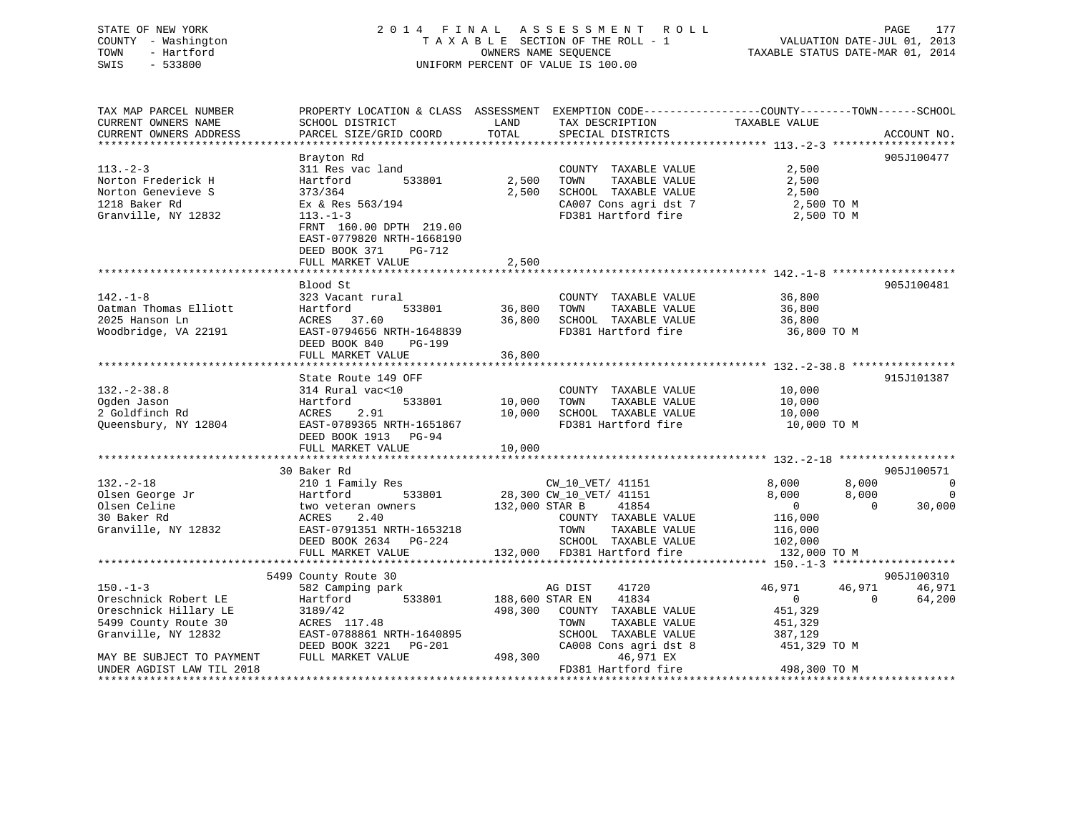| STATE OF NEW YORK   | 2014 FINAL ASSESSMENT ROLL         | 177<br>PAGE                      |
|---------------------|------------------------------------|----------------------------------|
| COUNTY - Washington | TAXABLE SECTION OF THE ROLL - 1    | VALUATION DATE-JUL 01, 2013      |
| TOWN<br>- Hartford  | OWNERS NAME SEOUENCE               | TAXABLE STATUS DATE-MAR 01, 2014 |
| SWIS<br>- 533800    | UNIFORM PERCENT OF VALUE IS 100.00 |                                  |

| CURRENT OWNERS ADDRESS<br>PARCEL SIZE/GRID COORD<br>SPECIAL DISTRICTS<br>ACCOUNT NO.<br>Brayton Rd<br>905J100477<br>$113. - 2 - 3$<br>311 Res vac land<br>COUNTY TAXABLE VALUE<br>2,500<br>533801<br>2,500<br>2,500<br>Norton Frederick H<br>TOWN<br>TAXABLE VALUE<br>Hartford |          |
|--------------------------------------------------------------------------------------------------------------------------------------------------------------------------------------------------------------------------------------------------------------------------------|----------|
|                                                                                                                                                                                                                                                                                |          |
|                                                                                                                                                                                                                                                                                |          |
| Norton Genevieve S<br>373/364<br>2,500<br>SCHOOL TAXABLE VALUE<br>2,500                                                                                                                                                                                                        |          |
| 1218 Baker Rd<br>Ex & Res 563/194<br>CA007 Cons agri dst 7<br>2,500 TO M                                                                                                                                                                                                       |          |
| Granville, NY 12832<br>$113. - 1 - 3$<br>FD381 Hartford fire<br>2,500 TO M<br>FRNT 160.00 DPTH 219.00<br>EAST-0779820 NRTH-1668190<br>DEED BOOK 371<br>PG-712<br>2,500<br>FULL MARKET VALUE                                                                                    |          |
|                                                                                                                                                                                                                                                                                |          |
| Blood St<br>905J100481                                                                                                                                                                                                                                                         |          |
| $142. - 1 - 8$<br>36,800<br>323 Vacant rural<br>COUNTY TAXABLE VALUE                                                                                                                                                                                                           |          |
| Oatman Thomas Elliott<br>Hartford<br>533801<br>36,800<br>TAXABLE VALUE<br>36,800<br>TOWN                                                                                                                                                                                       |          |
| 2025 Hanson Ln<br>36,800<br>SCHOOL TAXABLE VALUE<br>ACRES 37.60<br>36,800                                                                                                                                                                                                      |          |
| EAST-0794656 NRTH-1648839<br>FD381 Hartford fire<br>Woodbridge, VA 22191<br>36,800 TO M<br>DEED BOOK 840<br>PG-199                                                                                                                                                             |          |
| 36,800<br>FULL MARKET VALUE                                                                                                                                                                                                                                                    |          |
| 915J101387<br>State Route 149 OFF                                                                                                                                                                                                                                              |          |
| $132. - 2 - 38.8$<br>314 Rural vac<10<br>COUNTY TAXABLE VALUE<br>10,000                                                                                                                                                                                                        |          |
| TAXABLE VALUE<br>Ogden Jason<br>Hartford<br>533801<br>10,000<br>TOWN<br>10,000                                                                                                                                                                                                 |          |
| 2.91<br>2 Goldfinch Rd<br>ACRES<br>10,000<br>SCHOOL TAXABLE VALUE<br>10,000                                                                                                                                                                                                    |          |
| EAST-0789365 NRTH-1651867<br>Queensbury, NY 12804<br>FD381 Hartford fire<br>10,000 TO M<br>DEED BOOK 1913 PG-94                                                                                                                                                                |          |
| 10,000<br>FULL MARKET VALUE                                                                                                                                                                                                                                                    |          |
| 30 Baker Rd<br>905J100571                                                                                                                                                                                                                                                      |          |
| $132 - 2 - 18$<br>8,000<br>8,000<br>210 1 Family Res<br>CW_10_VET/ 41151                                                                                                                                                                                                       | 0        |
| Olsen George Jr<br>533801<br>28,300 CW_10_VET/ 41151<br>8,000<br>8,000<br>Hartford                                                                                                                                                                                             | $\Omega$ |
| Olsen Celine<br>$\Omega$<br>two veteran owners<br>132,000 STAR B<br>41854<br>$\overline{0}$                                                                                                                                                                                    | 30,000   |
| 30 Baker Rd<br>2.40<br>ACRES<br>COUNTY TAXABLE VALUE<br>116,000                                                                                                                                                                                                                |          |
| Granville, NY 12832<br>EAST-0791351 NRTH-1653218<br>TOWN<br>TAXABLE VALUE<br>116,000                                                                                                                                                                                           |          |
| DEED BOOK 2634 PG-224<br>SCHOOL TAXABLE VALUE<br>102,000                                                                                                                                                                                                                       |          |
| 132,000 FD381 Hartford fire<br>FULL MARKET VALUE<br>132,000 TO M                                                                                                                                                                                                               |          |
| 905J100310<br>5499 County Route 30                                                                                                                                                                                                                                             |          |
| $150. - 1 - 3$<br>41720<br>46,971<br>46,971<br>582 Camping park<br>AG DIST                                                                                                                                                                                                     | 46,971   |
| 533801<br>188,600 STAR EN<br>$\Omega$<br>Oreschnick Robert LE<br>Hartford<br>41834<br>$\overline{0}$                                                                                                                                                                           | 64,200   |
| Oreschnick Hillary LE<br>498,300<br>COUNTY TAXABLE VALUE<br>451,329<br>3189/42                                                                                                                                                                                                 |          |
| 5499 County Route 30<br>ACRES 117.48<br>TAXABLE VALUE<br>TOWN<br>451,329                                                                                                                                                                                                       |          |
| EAST-0788861 NRTH-1640895<br>Granville, NY 12832<br>SCHOOL TAXABLE VALUE<br>387,129                                                                                                                                                                                            |          |
| CA008 Cons agri dst 8<br>DEED BOOK 3221 PG-201<br>451,329 TO M                                                                                                                                                                                                                 |          |
| 498,300<br>MAY BE SUBJECT TO PAYMENT<br>FULL MARKET VALUE<br>46,971 EX                                                                                                                                                                                                         |          |
| FD381 Hartford fire<br>498,300 TO M<br>UNDER AGDIST LAW TIL 2018                                                                                                                                                                                                               |          |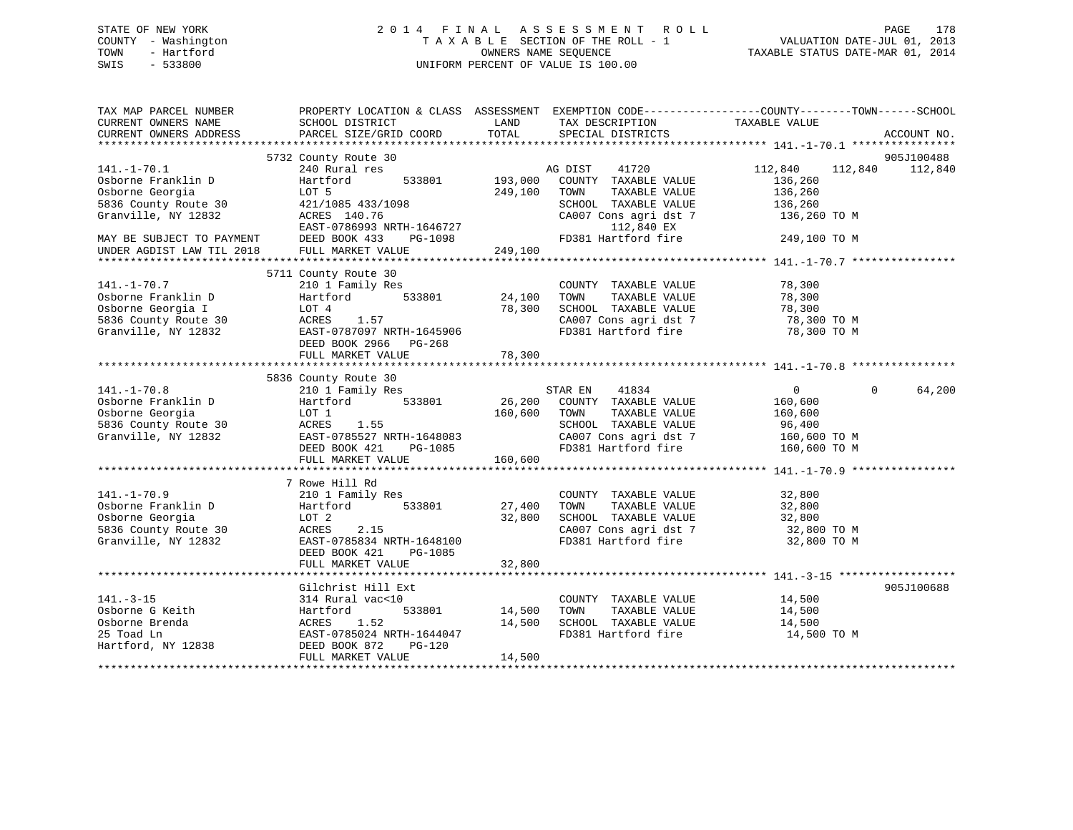# STATE OF NEW YORK 2 0 1 4 F I N A L A S S E S S M E N T R O L L PAGE 178 COUNTY - Washington T A X A B L E SECTION OF THE ROLL - 1 VALUATION DATE-JUL 01, 2013 TOWN - Hartford **TAXABLE STATUS DATE-MAR 01, 2014** OWNERS NAME SEQUENCE TAXABLE STATUS DATE-MAR 01, 2014 SWIS - 533800 UNIFORM PERCENT OF VALUE IS 100.00

| TAX MAP PARCEL NUMBER<br>CURRENT OWNERS NAME                                                                | PROPERTY LOCATION & CLASS ASSESSMENT EXEMPTION CODE---------------COUNTY-------TOWN-----SCHOOL<br>SCHOOL DISTRICT                                                | LAND                         | TAX DESCRIPTION                                                                                                       | TAXABLE VALUE                                                |                    |
|-------------------------------------------------------------------------------------------------------------|------------------------------------------------------------------------------------------------------------------------------------------------------------------|------------------------------|-----------------------------------------------------------------------------------------------------------------------|--------------------------------------------------------------|--------------------|
| CURRENT OWNERS ADDRESS                                                                                      | PARCEL SIZE/GRID COORD                                                                                                                                           | TOTAL                        | SPECIAL DISTRICTS                                                                                                     |                                                              | ACCOUNT NO.        |
|                                                                                                             | 5732 County Route 30                                                                                                                                             |                              |                                                                                                                       |                                                              | 905J100488         |
| $141. - 1 - 70.1$<br>Osborne Franklin D<br>Osborne Georgia<br>5836 County Route 30                          | 240 Rural res<br>Hartford<br>533801<br>LOT 5<br>421/1085 433/1098                                                                                                | 193,000<br>249,100           | AG DIST<br>41720<br>COUNTY TAXABLE VALUE<br>TOWN<br>TAXABLE VALUE<br>SCHOOL TAXABLE VALUE                             | 112,840<br>112,840<br>136,260<br>136,260<br>136,260          | 112,840            |
| Granville, NY 12832                                                                                         | ACRES 140.76<br>EAST-0786993 NRTH-1646727<br>DEED BOOK 433<br>PG-1098                                                                                            |                              | CA007 Cons agri dst 7<br>112,840 EX<br>FD381 Hartford fire                                                            | 136,260 TO M<br>249,100 TO M                                 |                    |
| MAY BE SUBJECT TO PAYMENT<br>UNDER AGDIST LAW TIL 2018                                                      | FULL MARKET VALUE                                                                                                                                                | 249,100                      |                                                                                                                       |                                                              |                    |
|                                                                                                             |                                                                                                                                                                  |                              |                                                                                                                       |                                                              |                    |
| $141. - 1 - 70.7$<br>Osborne Franklin D<br>Osborne Georgia I<br>5836 County Route 30<br>Granville, NY 12832 | 5711 County Route 30<br>210 1 Family Res<br>533801<br>Hartford<br>LOT 4<br>1.57<br>ACRES<br>EAST-0787097 NRTH-1645906<br>DEED BOOK 2966 PG-268                   | 24,100<br>78,300             | COUNTY TAXABLE VALUE<br>TAXABLE VALUE<br>TOWN<br>SCHOOL TAXABLE VALUE<br>CA007 Cons agri dst 7<br>FD381 Hartford fire | 78,300<br>78,300<br>78,300<br>$78,300$ TO M<br>78,300 TO M   |                    |
|                                                                                                             | FULL MARKET VALUE                                                                                                                                                | 78,300                       |                                                                                                                       |                                                              |                    |
|                                                                                                             |                                                                                                                                                                  |                              |                                                                                                                       |                                                              |                    |
| $141. - 1 - 70.8$                                                                                           | 5836 County Route 30<br>210 1 Family Res                                                                                                                         |                              | STAR EN<br>41834                                                                                                      | $\overline{0}$                                               | $\Omega$<br>64,200 |
| Osborne Franklin D<br>Osborne Georgia<br>5836 County Route 30<br>Granville, NY 12832                        | 533801<br>Hartford<br>LOT 1<br>ACRES<br>1.55<br>EAST-0785527 NRTH-1648083<br>DEED BOOK 421<br>PG-1085<br>FULL MARKET VALUE                                       | 26,200<br>160,600<br>160,600 | COUNTY TAXABLE VALUE<br>TOWN<br>TAXABLE VALUE<br>SCHOOL TAXABLE VALUE<br>CA007 Cons agri dst 7<br>FD381 Hartford fire | 160,600<br>160,600<br>96,400<br>160,600 ТО М<br>160,600 TO M |                    |
|                                                                                                             |                                                                                                                                                                  |                              |                                                                                                                       |                                                              |                    |
| $141. - 1 - 70.9$<br>Osborne Franklin D<br>Osborne Georgia<br>5836 County Route 30<br>Granville, NY 12832   | 7 Rowe Hill Rd<br>210 1 Family Res<br>533801<br>Hartford<br>LOT 2<br>ACRES<br>2.15<br>EAST-0785834 NRTH-1648100<br>PG-1085<br>DEED BOOK 421<br>FULL MARKET VALUE | 27,400<br>32,800<br>32,800   | COUNTY TAXABLE VALUE<br>TAXABLE VALUE<br>TOWN<br>SCHOOL TAXABLE VALUE<br>CA007 Cons agri dst 7<br>FD381 Hartford fire | 32,800<br>32,800<br>32,800<br>32,800 TO M<br>32,800 TO M     |                    |
|                                                                                                             |                                                                                                                                                                  |                              |                                                                                                                       |                                                              |                    |
| $141. - 3 - 15$<br>Osborne G Keith<br>Osborne Brenda<br>25 Toad Ln<br>Hartford, NY 12838                    | Gilchrist Hill Ext<br>314 Rural vac<10<br>533801<br>Hartford<br>ACRES<br>1.52<br>EAST-0785024 NRTH-1644047<br>$PG-120$<br>DEED BOOK 872                          | 14,500<br>14,500             | COUNTY TAXABLE VALUE<br>TOWN<br>TAXABLE VALUE<br>SCHOOL TAXABLE VALUE<br>FD381 Hartford fire                          | 14,500<br>14,500<br>14,500<br>14,500 TO M                    | 905J100688         |
|                                                                                                             | FULL MARKET VALUE                                                                                                                                                | 14,500                       |                                                                                                                       |                                                              |                    |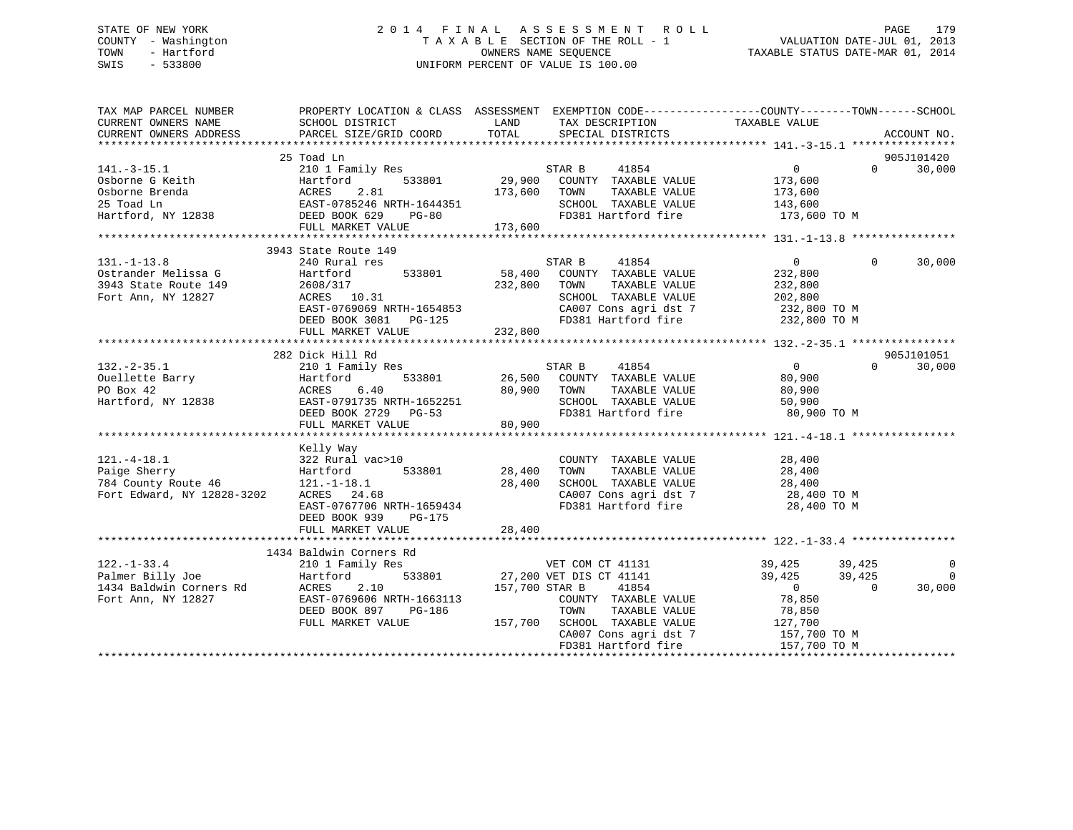# STATE OF NEW YORK 2 0 1 4 F I N A L A S S E S S M E N T R O L L PAGE 179 COUNTY - Washington T A X A B L E SECTION OF THE ROLL - 1 VALUATION DATE-JUL 01, 2013 TOWN - Hartford **TAXABLE STATUS DATE-MAR 01, 2014** OWNERS NAME SEQUENCE TAXABLE STATUS DATE-MAR 01, 2014 SWIS - 533800 UNIFORM PERCENT OF VALUE IS 100.00

| TAX MAP PARCEL NUMBER                                                                                                                                                                                                                     | PROPERTY LOCATION & CLASS ASSESSMENT EXEMPTION CODE-----------------COUNTY-------TOWN------SCHOOL |                |                                                                                                                                                                                                      |                                    |          |                          |
|-------------------------------------------------------------------------------------------------------------------------------------------------------------------------------------------------------------------------------------------|---------------------------------------------------------------------------------------------------|----------------|------------------------------------------------------------------------------------------------------------------------------------------------------------------------------------------------------|------------------------------------|----------|--------------------------|
| CURRENT OWNERS NAME<br>CURRENT OWNERS ADDRESS                                                                                                                                                                                             | SCHOOL DISTRICT<br>PARCEL SIZE/GRID COORD                                                         | LAND<br>TOTAL  | TAX DESCRIPTION<br>SPECIAL DISTRICTS                                                                                                                                                                 | TAXABLE VALUE                      |          | ACCOUNT NO.              |
|                                                                                                                                                                                                                                           |                                                                                                   |                |                                                                                                                                                                                                      |                                    |          |                          |
|                                                                                                                                                                                                                                           | 25 Toad Ln                                                                                        |                |                                                                                                                                                                                                      |                                    |          | 905J101420               |
| $141.-3-15.1$                                                                                                                                                                                                                             | 210 1 Family Res STAR B                                                                           |                | 41854                                                                                                                                                                                                | $\overline{0}$                     | $\Omega$ | 30,000                   |
|                                                                                                                                                                                                                                           |                                                                                                   |                |                                                                                                                                                                                                      |                                    |          |                          |
|                                                                                                                                                                                                                                           |                                                                                                   |                |                                                                                                                                                                                                      |                                    |          |                          |
|                                                                                                                                                                                                                                           |                                                                                                   |                |                                                                                                                                                                                                      |                                    |          |                          |
|                                                                                                                                                                                                                                           |                                                                                                   |                |                                                                                                                                                                                                      |                                    |          |                          |
|                                                                                                                                                                                                                                           |                                                                                                   |                |                                                                                                                                                                                                      |                                    |          |                          |
|                                                                                                                                                                                                                                           | 3943 State Route 149                                                                              |                |                                                                                                                                                                                                      |                                    |          |                          |
| $131. - 1 - 13.8$                                                                                                                                                                                                                         | 240 Rural res                                                                                     |                | 41854<br>STAR B                                                                                                                                                                                      | $\Omega$                           | $\Omega$ | 30,000                   |
| 0strander Melissa G Martford<br>2013 State Route 149 2608/317                                                                                                                                                                             |                                                                                                   |                | 533801 58,400 COUNTY TAXABLE VALUE<br>232,800 TOWN TAXABLE VALUE                                                                                                                                     | 232,800                            |          |                          |
|                                                                                                                                                                                                                                           |                                                                                                   |                | TAXABLE VALUE                                                                                                                                                                                        | 232,800                            |          |                          |
|                                                                                                                                                                                                                                           |                                                                                                   |                |                                                                                                                                                                                                      |                                    |          |                          |
|                                                                                                                                                                                                                                           |                                                                                                   |                |                                                                                                                                                                                                      |                                    |          |                          |
|                                                                                                                                                                                                                                           |                                                                                                   |                |                                                                                                                                                                                                      |                                    |          |                          |
| 3943 State Route 149 2608/317 232,800 70WN TAXABLE VALUE 232,800<br>Fort Ann, NY 12827 2608/317 232,800 RRTH-1654853 EAST-0769069 NRTH-1654853 232,800 CA007 Cons agri dst 7 232,800 TO M<br>DEED BOOK 3081 PG-125 232,800 232,800        |                                                                                                   |                |                                                                                                                                                                                                      |                                    |          |                          |
|                                                                                                                                                                                                                                           | 282 Dick Hill Rd                                                                                  |                |                                                                                                                                                                                                      |                                    |          | 905J101051               |
|                                                                                                                                                                                                                                           |                                                                                                   |                | 41854                                                                                                                                                                                                | $\overline{0}$                     | $\Omega$ | 30,000                   |
|                                                                                                                                                                                                                                           |                                                                                                   |                |                                                                                                                                                                                                      | 80,900                             |          |                          |
|                                                                                                                                                                                                                                           |                                                                                                   |                | -1 ---<br>533801 26,500 COUNTY TAXABLE VALUE<br>.40 30,900 TOWN TAXABLE VALUE                                                                                                                        | 80,900                             |          |                          |
|                                                                                                                                                                                                                                           |                                                                                                   |                | SCHOOL TAXABLE VALUE                                                                                                                                                                                 | 50,900                             |          |                          |
|                                                                                                                                                                                                                                           |                                                                                                   |                | FD381 Hartford fire                                                                                                                                                                                  | 80,900 TO M                        |          |                          |
| 132.-2-35.1 202 202 203 1 Family Res<br>0uellette Barry Hartford 533801 26,500 COUNT<br>PO Box 42 ACRES 6.40 80,900 TOWN<br>Hartford, NY 12838 EAST-0791735 NRTH-1652251 SCHOO<br>DEED BOOK 2729 PG-53 FD381<br>FULL MARKET VALUE         |                                                                                                   |                |                                                                                                                                                                                                      |                                    |          |                          |
|                                                                                                                                                                                                                                           |                                                                                                   |                |                                                                                                                                                                                                      |                                    |          |                          |
|                                                                                                                                                                                                                                           | Kelly Way                                                                                         |                |                                                                                                                                                                                                      |                                    |          |                          |
|                                                                                                                                                                                                                                           |                                                                                                   |                | $\begin{tabular}{lllllllllll} \multicolumn{2}{c}{\textbf{COUNTY}} & \textbf{TAXABLE VALUE} & & & 28,400 \\ \multicolumn{2}{c}{\textbf{TOWN}} & \textbf{TAXABLE VALUE} & & & 28,400 \\ \end{tabular}$ |                                    |          |                          |
|                                                                                                                                                                                                                                           |                                                                                                   |                |                                                                                                                                                                                                      |                                    |          |                          |
|                                                                                                                                                                                                                                           |                                                                                                   |                | SCHOOL TAXABLE VALUE 28,400<br>CA007 Cons agri dst 7 28,400 TO M                                                                                                                                     |                                    |          |                          |
| 121.-4-18.1<br>Paige Sherry 322 Rural vac>10<br>784 County Route 46<br>784 County Route 46<br>784 County Route 46<br>784 County Route 46<br>784 County Route 46<br>784 County Route 46<br>784 County Route 46<br>784 County Route 46<br>7 |                                                                                                   |                |                                                                                                                                                                                                      |                                    |          |                          |
|                                                                                                                                                                                                                                           | EAST-0767706 NRTH-1659434                                                                         |                | FD381 Hartford fire 28,400 TO M                                                                                                                                                                      |                                    |          |                          |
|                                                                                                                                                                                                                                           | DEED BOOK 939 PG-175                                                                              |                |                                                                                                                                                                                                      |                                    |          |                          |
|                                                                                                                                                                                                                                           | FULL MARKET VALUE                                                                                 | 28,400         |                                                                                                                                                                                                      |                                    |          |                          |
|                                                                                                                                                                                                                                           |                                                                                                   |                |                                                                                                                                                                                                      |                                    |          |                          |
| $122. - 1 - 33.4$                                                                                                                                                                                                                         | 1434 Baldwin Corners Rd                                                                           |                |                                                                                                                                                                                                      |                                    |          | $\overline{0}$           |
|                                                                                                                                                                                                                                           | 210 1 Family Res 633801 VET COM CT 41131<br>Hartford 533801 27,200 VET DIS CT 41141               |                |                                                                                                                                                                                                      | 39,425   39,425<br>39,425   39,425 |          | $\overline{\phantom{0}}$ |
|                                                                                                                                                                                                                                           |                                                                                                   | 157,700 STAR B | 41854                                                                                                                                                                                                |                                    | $\Omega$ | 30,000                   |
|                                                                                                                                                                                                                                           |                                                                                                   |                | COUNTY TAXABLE VALUE                                                                                                                                                                                 | 0<br>78,850                        |          |                          |
|                                                                                                                                                                                                                                           | DEED BOOK 897<br>$PG-186$                                                                         |                | TOWN                                                                                                                                                                                                 | TAXABLE VALUE 78,850               |          |                          |
|                                                                                                                                                                                                                                           | FULL MARKET VALUE                                                                                 |                |                                                                                                                                                                                                      |                                    |          |                          |
|                                                                                                                                                                                                                                           |                                                                                                   |                | 157,700 SCHOOL TAXABLE VALUE 127,700<br>CA007 Cons agri dst 7 157,700 TO M                                                                                                                           |                                    |          |                          |
|                                                                                                                                                                                                                                           |                                                                                                   |                | FD381 Hartford fire                                                                                                                                                                                  | 157,700 TO M                       |          |                          |
|                                                                                                                                                                                                                                           |                                                                                                   |                |                                                                                                                                                                                                      |                                    |          |                          |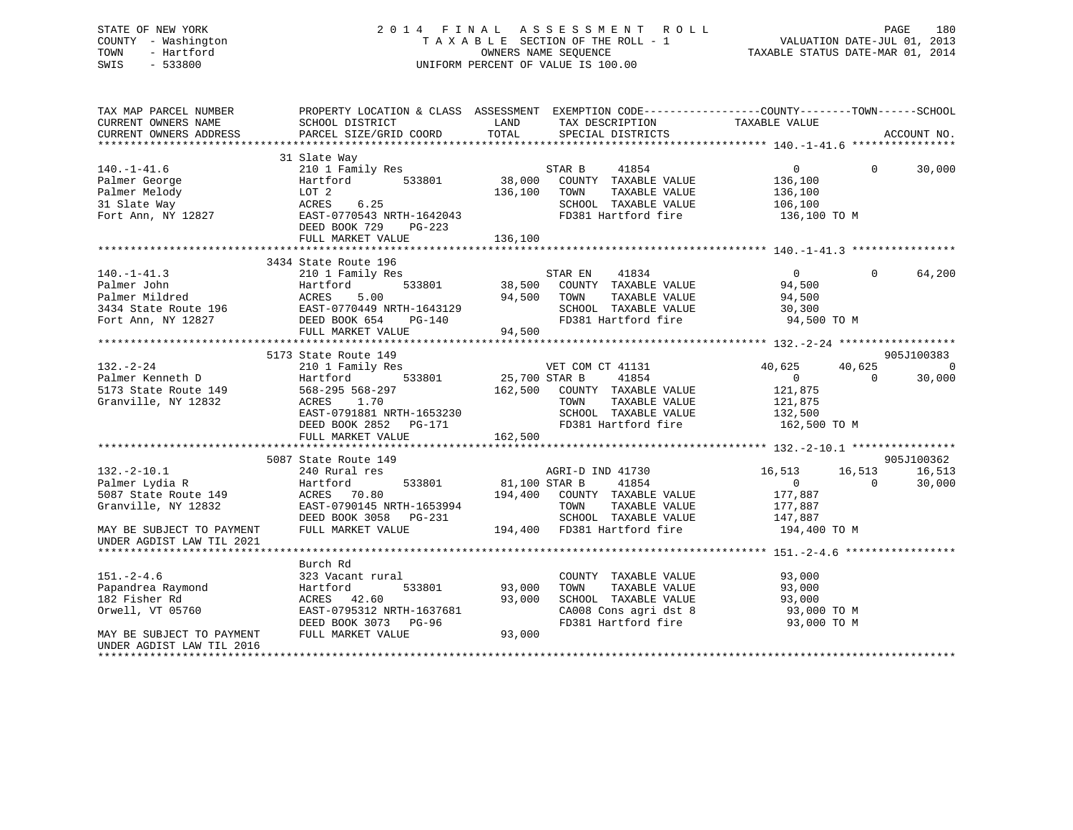| STATE OF NEW YORK<br>COUNTY - Washington<br>- Hartford<br>TOWN<br>$-533800$<br>SWIS |                                                                                  | 2014 FINAL ASSESSMENT ROLL PACE 180<br>TAXABLE SECTION OF THE ROLL - 1 VALUATION DATE-JUL 01, 2013<br>OWNERS NAME SEQUENCE TAXABLE STATUS DATE-MAR 01, 2014<br>UNIFORM PERCENT OF VALUE IS 100.00                                                                                                 |                                                                                  |
|-------------------------------------------------------------------------------------|----------------------------------------------------------------------------------|---------------------------------------------------------------------------------------------------------------------------------------------------------------------------------------------------------------------------------------------------------------------------------------------------|----------------------------------------------------------------------------------|
|                                                                                     |                                                                                  | TAX MAP PARCEL NUMBER THE PROPERTY LOCATION & CLASS ASSESSMENT EXEMPTION CODE---------------COUNTY-------TOWN------SCHOOL                                                                                                                                                                         |                                                                                  |
|                                                                                     |                                                                                  |                                                                                                                                                                                                                                                                                                   |                                                                                  |
|                                                                                     | 31 Slate Way<br>DEED BOOK 729 PG-223<br>FULL MARKET VALUE                        | 140.-1-41.6 210 1 Family Res STAR B 41854<br>Palmer George Hartford 533801 38,000 COUNTY TAXABLE VALUE<br>136,100 TOWN<br>136,100                                                                                                                                                                 | 30,000<br>136,100                                                                |
| $140.-1-41.3$<br>Palmer John Hartford                                               | 3434 State Route 196<br>State Route 196<br>210 1 Family Res<br>FULL MARKET VALUE | 41834<br>STAR EN<br>533801 38,500 COUNTY TAXABLE VALUE<br>Palmer Mildred and ACRES 5.00 94,500 TOWN TAXABLE VALUE 94,500 94,500 POWN TAXABLE VALUE 94,500 94,500 POWN TAXABLE VALUE 94,500 94,500 POWN SCHOOL TAXABLE VALUE 30,300 POWN SCHOOL TAXABLE VALUE 30,300 POWN SCHOOL TAXABLE<br>94,500 | $\overline{0}$<br>$\Omega$<br>64,200<br>94,500                                   |
|                                                                                     |                                                                                  |                                                                                                                                                                                                                                                                                                   |                                                                                  |
| $132. - 2 - 24$<br>Palmer Kenneth D Martford                                        | 5173 State Route 149<br>210 1 Family Res<br>ACRES 1.70                           | VET COM CT 41131<br>533801 25,700 STAR B<br>41854<br>162,500 COUNTY TAXABLE VALUE 121,875<br>TOWN<br>TAXABLE VALUE                                                                                                                                                                                | 905J100383<br>$\sim$ 0<br>40,625 40,625<br>$\overline{0}$ 0<br>30,000<br>121,875 |

DEED BOOK 2852 PG-171 FD381 Hartford fire 162,500 TO M<br>FULL MARKET VALUE 162,500 162,500 FULL MARKET VALUE 162,500 \*\*\*\*\*\*\*\*\*\*\*\*\*\*\*\*\*\*\*\*\*\*\*\*\*\*\*\*\*\*\*\*\*\*\*\*\*\*\*\*\*\*\*\*\*\*\*\*\*\*\*\*\*\*\*\*\*\*\*\*\*\*\*\*\*\*\*\*\*\*\*\*\*\*\*\*\*\*\*\*\*\*\*\*\*\*\*\*\*\*\*\*\*\*\*\*\*\*\*\*\*\*\* 132.-2-10.1 \*\*\*\*\*\*\*\*\*\*\*\*\*\*\*\* 5087 State Route 149 905J100362 132.-2-10.1 240 Rural res AGRI-D IND 41730 16,513 16,513 16,513 Palmer Lydia R Hartford 533801 81,100 STAR B 41854 0 0 30,000 5087 State Route 149 ACRES 70.80 194,400 COUNTY TAXABLE VALUE 177,887 Granville, NY 12832 EAST-0790145 NRTH-1653994 TOWN TAXABLE VALUE 177,887 DEED BOOK 3058 PG-231 SCHOOL TAXABLE VALUE 147,887 MAY BE SUBJECT TO PAYMENT FULL MARKET VALUE 194,400 FD381 Hartford fire 194,400 TO M UNDER AGDIST LAW TIL 2021 \*\*\*\*\*\*\*\*\*\*\*\*\*\*\*\*\*\*\*\*\*\*\*\*\*\*\*\*\*\*\*\*\*\*\*\*\*\*\*\*\*\*\*\*\*\*\*\*\*\*\*\*\*\*\*\*\*\*\*\*\*\*\*\*\*\*\*\*\*\*\*\*\*\*\*\*\*\*\*\*\*\*\*\*\*\*\*\*\*\*\*\*\*\*\*\*\*\*\*\*\*\*\* 151.-2-4.6 \*\*\*\*\*\*\*\*\*\*\*\*\*\*\*\*\* Burch Rd151.-2-4.6 323 Vacant rural COUNTY TAXABLE VALUE 93,000 Papandrea Raymond Hartford 533801 93,000 TOWN TAXABLE VALUE 93,000 182 Fisher Rd ACRES 42.60 93,000 SCHOOL TAXABLE VALUE 93,000 Orwell, VT 05760 **EAST-0795312 NRTH-1637681** CA008 Cons agri dst 8 93,000 TO M<br>DEED BOOK 3073 PG-96 FD381 Hartford fire 93.000 TO M DEED BOOK 3073 PG-96 FD381 Hartford fire 93,000 TO M MAY BE SUBJECT TO PAYMENT FULL MARKET VALUE UNDER AGDIST LAW TIL 2016\*\*\*\*\*\*\*\*\*\*\*\*\*\*\*\*\*\*\*\*\*\*\*\*\*\*\*\*\*\*\*\*\*\*\*\*\*\*\*\*\*\*\*\*\*\*\*\*\*\*\*\*\*\*\*\*\*\*\*\*\*\*\*\*\*\*\*\*\*\*\*\*\*\*\*\*\*\*\*\*\*\*\*\*\*\*\*\*\*\*\*\*\*\*\*\*\*\*\*\*\*\*\*\*\*\*\*\*\*\*\*\*\*\*\*\*\*\*\*\*\*\*\*\*\*\*\*\*\*\*\*\*

EAST-0791881 NRTH-1653230 SCHOOL TAXABLE VALUE 132,500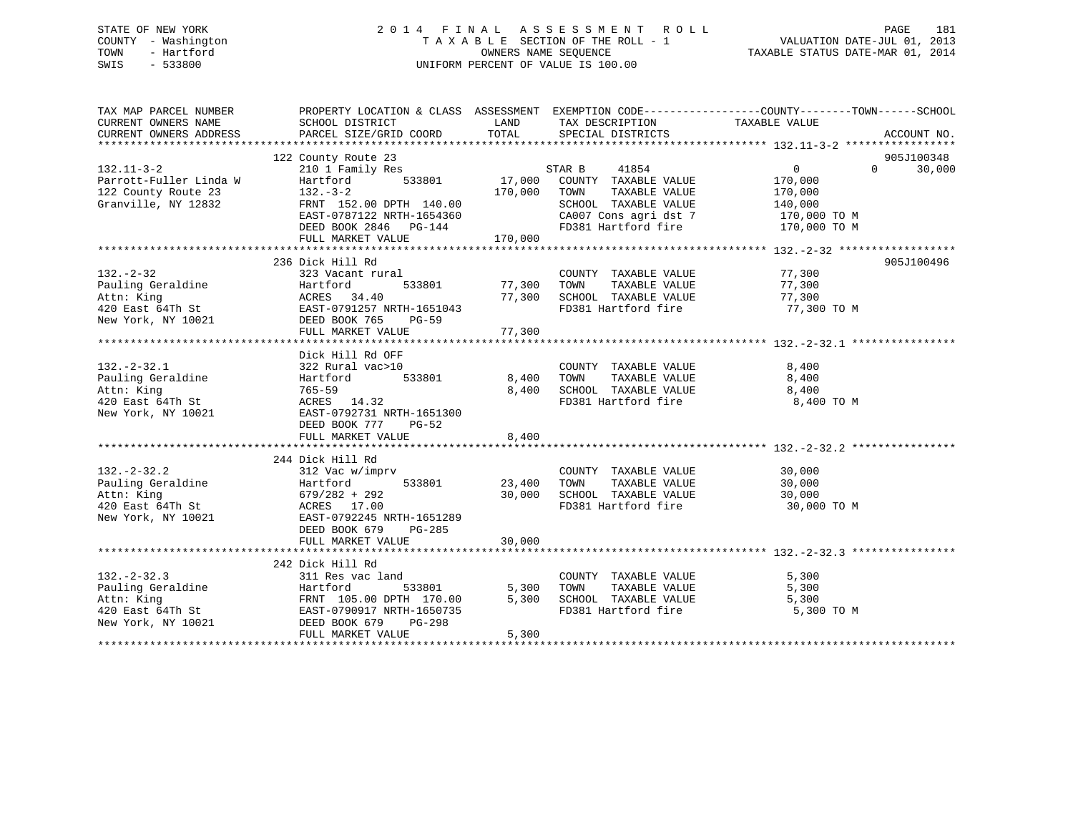## STATE OF NEW YORK 2 0 1 4 F I N A L A S S E S S M E N T R O L L PAGE 181 COUNTY - Washington T A X A B L E SECTION OF THE ROLL - 1 VALUATION DATE-JUL 01, 2013 TOWN - Hartford OWNERS NAME SEQUENCE TAXABLE STATUS DATE-MAR 01, 2014 SWIS - 533800 UNIFORM PERCENT OF VALUE IS 100.00

| TAX MAP PARCEL NUMBER |                                                                                                                                                                                                                                          |        |                                                                                                                                                           | PROPERTY LOCATION & CLASS ASSESSMENT EXEMPTION CODE---------------COUNTY-------TOWN-----SCHOOL |
|-----------------------|------------------------------------------------------------------------------------------------------------------------------------------------------------------------------------------------------------------------------------------|--------|-----------------------------------------------------------------------------------------------------------------------------------------------------------|------------------------------------------------------------------------------------------------|
|                       |                                                                                                                                                                                                                                          |        |                                                                                                                                                           |                                                                                                |
|                       |                                                                                                                                                                                                                                          |        |                                                                                                                                                           |                                                                                                |
|                       |                                                                                                                                                                                                                                          |        |                                                                                                                                                           |                                                                                                |
|                       | 132.11-3-2<br>210 1 Family Res<br>Parrott-Fuller Linda W Hartford 533801 17,000 COUNTY TAXABLE VALUE<br>122 County Route 23 132.-3-2<br>Granville, NY 12832 FRNT 152.00 DPTH 140.00 1000 COUNTY TAXABLE VALUE<br>52.00 DPTH 140.00 170,0 |        |                                                                                                                                                           | 905J100348                                                                                     |
|                       |                                                                                                                                                                                                                                          |        |                                                                                                                                                           | $\overline{0}$<br>$0 \t30,000$                                                                 |
|                       |                                                                                                                                                                                                                                          |        |                                                                                                                                                           | 170,000                                                                                        |
|                       |                                                                                                                                                                                                                                          |        |                                                                                                                                                           | TAXABLE VALUE 170,000<br>TAXABLE VALUE 140,000                                                 |
|                       |                                                                                                                                                                                                                                          |        |                                                                                                                                                           |                                                                                                |
|                       | EAST-0787122 NRTH-1654360                                                                                                                                                                                                                |        | CA007 Cons agri dst 7 170,000 TO M                                                                                                                        |                                                                                                |
|                       |                                                                                                                                                                                                                                          |        |                                                                                                                                                           |                                                                                                |
|                       |                                                                                                                                                                                                                                          |        |                                                                                                                                                           |                                                                                                |
|                       |                                                                                                                                                                                                                                          |        |                                                                                                                                                           |                                                                                                |
|                       | 236 Dick Hill Rd                                                                                                                                                                                                                         |        |                                                                                                                                                           | 905J100496                                                                                     |
| $132. - 2 - 32$       | 323 Vacant rural                                                                                                                                                                                                                         |        | COUNTY TAXABLE VALUE 77,300                                                                                                                               |                                                                                                |
|                       | 533801 77,300 TOWN                                                                                                                                                                                                                       |        | 77,300 TOWN TAXABLE VALUE<br>77,300 SCHOOL TAXABLE VALUE                                                                                                  | 77,300<br>77,300                                                                               |
|                       |                                                                                                                                                                                                                                          |        |                                                                                                                                                           |                                                                                                |
|                       |                                                                                                                                                                                                                                          |        | FD381 Hartford fire 77,300 TO M                                                                                                                           |                                                                                                |
|                       | Pauling Geraldine Fact of the Hartford 533801 77,300<br>Attn: King ACRES 34.40 77,300<br>420 East 64Th St EAST-0791257 NRTH-1651043<br>New York, NY 10021 DEED BOOK 765 PG-59<br>FIII.I. MARKET VALUE 77.300                             |        |                                                                                                                                                           |                                                                                                |
|                       | FULL MARKET VALUE                                                                                                                                                                                                                        | 77,300 |                                                                                                                                                           |                                                                                                |
|                       |                                                                                                                                                                                                                                          |        |                                                                                                                                                           |                                                                                                |
|                       | Dick Hill Rd OFF                                                                                                                                                                                                                         |        |                                                                                                                                                           |                                                                                                |
|                       |                                                                                                                                                                                                                                          |        | COUNTY TAXABLE VALUE 8,400                                                                                                                                |                                                                                                |
|                       |                                                                                                                                                                                                                                          |        | $\begin{tabular}{lllllllllll} 8,400& {\tt TOWN} & {\tt TAXABLE VALUE} & & & 8,400 \\ 8,400& {\tt SCHOOL} & {\tt TAXABLE VALUE} & & & 8,400 \end{tabular}$ |                                                                                                |
|                       |                                                                                                                                                                                                                                          |        |                                                                                                                                                           |                                                                                                |
|                       | 132.-2-32.1<br>Pauling Geraldine 322 Rural vac>10 (COUNTY<br>Attn: King 765-59 8,400 FOWN<br>420 East 64Th St ACRES 14.32 ROW YORK, NY 10021 EAST-0792731 NRTH-1651300 FD381 Ha                                                          |        | FD381 Hartford fire 8,400 TO M                                                                                                                            |                                                                                                |
|                       |                                                                                                                                                                                                                                          |        |                                                                                                                                                           |                                                                                                |
|                       | DEED BOOK 777<br>PG-52                                                                                                                                                                                                                   |        |                                                                                                                                                           |                                                                                                |
|                       | FULL MARKET VALUE                                                                                                                                                                                                                        | 8,400  |                                                                                                                                                           |                                                                                                |
|                       |                                                                                                                                                                                                                                          |        |                                                                                                                                                           |                                                                                                |
|                       | 244 Dick Hill Rd                                                                                                                                                                                                                         |        |                                                                                                                                                           |                                                                                                |
| $132 - 2 - 32.2$      | Dick Hill Rd<br>312 Vac w/imprv                                                                                                                                                                                                          |        | COUNTY TAXABLE VALUE 30,000                                                                                                                               |                                                                                                |
|                       |                                                                                                                                                                                                                                          |        |                                                                                                                                                           |                                                                                                |
|                       |                                                                                                                                                                                                                                          |        |                                                                                                                                                           |                                                                                                |
|                       | Faction and Hartford<br>Faction 30,000 533801<br>Attn: King 679/282 + 292<br>420 East 64Th St ACRES 17.00<br>New York, NY 10021 EAST-0792245 NRTH-1651289<br>New York, NY 10021 EAST-0792245 NRTH-1651289<br>Rew York, NY 10021 EAST-079 |        |                                                                                                                                                           |                                                                                                |
|                       |                                                                                                                                                                                                                                          |        |                                                                                                                                                           |                                                                                                |
|                       | DEED BOOK 679 PG-285                                                                                                                                                                                                                     |        |                                                                                                                                                           |                                                                                                |
|                       | FULL MARKET VALUE                                                                                                                                                                                                                        | 30,000 |                                                                                                                                                           |                                                                                                |
|                       |                                                                                                                                                                                                                                          |        |                                                                                                                                                           |                                                                                                |
|                       | 242 Dick Hill Rd                                                                                                                                                                                                                         |        |                                                                                                                                                           |                                                                                                |
| $132 - 2 - 32.3$      | 311 Res vac land                                                                                                                                                                                                                         |        | COUNTY TAXABLE VALUE                                                                                                                                      | 5,300                                                                                          |
|                       | $5 \text{ A}$ 1 and $533801$ 5,300 TOWN                                                                                                                                                                                                  |        | TAXABLE VALUE                                                                                                                                             | 5,300                                                                                          |
|                       |                                                                                                                                                                                                                                          |        | 5,300 SCHOOL TAXABLE VALUE 5,300                                                                                                                          |                                                                                                |
|                       |                                                                                                                                                                                                                                          |        | FD381 Hartford fire                                                                                                                                       | 5,300 TO M                                                                                     |
|                       | 132.-2-32.3<br>Pauling Geraldine 11 Res vac land<br>Pauling Geraldine 110.00 5,300<br>Attn: King FRNT 105.00 DPTH 170.00 5,300<br>420 East 64Th St EAST-0790917 NRTH-1650735<br>New York, NY 10021 DEED BOOK 679 PG-298                  |        |                                                                                                                                                           |                                                                                                |
|                       | FULL MARKET VALUE                                                                                                                                                                                                                        | 5,300  |                                                                                                                                                           |                                                                                                |
|                       |                                                                                                                                                                                                                                          |        |                                                                                                                                                           |                                                                                                |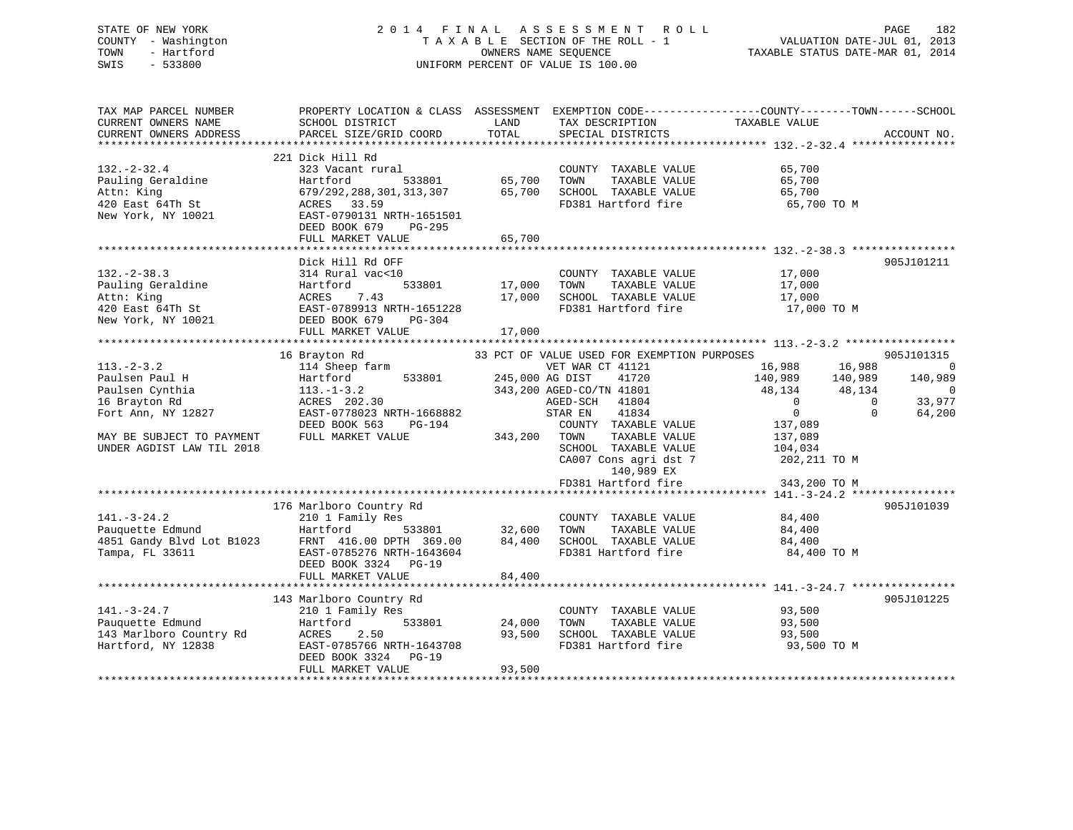## STATE OF NEW YORK 2 0 1 4 F I N A L A S S E S S M E N T R O L L PAGE 182 COUNTY - Washington T A X A B L E SECTION OF THE ROLL - 1 VALUATION DATE-JUL 01, 2013 TOWN - Hartford **TAXABLE STATUS DATE-MAR 01, 2014** OWNERS NAME SEQUENCE TAXABLE STATUS DATE-MAR 01, 2014 SWIS - 533800 UNIFORM PERCENT OF VALUE IS 100.00

| TAX MAP PARCEL NUMBER<br>CURRENT OWNERS NAME<br>CURRENT OWNERS ADDRESS                                                                             | PROPERTY LOCATION & CLASS ASSESSMENT<br>SCHOOL DISTRICT<br>PARCEL SIZE/GRID COORD                                                                                   | LAND<br>TOTAL              | TAX DESCRIPTION<br>SPECIAL DISTRICTS                                                                                                                                                                                                       | EXEMPTION CODE-----------------COUNTY-------TOWN------SCHOOL<br>TAXABLE VALUE                                                                                                        | ACCOUNT NO.                                        |
|----------------------------------------------------------------------------------------------------------------------------------------------------|---------------------------------------------------------------------------------------------------------------------------------------------------------------------|----------------------------|--------------------------------------------------------------------------------------------------------------------------------------------------------------------------------------------------------------------------------------------|--------------------------------------------------------------------------------------------------------------------------------------------------------------------------------------|----------------------------------------------------|
|                                                                                                                                                    |                                                                                                                                                                     |                            |                                                                                                                                                                                                                                            |                                                                                                                                                                                      |                                                    |
| $132. - 2 - 32.4$<br>Pauling Geraldine<br>Attn: King<br>420 East 64Th St                                                                           | 221 Dick Hill Rd<br>323 Vacant rural<br>Hartford<br>533801<br>679/292, 288, 301, 313, 307 65, 700<br>ACRES 33.59                                                    | 65,700                     | COUNTY TAXABLE VALUE 65,700<br>TOWN<br>TAXABLE VALUE<br>SCHOOL TAXABLE VALUE<br>FD381 Hartford TVALUE<br>FD381 Hartford fire                                                                                                               | 65,700<br>65,700<br>65,700 TO M                                                                                                                                                      |                                                    |
| New York, NY 10021                                                                                                                                 | EAST-0790131 NRTH-1651501<br>DEED BOOK 679<br>PG-295<br>FULL MARKET VALUE                                                                                           | 65,700                     |                                                                                                                                                                                                                                            |                                                                                                                                                                                      |                                                    |
|                                                                                                                                                    |                                                                                                                                                                     |                            |                                                                                                                                                                                                                                            |                                                                                                                                                                                      |                                                    |
| $132. - 2 - 38.3$<br>Pauling Geraldine<br>Attn: King<br>New York, NY 10021 DEED BOOK 679                                                           | Dick Hill Rd OFF<br>314 Rural vac<10<br>Hartford<br>7.43<br>ACRES<br>420 East 64Th St EAST-0789913 NRTH-1651228<br>PG-304                                           | 533801 17,000<br>17,000    | COUNTY TAXABLE VALUE<br>TOWN<br>SCHOOL TAXABLE VALUE<br>FD381 Hartford fire                                                                                                                                                                | 17,000<br>TAXABLE VALUE 17,000<br>17,000<br>17,000 TO M                                                                                                                              | 905J101211                                         |
|                                                                                                                                                    | FULL MARKET VALUE                                                                                                                                                   | 17,000                     |                                                                                                                                                                                                                                            |                                                                                                                                                                                      |                                                    |
|                                                                                                                                                    | 16 Brayton Rd                                                                                                                                                       |                            | 33 PCT OF VALUE USED FOR EXEMPTION PURPOSES                                                                                                                                                                                                |                                                                                                                                                                                      | 905J101315                                         |
| $113.-2-3.2$<br>Paulsen Paul H<br>Paulsen Cynthia<br>16 Brayton Rd<br>Fort Ann, NY 12827<br>MAY BE SUBJECT TO PAYMENT<br>UNDER AGDIST LAW TIL 2018 | 114 Sheep farm<br>533801<br>Hartford<br>$113. - 1 - 3.2$<br>ACRES 202.30<br>EAST-0778023 NRTH-1668882<br>DEED BOOK 563<br>$PG-194$<br>FULL MARKET VALUE             | 343,200 TOWN               | VET WAR CT 41121<br>245,000 AG DIST<br>41720<br>343,200 AGED-CO/TN 41801<br>AGED-SCH 41804<br>STAR EN 41834<br>COUNTY TAXABLE VALUE<br>TAXABLE VALUE<br>SCHOOL TAXABLE VALUE<br>CA007 Cons agri dst 7<br>140,989 EX<br>FD381 Hartford fire | 16,988 16,988<br>140,989 140,989<br>48,134 48,134<br>$\overline{0}$<br>$\overline{0}$<br>$\overline{0}$<br>$\Omega$<br>137,089<br>137,089<br>104,034<br>202,211 TO M<br>343,200 TO M | 0<br>140,989<br>$\overline{0}$<br>33,977<br>64,200 |
|                                                                                                                                                    |                                                                                                                                                                     |                            |                                                                                                                                                                                                                                            |                                                                                                                                                                                      |                                                    |
| $141. - 3 - 24.2$<br>141.-3-24.2<br>Pauquette Edmund<br>4851 Gandy Blvd Lot B1023<br>Tampa, FL 33611                                               | 176 Marlboro Country Rd<br>210 1 Family Res<br>Hartford<br>FRNT 416.00 DPTH 369.00 84,400<br>EAST-0785276 NRTH-1643604<br>DEED BOOK 3324 PG-19<br>FULL MARKET VALUE | 533801 32,600<br>84,400    | COUNTY TAXABLE VALUE<br>TAXABLE VALUE<br>TOWN<br>SCHOOL TAXABLE VALUE 84,400<br>FD381 Hartford fire                                                                                                                                        | 84,400<br>84,400<br>84,400 TO M                                                                                                                                                      | 905J101039                                         |
|                                                                                                                                                    |                                                                                                                                                                     |                            |                                                                                                                                                                                                                                            |                                                                                                                                                                                      |                                                    |
| $141. - 3 - 24.7$<br>Pauquette Edmund<br>143 Marlboro Country Rd<br>Hartford, NY 12838                                                             | 143 Marlboro Country Rd<br>210 1 Family Res<br>Hartford<br>533801<br>2.50<br>ACRES<br>EAST-0785766 NRTH-1643708<br>DEED BOOK 3324 PG-19<br>FULL MARKET VALUE        | 24,000<br>93,500<br>93,500 | COUNTY TAXABLE VALUE<br>TOWN<br>TAXABLE VALUE<br>SCHOOL TAXABLE VALUE<br>FD381 Hartford fire                                                                                                                                               | 93,500<br>93,500<br>93,500<br>93,500 TO M                                                                                                                                            | 905J101225                                         |
|                                                                                                                                                    |                                                                                                                                                                     |                            |                                                                                                                                                                                                                                            |                                                                                                                                                                                      |                                                    |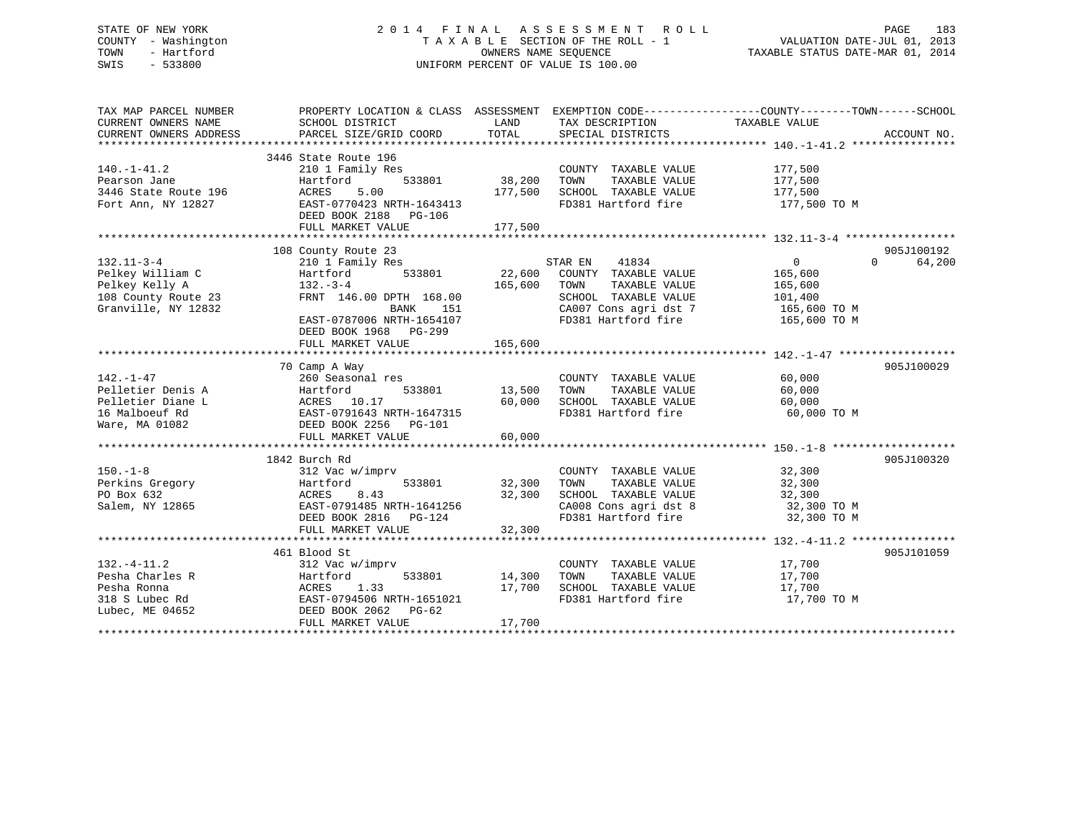## STATE OF NEW YORK 2 0 1 4 F I N A L A S S E S S M E N T R O L L PAGE 183 COUNTY - Washington T A X A B L E SECTION OF THE ROLL - 1 VALUATION DATE-JUL 01, 2013 TOWN - Hartford **TAXABLE STATUS DATE-MAR 01, 2014** OWNERS NAME SEQUENCE TAXABLE STATUS DATE-MAR 01, 2014 SWIS - 533800 UNIFORM PERCENT OF VALUE IS 100.00

| TOTAL<br>PARCEL SIZE/GRID COORD<br>SPECIAL DISTRICTS<br>ACCOUNT NO.<br>3446 State Route 196<br>$140. - 1 - 41.2$<br>210 1 Family Res<br>COUNTY TAXABLE VALUE<br>177,500<br>533801<br>38,200<br>TAXABLE VALUE<br>177,500<br>Pearson Jane<br>Hartford<br>TOWN<br>3446 State Route 196<br>5.00<br>177,500<br>SCHOOL TAXABLE VALUE<br>ACRES<br>177,500<br>EAST-0770423 NRTH-1643413<br>FD381 Hartford fire<br>Fort Ann, NY 12827<br>177,500 TO M<br>DEED BOOK 2188 PG-106<br>FULL MARKET VALUE<br>177,500<br>905J100192<br>108 County Route 23<br>41834<br>$\overline{0}$<br>210 1 Family Res<br>STAR EN<br>$\Omega$<br>64,200<br>533801<br>22,600<br>COUNTY TAXABLE VALUE<br>Hartford<br>165,600<br>$132 - 3 - 4$<br>165,600<br>TAXABLE VALUE<br>TOWN<br>165,600<br>108 County Route 23<br>FRNT 146.00 DPTH 168.00<br>SCHOOL TAXABLE VALUE<br>101,400<br>Granville, NY 12832<br>CA007 Cons agri dst 7<br>BANK<br>151<br>165,600 TO M<br>FD381 Hartford fire<br>EAST-0787006 NRTH-1654107<br>165,600 TO M<br>DEED BOOK 1968 PG-299<br>165,600<br>FULL MARKET VALUE<br>70 Camp A Way<br>905J100029<br>$142. - 1 - 47$<br>COUNTY TAXABLE VALUE<br>60,000<br>260 Seasonal res<br>13,500<br>Pelletier Denis A<br>Hartford<br>533801<br>TOWN<br>TAXABLE VALUE<br>60,000<br>Pelletier Diane L<br>ACRES 10.17<br>EAST-0791643 NRTH-1647315<br>60,000<br>SCHOOL TAXABLE VALUE<br>60,000<br>FD381 Hartford fire<br>16 Malboeuf Rd<br>60,000 TO M<br>Ware, MA 01082<br>DEED BOOK 2256    PG-101<br>FULL MARKET VALUE<br>60,000<br>1842 Burch Rd<br>905J100320<br>32,300<br>$150. - 1 - 8$<br>312 Vac w/imprv<br>COUNTY TAXABLE VALUE<br>Perkins Gregory<br>533801<br>32,300<br>TOWN<br>TAXABLE VALUE<br>32,300<br>Hartford<br>PO Box 632<br>8.43<br>32,300<br>SCHOOL TAXABLE VALUE<br>ACRES<br>32,300<br>Salem, NY 12865<br>EAST-0791485 NRTH-1641256<br>CA008 Cons agri dst 8<br>32,300 TO M<br>FD381 Hartford fire<br>DEED BOOK 2816<br>32,300 TO M<br>PG-124<br>32,300<br>FULL MARKET VALUE<br>905J101059<br>461 Blood St<br>$132. - 4 - 11.2$<br>17,700<br>312 Vac w/imprv<br>COUNTY TAXABLE VALUE<br>Pesha Charles R<br>533801<br>14,300<br>TOWN<br>TAXABLE VALUE<br>17,700<br>Hartford<br>SCHOOL TAXABLE VALUE<br>Pesha Ronna<br>ACRES 1.33<br>17,700<br>17,700<br>EAST-0794506 NRTH-1651021<br>318 S Lubec Rd<br>FD381 Hartford fire<br>17,700 TO M<br>Lubec, ME 04652<br>DEED BOOK 2062<br>$PG-62$<br>FULL MARKET VALUE<br>17,700 | TAX MAP PARCEL NUMBER<br>CURRENT OWNERS NAME | PROPERTY LOCATION & CLASS ASSESSMENT EXEMPTION CODE----------------COUNTY-------TOWN-----SCHOOL<br>SCHOOL DISTRICT | LAND | TAX DESCRIPTION | TAXABLE VALUE |  |
|-----------------------------------------------------------------------------------------------------------------------------------------------------------------------------------------------------------------------------------------------------------------------------------------------------------------------------------------------------------------------------------------------------------------------------------------------------------------------------------------------------------------------------------------------------------------------------------------------------------------------------------------------------------------------------------------------------------------------------------------------------------------------------------------------------------------------------------------------------------------------------------------------------------------------------------------------------------------------------------------------------------------------------------------------------------------------------------------------------------------------------------------------------------------------------------------------------------------------------------------------------------------------------------------------------------------------------------------------------------------------------------------------------------------------------------------------------------------------------------------------------------------------------------------------------------------------------------------------------------------------------------------------------------------------------------------------------------------------------------------------------------------------------------------------------------------------------------------------------------------------------------------------------------------------------------------------------------------------------------------------------------------------------------------------------------------------------------------------------------------------------------------------------------------------------------------------------------------------------------------------------------------------------------------------------------------------------------------------------------------------------------------------------------------------------|----------------------------------------------|--------------------------------------------------------------------------------------------------------------------|------|-----------------|---------------|--|
|                                                                                                                                                                                                                                                                                                                                                                                                                                                                                                                                                                                                                                                                                                                                                                                                                                                                                                                                                                                                                                                                                                                                                                                                                                                                                                                                                                                                                                                                                                                                                                                                                                                                                                                                                                                                                                                                                                                                                                                                                                                                                                                                                                                                                                                                                                                                                                                                                             | CURRENT OWNERS ADDRESS                       |                                                                                                                    |      |                 |               |  |
|                                                                                                                                                                                                                                                                                                                                                                                                                                                                                                                                                                                                                                                                                                                                                                                                                                                                                                                                                                                                                                                                                                                                                                                                                                                                                                                                                                                                                                                                                                                                                                                                                                                                                                                                                                                                                                                                                                                                                                                                                                                                                                                                                                                                                                                                                                                                                                                                                             |                                              |                                                                                                                    |      |                 |               |  |
|                                                                                                                                                                                                                                                                                                                                                                                                                                                                                                                                                                                                                                                                                                                                                                                                                                                                                                                                                                                                                                                                                                                                                                                                                                                                                                                                                                                                                                                                                                                                                                                                                                                                                                                                                                                                                                                                                                                                                                                                                                                                                                                                                                                                                                                                                                                                                                                                                             |                                              |                                                                                                                    |      |                 |               |  |
|                                                                                                                                                                                                                                                                                                                                                                                                                                                                                                                                                                                                                                                                                                                                                                                                                                                                                                                                                                                                                                                                                                                                                                                                                                                                                                                                                                                                                                                                                                                                                                                                                                                                                                                                                                                                                                                                                                                                                                                                                                                                                                                                                                                                                                                                                                                                                                                                                             |                                              |                                                                                                                    |      |                 |               |  |
|                                                                                                                                                                                                                                                                                                                                                                                                                                                                                                                                                                                                                                                                                                                                                                                                                                                                                                                                                                                                                                                                                                                                                                                                                                                                                                                                                                                                                                                                                                                                                                                                                                                                                                                                                                                                                                                                                                                                                                                                                                                                                                                                                                                                                                                                                                                                                                                                                             |                                              |                                                                                                                    |      |                 |               |  |
|                                                                                                                                                                                                                                                                                                                                                                                                                                                                                                                                                                                                                                                                                                                                                                                                                                                                                                                                                                                                                                                                                                                                                                                                                                                                                                                                                                                                                                                                                                                                                                                                                                                                                                                                                                                                                                                                                                                                                                                                                                                                                                                                                                                                                                                                                                                                                                                                                             |                                              |                                                                                                                    |      |                 |               |  |
|                                                                                                                                                                                                                                                                                                                                                                                                                                                                                                                                                                                                                                                                                                                                                                                                                                                                                                                                                                                                                                                                                                                                                                                                                                                                                                                                                                                                                                                                                                                                                                                                                                                                                                                                                                                                                                                                                                                                                                                                                                                                                                                                                                                                                                                                                                                                                                                                                             |                                              |                                                                                                                    |      |                 |               |  |
|                                                                                                                                                                                                                                                                                                                                                                                                                                                                                                                                                                                                                                                                                                                                                                                                                                                                                                                                                                                                                                                                                                                                                                                                                                                                                                                                                                                                                                                                                                                                                                                                                                                                                                                                                                                                                                                                                                                                                                                                                                                                                                                                                                                                                                                                                                                                                                                                                             |                                              |                                                                                                                    |      |                 |               |  |
|                                                                                                                                                                                                                                                                                                                                                                                                                                                                                                                                                                                                                                                                                                                                                                                                                                                                                                                                                                                                                                                                                                                                                                                                                                                                                                                                                                                                                                                                                                                                                                                                                                                                                                                                                                                                                                                                                                                                                                                                                                                                                                                                                                                                                                                                                                                                                                                                                             |                                              |                                                                                                                    |      |                 |               |  |
|                                                                                                                                                                                                                                                                                                                                                                                                                                                                                                                                                                                                                                                                                                                                                                                                                                                                                                                                                                                                                                                                                                                                                                                                                                                                                                                                                                                                                                                                                                                                                                                                                                                                                                                                                                                                                                                                                                                                                                                                                                                                                                                                                                                                                                                                                                                                                                                                                             |                                              |                                                                                                                    |      |                 |               |  |
|                                                                                                                                                                                                                                                                                                                                                                                                                                                                                                                                                                                                                                                                                                                                                                                                                                                                                                                                                                                                                                                                                                                                                                                                                                                                                                                                                                                                                                                                                                                                                                                                                                                                                                                                                                                                                                                                                                                                                                                                                                                                                                                                                                                                                                                                                                                                                                                                                             |                                              |                                                                                                                    |      |                 |               |  |
|                                                                                                                                                                                                                                                                                                                                                                                                                                                                                                                                                                                                                                                                                                                                                                                                                                                                                                                                                                                                                                                                                                                                                                                                                                                                                                                                                                                                                                                                                                                                                                                                                                                                                                                                                                                                                                                                                                                                                                                                                                                                                                                                                                                                                                                                                                                                                                                                                             | $132.11 - 3 - 4$                             |                                                                                                                    |      |                 |               |  |
|                                                                                                                                                                                                                                                                                                                                                                                                                                                                                                                                                                                                                                                                                                                                                                                                                                                                                                                                                                                                                                                                                                                                                                                                                                                                                                                                                                                                                                                                                                                                                                                                                                                                                                                                                                                                                                                                                                                                                                                                                                                                                                                                                                                                                                                                                                                                                                                                                             | Pelkey William C                             |                                                                                                                    |      |                 |               |  |
|                                                                                                                                                                                                                                                                                                                                                                                                                                                                                                                                                                                                                                                                                                                                                                                                                                                                                                                                                                                                                                                                                                                                                                                                                                                                                                                                                                                                                                                                                                                                                                                                                                                                                                                                                                                                                                                                                                                                                                                                                                                                                                                                                                                                                                                                                                                                                                                                                             | Pelkey Kelly A                               |                                                                                                                    |      |                 |               |  |
|                                                                                                                                                                                                                                                                                                                                                                                                                                                                                                                                                                                                                                                                                                                                                                                                                                                                                                                                                                                                                                                                                                                                                                                                                                                                                                                                                                                                                                                                                                                                                                                                                                                                                                                                                                                                                                                                                                                                                                                                                                                                                                                                                                                                                                                                                                                                                                                                                             |                                              |                                                                                                                    |      |                 |               |  |
|                                                                                                                                                                                                                                                                                                                                                                                                                                                                                                                                                                                                                                                                                                                                                                                                                                                                                                                                                                                                                                                                                                                                                                                                                                                                                                                                                                                                                                                                                                                                                                                                                                                                                                                                                                                                                                                                                                                                                                                                                                                                                                                                                                                                                                                                                                                                                                                                                             |                                              |                                                                                                                    |      |                 |               |  |
|                                                                                                                                                                                                                                                                                                                                                                                                                                                                                                                                                                                                                                                                                                                                                                                                                                                                                                                                                                                                                                                                                                                                                                                                                                                                                                                                                                                                                                                                                                                                                                                                                                                                                                                                                                                                                                                                                                                                                                                                                                                                                                                                                                                                                                                                                                                                                                                                                             |                                              |                                                                                                                    |      |                 |               |  |
|                                                                                                                                                                                                                                                                                                                                                                                                                                                                                                                                                                                                                                                                                                                                                                                                                                                                                                                                                                                                                                                                                                                                                                                                                                                                                                                                                                                                                                                                                                                                                                                                                                                                                                                                                                                                                                                                                                                                                                                                                                                                                                                                                                                                                                                                                                                                                                                                                             |                                              |                                                                                                                    |      |                 |               |  |
|                                                                                                                                                                                                                                                                                                                                                                                                                                                                                                                                                                                                                                                                                                                                                                                                                                                                                                                                                                                                                                                                                                                                                                                                                                                                                                                                                                                                                                                                                                                                                                                                                                                                                                                                                                                                                                                                                                                                                                                                                                                                                                                                                                                                                                                                                                                                                                                                                             |                                              |                                                                                                                    |      |                 |               |  |
|                                                                                                                                                                                                                                                                                                                                                                                                                                                                                                                                                                                                                                                                                                                                                                                                                                                                                                                                                                                                                                                                                                                                                                                                                                                                                                                                                                                                                                                                                                                                                                                                                                                                                                                                                                                                                                                                                                                                                                                                                                                                                                                                                                                                                                                                                                                                                                                                                             |                                              |                                                                                                                    |      |                 |               |  |
|                                                                                                                                                                                                                                                                                                                                                                                                                                                                                                                                                                                                                                                                                                                                                                                                                                                                                                                                                                                                                                                                                                                                                                                                                                                                                                                                                                                                                                                                                                                                                                                                                                                                                                                                                                                                                                                                                                                                                                                                                                                                                                                                                                                                                                                                                                                                                                                                                             |                                              |                                                                                                                    |      |                 |               |  |
|                                                                                                                                                                                                                                                                                                                                                                                                                                                                                                                                                                                                                                                                                                                                                                                                                                                                                                                                                                                                                                                                                                                                                                                                                                                                                                                                                                                                                                                                                                                                                                                                                                                                                                                                                                                                                                                                                                                                                                                                                                                                                                                                                                                                                                                                                                                                                                                                                             |                                              |                                                                                                                    |      |                 |               |  |
|                                                                                                                                                                                                                                                                                                                                                                                                                                                                                                                                                                                                                                                                                                                                                                                                                                                                                                                                                                                                                                                                                                                                                                                                                                                                                                                                                                                                                                                                                                                                                                                                                                                                                                                                                                                                                                                                                                                                                                                                                                                                                                                                                                                                                                                                                                                                                                                                                             |                                              |                                                                                                                    |      |                 |               |  |
|                                                                                                                                                                                                                                                                                                                                                                                                                                                                                                                                                                                                                                                                                                                                                                                                                                                                                                                                                                                                                                                                                                                                                                                                                                                                                                                                                                                                                                                                                                                                                                                                                                                                                                                                                                                                                                                                                                                                                                                                                                                                                                                                                                                                                                                                                                                                                                                                                             |                                              |                                                                                                                    |      |                 |               |  |
|                                                                                                                                                                                                                                                                                                                                                                                                                                                                                                                                                                                                                                                                                                                                                                                                                                                                                                                                                                                                                                                                                                                                                                                                                                                                                                                                                                                                                                                                                                                                                                                                                                                                                                                                                                                                                                                                                                                                                                                                                                                                                                                                                                                                                                                                                                                                                                                                                             |                                              |                                                                                                                    |      |                 |               |  |
|                                                                                                                                                                                                                                                                                                                                                                                                                                                                                                                                                                                                                                                                                                                                                                                                                                                                                                                                                                                                                                                                                                                                                                                                                                                                                                                                                                                                                                                                                                                                                                                                                                                                                                                                                                                                                                                                                                                                                                                                                                                                                                                                                                                                                                                                                                                                                                                                                             |                                              |                                                                                                                    |      |                 |               |  |
|                                                                                                                                                                                                                                                                                                                                                                                                                                                                                                                                                                                                                                                                                                                                                                                                                                                                                                                                                                                                                                                                                                                                                                                                                                                                                                                                                                                                                                                                                                                                                                                                                                                                                                                                                                                                                                                                                                                                                                                                                                                                                                                                                                                                                                                                                                                                                                                                                             |                                              |                                                                                                                    |      |                 |               |  |
|                                                                                                                                                                                                                                                                                                                                                                                                                                                                                                                                                                                                                                                                                                                                                                                                                                                                                                                                                                                                                                                                                                                                                                                                                                                                                                                                                                                                                                                                                                                                                                                                                                                                                                                                                                                                                                                                                                                                                                                                                                                                                                                                                                                                                                                                                                                                                                                                                             |                                              |                                                                                                                    |      |                 |               |  |
|                                                                                                                                                                                                                                                                                                                                                                                                                                                                                                                                                                                                                                                                                                                                                                                                                                                                                                                                                                                                                                                                                                                                                                                                                                                                                                                                                                                                                                                                                                                                                                                                                                                                                                                                                                                                                                                                                                                                                                                                                                                                                                                                                                                                                                                                                                                                                                                                                             |                                              |                                                                                                                    |      |                 |               |  |
|                                                                                                                                                                                                                                                                                                                                                                                                                                                                                                                                                                                                                                                                                                                                                                                                                                                                                                                                                                                                                                                                                                                                                                                                                                                                                                                                                                                                                                                                                                                                                                                                                                                                                                                                                                                                                                                                                                                                                                                                                                                                                                                                                                                                                                                                                                                                                                                                                             |                                              |                                                                                                                    |      |                 |               |  |
|                                                                                                                                                                                                                                                                                                                                                                                                                                                                                                                                                                                                                                                                                                                                                                                                                                                                                                                                                                                                                                                                                                                                                                                                                                                                                                                                                                                                                                                                                                                                                                                                                                                                                                                                                                                                                                                                                                                                                                                                                                                                                                                                                                                                                                                                                                                                                                                                                             |                                              |                                                                                                                    |      |                 |               |  |
|                                                                                                                                                                                                                                                                                                                                                                                                                                                                                                                                                                                                                                                                                                                                                                                                                                                                                                                                                                                                                                                                                                                                                                                                                                                                                                                                                                                                                                                                                                                                                                                                                                                                                                                                                                                                                                                                                                                                                                                                                                                                                                                                                                                                                                                                                                                                                                                                                             |                                              |                                                                                                                    |      |                 |               |  |
|                                                                                                                                                                                                                                                                                                                                                                                                                                                                                                                                                                                                                                                                                                                                                                                                                                                                                                                                                                                                                                                                                                                                                                                                                                                                                                                                                                                                                                                                                                                                                                                                                                                                                                                                                                                                                                                                                                                                                                                                                                                                                                                                                                                                                                                                                                                                                                                                                             |                                              |                                                                                                                    |      |                 |               |  |
|                                                                                                                                                                                                                                                                                                                                                                                                                                                                                                                                                                                                                                                                                                                                                                                                                                                                                                                                                                                                                                                                                                                                                                                                                                                                                                                                                                                                                                                                                                                                                                                                                                                                                                                                                                                                                                                                                                                                                                                                                                                                                                                                                                                                                                                                                                                                                                                                                             |                                              |                                                                                                                    |      |                 |               |  |
|                                                                                                                                                                                                                                                                                                                                                                                                                                                                                                                                                                                                                                                                                                                                                                                                                                                                                                                                                                                                                                                                                                                                                                                                                                                                                                                                                                                                                                                                                                                                                                                                                                                                                                                                                                                                                                                                                                                                                                                                                                                                                                                                                                                                                                                                                                                                                                                                                             |                                              |                                                                                                                    |      |                 |               |  |
|                                                                                                                                                                                                                                                                                                                                                                                                                                                                                                                                                                                                                                                                                                                                                                                                                                                                                                                                                                                                                                                                                                                                                                                                                                                                                                                                                                                                                                                                                                                                                                                                                                                                                                                                                                                                                                                                                                                                                                                                                                                                                                                                                                                                                                                                                                                                                                                                                             |                                              |                                                                                                                    |      |                 |               |  |
|                                                                                                                                                                                                                                                                                                                                                                                                                                                                                                                                                                                                                                                                                                                                                                                                                                                                                                                                                                                                                                                                                                                                                                                                                                                                                                                                                                                                                                                                                                                                                                                                                                                                                                                                                                                                                                                                                                                                                                                                                                                                                                                                                                                                                                                                                                                                                                                                                             |                                              |                                                                                                                    |      |                 |               |  |
|                                                                                                                                                                                                                                                                                                                                                                                                                                                                                                                                                                                                                                                                                                                                                                                                                                                                                                                                                                                                                                                                                                                                                                                                                                                                                                                                                                                                                                                                                                                                                                                                                                                                                                                                                                                                                                                                                                                                                                                                                                                                                                                                                                                                                                                                                                                                                                                                                             |                                              |                                                                                                                    |      |                 |               |  |
|                                                                                                                                                                                                                                                                                                                                                                                                                                                                                                                                                                                                                                                                                                                                                                                                                                                                                                                                                                                                                                                                                                                                                                                                                                                                                                                                                                                                                                                                                                                                                                                                                                                                                                                                                                                                                                                                                                                                                                                                                                                                                                                                                                                                                                                                                                                                                                                                                             |                                              |                                                                                                                    |      |                 |               |  |
|                                                                                                                                                                                                                                                                                                                                                                                                                                                                                                                                                                                                                                                                                                                                                                                                                                                                                                                                                                                                                                                                                                                                                                                                                                                                                                                                                                                                                                                                                                                                                                                                                                                                                                                                                                                                                                                                                                                                                                                                                                                                                                                                                                                                                                                                                                                                                                                                                             |                                              |                                                                                                                    |      |                 |               |  |
|                                                                                                                                                                                                                                                                                                                                                                                                                                                                                                                                                                                                                                                                                                                                                                                                                                                                                                                                                                                                                                                                                                                                                                                                                                                                                                                                                                                                                                                                                                                                                                                                                                                                                                                                                                                                                                                                                                                                                                                                                                                                                                                                                                                                                                                                                                                                                                                                                             |                                              |                                                                                                                    |      |                 |               |  |
|                                                                                                                                                                                                                                                                                                                                                                                                                                                                                                                                                                                                                                                                                                                                                                                                                                                                                                                                                                                                                                                                                                                                                                                                                                                                                                                                                                                                                                                                                                                                                                                                                                                                                                                                                                                                                                                                                                                                                                                                                                                                                                                                                                                                                                                                                                                                                                                                                             |                                              |                                                                                                                    |      |                 |               |  |
|                                                                                                                                                                                                                                                                                                                                                                                                                                                                                                                                                                                                                                                                                                                                                                                                                                                                                                                                                                                                                                                                                                                                                                                                                                                                                                                                                                                                                                                                                                                                                                                                                                                                                                                                                                                                                                                                                                                                                                                                                                                                                                                                                                                                                                                                                                                                                                                                                             |                                              |                                                                                                                    |      |                 |               |  |
|                                                                                                                                                                                                                                                                                                                                                                                                                                                                                                                                                                                                                                                                                                                                                                                                                                                                                                                                                                                                                                                                                                                                                                                                                                                                                                                                                                                                                                                                                                                                                                                                                                                                                                                                                                                                                                                                                                                                                                                                                                                                                                                                                                                                                                                                                                                                                                                                                             |                                              |                                                                                                                    |      |                 |               |  |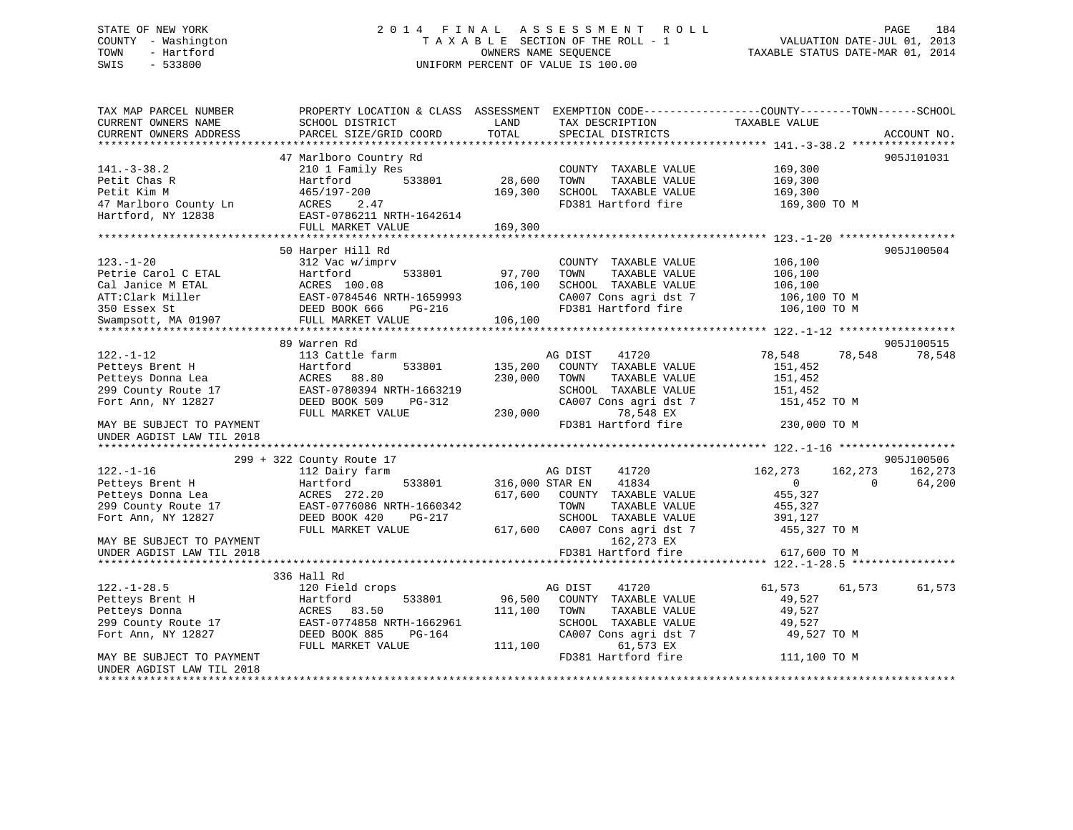## STATE OF NEW YORK 2 0 1 4 F I N A L A S S E S S M E N T R O L L PAGE 184 COUNTY - Washington T A X A B L E SECTION OF THE ROLL - 1 VALUATION DATE-JUL 01, 2013 TOWN - Hartford **TAXABLE STATUS DATE-MAR 01, 2014** OWNERS NAME SEQUENCE TAXABLE STATUS DATE-MAR 01, 2014 SWIS - 533800 UNIFORM PERCENT OF VALUE IS 100.00

| TAX MAP PARCEL NUMBER<br>CURRENT OWNERS NAME           | PROPERTY LOCATION & CLASS ASSESSMENT<br>SCHOOL DISTRICT | LAND            | TAX DESCRIPTION       | EXEMPTION CODE-----------------COUNTY-------TOWN------SCHOOL<br>TAXABLE VALUE |             |
|--------------------------------------------------------|---------------------------------------------------------|-----------------|-----------------------|-------------------------------------------------------------------------------|-------------|
| CURRENT OWNERS ADDRESS                                 | PARCEL SIZE/GRID COORD                                  | TOTAL           | SPECIAL DISTRICTS     |                                                                               | ACCOUNT NO. |
|                                                        | 47 Marlboro Country Rd                                  |                 |                       |                                                                               | 905J101031  |
| $141. - 3 - 38.2$                                      | 210 1 Family Res                                        |                 | COUNTY TAXABLE VALUE  | 169,300                                                                       |             |
| Petit Chas R                                           | 533801<br>Hartford                                      | 28,600          | TOWN<br>TAXABLE VALUE | 169,300                                                                       |             |
| Petit Kim M                                            | 465/197-200                                             | 169,300         | SCHOOL TAXABLE VALUE  | 169,300                                                                       |             |
| 47 Marlboro County Ln                                  | ACRES<br>2.47                                           |                 | FD381 Hartford fire   | 169,300 TO M                                                                  |             |
| Hartford, NY 12838                                     | EAST-0786211 NRTH-1642614                               |                 |                       |                                                                               |             |
|                                                        | FULL MARKET VALUE                                       | 169,300         |                       |                                                                               |             |
|                                                        |                                                         |                 |                       |                                                                               |             |
|                                                        | 50 Harper Hill Rd                                       |                 |                       |                                                                               | 905J100504  |
| $123. - 1 - 20$                                        | 312 Vac w/imprv                                         |                 | COUNTY TAXABLE VALUE  | 106,100                                                                       |             |
| Petrie Carol C ETAL                                    | 533801<br>Hartford                                      | 97,700          | TOWN<br>TAXABLE VALUE | 106,100                                                                       |             |
| Cal Janice M ETAL                                      | ACRES 100.08                                            | 106,100         | SCHOOL TAXABLE VALUE  | 106,100                                                                       |             |
| ATT:Clark Miller                                       | EAST-0784546 NRTH-1659993                               |                 | CA007 Cons agri dst 7 | 106,100 то м                                                                  |             |
| 350 Essex St                                           | DEED BOOK 666<br>PG-216                                 |                 | FD381 Hartford fire   | 106,100 TO M                                                                  |             |
| Swampsott, MA 01907                                    | FULL MARKET VALUE                                       | 106,100         |                       |                                                                               |             |
|                                                        | 89 Warren Rd                                            |                 |                       |                                                                               | 905J100515  |
| $122. - 1 - 12$                                        | 113 Cattle farm                                         |                 | 41720<br>AG DIST      | 78,548<br>78,548                                                              | 78,548      |
| Petteys Brent H                                        | 533801<br>Hartford                                      | 135,200         | COUNTY TAXABLE VALUE  | 151,452                                                                       |             |
| Petteys Donna Lea                                      | ACRES<br>88.80                                          | 230,000         | TOWN<br>TAXABLE VALUE | 151,452                                                                       |             |
| 299 County Route 17                                    | EAST-0780394 NRTH-1663219                               |                 | SCHOOL TAXABLE VALUE  | 151,452                                                                       |             |
| Fort Ann, NY 12827                                     | DEED BOOK 509<br>$PG-312$                               |                 | CA007 Cons agri dst 7 | 151,452 TO M                                                                  |             |
|                                                        | FULL MARKET VALUE                                       | 230,000         | 78,548 EX             |                                                                               |             |
| MAY BE SUBJECT TO PAYMENT<br>UNDER AGDIST LAW TIL 2018 |                                                         |                 | FD381 Hartford fire   | 230,000 TO M                                                                  |             |
|                                                        |                                                         |                 |                       |                                                                               |             |
|                                                        | 299 + 322 County Route 17                               |                 |                       |                                                                               | 905J100506  |
| $122. - 1 - 16$                                        | 112 Dairy farm                                          |                 | 41720<br>AG DIST      | 162,273<br>162,273                                                            | 162,273     |
| Petteys Brent H                                        | 533801<br>Hartford                                      | 316,000 STAR EN | 41834                 | $\Omega$<br>$\Omega$                                                          | 64,200      |
| Petteys Donna Lea                                      | ACRES 272.20                                            | 617,600         | COUNTY TAXABLE VALUE  | 455,327                                                                       |             |
| 299 County Route 17                                    | EAST-0776086 NRTH-1660342                               |                 | TOWN<br>TAXABLE VALUE | 455,327                                                                       |             |
| Fort Ann, NY 12827                                     | DEED BOOK 420<br>$PG-217$                               |                 | SCHOOL TAXABLE VALUE  | 391,127                                                                       |             |
|                                                        | FULL MARKET VALUE                                       | 617,600         | CA007 Cons agri dst 7 | 455,327 TO M                                                                  |             |
| MAY BE SUBJECT TO PAYMENT                              |                                                         |                 | 162,273 EX            |                                                                               |             |
| UNDER AGDIST LAW TIL 2018                              |                                                         |                 | FD381 Hartford fire   | 617,600 TO M                                                                  |             |
|                                                        | 336 Hall Rd                                             |                 |                       |                                                                               |             |
| $122. - 1 - 28.5$                                      | 120 Field crops                                         |                 | AG DIST<br>41720      | 61,573<br>61,573                                                              | 61,573      |
| Petteys Brent H                                        | 533801<br>Hartford                                      | 96,500          | COUNTY TAXABLE VALUE  | 49,527                                                                        |             |
| Petteys Donna                                          | ACRES 83.50                                             | 111,100         | TOWN<br>TAXABLE VALUE | 49,527                                                                        |             |
| 299 County Route 17                                    | EAST-0774858 NRTH-1662961                               |                 | SCHOOL TAXABLE VALUE  | 49,527                                                                        |             |
| Fort Ann, NY 12827                                     | DEED BOOK 885<br>$PG-164$                               |                 | CA007 Cons agri dst 7 | 49,527 TO M                                                                   |             |
|                                                        | FULL MARKET VALUE                                       | 111,100         | 61,573 EX             |                                                                               |             |
| MAY BE SUBJECT TO PAYMENT                              |                                                         |                 | FD381 Hartford fire   | 111,100 TO M                                                                  |             |
| UNDER AGDIST LAW TIL 2018                              |                                                         |                 |                       |                                                                               |             |
|                                                        | ******************************                          |                 |                       |                                                                               |             |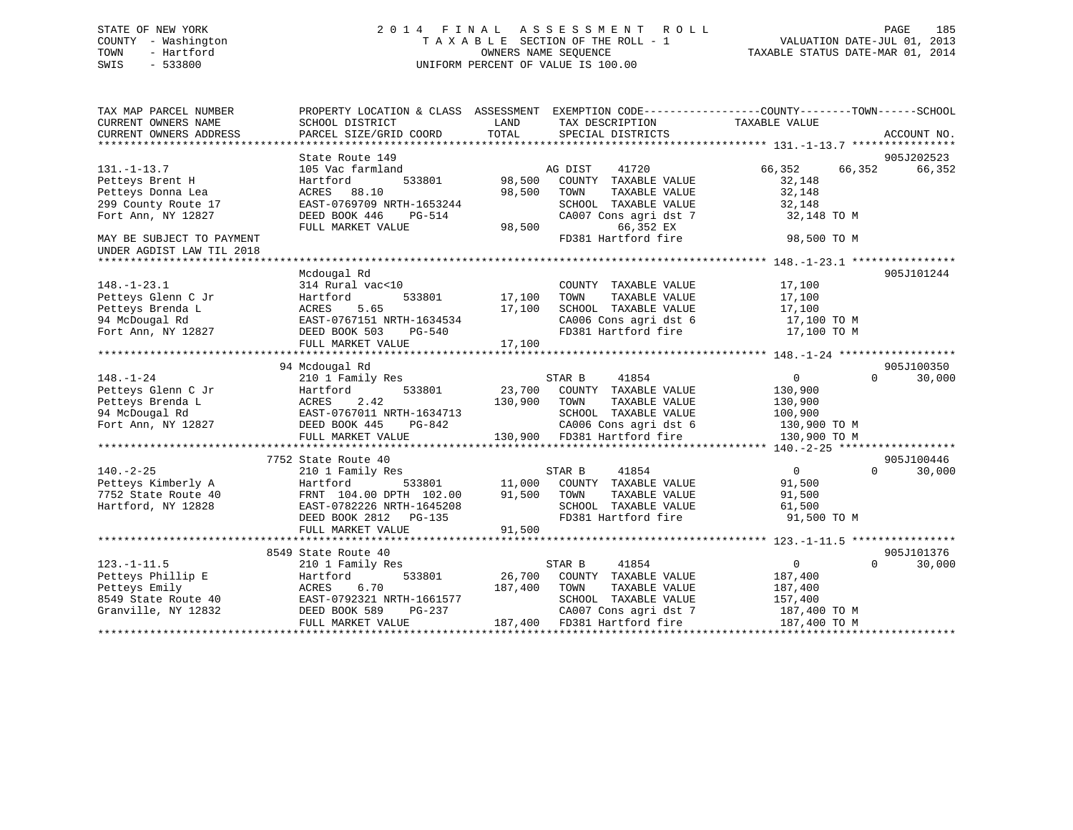## STATE OF NEW YORK 2 0 1 4 F I N A L A S S E S S M E N T R O L L PAGE 185 COUNTY - Washington T A X A B L E SECTION OF THE ROLL - 1 VALUATION DATE-JUL 01, 2013 TOWN - Hartford **TAXABLE STATUS DATE-MAR 01, 2014** OWNERS NAME SEQUENCE TAXABLE STATUS DATE-MAR 01, 2014 SWIS - 533800 UNIFORM PERCENT OF VALUE IS 100.00

| TAX MAP PARCEL NUMBER<br>CURRENT OWNERS NAME<br>CURRENT OWNERS ADDRESS | PROPERTY LOCATION & CLASS ASSESSMENT<br>SCHOOL DISTRICT<br>PARCEL SIZE/GRID COORD | LAND<br>TOTAL | EXEMPTION CODE-----------------COUNTY-------TOWN------SCHOOL<br>TAX DESCRIPTION<br>SPECIAL DISTRICTS | TAXABLE VALUE    | ACCOUNT NO.        |
|------------------------------------------------------------------------|-----------------------------------------------------------------------------------|---------------|------------------------------------------------------------------------------------------------------|------------------|--------------------|
|                                                                        |                                                                                   |               |                                                                                                      |                  |                    |
|                                                                        | State Route 149                                                                   |               |                                                                                                      |                  | 905J202523         |
| $131. - 1 - 13.7$                                                      | 105 Vac farmland                                                                  |               | 41720<br>AG DIST                                                                                     | 66,352<br>66,352 | 66,352             |
| Petteys Brent H                                                        | 533801<br>Hartford                                                                | 98,500        | COUNTY TAXABLE VALUE                                                                                 | 32,148           |                    |
| Petteys Donna Lea                                                      | ACRES 88.10                                                                       | 98,500        | TOWN<br>TAXABLE VALUE                                                                                | 32,148           |                    |
| 299 County Route 17                                                    | EAST-0769709 NRTH-1653244                                                         |               | SCHOOL TAXABLE VALUE                                                                                 | 32,148           |                    |
| Fort Ann, NY 12827                                                     | DEED BOOK 446<br>PG-514                                                           |               | CA007 Cons agri dst 7                                                                                | 32,148 TO M      |                    |
|                                                                        | FULL MARKET VALUE                                                                 | 98,500        | 66,352 EX                                                                                            |                  |                    |
| MAY BE SUBJECT TO PAYMENT                                              |                                                                                   |               | FD381 Hartford fire                                                                                  | 98,500 TO M      |                    |
| UNDER AGDIST LAW TIL 2018                                              |                                                                                   |               |                                                                                                      |                  |                    |
|                                                                        | Mcdougal Rd                                                                       |               |                                                                                                      |                  | 905J101244         |
| $148. - 1 - 23.1$                                                      | 314 Rural vac<10                                                                  |               | COUNTY TAXABLE VALUE                                                                                 | 17,100           |                    |
| Petteys Glenn C Jr                                                     | 533801<br>Hartford                                                                | 17,100        | TOWN<br>TAXABLE VALUE                                                                                | 17,100           |                    |
| Petteys Brenda L                                                       | 5.65<br>ACRES                                                                     | 17,100        | SCHOOL TAXABLE VALUE                                                                                 | 17,100           |                    |
| 94 McDougal Rd                                                         | EAST-0767151 NRTH-1634534                                                         |               | CA006 Cons agri dst 6                                                                                | 17,100 TO M      |                    |
| Fort Ann, NY 12827                                                     | DEED BOOK 503<br>PG-540                                                           |               | FD381 Hartford fire                                                                                  | 17,100 TO M      |                    |
|                                                                        | FULL MARKET VALUE                                                                 | 17,100        |                                                                                                      |                  |                    |
|                                                                        |                                                                                   |               |                                                                                                      |                  |                    |
|                                                                        | 94 Mcdougal Rd                                                                    |               |                                                                                                      |                  | 905J100350         |
| $148. - 1 - 24$                                                        | 210 1 Family Res                                                                  |               | 41854<br>STAR B                                                                                      | 0                | 30,000<br>$\Omega$ |
| Petteys Glenn C Jr                                                     | 533801<br>Hartford                                                                | 23,700        | COUNTY TAXABLE VALUE                                                                                 | 130,900          |                    |
| Petteys Brenda L                                                       | 2.42<br>ACRES                                                                     | 130,900       | TOWN<br>TAXABLE VALUE                                                                                | 130,900          |                    |
| 94 McDougal Rd                                                         | EAST-0767011 NRTH-1634713                                                         |               | SCHOOL TAXABLE VALUE                                                                                 | 100,900          |                    |
| Fort Ann, NY 12827                                                     | DEED BOOK 445<br>PG-842                                                           |               | CA006 Cons agri dst 6                                                                                | 130,900 TO M     |                    |
|                                                                        | FULL MARKET VALUE                                                                 |               | 130,900 FD381 Hartford fire                                                                          | 130,900 TO M     |                    |
|                                                                        |                                                                                   |               |                                                                                                      |                  |                    |
|                                                                        | 7752 State Route 40                                                               |               |                                                                                                      |                  | 905J100446         |
| $140. - 2 - 25$                                                        | 210 1 Family Res                                                                  |               | STAR B<br>41854                                                                                      | $\overline{0}$   | 30,000<br>$\Omega$ |
| Petteys Kimberly A                                                     | 533801<br>Hartford                                                                | 11,000        | COUNTY TAXABLE VALUE                                                                                 | 91,500           |                    |
| 7752 State Route 40                                                    | FRNT 104.00 DPTH 102.00                                                           | 91,500        | TAXABLE VALUE<br>TOWN                                                                                | 91,500           |                    |
| Hartford, NY 12828                                                     | EAST-0782226 NRTH-1645208                                                         |               | SCHOOL TAXABLE VALUE                                                                                 | 61,500           |                    |
|                                                                        | DEED BOOK 2812 PG-135                                                             |               | FD381 Hartford fire                                                                                  | 91,500 TO M      |                    |
|                                                                        | FULL MARKET VALUE                                                                 | 91,500        |                                                                                                      |                  |                    |
|                                                                        |                                                                                   |               |                                                                                                      |                  |                    |
|                                                                        | 8549 State Route 40                                                               |               |                                                                                                      |                  | 905J101376         |
| $123. - 1 - 11.5$                                                      | 210 1 Family Res                                                                  |               | 41854<br>STAR B                                                                                      | $\Omega$         | 30,000<br>$\Omega$ |
| Petteys Phillip E                                                      | 533801<br>Hartford                                                                | 26,700        | COUNTY TAXABLE VALUE                                                                                 | 187,400          |                    |
| Petteys Emily                                                          | 6.70<br>ACRES                                                                     | 187,400       | TAXABLE VALUE<br>TOWN                                                                                | 187,400          |                    |
| 8549 State Route 40                                                    | EAST-0792321 NRTH-1661577                                                         |               | SCHOOL TAXABLE VALUE                                                                                 | 157,400          |                    |
| Granville, NY 12832                                                    | PG-237<br>DEED BOOK 589                                                           |               | CA007 Cons agri dst 7                                                                                | 187,400 TO M     |                    |
|                                                                        | FULL MARKET VALUE                                                                 | 187,400       | FD381 Hartford fire                                                                                  | 187,400 TO M     |                    |
|                                                                        |                                                                                   |               |                                                                                                      |                  |                    |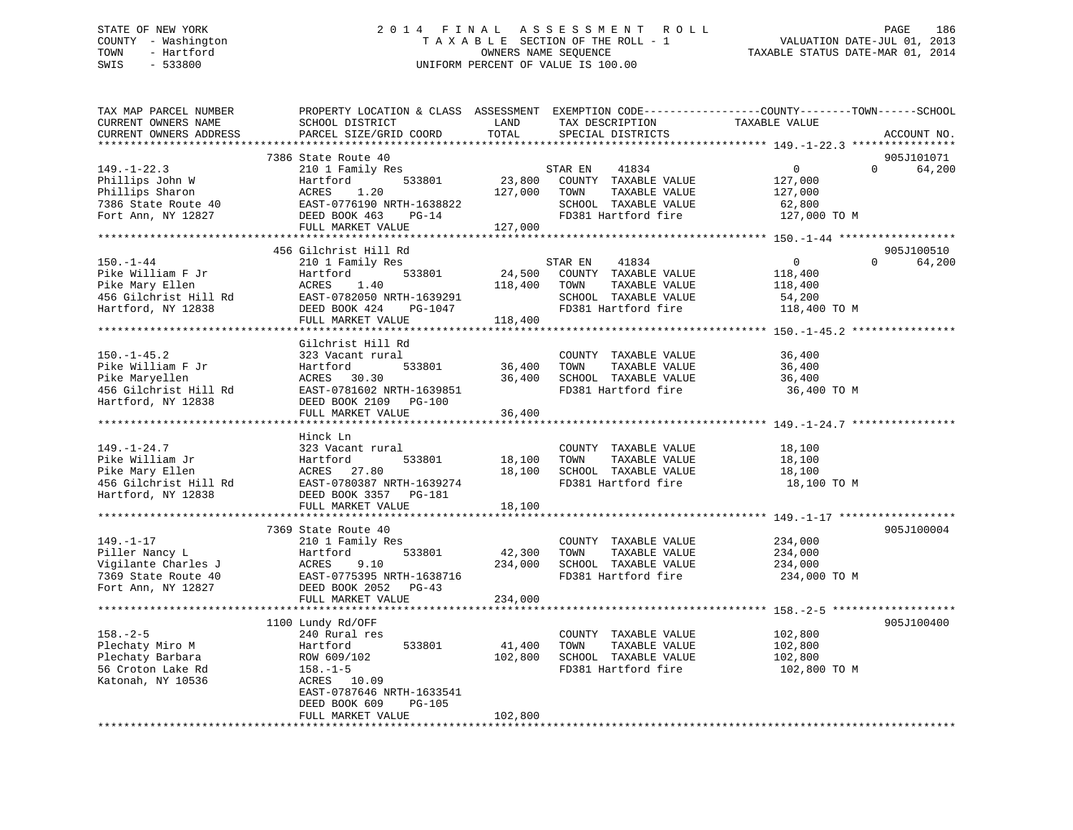## STATE OF NEW YORK 2 0 1 4 F I N A L A S S E S S M E N T R O L L PAGE 186 COUNTY - Washington T A X A B L E SECTION OF THE ROLL - 1 VALUATION DATE-JUL 01, 2013 TOWN - Hartford **TAXABLE STATUS DATE-MAR 01, 2014** OWNERS NAME SEQUENCE TAXABLE STATUS DATE-MAR 01, 2014 SWIS - 533800 UNIFORM PERCENT OF VALUE IS 100.00

| TAX MAP PARCEL NUMBER<br>CURRENT OWNERS NAME<br>CURRENT OWNERS ADDRESS                                                             | PROPERTY LOCATION & CLASS ASSESSMENT EXEMPTION CODE----------------COUNTY-------TOWN------SCHOOL<br>SCHOOL DISTRICT<br>PARCEL SIZE/GRID COORD               | LAND<br>TOTAL                | TAX DESCRIPTION<br>SPECIAL DISTRICTS                                                                                    | TAXABLE VALUE                                                        | ACCOUNT NO.                      |
|------------------------------------------------------------------------------------------------------------------------------------|-------------------------------------------------------------------------------------------------------------------------------------------------------------|------------------------------|-------------------------------------------------------------------------------------------------------------------------|----------------------------------------------------------------------|----------------------------------|
|                                                                                                                                    |                                                                                                                                                             |                              |                                                                                                                         |                                                                      |                                  |
| $149. - 1 - 22.3$<br>Phillips John W<br>Phillips Sharon<br>7386 State Route 40<br>Fort Ann, NY 12827                               | 7386 State Route 40<br>210 1 Family Res<br>533801<br>Hartford<br>1.20<br>ACRES<br>EAST-0776190 NRTH-1638822<br>DEED BOOK 463<br>$PG-14$                     | 127,000                      | 41834<br>STAR EN<br>23,800 COUNTY TAXABLE VALUE<br>TOWN<br>TAXABLE VALUE<br>SCHOOL TAXABLE VALUE<br>FD381 Hartford fire | $\Omega$<br>$\Omega$<br>127,000<br>127,000<br>62,800<br>127,000 TO M | 905J101071<br>64,200             |
|                                                                                                                                    | FULL MARKET VALUE                                                                                                                                           | 127,000                      |                                                                                                                         |                                                                      |                                  |
|                                                                                                                                    |                                                                                                                                                             |                              |                                                                                                                         |                                                                      |                                  |
| $150. - 1 - 44$<br>Pike William F Jr<br>Pike Mary Ellen<br>456 Gilchrist Hill Rd<br>Hartford, NY 12838                             | 456 Gilchrist Hill Rd<br>210 1 Family Res<br>533801<br>Hartford<br>ACRES 1.40<br>EAST-0782050 NRTH-1639291<br>DEED BOOK 424<br>PG-1047                      | 24,500<br>118,400            | 41834<br>STAR EN<br>COUNTY TAXABLE VALUE<br>TOWN<br>TAXABLE VALUE<br>SCHOOL TAXABLE VALUE<br>FD381 Hartford fire        | 0<br>118,400<br>118,400<br>54,200<br>118,400 TO M                    | 905J100510<br>$\Omega$<br>64,200 |
|                                                                                                                                    | FULL MARKET VALUE                                                                                                                                           | 118,400                      |                                                                                                                         |                                                                      |                                  |
| $150. - 1 - 45.2$<br>Pike William F Jr<br>Pike Maryellen<br>456 Gilchrist Hill Rd<br>Hartford, NY 12838                            | Gilchrist Hill Rd<br>323 Vacant rural<br>533801<br>Hartford<br>ACRES 30.30<br>EAST-0781602 NRTH-1639851<br>DEED BOOK 2109 PG-100<br>FULL MARKET VALUE       | 36,400<br>36,400<br>36,400   | COUNTY TAXABLE VALUE<br>TOWN<br>TAXABLE VALUE<br>SCHOOL TAXABLE VALUE<br>FD381 Hartford fire                            | 36,400<br>36,400<br>36,400<br>36,400 TO M                            |                                  |
|                                                                                                                                    |                                                                                                                                                             |                              |                                                                                                                         |                                                                      |                                  |
| $149. - 1 - 24.7$<br>Pike William Jr<br>Pike Mary Ellen<br>Albertaly Ellen<br>456 Gilchrist Hill Rd<br>Westf<br>Hartford, NY 12838 | Hinck Ln<br>323 Vacant rural<br>Hartford<br>533801<br>ACRES 27.80<br>EAST-0780387 NRTH-1639274<br>DEED BOOK 3357 PG-181                                     | 18,100<br>18,100             | COUNTY TAXABLE VALUE<br>TOWN<br>TAXABLE VALUE<br>SCHOOL TAXABLE VALUE<br>FD381 Hartford fire                            | 18,100<br>18,100<br>18,100<br>18,100 TO M                            |                                  |
|                                                                                                                                    | FULL MARKET VALUE                                                                                                                                           | 18,100                       |                                                                                                                         |                                                                      |                                  |
| $149. - 1 - 17$<br>Piller Nancy L<br>Vigilante Charles J<br>7369 State Route 40<br>Fort Ann, NY 12827                              | 7369 State Route 40<br>210 1 Family Res<br>533801<br>Hartford<br>ACRES<br>9.10<br>EAST-0775395 NRTH-1638716<br>DEED BOOK 2052<br>PG-43<br>FULL MARKET VALUE | 42,300<br>234,000<br>234,000 | COUNTY TAXABLE VALUE<br>TOWN<br>TAXABLE VALUE<br>SCHOOL TAXABLE VALUE<br>FD381 Hartford fire                            | 234,000<br>234,000<br>234,000<br>234,000 TO M                        | 905J100004                       |
|                                                                                                                                    |                                                                                                                                                             |                              |                                                                                                                         |                                                                      |                                  |
| $158. - 2 - 5$<br>Plechaty Miro M<br>Plechaty Barbara<br>56 Croton Lake Rd<br>Katonah, NY 10536                                    | 1100 Lundy Rd/OFF<br>240 Rural res<br>533801<br>Hartford<br>ROW 609/102<br>$158. - 1 - 5$<br>ACRES 10.09<br>EAST-0787646 NRTH-1633541                       | 41,400<br>102,800            | COUNTY TAXABLE VALUE<br>TOWN<br>TAXABLE VALUE<br>SCHOOL TAXABLE VALUE<br>FD381 Hartford fire                            | 102,800<br>102,800<br>102,800<br>102,800 TO M                        | 905J100400                       |
|                                                                                                                                    | DEED BOOK 609<br><b>PG-105</b><br>FULL MARKET VALUE                                                                                                         | 102,800                      |                                                                                                                         |                                                                      |                                  |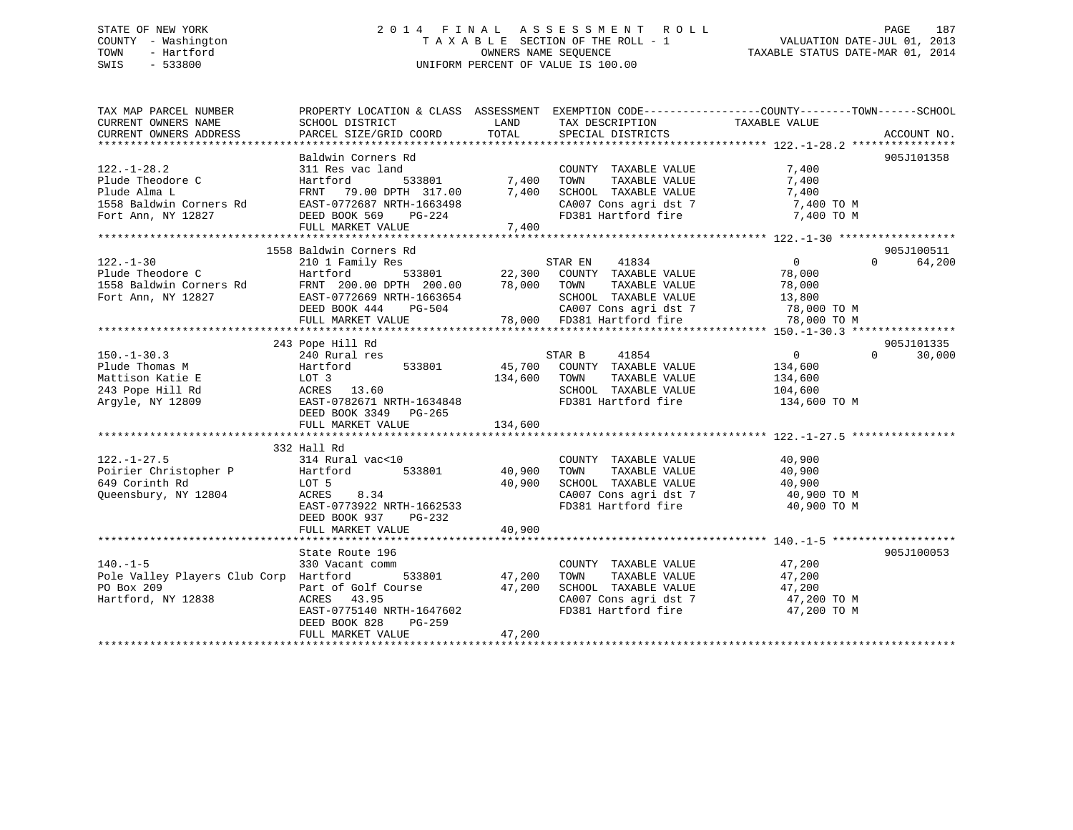## STATE OF NEW YORK 2 0 1 4 F I N A L A S S E S S M E N T R O L L PAGE 187 COUNTY - Washington T A X A B L E SECTION OF THE ROLL - 1 VALUATION DATE-JUL 01, 2013 TOWN - Hartford **TAXABLE STATUS DATE-MAR 01, 2014** OWNERS NAME SEQUENCE TAXABLE STATUS DATE-MAR 01, 2014 SWIS - 533800 UNIFORM PERCENT OF VALUE IS 100.00

| TAX MAP PARCEL NUMBER                                                                           | PROPERTY LOCATION & CLASS ASSESSMENT EXEMPTION CODE---------------COUNTY-------TOWN-----SCHOOL        |                   |                                                                             |                                                                                                                                                                                                                                |                    |
|-------------------------------------------------------------------------------------------------|-------------------------------------------------------------------------------------------------------|-------------------|-----------------------------------------------------------------------------|--------------------------------------------------------------------------------------------------------------------------------------------------------------------------------------------------------------------------------|--------------------|
| CURRENT OWNERS NAME                                                                             | SCHOOL DISTRICT                                                                                       | LAND              | TAX DESCRIPTION                                                             | TAXABLE VALUE                                                                                                                                                                                                                  |                    |
| CURRENT OWNERS ADDRESS                                                                          | PARCEL SIZE/GRID COORD                                                                                | TOTAL             | SPECIAL DISTRICTS                                                           |                                                                                                                                                                                                                                | ACCOUNT NO.        |
|                                                                                                 |                                                                                                       |                   |                                                                             |                                                                                                                                                                                                                                |                    |
|                                                                                                 | Baldwin Corners Rd                                                                                    |                   |                                                                             |                                                                                                                                                                                                                                | 905J101358         |
| $122. - 1 - 28.2$                                                                               | 311 Res vac land                                                                                      |                   | COUNTY TAXABLE VALUE                                                        | 7,400                                                                                                                                                                                                                          |                    |
| Plude Theodore C                                                                                | Hartford                                                                                              | -<br>533801 7,400 | TOWN<br>TAXABLE VALUE                                                       | 7,400                                                                                                                                                                                                                          |                    |
| Plude Alma L                                                                                    | FRNT 79.00 DPTH 317.00<br>FRNT 79.00 DPTH 317.00<br>EAST-0772687 NRTH-1663498<br>DEED BOOK 569 PG-224 | 7,400             | SCHOOL TAXABLE VALUE                                                        | 7,400                                                                                                                                                                                                                          |                    |
| 1558 Baldwin Corners Rd                                                                         |                                                                                                       |                   |                                                                             | $\begin{array}{lllllll} \texttt{CA007} & \texttt{Cons}\ \texttt{agri}\ \texttt{dst}\ 7 & & & \texttt{7,400}\ \texttt{FD381}\ \texttt{Hartford}\ \texttt{fire} & & & \texttt{7,400}\ \texttt{TO}\ \texttt{M} & & & \end{array}$ |                    |
| Fort Ann, NY 12827                                                                              | DEED BOOK 569 PG-224                                                                                  |                   |                                                                             |                                                                                                                                                                                                                                |                    |
|                                                                                                 | FULL MARKET VALUE                                                                                     | 7,400             |                                                                             |                                                                                                                                                                                                                                |                    |
|                                                                                                 |                                                                                                       |                   |                                                                             |                                                                                                                                                                                                                                |                    |
|                                                                                                 | 1558 Baldwin Corners Rd                                                                               |                   |                                                                             |                                                                                                                                                                                                                                | 905J100511         |
| $122. - 1 - 30$                                                                                 | 210 1 Family Res                                                                                      |                   | STAR EN 41834                                                               | $\overline{0}$                                                                                                                                                                                                                 | 64,200<br>$\Omega$ |
| Plude Theodore C                                                                                | Hartford                                                                                              |                   | 533801 22,300 COUNTY TAXABLE VALUE 78,000                                   |                                                                                                                                                                                                                                |                    |
|                                                                                                 |                                                                                                       | 78,000 TOWN       | TAXABLE VALUE                                                               | 78,000                                                                                                                                                                                                                         |                    |
| 1558 Baldwin Corners Rd FRNT 200.00 DPTH 200.00<br>Fort Ann, NY 12827 EAST-0772669 NRTH-1663654 |                                                                                                       |                   | SCHOOL TAXABLE VALUE                                                        | 13,800                                                                                                                                                                                                                         |                    |
|                                                                                                 | DEED BOOK 444<br>PG-504                                                                               |                   |                                                                             |                                                                                                                                                                                                                                |                    |
|                                                                                                 | FULL MARKET VALUE                                                                                     | 78,000            | CA007 Cons agri dst 7 78,000 TO M<br>78,000 FD381 Hartford fire 78,000 TO M |                                                                                                                                                                                                                                |                    |
|                                                                                                 |                                                                                                       |                   |                                                                             |                                                                                                                                                                                                                                |                    |
|                                                                                                 | 243 Pope Hill Rd                                                                                      |                   |                                                                             |                                                                                                                                                                                                                                | 905J101335         |
| $150. - 1 - 30.3$                                                                               | 240 Rural res                                                                                         |                   | STAR B<br>41854                                                             | $\overline{0}$<br>$\Omega$                                                                                                                                                                                                     | 30,000             |
|                                                                                                 |                                                                                                       |                   |                                                                             |                                                                                                                                                                                                                                |                    |
| Plude Thomas M                                                                                  |                                                                                                       |                   | 45,700 COUNTY TAXABLE VALUE                                                 | 134,600                                                                                                                                                                                                                        |                    |
| Mattison Katie E                                                                                |                                                                                                       | 134,600           | TOWN<br>TAXABLE VALUE                                                       | 134,600                                                                                                                                                                                                                        |                    |
| 243 Pope Hill Rd                                                                                |                                                                                                       |                   | SCHOOL TAXABLE VALUE 104,600                                                |                                                                                                                                                                                                                                |                    |
| Argyle, NY 12809                                                                                | Hartford 533801<br>LOT 3<br>ACRES 13.60<br>EAST-0782671 NRTH-1634848<br>DEED BOOK 3349 PG-265         |                   | FD381 Hartford fire                                                         | 134,600 TO M                                                                                                                                                                                                                   |                    |
|                                                                                                 |                                                                                                       |                   |                                                                             |                                                                                                                                                                                                                                |                    |
|                                                                                                 | FULL MARKET VALUE                                                                                     | 134,600           |                                                                             |                                                                                                                                                                                                                                |                    |
|                                                                                                 |                                                                                                       |                   |                                                                             |                                                                                                                                                                                                                                |                    |
|                                                                                                 | 332 Hall Rd                                                                                           |                   |                                                                             |                                                                                                                                                                                                                                |                    |
| $122. - 1 - 27.5$                                                                               | 314 Rural vac<10                                                                                      |                   | COUNTY TAXABLE VALUE                                                        | 40,900                                                                                                                                                                                                                         |                    |
| Poirier Christopher P Hartford                                                                  |                                                                                                       | 533801 40,900     | TAXABLE VALUE<br>TOWN                                                       | 40,900                                                                                                                                                                                                                         |                    |
| 649 Corinth Rd                                                                                  | LOT 5                                                                                                 | 40,900            |                                                                             |                                                                                                                                                                                                                                |                    |
| Queensbury, NY 12804                                                                            | 8.34<br>ACRES                                                                                         |                   |                                                                             | SCHOOL TAXABLE VALUE 40,900<br>CA007 Cons agri dst 7 40,900 TO M                                                                                                                                                               |                    |
|                                                                                                 | EAST-0773922 NRTH-1662533                                                                             |                   |                                                                             | FD381 Hartford fire 40,900 TO M                                                                                                                                                                                                |                    |
|                                                                                                 | DEED BOOK 937<br>PG-232                                                                               |                   |                                                                             |                                                                                                                                                                                                                                |                    |
|                                                                                                 | FULL MARKET VALUE                                                                                     | 40,900            |                                                                             |                                                                                                                                                                                                                                |                    |
|                                                                                                 |                                                                                                       |                   |                                                                             |                                                                                                                                                                                                                                |                    |
|                                                                                                 | State Route 196                                                                                       |                   |                                                                             |                                                                                                                                                                                                                                | 905J100053         |
| $140. -1 - 5$                                                                                   | 330 Vacant comm                                                                                       |                   | COUNTY TAXABLE VALUE                                                        | 47,200                                                                                                                                                                                                                         |                    |
| Pole Valley Players Club Corp Hartford                                                          |                                                                                                       | 533801 47,200     | TAXABLE VALUE<br>TOWN                                                       | 47,200                                                                                                                                                                                                                         |                    |
| PO Box 209                                                                                      | Part of Golf Course 47,200                                                                            |                   | SCHOOL TAXABLE VALUE                                                        |                                                                                                                                                                                                                                |                    |
|                                                                                                 |                                                                                                       |                   |                                                                             | 47,200                                                                                                                                                                                                                         |                    |
| Hartford, NY 12838                                                                              | ACRES 43.95                                                                                           |                   | CA007 Cons agri dst 7<br>ED381 Hartford fire                                | 47,200 TO M                                                                                                                                                                                                                    |                    |
|                                                                                                 | EAST-0775140 NRTH-1647602                                                                             |                   | FD381 Hartford fire                                                         | 47,200 TO M                                                                                                                                                                                                                    |                    |
|                                                                                                 | DEED BOOK 828<br>PG-259                                                                               |                   |                                                                             |                                                                                                                                                                                                                                |                    |
|                                                                                                 | FULL MARKET VALUE                                                                                     | 47,200            |                                                                             |                                                                                                                                                                                                                                |                    |
|                                                                                                 |                                                                                                       |                   |                                                                             |                                                                                                                                                                                                                                |                    |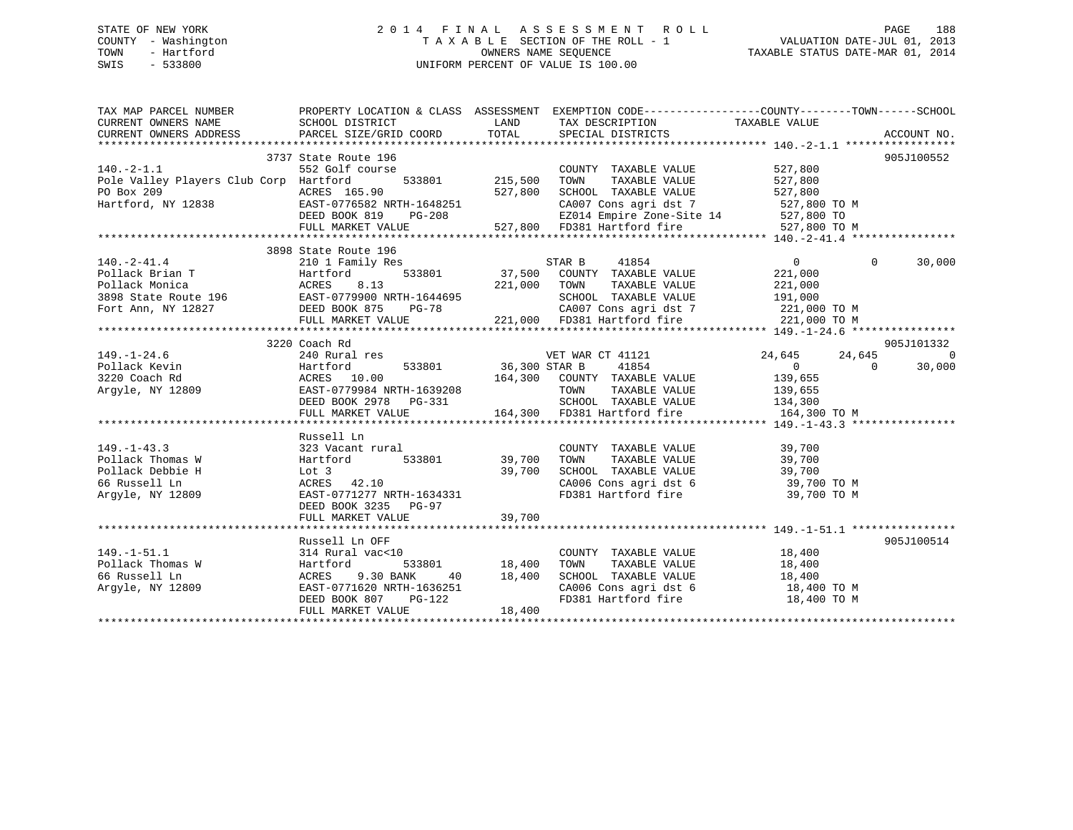## STATE OF NEW YORK 2 0 1 4 F I N A L A S S E S S M E N T R O L L PAGE 188 COUNTY - Washington T A X A B L E SECTION OF THE ROLL - 1 VALUATION DATE-JUL 01, 2013 TOWN - Hartford **TAXABLE STATUS DATE-MAR 01, 2014** OWNERS NAME SEQUENCE TAXABLE STATUS DATE-MAR 01, 2014 SWIS - 533800 UNIFORM PERCENT OF VALUE IS 100.00

| TAX MAP PARCEL NUMBER<br>CURRENT OWNERS NAME                                                                                                                                                                                                           | PROPERTY LOCATION & CLASS ASSESSMENT EXEMPTION CODE----------------COUNTY-------TOWN------SCHOOL                                                                                                                                                                                                  |         |                                                                                                                                                                                                                                           |                               |                |                    |
|--------------------------------------------------------------------------------------------------------------------------------------------------------------------------------------------------------------------------------------------------------|---------------------------------------------------------------------------------------------------------------------------------------------------------------------------------------------------------------------------------------------------------------------------------------------------|---------|-------------------------------------------------------------------------------------------------------------------------------------------------------------------------------------------------------------------------------------------|-------------------------------|----------------|--------------------|
| $140. -2 - 1.1$<br>Pole Valley Players Club Corp Hartford<br>PO Box 209<br>Hartford, NY 12838<br>EAST-0776582 NRTH-1648251<br>DEED BOOK 819<br>PG-208                                                                                                  | 3737 State Route 196<br>urse<br>533801 215,500<br>552 Golf course<br>NX1H-1048251<br>PG-208<br>FULL MARKET VALUE                                                                                                                                                                                  | 527,800 | COUNTY TAXABLE VALUE<br>TOWN<br>TAXABLE VALUE<br>SCHOOL TAXABLE VALUE<br>527,800 SCHOOL TAXABLE VALUE 527,800<br>CA007 Cons agri dst 7 527,800 TO M<br>EZ014 Empire Zone-Site 14 527,800 TO M<br>EZ7,800 FD381 Hartford fire 527,800 TO M | 527,800<br>527,800<br>527,800 |                | 905J100552         |
| 3898 State Route 196<br>Pollack Brian T<br>Pollack Monica acress a.13<br>3898 State Route 196<br>210 1 Family Res<br>533801<br>37,500 COUNTY TAXABLE VALUE<br>37,500 COUNTY TAXABLE VALUE<br>221,000<br>TOWN TAXABLE VALUE<br>221,000<br>221,000<br>22 | 3898 State Route 196                                                                                                                                                                                                                                                                              |         |                                                                                                                                                                                                                                           |                               | $\overline{0}$ | 30,000             |
|                                                                                                                                                                                                                                                        | 3220 Coach Rd                                                                                                                                                                                                                                                                                     |         |                                                                                                                                                                                                                                           |                               |                | 905J101332         |
| $149. - 1 - 24.6$<br>Pollack Kevin<br>3220 Coach Rd<br>Argyle, NY 12809<br>EAST-0779984 N                                                                                                                                                              | res VET WAR CT<br>533801 36,300 STAR B<br>240 Rural res<br>Hartford 533801 36,300 STAR B 41854 24,033<br>ACRES 10.00 164,300 COUNTY TAXABLE VALUE 139,655<br>EAST-0779984 NRTH-1639208 TOWN TAXABLE VALUE 139,655<br>DEED BOOK 2978 PG-331 164,300 FORD TAXABLE VALUE 134,300<br>FULL MARKET VALU |         | VET WAR CT 41121 24,645 24,645                                                                                                                                                                                                            |                               | $\Omega$       | $\Omega$<br>30,000 |
| $149. - 1 - 43.3$<br>Pollack Thomas W<br>Pollack Debbie H<br>66 Russell Ln<br>Argyle, NY 12809                                                                                                                                                         | Russell Ln<br>323 Vacant rural<br>Hartford 533801 39,700<br>323 Vacant rural<br>39,700<br>Lot 3<br>ACRES 42.10<br>EAST-0771277 NRTH-1634331<br>DEED BOOK 3235 PG-97<br>FULL MARKET VALUE                                                                                                          | 39,700  | COUNTY TAXABLE VALUE 39,700<br>TAXABLE VALUE 39,700<br>TOWN<br>SCHOOL TAXABLE VALUE 39,700<br>CA006 Cons agri dst 6 39,700 TO M<br>FD381 Hartford fire 39,700 TO M                                                                        |                               |                |                    |
|                                                                                                                                                                                                                                                        |                                                                                                                                                                                                                                                                                                   |         |                                                                                                                                                                                                                                           |                               |                |                    |
| $149. - 1 - 51.1$<br>Pollack Thomas W<br>66 Russell Ln<br>Argyle, NY 12809                                                                                                                                                                             | Russell Ln OFF<br>314 Rural vac<10<br>314 Rural vac<10<br>Hartford 533801 18,400<br>ACRES 9.30 BANK 40 18,400<br>EAST-0771620 NRTH-1636251<br>DEED BOOK 807 PG-122<br>FULL MARKET VALUE 18,400                                                                                                    |         | COUNTY TAXABLE VALUE 18,400<br>TOWN TAXABLE VALUE 18,400<br>SCHOOL TAXABLE VALUE 18,400<br>CA006 Cons agri dst 6 18,400 TO M<br>FD381 Hartford fire 18,400 TO M                                                                           |                               |                | 905J100514         |
|                                                                                                                                                                                                                                                        |                                                                                                                                                                                                                                                                                                   |         |                                                                                                                                                                                                                                           |                               |                |                    |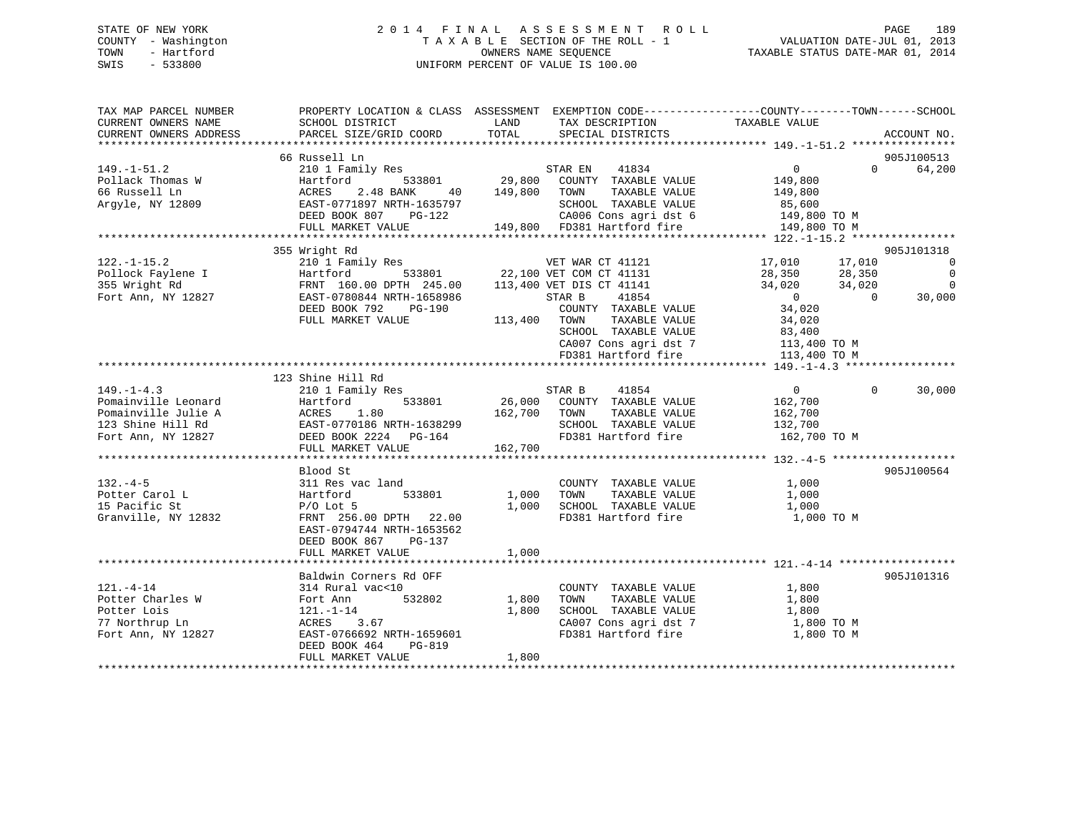## STATE OF NEW YORK 2 0 1 4 F I N A L A S S E S S M E N T R O L L PAGE 189 COUNTY - Washington T A X A B L E SECTION OF THE ROLL - 1 VALUATION DATE-JUL 01, 2013 TOWN - Hartford **TAXABLE STATUS DATE-MAR 01, 2014** OWNERS NAME SEQUENCE TAXABLE STATUS DATE-MAR 01, 2014 SWIS - 533800 UNIFORM PERCENT OF VALUE IS 100.00

| TAX MAP PARCEL NUMBER<br>CURRENT OWNERS NAME | PROPERTY LOCATION & CLASS ASSESSMENT EXEMPTION CODE----------------COUNTY-------TOWN------SCHOOL<br>SCHOOL DISTRICT | LAND         | TAX DESCRIPTION                                      | TAXABLE VALUE  |            |                |
|----------------------------------------------|---------------------------------------------------------------------------------------------------------------------|--------------|------------------------------------------------------|----------------|------------|----------------|
| CURRENT OWNERS ADDRESS                       | PARCEL SIZE/GRID COORD                                                                                              | TOTAL        | SPECIAL DISTRICTS                                    |                |            | ACCOUNT NO.    |
|                                              |                                                                                                                     |              |                                                      |                |            |                |
|                                              | 66 Russell Ln                                                                                                       |              |                                                      |                |            | 905J100513     |
| $149. - 1 - 51.2$                            | 210 1 Family Res                                                                                                    |              | 41834<br>STAR EN                                     | $\overline{0}$ | $\Omega$   | 64,200         |
| Pollack Thomas W                             | 533801<br>Hartford                                                                                                  | 29,800       | COUNTY TAXABLE VALUE                                 | 149,800        |            |                |
| 66 Russell Ln                                | ACRES<br>2.48 BANK<br>40                                                                                            | 149,800      | TOWN<br>TAXABLE VALUE                                | 149,800        |            |                |
| Argyle, NY 12809                             | EAST-0771897 NRTH-1635797                                                                                           |              | SCHOOL TAXABLE VALUE                                 | 85,600         |            |                |
|                                              | DEED BOOK 807 PG-122                                                                                                |              | CA006 Cons agri dst 6<br>149,800 FD381 Hartford fire | 149,800 TO M   |            |                |
|                                              | FULL MARKET VALUE                                                                                                   |              |                                                      | 149,800 TO M   |            |                |
|                                              | 355 Wright Rd                                                                                                       |              |                                                      |                |            | 905J101318     |
| $122. - 1 - 15.2$                            | 210 1 Family Res                                                                                                    |              | VET WAR CT 41121                                     | 17,010         | 17,010     | $\overline{0}$ |
| Pollock Faylene I                            | Hartford                                                                                                            |              | 533801 22,100 VET COM CT 41131                       | 28,350         | 28,350     | $\overline{0}$ |
| 355 Wright Rd                                | FRNT 160.00 DPTH 245.00 113,400 VET DIS CT 41141                                                                    |              |                                                      | 34,020         | 34,020     | $\overline{0}$ |
| Fort Ann, NY 12827                           | EAST-0780844 NRTH-1658986                                                                                           |              | 41854<br>STAR B                                      | $\overline{0}$ | $\bigcirc$ | 30,000         |
|                                              | DEED BOOK 792<br>PG-190                                                                                             |              | COUNTY TAXABLE VALUE                                 | 34,020         |            |                |
|                                              | FULL MARKET VALUE                                                                                                   | 113,400 TOWN | TAXABLE VALUE                                        | 34,020         |            |                |
|                                              |                                                                                                                     |              | SCHOOL TAXABLE VALUE                                 | 83,400         |            |                |
|                                              |                                                                                                                     |              | CA007 Cons agri dst 7                                | 113,400 TO M   |            |                |
|                                              |                                                                                                                     |              | FD381 Hartford fire                                  | 113,400 TO M   |            |                |
|                                              |                                                                                                                     |              |                                                      |                |            |                |
|                                              | 123 Shine Hill Rd                                                                                                   |              |                                                      |                |            |                |
| $149. - 1 - 4.3$                             | 210 1 Family Res                                                                                                    |              | STAR B<br>41854                                      | $\overline{0}$ | $\Omega$   | 30,000         |
| Pomainville Leonard                          | 533801<br>Hartford                                                                                                  | 26,000       | COUNTY TAXABLE VALUE                                 | 162,700        |            |                |
| Pomainville Julie A                          | ACRES<br>1.80                                                                                                       | 162,700      | TOWN<br>TAXABLE VALUE                                | 162,700        |            |                |
| 123 Shine Hill Rd                            | EAST-0770186 NRTH-1638299                                                                                           |              | SCHOOL TAXABLE VALUE                                 | 132,700        |            |                |
| Fort Ann, NY 12827                           | DEED BOOK 2224 PG-164                                                                                               |              | FD381 Hartford fire                                  | 162,700 TO M   |            |                |
|                                              | FULL MARKET VALUE                                                                                                   | 162,700      |                                                      |                |            |                |
|                                              |                                                                                                                     |              |                                                      |                |            |                |
|                                              | Blood St                                                                                                            |              |                                                      |                |            | 905J100564     |
| $132. -4-5$                                  | 311 Res vac land                                                                                                    |              | COUNTY TAXABLE VALUE                                 | 1,000          |            |                |
| Potter Carol L                               | 533801<br>Hartford                                                                                                  | 1,000        | TAXABLE VALUE<br>TOWN                                | 1,000          |            |                |
| 15 Pacific St                                | $P/O$ Lot 5                                                                                                         | 1,000        | SCHOOL TAXABLE VALUE                                 | 1,000          |            |                |
| Granville, NY 12832                          | FRNT 256.00 DPTH 22.00                                                                                              |              | FD381 Hartford fire                                  | 1,000 TO M     |            |                |
|                                              | EAST-0794744 NRTH-1653562                                                                                           |              |                                                      |                |            |                |
|                                              | DEED BOOK 867<br>PG-137                                                                                             |              |                                                      |                |            |                |
|                                              | FULL MARKET VALUE                                                                                                   | 1,000        |                                                      |                |            |                |
|                                              |                                                                                                                     |              |                                                      |                |            |                |
|                                              | Baldwin Corners Rd OFF                                                                                              |              |                                                      |                |            | 905J101316     |
| $121. - 4 - 14$                              | 314 Rural vac<10                                                                                                    |              | COUNTY TAXABLE VALUE                                 | 1,800          |            |                |
| Potter Charles W                             | 532802<br>Fort Ann                                                                                                  | 1,800        | TOWN<br>TAXABLE VALUE                                | 1,800          |            |                |
| Potter Lois                                  | 121.-1-14                                                                                                           | 1,800        | SCHOOL TAXABLE VALUE                                 | 1,800          |            |                |
| 77 Northrup Ln                               | ACRES 3.67                                                                                                          |              | CA007 Cons agri dst 7                                | 1,800 TO M     |            |                |
| Fort Ann, NY 12827                           | EAST-0766692 NRTH-1659601                                                                                           |              | FD381 Hartford fire                                  | 1,800 TO M     |            |                |
|                                              | DEED BOOK 464<br>PG-819                                                                                             |              |                                                      |                |            |                |
|                                              | FULL MARKET VALUE                                                                                                   | 1,800        |                                                      |                |            |                |
|                                              |                                                                                                                     |              |                                                      |                |            |                |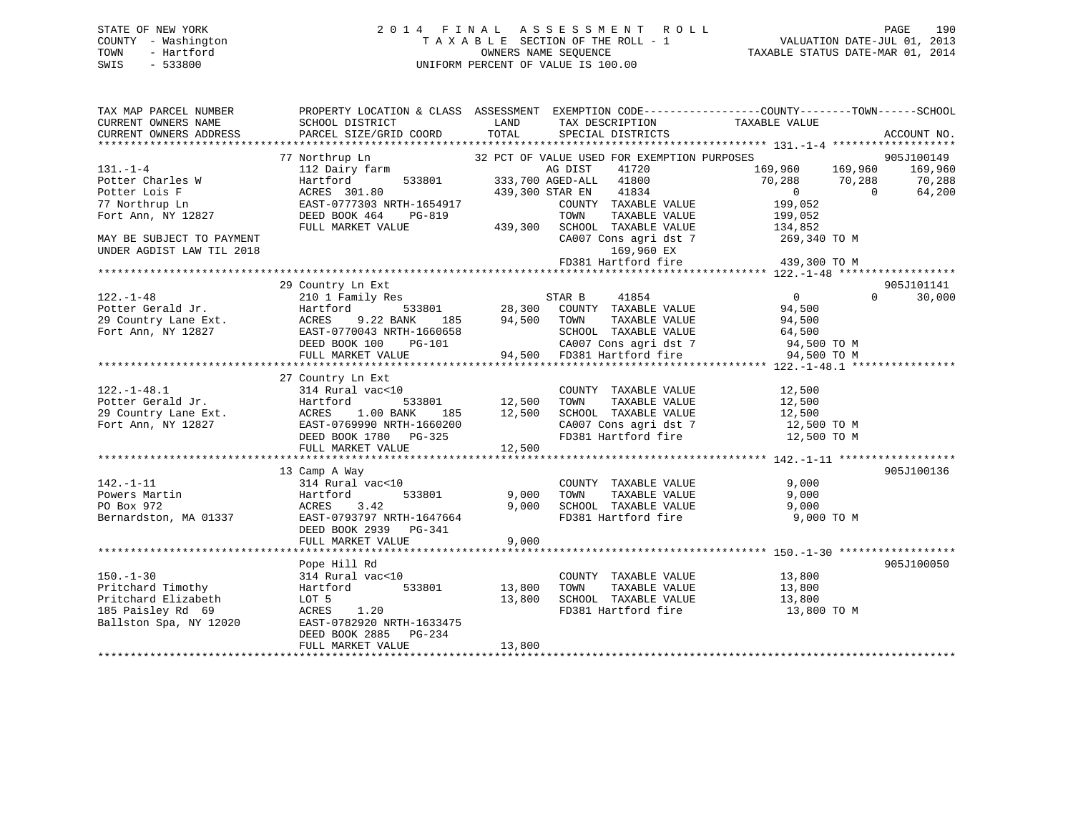## STATE OF NEW YORK 2 0 1 4 F I N A L A S S E S S M E N T R O L L PAGE 190 COUNTY - Washington T A X A B L E SECTION OF THE ROLL - 1 VALUATION DATE-JUL 01, 2013 TOWN - Hartford **TAXABLE STATUS DATE-MAR 01, 2014** OWNERS NAME SEQUENCE TAXABLE STATUS DATE-MAR 01, 2014 SWIS - 533800 UNIFORM PERCENT OF VALUE IS 100.00

| TAX MAP PARCEL NUMBER<br>CURRENT OWNERS NAME<br>CURRENT OWNERS ADDRESS                                                                                | SCHOOL DISTRICT<br>PARCEL SIZE/GRID COORD                                                                                                                                                                                     | LAND<br>TOTAL              | TAX DESCRIPTION<br>SPECIAL DISTRICTS                                                                                                                                                                                                  | PROPERTY LOCATION & CLASS ASSESSMENT EXEMPTION CODE----------------COUNTY-------TOWN-----SCHOOL<br>TAXABLE VALUE                                                                                                                      | ACCOUNT NO.                               |
|-------------------------------------------------------------------------------------------------------------------------------------------------------|-------------------------------------------------------------------------------------------------------------------------------------------------------------------------------------------------------------------------------|----------------------------|---------------------------------------------------------------------------------------------------------------------------------------------------------------------------------------------------------------------------------------|---------------------------------------------------------------------------------------------------------------------------------------------------------------------------------------------------------------------------------------|-------------------------------------------|
| $131. - 1 - 4$<br>Potter Charles W<br>Potter Lois F<br>77 Northrup Ln<br>Fort Ann, NY 12827<br>MAY BE SUBJECT TO PAYMENT<br>UNDER AGDIST LAW TIL 2018 | 77 Northrup Ln<br>Northrup Ln 32 PC<br>112 Dairy farm<br>Hartford<br>ACRES 301.80<br>EAST-0777303 NRTH-1654917<br>DEED BOOK 464<br>PG-819<br>FULL MARKET VALUE                                                                |                            | 32 PCT OF VALUE USED FOR EXEMPTION PURPOSES<br>AG DIST<br>41720<br>533801 333,700 AGED-ALL 41800<br>439,300 STAR EN 41834<br>COUNTY TAXABLE VALUE<br>169,960 EX                                                                       | 169,960 169,960<br>70,288 70,288<br>$\overline{0}$<br>$\overline{0}$<br>199,052<br>TOWN TAXABLE VALUE<br>TOWN TAXABLE VALUE<br>439,300 SCHOOL TAXABLE VALUE<br>CA007 Cons agri dst 7 269,340 TO M<br>FD381 Hartford fire 439,300 TO M | 905J100149<br>169,960<br>70,288<br>64,200 |
| $122. - 1 - 48$<br>Potter Gerald Jr.                                                                                                                  | 29 Country Ln Ext<br>210 1 Family Res<br>Hartford<br>29 Country Lane Ext.<br>Fort Ann, NY 12827<br>EAST-0770043 NRTH-1660658<br>DEED BOOK 100 PG-101<br>DEED BOOK 100 PG-101<br>FULL MARKET VALUE                             | 185 94,500 TOWN            | $\begin{array}{ccccccccc} \texttt{533801} & & & & \texttt{STRR} & \texttt{B} & & & \texttt{41854} & & & & & 0 \\ \texttt{533801} & & & & & 28,300 & & \texttt{COUNTY} & & \texttt{TAXABLE VALUE} & & & & \texttt{94,500} \end{array}$ | $\overline{0}$<br>TAXABLE VALUE 94,500<br>TAXABLE VALUE 64,500                                                                                                                                                                        | 905J101141<br>$0 \qquad \qquad$<br>30,000 |
| $122. - 1 - 48.1$                                                                                                                                     | 27 Country Ln Ext<br>$314$ Rural vac<10<br>Potter Gerald Jr.<br>29 Country Lane Ext.<br>33801 12,500<br>79 Fort Ann, NY 12827 EAST-0769990 NRTH-1660200<br>DEED BOOK 1780 PG-325<br>FULL MARKET VALUE                         | 12,500                     | COUNTY TAXABLE VALUE 12,500                                                                                                                                                                                                           | CA007 Cons agri dst 7 12,500 TO M<br>FD381 Hartford fire 12,500 TO M                                                                                                                                                                  |                                           |
| $142. - 1 - 11$                                                                                                                                       | 13 Camp A Way<br>$314$ Rural vac<10<br>142.-1-11<br>Powers Martin Hartford 533801 9,000<br>PO Box 972 ACRES 3.42 9,000<br>Bernardston, MA 01337 EAST-0793797 NRTH-1647664 9,000<br>DEED BOOK 2939 PG-341<br>FULL MARKET VALUE | 9,000<br>9,000<br>9,000    | COUNTY TAXABLE VALUE<br>TAXABLE VALUE<br>TOWN<br>9,000 TAXABLE VALUE 9,000<br>FD381 Hartford fire 9,000                                                                                                                               | 9,000<br>9,000<br>9,000 TO M                                                                                                                                                                                                          | 905J100136                                |
| $150. - 1 - 30$<br>Pritchard Timothy<br>Pritchard Elizabeth<br>185 Paisley Rd 69<br>Ballston Spa, NY 12020                                            | Pope Hill Rd<br>314 Rural vac<10<br>533801<br>Hartford<br>LOT 5<br>ACRES 1.20<br>EAST-0782920 NRTH-1633475<br>DEED BOOK 2885<br>PG-234<br>FULL MARKET VALUE                                                                   | 13,800<br>13,800<br>13,800 | COUNTY TAXABLE VALUE 13,800<br>TOWN TAXABLE VALUE 13,800<br>SCHOOL TAXABLE VALUE 13,800<br>FD381 Hartford fire                                                                                                                        | 13,800 TO M                                                                                                                                                                                                                           | 905J100050                                |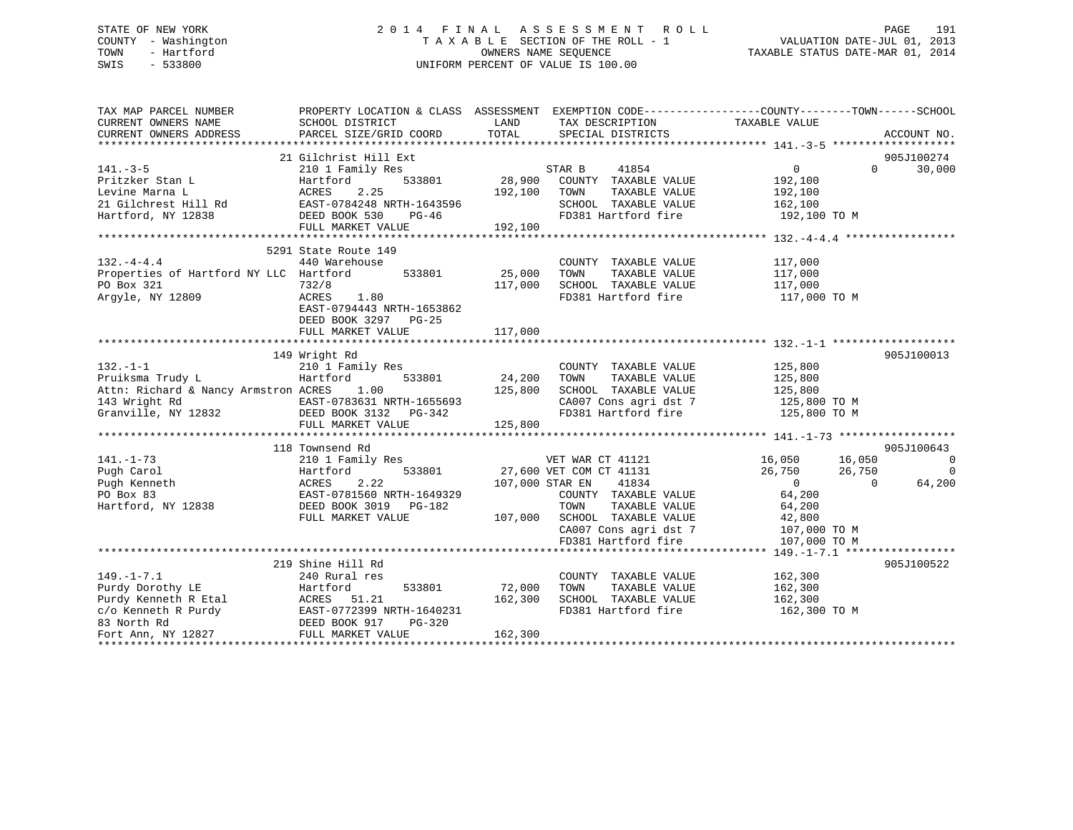## STATE OF NEW YORK 2 0 1 4 F I N A L A S S E S S M E N T R O L L PAGE 191 COUNTY - Washington T A X A B L E SECTION OF THE ROLL - 1 VALUATION DATE-JUL 01, 2013 TOWN - Hartford **TAXABLE STATUS DATE-MAR 01, 2014** OWNERS NAME SEQUENCE TAXABLE STATUS DATE-MAR 01, 2014 SWIS - 533800 UNIFORM PERCENT OF VALUE IS 100.00

| TAX MAP PARCEL NUMBER<br>CURRENT OWNERS NAME                                                                                                                            | PROPERTY LOCATION & CLASS ASSESSMENT EXEMPTION CODE---------------COUNTY-------TOWN-----SCHOOL<br>SCHOOL DISTRICT | LAND          | TAX DESCRIPTION                                                        | TAXABLE VALUE                     |                          |
|-------------------------------------------------------------------------------------------------------------------------------------------------------------------------|-------------------------------------------------------------------------------------------------------------------|---------------|------------------------------------------------------------------------|-----------------------------------|--------------------------|
| CURRENT OWNERS ADDRESS                                                                                                                                                  | PARCEL SIZE/GRID COORD                                                                                            | TOTAL         | SPECIAL DISTRICTS                                                      |                                   | ACCOUNT NO.              |
|                                                                                                                                                                         | 21 Gilchrist Hill Ext                                                                                             |               |                                                                        |                                   | 905J100274               |
| $141. -3 - 5$                                                                                                                                                           | 210 1 Family Res                                                                                                  |               | STAR B<br>41854                                                        | $0 \qquad \qquad$                 | 30,000<br>$\Omega$       |
| Pritzker Stan L                                                                                                                                                         | 533801<br>Hartford                                                                                                |               | 28,900 COUNTY TAXABLE VALUE                                            | 192,100                           |                          |
|                                                                                                                                                                         |                                                                                                                   | 192,100       | TOWN<br>TAXABLE VALUE                                                  | 192,100                           |                          |
|                                                                                                                                                                         | EAST-0784248 NRTH-1643596                                                                                         |               | SCHOOL TAXABLE VALUE                                                   | 162,100                           |                          |
| Fitchcond Levin Barna L<br>1997 - ACRES 2.25<br>21 Gilchrest Hill Rd<br>1998 - BAST-0784248<br>1998 - DEED BOOK 530                                                     | PG-46                                                                                                             |               | FD381 Hartford fire                                                    | 192,100 TO M                      |                          |
|                                                                                                                                                                         | FULL MARKET VALUE                                                                                                 | 192,100       |                                                                        |                                   |                          |
|                                                                                                                                                                         |                                                                                                                   |               |                                                                        |                                   |                          |
|                                                                                                                                                                         | 5291 State Route 149                                                                                              |               |                                                                        |                                   |                          |
| $132. -4 - 4.4$                                                                                                                                                         | 440 Warehouse                                                                                                     |               | COUNTY TAXABLE VALUE                                                   | 117,000                           |                          |
| Properties of Hartford NY LLC Hartford                                                                                                                                  |                                                                                                                   | 533801 25,000 | TOWN<br>TAXABLE VALUE                                                  | 117,000                           |                          |
| PO Box 321                                                                                                                                                              | 732/8                                                                                                             | 117,000       | SCHOOL TAXABLE VALUE                                                   | 117,000                           |                          |
| Argyle, NY 12809                                                                                                                                                        | ACRES<br>1.80                                                                                                     |               | FD381 Hartford fire                                                    | 117,000 TO M                      |                          |
|                                                                                                                                                                         | EAST-0794443 NRTH-1653862                                                                                         |               |                                                                        |                                   |                          |
|                                                                                                                                                                         | DEED BOOK 3297 PG-25                                                                                              |               |                                                                        |                                   |                          |
|                                                                                                                                                                         | FULL MARKET VALUE                                                                                                 | 117,000       |                                                                        |                                   |                          |
|                                                                                                                                                                         |                                                                                                                   |               |                                                                        |                                   |                          |
|                                                                                                                                                                         | 149 Wright Rd                                                                                                     |               |                                                                        |                                   | 905J100013               |
| $132. -1 - 1$                                                                                                                                                           | 210 1 Family Res                                                                                                  |               | COUNTY TAXABLE VALUE                                                   | 125,800                           |                          |
| Pruiksma Trudy L                                                                                                                                                        | Hartford<br>533801                                                                                                | 24,200        | TAXABLE VALUE<br>TOWN                                                  | 125,800                           |                          |
| Attn: Richard & Nancy Armstron ACRES                                                                                                                                    | 1.00                                                                                                              | 125,800       | SCHOOL TAXABLE VALUE 125,800                                           |                                   |                          |
|                                                                                                                                                                         |                                                                                                                   |               | CA007 Cons agri dst 7 125,800 TO M<br>FD381 Hartford fire 125,800 TO M |                                   |                          |
|                                                                                                                                                                         |                                                                                                                   |               |                                                                        |                                   |                          |
|                                                                                                                                                                         | FULL MARKET VALUE                                                                                                 | 125,800       |                                                                        |                                   |                          |
|                                                                                                                                                                         | 118 Townsend Rd                                                                                                   |               |                                                                        |                                   | 905J100643               |
| $141. - 1 - 73$                                                                                                                                                         | 210 1 Family Res                                                                                                  |               | VET WAR CT 41121                                                       |                                   | $\overline{\phantom{0}}$ |
| Pugh Carol                                                                                                                                                              | 533801<br>Hartford                                                                                                |               | 27,600 VET COM CT 41131                                                | 16,050 16,050<br>26,750<br>26,750 | $\overline{0}$           |
| Pugh Kenneth                                                                                                                                                            | 2.22<br>ACRES                                                                                                     |               | 107,000 STAR EN 41834                                                  | $\overline{0}$                    | 64,200<br>$\Omega$       |
| PO Box 83                                                                                                                                                               | EAST-0781560 NRTH-1649329                                                                                         |               | COUNTY TAXABLE VALUE                                                   | 64,200                            |                          |
| Hartford, NY 12838                                                                                                                                                      | DEED BOOK 3019 PG-182                                                                                             |               | TOWN<br>TAXABLE VALUE                                                  | 64,200                            |                          |
|                                                                                                                                                                         | FULL MARKET VALUE                                                                                                 |               | 107,000 SCHOOL TAXABLE VALUE                                           | 42,800                            |                          |
|                                                                                                                                                                         |                                                                                                                   |               | SCHOOL TAXABLE VALUE 42,800<br>CA007 Cons agri dst 7 107,000 TO M      |                                   |                          |
|                                                                                                                                                                         |                                                                                                                   |               | FD381 Hartford fire                                                    | 107,000 TO M                      |                          |
|                                                                                                                                                                         |                                                                                                                   |               |                                                                        |                                   |                          |
|                                                                                                                                                                         | 219 Shine Hill Rd                                                                                                 |               |                                                                        |                                   | 905J100522               |
| $149. - 1 - 7.1$                                                                                                                                                        | 240 Rural res                                                                                                     |               | COUNTY TAXABLE VALUE                                                   | 162,300                           |                          |
| Purdy Dorothy LE                                                                                                                                                        | 533801<br>Hartford                                                                                                | 72,000        | TAXABLE VALUE<br>TOWN                                                  | 162,300                           |                          |
|                                                                                                                                                                         |                                                                                                                   | 162,300       | SCHOOL TAXABLE VALUE 162,300                                           |                                   |                          |
|                                                                                                                                                                         |                                                                                                                   |               | FD381 Hartford fire                                                    | 162,300 TO M                      |                          |
|                                                                                                                                                                         |                                                                                                                   |               |                                                                        |                                   |                          |
| Purdy Education 2011<br>Purdy Kenneth R Etal<br>C/O Kenneth R Purdy<br>BAST-0772399 NRTH-1640231<br>BAST-0772399 NRTH-1640231<br>POT Ann, NY 12827<br>PULL MARKET VALUE |                                                                                                                   | 162,300       |                                                                        |                                   |                          |
|                                                                                                                                                                         |                                                                                                                   |               |                                                                        |                                   |                          |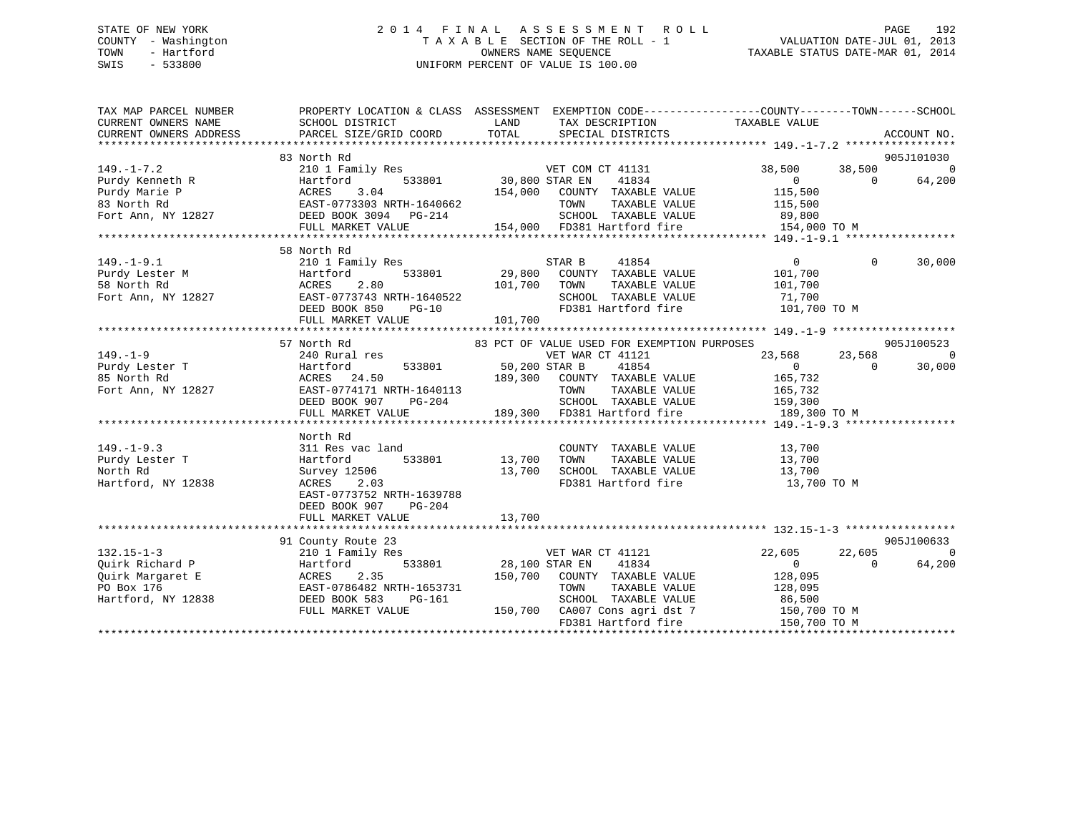## STATE OF NEW YORK 2 0 1 4 F I N A L A S S E S S M E N T R O L L PAGE 192 COUNTY - Washington T A X A B L E SECTION OF THE ROLL - 1 VALUATION DATE-JUL 01, 2013 TOWN - Hartford **TAXABLE STATUS DATE-MAR 01, 2014** OWNERS NAME SEQUENCE TAXABLE STATUS DATE-MAR 01, 2014 SWIS - 533800 UNIFORM PERCENT OF VALUE IS 100.00

| TAX MAP PARCEL NUMBER<br>CURRENT OWNERS NAME<br>CURRENT OWNERS ADDRESS | PROPERTY LOCATION & CLASS ASSESSMENT EXEMPTION CODE---------------COUNTY-------TOWN------SCHOOL<br>SCHOOL DISTRICT<br>PARCEL SIZE/GRID COORD                               | LAND<br>TOTAL  | TAX DESCRIPTION<br>SPECIAL DISTRICTS                | TAXABLE VALUE            | ACCOUNT NO. |                |
|------------------------------------------------------------------------|----------------------------------------------------------------------------------------------------------------------------------------------------------------------------|----------------|-----------------------------------------------------|--------------------------|-------------|----------------|
|                                                                        | 83 North Rd                                                                                                                                                                |                |                                                     |                          | 905J101030  |                |
| $149. - 1 - 7.2$                                                       | 210 1 Family Res                                                                                                                                                           |                | VET COM CT 41131                                    | 38,500                   | 38,500      | $\Omega$       |
| Purdy Kenneth R                                                        | 533801<br>Hartford                                                                                                                                                         | 30,800 STAR EN | 41834                                               | $\overline{0}$           | $\Omega$    | 64,200         |
| Purdy Marie P                                                          | ACRES<br>3.04                                                                                                                                                              | 154,000        | COUNTY TAXABLE VALUE                                | 115,500                  |             |                |
|                                                                        |                                                                                                                                                                            |                | TAXABLE VALUE<br>TOWN                               | 115,500                  |             |                |
|                                                                        | ${\small \begin{tabular}{lcccc} \bf 83 & \tt North\ Rd & \tt EAST-0773303\ NRTH-1640662 \\ \tt Fort\ Ann,\ NY\ 12827 & \tt DEED\ BOK\ 3094 & \tt PG-214 \\ \end{tabular}}$ |                |                                                     | 89,800                   |             |                |
|                                                                        | FULL MARKET VALUE                                                                                                                                                          |                | SCHOOL TAXABLE VALUE<br>154,000 FD381 Hartford fire | 154,000 TO M             |             |                |
|                                                                        |                                                                                                                                                                            |                |                                                     |                          |             |                |
|                                                                        | 58 North Rd                                                                                                                                                                |                |                                                     |                          |             |                |
| $149. - 1 - 9.1$                                                       | 210 1 Family Res                                                                                                                                                           |                | STAR B<br>41854                                     | $\overline{0}$           | $\Omega$    | 30,000         |
| Purdy Lester M                                                         | 533801<br>Hartford                                                                                                                                                         | 29,800         | COUNTY TAXABLE VALUE                                | 101,700                  |             |                |
| 58 North Rd                                                            | 2.80<br>ACRES                                                                                                                                                              | 101,700        | TOWN<br>TAXABLE VALUE                               | 101,700                  |             |                |
| Fort Ann, NY 12827                                                     | EAST-0773743 NRTH-1640522                                                                                                                                                  |                | SCHOOL TAXABLE VALUE 71,700                         |                          |             |                |
|                                                                        | DEED BOOK 850<br>$PG-10$                                                                                                                                                   |                | FD381 Hartford fire                                 | 101,700 TO M             |             |                |
|                                                                        | FULL MARKET VALUE                                                                                                                                                          | 101,700        |                                                     |                          |             |                |
|                                                                        |                                                                                                                                                                            |                |                                                     |                          |             |                |
|                                                                        | 57 North Rd                                                                                                                                                                |                | 83 PCT OF VALUE USED FOR EXEMPTION PURPOSES         |                          | 905J100523  |                |
| $149. - 1 - 9$                                                         | 240 Rural res                                                                                                                                                              |                | VET WAR CT 41121                                    | 23,568                   | 23,568      | $\overline{0}$ |
| Purdy Lester T<br>25 North Dd                                          | 533801<br>Hartford                                                                                                                                                         | 50,200 STAR B  | 41854                                               | $\overline{0}$           | $\Omega$    | 30,000         |
| 85 North Rd                                                            | ACRES 24.50                                                                                                                                                                | 189,300        | COUNTY TAXABLE VALUE                                | 165,732                  |             |                |
| Fort Ann, NY 12827                                                     | EAST-0774171 NRTH-1640113                                                                                                                                                  |                | TAXABLE VALUE<br>TOWN                               | 165,732                  |             |                |
|                                                                        | DEED BOOK 907<br>PG-204                                                                                                                                                    |                | SCHOOL TAXABLE VALUE                                | 159,300                  |             |                |
|                                                                        | FULL MARKET VALUE                                                                                                                                                          |                | 189,300 FD381 Hartford fire                         | 189,300 TO M             |             |                |
|                                                                        |                                                                                                                                                                            |                |                                                     |                          |             |                |
|                                                                        | North Rd                                                                                                                                                                   |                |                                                     |                          |             |                |
| $149. - 1 - 9.3$                                                       | 311 Res vac land                                                                                                                                                           |                | COUNTY TAXABLE VALUE                                | 13,700                   |             |                |
| Purdy Lester T                                                         | 533801<br>Hartford                                                                                                                                                         | 13,700         | TOWN<br>TAXABLE VALUE                               | 13,700                   |             |                |
| North Rd                                                               | Survey 12506                                                                                                                                                               | 13,700         | SCHOOL TAXABLE VALUE                                | 13,700                   |             |                |
| Hartford, NY 12838                                                     | 2.03<br>ACRES                                                                                                                                                              |                | FD381 Hartford fire                                 | 13,700 TO M              |             |                |
|                                                                        | EAST-0773752 NRTH-1639788                                                                                                                                                  |                |                                                     |                          |             |                |
|                                                                        | DEED BOOK 907<br>$PG-204$                                                                                                                                                  |                |                                                     |                          |             |                |
|                                                                        | FULL MARKET VALUE                                                                                                                                                          | 13,700         |                                                     |                          |             |                |
|                                                                        | 91 County Route 23                                                                                                                                                         |                |                                                     |                          | 905J100633  |                |
| $132.15 - 1 - 3$                                                       |                                                                                                                                                                            |                |                                                     |                          | 22,605      | $\overline{0}$ |
| Ouirk Richard P                                                        | 210 1 Family Res<br>533801<br>Hartford                                                                                                                                     | 28,100 STAR EN | VET WAR CT 41121<br>41834                           | 22,605<br>$\overline{0}$ | $\Omega$    | 64,200         |
| Quirk Margaret E                                                       | ACRES<br>2.35                                                                                                                                                              | 150,700        | COUNTY TAXABLE VALUE                                | 128,095                  |             |                |
| PO Box 176                                                             | EAST-0786482 NRTH-1653731                                                                                                                                                  |                | TOWN<br>TAXABLE VALUE                               | 128,095                  |             |                |
| Hartford, NY 12838                                                     | DEED BOOK 583<br>PG-161                                                                                                                                                    |                | SCHOOL TAXABLE VALUE                                | 86,500                   |             |                |
|                                                                        | FULL MARKET VALUE                                                                                                                                                          |                | 150,700 CA007 Cons agri dst 7                       | 150,700 TO M             |             |                |
|                                                                        |                                                                                                                                                                            |                | FD381 Hartford fire                                 | 150,700 TO M             |             |                |
|                                                                        |                                                                                                                                                                            |                |                                                     |                          |             |                |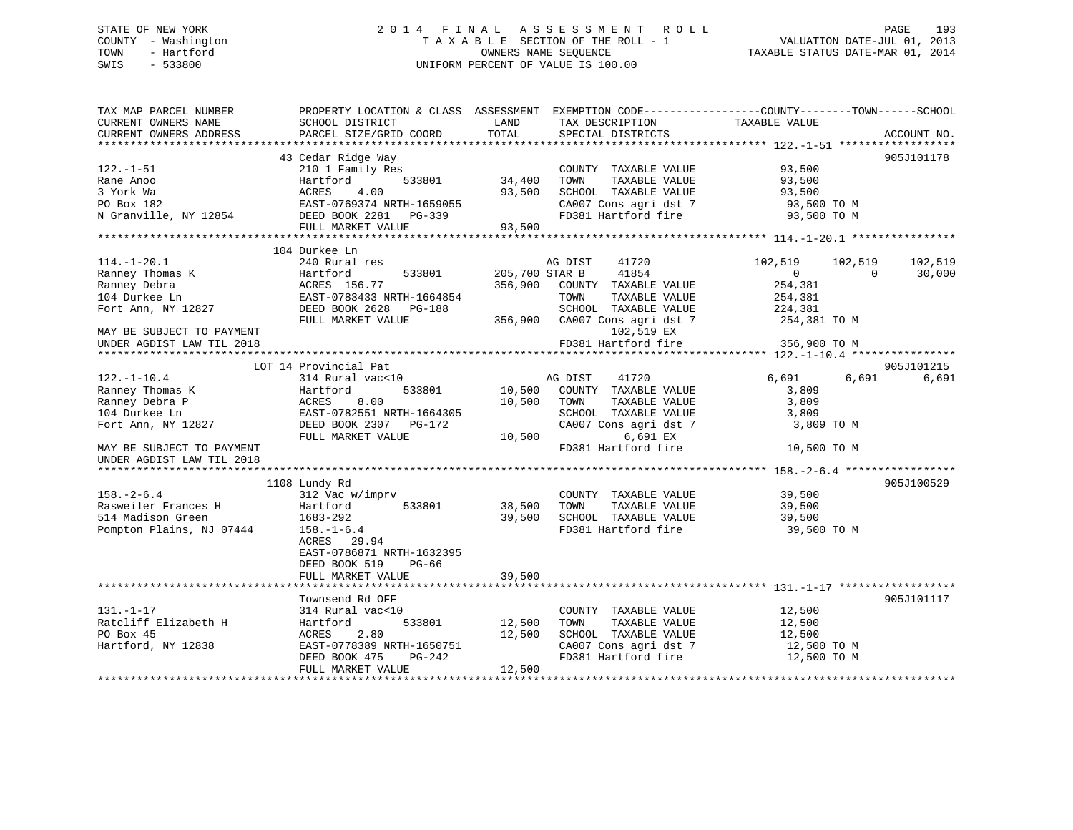## STATE OF NEW YORK 2 0 1 4 F I N A L A S S E S S M E N T R O L L PAGE 193 COUNTY - Washington T A X A B L E SECTION OF THE ROLL - 1 VALUATION DATE-JUL 01, 2013 TOWN - Hartford **TAXABLE STATUS DATE-MAR 01, 2014** OWNERS NAME SEQUENCE TAXABLE STATUS DATE-MAR 01, 2014 SWIS - 533800 UNIFORM PERCENT OF VALUE IS 100.00

| TAX MAP PARCEL NUMBER<br>CURRENT OWNERS NAME | PROPERTY LOCATION & CLASS ASSESSMENT<br>SCHOOL DISTRICT | LAND           | TAX DESCRIPTION               | EXEMPTION CODE-----------------COUNTY-------TOWN------SCHOOL<br>TAXABLE VALUE |             |
|----------------------------------------------|---------------------------------------------------------|----------------|-------------------------------|-------------------------------------------------------------------------------|-------------|
| CURRENT OWNERS ADDRESS                       | PARCEL SIZE/GRID COORD                                  | TOTAL          | SPECIAL DISTRICTS             |                                                                               | ACCOUNT NO. |
|                                              | 43 Cedar Ridge Way                                      |                |                               |                                                                               |             |
| $122. - 1 - 51$                              | 210 1 Family Res                                        |                | COUNTY TAXABLE VALUE          | 93,500                                                                        | 905J101178  |
| Rane Anoo                                    | 533801<br>Hartford                                      | 34,400         | TAXABLE VALUE<br>TOWN         | 93,500                                                                        |             |
| 3 York Wa                                    | ACRES<br>4.00                                           | 93,500         | SCHOOL TAXABLE VALUE          | 93,500                                                                        |             |
|                                              |                                                         |                |                               |                                                                               |             |
| PO Box 182                                   | EAST-0769374 NRTH-1659055                               |                | CA007 Cons agri dst 7         | 93,500 TO M                                                                   |             |
| N Granville, NY 12854                        | DEED BOOK 2281 PG-339                                   |                | FD381 Hartford fire           | 93,500 TO M                                                                   |             |
|                                              | FULL MARKET VALUE                                       | 93,500         |                               |                                                                               |             |
|                                              |                                                         |                |                               |                                                                               |             |
|                                              | 104 Durkee Ln                                           |                |                               |                                                                               |             |
| $114.-1-20.1$                                | 240 Rural res                                           |                | AG DIST<br>41720              | 102,519<br>102,519                                                            | 102,519     |
| Ranney Thomas K                              | 533801<br>Hartford                                      | 205,700 STAR B | 41854                         | $\Omega$<br>$\Omega$                                                          | 30,000      |
| Ranney Debra                                 | ACRES 156.77                                            | 356,900        | COUNTY TAXABLE VALUE          | 254,381                                                                       |             |
| 104 Durkee Ln                                | EAST-0783433 NRTH-1664854                               |                | TAXABLE VALUE<br>TOWN         | 254,381                                                                       |             |
| Fort Ann, NY 12827                           | DEED BOOK 2628 PG-188                                   |                | SCHOOL TAXABLE VALUE          | 224,381                                                                       |             |
|                                              | FULL MARKET VALUE                                       |                | 356,900 CA007 Cons agri dst 7 | 254,381 TO M                                                                  |             |
| MAY BE SUBJECT TO PAYMENT                    |                                                         |                | 102,519 EX                    |                                                                               |             |
| UNDER AGDIST LAW TIL 2018                    |                                                         |                | FD381 Hartford fire           | 356,900 TO M                                                                  |             |
| *********************                        |                                                         |                |                               | ******************** 122.-1-10.4 *****************                            |             |
|                                              | LOT 14 Provincial Pat                                   |                |                               |                                                                               | 905J101215  |
| $122. - 1 - 10.4$                            | 314 Rural vac<10                                        |                | AG DIST<br>41720              | 6,691<br>6,691                                                                | 6,691       |
| Ranney Thomas K                              | Hartford<br>533801                                      | 10,500         | COUNTY TAXABLE VALUE          | 3,809                                                                         |             |
| Ranney Debra P                               | ACRES<br>8.00                                           | 10,500         | TOWN<br>TAXABLE VALUE         | 3,809                                                                         |             |
| 104 Durkee Ln                                | EAST-0782551 NRTH-1664305                               |                | SCHOOL TAXABLE VALUE          | 3,809                                                                         |             |
| Fort Ann, NY 12827                           | DEED BOOK 2307 PG-172                                   |                | CA007 Cons agri dst 7         | 3,809 TO M                                                                    |             |
|                                              | FULL MARKET VALUE                                       | 10,500         | 6,691 EX                      |                                                                               |             |
| MAY BE SUBJECT TO PAYMENT                    |                                                         |                | FD381 Hartford fire           | 10,500 TO M                                                                   |             |
| UNDER AGDIST LAW TIL 2018                    |                                                         |                |                               |                                                                               |             |
|                                              |                                                         |                |                               |                                                                               |             |
|                                              | 1108 Lundy Rd                                           |                |                               |                                                                               | 905J100529  |
| $158. - 2 - 6.4$                             | 312 Vac w/imprv                                         |                | COUNTY TAXABLE VALUE          | 39,500                                                                        |             |
| Rasweiler Frances H                          | 533801<br>Hartford                                      | 38,500         | TOWN<br>TAXABLE VALUE         | 39,500                                                                        |             |
| 514 Madison Green                            | 1683-292                                                | 39,500         | SCHOOL TAXABLE VALUE          | 39,500                                                                        |             |
| Pompton Plains, NJ 07444                     | $158. - 1 - 6.4$                                        |                | FD381 Hartford fire           | 39,500 TO M                                                                   |             |
|                                              | ACRES 29.94                                             |                |                               |                                                                               |             |
|                                              | EAST-0786871 NRTH-1632395                               |                |                               |                                                                               |             |
|                                              | DEED BOOK 519<br>PG-66                                  |                |                               |                                                                               |             |
|                                              | FULL MARKET VALUE                                       | 39,500         |                               |                                                                               |             |
|                                              |                                                         |                |                               |                                                                               |             |
|                                              | Townsend Rd OFF                                         |                |                               |                                                                               | 905J101117  |
| $131. - 1 - 17$                              | 314 Rural vac<10                                        |                | COUNTY TAXABLE VALUE          | 12,500                                                                        |             |
| Ratcliff Elizabeth H                         | 533801<br>Hartford                                      | 12,500         | TOWN<br>TAXABLE VALUE         | 12,500                                                                        |             |
| PO Box 45                                    | ACRES<br>2.80                                           | 12,500         | SCHOOL TAXABLE VALUE          | 12,500                                                                        |             |
| Hartford, NY 12838                           | EAST-0778389 NRTH-1650751                               |                | CA007 Cons agri dst 7         | 12,500 TO M                                                                   |             |
|                                              | DEED BOOK 475<br>PG-242                                 |                | FD381 Hartford fire           | 12,500 TO M                                                                   |             |
|                                              | FULL MARKET VALUE                                       | 12,500         |                               |                                                                               |             |
|                                              |                                                         |                |                               |                                                                               |             |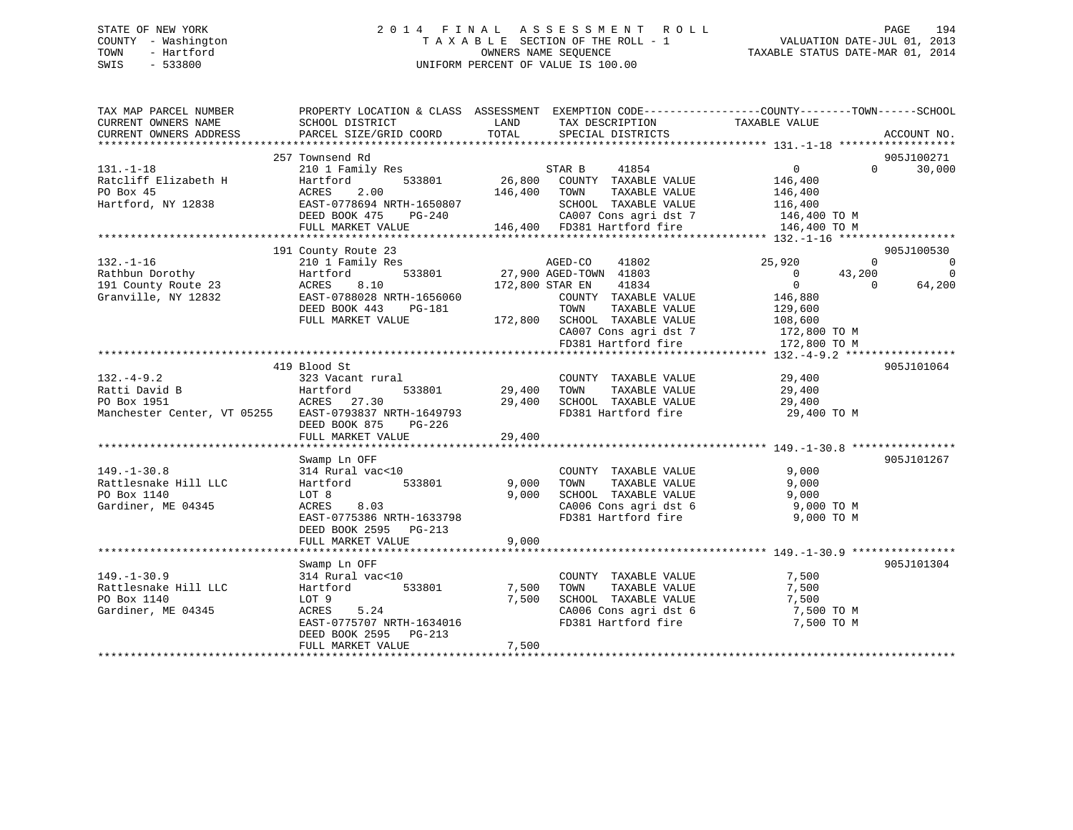## STATE OF NEW YORK 2 0 1 4 F I N A L A S S E S S M E N T R O L L PAGE 194 COUNTY - Washington T A X A B L E SECTION OF THE ROLL - 1 VALUATION DATE-JUL 01, 2013 TOWN - Hartford **TAXABLE STATUS DATE-MAR 01, 2014** OWNERS NAME SEQUENCE TAXABLE STATUS DATE-MAR 01, 2014 SWIS - 533800 UNIFORM PERCENT OF VALUE IS 100.00

| SCHOOL DISTRICT<br>PARCEL SIZE/GRID COORD                                                                                                                        | LAND<br>TOTAL                                                                                                                  | TAX DESCRIPTION<br>SPECIAL DISTRICTS                                                                                                    | TAXABLE VALUE                                                                                                                                             | ACCOUNT NO.                                                                       |
|------------------------------------------------------------------------------------------------------------------------------------------------------------------|--------------------------------------------------------------------------------------------------------------------------------|-----------------------------------------------------------------------------------------------------------------------------------------|-----------------------------------------------------------------------------------------------------------------------------------------------------------|-----------------------------------------------------------------------------------|
|                                                                                                                                                                  |                                                                                                                                |                                                                                                                                         | $\Omega$                                                                                                                                                  | 905J100271<br>30,000                                                              |
| Hartford<br>533801<br>2.00<br>ACRES<br>EAST-0778694 NRTH-1650807<br>DEED BOOK 475<br>PG-240<br>FULL MARKET VALUE                                                 | 26,800<br>146,400                                                                                                              | COUNTY TAXABLE VALUE<br>TAXABLE VALUE<br>TOWN<br>SCHOOL TAXABLE VALUE<br>CA007 Cons agri dst 7                                          | 146,400<br>146,400<br>116,400<br>146,400 TO M<br>146,400 TO M                                                                                             |                                                                                   |
|                                                                                                                                                                  |                                                                                                                                |                                                                                                                                         |                                                                                                                                                           |                                                                                   |
| 210 1 Family Res<br>533801<br>Hartford<br>8.10<br>ACRES<br>EAST-0788028 NRTH-1656060<br>DEED BOOK 443<br>PG-181<br>FULL MARKET VALUE                             |                                                                                                                                | 41802<br>41834<br>COUNTY TAXABLE VALUE<br>TOWN<br>TAXABLE VALUE<br>SCHOOL TAXABLE VALUE<br>CA007 Cons agri dst 7<br>FD381 Hartford fire | 25,920<br>$\Omega$<br>43,200<br>$\overline{0}$<br>$\overline{0}$<br>$\Omega$<br>146,880<br>129,600<br>108,600<br>172,800 TO M<br>172,800 TO M             | 905J100530<br>$\overline{\phantom{0}}$<br>$\Omega$<br>64,200                      |
|                                                                                                                                                                  |                                                                                                                                |                                                                                                                                         |                                                                                                                                                           |                                                                                   |
| 323 Vacant rural<br>Hartford<br>533801<br>ACRES 27.30<br>EAST-0793837 NRTH-1649793<br>DEED BOOK 875<br>PG-226<br>FULL MARKET VALUE                               | 29,400<br>29,400<br>29,400                                                                                                     | COUNTY TAXABLE VALUE<br>TAXABLE VALUE<br>TOWN<br>SCHOOL TAXABLE VALUE<br>FD381 Hartford fire                                            | 29,400<br>29,400<br>29,400<br>29,400 TO M                                                                                                                 | 905J101064                                                                        |
|                                                                                                                                                                  |                                                                                                                                |                                                                                                                                         |                                                                                                                                                           |                                                                                   |
| Swamp Ln OFF<br>314 Rural vac<10<br>533801<br>Hartford<br>LOT 8<br>ACRES<br>8.03<br>EAST-0775386 NRTH-1633798<br>DEED BOOK 2595 PG-213                           | 9,000<br>9,000                                                                                                                 | COUNTY TAXABLE VALUE<br>TAXABLE VALUE<br>TOWN<br>SCHOOL TAXABLE VALUE<br>CA006 Cons agri dst 6<br>FD381 Hartford fire                   | 9,000<br>9,000<br>9,000<br>9,000 TO M<br>9,000 TO M                                                                                                       | 905J101267                                                                        |
|                                                                                                                                                                  |                                                                                                                                |                                                                                                                                         |                                                                                                                                                           |                                                                                   |
| Swamp Ln OFF<br>314 Rural vac<10<br>Hartford<br>533801<br>LOT 9<br>ACRES<br>5.24<br>EAST-0775707 NRTH-1634016<br>DEED BOOK 2595<br>$PG-213$<br>FULL MARKET VALUE | 7,500<br>7,500<br>7,500                                                                                                        | COUNTY TAXABLE VALUE<br>TAXABLE VALUE<br>TOWN<br>SCHOOL TAXABLE VALUE<br>CA006 Cons agri dst 6<br>FD381 Hartford fire                   | 7,500<br>7,500<br>7,500<br>7,500 TO M<br>7,500 TO M                                                                                                       | 905J101304                                                                        |
|                                                                                                                                                                  | 257 Townsend Rd<br>210 1 Family Res<br>191 County Route 23<br>419 Blood St<br>Manchester Center, VT 05255<br>FULL MARKET VALUE | 9,000                                                                                                                                   | PROPERTY LOCATION & CLASS ASSESSMENT<br>41854<br>STAR B<br>146,400 FD381 Hartford fire<br>AGED-CO<br>27,900 AGED-TOWN 41803<br>172,800 STAR EN<br>172,800 | EXEMPTION CODE-----------------COUNTY-------TOWN------SCHOOL<br>$0 \qquad \qquad$ |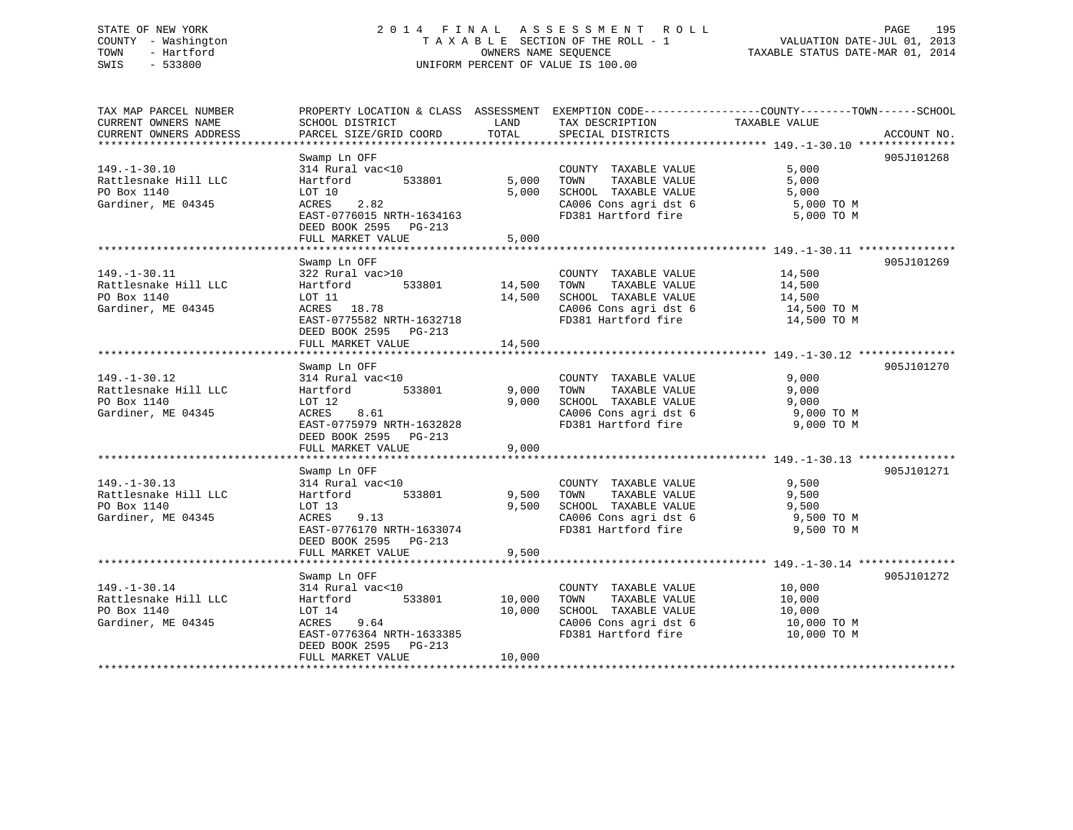## STATE OF NEW YORK 2 0 1 4 F I N A L A S S E S S M E N T R O L L PAGE 195 COUNTY - Washington T A X A B L E SECTION OF THE ROLL - 1 VALUATION DATE-JUL 01, 2013 TOWN - Hartford OWNERS NAME SEQUENCE TAXABLE STATUS DATE-MAR 01, 2014 SWIS - 533800 UNIFORM PERCENT OF VALUE IS 100.00

TAX MAP PARCEL NUMBER PROPERTY LOCATION & CLASS ASSESSMENT EXEMPTION CODE------------------COUNTY--------TOWN------SCHOOL

CURRENT OWNERS NAME SCHOOL DISTRICT THE LAND TAX DESCRIPTION TAXABLE VALUE CURRENT OWNERS ADDRESS PARCEL SIZE/GRID COORD TOTAL SPECIAL DISTRICTS ACCOUNT NO. \*\*\*\*\*\*\*\*\*\*\*\*\*\*\*\*\*\*\*\*\*\*\*\*\*\*\*\*\*\*\*\*\*\*\*\*\*\*\*\*\*\*\*\*\*\*\*\*\*\*\*\*\*\*\*\*\*\*\*\*\*\*\*\*\*\*\*\*\*\*\*\*\*\*\*\*\*\*\*\*\*\*\*\*\*\*\*\*\*\*\*\*\*\*\*\*\*\*\*\*\*\*\* 149.-1-30.10 \*\*\*\*\*\*\*\*\*\*\*\*\*\*\* Swamp Ln OFF 905J101268 149.-1-30.10 314 Rural vac<10 COUNTY TAXABLE VALUE 5,000 Rattlesnake Hill LLC Hartford 533801 5,000 TOWN TAXABLE VALUE 5,000 PO Box 1140 LOT 10 5,000 SCHOOL TAXABLE VALUE 5,000 Gardiner, ME 04345 ACRES 2.82 CA006 Cons agri dst 6 5,000 TO M EAST-0776015 NRTH-1634163 FD381 Hartford fire 5,000 TO M DEED BOOK 2595 PG-213 FULL MARKET VALUE 5,000 \*\*\*\*\*\*\*\*\*\*\*\*\*\*\*\*\*\*\*\*\*\*\*\*\*\*\*\*\*\*\*\*\*\*\*\*\*\*\*\*\*\*\*\*\*\*\*\*\*\*\*\*\*\*\*\*\*\*\*\*\*\*\*\*\*\*\*\*\*\*\*\*\*\*\*\*\*\*\*\*\*\*\*\*\*\*\*\*\*\*\*\*\*\*\*\*\*\*\*\*\*\*\* 149.-1-30.11 \*\*\*\*\*\*\*\*\*\*\*\*\*\*\* Swamp Ln OFF 905J101269 149.-1-30.11 322 Rural vac>10 COUNTY TAXABLE VALUE 14,500 Rattlesnake Hill LLC and Hartford 533801 14,500 TOWN TAXABLE VALUE 14,500 14,500 PO Box 1140 **LOT 11 LOT 11 14,500 SCHOOL TAXABLE VALUE** 14,500 **14,500** Gardiner, ME 04345 ACRES 18.78 CA006 Cons agri dst 6 14,500 TO M EAST-0775582 NRTH-1632718 FD381 Hartford fire 14,500 TO M DEED BOOK 2595 PG-213 FULL MARKET VALUE 14,500 \*\*\*\*\*\*\*\*\*\*\*\*\*\*\*\*\*\*\*\*\*\*\*\*\*\*\*\*\*\*\*\*\*\*\*\*\*\*\*\*\*\*\*\*\*\*\*\*\*\*\*\*\*\*\*\*\*\*\*\*\*\*\*\*\*\*\*\*\*\*\*\*\*\*\*\*\*\*\*\*\*\*\*\*\*\*\*\*\*\*\*\*\*\*\*\*\*\*\*\*\*\*\* 149.-1-30.12 \*\*\*\*\*\*\*\*\*\*\*\*\*\*\* Swamp Ln OFF 905J101270 149.-1-30.12 314 Rural vac<10 COUNTY TAXABLE VALUE 9,000 Rattlesnake Hill LLC Hartford 533801 9,000 TOWN TAXABLE VALUE 9,000 PO Box 1140 LOT 12 9,000 SCHOOL TAXABLE VALUE 9,000 Gardiner, ME 04345 ACRES 8.61 CA006 Cons agri dst 6 9,000 TO M EAST-0775979 NRTH-1632828 FD381 Hartford fire 9,000 TO M DEED BOOK 2595 PG-213FULL MARKET VALUE 9,000 \*\*\*\*\*\*\*\*\*\*\*\*\*\*\*\*\*\*\*\*\*\*\*\*\*\*\*\*\*\*\*\*\*\*\*\*\*\*\*\*\*\*\*\*\*\*\*\*\*\*\*\*\*\*\*\*\*\*\*\*\*\*\*\*\*\*\*\*\*\*\*\*\*\*\*\*\*\*\*\*\*\*\*\*\*\*\*\*\*\*\*\*\*\*\*\*\*\*\*\*\*\*\* 149.-1-30.13 \*\*\*\*\*\*\*\*\*\*\*\*\*\*\* Swamp Ln OFF 905J101271 149.-1-30.13 314 Rural vac<10 COUNTY TAXABLE VALUE 9,500 Rattlesnake Hill LLC Hartford 533801 9,500 TOWN TAXABLE VALUE 9,500 PO Box 1140 LOT 13<br>
Gardiner, ME 04345 ACRES 9.13 9.500 SCHOOL TAXABLE VALUE 9,500 9,500<br>
Gardiner, ME 04345 ACRES 9.13 CA006 Cons agri dst. 6 Gardiner, ME 04345 ACRES 9.13 CA006 Cons agri dst 6 9,500 TO M EAST-0776170 NRTH-1633074 FD381 Hartford fire 9,500 TO M DEED BOOK 2595 PG-213FULL MARKET VALUE 9,500 \*\*\*\*\*\*\*\*\*\*\*\*\*\*\*\*\*\*\*\*\*\*\*\*\*\*\*\*\*\*\*\*\*\*\*\*\*\*\*\*\*\*\*\*\*\*\*\*\*\*\*\*\*\*\*\*\*\*\*\*\*\*\*\*\*\*\*\*\*\*\*\*\*\*\*\*\*\*\*\*\*\*\*\*\*\*\*\*\*\*\*\*\*\*\*\*\*\*\*\*\*\*\* 149.-1-30.14 \*\*\*\*\*\*\*\*\*\*\*\*\*\*\*Swamp Ln OFF 905J101272 149.-1-30.14 314 Rural vac<10 COUNTY TAXABLE VALUE 10,000 Rattlesnake Hill LLC and Hartford 533801 10,000 TOWN TAXABLE VALUE 10,000 PO Box 1140 LOT 14 10,000 SCHOOL TAXABLE VALUE 10,000 Gardiner, ME 04345 ACRES 9.64 CA006 Cons agri dst 6 10,000 TO M EAST-0776364 NRTH-1633385 FD381 Hartford fire DEED BOOK 2595 PG-213 FULL MARKET VALUE 10,000 \*\*\*\*\*\*\*\*\*\*\*\*\*\*\*\*\*\*\*\*\*\*\*\*\*\*\*\*\*\*\*\*\*\*\*\*\*\*\*\*\*\*\*\*\*\*\*\*\*\*\*\*\*\*\*\*\*\*\*\*\*\*\*\*\*\*\*\*\*\*\*\*\*\*\*\*\*\*\*\*\*\*\*\*\*\*\*\*\*\*\*\*\*\*\*\*\*\*\*\*\*\*\*\*\*\*\*\*\*\*\*\*\*\*\*\*\*\*\*\*\*\*\*\*\*\*\*\*\*\*\*\*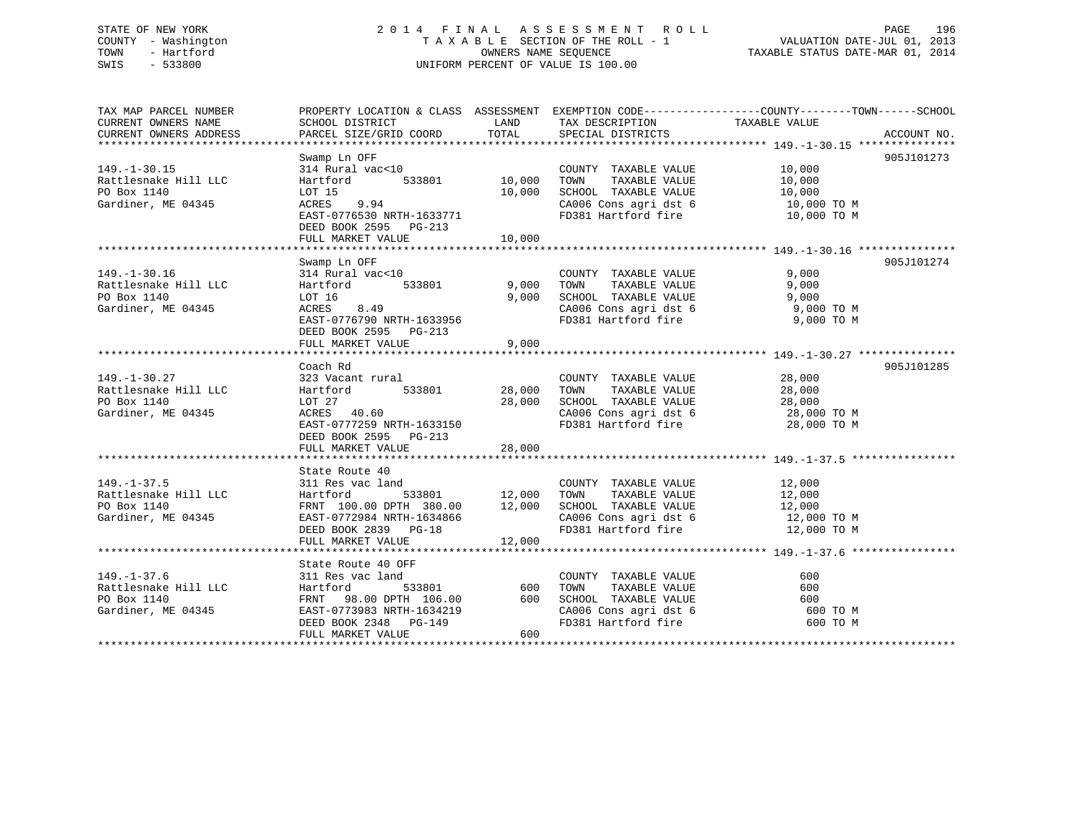## STATE OF NEW YORK 2 0 1 4 F I N A L A S S E S S M E N T R O L L PAGE 196 COUNTY - Washington T A X A B L E SECTION OF THE ROLL - 1 VALUATION DATE-JUL 01, 2013 TOWN - Hartford **TAXABLE STATUS DATE-MAR 01, 2014** OWNERS NAME SEQUENCE TAXABLE STATUS DATE-MAR 01, 2014 SWIS - 533800 UNIFORM PERCENT OF VALUE IS 100.00

| TAX MAP PARCEL NUMBER               |                            |               |                                               | PROPERTY LOCATION & CLASS ASSESSMENT EXEMPTION CODE---------------COUNTY-------TOWN------SCHOOL |  |
|-------------------------------------|----------------------------|---------------|-----------------------------------------------|-------------------------------------------------------------------------------------------------|--|
| CURRENT OWNERS NAME                 | SCHOOL DISTRICT            | LAND          | TAX DESCRIPTION                               | TAXABLE VALUE                                                                                   |  |
| CURRENT OWNERS ADDRESS              | PARCEL SIZE/GRID COORD     | TOTAL         | SPECIAL DISTRICTS                             | ACCOUNT NO.                                                                                     |  |
|                                     |                            |               |                                               |                                                                                                 |  |
|                                     | Swamp Ln OFF               |               |                                               | 905J101273                                                                                      |  |
| $149. - 1 - 30.15$                  | 314 Rural vac<10<br>533801 | 10,000        | COUNTY TAXABLE VALUE<br>TOWN<br>TAXABLE VALUE | 10,000                                                                                          |  |
| Rattlesnake Hill LLC<br>PO Box 1140 | Hartford<br>LOT 15         | 10,000        | SCHOOL TAXABLE VALUE                          | 10,000<br>10,000                                                                                |  |
| Gardiner, ME 04345                  | 9.94<br>ACRES              |               | CA006 Cons agri dst 6                         |                                                                                                 |  |
|                                     | EAST-0776530 NRTH-1633771  |               | FD381 Hartford fire                           | 10,000 TO M<br>10,000 TO M                                                                      |  |
|                                     | DEED BOOK 2595 PG-213      |               |                                               |                                                                                                 |  |
|                                     | FULL MARKET VALUE          | 10,000        |                                               |                                                                                                 |  |
|                                     |                            |               |                                               |                                                                                                 |  |
|                                     | Swamp Ln OFF               |               |                                               | 905J101274                                                                                      |  |
| $149. - 1 - 30.16$                  | 314 Rural vac<10           |               | COUNTY TAXABLE VALUE                          | 9,000                                                                                           |  |
| Rattlesnake Hill LLC                | 533801<br>Hartford         | 9,000         | TAXABLE VALUE<br>TOWN                         | 9,000                                                                                           |  |
| PO Box 1140                         | LOT 16                     | 9,000         | SCHOOL TAXABLE VALUE                          | 9,000                                                                                           |  |
| Gardiner, ME 04345                  | 8.49<br>ACRES              |               | CA006 Cons agri dst 6                         | 9,000 TO M                                                                                      |  |
|                                     | EAST-0776790 NRTH-1633956  |               | FD381 Hartford fire                           | 9,000 TO M                                                                                      |  |
|                                     | DEED BOOK 2595 PG-213      |               |                                               |                                                                                                 |  |
|                                     | FULL MARKET VALUE          | 9,000         |                                               |                                                                                                 |  |
|                                     |                            |               |                                               |                                                                                                 |  |
|                                     | Coach Rd                   |               |                                               | 905J101285                                                                                      |  |
| $149. - 1 - 30.27$                  | 323 Vacant rural           |               | COUNTY TAXABLE VALUE                          | 28,000                                                                                          |  |
| Rattlesnake Hill LLC                | 533801<br>Hartford         | 28,000        | TAXABLE VALUE<br>TOWN                         | 28,000                                                                                          |  |
| PO Box 1140                         | LOT 27                     | 28,000        | SCHOOL TAXABLE VALUE                          | 28,000                                                                                          |  |
| Gardiner, ME 04345                  | ACRES 40.60                |               | CA006 Cons agri dst 6 28,000 TO M             |                                                                                                 |  |
|                                     | EAST-0777259 NRTH-1633150  |               | FD381 Hartford fire                           | 28,000 TO M                                                                                     |  |
|                                     | DEED BOOK 2595 PG-213      |               |                                               |                                                                                                 |  |
|                                     | FULL MARKET VALUE          | 28,000        |                                               |                                                                                                 |  |
|                                     |                            |               |                                               |                                                                                                 |  |
|                                     | State Route 40             |               |                                               |                                                                                                 |  |
| $149. - 1 - 37.5$                   | 311 Res vac land           |               | COUNTY TAXABLE VALUE                          | 12,000                                                                                          |  |
| Rattlesnake Hill LLC                | Hartford                   | 533801 12,000 | TOWN<br>TAXABLE VALUE                         | 12,000                                                                                          |  |
| PO Box 1140                         | FRNT 100.00 DPTH 380.00    | 12,000        | SCHOOL TAXABLE VALUE                          | 12,000                                                                                          |  |
| Gardiner, ME 04345                  | EAST-0772984 NRTH-1634866  |               | CA006 Cons agri dst 6                         | 12,000 TO M                                                                                     |  |
|                                     | DEED BOOK 2839 PG-18       |               | FD381 Hartford fire                           | 12,000 TO M                                                                                     |  |
|                                     | FULL MARKET VALUE          | 12,000        |                                               |                                                                                                 |  |
|                                     |                            |               |                                               |                                                                                                 |  |
|                                     | State Route 40 OFF         |               |                                               |                                                                                                 |  |
| $149. - 1 - 37.6$                   | 311 Res vac land           |               | COUNTY TAXABLE VALUE                          | 600                                                                                             |  |
| Rattlesnake Hill LLC                | Hartford<br>533801         | 600           | TOWN<br>TAXABLE VALUE                         | 600                                                                                             |  |
| PO Box 1140                         | FRNT 98.00 DPTH 106.00     | 600           | SCHOOL TAXABLE VALUE                          | 600                                                                                             |  |
| Gardiner, ME 04345                  | EAST-0773983 NRTH-1634219  |               | $CAO06$ Cons agri dst $6$                     | 600 TO M                                                                                        |  |
|                                     | DEED BOOK 2348 PG-149      |               | FD381 Hartford fire                           | 600 TO M                                                                                        |  |
|                                     | FULL MARKET VALUE          | 600           |                                               |                                                                                                 |  |
|                                     |                            |               |                                               |                                                                                                 |  |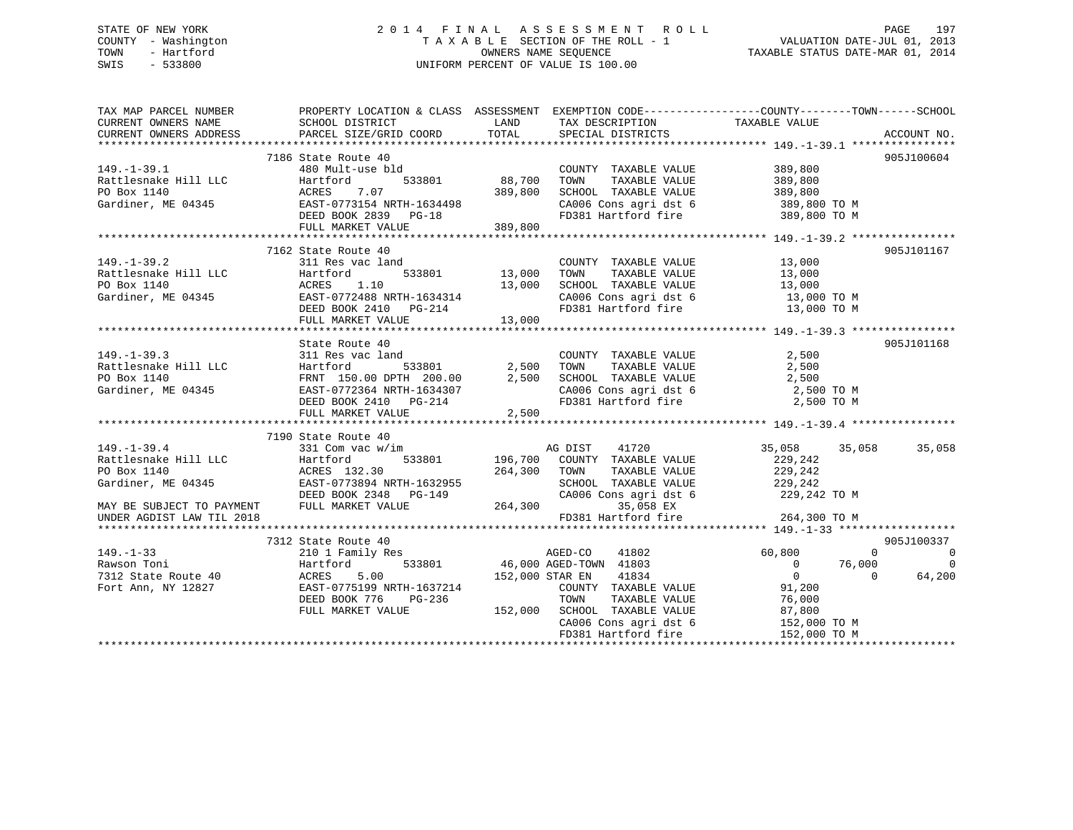## STATE OF NEW YORK 2 0 1 4 F I N A L A S S E S S M E N T R O L L PAGE 197 COUNTY - Washington T A X A B L E SECTION OF THE ROLL - 1 VALUATION DATE-JUL 01, 2013 TOWN - Hartford **TAXABLE STATUS DATE-MAR 01, 2014** OWNERS NAME SEQUENCE TAXABLE STATUS DATE-MAR 01, 2014 SWIS - 533800 UNIFORM PERCENT OF VALUE IS 100.00

| TAX MAP PARCEL NUMBER<br>CURRENT OWNERS NAME | PROPERTY LOCATION & CLASS ASSESSMENT EXEMPTION CODE---------------COUNTY-------TOWN------SCHOOL<br>SCHOOL DISTRICT                                                                                                                     | <b>LAND</b>                       | TAX DESCRIPTION                                                                                                                       | TAXABLE VALUE        |                                            |
|----------------------------------------------|----------------------------------------------------------------------------------------------------------------------------------------------------------------------------------------------------------------------------------------|-----------------------------------|---------------------------------------------------------------------------------------------------------------------------------------|----------------------|--------------------------------------------|
| CURRENT OWNERS ADDRESS                       | PARCEL SIZE/GRID COORD                                                                                                                                                                                                                 | TOTAL                             | SPECIAL DISTRICTS                                                                                                                     |                      | ACCOUNT NO.                                |
|                                              |                                                                                                                                                                                                                                        |                                   |                                                                                                                                       |                      |                                            |
|                                              | 7186 State Route 40                                                                                                                                                                                                                    |                                   |                                                                                                                                       |                      | 905J100604                                 |
| $149. - 1 - 39.1$                            | 480 Mult-use bld                                                                                                                                                                                                                       | d<br>533801                88,700 | COUNTY TAXABLE VALUE                                                                                                                  | 389,800<br>389.800   |                                            |
| Rattlesnake Hill LLC                         | Hartford                                                                                                                                                                                                                               |                                   | TAXABLE VALUE<br>TOWN                                                                                                                 | 389,800              |                                            |
| PO Box 1140                                  |                                                                                                                                                                                                                                        |                                   | SCHOOL TAXABLE VALUE 389,800                                                                                                          |                      |                                            |
| Gardiner, ME 04345                           |                                                                                                                                                                                                                                        |                                   |                                                                                                                                       |                      |                                            |
|                                              |                                                                                                                                                                                                                                        |                                   | CA006 Cons agri dst 6 389,800 TO M<br>FD381 Hartford fire 389,800 TO M                                                                |                      |                                            |
|                                              | ACRES 7.07<br>EAST-0773154 NRTH-1634498<br>DEED BOOK 2839 PG-18<br>HERD BOOK 2839 PG-18                                                                                                                                                |                                   |                                                                                                                                       |                      |                                            |
|                                              |                                                                                                                                                                                                                                        |                                   |                                                                                                                                       |                      |                                            |
|                                              | 7162 State Route 40                                                                                                                                                                                                                    |                                   |                                                                                                                                       |                      | 905J101167                                 |
| $149. - 1 - 39.2$                            | 311 Res vac land                                                                                                                                                                                                                       |                                   | COUNTY TAXABLE VALUE                                                                                                                  | 13,000               |                                            |
|                                              |                                                                                                                                                                                                                                        | $533801$ 13,000                   | TOWN                                                                                                                                  | TAXABLE VALUE 13,000 |                                            |
|                                              |                                                                                                                                                                                                                                        | 13,000                            | SCHOOL TAXABLE VALUE 13,000<br>CA006 Cons agri dst 6 13,000 TO M                                                                      |                      |                                            |
|                                              |                                                                                                                                                                                                                                        |                                   |                                                                                                                                       |                      |                                            |
|                                              |                                                                                                                                                                                                                                        |                                   | FD381 Hartford fire 13,000 TO M                                                                                                       |                      |                                            |
|                                              | DEED BOOK 2410 PG-214<br>FULL MARKET VALUE 13,000                                                                                                                                                                                      |                                   |                                                                                                                                       |                      |                                            |
|                                              |                                                                                                                                                                                                                                        |                                   |                                                                                                                                       |                      |                                            |
|                                              | State Route 40                                                                                                                                                                                                                         |                                   |                                                                                                                                       |                      | 905J101168                                 |
| $149. - 1 - 39.3$                            | 311 Res vac land                                                                                                                                                                                                                       |                                   | COUNTY TAXABLE VALUE 2,500                                                                                                            |                      |                                            |
| Rattlesnake Hill LLC                         |                                                                                                                                                                                                                                        |                                   |                                                                                                                                       |                      |                                            |
| PO Box 1140                                  |                                                                                                                                                                                                                                        |                                   |                                                                                                                                       |                      |                                            |
| Gardiner, ME 04345                           |                                                                                                                                                                                                                                        |                                   |                                                                                                                                       |                      |                                            |
|                                              |                                                                                                                                                                                                                                        |                                   |                                                                                                                                       |                      |                                            |
|                                              | Hartford 533801 2,500 TOWN TAXABLE VALUE 2,500<br>FRNT 150.00 DPTH 200.00 2,500 SCHOOL TAXABLE VALUE 2,500<br>EAST-0772364 NRTH-1634307 CA006 Cons agri dst 6 2,500 TOWN<br>DEED BOOK 2410 PG-214 FD381 Hartford fire 2,500 TO M<br>FU |                                   |                                                                                                                                       |                      |                                            |
|                                              |                                                                                                                                                                                                                                        |                                   |                                                                                                                                       |                      |                                            |
|                                              | 7190 State Route 40                                                                                                                                                                                                                    |                                   |                                                                                                                                       |                      |                                            |
| $149. - 1 - 39.4$                            | 331 Com vac w/im                                                                                                                                                                                                                       |                                   | AG DIST<br>41720                                                                                                                      | 35,058               | 35,058<br>35,058                           |
| Rattlesnake Hill LLC                         |                                                                                                                                                                                                                                        |                                   |                                                                                                                                       | 229,242              |                                            |
| PO Box 1140                                  | Hartford<br>ACRES 132.30                                                                                                                                                                                                               | 264,300 TOWN                      | 533801 196,700 COUNTY TAXABLE VALUE<br>TAXABLE VALUE                                                                                  | 229,242              |                                            |
|                                              | EAST-0773894 NRTH-1632955                                                                                                                                                                                                              |                                   |                                                                                                                                       |                      |                                            |
| Gardiner, ME 04345                           | 001-0773894 NRTH-1632955<br>DEED BOOK 2348 PG-149                                                                                                                                                                                      |                                   |                                                                                                                                       |                      |                                            |
|                                              |                                                                                                                                                                                                                                        |                                   | SCHOOL TAXABLE VALUE 229,242<br>CA006 Cons agri dst 6 229,242<br>35,058 EX 229,242                                                    | 229,242 TO M         |                                            |
| MAY BE SUBJECT TO PAYMENT                    | FULL MARKET VALUE                                                                                                                                                                                                                      | 264,300                           |                                                                                                                                       |                      |                                            |
| UNDER AGDIST LAW TIL 2018                    |                                                                                                                                                                                                                                        |                                   | FD381 Hartford fire                                                                                                                   | 264,300 TO M         |                                            |
|                                              |                                                                                                                                                                                                                                        |                                   |                                                                                                                                       |                      |                                            |
|                                              | 7312 State Route 40                                                                                                                                                                                                                    |                                   |                                                                                                                                       |                      | 905J100337                                 |
| $149. - 1 - 33$                              | 210 1 Family Res                                                                                                                                                                                                                       |                                   | $\begin{array}{ccc}\n 3 & \text{AGED-CO} & 41802 \\  533801 & 46,000 \text{ AGED-CTOMN} & 41803 \\  \hline\n 6 & 41803\n \end{array}$ | 60,800               | $\overline{\phantom{0}}$<br>$\overline{0}$ |
| Rawson Toni                                  | Hartford                                                                                                                                                                                                                               |                                   |                                                                                                                                       | $0 \t 76,000$        | $\Omega$                                   |
| 7312 State Route 40                          | 5.00<br>ACRES                                                                                                                                                                                                                          | 152,000 STAR EN                   | 41834                                                                                                                                 | $\overline{0}$       | $\Omega$<br>64,200                         |
| Fort Ann, NY 12827                           | EAST-0775199 NRTH-1637214                                                                                                                                                                                                              |                                   | COUNTY TAXABLE VALUE                                                                                                                  | 91,200               |                                            |
|                                              | DEED BOOK 776<br>PG-236                                                                                                                                                                                                                |                                   | TOWN<br>TAXABLE VALUE                                                                                                                 | 76,000               |                                            |
|                                              | FULL MARKET VALUE                                                                                                                                                                                                                      |                                   | 152,000 SCHOOL TAXABLE VALUE                                                                                                          | 87,800               |                                            |
|                                              |                                                                                                                                                                                                                                        |                                   | CA006 Cons agri dst 6                                                                                                                 | 152,000 TO M         |                                            |
|                                              |                                                                                                                                                                                                                                        |                                   | FD381 Hartford fire                                                                                                                   | 152,000 TO M         |                                            |
|                                              |                                                                                                                                                                                                                                        |                                   |                                                                                                                                       |                      |                                            |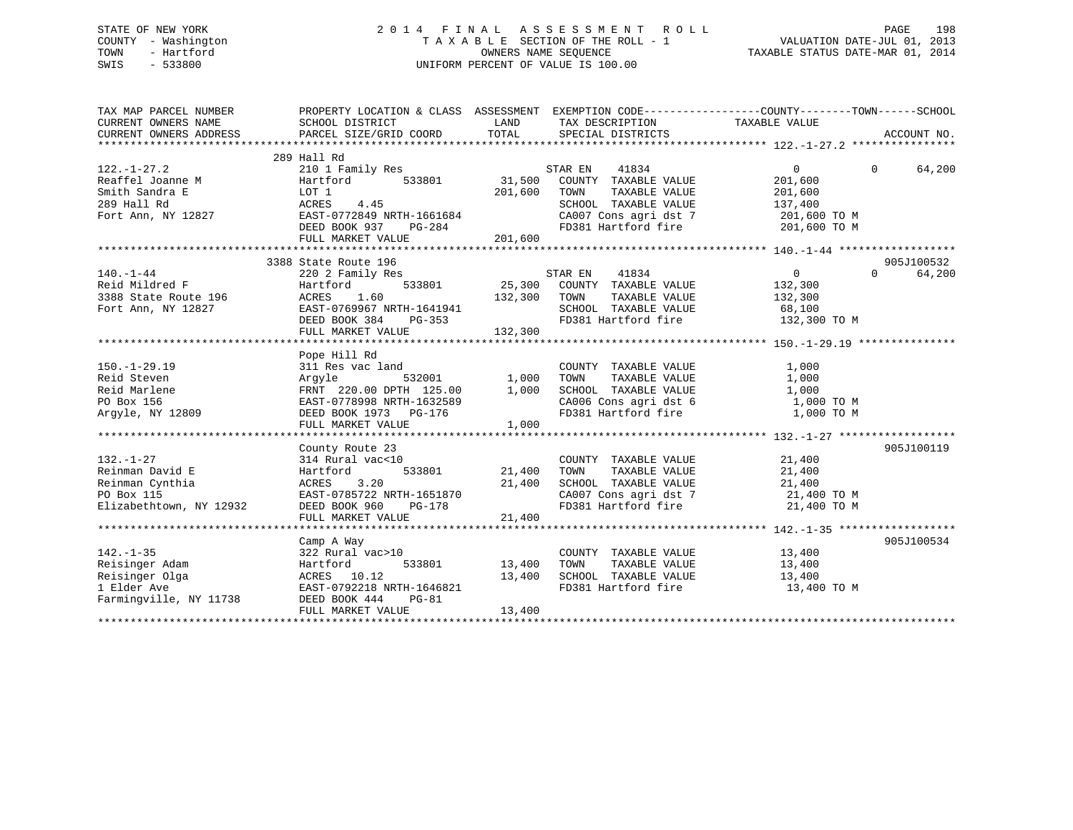## STATE OF NEW YORK 2 0 1 4 F I N A L A S S E S S M E N T R O L L PAGE 198 COUNTY - Washington T A X A B L E SECTION OF THE ROLL - 1 VALUATION DATE-JUL 01, 2013 TOWN - Hartford **TAXABLE STATUS DATE-MAR 01, 2014** OWNERS NAME SEQUENCE TAXABLE STATUS DATE-MAR 01, 2014 SWIS - 533800 UNIFORM PERCENT OF VALUE IS 100.00

| TAX MAP PARCEL NUMBER                                                                                                                                                                                                                | PROPERTY LOCATION & CLASS ASSESSMENT EXEMPTION CODE----------------COUNTY-------TOWN-----SCHOOL |               |                                                                                                                                                                |                |                    |
|--------------------------------------------------------------------------------------------------------------------------------------------------------------------------------------------------------------------------------------|-------------------------------------------------------------------------------------------------|---------------|----------------------------------------------------------------------------------------------------------------------------------------------------------------|----------------|--------------------|
|                                                                                                                                                                                                                                      | 289 Hall Rd                                                                                     |               |                                                                                                                                                                |                |                    |
| $122. - 1 - 27.2$                                                                                                                                                                                                                    | 210 1 Family Res                                                                                |               | 41834<br>STAR EN                                                                                                                                               | $\overline{0}$ | $\Omega$<br>64,200 |
| Reaffel Joanne M                                                                                                                                                                                                                     | Hartford 533801 31,500                                                                          |               | COUNTY TAXABLE VALUE                                                                                                                                           | 201,600        |                    |
| Smith Sandra E                                                                                                                                                                                                                       | LOT 1                                                                                           | 201,600       | TOWN<br>TAXABLE VALUE                                                                                                                                          | 201,600        |                    |
| Smith Sandra E<br>289 Hall Rd<br>Fort Ann, NY 12827<br>Fort Ann, NY 12827<br>EAST-0772849 NRTH-1661684                                                                                                                               |                                                                                                 |               | SCHOOL TAXABLE VALUE                                                                                                                                           | 137,400        |                    |
|                                                                                                                                                                                                                                      |                                                                                                 |               |                                                                                                                                                                |                |                    |
|                                                                                                                                                                                                                                      | DEED BOOK 937<br>$PG-284$                                                                       |               | CA007 Cons agri dst 7 201,600 TO M<br>FD381 Hartford fire                                                                                                      | 201,600 TO M   |                    |
|                                                                                                                                                                                                                                      | FULL MARKET VALUE                                                                               | 201,600       |                                                                                                                                                                |                |                    |
|                                                                                                                                                                                                                                      |                                                                                                 |               |                                                                                                                                                                |                |                    |
|                                                                                                                                                                                                                                      | 3388 State Route 196                                                                            |               |                                                                                                                                                                |                | 905J100532         |
| $140. - 1 - 44$                                                                                                                                                                                                                      | 220 2 Family Res                                                                                |               | STAR EN<br>41834                                                                                                                                               | $\overline{0}$ | $\Omega$<br>64,200 |
| 140.-1-44<br>Reid Mildred F<br>3388 State Route 196<br>Fort Ann NY 12827                                                                                                                                                             | Hartford                                                                                        |               | 533801 25,300 COUNTY TAXABLE VALUE                                                                                                                             | 132,300        |                    |
|                                                                                                                                                                                                                                      |                                                                                                 |               |                                                                                                                                                                |                |                    |
|                                                                                                                                                                                                                                      |                                                                                                 |               |                                                                                                                                                                |                |                    |
|                                                                                                                                                                                                                                      |                                                                                                 |               |                                                                                                                                                                |                |                    |
|                                                                                                                                                                                                                                      |                                                                                                 |               |                                                                                                                                                                |                |                    |
| 132,300 TOWN TAXABLE VALUE 132,300<br>28 State Route 196 ACRES 1.60 132,300 TOWN TAXABLE VALUE 132,300<br>28 State Route 196 EAST-0769967 NRTH-1641941 SCHOOL TAXABLE VALUE 68,100<br>DEED BOOK 384 PG-353 FD381 Hartford fire 132,3 |                                                                                                 |               |                                                                                                                                                                |                |                    |
|                                                                                                                                                                                                                                      | Pope Hill Rd                                                                                    |               |                                                                                                                                                                |                |                    |
| $150. - 1 - 29.19$                                                                                                                                                                                                                   | 311 Res vac land                                                                                |               |                                                                                                                                                                | 1,000          |                    |
| Reid Steven                                                                                                                                                                                                                          | Arqyle                                                                                          |               | COUNTY TAXABLE VALUE<br>TOWN TAXABLE VALUE                                                                                                                     | 1,000          |                    |
| Reid Marlene                                                                                                                                                                                                                         |                                                                                                 |               | TOWN TAXABLE VALUE 1,000<br>SCHOOL TAXABLE VALUE 1,000 TO M                                                                                                    |                |                    |
| PO Box 156                                                                                                                                                                                                                           | FRNT 220.00 DPTH 125.00 1,000<br>EAST-0778998 NRTH-1632589                                      |               |                                                                                                                                                                |                |                    |
| Arqyle, NY 12809                                                                                                                                                                                                                     | DEED BOOK 1973 PG-176                                                                           |               | CA006 Cons agri dst 6<br>FD381 Hartford fire                                                                                                                   | 1,000 TO M     |                    |
|                                                                                                                                                                                                                                      | FULL MARKET VALUE                                                                               | 1,000         |                                                                                                                                                                |                |                    |
|                                                                                                                                                                                                                                      |                                                                                                 |               |                                                                                                                                                                |                |                    |
|                                                                                                                                                                                                                                      | County Route 23                                                                                 |               |                                                                                                                                                                |                | 905J100119         |
| $132. - 1 - 27$                                                                                                                                                                                                                      | 314 Rural vac<10                                                                                |               |                                                                                                                                                                |                |                    |
| Reinman David E                                                                                                                                                                                                                      | Hartford                                                                                        | 533801 21,400 | COUNTY TAXABLE VALUE 21,400                                                                                                                                    |                |                    |
| Reinman Cynthia                                                                                                                                                                                                                      | 3.20                                                                                            | 21,400        | $\begin{tabular}{lllllllllll} \texttt{TONN} & \texttt{TAXABLE VALUE} & & & & 21,400 \\ \texttt{SCHOOL} & \texttt{TAXABLE VALUE} & & & 21,400 \\ \end{tabular}$ |                |                    |
| PO Box 115                                                                                                                                                                                                                           | ACRES 3.20<br>EAST-0785722 NRTH-1651870                                                         |               |                                                                                                                                                                |                |                    |
| Elizabethtown, NY 12932                                                                                                                                                                                                              |                                                                                                 |               | CA007 Cons agri dst 7 and 21,400 TO M<br>FD381 Hartford fire 21,400 TO M                                                                                       |                |                    |
|                                                                                                                                                                                                                                      | FULL MARKET VALUE                                                                               | 21,400        |                                                                                                                                                                |                |                    |
|                                                                                                                                                                                                                                      |                                                                                                 |               |                                                                                                                                                                |                |                    |
|                                                                                                                                                                                                                                      | Camp A Way                                                                                      |               |                                                                                                                                                                |                | 905J100534         |
| $142. - 1 - 35$                                                                                                                                                                                                                      | 322 Rural vac>10                                                                                |               | COUNTY TAXABLE VALUE 13,400                                                                                                                                    |                |                    |
| Reisinger Adam                                                                                                                                                                                                                       | 533801<br>Hartford                                                                              | 13,400        | TOWN                                                                                                                                                           |                |                    |
| Reisinger Olga                                                                                                                                                                                                                       | ACRES 10.12                                                                                     | 13,400        | TAXABLE VALUE 13,400<br>TAXABLE VALUE 13,400<br>SCHOOL TAXABLE VALUE                                                                                           |                |                    |
| 1 Elder Ave                                                                                                                                                                                                                          | EAST-0792218 NRTH-1646821                                                                       |               | FD381 Hartford fire                                                                                                                                            | 13,400 TO M    |                    |
| Farmingville, NY 11738                                                                                                                                                                                                               | DEED BOOK 444<br>PG-81                                                                          |               |                                                                                                                                                                |                |                    |
|                                                                                                                                                                                                                                      | FULL MARKET VALUE                                                                               | 13,400        |                                                                                                                                                                |                |                    |
|                                                                                                                                                                                                                                      |                                                                                                 |               |                                                                                                                                                                |                |                    |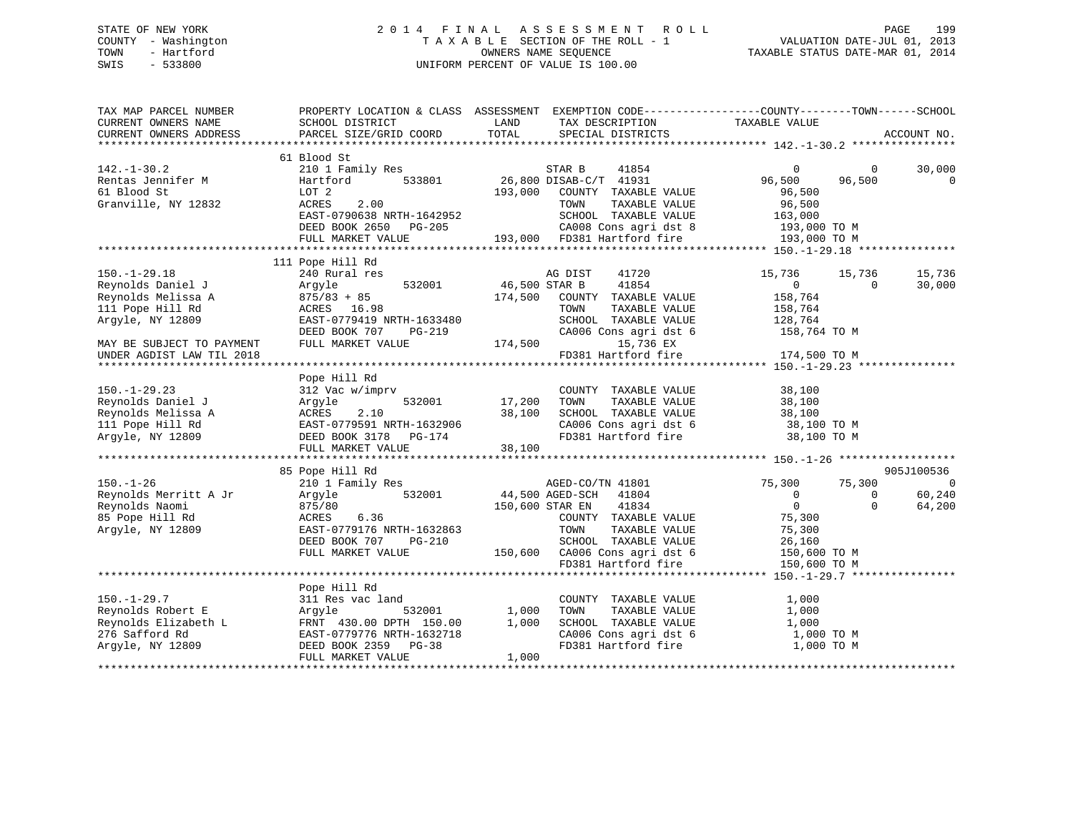## STATE OF NEW YORK 2 0 1 4 F I N A L A S S E S S M E N T R O L L PAGE 199 COUNTY - Washington T A X A B L E SECTION OF THE ROLL - 1 VALUATION DATE-JUL 01, 2013 TOWN - Hartford OWNERS NAME SEQUENCE TAXABLE STATUS DATE-MAR 01, 2014 SWIS - 533800 UNIFORM PERCENT OF VALUE IS 100.00

| TAX MAP PARCEL NUMBER<br>CURRENT OWNERS NAME | PROPERTY LOCATION & CLASS ASSESSMENT<br>SCHOOL DISTRICT | LAND<br>TAX DESCRIPTION          | EXEMPTION CODE-----------------COUNTY-------TOWN------SCHOOL<br>TAXABLE VALUE |             |
|----------------------------------------------|---------------------------------------------------------|----------------------------------|-------------------------------------------------------------------------------|-------------|
| CURRENT OWNERS ADDRESS                       | PARCEL SIZE/GRID COORD                                  | TOTAL<br>SPECIAL DISTRICTS       |                                                                               | ACCOUNT NO. |
|                                              |                                                         |                                  |                                                                               |             |
|                                              | 61 Blood St                                             |                                  |                                                                               |             |
| $142. - 1 - 30.2$                            | 210 1 Family Res                                        | STAR B<br>41854                  | $\overline{0}$<br>$\overline{0}$                                              | 30,000      |
| Rentas Jennifer M                            | 533801<br>Hartford                                      | 26,800 DISAB-C/T 41931           | 96,500<br>96,500                                                              | 0           |
| 61 Blood St                                  | LOT 2                                                   | 193,000<br>COUNTY TAXABLE VALUE  | 96,500                                                                        |             |
| Granville, NY 12832                          | 2.00<br>ACRES                                           | TAXABLE VALUE<br>TOWN            | 96,500                                                                        |             |
|                                              | EAST-0790638 NRTH-1642952                               | SCHOOL TAXABLE VALUE             | 163,000                                                                       |             |
|                                              | DEED BOOK 2650<br>PG-205                                | CA008 Cons agri dst 8            | 193,000 TO M                                                                  |             |
|                                              | FULL MARKET VALUE                                       | 193,000 FD381 Hartford fire      | 193,000 TO M                                                                  |             |
|                                              | 111 Pope Hill Rd                                        |                                  |                                                                               |             |
| $150. - 1 - 29.18$                           | 240 Rural res                                           | AG DIST<br>41720                 | 15,736<br>15,736                                                              | 15,736      |
| Reynolds Daniel J                            | 532001<br>Argyle                                        | 46,500 STAR B<br>41854           | $\overline{0}$<br>$\Omega$                                                    | 30,000      |
| Reynolds Melissa A                           | $875/83 + 85$                                           | 174,500<br>COUNTY TAXABLE VALUE  | 158,764                                                                       |             |
| 111 Pope Hill Rd                             | ACRES 16.98                                             | TOWN<br>TAXABLE VALUE            | 158,764                                                                       |             |
| Argyle, NY 12809                             | EAST-0779419 NRTH-1633480                               | SCHOOL TAXABLE VALUE             | 128,764                                                                       |             |
|                                              | DEED BOOK 707<br>PG-219                                 | CA006 Cons agri dst 6            | 158,764 TO M                                                                  |             |
| MAY BE SUBJECT TO PAYMENT                    | FULL MARKET VALUE                                       | 174,500<br>15,736 EX             |                                                                               |             |
| UNDER AGDIST LAW TIL 2018                    |                                                         | FD381 Hartford fire              |                                                                               |             |
|                                              |                                                         |                                  | 174,500 TO M                                                                  |             |
|                                              | Pope Hill Rd                                            |                                  |                                                                               |             |
| $150. - 1 - 29.23$                           | 312 Vac w/imprv                                         | COUNTY TAXABLE VALUE             | 38,100                                                                        |             |
| Reynolds Daniel J                            | 532001<br>Argyle                                        | 17,200<br>TOWN<br>TAXABLE VALUE  | 38,100                                                                        |             |
| Reynolds Melissa A                           | ACRES<br>2.10                                           | 38,100<br>SCHOOL TAXABLE VALUE   | 38,100                                                                        |             |
| 111 Pope Hill Rd                             | EAST-0779591 NRTH-1632906                               | CA006 Cons agri dst 6            | 38,100 TO M                                                                   |             |
| Argyle, NY 12809                             | DEED BOOK 3178 PG-174                                   | FD381 Hartford fire              | 38,100 TO M                                                                   |             |
|                                              | FULL MARKET VALUE                                       | 38,100                           |                                                                               |             |
|                                              |                                                         |                                  |                                                                               |             |
|                                              | 85 Pope Hill Rd                                         |                                  |                                                                               | 905J100536  |
| $150. - 1 - 26$                              | 210 1 Family Res                                        | AGED-CO/TN 41801                 | 75,300<br>75,300                                                              | 0           |
| Reynolds Merritt A Jr                        | 532001<br>Argyle                                        | 44,500 AGED-SCH 41804            | $\overline{0}$<br>$\Omega$                                                    | 60,240      |
| Reynolds Naomi                               | 875/80                                                  | 41834<br>150,600 STAR EN         | $\overline{0}$<br>$\Omega$                                                    | 64,200      |
| 85 Pope Hill Rd                              | ACRES<br>6.36                                           | COUNTY TAXABLE VALUE             | 75,300                                                                        |             |
| Argyle, NY 12809                             | EAST-0779176 NRTH-1632863                               | TOWN<br>TAXABLE VALUE            | 75,300                                                                        |             |
|                                              | DEED BOOK 707<br>PG-210                                 | SCHOOL TAXABLE VALUE             | 26,160                                                                        |             |
|                                              | FULL MARKET VALUE                                       | 150,600<br>CA006 Cons agri dst 6 | 150,600 TO M                                                                  |             |
|                                              |                                                         | FD381 Hartford fire              | 150,600 TO M                                                                  |             |
|                                              |                                                         |                                  |                                                                               |             |
|                                              | Pope Hill Rd                                            |                                  |                                                                               |             |
| $150. - 1 - 29.7$                            | 311 Res vac land                                        | COUNTY TAXABLE VALUE             | 1,000                                                                         |             |
| Reynolds Robert E                            | 532001<br>Argyle                                        | 1,000<br>TOWN<br>TAXABLE VALUE   | 1,000                                                                         |             |
| Reynolds Elizabeth L                         | FRNT 430.00 DPTH 150.00                                 | 1,000<br>SCHOOL TAXABLE VALUE    | 1,000                                                                         |             |
| 276 Safford Rd                               | EAST-0779776 NRTH-1632718                               | CA006 Cons agri dst 6            | 1,000 TO M                                                                    |             |
| Argyle, NY 12809                             | DEED BOOK 2359<br>$PG-38$                               | FD381 Hartford fire              | 1,000 TO M                                                                    |             |
|                                              | FULL MARKET VALUE                                       | 1,000                            |                                                                               |             |
|                                              |                                                         |                                  |                                                                               |             |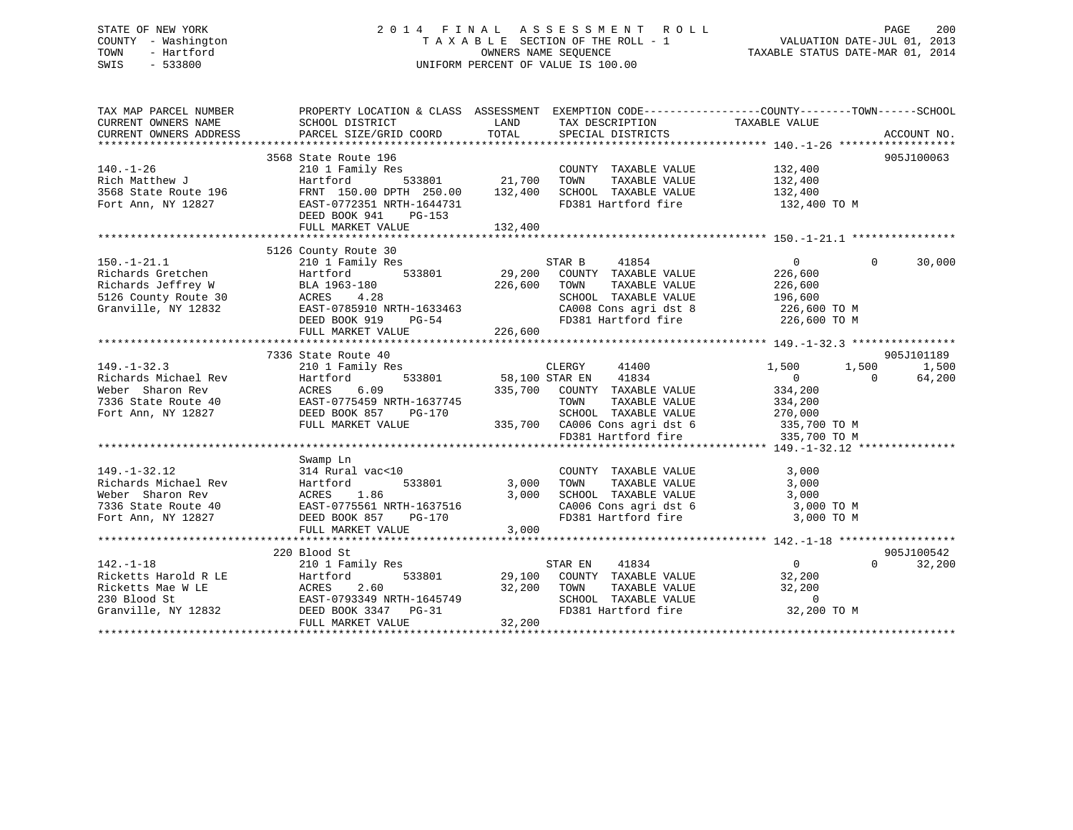## STATE OF NEW YORK 2 0 1 4 F I N A L A S S E S S M E N T R O L L PAGE 200 COUNTY - Washington T A X A B L E SECTION OF THE ROLL - 1 VALUATION DATE-JUL 01, 2013 TOWN - Hartford **TAXABLE STATUS DATE-MAR 01, 2014** OWNERS NAME SEQUENCE TAXABLE STATUS DATE-MAR 01, 2014 SWIS - 533800 UNIFORM PERCENT OF VALUE IS 100.00

| TAX MAP PARCEL NUMBER<br>PROPERTY LOCATION & CLASS ASSESSMENT EXEMPTION CODE---------------COUNTY-------TOWN------SCHOOL<br>CURRENT OWNERS NAME<br>SCHOOL DISTRICT<br>TAX DESCRIPTION TAXABLE VALUE<br>LAND<br>PARCEL SIZE/GRID COORD<br>TOTAL<br>CURRENT OWNERS ADDRESS<br>SPECIAL DISTRICTS                                | ACCOUNT NO.              |
|------------------------------------------------------------------------------------------------------------------------------------------------------------------------------------------------------------------------------------------------------------------------------------------------------------------------------|--------------------------|
|                                                                                                                                                                                                                                                                                                                              |                          |
| 3568 State Route 196                                                                                                                                                                                                                                                                                                         | 905J100063               |
| $140. - 1 - 26$<br>210 1 Family Res<br>COUNTY TAXABLE VALUE<br>132,400                                                                                                                                                                                                                                                       |                          |
| 140.-1-26<br>Rich Matthew J<br>3568 State Route 196<br>Tort Ann. NY 12827<br>Tort Ann. NY 12827<br>Tort Ann. NY 12827<br>Topic RAST-0772351 NRTH-1644731<br>PG-153<br>533801 21,700<br>DPTH 250.00 132,400<br>TAXABLE VALUE<br>TOWN                                                                                          |                          |
| 132,400<br>132,400<br>SCHOOL TAXABLE VALUE                                                                                                                                                                                                                                                                                   |                          |
| FD381 Hartford fire 132,400 TO M                                                                                                                                                                                                                                                                                             |                          |
|                                                                                                                                                                                                                                                                                                                              |                          |
| 132,400<br>FULL MARKET VALUE                                                                                                                                                                                                                                                                                                 |                          |
|                                                                                                                                                                                                                                                                                                                              |                          |
| 5126 County Route 30                                                                                                                                                                                                                                                                                                         |                          |
| 210 1 Family Res<br>STAR B<br>$\overline{0}$<br>$150. - 1 - 21.1$<br>41854                                                                                                                                                                                                                                                   | $\mathbf{0}$<br>30,000   |
| 29,200 COUNTY TAXABLE VALUE<br>226,600                                                                                                                                                                                                                                                                                       |                          |
| TOWN<br>TAXABLE VALUE<br>226,600                                                                                                                                                                                                                                                                                             |                          |
| 196,600<br>SCHOOL TAXABLE VALUE                                                                                                                                                                                                                                                                                              |                          |
| 150.-1-21.1<br>Richards Gretchen<br>Richards Jeffrey W<br>BLA 1963-180<br>5126 County Route 30<br>Granville, NY 12832<br>EAST-0785910 NRTH-1633463<br>DEED BOOK 919<br>PG-54<br>226,600<br>226,600<br>226,600<br>226,600<br>DEED BOOK 919<br>PG-54<br>CA008 Cons agri dst 8 226,600 TO M<br>FD381 Hartford fire 226,600 TO M |                          |
|                                                                                                                                                                                                                                                                                                                              |                          |
| 226,600<br>FULL MARKET VALUE                                                                                                                                                                                                                                                                                                 |                          |
|                                                                                                                                                                                                                                                                                                                              |                          |
| 7336 State Route 40                                                                                                                                                                                                                                                                                                          | 905J101189               |
| 210 1 Family Res<br>Hartford 533801 58,100 STAR EN<br>41400<br>$149. - 1 - 32.3$<br>1,500                                                                                                                                                                                                                                    | 1,500<br>1,500           |
| Richards Michael Rev<br>41834<br>$\overline{0}$<br>Hartford                                                                                                                                                                                                                                                                  | $\overline{0}$<br>64,200 |
| 335,700 COUNTY TAXABLE VALUE<br>ACRES 6.09<br>EAST-0775459 NRTH-1637745<br>DEED BOOK 857 PG-170<br>Weber Sharon Rev<br>334,200                                                                                                                                                                                               |                          |
| 7336 State Route 40<br>TOWN TAXABLE VALUE 334,200<br>SCHOOL TAXABLE VALUE 270,000                                                                                                                                                                                                                                            |                          |
| Fort Ann, NY 12827                                                                                                                                                                                                                                                                                                           |                          |
| 335,700 CA006 Cons agri dst 6 335,700 TO M<br>FULL MARKET VALUE                                                                                                                                                                                                                                                              |                          |
| FD381 Hartford fire<br>335,700 TO M                                                                                                                                                                                                                                                                                          |                          |
|                                                                                                                                                                                                                                                                                                                              |                          |
| Swamp Ln                                                                                                                                                                                                                                                                                                                     |                          |
| $149. - 1 - 32.12$<br>314 Rural vac<10<br>COUNTY TAXABLE VALUE<br>3,000                                                                                                                                                                                                                                                      |                          |
| 533801 3,000<br>Richards Michael Rev<br>TOWN<br>TAXABLE VALUE<br>3,000                                                                                                                                                                                                                                                       |                          |
| Hartford 533801<br>ACRES 1.86<br>EAST-0775561 NRTH-1637516<br>Weber Sharon Rev<br>3,000<br>SCHOOL TAXABLE VALUE<br>3,000<br>SCHOOL TAXABLE VALUE 3,000<br>CA006 Cons agri dst 6 3,000 TO M                                                                                                                                   |                          |
| 7336 State Route 40                                                                                                                                                                                                                                                                                                          |                          |
| DEED BOOK 857<br>FD381 Hartford fire<br>Fort Ann, NY 12827<br>PG-170                                                                                                                                                                                                                                                         | 3,000 TO M               |
| 3,000<br>FULL MARKET VALUE                                                                                                                                                                                                                                                                                                   |                          |
|                                                                                                                                                                                                                                                                                                                              |                          |
| 220 Blood St                                                                                                                                                                                                                                                                                                                 | 905J100542               |
| $\overline{0}$<br>$142. - 1 - 18$<br>STAR EN 41834<br>210 1 Family Res                                                                                                                                                                                                                                                       | 32,200<br>$\Omega$       |
| 29,100 COUNTY TAXABLE VALUE<br>32,200                                                                                                                                                                                                                                                                                        |                          |
| 32,200 TOWN<br>TOWN TAXABLE VALUE 32,200<br>SCHOOL TAXABLE VALUE 0<br>FD381 Hartford fire 32,200 TO M                                                                                                                                                                                                                        |                          |
|                                                                                                                                                                                                                                                                                                                              |                          |
| Ricketts Harold R LE (2.60 32,200 ACRES 2.60 32,200 32,200 32,200 230 Blood St (2.60 EAST-0793349 NRTH-1645749 $\overline{230}$ Blood St (2.6006 PERS BOOK 3347 PG-31 2.6006 PERS BOOK 3347 PG-31 2.6006 PERS BOOK 3347 PG-31 2.6006                                                                                         |                          |
| 32,200<br>FULL MARKET VALUE                                                                                                                                                                                                                                                                                                  |                          |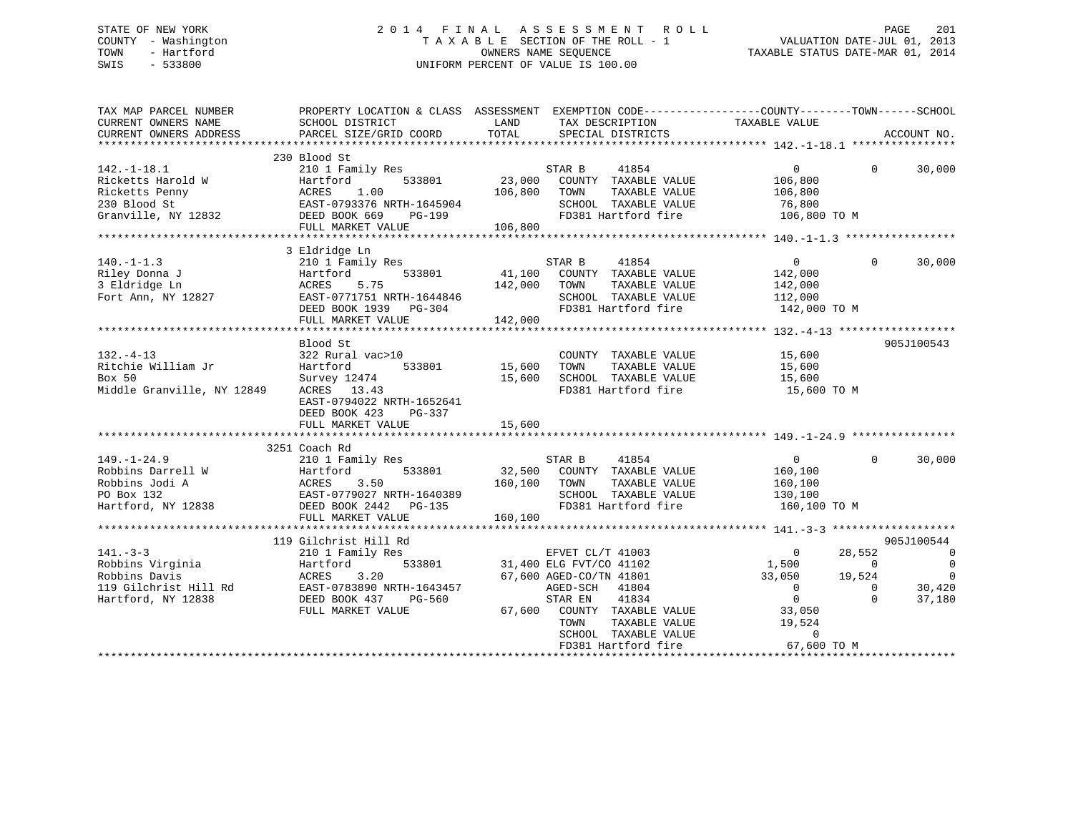## STATE OF NEW YORK 2 0 1 4 F I N A L A S S E S S M E N T R O L L PAGE 201 COUNTY - Washington T A X A B L E SECTION OF THE ROLL - 1 VALUATION DATE-JUL 01, 2013 TOWN - Hartford **TAXABLE STATUS DATE-MAR 01, 2014** OWNERS NAME SEQUENCE TAXABLE STATUS DATE-MAR 01, 2014 SWIS - 533800 UNIFORM PERCENT OF VALUE IS 100.00

| TAX MAP PARCEL NUMBER<br>CURRENT OWNERS NAME    | PROPERTY LOCATION & CLASS ASSESSMENT<br>SCHOOL DISTRICT         | LAND                                 | TAX DESCRIPTION             | EXEMPTION CODE-----------------COUNTY-------TOWN------SCHOOL<br>TAXABLE VALUE |                |                          |
|-------------------------------------------------|-----------------------------------------------------------------|--------------------------------------|-----------------------------|-------------------------------------------------------------------------------|----------------|--------------------------|
| CURRENT OWNERS ADDRESS                          | PARCEL SIZE/GRID COORD                                          | TOTAL                                | SPECIAL DISTRICTS           |                                                                               |                | ACCOUNT NO.              |
|                                                 |                                                                 |                                      |                             |                                                                               |                |                          |
|                                                 | 230 Blood St                                                    |                                      |                             |                                                                               |                |                          |
| $142. - 1 - 18.1$                               | 210 1 Family Res                                                |                                      | 41854<br>STAR B             | $\Omega$                                                                      | $\Omega$       | 30,000                   |
| Ricketts Harold W                               | 533801<br>Hartford                                              | 23,000                               | COUNTY TAXABLE VALUE        | 106,800                                                                       |                |                          |
| Ricketts Penny                                  |                                                                 |                                      | TOWN<br>TAXABLE VALUE       | 106,800                                                                       |                |                          |
| 230 Blood St                                    |                                                                 |                                      | SCHOOL TAXABLE VALUE        | 76,800                                                                        |                |                          |
| Granville, NY 12832                             | ACRES 1.00<br>EAST-0793376 NRTH-1645904<br>---- DOOK 669 PG-199 |                                      | FD381 Hartford fire         | 106,800 TO M                                                                  |                |                          |
|                                                 | FULL MARKET VALUE                                               | 106,800                              |                             |                                                                               |                |                          |
|                                                 |                                                                 |                                      |                             |                                                                               |                |                          |
|                                                 | 3 Eldridge Ln                                                   |                                      |                             |                                                                               |                |                          |
| $140. - 1 - 1.3$                                | 210 1 Family Res                                                |                                      | 41854<br>STAR B             | $\Omega$                                                                      | $\Omega$       | 30,000                   |
| Riley Donna J                                   | 533801<br>Hartford                                              | 41,100                               | COUNTY TAXABLE VALUE        | 142,000                                                                       |                |                          |
| 3 Eldridge Ln                                   | 5.75<br>ACRES                                                   | 142,000                              | TAXABLE VALUE<br>TOWN       | 142,000                                                                       |                |                          |
| Fort Ann, NY 12827                              | EAST-0771751 NRTH-1644846                                       |                                      | SCHOOL TAXABLE VALUE        | 112,000                                                                       |                |                          |
|                                                 | DEED BOOK 1939 PG-304                                           |                                      | FD381 Hartford fire         | 142,000 TO M                                                                  |                |                          |
|                                                 |                                                                 |                                      |                             |                                                                               |                |                          |
|                                                 | FULL MARKET VALUE                                               | 142,000                              |                             |                                                                               |                |                          |
|                                                 |                                                                 |                                      |                             |                                                                               |                |                          |
|                                                 | Blood St                                                        |                                      |                             |                                                                               |                | 905J100543               |
| $132. - 4 - 13$                                 | 322 Rural vac>10                                                | 0<br>533801                   15,600 | COUNTY TAXABLE VALUE        | 15,600                                                                        |                |                          |
| Ritchie William Jr                              | Hartford                                                        |                                      | TAXABLE VALUE<br>TOWN       | 15,600                                                                        |                |                          |
| Box 50                                          | Survey 12474                                                    | 15,600                               | SCHOOL TAXABLE VALUE        |                                                                               |                |                          |
| Middle Granville, NY 12849                      | ACRES 13.43                                                     |                                      | FD381 Hartford fire         | $15,600$ TO M                                                                 |                |                          |
|                                                 | EAST-0794022 NRTH-1652641                                       |                                      |                             |                                                                               |                |                          |
|                                                 | DEED BOOK 423<br>PG-337                                         |                                      |                             |                                                                               |                |                          |
|                                                 | FULL MARKET VALUE                                               | 15,600                               |                             |                                                                               |                |                          |
|                                                 |                                                                 |                                      |                             |                                                                               |                |                          |
|                                                 | 3251 Coach Rd                                                   |                                      |                             |                                                                               |                |                          |
| $149. - 1 - 24.9$                               | 210 1 Family Res                                                |                                      | STAR B<br>41854             | 0                                                                             | $\Omega$       | 30,000                   |
| Robbins Darrell W                               | Hartford<br>533801                                              |                                      | 32,500 COUNTY TAXABLE VALUE | 160,100                                                                       |                |                          |
| Robbins Jodi A                                  | ACRES<br>3.50                                                   | 160,100                              | TAXABLE VALUE<br>TOWN       | 160,100                                                                       |                |                          |
| PO Box 132                                      | EAST-0779027 NRTH-1640389                                       |                                      | SCHOOL TAXABLE VALUE        | 130,100                                                                       |                |                          |
| Hartford, NY 12838                              | DEED BOOK 2442 PG-135                                           |                                      | FD381 Hartford fire         | 160,100 TO M                                                                  |                |                          |
|                                                 | FULL MARKET VALUE                                               | 160,100                              |                             |                                                                               |                |                          |
|                                                 |                                                                 |                                      |                             |                                                                               |                |                          |
|                                                 |                                                                 |                                      |                             |                                                                               |                |                          |
|                                                 | 119 Gilchrist Hill Rd                                           |                                      |                             |                                                                               |                | 905J100544               |
| $141. - 3 - 3$                                  | 210 1 Family Res                                                |                                      | EFVET CL/T 41003            | $\overline{0}$                                                                | 28,552         | $\sim$ 0                 |
| Robbins Virginia                                | 533801<br>Hartford                                              |                                      | 31,400 ELG FVT/CO 41102     | 1,500                                                                         | $\overline{0}$ | $\overline{0}$           |
| Robbins Davis                                   | 3.20<br>ACRES                                                   |                                      | 67,600 AGED-CO/TN 41801     | 33,050                                                                        | 19,524         | $\overline{\phantom{0}}$ |
| 119 Gilchrist Hill Rd EAST-0783890 NRTH-1643457 |                                                                 |                                      | 41804<br>AGED-SCH           | $\overline{0}$                                                                | $\mathbf{0}$   | 30,420                   |
| Hartford, NY 12838                              | DEED BOOK 437<br>PG-560                                         |                                      | 41834<br>STAR EN            | $\overline{0}$                                                                | $\Omega$       | 37,180                   |
|                                                 | FULL MARKET VALUE                                               |                                      | 67,600 COUNTY TAXABLE VALUE | 33,050                                                                        |                |                          |
|                                                 |                                                                 |                                      | TOWN<br>TAXABLE VALUE       | 19,524                                                                        |                |                          |
|                                                 |                                                                 |                                      | SCHOOL TAXABLE VALUE        | $\Omega$                                                                      |                |                          |
|                                                 |                                                                 |                                      | FD381 Hartford fire         | 67,600 TO M                                                                   |                |                          |
|                                                 |                                                                 |                                      |                             |                                                                               |                |                          |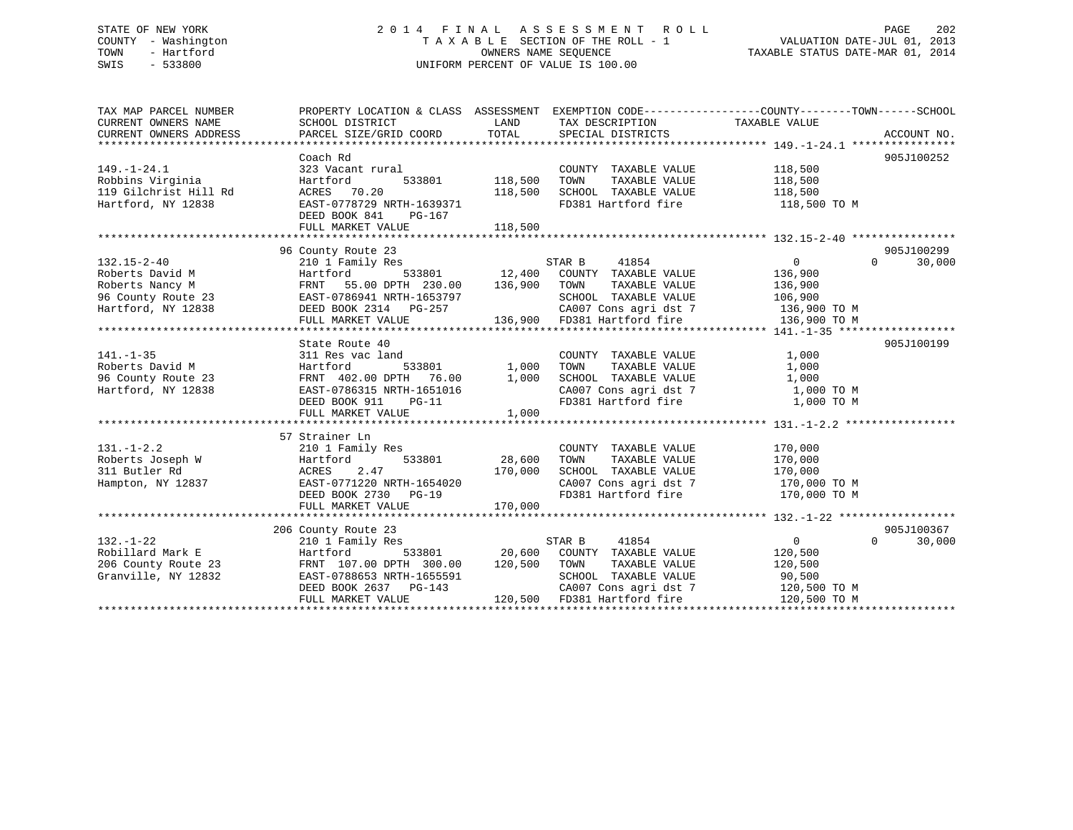## STATE OF NEW YORK 2 0 1 4 F I N A L A S S E S S M E N T R O L L PAGE 202 COUNTY - Washington T A X A B L E SECTION OF THE ROLL - 1 VALUATION DATE-JUL 01, 2013 TOWN - Hartford **TAXABLE STATUS DATE-MAR 01, 2014** OWNERS NAME SEQUENCE TAXABLE STATUS DATE-MAR 01, 2014 SWIS - 533800 UNIFORM PERCENT OF VALUE IS 100.00

| TAX MAP PARCEL NUMBER<br>CURRENT OWNERS NAME<br>CURRENT OWNERS ADDRESS                                                        | PROPERTY LOCATION & CLASS ASSESSMENT EXEMPTION CODE----------------COUNTY-------TOWN-----SCHOOL<br>SCHOOL DISTRICT<br>PARCEL SIZE/GRID COORD                                                                                               | LAND<br>TOTAL                        | TAX DESCRIPTION TAXABLE VALUE<br>SPECIAL DISTRICTS                                                                                                                      |                                               | ACCOUNT NO.                      |
|-------------------------------------------------------------------------------------------------------------------------------|--------------------------------------------------------------------------------------------------------------------------------------------------------------------------------------------------------------------------------------------|--------------------------------------|-------------------------------------------------------------------------------------------------------------------------------------------------------------------------|-----------------------------------------------|----------------------------------|
| $149. - 1 - 24.1$<br>Robbins Virginia<br>119 Gilchrist Hill Rd<br>Hartford, NY 12838                                          | Coach Rd<br>323 Vacant rural<br>Hartford<br>ACRES 70.20<br>EAST-0778729 NRTH-1639371<br>DEED BOOK 841<br>PG-167<br>FULL MARKET VALUE                                                                                                       | 533801 118,500<br>118,500<br>118,500 | COUNTY TAXABLE VALUE<br>TAXABLE VALUE<br>TOWN<br>SCHOOL TAXABLE VALUE<br>FD381 Hartford fire                                                                            | 118,500<br>118,500<br>118,500<br>118,500 TO M | 905J100252                       |
|                                                                                                                               |                                                                                                                                                                                                                                            |                                      |                                                                                                                                                                         |                                               |                                  |
| $132.15 - 2 - 40$<br>Roberts David M<br>Roberts Nancy M<br>96 County Route 23 EAST-0786941 NRTH-1653797<br>Hartford, NY 12838 | 96 County Route 23<br>210 1 Family Res<br>Hartford 533801 12,400 COUNTY TAXABLE VALUE<br>FRNT 55.00 DPTH 230.00 136,900 TOWN TAXABLE VALUE<br>LIDI-0700941 NKTH-1653797<br>DEED BOOK 2314 PG-257<br>FULL MARKET VALUE<br>FULL MARKET VALUE |                                      | STAR B<br>41854<br>SCHOOL TAXABLE VALUE 106,900<br>CA007 Cons agri dst 7 136,900 TO M<br>136,900 FD381 Hartford fire                                                    | 0<br>136,900<br>136,900<br>136,900 TO M       | 905J100299<br>$\Omega$<br>30,000 |
|                                                                                                                               | State Route 40                                                                                                                                                                                                                             |                                      |                                                                                                                                                                         |                                               | 905J100199                       |
| $141. - 1 - 35$<br>Roberts David M<br>96 County Route 23<br>Hartford, NY 12838                                                | 311 Res vac land<br>533801<br>Hartford<br>FRNT 402.00 DPTH 76.00<br>EAST-0786315 NRTH-1651016<br>DEED BOOK 911 PG-11<br>FULL MARKET VALUE                                                                                                  | 1,000<br>1,000<br>1,000              | COUNTY TAXABLE VALUE<br>TAXABLE VALUE<br>TOWN<br>SCHOOL TAXABLE VALUE<br>CA007 Cons agri dst 7 1,000 TO M<br>FD381 Hartford fire                                        | 1,000<br>1,000<br>1,000<br>1,000 TO M         |                                  |
|                                                                                                                               | 57 Strainer Ln                                                                                                                                                                                                                             |                                      |                                                                                                                                                                         |                                               |                                  |
| $131. - 1 - 2.2$<br>Roberts Joseph W<br>311 Butler Rd<br>Hampton, NY 12837                                                    | 210 1 Family Res<br>Hartford<br>ACRES 2.47<br>EAST-0771220 NRTH-1654020<br>ALLER CREAD DG-19<br>DEED BOOK 2730 PG-19                                                                                                                       | 533801 28,600<br>$170,000$ $170,000$ | COUNTY TAXABLE VALUE 170,000<br>TOWN<br>SCHOOL TAXABLE VALUE 170,000<br>CA007 Cons agri dst 7 170,000 TO M<br>FD381 Hartford fire 170,000 TO M                          | TAXABLE VALUE 170,000                         |                                  |
|                                                                                                                               |                                                                                                                                                                                                                                            |                                      |                                                                                                                                                                         |                                               |                                  |
| $132. - 1 - 22$                                                                                                               | 206 County Route 23<br>210 1 Family Res                                                                                                                                                                                                    |                                      | 41854<br>STAR B                                                                                                                                                         | $\overline{0}$                                | 905J100367<br>$\Omega$<br>30,000 |
| Robillard Mark E<br>206 County Route 23<br>Granville, NY 12832                                                                | Hartford<br>FRNT 107.00 DPTH 300.00<br>EAST-0788653 NRTH-1655591<br>DEED BOOK 2637 PG-143<br>FULL MARKET VALUE                                                                                                                             |                                      | 533801 20,600 COUNTY TAXABLE VALUE<br>TH 300.00 120,500 TOWN TAXABLE VALUE<br>SCHOOL TAXABLE VALUE<br>CA007 Cons agri dst 7 120,500 TO M<br>120,500 FD381 Hartford fire | 120,500<br>120,500<br>90,500<br>120,500 TO M  |                                  |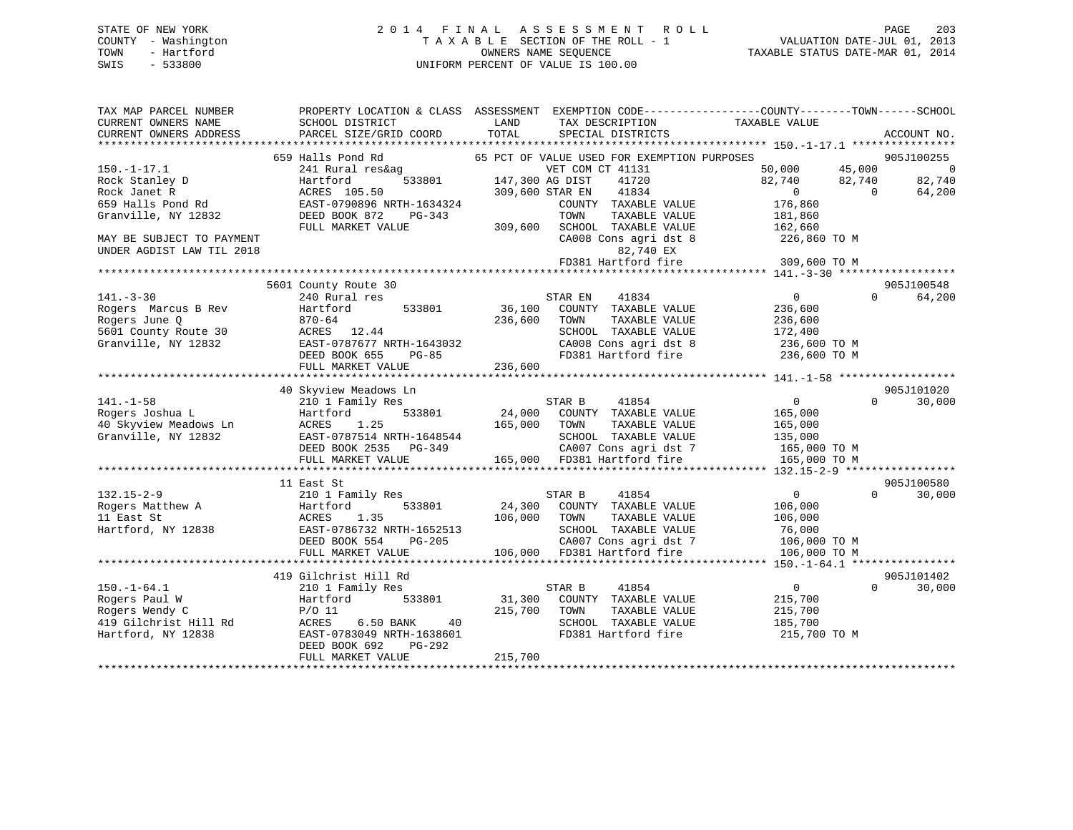## STATE OF NEW YORK 2 0 1 4 F I N A L A S S E S S M E N T R O L L PAGE 203 COUNTY - Washington T A X A B L E SECTION OF THE ROLL - 1 VALUATION DATE-JUL 01, 2013 TOWN - Hartford **TAXABLE STATUS DATE-MAR 01, 2014** OWNERS NAME SEQUENCE TAXABLE STATUS DATE-MAR 01, 2014 SWIS - 533800 UNIFORM PERCENT OF VALUE IS 100.00

| TAX MAP PARCEL NUMBER                         |                                           |                                                       | PROPERTY LOCATION & CLASS ASSESSMENT EXEMPTION CODE---------------COUNTY-------TOWN-----SCHOOL |
|-----------------------------------------------|-------------------------------------------|-------------------------------------------------------|------------------------------------------------------------------------------------------------|
| CURRENT OWNERS NAME<br>CURRENT OWNERS ADDRESS | SCHOOL DISTRICT<br>PARCEL SIZE/GRID COORD | LAND<br>TAX DESCRIPTION<br>TOTAL<br>SPECIAL DISTRICTS | TAXABLE VALUE<br>ACCOUNT NO.                                                                   |
|                                               |                                           |                                                       |                                                                                                |
|                                               | 659 Halls Pond Rd                         | 65 PCT OF VALUE USED FOR EXEMPTION PURPOSES           | 905J100255                                                                                     |
| $150. - 1 - 17.1$                             | 241 Rural res&ag                          | VET COM CT 41131                                      | 45,000<br>$\overline{0}$<br>50,000                                                             |
| Rock Stanley D                                | 533801<br>Hartford                        | 147,300 AG DIST<br>41720                              | 82,740<br>82,740<br>82,740                                                                     |
| Rock Janet R                                  | ACRES 105.50                              | 41834<br>309,600 STAR EN                              | 64,200<br>$\overline{0}$<br>$\overline{0}$                                                     |
| 659 Halls Pond Rd                             | EAST-0790896 NRTH-1634324                 | COUNTY TAXABLE VALUE                                  | 176,860                                                                                        |
| Granville, NY 12832                           | DEED BOOK 872<br>$PG-343$                 | TOWN<br>TAXABLE VALUE                                 | 181,860                                                                                        |
|                                               | FULL MARKET VALUE                         | SCHOOL TAXABLE VALUE<br>309,600                       | 162,660                                                                                        |
| MAY BE SUBJECT TO PAYMENT                     |                                           | CA008 Cons agri dst 8                                 | 226,860 ТО М                                                                                   |
| UNDER AGDIST LAW TIL 2018                     |                                           | 82,740 EX                                             |                                                                                                |
|                                               |                                           | FD381 Hartford fire                                   | 309,600 TO M                                                                                   |
|                                               |                                           |                                                       |                                                                                                |
|                                               | 5601 County Route 30                      |                                                       | 905J100548                                                                                     |
| $141. - 3 - 30$                               | 240 Rural res                             | STAR EN<br>41834                                      | $\Omega$<br>64,200<br>$\overline{0}$                                                           |
| Rogers Marcus B Rev                           | Hartford<br>533801                        | 36,100<br>COUNTY TAXABLE VALUE                        | 236,600                                                                                        |
| Rogers June Q                                 | $870 - 64$                                | 236,600<br>TOWN<br>TAXABLE VALUE                      | 236,600                                                                                        |
| 5601 County Route 30                          | ACRES 12.44                               | SCHOOL TAXABLE VALUE                                  | 172,400                                                                                        |
| Granville, NY 12832                           | EAST-0787677 NRTH-1643032                 | CA008 Cons agri dst 8                                 | 236,600 TO M                                                                                   |
|                                               | $PG-85$<br>DEED BOOK 655                  | FD381 Hartford fire                                   | 236,600 TO M                                                                                   |
|                                               | FULL MARKET VALUE                         | 236,600                                               |                                                                                                |
|                                               |                                           |                                                       |                                                                                                |
|                                               | 40 Skyview Meadows Ln                     |                                                       | 905J101020                                                                                     |
| $141. - 1 - 58$                               | 210 1 Family Res                          | STAR B<br>41854                                       | 30,000<br>$\overline{0}$<br>$\Omega$                                                           |
| Rogers Joshua L                               | 533801<br>Hartford                        | 24,000<br>COUNTY TAXABLE VALUE                        | 165,000                                                                                        |
| 40 Skyview Meadows Ln                         | ACRES<br>1.25                             | 165,000<br>TOWN<br>TAXABLE VALUE                      | 165,000                                                                                        |
| Granville, NY 12832                           | EAST-0787514 NRTH-1648544                 | SCHOOL TAXABLE VALUE                                  | 135,000                                                                                        |
|                                               | DEED BOOK 2535 PG-349                     | CA007 Cons agri dst 7                                 | 165,000 TO M                                                                                   |
|                                               | FULL MARKET VALUE                         | 165,000 FD381 Hartford fire                           | 165,000 TO M                                                                                   |
|                                               |                                           |                                                       |                                                                                                |
|                                               | 11 East St                                |                                                       | 905J100580                                                                                     |
| $132.15 - 2 - 9$                              | 210 1 Family Res                          | 41854<br>STAR B                                       | $\overline{0}$<br>$\Omega$<br>30,000                                                           |
| Rogers Matthew A                              | 533801<br>Hartford                        | 24,300<br>COUNTY TAXABLE VALUE                        | 106,000                                                                                        |
| 11 East St                                    | ACRES<br>1.35                             | 106,000<br>TOWN<br>TAXABLE VALUE                      | 106,000                                                                                        |
| Hartford, NY 12838                            | EAST-0786732 NRTH-1652513                 | SCHOOL TAXABLE VALUE                                  | 76,000                                                                                         |
|                                               | PG-205<br>DEED BOOK 554                   | CA007 Cons agri dst 7                                 | 106,000 TO M                                                                                   |
|                                               | FULL MARKET VALUE                         | 106,000 FD381 Hartford fire                           | 106,000 TO M                                                                                   |
|                                               |                                           |                                                       |                                                                                                |
|                                               | 419 Gilchrist Hill Rd                     |                                                       | 905J101402                                                                                     |
| $150.-1-64.1$                                 | 210 1 Family Res                          | STAR B<br>41854                                       | 30,000<br>$\overline{0}$<br>$\Omega$                                                           |
| Rogers Paul W                                 | 533801<br>Hartford                        | 31,300<br>COUNTY TAXABLE VALUE                        | 215,700                                                                                        |
| Rogers Wendy C                                | $P/O$ 11                                  | 215,700<br>TOWN<br>TAXABLE VALUE                      | 215,700                                                                                        |
| 419 Gilchrist Hill Rd                         | 6.50 BANK<br>40<br>ACRES                  | SCHOOL TAXABLE VALUE                                  | 185,700                                                                                        |
| Hartford, NY 12838                            | EAST-0783049 NRTH-1638601                 | FD381 Hartford fire                                   | 215,700 TO M                                                                                   |
|                                               | DEED BOOK 692<br>PG-292                   |                                                       |                                                                                                |
|                                               | FULL MARKET VALUE                         | 215,700                                               |                                                                                                |
|                                               |                                           |                                                       |                                                                                                |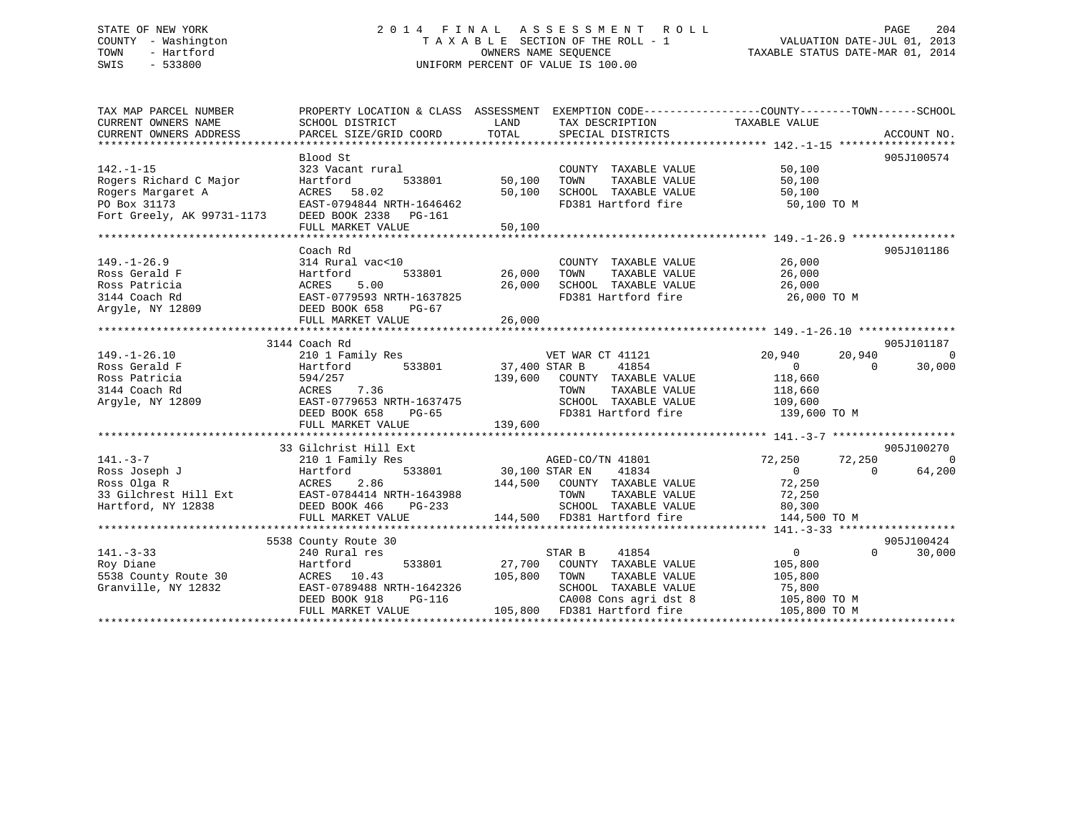# STATE OF NEW YORK 201 2014 FINAL ASSESSMENT ROLL PAGE 204 COUNTY - Washington  $T A X A B L E$  SECTION OF THE ROLL - 1<br>TOWN - Hartford SWIS - 533800 UNIFORM PERCENT OF VALUE IS 100.00

| TAX MAP PARCEL NUMBER                                                                            | PROPERTY LOCATION & CLASS ASSESSMENT EXEMPTION CODE---------------COUNTY-------TOWN------SCHOOL |                    |                                                                                                      |                      |                          |
|--------------------------------------------------------------------------------------------------|-------------------------------------------------------------------------------------------------|--------------------|------------------------------------------------------------------------------------------------------|----------------------|--------------------------|
| CURRENT OWNERS NAME                                                                              | SCHOOL DISTRICT                                                                                 | LAND               | TAX DESCRIPTION TAXABLE VALUE                                                                        |                      |                          |
| CURRENT OWNERS ADDRESS                                                                           | PARCEL SIZE/GRID COORD                                                                          | TOTAL              | SPECIAL DISTRICTS                                                                                    |                      | ACCOUNT NO.              |
|                                                                                                  |                                                                                                 |                    |                                                                                                      |                      |                          |
|                                                                                                  |                                                                                                 |                    |                                                                                                      |                      | 905J100574               |
| $142. - 1 - 15$                                                                                  |                                                                                                 |                    | COUNTY TAXABLE VALUE                                                                                 | 50,100               |                          |
| Rogers Richard C Major                                                                           |                                                                                                 |                    | TAXABLE VALUE                                                                                        | 50,100               |                          |
| Rogers Margaret A                                                                                | ACRES 58.02                                                                                     |                    | 50,100 SCHOOL TAXABLE VALUE                                                                          | 50,100               |                          |
|                                                                                                  | EAST-0794844 NRTH-1646462                                                                       |                    | FD381 Hartford fire 50,100 TO M                                                                      |                      |                          |
| PO Box 31173 EAST-0794844 NRTH-164646<br>Fort Greely, AK 99731-1173 DEED BOOK 2338 PG-161        |                                                                                                 |                    |                                                                                                      |                      |                          |
|                                                                                                  | FULL MARKET VALUE                                                                               | 50,100             |                                                                                                      |                      |                          |
|                                                                                                  |                                                                                                 |                    |                                                                                                      |                      |                          |
|                                                                                                  | Coach Rd                                                                                        |                    |                                                                                                      |                      | 905J101186               |
| $149. - 1 - 26.9$                                                                                | 314 Rural vac<10                                                                                |                    | COUNTY TAXABLE VALUE 26,000                                                                          |                      |                          |
| Ross Gerald F                                                                                    |                                                                                                 | 533801 26,000 TOWN |                                                                                                      |                      |                          |
| Ross Patricia                                                                                    |                                                                                                 |                    |                                                                                                      |                      |                          |
| 3144 Coach Rd                                                                                    | Hartford 533801 26,000<br>ACRES 5.00 26,000<br>EAST-0779593 NRTH-1637825                        |                    | $26,000$ TOWN TAXABLE VALUE $26,000$ SCHOOL TAXABLE VALUE $26,000$ FD381 Hartford fire $26,000$ TO M |                      |                          |
| Argyle, NY 12809 DEED BOOK 658                                                                   | PG-67                                                                                           |                    |                                                                                                      |                      |                          |
|                                                                                                  |                                                                                                 |                    |                                                                                                      |                      |                          |
|                                                                                                  |                                                                                                 |                    |                                                                                                      |                      |                          |
|                                                                                                  | 3144 Coach Rd                                                                                   |                    |                                                                                                      |                      | 905J101187               |
| $149. - 1 - 26.10$                                                                               |                                                                                                 |                    |                                                                                                      | 20,940<br>20,940     | $\sim$ 0                 |
| Ross Gerald F                                                                                    |                                                                                                 |                    |                                                                                                      | $\overline{0}$       | $\overline{0}$<br>30,000 |
| Ross Patricia                                                                                    |                                                                                                 |                    | 139,600 COUNTY TAXABLE VALUE 118,660                                                                 |                      |                          |
| 3144 Coach Rd                                                                                    |                                                                                                 |                    | TOWN<br>TAXABLE VALUE                                                                                | 118,660<br>109,600   |                          |
| Argyle, NY 12809                                                                                 |                                                                                                 |                    | SCHOOL TAXABLE VALUE                                                                                 |                      |                          |
|                                                                                                  | 594/257<br>ACRES 7.36<br>EAST-0779653 NRTH-1637475<br>THE POOK 658 PG-65                        |                    | FD381 Hartford fire 139,600 TO M                                                                     |                      |                          |
|                                                                                                  |                                                                                                 |                    |                                                                                                      |                      |                          |
|                                                                                                  |                                                                                                 |                    |                                                                                                      |                      |                          |
|                                                                                                  | 33 Gilchrist Hill Ext                                                                           |                    |                                                                                                      |                      | 905J100270               |
| $141. - 3 - 7$<br>210 1 Fam<br>Hartford<br>ACRES                                                 | 210 1 Family Res                                                                                |                    |                                                                                                      |                      | $\overline{0}$           |
| Ross Joseph J                                                                                    |                                                                                                 |                    |                                                                                                      |                      | $\overline{0}$<br>64,200 |
| Ross Olga R                                                                                      | 2.86                                                                                            |                    |                                                                                                      |                      |                          |
| 33 Gilchrest Hill Ext<br>BAST-0784414 NRTH-1643988<br>Hartford, NY 12838<br>PEED BOOK 466 PG-233 |                                                                                                 |                    | TOWN                                                                                                 | TAXABLE VALUE 72,250 |                          |
|                                                                                                  |                                                                                                 |                    | SCHOOL TAXABLE VALUE<br>144,500 FD381 Hartford fire                                                  | 80,300               |                          |
|                                                                                                  | FULL MARKET VALUE                                                                               |                    |                                                                                                      | 144,500 TO M         |                          |
|                                                                                                  |                                                                                                 |                    |                                                                                                      |                      |                          |
|                                                                                                  | 5538 County Route 30                                                                            |                    |                                                                                                      |                      | 905J100424               |
| $141. - 3 - 33$                                                                                  | County noute 50<br>240 Rural res                                                                |                    | 41854<br>STAR B                                                                                      | $\overline{0}$       | $\Omega$<br>30,000       |
| Roy Diane                                                                                        | Hartford                                                                                        |                    | 533801 27,700 COUNTY TAXABLE VALUE                                                                   | 105,800              |                          |
| 5538 County Route 30<br>Cranville NY 12832                                                       | ACRES 10.43 105,800 TOWN<br>EAST-0789488 NETH-1642326 5CHOOL                                    |                    | TAXABLE VALUE<br>TAXABLE VALUE                                                                       | 105,800              |                          |
| Granville, NY 12832                                                                              | EAST-0789488 NRTH-1642326                                                                       |                    | SCHOOL TAXABLE VALUE                                                                                 | 75,800               |                          |
|                                                                                                  | DEED BOOK 918                                                                                   | $PG-116$           | CA008 Cons agri dst 8 105,800 TO M                                                                   |                      |                          |
|                                                                                                  | FULL MARKET VALUE                                                                               |                    | 105,800 FD381 Hartford fire                                                                          | 105,800 TO M         |                          |
|                                                                                                  |                                                                                                 |                    |                                                                                                      |                      |                          |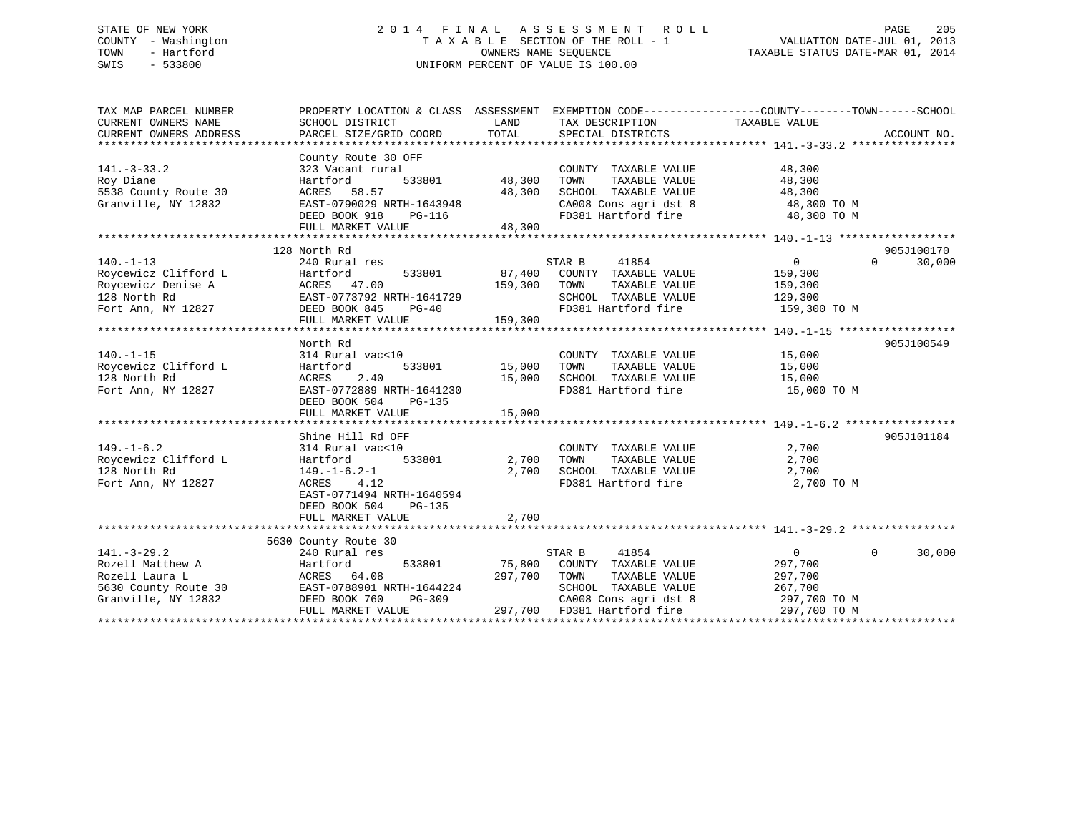## STATE OF NEW YORK 2 0 1 4 F I N A L A S S E S S M E N T R O L L PAGE 205 COUNTY - Washington T A X A B L E SECTION OF THE ROLL - 1 VALUATION DATE-JUL 01, 2013 TOWN - Hartford **TAXABLE STATUS DATE-MAR 01, 2014** OWNERS NAME SEQUENCE TAXABLE STATUS DATE-MAR 01, 2014 SWIS - 533800 UNIFORM PERCENT OF VALUE IS 100.00

| TAX MAP PARCEL NUMBER                      | PROPERTY LOCATION & CLASS ASSESSMENT EXEMPTION CODE----------------COUNTY-------TOWN------SCHOOL |                    |                                              |                |                    |
|--------------------------------------------|--------------------------------------------------------------------------------------------------|--------------------|----------------------------------------------|----------------|--------------------|
| CURRENT OWNERS NAME                        | SCHOOL DISTRICT                                                                                  | LAND<br>TOTAL      | TAX DESCRIPTION                              | TAXABLE VALUE  | ACCOUNT NO.        |
| CURRENT OWNERS ADDRESS                     | PARCEL SIZE/GRID COORD                                                                           |                    | SPECIAL DISTRICTS                            |                |                    |
| $141. - 3 - 33.2$                          | County Route 30 OFF<br>323 Vacant rural                                                          |                    | COUNTY TAXABLE VALUE                         | 48,300         |                    |
| Roy Diane                                  | Hartford<br>533801                                                                               | 48,300             | TAXABLE VALUE<br>TOWN                        | 48,300         |                    |
| 5538 County Route 30                       | ACRES 58.57                                                                                      | 48,300             | SCHOOL TAXABLE VALUE                         | 48,300         |                    |
| Granville, NY 12832                        | EAST-0790029 NRTH-1643948                                                                        |                    | CA008 Cons agri dst 8 48,300 TO M            |                |                    |
|                                            | DEED BOOK 918<br>PG-116                                                                          |                    | FD381 Hartford fire                          | 48,300 TO M    |                    |
|                                            | FULL MARKET VALUE                                                                                | 48,300             |                                              |                |                    |
|                                            |                                                                                                  |                    |                                              |                |                    |
|                                            | 128 North Rd                                                                                     |                    |                                              |                | 905J100170         |
| $140. - 1 - 13$                            | 240 Rural res                                                                                    |                    | STAR B<br>41854                              | $\overline{0}$ | $\Omega$<br>30,000 |
| Roycewicz Clifford L<br>Roycewicz Denise A | 533801<br>Hartford<br>ACRES 47.00                                                                | 159,300 TOWN       | 87,400 COUNTY TAXABLE VALUE<br>TAXABLE VALUE | 159,300        |                    |
| 128 North Rd                               |                                                                                                  |                    | SCHOOL TAXABLE VALUE 129,300                 | 159,300        |                    |
|                                            |                                                                                                  |                    | FD381 Hartford fire 159,300 TO M             |                |                    |
| Fort Ann, NY 12827 DEED BOOK 845           | ACRES 47.00<br>EAST-0773792 NRTH-1641729<br>DEED BOOK 845 PG-40<br>FIILL MARKET VALUE 159,300    |                    |                                              |                |                    |
|                                            |                                                                                                  |                    |                                              |                |                    |
|                                            | North Rd                                                                                         |                    |                                              |                | 905J100549         |
| $140. -1 - 15$                             | 314 Rural vac<10                                                                                 |                    | COUNTY TAXABLE VALUE                         | 15,000         |                    |
| Roycewicz Clifford L                       | Hartford                                                                                         | 533801 15,000 TOWN | TAXABLE VALUE                                | 15,000         |                    |
| 128 North Rd                               | 2.40<br>ACRES                                                                                    | 15,000             | SCHOOL TAXABLE VALUE                         | 15,000         |                    |
| Fort Ann, NY 12827                         | EAST-0772889 NRTH-1641230                                                                        |                    | FD381 Hartford fire                          | 15,000 TO M    |                    |
|                                            | DEED BOOK 504<br>PG-135                                                                          |                    |                                              |                |                    |
|                                            | FULL MARKET VALUE                                                                                | 15,000             |                                              |                |                    |
|                                            |                                                                                                  |                    |                                              |                |                    |
|                                            | Shine Hill Rd OFF                                                                                |                    |                                              |                | 905J101184         |
| $149. - 1 - 6.2$                           | 314 Rural vac<10                                                                                 |                    | COUNTY TAXABLE VALUE                         | 2,700          |                    |
| Roycewicz Clifford L                       | Hartford<br>533801                                                                               | 2,700 TOWN         | TAXABLE VALUE                                | 2,700          |                    |
| 128 North Rd                               | $149. - 1 - 6.2 - 1$                                                                             | 2,700              | SCHOOL TAXABLE VALUE                         | 2,700          |                    |
| Fort Ann, NY 12827                         | 4.12<br>ACRES                                                                                    |                    | FD381 Hartford fire                          | 2,700 TO M     |                    |
|                                            | EAST-0771494 NRTH-1640594                                                                        |                    |                                              |                |                    |
|                                            | DEED BOOK 504<br>$PG-135$                                                                        |                    |                                              |                |                    |
|                                            | FULL MARKET VALUE                                                                                | 2,700              |                                              |                |                    |
|                                            | 5630 County Route 30                                                                             |                    |                                              |                |                    |
| $141. - 3 - 29.2$                          | 240 Rural res                                                                                    |                    | 41854<br>STAR B                              | $\overline{0}$ | $\Omega$<br>30,000 |
| Rozell Matthew A                           | 533801<br>Hartford                                                                               |                    | 75,800 COUNTY TAXABLE VALUE                  | 297,700        |                    |
| Rozell Laura L                             | ACRES 64.08                                                                                      | 297,700 TOWN       | TAXABLE VALUE                                | 297,700        |                    |
|                                            | 5630 County Route 30 EAST-0788901 NRTH-1644224                                                   |                    | SCHOOL TAXABLE VALUE                         | 267,700        |                    |
| Granville, NY 12832                        | DEED BOOK 760<br>PG-309                                                                          |                    | CA008 Cons agri dst 8                        | 297,700 TO M   |                    |
|                                            | FULL MARKET VALUE                                                                                |                    | 297,700 FD381 Hartford fire                  | 297,700 TO M   |                    |
|                                            |                                                                                                  |                    |                                              |                |                    |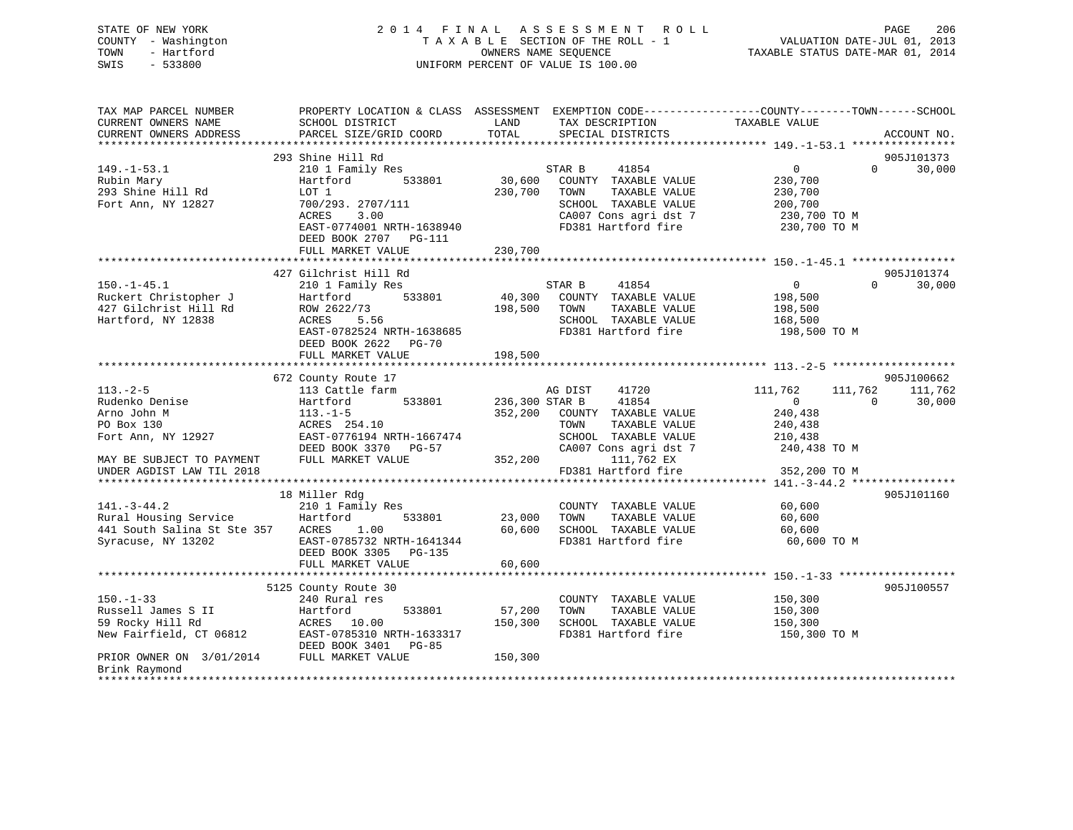| STATE OF NEW YORK<br>TOWN<br>SWIS | COUNTY - Washington<br>- Hartford<br>- 533800 | 2014 FINAL ASSESSMENT ROLL<br>TAXABLE SECTION OF THE ROLL - 1<br>OWNERS NAME SEOUENCE<br>UNIFORM PERCENT OF VALUE IS 100.00 | 206<br>PAGE<br>VALUATION DATE-JUL 01, 2013<br>TAXABLE STATUS DATE-MAR 01, 2014 |
|-----------------------------------|-----------------------------------------------|-----------------------------------------------------------------------------------------------------------------------------|--------------------------------------------------------------------------------|
|                                   |                                               |                                                                                                                             |                                                                                |

| TAX MAP PARCEL NUMBER       | PROPERTY LOCATION & CLASS ASSESSMENT EXEMPTION CODE---------------COUNTY-------TOWN-----SCHOOL |                |                       |                    |                    |
|-----------------------------|------------------------------------------------------------------------------------------------|----------------|-----------------------|--------------------|--------------------|
| CURRENT OWNERS NAME         | SCHOOL DISTRICT                                                                                | LAND           | TAX DESCRIPTION       | TAXABLE VALUE      |                    |
| CURRENT OWNERS ADDRESS      | PARCEL SIZE/GRID COORD                                                                         | TOTAL          | SPECIAL DISTRICTS     |                    | ACCOUNT NO.        |
|                             |                                                                                                |                |                       |                    |                    |
|                             | 293 Shine Hill Rd                                                                              |                |                       |                    | 905J101373         |
| $149. - 1 - 53.1$           | 210 1 Family Res                                                                               |                | STAR B<br>41854       | $\overline{0}$     | 30,000<br>$\Omega$ |
| Rubin Mary                  | 533801<br>Hartford                                                                             | 30,600         | COUNTY TAXABLE VALUE  | 230,700            |                    |
| 293 Shine Hill Rd           | LOT 1                                                                                          | 230,700        | TOWN<br>TAXABLE VALUE | 230,700            |                    |
| Fort Ann, NY 12827          | 700/293. 2707/111                                                                              |                | SCHOOL TAXABLE VALUE  | 200,700            |                    |
|                             | ACRES<br>3.00                                                                                  |                | CA007 Cons agri dst 7 | 230,700 TO M       |                    |
|                             | EAST-0774001 NRTH-1638940                                                                      |                | FD381 Hartford fire   | 230,700 TO M       |                    |
|                             | DEED BOOK 2707 PG-111                                                                          |                |                       |                    |                    |
|                             | FULL MARKET VALUE                                                                              | 230,700        |                       |                    |                    |
|                             |                                                                                                |                |                       |                    |                    |
|                             | 427 Gilchrist Hill Rd                                                                          |                |                       |                    | 905J101374         |
| $150. - 1 - 45.1$           | 210 1 Family Res                                                                               |                | STAR B<br>41854       | $\overline{0}$     | 30,000<br>$\Omega$ |
| Ruckert Christopher J       | Hartford<br>533801                                                                             | 40,300         | COUNTY TAXABLE VALUE  | 198,500            |                    |
| 427 Gilchrist Hill Rd       | ROW 2622/73                                                                                    | 198,500        | TAXABLE VALUE<br>TOWN | 198,500            |                    |
| Hartford, NY 12838          | ACRES<br>5.56                                                                                  |                | SCHOOL TAXABLE VALUE  | 168,500            |                    |
|                             | EAST-0782524 NRTH-1638685                                                                      |                | FD381 Hartford fire   | 198,500 TO M       |                    |
|                             | DEED BOOK 2622 PG-70                                                                           |                |                       |                    |                    |
|                             | FULL MARKET VALUE                                                                              | 198,500        |                       |                    |                    |
|                             |                                                                                                |                |                       |                    |                    |
|                             | 672 County Route 17                                                                            |                |                       |                    | 905J100662         |
| $113. - 2 - 5$              | 113 Cattle farm                                                                                |                | AG DIST<br>41720      | 111,762<br>111,762 | 111,762            |
| Rudenko Denise              | 533801<br>Hartford                                                                             | 236,300 STAR B | 41854                 | $\Omega$           | $\Omega$<br>30,000 |
| Arno John M                 | $113.-1-5$                                                                                     | 352,200        | COUNTY TAXABLE VALUE  | 240,438            |                    |
| PO Box 130                  | ACRES 254.10                                                                                   |                | TOWN<br>TAXABLE VALUE | 240,438            |                    |
| Fort Ann, NY 12927          | EAST-0776194 NRTH-1667474                                                                      |                | SCHOOL TAXABLE VALUE  | 210,438            |                    |
|                             | DEED BOOK 3370 PG-57                                                                           |                | CA007 Cons agri dst 7 | 240,438 TO M       |                    |
|                             | FULL MARKET VALUE                                                                              | 352,200        | 111,762 EX            |                    |                    |
| MAY BE SUBJECT TO PAYMENT   |                                                                                                |                |                       |                    |                    |
| UNDER AGDIST LAW TIL 2018   |                                                                                                |                | FD381 Hartford fire   | 352,200 TO M       |                    |
|                             |                                                                                                |                |                       |                    | 905J101160         |
|                             | 18 Miller Rdg                                                                                  |                |                       |                    |                    |
| $141. - 3 - 44.2$           | 210 1 Family Res                                                                               |                | COUNTY TAXABLE VALUE  | 60,600             |                    |
| Rural Housing Service       | Hartford<br>533801                                                                             | 23,000         | TAXABLE VALUE<br>TOWN | 60,600             |                    |
| 441 South Salina St Ste 357 | 1.00<br>ACRES                                                                                  | 60,600         | SCHOOL TAXABLE VALUE  | 60,600             |                    |
| Syracuse, NY 13202          | EAST-0785732 NRTH-1641344                                                                      |                | FD381 Hartford fire   | 60,600 TO M        |                    |
|                             | DEED BOOK 3305 PG-135                                                                          |                |                       |                    |                    |
|                             | FULL MARKET VALUE                                                                              | 60,600         |                       |                    |                    |
|                             |                                                                                                |                |                       |                    |                    |
|                             | 5125 County Route 30                                                                           |                |                       |                    | 905J100557         |
| $150. - 1 - 33$             | 240 Rural res                                                                                  |                | COUNTY TAXABLE VALUE  | 150,300            |                    |
| Russell James S II          | Hartford<br>533801                                                                             | 57,200         | TOWN<br>TAXABLE VALUE | 150,300            |                    |
| 59 Rocky Hill Rd            | ACRES 10.00                                                                                    | 150,300        | SCHOOL TAXABLE VALUE  | 150,300            |                    |
| New Fairfield, CT 06812     | EAST-0785310 NRTH-1633317                                                                      |                | FD381 Hartford fire   | 150,300 TO M       |                    |
|                             | DEED BOOK 3401<br>PG-85                                                                        |                |                       |                    |                    |
| PRIOR OWNER ON 3/01/2014    | FULL MARKET VALUE                                                                              | 150,300        |                       |                    |                    |
| Brink Raymond               |                                                                                                |                |                       |                    |                    |
|                             |                                                                                                |                |                       |                    |                    |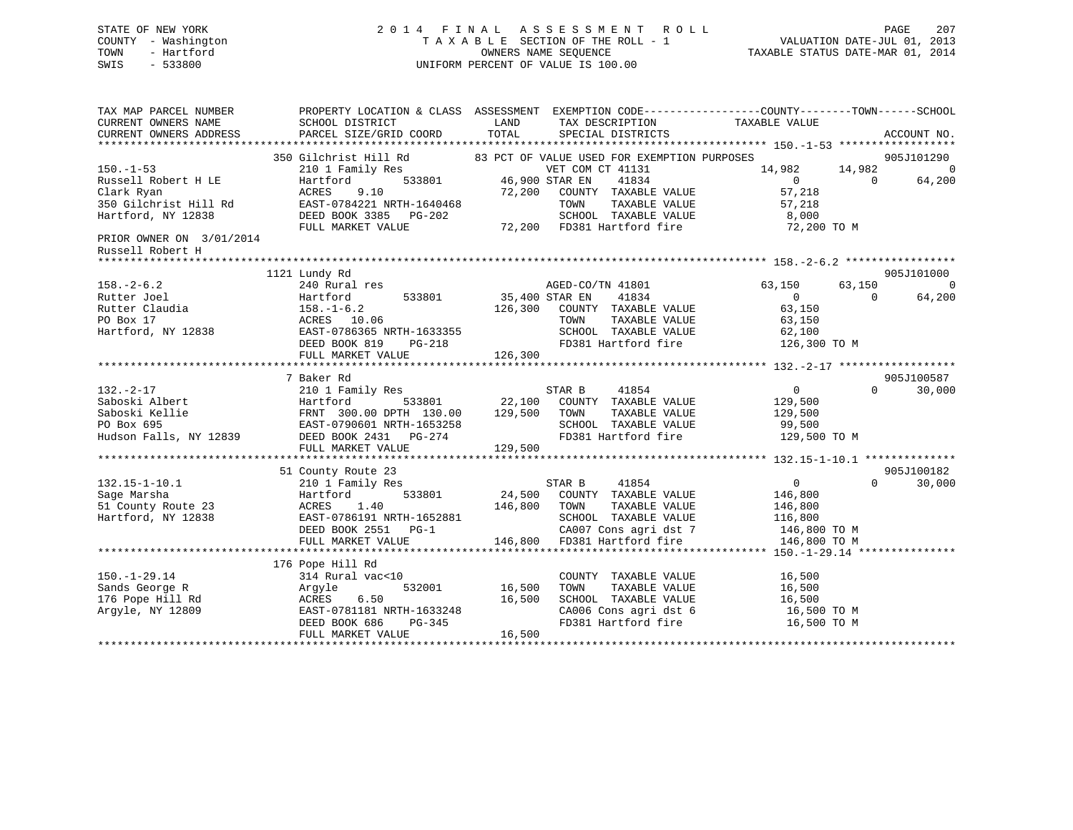## STATE OF NEW YORK 2 0 1 4 F I N A L A S S E S S M E N T R O L L PAGE 207 COUNTY - Washington T A X A B L E SECTION OF THE ROLL - 1 VALUATION DATE-JUL 01, 2013 TOWN - Hartford **TAXABLE STATUS DATE-MAR 01, 2014** OWNERS NAME SEQUENCE TAXABLE STATUS DATE-MAR 01, 2014 SWIS - 533800 UNIFORM PERCENT OF VALUE IS 100.00

| TAX MAP PARCEL NUMBER<br>CURRENT OWNERS NAME<br>CURRENT OWNERS ADDRESS                                                          | SCHOOL DISTRICT<br>PARCEL SIZE/GRID COORD                                                                                                              | LAND<br>TAX DESCRIPTION<br>TOTAL<br>SPECIAL DISTRICTS                                                                                                                                                                          | PROPERTY LOCATION & CLASS ASSESSMENT EXEMPTION CODE----------------COUNTY-------TOWN-----SCHOOL<br>TAXABLE VALUE<br>ACCOUNT NO.                     |
|---------------------------------------------------------------------------------------------------------------------------------|--------------------------------------------------------------------------------------------------------------------------------------------------------|--------------------------------------------------------------------------------------------------------------------------------------------------------------------------------------------------------------------------------|-----------------------------------------------------------------------------------------------------------------------------------------------------|
| $150. - 1 - 53$<br>Russell Robert H LE<br>Clark Ryan<br>350 Gilchrist Hill Rd<br>Hartford, NY 12838<br>PRIOR OWNER ON 3/01/2014 | 210 1 Family Res<br>533801<br>Hartford<br>9.10<br>ACRES<br>EAST-0784221 NRTH-1640468<br>DEED BOOK 3385 PG-202<br>FULL MARKET VALUE                     | 350 Gilchrist Hill Rd 83 PCT OF VALUE USED FOR EXEMPTION PURPOSES<br>VET COM CT 41131<br>46,900 STAR EN<br>41834<br>72,200 COUNTY TAXABLE VALUE<br>TAXABLE VALUE<br>TOWN<br>SCHOOL TAXABLE VALUE<br>72,200 FD381 Hartford fire | 905J101290<br>14,982<br>14,982<br>$\overline{0}$<br>$\Omega$<br>$\Omega$<br>64,200<br>57,218<br>57,218<br>8,000<br>72,200 TO M                      |
| Russell Robert H<br>***********************                                                                                     |                                                                                                                                                        |                                                                                                                                                                                                                                |                                                                                                                                                     |
| $158. - 2 - 6.2$<br>Rutter Joel<br>Rutter Claudia<br>PO Box 17<br>Hartford, NY 12838                                            | 1121 Lundy Rd<br>240 Rural res<br>533801<br>Hartford<br>$158. - 1 - 6.2$<br>ACRES 10.06<br>EAST-0786365 NRTH-1633355<br>DEED BOOK 819<br>PG-218        | AGED-CO/TN 41801<br>35,400 STAR EN<br>41834<br>126,300 COUNTY TAXABLE VALUE<br>TOWN<br>TAXABLE VALUE<br>SCHOOL TAXABLE VALUE 62,100                                                                                            | 905J101000<br>63,150<br>63,150<br>$\overline{0}$<br>$0 \qquad \qquad$<br>$\Omega$<br>64,200<br>63,150<br>63,150<br>FD381 Hartford fire 126,300 TO M |
|                                                                                                                                 | FULL MARKET VALUE                                                                                                                                      | 126,300                                                                                                                                                                                                                        |                                                                                                                                                     |
|                                                                                                                                 | 7 Baker Rd                                                                                                                                             |                                                                                                                                                                                                                                | 905J100587                                                                                                                                          |
| $132. - 2 - 17$<br>Saboski Albert                                                                                               | 210 1 Family Res<br>Hartford<br>533801<br>FULL MARKET VALUE                                                                                            | STAR B<br>41854<br>22,100<br>COUNTY TAXABLE VALUE<br>129,500<br>TOWN<br>TAXABLE VALUE<br>SCHOOL TAXABLE VALUE<br>FD381 Hartford fire<br>129,500                                                                                | $\overline{0}$<br>$\Omega$<br>30,000<br>129,500<br>129,500<br>99,500<br>129,500 TO M                                                                |
|                                                                                                                                 |                                                                                                                                                        |                                                                                                                                                                                                                                |                                                                                                                                                     |
| $132.15 - 1 - 10.1$<br>Sage Marsha<br>51 County Route 23<br>Hartford, NY 12838                                                  | 51 County Route 23<br>210 1 Family Res<br>Hartford<br>533801<br>1.40<br>ACRES<br>EAST-0786191 NRTH-1652881<br>DEED BOOK 2551 PG-1<br>FULL MARKET VALUE | 41854<br>STAR B<br>24,500<br>COUNTY TAXABLE VALUE<br>146,800<br>TAXABLE VALUE<br>TOWN<br>SCHOOL TAXABLE VALUE<br>CA007 Cons agri dst 7<br>146,800<br>FD381 Hartford fire                                                       | 905J100182<br>$\overline{0}$<br>$\Omega$<br>30,000<br>146,800<br>146,800<br>116,800<br>146,800 TO M<br>146,800 TO M                                 |
|                                                                                                                                 |                                                                                                                                                        |                                                                                                                                                                                                                                |                                                                                                                                                     |
| $150. - 1 - 29.14$<br>Sands George R<br>176 Pope Hill Rd<br>Argyle, NY 12809                                                    | 176 Pope Hill Rd<br>314 Rural vac<10<br>532001<br>Argyle<br>6.50<br>ACRES<br>EAST-0781181 NRTH-1633248<br>DEED BOOK 686<br>PG-345<br>FULL MARKET VALUE | COUNTY TAXABLE VALUE<br>16,500<br>TOWN<br>TAXABLE VALUE<br>16,500<br>SCHOOL TAXABLE VALUE<br>CA006 Cons agri dst 6<br>FD381 Hartford fire<br>16,500                                                                            | 16,500<br>16,500<br>16,500<br>16,500 TO M<br>16,500 TO M                                                                                            |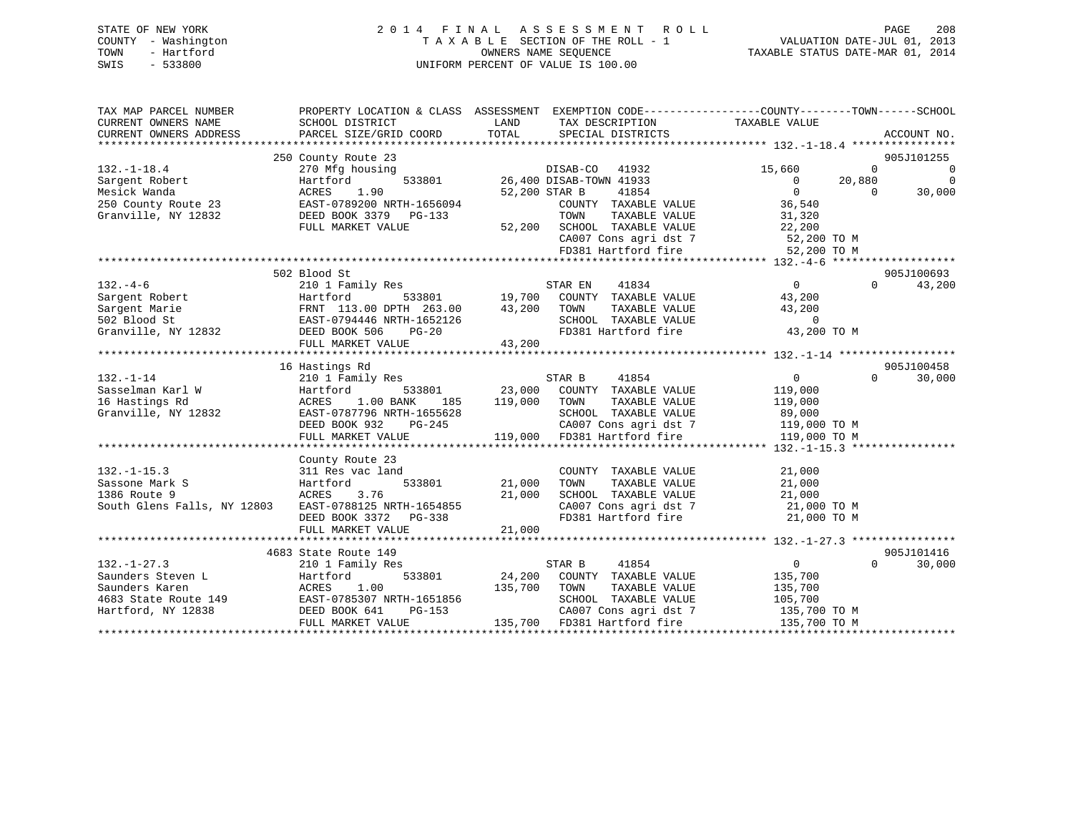## STATE OF NEW YORK 2 0 1 4 F I N A L A S S E S S M E N T R O L L PAGE 208 COUNTY - Washington T A X A B L E SECTION OF THE ROLL - 1 VALUATION DATE-JUL 01, 2013 TOWN - Hartford **TAXABLE STATUS DATE-MAR 01, 2014** OWNERS NAME SEQUENCE TAXABLE STATUS DATE-MAR 01, 2014 SWIS - 533800 UNIFORM PERCENT OF VALUE IS 100.00

| TAX MAP PARCEL NUMBER<br>CURRENT OWNERS NAME<br>CURRENT OWNERS ADDRESS                                 | SCHOOL DISTRICT<br>PARCEL SIZE/GRID COORD                                                                                                                          | LAND<br>TAX DESCRIPTION<br>TOTAL<br>SPECIAL DISTRICTS                                                                                                                 | PROPERTY LOCATION & CLASS ASSESSMENT EXEMPTION CODE---------------COUNTY-------TOWN-----SCHOOL<br>TAXABLE VALUE<br>ACCOUNT NO.      |
|--------------------------------------------------------------------------------------------------------|--------------------------------------------------------------------------------------------------------------------------------------------------------------------|-----------------------------------------------------------------------------------------------------------------------------------------------------------------------|-------------------------------------------------------------------------------------------------------------------------------------|
| $132. - 1 - 18.4$<br>Sargent Robert<br>Mesick Wanda<br>250 County Route 23<br>Granville, NY 12832      | 250 County Route 23<br>270 Mfg housing<br>Hartford<br>1.90<br>ACRES<br>EAST-0789200 NRTH-1656094<br>DEED BOOK 3379 PG-133                                          | DISAB-CO<br>41932<br>533801 26,400 DISAB-TOWN 41933<br>41854<br>52,200 STAR B<br>COUNTY TAXABLE VALUE<br>TOWN<br>TAXABLE VALUE                                        | 905J101255<br>15,660<br>$\Omega$<br>0<br>$\Omega$<br>$\overline{0}$<br>20,880<br>$\Omega$<br>30,000<br>$\Omega$<br>36,540<br>31,320 |
|                                                                                                        | FULL MARKET VALUE                                                                                                                                                  | 52,200 SCHOOL TAXABLE VALUE                                                                                                                                           | 22,200<br>CA007 Cons agri dst 7 52,200 TO M<br>FD381 Hartford fire 52,200 TO M                                                      |
|                                                                                                        | 502 Blood St                                                                                                                                                       |                                                                                                                                                                       | 905J100693                                                                                                                          |
| $132 - 4 - 6$<br>Sargent Robert<br>Sargent Marie<br>502 Blood St<br>Granville, NY 12832                | 210 1 Family Res<br>Hartford<br>FRNT 113.00 DPTH 263.00<br>FRNT 113.00 21.11<br>EAST-0794446 NRTH-1652126                                                          | 41834<br>STAR EN<br>533801 19,700<br>COUNTY TAXABLE VALUE<br>43,200<br>TOWN<br>TAXABLE VALUE<br>SCHOOL TAXABLE VALUE<br>FD381 Hartford fire                           | $\Omega$<br>43,200<br>$\Omega$<br>43,200<br>43,200<br>$\overline{0}$<br>43,200 TO M                                                 |
|                                                                                                        | DEED BOOK 506<br>$PG-20$<br>FULL MARKET VALUE                                                                                                                      | 43,200                                                                                                                                                                |                                                                                                                                     |
|                                                                                                        |                                                                                                                                                                    |                                                                                                                                                                       | 905J100458                                                                                                                          |
| $132. - 1 - 14$<br>Sasselman Karl W<br>16 Hastings Rd<br>Granville, NY 12832                           | 16 Hastings Rd<br>210 1 Family Res<br>Hartford<br>533801<br>1.00 BANK<br>ACRES<br>185<br>EAST-0787796 NRTH-1655628<br>DEED BOOK 932<br>PG-245<br>FULL MARKET VALUE | 41854<br>STAR B<br>23,000<br>COUNTY TAXABLE VALUE<br>119,000<br>TAXABLE VALUE<br>TOWN<br>SCHOOL TAXABLE VALUE<br>CA007 Cons agri dst 7<br>119,000 FD381 Hartford fire | $0 \qquad \qquad$<br>$\Omega$<br>30,000<br>119,000<br>119,000<br>89,000<br>119,000 TO M<br>119,000 TO M                             |
|                                                                                                        | County Route 23                                                                                                                                                    |                                                                                                                                                                       |                                                                                                                                     |
| $132. -1 - 15.3$<br>Sassone Mark S<br>1386 Route 9<br>South Glens Falls, NY 12803                      | 311 Res vac land<br>533801<br>Hartford<br>3.76<br>ACRES<br>EAST-0788125 NRTH-1654855<br>DEED BOOK 3372<br>PG-338<br>FULL MARKET VALUE                              | COUNTY TAXABLE VALUE<br>21,000<br>TOWN<br>TAXABLE VALUE<br>21,000<br>SCHOOL TAXABLE VALUE<br>CA007 Cons agri dst 7<br>FD381 Hartford fire<br>21,000                   | 21,000<br>21,000<br>21,000<br>21,000 TO M<br>21,000 TO M                                                                            |
|                                                                                                        |                                                                                                                                                                    |                                                                                                                                                                       |                                                                                                                                     |
|                                                                                                        | 4683 State Route 149                                                                                                                                               |                                                                                                                                                                       | 905J101416                                                                                                                          |
| $132. - 1 - 27.3$<br>Saunders Steven L<br>Saunders Karen<br>4683 State Route 149<br>Hartford, NY 12838 | 210 1 Family Res<br>Hartford<br>533801<br>1.00<br>ACRES<br>EAST-0785307 NRTH-1651856<br>PG-153<br>DEED BOOK 641<br>FULL MARKET VALUE                               | STAR B<br>41854<br>24,200<br>COUNTY TAXABLE VALUE<br>135,700<br>TOWN<br>TAXABLE VALUE<br>SCHOOL TAXABLE VALUE<br>CA007 Cons agri dst 7<br>135,700 FD381 Hartford fire | $0 \qquad \qquad$<br>$\Omega$<br>30,000<br>135,700<br>135,700<br>105,700<br>135,700 TO M<br>135,700 TO M                            |
|                                                                                                        |                                                                                                                                                                    |                                                                                                                                                                       |                                                                                                                                     |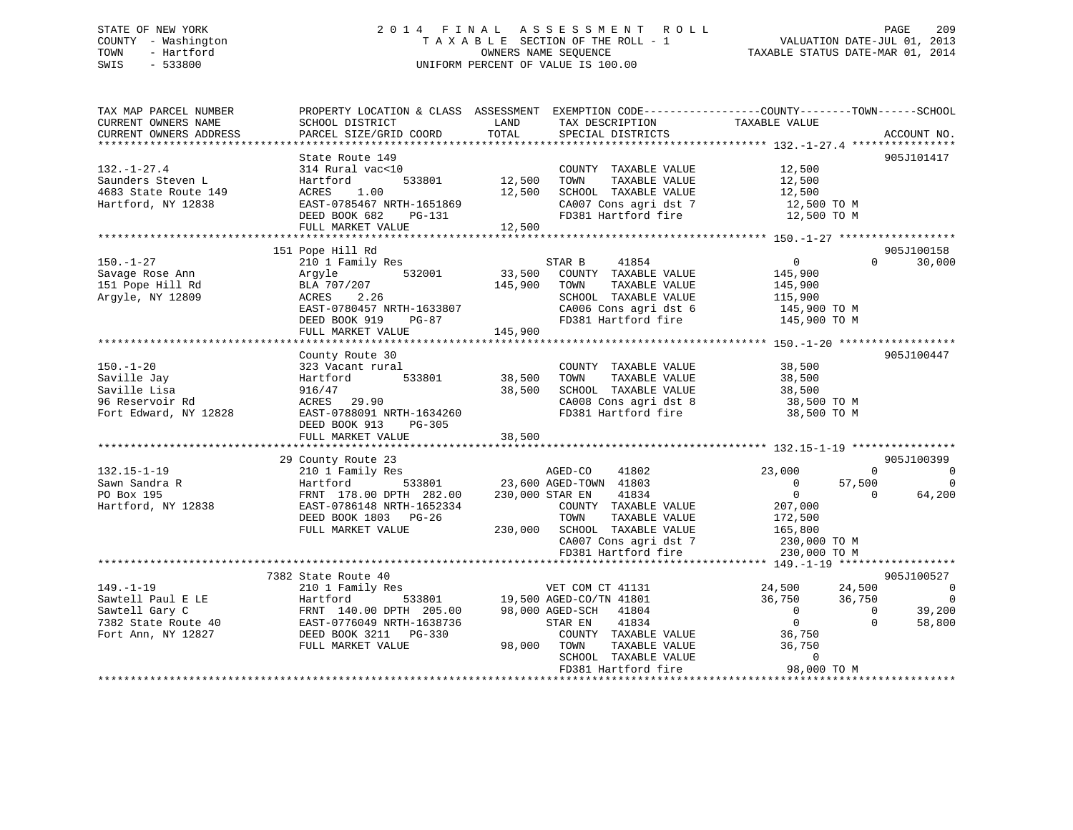## STATE OF NEW YORK 2 0 1 4 F I N A L A S S E S S M E N T R O L L PAGE 209 COUNTY - Washington T A X A B L E SECTION OF THE ROLL - 1 VALUATION DATE-JUL 01, 2013 TOWN - Hartford **TAXABLE STATUS DATE-MAR 01, 2014** OWNERS NAME SEQUENCE TAXABLE STATUS DATE-MAR 01, 2014 SWIS - 533800 UNIFORM PERCENT OF VALUE IS 100.00

| TAX MAP PARCEL NUMBER                               | PROPERTY LOCATION & CLASS ASSESSMENT |                 | EXEMPTION CODE----------------COUNTY-------TOWN------SCHOOL |                                              |                    |
|-----------------------------------------------------|--------------------------------------|-----------------|-------------------------------------------------------------|----------------------------------------------|--------------------|
| CURRENT OWNERS NAME                                 | SCHOOL DISTRICT                      | LAND            | TAX DESCRIPTION                                             | TAXABLE VALUE                                |                    |
| CURRENT OWNERS ADDRESS<br>************************* | PARCEL SIZE/GRID COORD               | TOTAL           | SPECIAL DISTRICTS                                           |                                              | ACCOUNT NO.        |
|                                                     | State Route 149                      |                 |                                                             |                                              | 905J101417         |
| $132. - 1 - 27.4$                                   | 314 Rural vac<10                     |                 | COUNTY TAXABLE VALUE                                        | 12,500                                       |                    |
| Saunders Steven L                                   | 533801<br>Hartford                   | 12,500          | TOWN<br>TAXABLE VALUE                                       | 12,500                                       |                    |
| 4683 State Route 149                                | ACRES<br>1.00                        | 12,500          | SCHOOL TAXABLE VALUE                                        | 12,500                                       |                    |
| Hartford, NY 12838                                  | EAST-0785467 NRTH-1651869            |                 | CA007 Cons agri dst 7                                       | 12,500 TO M                                  |                    |
|                                                     | DEED BOOK 682<br>PG-131              |                 | FD381 Hartford fire                                         | 12,500 TO M                                  |                    |
|                                                     | FULL MARKET VALUE                    | 12,500          |                                                             |                                              |                    |
|                                                     |                                      |                 |                                                             |                                              |                    |
|                                                     | 151 Pope Hill Rd                     |                 |                                                             |                                              | 905J100158         |
| $150. - 1 - 27$                                     | 210 1 Family Res                     |                 | 41854<br>STAR B                                             | $\overline{0}$                               | 30,000<br>$\Omega$ |
| Savage Rose Ann                                     | 532001<br>Arqyle                     | 33,500          | COUNTY TAXABLE VALUE                                        | 145,900                                      |                    |
| 151 Pope Hill Rd                                    | BLA 707/207                          | 145,900         | TAXABLE VALUE<br>TOWN                                       | 145,900                                      |                    |
| Argyle, NY 12809                                    | ACRES<br>2.26                        |                 | SCHOOL TAXABLE VALUE                                        | 115,900                                      |                    |
|                                                     | EAST-0780457 NRTH-1633807            |                 | CA006 Cons agri dst 6                                       | 145,900 TO M                                 |                    |
|                                                     | DEED BOOK 919<br>PG-87               |                 | FD381 Hartford fire                                         | 145,900 TO M                                 |                    |
|                                                     | FULL MARKET VALUE                    | 145,900         |                                                             |                                              |                    |
|                                                     | ***********************              |                 | *************************                                   | ************** 150.-1-20 ******************* |                    |
|                                                     | County Route 30                      |                 |                                                             |                                              | 905J100447         |
| $150. - 1 - 20$                                     | 323 Vacant rural                     |                 | COUNTY TAXABLE VALUE                                        | 38,500                                       |                    |
| Saville Jay                                         | Hartford<br>533801                   | 38,500          | TAXABLE VALUE<br>TOWN                                       | 38,500                                       |                    |
| Saville Lisa                                        | 916/47                               | 38,500          | SCHOOL TAXABLE VALUE                                        | 38,500                                       |                    |
| 96 Reservoir Rd                                     | ACRES 29.90                          |                 | CA008 Cons agri dst 8                                       | 38,500 TO M                                  |                    |
| Fort Edward, NY 12828                               | EAST-0788091 NRTH-1634260            |                 | FD381 Hartford fire                                         | 38,500 TO M                                  |                    |
|                                                     | DEED BOOK 913<br>PG-305              |                 |                                                             |                                              |                    |
|                                                     | FULL MARKET VALUE                    | 38,500          |                                                             |                                              |                    |
|                                                     | 29 County Route 23                   |                 |                                                             |                                              | 905J100399         |
| $132.15 - 1 - 19$                                   | 210 1 Family Res                     |                 | 41802<br>AGED-CO                                            | 23,000                                       | $\Omega$<br>0      |
| Sawn Sandra R                                       | 533801<br>Hartford                   |                 | 23,600 AGED-TOWN 41803                                      | 57,500<br>$\mathbf 0$                        | $\Omega$           |
| PO Box 195                                          | FRNT 178.00 DPTH 282.00              | 230,000 STAR EN | 41834                                                       | $\mathbf 0$                                  | 64,200<br>$\Omega$ |
| Hartford, NY 12838                                  | EAST-0786148 NRTH-1652334            |                 | COUNTY TAXABLE VALUE                                        | 207,000                                      |                    |
|                                                     | DEED BOOK 1803 PG-26                 |                 | TAXABLE VALUE<br>TOWN                                       | 172,500                                      |                    |
|                                                     | FULL MARKET VALUE                    | 230,000         | SCHOOL TAXABLE VALUE                                        | 165,800                                      |                    |
|                                                     |                                      |                 | CA007 Cons agri dst 7                                       | 230,000 TO M                                 |                    |
|                                                     |                                      |                 | FD381 Hartford fire                                         | 230,000 TO M                                 |                    |
|                                                     |                                      |                 |                                                             |                                              |                    |
|                                                     | 7382 State Route 40                  |                 |                                                             |                                              | 905J100527         |
| $149. - 1 - 19$                                     | 210 1 Family Res                     |                 | VET COM CT 41131                                            | 24,500<br>24,500                             | $\overline{0}$     |
| Sawtell Paul E LE                                   | Hartford<br>533801                   |                 | 19,500 AGED-CO/TN 41801                                     | 36,750<br>36,750                             | $\overline{0}$     |
| Sawtell Gary C                                      | FRNT 140.00 DPTH 205.00              |                 | 98,000 AGED-SCH<br>41804                                    | $\Omega$                                     | 39,200<br>$\Omega$ |
| 7382 State Route 40                                 | EAST-0776049 NRTH-1638736            |                 | STAR EN<br>41834                                            | $\overline{0}$                               | 58,800<br>$\Omega$ |
| Fort Ann, NY 12827                                  | DEED BOOK 3211<br>PG-330             |                 | COUNTY TAXABLE VALUE                                        | 36,750                                       |                    |
|                                                     | FULL MARKET VALUE                    | 98,000          | TOWN<br>TAXABLE VALUE                                       | 36,750                                       |                    |
|                                                     |                                      |                 | SCHOOL TAXABLE VALUE                                        | $\mathbf 0$                                  |                    |
|                                                     |                                      |                 | FD381 Hartford fire                                         | 98,000 TO M                                  |                    |
|                                                     |                                      |                 |                                                             |                                              |                    |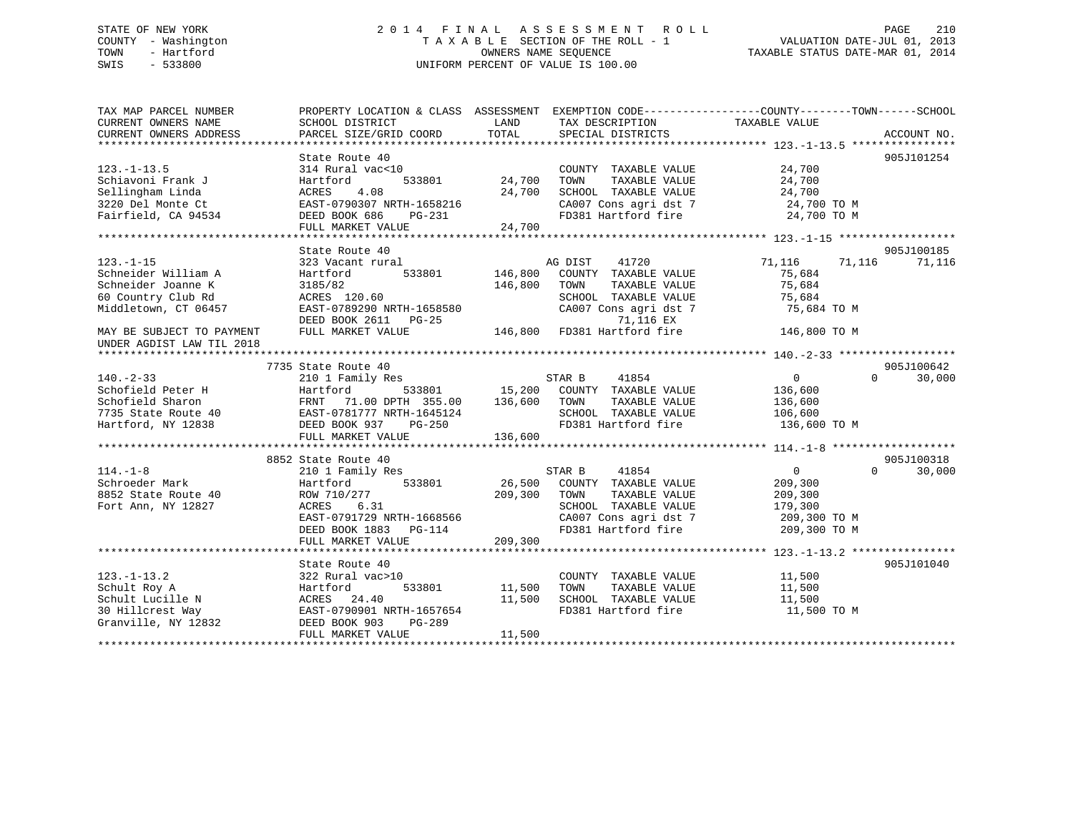## STATE OF NEW YORK 2 0 1 4 F I N A L A S S E S S M E N T R O L L PAGE 210 COUNTY - Washington T A X A B L E SECTION OF THE ROLL - 1 VALUATION DATE-JUL 01, 2013 TOWN - Hartford **TAXABLE STATUS DATE-MAR 01, 2014** OWNERS NAME SEQUENCE TAXABLE STATUS DATE-MAR 01, 2014 SWIS - 533800 UNIFORM PERCENT OF VALUE IS 100.00

| TAX MAP PARCEL NUMBER<br>CURRENT OWNERS NAME | PROPERTY LOCATION & CLASS ASSESSMENT EXEMPTION CODE---------------COUNTY-------TOWN-----SCHOOL<br>SCHOOL DISTRICT | LAND    | TAX DESCRIPTION                    | TAXABLE VALUE              |             |
|----------------------------------------------|-------------------------------------------------------------------------------------------------------------------|---------|------------------------------------|----------------------------|-------------|
| CURRENT OWNERS ADDRESS                       | PARCEL SIZE/GRID COORD                                                                                            | TOTAL   | SPECIAL DISTRICTS                  |                            | ACCOUNT NO. |
|                                              | State Route 40                                                                                                    |         |                                    |                            | 905J101254  |
| $123. - 1 - 13.5$                            | 314 Rural vac<10                                                                                                  |         | COUNTY TAXABLE VALUE               | 24,700                     |             |
| Schiavoni Frank J                            | Hartford<br>533801                                                                                                | 24,700  | TAXABLE VALUE<br>TOWN              | 24,700                     |             |
| Sellingham Linda                             | ACRES<br>4.08                                                                                                     | 24,700  | SCHOOL TAXABLE VALUE               | 24,700                     |             |
| 3220 Del Monte Ct                            | EAST-0790307 NRTH-1658216                                                                                         |         | CA007 Cons agri dst 7              | 24,700 TO M                |             |
| Fairfield, CA 94534                          | DEED BOOK 686<br>PG-231                                                                                           |         | FD381 Hartford fire                | 24,700 TO M                |             |
|                                              | FULL MARKET VALUE                                                                                                 | 24,700  |                                    |                            |             |
|                                              |                                                                                                                   |         |                                    |                            |             |
|                                              | State Route 40                                                                                                    |         |                                    |                            | 905J100185  |
| $123. - 1 - 15$                              | 323 Vacant rural                                                                                                  |         | AG DIST<br>41720                   | 71,116<br>71,116           | 71,116      |
| Schneider William A                          | Hartford<br>533801                                                                                                | 146,800 | COUNTY TAXABLE VALUE               | 75,684                     |             |
| Schneider Joanne K                           | 3185/82                                                                                                           | 146,800 | TOWN<br>TAXABLE VALUE              | 75,684                     |             |
| 60 Country Club Rd                           | ACRES 120.60                                                                                                      |         | SCHOOL TAXABLE VALUE               | 75,684                     |             |
| Middletown, CT 06457                         | EAST-0789290 NRTH-1658580                                                                                         |         | CA007 Cons agri dst 7              | 75,684 TO M                |             |
|                                              | DEED BOOK 2611 PG-25                                                                                              |         | 71,116 EX                          |                            |             |
| MAY BE SUBJECT TO PAYMENT                    | FULL MARKET VALUE                                                                                                 |         | 146,800 FD381 Hartford fire        | 146,800 TO M               |             |
| UNDER AGDIST LAW TIL 2018                    |                                                                                                                   |         |                                    |                            |             |
|                                              |                                                                                                                   |         |                                    |                            |             |
|                                              | 7735 State Route 40                                                                                               |         |                                    |                            | 905J100642  |
| $140. - 2 - 33$                              | 210 1 Family Res                                                                                                  |         | STAR B<br>41854                    | $\overline{0}$<br>$\Omega$ | 30,000      |
| Schofield Peter H                            | Hartford                                                                                                          |         | 533801 15,200 COUNTY TAXABLE VALUE | 136,600                    |             |
| Schofield Sharon                             | FRNT 71.00 DPTH 355.00                                                                                            | 136,600 | TAXABLE VALUE<br>TOWN              | 136,600                    |             |
| 7735 State Route 40                          | EAST-0781777 NRTH-1645124                                                                                         |         | SCHOOL TAXABLE VALUE               | 106,600                    |             |
| Hartford, NY 12838                           | DEED BOOK 937<br>PG-250                                                                                           |         | FD381 Hartford fire                | 136,600 TO M               |             |
|                                              | FULL MARKET VALUE                                                                                                 | 136,600 |                                    |                            |             |
|                                              |                                                                                                                   |         |                                    |                            |             |
|                                              | 8852 State Route 40                                                                                               |         |                                    |                            | 905J100318  |
| $114. -1 - 8$                                | 210 1 Family Res                                                                                                  |         | 41854<br>STAR B                    | $\overline{0}$<br>$\Omega$ | 30,000      |
| Schroeder Mark                               | 533801<br>Hartford                                                                                                | 26,500  | COUNTY TAXABLE VALUE               | 209,300                    |             |
| 8852 State Route 40                          | ROW 710/277                                                                                                       | 209,300 | TOWN<br>TAXABLE VALUE              | 209,300                    |             |
| Fort Ann, NY 12827                           | ACRES<br>6.31                                                                                                     |         | SCHOOL TAXABLE VALUE               | 179,300                    |             |
|                                              | EAST-0791729 NRTH-1668566                                                                                         |         | CA007 Cons agri dst 7              | 209,300 TO M               |             |
|                                              | DEED BOOK 1883<br>$PG-114$                                                                                        |         | FD381 Hartford fire                | 209,300 TO M               |             |
|                                              | FULL MARKET VALUE                                                                                                 | 209,300 |                                    |                            |             |
|                                              |                                                                                                                   |         |                                    |                            |             |
|                                              | State Route 40                                                                                                    |         |                                    |                            | 905J101040  |
| $123. - 1 - 13.2$                            | 322 Rural vac>10                                                                                                  |         | COUNTY TAXABLE VALUE               | 11,500                     |             |
| Schult Roy A                                 | Hartford<br>533801                                                                                                | 11,500  | TAXABLE VALUE<br>TOWN              | 11,500                     |             |
| Schult Lucille N                             | ACRES 24.40                                                                                                       | 11,500  | SCHOOL TAXABLE VALUE               | 11,500                     |             |
| 30 Hillcrest Way                             | EAST-0790901 NRTH-1657654                                                                                         |         | FD381 Hartford fire                | 11,500 TO M                |             |
| Granville, NY 12832                          | DEED BOOK 903<br>PG-289                                                                                           |         |                                    |                            |             |
|                                              | FULL MARKET VALUE                                                                                                 | 11,500  |                                    |                            |             |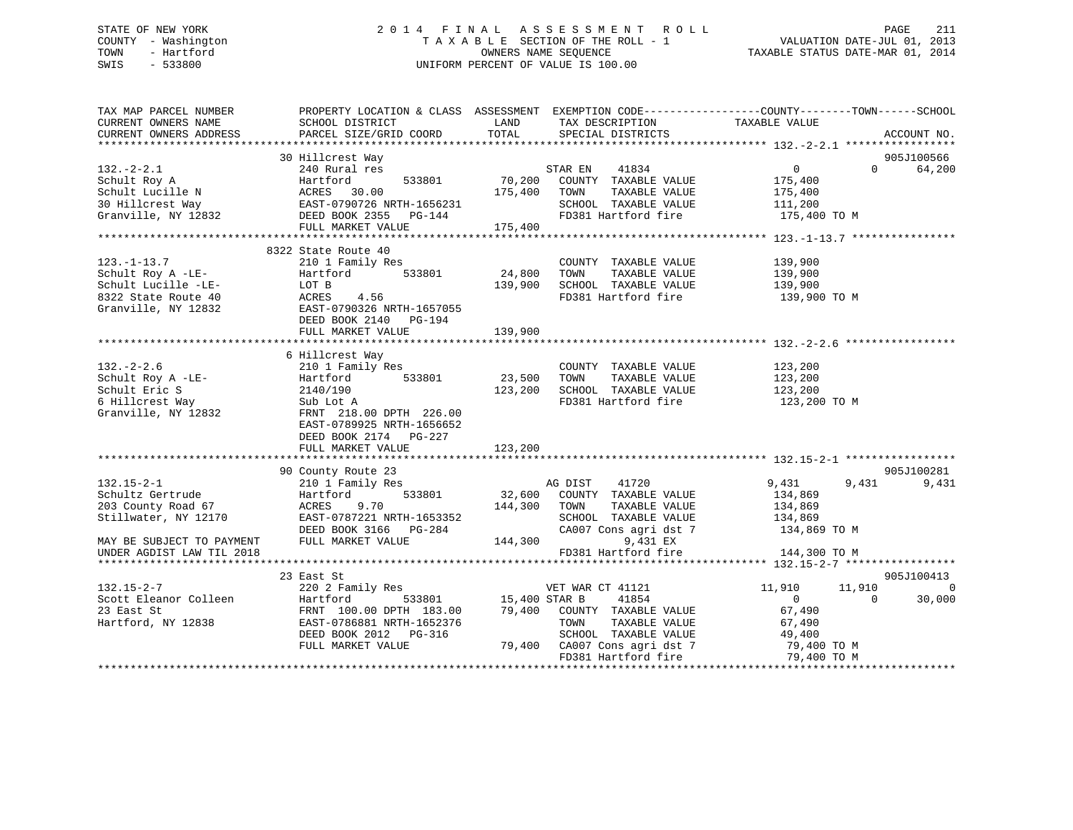## STATE OF NEW YORK 2 0 1 4 F I N A L A S S E S S M E N T R O L L PAGE 211 COUNTY - Washington T A X A B L E SECTION OF THE ROLL - 1 VALUATION DATE-JUL 01, 2013 TOWN - Hartford **TAXABLE STATUS DATE-MAR 01, 2014** OWNERS NAME SEQUENCE TAXABLE STATUS DATE-MAR 01, 2014 SWIS - 533800 UNIFORM PERCENT OF VALUE IS 100.00

| TAX MAP PARCEL NUMBER                                                                                                                                                                                                  |                                                                                                                   |                      |                                                                           | PROPERTY LOCATION & CLASS ASSESSMENT EXEMPTION CODE---------------COUNTY-------TOWN-----SCHOOL       |
|------------------------------------------------------------------------------------------------------------------------------------------------------------------------------------------------------------------------|-------------------------------------------------------------------------------------------------------------------|----------------------|---------------------------------------------------------------------------|------------------------------------------------------------------------------------------------------|
|                                                                                                                                                                                                                        |                                                                                                                   |                      |                                                                           |                                                                                                      |
|                                                                                                                                                                                                                        | 30 Hillcrest Way                                                                                                  |                      |                                                                           | 905J100566                                                                                           |
| $132 - 2 - 2.1$                                                                                                                                                                                                        | 240 Rural res                                                                                                     |                      | STAR EN 41834                                                             | $0 \qquad \qquad$<br>$\Omega$<br>64,200                                                              |
|                                                                                                                                                                                                                        |                                                                                                                   |                      | 533801 70,200 COUNTY TAXABLE VALUE                                        | 175,400                                                                                              |
|                                                                                                                                                                                                                        |                                                                                                                   | 175,400 TOWN         | TAXABLE VALUE                                                             | 175,400                                                                                              |
|                                                                                                                                                                                                                        |                                                                                                                   |                      | SCHOOL TAXABLE VALUE 111,200                                              |                                                                                                      |
|                                                                                                                                                                                                                        |                                                                                                                   |                      | FD381 Hartford fire 175,400 TO M                                          |                                                                                                      |
| 132.-2-2.1<br>Schult Roy A<br>Schult Lucille N<br>30 Hilcrest Way<br>Granville, NY 12832<br>TULL MARKET VALUE<br>TULL MARKET VALUE<br>CULL MARKET VALUE<br>CULL MARKET VALUE<br>CULL MARKET VALUE<br>CULL MARKET VALUE |                                                                                                                   |                      |                                                                           |                                                                                                      |
|                                                                                                                                                                                                                        |                                                                                                                   |                      |                                                                           |                                                                                                      |
|                                                                                                                                                                                                                        | 8322 State Route 40                                                                                               |                      |                                                                           |                                                                                                      |
| $123. - 1 - 13.7$                                                                                                                                                                                                      | 210 1 Family Res                                                                                                  |                      | COUNTY TAXABLE VALUE                                                      | 139,900<br>139,900                                                                                   |
| Schult Roy A -LE-                                                                                                                                                                                                      | Hartford<br>533801                                                                                                | 24,800               | TAXABLE VALUE<br>TOWN                                                     |                                                                                                      |
|                                                                                                                                                                                                                        | LOT B                                                                                                             | 139,900              | SCHOOL TAXABLE VALUE 139,900                                              |                                                                                                      |
| Schult Lucille -LE-<br>8322 State Route 40<br>Granville, NY 12832                                                                                                                                                      | ACRES 4.56                                                                                                        |                      | FD381 Hartford fire                                                       | 139,900 TO M                                                                                         |
|                                                                                                                                                                                                                        | EAST-0790326 NRTH-1657055                                                                                         |                      |                                                                           |                                                                                                      |
|                                                                                                                                                                                                                        | DEED BOOK 2140 PG-194                                                                                             |                      |                                                                           |                                                                                                      |
|                                                                                                                                                                                                                        | FULL MARKET VALUE                                                                                                 | 139,900              |                                                                           |                                                                                                      |
|                                                                                                                                                                                                                        |                                                                                                                   |                      |                                                                           |                                                                                                      |
|                                                                                                                                                                                                                        | 6 Hillcrest Way<br>Hillcrest Way<br>210 1 Family Res                                                              |                      |                                                                           |                                                                                                      |
| $132 - 2 - 2.6$                                                                                                                                                                                                        |                                                                                                                   |                      | COUNTY TAXABLE VALUE                                                      | 123,200                                                                                              |
|                                                                                                                                                                                                                        |                                                                                                                   | 533801 23,500 TOWN   |                                                                           | COMM TAXABLE VALUE<br>TOWN TAXABLE VALUE<br>SCHOOL TAXABLE VALUE<br>FD381 Hartford fire 123,200 TO M |
|                                                                                                                                                                                                                        |                                                                                                                   |                      | 123,200 SCHOOL TAXABLE VALUE                                              |                                                                                                      |
| Schult Roy A -LE-<br>Schult Eric S<br>Schult Eric S<br>6 Hillcrest Way Sub Lot A                                                                                                                                       |                                                                                                                   |                      |                                                                           |                                                                                                      |
| Granville, NY 12832                                                                                                                                                                                                    | FRNT 218.00 DPTH 226.00                                                                                           |                      |                                                                           |                                                                                                      |
|                                                                                                                                                                                                                        | EAST-0789925 NRTH-1656652                                                                                         |                      |                                                                           |                                                                                                      |
|                                                                                                                                                                                                                        | DEED BOOK 2174 PG-227                                                                                             |                      |                                                                           |                                                                                                      |
|                                                                                                                                                                                                                        | FULL MARKET VALUE                                                                                                 | 123,200              |                                                                           |                                                                                                      |
|                                                                                                                                                                                                                        |                                                                                                                   |                      |                                                                           |                                                                                                      |
|                                                                                                                                                                                                                        | 90 County Route 23                                                                                                |                      |                                                                           | 905J100281                                                                                           |
| $132.15 - 2 - 1$                                                                                                                                                                                                       | 210 1 Family Res                                                                                                  |                      | AG DIST 41720<br>32,600 COUNTY TAXABLE VALUE                              | 9,431<br>9,431<br>9,431                                                                              |
| Schultz Gertrude                                                                                                                                                                                                       | Hartford<br>533801                                                                                                |                      |                                                                           | 134,869                                                                                              |
|                                                                                                                                                                                                                        | ACRES<br>9.70                                                                                                     | 144,300 TOWN         | TAXABLE VALUE                                                             |                                                                                                      |
| 203 County Road 67<br>Stillwater, NY 12170                                                                                                                                                                             | EAST-0787221 NRTH-1653352                                                                                         |                      | SCHOOL TAXABLE VALUE                                                      | 134,869<br>134,869                                                                                   |
|                                                                                                                                                                                                                        |                                                                                                                   |                      |                                                                           | CA007 Cons agri dst 7 134,869 TO M                                                                   |
| MAY BE SUBJECT TO PAYMENT                                                                                                                                                                                              | EAST-0787221 matrices - 084<br>DEED BOOK 3166 PG-284 (2007) CAUDITY - 0.44<br>144,300 matrices - 144,300 matrices |                      | 9,431 EX                                                                  |                                                                                                      |
| UNDER AGDIST LAW TIL 2018                                                                                                                                                                                              |                                                                                                                   |                      | FD381 Hartford fire                                                       | 144,300 TO M                                                                                         |
|                                                                                                                                                                                                                        |                                                                                                                   |                      |                                                                           |                                                                                                      |
|                                                                                                                                                                                                                        | 23 East St                                                                                                        |                      |                                                                           | 905J100413                                                                                           |
| $132.15 - 2 - 7$                                                                                                                                                                                                       | 220 2 Family Res                                                                                                  |                      | VET WAR CT 41121                                                          | $\sim$ 0<br>11,910<br>11,910                                                                         |
|                                                                                                                                                                                                                        |                                                                                                                   | 533801 15,400 STAR B | 41854                                                                     | $\Omega$<br>30,000<br>$\overline{0}$                                                                 |
| 132.15-2-7<br>Scott Eleanor Colleen<br>23 East St<br>Hartford, NY 12838<br>EAST-0786                                                                                                                                   | FRNT 100.00 DPTH 183.00                                                                                           |                      | 79,400 COUNTY TAXABLE VALUE                                               | 67,490                                                                                               |
|                                                                                                                                                                                                                        | EAST-0786881 NRTH-1652376                                                                                         |                      | TAXABLE VALUE<br>TOWN                                                     | 67,490                                                                                               |
|                                                                                                                                                                                                                        | DEED BOOK 2012    PG-316                                                                                          |                      |                                                                           |                                                                                                      |
|                                                                                                                                                                                                                        | FULL MARKET VALUE                                                                                                 |                      | SCHOOL TAXABLE VALUE $49,400$<br>79,400 CA007 Cons agri dst 7 79,400 TO M |                                                                                                      |
|                                                                                                                                                                                                                        |                                                                                                                   |                      |                                                                           | FD381 Hartford fire 79,400 TO M                                                                      |
|                                                                                                                                                                                                                        |                                                                                                                   |                      |                                                                           |                                                                                                      |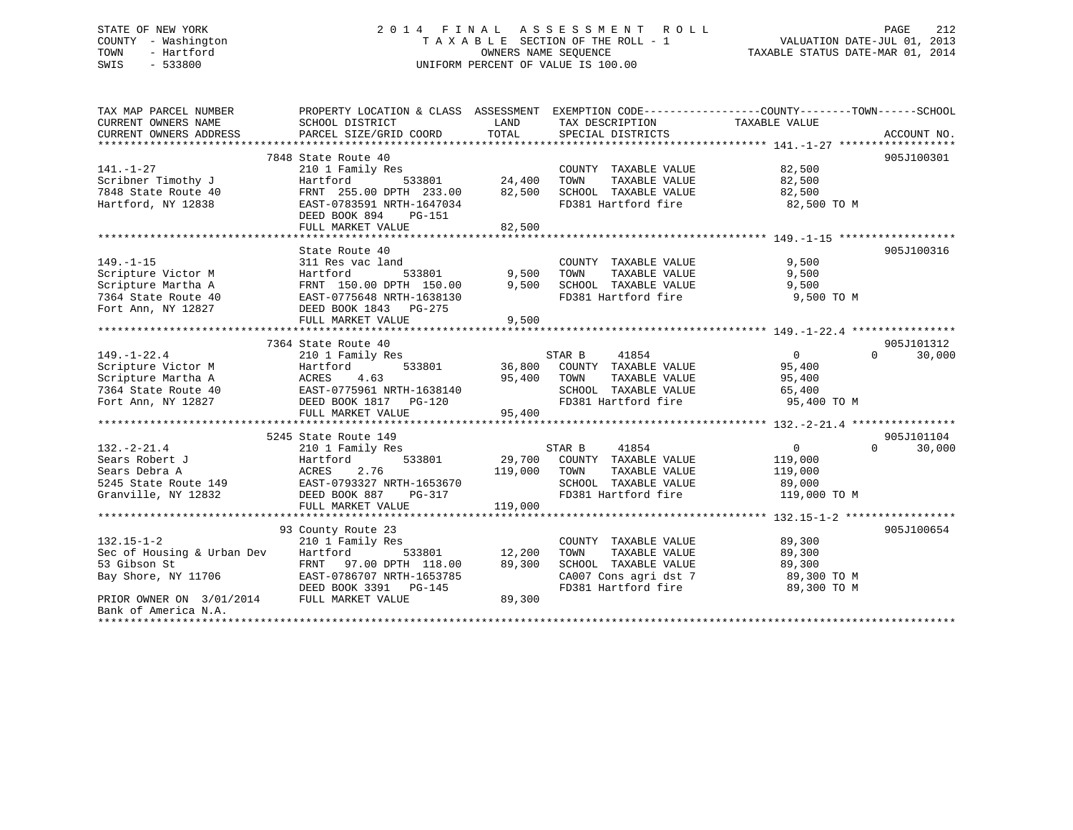## STATE OF NEW YORK 2 0 1 4 F I N A L A S S E S S M E N T R O L L PAGE 212 COUNTY - Washington T A X A B L E SECTION OF THE ROLL - 1 VALUATION DATE-JUL 01, 2013 TOWN - Hartford **TAXABLE STATUS DATE-MAR 01, 2014** OWNERS NAME SEQUENCE TAXABLE STATUS DATE-MAR 01, 2014 SWIS - 533800 UNIFORM PERCENT OF VALUE IS 100.00

| TAX MAP PARCEL NUMBER      | PROPERTY LOCATION & CLASS ASSESSMENT EXEMPTION CODE----------------COUNTY-------TOWN------SCHOOL |         |                                             |                        |                    |
|----------------------------|--------------------------------------------------------------------------------------------------|---------|---------------------------------------------|------------------------|--------------------|
| CURRENT OWNERS NAME        | SCHOOL DISTRICT                                                                                  | LAND    | TAX DESCRIPTION                             | TAXABLE VALUE          |                    |
| CURRENT OWNERS ADDRESS     | PARCEL SIZE/GRID COORD                                                                           | TOTAL   | SPECIAL DISTRICTS                           |                        | ACCOUNT NO.        |
|                            |                                                                                                  |         |                                             |                        |                    |
|                            | 7848 State Route 40                                                                              |         |                                             |                        | 905J100301         |
| $141. - 1 - 27$            | 210 1 Family Res                                                                                 |         | COUNTY TAXABLE VALUE                        | 82,500                 |                    |
| Scribner Timothy J         | Hartford<br>533801                                                                               | 24,400  | TAXABLE VALUE<br>TOWN                       | 82,500                 |                    |
| 7848 State Route 40        | FRNT 255.00 DPTH 233.00                                                                          | 82,500  | SCHOOL TAXABLE VALUE                        | 82,500                 |                    |
| Hartford, NY 12838         | EAST-0783591 NRTH-1647034                                                                        |         | FD381 Hartford fire                         | 82,500 TO M            |                    |
|                            | DEED BOOK 894<br>PG-151                                                                          |         |                                             |                        |                    |
|                            | FULL MARKET VALUE                                                                                | 82,500  |                                             |                        |                    |
|                            | State Route 40                                                                                   |         |                                             |                        | 905J100316         |
| $149. - 1 - 15$            | 311 Res vac land                                                                                 |         | COUNTY TAXABLE VALUE                        | 9,500                  |                    |
| Scripture Victor M         | Hartford<br>533801                                                                               | 9,500   | TOWN<br>TAXABLE VALUE                       | 9,500                  |                    |
| Scripture Martha A         | FRNT 150.00 DPTH 150.00                                                                          | 9,500   | SCHOOL TAXABLE VALUE                        | 9,500                  |                    |
| 7364 State Route 40        | <b>FRN1</b> 150.00 L.m. 1638130<br>EAST-0775648 NRTH-1638130                                     |         | FD381 Hartford fire                         | 9,500 TO M             |                    |
| Fort Ann, NY 12827         | DEED BOOK 1843 PG-275                                                                            |         |                                             |                        |                    |
|                            | FULL MARKET VALUE                                                                                | 9,500   |                                             |                        |                    |
|                            |                                                                                                  |         |                                             |                        |                    |
|                            | 7364 State Route 40                                                                              |         |                                             |                        | 905J101312         |
| $149. - 1 - 22.4$          | 210 1 Family Res                                                                                 |         | 41854<br>STAR B                             | 0                      | $\Omega$<br>30,000 |
| Scripture Victor M         | Hartford<br>533801                                                                               | 36,800  | COUNTY TAXABLE VALUE                        | 95,400                 |                    |
| Scripture Martha A         | ACRES<br>4.63                                                                                    | 95,400  | TOWN<br>TAXABLE VALUE                       | 95,400                 |                    |
| 7364 State Route 40        | EAST-0775961 NRTH-1638140                                                                        |         | SCHOOL TAXABLE VALUE                        | 65,400                 |                    |
| Fort Ann, NY 12827         | DEED BOOK 1817    PG-120                                                                         |         | FD381 Hartford fire                         | 95,400 TO M            |                    |
|                            | FULL MARKET VALUE                                                                                | 95,400  |                                             |                        |                    |
|                            |                                                                                                  |         |                                             |                        |                    |
|                            | 5245 State Route 149                                                                             |         |                                             |                        | 905J101104         |
| $132. - 2 - 21.4$          | 210 1 Family Res                                                                                 |         | 41854<br>STAR B                             | $\overline{0}$         | $\Omega$<br>30,000 |
| Sears Robert J             | 533801<br>Hartford                                                                               | 29,700  | COUNTY TAXABLE VALUE                        | 119,000                |                    |
| Sears Debra A              | ACRES<br>2.76                                                                                    | 119,000 | TAXABLE VALUE<br>TOWN                       | 119,000                |                    |
| 5245 State Route 149       | EAST-0793327 NRTH-1653670<br>DEED BOOK 887                                                       |         | SCHOOL TAXABLE VALUE<br>FD381 Hartford fire | 89,000<br>119,000 TO M |                    |
| Granville, NY 12832        | PG-317<br>FULL MARKET VALUE                                                                      | 119,000 |                                             |                        |                    |
|                            |                                                                                                  |         |                                             |                        |                    |
|                            | 93 County Route 23                                                                               |         |                                             |                        | 905J100654         |
| $132.15 - 1 - 2$           | 210 1 Family Res                                                                                 |         | COUNTY TAXABLE VALUE                        | 89,300                 |                    |
| Sec of Housing & Urban Dev | Hartford<br>533801                                                                               | 12,200  | TOWN<br>TAXABLE VALUE                       | 89,300                 |                    |
| 53 Gibson St               | FRNT 97.00 DPTH 118.00                                                                           | 89,300  | SCHOOL TAXABLE VALUE                        | 89,300                 |                    |
| Bay Shore, NY 11706        | EAST-0786707 NRTH-1653785                                                                        |         | CA007 Cons agri dst 7                       | 89,300 TO M            |                    |
|                            | DEED BOOK 3391<br>PG-145                                                                         |         | FD381 Hartford fire                         | 89,300 TO M            |                    |
| PRIOR OWNER ON 3/01/2014   | FULL MARKET VALUE                                                                                | 89,300  |                                             |                        |                    |
| Bank of America N.A.       |                                                                                                  |         |                                             |                        |                    |
|                            |                                                                                                  |         |                                             |                        |                    |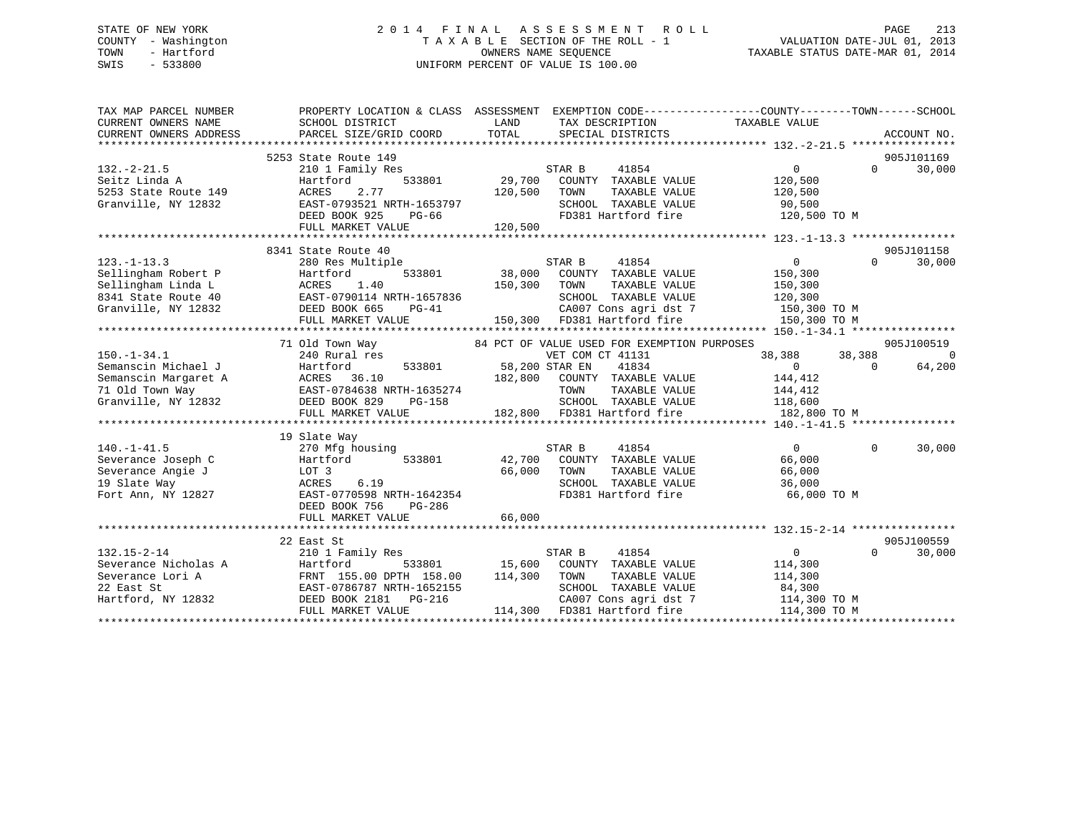## STATE OF NEW YORK 2 0 1 4 F I N A L A S S E S S M E N T R O L L PAGE 213 COUNTY - Washington T A X A B L E SECTION OF THE ROLL - 1 VALUATION DATE-JUL 01, 2013 TOWN - Hartford **TAXABLE STATUS DATE-MAR 01, 2014** OWNERS NAME SEQUENCE TAXABLE STATUS DATE-MAR 01, 2014 SWIS - 533800 UNIFORM PERCENT OF VALUE IS 100.00

| TAX MAP PARCEL NUMBER<br>CURRENT OWNERS NAME<br>CURRENT OWNERS ADDRESS                                                                                          | PROPERTY LOCATION & CLASS ASSESSMENT EXEMPTION CODE----------------COUNTY-------TOWN------SCHOOL<br>SCHOOL DISTRICT<br>PARCEL SIZE/GRID COORD | LAND<br>TOTAL  | TAX DESCRIPTION TAXABLE VALUE<br>SPECIAL DISTRICTS |                                  |          | ACCOUNT NO. |
|-----------------------------------------------------------------------------------------------------------------------------------------------------------------|-----------------------------------------------------------------------------------------------------------------------------------------------|----------------|----------------------------------------------------|----------------------------------|----------|-------------|
|                                                                                                                                                                 | 5253 State Route 149                                                                                                                          |                |                                                    |                                  |          | 905J101169  |
| $132 - 2 - 21.5$                                                                                                                                                | 210 1 Family Res                                                                                                                              |                | STAR B<br>41854                                    | $\overline{0}$                   | $\Omega$ | 30,000      |
| Seitz Linda A                                                                                                                                                   | Hartford                                                                                                                                      | 533801 29,700  | COUNTY TAXABLE VALUE                               | 120,500                          |          |             |
| 5253 State Route 149                                                                                                                                            | 2.77<br>ACRES                                                                                                                                 | 120,500        | TOWN<br>TAXABLE VALUE                              | 120,500                          |          |             |
| Granville, NY 12832                                                                                                                                             | EAST-0793521 NRTH-1653797                                                                                                                     |                | SCHOOL TAXABLE VALUE                               | 90,500                           |          |             |
|                                                                                                                                                                 |                                                                                                                                               |                |                                                    |                                  |          |             |
|                                                                                                                                                                 | DEED BOOK 925<br>PG-66                                                                                                                        |                |                                                    | FD381 Hartford fire 120,500 TO M |          |             |
|                                                                                                                                                                 | FULL MARKET VALUE                                                                                                                             | 120,500        |                                                    |                                  |          |             |
|                                                                                                                                                                 |                                                                                                                                               |                |                                                    |                                  |          |             |
|                                                                                                                                                                 | 8341 State Route 40                                                                                                                           |                |                                                    |                                  |          | 905J101158  |
| $123. - 1 - 13.3$                                                                                                                                               | 280 Res Multiple                                                                                                                              |                | STAR B<br>41854                                    | $\overline{0}$                   | $\Omega$ | 30,000      |
| Sellingham Robert P                                                                                                                                             | 533801<br>Hartford                                                                                                                            |                | 38,000 COUNTY TAXABLE VALUE                        | 150,300                          |          |             |
| Sellingham Linda L                                                                                                                                              | ACRES<br>1.40                                                                                                                                 | 150,300        | TOWN<br>TAXABLE VALUE                              | 150,300                          |          |             |
| 8341 State Route 40                                                                                                                                             | EAST-0790114 NRTH-1657836                                                                                                                     |                |                                                    | 120,300                          |          |             |
| Granville, NY 12832                                                                                                                                             | DEED BOOK 665<br>$PG-41$                                                                                                                      |                | SCHOOL TAXABLE VALUE<br>CA007 Cons agri dst 7      | $120,300$ TO M<br>150,300 TO M   |          |             |
|                                                                                                                                                                 | FULL MARKET VALUE                                                                                                                             |                | 150,300 FD381 Hartford fire                        | 150,300 TO M                     |          |             |
|                                                                                                                                                                 |                                                                                                                                               |                |                                                    |                                  |          |             |
|                                                                                                                                                                 | 71 Old Town Way                                                                                                                               |                | 84 PCT OF VALUE USED FOR EXEMPTION PURPOSES        |                                  |          | 905J100519  |
| $150.-1-34.1$                                                                                                                                                   | 240 Rural res                                                                                                                                 |                | VET COM CT 41131                                   | 38,388                           | 38,388   | $\Omega$    |
| Semanscin Michael J<br>Semanscin Margaret A<br>71 Old Town Way<br>Granville, NY 12832<br>The CERED BOOK 829<br>THE POOK 829<br>PG-158<br>THE POOK 829<br>PG-158 |                                                                                                                                               | 58,200 STAR EN | 41834                                              | $\overline{0}$                   | $\Omega$ | 64,200      |
|                                                                                                                                                                 |                                                                                                                                               |                | 182,800 COUNTY TAXABLE VALUE                       | 144,412                          |          |             |
|                                                                                                                                                                 |                                                                                                                                               |                |                                                    |                                  |          |             |
|                                                                                                                                                                 |                                                                                                                                               |                |                                                    |                                  |          |             |
|                                                                                                                                                                 |                                                                                                                                               |                |                                                    |                                  |          |             |
|                                                                                                                                                                 |                                                                                                                                               |                |                                                    |                                  |          |             |
|                                                                                                                                                                 | 19 Slate Way                                                                                                                                  |                |                                                    |                                  |          |             |
| $140. - 1 - 41.5$                                                                                                                                               | 270 Mfg housing                                                                                                                               |                | STAR B<br>41854                                    | $\Omega$                         | $\Omega$ | 30,000      |
| Severance Joseph C                                                                                                                                              | 533801<br>Hartford                                                                                                                            | 42,700         | COUNTY TAXABLE VALUE                               | 66,000                           |          |             |
| Severance Angie J                                                                                                                                               | LOT 3                                                                                                                                         | 66,000         | TOWN<br>TAXABLE VALUE                              | 66,000                           |          |             |
| 19 Slate Way                                                                                                                                                    | 6.19<br>ACRES                                                                                                                                 |                | SCHOOL TAXABLE VALUE                               | 36,000                           |          |             |
| Fort Ann, NY 12827                                                                                                                                              | EAST-0770598 NRTH-1642354                                                                                                                     |                | FD381 Hartford fire                                | 66,000 TO M                      |          |             |
|                                                                                                                                                                 | DEED BOOK 756<br>PG-286                                                                                                                       |                |                                                    |                                  |          |             |
|                                                                                                                                                                 | FULL MARKET VALUE                                                                                                                             | 66,000         |                                                    |                                  |          |             |
|                                                                                                                                                                 |                                                                                                                                               |                |                                                    |                                  |          |             |
|                                                                                                                                                                 | 22 East St                                                                                                                                    |                |                                                    |                                  |          | 905J100559  |
| $132.15 - 2 - 14$                                                                                                                                               | 210 1 Family Res                                                                                                                              |                | STAR B<br>41854                                    | $\overline{0}$                   | $\Omega$ | 30,000      |
| Severance Nicholas A                                                                                                                                            | Hartford<br>FRNT 155.00 DPTH 158.00<br>EAST-0786787 NRTH-1652155<br>-0077 2181 PG-216                                                         |                | 533801 15,600 COUNTY TAXABLE VALUE                 | 114,300                          |          |             |
| Severance Lori A                                                                                                                                                |                                                                                                                                               | 114,300        | TOWN<br>TAXABLE VALUE                              | 114,300                          |          |             |
| 22 East St                                                                                                                                                      |                                                                                                                                               |                | SCHOOL TAXABLE VALUE                               | 84,300                           |          |             |
| Hartford, NY 12832                                                                                                                                              |                                                                                                                                               |                | CA007 Cons agri dst 7                              | 114,300 TO M                     |          |             |
|                                                                                                                                                                 | FULL MARKET VALUE                                                                                                                             |                | 114,300 FD381 Hartford fire                        | 114,300 TO M                     |          |             |
|                                                                                                                                                                 |                                                                                                                                               |                |                                                    |                                  |          |             |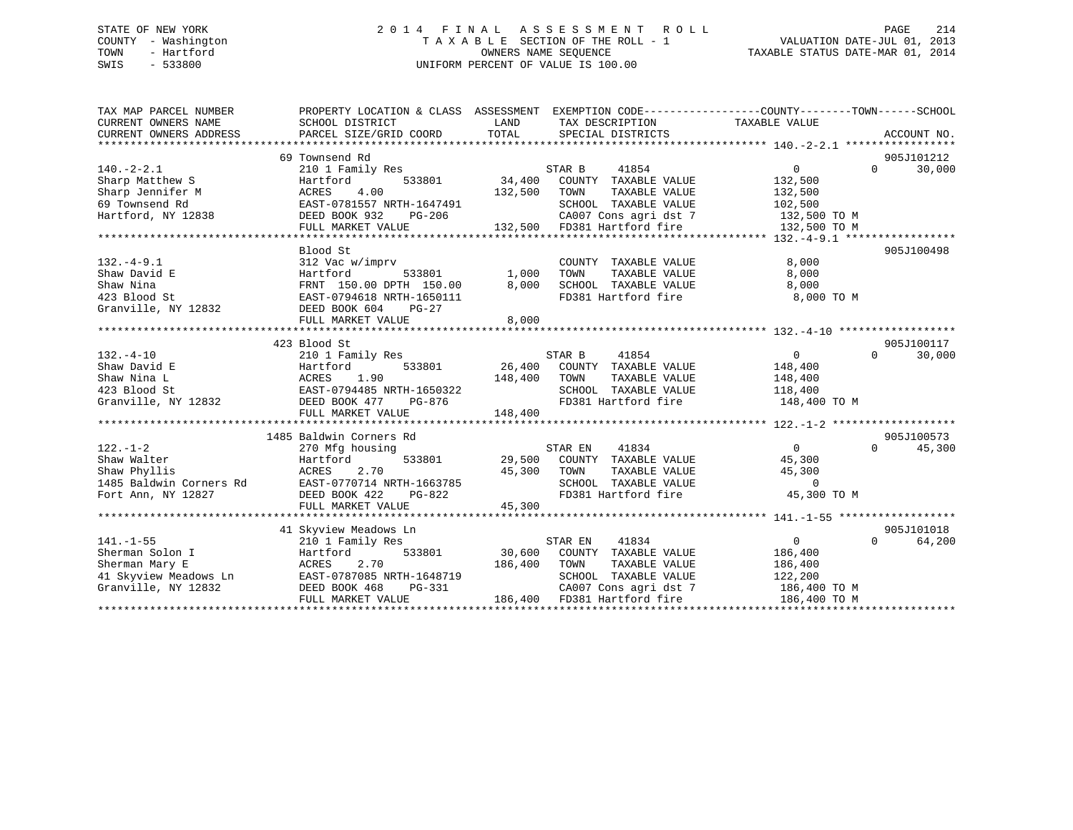## STATE OF NEW YORK 2 0 1 4 F I N A L A S S E S S M E N T R O L L PAGE 214 COUNTY - Washington T A X A B L E SECTION OF THE ROLL - 1 VALUATION DATE-JUL 01, 2013 TOWN - Hartford **TAXABLE STATUS DATE-MAR 01, 2014** OWNERS NAME SEQUENCE TAXABLE STATUS DATE-MAR 01, 2014 SWIS - 533800 UNIFORM PERCENT OF VALUE IS 100.00

| TAX MAP PARCEL NUMBER<br>CURRENT OWNERS NAME<br>CURRENT OWNERS ADDRESS | PROPERTY LOCATION & CLASS ASSESSMENT<br>SCHOOL DISTRICT<br>PARCEL SIZE/GRID COORD | LAND<br>TOTAL | EXEMPTION CODE-----------------COUNTY-------TOWN------SCHOOL<br>TAX DESCRIPTION<br>SPECIAL DISTRICTS | TAXABLE VALUE     | ACCOUNT NO.        |
|------------------------------------------------------------------------|-----------------------------------------------------------------------------------|---------------|------------------------------------------------------------------------------------------------------|-------------------|--------------------|
|                                                                        |                                                                                   |               |                                                                                                      |                   |                    |
|                                                                        | 69 Townsend Rd                                                                    |               |                                                                                                      |                   | 905J101212         |
| $140. -2 - 2.1$                                                        | 210 1 Family Res                                                                  |               | 41854<br>STAR B                                                                                      | $\Omega$          | $\Omega$<br>30,000 |
| Sharp Matthew S                                                        | Hartford                                                                          | 533801 34,400 | COUNTY TAXABLE VALUE                                                                                 | 132,500           |                    |
| Sharp Jennifer M                                                       | 4.00<br>ACRES                                                                     | 132,500       | TOWN<br>TAXABLE VALUE                                                                                | 132,500           |                    |
| 69 Townsend Rd                                                         | EAST-0781557 NRTH-1647491                                                         |               | SCHOOL TAXABLE VALUE                                                                                 | 102,500           |                    |
| Hartford, NY 12838                                                     | DEED BOOK 932<br>PG-206                                                           |               | CA007 Cons agri dst 7 132,500 TO M                                                                   |                   |                    |
|                                                                        | FULL MARKET VALUE                                                                 |               | 132,500 FD381 Hartford fire                                                                          | 132,500 TO M      |                    |
|                                                                        |                                                                                   |               |                                                                                                      |                   |                    |
|                                                                        | Blood St                                                                          |               |                                                                                                      |                   | 905J100498         |
| $132. - 4 - 9.1$                                                       | 312 Vac w/imprv                                                                   |               | COUNTY TAXABLE VALUE                                                                                 | 8,000             |                    |
| Shaw David E                                                           | Hartford<br>533801                                                                | 1,000         | TAXABLE VALUE<br>TOWN                                                                                | 8,000             |                    |
| Shaw Nina                                                              | FRNT 150.00 DPTH 150.00                                                           | 8,000         | SCHOOL TAXABLE VALUE                                                                                 | 8,000             |                    |
| 423 Blood St                                                           | EAST-0794618 NRTH-1650111                                                         |               | FD381 Hartford fire                                                                                  | 8,000 TO M        |                    |
| Granville, NY 12832                                                    | DEED BOOK 604<br>PG-27                                                            |               |                                                                                                      |                   |                    |
|                                                                        | FULL MARKET VALUE                                                                 | 8,000         |                                                                                                      |                   |                    |
|                                                                        |                                                                                   |               |                                                                                                      |                   |                    |
|                                                                        | 423 Blood St                                                                      |               |                                                                                                      |                   | 905J100117         |
| $132. -4 - 10$                                                         | 210 1 Family Res                                                                  |               | STAR B<br>41854                                                                                      | $\overline{0}$    | 30,000<br>$\Omega$ |
| Shaw David E                                                           | 533801<br>Hartford                                                                |               | 26,400 COUNTY TAXABLE VALUE                                                                          | 148,400           |                    |
| Shaw Nina L                                                            | ACRES<br>1.90                                                                     | 148,400       | TOWN<br>TAXABLE VALUE                                                                                | 148,400           |                    |
| 423 Blood St                                                           | EAST-0794485 NRTH-1650322                                                         |               | SCHOOL TAXABLE VALUE                                                                                 | 118,400           |                    |
| Granville, NY 12832                                                    | DEED BOOK 477<br>PG-876                                                           |               | FD381 Hartford fire                                                                                  | 148,400 TO M      |                    |
|                                                                        | FULL MARKET VALUE                                                                 | 148,400       |                                                                                                      |                   |                    |
|                                                                        |                                                                                   |               |                                                                                                      |                   |                    |
|                                                                        | 1485 Baldwin Corners Rd                                                           |               |                                                                                                      |                   | 905J100573         |
| $122. - 1 - 2$                                                         | 270 Mfg housing                                                                   |               | STAR EN<br>41834                                                                                     | $\overline{0}$    | $\Omega$<br>45,300 |
| Shaw Walter                                                            | 533801<br>Hartford                                                                |               | 29,500 COUNTY TAXABLE VALUE                                                                          | 45,300            |                    |
| Shaw Phyllis                                                           | 2.70<br>ACRES                                                                     | 45,300        | TAXABLE VALUE<br>TOWN                                                                                | 45,300            |                    |
| 1485 Baldwin Corners Rd                                                | EAST-0770714 NRTH-1663785                                                         |               |                                                                                                      | $\Omega$          |                    |
| Fort Ann, NY 12827                                                     | DEED BOOK 422<br>PG-822                                                           |               | ENSUR THAABLE VALUE<br>FD381 Hartford fire                                                           | 45,300 TO M       |                    |
|                                                                        | FULL MARKET VALUE                                                                 | 45,300        |                                                                                                      |                   |                    |
|                                                                        |                                                                                   |               |                                                                                                      |                   |                    |
|                                                                        | 41 Skyview Meadows Ln                                                             |               |                                                                                                      |                   | 905J101018         |
| $141. - 1 - 55$                                                        | 210 1 Family Res                                                                  |               | 41834<br>STAR EN                                                                                     | $0 \qquad \qquad$ | $\Omega$<br>64,200 |
| Sherman Solon I                                                        | 533801<br>Hartford                                                                | 30,600        | COUNTY TAXABLE VALUE                                                                                 | 186,400           |                    |
| Sherman Mary E                                                         | ACRES<br>2.70<br>ACRES 2.70<br>EAST-0787085 NRTH-1648719                          | 186,400       | TOWN<br>TAXABLE VALUE                                                                                | 186,400           |                    |
| 41 Skyview Meadows Ln                                                  |                                                                                   |               | SCHOOL TAXABLE VALUE                                                                                 | 122,200           |                    |
| Granville, NY 12832                                                    | DEED BOOK 468<br>PG-331                                                           |               | CA007 Cons agri dst 7                                                                                | 186,400 TO M      |                    |
|                                                                        | FULL MARKET VALUE                                                                 |               | 186,400 FD381 Hartford fire                                                                          | 186,400 TO M      |                    |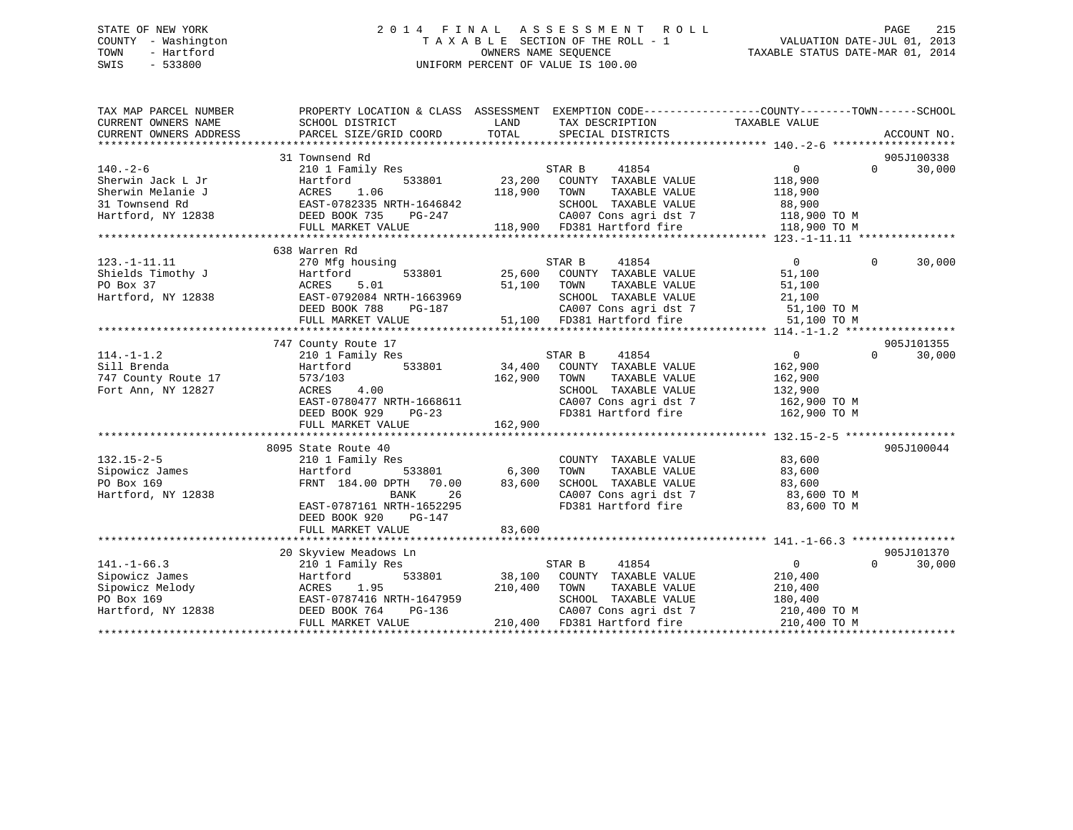## STATE OF NEW YORK 2 0 1 4 F I N A L A S S E S S M E N T R O L L PAGE 215 COUNTY - Washington T A X A B L E SECTION OF THE ROLL - 1 VALUATION DATE-JUL 01, 2013 TOWN - Hartford **TAXABLE STATUS DATE-MAR 01, 2014** OWNERS NAME SEQUENCE TAXABLE STATUS DATE-MAR 01, 2014 SWIS - 533800 UNIFORM PERCENT OF VALUE IS 100.00

| TAX MAP PARCEL NUMBER<br>CURRENT OWNERS NAME<br>CURRENT OWNERS ADDRESS | PROPERTY LOCATION & CLASS ASSESSMENT EXEMPTION CODE----------------COUNTY-------TOWN-----SCHOOL<br>SCHOOL DISTRICT<br>PARCEL SIZE/GRID COORD | LAND<br>TOTAL | TAX DESCRIPTION<br>SPECIAL DISTRICTS                                           | TAXABLE VALUE          | ACCOUNT NO.        |
|------------------------------------------------------------------------|----------------------------------------------------------------------------------------------------------------------------------------------|---------------|--------------------------------------------------------------------------------|------------------------|--------------------|
|                                                                        |                                                                                                                                              |               |                                                                                |                        |                    |
|                                                                        | 31 Townsend Rd                                                                                                                               |               |                                                                                |                        | 905J100338         |
| $140. - 2 - 6$                                                         | 210 1 Family Res                                                                                                                             |               | STAR B<br>41854                                                                | 0                      | $\Omega$<br>30,000 |
| Sherwin Jack L Jr                                                      | 533801<br>Hartford                                                                                                                           |               | 23,200 COUNTY TAXABLE VALUE                                                    | 118,900                |                    |
| Sherwin Melanie J                                                      | ACRES<br>1.06                                                                                                                                | 118,900       | TOWN<br>TAXABLE VALUE                                                          | 118,900                |                    |
| 31 Townsend Rd                                                         |                                                                                                                                              |               | SCHOOL TAXABLE VALUE                                                           |                        |                    |
| Hartford, NY 12838                                                     | EAST-0782335 NRTH-1646842<br>DEED BOOK 735 PG-247<br>DEED BOOK 735<br>PG-247                                                                 |               |                                                                                | 88,900<br>118,900 TO M |                    |
|                                                                        | FULL MARKET VALUE                                                                                                                            |               | CA007 Cons agri dst 7 118,900 TO M<br>118,900 FD381 Hartford fire 118,900 TO M |                        |                    |
|                                                                        |                                                                                                                                              |               |                                                                                |                        |                    |
|                                                                        | 638 Warren Rd                                                                                                                                |               |                                                                                |                        |                    |
| $123. - 1 - 11.11$                                                     | 270 Mfg housing                                                                                                                              |               | 41854<br>STAR B                                                                | $\overline{0}$         | $\Omega$<br>30,000 |
| Shields Timothy J                                                      | 533801<br>Hartford                                                                                                                           |               | 25,600 COUNTY TAXABLE VALUE                                                    | 51,100                 |                    |
| PO Box 37                                                              | ACRES<br>5.01                                                                                                                                | 51,100 TOWN   | TAXABLE VALUE                                                                  | 51,100                 |                    |
|                                                                        |                                                                                                                                              |               | SCHOOL TAXABLE VALUE                                                           |                        |                    |
|                                                                        |                                                                                                                                              |               |                                                                                |                        |                    |
|                                                                        |                                                                                                                                              |               |                                                                                |                        |                    |
|                                                                        |                                                                                                                                              |               |                                                                                |                        |                    |
|                                                                        | 747 County Route 17                                                                                                                          |               |                                                                                |                        | 905J101355         |
| $114. - 1 - 1.2$                                                       | 210 1 Family Res                                                                                                                             |               | STAR B<br>41854                                                                | $\overline{0}$         | $\Omega$<br>30,000 |
| Sill Brenda                                                            | 533801<br>Hartford                                                                                                                           | 34,400        | COUNTY TAXABLE VALUE                                                           | 162,900                |                    |
| 747 County Route 17                                                    | 573/103                                                                                                                                      | 162,900       | TAXABLE VALUE<br>TOWN                                                          | 162,900                |                    |
| Fort Ann, NY 12827                                                     | 4.00<br>ACRES                                                                                                                                |               | SCHOOL TAXABLE VALUE                                                           | 132,900                |                    |
|                                                                        | EAST-0780477 NRTH-1668611                                                                                                                    |               | CA007 Cons agri dst 7 162,900 TO M<br>FD381 Hartford fire 162,900 TO M         |                        |                    |
|                                                                        | DEED BOOK 929 PG-23                                                                                                                          |               |                                                                                |                        |                    |
|                                                                        | FULL MARKET VALUE                                                                                                                            | 162,900       |                                                                                |                        |                    |
|                                                                        |                                                                                                                                              |               |                                                                                |                        |                    |
|                                                                        | 8095 State Route 40                                                                                                                          |               |                                                                                |                        | 905J100044         |
| $132.15 - 2 - 5$                                                       | 210 1 Family Res                                                                                                                             |               | COUNTY TAXABLE VALUE                                                           | 83,600                 |                    |
| Sipowicz James                                                         | 533801<br>Hartford                                                                                                                           | 6,300         | TOWN        TAXABLE  VALUE<br>SCHOOL    TAXABLE  VALUE                         | 83,600                 |                    |
| PO Box 169                                                             | FRNT 184.00 DPTH 70.00                                                                                                                       | 83,600        |                                                                                | 83,600                 |                    |
| Hartford, NY 12838                                                     | BANK<br>26                                                                                                                                   |               | CA007 Cons agri dst 7 83,600 TO M                                              |                        |                    |
|                                                                        | EAST-0787161 NRTH-1652295                                                                                                                    |               | FD381 Hartford fire                                                            | 83,600 TO M            |                    |
|                                                                        | DEED BOOK 920<br>PG-147                                                                                                                      |               |                                                                                |                        |                    |
|                                                                        | FULL MARKET VALUE                                                                                                                            | 83,600        |                                                                                |                        |                    |
|                                                                        |                                                                                                                                              |               |                                                                                |                        |                    |
|                                                                        | 20 Skyview Meadows Ln                                                                                                                        |               |                                                                                |                        | 905J101370         |
| $141. - 1 - 66.3$                                                      | 210 1 Family Res                                                                                                                             |               | STAR B<br>41854                                                                | $\overline{0}$         | 30,000<br>$\Omega$ |
| Sipowicz James                                                         | Hartford                                                                                                                                     |               | 533801 38,100 COUNTY TAXABLE VALUE                                             | 210,400                |                    |
| Sipowicz Melody                                                        | 1.95<br>ACRES                                                                                                                                | 210,400 TOWN  | TAXABLE VALUE                                                                  | 210,400                |                    |
| PO Box 169<br>Hartford, NY 12838                                       | EAST-0787416 NRTH-1647959<br>צכצו בטב−ם<br>PG-136                                                                                            |               | SCHOOL TAXABLE VALUE                                                           | 180,400                |                    |
|                                                                        | DEED BOOK 764                                                                                                                                |               | CA007 Cons agri dst 7                                                          | 210,400 TO M           |                    |
|                                                                        | FULL MARKET VALUE                                                                                                                            |               | 210,400 FD381 Hartford fire                                                    | 210,400 TO M           |                    |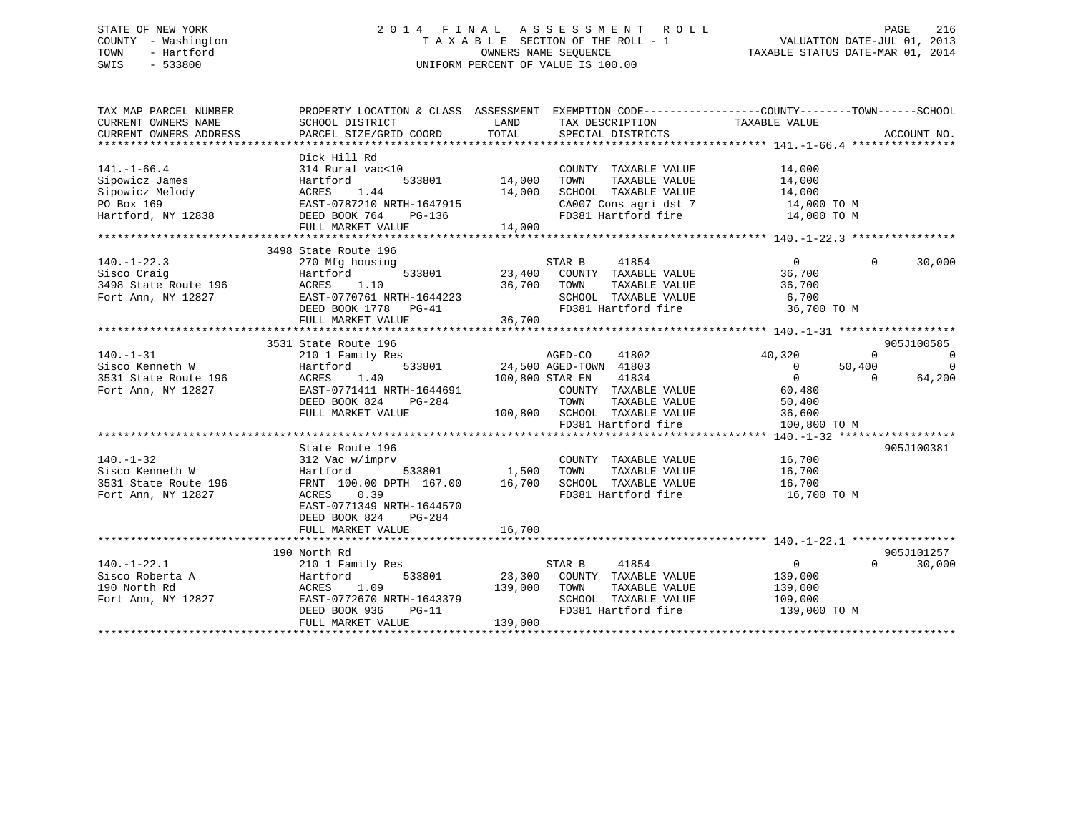## STATE OF NEW YORK 2 0 1 4 F I N A L A S S E S S M E N T R O L L PAGE 216 COUNTY - Washington T A X A B L E SECTION OF THE ROLL - 1 VALUATION DATE-JUL 01, 2013 TOWN - Hartford **TAXABLE STATUS DATE-MAR 01, 2014** OWNERS NAME SEQUENCE TAXABLE STATUS DATE-MAR 01, 2014 SWIS - 533800 UNIFORM PERCENT OF VALUE IS 100.00

| TAX MAP PARCEL NUMBER<br>CURRENT OWNERS NAME<br>CURRENT OWNERS ADDRESS | PROPERTY LOCATION & CLASS ASSESSMENT EXEMPTION CODE---------------COUNTY-------TOWN------SCHOOL<br>SCHOOL DISTRICT<br>PARCEL SIZE/GRID COORD | LAND<br>TOTAL   | TAX DESCRIPTION<br>SPECIAL DISTRICTS                  | TAXABLE VALUE                 | ACCOUNT NO.    |
|------------------------------------------------------------------------|----------------------------------------------------------------------------------------------------------------------------------------------|-----------------|-------------------------------------------------------|-------------------------------|----------------|
|                                                                        |                                                                                                                                              |                 |                                                       |                               |                |
| $141. - 1 - 66.4$                                                      | Dick Hill Rd<br>314 Rural vac<10                                                                                                             |                 | COUNTY TAXABLE VALUE                                  | 14,000                        |                |
| Sipowicz James                                                         | Hartford<br>533801                                                                                                                           | 14,000          | TAXABLE VALUE<br>TOWN                                 | 14,000                        |                |
| Sipowicz Melody                                                        | ACRES<br>1.44                                                                                                                                | 14,000          | SCHOOL TAXABLE VALUE                                  | 14,000                        |                |
| PO Box 169                                                             | EAST-0787210 NRTH-1647915<br>DEED BOOK 754                                                                                                   |                 | CA007 Cons agri dst 7                                 | 14,000 TO M                   |                |
| Hartford, NY 12838                                                     | DEED BOOK 764<br>PG-136                                                                                                                      |                 | FD381 Hartford fire                                   | 14,000 TO M                   |                |
|                                                                        | FULL MARKET VALUE                                                                                                                            | 14,000          |                                                       |                               |                |
|                                                                        |                                                                                                                                              |                 |                                                       |                               |                |
|                                                                        | 3498 State Route 196                                                                                                                         |                 |                                                       |                               |                |
| $140. - 1 - 22.3$                                                      | 270 Mfg housing                                                                                                                              |                 | 41854<br>STAR B                                       | $\overline{0}$<br>$\Omega$    | 30,000         |
| Sisco Craig                                                            | 533801<br>Hartford                                                                                                                           |                 | 23,400 COUNTY TAXABLE VALUE                           | 36,700                        |                |
| 3498 State Route 196                                                   | ACRES<br>1.10                                                                                                                                | 36,700 TOWN     | TAXABLE VALUE                                         | 36,700                        |                |
| Fort Ann, NY 12827                                                     | EAST-0770761 NRTH-1644223                                                                                                                    |                 | SCHOOL TAXABLE VALUE                                  | 6,700                         |                |
|                                                                        | DEED BOOK 1778 PG-41                                                                                                                         |                 | FD381 Hartford fire                                   | 36,700 TO M                   |                |
|                                                                        | FULL MARKET VALUE                                                                                                                            | 36,700          |                                                       |                               |                |
|                                                                        |                                                                                                                                              |                 |                                                       |                               |                |
|                                                                        | 3531 State Route 196                                                                                                                         |                 |                                                       |                               | 905J100585     |
| $140. - 1 - 31$                                                        | 210 1 Family Res                                                                                                                             |                 | AGED-CO<br>41802                                      | 40,320<br>$\Omega$            | $\overline{0}$ |
| Sisco Kenneth W                                                        | 533801<br>Hartford                                                                                                                           |                 | 24,500 AGED-TOWN 41803                                | $\overline{0}$<br>50,400      | $\Omega$       |
| 3531 State Route 196                                                   | ACRES<br>1.40                                                                                                                                | 100,800 STAR EN | 41834                                                 | $\Omega$<br>$\Omega$          | 64,200         |
| Fort Ann, NY 12827                                                     | EAST-0771411 NRTH-1644691                                                                                                                    |                 | COUNTY TAXABLE VALUE                                  | 60,480                        |                |
|                                                                        |                                                                                                                                              |                 |                                                       |                               |                |
|                                                                        | DEED BOOK 824<br>PG-284                                                                                                                      |                 | TOWN<br>TAXABLE VALUE<br>100,800 SCHOOL TAXABLE VALUE | 50,400                        |                |
|                                                                        | FULL MARKET VALUE                                                                                                                            |                 |                                                       | 36,600                        |                |
|                                                                        |                                                                                                                                              |                 | FD381 Hartford fire                                   | 100,800 TO M                  |                |
|                                                                        |                                                                                                                                              |                 |                                                       |                               |                |
|                                                                        | State Route 196                                                                                                                              |                 |                                                       |                               | 905J100381     |
| $140. - 1 - 32$                                                        | 312 Vac w/imprv                                                                                                                              |                 | COUNTY TAXABLE VALUE                                  | 16,700                        |                |
| sisco Kenneth W<br>3531 State Route 196                                | 533801<br>Hartford                                                                                                                           | 1,500 TOWN      | TAXABLE VALUE                                         | 16,700                        |                |
|                                                                        | FRNT 100.00 DPTH 167.00                                                                                                                      | 16,700          | SCHOOL TAXABLE VALUE                                  | 16,700                        |                |
| Fort Ann, NY 12827                                                     | ACRES<br>0.39                                                                                                                                |                 | FD381 Hartford fire                                   | 16,700 TO M                   |                |
|                                                                        | EAST-0771349 NRTH-1644570                                                                                                                    |                 |                                                       |                               |                |
|                                                                        | DEED BOOK 824<br>PG-284                                                                                                                      |                 |                                                       |                               |                |
|                                                                        | FULL MARKET VALUE                                                                                                                            | 16,700          |                                                       |                               |                |
|                                                                        |                                                                                                                                              |                 |                                                       |                               |                |
|                                                                        | 190 North Rd                                                                                                                                 |                 |                                                       |                               | 905J101257     |
| $140. - 1 - 22.1$                                                      | 210 1 Family Res                                                                                                                             |                 | STAR B<br>41854                                       | $0 \qquad \qquad$<br>$\Omega$ | 30,000         |
| Sisco Roberta A                                                        | 533801<br>Hartford                                                                                                                           |                 | 23,300 COUNTY TAXABLE VALUE                           | 139,000                       |                |
| 190 North Rd                                                           | 1.09<br>ACRES                                                                                                                                | 139,000         | TOWN<br>TAXABLE VALUE                                 | 139,000                       |                |
| Fort Ann, NY 12827                                                     | EAST-0772670 NRTH-1643379                                                                                                                    |                 | SCHOOL TAXABLE VALUE                                  | 109,000                       |                |
|                                                                        | DEED BOOK 936<br>$PG-11$                                                                                                                     |                 | FD381 Hartford fire                                   | 139,000 TO M                  |                |
|                                                                        | FULL MARKET VALUE                                                                                                                            | 139,000         |                                                       |                               |                |
|                                                                        |                                                                                                                                              |                 |                                                       |                               |                |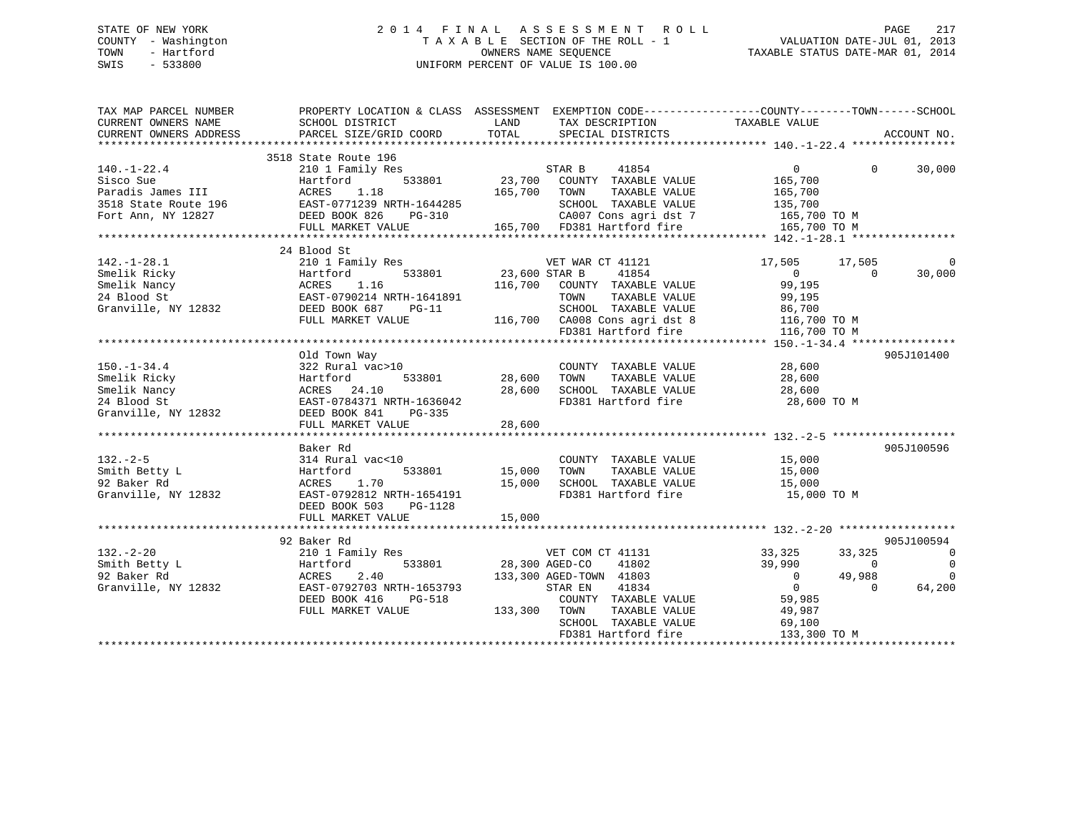## STATE OF NEW YORK 2 0 1 4 F I N A L A S S E S S M E N T R O L L PAGE 217 COUNTY - Washington T A X A B L E SECTION OF THE ROLL - 1 VALUATION DATE-JUL 01, 2013 TOWN - Hartford **TAXABLE STATUS DATE-MAR 01, 2014** OWNERS NAME SEQUENCE TAXABLE STATUS DATE-MAR 01, 2014 SWIS - 533800 UNIFORM PERCENT OF VALUE IS 100.00

| TAX MAP PARCEL NUMBER                 | PROPERTY LOCATION & CLASS ASSESSMENT EXEMPTION CODE---------------COUNTY-------TOWN-----SCHOOL                                                                                                                        |              |                                                                                                                      |                                  |                          |
|---------------------------------------|-----------------------------------------------------------------------------------------------------------------------------------------------------------------------------------------------------------------------|--------------|----------------------------------------------------------------------------------------------------------------------|----------------------------------|--------------------------|
|                                       |                                                                                                                                                                                                                       |              |                                                                                                                      |                                  |                          |
| $140. - 1 - 22.4$                     | 3518 State Route 196<br>210 1 Family Res                                                                                                                                                                              |              | Ee 196<br>ily Res 533801 23,700 COUNTY TAXABLE VALUE<br>1.18 165,700 TOWN TAXABLE VALUE<br>26,700 TOWN TAXABLE VALUE | $\overline{0}$<br>$\Omega$       | 30,000                   |
|                                       |                                                                                                                                                                                                                       |              |                                                                                                                      |                                  |                          |
|                                       |                                                                                                                                                                                                                       |              |                                                                                                                      |                                  |                          |
|                                       |                                                                                                                                                                                                                       |              |                                                                                                                      |                                  |                          |
|                                       |                                                                                                                                                                                                                       |              |                                                                                                                      |                                  |                          |
|                                       |                                                                                                                                                                                                                       |              |                                                                                                                      |                                  |                          |
|                                       |                                                                                                                                                                                                                       |              |                                                                                                                      |                                  |                          |
|                                       | 24 Blood St                                                                                                                                                                                                           |              |                                                                                                                      |                                  |                          |
|                                       | 210 1 Family Res                                                                                                                                                                                                      |              |                                                                                                                      | 17,505 17,505                    | $\overline{0}$           |
| 142.-1-28.1<br>Smelik Ricky           | lly Res<br>533801 533801 23,600 STAR B<br>142.-1-28.1 210 1 Family Res<br>Smelik Ricky Hartford 533801<br>Smelik Nancy ACRES 1.16<br>24 Blood St EAST-0790214 NRTH-1641891<br>Granville, NY 12832 DEED BOOK 687 PG-11 |              | VET WAR CT 41121<br>STAR B      41854                                                                                | $\overline{0}$<br>$\overline{0}$ | 30,000                   |
|                                       |                                                                                                                                                                                                                       |              | 116,700 COUNTY TAXABLE VALUE                                                                                         | 99,195                           |                          |
|                                       |                                                                                                                                                                                                                       |              | TOWN<br>TAXABLE VALUE                                                                                                | 99,195                           |                          |
|                                       |                                                                                                                                                                                                                       |              |                                                                                                                      |                                  |                          |
|                                       |                                                                                                                                                                                                                       |              |                                                                                                                      |                                  |                          |
|                                       | DEED BOOK 687 PG-11<br>PULL MARKET VALUE PULL MARKET VALUE 116,700 CA008 Cons agri dst 8 116,700 PULL MARKET VALUE 116,700 PULL MARKET VALUE                                                                          |              |                                                                                                                      |                                  |                          |
|                                       |                                                                                                                                                                                                                       |              |                                                                                                                      |                                  |                          |
|                                       |                                                                                                                                                                                                                       |              |                                                                                                                      |                                  |                          |
|                                       | Old Town Way                                                                                                                                                                                                          |              |                                                                                                                      |                                  | 905J101400               |
| $150. - 1 - 34.4$                     | 322 Rural vac>10                                                                                                                                                                                                      |              | COUNTY TAXABLE VALUE 28,600                                                                                          |                                  |                          |
| Smelik Ricky                          | Hartford<br>533801                                                                                                                                                                                                    | 28,600 TOWN  |                                                                                                                      |                                  |                          |
| Smelik Nancy                          | ACRES 24.10                                                                                                                                                                                                           | 28,600       |                                                                                                                      |                                  |                          |
| 24 Blood St                           | EAST-0784371 NRTH-1636042                                                                                                                                                                                             |              | FD381 Hartford fire 28,600 TO M                                                                                      |                                  |                          |
| Granville, NY 12832                   | DEED BOOK 841 PG-335                                                                                                                                                                                                  |              |                                                                                                                      |                                  |                          |
|                                       |                                                                                                                                                                                                                       |              |                                                                                                                      |                                  |                          |
|                                       |                                                                                                                                                                                                                       |              |                                                                                                                      |                                  |                          |
|                                       | Baker Rd                                                                                                                                                                                                              |              |                                                                                                                      |                                  | 905J100596               |
| $132 - 2 - 5$                         | 314 Rural vac<10                                                                                                                                                                                                      |              |                                                                                                                      |                                  |                          |
| Smith Betty L                         | 533801 15,000 TOWN<br>Hartford                                                                                                                                                                                        |              | COUNTY TAXABLE VALUE 15,000<br>TOWN TAXABLE VALUE 15,000                                                             |                                  |                          |
| 92 Baker Rd                           | ACRES 1.70                                                                                                                                                                                                            |              | 15,000 SCHOOL TAXABLE VALUE 15,000                                                                                   |                                  |                          |
| Granville, NY 12832                   | EAST-0792812 NRTH-1654191                                                                                                                                                                                             |              | FD381 Hartford fire                                                                                                  | 15,000 TO M                      |                          |
|                                       | DEED BOOK 503 PG-1128                                                                                                                                                                                                 |              |                                                                                                                      |                                  |                          |
|                                       |                                                                                                                                                                                                                       |              |                                                                                                                      |                                  |                          |
|                                       |                                                                                                                                                                                                                       |              |                                                                                                                      |                                  |                          |
|                                       |                                                                                                                                                                                                                       |              |                                                                                                                      |                                  | 905J100594               |
| 132.-2-20<br>Smith Betty L<br>Dinn Rd |                                                                                                                                                                                                                       |              |                                                                                                                      |                                  |                          |
|                                       | 210 1 Family Res                                                                                                                                                                                                      |              | s<br>533801 28,300 AGED-CO 41802                                                                                     | 33,325<br>33,325                 | $\overline{0}$           |
|                                       |                                                                                                                                                                                                                       |              |                                                                                                                      | 39,990<br>$\sim$ 0               | $\overline{\phantom{0}}$ |
|                                       | 2.40                                                                                                                                                                                                                  |              | 133,300 AGED-TOWN 41803                                                                                              | 49,988<br>$\overline{0}$         | $\overline{0}$           |
| Granville, NY 12832                   | A<br>y 2 Baker<br>210 1 Fa<br>Hartford<br>ACRES<br>F <sup>n</sup><br>EAST-0792703 NRTH-1653793                                                                                                                        |              | STAR EN 41834                                                                                                        | $\overline{0}$<br>$\overline{0}$ | 64,200                   |
|                                       | DEED BOOK 416<br>PG-518                                                                                                                                                                                               |              | COUNTY TAXABLE VALUE                                                                                                 | 59,985                           |                          |
|                                       | FULL MARKET VALUE                                                                                                                                                                                                     | 133,300 TOWN | TAXABLE VALUE<br>TAXABLE VALUE                                                                                       | 49,987                           |                          |
|                                       |                                                                                                                                                                                                                       |              | SCHOOL TAXABLE VALUE                                                                                                 | 69,100                           |                          |
|                                       |                                                                                                                                                                                                                       |              | FD381 Hartford fire                                                                                                  | 133,300 TO M                     |                          |
|                                       |                                                                                                                                                                                                                       |              |                                                                                                                      |                                  |                          |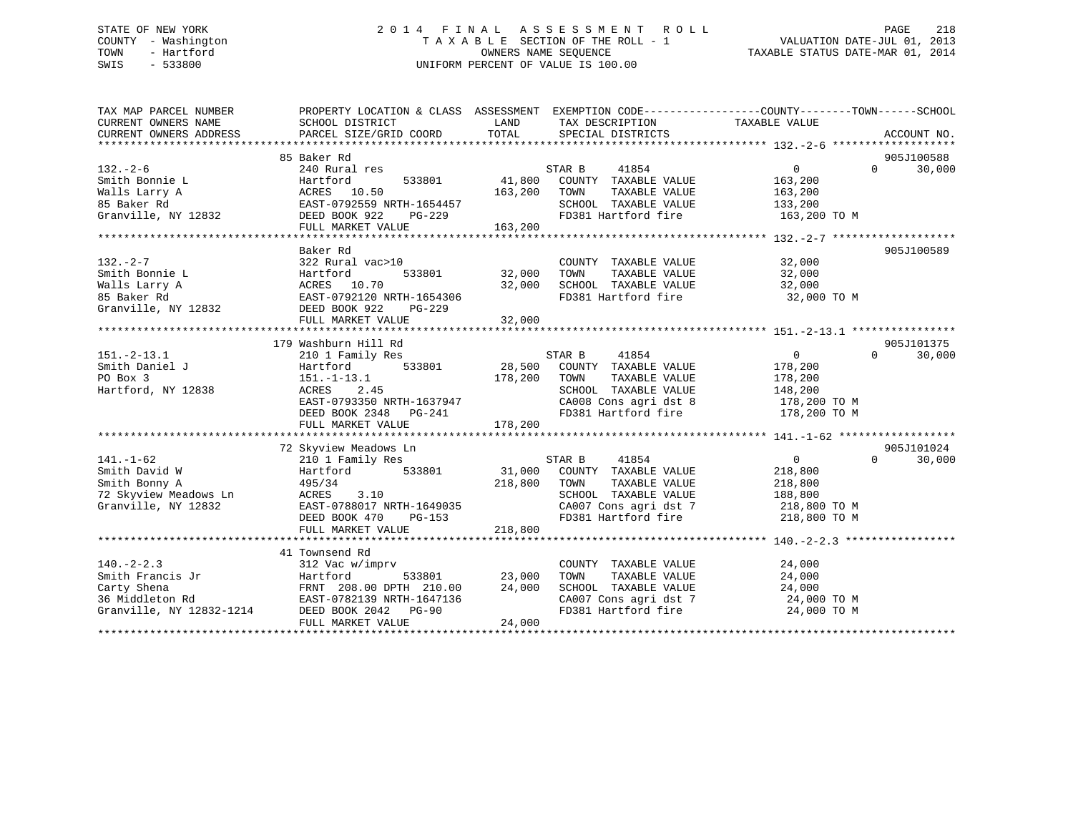## STATE OF NEW YORK 2 0 1 4 F I N A L A S S E S S M E N T R O L L PAGE 218 COUNTY - Washington T A X A B L E SECTION OF THE ROLL - 1 VALUATION DATE-JUL 01, 2013 TOWN - Hartford **TAXABLE STATUS DATE-MAR 01, 2014** OWNERS NAME SEQUENCE TAXABLE STATUS DATE-MAR 01, 2014 SWIS - 533800 UNIFORM PERCENT OF VALUE IS 100.00

| TAX MAP PARCEL NUMBER                                                                                  | PROPERTY LOCATION & CLASS ASSESSMENT EXEMPTION CODE----------------COUNTY-------TOWN------SCHOOL |               |                                                                        |                         |                    |
|--------------------------------------------------------------------------------------------------------|--------------------------------------------------------------------------------------------------|---------------|------------------------------------------------------------------------|-------------------------|--------------------|
| CURRENT OWNERS NAME                                                                                    | SCHOOL DISTRICT                                                                                  | LAND          | TAX DESCRIPTION                                                        | TAXABLE VALUE           |                    |
| CURRENT OWNERS ADDRESS                                                                                 | PARCEL SIZE/GRID COORD                                                                           | TOTAL         | SPECIAL DISTRICTS                                                      |                         | ACCOUNT NO.        |
|                                                                                                        |                                                                                                  |               |                                                                        |                         |                    |
|                                                                                                        | 85 Baker Rd                                                                                      |               |                                                                        |                         | 905J100588         |
| $132. - 2 - 6$                                                                                         | 240 Rural res                                                                                    |               | STAR B<br>41854                                                        | $0 \qquad \qquad$       | $\Omega$<br>30,000 |
| Smith Bonnie L                                                                                         | 533801<br>Hartford                                                                               | 41,800        | COUNTY TAXABLE VALUE                                                   | 163,200                 |                    |
|                                                                                                        |                                                                                                  | 163,200       | TOWN<br>TAXABLE VALUE                                                  | 163,200                 |                    |
| Walls Larry A<br>Malls Larry A<br>B Baker Rd<br>EAST-0792559 N<br>Granville, NY 12832<br>DEED BOOK 922 | EAST-0792559 NRTH-1654457                                                                        |               | SCHOOL TAXABLE VALUE<br>FD381 Hartford fire                            | 133,200<br>163,200 TO M |                    |
|                                                                                                        | PG-229                                                                                           |               |                                                                        |                         |                    |
|                                                                                                        | FULL MARKET VALUE                                                                                | 163, 200      |                                                                        |                         |                    |
|                                                                                                        |                                                                                                  |               |                                                                        |                         |                    |
|                                                                                                        | Baker Rd                                                                                         |               |                                                                        |                         | 905J100589         |
| $132 - 2 - 7$                                                                                          | 322 Rural vac>10                                                                                 |               | COUNTY TAXABLE VALUE 32,000                                            |                         |                    |
|                                                                                                        | 533801                                                                                           | 32,000        | TOWN<br>TAXABLE VALUE                                                  | 32,000                  |                    |
|                                                                                                        |                                                                                                  | 32,000        | SCHOOL TAXABLE VALUE 32,000                                            |                         |                    |
|                                                                                                        |                                                                                                  |               | FD381 Hartford fire                                                    | 32,000 TO M             |                    |
|                                                                                                        |                                                                                                  |               |                                                                        |                         |                    |
|                                                                                                        | FULL MARKET VALUE                                                                                | 32,000        |                                                                        |                         |                    |
|                                                                                                        |                                                                                                  |               |                                                                        |                         |                    |
|                                                                                                        | 179 Washburn Hill Rd                                                                             |               |                                                                        |                         | 905J101375         |
| $151. - 2 - 13.1$                                                                                      | 210 1 Family Res                                                                                 |               | STAR B<br>41854                                                        | 0                       | $\Omega$<br>30,000 |
| Smith Daniel J                                                                                         | 533801<br>Hartford                                                                               |               | 28,500 COUNTY TAXABLE VALUE                                            | 178,200                 |                    |
| PO Box 3                                                                                               | $151.-1-13.1$                                                                                    | 178,200       | TOWN<br>TAXABLE VALUE                                                  | 178,200                 |                    |
| Hartford, NY 12838                                                                                     | ACRES<br>2.45<br>$\frac{1}{2}$ EAST-0793350 NRTH-1637947                                         |               | SCHOOL TAXABLE VALUE                                                   | 148,200                 |                    |
|                                                                                                        |                                                                                                  |               | CA008 Cons agri dst 8 178,200 TO M<br>FD381 Hartford fire 178,200 TO M |                         |                    |
|                                                                                                        | DEED BOOK 2348 PG-241                                                                            |               |                                                                        |                         |                    |
|                                                                                                        |                                                                                                  |               |                                                                        |                         |                    |
|                                                                                                        |                                                                                                  |               |                                                                        |                         |                    |
|                                                                                                        | 72 Skyview Meadows Ln<br>210 1 Family Res<br>Hartford                                            |               |                                                                        |                         | 905J101024         |
| $141. - 1 - 62$                                                                                        |                                                                                                  |               | STAR B<br>41854                                                        | $\overline{0}$          | $\Omega$<br>30,000 |
| Smith David W                                                                                          | Hartford 533801                                                                                  |               | 31,000 COUNTY TAXABLE VALUE                                            | 218,800                 |                    |
| Smith Bonny A                                                                                          | 495/34                                                                                           | 218,800       | TOWN<br>TAXABLE VALUE                                                  | 218,800                 |                    |
|                                                                                                        |                                                                                                  |               | SCHOOL TAXABLE VALUE 188,800<br>CA007 Cons agri dst 7 188,800 TO M     |                         |                    |
|                                                                                                        |                                                                                                  |               |                                                                        |                         |                    |
|                                                                                                        | DEED BOOK 470<br>PG-153                                                                          |               | FD381 Hartford fire 218,800 TO M                                       |                         |                    |
|                                                                                                        | FULL MARKET VALUE                                                                                | 218,800       |                                                                        |                         |                    |
|                                                                                                        |                                                                                                  |               |                                                                        |                         |                    |
|                                                                                                        | 41 Townsend Rd                                                                                   |               |                                                                        |                         |                    |
| $140. -2 - 2.3$                                                                                        | 312 Vac w/imprv                                                                                  |               | COUNTY TAXABLE VALUE                                                   | 24,000                  |                    |
| Smith Francis Jr                                                                                       | Hartford                                                                                         | 533801 23,000 | TOWN<br>TAXABLE VALUE                                                  | 24,000                  |                    |
| Carty Shena                                                                                            | FRNT 208.00 DPTH 210.00 24,000<br>EAST-0782139 NRTH-1647136                                      |               | SCHOOL TAXABLE VALUE<br>CA007 Cons agri dst 7                          | 24,000                  |                    |
| 36 Middleton Rd                                                                                        |                                                                                                  |               |                                                                        | 24,000 TO M             |                    |
| Granville, NY 12832-1214 DEED BOOK 2042 PG-90                                                          |                                                                                                  |               | FD381 Hartford fire                                                    | 24,000 TO M             |                    |
|                                                                                                        | FULL MARKET VALUE                                                                                | 24,000        |                                                                        |                         |                    |
|                                                                                                        |                                                                                                  |               |                                                                        |                         |                    |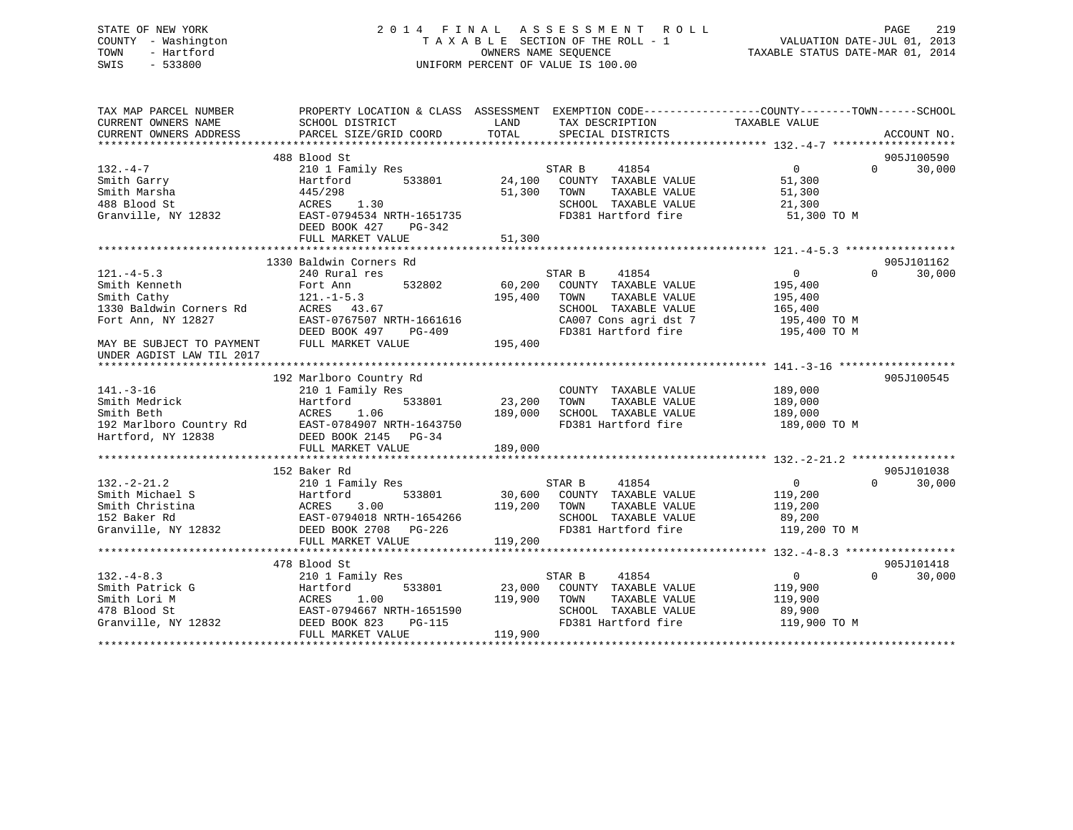# STATE OF NEW YORK 219 2014 FINAL ASSESSMENT ROLL PAGE 219 COUNTY - Washington  $\begin{array}{ccc}\n\text{T A X A B L E} & \text{SECTION OF THE ROLL - 1} \\
\text{T} & \text{M N N} & \text{S} & \text{M N} \\
\text{S} & \text{M N} & \text{S} & \text{M N} \\
\text{D} & \text{M N} & \text{S} & \text{M N} \\
\text{D} & \text{M N} & \text{S} & \text{M N} \\
\text{D} & \text{M N} & \text{S} & \text{M N} \\
\text{D} & \text{M N} & \text{S} & \text{M N} \\
\text{D} & \text{M N$ SWIS - 533800 UNIFORM PERCENT OF VALUE IS 100.00

VALUATION DATE-JUL 01, 2013

TAXABLE STATUS DATE-MAR 01, 2014

| TAX MAP PARCEL NUMBER<br>CURRENT OWNERS NAME                                                               | SCHOOL DISTRICT                                   | LAND<br>TAX DESCRIPTION                        | PROPERTY LOCATION & CLASS ASSESSMENT EXEMPTION CODE---------------COUNTY-------TOWN------SCHOOL<br>TAXABLE VALUE |
|------------------------------------------------------------------------------------------------------------|---------------------------------------------------|------------------------------------------------|------------------------------------------------------------------------------------------------------------------|
| CURRENT OWNERS ADDRESS                                                                                     | PARCEL SIZE/GRID COORD                            | TOTAL<br>SPECIAL DISTRICTS                     | ACCOUNT NO.                                                                                                      |
|                                                                                                            |                                                   |                                                |                                                                                                                  |
|                                                                                                            | 488 Blood St                                      |                                                | 905J100590                                                                                                       |
| $132. -4 -7$                                                                                               | 210 1 Family Res                                  | 41854<br>STAR B                                | $\overline{0}$<br>30,000<br>$\Omega$                                                                             |
| Smith Garry                                                                                                | 533801<br>Hartford                                | 24,100 COUNTY TAXABLE VALUE                    | 51,300                                                                                                           |
| Smith Marsha                                                                                               | 445/298                                           | 51,300<br>TOWN<br>TAXABLE VALUE                | 51,300                                                                                                           |
| 488 Blood St                                                                                               | ACRES 1.30                                        | SCHOOL TAXABLE VALUE                           | 21,300                                                                                                           |
| Granville, NY 12832                                                                                        | EAST-0794534 NRTH-1651735                         | FD381 Hartford fire                            | 51,300 TO M                                                                                                      |
|                                                                                                            | DEED BOOK 427<br>PG-342                           |                                                |                                                                                                                  |
|                                                                                                            |                                                   |                                                |                                                                                                                  |
|                                                                                                            |                                                   |                                                |                                                                                                                  |
|                                                                                                            | 1330 Baldwin Corners Rd                           |                                                | 905J101162                                                                                                       |
| $121. -4 - 5.3$                                                                                            | 240 Rural res                                     | STAR B<br>41854                                | $\Omega$<br>30,000<br>$\Omega$                                                                                   |
| Smith Kenneth                                                                                              | 532802<br>Fort Ann                                | 60,200<br>COUNTY TAXABLE VALUE                 | 195,400                                                                                                          |
| Smith Cathy                                                                                                | $121.-1-5.3$                                      | 195,400<br>TOWN<br>TAXABLE VALUE               | 195,400                                                                                                          |
| 1330 Baldwin Corners Rd                                                                                    | ACRES 43.67                                       | SCHOOL TAXABLE VALUE                           | 165,400                                                                                                          |
| Fort Ann, NY 12827                                                                                         | EAST-0767507 NRTH-1661616                         | CA007 Cons agri dst 7<br>CA007 Cons agri dst 7 | 195,400 TO M                                                                                                     |
|                                                                                                            | $PG-409$<br>DEED BOOK 497                         | FD381 Hartford fire                            | 195,400 TO M                                                                                                     |
| MAY BE SUBJECT TO PAYMENT                                                                                  | FULL MARKET VALUE                                 | 195,400                                        |                                                                                                                  |
| UNDER AGDIST LAW TIL 2017                                                                                  |                                                   |                                                |                                                                                                                  |
|                                                                                                            |                                                   |                                                |                                                                                                                  |
|                                                                                                            | 192 Marlboro Country Rd                           |                                                | 905J100545                                                                                                       |
| $141. - 3 - 16$                                                                                            | 210 1 Family Res                                  | COUNTY TAXABLE VALUE                           | 189,000                                                                                                          |
| Smith Medrick                                                                                              | 533801<br>Hartford                                | 23,200<br>TOWN<br>TAXABLE VALUE                | 189,000                                                                                                          |
| Smith Beth                                                                                                 | ACRES<br>1.06                                     | 189,000<br>SCHOOL TAXABLE VALUE                | 189,000                                                                                                          |
|                                                                                                            | 192 Marlboro Country Rd EAST-0784907 NRTH-1643750 | FD381 Hartford fire                            | 189,000 TO M                                                                                                     |
| Hartford, NY 12838                                                                                         | DEED BOOK 2145 PG-34                              |                                                |                                                                                                                  |
|                                                                                                            | FULL MARKET VALUE                                 | 189,000                                        |                                                                                                                  |
|                                                                                                            |                                                   |                                                |                                                                                                                  |
|                                                                                                            | 152 Baker Rd                                      |                                                | 905J101038                                                                                                       |
| $132. - 2 - 21.2$                                                                                          | 210 1 Family Res                                  | 41854<br>STAR B                                | $\Omega$<br>$\overline{0}$<br>30,000                                                                             |
|                                                                                                            | Hartford<br>533801                                | 30,600 COUNTY TAXABLE VALUE                    | 119,200                                                                                                          |
|                                                                                                            | 3.00                                              | 119,200 TOWN<br>TAXABLE VALUE                  | 119,200                                                                                                          |
|                                                                                                            | EAST-0794018 NRTH-1654266                         | SCHOOL TAXABLE VALUE                           | 89,200                                                                                                           |
|                                                                                                            | DEED BOOK 2708 PG-226                             | FD381 Hartford fire                            | 119,200 TO M                                                                                                     |
| Carl Christina Hartform<br>Smith Christina Hartform<br>152 Baker Rd EAST-0<br>Granville, NY 12832 DEED BON | FULL MARKET VALUE                                 | 119,200                                        |                                                                                                                  |
|                                                                                                            |                                                   |                                                |                                                                                                                  |
|                                                                                                            | 478 Blood St                                      |                                                | 905J101418                                                                                                       |
| $132. -4 - 8.3$                                                                                            | 210 1 Family Res                                  | STAR B<br>41854                                | $0 \qquad \qquad$<br>$\Omega$<br>30,000                                                                          |
| Smith Patrick G                                                                                            | 533801<br>Hartford                                | 23,000 COUNTY TAXABLE VALUE                    | 119,900                                                                                                          |
| Smith Lori M                                                                                               | ACRES<br>1.00                                     | 119,900 TOWN<br>TAXABLE VALUE                  | 119,900                                                                                                          |
| 478 Blood St                                                                                               | EAST-0794667 NRTH-1651590                         | SCHOOL TAXABLE VALUE                           | 89,900                                                                                                           |
| Granville, NY 12832                                                                                        | DEED BOOK 823<br>PG-115                           | FD381 Hartford fire                            | 119,900 TO M                                                                                                     |
|                                                                                                            | FULL MARKET VALUE                                 | 119,900                                        |                                                                                                                  |
|                                                                                                            |                                                   |                                                |                                                                                                                  |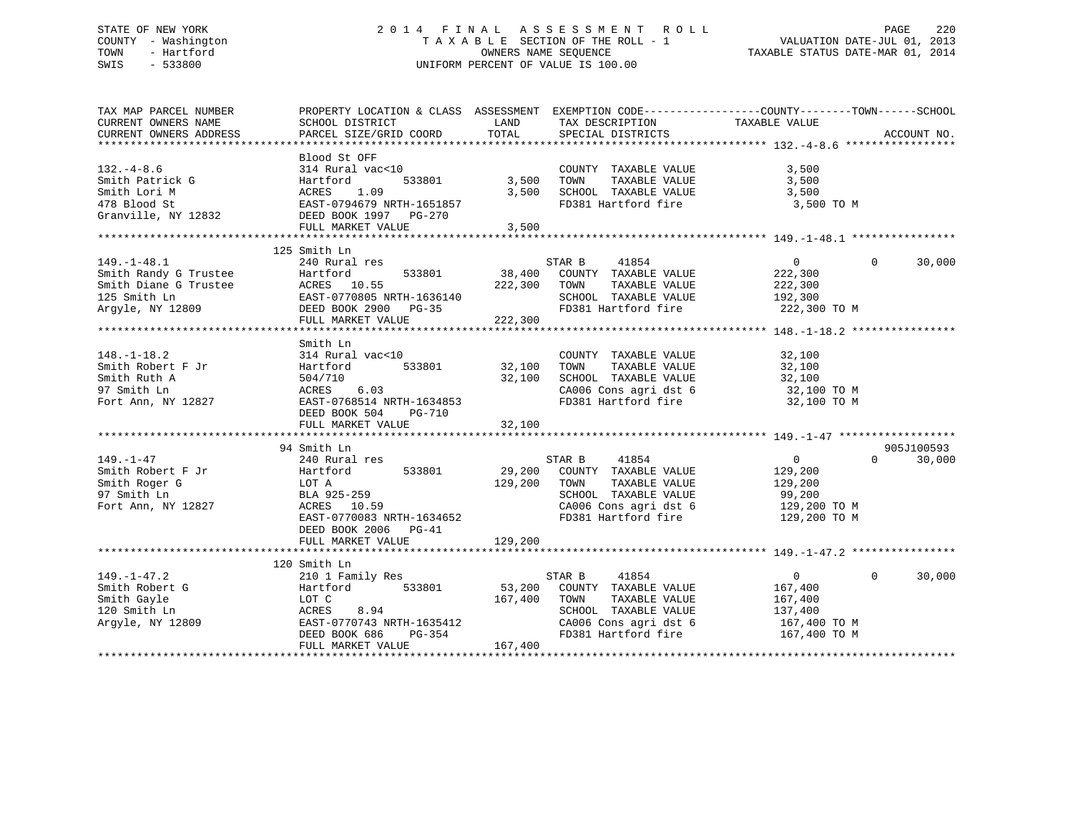## STATE OF NEW YORK 2 0 1 4 F I N A L A S S E S S M E N T R O L L PAGE 220 COUNTY - Washington T A X A B L E SECTION OF THE ROLL - 1 VALUATION DATE-JUL 01, 2013 TOWN - Hartford **TAXABLE STATUS DATE-MAR 01, 2014** OWNERS NAME SEQUENCE TAXABLE STATUS DATE-MAR 01, 2014 SWIS - 533800 UNIFORM PERCENT OF VALUE IS 100.00

| TAX MAP PARCEL NUMBER<br>CURRENT OWNERS NAME<br>CURRENT OWNERS ADDRESS                                                                                                                                                                                                     | PROPERTY LOCATION & CLASS ASSESSMENT EXEMPTION CODE---------------COUNTY-------TOWN------SCHOOL<br>SCHOOL DISTRICT<br>PARCEL SIZE/GRID COORD                                                                                                                                           | LAND<br>TOTAL         | TAX DESCRIPTION<br>SPECIAL DISTRICTS                                                                                                                                                                   | TAXABLE VALUE                                       | ACCOUNT NO.                      |
|----------------------------------------------------------------------------------------------------------------------------------------------------------------------------------------------------------------------------------------------------------------------------|----------------------------------------------------------------------------------------------------------------------------------------------------------------------------------------------------------------------------------------------------------------------------------------|-----------------------|--------------------------------------------------------------------------------------------------------------------------------------------------------------------------------------------------------|-----------------------------------------------------|----------------------------------|
| $132. -4 - 8.6$<br>Smith Patrick G<br>Smith Lori M<br>178 Blood St<br>Granville, NY 12832<br>FIGRE BAST-0794679 NRTH-1651857<br>EAST-0794679 NRTH-1651857<br>CHERE BOOK 1997<br>PEED BOOK 1997<br>PEED BOOK 1997<br>PEED BOOK 1997<br>PEED BOOK 1997<br>PEED BOOK 1997<br> | Blood St OFF<br>314 Rural vac<10<br>FULL MARKET VALUE                                                                                                                                                                                                                                  | 533801 3,500<br>3,500 | COUNTY TAXABLE VALUE<br>TOWN<br>TAXABLE VALUE<br>3,500 SCHOOL TAXABLE VALUE<br>FD381 Hartford fire 3,500 TO M                                                                                          | 3,500<br>3,500<br>3,500                             |                                  |
| $149. - 1 - 48.1$<br>STAR B 41854<br>Smith Randy G Trustee Hartford 533801 38,400 COUNTY TAXABLE VALUE<br>Smith Diane G Trustee ACRES 10.55<br>125 Smith Ln EAST-0770805 NRTH-1636140 SCHOOL TAXABLE VALUE<br>Argyle, NY 12809 DEED BOOK 2900 PG-35<br>TD381               | 125 Smith Ln<br>240 Rural res<br>FULL MARKET VALUE 222,300                                                                                                                                                                                                                             |                       | 41854<br>STAR B<br>TAXABLE VALUE<br>SCHOOL TAXABLE VALUE 192,300<br>FD381 Hartford fire 222,300 TO M                                                                                                   | $0 \qquad \qquad$<br>222,300<br>222,300             | $\Omega$<br>30,000               |
| $148. - 1 - 18.2$<br>Smith Robert F Jr<br>Smith Ruth A<br>97 Smith Ln<br>Fort Ann, NY 12827 EAST-0768514 NRTH-1634853                                                                                                                                                      | Smith Ln<br>314 Rural vac<10<br>Hartford<br>504/710<br>$ACRES$ 6.03<br>DEED BOOK 504 PG-710                                                                                                                                                                                            | 533801 32,100 TOWN    | COUNTY TAXABLE VALUE<br>32,100 SCHOOL TAXABLE VALUE 32,100<br>CA006 Cons agri dst 6 32,100 TO M<br>FD381 Hartford fire                                                                                 | 32,100<br>TAXABLE VALUE 32,100<br>32,100 TO M       |                                  |
| $149. - 1 - 47$<br>Smith Robert F Jr<br>Smith Roger G<br>97 Smith Ln<br>Fort Ann, NY 12827                                                                                                                                                                                 | 94 Smith Ln<br>240 Rural res<br>0 0 11854 1297 1297 1298 1297 1298 1298 1298 1298 1298 1298 129<br>Hartford 533801 129,200 COUNTY TAXABLE VALUE 129,200<br>BLA 925-259<br>ACRES 10 --<br>ACRES 10.59<br>EAST-0770083 NRTH-1634652<br>DEED BOOK 2006 PG-41<br>FULL MARKET VALUE 129,200 | 129,200 TOWN          | STAR B 41854<br>TOWN      TAXABLE VALUE<br>SCHOOL   TAXABLE VALUE<br>CA006 Cons agri dst 6 $129,200$ TO M<br>FD381 Hartford fire                                                                       | $\overline{0}$<br>129,200<br>99,200<br>129,200 TO M | 905J100593<br>$\Omega$<br>30,000 |
| $149. - 1 - 47.2$<br>Smith Robert G<br>Smith Gayle<br>120 Smith Ln<br>Argyle, NY 12809                                                                                                                                                                                     | 120 Smith Ln<br>210 1 Family Res<br>Hartford 533801 53,200 COMM<br>LOT C 167,400 TOWN<br>RCRES 8.94 SCHOC<br>DEED BOOK 686 PG-354 167,400 FD381<br>FULL MARKET VALUE                                                                                                                   | 167,400               | 41854<br>STAR B<br>53,200 COUNTY TAXABLE VALUE 167,400<br>167,400 TOWN TAXABLE VALUE 167,400<br>SCHOOL TAXABLE VALUE 137,400<br>CA006 Cons agri dst 6 167,400 TO M<br>FD381 Hartford fire 167,400 TO M | $\overline{0}$                                      | $\mathbf 0$<br>30,000            |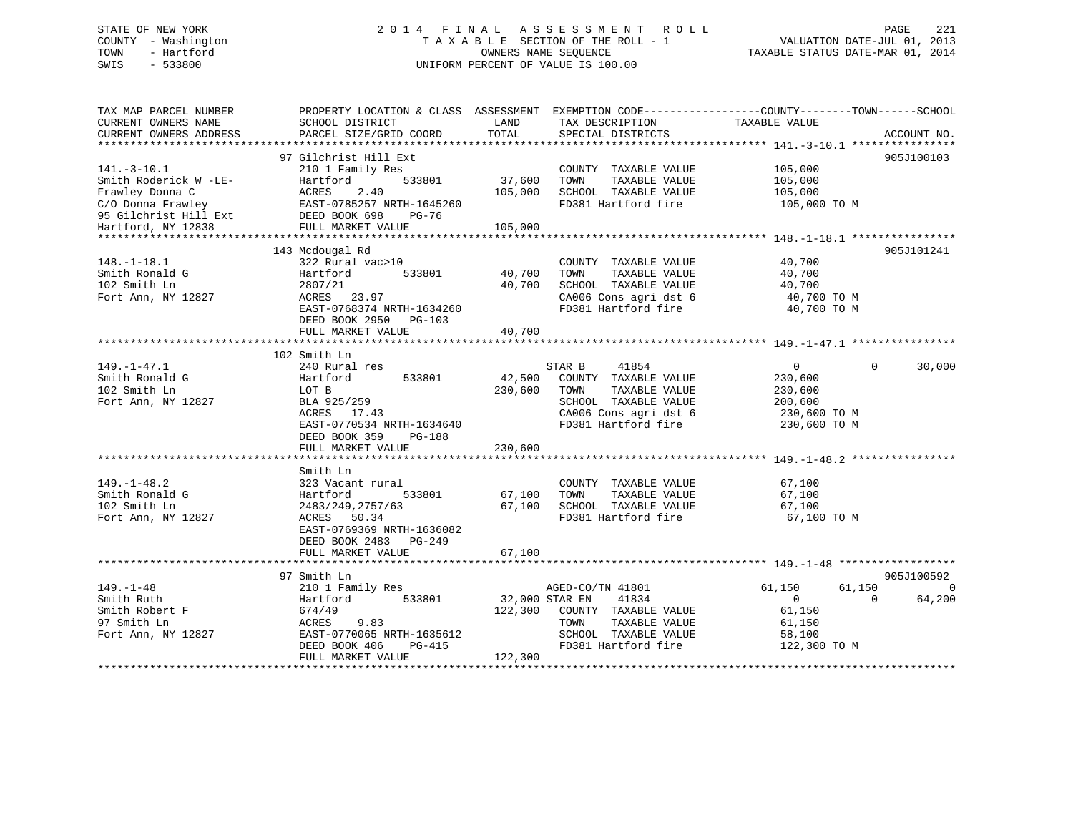## STATE OF NEW YORK 2 0 1 4 F I N A L A S S E S S M E N T R O L L PAGE 221 COUNTY - Washington T A X A B L E SECTION OF THE ROLL - 1 VALUATION DATE-JUL 01, 2013 TOWN - Hartford OWNERS NAME SEQUENCE TAXABLE STATUS DATE-MAR 01, 2014 SWIS - 533800 UNIFORM PERCENT OF VALUE IS 100.00

TAX MAP PARCEL NUMBER PROPERTY LOCATION & CLASS ASSESSMENT EXEMPTION CODE------------------COUNTY--------TOWN------SCHOOL

| CURRENT OWNERS NAME<br>CURRENT OWNERS ADDRESS | SCHOOL DISTRICT<br>PARCEL SIZE/GRID COORD | LAND<br>TOTAL  | TAX DESCRIPTION<br>SPECIAL DISTRICTS | TAXABLE VALUE    | ACCOUNT NO.        |
|-----------------------------------------------|-------------------------------------------|----------------|--------------------------------------|------------------|--------------------|
|                                               |                                           |                |                                      |                  |                    |
|                                               | 97 Gilchrist Hill Ext                     |                |                                      |                  |                    |
| $141.-3-10.1$                                 | 210 1 Family Res                          |                | COUNTY TAXABLE VALUE                 | 105,000          | 905J100103         |
| Smith Roderick W -LE-                         | 533801<br>Hartford                        | 37,600         | TAXABLE VALUE<br>TOWN                | 105,000          |                    |
| Frawley Donna C                               | ACRES 2.40<br>EAST-0785257 NRTH-1645260   | 105,000        | SCHOOL TAXABLE VALUE                 | 105,000          |                    |
| C/O Donna Frawley                             |                                           |                | FD381 Hartford fire                  | 105,000 TO M     |                    |
| 95 Gilchrist Hill Ext DEED BOOK 698           | PG-76                                     |                |                                      |                  |                    |
| Hartford, NY 12838                            | FULL MARKET VALUE                         | 105,000        |                                      |                  |                    |
|                                               |                                           |                |                                      |                  |                    |
|                                               | 143 Mcdougal Rd                           |                |                                      |                  | 905J101241         |
| $148. - 1 - 18.1$                             | 322 Rural vac>10                          |                | COUNTY TAXABLE VALUE                 | 40,700           |                    |
| Smith Ronald G                                | 533801<br>Hartford                        | 40,700         | TAXABLE VALUE<br>TOWN                | 40,700           |                    |
| 102 Smith Ln                                  | 2807/21                                   | 40,700         | SCHOOL TAXABLE VALUE                 | 40,700           |                    |
| Fort Ann, NY 12827                            | ACRES 23.97                               |                | CA006 Cons agri dst 6                | 40,700 TO M      |                    |
|                                               | EAST-0768374 NRTH-1634260                 |                | FD381 Hartford fire                  | 40,700 TO M      |                    |
|                                               | DEED BOOK 2950 PG-103                     |                |                                      |                  |                    |
|                                               | FULL MARKET VALUE                         | 40,700         |                                      |                  |                    |
|                                               |                                           |                |                                      |                  |                    |
|                                               | 102 Smith Ln                              |                |                                      |                  |                    |
| $149. - 1 - 47.1$                             | 240 Rural res                             |                | STAR B<br>41854                      | $\overline{0}$   | $\Omega$<br>30,000 |
| Smith Ronald G                                | Hartford<br>533801                        | 42,500         | COUNTY TAXABLE VALUE                 | 230,600          |                    |
| 102 Smith Ln                                  | LOT B                                     | 230,600        | TAXABLE VALUE<br>TOWN                | 230,600          |                    |
| Fort Ann, NY 12827                            | BLA 925/259                               |                | SCHOOL TAXABLE VALUE                 | 200,600          |                    |
|                                               |                                           |                |                                      |                  |                    |
|                                               | ACRES 17.43                               |                | CA006 Cons agri dst 6                | 230,600 TO M     |                    |
|                                               | EAST-0770534 NRTH-1634640                 |                | FD381 Hartford fire                  | 230,600 TO M     |                    |
|                                               | DEED BOOK 359<br>PG-188                   |                |                                      |                  |                    |
|                                               | FULL MARKET VALUE                         | 230,600        |                                      |                  |                    |
|                                               |                                           |                |                                      |                  |                    |
|                                               | Smith Ln                                  |                |                                      |                  |                    |
| $149. - 1 - 48.2$                             | 323 Vacant rural                          |                | COUNTY TAXABLE VALUE                 | 67,100           |                    |
| Smith Ronald G                                | Hartford<br>533801                        | 67,100         | TAXABLE VALUE<br>TOWN                | 67,100           |                    |
| 102 Smith Ln                                  | 2483/249, 2757/63                         | 67,100         | SCHOOL TAXABLE VALUE                 | 67,100           |                    |
| Fort Ann, NY 12827                            | ACRES 50.34                               |                | FD381 Hartford fire                  | 67,100 TO M      |                    |
|                                               | EAST-0769369 NRTH-1636082                 |                |                                      |                  |                    |
|                                               | DEED BOOK 2483 PG-249                     |                |                                      |                  |                    |
|                                               | FULL MARKET VALUE                         | 67,100         |                                      |                  |                    |
|                                               |                                           |                |                                      |                  |                    |
|                                               | 97 Smith Ln                               |                |                                      |                  | 905J100592         |
| $149. - 1 - 48$                               | 210 1 Family Res                          |                | AGED-CO/TN 41801                     | 61,150<br>61,150 | $\Omega$           |
| Smith Ruth                                    | 533801<br>Hartford                        | 32,000 STAR EN | 41834                                | $\overline{0}$   | $\Omega$<br>64,200 |
| Smith Robert F                                | 674/49                                    |                | 122,300 COUNTY TAXABLE VALUE         | 61,150           |                    |
| 97 Smith Ln                                   | ACRES<br>9.83                             |                | TAXABLE VALUE<br>TOWN                | 61,150           |                    |
| Fort Ann, NY 12827                            | EAST-0770065 NRTH-1635612                 |                | SCHOOL TAXABLE VALUE                 | 58,100           |                    |
|                                               | DEED BOOK 406<br>PG-415                   |                | FD381 Hartford fire                  | 122,300 TO M     |                    |
|                                               | FULL MARKET VALUE                         | 122,300        |                                      |                  |                    |
|                                               |                                           |                |                                      |                  |                    |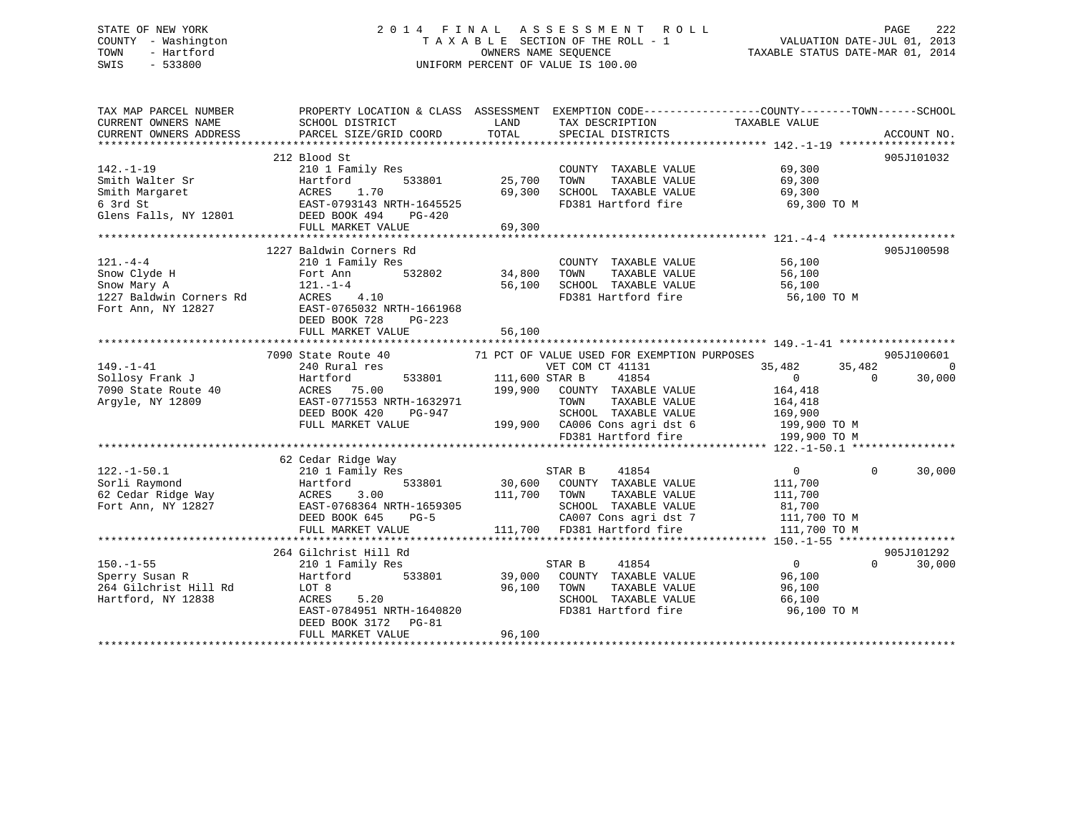## STATE OF NEW YORK 2 0 1 4 F I N A L A S S E S S M E N T R O L L PAGE 222 COUNTY - Washington T A X A B L E SECTION OF THE ROLL - 1 VALUATION DATE-JUL 01, 2013 TOWN - Hartford **TAXABLE STATUS DATE-MAR 01, 2014** OWNERS NAME SEQUENCE TAXABLE STATUS DATE-MAR 01, 2014 SWIS - 533800 UNIFORM PERCENT OF VALUE IS 100.00

| TAX MAP PARCEL NUMBER               |                                         |                                             | PROPERTY LOCATION & CLASS ASSESSMENT EXEMPTION CODE---------------COUNTY-------TOWN------SCHOOL |
|-------------------------------------|-----------------------------------------|---------------------------------------------|-------------------------------------------------------------------------------------------------|
| CURRENT OWNERS NAME                 | SCHOOL DISTRICT                         | LAND<br>TAX DESCRIPTION                     | TAXABLE VALUE                                                                                   |
| CURRENT OWNERS ADDRESS              | PARCEL SIZE/GRID COORD                  | TOTAL<br>SPECIAL DISTRICTS                  | ACCOUNT NO.                                                                                     |
|                                     | 212 Blood St                            |                                             | 905J101032                                                                                      |
| $142. - 1 - 19$                     | 210 1 Family Res                        | COUNTY TAXABLE VALUE                        | 69,300                                                                                          |
| Smith Walter Sr                     | 533801<br>Hartford                      | 25,700<br>TOWN<br>TAXABLE VALUE             | 69,300                                                                                          |
| Smith Margaret                      |                                         | 69,300<br>SCHOOL TAXABLE VALUE              | 69,300                                                                                          |
| 6 3rd St                            | ACRES 1.70<br>EAST-0793143 NRTH-1645525 | FD381 Hartford fire                         | 69,300 TO M                                                                                     |
| Glens Falls, NY 12801 DEED BOOK 494 | PG-420                                  |                                             |                                                                                                 |
|                                     | FULL MARKET VALUE                       | 69,300                                      |                                                                                                 |
|                                     |                                         |                                             |                                                                                                 |
|                                     | 1227 Baldwin Corners Rd                 |                                             | 905J100598                                                                                      |
| $121. - 4 - 4$                      | 210 1 Family Res                        | COUNTY TAXABLE VALUE                        | 56,100                                                                                          |
| Snow Clyde H                        | 532802<br>Fort Ann                      | 34,800<br>TOWN<br>TAXABLE VALUE             | 56,100                                                                                          |
| Snow Mary A                         | $121. - 1 - 4$                          | 56,100<br>SCHOOL TAXABLE VALUE              | 56,100                                                                                          |
| 1227 Baldwin Corners Rd             | ACRES 4.10                              | FD381 Hartford fire                         | 56,100 TO M                                                                                     |
| Fort Ann, NY 12827                  | EAST-0765032 NRTH-1661968               |                                             |                                                                                                 |
|                                     | DEED BOOK 728<br>PG-223                 |                                             |                                                                                                 |
|                                     | FULL MARKET VALUE                       | 56,100                                      |                                                                                                 |
|                                     |                                         |                                             |                                                                                                 |
|                                     | 7090 State Route 40                     | 71 PCT OF VALUE USED FOR EXEMPTION PURPOSES | 905J100601                                                                                      |
| $149. - 1 - 41$                     | 240 Rural res                           | VET COM CT 41131                            | 35,482<br>35,482<br>$\overline{0}$                                                              |
| Sollosy Frank J                     | Hartford<br>533801                      | 41854<br>111,600 STAR B                     | $\overline{0}$<br>$\Omega$<br>30,000                                                            |
| 7090 State Route 40                 | ACRES 75.00                             | 199,900<br>COUNTY TAXABLE VALUE             | 164,418                                                                                         |
| Argyle, NY 12809                    | EAST-0771553 NRTH-1632971               | TOWN<br>TAXABLE VALUE                       | 164,418                                                                                         |
|                                     | DEED BOOK 420<br>PG-947                 | SCHOOL TAXABLE VALUE                        | 169,900                                                                                         |
|                                     | FULL MARKET VALUE                       | 199,900 CA006 Cons agri dst 6               | 199,900 TO M                                                                                    |
|                                     |                                         | FD381 Hartford fire                         | 199,900 TO M                                                                                    |
|                                     |                                         |                                             |                                                                                                 |
|                                     | 62 Cedar Ridge Way                      |                                             |                                                                                                 |
| $122. - 1 - 50.1$                   | 210 1 Family Res                        | STAR B<br>41854<br>30,600                   | $\overline{0}$<br>$\Omega$<br>30,000                                                            |
| Sorli Raymond                       | 533801<br>Hartford                      | COUNTY TAXABLE VALUE                        | 111,700                                                                                         |
|                                     | 3.00                                    | 111,700<br>TOWN<br>TAXABLE VALUE            | 111,700                                                                                         |
| Fort Ann, NY 12827                  | EAST-0768364 NRTH-1659305               | SCHOOL TAXABLE VALUE                        | 81,700                                                                                          |
|                                     | DEED BOOK 645<br>$PG-5$                 | CA007 Cons agri dst 7                       | 111,700 TO M                                                                                    |
|                                     | FULL MARKET VALUE                       | 111,700 FD381 Hartford fire                 | 111,700 TO M                                                                                    |
|                                     | 264 Gilchrist Hill Rd                   |                                             | 905J101292                                                                                      |
| $150. - 1 - 55$                     | 210 1 Family Res                        | STAR B<br>41854                             | $\overline{0}$<br>$\Omega$<br>30,000                                                            |
| Sperry Susan R                      | Hartford<br>533801                      | 39,000<br>COUNTY TAXABLE VALUE              | 96,100                                                                                          |
| 264 Gilchrist Hill Rd               | LOT 8                                   | 96,100<br>TOWN<br>TAXABLE VALUE             | 96,100                                                                                          |
| Hartford, NY 12838                  | 5.20<br>ACRES                           | SCHOOL TAXABLE VALUE                        | 66,100                                                                                          |
|                                     | EAST-0784951 NRTH-1640820               | FD381 Hartford fire                         | 96,100 TO M                                                                                     |
|                                     | DEED BOOK 3172 PG-81                    |                                             |                                                                                                 |
|                                     | FULL MARKET VALUE                       | 96,100                                      |                                                                                                 |
|                                     |                                         |                                             |                                                                                                 |
|                                     |                                         |                                             |                                                                                                 |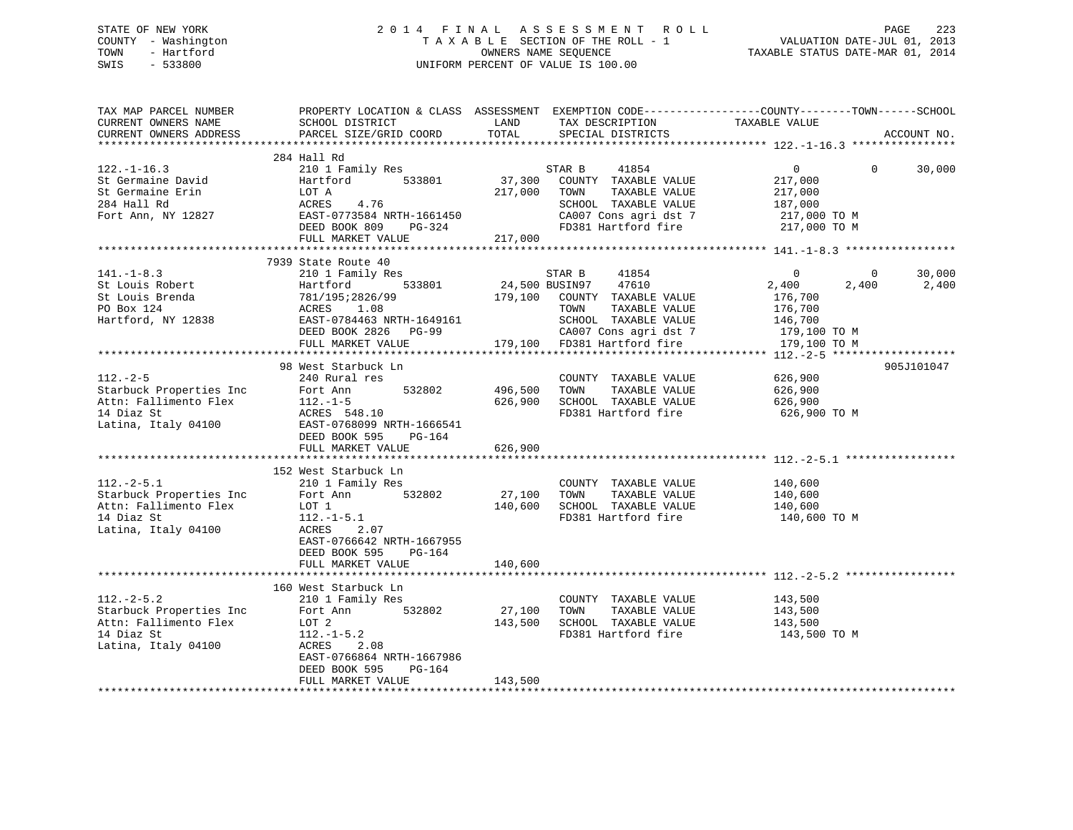## STATE OF NEW YORK 2 0 1 4 F I N A L A S S E S S M E N T R O L L PAGE 223 COUNTY - Washington T A X A B L E SECTION OF THE ROLL - 1 VALUATION DATE-JUL 01, 2013 TOWN - Hartford **TAXABLE STATUS DATE-MAR 01, 2014** OWNERS NAME SEQUENCE TAXABLE STATUS DATE-MAR 01, 2014 SWIS - 533800 UNIFORM PERCENT OF VALUE IS 100.00

| TAX MAP PARCEL NUMBER<br>CURRENT OWNERS NAME<br>CURRENT OWNERS ADDRESS                                | SCHOOL DISTRICT<br>PARCEL SIZE/GRID COORD                                                                                                                                                                                                                                                                                                       | LAND<br>TOTAL                 | TAX DESCRIPTION TAXABLE VALUE SPECIAL DISTRICTS                                                                                                                                                                                                  | PROPERTY LOCATION & CLASS ASSESSMENT EXEMPTION CODE---------------COUNTY-------TOWN-----SCHOOL | ACCOUNT NO.        |
|-------------------------------------------------------------------------------------------------------|-------------------------------------------------------------------------------------------------------------------------------------------------------------------------------------------------------------------------------------------------------------------------------------------------------------------------------------------------|-------------------------------|--------------------------------------------------------------------------------------------------------------------------------------------------------------------------------------------------------------------------------------------------|------------------------------------------------------------------------------------------------|--------------------|
|                                                                                                       |                                                                                                                                                                                                                                                                                                                                                 |                               |                                                                                                                                                                                                                                                  |                                                                                                |                    |
| $122. - 1 - 16.3$<br>St Germaine David                                                                | 284 Hall Rd<br>210 1 Family Res<br>533801<br>Hartford<br>St Germaine Erin<br>284 Hall Rd<br>Fort Ann, NY 12827<br>Fort Ann, NY 12827<br>EAST-0773584 NRTH-1661450<br>DEED BOOK 809<br>PG-324<br>FULL MARKET VALUE                                                                                                                               | 217,000<br>217,000            | 41854<br>STAR B<br>37,300 COUNTY TAXABLE VALUE<br>TOWN<br>TAXABLE VALUE<br>SCHOOL TAXABLE VALUE 187,000<br>CA007 Cons agri dst 7 1217,000 TO M<br>FD381 Hartford fire                                                                            | $\overline{0}$<br>217,000<br>217,000<br>217,000 TO M                                           | $\Omega$<br>30,000 |
|                                                                                                       |                                                                                                                                                                                                                                                                                                                                                 |                               |                                                                                                                                                                                                                                                  |                                                                                                |                    |
| $141. - 1 - 8.3$<br>St Louis Robert<br>St Louis Brenda<br>PO Box 124<br>Hartford, NY 12838            | 7939 State Route 40<br>210 1 Family Res<br>533801<br>Hartford 533801 24<br>781/195:2826/99 179<br>ACRES 1.08<br>EAST-0784463 NRTH-1649161<br>DEED BOOK 2826 PG-99<br>FULL MARKET VALUE                                                                                                                                                          |                               | STAR B<br>41854<br>24,500 BUSIN97 47610<br>179,100 COUNTY TAXABLE VALUE<br>TOWN<br>TAXABLE VALUE<br>SCHOOL TAXABLE VALUE<br>CA007 Cons agri dst 7 179,100 TO M<br>179,100 FD381 Hartford fire 179,100 TO M                                       | $\Omega$<br>$\overline{0}$<br>2,400<br>2,400<br>176,700<br>176,700<br>146,700                  | 30,000<br>2,400    |
|                                                                                                       |                                                                                                                                                                                                                                                                                                                                                 |                               |                                                                                                                                                                                                                                                  |                                                                                                |                    |
|                                                                                                       | 98 West Starbuck Ln<br>112.-2-5<br>Starbuck Properties Inc<br>Attn: Fallimento Flex<br>14 Diaz St<br>14 Diaz St<br>15 Ttaly 04100<br>166541<br>1666541<br>1666541<br>2000 DEED BOOK 595<br>PG-164<br>1711. MARKET VALUE                                                                                                                         | 496,500<br>626,900<br>626,900 | COUNTY TAXABLE VALUE<br>TAXABLE VALUE<br>TOWN<br>SCHOOL TAXABLE VALUE<br>FD381 Hartford fire                                                                                                                                                     | 626,900<br>626,900<br>626,900<br>626,900 ТО М                                                  | 905J101047         |
|                                                                                                       |                                                                                                                                                                                                                                                                                                                                                 |                               |                                                                                                                                                                                                                                                  |                                                                                                |                    |
| $112.-2-5.1$<br>14 Diaz St<br>Latina, Italy 04100                                                     | 152 West Starbuck Ln<br>210 1 Family Res<br>Facture 1.1 and 1.1 and 1.1 and 1.1 and 1.1 and 1.1 and 1.1 and 1.1 and 1.1 and 1.1 and 1.1 and 1.1 and 1.1 and 1.1 and 1.1 and 1.1 and 1.1 and 1.1 and 1.1 and 1.1 and 1.1 and 1.1 and 1.1 and 1.1 and 1.1 and 1.1 and 1.1 an<br>$112.-1-5.1$<br><b>ACRES</b><br>2.07<br>EAST-0766642 NRTH-1667955 | 27,100<br>140,600             | $\begin{tabular}{llllllll} \multicolumn{2}{c}{\textbf{COUNTY}} & \textbf{TAXABLE VALUE} & & & 140,600 \\ \multicolumn{2}{c}{\textbf{TONN}} & \textbf{TAXABLE VALUE} & & 140,600 \\ \end{tabular}$<br>SCHOOL TAXABLE VALUE<br>FD381 Hartford fire | 140,600<br>140,600 TO M                                                                        |                    |
|                                                                                                       | DEED BOOK 595<br>PG-164<br>FULL MARKET VALUE                                                                                                                                                                                                                                                                                                    | 140,600                       |                                                                                                                                                                                                                                                  |                                                                                                |                    |
|                                                                                                       |                                                                                                                                                                                                                                                                                                                                                 |                               |                                                                                                                                                                                                                                                  |                                                                                                |                    |
| $112.-2-5.2$<br>Starbuck Properties Inc<br>Attn: Fallimento Flex<br>14 Diaz St<br>Latina, Italy 04100 | 160 West Starbuck Ln<br>210 1 Family Res<br>532802<br>Fort Ann<br>LOT 2<br>$112.-1-5.2$<br>ACRES<br>2.08<br>EAST-0766864 NRTH-1667986<br>DEED BOOK 595<br>PG-164                                                                                                                                                                                | 27,100<br>143,500             | COUNTY TAXABLE VALUE<br>TOWN<br>TAXABLE VALUE<br>SCHOOL TAXABLE VALUE                                                                                                                                                                            | 143,500<br>143,500<br>143,500<br>FD381 Hartford fire 143,500 TO M                              |                    |
|                                                                                                       | FULL MARKET VALUE                                                                                                                                                                                                                                                                                                                               | 143,500                       |                                                                                                                                                                                                                                                  |                                                                                                |                    |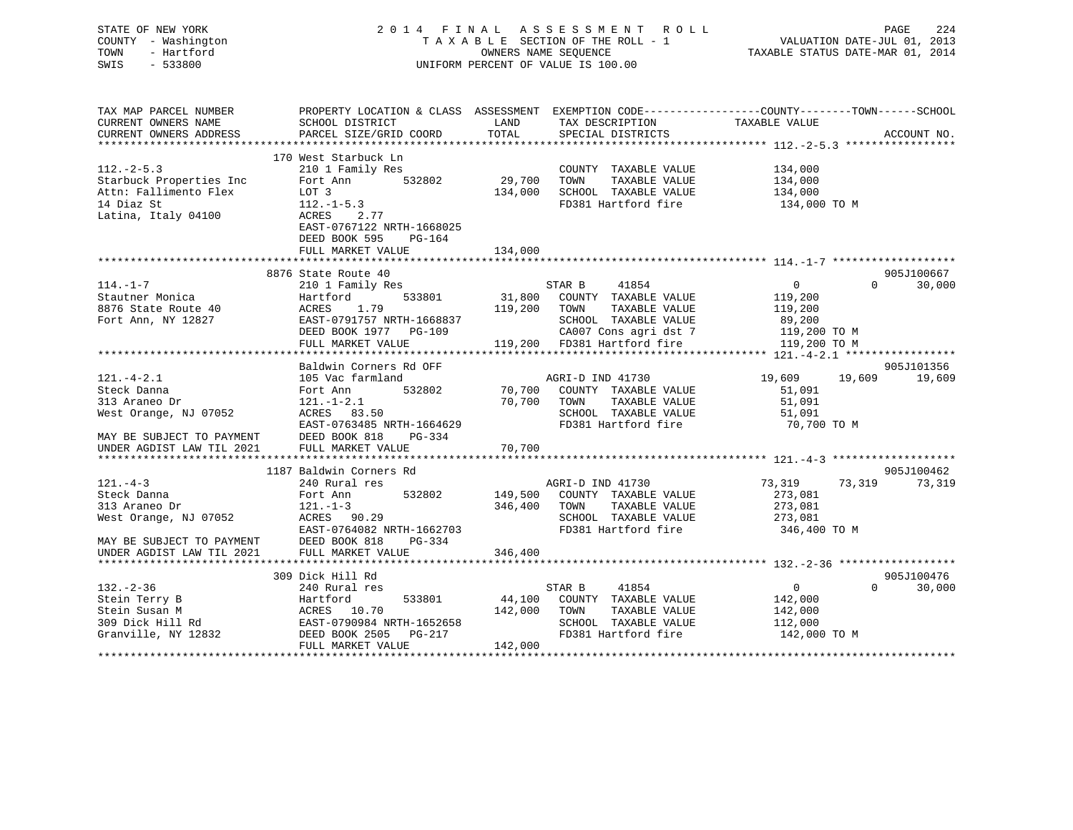| STATE OF NEW YORK<br>COUNTY - Washington<br>TOWN<br>- Hartford<br>$-533800$<br>SWIS                                                |                                                                                                                                                                        |                       | 2014 FINAL ASSESSMENT ROLL<br>TAXABLE SECTION OF THE ROLL - 1<br>OWNERS NAME SEQUENCE - 1<br>OWNERS NAME STATUS DATE-JUL 01, 2013<br>TAXABLE STATUS DATE-MAR 01, 2014<br>UNIFORM PERCENT OF VALUE IS 100.00 |                                                    | PAGE                   | 224    |
|------------------------------------------------------------------------------------------------------------------------------------|------------------------------------------------------------------------------------------------------------------------------------------------------------------------|-----------------------|-------------------------------------------------------------------------------------------------------------------------------------------------------------------------------------------------------------|----------------------------------------------------|------------------------|--------|
| TAX MAP PARCEL NUMBER<br>CURRENT OWNERS NAME<br>CURRENT OWNERS ADDRESS                                                             | PROPERTY LOCATION & CLASS ASSESSMENT EXEMPTION CODE---------------COUNTY-------TOWN-----SCHOOL<br>SCHOOL DISTRICT<br>PARCEL SIZE/GRID COORD TOTAL                      |                       | LAND TAX DESCRIPTION TAXABLE VALUE<br>SPECIAL DISTRICTS                                                                                                                                                     |                                                    | ACCOUNT NO.            |        |
| $112 - 2 - 5.3$<br>Starbuck Properties Inc<br>Attn: Fallimento Flex<br>14 Diaz St<br>Latina, Italy 04100                           | 170 West Starbuck Ln<br>210 1 Family Res<br>532802<br>Fort Ann<br>LOT 3<br>$112. - 1 - 5.3$<br>2.77<br>ACRES<br>EAST-0767122 NRTH-1668025<br>DEED BOOK 595<br>$PG-164$ | 29,700                | COUNTY TAXABLE VALUE<br>TOWN<br>TAXABLE VALUE<br>134,000 SCHOOL TAXABLE VALUE<br>FD381 Hartford fire                                                                                                        | 134,000<br>134,000<br>134,000<br>134,000 TO M      |                        |        |
|                                                                                                                                    | FULL MARKET VALUE                                                                                                                                                      | 134,000               |                                                                                                                                                                                                             |                                                    |                        |        |
| $114. - 1 - 7$<br>Stautner Monica<br>8876 State Route 40<br>Fort Ann, NY 12827                                                     | 8876 State Route 40<br>210 1 Family Res<br>Hartford<br>ACRES 1.79<br>EAST-0791757 NRTH-1668837<br>DEED BOOK 1977 PG-109                                                | 119,200 TOWN          | 41854<br>STAR B<br>533801 31,800 COUNTY TAXABLE VALUE<br>SCHOOL TAXABLE VALUE 89,200<br>CA007 Cons agri dst 7 119,200 TO M                                                                                  | $\overline{0}$<br>119,200<br>TAXABLE VALUE 119,200 | 905J100667<br>$\Omega$ | 30,000 |
|                                                                                                                                    | Baldwin Corners Rd OFF                                                                                                                                                 |                       |                                                                                                                                                                                                             |                                                    | 905J101356             |        |
| $121. -4 - 2.1$<br>Steck Danna<br>313 Araneo Dr<br>West Orange, NJ 07052<br>MAY BE SUBJECT TO PAYMENT<br>UNDER AGDIST LAW TIL 2021 | 105 Vac farmland<br>Fort Ann<br>$121. -1 - 2.1$<br>ACRES 83.50<br>EAST-0763485 NRTH-1664629<br>DEED BOOK 818<br>$PG-334$<br>FULL MARKET VALUE                          | 70,700 TOWN<br>70,700 | AGRI-D IND 41730<br>532802 70,700 COUNTY TAXABLE VALUE<br>TAXABLE VALUE<br>SCHOOL TAXABLE VALUE<br>FD381 Hartford fire 50,700 TO M                                                                          | 19,609 19,609<br>51,091<br>51,091<br>51,091        |                        | 19,609 |
|                                                                                                                                    |                                                                                                                                                                        |                       |                                                                                                                                                                                                             |                                                    |                        |        |

|                                             | 1187 Baldwin Corners Rd   |         |                  |                      |                |          | 905J100462 |
|---------------------------------------------|---------------------------|---------|------------------|----------------------|----------------|----------|------------|
| $121. - 4 - 3$                              | 240 Rural res             |         | AGRI-D IND 41730 |                      | 73,319 73,319  |          | 73,319     |
| Steck Danna                                 | 532802<br>Fort Ann        | 149,500 |                  | COUNTY TAXABLE VALUE | 273,081        |          |            |
| 313 Araneo Dr                               | $121. - 1 - 3$            | 346,400 | TOWN             | TAXABLE VALUE        | 273,081        |          |            |
| West Orange, NJ 07052                       | ACRES 90.29               |         |                  | SCHOOL TAXABLE VALUE | 273,081        |          |            |
|                                             | EAST-0764082 NRTH-1662703 |         |                  | FD381 Hartford fire  | 346,400 TO M   |          |            |
| MAY BE SUBJECT TO PAYMENT                   | DEED BOOK 818 PG-334      |         |                  |                      |                |          |            |
| UNDER AGDIST LAW TIL 2021 FULL MARKET VALUE |                           | 346,400 |                  |                      |                |          |            |
|                                             |                           |         |                  |                      |                |          |            |
|                                             | 309 Dick Hill Rd          |         |                  |                      |                |          | 905J100476 |
| 132. – 2–36                                 | 240 Rural res             |         | STAR B           | 41854                | $\overline{0}$ | $\Omega$ | 30,000     |
| Stein Terry B                               | 533801<br>Hartford        | 44,100  | COUNTY           | TAXABLE VALUE        | 142,000        |          |            |
| Stein Susan M                               | ACRES 10.70               | 142,000 | TOWN             | TAXABLE VALUE        | 142,000        |          |            |
| 309 Dick Hill Rd                            | EAST-0790984 NRTH-1652658 |         | SCHOOL           | TAXABLE VALUE        | 112,000        |          |            |
| Granville, NY 12832                         | DEED BOOK 2505 PG-217     |         |                  | FD381 Hartford fire  | 142,000 TO M   |          |            |
|                                             | FULL MARKET VALUE         | 142,000 |                  |                      |                |          |            |
|                                             |                           |         |                  |                      |                |          |            |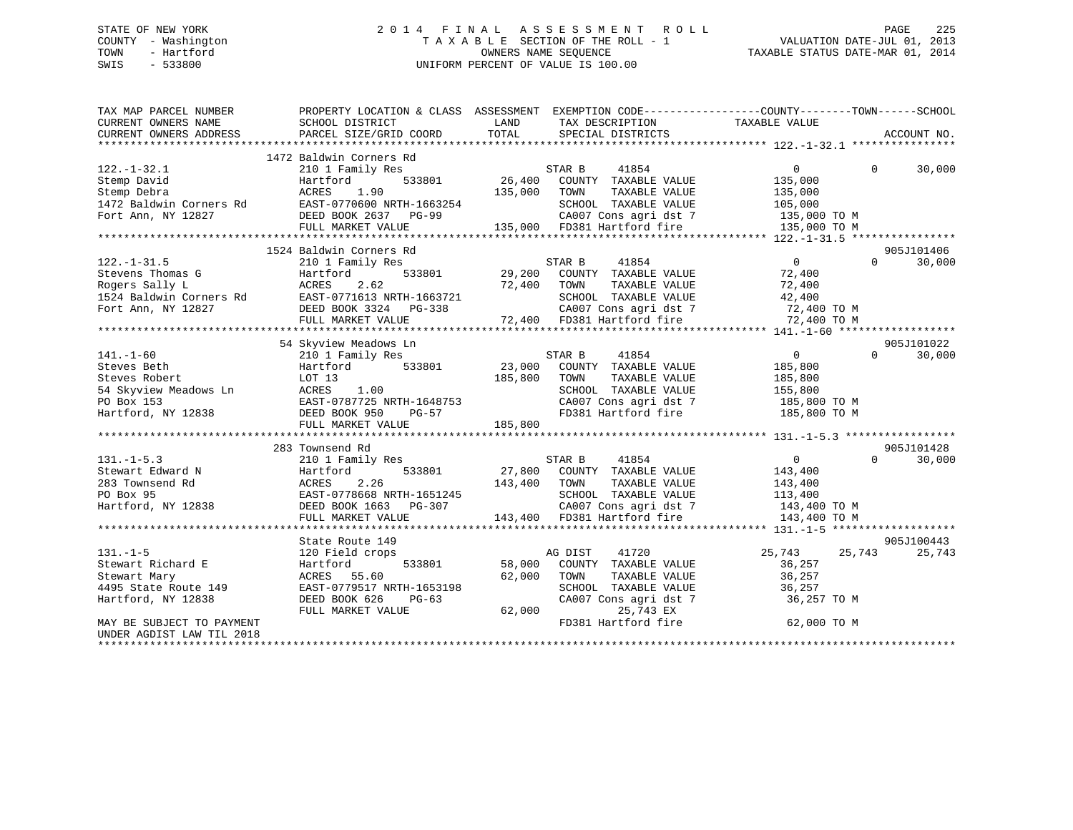## STATE OF NEW YORK 2 0 1 4 F I N A L A S S E S S M E N T R O L L PAGE 225 COUNTY - Washington T A X A B L E SECTION OF THE ROLL - 1 VALUATION DATE-JUL 01, 2013 TOWN - Hartford OWNERS NAME SEQUENCE TAXABLE STATUS DATE-MAR 01, 2014 SWIS - 533800 UNIFORM PERCENT OF VALUE IS 100.00

| TAX MAP PARCEL NUMBER     |                                                                                                                                                                                                                                                                        |                     |                                                                                                                                                                                                                               | PROPERTY LOCATION & CLASS ASSESSMENT EXEMPTION CODE-----------------COUNTY-------TOWN------SCHOOL                                                                                                                                                                         |            |
|---------------------------|------------------------------------------------------------------------------------------------------------------------------------------------------------------------------------------------------------------------------------------------------------------------|---------------------|-------------------------------------------------------------------------------------------------------------------------------------------------------------------------------------------------------------------------------|---------------------------------------------------------------------------------------------------------------------------------------------------------------------------------------------------------------------------------------------------------------------------|------------|
|                           | 1472 Baldwin Corners Rd                                                                                                                                                                                                                                                |                     |                                                                                                                                                                                                                               |                                                                                                                                                                                                                                                                           |            |
| $122. - 1 - 32.1$         |                                                                                                                                                                                                                                                                        |                     | STAR B<br>41854                                                                                                                                                                                                               | $\overline{0}$<br>$\Omega$                                                                                                                                                                                                                                                |            |
|                           | 210 1 Family Res                                                                                                                                                                                                                                                       | $^{\rm SI}$ 26,400  | COUNTY TAXABLE VALUE                                                                                                                                                                                                          |                                                                                                                                                                                                                                                                           | 30,000     |
|                           |                                                                                                                                                                                                                                                                        |                     | TAXABLE VALUE<br>TOWN                                                                                                                                                                                                         | 135,000<br>135,000                                                                                                                                                                                                                                                        |            |
|                           |                                                                                                                                                                                                                                                                        |                     |                                                                                                                                                                                                                               |                                                                                                                                                                                                                                                                           |            |
|                           |                                                                                                                                                                                                                                                                        |                     |                                                                                                                                                                                                                               | SCHOOL TAXABLE VALUE 105,000<br>CA007 Cons agri dst 7 135,000 TO M                                                                                                                                                                                                        |            |
|                           | 122.-1-32.1<br>Stemp David<br>Stemp Debra<br>1472 Baldwin Corners Rd<br>Fort Ann, NY 12827<br>12827<br>135,000<br>135,000<br>135,000<br>135,000<br>135,000<br>135,000<br>135,000<br>135,000<br>135,000<br>135,000<br>135,000<br>135,000<br>135,000<br>135,000<br>135,0 |                     | 135,000 FD381 Hartford fire                                                                                                                                                                                                   | 135,000 TO M                                                                                                                                                                                                                                                              |            |
|                           |                                                                                                                                                                                                                                                                        |                     |                                                                                                                                                                                                                               |                                                                                                                                                                                                                                                                           |            |
|                           | 1524 Baldwin Corners Rd                                                                                                                                                                                                                                                |                     |                                                                                                                                                                                                                               |                                                                                                                                                                                                                                                                           | 905J101406 |
| $122. - 1 - 31.5$         | 210 1 Family Res                                                                                                                                                                                                                                                       |                     |                                                                                                                                                                                                                               | $\overline{0}$<br>$\Omega$                                                                                                                                                                                                                                                | 30,000     |
|                           |                                                                                                                                                                                                                                                                        |                     | $\begin{array}{ccccccccc} \texttt{533801} & & & & \texttt{STAR B} & & & \texttt{41854} & & & & \texttt{0} \\ & & & & & & \texttt{29,200} & & \texttt{COUNTY} & & \texttt{TAXABLE VALUE} & & & \texttt{72,400} \\ \end{array}$ |                                                                                                                                                                                                                                                                           |            |
|                           |                                                                                                                                                                                                                                                                        | 72,400 TOWN         |                                                                                                                                                                                                                               |                                                                                                                                                                                                                                                                           |            |
|                           |                                                                                                                                                                                                                                                                        |                     | SCHOOL TAXABLE VALUE                                                                                                                                                                                                          | TAXABLE VALUE 72,400<br>TAXABLE VALUE 42,400                                                                                                                                                                                                                              |            |
|                           |                                                                                                                                                                                                                                                                        |                     |                                                                                                                                                                                                                               |                                                                                                                                                                                                                                                                           |            |
|                           | FULL MARKET VALUE                                                                                                                                                                                                                                                      |                     | 338 2A007 Cons agridst 7 72,400 TO M<br>72,400 5D381 Hartford fire 72,400 TO M                                                                                                                                                |                                                                                                                                                                                                                                                                           |            |
|                           |                                                                                                                                                                                                                                                                        |                     |                                                                                                                                                                                                                               |                                                                                                                                                                                                                                                                           |            |
|                           | 54 Skyview Meadows Ln                                                                                                                                                                                                                                                  |                     |                                                                                                                                                                                                                               |                                                                                                                                                                                                                                                                           | 905J101022 |
| $141. - 1 - 60$           | 210 1 Family Res                                                                                                                                                                                                                                                       |                     | 41854<br>STAR B                                                                                                                                                                                                               | $\sim$ 0<br>$\Omega$                                                                                                                                                                                                                                                      | 30,000     |
| Steves Beth               | Hartford                                                                                                                                                                                                                                                               |                     | 533801 23,000 COUNTY TAXABLE VALUE                                                                                                                                                                                            | 185,800                                                                                                                                                                                                                                                                   |            |
|                           | Steves Robert<br>54 Skyview Meadows Ln<br>PO Box 153<br>Hartford, NY 12838<br>Hartford, NY 12838<br>EAST-0787725 NRTH-1648753<br>DEED BOOK 950<br>PG-57<br>DEED BOOK 950<br>PG-57                                                                                      | 185,800 TOWN        |                                                                                                                                                                                                                               |                                                                                                                                                                                                                                                                           |            |
|                           |                                                                                                                                                                                                                                                                        |                     | TOWN TAXABLE VALUE 185,800<br>SCHOOL TAXABLE VALUE 155,800                                                                                                                                                                    |                                                                                                                                                                                                                                                                           |            |
|                           |                                                                                                                                                                                                                                                                        |                     |                                                                                                                                                                                                                               | CA007 Cons agri dst 7 185,800 TO M                                                                                                                                                                                                                                        |            |
|                           |                                                                                                                                                                                                                                                                        |                     | FD381 Hartford fire                                                                                                                                                                                                           | 185,800 TO M                                                                                                                                                                                                                                                              |            |
|                           | FULL MARKET VALUE                                                                                                                                                                                                                                                      | 185,800             |                                                                                                                                                                                                                               |                                                                                                                                                                                                                                                                           |            |
|                           |                                                                                                                                                                                                                                                                        |                     |                                                                                                                                                                                                                               |                                                                                                                                                                                                                                                                           |            |
|                           | 283 Townsend Rd                                                                                                                                                                                                                                                        |                     |                                                                                                                                                                                                                               |                                                                                                                                                                                                                                                                           | 905J101428 |
| $131. - 1 - 5.3$          | 210 1 Family Res                                                                                                                                                                                                                                                       |                     | 41854<br>STAR B                                                                                                                                                                                                               | $\overline{0}$<br>$\Omega$                                                                                                                                                                                                                                                | 30,000     |
|                           |                                                                                                                                                                                                                                                                        |                     | --, ---<br>533801 27,800 COUNTY TAXABLE VALUE<br>2.26 143,400 TOWN TAXABLE VALUE                                                                                                                                              | 143,400                                                                                                                                                                                                                                                                   |            |
|                           | Stewart Edward N Hartford 533801 27,800<br>283 Townsend Rd ACRES 2.26 143,400<br>PO Box 95 EAST-0778668 NRTH-1651245<br>Hartford, NY 12838 DEED BOOK 1663 PG-307                                                                                                       |                     |                                                                                                                                                                                                                               | TAXABLE VALUE 143,400                                                                                                                                                                                                                                                     |            |
|                           |                                                                                                                                                                                                                                                                        |                     |                                                                                                                                                                                                                               |                                                                                                                                                                                                                                                                           |            |
|                           |                                                                                                                                                                                                                                                                        |                     |                                                                                                                                                                                                                               | SCHOOL TAXABLE VALUE 113,400<br>CA007 Cons agri dst 7 143,400 TO M                                                                                                                                                                                                        |            |
|                           | FULL MARKET VALUE                                                                                                                                                                                                                                                      |                     | 143,400 FD381 Hartford fire                                                                                                                                                                                                   | 143,400 TO M                                                                                                                                                                                                                                                              |            |
|                           |                                                                                                                                                                                                                                                                        |                     |                                                                                                                                                                                                                               |                                                                                                                                                                                                                                                                           |            |
|                           | State Route 149                                                                                                                                                                                                                                                        |                     |                                                                                                                                                                                                                               |                                                                                                                                                                                                                                                                           | 905J100443 |
| $131. - 1 - 5$            | 120 Field crops                                                                                                                                                                                                                                                        |                     | AG DIST 41720                                                                                                                                                                                                                 | 25,743 25,743                                                                                                                                                                                                                                                             | 25,743     |
| Stewart Richard E         | 120 Field<br>Hartford                                                                                                                                                                                                                                                  | AC<br>533801 58,000 | COUNTY TAXABLE VALUE                                                                                                                                                                                                          | 36,257                                                                                                                                                                                                                                                                    |            |
| Stewart Mary              | ACRES 55.60                                                                                                                                                                                                                                                            | 62,000              | TOWN                                                                                                                                                                                                                          |                                                                                                                                                                                                                                                                           |            |
| 4495 State Route 149      | EAST-0779517 NRTH-1653198                                                                                                                                                                                                                                              |                     |                                                                                                                                                                                                                               | TAXABLE VALUE 36,257<br>TAXABLE VALUE 36,257<br>$\begin{tabular}{lllllllll} \texttt{SCHOOL} & \texttt{TAXABLE} & \texttt{VALUE} & & 36,257 \\ \texttt{CA007} & \texttt{Cons}\ \texttt{agri}\ \texttt{dst}\ \texttt{7} & & 36,257 \ \texttt{TO}\ \texttt{M} \end{tabular}$ |            |
| Hartford, NY 12838        | DEED BOOK 626<br>$PG-63$                                                                                                                                                                                                                                               |                     |                                                                                                                                                                                                                               |                                                                                                                                                                                                                                                                           |            |
|                           | FULL MARKET VALUE                                                                                                                                                                                                                                                      | 62,000              | 25,743 EX                                                                                                                                                                                                                     |                                                                                                                                                                                                                                                                           |            |
| MAY BE SUBJECT TO PAYMENT |                                                                                                                                                                                                                                                                        |                     | FD381 Hartford fire                                                                                                                                                                                                           | 62,000 TO M                                                                                                                                                                                                                                                               |            |
| UNDER AGDIST LAW TIL 2018 |                                                                                                                                                                                                                                                                        |                     |                                                                                                                                                                                                                               |                                                                                                                                                                                                                                                                           |            |
|                           |                                                                                                                                                                                                                                                                        |                     |                                                                                                                                                                                                                               |                                                                                                                                                                                                                                                                           |            |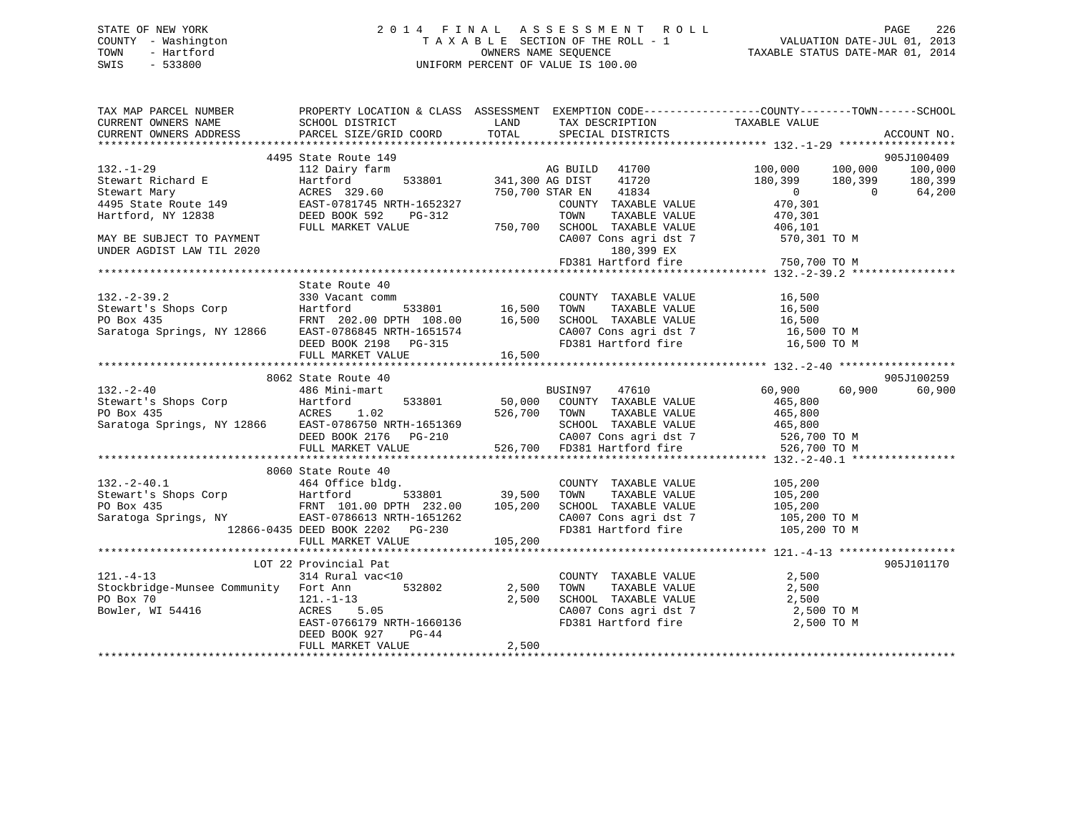## STATE OF NEW YORK 2 0 1 4 F I N A L A S S E S S M E N T R O L L PAGE 226 COUNTY - Washington T A X A B L E SECTION OF THE ROLL - 1 VALUATION DATE-JUL 01, 2013 TOWN - Hartford **TAXABLE STATUS DATE-MAR 01, 2014** OWNERS NAME SEQUENCE TAXABLE STATUS DATE-MAR 01, 2014 SWIS - 533800 UNIFORM PERCENT OF VALUE IS 100.00

| TAX MAP PARCEL NUMBER                                                                                                                                                                                                                                                                                                                                                                                       |                                                                   |       |                      | PROPERTY LOCATION & CLASS ASSESSMENT EXEMPTION CODE----------------COUNTY-------TOWN------SCHOOL                                                       |                      |
|-------------------------------------------------------------------------------------------------------------------------------------------------------------------------------------------------------------------------------------------------------------------------------------------------------------------------------------------------------------------------------------------------------------|-------------------------------------------------------------------|-------|----------------------|--------------------------------------------------------------------------------------------------------------------------------------------------------|----------------------|
|                                                                                                                                                                                                                                                                                                                                                                                                             |                                                                   |       |                      |                                                                                                                                                        |                      |
| 9053100409<br>132.-1-29<br>1495 State Route 149<br>Stewart Richard E<br>Stewart Michard E<br>Stewart Michard E<br>Stewart Martford 533801<br>241,300 AG DIST 41720<br>341,300 AG DIST 41720<br>26 321,000 100,000 100,000 100,000<br>180,399 180                                                                                                                                                            |                                                                   |       |                      |                                                                                                                                                        |                      |
|                                                                                                                                                                                                                                                                                                                                                                                                             |                                                                   |       |                      |                                                                                                                                                        |                      |
|                                                                                                                                                                                                                                                                                                                                                                                                             |                                                                   |       |                      |                                                                                                                                                        |                      |
|                                                                                                                                                                                                                                                                                                                                                                                                             |                                                                   |       |                      |                                                                                                                                                        |                      |
|                                                                                                                                                                                                                                                                                                                                                                                                             | State Route 40                                                    |       |                      |                                                                                                                                                        |                      |
|                                                                                                                                                                                                                                                                                                                                                                                                             |                                                                   |       |                      |                                                                                                                                                        |                      |
|                                                                                                                                                                                                                                                                                                                                                                                                             |                                                                   |       |                      |                                                                                                                                                        |                      |
| $\begin{tabular}{lllllllllllll} \multicolumn{3}{l}{} & 8062 \text{ State Route 40} & 9051 \\\text{Stewart's Shops Corp} & 486 \text{ Mini-mart} & 533801 & 50,000 & \text{COUNTN} & TAXABLE VALUE & 465,800 \\ \text{PeBox 435} & \text{ACRES} & 1.02 & 526,700 & \text{TONTY} & TAXABLE VALUE & 465,800 \\ \text{Saratoga Springs, NY 12866} & \text{EAST-0786750 NRTH-1651369} & \text{SEED BOOK 2176} &$ |                                                                   |       |                      |                                                                                                                                                        | 905J100259<br>60,900 |
|                                                                                                                                                                                                                                                                                                                                                                                                             |                                                                   |       |                      |                                                                                                                                                        |                      |
|                                                                                                                                                                                                                                                                                                                                                                                                             |                                                                   |       |                      |                                                                                                                                                        |                      |
|                                                                                                                                                                                                                                                                                                                                                                                                             | LOT 22 Provincial Pat                                             |       |                      |                                                                                                                                                        | 905J101170           |
| $121. -4 - 13$                                                                                                                                                                                                                                                                                                                                                                                              | 314 Rural vac<10<br>DEED BOOK 927<br>$PG-44$<br>FULL MARKET VALUE | 2,500 | COUNTY TAXABLE VALUE | 2,500<br>TOWN TAXABLE VALUE<br>SCHOOL TAXABLE VALUE<br>CA007 Cons agri dst 7 2,500<br>FD381 Hartford fire 2,500 TO M<br>PD381 Hartford fire 2,500 TO M |                      |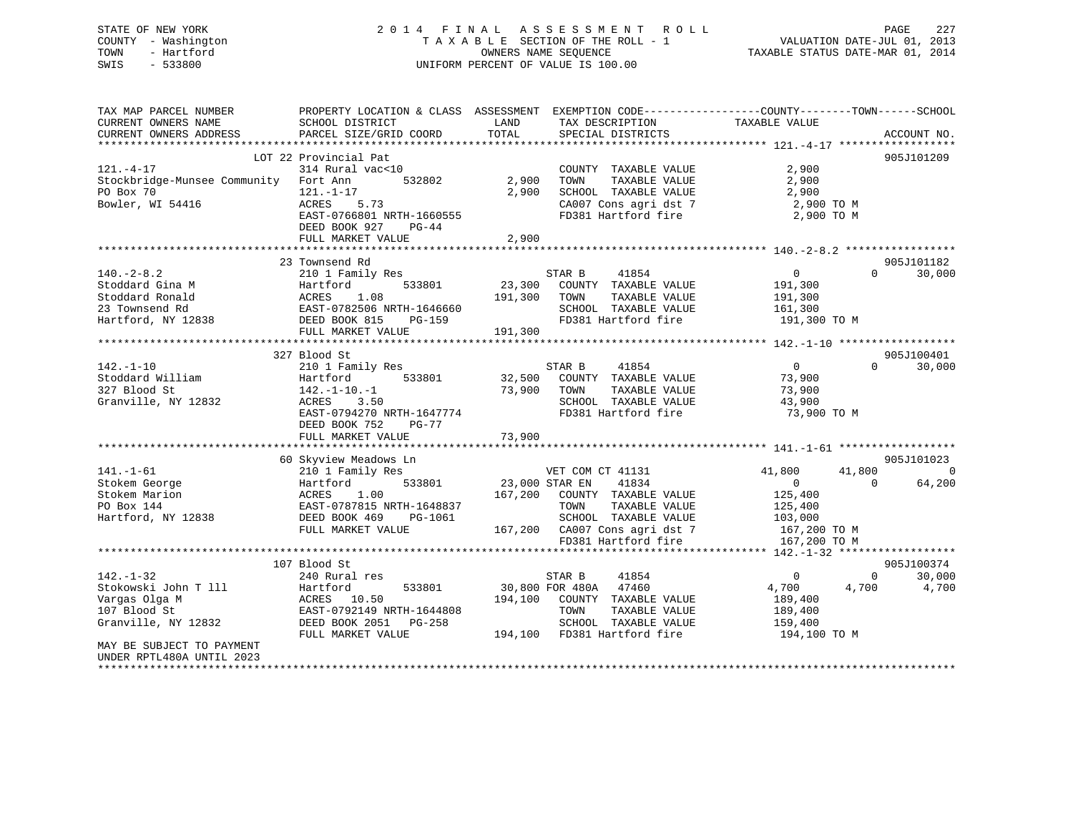STATE OF NEW YORK 2 0 1 4 F I N A L A S S E S S M E N T R O L L PAGE 227 COUNTY - Washington T A X A B L E SECTION OF THE ROLL - 1 VALUATION DATE-JUL 01, 2013 TOWN - Hartford **TAXABLE STATUS DATE-MAR 01, 2014** OWNERS NAME SEQUENCE TAXABLE STATUS DATE-MAR 01, 2014 SWIS - 533800 UNIFORM PERCENT OF VALUE IS 100.00

| TAX MAP PARCEL NUMBER<br>CURRENT OWNERS NAME                                                   | PROPERTY LOCATION & CLASS ASSESSMENT<br>SCHOOL DISTRICT                                                                                                  | LAND              | EXEMPTION CODE-----------------COUNTY-------TOWN------SCHOOL<br>TAX DESCRIPTION                                                                | TAXABLE VALUE                                                                   |                                    |
|------------------------------------------------------------------------------------------------|----------------------------------------------------------------------------------------------------------------------------------------------------------|-------------------|------------------------------------------------------------------------------------------------------------------------------------------------|---------------------------------------------------------------------------------|------------------------------------|
| CURRENT OWNERS ADDRESS                                                                         | PARCEL SIZE/GRID COORD                                                                                                                                   | TOTAL             | SPECIAL DISTRICTS                                                                                                                              |                                                                                 | ACCOUNT NO.                        |
|                                                                                                | LOT 22 Provincial Pat                                                                                                                                    |                   |                                                                                                                                                |                                                                                 | 905J101209                         |
| $121. - 4 - 17$<br>Stockbridge-Munsee Community Fort Ann                                       | 314 Rural vac<10<br>532802                                                                                                                               | 2,900             | COUNTY TAXABLE VALUE<br>TOWN<br>TAXABLE VALUE                                                                                                  | 2,900<br>2,900                                                                  |                                    |
| PO Box 70<br>Bowler, WI 54416                                                                  | $121. - 1 - 17$<br>5.73<br>ACRES<br>EAST-0766801 NRTH-1660555                                                                                            | 2,900             | SCHOOL TAXABLE VALUE<br>CA007 Cons agri dst 7<br>FD381 Hartford fire                                                                           | 2,900<br>2,900 TO M<br>2,900 TO M                                               |                                    |
|                                                                                                | DEED BOOK 927<br>$PG-44$<br>FULL MARKET VALUE                                                                                                            | 2,900             |                                                                                                                                                |                                                                                 |                                    |
|                                                                                                |                                                                                                                                                          |                   |                                                                                                                                                |                                                                                 |                                    |
| $140. - 2 - 8.2$<br>Stoddard Gina M<br>Stoddard Ronald<br>23 Townsend Rd<br>Hartford, NY 12838 | 23 Townsend Rd<br>210 1 Family Res<br>533801<br>Hartford<br>1.08<br>ACRES<br>EAST-0782506 NRTH-1646660<br>DEED BOOK 815<br>PG-159                        | 23,300<br>191,300 | STAR B<br>41854<br>COUNTY TAXABLE VALUE<br>TAXABLE VALUE<br>TOWN<br>SCHOOL TAXABLE VALUE<br>FD381 Hartford fire                                | $\overline{0}$<br>191,300<br>191,300<br>161,300<br>191,300 TO M                 | 905J101182<br>30,000<br>$\Omega$   |
|                                                                                                | FULL MARKET VALUE                                                                                                                                        | 191,300           |                                                                                                                                                |                                                                                 |                                    |
|                                                                                                |                                                                                                                                                          |                   |                                                                                                                                                |                                                                                 |                                    |
| $142. - 1 - 10$<br>Stoddard William<br>327 Blood St<br>Granville, NY 12832                     | 327 Blood St<br>210 1 Family Res<br>Hartford<br>533801<br>$142. - 1 - 10. - 1$<br>3.50<br>ACRES<br>EAST-0794270 NRTH-1647774<br>DEED BOOK 752<br>$PG-77$ | 32,500<br>73,900  | STAR B<br>41854<br>COUNTY TAXABLE VALUE<br>TAXABLE VALUE<br>TOWN<br>SCHOOL TAXABLE VALUE<br>FD381 Hartford fire                                | 0<br>73,900<br>73,900<br>43,900<br>73,900 TO M                                  | 905J100401<br>30,000<br>$\Omega$   |
|                                                                                                | FULL MARKET VALUE                                                                                                                                        | 73,900            |                                                                                                                                                |                                                                                 |                                    |
|                                                                                                | 60 Skyview Meadows Ln                                                                                                                                    |                   |                                                                                                                                                |                                                                                 | 905J101023                         |
| $141. - 1 - 61$                                                                                | 210 1 Family Res                                                                                                                                         |                   | VET COM CT 41131                                                                                                                               | 41,800<br>41,800                                                                | $\overline{0}$                     |
| Stokem George<br>Stokem Marion<br>PO Box 144<br>Hartford, NY 12838                             | 533801<br>Hartford<br>1.00<br>ACRES<br>EAST-0787815 NRTH-1648837<br>DEED BOOK 469<br>PG-1061<br>FULL MARKET VALUE                                        | 23,000 STAR EN    | 41834<br>167,200 COUNTY TAXABLE VALUE<br>TOWN<br>TAXABLE VALUE<br>SCHOOL TAXABLE VALUE<br>167,200 CA007 Cons agri dst 7<br>FD381 Hartford fire | $\overline{0}$<br>125,400<br>125,400<br>103,000<br>167,200 TO M<br>167,200 TO M | 64,200<br>$\Omega$                 |
|                                                                                                |                                                                                                                                                          |                   |                                                                                                                                                |                                                                                 |                                    |
| $142. - 1 - 32$<br>Stokowski John T 111<br>Vargas Olga M                                       | 107 Blood St<br>240 Rural res<br>Hartford<br>533801<br>10.50<br>ACRES                                                                                    | 194,100           | STAR B<br>41854<br>30,800 FOR 480A<br>47460<br>COUNTY TAXABLE VALUE                                                                            | $\circ$<br>4,700<br>4,700<br>189,400                                            | 905J100374<br>30,000<br>0<br>4,700 |
| 107 Blood St<br>Granville, NY 12832                                                            | EAST-0792149 NRTH-1644808<br>DEED BOOK 2051<br>PG-258<br>FULL MARKET VALUE                                                                               | 194,100           | TAXABLE VALUE<br>TOWN<br>SCHOOL TAXABLE VALUE<br>FD381 Hartford fire                                                                           | 189,400<br>159,400<br>194,100 TO M                                              |                                    |
| MAY BE SUBJECT TO PAYMENT<br>UNDER RPTL480A UNTIL 2023                                         |                                                                                                                                                          |                   |                                                                                                                                                |                                                                                 |                                    |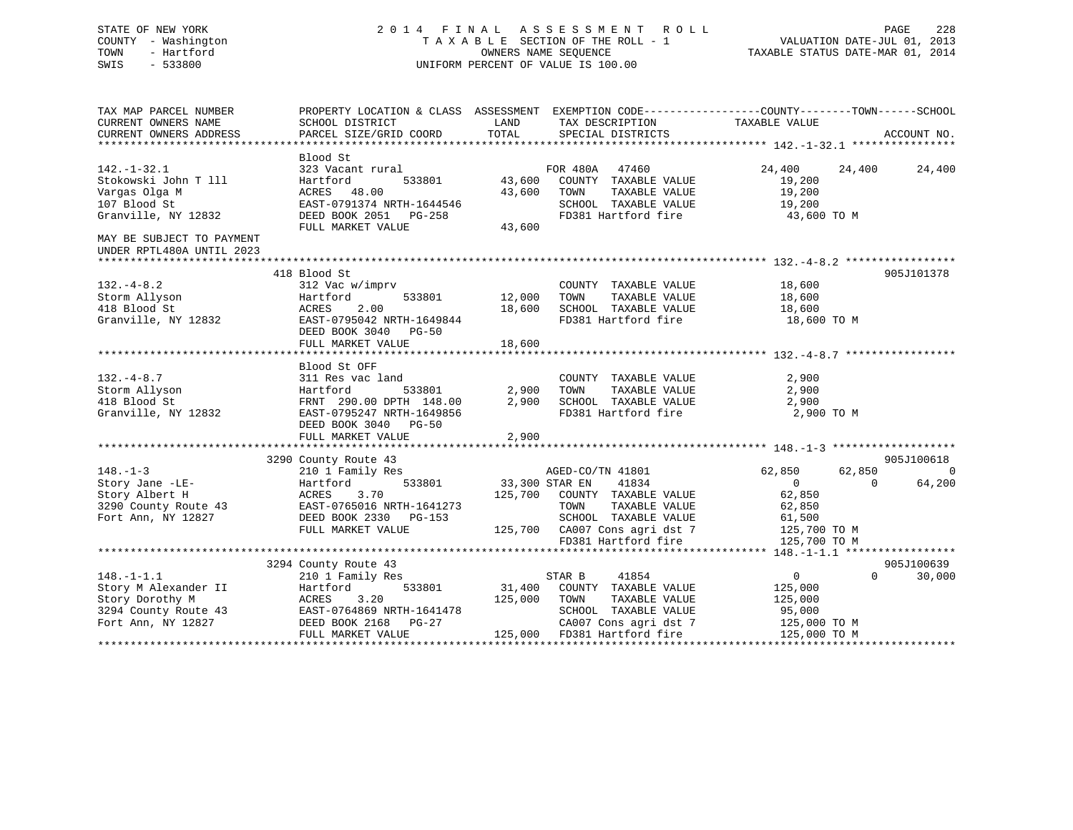## STATE OF NEW YORK 2 0 1 4 F I N A L A S S E S S M E N T R O L L PAGE 228 COUNTY - Washington T A X A B L E SECTION OF THE ROLL - 1 VALUATION DATE-JUL 01, 2013 TOWN - Hartford **TAXABLE STATUS DATE-MAR 01, 2014** OWNERS NAME SEQUENCE TAXABLE STATUS DATE-MAR 01, 2014 SWIS - 533800 UNIFORM PERCENT OF VALUE IS 100.00

| TAX MAP PARCEL NUMBER                                                                | PROPERTY LOCATION & CLASS ASSESSMENT EXEMPTION CODE---------------COUNTY-------TOWN-----SCHOOL   |               |                                                                           |                      |          |             |
|--------------------------------------------------------------------------------------|--------------------------------------------------------------------------------------------------|---------------|---------------------------------------------------------------------------|----------------------|----------|-------------|
| CURRENT OWNERS NAME                                                                  | SCHOOL DISTRICT                                                                                  | LAND          | TAX DESCRIPTION                                                           | TAXABLE VALUE        |          |             |
| CURRENT OWNERS ADDRESS                                                               | PARCEL SIZE/GRID COORD                                                                           | TOTAL         | SPECIAL DISTRICTS                                                         |                      |          | ACCOUNT NO. |
|                                                                                      | Blood St                                                                                         |               |                                                                           |                      |          |             |
| $142. - 1 - 32.1$                                                                    | 323 Vacant rural                                                                                 |               | FOR 480A 47460                                                            | 24,400 24,400        |          | 24,400      |
| Stokowski John T 111                                                                 | 533801<br>Hartford                                                                               |               | 43,600 COUNTY TAXABLE VALUE                                               | 19,200               |          |             |
| Vargas Olga M                                                                        | ACRES 48.00                                                                                      |               | 43,600 TOWN<br>TAXABLE VALUE                                              |                      |          |             |
| 107 Blood St                                                                         | EAST-0791374 NRTH-1644546                                                                        |               | SCHOOL TAXABLE VALUE                                                      | 19,200<br>19,200     |          |             |
| Granville, NY 12832                                                                  |                                                                                                  |               | FD381 Hartford fire 43,600 TO M                                           |                      |          |             |
|                                                                                      | DEED BOOK 2051 PG-258<br>FULL MARKET VALUE 43,600                                                |               |                                                                           |                      |          |             |
| MAY BE SUBJECT TO PAYMENT                                                            |                                                                                                  |               |                                                                           |                      |          |             |
| UNDER RPTL480A UNTIL 2023                                                            |                                                                                                  |               |                                                                           |                      |          |             |
|                                                                                      |                                                                                                  |               |                                                                           |                      |          |             |
|                                                                                      | 418 Blood St                                                                                     |               |                                                                           |                      |          | 905J101378  |
| $132. -4 - 8.2$                                                                      | 312 Vac w/imprv                                                                                  |               | COUNTY TAXABLE VALUE 18,600                                               |                      |          |             |
| Storm Allyson                                                                        | Hartford                                                                                         | 533801 12,000 | TOWN                                                                      | TAXABLE VALUE 18,600 |          |             |
|                                                                                      |                                                                                                  |               |                                                                           |                      |          |             |
| 418 Blood St<br>Granville, NY 12832                                                  |                                                                                                  |               | 18,600 SCHOOL TAXABLE VALUE 18,600 18,600 FD381 Hartford fire 18,600 TO M |                      |          |             |
|                                                                                      | DEED BOOK 3040 PG-50                                                                             |               |                                                                           |                      |          |             |
|                                                                                      | FULL MARKET VALUE                                                                                | 18,600        |                                                                           |                      |          |             |
|                                                                                      |                                                                                                  |               |                                                                           |                      |          |             |
|                                                                                      | Blood St OFF                                                                                     |               |                                                                           |                      |          |             |
| $132. -4 - 8.7$                                                                      | 311 Res vac land                                                                                 |               | COUNTY TAXABLE VALUE                                                      | 2,900                |          |             |
| Storm Allyson                                                                        | Hartford                                                                                         | 533801 2,900  | TAXABLE VALUE<br>TOWN                                                     | 2,900                |          |             |
| 418 Blood St                                                                         | FRNT 290.00 DPTH 148.00<br>-- ^F^E^47 NPTH 148.00                                                | 2,900         | SCHOOL TAXABLE VALUE                                                      | 2,900                |          |             |
| Granville, NY 12832                                                                  | EAST-0795247 NRTH-1649856                                                                        |               | FD381 Hartford fire                                                       | 2,900 TO M           |          |             |
|                                                                                      | DEED BOOK 3040 PG-50                                                                             |               |                                                                           |                      |          |             |
|                                                                                      | FULL MARKET VALUE                                                                                | 2,900         |                                                                           |                      |          |             |
|                                                                                      |                                                                                                  |               |                                                                           |                      |          |             |
|                                                                                      | 3290 County Route 43                                                                             |               |                                                                           |                      |          | 905J100618  |
| 148.-1-3<br>Story Jane -LE-<br>Story Albert H<br>200. Gounter Hotel Control of ACRES | 210 1 Family Res                                                                                 |               | AGED-CO/TN 41801 62,850                                                   |                      | 62,850   | $\mathbf 0$ |
|                                                                                      | 533801<br>Hartford                                                                               |               | 33,300 STAR EN 41834                                                      | $\overline{0}$       | $\Omega$ | 64,200      |
|                                                                                      | 3.70                                                                                             |               | 125,700 COUNTY TAXABLE VALUE                                              | 62,850               |          |             |
|                                                                                      | 3290 County Route 43<br>FAST-0765016 NRTH-1641273<br>Fort Ann, NY 12827<br>DEED BOOK 2330 PG-153 |               | TAXABLE VALUE<br>TOWN                                                     | $62,850$<br>$61$     |          |             |
|                                                                                      |                                                                                                  |               | SCHOOL TAXABLE VALUE                                                      |                      |          |             |
|                                                                                      | FULL MARKET VALUE                                                                                |               | 125,700 CA007 Cons agri dst 7 125,700 TO M                                |                      |          |             |
|                                                                                      |                                                                                                  |               | FD381 Hartford fire                                                       | 125,700 TO M         |          |             |
|                                                                                      |                                                                                                  |               |                                                                           |                      |          |             |
|                                                                                      | 3294 County Route 43                                                                             |               |                                                                           |                      |          | 905J100639  |
| $148. - 1 - 1.1$                                                                     | 210 1 Family Res                                                                                 |               | 41854<br>STAR B                                                           | $\overline{0}$       | $\Omega$ | 30,000      |
| Story M Alexander II                                                                 | Hartford                                                                                         |               | 533801 31,400 COUNTY TAXABLE VALUE                                        | 125,000              |          |             |
|                                                                                      |                                                                                                  | 125,000 TOWN  | TAXABLE VALUE                                                             | 125,000              |          |             |
|                                                                                      | Story Dorothy M<br>3294 County Route 43<br>3294 County Route 43<br>FRAST-0764869 NRTH-1641478    |               | SCHOOL TAXABLE VALUE                                                      | 95,000               |          |             |
| Fort Ann, NY 12827<br>Fort Ann, NY 12827<br>Fort Ann, NY 12827                       |                                                                                                  |               | CA007 Cons agri dst 7                                                     | 125,000 TO M         |          |             |
|                                                                                      | FULL MARKET VALUE                                                                                |               | 125,000 FD381 Hartford fire                                               | 125,000 TO M         |          |             |
|                                                                                      |                                                                                                  |               |                                                                           |                      |          |             |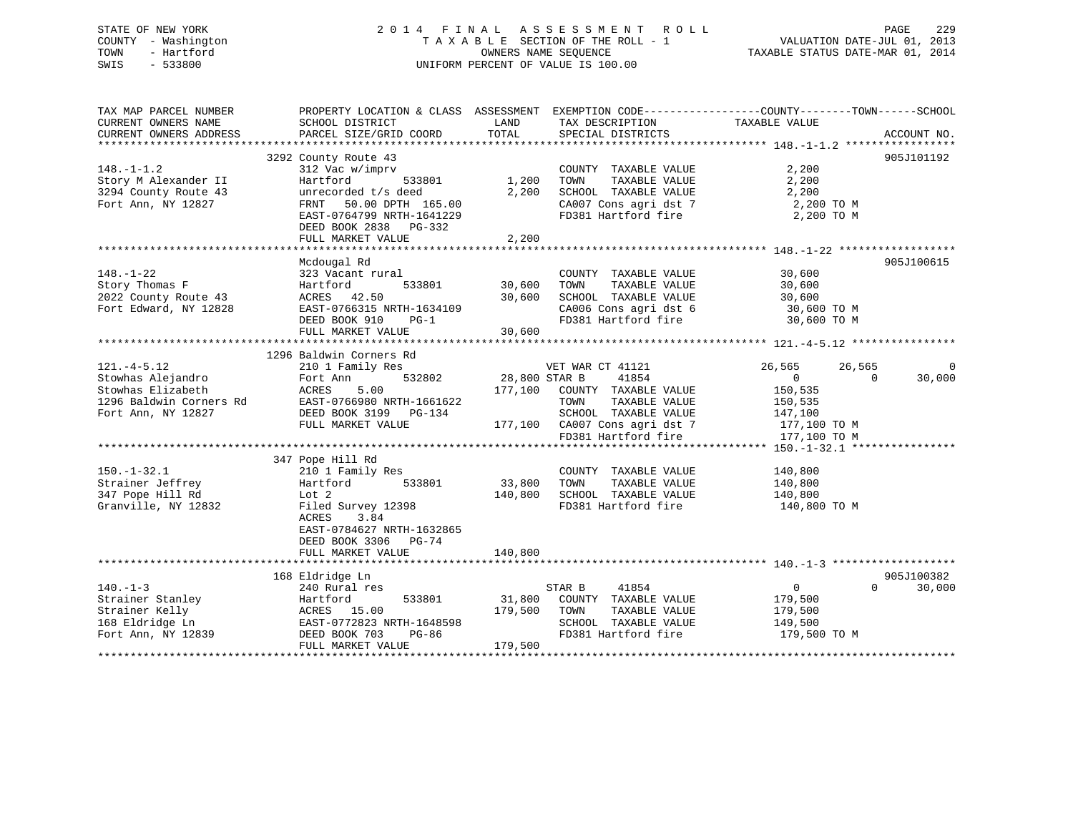## STATE OF NEW YORK 2 0 1 4 F I N A L A S S E S S M E N T R O L L PAGE 229 COUNTY - Washington T A X A B L E SECTION OF THE ROLL - 1 VALUATION DATE-JUL 01, 2013 TOWN - Hartford **TAXABLE STATUS DATE-MAR 01, 2014** OWNERS NAME SEQUENCE TAXABLE STATUS DATE-MAR 01, 2014 SWIS - 533800 UNIFORM PERCENT OF VALUE IS 100.00

| TAX MAP PARCEL NUMBER                                                                                                 | PROPERTY LOCATION & CLASS ASSESSMENT EXEMPTION CODE---------------COUNTY-------TOWN------SCHOOL  |         |                                                                                |                                                                                                                                                                                                                |                             |
|-----------------------------------------------------------------------------------------------------------------------|--------------------------------------------------------------------------------------------------|---------|--------------------------------------------------------------------------------|----------------------------------------------------------------------------------------------------------------------------------------------------------------------------------------------------------------|-----------------------------|
| CURRENT OWNERS NAME                                                                                                   | SCHOOL DISTRICT                                                                                  | LAND    | TAX DESCRIPTION                                                                | TAXABLE VALUE                                                                                                                                                                                                  |                             |
| CURRENT OWNERS ADDRESS                                                                                                |                                                                                                  |         |                                                                                |                                                                                                                                                                                                                |                             |
|                                                                                                                       |                                                                                                  |         |                                                                                |                                                                                                                                                                                                                |                             |
|                                                                                                                       | 3292 County Route 43                                                                             |         |                                                                                |                                                                                                                                                                                                                | 905J101192                  |
| $148. - 1 - 1.2$                                                                                                      | 312 Vac w/imprv                                                                                  |         | COUNTY TAXABLE VALUE                                                           | 2,200                                                                                                                                                                                                          |                             |
|                                                                                                                       |                                                                                                  |         |                                                                                |                                                                                                                                                                                                                |                             |
|                                                                                                                       | 533801                                                                                           | 1,200   | TOWN<br>TAXABLE VALUE<br>SCHOOL TAXABLE VALUE                                  | 2,200<br>2,200                                                                                                                                                                                                 |                             |
|                                                                                                                       |                                                                                                  | 2,200   |                                                                                |                                                                                                                                                                                                                |                             |
| Story M Alexander II artford 5338<br>3294 County Route 43 unrecorded t/s deed<br>Fort Ann, NY 12827 FRNT 50.00 DPTH 1 | FRNT 50.00 DPTH 165.00<br>EAST-0764799 NRTH-1641229                                              |         |                                                                                | $\begin{array}{lllllll} \texttt{CA007} & \texttt{Cons}\ \texttt{agri}\ \texttt{dst}\ 7 & 2,200\ \texttt{\small T0}\ 81 & \texttt{Hartford}\ \texttt{fire} & 2,200\ \texttt{\small TO}\ \texttt{M} \end{array}$ |                             |
|                                                                                                                       |                                                                                                  |         |                                                                                |                                                                                                                                                                                                                |                             |
|                                                                                                                       | DEED BOOK 2838 PG-332                                                                            |         |                                                                                |                                                                                                                                                                                                                |                             |
|                                                                                                                       | FULL MARKET VALUE                                                                                | 2,200   |                                                                                |                                                                                                                                                                                                                |                             |
|                                                                                                                       |                                                                                                  |         |                                                                                |                                                                                                                                                                                                                |                             |
|                                                                                                                       | Mcdougal Rd                                                                                      |         |                                                                                |                                                                                                                                                                                                                | 905J100615                  |
| $148. - 1 - 22$                                                                                                       | 323 Vacant rural                                                                                 |         | COUNTY TAXABLE VALUE 30,600                                                    |                                                                                                                                                                                                                |                             |
|                                                                                                                       | 533801                                                                                           | 30,600  | TOWN                                                                           |                                                                                                                                                                                                                |                             |
|                                                                                                                       |                                                                                                  | 30,600  | TAXABLE VALUE 30,600<br>DL TAXABLE VALUE 30,600<br>SCHOOL TAXABLE VALUE        |                                                                                                                                                                                                                |                             |
|                                                                                                                       |                                                                                                  |         |                                                                                |                                                                                                                                                                                                                |                             |
|                                                                                                                       | 2022 County Route 43<br>Fort Edward, NY 12828<br>Fort Edward, NY 12828<br>Forth POOK 910<br>PG-1 |         |                                                                                | CA006 Cons agri dst 6 30,600 TO M                                                                                                                                                                              |                             |
|                                                                                                                       |                                                                                                  |         | FD381 Hartford fire                                                            | 30,600 TO M                                                                                                                                                                                                    |                             |
|                                                                                                                       | FULL MARKET VALUE                                                                                | 30,600  |                                                                                |                                                                                                                                                                                                                |                             |
|                                                                                                                       |                                                                                                  |         |                                                                                |                                                                                                                                                                                                                |                             |
|                                                                                                                       | 1296 Baldwin Corners Rd                                                                          |         |                                                                                |                                                                                                                                                                                                                |                             |
|                                                                                                                       |                                                                                                  |         | VET WAR CT 41121                                                               | 26,565<br>26,565                                                                                                                                                                                               | 0                           |
|                                                                                                                       |                                                                                                  |         | $-$ 532802 28,800 STAR B 41854<br>177,100 COUNTY TAXABLE VALUE                 | $\overline{0}$                                                                                                                                                                                                 | 30,000<br>$\Omega$          |
|                                                                                                                       |                                                                                                  |         |                                                                                | 150,535                                                                                                                                                                                                        |                             |
|                                                                                                                       |                                                                                                  |         | TOWN<br>TAXABLE VALUE                                                          | 150,535                                                                                                                                                                                                        |                             |
|                                                                                                                       |                                                                                                  |         | SCHOOL TAXABLE VALUE 147,100                                                   |                                                                                                                                                                                                                |                             |
|                                                                                                                       |                                                                                                  |         |                                                                                |                                                                                                                                                                                                                |                             |
|                                                                                                                       |                                                                                                  |         | 177,100 CA007 Cons agri dst 7 177,100 TO M<br>FD381 Hartford fire 177,100 TO M |                                                                                                                                                                                                                |                             |
|                                                                                                                       |                                                                                                  |         |                                                                                |                                                                                                                                                                                                                |                             |
|                                                                                                                       |                                                                                                  |         |                                                                                |                                                                                                                                                                                                                |                             |
|                                                                                                                       | 347 Pope Hill Rd                                                                                 |         |                                                                                |                                                                                                                                                                                                                |                             |
| $150. - 1 - 32.1$                                                                                                     |                                                                                                  |         | COUNTY TAXABLE VALUE                                                           | 140,800                                                                                                                                                                                                        |                             |
| 150.-1-32.1<br>Strainer Jeffrey<br>347 Pope Hill Rd                                                                   |                                                                                                  | 33,800  | TOWN<br>TAXABLE VALUE                                                          | 140,800                                                                                                                                                                                                        |                             |
|                                                                                                                       |                                                                                                  | 140,800 | SCHOOL TAXABLE VALUE                                                           | 140,800                                                                                                                                                                                                        |                             |
| Granville, NY 12832 Filed Survey 12398                                                                                |                                                                                                  |         | FD381 Hartford fire                                                            | 140,800 TO M                                                                                                                                                                                                   |                             |
|                                                                                                                       | 3.84<br>ACRES                                                                                    |         |                                                                                |                                                                                                                                                                                                                |                             |
|                                                                                                                       | EAST-0784627 NRTH-1632865                                                                        |         |                                                                                |                                                                                                                                                                                                                |                             |
|                                                                                                                       | DEED BOOK 3306 PG-74                                                                             |         |                                                                                |                                                                                                                                                                                                                |                             |
|                                                                                                                       | FULL MARKET VALUE                                                                                | 140,800 |                                                                                |                                                                                                                                                                                                                |                             |
|                                                                                                                       |                                                                                                  |         |                                                                                |                                                                                                                                                                                                                |                             |
|                                                                                                                       |                                                                                                  |         |                                                                                |                                                                                                                                                                                                                |                             |
|                                                                                                                       | 168 Eldridge Ln                                                                                  |         |                                                                                |                                                                                                                                                                                                                | 905J100382                  |
| $140. - 1 - 3$                                                                                                        | 240 Rural res                                                                                    |         | 41854<br>STAR B                                                                | $\overline{0}$                                                                                                                                                                                                 | $0 \qquad \qquad$<br>30,000 |
|                                                                                                                       |                                                                                                  | 31,800  | COUNTY TAXABLE VALUE                                                           | 179,500                                                                                                                                                                                                        |                             |
|                                                                                                                       |                                                                                                  | 179,500 | TAXABLE VALUE<br>TOWN                                                          | 179,500                                                                                                                                                                                                        |                             |
|                                                                                                                       |                                                                                                  |         | SCHOOL TAXABLE VALUE                                                           | 149,500                                                                                                                                                                                                        |                             |
|                                                                                                                       |                                                                                                  |         |                                                                                | FD381 Hartford fire 179,500 TO M                                                                                                                                                                               |                             |
|                                                                                                                       | FULL MARKET VALUE                                                                                | 179,500 |                                                                                |                                                                                                                                                                                                                |                             |
|                                                                                                                       |                                                                                                  |         |                                                                                |                                                                                                                                                                                                                |                             |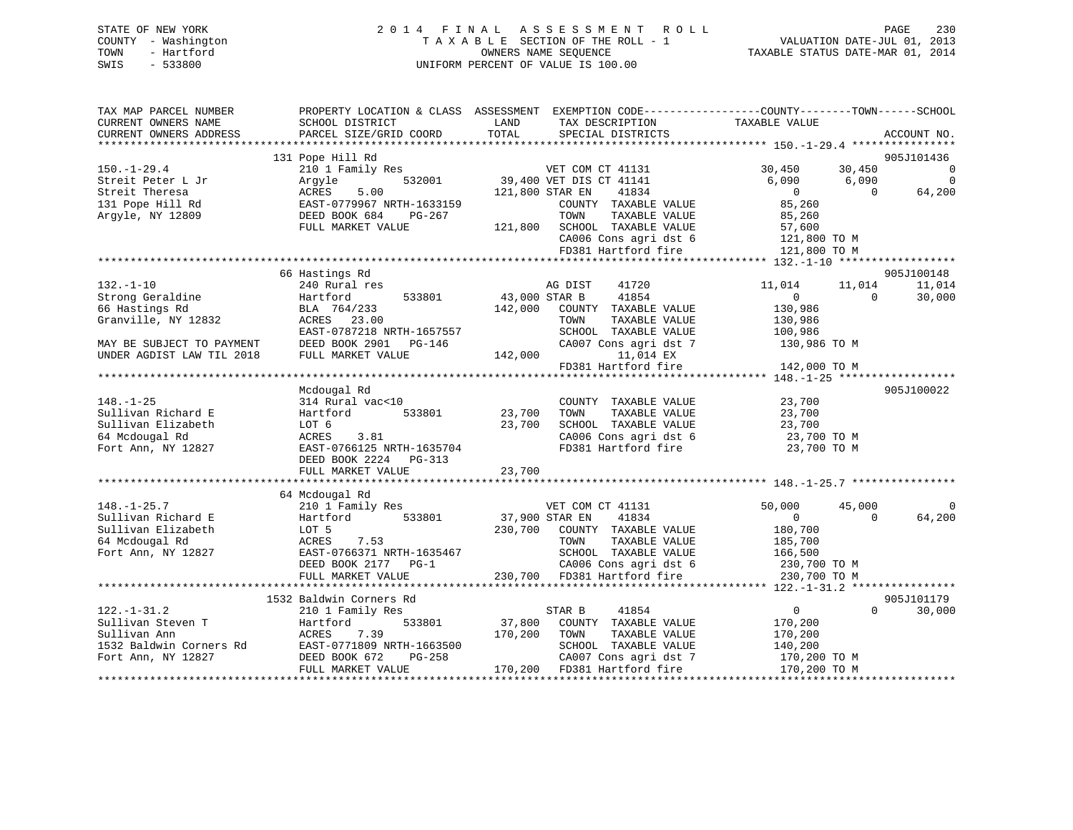## STATE OF NEW YORK 2 0 1 4 F I N A L A S S E S S M E N T R O L L PAGE 230 COUNTY - Washington T A X A B L E SECTION OF THE ROLL - 1 VALUATION DATE-JUL 01, 2013 TOWN - Hartford **TAXABLE STATUS DATE-MAR 01, 2014** OWNERS NAME SEQUENCE TAXABLE STATUS DATE-MAR 01, 2014 SWIS - 533800 UNIFORM PERCENT OF VALUE IS 100.00

| TAX MAP PARCEL NUMBER     |                           | PROPERTY LOCATION & CLASS ASSESSMENT EXEMPTION CODE---------------COUNTY-------TOWN-----SCHOOL |                            |                |
|---------------------------|---------------------------|------------------------------------------------------------------------------------------------|----------------------------|----------------|
| CURRENT OWNERS NAME       | SCHOOL DISTRICT           | TAX DESCRIPTION<br>LAND                                                                        | TAXABLE VALUE              |                |
| CURRENT OWNERS ADDRESS    | PARCEL SIZE/GRID COORD    | TOTAL<br>SPECIAL DISTRICTS                                                                     |                            | ACCOUNT NO.    |
|                           | 131 Pope Hill Rd          |                                                                                                |                            | 905J101436     |
| $150. - 1 - 29.4$         | 210 1 Family Res          | VET COM CT 41131                                                                               | 30,450<br>30,450           | $\overline{0}$ |
| Streit Peter L Jr         | 532001<br>Arqyle          | 39,400 VET DIS CT 41141                                                                        | 6,090<br>6,090             | $\overline{0}$ |
| Streit Theresa            | ACRES<br>5.00             | 121,800 STAR EN<br>41834                                                                       | $\overline{0}$<br>$\Omega$ | 64,200         |
| 131 Pope Hill Rd          | EAST-0779967 NRTH-1633159 | COUNTY TAXABLE VALUE                                                                           | 85,260                     |                |
| Argyle, NY 12809          | DEED BOOK 684<br>PG-267   | TOWN<br>TAXABLE VALUE                                                                          | 85,260                     |                |
|                           | FULL MARKET VALUE         | SCHOOL TAXABLE VALUE<br>121,800                                                                | 57,600                     |                |
|                           |                           | CA006 Cons agri dst 6                                                                          | 121,800 TO M               |                |
|                           |                           | FD381 Hartford fire                                                                            | 121,800 TO M               |                |
|                           |                           |                                                                                                |                            |                |
|                           | 66 Hastings Rd            |                                                                                                |                            | 905J100148     |
| $132. - 1 - 10$           | 240 Rural res             | 41720<br>AG DIST                                                                               | 11,014<br>11,014           | 11,014         |
| Strong Geraldine          | Hartford<br>533801        | 43,000 STAR B<br>41854                                                                         | $\overline{0}$<br>$\Omega$ | 30,000         |
| 66 Hastings Rd            | BLA 764/233               | 142,000<br>COUNTY TAXABLE VALUE                                                                | 130,986                    |                |
| Granville, NY 12832       | ACRES 23.00               | TOWN<br>TAXABLE VALUE                                                                          | 130,986                    |                |
|                           | EAST-0787218 NRTH-1657557 | SCHOOL TAXABLE VALUE                                                                           | 100,986                    |                |
| MAY BE SUBJECT TO PAYMENT | DEED BOOK 2901<br>PG-146  | CA007 Cons agri dst 7                                                                          | 130,986 TO M               |                |
| UNDER AGDIST LAW TIL 2018 | FULL MARKET VALUE         | 142,000<br>11,014 EX                                                                           | 142,000 TO M               |                |
|                           |                           | FD381 Hartford fire                                                                            |                            |                |
|                           | Mcdougal Rd               |                                                                                                |                            | 905J100022     |
| $148. - 1 - 25$           | 314 Rural vac<10          | COUNTY TAXABLE VALUE                                                                           | 23,700                     |                |
| Sullivan Richard E        | Hartford<br>533801        | 23,700<br>TOWN<br>TAXABLE VALUE                                                                | 23,700                     |                |
| Sullivan Elizabeth        | LOT 6                     | 23,700<br>SCHOOL TAXABLE VALUE                                                                 | 23,700                     |                |
| 64 Mcdougal Rd            | ACRES<br>3.81             | CA006 Cons agri dst 6                                                                          | 23,700 TO M                |                |
| Fort Ann, NY 12827        | EAST-0766125 NRTH-1635704 | FD381 Hartford fire                                                                            | 23,700 TO M                |                |
|                           | DEED BOOK 2224 PG-313     |                                                                                                |                            |                |
|                           | FULL MARKET VALUE         | 23,700                                                                                         |                            |                |
|                           |                           |                                                                                                |                            |                |
|                           | 64 Mcdougal Rd            |                                                                                                |                            |                |
| $148. - 1 - 25.7$         | 210 1 Family Res          | VET COM CT 41131                                                                               | 50,000<br>45,000           |                |
| Sullivan Richard E        | 533801<br>Hartford        | 37,900 STAR EN<br>41834                                                                        | $\mathbf{0}$<br>$\Omega$   | 64,200         |
| Sullivan Elizabeth        | LOT 5                     | 230,700<br>COUNTY TAXABLE VALUE                                                                | 180,700                    |                |
| 64 Mcdougal Rd            | 7.53<br>ACRES             | TAXABLE VALUE<br>TOWN                                                                          | 185,700                    |                |
| Fort Ann, NY 12827        | EAST-0766371 NRTH-1635467 | SCHOOL TAXABLE VALUE                                                                           | 166,500                    |                |
|                           | DEED BOOK 2177 PG-1       | CA006 Cons agri dst 6                                                                          | 230,700 TO M               |                |
|                           | FULL MARKET VALUE         | 230,700 FD381 Hartford fire                                                                    | 230,700 TO M               |                |
|                           | 1532 Baldwin Corners Rd   |                                                                                                |                            | 905J101179     |
| $122. - 1 - 31.2$         | 210 1 Family Res          | STAR B<br>41854                                                                                | $\circ$<br>$\Omega$        | 30,000         |
| Sullivan Steven T         | 533801<br>Hartford        | 37,800<br>COUNTY TAXABLE VALUE                                                                 | 170,200                    |                |
| Sullivan Ann              | 7.39<br>ACRES             | 170,200<br>TOWN<br>TAXABLE VALUE                                                               | 170,200                    |                |
| 1532 Baldwin Corners Rd   | EAST-0771809 NRTH-1663500 | SCHOOL TAXABLE VALUE                                                                           | 140,200                    |                |
| Fort Ann, NY 12827        | PG-258<br>DEED BOOK 672   | CA007 Cons agri dst 7                                                                          | 170,200 TO M               |                |
|                           | FULL MARKET VALUE         | 170,200 FD381 Hartford fire                                                                    | 170,200 TO M               |                |
|                           |                           |                                                                                                |                            |                |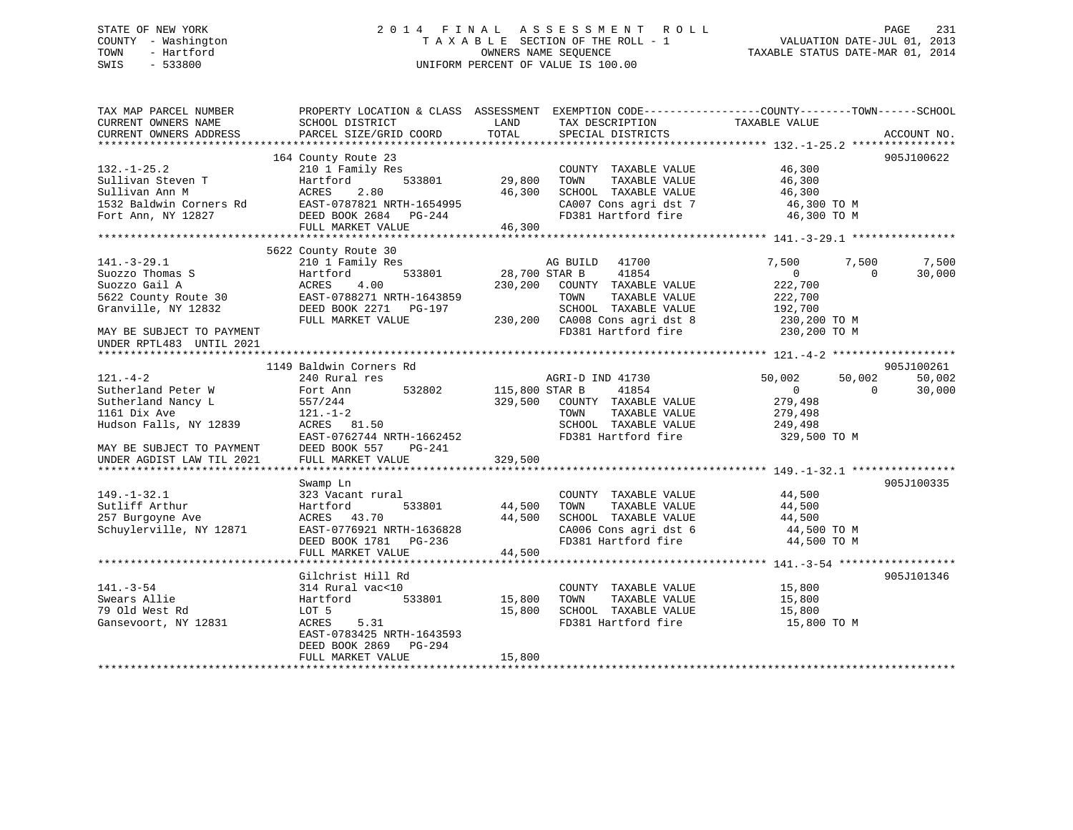## STATE OF NEW YORK 2 0 1 4 F I N A L A S S E S S M E N T R O L L PAGE 231 COUNTY - Washington T A X A B L E SECTION OF THE ROLL - 1 VALUATION DATE-JUL 01, 2013 TOWN - Hartford **TAXABLE STATUS DATE-MAR 01, 2014** OWNERS NAME SEQUENCE TAXABLE STATUS DATE-MAR 01, 2014 SWIS - 533800 UNIFORM PERCENT OF VALUE IS 100.00

| TAX MAP PARCEL NUMBER<br>CURRENT OWNERS NAME<br>CURRENT OWNERS ADDRESS                                                                                          | PROPERTY LOCATION & CLASS ASSESSMENT<br>SCHOOL DISTRICT<br>PARCEL SIZE/GRID COORD                                                                                | LAND<br>TOTAL              | TAX DESCRIPTION<br>SPECIAL DISTRICTS                                                                                                                                | EXEMPTION CODE-----------------COUNTY-------TOWN------SCHOOL<br>TAXABLE VALUE                                 | ACCOUNT NO.      |
|-----------------------------------------------------------------------------------------------------------------------------------------------------------------|------------------------------------------------------------------------------------------------------------------------------------------------------------------|----------------------------|---------------------------------------------------------------------------------------------------------------------------------------------------------------------|---------------------------------------------------------------------------------------------------------------|------------------|
| $132. - 1 - 25.2$                                                                                                                                               | 164 County Route 23<br>210 1 Family Res                                                                                                                          |                            | COUNTY TAXABLE VALUE                                                                                                                                                | 46,300                                                                                                        | 905J100622       |
| Sullivan Steven T<br>Sullivan Ann M                                                                                                                             | 533801<br>Hartford<br>ACRES<br>2.80                                                                                                                              | 29,800<br>46,300           | TOWN<br>TAXABLE VALUE<br>SCHOOL TAXABLE VALUE                                                                                                                       | 46,300<br>46,300                                                                                              |                  |
| 1532 Baldwin Corners Rd<br>Fort Ann, NY 12827                                                                                                                   | EAST-0787821 NRTH-1654995<br>DEED BOOK 2684 PG-244<br>FULL MARKET VALUE                                                                                          | 46,300                     | CA007 Cons agri dst 7<br>FD381 Hartford fire                                                                                                                        | 46,300 TO M<br>46,300 TO M                                                                                    |                  |
|                                                                                                                                                                 |                                                                                                                                                                  |                            |                                                                                                                                                                     |                                                                                                               |                  |
| $141. - 3 - 29.1$<br>Suozzo Thomas S<br>Suozzo Gail A<br>$5622$ County Route 30<br>Granville, NY 12832<br>MAY BE SUBJECT TO PAYMENT<br>UNDER RPTL483 UNTIL 2021 | 5622 County Route 30<br>210 1 Family Res<br>533801<br>Hartford<br>ACRES<br>4.00<br>EAST-0788271 NRTH-1643859<br>DEED BOOK 2271 PG-197<br>FULL MARKET VALUE       | 28,700 STAR B              | AG BUILD<br>41700<br>41854<br>230,200 COUNTY TAXABLE VALUE<br>TAXABLE VALUE<br>TOWN<br>SCHOOL TAXABLE VALUE<br>230,200 CA008 Cons agri dst 8<br>FD381 Hartford fire | 7,500<br>7,500<br>$\overline{0}$<br>$\Omega$<br>222,700<br>222,700<br>192,700<br>230,200 TO M<br>230,200 TO M | 7,500<br>30,000  |
|                                                                                                                                                                 |                                                                                                                                                                  |                            |                                                                                                                                                                     |                                                                                                               |                  |
|                                                                                                                                                                 | 1149 Baldwin Corners Rd                                                                                                                                          |                            |                                                                                                                                                                     |                                                                                                               | 905J100261       |
| $121. - 4 - 2$<br>Sutherland Peter W<br>Sutherland Nancy L<br>1161 Dix Ave<br>Hudson Falls, NY 12839<br>MAY BE SUBJECT TO PAYMENT                               | 240 Rural res<br>532802<br>Fort Ann<br>557/244<br>$121. - 1 - 2$<br>ACRES 81.50<br>EAST-0762744 NRTH-1662452<br>DEED BOOK 557<br>PG-241                          | 115,800 STAR B             | AGRI-D IND 41730<br>41854<br>329,500 COUNTY TAXABLE VALUE<br>TAXABLE VALUE<br>TOWN<br>SCHOOL TAXABLE VALUE<br>FD381 Hartford fire                                   | 50,002<br>50,002<br>$\overline{0}$<br>$\Omega$<br>279,498<br>279,498<br>249,498<br>329,500 TO M               | 50,002<br>30,000 |
| UNDER AGDIST LAW TIL 2021                                                                                                                                       | FULL MARKET VALUE                                                                                                                                                | 329,500                    |                                                                                                                                                                     |                                                                                                               |                  |
| $149. - 1 - 32.1$<br>Sutliff Arthur<br>257 Burgoyne Ave<br>Schuylerville, NY 12871                                                                              | Swamp Ln<br>323 Vacant rural<br>533801<br>Hartford<br>ACRES 43.70<br>EAST-0776921 NRTH-1636828<br>DEED BOOK 1781    PG-236<br>FULL MARKET VALUE                  | 44,500<br>44,500           | COUNTY TAXABLE VALUE<br>TOWN<br>TAXABLE VALUE<br>SCHOOL TAXABLE VALUE<br>CA006 Cons agri dst 6<br>FD381 Hartford fire                                               | 44,500<br>44,500<br>44,500<br>44,500 TO M<br>44,500 TO M                                                      | 905J100335       |
|                                                                                                                                                                 |                                                                                                                                                                  | 44,500                     |                                                                                                                                                                     |                                                                                                               |                  |
| $141. - 3 - 54$<br>Swears Allie<br>79 Old West Rd<br>Gansevoort, NY 12831                                                                                       | Gilchrist Hill Rd<br>314 Rural vac<10<br>533801<br>Hartford<br>LOT 5<br>ACRES<br>5.31<br>EAST-0783425 NRTH-1643593<br>DEED BOOK 2869 PG-294<br>FULL MARKET VALUE | 15,800<br>15,800<br>15,800 | COUNTY TAXABLE VALUE<br>TOWN<br>TAXABLE VALUE<br>SCHOOL TAXABLE VALUE<br>FD381 Hartford fire                                                                        | 15,800<br>15,800<br>15,800<br>15,800 TO M                                                                     | 905J101346       |
|                                                                                                                                                                 |                                                                                                                                                                  |                            |                                                                                                                                                                     |                                                                                                               |                  |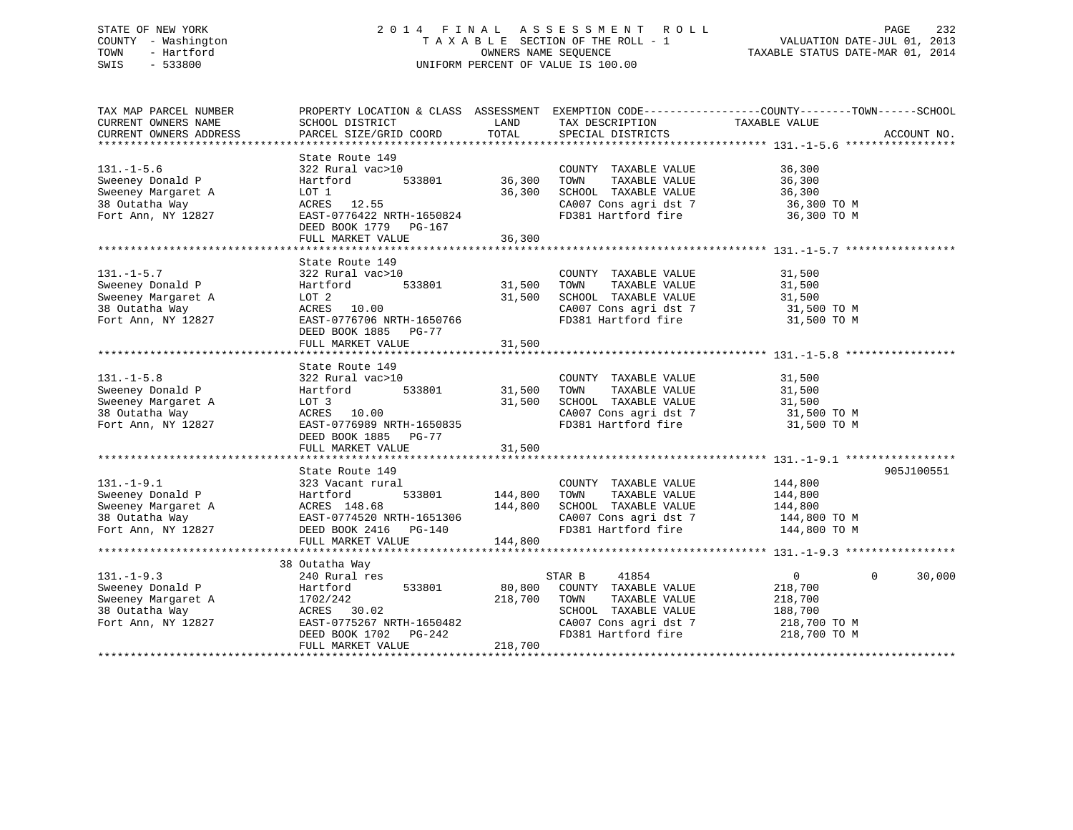## STATE OF NEW YORK 2 0 1 4 F I N A L A S S E S S M E N T R O L L PAGE 232 COUNTY - Washington T A X A B L E SECTION OF THE ROLL - 1 VALUATION DATE-JUL 01, 2013 TOWN - Hartford **TAXABLE STATUS DATE-MAR 01, 2014** OWNERS NAME SEQUENCE TAXABLE STATUS DATE-MAR 01, 2014 SWIS - 533800 UNIFORM PERCENT OF VALUE IS 100.00

| TAX MAP PARCEL NUMBER                                                                                                                                                                                                                              |                                                                                                                                                                                                                    |               |                                                                                                                                  | PROPERTY LOCATION & CLASS ASSESSMENT EXEMPTION CODE---------------COUNTY-------TOWN-----SCHOOL |
|----------------------------------------------------------------------------------------------------------------------------------------------------------------------------------------------------------------------------------------------------|--------------------------------------------------------------------------------------------------------------------------------------------------------------------------------------------------------------------|---------------|----------------------------------------------------------------------------------------------------------------------------------|------------------------------------------------------------------------------------------------|
| CURRENT OWNERS NAME<br>CURRENT OWNERS ADDRESS                                                                                                                                                                                                      | SCHOOL DISTRICT<br>PARCEL SIZE/GRID COORD                                                                                                                                                                          | LAND<br>TOTAL | TAX DESCRIPTION<br>SPECIAL DISTRICTS                                                                                             | TAXABLE VALUE<br>ACCOUNT NO.                                                                   |
|                                                                                                                                                                                                                                                    |                                                                                                                                                                                                                    |               |                                                                                                                                  |                                                                                                |
|                                                                                                                                                                                                                                                    | State Route 149                                                                                                                                                                                                    |               |                                                                                                                                  |                                                                                                |
| $131. - 1 - 5.6$                                                                                                                                                                                                                                   |                                                                                                                                                                                                                    |               | COUNTY TAXABLE VALUE 36,300                                                                                                      |                                                                                                |
|                                                                                                                                                                                                                                                    | 322 Rural vac>10<br>Hartford 533801 36,300                                                                                                                                                                         |               |                                                                                                                                  |                                                                                                |
| Sweeney Donald P<br>Sweeney Margaret A                                                                                                                                                                                                             | LOT 1                                                                                                                                                                                                              | 36,300        |                                                                                                                                  |                                                                                                |
|                                                                                                                                                                                                                                                    | $ACRES$ 12.55                                                                                                                                                                                                      |               |                                                                                                                                  |                                                                                                |
|                                                                                                                                                                                                                                                    |                                                                                                                                                                                                                    |               | TOWN TAXABLE VALUE 36,300<br>SCHOOL TAXABLE VALUE 36,300<br>CA007 Cons agri dst 7 36,300 TO M<br>FD381 Hartford fire 36,300 TO M |                                                                                                |
| Fort Ann, NY 12827<br>Fort Ann, NY 12827<br>Fort Ann, NY 12827<br>Forth Deck 1751                                                                                                                                                                  | DEED BOOK 1779 PG-167                                                                                                                                                                                              |               |                                                                                                                                  |                                                                                                |
|                                                                                                                                                                                                                                                    | FULL MARKET VALUE                                                                                                                                                                                                  | 36,300        |                                                                                                                                  |                                                                                                |
|                                                                                                                                                                                                                                                    |                                                                                                                                                                                                                    |               |                                                                                                                                  |                                                                                                |
|                                                                                                                                                                                                                                                    |                                                                                                                                                                                                                    |               |                                                                                                                                  |                                                                                                |
| $131. - 1 - 5.7$                                                                                                                                                                                                                                   |                                                                                                                                                                                                                    |               |                                                                                                                                  |                                                                                                |
|                                                                                                                                                                                                                                                    |                                                                                                                                                                                                                    |               |                                                                                                                                  |                                                                                                |
|                                                                                                                                                                                                                                                    |                                                                                                                                                                                                                    |               |                                                                                                                                  |                                                                                                |
|                                                                                                                                                                                                                                                    |                                                                                                                                                                                                                    |               |                                                                                                                                  |                                                                                                |
| Sweeney Donald P<br>Sweeney Margaret A<br>38 Outatha Way<br>Fort Ann, NY 12827<br>EAST-0                                                                                                                                                           | EAST-0776706 NRTH-1650766                                                                                                                                                                                          |               | CA007 Cons agri dst 7 31,500 TO M<br>FD381 Hartford fire 31,500 TO M                                                             |                                                                                                |
|                                                                                                                                                                                                                                                    | DEED BOOK 1885 PG-77                                                                                                                                                                                               |               |                                                                                                                                  |                                                                                                |
|                                                                                                                                                                                                                                                    | FULL MARKET VALUE                                                                                                                                                                                                  | 31,500        |                                                                                                                                  |                                                                                                |
|                                                                                                                                                                                                                                                    |                                                                                                                                                                                                                    |               |                                                                                                                                  |                                                                                                |
|                                                                                                                                                                                                                                                    | State Route 149                                                                                                                                                                                                    |               |                                                                                                                                  |                                                                                                |
| $131. -1 - 5.8$                                                                                                                                                                                                                                    | $322$ Rural vac $>10$                                                                                                                                                                                              |               | COUNTY TAXABLE VALUE 31,500                                                                                                      |                                                                                                |
| Sweeney Donald P                                                                                                                                                                                                                                   |                                                                                                                                                                                                                    |               |                                                                                                                                  |                                                                                                |
| Sweeney Margaret A                                                                                                                                                                                                                                 |                                                                                                                                                                                                                    |               |                                                                                                                                  |                                                                                                |
| 38 Outatha Way                                                                                                                                                                                                                                     |                                                                                                                                                                                                                    |               | CA007 Cons agri dst 7 31,500 TO M                                                                                                |                                                                                                |
| Fort Ann, NY 12827                                                                                                                                                                                                                                 | 31,500<br>Hartford 533801 31,500 TOWN TAXABLE VALUE<br>1,500 SCHOOL TAXABLE VALUE<br>31,500 SCHOOL TAXABLE VALUE<br>31,500 CA007 Cons agri dst 7 31,500<br>27 EAST-0776989 NRTH-1650835 FD381 Hartford fire 31,500 |               |                                                                                                                                  | 31,500 TO M                                                                                    |
|                                                                                                                                                                                                                                                    | DEED BOOK 1885 PG-77                                                                                                                                                                                               |               |                                                                                                                                  |                                                                                                |
|                                                                                                                                                                                                                                                    | FULL MARKET VALUE                                                                                                                                                                                                  | 31,500        |                                                                                                                                  |                                                                                                |
|                                                                                                                                                                                                                                                    |                                                                                                                                                                                                                    |               |                                                                                                                                  |                                                                                                |
|                                                                                                                                                                                                                                                    | State Route 149<br>blace noute 142<br>323 Vacant rural                                                                                                                                                             |               |                                                                                                                                  | 905J100551                                                                                     |
| $131.-1-9.1$                                                                                                                                                                                                                                       |                                                                                                                                                                                                                    |               | COUNTY TAXABLE VALUE 144,800                                                                                                     |                                                                                                |
|                                                                                                                                                                                                                                                    |                                                                                                                                                                                                                    |               | TOWN TAXABLE VALUE 144,800<br>SCHOOL TAXABLE VALUE 144,800                                                                       |                                                                                                |
|                                                                                                                                                                                                                                                    |                                                                                                                                                                                                                    |               | SCHOOL TAXABLE VALUE                                                                                                             |                                                                                                |
|                                                                                                                                                                                                                                                    |                                                                                                                                                                                                                    |               | CA007 Cons agri dst 7 144,800 TO M                                                                                               |                                                                                                |
| Sweeney Donald P<br>Sweeney Margaret A<br>38 Outatha Way<br>Fort Ann, NY 12827<br>The CRES 148.68 144,800<br>EXST-0774520 NRTH-1651306<br>Fort Ann, NY 12827<br>The Telecome Pook 2416<br>Telecome Pook 2416<br>Telecome Pook 2416<br>Telecome Poo |                                                                                                                                                                                                                    |               | FD381 Hartford fire 144,800 TO M                                                                                                 |                                                                                                |
|                                                                                                                                                                                                                                                    | FULL MARKET VALUE                                                                                                                                                                                                  | 144,800       |                                                                                                                                  |                                                                                                |
|                                                                                                                                                                                                                                                    |                                                                                                                                                                                                                    |               |                                                                                                                                  |                                                                                                |
| $131. - 1 - 9.3$                                                                                                                                                                                                                                   | 38 Outatha Way<br>240 Rural res                                                                                                                                                                                    |               | 41854<br>STAR B                                                                                                                  | $\overline{0}$<br>30,000<br>$\Omega$                                                           |
| Sweeney Donald P                                                                                                                                                                                                                                   |                                                                                                                                                                                                                    |               | 80,800 COUNTY TAXABLE VALUE                                                                                                      | 218,700                                                                                        |
|                                                                                                                                                                                                                                                    | Hartford 533801<br>1702/242                                                                                                                                                                                        |               | TOWN<br>TAXABLE VALUE                                                                                                            | 218,700                                                                                        |
|                                                                                                                                                                                                                                                    |                                                                                                                                                                                                                    |               | SCHOOL TAXABLE VALUE                                                                                                             |                                                                                                |
| Sweeney Margaret A 1702/242 218,700<br>38 Outatha Way 218,700<br>Fort Ann, NY 12827 EAST-0775267 NRTH-1650482                                                                                                                                      |                                                                                                                                                                                                                    |               | $C A 007$ Cons agri dst 7                                                                                                        | 188,700<br>$100, 700$ TO M<br>218,700 TO M                                                     |
|                                                                                                                                                                                                                                                    |                                                                                                                                                                                                                    |               | FD381 Hartford fire 218,700 TO M                                                                                                 |                                                                                                |
|                                                                                                                                                                                                                                                    | DEED BOOK 1702 PG-242<br>FULL MARKET VALUE 218,700                                                                                                                                                                 |               |                                                                                                                                  |                                                                                                |
|                                                                                                                                                                                                                                                    |                                                                                                                                                                                                                    |               |                                                                                                                                  |                                                                                                |
|                                                                                                                                                                                                                                                    |                                                                                                                                                                                                                    |               |                                                                                                                                  |                                                                                                |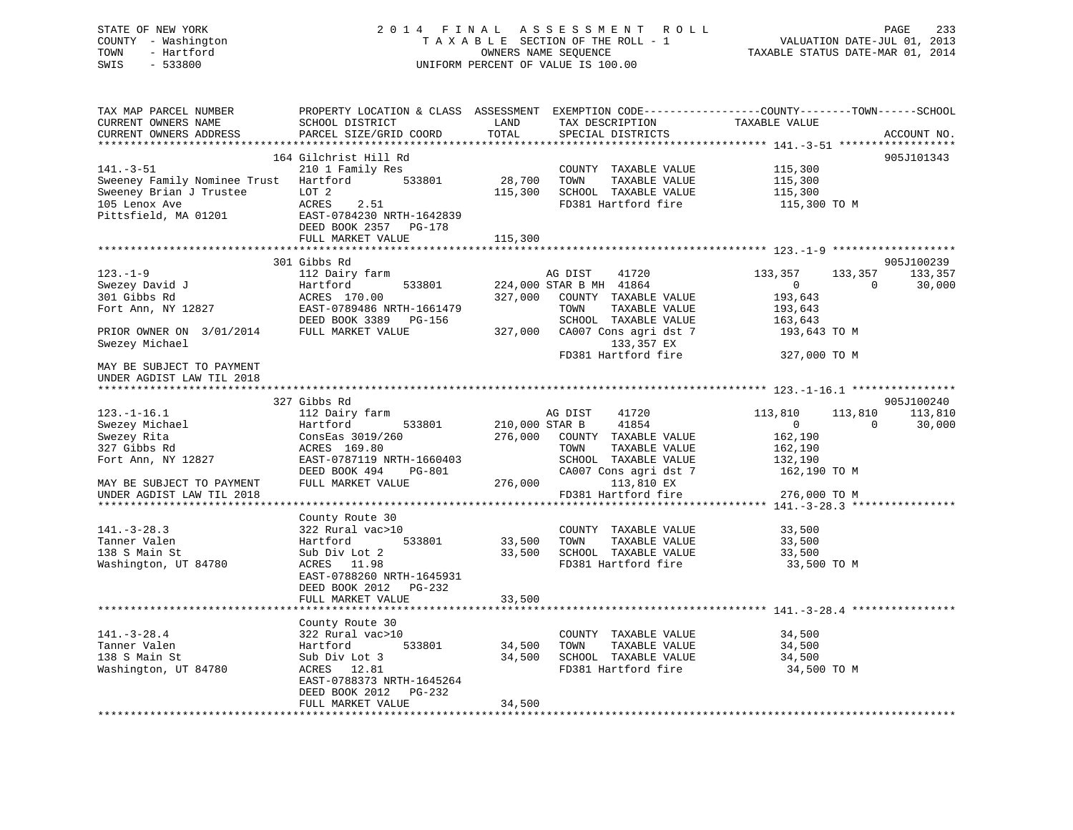## STATE OF NEW YORK 2 0 1 4 F I N A L A S S E S S M E N T R O L L PAGE 233 COUNTY - Washington T A X A B L E SECTION OF THE ROLL - 1 VALUATION DATE-JUL 01, 2013 TOWN - Hartford **TAXABLE STATUS DATE-MAR 01, 2014** OWNERS NAME SEQUENCE TAXABLE STATUS DATE-MAR 01, 2014 SWIS - 533800 UNIFORM PERCENT OF VALUE IS 100.00

| TAX MAP PARCEL NUMBER             |                                |                  |                                               | PROPERTY LOCATION & CLASS ASSESSMENT EXEMPTION CODE---------------COUNTY-------TOWN------SCHOOL |             |
|-----------------------------------|--------------------------------|------------------|-----------------------------------------------|-------------------------------------------------------------------------------------------------|-------------|
| CURRENT OWNERS NAME               | SCHOOL DISTRICT                | LAND             | TAX DESCRIPTION                               | TAXABLE VALUE                                                                                   |             |
| CURRENT OWNERS ADDRESS            | PARCEL SIZE/GRID COORD         | TOTAL            | SPECIAL DISTRICTS                             |                                                                                                 | ACCOUNT NO. |
|                                   | ***********************        |                  |                                               |                                                                                                 |             |
|                                   | 164 Gilchrist Hill Rd          |                  |                                               |                                                                                                 | 905J101343  |
| $141. - 3 - 51$                   | 210 1 Family Res               |                  | COUNTY TAXABLE VALUE                          | 115,300                                                                                         |             |
| Sweeney Family Nominee Trust      | Hartford<br>533801             | 28,700           | TOWN<br>TAXABLE VALUE                         | 115,300                                                                                         |             |
| Sweeney Brian J Trustee           | LOT <sub>2</sub>               | 115,300          | SCHOOL TAXABLE VALUE                          | 115,300                                                                                         |             |
| 105 Lenox Ave                     | ACRES<br>2.51                  |                  | FD381 Hartford fire                           | 115,300 TO M                                                                                    |             |
| Pittsfield, MA 01201              | EAST-0784230 NRTH-1642839      |                  |                                               |                                                                                                 |             |
|                                   | DEED BOOK 2357 PG-178          |                  |                                               |                                                                                                 |             |
|                                   | FULL MARKET VALUE              | 115,300          |                                               |                                                                                                 |             |
|                                   | 301 Gibbs Rd                   |                  |                                               |                                                                                                 | 905J100239  |
| $123. - 1 - 9$                    | 112 Dairy farm                 |                  | AG DIST<br>41720                              | 133,357<br>133,357                                                                              | 133,357     |
| Swezey David J                    | Hartford<br>533801             |                  | 224,000 STAR B MH 41864                       | $\overline{0}$<br>$\Omega$                                                                      | 30,000      |
| 301 Gibbs Rd                      | ACRES 170.00                   | 327,000          | COUNTY TAXABLE VALUE                          | 193,643                                                                                         |             |
| Fort Ann, NY 12827                | EAST-0789486 NRTH-1661479      |                  | TOWN<br>TAXABLE VALUE                         | 193,643                                                                                         |             |
|                                   | DEED BOOK 3389 PG-156          |                  | SCHOOL TAXABLE VALUE                          | 163,643                                                                                         |             |
| PRIOR OWNER ON 3/01/2014          | FULL MARKET VALUE              | 327,000          | CA007 Cons agri dst 7                         | 193,643 TO M                                                                                    |             |
| Swezey Michael                    |                                |                  | 133,357 EX                                    |                                                                                                 |             |
|                                   |                                |                  | FD381 Hartford fire                           | 327,000 TO M                                                                                    |             |
| MAY BE SUBJECT TO PAYMENT         |                                |                  |                                               |                                                                                                 |             |
| UNDER AGDIST LAW TIL 2018         |                                |                  |                                               |                                                                                                 |             |
|                                   |                                |                  |                                               |                                                                                                 |             |
|                                   | 327 Gibbs Rd                   |                  |                                               |                                                                                                 | 905J100240  |
| $123. - 1 - 16.1$                 | 112 Dairy farm                 |                  | AG DIST<br>41720                              | 113,810<br>113,810                                                                              | 113,810     |
| Swezey Michael                    | Hartford<br>533801             | 210,000 STAR B   | 41854                                         | 0<br>$\Omega$                                                                                   | 30,000      |
| Swezey Rita                       | ConsEas 3019/260               | 276,000          | COUNTY TAXABLE VALUE                          | 162,190                                                                                         |             |
| 327 Gibbs Rd                      | ACRES 169.80                   |                  | TAXABLE VALUE<br>TOWN                         | 162,190                                                                                         |             |
| Fort Ann, NY 12827                | EAST-0787119 NRTH-1660403      |                  | SCHOOL TAXABLE VALUE                          | 132,190                                                                                         |             |
|                                   | DEED BOOK 494<br><b>PG-801</b> |                  | CA007 Cons agri dst 7                         | 162,190 TO M                                                                                    |             |
| MAY BE SUBJECT TO PAYMENT         | FULL MARKET VALUE              | 276,000          | 113,810 EX                                    |                                                                                                 |             |
| UNDER AGDIST LAW TIL 2018         |                                |                  | FD381 Hartford fire                           | 276,000 TO M                                                                                    |             |
|                                   |                                |                  |                                               |                                                                                                 |             |
|                                   | County Route 30                |                  |                                               |                                                                                                 |             |
| $141. - 3 - 28.3$<br>Tanner Valen | 322 Rural vac>10<br>533801     |                  | COUNTY TAXABLE VALUE<br>TAXABLE VALUE<br>TOWN | 33,500                                                                                          |             |
| 138 S Main St                     | Hartford                       | 33,500<br>33,500 | SCHOOL TAXABLE VALUE                          | 33,500                                                                                          |             |
| Washington, UT 84780              | Sub Div Lot 2<br>ACRES 11.98   |                  | FD381 Hartford fire                           | 33,500                                                                                          |             |
|                                   | EAST-0788260 NRTH-1645931      |                  |                                               | 33,500 TO M                                                                                     |             |
|                                   | DEED BOOK 2012 PG-232          |                  |                                               |                                                                                                 |             |
|                                   | FULL MARKET VALUE              | 33,500           |                                               |                                                                                                 |             |
|                                   | ****************************   |                  |                                               |                                                                                                 |             |
|                                   | County Route 30                |                  |                                               |                                                                                                 |             |
| $141. - 3 - 28.4$                 | 322 Rural vac>10               |                  | COUNTY TAXABLE VALUE                          | 34,500                                                                                          |             |
| Tanner Valen                      | Hartford<br>533801             | 34,500           | TOWN<br>TAXABLE VALUE                         | 34,500                                                                                          |             |
| 138 S Main St                     | Sub Div Lot 3                  | 34,500           | SCHOOL TAXABLE VALUE                          | 34,500                                                                                          |             |
| Washington, UT 84780              | ACRES 12.81                    |                  | FD381 Hartford fire                           | 34,500 TO M                                                                                     |             |
|                                   | EAST-0788373 NRTH-1645264      |                  |                                               |                                                                                                 |             |
|                                   | DEED BOOK 2012<br>$PG-232$     |                  |                                               |                                                                                                 |             |
|                                   | FULL MARKET VALUE              | 34,500           |                                               |                                                                                                 |             |
|                                   |                                |                  |                                               |                                                                                                 |             |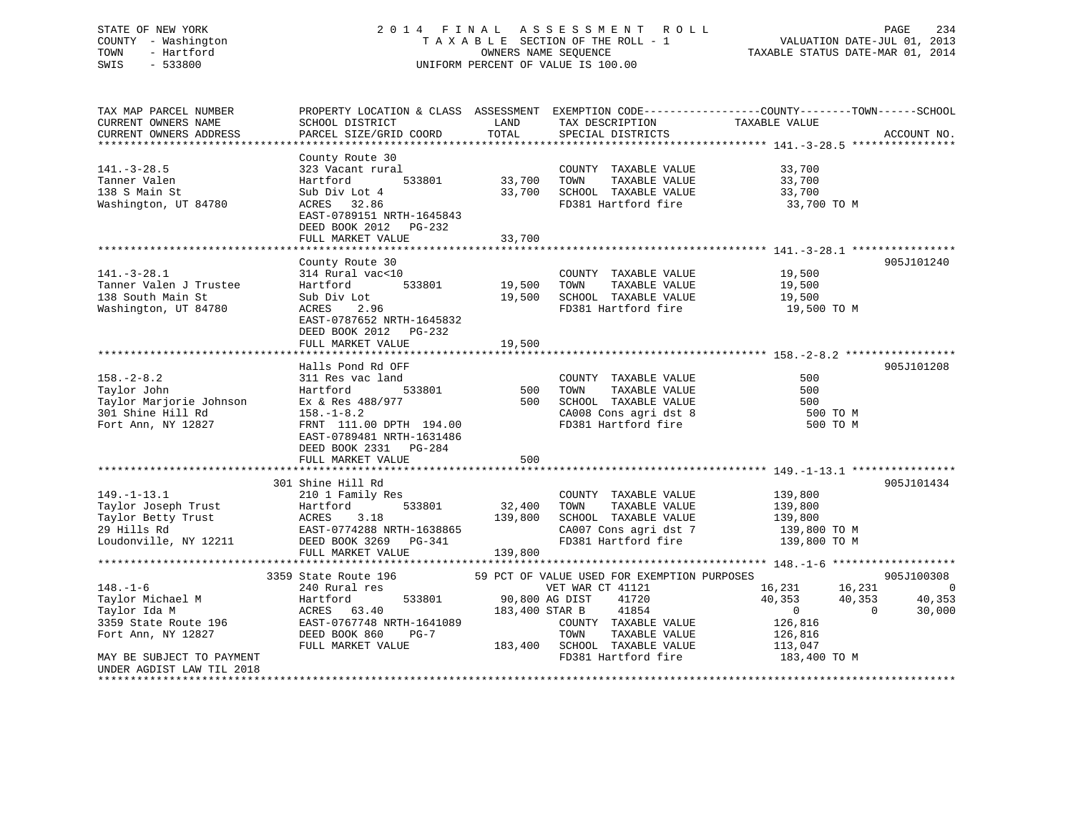# STATE OF NEW YORK 234 2014 FINAL ASSESSMENT ROLL 2014 PAGE 234 COUNTY - Washington  $T A X A B L E$  SECTION OF THE ROLL - 1<br>TOWN - Hartford SWIS - 533800 UNIFORM PERCENT OF VALUE IS 100.00

TAXABLE STATUS DATE-MAR 01, 2014

| TAX MAP PARCEL NUMBER<br>CURRENT OWNERS NAME      | PROPERTY LOCATION & CLASS ASSESSMENT EXEMPTION CODE----------------COUNTY-------TOWN------SCHOOL<br>SCHOOL DISTRICT | LAND           | TAX DESCRIPTION                                                  | TAXABLE VALUE              |                              |
|---------------------------------------------------|---------------------------------------------------------------------------------------------------------------------|----------------|------------------------------------------------------------------|----------------------------|------------------------------|
| CURRENT OWNERS ADDRESS                            | PARCEL SIZE/GRID COORD                                                                                              | TOTAL          | SPECIAL DISTRICTS                                                |                            | ACCOUNT NO.                  |
|                                                   |                                                                                                                     |                |                                                                  |                            |                              |
|                                                   | County Route 30                                                                                                     |                |                                                                  |                            |                              |
| $141. - 3 - 28.5$                                 | 323 Vacant rural                                                                                                    |                | COUNTY TAXABLE VALUE                                             | 33,700                     |                              |
| Tanner Valen                                      | Hartford                                                                                                            | 533801 33,700  | TOWN<br>TAXABLE VALUE                                            | 33,700                     |                              |
| 138 S Main St                                     | Sub Div Lot 4                                                                                                       | 33,700         | SCHOOL TAXABLE VALUE                                             | 33,700                     |                              |
| Washington, UT 84780                              | ACRES 32.86                                                                                                         |                | FD381 Hartford fire                                              | 33,700 TO M                |                              |
|                                                   | EAST-0789151 NRTH-1645843                                                                                           |                |                                                                  |                            |                              |
|                                                   | DEED BOOK 2012 PG-232                                                                                               |                |                                                                  |                            |                              |
|                                                   | FULL MARKET VALUE                                                                                                   | 33,700         |                                                                  |                            |                              |
|                                                   |                                                                                                                     |                |                                                                  |                            |                              |
|                                                   | County Route 30                                                                                                     |                |                                                                  |                            | 905J101240                   |
| $141. - 3 - 28.1$                                 | 314 Rural vac<10                                                                                                    |                | COUNTY TAXABLE VALUE                                             | 19,500                     |                              |
| Tanner Valen J Trustee                            | 533801<br>Hartford                                                                                                  | 19,500 TOWN    | TAXABLE VALUE                                                    | 19,500                     |                              |
| 138 South Main St                                 | Sub Div Lot                                                                                                         |                | 19,500 SCHOOL TAXABLE VALUE                                      | 19,500                     |                              |
| Washington, UT 84780                              | 2.96<br>ACRES                                                                                                       |                | FD381 Hartford fire                                              | 19,500 TO M                |                              |
|                                                   | EAST-0787652 NRTH-1645832                                                                                           |                |                                                                  |                            |                              |
|                                                   | DEED BOOK 2012    PG-232                                                                                            |                |                                                                  |                            |                              |
|                                                   | FULL MARKET VALUE                                                                                                   | 19,500         |                                                                  |                            |                              |
|                                                   |                                                                                                                     |                |                                                                  |                            |                              |
|                                                   | Halls Pond Rd OFF                                                                                                   |                |                                                                  |                            | 905J101208                   |
| $158. - 2 - 8.2$                                  | 311 Res vac land                                                                                                    |                | COUNTY TAXABLE VALUE                                             | 500                        |                              |
| Taylor John                                       | 533801<br>Hartford                                                                                                  | 500 TOWN       | TAXABLE VALUE                                                    | 500                        |                              |
| Taylor Marjorie Johnson                           | Ex & Res 488/977                                                                                                    |                | 500 SCHOOL TAXABLE VALUE                                         | 500                        |                              |
| 301 Shine Hill Rd                                 | $158. - 1 - 8.2$                                                                                                    |                | CA008 Cons agri dst 8                                            | 500 TO M                   |                              |
| Fort Ann, NY 12827                                | FRNT 111.00 DPTH 194.00                                                                                             |                | FD381 Hartford fire                                              | 500 TO M                   |                              |
|                                                   | EAST-0789481 NRTH-1631486                                                                                           |                |                                                                  |                            |                              |
|                                                   | DEED BOOK 2331 PG-284                                                                                               |                |                                                                  |                            |                              |
|                                                   | FULL MARKET VALUE                                                                                                   | 500            |                                                                  |                            |                              |
|                                                   |                                                                                                                     |                |                                                                  |                            |                              |
|                                                   | 301 Shine Hill Rd                                                                                                   |                |                                                                  |                            | 905J101434                   |
| $149. - 1 - 13.1$                                 | 210 1 Family Res                                                                                                    |                | COUNTY TAXABLE VALUE                                             | 139,800                    |                              |
| Taylor Joseph Trust                               | 533801<br>Hartford                                                                                                  | 32,400 TOWN    | TAXABLE VALUE                                                    | 139,800                    |                              |
|                                                   |                                                                                                                     |                | 139,800 SCHOOL TAXABLE VALUE                                     | 139,800                    |                              |
|                                                   | Taylor Joseph Irust<br>Taylor Betty Trust<br>CAST-0774288 NRTH-1638865<br>CAST-0774288 NRTH-1638865                 |                | CA007 Cons agri dst 7                                            | 139,800 TO M               |                              |
|                                                   | Loudonville, NY 12211 DEED BOOK 3269 PG-341                                                                         |                | FD381 Hartford fire                                              | 139,800 TO M               |                              |
|                                                   | FULL MARKET VALUE                                                                                                   | 139,800        |                                                                  |                            |                              |
|                                                   |                                                                                                                     |                |                                                                  |                            |                              |
|                                                   | 3359 State Route 196                                                                                                |                | 59 PCT OF VALUE USED FOR EXEMPTION PURPOSES                      |                            | 905J100308                   |
| $148. - 1 - 6$                                    | 240 Rural res                                                                                                       |                | VET WAR CT 41121                                                 | 16,231 16,231              | $\sim$ 000 $\sim$ 000 $\sim$ |
| Taylor Michael M<br>Tavlor Ida M                  | 533801<br>Hartford                                                                                                  | 90,800 AG DIST | 41720                                                            | 40,353<br>40,353           | 40,353                       |
| Taylor Ida M                                      | ACRES 63.40                                                                                                         | 183,400 STAR B | 41854                                                            | $\overline{0}$<br>$\Omega$ | 30,000                       |
| 3359 State Route 196                              | EAST-0767748 NRTH-1641089                                                                                           |                | COUNTY TAXABLE VALUE                                             | 126,816                    |                              |
| Fort Ann, NY 12827                                | DEED BOOK 860<br>PG-7                                                                                               |                | TOWN<br>TAXABLE VALUE                                            | 126,816                    |                              |
|                                                   | FULL MARKET VALUE                                                                                                   |                | 183,400 SCHOOL TAXABLE VALUE<br>FD381 Hartford fire 183,400 TO M | 113,047                    |                              |
| MAY BE SUBJECT TO PAYMENT                         |                                                                                                                     |                |                                                                  |                            |                              |
| UNDER AGDIST LAW TIL 2018<br>******************** |                                                                                                                     |                |                                                                  |                            |                              |
|                                                   |                                                                                                                     |                |                                                                  |                            |                              |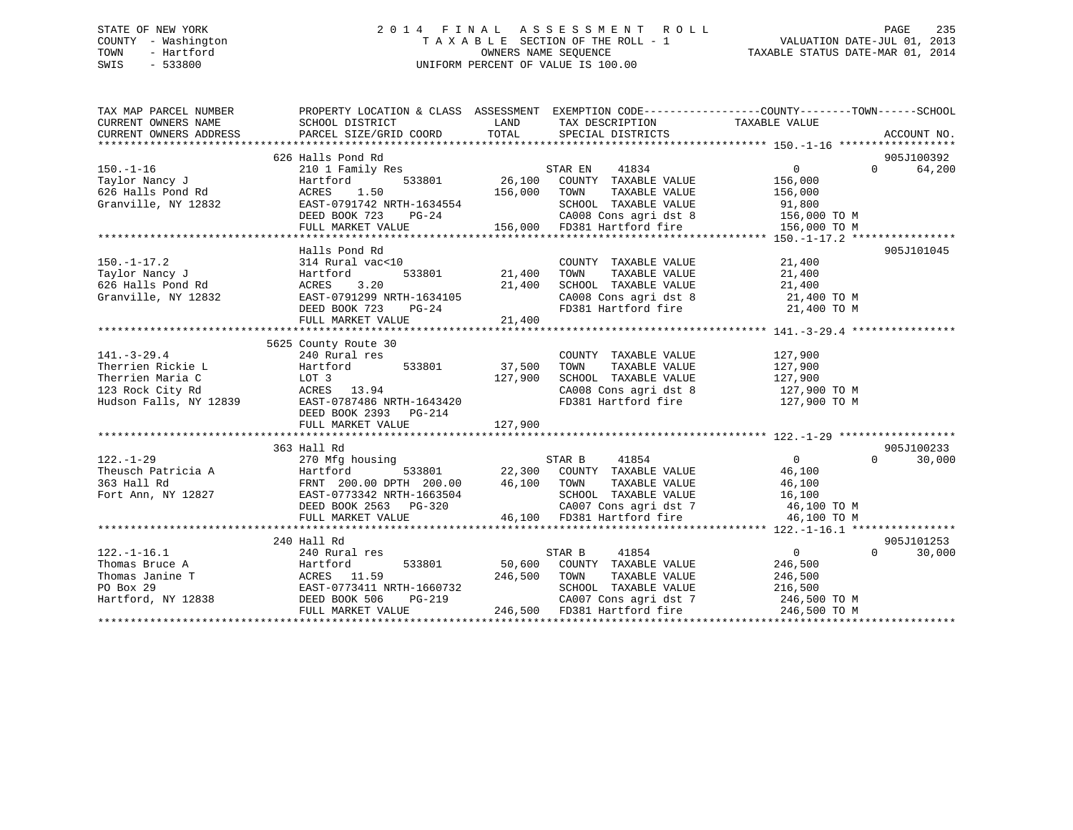## STATE OF NEW YORK 2 0 1 4 F I N A L A S S E S S M E N T R O L L PAGE 235 COUNTY - Washington T A X A B L E SECTION OF THE ROLL - 1 VALUATION DATE-JUL 01, 2013 TOWN - Hartford **TAXABLE STATUS DATE-MAR 01, 2014** OWNERS NAME SEQUENCE TAXABLE STATUS DATE-MAR 01, 2014 SWIS - 533800 UNIFORM PERCENT OF VALUE IS 100.00

| TAX MAP PARCEL NUMBER<br>CURRENT OWNERS NAME<br>CURRENT OMNERS ADDRESS — PORCEL SIZE/GRID COORD — TOTAL — SPECIAL DISTRICTS — ACCOUNT NO .<br>- TORRENT OMNERS ADDRESS — PARCEL SIZE/GRID COORD — TOTAL — SPECIAL DISTRICTS — ACCOUNT NO .<br>CURRENT OWNERS ADDRESS | PROPERTY LOCATION & CLASS ASSESSMENT EXEMPTION CODE---------------COUNTY-------TOWN-----SCHOOL<br>SCHOOL DISTRICT | LAND    | TAX DESCRIPTION TAXABLE VALUE                                              |                |                    |
|----------------------------------------------------------------------------------------------------------------------------------------------------------------------------------------------------------------------------------------------------------------------|-------------------------------------------------------------------------------------------------------------------|---------|----------------------------------------------------------------------------|----------------|--------------------|
|                                                                                                                                                                                                                                                                      |                                                                                                                   |         |                                                                            |                |                    |
|                                                                                                                                                                                                                                                                      | 626 Halls Pond Rd                                                                                                 |         |                                                                            |                | 905J100392         |
| $150. - 1 - 16$                                                                                                                                                                                                                                                      | 210 1 Family Res                                                                                                  |         | STAR EN 41834                                                              | $\Omega$       | 64,200<br>$\Omega$ |
| Rd<br><br>Taylor Nancy J                                                                                                                                                                                                                                             | Hartford                                                                                                          |         | 533801 26,100 COUNTY TAXABLE VALUE                                         | 156,000        |                    |
| 626 Halls Pond Rd                                                                                                                                                                                                                                                    | ACRES 1.50                                                                                                        | 156,000 | TOWN<br>TAXABLE VALUE                                                      | 156,000        |                    |
| Granville, NY 12832                                                                                                                                                                                                                                                  | EAST-0791742 NRTH-1634554                                                                                         |         | SCHOOL TAXABLE VALUE                                                       | 91,800         |                    |
|                                                                                                                                                                                                                                                                      | DEED BOOK 723<br>$PG-24$                                                                                          |         | CA008 Cons agri dst 8 156,000 TO M                                         |                |                    |
|                                                                                                                                                                                                                                                                      | FULL MARKET VALUE                                                                                                 |         | 156,000 FD381 Hartford fire                                                | 156,000 TO M   |                    |
|                                                                                                                                                                                                                                                                      |                                                                                                                   |         |                                                                            |                |                    |
|                                                                                                                                                                                                                                                                      | Halls Pond Rd                                                                                                     |         |                                                                            |                | 905J101045         |
| 314 Rand<br>626 Halls Pond Rd (Standler Martford)<br>Granville, NY 12832                                                                                                                                                                                             | 314 Rural vac<10                                                                                                  |         | COUNTY TAXABLE VALUE                                                       | 21,400         |                    |
|                                                                                                                                                                                                                                                                      | 533801                                                                                                            | 21,400  | TAXABLE VALUE<br>TOWN                                                      | 21,400         |                    |
|                                                                                                                                                                                                                                                                      | 3.20                                                                                                              | 21,400  | SCHOOL TAXABLE VALUE                                                       | 21,400         |                    |
|                                                                                                                                                                                                                                                                      | EAST-0791299 NRTH-1634105                                                                                         |         |                                                                            |                |                    |
|                                                                                                                                                                                                                                                                      | DEED BOOK 723 PG-24                                                                                               |         |                                                                            |                |                    |
|                                                                                                                                                                                                                                                                      | FULL MARKET VALUE                                                                                                 | 21,400  |                                                                            |                |                    |
|                                                                                                                                                                                                                                                                      |                                                                                                                   |         |                                                                            |                |                    |
|                                                                                                                                                                                                                                                                      | 5625 County Route 30                                                                                              |         |                                                                            |                |                    |
| $141. - 3 - 29.4$                                                                                                                                                                                                                                                    | 240 Rural res                                                                                                     |         | COUNTY TAXABLE VALUE 127,900                                               |                |                    |
| Therrien Rickie L                                                                                                                                                                                                                                                    | 533801<br>Hartford                                                                                                | 37,500  |                                                                            |                |                    |
| Hartfo<br>LOT 3<br>Therrien Maria C                                                                                                                                                                                                                                  |                                                                                                                   | 127,900 | TOWN TAXABLE VALUE 127,900<br>SCHOOL TAXABLE VALUE 127,900                 |                |                    |
|                                                                                                                                                                                                                                                                      | ACRES 13.94                                                                                                       |         | CA008 Cons agri dst 8 127,900 TO M                                         |                |                    |
| 123 Rock City Rd<br>Hudson Falls, NY 12839                                                                                                                                                                                                                           | EAST-0787486 NRTH-1643420                                                                                         |         | FD381 Hartford fire                                                        | 127,900 TO M   |                    |
|                                                                                                                                                                                                                                                                      | DEED BOOK 2393 PG-214                                                                                             |         |                                                                            |                |                    |
|                                                                                                                                                                                                                                                                      |                                                                                                                   |         |                                                                            |                |                    |
|                                                                                                                                                                                                                                                                      |                                                                                                                   |         |                                                                            |                |                    |
|                                                                                                                                                                                                                                                                      | 363 Hall Rd                                                                                                       |         |                                                                            |                | 905J100233         |
|                                                                                                                                                                                                                                                                      |                                                                                                                   |         |                                                                            | $\overline{0}$ | $\Omega$           |
| $122. - 1 - 29$                                                                                                                                                                                                                                                      | 270 Mfg housing                                                                                                   |         |                                                                            |                | 30,000             |
| Theusch Patricia A                                                                                                                                                                                                                                                   |                                                                                                                   |         |                                                                            | 46,100         |                    |
| 363 Hall Rd                                                                                                                                                                                                                                                          | Hartford<br>FRNT 200.00 DPTH 200.00<br>ALCOLO NPTH-1663504                                                        |         |                                                                            | 46,100         |                    |
| Fort Ann, NY 12827                                                                                                                                                                                                                                                   | EAST-0773342 NRTH-1663504                                                                                         |         | SCHOOL TAXABLE VALUE 16,100                                                |                |                    |
|                                                                                                                                                                                                                                                                      | DEED BOOK 2563 PG-320                                                                                             |         | CA007 Cons agri dst 7<br>46,100 FD381 Hartford fire                        | 46,100 TO M    |                    |
|                                                                                                                                                                                                                                                                      | FULL MARKET VALUE                                                                                                 |         |                                                                            | 46,100 TO M    |                    |
|                                                                                                                                                                                                                                                                      |                                                                                                                   |         |                                                                            |                |                    |
|                                                                                                                                                                                                                                                                      | 240 Hall Rd                                                                                                       |         |                                                                            |                | 905J101253         |
| $122. - 1 - 16.1$                                                                                                                                                                                                                                                    | 240 Rural res                                                                                                     |         | 41854<br>STAR B                                                            | $\overline{0}$ | $\Omega$<br>30,000 |
| Thomas Bruce A<br>Thomas Janine T<br>PO Box 29<br>Hartford, NY 12838<br>Hartford, NY 12838<br>PO BOX 29<br>Hartford, NY 12838<br>PO BOX 506<br>DEED BOOK 506<br>PO PO-219                                                                                            |                                                                                                                   |         | 533801 50,600 COUNTY TAXABLE VALUE                                         | 246,500        |                    |
|                                                                                                                                                                                                                                                                      |                                                                                                                   |         | 246,500 TOWN<br>TOWN TAXABLE VALUE 246,500<br>SCHOOL TAXABLE VALUE 216,500 |                |                    |
|                                                                                                                                                                                                                                                                      |                                                                                                                   |         |                                                                            |                |                    |
|                                                                                                                                                                                                                                                                      |                                                                                                                   |         | CA007 Cons agri dst 7 246,500 TO M                                         |                |                    |
|                                                                                                                                                                                                                                                                      | FULL MARKET VALUE                                                                                                 |         | 246,500 FD381 Hartford fire                                                | 246,500 TO M   |                    |
|                                                                                                                                                                                                                                                                      |                                                                                                                   |         |                                                                            |                |                    |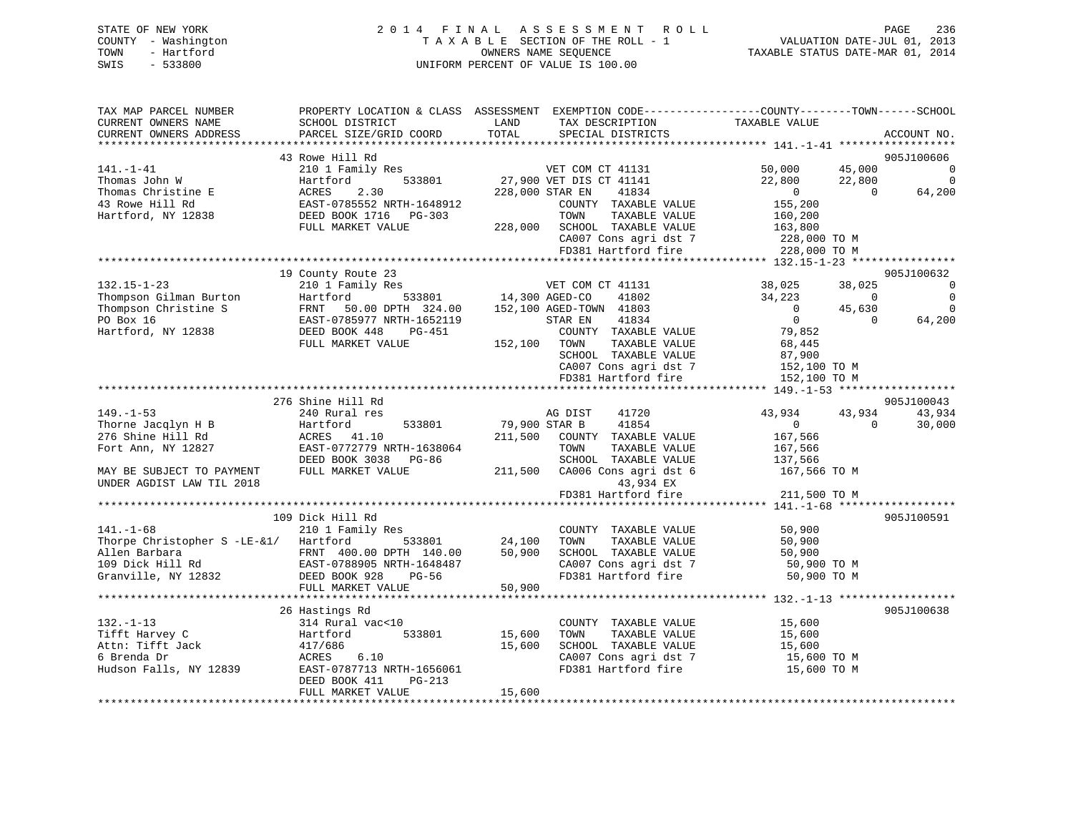| STATE OF NEW YORK |                     |  | 2014 FINAL ASSESSMENT ROLL         | PAGE                             | 236 |
|-------------------|---------------------|--|------------------------------------|----------------------------------|-----|
|                   | COUNTY - Washington |  | TAXABLE SECTION OF THE ROLL - 1    | VALUATION DATE-JUL 01, 2013      |     |
| TOWN              | - Hartford          |  | OWNERS NAME SEOUENCE               | TAXABLE STATUS DATE-MAR 01, 2014 |     |
| SWIS              | $-533800$           |  | UNIFORM PERCENT OF VALUE IS 100.00 |                                  |     |

| TAX MAP PARCEL NUMBER                          | PROPERTY LOCATION & CLASS ASSESSMENT EXEMPTION CODE---------------COUNTY-------TOWN-----SCHOOL                                                                                                                                                     |                 |                                                          |                                                                                                                                                          |                |                |
|------------------------------------------------|----------------------------------------------------------------------------------------------------------------------------------------------------------------------------------------------------------------------------------------------------|-----------------|----------------------------------------------------------|----------------------------------------------------------------------------------------------------------------------------------------------------------|----------------|----------------|
| CURRENT OWNERS NAME                            | SCHOOL DISTRICT                                                                                                                                                                                                                                    | LAND            | TAX DESCRIPTION                                          | TAXABLE VALUE                                                                                                                                            |                |                |
| CURRENT OWNERS ADDRESS                         | PARCEL SIZE/GRID COORD                                                                                                                                                                                                                             | TOTAL           | SPECIAL DISTRICTS                                        |                                                                                                                                                          |                | ACCOUNT NO.    |
|                                                |                                                                                                                                                                                                                                                    |                 |                                                          |                                                                                                                                                          |                |                |
|                                                | 43 Rowe Hill Rd                                                                                                                                                                                                                                    |                 |                                                          |                                                                                                                                                          |                | 905J100606     |
| $141. - 1 - 41$                                | 210 1 Family Res                                                                                                                                                                                                                                   |                 | VET COM CT 41131                                         | 50,000                                                                                                                                                   | 45,000         | $\Omega$       |
| Thomas John W                                  | Hartford                                                                                                                                                                                                                                           |                 | 533801 27,900 VET DIS CT 41141                           |                                                                                                                                                          |                | $\Omega$       |
| Thomas Christine E                             | ACRES<br>2.30                                                                                                                                                                                                                                      | 228,000 STAR EN | 41834                                                    | $22,800$<br>0 0 64,20<br>155.200                                                                                                                         |                | 64,200         |
| 43 Rowe Hill Rd                                | EAST-0785552 NRTH-1648912<br>DEED BOOK 1716 PG-303                                                                                                                                                                                                 |                 | COUNTY TAXABLE VALUE                                     | 155,200                                                                                                                                                  |                |                |
| Hartford, NY 12838                             | DEED BOOK 1716 PG-303                                                                                                                                                                                                                              |                 | TOWN<br>TAXABLE VALUE                                    | 160,200                                                                                                                                                  |                |                |
|                                                | FULL MARKET VALUE                                                                                                                                                                                                                                  |                 |                                                          | 228,000 SCHOOL TAXABLE VALUE 163,800<br>CA007 Cons agri dst 7 228,000 TO M                                                                               |                |                |
|                                                |                                                                                                                                                                                                                                                    |                 |                                                          |                                                                                                                                                          |                |                |
|                                                |                                                                                                                                                                                                                                                    |                 | FD381 Hartford fire                                      | 228,000 TO M                                                                                                                                             |                |                |
|                                                |                                                                                                                                                                                                                                                    |                 |                                                          |                                                                                                                                                          |                |                |
|                                                | 19 County Route 23                                                                                                                                                                                                                                 |                 |                                                          |                                                                                                                                                          |                | 905J100632     |
| $132.15 - 1 - 23$                              | 210 1 Family Res                                                                                                                                                                                                                                   |                 |                                                          | 38,025<br>533801 14,300 AGED-CO 41802 34,223                                                                                                             | 38,025         | $\overline{0}$ |
|                                                | Thompson Gilman Burton<br>Thompson Christine S<br>Thompson Christine S<br>PO Box 16<br>Hartford 533801 14,300 AGED-CO 41802<br>PO Box 16<br>Hartford, NY 12838<br>DEED BOOK 448<br>DEED BOOK 448<br>DEED DO DPTH 324.00<br>DEED DO AGED-TOWN 41803 |                 |                                                          |                                                                                                                                                          | $\overline{0}$ | $\overline{0}$ |
|                                                |                                                                                                                                                                                                                                                    |                 |                                                          | $\overline{0}$                                                                                                                                           | 45,630         | $\overline{0}$ |
|                                                |                                                                                                                                                                                                                                                    |                 |                                                          | $\overline{0}$                                                                                                                                           | $\sim$ 0       | 64,200         |
|                                                |                                                                                                                                                                                                                                                    |                 | COUNTY TAXABLE VALUE                                     | 79,852<br>68,445                                                                                                                                         |                |                |
|                                                | FULL MARKET VALUE                                                                                                                                                                                                                                  | 152,100 TOWN    | TAXABLE VALUE                                            |                                                                                                                                                          |                |                |
|                                                |                                                                                                                                                                                                                                                    |                 |                                                          | $\begin{tabular}{lllllllll} \texttt{SCHOOL} & \texttt{TAXABLE VALUE} & & & 87,900 \\ \texttt{CA007 Cons agri dst 7} & & & 152,100 TO M \\ \end{tabular}$ |                |                |
|                                                |                                                                                                                                                                                                                                                    |                 |                                                          |                                                                                                                                                          |                |                |
|                                                |                                                                                                                                                                                                                                                    |                 | FD381 Hartford fire                                      | 152,100 TO M                                                                                                                                             |                |                |
|                                                |                                                                                                                                                                                                                                                    |                 |                                                          |                                                                                                                                                          |                |                |
|                                                | 276 Shine Hill Rd                                                                                                                                                                                                                                  |                 |                                                          |                                                                                                                                                          |                | 905J100043     |
| $149. - 1 - 53$                                | 240 Rural res                                                                                                                                                                                                                                      | AG DIST         | 41720                                                    | 43,934                                                                                                                                                   | 43,934         | 43,934         |
| Thorne Jacqlyn H B                             | 533801<br>Hartford                                                                                                                                                                                                                                 | 79,900 STAR B   | 41854                                                    | $\overline{0}$                                                                                                                                           | $\overline{0}$ | 30,000         |
| 276 Shine Hill Rd                              | ACRES 41.10                                                                                                                                                                                                                                        |                 | 211,500 COUNTY TAXABLE VALUE                             | 167,566<br>167,566                                                                                                                                       |                |                |
| Fort Ann, NY 12827                             | EAST-0772779 NRTH-1638064                                                                                                                                                                                                                          | TOWN            | TAXABLE VALUE                                            |                                                                                                                                                          |                |                |
|                                                | DEED BOOK 3038 PG-86                                                                                                                                                                                                                               |                 |                                                          | SCHOOL TAXABLE VALUE 137,566<br>211,500 CA006 Cons agri dst 6 167,566 TO M                                                                               |                |                |
| MAY BE SUBJECT TO PAYMENT                      | FULL MARKET VALUE                                                                                                                                                                                                                                  |                 |                                                          |                                                                                                                                                          |                |                |
| UNDER AGDIST LAW TIL 2018                      |                                                                                                                                                                                                                                                    |                 | 43,934 EX<br>FD381 Hartford fire                         |                                                                                                                                                          |                |                |
|                                                |                                                                                                                                                                                                                                                    |                 |                                                          | 211,500 TO M                                                                                                                                             |                |                |
|                                                |                                                                                                                                                                                                                                                    |                 |                                                          |                                                                                                                                                          |                | 905J100591     |
| $141. - 1 - 68$                                | 109 Dick Hill Rd                                                                                                                                                                                                                                   |                 | COUNTY TAXABLE VALUE 50,900                              |                                                                                                                                                          |                |                |
|                                                | 210 1 Family Res                                                                                                                                                                                                                                   |                 |                                                          |                                                                                                                                                          |                |                |
|                                                | Thorpe Christopher S -LE- $\&1/$ Hartford 533801 24,100<br>Allen Barbara FRNT 400.00 DPTH 140.00 50,900                                                                                                                                            |                 | TOWN TAXABLE VALUE<br>SCHOOL TAXABLE VALUE               | 50,900<br>50,900                                                                                                                                         |                |                |
|                                                |                                                                                                                                                                                                                                                    |                 |                                                          |                                                                                                                                                          |                |                |
|                                                |                                                                                                                                                                                                                                                    |                 |                                                          | CA007 Cons agri dst 7 50,900 TO M<br>FD381 Hartford fire 50,900 TO M                                                                                     |                |                |
|                                                | FULL MARKET VALUE                                                                                                                                                                                                                                  | 50,900          |                                                          |                                                                                                                                                          |                |                |
|                                                |                                                                                                                                                                                                                                                    |                 |                                                          |                                                                                                                                                          |                |                |
|                                                | 26 Hastings Rd                                                                                                                                                                                                                                     |                 |                                                          |                                                                                                                                                          |                | 905J100638     |
| $132. - 1 - 13$                                | 314 Rural vac<10                                                                                                                                                                                                                                   |                 |                                                          |                                                                                                                                                          |                |                |
| Tifft Harvey C                                 | Hartford<br>533801                                                                                                                                                                                                                                 | 15,600          | COUNTY TAXABLE VALUE 15,600<br>TOWN TAXABLE VALUE 15,600 |                                                                                                                                                          |                |                |
|                                                | 417/686                                                                                                                                                                                                                                            | 15,600          |                                                          |                                                                                                                                                          |                |                |
| Attn: Tifft Jack<br>6 Brenda Dr<br>6 Brenda Dr | ACRES<br>6.10                                                                                                                                                                                                                                      |                 |                                                          | SCHOOL TAXABLE VALUE 15,600<br>CA007 Cons agri dst 7 15,600 TO M                                                                                         |                |                |
| Hudson Falls, NY 12839                         | EAST-0787713 NRTH-1656061                                                                                                                                                                                                                          |                 | FD381 Hartford fire                                      | 15,600 TO M                                                                                                                                              |                |                |
|                                                | DEED BOOK 411<br>PG-213                                                                                                                                                                                                                            |                 |                                                          |                                                                                                                                                          |                |                |
|                                                | FULL MARKET VALUE                                                                                                                                                                                                                                  | 15,600          |                                                          |                                                                                                                                                          |                |                |
|                                                |                                                                                                                                                                                                                                                    |                 |                                                          |                                                                                                                                                          |                |                |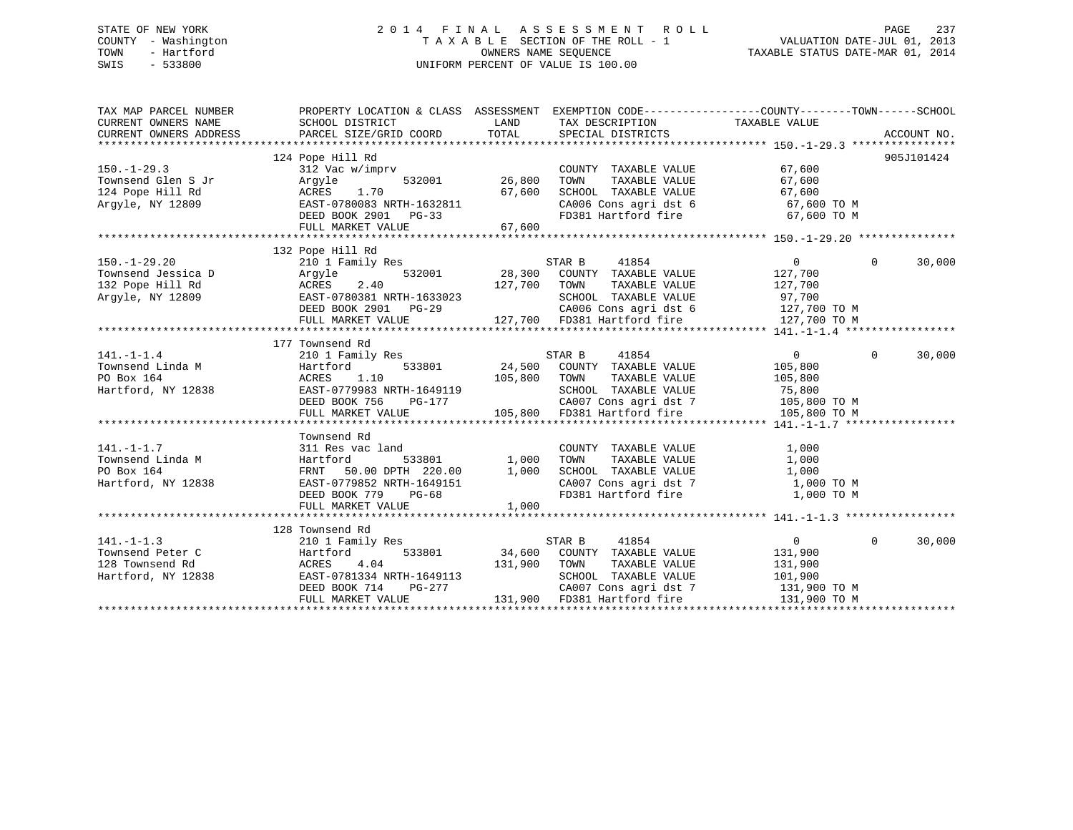## STATE OF NEW YORK 2 0 1 4 F I N A L A S S E S S M E N T R O L L PAGE 237 COUNTY - Washington T A X A B L E SECTION OF THE ROLL - 1 VALUATION DATE-JUL 01, 2013 TOWN - Hartford **TAXABLE STATUS DATE-MAR 01, 2014** OWNERS NAME SEQUENCE TAXABLE STATUS DATE-MAR 01, 2014 SWIS - 533800 UNIFORM PERCENT OF VALUE IS 100.00

| TAX MAP PARCEL NUMBER<br>CURRENT OWNERS NAME<br>CURRENT OWNERS ADDRESS           | SCHOOL DISTRICT<br>PARCEL SIZE/GRID COORD                                                                                                                               | PROPERTY LOCATION & CLASS ASSESSMENT EXEMPTION CODE---------------COUNTY-------TOWN-----SCHOOL<br>LAND<br>TAX DESCRIPTION TAXABLE VALUE<br>TOTAL<br>SPECIAL DISTRICTS                        | ACCOUNT NO.                                                                                           |
|----------------------------------------------------------------------------------|-------------------------------------------------------------------------------------------------------------------------------------------------------------------------|----------------------------------------------------------------------------------------------------------------------------------------------------------------------------------------------|-------------------------------------------------------------------------------------------------------|
| $150. - 1 - 29.3$<br>Townsend Glen S Jr<br>124 Pope Hill Rd<br>Argyle, NY 12809  | 124 Pope Hill Rd<br>312 Vac w/imprv<br>Arqyle<br>ACRES 1.70<br>EAST-0780083 NRTH-1632811<br>DEED BOOK 2901 PG-33<br>FULL MARKET VALUE                                   | COUNTY TAXABLE VALUE<br>532001 26,800<br>TOWN<br>TAXABLE VALUE<br>67,600<br>SCHOOL TAXABLE VALUE<br>CA006 Cons agri dst 6<br>FD381 Hartford fire<br>67,600                                   | 905J101424<br>67,600<br>67,600<br>67,600<br>67,600 TO M<br>67,600 TO M                                |
| $150. - 1 - 29.20$<br>Townsend Jessica D<br>132 Pope Hill Rd<br>Arqyle, NY 12809 | 132 Pope Hill Rd<br>210 1 Family Res<br>Arqyle<br>ACRES 2.40<br>EAST-0780381 NRTH-1633023<br>DEED BOOK 2901<br>$PG-29$<br>FULL MARKET VALUE                             | STAR B<br>41854<br>532001 28,300 COUNTY TAXABLE VALUE<br>127,700 TOWN<br>TAXABLE VALUE<br>SCHOOL TAXABLE VALUE<br>CA006 Cons agri dst 6 127,700 TO M<br>127,700 FD381 Hartford fire          | $\overline{0}$<br>$\Omega$<br>30,000<br>127,700<br>127,700<br>97,700<br>127,700 TO M                  |
| $141. - 1 - 1.4$<br>Townsend Linda M<br>PO Box 164<br>Hartford, NY 12838         | 177 Townsend Rd<br>210 1 Family Res<br>533801<br>Hartford<br>1.10<br>ACRES<br>EAST-0779983 NRTH-1649119<br>NKTH-1649119<br>PG-177<br>DEED BOOK 756<br>FULL MARKET VALUE | STAR B 41854<br>3801 24,500 COUNTY TAXABLE VALUE<br>ACANTY TAXABLE VALUE<br>105,800<br>TOWN<br>TAXABLE VALUE<br>SCHOOL TAXABLE VALUE<br>CA007 Cons agri dst 7<br>105,800 FD381 Hartford fire | $\Omega$<br>$\overline{0}$<br>30,000<br>105,800<br>105,800<br>75,800<br>105,800 TO M<br>105,800 TO M  |
| $141. - 1 - 1.7$<br>Townsend Linda M<br>PO Box 164<br>Hartford, NY 12838         | Townsend Rd<br>311 Res vac land<br>Hartford<br>533801<br>FRNT 50.00 DPTH 220.00<br>EAST-0779852 NRTH-1649151<br>DEED BOOK 779 PG-68<br>FULL MARKET VALUE                | COUNTY TAXABLE VALUE<br>1,000<br>TOWN<br>TAXABLE VALUE<br>CHOOL TAXABLE VALUE $1,000$<br>CA007 Cons agri dst 7 1,000 TO M<br>FD381 Hartford fire 1,000 TO M<br>1,000<br>1,000                | 1,000<br>1,000                                                                                        |
| $141. - 1 - 1.3$<br>Townsend Peter C<br>128 Townsend Rd<br>Hartford, NY 12838    | 128 Townsend Rd<br>210 1 Family Res<br>533801<br>Hartford<br>ACRES<br>4.04<br>EAST-0781334 NRTH-1649113<br>DEED BOOK 714<br>PG-277<br>FULL MARKET VALUE                 | 41854<br>STAR B 41854<br>34,600 COUNTY TAXABLE VALUE<br>131,900<br>TAXABLE VALUE<br>TOWN<br>SCHOOL TAXABLE VALUE<br>CA007 Cons agri dst 7<br>131,900 FD381 Hartford fire                     | $\Omega$<br>30,000<br>$\overline{0}$<br>131,900<br>131,900<br>101,900<br>131,900 TO M<br>131,900 TO M |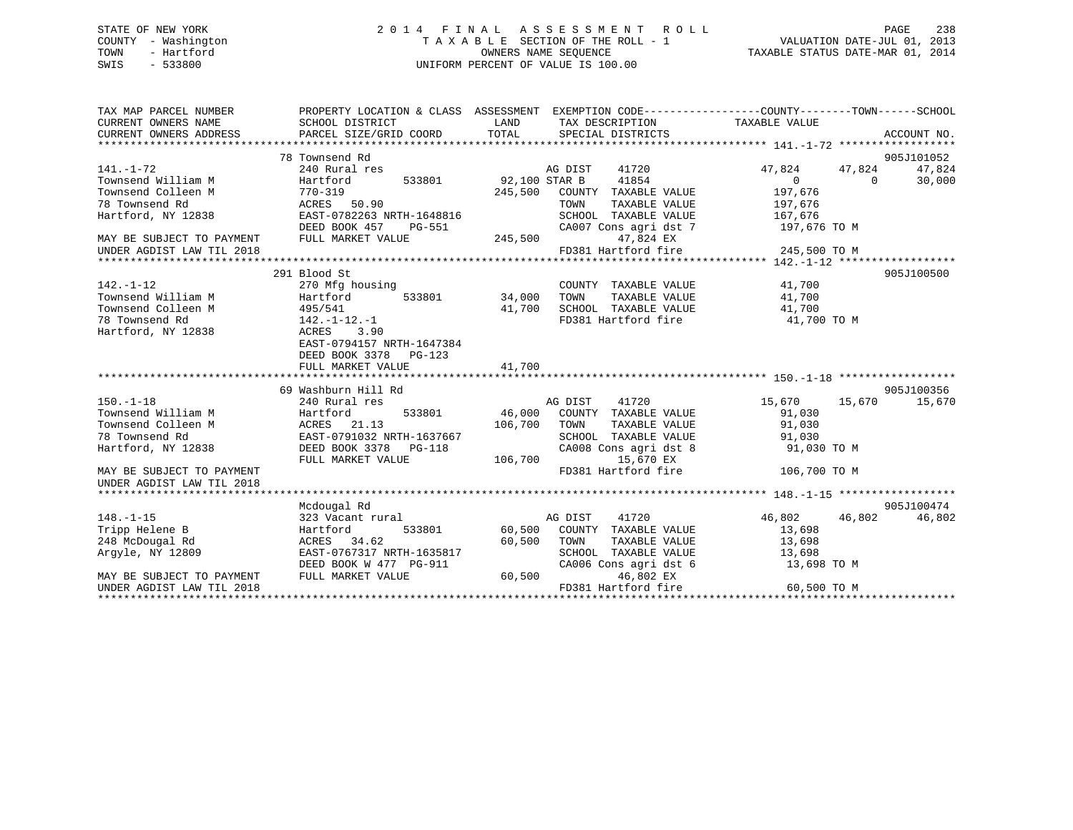## STATE OF NEW YORK 2 0 1 4 F I N A L A S S E S S M E N T R O L L PAGE 238 COUNTY - Washington T A X A B L E SECTION OF THE ROLL - 1 VALUATION DATE-JUL 01, 2013 TOWN - Hartford **TAXABLE STATUS DATE-MAR 01, 2014** OWNERS NAME SEQUENCE TAXABLE STATUS DATE-MAR 01, 2014 SWIS - 533800 UNIFORM PERCENT OF VALUE IS 100.00

| TAX MAP PARCEL NUMBER<br>CURRENT OWNERS NAME<br>CURRENT OWNERS ADDRESS | SCHOOL DISTRICT<br>PARCEL SIZE/GRID COORD   | LAND<br>TAX DESCRIPTION TAXABLE VALUE<br>TOTAL<br>SPECIAL DISTRICTS   | PROPERTY LOCATION & CLASS ASSESSMENT EXEMPTION CODE----------------COUNTY-------TOWN------SCHOOL<br>ACCOUNT NO. |
|------------------------------------------------------------------------|---------------------------------------------|-----------------------------------------------------------------------|-----------------------------------------------------------------------------------------------------------------|
|                                                                        | 78 Townsend Rd                              |                                                                       | 905J101052                                                                                                      |
| $141. - 1 - 72$                                                        | 240 Rural res                               | AG DIST<br>41720                                                      | 47,824<br>47,824 47,824                                                                                         |
| Townsend William M                                                     | 533801<br>Hartford                          | 92,100 STAR B 41854                                                   | $\overline{0}$<br>$\Omega$<br>30,000                                                                            |
| Townsend Colleen M                                                     | $770 - 319$                                 | 245,500<br>COUNTY TAXABLE VALUE                                       | 197,676                                                                                                         |
| 78 Townsend Rd                                                         | ACRES 50.90                                 | TOWN<br>TAXABLE VALUE                                                 | 197,676                                                                                                         |
| Hartford, NY 12838                                                     | EAST-0782263 NRTH-1648816                   |                                                                       | 167,676                                                                                                         |
|                                                                        | DEED BOOK 457<br>PG-551                     | SCHOOL TAXABLE VALUE<br>CA007 Cons agri dst 7                         | 197,676 TO M                                                                                                    |
| MAY BE SUBJECT TO PAYMENT                                              | FULL MARKET VALUE                           | 245,500<br>47,824 EX                                                  |                                                                                                                 |
| UNDER AGDIST LAW TIL 2018                                              |                                             | FD381 Hartford fire                                                   | 245,500 TO M                                                                                                    |
|                                                                        |                                             |                                                                       |                                                                                                                 |
|                                                                        | 291 Blood St                                |                                                                       | 905J100500                                                                                                      |
| $142. - 1 - 12$                                                        | 270 Mfg housing                             | COUNTY TAXABLE VALUE 41,700                                           |                                                                                                                 |
| Townsend William M                                                     | 533801 34,000<br>Hartford                   | TOWN<br>TAXABLE VALUE                                                 | 41,700                                                                                                          |
| Townsend Colleen M                                                     |                                             | SCHOOL TAXABLE VALUE<br>41,700                                        |                                                                                                                 |
| 78 Townsend Rd                                                         | $495/541$<br>$142. -1 - 12. - 1$            | FD381 Hartford fire                                                   | $41,700$ TO M<br>$41,700$ TO M                                                                                  |
| Hartford, NY 12838                                                     | ACRES<br>3.90                               |                                                                       |                                                                                                                 |
|                                                                        | EAST-0794157 NRTH-1647384                   |                                                                       |                                                                                                                 |
|                                                                        | DEED BOOK 3378 PG-123                       |                                                                       |                                                                                                                 |
|                                                                        | FULL MARKET VALUE                           | 41,700                                                                |                                                                                                                 |
|                                                                        |                                             |                                                                       |                                                                                                                 |
|                                                                        | 69 Washburn Hill Rd                         |                                                                       | 905J100356                                                                                                      |
| $150. - 1 - 18$                                                        | 240 Rural res                               | AG DIST 41720                                                         | 15,670<br>15,670 15,670                                                                                         |
| Townsend William M                                                     | Hartford                                    | 533801 46,000 COUNTY TAXABLE VALUE                                    | 91,030                                                                                                          |
| Townsend Colleen M                                                     | ACRES 21.13                                 | 106,700 TOWN<br>TAXABLE VALUE                                         | 91,030                                                                                                          |
| 78 Townsend Rd                                                         | EAST-0791032 NRTH-1637667                   | SCHOOL TAXABLE VALUE                                                  | 91,030                                                                                                          |
| Hartford, NY 12838                                                     | DEED BOOK 3378 PG-118                       | CA008 Cons agri dst 8                                                 | 91,030 TO M                                                                                                     |
|                                                                        | FULL MARKET VALUE                           | 106,700<br>15,670 EX                                                  |                                                                                                                 |
| MAY BE SUBJECT TO PAYMENT                                              |                                             | FD381 Hartford fire                                                   | 106,700 TO M                                                                                                    |
| UNDER AGDIST LAW TIL 2018                                              |                                             |                                                                       |                                                                                                                 |
|                                                                        |                                             |                                                                       |                                                                                                                 |
|                                                                        | Mcdougal Rd                                 |                                                                       | 905J100474                                                                                                      |
| $148. - 1 - 15$                                                        | 323 Vacant rural                            | AG DIST<br>41720                                                      | 46,802 46,802<br>46,802                                                                                         |
| Tripp Helene B                                                         | Hartford                                    | 533801 60,500 COUNTY TAXABLE VALUE                                    | 13,698                                                                                                          |
| 248 McDougal Rd                                                        | ACRES 34.62                                 | 60,500<br>TOWN<br>TOWN      TAXABLE  VALUE<br>SCHOOL   TAXABLE  VALUE | 13,698                                                                                                          |
| Arqyle, NY 12809                                                       | EAST-0767317 NRTH-1635817                   |                                                                       | 13,698                                                                                                          |
| MAY BE SUBJECT TO PAYMENT                                              | DEED BOOK W 477 PG-911<br>FULL MARKET VALUE | CA006 Cons agri dst 6<br>60,500<br>46,802 EX                          | 13,698 TO M                                                                                                     |
| UNDER AGDIST LAW TIL 2018                                              |                                             | FD381 Hartford fire                                                   | 60,500 TO M                                                                                                     |
|                                                                        |                                             |                                                                       |                                                                                                                 |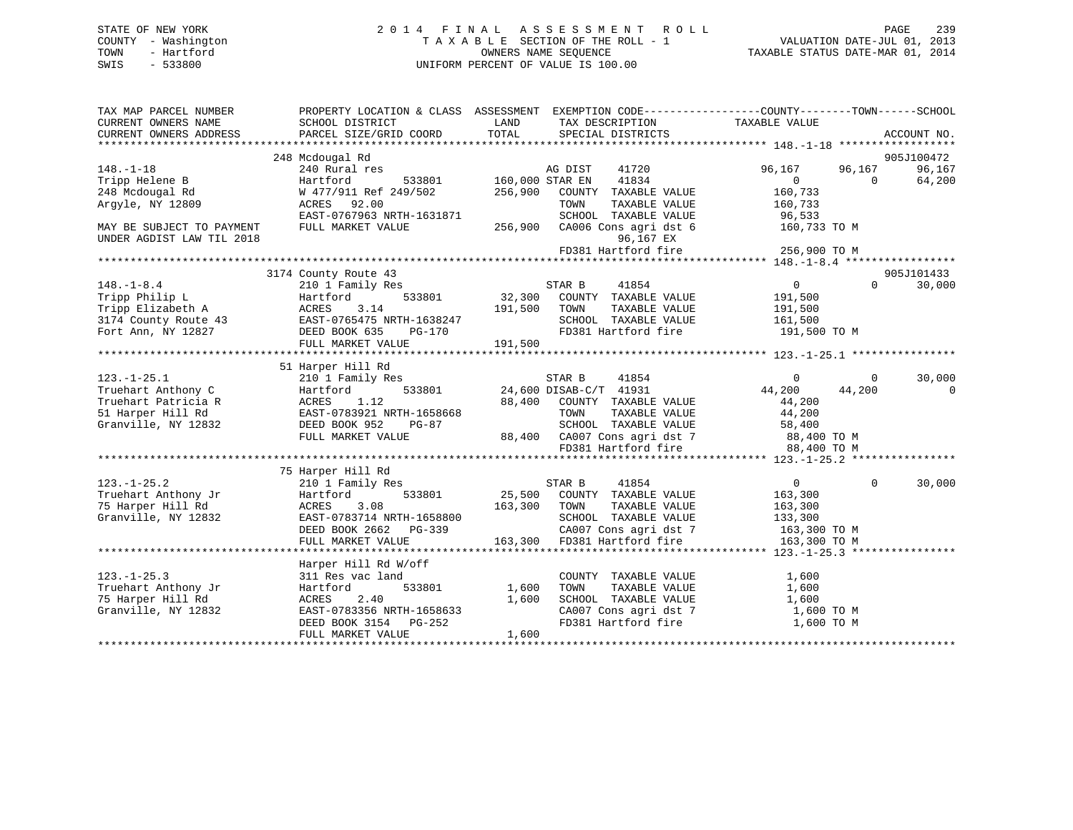## STATE OF NEW YORK 2 0 1 4 F I N A L A S S E S S M E N T R O L L PAGE 239 COUNTY - Washington T A X A B L E SECTION OF THE ROLL - 1 VALUATION DATE-JUL 01, 2013 TOWN - Hartford **TAXABLE STATUS DATE-MAR 01, 2014** OWNERS NAME SEQUENCE TAXABLE STATUS DATE-MAR 01, 2014 SWIS - 533800 UNIFORM PERCENT OF VALUE IS 100.00

| TAX MAP PARCEL NUMBER<br>CURRENT OWNERS NAME | PROPERTY LOCATION & CLASS ASSESSMENT EXEMPTION CODE---------------COUNTY-------TOWN-----SCHOOL<br>SCHOOL DISTRICT | LAND            | TAX DESCRIPTION                                                       | TAXABLE VALUE             |                          |   |
|----------------------------------------------|-------------------------------------------------------------------------------------------------------------------|-----------------|-----------------------------------------------------------------------|---------------------------|--------------------------|---|
| CURRENT OWNERS ADDRESS                       | PARCEL SIZE/GRID COORD                                                                                            | TOTAL           | SPECIAL DISTRICTS                                                     |                           | ACCOUNT NO.              |   |
|                                              |                                                                                                                   |                 |                                                                       |                           |                          |   |
|                                              | 248 Mcdougal Rd                                                                                                   |                 |                                                                       |                           | 905J100472               |   |
| $148. - 1 - 18$                              | 240 Rural res                                                                                                     | 160,000 STAR EN | AG DIST<br>41720                                                      | 96,167                    | 96,167<br>96,167         |   |
| Tripp Helene B                               | Hartford<br>533801                                                                                                |                 | 41834                                                                 | $\overline{0}$<br>160,733 | 64,200<br>$\overline{0}$ |   |
| 248 Mcdougal Rd                              | W 477/911 Ref 249/502 256,900                                                                                     |                 | COUNTY TAXABLE VALUE                                                  |                           |                          |   |
| Arqyle, NY 12809                             | ACRES 92.00<br>EAST-0767963 NRTH-1631871                                                                          |                 | TOWN<br>TAXABLE VALUE                                                 | 160,733                   |                          |   |
|                                              |                                                                                                                   |                 | SCHOOL TAXABLE VALUE                                                  | 96,533                    |                          |   |
| MAY BE SUBJECT TO PAYMENT                    | FULL MARKET VALUE                                                                                                 |                 | 256,900 CA006 Cons agri dst 6                                         | 160,733 TO M              |                          |   |
| UNDER AGDIST LAW TIL 2018                    |                                                                                                                   |                 | 96,167 EX                                                             |                           |                          |   |
|                                              |                                                                                                                   |                 | FD381 Hartford fire                                                   | 256,900 TO M              |                          |   |
|                                              |                                                                                                                   |                 |                                                                       |                           |                          |   |
|                                              | 3174 County Route 43                                                                                              |                 |                                                                       |                           | 905J101433               |   |
| $148. - 1 - 8.4$                             | 210 1 Family Res                                                                                                  |                 | STAR B<br>41854                                                       | $\overline{0}$            | $\Omega$<br>30,000       |   |
| Tripp Philip L                               | 533801<br>Hartford                                                                                                |                 | 32,300 COUNTY TAXABLE VALUE                                           | 191,500                   |                          |   |
| Tripp Elizabeth A                            | 3.14<br>ACRES                                                                                                     | 191,500         | TAXABLE VALUE<br>TOWN                                                 | 191,500                   |                          |   |
| 3174 County Route 43<br>Fort Ann, NY 12827   | EAST-0765475 NRTH-1638247                                                                                         |                 | SCHOOL TAXABLE VALUE                                                  | 161,500                   |                          |   |
| Fort Ann, NY 12827                           | DEED BOOK 635<br>PG-170                                                                                           |                 | FD381 Hartford fire                                                   | 191,500 TO M              |                          |   |
|                                              | FULL MARKET VALUE                                                                                                 | 191,500         |                                                                       |                           |                          |   |
|                                              |                                                                                                                   |                 |                                                                       |                           |                          |   |
|                                              | 51 Harper Hill Rd                                                                                                 |                 |                                                                       |                           |                          |   |
| $123. - 1 - 25.1$                            | 210 1 Family Res                                                                                                  |                 | STAR B<br>41854                                                       | $\Omega$                  | 30,000<br>$\circ$        |   |
| Truehart Anthony C                           | 533801<br>Hartford                                                                                                |                 | $24,600$ DISAB-C/T $41931$                                            | 44,200                    | 44,200                   | 0 |
| Truehart Patricia R                          | ACRES<br>1.12                                                                                                     |                 | 88,400 COUNTY TAXABLE VALUE                                           | 44,200                    |                          |   |
| 51 Harper Hill Rd                            | EAST-0783921 NRTH-1658668                                                                                         |                 | TOWN<br>TAXABLE VALUE                                                 | 44,200                    |                          |   |
| Granville, NY 12832                          | DEED BOOK 952<br>PG-87                                                                                            |                 | SCHOOL TAXABLE VALUE<br>SURVUL INALLED<br>88,400 CA007 Cons agridst 7 | 58,400                    |                          |   |
|                                              | FULL MARKET VALUE                                                                                                 |                 |                                                                       | 88,400 TO M               |                          |   |
|                                              |                                                                                                                   |                 |                                                                       | 88,400 TO M               |                          |   |
|                                              |                                                                                                                   |                 |                                                                       |                           |                          |   |
|                                              | 75 Harper Hill Rd                                                                                                 |                 |                                                                       |                           |                          |   |
| $123. - 1 - 25.2$                            | 210 1 Family Res                                                                                                  |                 | STAR B<br>41854                                                       | $\overline{0}$            | 30,000<br>$\Omega$       |   |
| Truehart Anthony Jr                          | 533801<br>Hartford                                                                                                |                 | 25,500 COUNTY TAXABLE VALUE                                           | 163,300                   |                          |   |
| 75 Harper Hill Rd                            | 3.08<br>ACRES                                                                                                     | 163,300 TOWN    | TAXABLE VALUE                                                         | 163,300                   |                          |   |
| Granville, NY 12832                          | EAST-0783714 NRTH-1658800                                                                                         |                 | SCHOOL TAXABLE VALUE                                                  | 133,300                   |                          |   |
|                                              | DEED BOOK 2662 PG-339                                                                                             |                 | CA007 Cons agri dst 7                                                 | 163,300 TO M              |                          |   |
|                                              | FULL MARKET VALUE                                                                                                 |                 | 163,300 FD381 Hartford fire                                           | 163,300 TO M              |                          |   |
|                                              |                                                                                                                   |                 |                                                                       |                           |                          |   |
|                                              | Harper Hill Rd W/off                                                                                              |                 |                                                                       |                           |                          |   |
| $123. - 1 - 25.3$                            | 311 Res vac land                                                                                                  |                 | COUNTY TAXABLE VALUE                                                  | 1,600                     |                          |   |
| Truehart Anthony Jr                          | 533801<br>Hartford                                                                                                | 1,600           | TAXABLE VALUE<br>TOWN                                                 | 1,600                     |                          |   |
| 75 Harper Hill Rd                            | 2.40<br>ACRES                                                                                                     | 1,600           | SCHOOL TAXABLE VALUE                                                  | 1,600                     |                          |   |
| Granville, NY 12832                          | EAST-0783356 NRTH-1658633                                                                                         |                 | CA007 Cons agri dst 7                                                 | 1,600 TO M                |                          |   |
|                                              | DEED BOOK 3154 PG-252                                                                                             |                 | FD381 Hartford fire                                                   | 1,600 TO M                |                          |   |
|                                              | FULL MARKET VALUE                                                                                                 | 1,600           |                                                                       |                           |                          |   |
|                                              |                                                                                                                   |                 |                                                                       |                           |                          |   |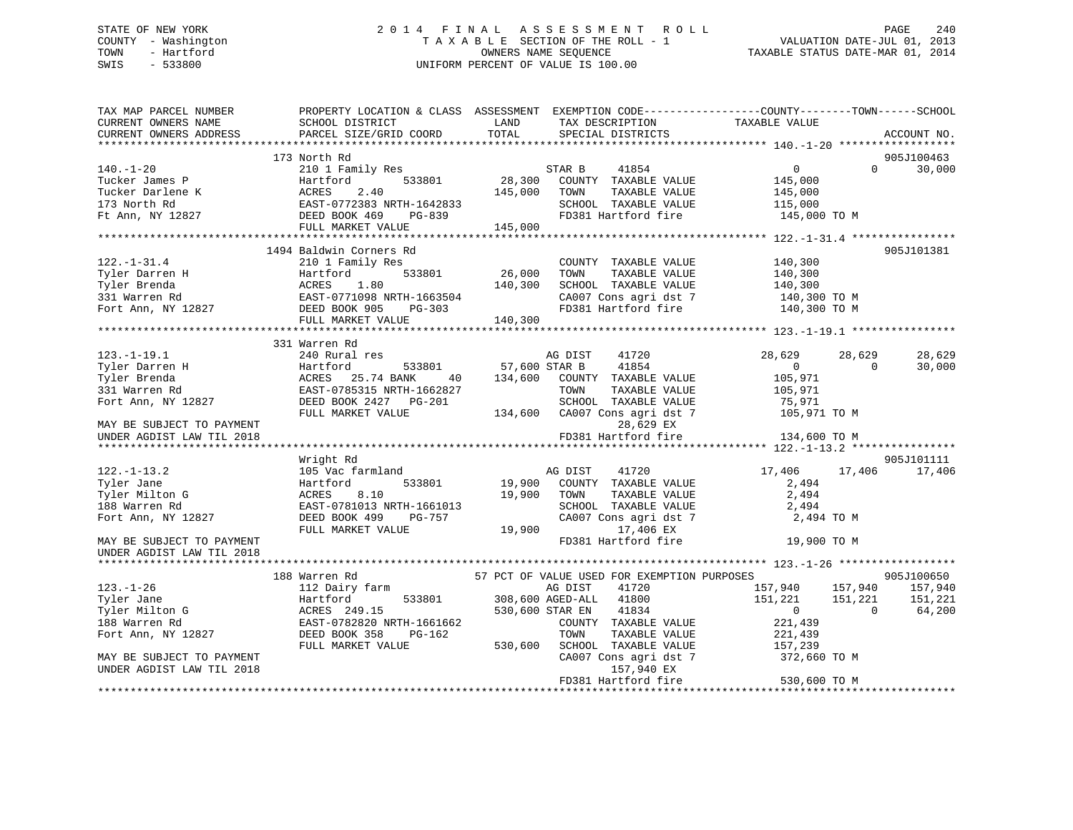## STATE OF NEW YORK 2 0 1 4 F I N A L A S S E S S M E N T R O L L PAGE 240 COUNTY - Washington T A X A B L E SECTION OF THE ROLL - 1 VALUATION DATE-JUL 01, 2013 TOWN - Hartford **TAXABLE STATUS DATE-MAR 01, 2014** OWNERS NAME SEQUENCE TAXABLE STATUS DATE-MAR 01, 2014 SWIS - 533800 UNIFORM PERCENT OF VALUE IS 100.00

| TAX MAP PARCEL NUMBER<br>CURRENT OWNERS NAME<br>CURRENT OWNERS ADDRESS                                                                                                                                                                                                        | SCHOOL DISTRICT<br>PARCEL SIZE/GRID COORD                                                                                                                                                                                                                                                                            | LAND<br>TOTAL                | TAX DESCRIPTION<br>SPECIAL DISTRICTS                                                                                                                                                                                                                                                                                                                   | PROPERTY LOCATION & CLASS ASSESSMENT EXEMPTION CODE---------------COUNTY-------TOWN------SCHOOL<br>TAXABLE VALUE                                                                           | ACCOUNT NO.                              |
|-------------------------------------------------------------------------------------------------------------------------------------------------------------------------------------------------------------------------------------------------------------------------------|----------------------------------------------------------------------------------------------------------------------------------------------------------------------------------------------------------------------------------------------------------------------------------------------------------------------|------------------------------|--------------------------------------------------------------------------------------------------------------------------------------------------------------------------------------------------------------------------------------------------------------------------------------------------------------------------------------------------------|--------------------------------------------------------------------------------------------------------------------------------------------------------------------------------------------|------------------------------------------|
|                                                                                                                                                                                                                                                                               |                                                                                                                                                                                                                                                                                                                      |                              |                                                                                                                                                                                                                                                                                                                                                        |                                                                                                                                                                                            |                                          |
| $140. - 1 - 20$<br>Tucker James P<br>Tucker Darlene K<br>173 North Rd                                                                                                                                                                                                         | 173 North Rd<br>210 1 Family Res<br>533801<br>Hartford<br>ACRES 2.40<br>EAST-0772383 NRTH-1642833<br>DEED BOOK 469 PG-839<br>THE MOOK 469 PG-839                                                                                                                                                                     | 28,300<br>145,000            | 41854<br>STAR B<br>COUNTY TAXABLE VALUE<br>TOWN<br>TAXABLE VALUE<br>SCHOOL TAXABLE VALUE                                                                                                                                                                                                                                                               | 0<br>$\Omega$<br>145,000<br>145,000<br>115,000                                                                                                                                             | 905J100463<br>30,000                     |
| Ft Ann, NY 12827                                                                                                                                                                                                                                                              | FULL MARKET VALUE                                                                                                                                                                                                                                                                                                    | 145,000                      | FD381 Hartford fire                                                                                                                                                                                                                                                                                                                                    | 145,000 TO M                                                                                                                                                                               |                                          |
|                                                                                                                                                                                                                                                                               |                                                                                                                                                                                                                                                                                                                      |                              |                                                                                                                                                                                                                                                                                                                                                        |                                                                                                                                                                                            |                                          |
| $122. - 1 - 31.4$                                                                                                                                                                                                                                                             | 1494 Baldwin Corners Rd<br>210 1 Family Res<br>Tyler Darren H<br>Tyler Brenda<br>331 Warren Rd<br>Fort Ann, NY 12827<br>Fort Ann, NY 12827<br>Fort Ann, NY 12827<br>Fort Ann, NY 12827<br>Fort Ann, NY 12827<br>Fort Ann, NY 12827<br>Fort Magnesium Magnesium Magnesium Magnesium Magnesium Ma<br>FULL MARKET VALUE | 26,000<br>140,300<br>140,300 | COUNTY TAXABLE VALUE<br>TAXABLE VALUE<br>TOWN<br>SCHOOL TAXABLE VALUE<br>CA007 Cons agri dst 7<br>FD381 Hartford fire                                                                                                                                                                                                                                  | 140,300<br>140,300<br>140,300<br>$140,300$ TO M<br>140,300 TO M                                                                                                                            | 905J101381                               |
|                                                                                                                                                                                                                                                                               |                                                                                                                                                                                                                                                                                                                      |                              |                                                                                                                                                                                                                                                                                                                                                        |                                                                                                                                                                                            |                                          |
| $123. - 1 - 19.1$<br>Tyler Darren H<br>Tyler Brenda<br>331 Warren Rd<br>Fort Ann, NY 12827<br>MAY BE SUBJECT TO PAYMENT<br>UNDER AGDIST LAW TIL 2018<br>$122. - 1 - 13.2$<br>Tyler Jane<br>Tyler Milton G<br>188 Warren Rd<br>Fort Ann, NY 12827<br>MAY BE SUBJECT TO PAYMENT | 331 Warren Rd<br>240 Rural res<br>533801<br>Hartford<br>ACRES 25.74 BANK<br>40<br>EAST-0785315 NRTH-1662827<br>DEED BOOK 2427 PG-201<br>FULL MARKET VALUE<br>Wright Rd<br>105 Vac farmland<br>Hartford<br>533801<br>8.10<br>ACRES<br>EAST-0781013 NRTH-1661013<br>DEED BOOK 499<br>PG-757<br>FULL MARKET VALUE       | 134,600<br>19,900<br>19,900  | 41720<br>AG DIST<br>57,600 STAR B 41854<br>COUNTY TAXABLE VALUE<br>TOWN<br>TAXABLE VALUE<br>SCHOOL TAXABLE VALUE<br>134,600 CA007 Cons agri dst 7<br>28,629 EX<br>FD381 Hartford fire<br>41720<br>AG DIST<br>19,900 COUNTY TAXABLE VALUE<br>TAXABLE VALUE<br>TOWN<br>SCHOOL TAXABLE VALUE<br>CA007 Cons agri dst 7<br>17,406 EX<br>FD381 Hartford fire | 28,629<br>28,629<br>$\overline{0}$<br>$\Omega$<br>105,971<br>105,971<br>75,971<br>105,971 TO M<br>134,600 TO M<br>17,406<br>17,406<br>2,494<br>2,494<br>2,494<br>2,494 TO M<br>19,900 TO M | 28,629<br>30,000<br>905J101111<br>17,406 |
| UNDER AGDIST LAW TIL 2018                                                                                                                                                                                                                                                     |                                                                                                                                                                                                                                                                                                                      |                              |                                                                                                                                                                                                                                                                                                                                                        |                                                                                                                                                                                            |                                          |
|                                                                                                                                                                                                                                                                               | 188 Warren Rd                                                                                                                                                                                                                                                                                                        |                              | 57 PCT OF VALUE USED FOR EXEMPTION PURPOSES                                                                                                                                                                                                                                                                                                            |                                                                                                                                                                                            | 905J100650                               |
| $123. - 1 - 26$<br>Tyler Jane<br>Tyler Milton G<br>188 Warren Rd<br>Fort Ann, NY 12827<br>MAY BE SUBJECT TO PAYMENT<br>UNDER AGDIST LAW TIL 2018                                                                                                                              | 112 Dairy farm<br>533801<br>Hartford<br>ACRES 249.15<br>EAST-0782820 NRTH-1661662<br>DEED BOOK 358<br>PG-162<br>FULL MARKET VALUE                                                                                                                                                                                    | 530,600                      | AG DIST<br>41720<br>308,600 AGED-ALL 41800<br>530,600 STAR EN<br>41834<br>COUNTY TAXABLE VALUE<br>TOWN<br>TAXABLE VALUE<br>SCHOOL TAXABLE VALUE<br>CA007 Cons agri dst 7<br>157,940 EX                                                                                                                                                                 | 157,940 157,940<br>151,221 151,221<br>$\overline{0}$<br>$\Omega$<br>221,439<br>221,439<br>157,239<br>372,660 TO M<br>530,600 TO M                                                          | 157,940<br>151,221<br>64,200             |
|                                                                                                                                                                                                                                                                               |                                                                                                                                                                                                                                                                                                                      |                              |                                                                                                                                                                                                                                                                                                                                                        |                                                                                                                                                                                            |                                          |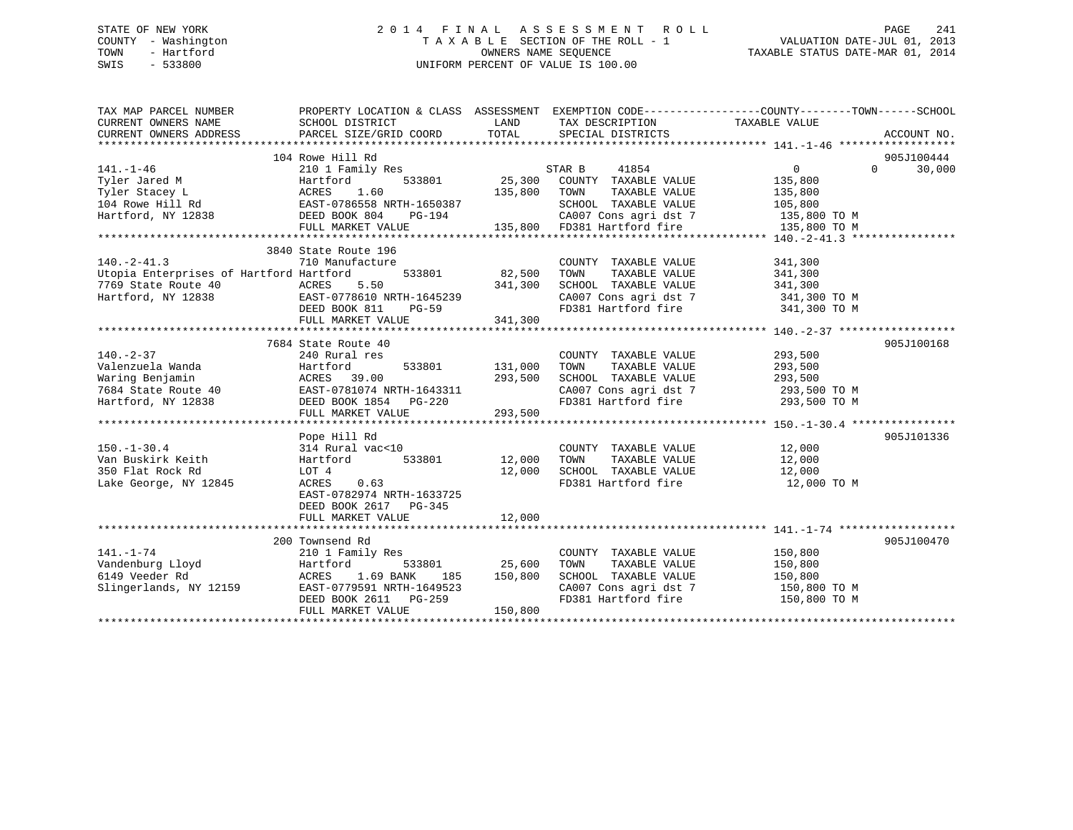## STATE OF NEW YORK 2 0 1 4 F I N A L A S S E S S M E N T R O L L PAGE 241 COUNTY - Washington T A X A B L E SECTION OF THE ROLL - 1 VALUATION DATE-JUL 01, 2013 TOWN - Hartford **TAXABLE STATUS DATE-MAR 01, 2014** OWNERS NAME SEQUENCE TAXABLE STATUS DATE-MAR 01, 2014 SWIS - 533800 UNIFORM PERCENT OF VALUE IS 100.00

| TAX MAP PARCEL NUMBER                                                                                       | PROPERTY LOCATION & CLASS ASSESSMENT EXEMPTION CODE----------------COUNTY-------TOWN-----SCHOOL |                |                                                                                            |                |                    |
|-------------------------------------------------------------------------------------------------------------|-------------------------------------------------------------------------------------------------|----------------|--------------------------------------------------------------------------------------------|----------------|--------------------|
| CURRENT OWNERS NAME                                                                                         | SCHOOL DISTRICT                                                                                 | LAND           | TAX DESCRIPTION                                                                            | TAXABLE VALUE  |                    |
| CURRENT OWNERS ADDRESS                                                                                      | PARCEL SIZE/GRID COORD                                                                          | TOTAL          | SPECIAL DISTRICTS                                                                          |                | ACCOUNT NO.        |
|                                                                                                             |                                                                                                 |                |                                                                                            |                |                    |
|                                                                                                             | 104 Rowe Hill Rd                                                                                |                |                                                                                            |                | 905J100444         |
| $141. - 1 - 46$                                                                                             | 210 1 Family Res                                                                                |                | STAR B<br>41854                                                                            | $\Omega$       | 30,000<br>$\Omega$ |
| Tyler Jared M                                                                                               | Hartford<br>533801                                                                              | 25,300         | COUNTY TAXABLE VALUE                                                                       | 135,800        |                    |
| Tyler Stacey L                                                                                              | ACRES<br>1.60                                                                                   | 135,800        | TOWN<br>TAXABLE VALUE                                                                      | 135,800        |                    |
| 104 Rowe Hill Rd EAST-0786558 NRTH-1650387                                                                  |                                                                                                 |                | SCHOOL TAXABLE VALUE                                                                       | 105,800        |                    |
| Hartford, NY 12838                                                                                          | DEED BOOK 804<br>PG-194                                                                         |                | CA007 Cons agri dst 7<br>135,800 FD381 Hartford fire                                       | 135,800 TO M   |                    |
|                                                                                                             | FULL MARKET VALUE                                                                               |                |                                                                                            | $135,800$ TO M |                    |
|                                                                                                             |                                                                                                 |                |                                                                                            |                |                    |
|                                                                                                             | 3840 State Route 196                                                                            |                |                                                                                            |                |                    |
| $140. -2 - 41.3$                                                                                            | 710 Manufacture                                                                                 |                | COUNTY TAXABLE VALUE                                                                       | 341,300        |                    |
| Utopia Enterprises of Hartford Hartford                                                                     | 533801                                                                                          | 82,500         | TOWN<br>TAXABLE VALUE                                                                      | 341,300        |                    |
| 7769 State Route 40                                                                                         | ACRES<br>5.50                                                                                   | 341,300        | SCHOOL TAXABLE VALUE<br>SCHOOL TAXABLE VALUE 341,300<br>CA007 Cons agri dst 7 341,300 TO M | 341,300        |                    |
| Hartford, NY 12838                                                                                          | EAST-0778610 NRTH-1645239                                                                       |                |                                                                                            |                |                    |
|                                                                                                             | DEED BOOK 811<br><b>PG-59</b>                                                                   |                | FD381 Hartford fire 341,300 TO M                                                           |                |                    |
|                                                                                                             | FULL MARKET VALUE                                                                               | 341,300        |                                                                                            |                |                    |
|                                                                                                             |                                                                                                 |                |                                                                                            |                |                    |
|                                                                                                             | 7684 State Route 40                                                                             |                |                                                                                            |                | 905J100168         |
| $140. - 2 - 37$                                                                                             | 240 Rural res                                                                                   |                | COUNTY TAXABLE VALUE                                                                       | 293,500        |                    |
| Valenzuela Wanda                                                                                            | Hartford                                                                                        | 533801 131,000 | TOWN<br>TAXABLE VALUE                                                                      | 293,500        |                    |
| Waring Benjamin<br>7684 State Route 40<br>Hartford, NY 12838<br>Hartford, NY 12838<br>DEED BOOK 1854 PG-220 |                                                                                                 | 293,500        | SCHOOL TAXABLE VALUE                                                                       | 293,500        |                    |
|                                                                                                             | EAST-0781074 NRTH-1643311                                                                       |                | CA007 Cons agri dst 7<br>FD381 Hartford fire                                               | 293,500 TO M   |                    |
|                                                                                                             |                                                                                                 |                |                                                                                            | 293,500 TO M   |                    |
|                                                                                                             | FULL MARKET VALUE                                                                               | 293,500        |                                                                                            |                |                    |
|                                                                                                             |                                                                                                 |                |                                                                                            |                |                    |
|                                                                                                             | Pope Hill Rd                                                                                    |                |                                                                                            |                | 905J101336         |
| $150. - 1 - 30.4$                                                                                           | 314 Rural vac<10                                                                                |                | COUNTY TAXABLE VALUE                                                                       | 12,000         |                    |
| Van Buskirk Keith                                                                                           | Hartford<br>533801                                                                              | 12,000         | TAXABLE VALUE<br>TOWN                                                                      | 12,000         |                    |
| 350 Flat Rock Rd                                                                                            | LOT 4                                                                                           | 12,000         | SCHOOL TAXABLE VALUE                                                                       | 12,000         |                    |
| Lake George, NY 12845                                                                                       | ACRES<br>0.63                                                                                   |                | FD381 Hartford fire                                                                        | 12,000 TO M    |                    |
|                                                                                                             | EAST-0782974 NRTH-1633725                                                                       |                |                                                                                            |                |                    |
|                                                                                                             | DEED BOOK 2617 PG-345                                                                           |                |                                                                                            |                |                    |
|                                                                                                             | FULL MARKET VALUE                                                                               | 12,000         |                                                                                            |                |                    |
|                                                                                                             |                                                                                                 |                |                                                                                            |                |                    |
|                                                                                                             | 200 Townsend Rd                                                                                 |                |                                                                                            |                | 905J100470         |
| $141. - 1 - 74$                                                                                             | 210 1 Family Res                                                                                |                | COUNTY TAXABLE VALUE                                                                       | 150,800        |                    |
| Vandenburg Lloyd                                                                                            | Hartford<br>533801                                                                              | 25,600         | TOWN                                                                                       | 150,800        |                    |
| 6149 Veeder Rd                                                                                              | 1.69 BANK<br>ACRES<br>185                                                                       | 150,800        | TAXABLE VALUE<br>TAXABLE VALUE<br>SCHOOL TAXABLE VALUE                                     | 150,800        |                    |
| Slingerlands, NY 12159                                                                                      | EAST-0779591 NRTH-1649523                                                                       |                | CA007 Cons agri dst 7                                                                      | 150,800 TO M   |                    |
|                                                                                                             | DEED BOOK 2611 PG-259                                                                           |                | FD381 Hartford fire                                                                        | 150,800 TO M   |                    |
|                                                                                                             | FULL MARKET VALUE                                                                               | 150,800        |                                                                                            |                |                    |
|                                                                                                             |                                                                                                 |                |                                                                                            |                |                    |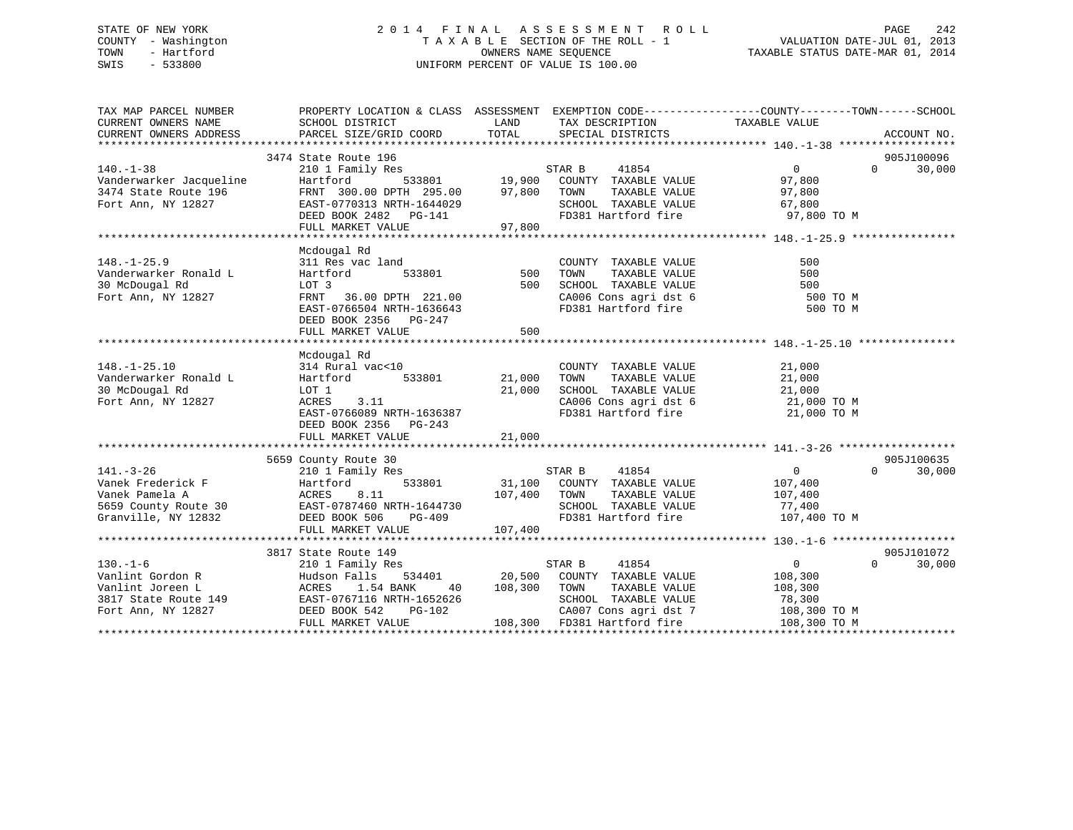## STATE OF NEW YORK 2 0 1 4 F I N A L A S S E S S M E N T R O L L PAGE 242 COUNTY - Washington T A X A B L E SECTION OF THE ROLL - 1 VALUATION DATE-JUL 01, 2013 TOWN - Hartford **TAXABLE STATUS DATE-MAR 01, 2014** OWNERS NAME SEQUENCE TAXABLE STATUS DATE-MAR 01, 2014 SWIS - 533800 UNIFORM PERCENT OF VALUE IS 100.00

| TAX MAP PARCEL NUMBER<br>CURRENT OWNERS NAME<br>CURRENT OWNERS ADDRESS                                                             | SCHOOL DISTRICT<br>PARCEL SIZE/GRID COORD                                                                                                                           | LAND<br>TOTAL              | TAX DESCRIPTION<br>SPECIAL DISTRICTS                                                                                                                                                                                                                                                                                                                                                                                                                                                                                                | PROPERTY LOCATION & CLASS ASSESSMENT EXEMPTION CODE----------------COUNTY-------TOWN------SCHOOL<br>TAXABLE VALUE | ACCOUNT NO.          |
|------------------------------------------------------------------------------------------------------------------------------------|---------------------------------------------------------------------------------------------------------------------------------------------------------------------|----------------------------|-------------------------------------------------------------------------------------------------------------------------------------------------------------------------------------------------------------------------------------------------------------------------------------------------------------------------------------------------------------------------------------------------------------------------------------------------------------------------------------------------------------------------------------|-------------------------------------------------------------------------------------------------------------------|----------------------|
| $140. - 1 - 38$<br>Vanderwarker Jacqueline<br>3474 State Route 196<br>Fort Ann, NY 12827                                           | 3474 State Route 196<br>210 1 Family Res<br>Hartford<br>FRNT 300.00 DPTH 295.00<br>EAST-0770313 NRTH-1644029                                                        | 97,800                     | STAR B<br>41854<br>$\begin{tabular}{lllllllllll} \multicolumn{3}{c}{\textbf{533801}} & \multicolumn{3}{c}{\textbf{19,900}} & \multicolumn{3}{c}{\textbf{COUNTY}} & \textbf{TXABLE VALUE} \\ \multicolumn{3}{c}{\textbf{10}} & \multicolumn{3}{c}{\textbf{DTH}} & \textbf{295.00} & \multicolumn{3}{c}{\textbf{97.800}} & \textbf{TOWN} & \textbf{TAXABLE VALUE} \\ \multicolumn{3}{c}{\textbf{10}} & \multicolumn{3}{c}{\textbf{97.800}} & \textbf{TOWN} & \textbf{TAXABLE VALUE}$<br>TOWN<br>TAXABLE VALUE<br>SCHOOL TAXABLE VALUE | $\Omega$<br>$\Omega$<br>97,800<br>97,800<br>67,800                                                                | 905J100096<br>30,000 |
|                                                                                                                                    | DEED BOOK 2482 PG-141<br>FULL MARKET VALUE                                                                                                                          | 97,800                     | FD381 Hartford fire                                                                                                                                                                                                                                                                                                                                                                                                                                                                                                                 | 97,800 TO M                                                                                                       |                      |
| $148. - 1 - 25.9$<br>Vanderwarker Ronald L<br>30 McDougal Rd<br>Fort Ann, NY 12827                                                 | Mcdougal Rd<br>311 Res vac land<br>533801<br>Hartford<br>LOT 3<br>FRNT 36.00 DPTH 221.00<br>EAST-0766504 NRTH-1636643<br>DEED BOOK 2356 PG-247<br>FULL MARKET VALUE | 500<br>500<br>500          | COUNTY TAXABLE VALUE<br>TOWN          TAXABLE   VALUE<br>SCHOOL      TAXABLE   VALUE<br>CA006 Cons agri dst 6<br>FD381 Hartford fire                                                                                                                                                                                                                                                                                                                                                                                                | 500<br>500<br>500<br>500 TO M<br>500 TO M                                                                         |                      |
| $148. - 1 - 25.10$<br>Vanderwarker Ronald L<br>30 McDougal Rd<br>Fort Ann, NY 12827                                                | Mcdougal Rd<br>314 Rural vac<10<br>533801<br>Hartford<br>LOT 1<br>ACRES<br>3.11<br>EAST-0766089 NRTH-1636387<br>DEED BOOK 2356 PG-243<br>FULL MARKET VALUE          | 21,000<br>21,000<br>21,000 | COUNTY TAXABLE VALUE<br>TAXABLE VALUE<br>TOWN<br>SCHOOL TAXABLE VALUE<br>CA006 Cons agri dst 6 21,000 TO M<br>FD381 Hartford fire                                                                                                                                                                                                                                                                                                                                                                                                   | 21,000<br>21,000<br>21,000<br>21,000 TO M                                                                         |                      |
|                                                                                                                                    |                                                                                                                                                                     |                            |                                                                                                                                                                                                                                                                                                                                                                                                                                                                                                                                     |                                                                                                                   |                      |
| $141. - 3 - 26$<br>Vanek Frederick F<br>Vanek Pamela A<br>5659 County Route 30<br>Granville, NY 12832                              | 5659 County Route 30<br>210 1 Family Res<br>Hartford<br>533801<br>ACRES<br>8.11<br>EAST-0787460 NRTH-1644730<br>DEED BOOK 506<br>PG-409<br>FULL MARKET VALUE        | 107,400<br>107,400         | 41854<br>STAR B<br>31,100 COUNTY TAXABLE VALUE<br>TAXABLE VALUE<br>TOWN<br>SCHOOL TAXABLE VALUE<br>FD381 Hartford fire                                                                                                                                                                                                                                                                                                                                                                                                              | 0<br>$\Omega$<br>107,400<br>107,400<br>77,400<br>107,400 TO M                                                     | 905J100635<br>30,000 |
|                                                                                                                                    |                                                                                                                                                                     |                            |                                                                                                                                                                                                                                                                                                                                                                                                                                                                                                                                     |                                                                                                                   |                      |
| $130 - 1 - 6$<br>Vanlint Gordon R<br>Van Lint Joreen L<br>19817 State Route 149 EAST-0767116 N<br>Fort Ann, NY 12827 DEED BOOK 542 | 3817 State Route 149<br>210 1 Family Res<br>Hudson Falls<br>1.54 BANK<br>40<br>EAST-0767116 NRTH-1652626<br>PG-102<br>FULL MARKET VALUE                             | 108,300                    | STAR B<br>41854<br>534401 20,500 COUNTY TAXABLE VALUE<br>TOWN<br>TAXABLE VALUE<br>SCHOOL TAXABLE VALUE<br>CA007 Cons agri dst 7<br>108,300 FD381 Hartford fire                                                                                                                                                                                                                                                                                                                                                                      | $0 \qquad \qquad$<br>$\Omega$<br>108,300<br>108,300<br>78,300<br>108,300 TO M<br>108,300 TO M                     | 905J101072<br>30,000 |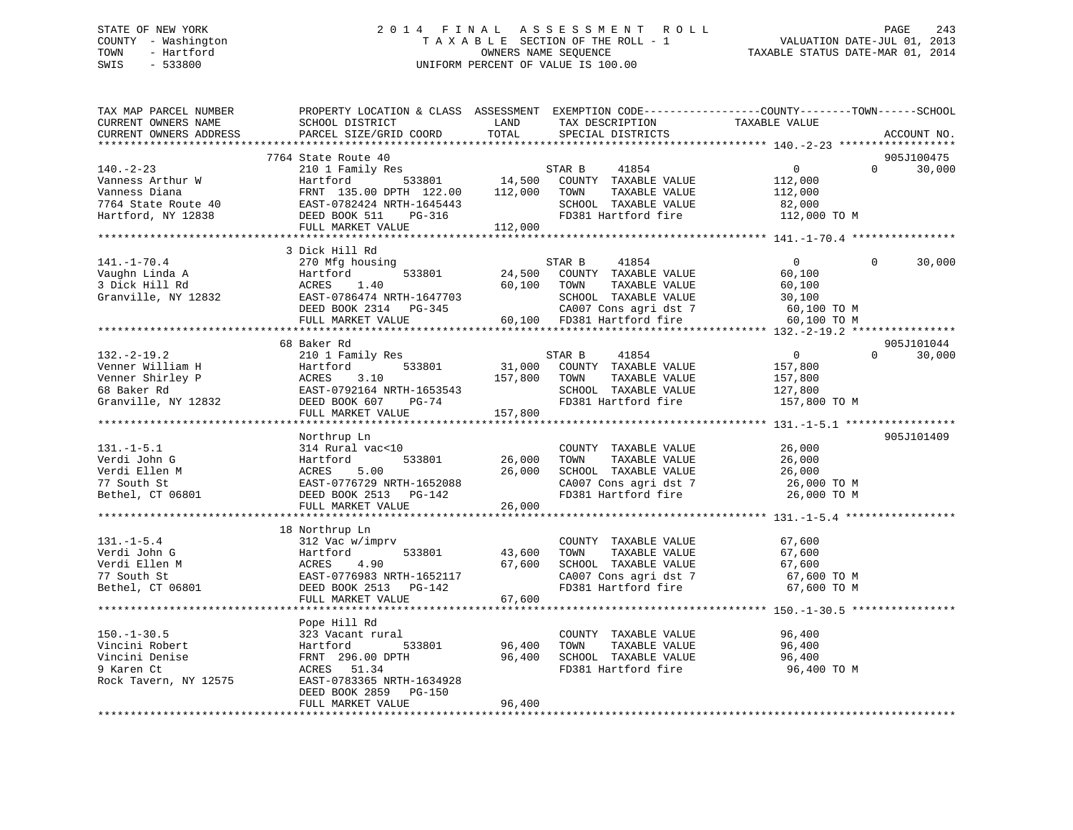## STATE OF NEW YORK 2 0 1 4 F I N A L A S S E S S M E N T R O L L PAGE 243 COUNTY - Washington T A X A B L E SECTION OF THE ROLL - 1 VALUATION DATE-JUL 01, 2013 TOWN - Hartford **TAXABLE STATUS DATE-MAR 01, 2014** OWNERS NAME SEQUENCE TAXABLE STATUS DATE-MAR 01, 2014 SWIS - 533800 UNIFORM PERCENT OF VALUE IS 100.00

| TAX MAP PARCEL NUMBER<br>CURRENT OWNERS NAME<br>CURRENT OWNERS ADDRESS                          | SCHOOL DISTRICT<br>PARCEL SIZE/GRID COORD                                                                                                     | LAND<br>TOTAL                  | TAX DESCRIPTION<br>SPECIAL DISTRICTS                                                                                                            | PROPERTY LOCATION & CLASS ASSESSMENT EXEMPTION CODE----------------COUNTY-------TOWN-----SCHOOL<br>TAXABLE VALUE | ACCOUNT NO.          |
|-------------------------------------------------------------------------------------------------|-----------------------------------------------------------------------------------------------------------------------------------------------|--------------------------------|-------------------------------------------------------------------------------------------------------------------------------------------------|------------------------------------------------------------------------------------------------------------------|----------------------|
| *************************                                                                       |                                                                                                                                               |                                |                                                                                                                                                 |                                                                                                                  |                      |
| $140. -2 - 23$<br>Vanness Arthur W<br>Vanness Diana                                             | 7764 State Route 40<br>210 1 Family Res<br>Hartford 533801<br>FRNT 135.00 DPTH 122.00<br>FRN1 135.00 DPIH 122.00<br>EAST-0782424 NRTH-1645443 | 112,000                        | STAR B<br>41854<br>14,500 COUNTY TAXABLE VALUE<br>TAXABLE VALUE<br>TOWN                                                                         | $\overline{0}$<br>$\Omega$<br>112,000<br>112,000                                                                 | 905J100475<br>30,000 |
| 7764 State Route 40<br>Hartford, NY 12838                                                       | DEED BOOK 511<br>PG-316<br>FULL MARKET VALUE                                                                                                  | 112,000                        | SCHOOL TAXABLE VALUE<br>FD381 Hartford fire                                                                                                     | 82,000<br>112,000 TO M                                                                                           |                      |
|                                                                                                 |                                                                                                                                               |                                |                                                                                                                                                 |                                                                                                                  |                      |
|                                                                                                 | 3 Dick Hill Rd                                                                                                                                |                                |                                                                                                                                                 |                                                                                                                  |                      |
| $141. - 1 - 70.4$<br>Vaughn Linda A<br>3 Dick Hill Rd<br>3 Dick Hill Rd<br>Granville, NY 12832  | 270 Mfg housing<br>533801<br>Hartford<br>ACRES<br>1.40<br>EAST-0786474 NRTH-1647703<br>DEED BOOK 2314 PG-345<br>FULL MARKET VALUE             | 24,500<br>60,100<br>$60^{-17}$ | 41854<br>STAR B<br>COUNTY TAXABLE VALUE<br>TOWN<br>TAXABLE VALUE<br>SCHOOL TAXABLE VALUE<br>CA007 Cons agri dst 7<br>60,100 FD381 Hartford fire | $\overline{0}$<br>$\Omega$<br>60,100<br>60,100<br>30,100<br>60,100 TO M<br>60,100 TO M                           | 30,000               |
|                                                                                                 |                                                                                                                                               |                                |                                                                                                                                                 |                                                                                                                  |                      |
|                                                                                                 | 68 Baker Rd                                                                                                                                   |                                |                                                                                                                                                 |                                                                                                                  | 905J101044           |
| $132. - 2 - 19.2$<br>Venner William H<br>Venner Shirley P<br>68 Baker Rd<br>Granville, NY 12832 | 210 1 Family Res<br>533801<br>Hartford<br>3.10<br>ACRES<br>EAST-0792164 NRTH-1653543<br>DEED BOOK 607<br>PG-74<br>FULL MARKET VALUE           | 31,000<br>157,800<br>157,800   | 41854<br>STAR B<br>COUNTY TAXABLE VALUE<br>TAXABLE VALUE<br>TOWN<br>SCHOOL TAXABLE VALUE<br>FD381 Hartford fire                                 | $\overline{0}$<br>$\Omega$<br>157,800<br>157,800<br>127,800<br>157,800 TO M                                      | 30,000               |
|                                                                                                 |                                                                                                                                               |                                |                                                                                                                                                 |                                                                                                                  |                      |
| $131. -1 - 5.1$<br>Verdi John G<br>Verdi Ellen M<br>77 South St<br>Bethel, CT 06801             | Northrup Ln<br>314 Rural vac<10<br>533801<br>Hartford<br>ACRES<br>5.00<br>EAST-0776729 NRTH-1652088<br>DEED BOOK 2513 PG-142                  | 26,000<br>26,000               | COUNTY TAXABLE VALUE<br>TOWN<br>TAXABLE VALUE<br>SCHOOL TAXABLE VALUE<br>CA007 Cons agri dst 7<br>FD381 Hartford fire                           | 26,000<br>26,000<br>26,000<br>26,000 TO M<br>26,000 TO M                                                         | 905J101409           |
|                                                                                                 | FULL MARKET VALUE                                                                                                                             | 26,000                         |                                                                                                                                                 |                                                                                                                  |                      |
|                                                                                                 | 18 Northrup Ln                                                                                                                                |                                |                                                                                                                                                 |                                                                                                                  |                      |
| $131. - 1 - 5.4$<br>Verdi John G<br>Verdi Ellen M<br>77 South St<br>Bethel, CT 06801            | 312 Vac w/imprv<br>533801<br>Hartford<br>4.90<br>ACRES<br>EAST-0776983 NRTH-1652117<br>DEED BOOK 2513 PG-142<br>FULL MARKET VALUE             | 43,600<br>67,600<br>67,600     | COUNTY TAXABLE VALUE<br>TAXABLE VALUE<br>TOWN<br>SCHOOL TAXABLE VALUE<br>CA007 Cons agri dst 7<br>FD381 Hartford fire                           | 67,600<br>67,600<br>67,600<br>67,600 TO M<br>67,600 TO M                                                         |                      |
|                                                                                                 |                                                                                                                                               |                                |                                                                                                                                                 |                                                                                                                  |                      |
|                                                                                                 | Pope Hill Rd                                                                                                                                  |                                |                                                                                                                                                 |                                                                                                                  |                      |
| $150. - 1 - 30.5$<br>Vincini Robert<br>Vincini Denise<br>9 Karen Ct<br>Rock Tavern, NY 12575    | 323 Vacant rural<br>533801<br>Hartford<br>FRNT 296.00 DPTH<br>ACRES 51.34<br>EAST-0783365 NRTH-1634928                                        | 96,400<br>96,400               | COUNTY TAXABLE VALUE<br>TOWN<br>TAXABLE VALUE<br>SCHOOL TAXABLE VALUE<br>FD381 Hartford fire                                                    | 96,400<br>96,400<br>96,400<br>96,400 TO M                                                                        |                      |
|                                                                                                 | DEED BOOK 2859 PG-150<br>FULL MARKET VALUE                                                                                                    | 96,400                         |                                                                                                                                                 |                                                                                                                  |                      |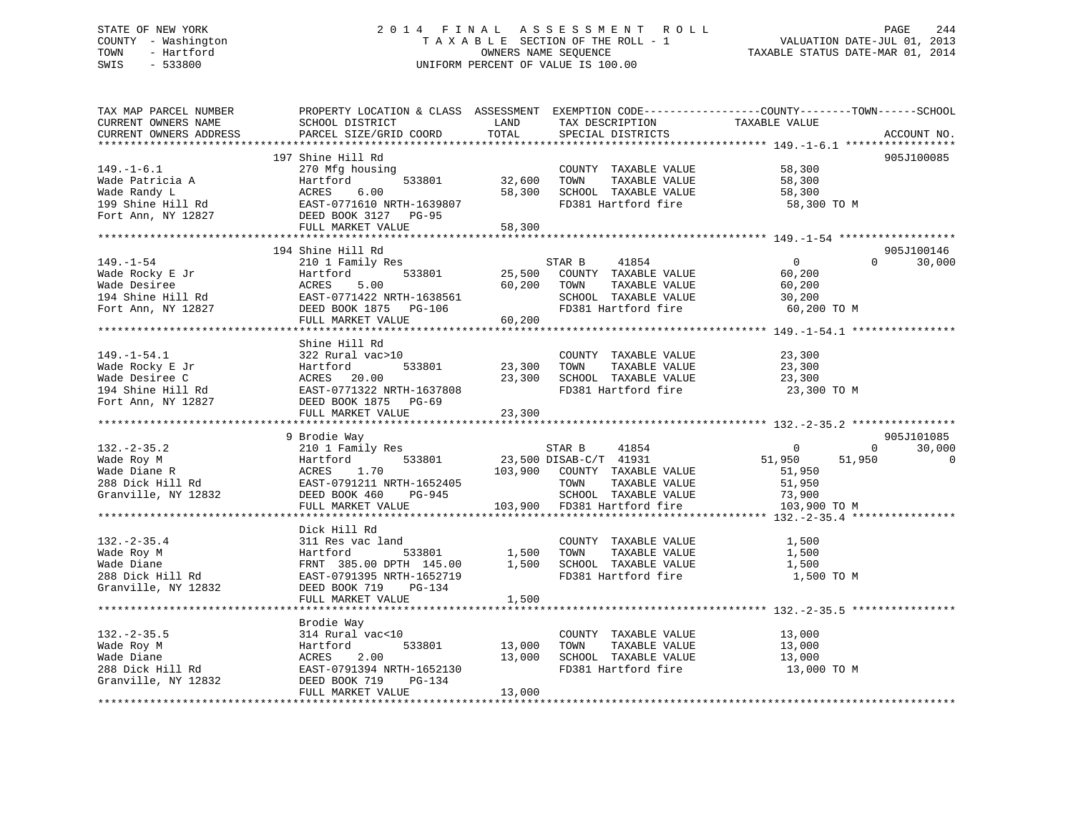## STATE OF NEW YORK 2 0 1 4 F I N A L A S S E S S M E N T R O L L PAGE 244 COUNTY - Washington T A X A B L E SECTION OF THE ROLL - 1 VALUATION DATE-JUL 01, 2013 TOWN - Hartford **TAXABLE STATUS DATE-MAR 01, 2014** OWNERS NAME SEQUENCE TAXABLE STATUS DATE-MAR 01, 2014 SWIS - 533800 UNIFORM PERCENT OF VALUE IS 100.00

| TAX MAP PARCEL NUMBER<br>CURRENT OWNERS NAME                                                                                                                                                                                     | PROPERTY LOCATION & CLASS ASSESSMENT EXEMPTION CODE----------------COUNTY-------TOWN------SCHOOL<br>SCHOOL DISTRICT | LAND                                                                                                           | TAX DESCRIPTION                                                     | TAXABLE VALUE    |                          |
|----------------------------------------------------------------------------------------------------------------------------------------------------------------------------------------------------------------------------------|---------------------------------------------------------------------------------------------------------------------|----------------------------------------------------------------------------------------------------------------|---------------------------------------------------------------------|------------------|--------------------------|
| CURRENT OWNERS ADDRESS                                                                                                                                                                                                           | PARCEL SIZE/GRID COORD                                                                                              | TOTAL                                                                                                          | SPECIAL DISTRICTS                                                   |                  | ACCOUNT NO.              |
|                                                                                                                                                                                                                                  |                                                                                                                     |                                                                                                                |                                                                     |                  |                          |
|                                                                                                                                                                                                                                  | 197 Shine Hill Rd                                                                                                   |                                                                                                                |                                                                     |                  | 905J100085               |
| $149. - 1 - 6.1$                                                                                                                                                                                                                 | 270 Mfg housing                                                                                                     | $\begin{array}{cc}\n 533801 & 32,600 & \text{TOWN} \\  \hline\n 533801 & 32,600 & \text{TOWN} \\  \end{array}$ | COUNTY TAXABLE VALUE<br>TOWN      TAXABLE VALUE                     | 58,300           |                          |
|                                                                                                                                                                                                                                  |                                                                                                                     |                                                                                                                |                                                                     | 58,300           |                          |
|                                                                                                                                                                                                                                  |                                                                                                                     | 58,300                                                                                                         | SCHOOL TAXABLE VALUE<br>FD381 Hartford fire                         | 58,300           |                          |
|                                                                                                                                                                                                                                  |                                                                                                                     |                                                                                                                |                                                                     | 58,300 TO M      |                          |
| Wade Patricia A<br>Wade Randy L<br>199 Shine Hill Rd<br>Fort Ann, NY 12827<br>FULL MARKET VALUE<br>FULL MARKET VALUE                                                                                                             |                                                                                                                     |                                                                                                                |                                                                     |                  |                          |
|                                                                                                                                                                                                                                  | FULL MARKET VALUE                                                                                                   | 58,300                                                                                                         |                                                                     |                  |                          |
|                                                                                                                                                                                                                                  |                                                                                                                     |                                                                                                                |                                                                     |                  |                          |
|                                                                                                                                                                                                                                  | 194 Shine Hill Rd                                                                                                   |                                                                                                                |                                                                     |                  | 905J100146               |
| $149. - 1 - 54$                                                                                                                                                                                                                  | 210 1 Family Res                                                                                                    |                                                                                                                | STAR B 41854                                                        | $\overline{0}$   | 30,000<br>$\Omega$       |
|                                                                                                                                                                                                                                  |                                                                                                                     |                                                                                                                | 533801 25,500 COUNTY TAXABLE VALUE<br>.00 60,200 TOWN TAXABLE VALUE | 60,200           |                          |
|                                                                                                                                                                                                                                  |                                                                                                                     |                                                                                                                |                                                                     | 60,200           |                          |
|                                                                                                                                                                                                                                  |                                                                                                                     |                                                                                                                | SCHOOL TAXABLE VALUE 30,200<br>FD381 Hartford fire 60,200 TO M      |                  |                          |
| Factbooky E Jr Fartford 533801 25,500<br>Wade Desiree RCRES 5.00 60,200<br>194 Shine Hill Rd EAST-0771422 NRTH-1638561 60,200<br>Fort Ann, NY 12827 DEED BOOK 1875 PG-106<br>THE MONTE MATTER FOR 106                            |                                                                                                                     |                                                                                                                |                                                                     |                  |                          |
|                                                                                                                                                                                                                                  | FULL MARKET VALUE                                                                                                   | 60,200                                                                                                         |                                                                     |                  |                          |
|                                                                                                                                                                                                                                  |                                                                                                                     |                                                                                                                |                                                                     |                  |                          |
|                                                                                                                                                                                                                                  | Shine Hill Rd                                                                                                       |                                                                                                                |                                                                     |                  |                          |
| $149. - 1 - 54.1$                                                                                                                                                                                                                | 322 Rural vac>10                                                                                                    |                                                                                                                | COUNTY TAXABLE VALUE                                                | 23,300           |                          |
|                                                                                                                                                                                                                                  |                                                                                                                     | 23,300 TOWN                                                                                                    | TAXABLE VALUE                                                       | 23,300           |                          |
|                                                                                                                                                                                                                                  |                                                                                                                     |                                                                                                                | 23,300 SCHOOL TAXABLE VALUE                                         | 23,300           |                          |
|                                                                                                                                                                                                                                  |                                                                                                                     |                                                                                                                | FD381 Hartford fire                                                 | 23,300 TO M      |                          |
|                                                                                                                                                                                                                                  |                                                                                                                     |                                                                                                                |                                                                     |                  |                          |
|                                                                                                                                                                                                                                  | FULL MARKET VALUE                                                                                                   | 23,300                                                                                                         |                                                                     |                  |                          |
|                                                                                                                                                                                                                                  |                                                                                                                     |                                                                                                                |                                                                     |                  |                          |
|                                                                                                                                                                                                                                  | 9 Brodie Way                                                                                                        |                                                                                                                |                                                                     |                  | 905J101085               |
| $132 - 2 - 35.2$                                                                                                                                                                                                                 | 210 1 Family Res                                                                                                    |                                                                                                                | STAR B<br>41854                                                     | $\overline{0}$   | 30,000<br>$\overline{0}$ |
|                                                                                                                                                                                                                                  | Hartford                                                                                                            |                                                                                                                | 533801 23,500 DISAB-C/T 41931                                       | 51,950<br>51,950 | $\mathbf 0$              |
| Wade Roy Munited Machine Race Base of Machine<br>1988 Dick Hill Rdu BAST-0<br>1988 Granville, NY 12832<br>1988 DEED B                                                                                                            | 1.70                                                                                                                |                                                                                                                | 103,900 COUNTY TAXABLE VALUE                                        | 51,950           |                          |
|                                                                                                                                                                                                                                  | EAST-0791211 NRTH-1652405<br>DEED BOOK 460 PG-945                                                                   |                                                                                                                | TOWN<br>TAXABLE VALUE                                               | 51,950           |                          |
|                                                                                                                                                                                                                                  |                                                                                                                     |                                                                                                                | SCHOOL TAXABLE VALUE                                                | 73,900           |                          |
|                                                                                                                                                                                                                                  | FULL MARKET VALUE                                                                                                   |                                                                                                                | 103,900 FD381 Hartford fire                                         | 103,900 TO M     |                          |
|                                                                                                                                                                                                                                  |                                                                                                                     |                                                                                                                |                                                                     |                  |                          |
|                                                                                                                                                                                                                                  | Dick Hill Rd                                                                                                        |                                                                                                                |                                                                     |                  |                          |
| $132 - 2 - 35.4$                                                                                                                                                                                                                 | 311 Res vac land                                                                                                    |                                                                                                                | COUNTY TAXABLE VALUE                                                | 1,500            |                          |
|                                                                                                                                                                                                                                  |                                                                                                                     |                                                                                                                | TAXABLE VALUE                                                       | 1,500            |                          |
|                                                                                                                                                                                                                                  |                                                                                                                     |                                                                                                                | 1,500 SCHOOL TAXABLE VALUE                                          | 1,500            |                          |
|                                                                                                                                                                                                                                  |                                                                                                                     |                                                                                                                | FD381 Hartford fire                                                 | 1,500 TO M       |                          |
| Granville, NY 12832                                                                                                                                                                                                              | DEED BOOK 719 PG-134                                                                                                |                                                                                                                |                                                                     |                  |                          |
|                                                                                                                                                                                                                                  | FULL MARKET VALUE                                                                                                   | 1,500                                                                                                          |                                                                     |                  |                          |
|                                                                                                                                                                                                                                  |                                                                                                                     |                                                                                                                |                                                                     |                  |                          |
|                                                                                                                                                                                                                                  | Brodie Way                                                                                                          |                                                                                                                |                                                                     |                  |                          |
| 132.-2-35.5<br>Wade Roy M<br>Wade Diane<br>288 Dick Hill Rd<br>Granville, NY 12832<br>287-0791394 NRTH-1652130<br>287-0791394 NRTH-1652130<br>287-0791394 NRTH-1652130<br>287-0791394 NRTH-1652130<br>2020 DEED BOOK 719<br>2034 |                                                                                                                     |                                                                                                                | COUNTY TAXABLE VALUE                                                | 13,000           |                          |
|                                                                                                                                                                                                                                  |                                                                                                                     |                                                                                                                | TAXABLE VALUE 13,000                                                |                  |                          |
|                                                                                                                                                                                                                                  |                                                                                                                     |                                                                                                                | SCHOOL TAXABLE VALUE                                                | 13,000           |                          |
|                                                                                                                                                                                                                                  |                                                                                                                     | 13,000                                                                                                         | FD381 Hartford fire                                                 | 13,000 TO M      |                          |
|                                                                                                                                                                                                                                  |                                                                                                                     |                                                                                                                |                                                                     |                  |                          |
|                                                                                                                                                                                                                                  | FULL MARKET VALUE                                                                                                   | 13,000                                                                                                         |                                                                     |                  |                          |
|                                                                                                                                                                                                                                  |                                                                                                                     |                                                                                                                |                                                                     |                  |                          |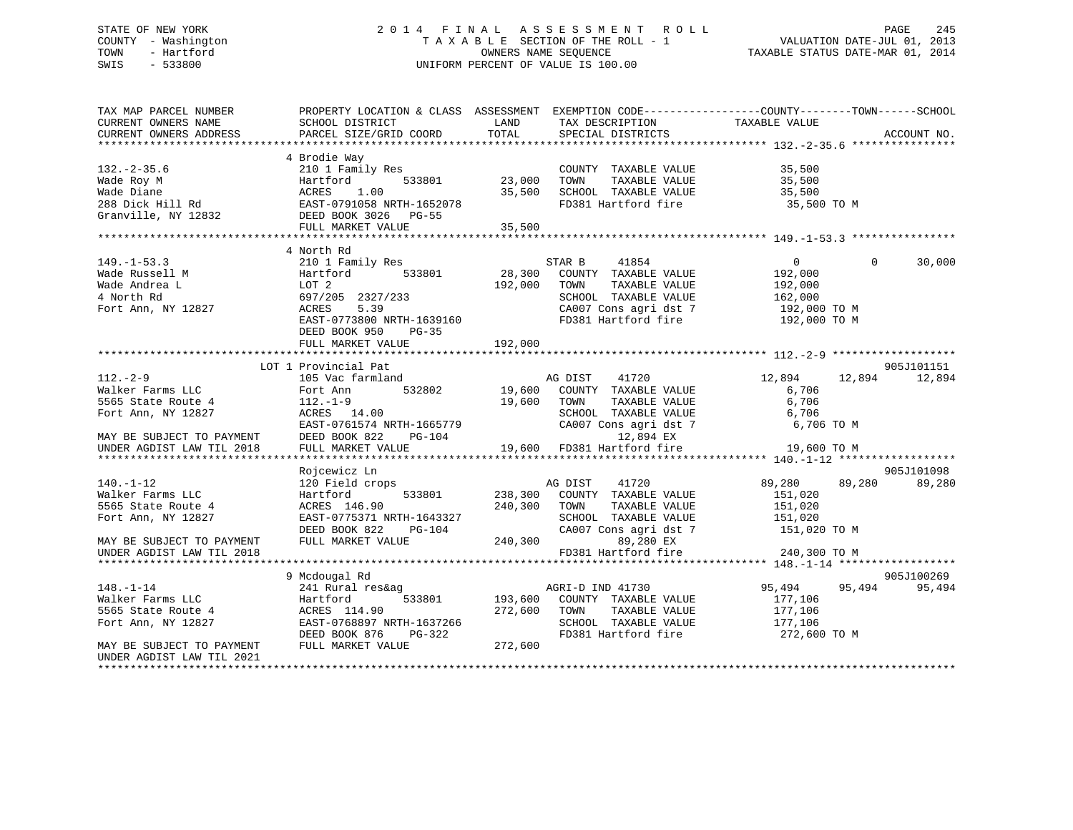## STATE OF NEW YORK 2 0 1 4 F I N A L A S S E S S M E N T R O L L PAGE 245 COUNTY - Washington T A X A B L E SECTION OF THE ROLL - 1 VALUATION DATE-JUL 01, 2013 TOWN - Hartford **TAXABLE STATUS DATE-MAR 01, 2014** OWNERS NAME SEQUENCE TAXABLE STATUS DATE-MAR 01, 2014 SWIS - 533800 UNIFORM PERCENT OF VALUE IS 100.00

| TAX MAP PARCEL NUMBER<br>CURRENT OWNERS NAME<br>CURRENT OWNERS ADDRESS | PROPERTY LOCATION & CLASS ASSESSMENT<br>SCHOOL DISTRICT<br>PARCEL SIZE/GRID COORD                    | LAND<br>TOTAL    | TAX DESCRIPTION<br>SPECIAL DISTRICTS                                                         | EXEMPTION CODE-----------------COUNTY-------TOWN------SCHOOL<br>TAXABLE VALUE | ACCOUNT NO. |
|------------------------------------------------------------------------|------------------------------------------------------------------------------------------------------|------------------|----------------------------------------------------------------------------------------------|-------------------------------------------------------------------------------|-------------|
|                                                                        |                                                                                                      |                  |                                                                                              |                                                                               |             |
| $132 - 2 - 35.6$<br>Wade Roy M<br>Wade Diane<br>288 Dick Hill Rd       | 4 Brodie Way<br>210 1 Family Res<br>533801<br>Hartford<br>1.00<br>ACRES<br>EAST-0791058 NRTH-1652078 | 23,000<br>35,500 | COUNTY TAXABLE VALUE<br>TOWN<br>TAXABLE VALUE<br>SCHOOL TAXABLE VALUE<br>FD381 Hartford fire | 35,500<br>35,500<br>35,500<br>35,500 TO M                                     |             |
| Granville, NY 12832                                                    | DEED BOOK 3026 PG-55                                                                                 |                  |                                                                                              |                                                                               |             |
|                                                                        | FULL MARKET VALUE                                                                                    | 35,500           |                                                                                              |                                                                               |             |
|                                                                        |                                                                                                      |                  |                                                                                              |                                                                               |             |
|                                                                        | 4 North Rd                                                                                           |                  |                                                                                              |                                                                               |             |
| $149. - 1 - 53.3$                                                      | 210 1 Family Res                                                                                     |                  | STAR B<br>41854                                                                              | $\overline{0}$<br>$\Omega$                                                    | 30,000      |
| Wade Russell M                                                         | 533801<br>Hartford                                                                                   | 28,300           | COUNTY TAXABLE VALUE                                                                         | 192,000                                                                       |             |
| Wade Andrea L                                                          | LOT 2                                                                                                | 192,000          | TAXABLE VALUE<br>TOWN                                                                        | 192,000                                                                       |             |
| 4 North Rd                                                             | 697/205 2327/233                                                                                     |                  | SCHOOL TAXABLE VALUE                                                                         | 162,000                                                                       |             |
| Fort Ann, NY 12827                                                     | 5.39<br>ACRES                                                                                        |                  | CA007 Cons agri dst 7                                                                        | 192,000 TO M                                                                  |             |
|                                                                        | EAST-0773800 NRTH-1639160<br>DEED BOOK 950<br>$PG-35$                                                |                  | FD381 Hartford fire                                                                          | 192,000 TO M                                                                  |             |
|                                                                        | FULL MARKET VALUE                                                                                    | 192,000          |                                                                                              |                                                                               |             |
|                                                                        |                                                                                                      |                  |                                                                                              |                                                                               |             |
|                                                                        | LOT 1 Provincial Pat                                                                                 |                  |                                                                                              |                                                                               | 905J101151  |
| $112. - 2 - 9$                                                         | 105 Vac farmland<br>Fort Ann 532802                                                                  |                  | AG DIST 41720<br>19,600 COUNTY TAXABLE VALUE                                                 | 12,894<br>12,894                                                              | 12,894      |
| Walker Farms LLC<br>5565 State Route 4                                 | $112.-1-9$                                                                                           | 19,600           | TAXABLE VALUE<br>TOWN                                                                        | 6,706<br>6,706                                                                |             |
| Fort Ann, NY 12827                                                     | ACRES 14.00                                                                                          |                  | SCHOOL TAXABLE VALUE                                                                         | 6,706                                                                         |             |
|                                                                        | EAST-0761574 NRTH-1665779                                                                            |                  | CA007 Cons agri dst 7                                                                        | 6,706 TO M                                                                    |             |
|                                                                        | DEED BOOK 822<br>PG-104                                                                              |                  | 12,894 EX                                                                                    |                                                                               |             |
| MAY BE SUBJECT TO PAYMENT<br>UNDER AGDIST LAW TIL 2018                 | FULL MARKET VALUE                                                                                    | 19,600           | FD381 Hartford fire                                                                          | 19,600 TO M                                                                   |             |
|                                                                        |                                                                                                      |                  |                                                                                              |                                                                               |             |
|                                                                        | Rojcewicz Ln                                                                                         |                  |                                                                                              |                                                                               | 905J101098  |
| $140. - 1 - 12$                                                        | 120 Field crops                                                                                      |                  | AG DIST<br>41720                                                                             | 89,280<br>89,280                                                              | 89,280      |
| Walker Farms LLC                                                       | 533801<br>Hartford                                                                                   | 238,300          | COUNTY TAXABLE VALUE                                                                         | 151,020                                                                       |             |
| 5565 State Route 4                                                     | ACRES 146.90                                                                                         | 240,300          | TOWN<br>TAXABLE VALUE                                                                        | 151,020                                                                       |             |
| Fort Ann, NY 12827                                                     | EAST-0775371 NRTH-1643327                                                                            |                  | SCHOOL TAXABLE VALUE                                                                         | 151,020                                                                       |             |
|                                                                        | DEED BOOK 822<br>PG-104                                                                              |                  | CA007 Cons agri dst 7                                                                        | 151,020 TO M                                                                  |             |
| MAY BE SUBJECT TO PAYMENT                                              | FULL MARKET VALUE                                                                                    | 240,300          | 89,280 EX                                                                                    |                                                                               |             |
| UNDER AGDIST LAW TIL 2018                                              |                                                                                                      |                  | FD381 Hartford fire                                                                          | 240,300 TO M                                                                  |             |
| *********************                                                  |                                                                                                      |                  |                                                                                              |                                                                               |             |
|                                                                        | 9 Mcdougal Rd                                                                                        |                  |                                                                                              |                                                                               | 905J100269  |
| $148. - 1 - 14$                                                        | 241 Rural res&ag                                                                                     |                  | AGRI-D IND 41730                                                                             | 95,494 95,494                                                                 | 95,494      |
| Walker Farms LLC                                                       | Hartford                                                                                             |                  | 533801 193,600 COUNTY TAXABLE VALUE                                                          | 177,106                                                                       |             |
| 5565 State Route 4                                                     | ACRES 114.90                                                                                         | 272,600          | TOWN<br>TAXABLE VALUE                                                                        | 177,106                                                                       |             |
| Fort Ann, NY 12827                                                     | EAST-0768897 NRTH-1637266                                                                            |                  | SCHOOL TAXABLE VALUE                                                                         | 177,106                                                                       |             |
|                                                                        | PG-322<br>DEED BOOK 876                                                                              |                  | FD381 Hartford fire                                                                          | 272,600 TO M                                                                  |             |
| MAY BE SUBJECT TO PAYMENT                                              | FULL MARKET VALUE                                                                                    | 272,600          |                                                                                              |                                                                               |             |
| UNDER AGDIST LAW TIL 2021                                              |                                                                                                      |                  |                                                                                              |                                                                               |             |
|                                                                        |                                                                                                      |                  |                                                                                              |                                                                               |             |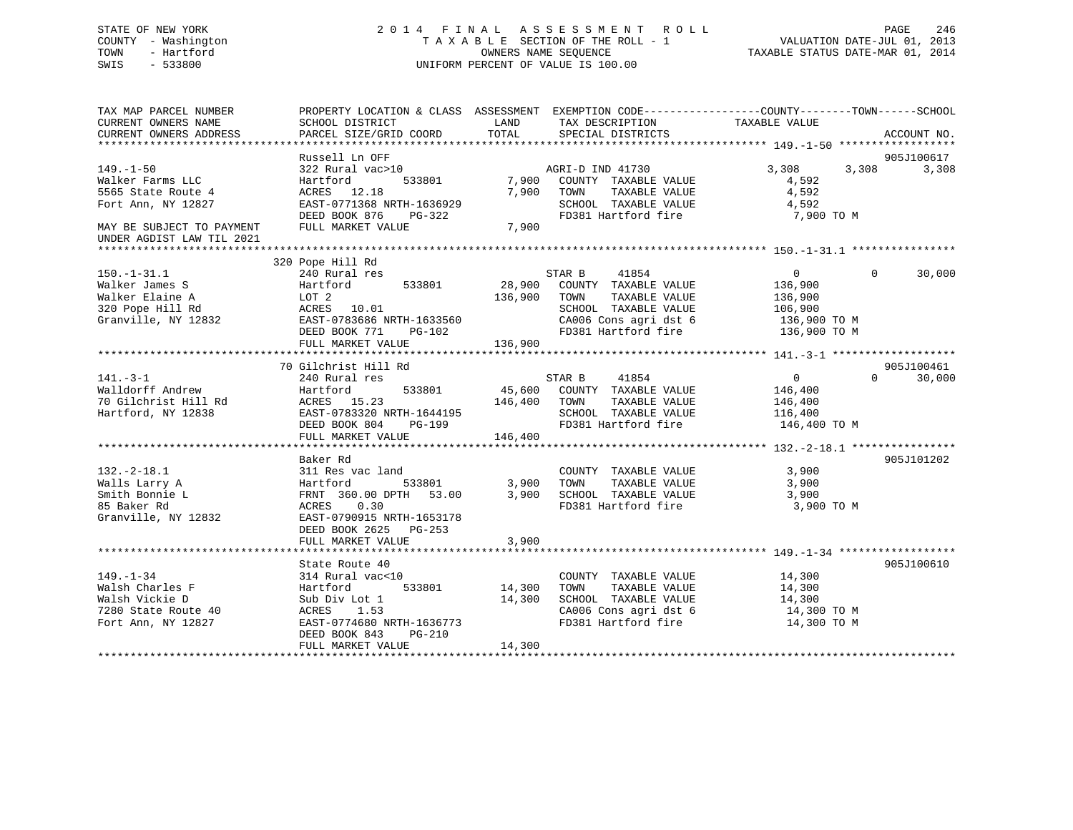## STATE OF NEW YORK 2 0 1 4 F I N A L A S S E S S M E N T R O L L PAGE 246 COUNTY - Washington T A X A B L E SECTION OF THE ROLL - 1 VALUATION DATE-JUL 01, 2013 TOWN - Hartford **TAXABLE STATUS DATE-MAR 01, 2014** OWNERS NAME SEQUENCE TAXABLE STATUS DATE-MAR 01, 2014 SWIS - 533800 UNIFORM PERCENT OF VALUE IS 100.00

| TAX MAP PARCEL NUMBER<br>CURRENT OWNERS NAME<br>CURRENT OWNERS ADDRESS                                                                    | PROPERTY LOCATION & CLASS ASSESSMENT<br>SCHOOL DISTRICT<br>PARCEL SIZE/GRID COORD                                                                                           | LAND<br>TOTAL                | TAX DESCRIPTION<br>SPECIAL DISTRICTS                                                                                                     | EXEMPTION CODE-----------------COUNTY-------TOWN------SCHOOL<br>TAXABLE VALUE         | ACCOUNT NO.          |
|-------------------------------------------------------------------------------------------------------------------------------------------|-----------------------------------------------------------------------------------------------------------------------------------------------------------------------------|------------------------------|------------------------------------------------------------------------------------------------------------------------------------------|---------------------------------------------------------------------------------------|----------------------|
| $149. - 1 - 50$<br>Walker Farms LLC<br>5565 State Route 4<br>Fort Ann, NY 12827<br>MAY BE SUBJECT TO PAYMENT<br>UNDER AGDIST LAW TIL 2021 | Russell Ln OFF<br>322 Rural vac>10<br>Hartford<br>533801<br>ACRES 12.18<br>EAST-0771368 NRTH-1636929<br>DEED BOOK 876<br>PG-322<br>FULL MARKET VALUE                        | 7,900<br>7,900<br>7,900      | AGRI-D IND 41730<br>COUNTY TAXABLE VALUE<br>TOWN<br>TAXABLE VALUE<br>SCHOOL TAXABLE VALUE<br>FD381 Hartford fire                         | 3,308<br>3,308<br>4,592<br>4,592<br>4,592<br>7,900 TO M                               | 905J100617<br>3,308  |
|                                                                                                                                           | 320 Pope Hill Rd                                                                                                                                                            |                              |                                                                                                                                          |                                                                                       |                      |
| $150. - 1 - 31.1$<br>Walker James S<br>Walker Elaine A<br>320 Pope Hill Rd<br>Granville, NY 12832                                         | 240 Rural res<br>533801<br>Hartford<br>LOT 2<br>ACRES 10.01<br>EAST-0783686 NRTH-1633560<br>DEED BOOK 771<br>PG-102<br>FULL MARKET VALUE                                    | 28,900<br>136,900<br>136,900 | STAR B<br>41854<br>COUNTY TAXABLE VALUE<br>TOWN<br>TAXABLE VALUE<br>SCHOOL TAXABLE VALUE<br>CA006 Cons agri dst 6<br>FD381 Hartford fire | $\Omega$<br>$\Omega$<br>136,900<br>136,900<br>106,900<br>136,900 ТО М<br>136,900 TO M | 30,000               |
|                                                                                                                                           |                                                                                                                                                                             |                              |                                                                                                                                          |                                                                                       |                      |
| $141. - 3 - 1$<br>Walldorff Andrew<br>70 Gilchrist Hill Rd<br>Hartford, NY 12838                                                          | 70 Gilchrist Hill Rd<br>240 Rural res<br>533801<br>Hartford<br>ACRES 15.23<br>EAST-0783320 NRTH-1644195<br>DEED BOOK 804<br>PG-199<br>FULL MARKET VALUE                     | 45,600<br>146,400<br>146,400 | 41854<br>STAR B<br>COUNTY TAXABLE VALUE<br>TOWN<br>TAXABLE VALUE<br>SCHOOL TAXABLE VALUE<br>FD381 Hartford fire                          | $\Omega$<br>$\overline{0}$<br>146,400<br>146,400<br>116,400<br>146,400 TO M           | 905J100461<br>30,000 |
| $132. - 2 - 18.1$<br>Walls Larry A<br>Smith Bonnie L<br>85 Baker Rd<br>Granville, NY 12832                                                | Baker Rd<br>311 Res vac land<br>533801<br>Hartford<br>FRNT 360.00 DPTH<br>53.00<br>0.30<br>ACRES<br>EAST-0790915 NRTH-1653178<br>DEED BOOK 2625 PG-253<br>FULL MARKET VALUE | 3,900<br>3,900<br>3,900      | COUNTY TAXABLE VALUE<br>TOWN<br>TAXABLE VALUE<br>SCHOOL TAXABLE VALUE<br>FD381 Hartford fire                                             | 3,900<br>3,900<br>3,900<br>3,900 TO M                                                 | 905J101202           |
|                                                                                                                                           | State Route 40                                                                                                                                                              |                              |                                                                                                                                          |                                                                                       | 905J100610           |
| $149. - 1 - 34$<br>Walsh Charles F<br>Walsh Vickie D<br>7280 State Route 40<br>Fort Ann, NY 12827                                         | 314 Rural vac<10<br>Hartford<br>533801<br>Sub Div Lot 1<br>1.53<br>ACRES<br>EAST-0774680 NRTH-1636773<br>DEED BOOK 843<br>PG-210<br>FULL MARKET VALUE                       | 14,300<br>14,300<br>14,300   | COUNTY TAXABLE VALUE<br>TAXABLE VALUE<br>TOWN<br>SCHOOL TAXABLE VALUE<br>CA006 Cons agri dst 6<br>FD381 Hartford fire                    | 14,300<br>14,300<br>14,300<br>14,300 TO M<br>14,300 TO M                              |                      |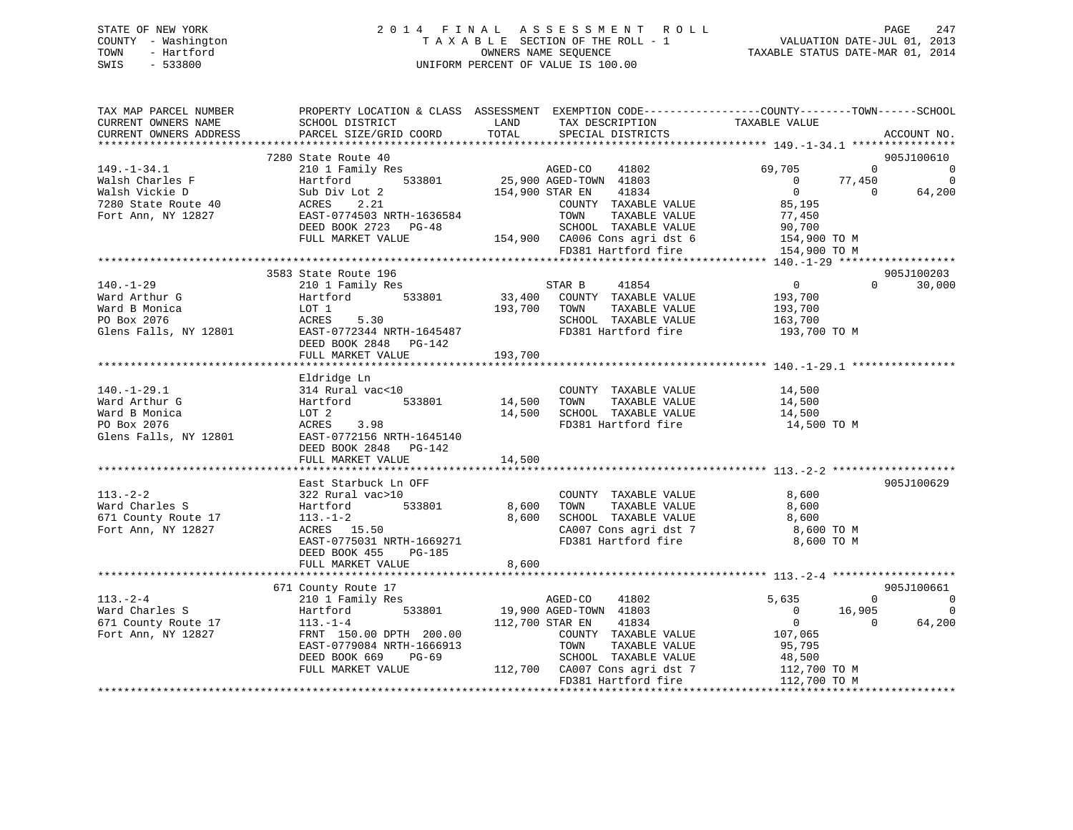| 247                                                                     |
|-------------------------------------------------------------------------|
|                                                                         |
|                                                                         |
|                                                                         |
| PAGE<br>VALUATION DATE-JUL 01, 2013<br>TAXABLE STATUS DATE-MAR 01, 2014 |

| TAX MAP PARCEL NUMBER<br>CURRENT OWNERS NAME | SCHOOL DISTRICT                                 | LAND<br>TAX DESCRIPTION                                                        | PROPERTY LOCATION & CLASS ASSESSMENT EXEMPTION CODE----------------COUNTY-------TOWN-----SCHOOL<br>TAXABLE VALUE |
|----------------------------------------------|-------------------------------------------------|--------------------------------------------------------------------------------|------------------------------------------------------------------------------------------------------------------|
| CURRENT OWNERS ADDRESS                       | PARCEL SIZE/GRID COORD                          | TOTAL<br>SPECIAL DISTRICTS                                                     | ACCOUNT NO.                                                                                                      |
|                                              |                                                 |                                                                                |                                                                                                                  |
|                                              | 7280 State Route 40                             |                                                                                | 905J100610                                                                                                       |
| $149. - 1 - 34.1$                            |                                                 | 210 1 Family Res<br>Hartford 533801 25,900 AGED-TOWN 41803                     | 69,705<br>$\Omega$<br>$\Omega$                                                                                   |
| Walsh Charles F                              |                                                 |                                                                                | $\overline{0}$<br>$\overline{0}$<br>77,450                                                                       |
| Walsh Vickie D                               | Sub Div Lot 2                                   | 154,900 STAR EN<br>41834                                                       | $\overline{0}$<br>64,200<br>$\overline{0}$                                                                       |
| 7280 State Route 40                          | ACRES<br>2.21                                   | COUNTY TAXABLE VALUE                                                           | 85,195                                                                                                           |
| Fort Ann, NY 12827                           | EAST-0774503 NRTH-1636584                       | TOWN<br>TAXABLE VALUE                                                          | 77,450<br>90,700                                                                                                 |
|                                              | DEED BOOK 2723 PG-48                            | SCHOOL TAXABLE VALUE                                                           |                                                                                                                  |
|                                              | FULL MARKET VALUE                               | 154,900 CA006 Cons agri dst 6 154,900 TO M<br>FD381 Hartford fire 154,900 TO M |                                                                                                                  |
|                                              |                                                 |                                                                                |                                                                                                                  |
|                                              |                                                 |                                                                                | 905J100203                                                                                                       |
| 140.-1-29                                    | 3583 State Route 196<br>210 1 Family Res        | STAR B 41854                                                                   | $\overline{0}$<br>$\Omega$<br>30,000                                                                             |
| Ward Arthur G                                | Hartford                                        | 533801 33,400 COUNTY TAXABLE VALUE                                             | 193,700                                                                                                          |
| Ward B Monica                                | LOT 1                                           | 193,700 TOWN<br>TAXABLE VALUE                                                  | 193,700                                                                                                          |
| PO Box 2076                                  | 5.30<br>ACRES                                   | SCHOOL TAXABLE VALUE 163,700                                                   |                                                                                                                  |
|                                              | EAST-0772344 NRTH-1645487                       |                                                                                | FD381 Hartford fire 193,700 TO M                                                                                 |
| Glens Falls, NY 12801                        | DEED BOOK 2848 PG-142                           |                                                                                |                                                                                                                  |
|                                              | FULL MARKET VALUE                               | 193,700                                                                        |                                                                                                                  |
|                                              |                                                 |                                                                                |                                                                                                                  |
|                                              | Eldridge Ln                                     |                                                                                |                                                                                                                  |
| $140.-1-29.1$                                | 314 Rural vac<10                                | COUNTY TAXABLE VALUE 14,500                                                    |                                                                                                                  |
| Ward Arthur G                                | Hartford 533801                                 | COUNTY<br>14,500 TOWN<br>TAXABLE VALUE                                         | 14,500                                                                                                           |
| Ward B Monica                                | LOT 2                                           | 14,500 SCHOOL TAXABLE VALUE                                                    | 14,500                                                                                                           |
| PO Box 2076                                  | ACRES 3.98                                      | FD381 Hartford fire                                                            | 14,500 TO M                                                                                                      |
|                                              | Glens Falls, NY 12801 EAST-0772156 NRTH-1645140 |                                                                                |                                                                                                                  |
|                                              | DEED BOOK 2848 PG-142                           |                                                                                |                                                                                                                  |
|                                              | FULL MARKET VALUE                               | 14,500                                                                         |                                                                                                                  |
|                                              |                                                 |                                                                                |                                                                                                                  |
|                                              | East Starbuck Ln OFF                            |                                                                                | 905J100629                                                                                                       |
| $113. - 2 - 2$                               | 322 Rural vac>10                                | COUNTY TAXABLE VALUE                                                           | 8,600                                                                                                            |
| Ward Charles S                               | 533801<br>Hartford                              | TAXABLE VALUE<br>8,600<br>TOWN                                                 | 8,600                                                                                                            |
| 671 County Route 17                          | $113. - 1 - 2$                                  | SCHOOL TAXABLE VALUE<br>8,600                                                  | 8,600                                                                                                            |
| Fort Ann, NY 12827                           | $113. - 1 - 2$<br>ACRES 15.50                   | CA007 Cons agri dst 7                                                          | 8,600 TO M                                                                                                       |
|                                              | EAST-0775031 NRTH-1669271                       | FD381 Hartford fire                                                            | 8,600 TO M                                                                                                       |
|                                              | DEED BOOK 455 PG-185                            |                                                                                |                                                                                                                  |
|                                              | FULL MARKET VALUE                               | 8,600                                                                          |                                                                                                                  |
|                                              |                                                 |                                                                                |                                                                                                                  |
|                                              | 671 County Route 17                             |                                                                                | 905J100661                                                                                                       |
| $113. - 2 - 4$                               | 210 1 Family Res                                | AGED-CO<br>41802                                                               | 5,635<br>$\overline{0}$<br>$\overline{\phantom{0}}$                                                              |
| Ward Charles S                               | Hartford                                        | 533801 19,900 AGED-TOWN 41803                                                  | 16,905<br>$\overline{\mathbf{0}}$<br>$\overline{0}$                                                              |
| 671 County Route 17                          | $113. - 1 - 4$                                  | 112,700 STAR EN 41834                                                          | $\overline{0}$<br>64,200<br>$\overline{0}$                                                                       |
| Fort Ann, NY 12827                           | FRNT 150.00 DPTH 200.00                         | COUNTY TAXABLE VALUE 107,065                                                   |                                                                                                                  |
|                                              | EAST-0779084 NRTH-1666913                       | TOWN<br>TAXABLE VALUE                                                          | 95,795                                                                                                           |
|                                              | DEED BOOK 669<br>PG-69                          | SCHOOL TAXABLE VALUE                                                           | 48,500<br>112,700 TO M                                                                                           |
|                                              | FULL MARKET VALUE                               | 112,700 CA007 Cons agri dst 7                                                  |                                                                                                                  |
|                                              |                                                 | FD381 Hartford fire                                                            | 112,700 TO M                                                                                                     |
|                                              |                                                 |                                                                                |                                                                                                                  |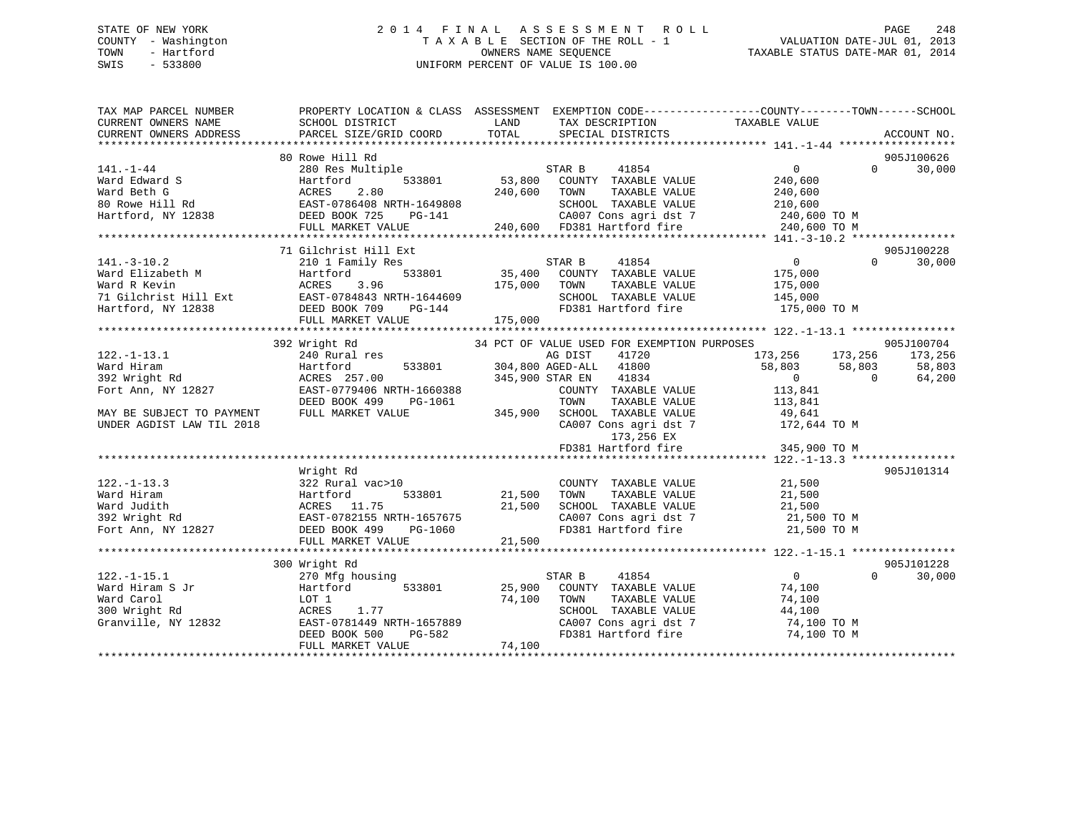## STATE OF NEW YORK 2 0 1 4 F I N A L A S S E S S M E N T R O L L PAGE 248 COUNTY - Washington T A X A B L E SECTION OF THE ROLL - 1 VALUATION DATE-JUL 01, 2013 TOWN - Hartford **TAXABLE STATUS DATE-MAR 01, 2014** OWNERS NAME SEQUENCE TAXABLE STATUS DATE-MAR 01, 2014 SWIS - 533800 UNIFORM PERCENT OF VALUE IS 100.00

| TAX MAP PARCEL NUMBER<br>CURRENT OWNERS NAME      | SCHOOL DISTRICT                                                                                                                                                                      | <b>EXAMPLE TO A LAND</b><br>TAX DESCRIPTION                       | PROPERTY LOCATION & CLASS ASSESSMENT EXEMPTION CODE---------------COUNTY-------TOWN-----SCHOOL<br>TAXABLE VALUE |
|---------------------------------------------------|--------------------------------------------------------------------------------------------------------------------------------------------------------------------------------------|-------------------------------------------------------------------|-----------------------------------------------------------------------------------------------------------------|
| CURRENT OWNERS ADDRESS                            | PARCEL SIZE/GRID COORD                                                                                                                                                               | TOTAL<br>SPECIAL DISTRICTS                                        | ACCOUNT NO.                                                                                                     |
|                                                   | 80 Rowe Hill Rd                                                                                                                                                                      |                                                                   | 905J100626                                                                                                      |
| 141.-1-44                                         | 280 Res Multiple                                                                                                                                                                     | STAR B<br>41854                                                   | $0 \qquad \qquad$<br>30,000<br>$\Omega$                                                                         |
|                                                   |                                                                                                                                                                                      |                                                                   |                                                                                                                 |
|                                                   |                                                                                                                                                                                      |                                                                   |                                                                                                                 |
|                                                   |                                                                                                                                                                                      |                                                                   |                                                                                                                 |
|                                                   |                                                                                                                                                                                      |                                                                   |                                                                                                                 |
|                                                   |                                                                                                                                                                                      |                                                                   |                                                                                                                 |
|                                                   |                                                                                                                                                                                      |                                                                   |                                                                                                                 |
|                                                   | 71 Gilchrist Hill Ext                                                                                                                                                                |                                                                   | 905J100228                                                                                                      |
| $141. - 3 - 10.2$                                 | 210 1 Family Res                                                                                                                                                                     | STAR B<br>41854                                                   | 30,000<br>$\overline{0}$<br>$\Omega$                                                                            |
|                                                   |                                                                                                                                                                                      | 533801 35,400<br>COUNTY TAXABLE VALUE                             | 175,000                                                                                                         |
|                                                   |                                                                                                                                                                                      | 175,000<br>TOWN<br>TAXABLE VALUE                                  | 175,000                                                                                                         |
|                                                   |                                                                                                                                                                                      | SCHOOL TAXABLE VALUE                                              | 145,000                                                                                                         |
|                                                   | $PG-144$                                                                                                                                                                             | FD381 Hartford fire                                               | 175,000 TO M                                                                                                    |
|                                                   |                                                                                                                                                                                      | 175,000                                                           |                                                                                                                 |
|                                                   | March Elizabeth M Martford 533801<br>Ward R Kevin (1991)<br>71 Gilchrist Hill Ext (1992)<br>Hartford, NY 12838 (1992)<br>2007 DEED BOOK 709 PG-144<br>2008 FULL MARKET WATHER (1993) |                                                                   |                                                                                                                 |
|                                                   | 392 Wright Rd                                                                                                                                                                        | 34 PCT OF VALUE USED FOR EXEMPTION PURPOSES                       | 905J100704                                                                                                      |
| $122. - 1 - 13.1$                                 | 240 Rural res                                                                                                                                                                        | AG DIST<br>41720                                                  |                                                                                                                 |
| Ward Hiram                                        | Hartford                                                                                                                                                                             | 151 41720<br>533801 304,800 AGED-ALL 41800                        | 173,256 173,256 173,256<br>58,803 58,803 58,803<br>58,803 58,803                                                |
|                                                   | ACRES 257.00                                                                                                                                                                         | 345,900 STAR EN<br>41834                                          | $\overline{0}$<br>64,200<br>$\overline{0}$                                                                      |
| ward Hiram<br>392 Wright Rd<br>Fort Ann, NY 12827 | EAST-0779406 NRTH-1660388                                                                                                                                                            | COUNTY TAXABLE VALUE                                              | 113,841                                                                                                         |
|                                                   | DEED BOOK 499<br>PG-1061                                                                                                                                                             | TOWN                                                              | TAXABLE VALUE 113,841                                                                                           |
| MAY BE SUBJECT TO PAYMENT                         | FULL MARKET VALUE                                                                                                                                                                    | 345,900                                                           |                                                                                                                 |
| UNDER AGDIST LAW TIL 2018                         |                                                                                                                                                                                      | SCHOOL TAXABLE VALUE 49,641<br>CA007 Cons agri dst 7 172,644 TO M |                                                                                                                 |
|                                                   |                                                                                                                                                                                      | 173,256 EX                                                        |                                                                                                                 |
|                                                   |                                                                                                                                                                                      |                                                                   |                                                                                                                 |
|                                                   |                                                                                                                                                                                      |                                                                   |                                                                                                                 |
|                                                   | Wright Rd                                                                                                                                                                            |                                                                   | 905J101314                                                                                                      |
| $122. - 1 - 13.3$                                 | 322 Rural vac>10                                                                                                                                                                     | COUNTY TAXABLE VALUE                                              | 21,500                                                                                                          |
|                                                   | 533801                                                                                                                                                                               | 21,500<br>TAXABLE VALUE<br>TOWN                                   | 21,500                                                                                                          |
|                                                   |                                                                                                                                                                                      | 21,500<br>SCHOOL TAXABLE VALUE                                    | 21,500                                                                                                          |
|                                                   | EAST-0782155 NRTH-1657675                                                                                                                                                            |                                                                   | 21,500 TO M                                                                                                     |
|                                                   |                                                                                                                                                                                      | CA007 Cons agri dst 7<br>FD381 Hartford fire                      | 21,500 TO M                                                                                                     |
|                                                   | PG-1060                                                                                                                                                                              |                                                                   |                                                                                                                 |
|                                                   | FULL MARKET VALUE                                                                                                                                                                    | 21,500                                                            |                                                                                                                 |
|                                                   | 300 Wright Rd                                                                                                                                                                        |                                                                   | 905J101228                                                                                                      |
| $122. - 1 - 15.1$                                 | 270 Mfg housing                                                                                                                                                                      | STAR B<br>41854                                                   | $\overline{0}$<br>30,000<br>$\Omega$                                                                            |
|                                                   | 533801                                                                                                                                                                               | COUNTY TAXABLE VALUE                                              |                                                                                                                 |
| Ward Hiram S Jr                                   | Hartford                                                                                                                                                                             | 25,900                                                            | 74,100                                                                                                          |
| Ward Carol                                        | LOT 1                                                                                                                                                                                | 74,100<br>TAXABLE VALUE<br>TOWN                                   | 74,100                                                                                                          |
| 300 Wright Rd                                     | ACRES<br>1.77                                                                                                                                                                        | SCHOOL TAXABLE VALUE                                              | 44,100                                                                                                          |
| Granville, NY 12832                               | EAST-0781449 NRTH-1657889<br>DEED BOOK 500 PG-582                                                                                                                                    | CA007 Cons agri dst 7                                             | 74,100 TO M                                                                                                     |
|                                                   |                                                                                                                                                                                      | FD381 Hartford fire                                               | 74,100 TO M                                                                                                     |
|                                                   | FULL MARKET VALUE                                                                                                                                                                    | 74,100                                                            |                                                                                                                 |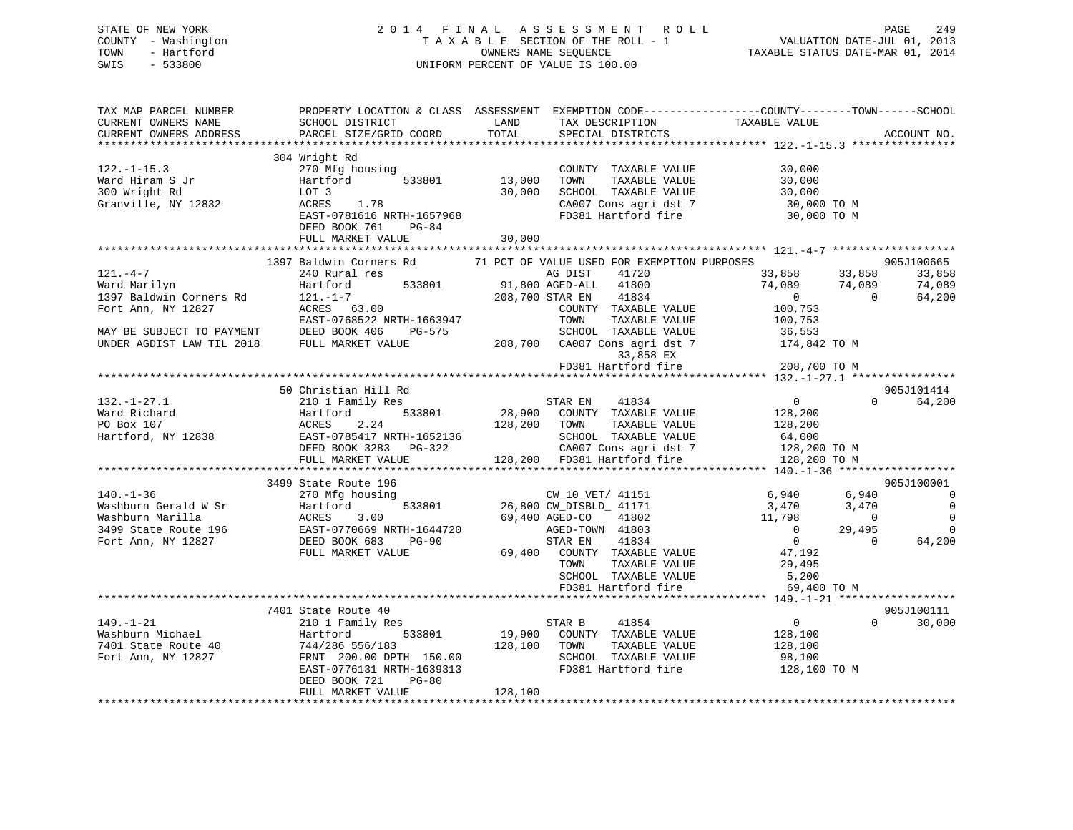## STATE OF NEW YORK 2 0 1 4 F I N A L A S S E S S M E N T R O L L PAGE 249 COUNTY - Washington T A X A B L E SECTION OF THE ROLL - 1 VALUATION DATE-JUL 01, 2013 TOWN - Hartford **TAXABLE STATUS DATE-MAR 01, 2014** OWNERS NAME SEQUENCE TAXABLE STATUS DATE-MAR 01, 2014 SWIS - 533800 UNIFORM PERCENT OF VALUE IS 100.00

| TAX MAP PARCEL NUMBER<br>CURRENT OWNERS NAME<br>CURRENT OWNERS ADDRESS | PROPERTY LOCATION & CLASS ASSESSMENT EXEMPTION CODE---------------COUNTY-------TOWN------SCHOOL<br>SCHOOL DISTRICT<br>PARCEL SIZE/GRID COORD | LAND<br>TOTAL | TAX DESCRIPTION<br>SPECIAL DISTRICTS        | TAXABLE VALUE            | ACCOUNT NO.            |
|------------------------------------------------------------------------|----------------------------------------------------------------------------------------------------------------------------------------------|---------------|---------------------------------------------|--------------------------|------------------------|
| **********************                                                 |                                                                                                                                              |               |                                             |                          |                        |
|                                                                        | 304 Wright Rd                                                                                                                                |               |                                             |                          |                        |
| $122. - 1 - 15.3$                                                      | 270 Mfg housing                                                                                                                              |               | COUNTY TAXABLE VALUE                        | 30,000                   |                        |
| Ward Hiram S Jr                                                        | 533801<br>Hartford                                                                                                                           | 13,000        | TOWN<br>TAXABLE VALUE                       | 30,000                   |                        |
| 300 Wright Rd                                                          | LOT 3                                                                                                                                        | 30,000        | SCHOOL TAXABLE VALUE                        | 30,000                   |                        |
| Granville, NY 12832                                                    | 1.78<br>ACRES                                                                                                                                |               | CA007 Cons agri dst 7                       | 30,000 TO M              |                        |
|                                                                        | EAST-0781616 NRTH-1657968                                                                                                                    |               | FD381 Hartford fire                         | 30,000 TO M              |                        |
|                                                                        | DEED BOOK 761<br>PG-84                                                                                                                       |               |                                             |                          |                        |
|                                                                        | FULL MARKET VALUE                                                                                                                            | 30,000        |                                             |                          |                        |
|                                                                        |                                                                                                                                              |               |                                             |                          |                        |
|                                                                        | 1397 Baldwin Corners Rd                                                                                                                      |               | 71 PCT OF VALUE USED FOR EXEMPTION PURPOSES |                          | 905J100665             |
| $121. -4 -7$                                                           | 240 Rural res                                                                                                                                |               | AG DIST<br>41720                            | 33,858<br>33,858         | 33,858                 |
| Ward Marilyn                                                           | 533801<br>Hartford                                                                                                                           |               | 91,800 AGED-ALL 41800                       | 74,089<br>74,089         | 74,089                 |
| 1397 Baldwin Corners Rd                                                | $121. - 1 - 7$                                                                                                                               |               | 208,700 STAR EN<br>41834                    | $\overline{0}$           | 64,200<br>$\Omega$     |
| Fort Ann, NY 12827                                                     | ACRES 63.00                                                                                                                                  |               | COUNTY TAXABLE VALUE                        | 100,753                  |                        |
|                                                                        | EAST-0768522 NRTH-1663947                                                                                                                    |               | TOWN<br>TAXABLE VALUE                       | 100,753                  |                        |
| MAY BE SUBJECT TO PAYMENT                                              | DEED BOOK 406<br>PG-575                                                                                                                      |               | SCHOOL TAXABLE VALUE                        | 36,553                   |                        |
| UNDER AGDIST LAW TIL 2018                                              | FULL MARKET VALUE                                                                                                                            | 208,700       | CA007 Cons agri dst 7                       | 174,842 TO M             |                        |
|                                                                        |                                                                                                                                              |               | 33,858 EX                                   |                          |                        |
|                                                                        | ********************************                                                                                                             |               | FD381 Hartford fire                         | 208,700 TO M             |                        |
|                                                                        |                                                                                                                                              |               |                                             |                          |                        |
|                                                                        | 50 Christian Hill Rd                                                                                                                         |               |                                             |                          | 905J101414             |
| $132. - 1 - 27.1$                                                      | 210 1 Family Res                                                                                                                             |               | STAR EN<br>41834                            | $\overline{0}$           | $\Omega$<br>64,200     |
| Ward Richard                                                           | Hartford<br>533801                                                                                                                           |               | 28,900 COUNTY TAXABLE VALUE                 | 128,200                  |                        |
| PO Box 107                                                             | ACRES<br>2.24                                                                                                                                | 128,200       | TOWN<br>TAXABLE VALUE                       | 128,200                  |                        |
| Hartford, NY 12838                                                     | EAST-0785417 NRTH-1652136                                                                                                                    |               | SCHOOL TAXABLE VALUE                        | 64,000                   |                        |
|                                                                        | DEED BOOK 3283 PG-322                                                                                                                        |               | CA007 Cons agri dst 7                       | 128,200 TO M             |                        |
|                                                                        | FULL MARKET VALUE                                                                                                                            |               | 128,200 FD381 Hartford fire                 | 128,200 TO M             |                        |
|                                                                        |                                                                                                                                              |               |                                             |                          |                        |
|                                                                        | 3499 State Route 196                                                                                                                         |               |                                             |                          | 905J100001             |
| $140. - 1 - 36$                                                        | 270 Mfg housing                                                                                                                              |               | CW_10_VET/ 41151                            | 6,940<br>6,940           | $\overline{0}$         |
| Washburn Gerald W Sr                                                   | 533801<br>Hartford                                                                                                                           |               | 26,800 CW_DISBLD_ 41171                     | 3,470<br>3,470           | $\overline{0}$         |
| Washburn Marilla                                                       | ACRES<br>3.00                                                                                                                                |               | 69,400 AGED-CO<br>41802                     | 11,798                   | $\Omega$<br>$\bigcirc$ |
| 3499 State Route 196                                                   | EAST-0770669 NRTH-1644720                                                                                                                    |               | AGED-TOWN 41803                             | $\overline{0}$<br>29,495 | $\mathbf 0$            |
| Fort Ann, NY 12827                                                     | DEED BOOK 683<br>PG-90                                                                                                                       |               | STAR EN<br>41834                            | $\overline{0}$           | 64,200<br>$\Omega$     |
|                                                                        | FULL MARKET VALUE                                                                                                                            |               | 69,400 COUNTY TAXABLE VALUE                 | 47,192                   |                        |
|                                                                        |                                                                                                                                              |               | TAXABLE VALUE<br>TOWN                       | 29,495                   |                        |
|                                                                        |                                                                                                                                              |               | SCHOOL TAXABLE VALUE                        | 5,200                    |                        |
|                                                                        |                                                                                                                                              |               | FD381 Hartford fire                         | 69,400 TO M              |                        |
|                                                                        |                                                                                                                                              |               |                                             |                          |                        |
|                                                                        | 7401 State Route 40                                                                                                                          |               |                                             |                          | 905J100111             |
| $149. - 1 - 21$                                                        | 210 1 Family Res                                                                                                                             |               | STAR B<br>41854                             | $\overline{0}$           | $\Omega$<br>30,000     |
| Washburn Michael                                                       | Hartford<br>533801                                                                                                                           | 19,900        | COUNTY TAXABLE VALUE                        | 128,100                  |                        |
| 7401 State Route 40                                                    | 744/286 556/183                                                                                                                              | 128,100       | TOWN<br>TAXABLE VALUE                       | 128,100                  |                        |
| Fort Ann, NY 12827                                                     | FRNT 200.00 DPTH 150.00                                                                                                                      |               | SCHOOL TAXABLE VALUE                        | 98,100                   |                        |
|                                                                        | EAST-0776131 NRTH-1639313                                                                                                                    |               | FD381 Hartford fire                         | 128,100 TO M             |                        |
|                                                                        | DEED BOOK 721<br>$PG-80$<br>FULL MARKET VALUE                                                                                                |               |                                             |                          |                        |
|                                                                        |                                                                                                                                              | 128,100       |                                             |                          |                        |
|                                                                        |                                                                                                                                              |               |                                             |                          |                        |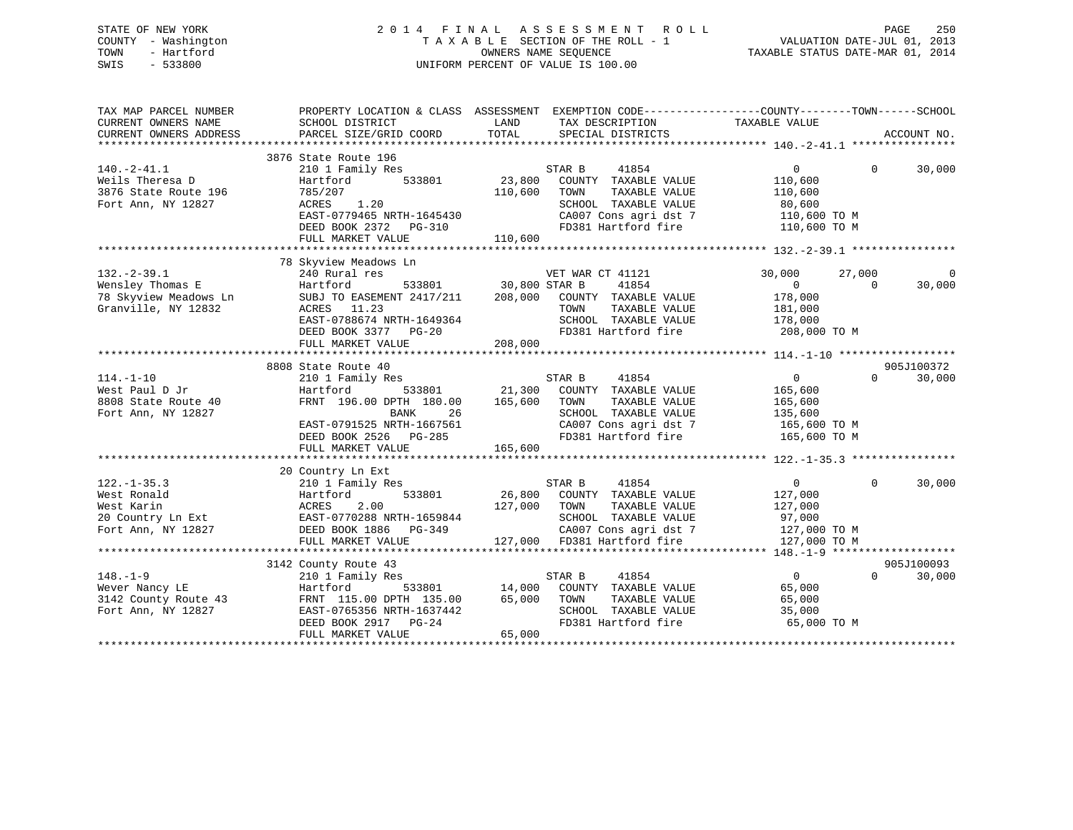## STATE OF NEW YORK 2 0 1 4 F I N A L A S S E S S M E N T R O L L PAGE 250 COUNTY - Washington T A X A B L E SECTION OF THE ROLL - 1 VALUATION DATE-JUL 01, 2013 TOWN - Hartford **TAXABLE STATUS DATE-MAR 01, 2014** OWNERS NAME SEQUENCE TAXABLE STATUS DATE-MAR 01, 2014 SWIS - 533800 UNIFORM PERCENT OF VALUE IS 100.00

| TAX MAP PARCEL NUMBER<br>CURRENT OWNERS NAME<br>CURRENT OWNERS ADDRESS                    | PROPERTY LOCATION & CLASS ASSESSMENT EXEMPTION CODE----------------COUNTY-------TOWN------SCHOOL<br>SCHOOL DISTRICT<br>PARCEL SIZE/GRID COORD                                     | LAND<br>TOTAL                               | TAX DESCRIPTION TAXABLE VALUE<br>SPECIAL DISTRICTS                                                                                            |                                                                                                                          |                    | ACCOUNT NO.           |
|-------------------------------------------------------------------------------------------|-----------------------------------------------------------------------------------------------------------------------------------------------------------------------------------|---------------------------------------------|-----------------------------------------------------------------------------------------------------------------------------------------------|--------------------------------------------------------------------------------------------------------------------------|--------------------|-----------------------|
| $140.-2-41.1$<br>Weils Theresa D<br>3876 State Route 196<br>Fort Ann, NY 12827            | 3876 State Route 196<br>210 1 Family Res<br>Hartford<br>533801<br>785/207<br>1.20<br>ACRES<br>EAST-0779465 NRTH-1645430<br>DEED BOOK 2372 PG-310<br>FULL MARKET VALUE             | STAR B<br>23,800<br>110,600<br>110,600      | 41854<br>COUNTY TAXABLE VALUE<br>TAXABLE VALUE<br>TOWN<br>SCHOOL TAXABLE VALUE                                                                | $\Omega$<br>110,600<br>110,600<br>80,600<br>$CA007$ Cons agri dst 7 $110,600$ TO M<br>FD381 Hartford fire $110,600$ TO M | $\Omega$           | 30,000                |
|                                                                                           |                                                                                                                                                                                   |                                             |                                                                                                                                               |                                                                                                                          |                    |                       |
| $132. - 2 - 39.1$<br>Wensley Thomas E<br>78 Skyview Meadows Ln<br>Granville, NY 12832     | 78 Skyview Meadows Ln<br>240 Rural res<br>Hartford<br>SUBJ TO EASEMENT 2417/211<br>ACRES 11.23<br>EAST-0788674 NRTH-1649364<br>DEED BOOK 3377 PG-20<br>FULL MARKET VALUE          | 533801 30,800 STAR B<br>208,000<br>208,000  | VET WAR CT 41121<br>41854<br>COUNTY TAXABLE VALUE<br>TOWN<br>TAXABLE VALUE<br>SCHOOL TAXABLE VALUE<br>FD381 Hartford fire                     | 30,000<br>$\overline{0}$<br>178,000<br>181,000<br>178,000<br>208,000 TO M                                                | 27,000<br>$\Omega$ | $\mathbf 0$<br>30,000 |
|                                                                                           |                                                                                                                                                                                   |                                             |                                                                                                                                               |                                                                                                                          |                    |                       |
| $114. - 1 - 10$<br>West Paul D Jr<br>8808 State Route 40<br>Fort Ann, NY 12827            | 8808 State Route 40<br>210 1 Family Res<br>533801<br>Hartford<br>FRNT 196.00 DPTH 180.00<br>BANK<br>26<br>EAST-0791525 NRTH-1667561<br>DEED BOOK 2526 PG-285<br>FULL MARKET VALUE | STAR B<br>165,600<br>165,600                | 41854<br>21,300 COUNTY TAXABLE VALUE<br>TOWN<br>TAXABLE VALUE<br>SCHOOL TAXABLE VALUE<br>CA007 Cons agri dst 7<br>FD381 Hartford fire         | $\overline{0}$<br>165,600<br>165,600<br>135,600<br>165,600 TO M<br>165,600 TO M                                          | $\Omega$           | 905J100372<br>30,000  |
|                                                                                           |                                                                                                                                                                                   |                                             |                                                                                                                                               |                                                                                                                          |                    |                       |
| $122. - 1 - 35.3$<br>West Ronald<br>West Karin<br>20 Country Ln Ext<br>Fort Ann, NY 12827 | 20 Country Ln Ext<br>210 1 Family Res<br>533801<br>Hartford<br>2.00<br>ACRES<br>EAST-0770288 NRTH-1659844<br>DEED BOOK 1886 PG-349<br>FULL MARKET VALUE                           | STAR B<br>127,000                           | 41854<br>26,800 COUNTY TAXABLE VALUE<br>TOWN<br>TAXABLE VALUE<br>SCHOOL TAXABLE VALUE<br>CA007 Cons agri dst 7<br>127,000 FD381 Hartford fire | $\overline{0}$<br>127,000<br>127,000<br>97,000<br>127,000 TO M<br>127,000 TO M                                           | $\Omega$           | 30,000                |
|                                                                                           |                                                                                                                                                                                   |                                             |                                                                                                                                               |                                                                                                                          |                    |                       |
| $148. - 1 - 9$<br>Wever Nancy LE<br>3142 County Route 43<br>Fort Ann, NY 12827            | 3142 County Route 43<br>210 1 Family Res<br>Hartford<br>FRNT 115.00 DPTH 135.00<br>EAST-0765356 NRTH-1637442<br>DEED BOOK 2917 PG-24<br>FULL MARKET VALUE                         | STAR B<br>533801 14,000<br>65,000<br>65,000 | 41854<br>COUNTY TAXABLE VALUE<br>TAXABLE VALUE<br>TOWN<br>SCHOOL TAXABLE VALUE<br>FD381 Hartford fire                                         | $\overline{0}$<br>65,000<br>65,000<br>35,000<br>65,000 TO M                                                              | $\Omega$           | 905J100093<br>30,000  |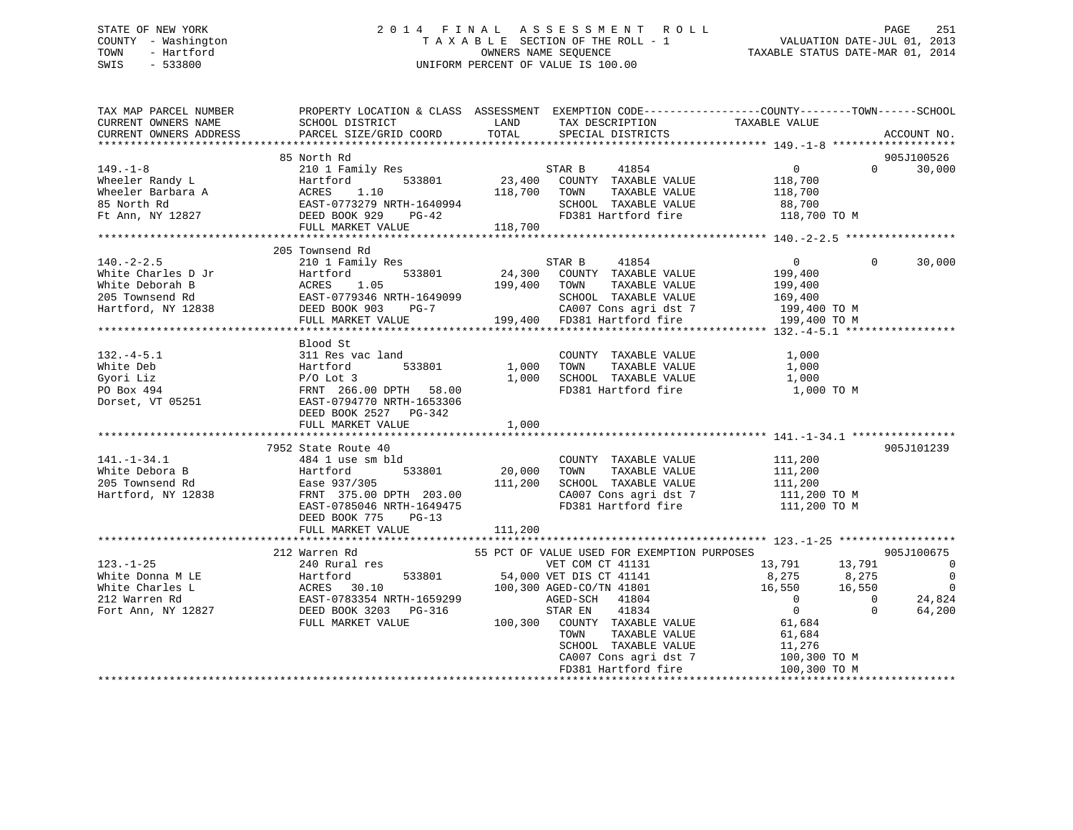## STATE OF NEW YORK 2 0 1 4 F I N A L A S S E S S M E N T R O L L PAGE 251 COUNTY - Washington T A X A B L E SECTION OF THE ROLL - 1 VALUATION DATE-JUL 01, 2013 TOWN - Hartford **TAXABLE STATUS DATE-MAR 01, 2014** OWNERS NAME SEQUENCE TAXABLE STATUS DATE-MAR 01, 2014 SWIS - 533800 UNIFORM PERCENT OF VALUE IS 100.00

| TAX MAP PARCEL NUMBER<br>CURRENT OWNERS NAME<br>CURRENT OWNERS ADDRESS | PROPERTY LOCATION & CLASS ASSESSMENT<br>SCHOOL DISTRICT<br>PARCEL SIZE/GRID COORD | LAND<br>TOTAL | TAX DESCRIPTION<br>SPECIAL DISTRICTS        | EXEMPTION CODE-----------------COUNTY-------TOWN------SCHOOL<br>TAXABLE VALUE | ACCOUNT NO.                      |
|------------------------------------------------------------------------|-----------------------------------------------------------------------------------|---------------|---------------------------------------------|-------------------------------------------------------------------------------|----------------------------------|
|                                                                        |                                                                                   |               |                                             |                                                                               |                                  |
|                                                                        | 85 North Rd                                                                       |               |                                             |                                                                               | 905J100526                       |
| $149. - 1 - 8$                                                         | 210 1 Family Res                                                                  |               | STAR B<br>41854                             | $\overline{0}$                                                                | $\Omega$<br>30,000               |
| Wheeler Randy L                                                        | 533801<br>Hartford                                                                | 23,400        | COUNTY TAXABLE VALUE                        | 118,700                                                                       |                                  |
| Wheeler Barbara A                                                      | ACRES<br>1.10                                                                     | 118,700       | TOWN<br>TAXABLE VALUE                       | 118,700                                                                       |                                  |
| 85 North Rd                                                            | EAST-0773279 NRTH-1640994                                                         |               | SCHOOL TAXABLE VALUE                        | 88,700                                                                        |                                  |
| Ft Ann, NY 12827                                                       | DEED BOOK 929<br>$PG-42$                                                          |               | FD381 Hartford fire                         | 118,700 TO M                                                                  |                                  |
|                                                                        | FULL MARKET VALUE                                                                 | 118,700       |                                             |                                                                               |                                  |
|                                                                        |                                                                                   |               |                                             |                                                                               |                                  |
|                                                                        | 205 Townsend Rd                                                                   |               |                                             |                                                                               |                                  |
| $140. - 2 - 2.5$                                                       | 210 1 Family Res                                                                  |               | STAR B<br>41854                             | $\overline{0}$                                                                | $\Omega$<br>30,000               |
| White Charles D Jr                                                     | 533801<br>Hartford                                                                | 24,300        | COUNTY TAXABLE VALUE                        | 199,400                                                                       |                                  |
| White Deborah B                                                        | 1.05<br>ACRES                                                                     | 199,400       | TAXABLE VALUE<br>TOWN                       | 199,400                                                                       |                                  |
| 205 Townsend Rd                                                        | EAST-0779346 NRTH-1649099                                                         |               | SCHOOL TAXABLE VALUE                        | 169,400                                                                       |                                  |
| Hartford, NY 12838                                                     | DEED BOOK 903<br>PG-7                                                             |               | CA007 Cons agri dst 7                       | 199,400 ТО М                                                                  |                                  |
|                                                                        | FULL MARKET VALUE                                                                 |               | 199,400 FD381 Hartford fire                 | 199,400 TO M                                                                  |                                  |
|                                                                        |                                                                                   |               |                                             |                                                                               |                                  |
|                                                                        | Blood St                                                                          |               |                                             |                                                                               |                                  |
| $132. -4 - 5.1$                                                        | 311 Res vac land                                                                  |               | COUNTY TAXABLE VALUE                        | 1,000                                                                         |                                  |
| White Deb                                                              | Hartford<br>533801                                                                | 1,000         | TOWN<br>TAXABLE VALUE                       | 1,000                                                                         |                                  |
| Gyori Liz                                                              | $P/O$ Lot 3                                                                       | 1,000         | SCHOOL TAXABLE VALUE                        | 1,000                                                                         |                                  |
| PO Box 494                                                             | FRNT 266.00 DPTH<br>58.00                                                         |               | FD381 Hartford fire                         | 1,000 TO M                                                                    |                                  |
| Dorset, VT 05251                                                       | EAST-0794770 NRTH-1653306                                                         |               |                                             |                                                                               |                                  |
|                                                                        | DEED BOOK 2527 PG-342                                                             |               |                                             |                                                                               |                                  |
|                                                                        | FULL MARKET VALUE                                                                 | 1,000         |                                             |                                                                               |                                  |
|                                                                        |                                                                                   |               |                                             |                                                                               |                                  |
|                                                                        | 7952 State Route 40                                                               |               |                                             |                                                                               | 905J101239                       |
| $141. - 1 - 34.1$                                                      | 484 1 use sm bld                                                                  |               | COUNTY TAXABLE VALUE                        | 111,200                                                                       |                                  |
| White Debora B                                                         | Hartford<br>533801                                                                | 20,000        | TAXABLE VALUE<br>TOWN                       | 111,200                                                                       |                                  |
| 205 Townsend Rd                                                        | Ease 937/305                                                                      | 111,200       | SCHOOL TAXABLE VALUE                        | 111,200                                                                       |                                  |
| Hartford, NY 12838                                                     | FRNT 375.00 DPTH 203.00                                                           |               | CA007 Cons agri dst 7                       | 111,200 TO M                                                                  |                                  |
|                                                                        | EAST-0785046 NRTH-1649475                                                         |               | FD381 Hartford fire                         | 111,200 TO M                                                                  |                                  |
|                                                                        | $PG-13$<br>DEED BOOK 775                                                          |               |                                             |                                                                               |                                  |
|                                                                        | FULL MARKET VALUE                                                                 | 111,200       |                                             |                                                                               |                                  |
|                                                                        |                                                                                   |               |                                             |                                                                               |                                  |
|                                                                        | 212 Warren Rd                                                                     |               | 55 PCT OF VALUE USED FOR EXEMPTION PURPOSES |                                                                               | 905J100675                       |
| $123 - 1 - 25$                                                         | 240 Rural res<br>533801                                                           |               | VET COM CT 41131                            | 13,791<br>13,791                                                              | $\overline{0}$<br>$\overline{0}$ |
| White Donna M LE                                                       | Hartford                                                                          |               | 54,000 VET DIS CT 41141                     | 8,275<br>8,275                                                                |                                  |
| White Charles L                                                        | ACRES 30.10                                                                       |               | 100,300 AGED-CO/TN 41801                    | 16,550<br>16,550<br>$\Omega$                                                  | $\overline{0}$                   |
| 212 Warren Rd                                                          | EAST-0783354 NRTH-1659299                                                         |               | AGED-SCH<br>41804                           |                                                                               | 24,824<br>$\overline{0}$         |
| Fort Ann, NY 12827                                                     | DEED BOOK 3203 PG-316                                                             |               | 41834<br>STAR EN                            | $\overline{0}$                                                                | $\Omega$<br>64,200               |
|                                                                        | FULL MARKET VALUE                                                                 | 100,300       | COUNTY TAXABLE VALUE                        | 61,684                                                                        |                                  |
|                                                                        |                                                                                   |               | TOWN<br>TAXABLE VALUE                       | 61,684                                                                        |                                  |
|                                                                        |                                                                                   |               | SCHOOL TAXABLE VALUE                        | 11,276                                                                        |                                  |
|                                                                        |                                                                                   |               | CA007 Cons agri dst 7                       | 100,300 TO M                                                                  |                                  |
|                                                                        |                                                                                   |               | FD381 Hartford fire                         | 100,300 TO M                                                                  |                                  |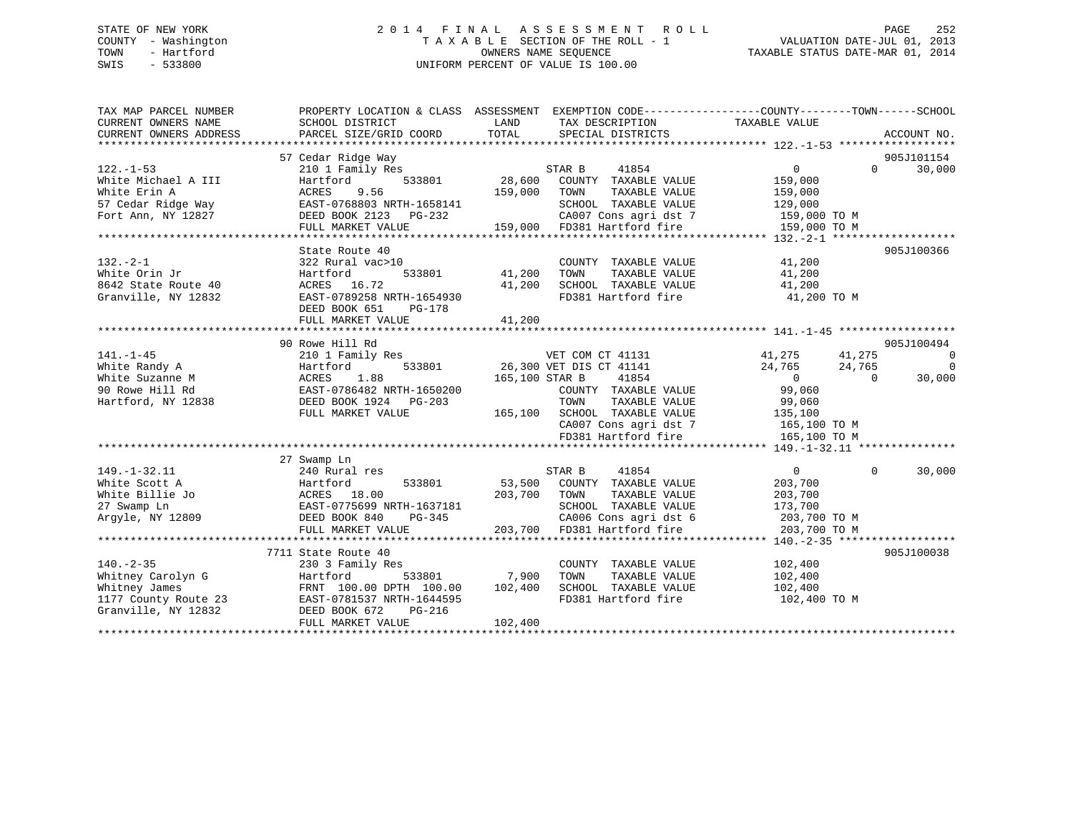## STATE OF NEW YORK 2 0 1 4 F I N A L A S S E S S M E N T R O L L PAGE 252 COUNTY - Washington T A X A B L E SECTION OF THE ROLL - 1 VALUATION DATE-JUL 01, 2013 TOWN - Hartford **TAXABLE STATUS DATE-MAR 01, 2014** OWNERS NAME SEQUENCE TAXABLE STATUS DATE-MAR 01, 2014 SWIS - 533800 UNIFORM PERCENT OF VALUE IS 100.00

| TAX MAP PARCEL NUMBER<br>CURRENT OWNERS NAME | PROPERTY LOCATION & CLASS ASSESSMENT<br>SCHOOL DISTRICT | LAND           | TAX DESCRIPTION                              | EXEMPTION CODE----------------COUNTY-------TOWN------SCHOOL<br>TAXABLE VALUE |             |
|----------------------------------------------|---------------------------------------------------------|----------------|----------------------------------------------|------------------------------------------------------------------------------|-------------|
| CURRENT OWNERS ADDRESS                       | PARCEL SIZE/GRID COORD                                  | TOTAL          | SPECIAL DISTRICTS                            |                                                                              | ACCOUNT NO. |
|                                              | 57 Cedar Ridge Way                                      |                |                                              |                                                                              | 905J101154  |
| $122. - 1 - 53$                              | 210 1 Family Res                                        |                | STAR B<br>41854                              | $\Omega$<br>$\Omega$                                                         | 30,000      |
| White Michael A III                          | Hartford<br>533801                                      | 28,600         | COUNTY TAXABLE VALUE                         | 159,000                                                                      |             |
| White Erin A                                 | ACRES<br>9.56                                           | 159,000        | TOWN<br>TAXABLE VALUE                        | 159,000                                                                      |             |
| 57 Cedar Ridge Way                           | EAST-0768803 NRTH-1658141                               |                | SCHOOL TAXABLE VALUE                         | 129,000                                                                      |             |
| Fort Ann, NY 12827                           | DEED BOOK 2123 PG-232                                   |                | CA007 Cons agri dst 7                        | 159,000 TO M                                                                 |             |
|                                              | FULL MARKET VALUE                                       |                | 159,000 FD381 Hartford fire                  | 159,000 TO M                                                                 |             |
|                                              |                                                         |                |                                              |                                                                              |             |
|                                              | State Route 40                                          |                |                                              |                                                                              | 905J100366  |
| $132 - 2 - 1$                                | 322 Rural vac>10                                        |                | COUNTY TAXABLE VALUE                         | 41,200                                                                       |             |
| White Orin Jr                                | Hartford<br>533801                                      | 41,200         | TOWN<br>TAXABLE VALUE                        | 41,200                                                                       |             |
| 8642 State Route 40                          | ACRES 16.72                                             | 41,200         | SCHOOL TAXABLE VALUE                         | 41,200                                                                       |             |
| Granville, NY 12832                          | EAST-0789258 NRTH-1654930                               |                | FD381 Hartford fire                          | 41,200 TO M                                                                  |             |
|                                              | DEED BOOK 651<br>PG-178                                 |                |                                              |                                                                              |             |
|                                              | FULL MARKET VALUE                                       | 41,200         |                                              |                                                                              |             |
|                                              |                                                         |                |                                              |                                                                              |             |
|                                              | 90 Rowe Hill Rd                                         |                |                                              |                                                                              | 905J100494  |
| $141. - 1 - 45$                              | 210 1 Family Res                                        |                | VET COM CT 41131                             | 41,275<br>41,275                                                             | $\Omega$    |
| White Randy A                                | 533801<br>Hartford                                      |                | 26,300 VET DIS CT 41141                      | 24,765<br>24,765                                                             | $\Omega$    |
| White Suzanne M                              | 1.88<br>ACRES                                           | 165,100 STAR B | 41854                                        | $\overline{0}$<br>$\Omega$                                                   | 30,000      |
| 90 Rowe Hill Rd                              | EAST-0786482 NRTH-1650200                               |                | COUNTY TAXABLE VALUE                         | 99,060                                                                       |             |
| Hartford, NY 12838                           | DEED BOOK 1924 PG-203                                   |                | TAXABLE VALUE<br>TOWN                        | 99,060                                                                       |             |
|                                              | FULL MARKET VALUE                                       |                | 165,100 SCHOOL TAXABLE VALUE                 | 135,100                                                                      |             |
|                                              |                                                         |                | CA007 Cons agri dst 7                        | 165,100 TO M                                                                 |             |
|                                              |                                                         |                | FD381 Hartford fire                          | 165,100 TO M                                                                 |             |
|                                              |                                                         |                |                                              |                                                                              |             |
|                                              | 27 Swamp Ln                                             |                |                                              |                                                                              |             |
| $149. - 1 - 32.11$                           | 240 Rural res                                           |                | STAR B<br>41854                              | $\Omega$<br>$\Omega$                                                         | 30,000      |
| White Scott A<br>White Billie Jo             | Hartford<br>533801                                      | 53,500         | COUNTY TAXABLE VALUE                         | 203,700                                                                      |             |
|                                              | ACRES 18.00                                             | 203,700        | TOWN<br>TAXABLE VALUE                        | 203,700                                                                      |             |
| 27 Swamp Ln                                  | EAST-0775699 NRTH-1637181<br>DEED BOOK 840              |                | SCHOOL TAXABLE VALUE                         | 173,700                                                                      |             |
| Argyle, NY 12809                             | PG-345                                                  | 203,700        | CA006 Cons agri dst 6<br>FD381 Hartford fire | 203,700 TO M<br>203,700 TO M                                                 |             |
|                                              | FULL MARKET VALUE                                       |                |                                              |                                                                              |             |
|                                              | 7711 State Route 40                                     |                |                                              |                                                                              | 905J100038  |
| $140. - 2 - 35$                              | 230 3 Family Res                                        |                | COUNTY TAXABLE VALUE                         | 102,400                                                                      |             |
| Whitney Carolyn G                            | Hartford<br>533801                                      | 7,900          | TAXABLE VALUE<br>TOWN                        | 102,400                                                                      |             |
| Whitney James                                | FRNT 100.00 DPTH 100.00                                 | 102,400        | SCHOOL TAXABLE VALUE                         | 102,400                                                                      |             |
| 1177 County Route 23                         | EAST-0781537 NRTH-1644595                               |                | FD381 Hartford fire                          | 102,400 TO M                                                                 |             |
| Granville, NY 12832                          | DEED BOOK 672<br>$PG-216$                               |                |                                              |                                                                              |             |
|                                              | FULL MARKET VALUE                                       | 102,400        |                                              |                                                                              |             |
|                                              |                                                         |                |                                              |                                                                              |             |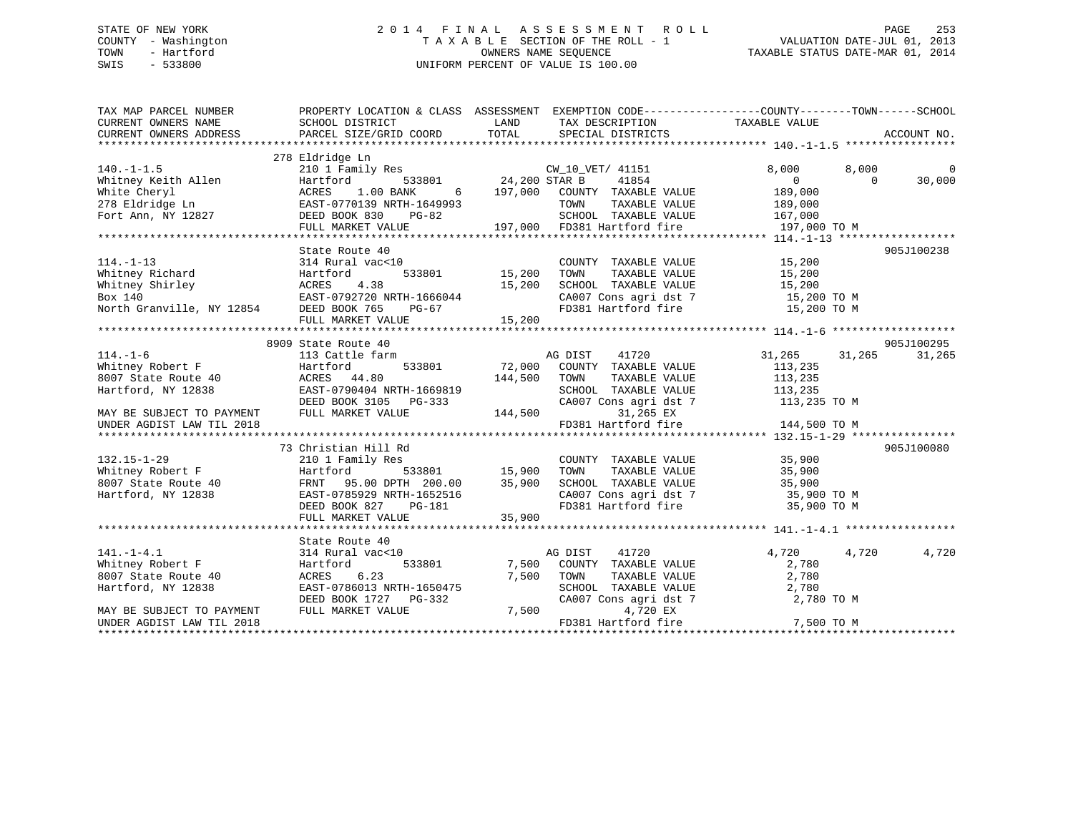# STATE OF NEW YORK 2 0 1 4 F I N A L A S S E S S M E N T R O L L PAGE 253 COUNTY - Washington T A X A B L E SECTION OF THE ROLL - 1 VALUATION DATE-JUL 01, 2013 TOWN - Hartford **TAXABLE STATUS DATE-MAR 01, 2014** OWNERS NAME SEQUENCE TAXABLE STATUS DATE-MAR 01, 2014 SWIS - 533800 UNIFORM PERCENT OF VALUE IS 100.00

| TAX MAP PARCEL NUMBER<br>CURRENT OWNERS NAME<br>CURRENT OWNERS ADDRESS                                                                                                                                                                                                                                                                                                                                        | PROPERTY LOCATION & CLASS ASSESSMENT EXEMPTION CODE----------------COUNTY-------TOWN-----SCHOOL<br>SCHOOL DISTRICT<br>PARCEL SIZE/GRID COORD | LAND<br>TOTAL | TAX DESCRIPTION TAXABLE VALUE<br>SPECIAL DISTRICTS                       |                |          | ACCOUNT NO. |
|---------------------------------------------------------------------------------------------------------------------------------------------------------------------------------------------------------------------------------------------------------------------------------------------------------------------------------------------------------------------------------------------------------------|----------------------------------------------------------------------------------------------------------------------------------------------|---------------|--------------------------------------------------------------------------|----------------|----------|-------------|
|                                                                                                                                                                                                                                                                                                                                                                                                               |                                                                                                                                              |               |                                                                          |                |          |             |
|                                                                                                                                                                                                                                                                                                                                                                                                               | 278 Eldridge Ln                                                                                                                              |               |                                                                          |                |          |             |
| $140. - 1 - 1.5$                                                                                                                                                                                                                                                                                                                                                                                              | 210 1 Family Res                                                                                                                             |               | CW 10 VET/ 41151                                                         | 8,000          | 8,000    | $\Omega$    |
| Whitney Keith Allen<br>White Cheryl                                                                                                                                                                                                                                                                                                                                                                           | Hartford                                                                                                                                     |               | -<br>533801 24,200 STAR B 41854<br>ANK 6 197,000 COUNTY TAXABLE VALUE    | $\overline{0}$ | $\Omega$ | 30,000      |
|                                                                                                                                                                                                                                                                                                                                                                                                               | 1.00 BANK<br>ACRES                                                                                                                           |               |                                                                          | 189,000        |          |             |
| 278 Eldridge Ln                                                                                                                                                                                                                                                                                                                                                                                               | EAST-0770139 NRTH-1649993                                                                                                                    |               | TAXABLE VALUE<br>TOWN                                                    | 189,000        |          |             |
| Fort Ann, NY 12827                                                                                                                                                                                                                                                                                                                                                                                            | DEED BOOK 830<br>PG-82                                                                                                                       |               | SCHOOL TAXABLE VALUE 167,000<br>197,000 FD381 Hartford fire 197,000 TO M |                |          |             |
|                                                                                                                                                                                                                                                                                                                                                                                                               | FULL MARKET VALUE                                                                                                                            |               |                                                                          |                |          |             |
|                                                                                                                                                                                                                                                                                                                                                                                                               |                                                                                                                                              |               |                                                                          |                |          |             |
|                                                                                                                                                                                                                                                                                                                                                                                                               | State Route 40                                                                                                                               |               |                                                                          |                |          | 905J100238  |
| $114. - 1 - 13$                                                                                                                                                                                                                                                                                                                                                                                               | 314 Rural vac<10                                                                                                                             |               | COUNTY TAXABLE VALUE 15,200                                              |                |          |             |
| Whitney Richard                                                                                                                                                                                                                                                                                                                                                                                               | 533801                                                                                                                                       | 15,200        | TOWN<br>TAXABLE VALUE                                                    |                |          |             |
|                                                                                                                                                                                                                                                                                                                                                                                                               |                                                                                                                                              | 15,200        | SCHOOL TAXABLE VALUE                                                     | 15, 200        |          |             |
|                                                                                                                                                                                                                                                                                                                                                                                                               |                                                                                                                                              |               | CA007 Cons agri dst 7 15,200 TO M                                        |                |          |             |
| Whitney Richard<br>Whitney Shirley<br>Box 140<br>North Granville, NY 12854<br>DEED BOOK 765<br>THE PG-67<br>North Granville, NY 12854<br>DEED BOOK 765<br>THE PG-67<br>PG-67<br>Box 140 EAST-0792720 NRTH-1666044 CA007 Cons agri dst 7 15,200 TO M<br>North Granville, NY 12854 DEED BOOK 765 PG-67 FD381 Hartford fire 15,200 TO M<br>FULL MARKET VALUE 15,200 15,200 EXTERNALLY 15,200 FOR THE 15,200 TO M |                                                                                                                                              |               |                                                                          |                |          |             |
|                                                                                                                                                                                                                                                                                                                                                                                                               |                                                                                                                                              |               |                                                                          |                |          |             |
|                                                                                                                                                                                                                                                                                                                                                                                                               |                                                                                                                                              |               |                                                                          |                |          |             |
|                                                                                                                                                                                                                                                                                                                                                                                                               | 8909 State Route 40                                                                                                                          |               |                                                                          |                |          | 905J100295  |
| $114. - 1 - 6$                                                                                                                                                                                                                                                                                                                                                                                                | 113 Cattle farm                                                                                                                              |               | AG DIST<br>41720                                                         | 31,265         | 31,265   | 31,265      |
| Whitney Robert F<br>$\bigwedge$                                                                                                                                                                                                                                                                                                                                                                               | Hartford                                                                                                                                     |               | 533801 72,000 COUNTY TAXABLE VALUE                                       | 113,235        |          |             |
| 8007 State Route 40                                                                                                                                                                                                                                                                                                                                                                                           | ACRES 44.80                                                                                                                                  | 144,500       | TAXABLE VALUE<br>TOWN                                                    | 113,235        |          |             |
| Hartford, NY 12838                                                                                                                                                                                                                                                                                                                                                                                            | EAST-0790404 NRTH-1669819                                                                                                                    |               | SCHOOL TAXABLE VALUE                                                     | 113,235        |          |             |
|                                                                                                                                                                                                                                                                                                                                                                                                               | DEED BOOK 3105 PG-333                                                                                                                        |               | CA007 Cons agri dst 7 113,235 TO M                                       |                |          |             |
| MAY BE SUBJECT TO PAYMENT                                                                                                                                                                                                                                                                                                                                                                                     | FULL MARKET VALUE                                                                                                                            | 144,500       | 31,265 EX                                                                |                |          |             |
| UNDER AGDIST LAW TIL 2018                                                                                                                                                                                                                                                                                                                                                                                     |                                                                                                                                              |               | FD381 Hartford fire                                                      | 144,500 TO M   |          |             |
|                                                                                                                                                                                                                                                                                                                                                                                                               |                                                                                                                                              |               |                                                                          |                |          |             |
|                                                                                                                                                                                                                                                                                                                                                                                                               | 73 Christian Hill Rd                                                                                                                         |               |                                                                          |                |          | 905J100080  |
| $132.15 - 1 - 29$                                                                                                                                                                                                                                                                                                                                                                                             | 210 1 Family Res                                                                                                                             |               | COUNTY TAXABLE VALUE                                                     | 35,900         |          |             |
| Whitney Robert F<br>8007 State Route 40                                                                                                                                                                                                                                                                                                                                                                       | Hartford                                                                                                                                     |               | TOWN<br>TAXABLE VALUE                                                    | 35,900         |          |             |
|                                                                                                                                                                                                                                                                                                                                                                                                               | FRNT 95.00 DPTH 200.00                                                                                                                       | 35,900        | SCHOOL TAXABLE VALUE 35,900                                              |                |          |             |
| Hartford, NY 12838                                                                                                                                                                                                                                                                                                                                                                                            | EAST-0785929 NRTH-1652516                                                                                                                    |               | CA007 Cons agri dst 7 35,900 TO M<br>FD381 Hartford fire 35,900 TO M     |                |          |             |
|                                                                                                                                                                                                                                                                                                                                                                                                               | DEED BOOK 827<br>PG-181                                                                                                                      |               |                                                                          |                |          |             |
|                                                                                                                                                                                                                                                                                                                                                                                                               | FULL MARKET VALUE                                                                                                                            | 35,900        |                                                                          |                |          |             |
|                                                                                                                                                                                                                                                                                                                                                                                                               |                                                                                                                                              |               |                                                                          |                |          |             |
|                                                                                                                                                                                                                                                                                                                                                                                                               | State Route 40                                                                                                                               |               |                                                                          |                |          |             |
| $141. - 1 - 4.1$                                                                                                                                                                                                                                                                                                                                                                                              | 314 Rural vac<10                                                                                                                             |               | AG DIST<br>41720                                                         | 4,720          | 4,720    | 4,720       |
| Whitney Robert F                                                                                                                                                                                                                                                                                                                                                                                              | Hartford<br>533801                                                                                                                           |               | 7,500 COUNTY TAXABLE VALUE                                               | 2,780          |          |             |
| 8007 State Route 40                                                                                                                                                                                                                                                                                                                                                                                           | ACRES<br>6.23                                                                                                                                | 7,500         | TOWN<br>TAXABLE VALUE                                                    | 2,780          |          |             |
| Hartford, NY 12838                                                                                                                                                                                                                                                                                                                                                                                            | EAST-0786013 NRTH-1650475                                                                                                                    |               | SCHOOL TAXABLE VALUE                                                     | 2,780          |          |             |
|                                                                                                                                                                                                                                                                                                                                                                                                               | DEED BOOK 1727 PG-332                                                                                                                        |               | CA007 Cons agri dst 7                                                    | 2,780 TO M     |          |             |
| MAY BE SUBJECT TO PAYMENT                                                                                                                                                                                                                                                                                                                                                                                     | FULL MARKET VALUE                                                                                                                            | 7,500         | 4,720 EX                                                                 |                |          |             |
| UNDER AGDIST LAW TIL 2018                                                                                                                                                                                                                                                                                                                                                                                     |                                                                                                                                              |               | FD381 Hartford fire                                                      | 7,500 TO M     |          |             |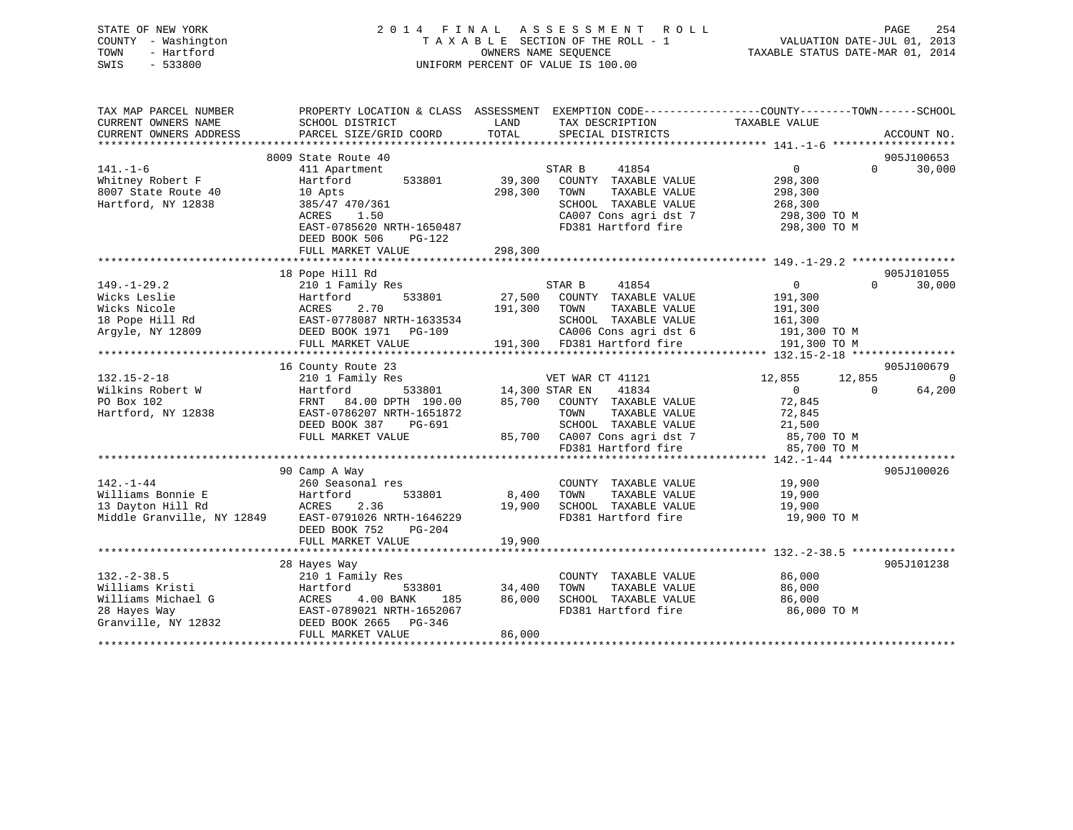| STATE OF NEW YORK   | 2014 FINAL ASSESSMENT ROLL         | 254<br>PAGE                      |
|---------------------|------------------------------------|----------------------------------|
| COUNTY - Washington | TAXABLE SECTION OF THE ROLL - 1    | VALUATION DATE-JUL 01, 2013      |
| - Hartford<br>TOWN  | OWNERS NAME SEOUENCE               | TAXABLE STATUS DATE-MAR 01, 2014 |
| $-533800$<br>SWIS   | UNIFORM PERCENT OF VALUE IS 100.00 |                                  |
|                     |                                    |                                  |

| TAX MAP PARCEL NUMBER  | PROPERTY LOCATION & CLASS ASSESSMENT EXEMPTION CODE---------------COUNTY-------TOWN------SCHOOL |              |                                                                                |                              |           |                |
|------------------------|-------------------------------------------------------------------------------------------------|--------------|--------------------------------------------------------------------------------|------------------------------|-----------|----------------|
| CURRENT OWNERS NAME    | SCHOOL DISTRICT                                                                                 | LAND         | TAX DESCRIPTION                                                                | TAXABLE VALUE                |           |                |
| CURRENT OWNERS ADDRESS | PARCEL SIZE/GRID COORD                                                                          | TOTAL        | SPECIAL DISTRICTS                                                              |                              |           | ACCOUNT NO.    |
|                        |                                                                                                 |              |                                                                                |                              |           |                |
|                        | 8009 State Route 40                                                                             |              |                                                                                |                              |           | 905J100653     |
| $141. - 1 - 6$         | 411 Apartment                                                                                   |              | 41854<br>STAR B                                                                | $0 \qquad \qquad$            | $\Omega$  | 30,000         |
| Whitney Robert F       | 533801<br>Hartford                                                                              | 39,300       | COUNTY TAXABLE VALUE                                                           | 298,300                      |           |                |
| 8007 State Route 40    | 10 Apts                                                                                         | 298,300      | TOWN<br>TAXABLE VALUE                                                          | 298,300                      |           |                |
| Hartford, NY 12838     | 385/47 470/361                                                                                  |              | SCHOOL TAXABLE VALUE                                                           | 268,300                      |           |                |
|                        | 1.50<br>ACRES                                                                                   |              | CA007 Cons agri dst 7<br>FD381 Hartford fire                                   |                              |           |                |
|                        | EAST-0785620 NRTH-1650487                                                                       |              |                                                                                | 298,300 ТО М<br>298,300 ТО М |           |                |
|                        | DEED BOOK 506<br>PG-122                                                                         |              |                                                                                |                              |           |                |
|                        | FULL MARKET VALUE                                                                               | 298,300      |                                                                                |                              |           |                |
|                        |                                                                                                 |              |                                                                                |                              |           |                |
|                        | 18 Pope Hill Rd                                                                                 |              |                                                                                |                              |           | 905J101055     |
| $149. - 1 - 29.2$      | 210 1 Family Res                                                                                |              | STAR B<br>41854                                                                | $\overline{0}$               | $\Omega$  | 30,000         |
| Wicks Leslie           | 533801<br>Hartford                                                                              |              | 27,500 COUNTY TAXABLE VALUE                                                    | 191,300                      |           |                |
| Wicks Nicole           | 2.70<br>ACRES                                                                                   | 191,300 TOWN | TAXABLE VALUE                                                                  | 191,300                      |           |                |
| 18 Pope Hill Rd        | EAST-0778087 NRTH-1633534                                                                       |              | SCHOOL TAXABLE VALUE                                                           | 161,300                      |           |                |
| Argyle, NY 12809       | DEED BOOK 1971    PG-109                                                                        |              | CAUU6 Cons agri dst 6 191,300 TO M<br>191,300 FD381 Hartford fire 191.300 TO M |                              |           |                |
|                        | FULL MARKET VALUE                                                                               |              |                                                                                |                              |           |                |
|                        |                                                                                                 |              |                                                                                |                              |           |                |
|                        | 16 County Route 23                                                                              |              |                                                                                |                              |           | 905J100679     |
| $132.15 - 2 - 18$      | 210 1 Family Res                                                                                |              | VET WAR CT 41121                                                               | 12,855                       | 12,855    | $\overline{0}$ |
| Wilkins Robert W       | Hartford                                                                                        |              | -<br>533801 14,300 STAR EN 41834<br>TH 190.00 85,700 COUNTY TAXABLE VALUE      | $\overline{0}$               | $\bigcap$ | 64,200         |
| PO Box 102             | FRNT 84.00 DPTH 190.00                                                                          |              |                                                                                | 72,845                       |           |                |
| Hartford, NY 12838     | EAST-0786207 NRTH-1651872                                                                       |              | TOWN<br>TAXABLE VALUE                                                          | 72,845                       |           |                |
|                        | DEED BOOK 387 PG-691                                                                            |              | SCHOOL TAXABLE VALUE                                                           | 21,500                       |           |                |
|                        | FULL MARKET VALUE                                                                               |              | 85,700 CA007 Cons agri dst 7 85,700 TO M                                       |                              |           |                |
|                        |                                                                                                 |              | FD381 Hartford fire                                                            | 85,700 TO M                  |           |                |
|                        |                                                                                                 |              |                                                                                |                              |           |                |
|                        | 90 Camp A Way                                                                                   |              |                                                                                |                              |           | 905J100026     |
| $142. - 1 - 44$        | 260 Seasonal res                                                                                |              | COUNTY TAXABLE VALUE 19,900                                                    |                              |           |                |
| Williams Bonnie E      | Hartford<br>533801                                                                              | 8,400        | TOWN<br>TAXABLE VALUE                                                          | 19,900                       |           |                |
|                        | 13 Dayton Hill Rd<br>Middle Granville, NY 12849 EAST-0791026 NRTH-1646229                       | 19,900       | SCHOOL TAXABLE VALUE                                                           | 19,900                       |           |                |
|                        |                                                                                                 |              | FD381 Hartford fire                                                            | 19,900 TO M                  |           |                |
|                        | DEED BOOK 752<br>PG-204                                                                         |              |                                                                                |                              |           |                |
|                        | FULL MARKET VALUE                                                                               | 19,900       |                                                                                |                              |           |                |
|                        |                                                                                                 |              |                                                                                |                              |           |                |
|                        | 28 Hayes Way                                                                                    |              |                                                                                |                              |           | 905J101238     |
| $132. - 2 - 38.5$      | 210 1 Family Res                                                                                |              | COUNTY TAXABLE VALUE                                                           | 86,000                       |           |                |
| Williams Kristi        | 533801<br>Hartford                                                                              | 34,400       | TOWN<br>TAXABLE VALUE                                                          | 86,000                       |           |                |
| Williams Michael G     | ACRES 4.00 Drive<br>EAST-0789021 NRTH-1652067<br>COMPOSE PG-346                                 | 86,000       | SCHOOL TAXABLE VALUE                                                           | 86,000                       |           |                |
| 28 Hayes Way           |                                                                                                 |              | FD381 Hartford fire                                                            | 86,000 TO M                  |           |                |
| Granville, NY 12832    |                                                                                                 |              |                                                                                |                              |           |                |
|                        | FULL MARKET VALUE                                                                               | 86,000       |                                                                                |                              |           |                |
|                        |                                                                                                 |              |                                                                                |                              |           |                |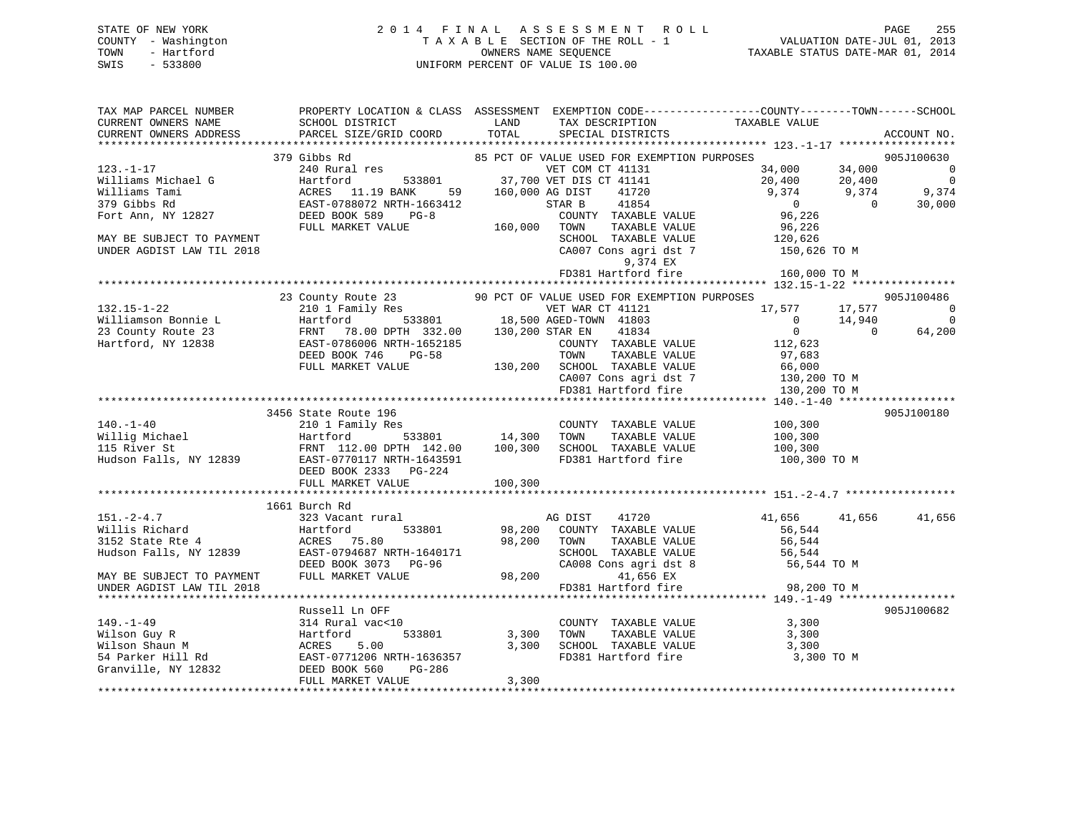| STATE OF NEW YORK   | 2014 FINAL ASSESSMENT ROLL         | 255<br>PAGE                      |
|---------------------|------------------------------------|----------------------------------|
| COUNTY - Washington | TAXABLE SECTION OF THE ROLL - 1    | VALUATION DATE-JUL 01, 2013      |
| TOWN<br>- Hartford  | OWNERS NAME SEOUENCE               | TAXABLE STATUS DATE-MAR 01, 2014 |
| - 533800<br>SWIS    | UNIFORM PERCENT OF VALUE IS 100.00 |                                  |
|                     |                                    |                                  |

| TAX MAP PARCEL NUMBER                                                                                                                                                                                                                                    | PROPERTY LOCATION & CLASS ASSESSMENT EXEMPTION CODE----------------COUNTY-------TOWN------SCHOOL                                                                                                                                                                                                                                                                                                                    |         |                                                                                                                                                                                                        |                                                                                                                                                                                                                                |                          |
|----------------------------------------------------------------------------------------------------------------------------------------------------------------------------------------------------------------------------------------------------------|---------------------------------------------------------------------------------------------------------------------------------------------------------------------------------------------------------------------------------------------------------------------------------------------------------------------------------------------------------------------------------------------------------------------|---------|--------------------------------------------------------------------------------------------------------------------------------------------------------------------------------------------------------|--------------------------------------------------------------------------------------------------------------------------------------------------------------------------------------------------------------------------------|--------------------------|
| CURRENT OWNERS NAME                                                                                                                                                                                                                                      | SCHOOL DISTRICT                                                                                                                                                                                                                                                                                                                                                                                                     | LAND    | TAX DESCRIPTION TAXABLE VALUE                                                                                                                                                                          |                                                                                                                                                                                                                                |                          |
| CURRENT OWNERS ADDRESS                                                                                                                                                                                                                                   | SCHOOL DISTRICT<br>PARCEL SIZE/GRID COORD                                                                                                                                                                                                                                                                                                                                                                           | TOTAL   | SPECIAL DISTRICTS                                                                                                                                                                                      |                                                                                                                                                                                                                                | ACCOUNT NO.              |
|                                                                                                                                                                                                                                                          |                                                                                                                                                                                                                                                                                                                                                                                                                     |         |                                                                                                                                                                                                        |                                                                                                                                                                                                                                |                          |
|                                                                                                                                                                                                                                                          | 379 Gibbs Rd                                                                                                                                                                                                                                                                                                                                                                                                        |         | 85 PCT OF VALUE USED FOR EXEMPTION PURPOSES                                                                                                                                                            |                                                                                                                                                                                                                                | 905J100630               |
| $123. - 1 - 17$                                                                                                                                                                                                                                          | 240 Rural res                                                                                                                                                                                                                                                                                                                                                                                                       |         | 33801 VET COM CT 41131 34,000 34,000 34,000 0<br>NET COM CT 41131 20,400 20,400 0<br>NET COM CT 41141 20,400 20,400 0<br>NET COM CT 41141 20,400 9,374 9,374 9,374<br>TH-1663412 STAR B 41854 0 30,000 |                                                                                                                                                                                                                                |                          |
| Williams Michael G                                                                                                                                                                                                                                       | Hartford                                                                                                                                                                                                                                                                                                                                                                                                            |         |                                                                                                                                                                                                        |                                                                                                                                                                                                                                |                          |
| Williams Tami                                                                                                                                                                                                                                            | ACRES 11.19 BANK                                                                                                                                                                                                                                                                                                                                                                                                    |         |                                                                                                                                                                                                        |                                                                                                                                                                                                                                |                          |
| 379 Gibbs Rd                                                                                                                                                                                                                                             | $\begin{tabular}{lllllll} \texttt{EAST-0788072} & \texttt{RFH-1663412} & \texttt{STAR} & \texttt{S} \\ \texttt{DEED BOOK 589} & \texttt{PG-8} & \texttt{COUNT} \\ \texttt{FULL MARKET VALUE} & \texttt{160,000} & \texttt{TOWN} \\ \end{tabular}$                                                                                                                                                                   |         |                                                                                                                                                                                                        | $\overline{0}$                                                                                                                                                                                                                 |                          |
| Fort Ann, NY 12827                                                                                                                                                                                                                                       |                                                                                                                                                                                                                                                                                                                                                                                                                     |         | COUNTY TAXABLE VALUE                                                                                                                                                                                   | 96,226                                                                                                                                                                                                                         |                          |
|                                                                                                                                                                                                                                                          |                                                                                                                                                                                                                                                                                                                                                                                                                     |         | TAXABLE VALUE                                                                                                                                                                                          | 96,226                                                                                                                                                                                                                         |                          |
| MAY BE SUBJECT TO PAYMENT                                                                                                                                                                                                                                |                                                                                                                                                                                                                                                                                                                                                                                                                     |         |                                                                                                                                                                                                        |                                                                                                                                                                                                                                |                          |
| UNDER AGDIST LAW TIL 2018                                                                                                                                                                                                                                |                                                                                                                                                                                                                                                                                                                                                                                                                     |         |                                                                                                                                                                                                        | $\begin{tabular}{lllllllll} \texttt{SCHOOL} & \texttt{TAXABLE} & \texttt{VALUE} & & & 120,626 \\ \texttt{CA007} & \texttt{Cons}\ \texttt{agri}\ \texttt{dst}\ \texttt{7} & & & 150,626\ \texttt{TO}\ \texttt{M} \end{tabular}$ |                          |
|                                                                                                                                                                                                                                                          |                                                                                                                                                                                                                                                                                                                                                                                                                     |         | 9,374 EX                                                                                                                                                                                               |                                                                                                                                                                                                                                |                          |
|                                                                                                                                                                                                                                                          |                                                                                                                                                                                                                                                                                                                                                                                                                     |         | FD381 Hartford fire                                                                                                                                                                                    | 160,000 TO M                                                                                                                                                                                                                   |                          |
|                                                                                                                                                                                                                                                          |                                                                                                                                                                                                                                                                                                                                                                                                                     |         |                                                                                                                                                                                                        |                                                                                                                                                                                                                                |                          |
|                                                                                                                                                                                                                                                          | 23 County Route 23 90 PCT OF VALUE USED FOR EXEMPTION PURPOSES                                                                                                                                                                                                                                                                                                                                                      |         |                                                                                                                                                                                                        |                                                                                                                                                                                                                                | 905J100486               |
|                                                                                                                                                                                                                                                          | 132.15-1-22<br>Williamson Bonnie L<br>210 1 Family Res<br>23 County Route 23<br>FRNT 78.00 DPTH 332.00<br>23 County Route 23<br>Hartford, NY 12838<br>23 County Route 23<br>23 County Route 23<br>23 County Route 23<br>23 County Route 23<br>24 COU                                                                                                                                                                |         |                                                                                                                                                                                                        | 17,577 17,577                                                                                                                                                                                                                  | $\sim$ 0                 |
|                                                                                                                                                                                                                                                          |                                                                                                                                                                                                                                                                                                                                                                                                                     |         |                                                                                                                                                                                                        | $\overline{0}$                                                                                                                                                                                                                 | $\overline{0}$<br>14,940 |
|                                                                                                                                                                                                                                                          |                                                                                                                                                                                                                                                                                                                                                                                                                     |         |                                                                                                                                                                                                        | $\overline{0}$                                                                                                                                                                                                                 | $\overline{0}$<br>64,200 |
|                                                                                                                                                                                                                                                          |                                                                                                                                                                                                                                                                                                                                                                                                                     |         | COUNTY TAXABLE VALUE 112,623                                                                                                                                                                           |                                                                                                                                                                                                                                |                          |
|                                                                                                                                                                                                                                                          |                                                                                                                                                                                                                                                                                                                                                                                                                     |         |                                                                                                                                                                                                        | 97,683                                                                                                                                                                                                                         |                          |
|                                                                                                                                                                                                                                                          | FULL MARKET VALUE                                                                                                                                                                                                                                                                                                                                                                                                   |         |                                                                                                                                                                                                        |                                                                                                                                                                                                                                |                          |
|                                                                                                                                                                                                                                                          |                                                                                                                                                                                                                                                                                                                                                                                                                     |         |                                                                                                                                                                                                        |                                                                                                                                                                                                                                |                          |
|                                                                                                                                                                                                                                                          |                                                                                                                                                                                                                                                                                                                                                                                                                     |         | 130,200 SCHOOL TAXABLE VALUE 97,083<br>130,200 SCHOOL TAXABLE VALUE 66,000<br>CA007 Cons agri dst 7 130,200 TO M<br>FD381 Hartford fire 130,200 TO M                                                   |                                                                                                                                                                                                                                |                          |
|                                                                                                                                                                                                                                                          |                                                                                                                                                                                                                                                                                                                                                                                                                     |         |                                                                                                                                                                                                        |                                                                                                                                                                                                                                |                          |
|                                                                                                                                                                                                                                                          | 3456 State Route 196                                                                                                                                                                                                                                                                                                                                                                                                |         |                                                                                                                                                                                                        |                                                                                                                                                                                                                                | 905J100180               |
|                                                                                                                                                                                                                                                          | 140.-1-40<br>140.-1-40<br>210 1 Family Res<br>210 1 Family Res<br>210 1 Family Res<br>210 1 Family Res<br>210 1 Family Res<br>210 1 Family Res<br>210 1 Family Res<br>210 1 Family Res<br>233801<br>214,300 TOWN TAXABLE VALUE<br>210,300<br>200,300<br>21                                                                                                                                                          |         |                                                                                                                                                                                                        |                                                                                                                                                                                                                                |                          |
|                                                                                                                                                                                                                                                          |                                                                                                                                                                                                                                                                                                                                                                                                                     |         |                                                                                                                                                                                                        |                                                                                                                                                                                                                                |                          |
|                                                                                                                                                                                                                                                          |                                                                                                                                                                                                                                                                                                                                                                                                                     |         |                                                                                                                                                                                                        |                                                                                                                                                                                                                                |                          |
|                                                                                                                                                                                                                                                          |                                                                                                                                                                                                                                                                                                                                                                                                                     |         |                                                                                                                                                                                                        |                                                                                                                                                                                                                                |                          |
|                                                                                                                                                                                                                                                          |                                                                                                                                                                                                                                                                                                                                                                                                                     |         |                                                                                                                                                                                                        | FD381 Hartford fire 100,300 TO M                                                                                                                                                                                               |                          |
|                                                                                                                                                                                                                                                          |                                                                                                                                                                                                                                                                                                                                                                                                                     |         |                                                                                                                                                                                                        |                                                                                                                                                                                                                                |                          |
|                                                                                                                                                                                                                                                          | FULL MARKET VALUE                                                                                                                                                                                                                                                                                                                                                                                                   | 100,300 |                                                                                                                                                                                                        |                                                                                                                                                                                                                                |                          |
|                                                                                                                                                                                                                                                          |                                                                                                                                                                                                                                                                                                                                                                                                                     |         |                                                                                                                                                                                                        |                                                                                                                                                                                                                                |                          |
|                                                                                                                                                                                                                                                          | 1661 Burch Rd<br>151.-2-4.7<br>Willis Richard 323 Vacant rural AG DIST 41720<br>Millis Richard Hartford 533801 98,200 COUNTY TAXABLE VALUE<br>Hudson Falls, NY 12839 EAST-0794687 NRTH-1640171 SCHOOL TAXABLE VALUE<br>MAY BE SUBJECT TO PAYMENT DEED B                                                                                                                                                             |         |                                                                                                                                                                                                        |                                                                                                                                                                                                                                |                          |
|                                                                                                                                                                                                                                                          |                                                                                                                                                                                                                                                                                                                                                                                                                     |         |                                                                                                                                                                                                        | 41,656 41,656                                                                                                                                                                                                                  | 41,656                   |
|                                                                                                                                                                                                                                                          |                                                                                                                                                                                                                                                                                                                                                                                                                     |         |                                                                                                                                                                                                        | 56,544                                                                                                                                                                                                                         |                          |
|                                                                                                                                                                                                                                                          |                                                                                                                                                                                                                                                                                                                                                                                                                     |         |                                                                                                                                                                                                        | TAXABLE VALUE 56,544<br>TAXABLE VALUE 56,544                                                                                                                                                                                   |                          |
|                                                                                                                                                                                                                                                          |                                                                                                                                                                                                                                                                                                                                                                                                                     |         |                                                                                                                                                                                                        |                                                                                                                                                                                                                                |                          |
|                                                                                                                                                                                                                                                          |                                                                                                                                                                                                                                                                                                                                                                                                                     |         |                                                                                                                                                                                                        | SCHOOL TAXABLE VALUE 56,544<br>CA008 Cons agri dst 8 56,544 TO M                                                                                                                                                               |                          |
|                                                                                                                                                                                                                                                          |                                                                                                                                                                                                                                                                                                                                                                                                                     |         |                                                                                                                                                                                                        |                                                                                                                                                                                                                                |                          |
| UNDER AGDIST LAW TIL 2018                                                                                                                                                                                                                                |                                                                                                                                                                                                                                                                                                                                                                                                                     |         | FD381 Hartford fire                                                                                                                                                                                    | 98,200 TO M                                                                                                                                                                                                                    |                          |
|                                                                                                                                                                                                                                                          |                                                                                                                                                                                                                                                                                                                                                                                                                     |         |                                                                                                                                                                                                        |                                                                                                                                                                                                                                |                          |
|                                                                                                                                                                                                                                                          | Russell Ln OFF                                                                                                                                                                                                                                                                                                                                                                                                      |         |                                                                                                                                                                                                        |                                                                                                                                                                                                                                | 905J100682               |
|                                                                                                                                                                                                                                                          | 314 Rural vac<10                                                                                                                                                                                                                                                                                                                                                                                                    |         | COUNTY TAXABLE VALUE 3,300                                                                                                                                                                             |                                                                                                                                                                                                                                |                          |
|                                                                                                                                                                                                                                                          | 533801 3,300                                                                                                                                                                                                                                                                                                                                                                                                        |         | TOWN      TAXABLE VALUE<br>SCHOOL   TAXABLE VALUE                                                                                                                                                      | 3,300                                                                                                                                                                                                                          |                          |
|                                                                                                                                                                                                                                                          |                                                                                                                                                                                                                                                                                                                                                                                                                     | 3,300   |                                                                                                                                                                                                        | 3,300                                                                                                                                                                                                                          |                          |
|                                                                                                                                                                                                                                                          |                                                                                                                                                                                                                                                                                                                                                                                                                     |         | FD381 Hartford fire                                                                                                                                                                                    | 3,300 TO M                                                                                                                                                                                                                     |                          |
| 149.-1-49<br>Wilson Guy R<br>Mison Shaun M<br>54 Parker Hill Rd<br>Granville, NY 12832<br>TULL MARKET VA<br>PULL MARKET VA<br>PULL MARKET VA<br>PULL MARKET VA<br>PULL MARKET VA<br>PULL MARKET VA<br>PULL MARKET VA<br>PULL MARKET VA<br>PULL MARKET VA | $\begin{tabular}{lllll} \multicolumn{2}{c}{\textbf{EAST-0771206 NRTH-1636357}} & & & 3,300 \\ \multicolumn{2}{c}{\textbf{EAST-0771206 NRTH-1636357}} & & & & \\ \multicolumn{2}{c}{\textbf{DEED BOOK 560}} & & & \\ \multicolumn{2}{c}{\textbf{DETD BOCK 560}} & & & \\ \multicolumn{2}{c}{\textbf{DSTD BOCK 560}} & & & \\ \multicolumn{2}{c}{\textbf{DSTD COC}} & & & \\ \multicolumn{2}{c}{\textbf{DSTD COC}} &$ |         |                                                                                                                                                                                                        |                                                                                                                                                                                                                                |                          |
|                                                                                                                                                                                                                                                          | FULL MARKET VALUE                                                                                                                                                                                                                                                                                                                                                                                                   | 3,300   |                                                                                                                                                                                                        |                                                                                                                                                                                                                                |                          |
|                                                                                                                                                                                                                                                          |                                                                                                                                                                                                                                                                                                                                                                                                                     |         |                                                                                                                                                                                                        |                                                                                                                                                                                                                                |                          |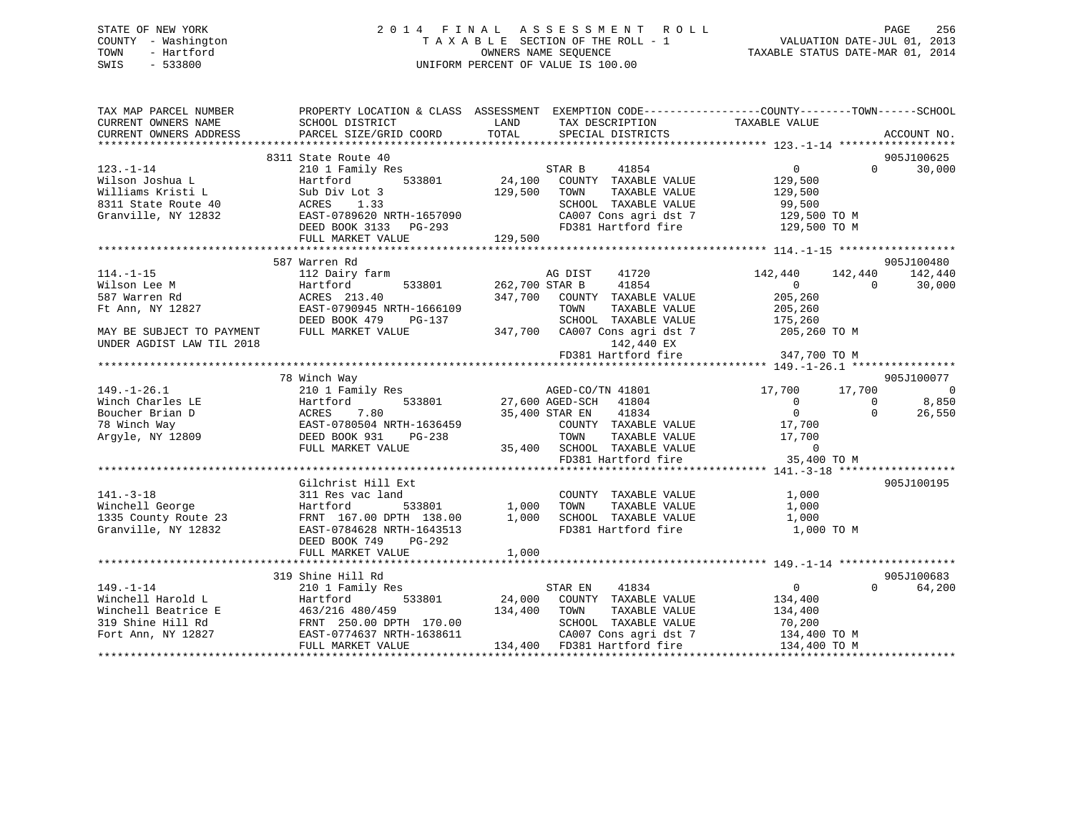# STATE OF NEW YORK 2 0 1 4 F I N A L A S S E S S M E N T R O L L PAGE 256 COUNTY - Washington T A X A B L E SECTION OF THE ROLL - 1 VALUATION DATE-JUL 01, 2013 TOWN - Hartford **TAXABLE STATUS DATE-MAR 01, 2014** OWNERS NAME SEQUENCE TAXABLE STATUS DATE-MAR 01, 2014 SWIS - 533800 UNIFORM PERCENT OF VALUE IS 100.00

| 8311 State Route 40<br>905J100625<br>$0 \qquad \qquad$<br>30,000<br>$123. - 1 - 14$<br>STAR B<br>41854<br>$\Omega$<br>210 1 Family Res<br>24,100<br>Wilson Joshua L<br>Hartford<br>533801<br>COUNTY TAXABLE VALUE<br>129,500<br>Williams Kristi L<br>129,500<br>Sub Div Lot 3<br>TOWN<br>TAXABLE VALUE<br>129,500<br>1.33<br>SCHOOL TAXABLE VALUE<br>99,500<br>8311 State Route 40<br>ACRES<br>129,500 TO M<br>CA007 Cons agri dst 7<br>Granville, NY 12832<br>EAST-0789620 NRTH-1657090<br>FD381 Hartford fire<br>129,500 TO M<br>DEED BOOK 3133 PG-293<br>129,500<br>FULL MARKET VALUE<br>905J100480<br>587 Warren Rd<br>$114. - 1 - 15$<br>112 Dairy farm<br>AG DIST<br>41720<br>142,440<br>142,440<br>142,440<br>262,700 STAR B<br>41854<br>Wilson Lee M<br>Hartford<br>533801<br>$0 \qquad \qquad$<br>$\Omega$<br>30,000<br>587 Warren Rd<br>ACRES 213.40<br>347,700<br>COUNTY TAXABLE VALUE<br>205,260<br>Ft Ann, NY 12827<br>EAST-0790945 NRTH-1666109<br>TOWN<br>TAXABLE VALUE<br>205,260<br>DEED BOOK 479<br>SCHOOL TAXABLE VALUE<br>175,260<br>PG-137<br>347,700 CA007 Cons agri dst 7<br>MAY BE SUBJECT TO PAYMENT<br>FULL MARKET VALUE<br>205,260 TO M<br>142,440 EX<br>UNDER AGDIST LAW TIL 2018<br>FD381 Hartford fire<br>347,700 TO M<br>78 Winch Way<br>905J100077<br>AGED-CO/TN 41801<br>$149. - 1 - 26.1$<br>210 1 Family Res<br>17,700 17,700<br>Winch Charles LE<br>533801 27,600 AGED-SCH<br>$\Omega$<br>8,850<br>Hartford<br>41804<br>$\Omega$<br>$\overline{0}$<br>7.80<br>26,550<br>Boucher Brian D<br>ACRES<br>35,400 STAR EN<br>41834<br>$\Omega$<br>78 Winch Way<br>EAST-0780504 NRTH-1636459<br>COUNTY TAXABLE VALUE<br>17,700<br>Argyle, NY 12809<br>DEED BOOK 931<br>TOWN<br>TAXABLE VALUE<br>17,700<br>PG-238<br>35,400 SCHOOL TAXABLE VALUE<br>$\overline{0}$<br>FULL MARKET VALUE<br>35,400 TO M<br>FD381 Hartford fire<br>Gilchrist Hill Ext<br>905J100195<br>$141. - 3 - 18$<br>311 Res vac land<br>COUNTY TAXABLE VALUE<br>1,000<br>Winchell George<br>1,000<br>TOWN<br>TAXABLE VALUE<br>1,000<br>Hartford<br>533801<br>1335 County Route 23<br>1,000<br>SCHOOL TAXABLE VALUE<br>FRNT 167.00 DPTH 138.00<br>1,000<br>FD381 Hartford fire<br>Granville, NY 12832<br>1,000 TO M<br>EAST-0784628 NRTH-1643513<br>DEED BOOK 749<br>PG-292<br>1,000<br>FULL MARKET VALUE<br>905J100683<br>319 Shine Hill Rd<br>$149. - 1 - 14$<br>$\overline{0}$<br>$\Omega$<br>64,200<br>210 1 Family Res<br>STAR EN<br>41834<br>533801 | TAX MAP PARCEL NUMBER<br>CURRENT OWNERS NAME | SCHOOL DISTRICT        | PROPERTY LOCATION & CLASS ASSESSMENT EXEMPTION CODE----------------COUNTY-------TOWN------SCHOOL<br>LAND<br>TAX DESCRIPTION | TAXABLE VALUE |
|---------------------------------------------------------------------------------------------------------------------------------------------------------------------------------------------------------------------------------------------------------------------------------------------------------------------------------------------------------------------------------------------------------------------------------------------------------------------------------------------------------------------------------------------------------------------------------------------------------------------------------------------------------------------------------------------------------------------------------------------------------------------------------------------------------------------------------------------------------------------------------------------------------------------------------------------------------------------------------------------------------------------------------------------------------------------------------------------------------------------------------------------------------------------------------------------------------------------------------------------------------------------------------------------------------------------------------------------------------------------------------------------------------------------------------------------------------------------------------------------------------------------------------------------------------------------------------------------------------------------------------------------------------------------------------------------------------------------------------------------------------------------------------------------------------------------------------------------------------------------------------------------------------------------------------------------------------------------------------------------------------------------------------------------------------------------------------------------------------------------------------------------------------------------------------------------------------------------------------------------------------------------------------------------------------------------------------------------------------------------------------------------------------------------------------------------------------|----------------------------------------------|------------------------|-----------------------------------------------------------------------------------------------------------------------------|---------------|
|                                                                                                                                                                                                                                                                                                                                                                                                                                                                                                                                                                                                                                                                                                                                                                                                                                                                                                                                                                                                                                                                                                                                                                                                                                                                                                                                                                                                                                                                                                                                                                                                                                                                                                                                                                                                                                                                                                                                                                                                                                                                                                                                                                                                                                                                                                                                                                                                                                                         | CURRENT OWNERS ADDRESS                       | PARCEL SIZE/GRID COORD | TOTAL<br>SPECIAL DISTRICTS                                                                                                  | ACCOUNT NO.   |
|                                                                                                                                                                                                                                                                                                                                                                                                                                                                                                                                                                                                                                                                                                                                                                                                                                                                                                                                                                                                                                                                                                                                                                                                                                                                                                                                                                                                                                                                                                                                                                                                                                                                                                                                                                                                                                                                                                                                                                                                                                                                                                                                                                                                                                                                                                                                                                                                                                                         |                                              |                        |                                                                                                                             |               |
|                                                                                                                                                                                                                                                                                                                                                                                                                                                                                                                                                                                                                                                                                                                                                                                                                                                                                                                                                                                                                                                                                                                                                                                                                                                                                                                                                                                                                                                                                                                                                                                                                                                                                                                                                                                                                                                                                                                                                                                                                                                                                                                                                                                                                                                                                                                                                                                                                                                         |                                              |                        |                                                                                                                             |               |
|                                                                                                                                                                                                                                                                                                                                                                                                                                                                                                                                                                                                                                                                                                                                                                                                                                                                                                                                                                                                                                                                                                                                                                                                                                                                                                                                                                                                                                                                                                                                                                                                                                                                                                                                                                                                                                                                                                                                                                                                                                                                                                                                                                                                                                                                                                                                                                                                                                                         |                                              |                        |                                                                                                                             |               |
|                                                                                                                                                                                                                                                                                                                                                                                                                                                                                                                                                                                                                                                                                                                                                                                                                                                                                                                                                                                                                                                                                                                                                                                                                                                                                                                                                                                                                                                                                                                                                                                                                                                                                                                                                                                                                                                                                                                                                                                                                                                                                                                                                                                                                                                                                                                                                                                                                                                         |                                              |                        |                                                                                                                             |               |
|                                                                                                                                                                                                                                                                                                                                                                                                                                                                                                                                                                                                                                                                                                                                                                                                                                                                                                                                                                                                                                                                                                                                                                                                                                                                                                                                                                                                                                                                                                                                                                                                                                                                                                                                                                                                                                                                                                                                                                                                                                                                                                                                                                                                                                                                                                                                                                                                                                                         |                                              |                        |                                                                                                                             |               |
|                                                                                                                                                                                                                                                                                                                                                                                                                                                                                                                                                                                                                                                                                                                                                                                                                                                                                                                                                                                                                                                                                                                                                                                                                                                                                                                                                                                                                                                                                                                                                                                                                                                                                                                                                                                                                                                                                                                                                                                                                                                                                                                                                                                                                                                                                                                                                                                                                                                         |                                              |                        |                                                                                                                             |               |
|                                                                                                                                                                                                                                                                                                                                                                                                                                                                                                                                                                                                                                                                                                                                                                                                                                                                                                                                                                                                                                                                                                                                                                                                                                                                                                                                                                                                                                                                                                                                                                                                                                                                                                                                                                                                                                                                                                                                                                                                                                                                                                                                                                                                                                                                                                                                                                                                                                                         |                                              |                        |                                                                                                                             |               |
|                                                                                                                                                                                                                                                                                                                                                                                                                                                                                                                                                                                                                                                                                                                                                                                                                                                                                                                                                                                                                                                                                                                                                                                                                                                                                                                                                                                                                                                                                                                                                                                                                                                                                                                                                                                                                                                                                                                                                                                                                                                                                                                                                                                                                                                                                                                                                                                                                                                         |                                              |                        |                                                                                                                             |               |
|                                                                                                                                                                                                                                                                                                                                                                                                                                                                                                                                                                                                                                                                                                                                                                                                                                                                                                                                                                                                                                                                                                                                                                                                                                                                                                                                                                                                                                                                                                                                                                                                                                                                                                                                                                                                                                                                                                                                                                                                                                                                                                                                                                                                                                                                                                                                                                                                                                                         |                                              |                        |                                                                                                                             |               |
|                                                                                                                                                                                                                                                                                                                                                                                                                                                                                                                                                                                                                                                                                                                                                                                                                                                                                                                                                                                                                                                                                                                                                                                                                                                                                                                                                                                                                                                                                                                                                                                                                                                                                                                                                                                                                                                                                                                                                                                                                                                                                                                                                                                                                                                                                                                                                                                                                                                         |                                              |                        |                                                                                                                             |               |
|                                                                                                                                                                                                                                                                                                                                                                                                                                                                                                                                                                                                                                                                                                                                                                                                                                                                                                                                                                                                                                                                                                                                                                                                                                                                                                                                                                                                                                                                                                                                                                                                                                                                                                                                                                                                                                                                                                                                                                                                                                                                                                                                                                                                                                                                                                                                                                                                                                                         |                                              |                        |                                                                                                                             |               |
|                                                                                                                                                                                                                                                                                                                                                                                                                                                                                                                                                                                                                                                                                                                                                                                                                                                                                                                                                                                                                                                                                                                                                                                                                                                                                                                                                                                                                                                                                                                                                                                                                                                                                                                                                                                                                                                                                                                                                                                                                                                                                                                                                                                                                                                                                                                                                                                                                                                         |                                              |                        |                                                                                                                             |               |
|                                                                                                                                                                                                                                                                                                                                                                                                                                                                                                                                                                                                                                                                                                                                                                                                                                                                                                                                                                                                                                                                                                                                                                                                                                                                                                                                                                                                                                                                                                                                                                                                                                                                                                                                                                                                                                                                                                                                                                                                                                                                                                                                                                                                                                                                                                                                                                                                                                                         |                                              |                        |                                                                                                                             |               |
|                                                                                                                                                                                                                                                                                                                                                                                                                                                                                                                                                                                                                                                                                                                                                                                                                                                                                                                                                                                                                                                                                                                                                                                                                                                                                                                                                                                                                                                                                                                                                                                                                                                                                                                                                                                                                                                                                                                                                                                                                                                                                                                                                                                                                                                                                                                                                                                                                                                         |                                              |                        |                                                                                                                             |               |
|                                                                                                                                                                                                                                                                                                                                                                                                                                                                                                                                                                                                                                                                                                                                                                                                                                                                                                                                                                                                                                                                                                                                                                                                                                                                                                                                                                                                                                                                                                                                                                                                                                                                                                                                                                                                                                                                                                                                                                                                                                                                                                                                                                                                                                                                                                                                                                                                                                                         |                                              |                        |                                                                                                                             |               |
|                                                                                                                                                                                                                                                                                                                                                                                                                                                                                                                                                                                                                                                                                                                                                                                                                                                                                                                                                                                                                                                                                                                                                                                                                                                                                                                                                                                                                                                                                                                                                                                                                                                                                                                                                                                                                                                                                                                                                                                                                                                                                                                                                                                                                                                                                                                                                                                                                                                         |                                              |                        |                                                                                                                             |               |
|                                                                                                                                                                                                                                                                                                                                                                                                                                                                                                                                                                                                                                                                                                                                                                                                                                                                                                                                                                                                                                                                                                                                                                                                                                                                                                                                                                                                                                                                                                                                                                                                                                                                                                                                                                                                                                                                                                                                                                                                                                                                                                                                                                                                                                                                                                                                                                                                                                                         |                                              |                        |                                                                                                                             |               |
|                                                                                                                                                                                                                                                                                                                                                                                                                                                                                                                                                                                                                                                                                                                                                                                                                                                                                                                                                                                                                                                                                                                                                                                                                                                                                                                                                                                                                                                                                                                                                                                                                                                                                                                                                                                                                                                                                                                                                                                                                                                                                                                                                                                                                                                                                                                                                                                                                                                         |                                              |                        |                                                                                                                             |               |
|                                                                                                                                                                                                                                                                                                                                                                                                                                                                                                                                                                                                                                                                                                                                                                                                                                                                                                                                                                                                                                                                                                                                                                                                                                                                                                                                                                                                                                                                                                                                                                                                                                                                                                                                                                                                                                                                                                                                                                                                                                                                                                                                                                                                                                                                                                                                                                                                                                                         |                                              |                        |                                                                                                                             |               |
|                                                                                                                                                                                                                                                                                                                                                                                                                                                                                                                                                                                                                                                                                                                                                                                                                                                                                                                                                                                                                                                                                                                                                                                                                                                                                                                                                                                                                                                                                                                                                                                                                                                                                                                                                                                                                                                                                                                                                                                                                                                                                                                                                                                                                                                                                                                                                                                                                                                         |                                              |                        |                                                                                                                             |               |
|                                                                                                                                                                                                                                                                                                                                                                                                                                                                                                                                                                                                                                                                                                                                                                                                                                                                                                                                                                                                                                                                                                                                                                                                                                                                                                                                                                                                                                                                                                                                                                                                                                                                                                                                                                                                                                                                                                                                                                                                                                                                                                                                                                                                                                                                                                                                                                                                                                                         |                                              |                        |                                                                                                                             | - 0           |
|                                                                                                                                                                                                                                                                                                                                                                                                                                                                                                                                                                                                                                                                                                                                                                                                                                                                                                                                                                                                                                                                                                                                                                                                                                                                                                                                                                                                                                                                                                                                                                                                                                                                                                                                                                                                                                                                                                                                                                                                                                                                                                                                                                                                                                                                                                                                                                                                                                                         |                                              |                        |                                                                                                                             |               |
|                                                                                                                                                                                                                                                                                                                                                                                                                                                                                                                                                                                                                                                                                                                                                                                                                                                                                                                                                                                                                                                                                                                                                                                                                                                                                                                                                                                                                                                                                                                                                                                                                                                                                                                                                                                                                                                                                                                                                                                                                                                                                                                                                                                                                                                                                                                                                                                                                                                         |                                              |                        |                                                                                                                             |               |
|                                                                                                                                                                                                                                                                                                                                                                                                                                                                                                                                                                                                                                                                                                                                                                                                                                                                                                                                                                                                                                                                                                                                                                                                                                                                                                                                                                                                                                                                                                                                                                                                                                                                                                                                                                                                                                                                                                                                                                                                                                                                                                                                                                                                                                                                                                                                                                                                                                                         |                                              |                        |                                                                                                                             |               |
|                                                                                                                                                                                                                                                                                                                                                                                                                                                                                                                                                                                                                                                                                                                                                                                                                                                                                                                                                                                                                                                                                                                                                                                                                                                                                                                                                                                                                                                                                                                                                                                                                                                                                                                                                                                                                                                                                                                                                                                                                                                                                                                                                                                                                                                                                                                                                                                                                                                         |                                              |                        |                                                                                                                             |               |
|                                                                                                                                                                                                                                                                                                                                                                                                                                                                                                                                                                                                                                                                                                                                                                                                                                                                                                                                                                                                                                                                                                                                                                                                                                                                                                                                                                                                                                                                                                                                                                                                                                                                                                                                                                                                                                                                                                                                                                                                                                                                                                                                                                                                                                                                                                                                                                                                                                                         |                                              |                        |                                                                                                                             |               |
|                                                                                                                                                                                                                                                                                                                                                                                                                                                                                                                                                                                                                                                                                                                                                                                                                                                                                                                                                                                                                                                                                                                                                                                                                                                                                                                                                                                                                                                                                                                                                                                                                                                                                                                                                                                                                                                                                                                                                                                                                                                                                                                                                                                                                                                                                                                                                                                                                                                         |                                              |                        |                                                                                                                             |               |
|                                                                                                                                                                                                                                                                                                                                                                                                                                                                                                                                                                                                                                                                                                                                                                                                                                                                                                                                                                                                                                                                                                                                                                                                                                                                                                                                                                                                                                                                                                                                                                                                                                                                                                                                                                                                                                                                                                                                                                                                                                                                                                                                                                                                                                                                                                                                                                                                                                                         |                                              |                        |                                                                                                                             |               |
|                                                                                                                                                                                                                                                                                                                                                                                                                                                                                                                                                                                                                                                                                                                                                                                                                                                                                                                                                                                                                                                                                                                                                                                                                                                                                                                                                                                                                                                                                                                                                                                                                                                                                                                                                                                                                                                                                                                                                                                                                                                                                                                                                                                                                                                                                                                                                                                                                                                         |                                              |                        |                                                                                                                             |               |
|                                                                                                                                                                                                                                                                                                                                                                                                                                                                                                                                                                                                                                                                                                                                                                                                                                                                                                                                                                                                                                                                                                                                                                                                                                                                                                                                                                                                                                                                                                                                                                                                                                                                                                                                                                                                                                                                                                                                                                                                                                                                                                                                                                                                                                                                                                                                                                                                                                                         |                                              |                        |                                                                                                                             |               |
|                                                                                                                                                                                                                                                                                                                                                                                                                                                                                                                                                                                                                                                                                                                                                                                                                                                                                                                                                                                                                                                                                                                                                                                                                                                                                                                                                                                                                                                                                                                                                                                                                                                                                                                                                                                                                                                                                                                                                                                                                                                                                                                                                                                                                                                                                                                                                                                                                                                         |                                              |                        |                                                                                                                             |               |
|                                                                                                                                                                                                                                                                                                                                                                                                                                                                                                                                                                                                                                                                                                                                                                                                                                                                                                                                                                                                                                                                                                                                                                                                                                                                                                                                                                                                                                                                                                                                                                                                                                                                                                                                                                                                                                                                                                                                                                                                                                                                                                                                                                                                                                                                                                                                                                                                                                                         |                                              |                        |                                                                                                                             |               |
|                                                                                                                                                                                                                                                                                                                                                                                                                                                                                                                                                                                                                                                                                                                                                                                                                                                                                                                                                                                                                                                                                                                                                                                                                                                                                                                                                                                                                                                                                                                                                                                                                                                                                                                                                                                                                                                                                                                                                                                                                                                                                                                                                                                                                                                                                                                                                                                                                                                         |                                              |                        |                                                                                                                             |               |
|                                                                                                                                                                                                                                                                                                                                                                                                                                                                                                                                                                                                                                                                                                                                                                                                                                                                                                                                                                                                                                                                                                                                                                                                                                                                                                                                                                                                                                                                                                                                                                                                                                                                                                                                                                                                                                                                                                                                                                                                                                                                                                                                                                                                                                                                                                                                                                                                                                                         |                                              |                        |                                                                                                                             |               |
|                                                                                                                                                                                                                                                                                                                                                                                                                                                                                                                                                                                                                                                                                                                                                                                                                                                                                                                                                                                                                                                                                                                                                                                                                                                                                                                                                                                                                                                                                                                                                                                                                                                                                                                                                                                                                                                                                                                                                                                                                                                                                                                                                                                                                                                                                                                                                                                                                                                         |                                              |                        |                                                                                                                             |               |
|                                                                                                                                                                                                                                                                                                                                                                                                                                                                                                                                                                                                                                                                                                                                                                                                                                                                                                                                                                                                                                                                                                                                                                                                                                                                                                                                                                                                                                                                                                                                                                                                                                                                                                                                                                                                                                                                                                                                                                                                                                                                                                                                                                                                                                                                                                                                                                                                                                                         |                                              |                        |                                                                                                                             |               |
|                                                                                                                                                                                                                                                                                                                                                                                                                                                                                                                                                                                                                                                                                                                                                                                                                                                                                                                                                                                                                                                                                                                                                                                                                                                                                                                                                                                                                                                                                                                                                                                                                                                                                                                                                                                                                                                                                                                                                                                                                                                                                                                                                                                                                                                                                                                                                                                                                                                         |                                              |                        |                                                                                                                             |               |
|                                                                                                                                                                                                                                                                                                                                                                                                                                                                                                                                                                                                                                                                                                                                                                                                                                                                                                                                                                                                                                                                                                                                                                                                                                                                                                                                                                                                                                                                                                                                                                                                                                                                                                                                                                                                                                                                                                                                                                                                                                                                                                                                                                                                                                                                                                                                                                                                                                                         |                                              |                        |                                                                                                                             |               |
|                                                                                                                                                                                                                                                                                                                                                                                                                                                                                                                                                                                                                                                                                                                                                                                                                                                                                                                                                                                                                                                                                                                                                                                                                                                                                                                                                                                                                                                                                                                                                                                                                                                                                                                                                                                                                                                                                                                                                                                                                                                                                                                                                                                                                                                                                                                                                                                                                                                         |                                              |                        |                                                                                                                             |               |
|                                                                                                                                                                                                                                                                                                                                                                                                                                                                                                                                                                                                                                                                                                                                                                                                                                                                                                                                                                                                                                                                                                                                                                                                                                                                                                                                                                                                                                                                                                                                                                                                                                                                                                                                                                                                                                                                                                                                                                                                                                                                                                                                                                                                                                                                                                                                                                                                                                                         | Winchell Harold L                            | Hartford               | 24,000<br>COUNTY TAXABLE VALUE                                                                                              | 134,400       |
| Winchell Beatrice E<br>463/216 480/459<br>134,400<br>TOWN<br>TAXABLE VALUE<br>134,400                                                                                                                                                                                                                                                                                                                                                                                                                                                                                                                                                                                                                                                                                                                                                                                                                                                                                                                                                                                                                                                                                                                                                                                                                                                                                                                                                                                                                                                                                                                                                                                                                                                                                                                                                                                                                                                                                                                                                                                                                                                                                                                                                                                                                                                                                                                                                                   |                                              |                        |                                                                                                                             |               |
| 319 Shine Hill Rd<br>FRNT 250.00 DPTH 170.00<br>SCHOOL TAXABLE VALUE<br>70,200                                                                                                                                                                                                                                                                                                                                                                                                                                                                                                                                                                                                                                                                                                                                                                                                                                                                                                                                                                                                                                                                                                                                                                                                                                                                                                                                                                                                                                                                                                                                                                                                                                                                                                                                                                                                                                                                                                                                                                                                                                                                                                                                                                                                                                                                                                                                                                          |                                              |                        |                                                                                                                             |               |
| Fort Ann, NY 12827<br>EAST-0774637 NRTH-1638611<br>CA007 Cons agri dst 7<br>134,400 TO M                                                                                                                                                                                                                                                                                                                                                                                                                                                                                                                                                                                                                                                                                                                                                                                                                                                                                                                                                                                                                                                                                                                                                                                                                                                                                                                                                                                                                                                                                                                                                                                                                                                                                                                                                                                                                                                                                                                                                                                                                                                                                                                                                                                                                                                                                                                                                                |                                              |                        |                                                                                                                             |               |
| 134,400<br>FD381 Hartford fire<br>FULL MARKET VALUE<br>134,400 TO M                                                                                                                                                                                                                                                                                                                                                                                                                                                                                                                                                                                                                                                                                                                                                                                                                                                                                                                                                                                                                                                                                                                                                                                                                                                                                                                                                                                                                                                                                                                                                                                                                                                                                                                                                                                                                                                                                                                                                                                                                                                                                                                                                                                                                                                                                                                                                                                     |                                              |                        |                                                                                                                             |               |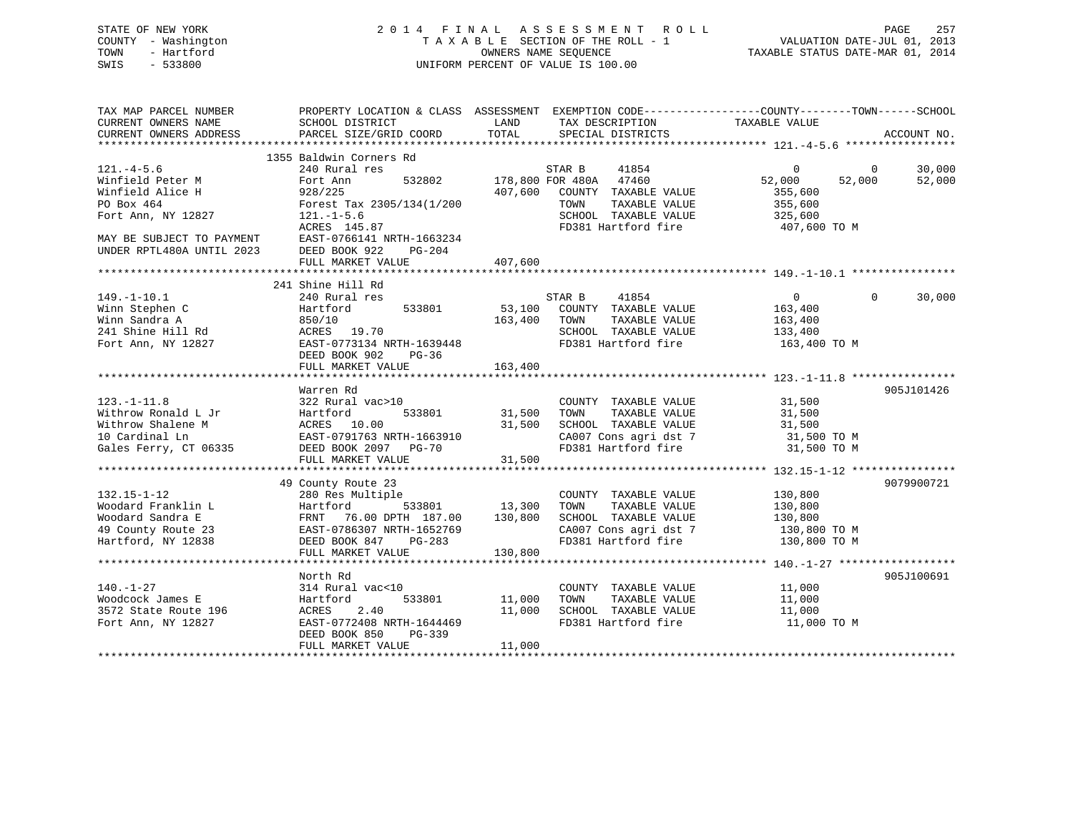| STATE OF NEW YORK   | 2014 FINAL ASSESSMENT ROLL         | 257<br>PAGE                      |
|---------------------|------------------------------------|----------------------------------|
| COUNTY - Washington | TAXABLE SECTION OF THE ROLL - 1    | VALUATION DATE-JUL 01, 2013      |
| TOWN<br>- Hartford  | OWNERS NAME SEOUENCE               | TAXABLE STATUS DATE-MAR 01, 2014 |
| SWIS<br>$-533800$   | UNIFORM PERCENT OF VALUE IS 100.00 |                                  |
|                     |                                    |                                  |

| TAX MAP PARCEL NUMBER                                                                                                                                                                                                                      |                                                                                         |              | PROPERTY LOCATION & CLASS ASSESSMENT EXEMPTION CODE----------------COUNTY-------TOWN------SCHOOL                                                                                                                                                                   |                    |                |             |
|--------------------------------------------------------------------------------------------------------------------------------------------------------------------------------------------------------------------------------------------|-----------------------------------------------------------------------------------------|--------------|--------------------------------------------------------------------------------------------------------------------------------------------------------------------------------------------------------------------------------------------------------------------|--------------------|----------------|-------------|
| CURRENT OWNERS NAME                                                                                                                                                                                                                        | SCHOOL DISTRICT                                                                         | LAND         | TAX DESCRIPTION                                                                                                                                                                                                                                                    | TAXABLE VALUE      |                |             |
| CURRENT OWNERS ADDRESS                                                                                                                                                                                                                     | PARCEL SIZE/GRID COORD TOTAL                                                            |              | SPECIAL DISTRICTS                                                                                                                                                                                                                                                  |                    |                | ACCOUNT NO. |
|                                                                                                                                                                                                                                            |                                                                                         |              |                                                                                                                                                                                                                                                                    |                    |                |             |
|                                                                                                                                                                                                                                            | 1355 Baldwin Corners Rd                                                                 |              |                                                                                                                                                                                                                                                                    |                    |                |             |
| $121. -4 - 5.6$                                                                                                                                                                                                                            | 240 Rural res                                                                           |              | STAR B 41854<br>532802 178,800 FOR 480A 47460                                                                                                                                                                                                                      | $0 \qquad \qquad$  | $\overline{0}$ | 30,000      |
| Winfield Peter M                                                                                                                                                                                                                           | Fort Ann                                                                                |              |                                                                                                                                                                                                                                                                    | 52,000             | 52,000         | 52,000      |
| Winfield Alice H                                                                                                                                                                                                                           | 928/225                                                                                 |              | 407,600 COUNTY TAXABLE VALUE                                                                                                                                                                                                                                       | 355,600            |                |             |
| PO Box 464                                                                                                                                                                                                                                 | Forest Tax 2305/134(1/200                                                               |              | TOWN<br>TAXABLE VALUE                                                                                                                                                                                                                                              | 355,600            |                |             |
| Fort Ann, NY 12827                                                                                                                                                                                                                         | $121. - 1 - 5.6$                                                                        |              | SCHOOL TAXABLE VALUE<br>SCHOOL TAXABLE VALUE 325,600<br>FD381 Hartford fire 307,600 TO M                                                                                                                                                                           |                    |                |             |
|                                                                                                                                                                                                                                            | ACRES 145.87                                                                            |              |                                                                                                                                                                                                                                                                    |                    |                |             |
| MAY BE SUBJECT TO PAYMENT                                                                                                                                                                                                                  | EAST-0766141 NRTH-1663234                                                               |              |                                                                                                                                                                                                                                                                    |                    |                |             |
| UNDER RPTL480A UNTIL 2023                                                                                                                                                                                                                  | DEED BOOK 922 PG-204                                                                    |              |                                                                                                                                                                                                                                                                    |                    |                |             |
|                                                                                                                                                                                                                                            | FULL MARKET VALUE                                                                       | 407,600      |                                                                                                                                                                                                                                                                    |                    |                |             |
|                                                                                                                                                                                                                                            | 241 Shine Hill Rd                                                                       |              |                                                                                                                                                                                                                                                                    |                    |                |             |
| $149. - 1 - 10.1$                                                                                                                                                                                                                          | 240 Rural res                                                                           |              | STAR B 41854                                                                                                                                                                                                                                                       | $\overline{0}$     | $\Omega$       | 30,000      |
| Winn Stephen C                                                                                                                                                                                                                             | Hartford 533801 53,100 COUNTY TAXABLE VALUE 163,400                                     |              |                                                                                                                                                                                                                                                                    |                    |                |             |
|                                                                                                                                                                                                                                            |                                                                                         | 163,400 TOWN | TAXABLE VALUE                                                                                                                                                                                                                                                      |                    |                |             |
| Winn Sandra A<br>241 Shine Hill Rd                                                                                                                                                                                                         | 850/10<br>ACRES 19.70                                                                   |              | SCHOOL TAXABLE VALUE                                                                                                                                                                                                                                               | 163,400<br>133,400 |                |             |
| Fort Ann, NY 12827                                                                                                                                                                                                                         | EAST-0773134 NRTH-1639448                                                               |              | FD381 Hartford fire 163,400 TO M                                                                                                                                                                                                                                   |                    |                |             |
|                                                                                                                                                                                                                                            | DEED BOOK 902 PG-36                                                                     |              |                                                                                                                                                                                                                                                                    |                    |                |             |
|                                                                                                                                                                                                                                            | FULL MARKET VALUE                                                                       | 163,400      |                                                                                                                                                                                                                                                                    |                    |                |             |
|                                                                                                                                                                                                                                            |                                                                                         |              |                                                                                                                                                                                                                                                                    |                    |                |             |
|                                                                                                                                                                                                                                            | Warren Rd                                                                               |              |                                                                                                                                                                                                                                                                    |                    |                | 905J101426  |
| $123. - 1 - 11.8$                                                                                                                                                                                                                          | 322 Rural vac>10                                                                        |              |                                                                                                                                                                                                                                                                    |                    |                |             |
|                                                                                                                                                                                                                                            |                                                                                         |              | $\begin{array}{ccccccccc} \text{COUNTY} & \text{TAXABLE VALUE} & & & 31,500 \\ \text{533801} & & 31,500 & \text{TOWN} & & \text{TAXABLE VALUE} & & & 31,500 \\ \end{array}$<br>31,500 TOWN TAXABLE VALUE<br>31,500 SCHOOL TAXABLE VALUE 31,500 TO M<br>31,500 TO M |                    |                |             |
| Withrow Romanu Luister (10.00<br>Withrow Shalene M (10.000)<br>Mardinal Ln (10.000)<br>EAST-0791763 NRTH-1663910                                                                                                                           |                                                                                         |              |                                                                                                                                                                                                                                                                    |                    |                |             |
|                                                                                                                                                                                                                                            |                                                                                         |              |                                                                                                                                                                                                                                                                    |                    |                |             |
| 10 Cardinal Ln<br>Gales Ferry, CT 06335                                                                                                                                                                                                    | DEED BOOK 2097 PG-70                                                                    |              | 31,500 SCHOOL TAXABLE VALUE 31,500<br>CA007 Cons agri dst 7 31,500 TO M<br>FD381 Hartford fire 31,500 TO M                                                                                                                                                         |                    |                |             |
|                                                                                                                                                                                                                                            | FULL MARKET VALUE                                                                       | 31,500       |                                                                                                                                                                                                                                                                    |                    |                |             |
|                                                                                                                                                                                                                                            |                                                                                         |              |                                                                                                                                                                                                                                                                    |                    |                |             |
|                                                                                                                                                                                                                                            | 49 County Route 23                                                                      |              |                                                                                                                                                                                                                                                                    |                    |                | 9079900721  |
| $132.15 - 1 - 12$                                                                                                                                                                                                                          | 280 Res Multiple                                                                        |              | COUNTY TAXABLE VALUE 130,800                                                                                                                                                                                                                                       |                    |                |             |
|                                                                                                                                                                                                                                            |                                                                                         |              |                                                                                                                                                                                                                                                                    |                    |                |             |
|                                                                                                                                                                                                                                            |                                                                                         |              |                                                                                                                                                                                                                                                                    |                    |                |             |
|                                                                                                                                                                                                                                            |                                                                                         |              |                                                                                                                                                                                                                                                                    |                    |                |             |
|                                                                                                                                                                                                                                            |                                                                                         |              |                                                                                                                                                                                                                                                                    |                    |                |             |
| Woodard Franklin L<br>Woodard Franklin L<br>Woodard Sandra E<br>Woodard Sandra E<br>FRNT 76.00 DPTH 187.00 130,800 SCHOOL TAXABLE VALUE 130,800<br>49 County Route 23 EAST-0786307 NRTH-1652769 CA007 Cons agridst 7 130,800 TO M<br>Hartf |                                                                                         |              |                                                                                                                                                                                                                                                                    |                    |                |             |
|                                                                                                                                                                                                                                            |                                                                                         |              |                                                                                                                                                                                                                                                                    |                    |                |             |
|                                                                                                                                                                                                                                            | North Rd                                                                                |              |                                                                                                                                                                                                                                                                    |                    |                | 905J100691  |
| $140. - 1 - 27$                                                                                                                                                                                                                            | 314 Rural vac<10                                                                        |              | $\begin{tabular}{lllllll} \multicolumn{2}{l}{{\small \texttt{COUNTY}}} & \multicolumn{2}{l}{\small \texttt{TAXABLE}} & \multicolumn{2}{l}{\texttt{VALUE}} & \multicolumn{2}{l}{\texttt{11,000}} \end{tabular}$                                                     |                    |                |             |
| Woodcock James E                                                                                                                                                                                                                           | Hartford                                                                                |              | TAXABLE VALUE                                                                                                                                                                                                                                                      | 11,000             |                |             |
| 3572 State Route 196                                                                                                                                                                                                                       |                                                                                         |              |                                                                                                                                                                                                                                                                    | 11,000             |                |             |
| Fort Ann, NY 12827                                                                                                                                                                                                                         | ACRES 2.40 11,000 SCHOOL TAXABLE VALUE<br>EAST-0772408 NRTH-1644469 FD381 Hartford fire |              |                                                                                                                                                                                                                                                                    | 11,000 TO M        |                |             |
|                                                                                                                                                                                                                                            | DEED BOOK 850 PG-339                                                                    |              |                                                                                                                                                                                                                                                                    |                    |                |             |
|                                                                                                                                                                                                                                            | FULL MARKET VALUE                                                                       | 11,000       |                                                                                                                                                                                                                                                                    |                    |                |             |
|                                                                                                                                                                                                                                            |                                                                                         |              |                                                                                                                                                                                                                                                                    |                    |                |             |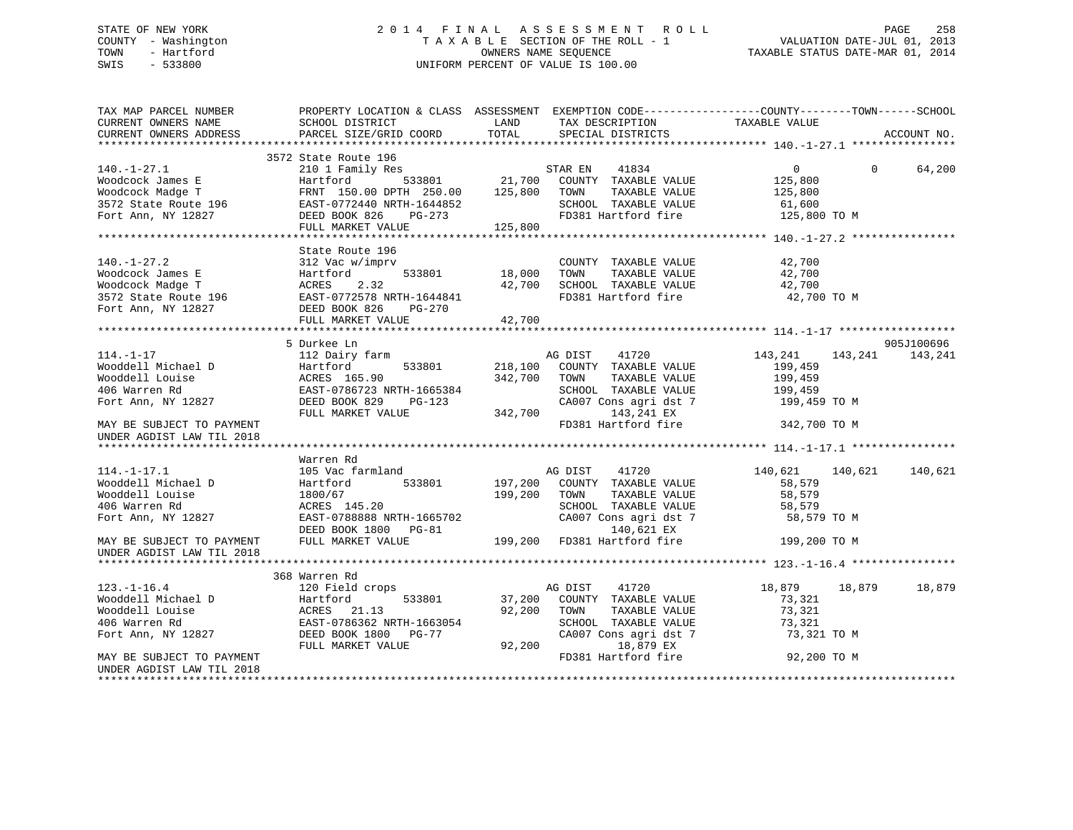# STATE OF NEW YORK 2 0 1 4 F I N A L A S S E S S M E N T R O L L PAGE 258 COUNTY - Washington T A X A B L E SECTION OF THE ROLL - 1 VALUATION DATE-JUL 01, 2013 TOWN - Hartford **TAXABLE STATUS DATE-MAR 01, 2014** OWNERS NAME SEQUENCE TAXABLE STATUS DATE-MAR 01, 2014 SWIS - 533800 UNIFORM PERCENT OF VALUE IS 100.00

| TAX MAP PARCEL NUMBER<br>CURRENT OWNERS NAME<br>CURRENT OWNERS ADDRESS                                                                                                 | PROPERTY LOCATION & CLASS ASSESSMENT EXEMPTION CODE----------------COUNTY-------TOWN-----SCHOOL<br>SCHOOL DISTRICT<br><b>Example 12</b> LAND<br>PARCEL SIZE/GRID COORD                                                                   | TOTAL       | TAX DESCRIPTION TAXABLE VALUE<br>SPECIAL DISTRICTS                      |                                  | ACCOUNT NO. |
|------------------------------------------------------------------------------------------------------------------------------------------------------------------------|------------------------------------------------------------------------------------------------------------------------------------------------------------------------------------------------------------------------------------------|-------------|-------------------------------------------------------------------------|----------------------------------|-------------|
|                                                                                                                                                                        |                                                                                                                                                                                                                                          |             |                                                                         |                                  |             |
|                                                                                                                                                                        |                                                                                                                                                                                                                                          |             |                                                                         |                                  |             |
|                                                                                                                                                                        |                                                                                                                                                                                                                                          |             |                                                                         | $\overline{0}$<br>$\overline{0}$ | 64,200      |
|                                                                                                                                                                        |                                                                                                                                                                                                                                          |             |                                                                         |                                  |             |
|                                                                                                                                                                        |                                                                                                                                                                                                                                          |             |                                                                         |                                  |             |
|                                                                                                                                                                        |                                                                                                                                                                                                                                          |             |                                                                         |                                  |             |
|                                                                                                                                                                        |                                                                                                                                                                                                                                          |             |                                                                         |                                  |             |
|                                                                                                                                                                        |                                                                                                                                                                                                                                          |             |                                                                         |                                  |             |
|                                                                                                                                                                        |                                                                                                                                                                                                                                          |             |                                                                         |                                  |             |
|                                                                                                                                                                        |                                                                                                                                                                                                                                          |             |                                                                         |                                  |             |
|                                                                                                                                                                        |                                                                                                                                                                                                                                          |             | COUNTY TAXABLE VALUE 42,700                                             |                                  |             |
|                                                                                                                                                                        |                                                                                                                                                                                                                                          |             |                                                                         | $\frac{42}{700}$                 |             |
|                                                                                                                                                                        |                                                                                                                                                                                                                                          |             | 42,700 SCHOOL TAXABLE VALUE 42,700 TO M PD381 Hartford fire 42,700 TO M |                                  |             |
|                                                                                                                                                                        |                                                                                                                                                                                                                                          |             |                                                                         |                                  |             |
|                                                                                                                                                                        |                                                                                                                                                                                                                                          |             |                                                                         |                                  |             |
|                                                                                                                                                                        |                                                                                                                                                                                                                                          |             |                                                                         |                                  |             |
|                                                                                                                                                                        |                                                                                                                                                                                                                                          |             |                                                                         |                                  |             |
|                                                                                                                                                                        | 5 Durkee Ln<br>Durkee Ln<br>112 Dairy farm MG DIST 41720<br>Hartford 533801 218,100 COUNTY TAXABLE VALUE                                                                                                                                 |             |                                                                         |                                  | 905J100696  |
| $114. -1 - 17$                                                                                                                                                         |                                                                                                                                                                                                                                          |             |                                                                         | 143, 241 143, 241 143, 241       |             |
|                                                                                                                                                                        |                                                                                                                                                                                                                                          |             |                                                                         | 199,459                          |             |
|                                                                                                                                                                        |                                                                                                                                                                                                                                          |             | TAXABLE VALUE                                                           | 199,459                          |             |
|                                                                                                                                                                        |                                                                                                                                                                                                                                          |             | SCHOOL TAXABLE VALUE                                                    |                                  |             |
|                                                                                                                                                                        |                                                                                                                                                                                                                                          |             | SCHOOL TAXABLE VALUE 199,459<br>CA007 Cons agri dst 7 199,459           | 199,459 TO M                     |             |
|                                                                                                                                                                        |                                                                                                                                                                                                                                          |             |                                                                         |                                  |             |
|                                                                                                                                                                        |                                                                                                                                                                                                                                          |             | FD381 Hartford fire                                                     | 342,700 TO M                     |             |
| UNDER AGDIST LAW TIL 2018                                                                                                                                              |                                                                                                                                                                                                                                          |             |                                                                         |                                  |             |
|                                                                                                                                                                        |                                                                                                                                                                                                                                          |             |                                                                         |                                  |             |
|                                                                                                                                                                        | Warren Rd                                                                                                                                                                                                                                |             |                                                                         |                                  |             |
| $114. - 1 - 17.1$                                                                                                                                                      | 105 Vac farmland                                                                                                                                                                                                                         |             | AG DIST 41720                                                           | 140,621 140,621                  | 140,621     |
| Wooddell Michael D<br>Wooddell Louise<br>406 Warren Rd                                                                                                                 | Hartford                                                                                                                                                                                                                                 |             | 533801 197,200 COUNTY TAXABLE VALUE                                     | 58,579                           |             |
|                                                                                                                                                                        |                                                                                                                                                                                                                                          |             |                                                                         |                                  |             |
|                                                                                                                                                                        |                                                                                                                                                                                                                                          |             |                                                                         |                                  |             |
| Fort Ann, NY 12827                                                                                                                                                     |                                                                                                                                                                                                                                          |             |                                                                         |                                  |             |
|                                                                                                                                                                        |                                                                                                                                                                                                                                          |             |                                                                         |                                  |             |
| MAY BE SUBJECT TO PAYMENT                                                                                                                                              | 199,200 TOWN TAXABLE VALUE .<br>199,200 TOWN TAXABLE VALUE 58,579<br>RCRES 145.20 SCHOOL TAXABLE VALUE 58,579<br>EAST-0788888 NRTH-1665702 CA007 Cons agri dst 7 58,579 TO M<br>DEED BOOK 1800 PG-81 140,621 EX<br>FULL MARKET VALUE 199 |             |                                                                         |                                  |             |
| UNDER AGDIST LAW TIL 2018                                                                                                                                              |                                                                                                                                                                                                                                          |             |                                                                         |                                  |             |
|                                                                                                                                                                        |                                                                                                                                                                                                                                          |             |                                                                         |                                  |             |
|                                                                                                                                                                        | 368 Warren Rd                                                                                                                                                                                                                            |             |                                                                         |                                  |             |
| $123. - 1 - 16.4$                                                                                                                                                      |                                                                                                                                                                                                                                          |             |                                                                         | 18,879 18,879                    | 18,879      |
|                                                                                                                                                                        |                                                                                                                                                                                                                                          |             | 533801 37,200 COUNTY TAXABLE VALUE                                      | 73,321                           |             |
| Wooddell Michael D<br>Wooddell Louise Months 21.13 92,200<br>406 Warren Rd<br>Fort Ann, NY 12827 DEED MONTHS MATH-1663054<br>Fort Ann, NY 12827 DEED MONTHS MATHEMATHY |                                                                                                                                                                                                                                          | 92,200 TOWN | TAXABLE VALUE                                                           | 73,321                           |             |
|                                                                                                                                                                        |                                                                                                                                                                                                                                          |             | SCHOOL TAXABLE VALUE                                                    |                                  |             |
|                                                                                                                                                                        |                                                                                                                                                                                                                                          |             |                                                                         | 73,321<br>73,321 TO M            |             |
|                                                                                                                                                                        | FULL MARKET VALUE                                                                                                                                                                                                                        |             | CA007 Cons agri dst 7<br>$19.979$ EX<br>92,200 18,879 EX                |                                  |             |
| MAY BE SUBJECT TO PAYMENT                                                                                                                                              |                                                                                                                                                                                                                                          |             | FD381 Hartford fire                                                     | 92,200 TO M                      |             |
| UNDER AGDIST LAW TIL 2018                                                                                                                                              |                                                                                                                                                                                                                                          |             |                                                                         |                                  |             |
|                                                                                                                                                                        |                                                                                                                                                                                                                                          |             |                                                                         |                                  |             |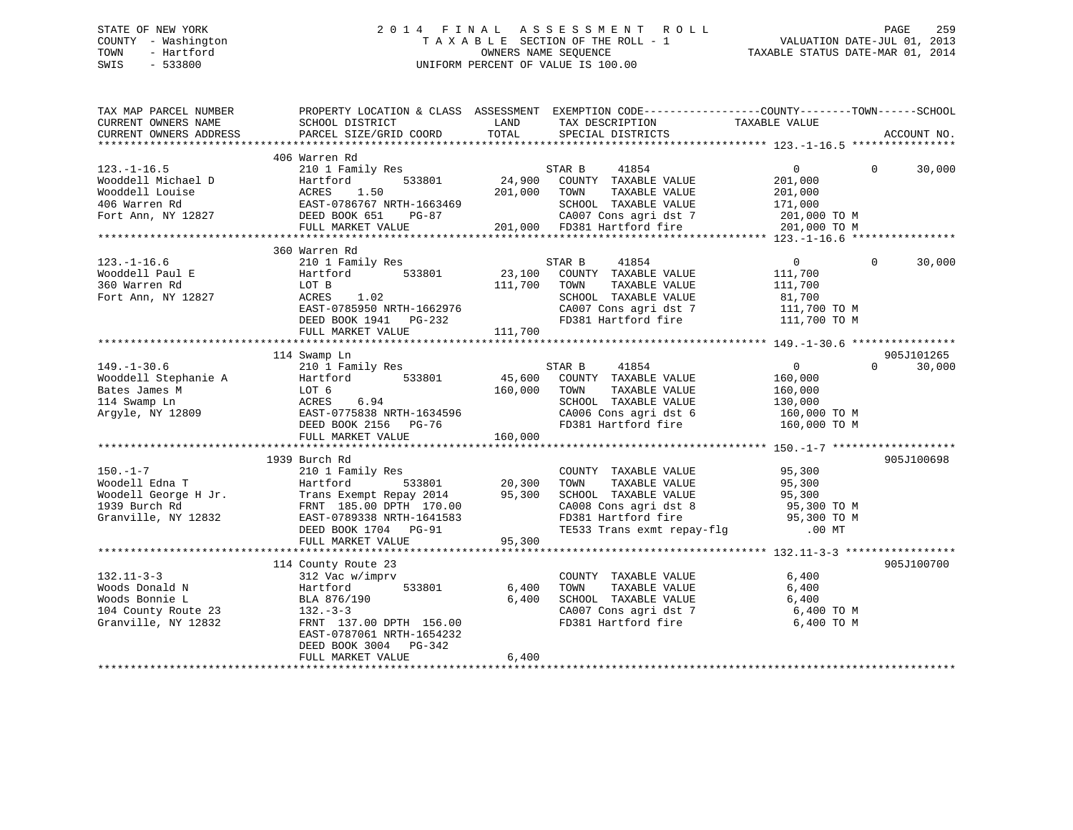# STATE OF NEW YORK 2 0 1 4 F I N A L A S S E S S M E N T R O L L PAGE 259 COUNTY - Washington T A X A B L E SECTION OF THE ROLL - 1 VALUATION DATE-JUL 01, 2013 TOWN - Hartford **TAXABLE STATUS DATE-MAR 01, 2014** OWNERS NAME SEQUENCE TAXABLE STATUS DATE-MAR 01, 2014 SWIS - 533800 UNIFORM PERCENT OF VALUE IS 100.00

| TAX MAP PARCEL NUMBER<br>CURRENT OWNERS NAME<br>CURRENT OWNERS ADDRESS                            | PROPERTY LOCATION & CLASS ASSESSMENT EXEMPTION CODE----------------COUNTY-------TOWN-----SCHOOL<br>SCHOOL DISTRICT<br>PARCEL SIZE/GRID COORD                       | LAND<br>TOTAL                | TAX DESCRIPTION<br>SPECIAL DISTRICTS                                                                                                                                               | TAXABLE VALUE                                                                   | ACCOUNT NO.        |
|---------------------------------------------------------------------------------------------------|--------------------------------------------------------------------------------------------------------------------------------------------------------------------|------------------------------|------------------------------------------------------------------------------------------------------------------------------------------------------------------------------------|---------------------------------------------------------------------------------|--------------------|
|                                                                                                   |                                                                                                                                                                    |                              |                                                                                                                                                                                    |                                                                                 |                    |
| $123. - 1 - 16.5$<br>Wooddell Michael D<br>Wooddell Louise<br>406 Warren Rd<br>Fort Ann, NY 12827 | 406 Warren Rd<br>210 1 Family Res<br>533801<br>Hartford<br>ACRES<br>1.50<br>EAST-0786767 NRTH-1663469<br>DEED BOOK 651<br>PG-87                                    | 24,900<br>201,000            | STAR B<br>41854<br>COUNTY TAXABLE VALUE<br>TOWN<br>TAXABLE VALUE<br>SCHOOL TAXABLE VALUE<br>CA007 Cons agri dst 7<br>201,000 FD381 Hartford fire                                   | $0 \qquad \qquad$<br>201,000<br>201,000<br>171,000<br>201,000 TO M              | $\Omega$<br>30,000 |
|                                                                                                   | FULL MARKET VALUE                                                                                                                                                  |                              |                                                                                                                                                                                    | 201,000 TO M                                                                    |                    |
|                                                                                                   |                                                                                                                                                                    |                              |                                                                                                                                                                                    |                                                                                 |                    |
| $123. - 1 - 16.6$<br>Wooddell Paul E<br>360 Warren Rd<br>Fort Ann, NY 12827                       | 360 Warren Rd<br>210 1 Family Res<br>533801<br>Hartford<br>LOT B<br>ACRES<br>1.02<br>EAST-0785950 NRTH-1662976<br>DEED BOOK 1941    PG-232<br>FULL MARKET VALUE    | 23,100<br>111,700<br>111,700 | STAR B<br>41854<br>COUNTY TAXABLE VALUE<br>TOWN<br>TAXABLE VALUE<br>SCHOOL TAXABLE VALUE<br>CA007 Cons agri dst 7<br>FD381 Hartford fire                                           | $\Omega$<br>111,700<br>111,700<br>81,700<br>111,700 TO M<br>$111,700$ TO M      | $\Omega$<br>30,000 |
|                                                                                                   |                                                                                                                                                                    |                              |                                                                                                                                                                                    |                                                                                 | 905J101265         |
| $149. - 1 - 30.6$<br>Wooddell Stephanie A<br>Bates James M<br>114 Swamp Ln<br>Argyle, NY 12809    | 114 Swamp Ln<br>210 1 Family Res<br>533801<br>Hartford<br>LOT 6<br>6.94<br>ACRES<br>EAST-0775838 NRTH-1634596<br>DEED BOOK 2156<br>PG-76<br>FULL MARKET VALUE      | 45,600<br>160,000<br>160,000 | 41854<br>STAR B<br>COUNTY TAXABLE VALUE<br>TAXABLE VALUE<br>TOWN<br>SCHOOL TAXABLE VALUE<br>CA006 Cons agri dst 6<br>FD381 Hartford fire                                           | $\overline{0}$<br>160,000<br>160,000<br>130,000<br>160,000 TO M<br>160,000 TO M | $\Omega$<br>30,000 |
|                                                                                                   |                                                                                                                                                                    |                              |                                                                                                                                                                                    |                                                                                 |                    |
| $150. - 1 - 7$<br>Woodell Edna T<br>Woodell George H Jr.<br>1939 Burch Rd<br>Granville, NY 12832  | 1939 Burch Rd<br>210 1 Family Res<br>533801<br>Hartford<br>Trans Exempt Repay 2014<br>FRNT 185.00 DPTH 170.00<br>EAST-0789338 NRTH-1641583<br>DEED BOOK 1704 PG-91 | 20,300<br>95,300             | COUNTY TAXABLE VALUE<br>TOWN<br>TAXABLE VALUE<br>SCHOOL TAXABLE VALUE<br>CA008 Cons agri dst 8 95,300 TO M<br>FD381 Hartford fire 95,300 TO M<br>TE533 Trans exmt repay-flg .00 MT | 95,300<br>95,300<br>95,300                                                      | 905J100698         |
|                                                                                                   | FULL MARKET VALUE                                                                                                                                                  | 95,300                       |                                                                                                                                                                                    |                                                                                 |                    |
| $132.11 - 3 - 3$                                                                                  | 114 County Route 23<br>312 Vac w/imprv                                                                                                                             |                              | COUNTY TAXABLE VALUE                                                                                                                                                               | 6,400                                                                           | 905J100700         |
| Woods Donald N<br>Woods Bonnie L<br>104 County Route 23<br>Granville, NY 12832                    | Hartford<br>533801<br>BLA 876/190<br>$132 - 3 - 3$<br>FRNT 137.00 DPTH 156.00<br>EAST-0787061 NRTH-1654232<br>DEED BOOK 3004 PG-342<br>FULL MARKET VALUE           | 6,400<br>6,400<br>6,400      | TOWN<br>TAXABLE VALUE<br>SCHOOL TAXABLE VALUE 6,400<br>SCHOOL Income.<br>CA007 Cons agri dst 7                                                                                     | 6,400<br>6,400 TO M<br>6,400 TO M                                               |                    |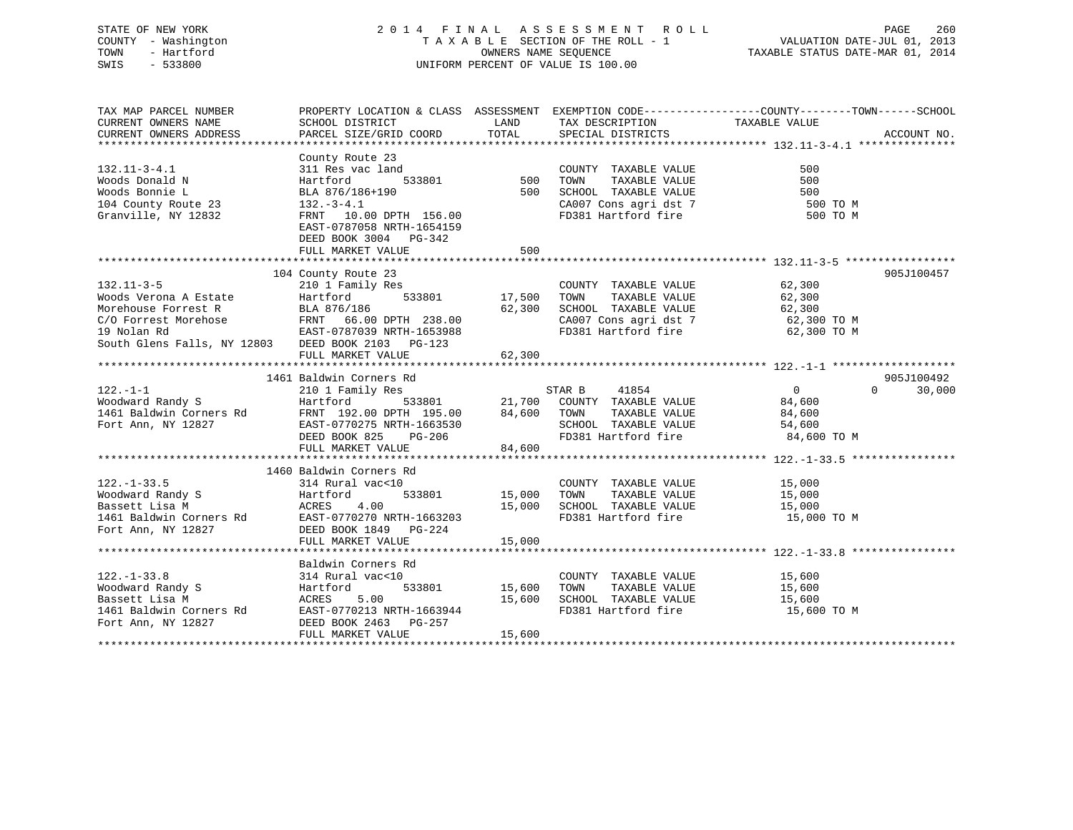# STATE OF NEW YORK 2 0 1 4 F I N A L A S S E S S M E N T R O L L PAGE 260 COUNTY - Washington T A X A B L E SECTION OF THE ROLL - 1 VALUATION DATE-JUL 01, 2013 TOWN - Hartford **TAXABLE STATUS DATE-MAR 01, 2014** OWNERS NAME SEQUENCE TAXABLE STATUS DATE-MAR 01, 2014 SWIS - 533800 UNIFORM PERCENT OF VALUE IS 100.00

| TAX MAP PARCEL NUMBER                                                                                                                                                                                                                                      |                                            |        |                                                                                                                                                     | PROPERTY LOCATION & CLASS ASSESSMENT EXEMPTION CODE----------------COUNTY-------TOWN------SCHOOL |  |
|------------------------------------------------------------------------------------------------------------------------------------------------------------------------------------------------------------------------------------------------------------|--------------------------------------------|--------|-----------------------------------------------------------------------------------------------------------------------------------------------------|--------------------------------------------------------------------------------------------------|--|
|                                                                                                                                                                                                                                                            |                                            |        |                                                                                                                                                     |                                                                                                  |  |
|                                                                                                                                                                                                                                                            |                                            |        |                                                                                                                                                     |                                                                                                  |  |
|                                                                                                                                                                                                                                                            |                                            |        |                                                                                                                                                     |                                                                                                  |  |
|                                                                                                                                                                                                                                                            | County Route 23                            |        |                                                                                                                                                     |                                                                                                  |  |
| $132.11 - 3 - 4.1$                                                                                                                                                                                                                                         | 311 Res vac land                           |        |                                                                                                                                                     |                                                                                                  |  |
|                                                                                                                                                                                                                                                            | Hartford                                   |        |                                                                                                                                                     |                                                                                                  |  |
| Woods Donald N<br>Woods Bonnie L<br>Woods Bonnie L                                                                                                                                                                                                         | BLA 876/186+190                            |        | E 2.5<br>1 and<br>533801 500 TOWN TAXABLE VALUE 500<br>500 SCHOOL TAXABLE VALUE 500<br>500 SCHOOL TAXABLE VALUE 500<br>500 SCHOOL TAXABLE VALUE 500 |                                                                                                  |  |
|                                                                                                                                                                                                                                                            |                                            |        | CA007 Cons agri dst 7 500 TO M                                                                                                                      |                                                                                                  |  |
| 104 County Route 23<br>Granville, NY 12832<br>FRNT 10.0                                                                                                                                                                                                    | FRNT 10.00 DPTH 156.00                     |        | FD381 Hartford fire                                                                                                                                 | 500 TO M                                                                                         |  |
|                                                                                                                                                                                                                                                            | EAST-0787058 NRTH-1654159                  |        |                                                                                                                                                     |                                                                                                  |  |
|                                                                                                                                                                                                                                                            | DEED BOOK 3004 PG-342                      |        |                                                                                                                                                     |                                                                                                  |  |
|                                                                                                                                                                                                                                                            | FULL MARKET VALUE                          | 500    |                                                                                                                                                     |                                                                                                  |  |
|                                                                                                                                                                                                                                                            |                                            |        |                                                                                                                                                     |                                                                                                  |  |
|                                                                                                                                                                                                                                                            |                                            |        |                                                                                                                                                     | 905J100457                                                                                       |  |
| 210 1 Family Res<br>Woods Verona A Estate Hartford<br>Morehouse Forrest R<br>Morehouse Forrest R<br>ELA 876/186<br>ELA 876/186<br>ELA 876/186<br>ELA 876/186<br>ELA 876/186<br>ELA 876/186<br>ELA 876/186<br>ELA 876/186<br>ELA 876/186<br>ELA 238.00<br>C |                                            |        |                                                                                                                                                     |                                                                                                  |  |
|                                                                                                                                                                                                                                                            |                                            |        |                                                                                                                                                     |                                                                                                  |  |
|                                                                                                                                                                                                                                                            |                                            |        |                                                                                                                                                     |                                                                                                  |  |
|                                                                                                                                                                                                                                                            |                                            |        |                                                                                                                                                     |                                                                                                  |  |
|                                                                                                                                                                                                                                                            |                                            |        |                                                                                                                                                     |                                                                                                  |  |
|                                                                                                                                                                                                                                                            |                                            |        |                                                                                                                                                     |                                                                                                  |  |
|                                                                                                                                                                                                                                                            |                                            |        |                                                                                                                                                     |                                                                                                  |  |
|                                                                                                                                                                                                                                                            |                                            |        |                                                                                                                                                     |                                                                                                  |  |
| 1461 Baldwin Corners Rd<br>1461 Baldwin Corners Rd<br>210 1 Family Res<br>1461 Baldwin Corners Rd<br>1461 Baldwin Corners Rd<br>1461 Baldwin Corners Rd<br>1461 Baldwin Corners Rd<br>1461 Baldwin Corners Rd<br>1461 Baldwin Corners Rd<br>1461           |                                            |        |                                                                                                                                                     | 905J100492                                                                                       |  |
|                                                                                                                                                                                                                                                            |                                            |        |                                                                                                                                                     | $\Omega$<br>30,000                                                                               |  |
|                                                                                                                                                                                                                                                            |                                            |        |                                                                                                                                                     |                                                                                                  |  |
|                                                                                                                                                                                                                                                            |                                            |        |                                                                                                                                                     |                                                                                                  |  |
|                                                                                                                                                                                                                                                            |                                            |        |                                                                                                                                                     |                                                                                                  |  |
|                                                                                                                                                                                                                                                            |                                            |        |                                                                                                                                                     |                                                                                                  |  |
|                                                                                                                                                                                                                                                            |                                            |        |                                                                                                                                                     |                                                                                                  |  |
|                                                                                                                                                                                                                                                            | FULL MARKET VALUE 84,600                   |        |                                                                                                                                                     |                                                                                                  |  |
|                                                                                                                                                                                                                                                            |                                            |        |                                                                                                                                                     |                                                                                                  |  |
|                                                                                                                                                                                                                                                            | 1460 Baldwin Corners Rd                    |        |                                                                                                                                                     |                                                                                                  |  |
| $122. - 1 - 33.5$                                                                                                                                                                                                                                          | 314 Rural vac<10                           |        | COUNTY TAXABLE VALUE 15,000                                                                                                                         |                                                                                                  |  |
| 122.-1-33.5<br>Woodward Randy S<br>Bassett Lisa M<br>1461 Baldwin Corners Rd<br>Fort Ann, NY 12827<br>27 DEED BOOK 1849<br>27 DEED BOOK 1849<br>27 DEED BOOK 1849<br>27 DEED BOOK 1849                                                                     |                                            |        | TAXABLE VALUE 15,000                                                                                                                                |                                                                                                  |  |
|                                                                                                                                                                                                                                                            |                                            |        | 15,000 SCHOOL TAXABLE VALUE 15,000<br>FD381 Hartford fire 15,000 TO M                                                                               |                                                                                                  |  |
|                                                                                                                                                                                                                                                            |                                            |        |                                                                                                                                                     |                                                                                                  |  |
|                                                                                                                                                                                                                                                            |                                            |        |                                                                                                                                                     |                                                                                                  |  |
|                                                                                                                                                                                                                                                            | FULL MARKET VALUE                          | 15,000 |                                                                                                                                                     |                                                                                                  |  |
|                                                                                                                                                                                                                                                            |                                            |        |                                                                                                                                                     |                                                                                                  |  |
|                                                                                                                                                                                                                                                            | Baldwin Corners Rd<br>314 Rural vac<10     |        |                                                                                                                                                     |                                                                                                  |  |
| $122. - 1 - 33.8$                                                                                                                                                                                                                                          |                                            |        | COUNTY TAXABLE VALUE 15,600                                                                                                                         |                                                                                                  |  |
|                                                                                                                                                                                                                                                            |                                            |        |                                                                                                                                                     |                                                                                                  |  |
|                                                                                                                                                                                                                                                            |                                            |        |                                                                                                                                                     |                                                                                                  |  |
|                                                                                                                                                                                                                                                            |                                            |        |                                                                                                                                                     |                                                                                                  |  |
|                                                                                                                                                                                                                                                            |                                            |        |                                                                                                                                                     |                                                                                                  |  |
| Noodward Randy S<br>Hartford 533801 15,600 TOWN TAXABLE VALUE 15,600<br>Bassett Lisa M ACRES 5.00 15,600 SCHOOL TAXABLE VALUE 15,600<br>1461 Baldwin Corners Rd EAST-0770213 NRTH-1663944 FD381 Hartford fire 15,600 TO M<br>Fort Ann, NY 12827            |                                            |        |                                                                                                                                                     |                                                                                                  |  |
|                                                                                                                                                                                                                                                            | DEED BOOK 2463 PG-257<br>FULL MARKET VALUE | 15,600 |                                                                                                                                                     |                                                                                                  |  |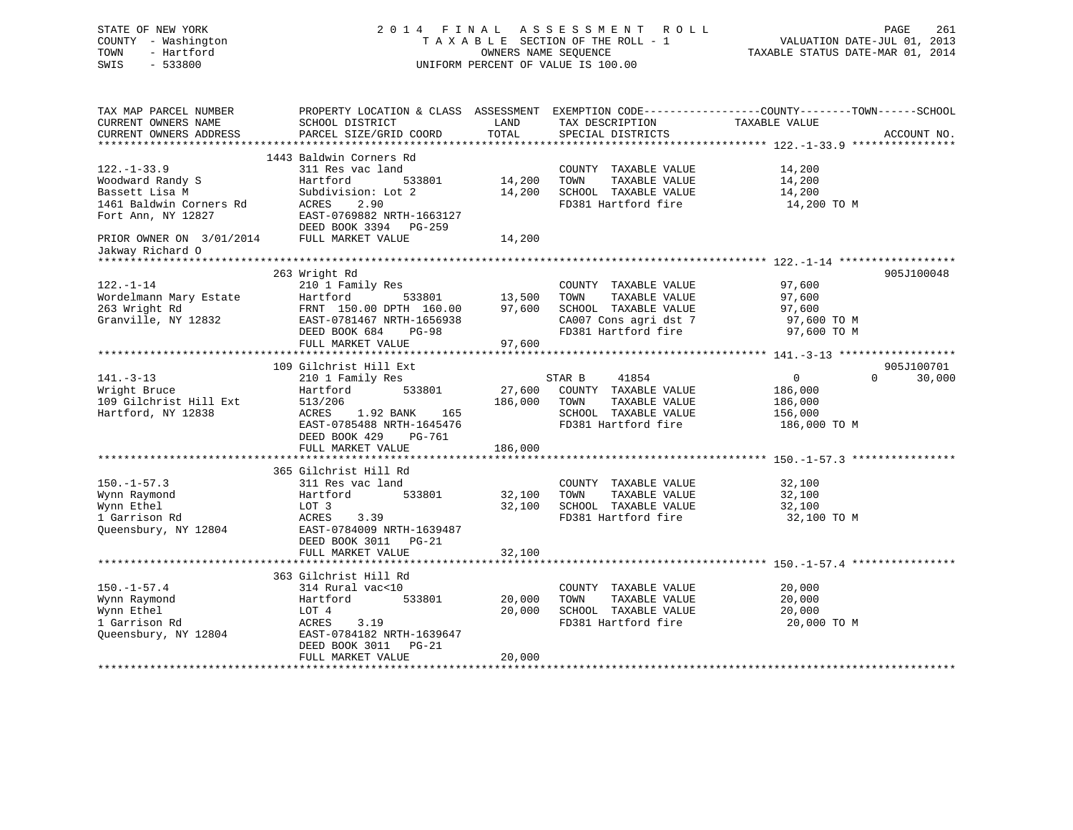| STATE OF NEW YORK<br>COUNTY - Washington<br>TOWN<br>- Hartford<br>SWIS<br>$-533800$ |                                                        | OWNERS NAME SEQUENCE | 2014 FINAL ASSESSMENT<br>ROLL<br>TAXABLE SECTION OF THE ROLL - 1<br>UNIFORM PERCENT OF VALUE IS 100.00 | PAGE<br>261<br>VALUATION DATE-JUL 01, 2013<br>TAXABLE STATUS DATE-MAR 01, 2014                                 |
|-------------------------------------------------------------------------------------|--------------------------------------------------------|----------------------|--------------------------------------------------------------------------------------------------------|----------------------------------------------------------------------------------------------------------------|
| TAX MAP PARCEL NUMBER<br>CURRENT OWNERS NAME<br>CURRENT OWNERS ADDRESS              | SCHOOL DISTRICT<br>PARCEL SIZE/GRID COORD              | LAND<br>TOTAL        | TAX DESCRIPTION TAXABLE VALUE<br>SPECIAL DISTRICTS                                                     | PROPERTY LOCATION & CLASS ASSESSMENT EXEMPTION CODE----------------COUNTY-------TOWN-----SCHOOL<br>ACCOUNT NO. |
|                                                                                     |                                                        |                      |                                                                                                        |                                                                                                                |
| $122. - 1 - 33.9$                                                                   | 1443 Baldwin Corners Rd                                |                      |                                                                                                        |                                                                                                                |
| Woodward Randy S                                                                    | 311 Res vac land<br>Hartford<br>533801                 | 14,200               | COUNTY TAXABLE VALUE<br>TOWN<br>TAXABLE VALUE                                                          | 14,200<br>14,200                                                                                               |
| Bassett Lisa M                                                                      | Subdivision: Lot 2                                     | 14,200               | SCHOOL TAXABLE VALUE                                                                                   | 14,200                                                                                                         |
| 1461 Baldwin Corners Rd                                                             | ACRES<br>2.90                                          |                      | FD381 Hartford fire                                                                                    | 14,200 TO M                                                                                                    |
| Fort Ann, NY 12827                                                                  | EAST-0769882 NRTH-1663127                              |                      |                                                                                                        |                                                                                                                |
|                                                                                     | DEED BOOK 3394 PG-259                                  |                      |                                                                                                        |                                                                                                                |
| PRIOR OWNER ON 3/01/2014                                                            | FULL MARKET VALUE                                      | 14,200               |                                                                                                        |                                                                                                                |
| Jakway Richard O                                                                    |                                                        |                      |                                                                                                        |                                                                                                                |
|                                                                                     |                                                        |                      |                                                                                                        |                                                                                                                |
| $122. - 1 - 14$                                                                     | 263 Wright Rd<br>210 1 Family Res                      |                      | COUNTY TAXABLE VALUE                                                                                   | 905J100048<br>97,600                                                                                           |
| Wordelmann Mary Estate                                                              | Hartford<br>533801                                     | 13,500               | TAXABLE VALUE<br>TOWN                                                                                  | 97,600                                                                                                         |
| 263 Wright Rd                                                                       | FRNT 150.00 DPTH 160.00                                | 97,600               | SCHOOL TAXABLE VALUE                                                                                   | 97,600                                                                                                         |
| Granville, NY 12832                                                                 | EAST-0781467 NRTH-1656938                              |                      | CA007 Cons agri dst 7                                                                                  | 97,600 TO M                                                                                                    |
|                                                                                     | DEED BOOK 684<br>$PG-98$                               |                      | FD381 Hartford fire                                                                                    | 97,600 TO M                                                                                                    |
|                                                                                     | FULL MARKET VALUE                                      | 97,600               |                                                                                                        |                                                                                                                |
|                                                                                     |                                                        |                      |                                                                                                        |                                                                                                                |
|                                                                                     | 109 Gilchrist Hill Ext                                 |                      |                                                                                                        | 905J100701                                                                                                     |
| $141. - 3 - 13$<br>Wright Bruce                                                     | 210 1 Family Res                                       |                      | STAR B<br>41854                                                                                        | $\Omega$<br>30,000<br>$\overline{0}$                                                                           |
| 109 Gilchrist Hill Ext                                                              | 533801<br>Hartford<br>513/206                          | 27,600<br>186,000    | COUNTY TAXABLE VALUE<br>TOWN<br>TAXABLE VALUE                                                          | 186,000<br>186,000                                                                                             |
| Hartford, NY 12838                                                                  | ACRES<br>1.92 BANK<br>165                              |                      | SCHOOL TAXABLE VALUE                                                                                   | 156,000                                                                                                        |
|                                                                                     | EAST-0785488 NRTH-1645476                              |                      | FD381 Hartford fire                                                                                    | 186,000 TO M                                                                                                   |
|                                                                                     | DEED BOOK 429<br>PG-761                                |                      |                                                                                                        |                                                                                                                |
|                                                                                     | FULL MARKET VALUE                                      | 186,000              |                                                                                                        |                                                                                                                |
|                                                                                     |                                                        |                      |                                                                                                        |                                                                                                                |
|                                                                                     | 365 Gilchrist Hill Rd                                  |                      |                                                                                                        |                                                                                                                |
| $150.-1-57.3$                                                                       | 311 Res vac land                                       |                      | COUNTY TAXABLE VALUE                                                                                   | 32,100                                                                                                         |
| Wynn Raymond                                                                        | 533801<br>Hartford                                     | 32,100               | TOWN<br>TAXABLE VALUE                                                                                  | 32,100                                                                                                         |
| Wynn Ethel<br>1 Garrison Rd                                                         | LOT 3<br>ACRES<br>3.39                                 | 32,100               | SCHOOL TAXABLE VALUE<br>FD381 Hartford fire                                                            | 32,100                                                                                                         |
| Queensbury, NY 12804                                                                | EAST-0784009 NRTH-1639487                              |                      |                                                                                                        | 32,100 TO M                                                                                                    |
|                                                                                     | DEED BOOK 3011 PG-21                                   |                      |                                                                                                        |                                                                                                                |
|                                                                                     | FULL MARKET VALUE                                      | 32,100               |                                                                                                        |                                                                                                                |
|                                                                                     |                                                        |                      |                                                                                                        |                                                                                                                |
|                                                                                     | 363 Gilchrist Hill Rd                                  |                      |                                                                                                        |                                                                                                                |
| $150.-1-57.4$                                                                       | 314 Rural vac<10                                       |                      | COUNTY TAXABLE VALUE                                                                                   | 20,000                                                                                                         |
| Wynn Raymond                                                                        | Hartford<br>533801                                     | 20,000               | TAXABLE VALUE<br>TOWN                                                                                  | 20,000                                                                                                         |
| Wynn Ethel                                                                          | LOT 4                                                  | 20,000               | SCHOOL TAXABLE VALUE                                                                                   | 20,000                                                                                                         |
| 1 Garrison Rd                                                                       | 3.19<br>ACRES                                          |                      | FD381 Hartford fire                                                                                    | 20,000 TO M                                                                                                    |
| Queensbury, NY 12804                                                                | EAST-0784182 NRTH-1639647<br>DEED BOOK 3011<br>$PG-21$ |                      |                                                                                                        |                                                                                                                |
|                                                                                     | FULL MARKET VALUE                                      | 20,000               |                                                                                                        |                                                                                                                |
|                                                                                     |                                                        |                      |                                                                                                        |                                                                                                                |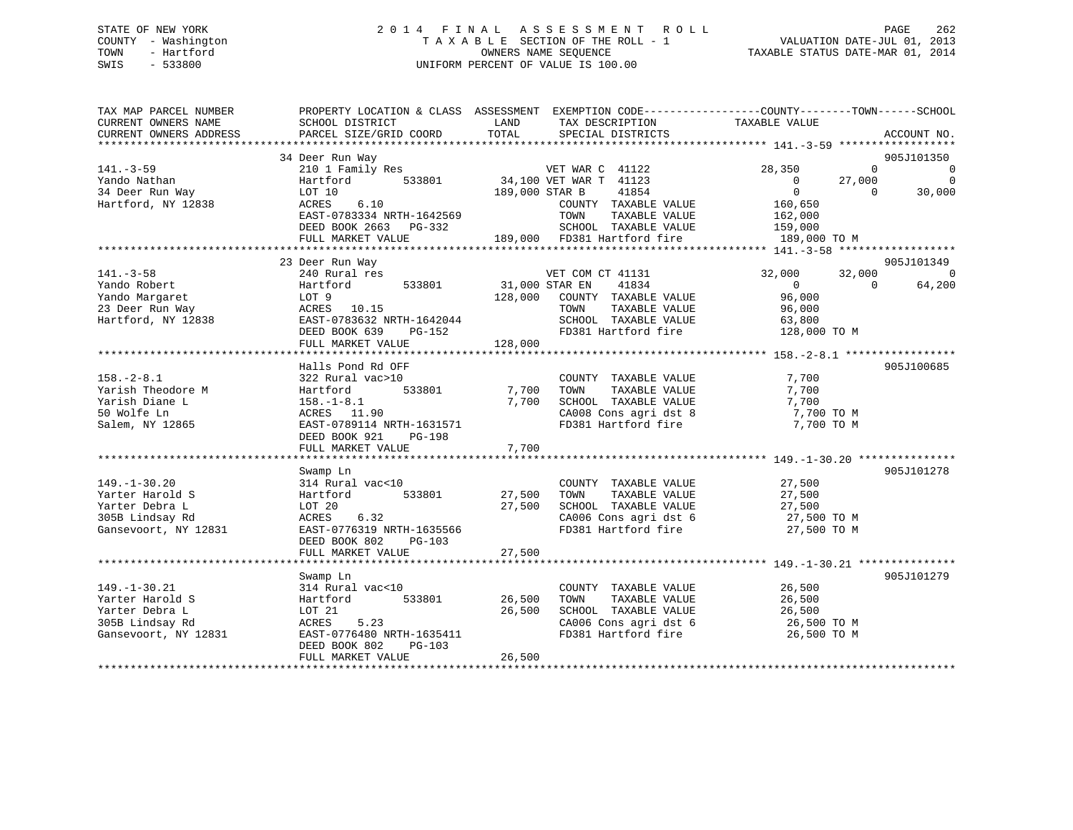# STATE OF NEW YORK 2 0 1 4 F I N A L A S S E S S M E N T R O L L PAGE 262 COUNTY - Washington T A X A B L E SECTION OF THE ROLL - 1 VALUATION DATE-JUL 01, 2013 TOWN - Hartford **TAXABLE STATUS DATE-MAR 01, 2014** OWNERS NAME SEQUENCE TAXABLE STATUS DATE-MAR 01, 2014 SWIS - 533800 UNIFORM PERCENT OF VALUE IS 100.00

| TAX MAP PARCEL NUMBER<br>CURRENT OWNERS NAME<br>CURRENT OWNERS ADDRESS                             | PROPERTY LOCATION & CLASS ASSESSMENT<br>SCHOOL DISTRICT<br>PARCEL SIZE/GRID COORD                                                                                           | LAND<br>TOTAL                        | TAX DESCRIPTION<br>SPECIAL DISTRICTS                                                                                                                       | EXEMPTION CODE-----------------COUNTY-------TOWN------SCHOOL<br>TAXABLE VALUE                                                 | ACCOUNT NO.                                  |
|----------------------------------------------------------------------------------------------------|-----------------------------------------------------------------------------------------------------------------------------------------------------------------------------|--------------------------------------|------------------------------------------------------------------------------------------------------------------------------------------------------------|-------------------------------------------------------------------------------------------------------------------------------|----------------------------------------------|
| $141. - 3 - 59$<br>Yando Nathan<br>34 Deer Run Way<br>Hartford, NY 12838                           | 34 Deer Run Way<br>210 1 Family Res<br>Hartford<br>533801<br>LOT 10<br>ACRES<br>6.10<br>EAST-0783334 NRTH-1642569<br>DEED BOOK 2663<br>PG-332<br>FULL MARKET VALUE          | 189,000 STAR B                       | VET WAR C 41122<br>34,100 VET WAR T 41123<br>41854<br>COUNTY TAXABLE VALUE<br>TAXABLE VALUE<br>TOWN<br>SCHOOL TAXABLE VALUE<br>189,000 FD381 Hartford fire | $\Omega$<br>28,350<br>$\overline{0}$<br>27,000<br>$\overline{0}$<br>$\Omega$<br>160,650<br>162,000<br>159,000<br>189,000 TO M | 905J101350<br>$\Omega$<br>$\Omega$<br>30,000 |
| $141. - 3 - 58$<br>Yando Robert<br>Yando Margaret<br>23 Deer Run Way<br>Hartford, NY 12838         | 23 Deer Run Way<br>240 Rural res<br>Hartford<br>533801<br>LOT 9<br>ACRES 10.15<br>EAST-0783632 NRTH-1642044<br>DEED BOOK 639<br>PG-152<br>FULL MARKET VALUE                 | 31,000 STAR EN<br>128,000<br>128,000 | VET COM CT 41131<br>41834<br>COUNTY TAXABLE VALUE<br>TAXABLE VALUE<br>TOWN<br>SCHOOL TAXABLE VALUE<br>FD381 Hartford fire                                  | 32,000<br>32,000<br>$\overline{0}$<br>$\Omega$<br>96,000<br>96,000<br>63,800<br>128,000 TO M                                  | 905J101349<br>$\overline{0}$<br>64,200       |
| $158. - 2 - 8.1$<br>Yarish Theodore M<br>Yarish Diane L<br>50 Wolfe Ln<br>Salem, NY 12865          | Halls Pond Rd OFF<br>322 Rural vac>10<br>533801<br>Hartford<br>$158. - 1 - 8.1$<br>ACRES 11.90<br>EAST-0789114 NRTH-1631571<br>DEED BOOK 921<br>PG-198<br>FULL MARKET VALUE | 7,700<br>7,700<br>7,700              | COUNTY TAXABLE VALUE<br>TAXABLE VALUE<br>TOWN<br>SCHOOL TAXABLE VALUE<br>CA008 Cons agri dst 8<br>FD381 Hartford fire                                      | 7,700<br>7,700<br>7,700<br>7,700 TO M<br>7,700 TO M                                                                           | 905J100685                                   |
| $149. - 1 - 30.20$<br>Yarter Harold S<br>Yarter Debra L<br>305B Lindsay Rd<br>Gansevoort, NY 12831 | Swamp Ln<br>314 Rural vac<10<br>Hartford<br>533801<br>LOT 20<br>6.32<br>ACRES<br>EAST-0776319 NRTH-1635566<br>DEED BOOK 802<br>PG-103<br>FULL MARKET VALUE                  | 27,500<br>27,500<br>27,500           | COUNTY TAXABLE VALUE<br>TAXABLE VALUE<br>TOWN<br>SCHOOL TAXABLE VALUE<br>CA006 Cons agri dst 6<br>FD381 Hartford fire                                      | 27,500<br>27,500<br>27,500<br>27,500 TO M<br>27,500 TO M                                                                      | 905J101278                                   |
| $149. - 1 - 30.21$<br>Yarter Harold S<br>Yarter Debra L<br>305B Lindsay Rd<br>Gansevoort, NY 12831 | Swamp Ln<br>314 Rural vac<10<br>533801<br>Hartford<br>LOT 21<br>ACRES<br>5.23<br>EAST-0776480 NRTH-1635411<br>DEED BOOK 802<br>$PG-103$<br>FULL MARKET VALUE                | 26,500<br>26,500<br>26,500           | COUNTY TAXABLE VALUE<br>TAXABLE VALUE<br>TOWN<br>SCHOOL TAXABLE VALUE<br>CA006 Cons agri dst 6<br>FD381 Hartford fire                                      | 26,500<br>26,500<br>26,500<br>26,500 TO M<br>26,500 TO M                                                                      | 905J101279                                   |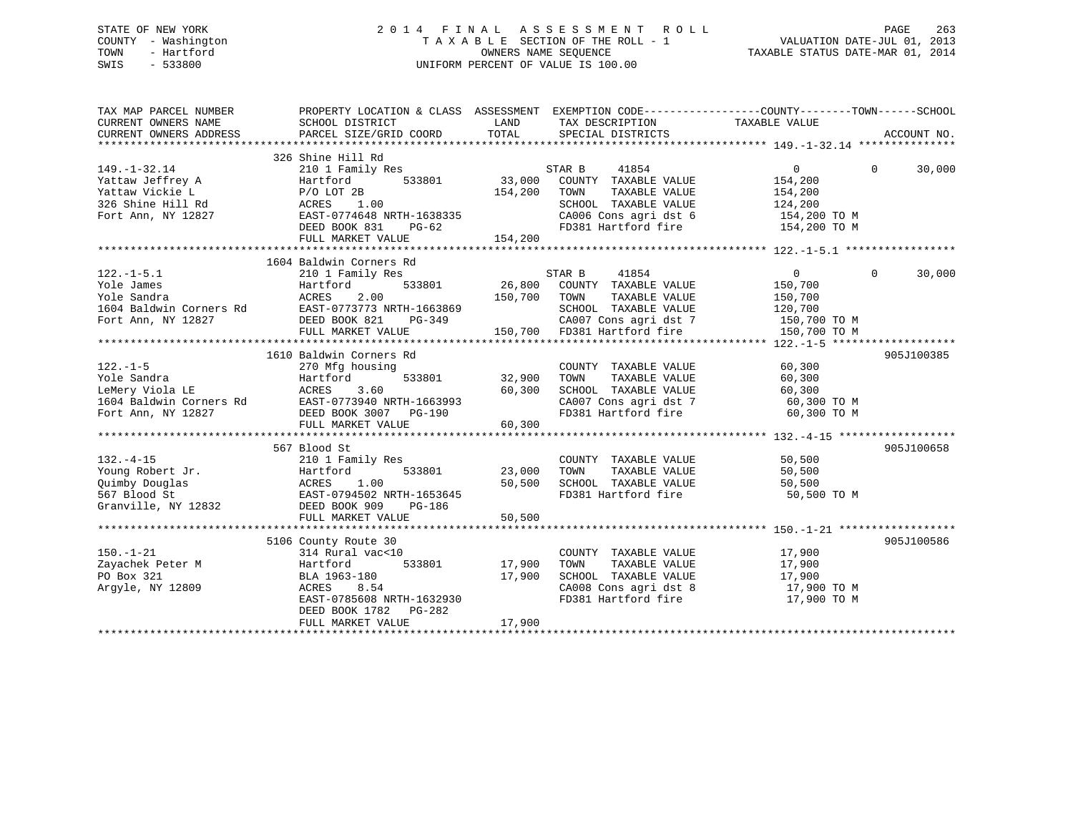# STATE OF NEW YORK 2 0 1 4 F I N A L A S S E S S M E N T R O L L PAGE 263 COUNTY - Washington T A X A B L E SECTION OF THE ROLL - 1 VALUATION DATE-JUL 01, 2013 TOWN - Hartford **TAXABLE STATUS DATE-MAR 01, 2014** OWNERS NAME SEQUENCE TAXABLE STATUS DATE-MAR 01, 2014 SWIS - 533800 UNIFORM PERCENT OF VALUE IS 100.00

| TAX MAP PARCEL NUMBER                                                          | PROPERTY LOCATION & CLASS ASSESSMENT EXEMPTION CODE---------------COUNTY-------TOWN------SCHOOL                                                                                                                                                                                                                                                                                                             |                     |                                                                                                                                                                                                                                           |                            |            |
|--------------------------------------------------------------------------------|-------------------------------------------------------------------------------------------------------------------------------------------------------------------------------------------------------------------------------------------------------------------------------------------------------------------------------------------------------------------------------------------------------------|---------------------|-------------------------------------------------------------------------------------------------------------------------------------------------------------------------------------------------------------------------------------------|----------------------------|------------|
|                                                                                |                                                                                                                                                                                                                                                                                                                                                                                                             |                     |                                                                                                                                                                                                                                           |                            |            |
|                                                                                | 326 Shine Hill Rd                                                                                                                                                                                                                                                                                                                                                                                           |                     |                                                                                                                                                                                                                                           |                            |            |
| $149. - 1 - 32.14$                                                             | 210 1 Family Res                                                                                                                                                                                                                                                                                                                                                                                            |                     | STAR B<br>41854                                                                                                                                                                                                                           | $\overline{0}$<br>$\Omega$ | 30,000     |
|                                                                                | Hartford<br>533801                                                                                                                                                                                                                                                                                                                                                                                          | 33,000              | COUNTY TAXABLE VALUE                                                                                                                                                                                                                      | 154,200                    |            |
|                                                                                | $P/O$ LOT 2B                                                                                                                                                                                                                                                                                                                                                                                                | 154,200             | TOWN<br>TAXABLE VALUE                                                                                                                                                                                                                     | 154,200                    |            |
|                                                                                | 1.00<br>ACRES                                                                                                                                                                                                                                                                                                                                                                                               |                     | SCHOOL TAXABLE VALUE                                                                                                                                                                                                                      | 124,200                    |            |
| rattaw Jeffrey A<br>Yattaw Vickie L<br>326 Shine Hill Rd<br>Fort Ann, NY 12827 | EAST-0774648 NRTH-1638335                                                                                                                                                                                                                                                                                                                                                                                   |                     |                                                                                                                                                                                                                                           |                            |            |
|                                                                                | $PG-62$<br>DEED BOOK 831                                                                                                                                                                                                                                                                                                                                                                                    |                     | $\begin{array}{lll} \texttt{CA006} \texttt{ Cons} & \texttt{aspti} & \texttt{dst} & \texttt{6} & \texttt{154,200} & \texttt{TO M} \\ \texttt{FD381} & \texttt{Hartford} & \texttt{fire} & & \texttt{154,200} & \texttt{TO M} \end{array}$ |                            |            |
|                                                                                |                                                                                                                                                                                                                                                                                                                                                                                                             |                     |                                                                                                                                                                                                                                           |                            |            |
|                                                                                |                                                                                                                                                                                                                                                                                                                                                                                                             |                     |                                                                                                                                                                                                                                           |                            |            |
|                                                                                | 1604 Baldwin Corners Rd                                                                                                                                                                                                                                                                                                                                                                                     |                     |                                                                                                                                                                                                                                           |                            |            |
| $122. - 1 - 5.1$                                                               | 210 1 Family Res                                                                                                                                                                                                                                                                                                                                                                                            |                     | 41854<br>STAR B                                                                                                                                                                                                                           | 0<br>$\Omega$              | 30,000     |
|                                                                                |                                                                                                                                                                                                                                                                                                                                                                                                             |                     |                                                                                                                                                                                                                                           | 150,700                    |            |
|                                                                                |                                                                                                                                                                                                                                                                                                                                                                                                             | 150,700 TOWN        | TAXABLE VALUE                                                                                                                                                                                                                             | 150,700                    |            |
|                                                                                |                                                                                                                                                                                                                                                                                                                                                                                                             |                     |                                                                                                                                                                                                                                           |                            |            |
|                                                                                | 122.-1-5.1<br>Yole James Hartford 533801<br>Yole Sandra ACRES 2.00<br>1604 Baldwin Corners Rd EAST-0773773 NRTH-1663869<br>Fort Ann, NY 12827 DEED BOOK 821 PG-349                                                                                                                                                                                                                                          | H-1663869<br>PG-349 |                                                                                                                                                                                                                                           |                            |            |
|                                                                                | FULL MARKET VALUE                                                                                                                                                                                                                                                                                                                                                                                           |                     |                                                                                                                                                                                                                                           |                            |            |
|                                                                                |                                                                                                                                                                                                                                                                                                                                                                                                             |                     |                                                                                                                                                                                                                                           |                            |            |
|                                                                                | 1610 Baldwin Corners Rd                                                                                                                                                                                                                                                                                                                                                                                     |                     |                                                                                                                                                                                                                                           |                            | 905J100385 |
|                                                                                |                                                                                                                                                                                                                                                                                                                                                                                                             |                     | COUNTY TAXABLE VALUE                                                                                                                                                                                                                      | 60,300                     |            |
|                                                                                | 533801 32,900                                                                                                                                                                                                                                                                                                                                                                                               |                     | TAXABLE VALUE<br>TOWN                                                                                                                                                                                                                     | 60,300                     |            |
|                                                                                |                                                                                                                                                                                                                                                                                                                                                                                                             |                     | SCHOOL TAXABLE VALUE                                                                                                                                                                                                                      | 60,300                     |            |
|                                                                                |                                                                                                                                                                                                                                                                                                                                                                                                             |                     | CA007 Cons agri dst 7 60,300 TO M<br>FD381 Hartford fire 60,300 TO M                                                                                                                                                                      |                            |            |
|                                                                                |                                                                                                                                                                                                                                                                                                                                                                                                             |                     |                                                                                                                                                                                                                                           |                            |            |
|                                                                                | $\begin{tabular}{lllllllllllllllllllll} \rule{0pt}{0pt} \rule{0pt}{2pt} 122.-1-5 & 270\ \text{Mfg hours} \rule{0pt}{2pt} \rule{0pt}{2pt} \rule{0pt}{2pt} \rule{0pt}{2pt} \rule{0pt}{2pt} \rule{0pt}{2pt} \rule{0pt}{2pt} \rule{0pt}{2pt} \rule{0pt}{2pt} \rule{0pt}{2pt} \rule{0pt}{2pt} \rule{0pt}{2pt} \rule{0pt}{2pt} \rule{0pt}{2pt} \rule{0pt}{2pt} \rule{0pt}{2pt} \rule{0pt}{2pt} \rule{0pt}{2pt} \$ |                     |                                                                                                                                                                                                                                           |                            |            |
|                                                                                |                                                                                                                                                                                                                                                                                                                                                                                                             |                     |                                                                                                                                                                                                                                           |                            |            |
|                                                                                | 567 Blood St                                                                                                                                                                                                                                                                                                                                                                                                |                     |                                                                                                                                                                                                                                           |                            | 905J100658 |
|                                                                                |                                                                                                                                                                                                                                                                                                                                                                                                             |                     | COUNTY TAXABLE VALUE                                                                                                                                                                                                                      | 50,500                     |            |
|                                                                                |                                                                                                                                                                                                                                                                                                                                                                                                             | 23,000              | TAXABLE VALUE                                                                                                                                                                                                                             | 50,500                     |            |
|                                                                                |                                                                                                                                                                                                                                                                                                                                                                                                             | 50,500              | SCHOOL TAXABLE VALUE<br>SCHOOL TAXABLE VALUE<br>FD381 Hartford fi                                                                                                                                                                         | 50,500                     |            |
|                                                                                |                                                                                                                                                                                                                                                                                                                                                                                                             |                     | FD381 Hartford fire                                                                                                                                                                                                                       | 50,500 TO M                |            |
|                                                                                | 192.-4-15<br>Young Robert Jr.<br>210 1 Family Res<br>210 1 Family Res<br>533801<br>210 1 Family Res<br>533801<br>567 Blood St<br>Granville, NY 12832<br>DEED BOOK 909<br>PG-194                                                                                                                                                                                                                             |                     |                                                                                                                                                                                                                                           |                            |            |
|                                                                                | FULL MARKET VALUE                                                                                                                                                                                                                                                                                                                                                                                           | 50,500              |                                                                                                                                                                                                                                           |                            |            |
|                                                                                |                                                                                                                                                                                                                                                                                                                                                                                                             |                     |                                                                                                                                                                                                                                           |                            |            |
|                                                                                | 5106 County Route 30                                                                                                                                                                                                                                                                                                                                                                                        |                     |                                                                                                                                                                                                                                           |                            | 905J100586 |
| $150. - 1 - 21$                                                                | 314 Rural vac<10                                                                                                                                                                                                                                                                                                                                                                                            |                     | COUNTY TAXABLE VALUE                                                                                                                                                                                                                      | 17,900                     |            |
| Zayachek Peter M<br>PO Box 321                                                 | 533801<br>Hartford                                                                                                                                                                                                                                                                                                                                                                                          | 17,900<br>17,900    | TOWN TAXABLE VALUE<br>SCHOOL TAXABLE VALUE                                                                                                                                                                                                | 17,900<br>17,900           |            |
| Argyle, NY 12809                                                               | BLA 1963-180<br>8.54                                                                                                                                                                                                                                                                                                                                                                                        |                     |                                                                                                                                                                                                                                           |                            |            |
|                                                                                | ACRES<br>ممہمین میں 6.54<br>EAST-0785608 NRTH-1632930                                                                                                                                                                                                                                                                                                                                                       |                     | CA008 Cons agri dst 8 17,900 TO M<br>FD381 Hartford fire                                                                                                                                                                                  | 17,900 TO M                |            |
|                                                                                | DEED BOOK 1782 PG-282                                                                                                                                                                                                                                                                                                                                                                                       |                     |                                                                                                                                                                                                                                           |                            |            |
|                                                                                | FULL MARKET VALUE                                                                                                                                                                                                                                                                                                                                                                                           | 17,900              |                                                                                                                                                                                                                                           |                            |            |
|                                                                                |                                                                                                                                                                                                                                                                                                                                                                                                             |                     |                                                                                                                                                                                                                                           |                            |            |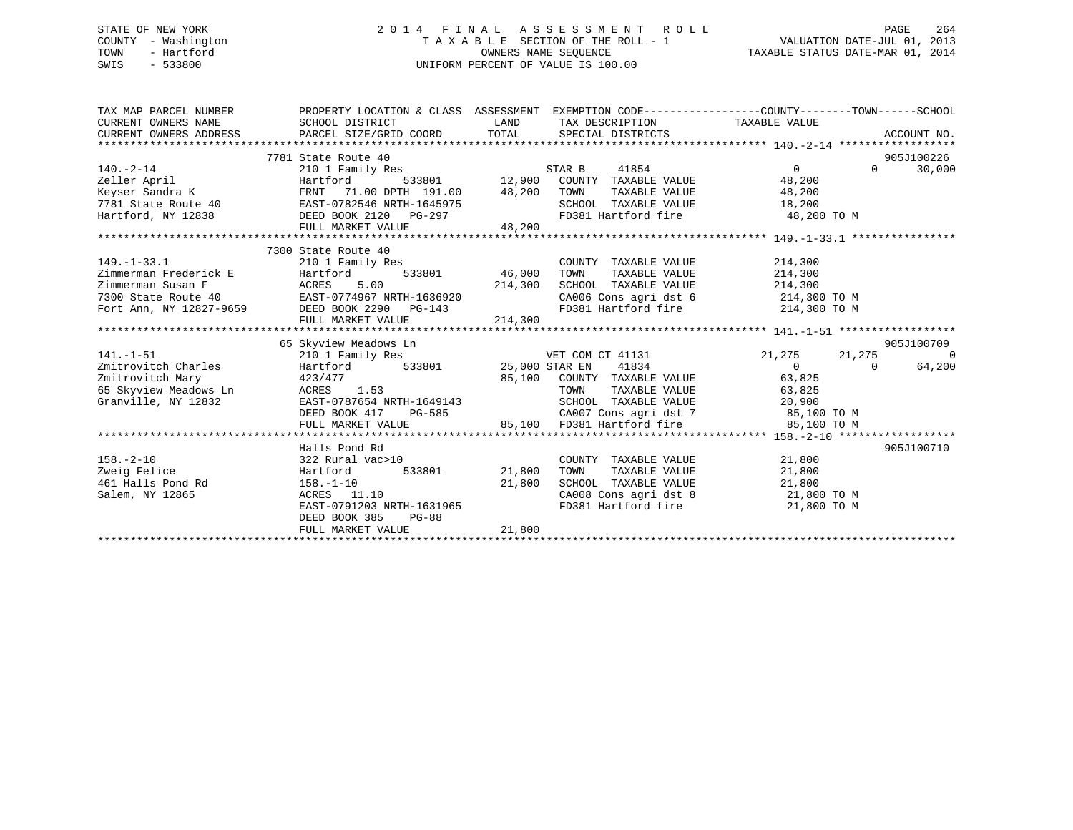# STATE OF NEW YORK 2 0 1 4 F I N A L A S S E S S M E N T R O L L PAGE 264 COUNTY - Washington T A X A B L E SECTION OF THE ROLL - 1 VALUATION DATE-JUL 01, 2013 TOWN - Hartford **TAXABLE STATUS DATE-MAR 01, 2014** OWNERS NAME SEQUENCE TAXABLE STATUS DATE-MAR 01, 2014 SWIS - 533800 UNIFORM PERCENT OF VALUE IS 100.00

| 905J100226<br>7300 State Route 40<br>149.-1-33.1 7300 State Route 40<br>210 1 Family Res<br>210 1 Family Res<br>210 1 Family Res<br>533801 46,000<br>214,300<br>214,300<br>7300 State Route 40<br>Fort Ann, NY 12827-9659 DEED DOK 2290<br>PC-143<br>PCT Ann, NY 12827-9659 DEED DOK 22<br>COUNTY TAXABLE VALUE 214,300<br>46,000 TOWN TAXABLE VALUE 214,300<br>214,300 SCHOOL TAXABLE VALUE 214,300<br>CA006 Cons agri dst 6 214,300 TO M<br>FD381 Hartford fire 214,300 TO M<br>FULL MARKET VALUE 214,300<br>65 Skyview Meadows Ln<br>905J100709<br>210 1 Family Res 6 6 6 6 6 7 8 7 7 8 7 7 8 7 7 8 7 8 7 7 8 7 7 8 7 7 8 7 8 7 7 8 7 8 7 8 7 8 7 8 7 7 8 7 8 7 8 7 8 7 8 7 8 7 8 7 8 7 8 7 8 7 8 7 8 7 8 7 8 7 8 7 8 7 8 7 8 7 8 7 8 7 8 7 8 7 8 7 8 7 8 7 8 7 8 7 8 7 8 7 8 7 8<br>$141. - 1 - 51$<br>Zmitrovitch Charles Hartford 533801 25,000 STAR EN 41834<br>$\overline{0}$ 0<br>64,200<br>Examine of the contract of the contract of the contract the contract of the contract of the contract of the contract of the contract of the contract of the contract of the contract of the contract of the contract of the co<br>Granville, NY 12832<br>SCHOOL TAXABLE VALUE 20,900<br>EAST-0787654 NRTH-1649143<br>DEED BOOK 417 PG-585 CA007 Cons agri dst 7 85,100 TO M<br>905J100710<br>Halls Pond Rd<br>$158. - 2 - 10$<br>322 Rural vac>10<br>COUNTY TAXABLE VALUE 21,800<br>Hartford<br>Zweig Felice<br>533801 21,800 TOWN<br>TAXABLE VALUE 21,800<br>ACRES 11.10<br>CA008 Cons agri dst 8 21,800 TO M<br>Salem, NY 12865<br>EAST-0791203 NRTH-1631965<br>FD381 Hartford fire 21,800 TO M<br>DEED BOOK 385<br>$PG-88$<br>21,800<br>FULL MARKET VALUE | TAX MAP PARCEL NUMBER<br>CURRENT OWNERS NAME SCHOOL DISTRICT | PROPERTY LOCATION & CLASS ASSESSMENT EXEMPTION CODE---------------COUNTY-------TOWN-----SCHOOL<br>LAND<br>TAX DESCRIPTION TAXABLE VALUE |  |
|-------------------------------------------------------------------------------------------------------------------------------------------------------------------------------------------------------------------------------------------------------------------------------------------------------------------------------------------------------------------------------------------------------------------------------------------------------------------------------------------------------------------------------------------------------------------------------------------------------------------------------------------------------------------------------------------------------------------------------------------------------------------------------------------------------------------------------------------------------------------------------------------------------------------------------------------------------------------------------------------------------------------------------------------------------------------------------------------------------------------------------------------------------------------------------------------------------------------------------------------------------------------------------------------------------------------------------------------------------------------------------------------------------------------------------------------------------------------------------------------------------------------------------------------------------------------------------------------------------------------------------------------------------------------|--------------------------------------------------------------|-----------------------------------------------------------------------------------------------------------------------------------------|--|
|                                                                                                                                                                                                                                                                                                                                                                                                                                                                                                                                                                                                                                                                                                                                                                                                                                                                                                                                                                                                                                                                                                                                                                                                                                                                                                                                                                                                                                                                                                                                                                                                                                                                   |                                                              |                                                                                                                                         |  |
|                                                                                                                                                                                                                                                                                                                                                                                                                                                                                                                                                                                                                                                                                                                                                                                                                                                                                                                                                                                                                                                                                                                                                                                                                                                                                                                                                                                                                                                                                                                                                                                                                                                                   |                                                              |                                                                                                                                         |  |
|                                                                                                                                                                                                                                                                                                                                                                                                                                                                                                                                                                                                                                                                                                                                                                                                                                                                                                                                                                                                                                                                                                                                                                                                                                                                                                                                                                                                                                                                                                                                                                                                                                                                   |                                                              |                                                                                                                                         |  |
|                                                                                                                                                                                                                                                                                                                                                                                                                                                                                                                                                                                                                                                                                                                                                                                                                                                                                                                                                                                                                                                                                                                                                                                                                                                                                                                                                                                                                                                                                                                                                                                                                                                                   |                                                              |                                                                                                                                         |  |
|                                                                                                                                                                                                                                                                                                                                                                                                                                                                                                                                                                                                                                                                                                                                                                                                                                                                                                                                                                                                                                                                                                                                                                                                                                                                                                                                                                                                                                                                                                                                                                                                                                                                   |                                                              |                                                                                                                                         |  |
|                                                                                                                                                                                                                                                                                                                                                                                                                                                                                                                                                                                                                                                                                                                                                                                                                                                                                                                                                                                                                                                                                                                                                                                                                                                                                                                                                                                                                                                                                                                                                                                                                                                                   |                                                              |                                                                                                                                         |  |
|                                                                                                                                                                                                                                                                                                                                                                                                                                                                                                                                                                                                                                                                                                                                                                                                                                                                                                                                                                                                                                                                                                                                                                                                                                                                                                                                                                                                                                                                                                                                                                                                                                                                   |                                                              |                                                                                                                                         |  |
|                                                                                                                                                                                                                                                                                                                                                                                                                                                                                                                                                                                                                                                                                                                                                                                                                                                                                                                                                                                                                                                                                                                                                                                                                                                                                                                                                                                                                                                                                                                                                                                                                                                                   |                                                              |                                                                                                                                         |  |
|                                                                                                                                                                                                                                                                                                                                                                                                                                                                                                                                                                                                                                                                                                                                                                                                                                                                                                                                                                                                                                                                                                                                                                                                                                                                                                                                                                                                                                                                                                                                                                                                                                                                   |                                                              |                                                                                                                                         |  |
|                                                                                                                                                                                                                                                                                                                                                                                                                                                                                                                                                                                                                                                                                                                                                                                                                                                                                                                                                                                                                                                                                                                                                                                                                                                                                                                                                                                                                                                                                                                                                                                                                                                                   |                                                              |                                                                                                                                         |  |
|                                                                                                                                                                                                                                                                                                                                                                                                                                                                                                                                                                                                                                                                                                                                                                                                                                                                                                                                                                                                                                                                                                                                                                                                                                                                                                                                                                                                                                                                                                                                                                                                                                                                   |                                                              |                                                                                                                                         |  |
|                                                                                                                                                                                                                                                                                                                                                                                                                                                                                                                                                                                                                                                                                                                                                                                                                                                                                                                                                                                                                                                                                                                                                                                                                                                                                                                                                                                                                                                                                                                                                                                                                                                                   |                                                              |                                                                                                                                         |  |
|                                                                                                                                                                                                                                                                                                                                                                                                                                                                                                                                                                                                                                                                                                                                                                                                                                                                                                                                                                                                                                                                                                                                                                                                                                                                                                                                                                                                                                                                                                                                                                                                                                                                   |                                                              |                                                                                                                                         |  |
|                                                                                                                                                                                                                                                                                                                                                                                                                                                                                                                                                                                                                                                                                                                                                                                                                                                                                                                                                                                                                                                                                                                                                                                                                                                                                                                                                                                                                                                                                                                                                                                                                                                                   |                                                              |                                                                                                                                         |  |
|                                                                                                                                                                                                                                                                                                                                                                                                                                                                                                                                                                                                                                                                                                                                                                                                                                                                                                                                                                                                                                                                                                                                                                                                                                                                                                                                                                                                                                                                                                                                                                                                                                                                   |                                                              |                                                                                                                                         |  |
|                                                                                                                                                                                                                                                                                                                                                                                                                                                                                                                                                                                                                                                                                                                                                                                                                                                                                                                                                                                                                                                                                                                                                                                                                                                                                                                                                                                                                                                                                                                                                                                                                                                                   |                                                              |                                                                                                                                         |  |
|                                                                                                                                                                                                                                                                                                                                                                                                                                                                                                                                                                                                                                                                                                                                                                                                                                                                                                                                                                                                                                                                                                                                                                                                                                                                                                                                                                                                                                                                                                                                                                                                                                                                   |                                                              |                                                                                                                                         |  |
|                                                                                                                                                                                                                                                                                                                                                                                                                                                                                                                                                                                                                                                                                                                                                                                                                                                                                                                                                                                                                                                                                                                                                                                                                                                                                                                                                                                                                                                                                                                                                                                                                                                                   |                                                              |                                                                                                                                         |  |
|                                                                                                                                                                                                                                                                                                                                                                                                                                                                                                                                                                                                                                                                                                                                                                                                                                                                                                                                                                                                                                                                                                                                                                                                                                                                                                                                                                                                                                                                                                                                                                                                                                                                   |                                                              |                                                                                                                                         |  |
|                                                                                                                                                                                                                                                                                                                                                                                                                                                                                                                                                                                                                                                                                                                                                                                                                                                                                                                                                                                                                                                                                                                                                                                                                                                                                                                                                                                                                                                                                                                                                                                                                                                                   |                                                              |                                                                                                                                         |  |
|                                                                                                                                                                                                                                                                                                                                                                                                                                                                                                                                                                                                                                                                                                                                                                                                                                                                                                                                                                                                                                                                                                                                                                                                                                                                                                                                                                                                                                                                                                                                                                                                                                                                   |                                                              |                                                                                                                                         |  |
|                                                                                                                                                                                                                                                                                                                                                                                                                                                                                                                                                                                                                                                                                                                                                                                                                                                                                                                                                                                                                                                                                                                                                                                                                                                                                                                                                                                                                                                                                                                                                                                                                                                                   |                                                              |                                                                                                                                         |  |
|                                                                                                                                                                                                                                                                                                                                                                                                                                                                                                                                                                                                                                                                                                                                                                                                                                                                                                                                                                                                                                                                                                                                                                                                                                                                                                                                                                                                                                                                                                                                                                                                                                                                   |                                                              |                                                                                                                                         |  |
|                                                                                                                                                                                                                                                                                                                                                                                                                                                                                                                                                                                                                                                                                                                                                                                                                                                                                                                                                                                                                                                                                                                                                                                                                                                                                                                                                                                                                                                                                                                                                                                                                                                                   |                                                              |                                                                                                                                         |  |
|                                                                                                                                                                                                                                                                                                                                                                                                                                                                                                                                                                                                                                                                                                                                                                                                                                                                                                                                                                                                                                                                                                                                                                                                                                                                                                                                                                                                                                                                                                                                                                                                                                                                   |                                                              |                                                                                                                                         |  |
|                                                                                                                                                                                                                                                                                                                                                                                                                                                                                                                                                                                                                                                                                                                                                                                                                                                                                                                                                                                                                                                                                                                                                                                                                                                                                                                                                                                                                                                                                                                                                                                                                                                                   |                                                              |                                                                                                                                         |  |
|                                                                                                                                                                                                                                                                                                                                                                                                                                                                                                                                                                                                                                                                                                                                                                                                                                                                                                                                                                                                                                                                                                                                                                                                                                                                                                                                                                                                                                                                                                                                                                                                                                                                   |                                                              |                                                                                                                                         |  |
|                                                                                                                                                                                                                                                                                                                                                                                                                                                                                                                                                                                                                                                                                                                                                                                                                                                                                                                                                                                                                                                                                                                                                                                                                                                                                                                                                                                                                                                                                                                                                                                                                                                                   |                                                              |                                                                                                                                         |  |
|                                                                                                                                                                                                                                                                                                                                                                                                                                                                                                                                                                                                                                                                                                                                                                                                                                                                                                                                                                                                                                                                                                                                                                                                                                                                                                                                                                                                                                                                                                                                                                                                                                                                   |                                                              |                                                                                                                                         |  |
|                                                                                                                                                                                                                                                                                                                                                                                                                                                                                                                                                                                                                                                                                                                                                                                                                                                                                                                                                                                                                                                                                                                                                                                                                                                                                                                                                                                                                                                                                                                                                                                                                                                                   |                                                              |                                                                                                                                         |  |
|                                                                                                                                                                                                                                                                                                                                                                                                                                                                                                                                                                                                                                                                                                                                                                                                                                                                                                                                                                                                                                                                                                                                                                                                                                                                                                                                                                                                                                                                                                                                                                                                                                                                   |                                                              |                                                                                                                                         |  |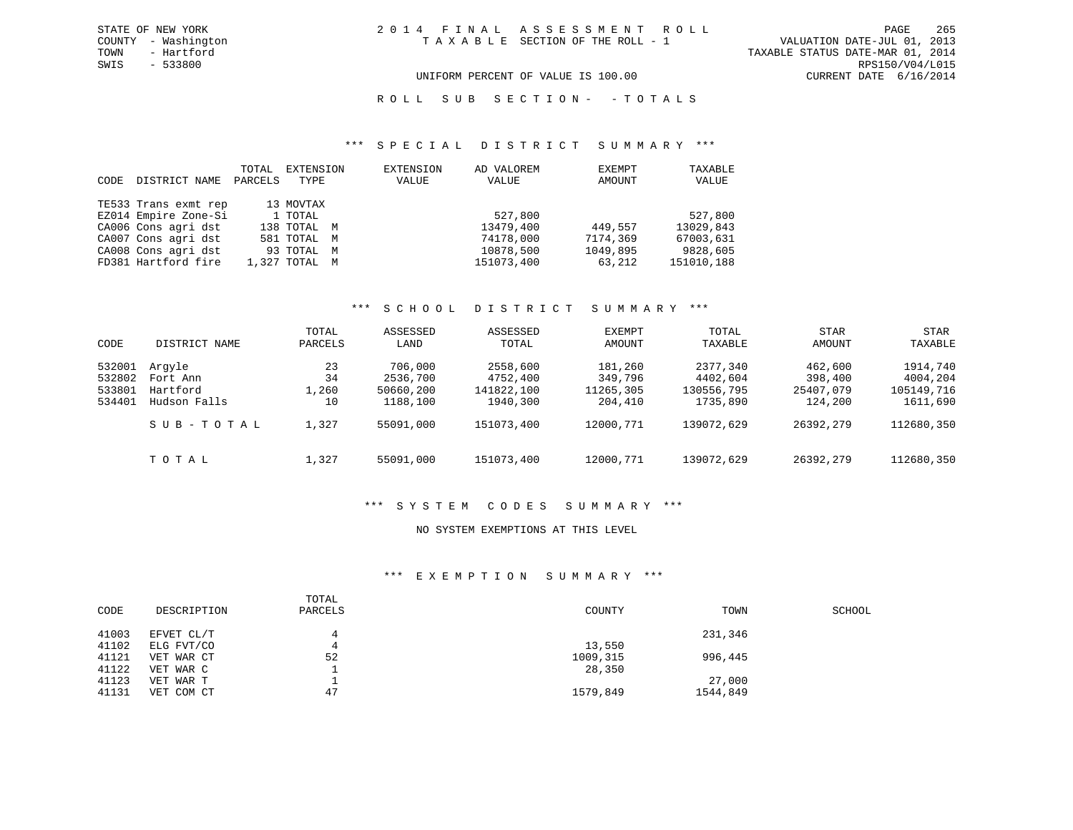UNIFORM PERCENT OF VALUE IS 100.00 CURRENT DATE 6/16/2014

R O L L S U B S E C T I O N - - T O T A L S

#### \*\*\* S P E C I A L D I S T R I C T S U M M A R Y \*\*\*

| CODE | DISTRICT NAME        | TOTAL<br>PARCELS | EXTENSION<br>TYPE | EXTENSION<br>VALUE | AD VALOREM<br>VALUE | EXEMPT<br>AMOUNT | TAXABLE<br>VALUE |
|------|----------------------|------------------|-------------------|--------------------|---------------------|------------------|------------------|
|      | TE533 Trans exmt rep |                  | 13 MOVTAX         |                    |                     |                  |                  |
|      | EZ014 Empire Zone-Si |                  | 1 TOTAL           |                    | 527,800             |                  | 527,800          |
|      | CA006 Cons agri dst  |                  | 138 TOTAL M       |                    | 13479,400           | 449,557          | 13029,843        |
|      | CA007 Cons agri dst  |                  | 581 TOTAL M       |                    | 74178,000           | 7174,369         | 67003,631        |
|      | CA008 Cons agri dst  |                  | 93 TOTAL M        |                    | 10878,500           | 1049,895         | 9828,605         |
|      | FD381 Hartford fire  |                  | 1,327 TOTAL M     |                    | 151073,400          | 63,212           | 151010,188       |

### \*\*\* S C H O O L D I S T R I C T S U M M A R Y \*\*\*

| CODE                                 | DISTRICT NAME                                  | TOTAL<br>PARCELS        | ASSESSED<br>LAND                             | ASSESSED<br>TOTAL                              | EXEMPT<br>AMOUNT                           | TOTAL<br>TAXABLE                               | STAR<br>AMOUNT                             | STAR<br>TAXABLE                                |
|--------------------------------------|------------------------------------------------|-------------------------|----------------------------------------------|------------------------------------------------|--------------------------------------------|------------------------------------------------|--------------------------------------------|------------------------------------------------|
| 532001<br>532802<br>533801<br>534401 | Arqyle<br>Fort Ann<br>Hartford<br>Hudson Falls | 23<br>34<br>1,260<br>10 | 706,000<br>2536,700<br>50660,200<br>1188,100 | 2558,600<br>4752,400<br>141822,100<br>1940,300 | 181,260<br>349,796<br>11265,305<br>204,410 | 2377,340<br>4402,604<br>130556,795<br>1735,890 | 462,600<br>398,400<br>25407,079<br>124,200 | 1914,740<br>4004,204<br>105149,716<br>1611,690 |
|                                      | SUB-TOTAL                                      | 1,327                   | 55091,000                                    | 151073,400                                     | 12000.771                                  | 139072,629                                     | 26392,279                                  | 112680,350                                     |
|                                      | TOTAL                                          | 1,327                   | 55091,000                                    | 151073,400                                     | 12000,771                                  | 139072,629                                     | 26392,279                                  | 112680,350                                     |

#### \*\*\* S Y S T E M C O D E S S U M M A R Y \*\*\*

### NO SYSTEM EXEMPTIONS AT THIS LEVEL

## \*\*\* E X E M P T I O N S U M M A R Y \*\*\*

| CODE  | DESCRIPTION | TOTAL<br>PARCELS | COUNTY   | TOWN     | SCHOOL |
|-------|-------------|------------------|----------|----------|--------|
| 41003 | EFVET CL/T  |                  |          | 231,346  |        |
| 41102 | ELG FVT/CO  |                  | 13,550   |          |        |
| 41121 | VET WAR CT  | 52               | 1009,315 | 996,445  |        |
| 41122 | VET WAR C   |                  | 28,350   |          |        |
| 41123 | VET WAR T   |                  |          | 27,000   |        |
| 41131 | VET COM CT  | 47               | 1579,849 | 1544,849 |        |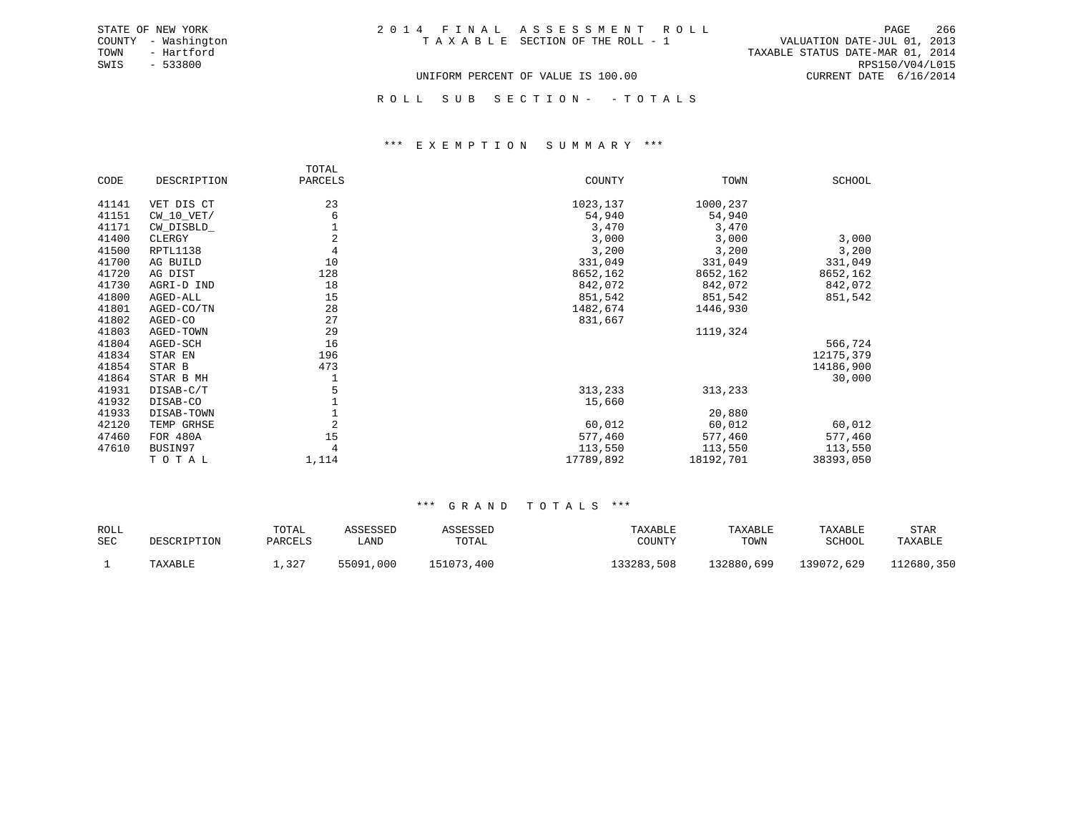TOWN - Hartford TAXABLE STATUS DATE-MAR 01, 2014 SWIS - 533800 RPS150/V04/L015 UNIFORM PERCENT OF VALUE IS 100.00 CURRENT DATE 6/16/2014

ROLL SUB SECTION - - TOTALS

#### \*\*\* E X E M P T I O N S U M M A R Y \*\*\*

|       |              | TOTAL          |           |           |           |
|-------|--------------|----------------|-----------|-----------|-----------|
| CODE  | DESCRIPTION  | PARCELS        | COUNTY    | TOWN      | SCHOOL    |
| 41141 | VET DIS CT   | 23             | 1023,137  | 1000,237  |           |
| 41151 | $CW_10_VET/$ | 6              | 54,940    | 54,940    |           |
| 41171 | CW_DISBLD_   |                | 3,470     | 3,470     |           |
| 41400 | CLERGY       | $\overline{c}$ | 3,000     | 3,000     | 3,000     |
| 41500 | RPTL1138     | $\overline{4}$ | 3,200     | 3,200     | 3,200     |
| 41700 | AG BUILD     | 10             | 331,049   | 331,049   | 331,049   |
| 41720 | AG DIST      | 128            | 8652,162  | 8652,162  | 8652,162  |
| 41730 | AGRI-D IND   | 18             | 842,072   | 842,072   | 842,072   |
| 41800 | AGED-ALL     | 15             | 851,542   | 851,542   | 851,542   |
| 41801 | AGED-CO/TN   | 28             | 1482,674  | 1446,930  |           |
| 41802 | AGED-CO      | 27             | 831,667   |           |           |
| 41803 | AGED-TOWN    | 29             |           | 1119,324  |           |
| 41804 | AGED-SCH     | 16             |           |           | 566,724   |
| 41834 | STAR EN      | 196            |           |           | 12175,379 |
| 41854 | STAR B       | 473            |           |           | 14186,900 |
| 41864 | STAR B MH    |                |           |           | 30,000    |
| 41931 | DISAB-C/T    |                | 313,233   | 313,233   |           |
| 41932 | DISAB-CO     |                | 15,660    |           |           |
| 41933 | DISAB-TOWN   |                |           | 20,880    |           |
| 42120 | TEMP GRHSE   | $\overline{2}$ | 60,012    | 60,012    | 60,012    |
| 47460 | FOR 480A     | 15             | 577,460   | 577,460   | 577,460   |
| 47610 | BUSIN97      |                | 113,550   | 113,550   | 113,550   |
|       | TOTAL        | 1,114          | 17789,892 | 18192,701 | 38393,050 |

| ROLL<br><b>SEC</b> | DESCRIPTION | TOTAL<br>PARCELS | ASSESSED<br>LAND | ASSESSED<br>TOTAL | TAXABLE<br>COUNTY | TAXABLE<br>TOWN | TAXABLE<br>SCHOOL | STAR<br>TAXABLE |
|--------------------|-------------|------------------|------------------|-------------------|-------------------|-----------------|-------------------|-----------------|
|                    | TAXABLE     | ,327             | 55091,000        | 151073<br>.400    | 133283,508        | ⊥32880,699      | 139072,629        | 112680,350      |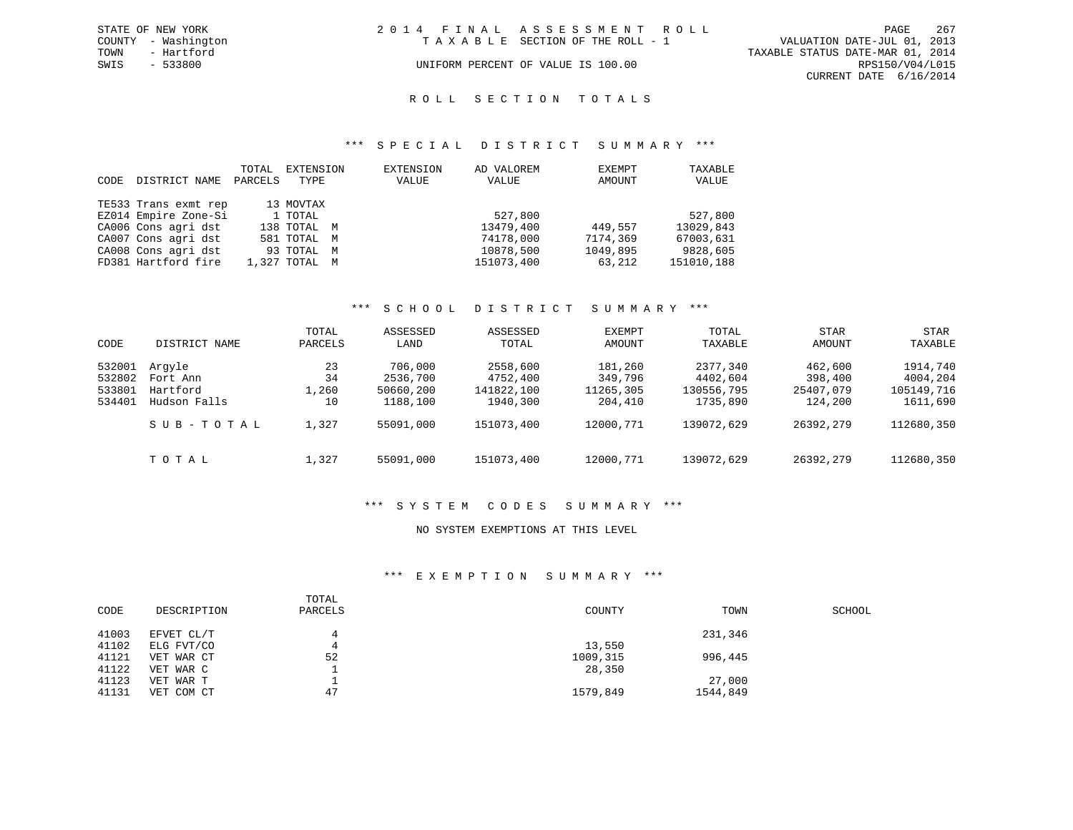|      | STATE OF NEW YORK   | 2014 FINAL ASSESSMENT ROLL |                                    |                                  |                        | PAGE | - 267 |
|------|---------------------|----------------------------|------------------------------------|----------------------------------|------------------------|------|-------|
|      | COUNTY - Washington |                            | TAXABLE SECTION OF THE ROLL - 1    | VALUATION DATE-JUL 01, 2013      |                        |      |       |
| TOWN | - Hartford          |                            |                                    | TAXABLE STATUS DATE-MAR 01, 2014 |                        |      |       |
| SWIS | - 533800            |                            | UNIFORM PERCENT OF VALUE IS 100.00 |                                  | RPS150/V04/L015        |      |       |
|      |                     |                            |                                    |                                  | CURRENT DATE 6/16/2014 |      |       |

# ROLL SECTION TOTALS

#### \*\*\* S P E C I A L D I S T R I C T S U M M A R Y \*\*\*

| CODE | DISTRICT NAME        | TOTAL<br>PARCELS | EXTENSION<br>TYPE | EXTENSION<br>VALUE | AD VALOREM<br>VALUE | EXEMPT<br>AMOUNT | TAXABLE<br>VALUE |
|------|----------------------|------------------|-------------------|--------------------|---------------------|------------------|------------------|
|      | TE533 Trans exmt rep |                  | 13 MOVTAX         |                    |                     |                  |                  |
|      | EZ014 Empire Zone-Si |                  | 1 TOTAL           |                    | 527,800             |                  | 527,800          |
|      | CA006 Cons agri dst  |                  | 138 TOTAL M       |                    | 13479,400           | 449,557          | 13029,843        |
|      | CA007 Cons agri dst  |                  | 581 TOTAL M       |                    | 74178,000           | 7174,369         | 67003,631        |
|      | CA008 Cons agri dst  |                  | 93 TOTAL M        |                    | 10878,500           | 1049,895         | 9828,605         |
|      | FD381 Hartford fire  |                  | 1,327 TOTAL M     |                    | 151073,400          | 63,212           | 151010,188       |

### \*\*\* S C H O O L D I S T R I C T S U M M A R Y \*\*\*

| CODE             | DISTRICT NAME        | TOTAL<br>PARCELS | ASSESSED<br>LAND      | ASSESSED<br>TOTAL      | EXEMPT<br>AMOUNT     | TOTAL<br>TAXABLE       | <b>STAR</b><br>AMOUNT | <b>STAR</b><br>TAXABLE |
|------------------|----------------------|------------------|-----------------------|------------------------|----------------------|------------------------|-----------------------|------------------------|
| 532001           | Arqyle               | 23               | 706,000               | 2558,600               | 181,260              | 2377,340               | 462,600               | 1914,740               |
| 532802<br>533801 | Fort Ann<br>Hartford | 34<br>1,260      | 2536,700<br>50660,200 | 4752,400<br>141822,100 | 349,796<br>11265,305 | 4402,604<br>130556,795 | 398,400<br>25407,079  | 4004,204<br>105149,716 |
| 534401           | Hudson Falls         | 10               | 1188,100              | 1940,300               | 204,410              | 1735,890               | 124,200               | 1611,690               |
|                  | SUB-TOTAL            | 1,327            | 55091,000             | 151073,400             | 12000.771            | 139072,629             | 26392,279             | 112680,350             |
|                  | TOTAL                | 1,327            | 55091,000             | 151073,400             | 12000,771            | 139072,629             | 26392,279             | 112680,350             |

#### \*\*\* S Y S T E M C O D E S S U M M A R Y \*\*\*

### NO SYSTEM EXEMPTIONS AT THIS LEVEL

#### \*\*\* E X E M P T I O N S U M M A R Y \*\*\*

| CODE  | DESCRIPTION | TOTAL<br>PARCELS | COUNTY   | TOWN     | SCHOOL |
|-------|-------------|------------------|----------|----------|--------|
| 41003 | EFVET CL/T  | 4                |          | 231,346  |        |
| 41102 | ELG FVT/CO  | 4                | 13,550   |          |        |
| 41121 | VET WAR CT  | 52               | 1009,315 | 996,445  |        |
| 41122 | VET WAR C   |                  | 28,350   |          |        |
| 41123 | VET WAR T   | л.               |          | 27,000   |        |
| 41131 | VET COM CT  | 47               | 1579,849 | 1544,849 |        |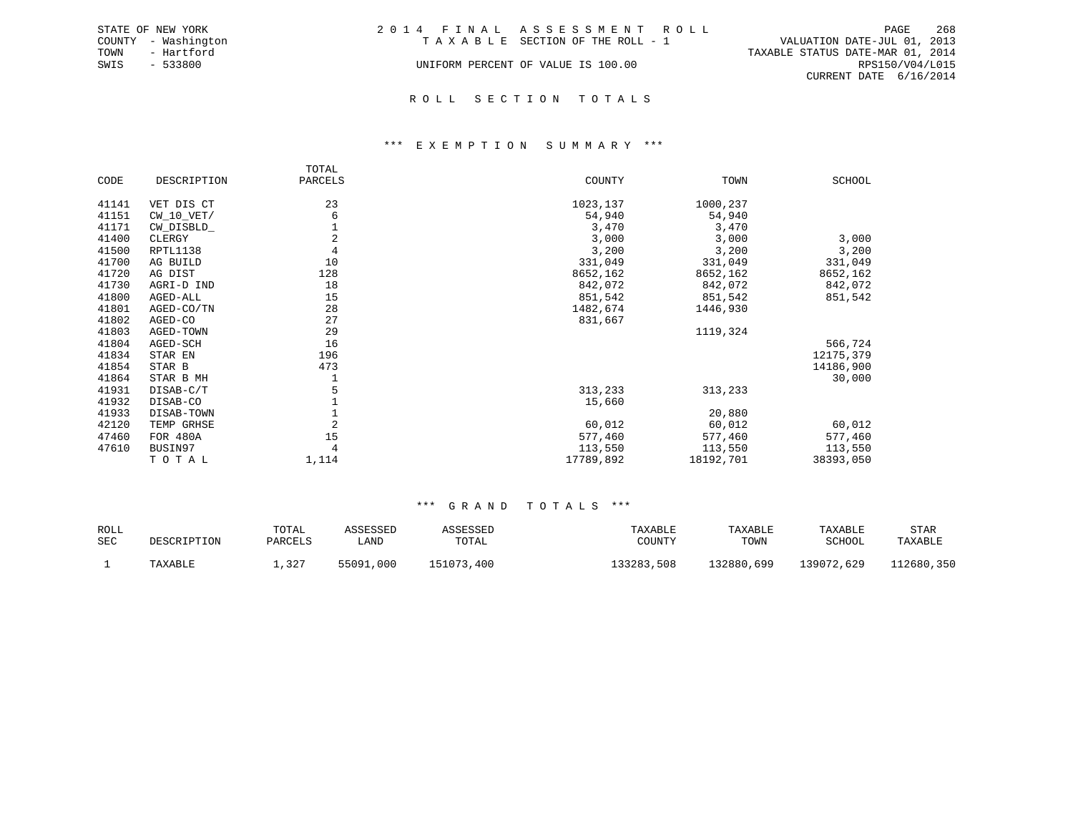|      | STATE OF NEW YORK   | 2014 FINAL ASSESSMENT ROLL         |                                  | PAGE            | 268 |
|------|---------------------|------------------------------------|----------------------------------|-----------------|-----|
|      | COUNTY - Washington | TAXABLE SECTION OF THE ROLL - 1    | VALUATION DATE-JUL 01, 2013      |                 |     |
| TOWN | - Hartford          |                                    | TAXABLE STATUS DATE-MAR 01, 2014 |                 |     |
| SWIS | $-533800$           | UNIFORM PERCENT OF VALUE IS 100.00 |                                  | RPS150/V04/L015 |     |
|      |                     |                                    | CURRENT DATE 6/16/2014           |                 |     |
|      |                     |                                    |                                  |                 |     |

#### R O L L S E C T I O N T O T A L S

#### \*\*\* E X E M P T I O N S U M M A R Y \*\*\*

|       |              | TOTAL          |           |           |           |
|-------|--------------|----------------|-----------|-----------|-----------|
| CODE  | DESCRIPTION  | PARCELS        | COUNTY    | TOWN      | SCHOOL    |
| 41141 | VET DIS CT   | 23             | 1023,137  | 1000,237  |           |
| 41151 | $CW_10_VET/$ | 6              | 54,940    | 54,940    |           |
| 41171 | CW_DISBLD_   |                | 3,470     | 3,470     |           |
| 41400 | CLERGY       | $\overline{2}$ | 3,000     | 3,000     | 3,000     |
| 41500 | RPTL1138     | $\,4$          | 3,200     | 3,200     | 3,200     |
| 41700 | AG BUILD     | 10             | 331,049   | 331,049   | 331,049   |
| 41720 | AG DIST      | 128            | 8652,162  | 8652,162  | 8652,162  |
| 41730 | AGRI-D IND   | 18             | 842,072   | 842,072   | 842,072   |
| 41800 | AGED-ALL     | 15             | 851,542   | 851,542   | 851,542   |
| 41801 | AGED-CO/TN   | 28             | 1482,674  | 1446,930  |           |
| 41802 | AGED-CO      | 27             | 831,667   |           |           |
| 41803 | AGED-TOWN    | 29             |           | 1119,324  |           |
| 41804 | AGED-SCH     | 16             |           |           | 566,724   |
| 41834 | STAR EN      | 196            |           |           | 12175,379 |
| 41854 | STAR B       | 473            |           |           | 14186,900 |
| 41864 | STAR B MH    | 1              |           |           | 30,000    |
| 41931 | DISAB-C/T    | 5              | 313,233   | 313,233   |           |
| 41932 | DISAB-CO     |                | 15,660    |           |           |
| 41933 | DISAB-TOWN   |                |           | 20,880    |           |
| 42120 | TEMP GRHSE   | $\overline{2}$ | 60,012    | 60,012    | 60,012    |
| 47460 | FOR 480A     | 15             | 577,460   | 577,460   | 577,460   |
| 47610 | BUSIN97      | 4              | 113,550   | 113,550   | 113,550   |
|       | TOTAL        | 1,114          | 17789,892 | 18192,701 | 38393,050 |

| ROLL<br><b>SEC</b> | DESCRIPTION | TOTAL<br>PARCELS | ASSESSED<br>LAND | ASSESSED<br>TOTAL | TAXABLE<br>COUNTY | TAXABLE<br>TOWN | TAXABLE<br>SCHOOL | STAR<br>TAXABLE |
|--------------------|-------------|------------------|------------------|-------------------|-------------------|-----------------|-------------------|-----------------|
|                    | TAXABLE     | ,327             | 55091,000        | 151073,400        | 133283,508        | .32880,699      | 139072,629        | 112680,350      |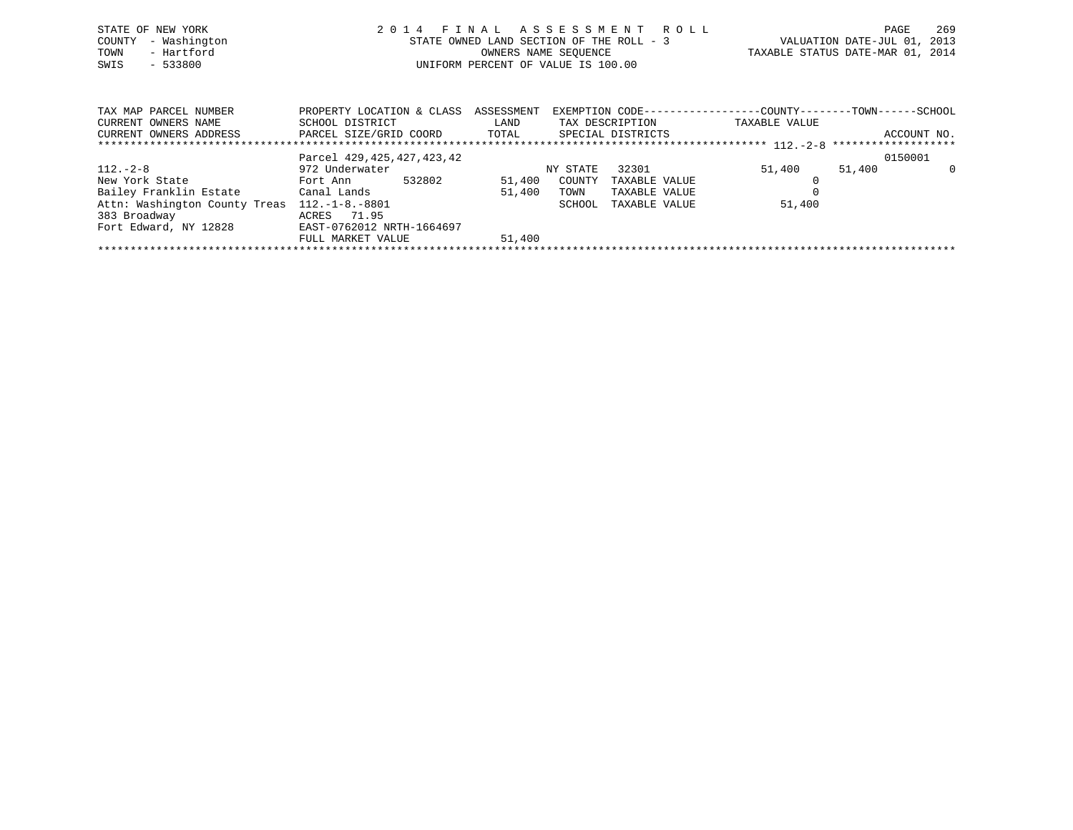| STATE OF NEW YORK<br>- Washington<br>COUNTY<br>- Hartford<br>TOWN<br>$-533800$<br>SWIS                                      | 2014 FINAL ASSESSMENT ROLL<br>STATE OWNED LAND SECTION OF THE ROLL - 3<br>OWNERS NAME SEQUENCE<br>UNIFORM PERCENT OF VALUE IS 100.00 |        |          |                 | TAXABLE STATUS DATE-MAR 01, 2014                                              | PAGE<br>VALUATION DATE-JUL 01, 2013 | 269         |
|-----------------------------------------------------------------------------------------------------------------------------|--------------------------------------------------------------------------------------------------------------------------------------|--------|----------|-----------------|-------------------------------------------------------------------------------|-------------------------------------|-------------|
| TAX MAP PARCEL NUMBER<br>CURRENT OWNERS NAME<br>CURRENT OWNERS ADDRESS <b>EXELL SIZE/GRID COORD</b> TOTAL SPECIAL DISTRICTS | PROPERTY LOCATION & CLASS ASSESSMENT<br>SCHOOL DISTRICT                                                                              | LAND   |          | TAX DESCRIPTION | EXEMPTION CODE-----------------COUNTY-------TOWN------SCHOOL<br>TAXABLE VALUE |                                     | ACCOUNT NO. |
|                                                                                                                             |                                                                                                                                      |        |          |                 |                                                                               |                                     |             |
|                                                                                                                             | Parcel 429, 425, 427, 423, 42                                                                                                        |        |          |                 |                                                                               | 0150001                             |             |
| $112. - 2 - 8$                                                                                                              | 972 Underwater                                                                                                                       |        | NY STATE | 32301           | 51,400                                                                        | 51,400                              | - 0         |
| New York State                                                                                                              | 532802<br>Fort Ann                                                                                                                   | 51,400 | COUNTY   | TAXABLE VALUE   |                                                                               |                                     |             |
| Bailey Franklin Estate            Canal Lands                                                                               |                                                                                                                                      | 51,400 | TOWN     | TAXABLE VALUE   |                                                                               |                                     |             |
| Attn: Washington County Treas 112.-1-8.-8801                                                                                |                                                                                                                                      |        | SCHOOL   | TAXABLE VALUE   | 51,400                                                                        |                                     |             |

\*\*\*\*\*\*\*\*\*\*\*\*\*\*\*\*\*\*\*\*\*\*\*\*\*\*\*\*\*\*\*\*\*\*\*\*\*\*\*\*\*\*\*\*\*\*\*\*\*\*\*\*\*\*\*\*\*\*\*\*\*\*\*\*\*\*\*\*\*\*\*\*\*\*\*\*\*\*\*\*\*\*\*\*\*\*\*\*\*\*\*\*\*\*\*\*\*\*\*\*\*\*\*\*\*\*\*\*\*\*\*\*\*\*\*\*\*\*\*\*\*\*\*\*\*\*\*\*\*\*\*\*

383 Broadway ACRES 71.95

Fort Edward, NY 12828 EAST-0762012 NRTH-1664697

FULL MARKET VALUE 51,400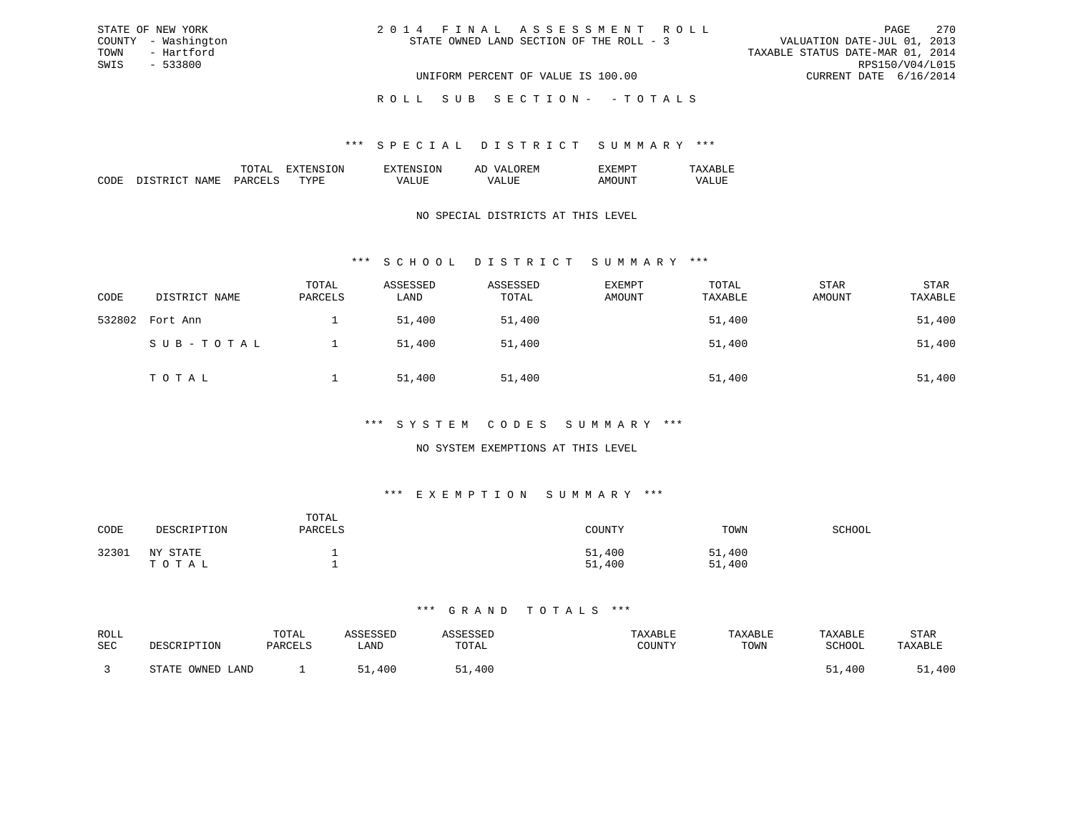| 2014 FINAL ASSESSMENT ROLL               | PAGE                             | 270 |
|------------------------------------------|----------------------------------|-----|
| STATE OWNED LAND SECTION OF THE ROLL - 3 | VALUATION DATE-JUL 01, 2013      |     |
|                                          | TAXABLE STATUS DATE-MAR 01, 2014 |     |
|                                          | RPS150/V04/L015                  |     |
| UNIFORM PERCENT OF VALUE IS 100.00       | CURRENT DATE 6/16/2014           |     |

ROLL SUB SECTION - - TOTALS

#### \*\*\* S P E C I A L D I S T R I C T S U M M A R Y \*\*\*

|                    |    | זור<br>вv. | $\cdots$<br>-- |  |
|--------------------|----|------------|----------------|--|
| חר<br>,,,,,,<br>ľМ | m. |            |                |  |

STATE OF NEW YORK COUNTY - Washington TOWN - Hartford SWIS - 533800

### NO SPECIAL DISTRICTS AT THIS LEVEL

### \*\*\* S C H O O L D I S T R I C T S U M M A R Y \*\*\*

| CODE   | DISTRICT NAME | TOTAL<br>PARCELS | ASSESSED<br>LAND | ASSESSED<br>TOTAL | <b>EXEMPT</b><br>AMOUNT | TOTAL<br>TAXABLE | STAR<br>AMOUNT | <b>STAR</b><br>TAXABLE |
|--------|---------------|------------------|------------------|-------------------|-------------------------|------------------|----------------|------------------------|
| 532802 | Fort Ann      |                  | 51,400           | 51,400            |                         | 51,400           |                | 51,400                 |
|        | SUB-TOTAL     |                  | 51,400           | 51,400            |                         | 51,400           |                | 51,400                 |
|        | TOTAL         |                  | 51,400           | 51,400            |                         | 51,400           |                | 51,400                 |

### \*\*\* S Y S T E M C O D E S S U M M A R Y \*\*\*

### NO SYSTEM EXEMPTIONS AT THIS LEVEL

### \*\*\* E X E M P T I O N S U M M A R Y \*\*\*

| CODE  | DESCRIPTION       | TOTAL<br>PARCELS | COUNTY           | TOWN             | SCHOOL |
|-------|-------------------|------------------|------------------|------------------|--------|
| 32301 | NY STATE<br>ТОТАЬ |                  | 51,400<br>51,400 | 51,400<br>51,400 |        |

| ROLL |                  | TOTAL   | <i><b>\SSESSED</b></i> | ASSESSED | TAXABLE       | TAXABLE | TAXABLE | <b>STAR</b> |
|------|------------------|---------|------------------------|----------|---------------|---------|---------|-------------|
| SEC  | DESCRIPTION      | PARCELS | "JAND                  | TOTAL    | <b>COUNTY</b> | TOWN    | SCHOOL  | TAXABLE     |
|      | STATE OWNED LAND |         | .400                   | 51,400   |               |         | 51,400  | 51,400      |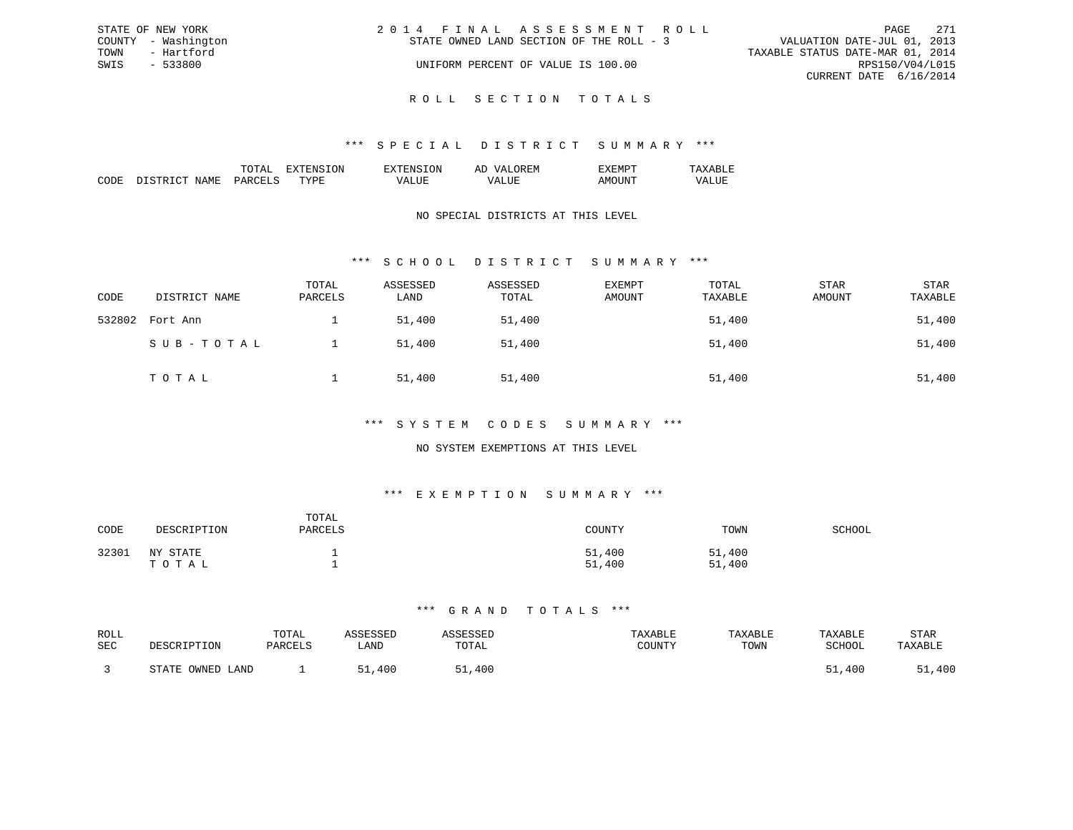| STATE OF NEW YORK   | 2014 FINAL ASSESSMENT ROLL               | - 271<br>PAGE                    |
|---------------------|------------------------------------------|----------------------------------|
| COUNTY - Washington | STATE OWNED LAND SECTION OF THE ROLL - 3 | VALUATION DATE-JUL 01, 2013      |
| TOWN<br>- Hartford  |                                          | TAXABLE STATUS DATE-MAR 01, 2014 |
| SWIS<br>- 533800    | UNIFORM PERCENT OF VALUE IS 100.00       | RPS150/V04/L015                  |
|                     |                                          | CURRENT DATE 6/16/2014           |
|                     |                                          |                                  |

R O L L S E C T I O N T O T A L S

#### \*\*\* S P E C I A L D I S T R I C T S U M M A R Y \*\*\*

|                                                                                                                              |                      | $\cdots$ | $\cdots$ | . IVI<br>-- |  |
|------------------------------------------------------------------------------------------------------------------------------|----------------------|----------|----------|-------------|--|
| ┓<br>IVI.<br>the contract of the contract of the contract of the contract of the contract of the contract of the contract of | $\sim$ $\sim$ $\sim$ | . пт     |          |             |  |

### NO SPECIAL DISTRICTS AT THIS LEVEL

### \*\*\* S C H O O L D I S T R I C T S U M M A R Y \*\*\*

| CODE   | DISTRICT NAME | TOTAL<br>PARCELS | ASSESSED<br>LAND | ASSESSED<br>TOTAL | <b>EXEMPT</b><br>AMOUNT | TOTAL<br>TAXABLE | STAR<br>AMOUNT | <b>STAR</b><br>TAXABLE |
|--------|---------------|------------------|------------------|-------------------|-------------------------|------------------|----------------|------------------------|
| 532802 | Fort Ann      |                  | 51,400           | 51,400            |                         | 51,400           |                | 51,400                 |
|        | SUB-TOTAL     |                  | 51,400           | 51,400            |                         | 51,400           |                | 51,400                 |
|        | TOTAL         |                  | 51,400           | 51,400            |                         | 51,400           |                | 51,400                 |

#### \*\*\* S Y S T E M C O D E S S U M M A R Y \*\*\*

### NO SYSTEM EXEMPTIONS AT THIS LEVEL

### \*\*\* E X E M P T I O N S U M M A R Y \*\*\*

| CODE  | DESCRIPTION       | TOTAL<br>PARCELS | COUNTY           | TOWN             | SCHOOL |
|-------|-------------------|------------------|------------------|------------------|--------|
| 32301 | NY STATE<br>ТОТАЬ |                  | 51,400<br>51,400 | 51,400<br>51,400 |        |

| ROLL<br><b>SEC</b> | DESCRIPTION      | TOTAL<br>PARCELS | <b>\SSESSED</b><br>LAND | <b><i>SSESSED</i></b><br>TOTAL | TAXABLE<br>COUNTY | TAXABLE<br>TOWN | TAXABLE<br>SCHOOL | STAR<br>TAXABLE |
|--------------------|------------------|------------------|-------------------------|--------------------------------|-------------------|-----------------|-------------------|-----------------|
|                    | STATE OWNED LAND |                  | 51<br>400               | 51,400                         |                   |                 | 51,400            | 51,400          |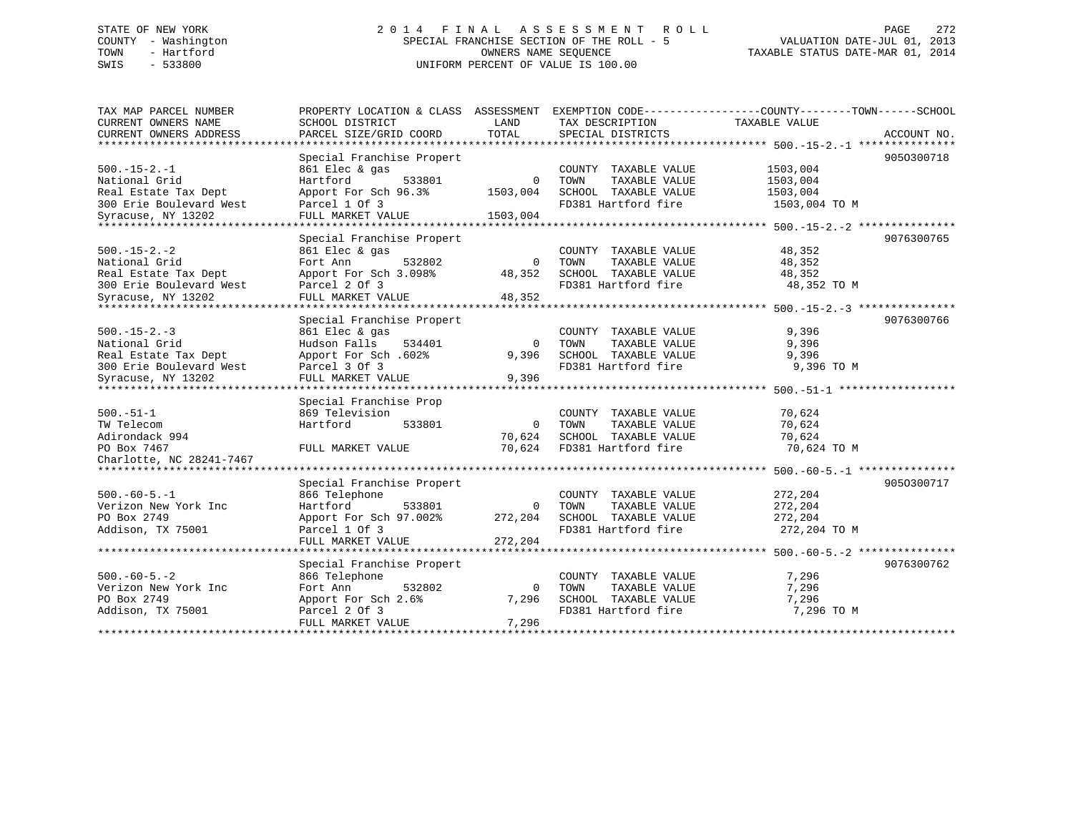# STATE OF NEW YORK 2 0 1 4 F I N A L A S S E S S M E N T R O L L PAGE 272 COUNTY - Washington SPECIAL FRANCHISE SECTION OF THE ROLL - 5 VALUATION DATE-JUL 01, 2013 TOWN - Hartford OWNERS NAME SEQUENCE TAXABLE STATUS DATE-MAR 01, 2014 SWIS - 533800 UNIFORM PERCENT OF VALUE IS 100.00

| TAX MAP PARCEL NUMBER<br>CURRENT OWNERS NAME | PROPERTY LOCATION & CLASS ASSESSMENT<br>SCHOOL DISTRICT | LAND        | TAX DESCRIPTION       | EXEMPTION CODE-----------------COUNTY-------TOWN------SCHOOL<br>TAXABLE VALUE |
|----------------------------------------------|---------------------------------------------------------|-------------|-----------------------|-------------------------------------------------------------------------------|
| CURRENT OWNERS ADDRESS                       | PARCEL SIZE/GRID COORD                                  | TOTAL       | SPECIAL DISTRICTS     | ACCOUNT NO.                                                                   |
| **************************                   |                                                         |             |                       |                                                                               |
|                                              | Special Franchise Propert                               |             |                       | 9050300718                                                                    |
| $500. -15 - 2. -1$                           | 861 Elec & gas                                          |             | COUNTY TAXABLE VALUE  | 1503,004                                                                      |
| National Grid                                | Hartford<br>533801                                      | $\Omega$    | TOWN<br>TAXABLE VALUE | 1503,004                                                                      |
| Real Estate Tax Dept                         | Apport For Sch 96.3%                                    | 1503,004    | SCHOOL TAXABLE VALUE  | 1503,004                                                                      |
| 300 Erie Boulevard West                      | Parcel 1 Of 3                                           |             | FD381 Hartford fire   | 1503,004 TO M                                                                 |
| Syracuse, NY 13202                           | FULL MARKET VALUE                                       | 1503,004    |                       |                                                                               |
| ***********************                      | ***********************                                 |             |                       |                                                                               |
|                                              | Special Franchise Propert                               |             |                       | 9076300765                                                                    |
| $500. -15 - 2. -2$                           | 861 Elec & gas                                          |             | COUNTY TAXABLE VALUE  | 48,352                                                                        |
| National Grid                                | Fort Ann<br>532802                                      | $\mathbf 0$ | TOWN<br>TAXABLE VALUE | 48,352                                                                        |
| Real Estate Tax Dept                         | Apport For Sch 3.098%                                   | 48,352      | SCHOOL TAXABLE VALUE  | 48,352                                                                        |
| 300 Erie Boulevard West                      | Parcel 2 Of 3                                           |             | FD381 Hartford fire   | 48,352 TO M                                                                   |
| Syracuse, NY 13202                           | FULL MARKET VALUE                                       | 48,352      |                       |                                                                               |
| ******************                           |                                                         |             |                       |                                                                               |
|                                              | Special Franchise Propert                               |             |                       | 9076300766                                                                    |
| $500. -15 - 2. -3$                           | 861 Elec & gas                                          |             | COUNTY TAXABLE VALUE  | 9,396                                                                         |
| National Grid                                | Hudson Falls<br>534401                                  | $\Omega$    | TOWN<br>TAXABLE VALUE | 9,396                                                                         |
| Real Estate Tax Dept                         | Apport For Sch. 602%                                    | 9,396       | SCHOOL TAXABLE VALUE  | 9,396                                                                         |
| 300 Erie Boulevard West                      | Parcel 3 Of 3                                           |             | FD381 Hartford fire   | 9,396 TO M                                                                    |
| Syracuse, NY 13202                           | FULL MARKET VALUE                                       | 9,396       |                       |                                                                               |
|                                              |                                                         |             |                       |                                                                               |
|                                              | Special Franchise Prop                                  |             |                       |                                                                               |
| $500.-51-1$                                  | 869 Television                                          |             | COUNTY TAXABLE VALUE  | 70,624                                                                        |
| TW Telecom                                   | Hartford<br>533801                                      | $\Omega$    | TOWN<br>TAXABLE VALUE | 70,624                                                                        |
| Adirondack 994                               |                                                         | 70,624      | SCHOOL TAXABLE VALUE  | 70,624                                                                        |
| PO Box 7467                                  | FULL MARKET VALUE                                       | 70,624      | FD381 Hartford fire   | 70,624 TO M                                                                   |
| Charlotte, NC 28241-7467                     |                                                         |             |                       |                                                                               |
| ****************************                 |                                                         |             |                       |                                                                               |
|                                              | Special Franchise Propert                               |             |                       | 9050300717                                                                    |
| $500. -60 - 5. -1$                           | 866 Telephone                                           |             | COUNTY TAXABLE VALUE  | 272,204                                                                       |
| Verizon New York Inc                         | Hartford<br>533801                                      | $\mathbf 0$ | TOWN<br>TAXABLE VALUE | 272,204                                                                       |
| PO Box 2749                                  | Apport For Sch 97.002%                                  | 272,204     | SCHOOL TAXABLE VALUE  | 272,204                                                                       |
| Addison, TX 75001                            | Parcel 1 Of 3                                           |             | FD381 Hartford fire   | 272,204 TO M                                                                  |
|                                              | FULL MARKET VALUE                                       | 272,204     |                       |                                                                               |
|                                              | **********************                                  |             |                       |                                                                               |
|                                              | Special Franchise Propert                               |             |                       | 9076300762                                                                    |
| $500. -60 - 5. - 2$                          | 866 Telephone                                           |             | COUNTY TAXABLE VALUE  | 7,296                                                                         |
| Verizon New York Inc                         | Fort Ann<br>532802                                      | $\Omega$    | TOWN<br>TAXABLE VALUE | 7,296                                                                         |
| PO Box 2749                                  | Apport For Sch 2.6%                                     | 7,296       | SCHOOL TAXABLE VALUE  | 7,296                                                                         |
| Addison, TX 75001                            | Parcel 2 Of 3                                           |             | FD381 Hartford fire   | 7,296 TO M                                                                    |
|                                              | FULL MARKET VALUE                                       | 7,296       |                       |                                                                               |
|                                              |                                                         |             |                       |                                                                               |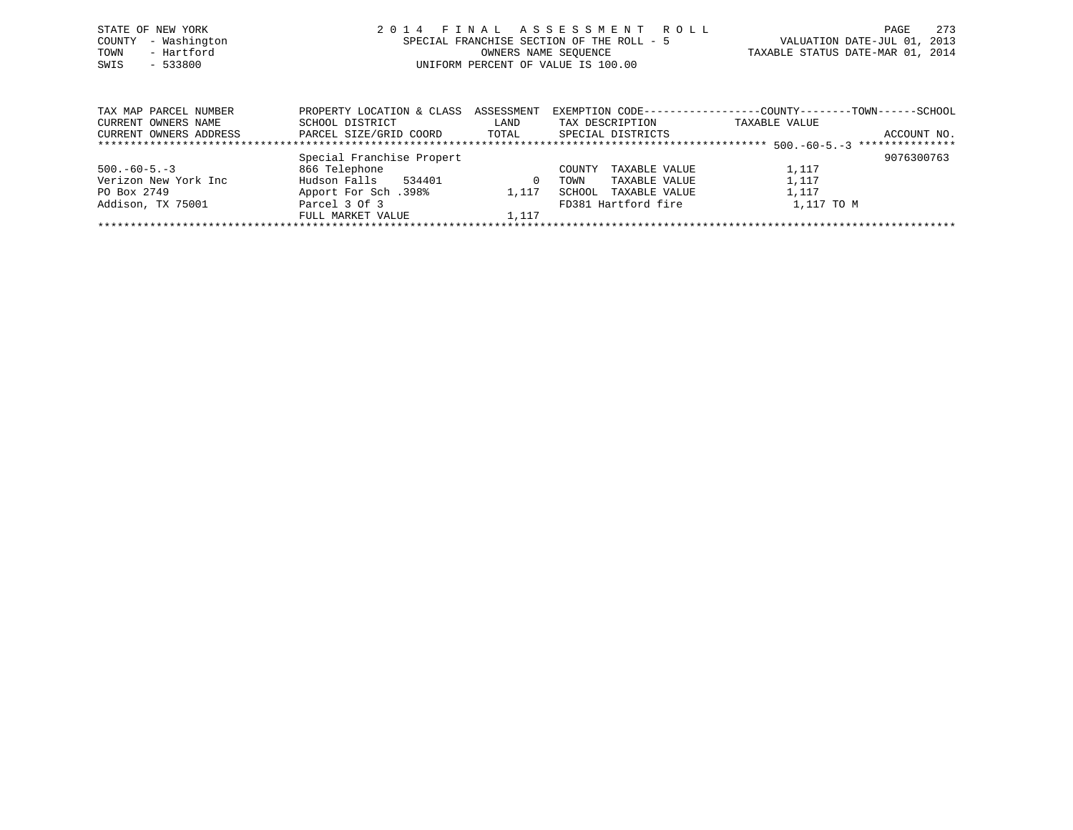| STATE OF NEW YORK<br>COUNTY - Washington<br>- Hartford<br>TOWN<br>SWIS<br>$-533800$ | 2014 FINAL ASSESSMENT ROLL<br>SPECIAL FRANCHISE SECTION OF THE ROLL - 5<br>OWNERS NAME SEOUENCE<br>UNIFORM PERCENT OF VALUE IS 100.00 | - 273<br>PAGE<br>VALUATION DATE-JUL 01, 2013<br>TAXABLE STATUS DATE-MAR 01, 2014 |
|-------------------------------------------------------------------------------------|---------------------------------------------------------------------------------------------------------------------------------------|----------------------------------------------------------------------------------|
|                                                                                     |                                                                                                                                       |                                                                                  |

| TAX MAP PARCEL NUMBER  | PROPERTY LOCATION & CLASS | ASSESSMENT | EXEMPTION CODE---       | -------------COUNTY--------TOWN---- | -SCHOOL         |
|------------------------|---------------------------|------------|-------------------------|-------------------------------------|-----------------|
| CURRENT OWNERS NAME    | SCHOOL DISTRICT           | LAND       | TAX DESCRIPTION         | TAXABLE VALUE                       |                 |
| CURRENT OWNERS ADDRESS | PARCEL SIZE/GRID COORD    | TOTAL      | SPECIAL DISTRICTS       |                                     | ACCOUNT NO.     |
|                        |                           |            |                         |                                     | *************** |
|                        | Special Franchise Propert |            |                         |                                     | 9076300763      |
| $500. -60 - 5. -3$     | 866 Telephone             |            | TAXABLE VALUE<br>COUNTY | 1,117                               |                 |
| Verizon New York Inc   | Hudson Falls<br>534401    |            | TAXABLE VALUE<br>TOWN   | 1,117                               |                 |
| PO Box 2749            | 198%. Apport For Sch      | 1,117      | SCHOOL<br>TAXABLE VALUE | 1,117                               |                 |
| Addison, TX 75001      | Parcel 3 Of 3             |            | FD381 Hartford fire     | 1,117 TO M                          |                 |
|                        | FULL MARKET VALUE         | 1,117      |                         |                                     |                 |
|                        |                           |            |                         |                                     |                 |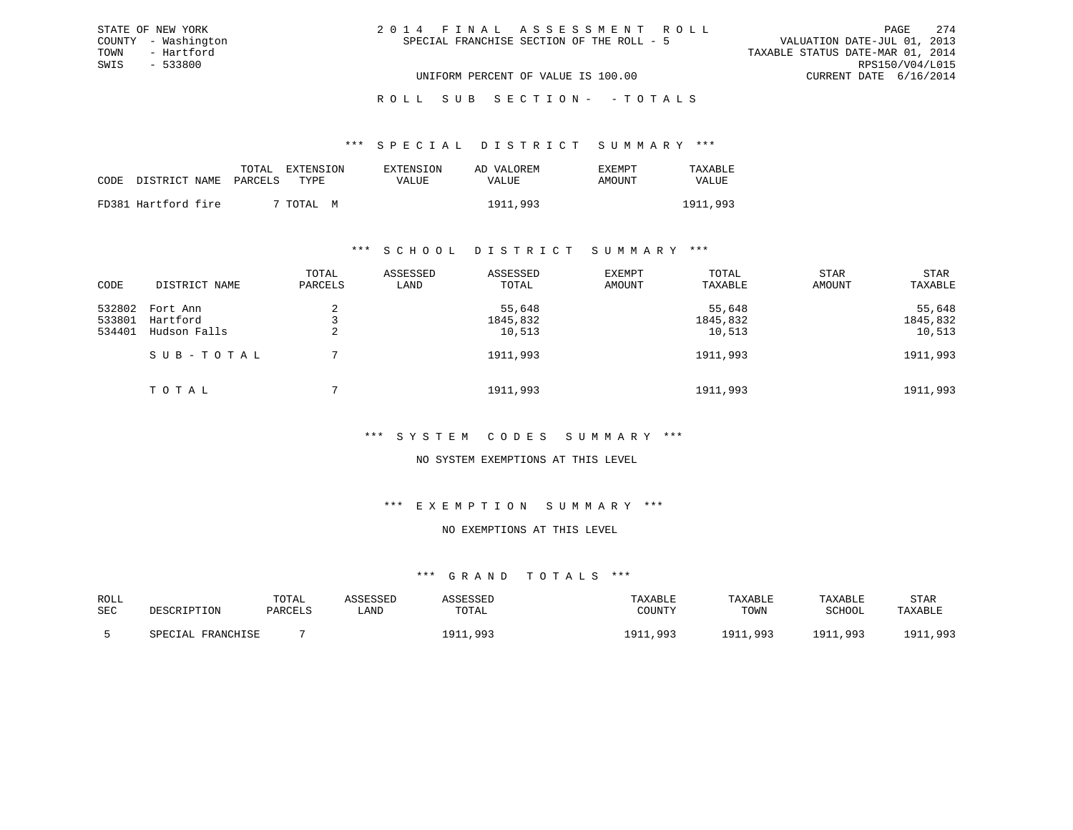| 2014 FINAL ASSESSMENT ROLL |                                           |                                  | PAGE                   | 2.74 |
|----------------------------|-------------------------------------------|----------------------------------|------------------------|------|
|                            | SPECIAL FRANCHISE SECTION OF THE ROLL - 5 | VALUATION DATE-JUL 01, 2013      |                        |      |
|                            |                                           | TAXABLE STATUS DATE-MAR 01, 2014 |                        |      |
|                            |                                           |                                  | RPS150/V04/L015        |      |
|                            | UNIFORM PERCENT OF VALUE IS 100.00        |                                  | CURRENT DATE 6/16/2014 |      |

#### \*\*\* S P E C I A L D I S T R I C T S U M M A R Y \*\*\*

|                            |  | TOTAL EXTENSION | EXTENSION | AD VALOREM | <b>EXEMPT</b> | TAXABLE  |
|----------------------------|--|-----------------|-----------|------------|---------------|----------|
| CODE DISTRICT NAME PARCELS |  | TYPE.           | VALUE     | VALUE      | AMOUNT        | VALUE    |
| FD381 Hartford fire        |  | 7 ТОТАL М       |           | 1911,993   |               | 1911,993 |

STATE OF NEW YORK COUNTY - Washington TOWN - Hartford SWIS - 533800

#### \*\*\* S C H O O L D I S T R I C T S U M M A R Y \*\*\*

| CODE                       | DISTRICT NAME                        | TOTAL<br>PARCELS | ASSESSED<br>LAND | ASSESSED<br>TOTAL            | EXEMPT<br>AMOUNT | TOTAL<br>TAXABLE             | <b>STAR</b><br>AMOUNT | STAR<br>TAXABLE              |
|----------------------------|--------------------------------------|------------------|------------------|------------------------------|------------------|------------------------------|-----------------------|------------------------------|
| 532802<br>533801<br>534401 | Fort Ann<br>Hartford<br>Hudson Falls |                  |                  | 55,648<br>1845,832<br>10,513 |                  | 55,648<br>1845,832<br>10,513 |                       | 55,648<br>1845,832<br>10,513 |
|                            | SUB-TOTAL                            |                  |                  | 1911,993                     |                  | 1911,993                     |                       | 1911,993                     |
|                            | TOTAL                                |                  |                  | 1911,993                     |                  | 1911,993                     |                       | 1911,993                     |

#### \*\*\* S Y S T E M C O D E S S U M M A R Y \*\*\*

#### NO SYSTEM EXEMPTIONS AT THIS LEVEL

#### \*\*\* E X E M P T I O N S U M M A R Y \*\*\*

### NO EXEMPTIONS AT THIS LEVEL

| ROLL       |                   | TOTAL   | ASSESSED | <i><b>\SSESSED</b></i> | TAXABLE  | TAXABLE  | TAXABLE  | <b>STAR</b> |
|------------|-------------------|---------|----------|------------------------|----------|----------|----------|-------------|
| <b>SEC</b> | DESCRIPTION       | PARCELS | LAND     | TOTAL                  | COUNTY   | TOWN     | SCHOOL   | TAXABLE     |
|            | SPECIAL FRANCHISE |         |          | ,993<br>Q <sub>1</sub> | 1911,993 | 1911,993 | 1911,993 | 1911,993    |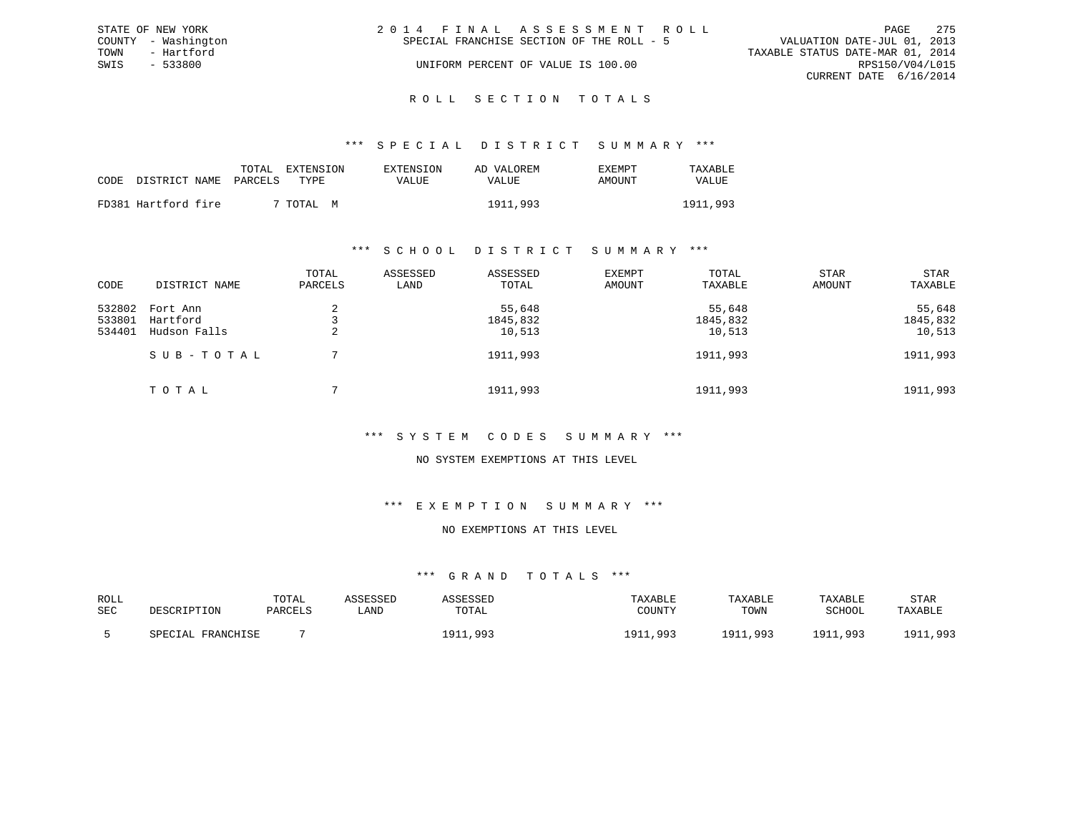|      | STATE OF NEW YORK   | 2014 FINAL ASSESSMENT ROLL                                               | PAGE            | 275 |
|------|---------------------|--------------------------------------------------------------------------|-----------------|-----|
|      | COUNTY - Washington | VALUATION DATE-JUL 01, 2013<br>SPECIAL FRANCHISE SECTION OF THE ROLL - 5 |                 |     |
| TOWN | - Hartford          | TAXABLE STATUS DATE-MAR 01, 2014                                         |                 |     |
| SWIS | $-533800$           | UNIFORM PERCENT OF VALUE IS 100.00                                       | RPS150/V04/L015 |     |
|      |                     | CURRENT DATE 6/16/2014                                                   |                 |     |
|      |                     |                                                                          |                 |     |

# ROLL SECTION TOTALS

#### \*\*\* S P E C I A L D I S T R I C T S U M M A R Y \*\*\*

|                            | TOTAL | EXTENSION      | EXTENSION | AD VALOREM | EXEMPT | TAXABLE  |
|----------------------------|-------|----------------|-----------|------------|--------|----------|
| CODE DISTRICT NAME PARCELS |       | TYPE.          | VALUE     | VALUE      | AMOUNT | VALUE    |
| FD381 Hartford fire        |       | 7 TOTAL .<br>M |           | 1911,993   |        | 1911,993 |

#### \*\*\* S C H O O L D I S T R I C T S U M M A R Y \*\*\*

| CODE                       | DISTRICT NAME                        | TOTAL<br>PARCELS | ASSESSED<br>LAND | ASSESSED<br>TOTAL            | <b>EXEMPT</b><br>AMOUNT | TOTAL<br>TAXABLE             | <b>STAR</b><br>AMOUNT | STAR<br>TAXABLE              |
|----------------------------|--------------------------------------|------------------|------------------|------------------------------|-------------------------|------------------------------|-----------------------|------------------------------|
| 532802<br>533801<br>534401 | Fort Ann<br>Hartford<br>Hudson Falls | 2<br>2           |                  | 55,648<br>1845,832<br>10,513 |                         | 55,648<br>1845,832<br>10,513 |                       | 55,648<br>1845,832<br>10,513 |
|                            | SUB-TOTAL                            |                  |                  | 1911,993                     |                         | 1911,993                     |                       | 1911,993                     |
|                            | TOTAL                                |                  |                  | 1911,993                     |                         | 1911,993                     |                       | 1911,993                     |

#### \*\*\* S Y S T E M C O D E S S U M M A R Y \*\*\*

#### NO SYSTEM EXEMPTIONS AT THIS LEVEL

#### \*\*\* E X E M P T I O N S U M M A R Y \*\*\*

### NO EXEMPTIONS AT THIS LEVEL

| ROLL       |                   | TOTAL   | `SSESSED | SSESSED             | TAXABLE  | TAXABLE  | TAXABLE  | STAR                |
|------------|-------------------|---------|----------|---------------------|----------|----------|----------|---------------------|
| <b>SEC</b> | DESCRIPTION       | PARCELS | LAND     | TOTAL               | COUNTY   | TOWN     | SCHOOL   | TAXABLE             |
|            | SPECIAL FRANCHISE |         |          | 1911,993<br>$191-2$ | 1911,993 | 1911,993 | 1911,993 | 1911,993<br>1 0 1 1 |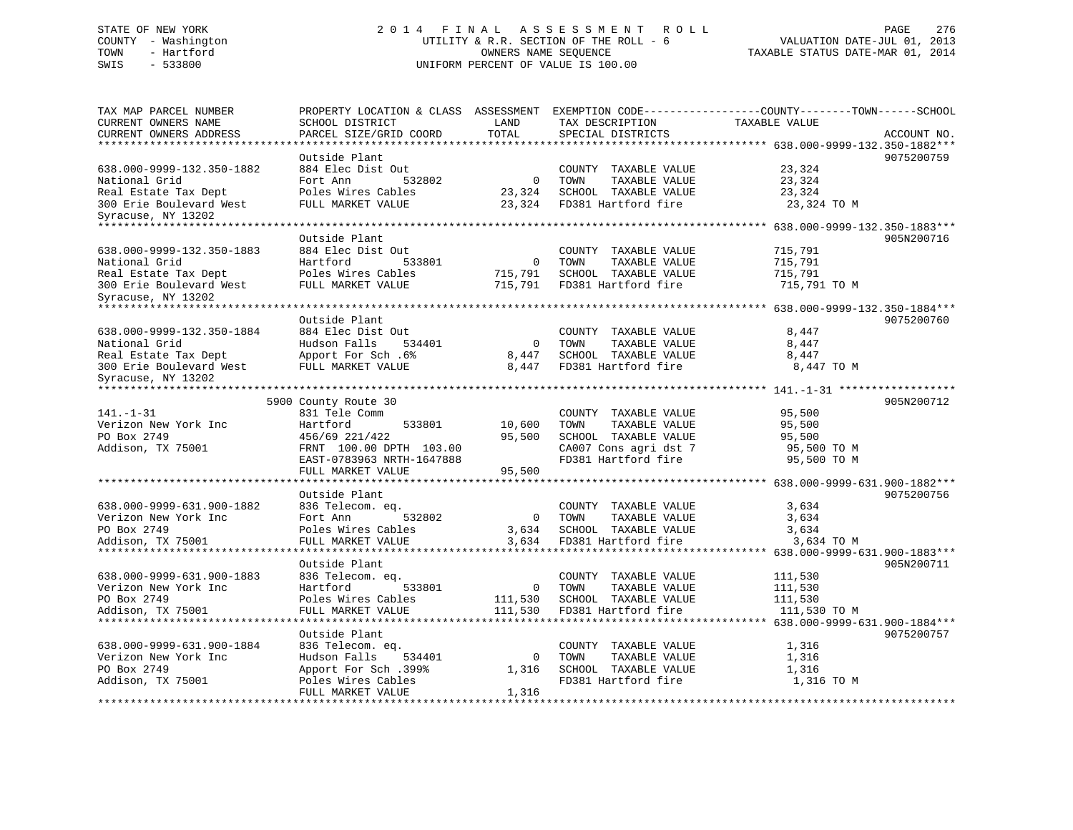# STATE OF NEW YORK 2 0 1 4 F I N A L A S S E S S M E N T R O L L PAGE 276 COUNTY - Washington UTILITY & R.R. SECTION OF THE ROLL - 6 VALUATION DATE-JUL 01, 2013 TOWN - Hartford OWNERS NAME SEQUENCE TAXABLE STATUS DATE-MAR 01, 2014 SWIS - 533800 UNIFORM PERCENT OF VALUE IS 100.00

| SCHOOL DISTRICT<br>TAX DESCRIPTION<br>TAXABLE VALUE<br>LAND<br>PARCEL SIZE/GRID COORD<br>TOTAL<br>CURRENT OWNERS ADDRESS<br>SPECIAL DISTRICTS<br>ACCOUNT NO.<br>*************<br>**************************** 638.000-9999-132.350-1882***<br>Outside Plant<br>9075200759<br>884 Elec Dist Out<br>COUNTY TAXABLE VALUE<br>23,324<br>Fort Ann<br>532802<br>TOWN<br>TAXABLE VALUE<br>23,324<br>0<br>SCHOOL TAXABLE VALUE<br>Poles Wires Cables<br>23,324<br>23,324<br>FULL MARKET VALUE<br>23,324<br>FD381 Hartford fire<br>23,324 TO M<br>Syracuse, NY 13202<br>**************************<br>Outside Plant<br>905N200716<br>884 Elec Dist Out<br>COUNTY TAXABLE VALUE<br>715,791<br>National Grid<br>Hartford<br>TOWN<br>TAXABLE VALUE<br>715,791<br>533801<br>$\mathbf 0$<br>Real Estate Tax Dept<br>Poles Wires Cables<br>SCHOOL TAXABLE VALUE<br>715,791<br>715,791<br>300 Erie Boulevard West<br>FULL MARKET VALUE<br>715,791<br>FD381 Hartford fire<br>715,791 TO M<br>**************************<br>Outside Plant<br>9075200760<br>638.000-9999-132.350-1884<br>884 Elec Dist Out<br>COUNTY TAXABLE VALUE<br>8,447<br>Hudson Falls<br>TOWN<br>National Grid<br>534401<br>$\mathbf 0$<br>TAXABLE VALUE<br>8,447<br>SCHOOL TAXABLE VALUE<br>Real Estate Tax Dept<br>Apport For Sch. 6%<br>8,447<br>8,447<br>300 Erie Boulevard West<br>FULL MARKET VALUE<br>8,447<br>FD381 Hartford fire<br>8,447 TO M<br>5900 County Route 30<br>905N200712<br>$141. - 1 - 31$<br>831 Tele Comm<br>95,500<br>COUNTY TAXABLE VALUE<br>Verizon New York Inc<br>TAXABLE VALUE<br>Hartford<br>533801<br>10,600<br>TOWN<br>95,500<br>PO Box 2749<br>95,500<br>SCHOOL TAXABLE VALUE<br>456/69 221/422<br>95,500<br>Addison, TX 75001<br>CA007 Cons agri dst 7<br>FRNT 100.00 DPTH 103.00<br>95,500 TO M<br>FD381 Hartford fire<br>EAST-0783963 NRTH-1647888<br>95,500 TO M<br>FULL MARKET VALUE<br>95,500<br>Outside Plant<br>9075200756<br>638.000-9999-631.900-1882<br>836 Telecom. eq.<br>3,634<br>COUNTY TAXABLE VALUE<br>Verizon New York Inc<br>TAXABLE VALUE<br>Fort Ann<br>532802<br>$\mathbf 0$<br>TOWN<br>3,634<br>PO Box 2749<br>Poles Wires Cables<br>SCHOOL TAXABLE VALUE<br>3,634<br>3,634<br>Addison, TX 75001<br>FULL MARKET VALUE<br>3,634<br>FD381 Hartford fire<br>3,634 TO M<br>********************<br>*************************<br>Outside Plant<br>905N200711<br>638.000-9999-631.900-1883<br>836 Telecom. eq.<br>COUNTY TAXABLE VALUE<br>111,530<br>Verizon New York Inc<br>Hartford<br>533801<br>TOWN<br>TAXABLE VALUE<br>111,530<br>0<br>PO Box 2749<br>Poles Wires Cables<br>111,530<br>SCHOOL TAXABLE VALUE<br>111,530<br>Addison, TX 75001<br>FULL MARKET VALUE<br>111,530<br>FD381 Hartford fire<br>111,530 TO M<br>***********************<br>Outside Plant<br>9075200757<br>638.000-9999-631.900-1884<br>836 Telecom. eq.<br>COUNTY TAXABLE VALUE<br>1,316<br>Verizon New York Inc<br>Hudson Falls<br>534401<br>$\mathbf 0$<br>TOWN<br>TAXABLE VALUE<br>1,316<br>PO Box 2749<br>Apport For Sch.399%<br>SCHOOL TAXABLE VALUE<br>1,316<br>1,316<br>FD381 Hartford fire<br>Addison, TX 75001<br>Poles Wires Cables<br>1,316 TO M<br>FULL MARKET VALUE<br>1,316<br>************************************** | TAX MAP PARCEL NUMBER     | PROPERTY LOCATION & CLASS ASSESSMENT |  | EXEMPTION CODE-----------------COUNTY-------TOWN------SCHOOL |  |
|----------------------------------------------------------------------------------------------------------------------------------------------------------------------------------------------------------------------------------------------------------------------------------------------------------------------------------------------------------------------------------------------------------------------------------------------------------------------------------------------------------------------------------------------------------------------------------------------------------------------------------------------------------------------------------------------------------------------------------------------------------------------------------------------------------------------------------------------------------------------------------------------------------------------------------------------------------------------------------------------------------------------------------------------------------------------------------------------------------------------------------------------------------------------------------------------------------------------------------------------------------------------------------------------------------------------------------------------------------------------------------------------------------------------------------------------------------------------------------------------------------------------------------------------------------------------------------------------------------------------------------------------------------------------------------------------------------------------------------------------------------------------------------------------------------------------------------------------------------------------------------------------------------------------------------------------------------------------------------------------------------------------------------------------------------------------------------------------------------------------------------------------------------------------------------------------------------------------------------------------------------------------------------------------------------------------------------------------------------------------------------------------------------------------------------------------------------------------------------------------------------------------------------------------------------------------------------------------------------------------------------------------------------------------------------------------------------------------------------------------------------------------------------------------------------------------------------------------------------------------------------------------------------------------------------------------------------------------------------------------------------------------------------------------------------------------------------------------------------------------------------------------------------------------------------------------------------------------|---------------------------|--------------------------------------|--|--------------------------------------------------------------|--|
|                                                                                                                                                                                                                                                                                                                                                                                                                                                                                                                                                                                                                                                                                                                                                                                                                                                                                                                                                                                                                                                                                                                                                                                                                                                                                                                                                                                                                                                                                                                                                                                                                                                                                                                                                                                                                                                                                                                                                                                                                                                                                                                                                                                                                                                                                                                                                                                                                                                                                                                                                                                                                                                                                                                                                                                                                                                                                                                                                                                                                                                                                                                                                                                                                      | CURRENT OWNERS NAME       |                                      |  |                                                              |  |
|                                                                                                                                                                                                                                                                                                                                                                                                                                                                                                                                                                                                                                                                                                                                                                                                                                                                                                                                                                                                                                                                                                                                                                                                                                                                                                                                                                                                                                                                                                                                                                                                                                                                                                                                                                                                                                                                                                                                                                                                                                                                                                                                                                                                                                                                                                                                                                                                                                                                                                                                                                                                                                                                                                                                                                                                                                                                                                                                                                                                                                                                                                                                                                                                                      |                           |                                      |  |                                                              |  |
|                                                                                                                                                                                                                                                                                                                                                                                                                                                                                                                                                                                                                                                                                                                                                                                                                                                                                                                                                                                                                                                                                                                                                                                                                                                                                                                                                                                                                                                                                                                                                                                                                                                                                                                                                                                                                                                                                                                                                                                                                                                                                                                                                                                                                                                                                                                                                                                                                                                                                                                                                                                                                                                                                                                                                                                                                                                                                                                                                                                                                                                                                                                                                                                                                      |                           |                                      |  |                                                              |  |
|                                                                                                                                                                                                                                                                                                                                                                                                                                                                                                                                                                                                                                                                                                                                                                                                                                                                                                                                                                                                                                                                                                                                                                                                                                                                                                                                                                                                                                                                                                                                                                                                                                                                                                                                                                                                                                                                                                                                                                                                                                                                                                                                                                                                                                                                                                                                                                                                                                                                                                                                                                                                                                                                                                                                                                                                                                                                                                                                                                                                                                                                                                                                                                                                                      |                           |                                      |  |                                                              |  |
|                                                                                                                                                                                                                                                                                                                                                                                                                                                                                                                                                                                                                                                                                                                                                                                                                                                                                                                                                                                                                                                                                                                                                                                                                                                                                                                                                                                                                                                                                                                                                                                                                                                                                                                                                                                                                                                                                                                                                                                                                                                                                                                                                                                                                                                                                                                                                                                                                                                                                                                                                                                                                                                                                                                                                                                                                                                                                                                                                                                                                                                                                                                                                                                                                      | 638.000-9999-132.350-1882 |                                      |  |                                                              |  |
|                                                                                                                                                                                                                                                                                                                                                                                                                                                                                                                                                                                                                                                                                                                                                                                                                                                                                                                                                                                                                                                                                                                                                                                                                                                                                                                                                                                                                                                                                                                                                                                                                                                                                                                                                                                                                                                                                                                                                                                                                                                                                                                                                                                                                                                                                                                                                                                                                                                                                                                                                                                                                                                                                                                                                                                                                                                                                                                                                                                                                                                                                                                                                                                                                      | National Grid             |                                      |  |                                                              |  |
|                                                                                                                                                                                                                                                                                                                                                                                                                                                                                                                                                                                                                                                                                                                                                                                                                                                                                                                                                                                                                                                                                                                                                                                                                                                                                                                                                                                                                                                                                                                                                                                                                                                                                                                                                                                                                                                                                                                                                                                                                                                                                                                                                                                                                                                                                                                                                                                                                                                                                                                                                                                                                                                                                                                                                                                                                                                                                                                                                                                                                                                                                                                                                                                                                      | Real Estate Tax Dept      |                                      |  |                                                              |  |
|                                                                                                                                                                                                                                                                                                                                                                                                                                                                                                                                                                                                                                                                                                                                                                                                                                                                                                                                                                                                                                                                                                                                                                                                                                                                                                                                                                                                                                                                                                                                                                                                                                                                                                                                                                                                                                                                                                                                                                                                                                                                                                                                                                                                                                                                                                                                                                                                                                                                                                                                                                                                                                                                                                                                                                                                                                                                                                                                                                                                                                                                                                                                                                                                                      | 300 Erie Boulevard West   |                                      |  |                                                              |  |
|                                                                                                                                                                                                                                                                                                                                                                                                                                                                                                                                                                                                                                                                                                                                                                                                                                                                                                                                                                                                                                                                                                                                                                                                                                                                                                                                                                                                                                                                                                                                                                                                                                                                                                                                                                                                                                                                                                                                                                                                                                                                                                                                                                                                                                                                                                                                                                                                                                                                                                                                                                                                                                                                                                                                                                                                                                                                                                                                                                                                                                                                                                                                                                                                                      |                           |                                      |  |                                                              |  |
|                                                                                                                                                                                                                                                                                                                                                                                                                                                                                                                                                                                                                                                                                                                                                                                                                                                                                                                                                                                                                                                                                                                                                                                                                                                                                                                                                                                                                                                                                                                                                                                                                                                                                                                                                                                                                                                                                                                                                                                                                                                                                                                                                                                                                                                                                                                                                                                                                                                                                                                                                                                                                                                                                                                                                                                                                                                                                                                                                                                                                                                                                                                                                                                                                      |                           |                                      |  |                                                              |  |
|                                                                                                                                                                                                                                                                                                                                                                                                                                                                                                                                                                                                                                                                                                                                                                                                                                                                                                                                                                                                                                                                                                                                                                                                                                                                                                                                                                                                                                                                                                                                                                                                                                                                                                                                                                                                                                                                                                                                                                                                                                                                                                                                                                                                                                                                                                                                                                                                                                                                                                                                                                                                                                                                                                                                                                                                                                                                                                                                                                                                                                                                                                                                                                                                                      |                           |                                      |  |                                                              |  |
|                                                                                                                                                                                                                                                                                                                                                                                                                                                                                                                                                                                                                                                                                                                                                                                                                                                                                                                                                                                                                                                                                                                                                                                                                                                                                                                                                                                                                                                                                                                                                                                                                                                                                                                                                                                                                                                                                                                                                                                                                                                                                                                                                                                                                                                                                                                                                                                                                                                                                                                                                                                                                                                                                                                                                                                                                                                                                                                                                                                                                                                                                                                                                                                                                      | 638.000-9999-132.350-1883 |                                      |  |                                                              |  |
|                                                                                                                                                                                                                                                                                                                                                                                                                                                                                                                                                                                                                                                                                                                                                                                                                                                                                                                                                                                                                                                                                                                                                                                                                                                                                                                                                                                                                                                                                                                                                                                                                                                                                                                                                                                                                                                                                                                                                                                                                                                                                                                                                                                                                                                                                                                                                                                                                                                                                                                                                                                                                                                                                                                                                                                                                                                                                                                                                                                                                                                                                                                                                                                                                      |                           |                                      |  |                                                              |  |
|                                                                                                                                                                                                                                                                                                                                                                                                                                                                                                                                                                                                                                                                                                                                                                                                                                                                                                                                                                                                                                                                                                                                                                                                                                                                                                                                                                                                                                                                                                                                                                                                                                                                                                                                                                                                                                                                                                                                                                                                                                                                                                                                                                                                                                                                                                                                                                                                                                                                                                                                                                                                                                                                                                                                                                                                                                                                                                                                                                                                                                                                                                                                                                                                                      |                           |                                      |  |                                                              |  |
|                                                                                                                                                                                                                                                                                                                                                                                                                                                                                                                                                                                                                                                                                                                                                                                                                                                                                                                                                                                                                                                                                                                                                                                                                                                                                                                                                                                                                                                                                                                                                                                                                                                                                                                                                                                                                                                                                                                                                                                                                                                                                                                                                                                                                                                                                                                                                                                                                                                                                                                                                                                                                                                                                                                                                                                                                                                                                                                                                                                                                                                                                                                                                                                                                      |                           |                                      |  |                                                              |  |
|                                                                                                                                                                                                                                                                                                                                                                                                                                                                                                                                                                                                                                                                                                                                                                                                                                                                                                                                                                                                                                                                                                                                                                                                                                                                                                                                                                                                                                                                                                                                                                                                                                                                                                                                                                                                                                                                                                                                                                                                                                                                                                                                                                                                                                                                                                                                                                                                                                                                                                                                                                                                                                                                                                                                                                                                                                                                                                                                                                                                                                                                                                                                                                                                                      | Syracuse, NY 13202        |                                      |  |                                                              |  |
|                                                                                                                                                                                                                                                                                                                                                                                                                                                                                                                                                                                                                                                                                                                                                                                                                                                                                                                                                                                                                                                                                                                                                                                                                                                                                                                                                                                                                                                                                                                                                                                                                                                                                                                                                                                                                                                                                                                                                                                                                                                                                                                                                                                                                                                                                                                                                                                                                                                                                                                                                                                                                                                                                                                                                                                                                                                                                                                                                                                                                                                                                                                                                                                                                      |                           |                                      |  |                                                              |  |
|                                                                                                                                                                                                                                                                                                                                                                                                                                                                                                                                                                                                                                                                                                                                                                                                                                                                                                                                                                                                                                                                                                                                                                                                                                                                                                                                                                                                                                                                                                                                                                                                                                                                                                                                                                                                                                                                                                                                                                                                                                                                                                                                                                                                                                                                                                                                                                                                                                                                                                                                                                                                                                                                                                                                                                                                                                                                                                                                                                                                                                                                                                                                                                                                                      |                           |                                      |  |                                                              |  |
|                                                                                                                                                                                                                                                                                                                                                                                                                                                                                                                                                                                                                                                                                                                                                                                                                                                                                                                                                                                                                                                                                                                                                                                                                                                                                                                                                                                                                                                                                                                                                                                                                                                                                                                                                                                                                                                                                                                                                                                                                                                                                                                                                                                                                                                                                                                                                                                                                                                                                                                                                                                                                                                                                                                                                                                                                                                                                                                                                                                                                                                                                                                                                                                                                      |                           |                                      |  |                                                              |  |
|                                                                                                                                                                                                                                                                                                                                                                                                                                                                                                                                                                                                                                                                                                                                                                                                                                                                                                                                                                                                                                                                                                                                                                                                                                                                                                                                                                                                                                                                                                                                                                                                                                                                                                                                                                                                                                                                                                                                                                                                                                                                                                                                                                                                                                                                                                                                                                                                                                                                                                                                                                                                                                                                                                                                                                                                                                                                                                                                                                                                                                                                                                                                                                                                                      |                           |                                      |  |                                                              |  |
|                                                                                                                                                                                                                                                                                                                                                                                                                                                                                                                                                                                                                                                                                                                                                                                                                                                                                                                                                                                                                                                                                                                                                                                                                                                                                                                                                                                                                                                                                                                                                                                                                                                                                                                                                                                                                                                                                                                                                                                                                                                                                                                                                                                                                                                                                                                                                                                                                                                                                                                                                                                                                                                                                                                                                                                                                                                                                                                                                                                                                                                                                                                                                                                                                      |                           |                                      |  |                                                              |  |
|                                                                                                                                                                                                                                                                                                                                                                                                                                                                                                                                                                                                                                                                                                                                                                                                                                                                                                                                                                                                                                                                                                                                                                                                                                                                                                                                                                                                                                                                                                                                                                                                                                                                                                                                                                                                                                                                                                                                                                                                                                                                                                                                                                                                                                                                                                                                                                                                                                                                                                                                                                                                                                                                                                                                                                                                                                                                                                                                                                                                                                                                                                                                                                                                                      |                           |                                      |  |                                                              |  |
|                                                                                                                                                                                                                                                                                                                                                                                                                                                                                                                                                                                                                                                                                                                                                                                                                                                                                                                                                                                                                                                                                                                                                                                                                                                                                                                                                                                                                                                                                                                                                                                                                                                                                                                                                                                                                                                                                                                                                                                                                                                                                                                                                                                                                                                                                                                                                                                                                                                                                                                                                                                                                                                                                                                                                                                                                                                                                                                                                                                                                                                                                                                                                                                                                      | Syracuse, NY 13202        |                                      |  |                                                              |  |
|                                                                                                                                                                                                                                                                                                                                                                                                                                                                                                                                                                                                                                                                                                                                                                                                                                                                                                                                                                                                                                                                                                                                                                                                                                                                                                                                                                                                                                                                                                                                                                                                                                                                                                                                                                                                                                                                                                                                                                                                                                                                                                                                                                                                                                                                                                                                                                                                                                                                                                                                                                                                                                                                                                                                                                                                                                                                                                                                                                                                                                                                                                                                                                                                                      |                           |                                      |  |                                                              |  |
|                                                                                                                                                                                                                                                                                                                                                                                                                                                                                                                                                                                                                                                                                                                                                                                                                                                                                                                                                                                                                                                                                                                                                                                                                                                                                                                                                                                                                                                                                                                                                                                                                                                                                                                                                                                                                                                                                                                                                                                                                                                                                                                                                                                                                                                                                                                                                                                                                                                                                                                                                                                                                                                                                                                                                                                                                                                                                                                                                                                                                                                                                                                                                                                                                      |                           |                                      |  |                                                              |  |
|                                                                                                                                                                                                                                                                                                                                                                                                                                                                                                                                                                                                                                                                                                                                                                                                                                                                                                                                                                                                                                                                                                                                                                                                                                                                                                                                                                                                                                                                                                                                                                                                                                                                                                                                                                                                                                                                                                                                                                                                                                                                                                                                                                                                                                                                                                                                                                                                                                                                                                                                                                                                                                                                                                                                                                                                                                                                                                                                                                                                                                                                                                                                                                                                                      |                           |                                      |  |                                                              |  |
|                                                                                                                                                                                                                                                                                                                                                                                                                                                                                                                                                                                                                                                                                                                                                                                                                                                                                                                                                                                                                                                                                                                                                                                                                                                                                                                                                                                                                                                                                                                                                                                                                                                                                                                                                                                                                                                                                                                                                                                                                                                                                                                                                                                                                                                                                                                                                                                                                                                                                                                                                                                                                                                                                                                                                                                                                                                                                                                                                                                                                                                                                                                                                                                                                      |                           |                                      |  |                                                              |  |
|                                                                                                                                                                                                                                                                                                                                                                                                                                                                                                                                                                                                                                                                                                                                                                                                                                                                                                                                                                                                                                                                                                                                                                                                                                                                                                                                                                                                                                                                                                                                                                                                                                                                                                                                                                                                                                                                                                                                                                                                                                                                                                                                                                                                                                                                                                                                                                                                                                                                                                                                                                                                                                                                                                                                                                                                                                                                                                                                                                                                                                                                                                                                                                                                                      |                           |                                      |  |                                                              |  |
|                                                                                                                                                                                                                                                                                                                                                                                                                                                                                                                                                                                                                                                                                                                                                                                                                                                                                                                                                                                                                                                                                                                                                                                                                                                                                                                                                                                                                                                                                                                                                                                                                                                                                                                                                                                                                                                                                                                                                                                                                                                                                                                                                                                                                                                                                                                                                                                                                                                                                                                                                                                                                                                                                                                                                                                                                                                                                                                                                                                                                                                                                                                                                                                                                      |                           |                                      |  |                                                              |  |
|                                                                                                                                                                                                                                                                                                                                                                                                                                                                                                                                                                                                                                                                                                                                                                                                                                                                                                                                                                                                                                                                                                                                                                                                                                                                                                                                                                                                                                                                                                                                                                                                                                                                                                                                                                                                                                                                                                                                                                                                                                                                                                                                                                                                                                                                                                                                                                                                                                                                                                                                                                                                                                                                                                                                                                                                                                                                                                                                                                                                                                                                                                                                                                                                                      |                           |                                      |  |                                                              |  |
|                                                                                                                                                                                                                                                                                                                                                                                                                                                                                                                                                                                                                                                                                                                                                                                                                                                                                                                                                                                                                                                                                                                                                                                                                                                                                                                                                                                                                                                                                                                                                                                                                                                                                                                                                                                                                                                                                                                                                                                                                                                                                                                                                                                                                                                                                                                                                                                                                                                                                                                                                                                                                                                                                                                                                                                                                                                                                                                                                                                                                                                                                                                                                                                                                      |                           |                                      |  |                                                              |  |
|                                                                                                                                                                                                                                                                                                                                                                                                                                                                                                                                                                                                                                                                                                                                                                                                                                                                                                                                                                                                                                                                                                                                                                                                                                                                                                                                                                                                                                                                                                                                                                                                                                                                                                                                                                                                                                                                                                                                                                                                                                                                                                                                                                                                                                                                                                                                                                                                                                                                                                                                                                                                                                                                                                                                                                                                                                                                                                                                                                                                                                                                                                                                                                                                                      |                           |                                      |  |                                                              |  |
|                                                                                                                                                                                                                                                                                                                                                                                                                                                                                                                                                                                                                                                                                                                                                                                                                                                                                                                                                                                                                                                                                                                                                                                                                                                                                                                                                                                                                                                                                                                                                                                                                                                                                                                                                                                                                                                                                                                                                                                                                                                                                                                                                                                                                                                                                                                                                                                                                                                                                                                                                                                                                                                                                                                                                                                                                                                                                                                                                                                                                                                                                                                                                                                                                      |                           |                                      |  |                                                              |  |
|                                                                                                                                                                                                                                                                                                                                                                                                                                                                                                                                                                                                                                                                                                                                                                                                                                                                                                                                                                                                                                                                                                                                                                                                                                                                                                                                                                                                                                                                                                                                                                                                                                                                                                                                                                                                                                                                                                                                                                                                                                                                                                                                                                                                                                                                                                                                                                                                                                                                                                                                                                                                                                                                                                                                                                                                                                                                                                                                                                                                                                                                                                                                                                                                                      |                           |                                      |  |                                                              |  |
|                                                                                                                                                                                                                                                                                                                                                                                                                                                                                                                                                                                                                                                                                                                                                                                                                                                                                                                                                                                                                                                                                                                                                                                                                                                                                                                                                                                                                                                                                                                                                                                                                                                                                                                                                                                                                                                                                                                                                                                                                                                                                                                                                                                                                                                                                                                                                                                                                                                                                                                                                                                                                                                                                                                                                                                                                                                                                                                                                                                                                                                                                                                                                                                                                      |                           |                                      |  |                                                              |  |
|                                                                                                                                                                                                                                                                                                                                                                                                                                                                                                                                                                                                                                                                                                                                                                                                                                                                                                                                                                                                                                                                                                                                                                                                                                                                                                                                                                                                                                                                                                                                                                                                                                                                                                                                                                                                                                                                                                                                                                                                                                                                                                                                                                                                                                                                                                                                                                                                                                                                                                                                                                                                                                                                                                                                                                                                                                                                                                                                                                                                                                                                                                                                                                                                                      |                           |                                      |  |                                                              |  |
|                                                                                                                                                                                                                                                                                                                                                                                                                                                                                                                                                                                                                                                                                                                                                                                                                                                                                                                                                                                                                                                                                                                                                                                                                                                                                                                                                                                                                                                                                                                                                                                                                                                                                                                                                                                                                                                                                                                                                                                                                                                                                                                                                                                                                                                                                                                                                                                                                                                                                                                                                                                                                                                                                                                                                                                                                                                                                                                                                                                                                                                                                                                                                                                                                      |                           |                                      |  |                                                              |  |
|                                                                                                                                                                                                                                                                                                                                                                                                                                                                                                                                                                                                                                                                                                                                                                                                                                                                                                                                                                                                                                                                                                                                                                                                                                                                                                                                                                                                                                                                                                                                                                                                                                                                                                                                                                                                                                                                                                                                                                                                                                                                                                                                                                                                                                                                                                                                                                                                                                                                                                                                                                                                                                                                                                                                                                                                                                                                                                                                                                                                                                                                                                                                                                                                                      |                           |                                      |  |                                                              |  |
|                                                                                                                                                                                                                                                                                                                                                                                                                                                                                                                                                                                                                                                                                                                                                                                                                                                                                                                                                                                                                                                                                                                                                                                                                                                                                                                                                                                                                                                                                                                                                                                                                                                                                                                                                                                                                                                                                                                                                                                                                                                                                                                                                                                                                                                                                                                                                                                                                                                                                                                                                                                                                                                                                                                                                                                                                                                                                                                                                                                                                                                                                                                                                                                                                      |                           |                                      |  |                                                              |  |
|                                                                                                                                                                                                                                                                                                                                                                                                                                                                                                                                                                                                                                                                                                                                                                                                                                                                                                                                                                                                                                                                                                                                                                                                                                                                                                                                                                                                                                                                                                                                                                                                                                                                                                                                                                                                                                                                                                                                                                                                                                                                                                                                                                                                                                                                                                                                                                                                                                                                                                                                                                                                                                                                                                                                                                                                                                                                                                                                                                                                                                                                                                                                                                                                                      |                           |                                      |  |                                                              |  |
|                                                                                                                                                                                                                                                                                                                                                                                                                                                                                                                                                                                                                                                                                                                                                                                                                                                                                                                                                                                                                                                                                                                                                                                                                                                                                                                                                                                                                                                                                                                                                                                                                                                                                                                                                                                                                                                                                                                                                                                                                                                                                                                                                                                                                                                                                                                                                                                                                                                                                                                                                                                                                                                                                                                                                                                                                                                                                                                                                                                                                                                                                                                                                                                                                      |                           |                                      |  |                                                              |  |
|                                                                                                                                                                                                                                                                                                                                                                                                                                                                                                                                                                                                                                                                                                                                                                                                                                                                                                                                                                                                                                                                                                                                                                                                                                                                                                                                                                                                                                                                                                                                                                                                                                                                                                                                                                                                                                                                                                                                                                                                                                                                                                                                                                                                                                                                                                                                                                                                                                                                                                                                                                                                                                                                                                                                                                                                                                                                                                                                                                                                                                                                                                                                                                                                                      |                           |                                      |  |                                                              |  |
|                                                                                                                                                                                                                                                                                                                                                                                                                                                                                                                                                                                                                                                                                                                                                                                                                                                                                                                                                                                                                                                                                                                                                                                                                                                                                                                                                                                                                                                                                                                                                                                                                                                                                                                                                                                                                                                                                                                                                                                                                                                                                                                                                                                                                                                                                                                                                                                                                                                                                                                                                                                                                                                                                                                                                                                                                                                                                                                                                                                                                                                                                                                                                                                                                      |                           |                                      |  |                                                              |  |
|                                                                                                                                                                                                                                                                                                                                                                                                                                                                                                                                                                                                                                                                                                                                                                                                                                                                                                                                                                                                                                                                                                                                                                                                                                                                                                                                                                                                                                                                                                                                                                                                                                                                                                                                                                                                                                                                                                                                                                                                                                                                                                                                                                                                                                                                                                                                                                                                                                                                                                                                                                                                                                                                                                                                                                                                                                                                                                                                                                                                                                                                                                                                                                                                                      |                           |                                      |  |                                                              |  |
|                                                                                                                                                                                                                                                                                                                                                                                                                                                                                                                                                                                                                                                                                                                                                                                                                                                                                                                                                                                                                                                                                                                                                                                                                                                                                                                                                                                                                                                                                                                                                                                                                                                                                                                                                                                                                                                                                                                                                                                                                                                                                                                                                                                                                                                                                                                                                                                                                                                                                                                                                                                                                                                                                                                                                                                                                                                                                                                                                                                                                                                                                                                                                                                                                      |                           |                                      |  |                                                              |  |
|                                                                                                                                                                                                                                                                                                                                                                                                                                                                                                                                                                                                                                                                                                                                                                                                                                                                                                                                                                                                                                                                                                                                                                                                                                                                                                                                                                                                                                                                                                                                                                                                                                                                                                                                                                                                                                                                                                                                                                                                                                                                                                                                                                                                                                                                                                                                                                                                                                                                                                                                                                                                                                                                                                                                                                                                                                                                                                                                                                                                                                                                                                                                                                                                                      |                           |                                      |  |                                                              |  |
|                                                                                                                                                                                                                                                                                                                                                                                                                                                                                                                                                                                                                                                                                                                                                                                                                                                                                                                                                                                                                                                                                                                                                                                                                                                                                                                                                                                                                                                                                                                                                                                                                                                                                                                                                                                                                                                                                                                                                                                                                                                                                                                                                                                                                                                                                                                                                                                                                                                                                                                                                                                                                                                                                                                                                                                                                                                                                                                                                                                                                                                                                                                                                                                                                      |                           |                                      |  |                                                              |  |
|                                                                                                                                                                                                                                                                                                                                                                                                                                                                                                                                                                                                                                                                                                                                                                                                                                                                                                                                                                                                                                                                                                                                                                                                                                                                                                                                                                                                                                                                                                                                                                                                                                                                                                                                                                                                                                                                                                                                                                                                                                                                                                                                                                                                                                                                                                                                                                                                                                                                                                                                                                                                                                                                                                                                                                                                                                                                                                                                                                                                                                                                                                                                                                                                                      |                           |                                      |  |                                                              |  |
|                                                                                                                                                                                                                                                                                                                                                                                                                                                                                                                                                                                                                                                                                                                                                                                                                                                                                                                                                                                                                                                                                                                                                                                                                                                                                                                                                                                                                                                                                                                                                                                                                                                                                                                                                                                                                                                                                                                                                                                                                                                                                                                                                                                                                                                                                                                                                                                                                                                                                                                                                                                                                                                                                                                                                                                                                                                                                                                                                                                                                                                                                                                                                                                                                      |                           |                                      |  |                                                              |  |
|                                                                                                                                                                                                                                                                                                                                                                                                                                                                                                                                                                                                                                                                                                                                                                                                                                                                                                                                                                                                                                                                                                                                                                                                                                                                                                                                                                                                                                                                                                                                                                                                                                                                                                                                                                                                                                                                                                                                                                                                                                                                                                                                                                                                                                                                                                                                                                                                                                                                                                                                                                                                                                                                                                                                                                                                                                                                                                                                                                                                                                                                                                                                                                                                                      |                           |                                      |  |                                                              |  |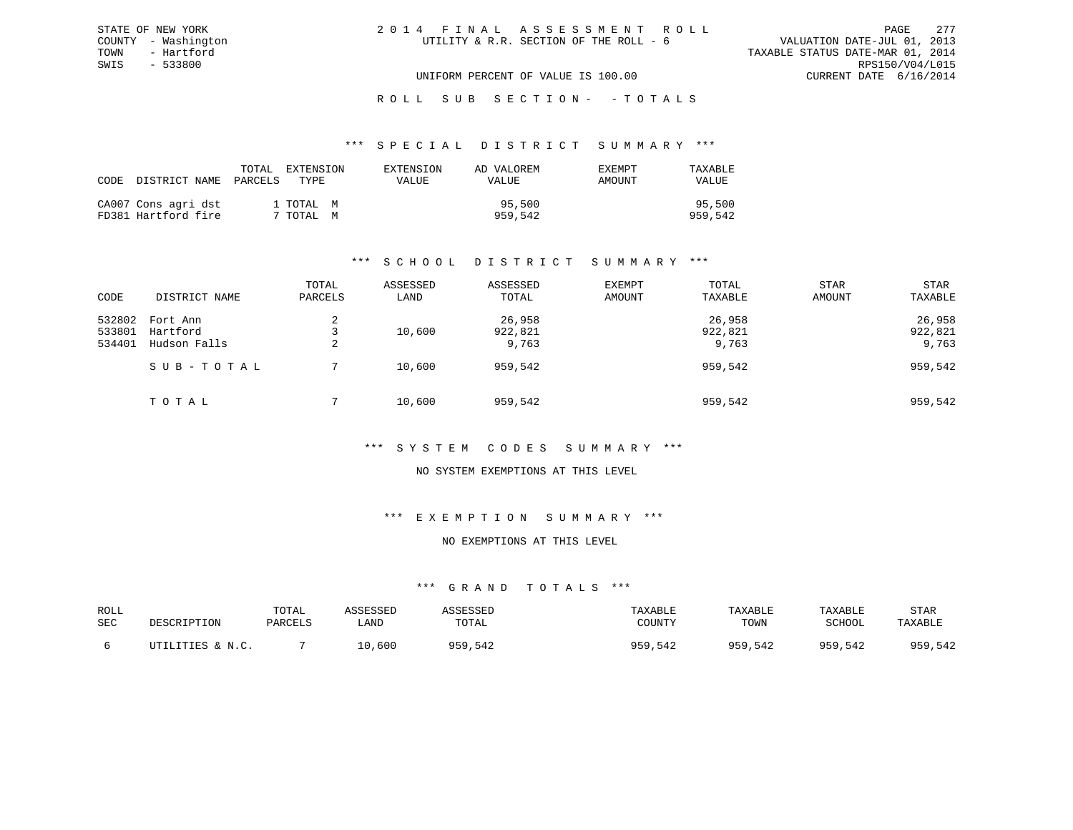ROLL SUB SECTION - - TOTALS

#### \*\*\* S P E C I A L D I S T R I C T S U M M A R Y \*\*\*

| CODE DISTRICT NAME                         | TOTAL<br>PARCELS | EXTENSION<br>TYPE      | EXTENSION<br>VALUE | AD VALOREM<br>VALUE | EXEMPT<br>AMOUNT | TAXABLE<br>VALUE  |
|--------------------------------------------|------------------|------------------------|--------------------|---------------------|------------------|-------------------|
| CA007 Cons agri dst<br>FD381 Hartford fire |                  | 1 TOTAL M<br>7 TOTAL M |                    | 95,500<br>959,542   |                  | 95,500<br>959,542 |

### \*\*\* S C H O O L D I S T R I C T S U M M A R Y \*\*\*

| CODE                       | DISTRICT NAME                        | TOTAL<br>PARCELS | ASSESSED<br>LAND | ASSESSED<br>TOTAL          | EXEMPT<br>AMOUNT | TOTAL<br>TAXABLE           | <b>STAR</b><br>AMOUNT | STAR<br>TAXABLE            |
|----------------------------|--------------------------------------|------------------|------------------|----------------------------|------------------|----------------------------|-----------------------|----------------------------|
| 532802<br>533801<br>534401 | Fort Ann<br>Hartford<br>Hudson Falls | 2<br>2           | 10,600           | 26,958<br>922,821<br>9,763 |                  | 26,958<br>922,821<br>9,763 |                       | 26,958<br>922,821<br>9,763 |
|                            | SUB-TOTAL                            |                  | 10,600           | 959,542                    |                  | 959,542                    |                       | 959,542                    |
|                            | TOTAL                                |                  | 10,600           | 959,542                    |                  | 959,542                    |                       | 959,542                    |

### \*\*\* S Y S T E M C O D E S S U M M A R Y \*\*\*

### NO SYSTEM EXEMPTIONS AT THIS LEVEL

#### \*\*\* E X E M P T I O N S U M M A R Y \*\*\*

#### NO EXEMPTIONS AT THIS LEVEL

| ROLL |                  | TOTAL   | ASSESSED | ASSESSED | TAXABLE | TAXABLE | TAXABLE       | STAR    |
|------|------------------|---------|----------|----------|---------|---------|---------------|---------|
| SEC  | DESCRIPTION      | PARCELS | LAND     | TOTAL    | COUNTY  | TOWN    | <b>SCHOOL</b> | TAXABLE |
|      | UTILITIES & N.C. |         |          | 959,542  |         |         | 959,542       | 959,542 |
|      |                  |         | 10,600   |          | 959,542 | 959,542 |               |         |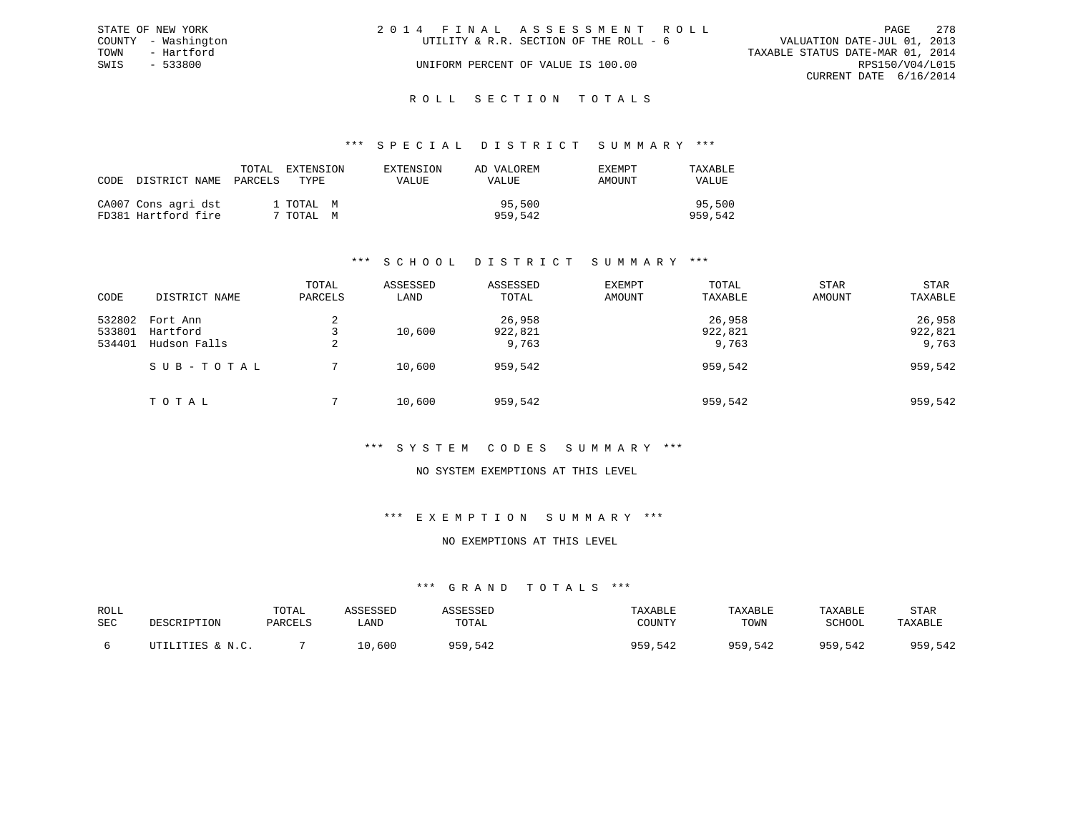|      | STATE OF NEW YORK   | 2014 FINAL ASSESSMENT ROLL             | PAGE                             | 2.78 |
|------|---------------------|----------------------------------------|----------------------------------|------|
|      | COUNTY - Washington | UTILITY & R.R. SECTION OF THE ROLL - 6 | VALUATION DATE-JUL 01, 2013      |      |
| TOWN | - Hartford          |                                        | TAXABLE STATUS DATE-MAR 01, 2014 |      |
| SWIS | $-533800$           | UNIFORM PERCENT OF VALUE IS 100.00     | RPS150/V04/L015                  |      |
|      |                     |                                        | CURRENT DATE 6/16/2014           |      |
|      |                     |                                        |                                  |      |

# ROLL SECTION TOTALS

#### \*\*\* S P E C I A L D I S T R I C T S U M M A R Y \*\*\*

| CODE DISTRICT NAME                         | TOTAL<br>PARCELS | EXTENSION<br>TYPE      | EXTENSION<br>VALUE | AD VALOREM<br>VALUE | EXEMPT<br>AMOUNT | TAXABLE<br>VALUE  |
|--------------------------------------------|------------------|------------------------|--------------------|---------------------|------------------|-------------------|
| CA007 Cons agri dst<br>FD381 Hartford fire |                  | 1 TOTAL M<br>7 TOTAL M |                    | 95,500<br>959,542   |                  | 95,500<br>959,542 |

### \*\*\* S C H O O L D I S T R I C T S U M M A R Y \*\*\*

| CODE                       | DISTRICT NAME                        | TOTAL<br>PARCELS | ASSESSED<br>LAND | ASSESSED<br>TOTAL          | EXEMPT<br><b>AMOUNT</b> | TOTAL<br>TAXABLE           | <b>STAR</b><br>AMOUNT | STAR<br>TAXABLE            |
|----------------------------|--------------------------------------|------------------|------------------|----------------------------|-------------------------|----------------------------|-----------------------|----------------------------|
| 532802<br>533801<br>534401 | Fort Ann<br>Hartford<br>Hudson Falls | 2                | 10,600           | 26,958<br>922,821<br>9,763 |                         | 26,958<br>922,821<br>9,763 |                       | 26,958<br>922,821<br>9,763 |
|                            | SUB-TOTAL                            |                  | 10,600           | 959,542                    |                         | 959,542                    |                       | 959,542                    |
|                            | TOTAL                                |                  | 10,600           | 959,542                    |                         | 959,542                    |                       | 959,542                    |

### \*\*\* S Y S T E M C O D E S S U M M A R Y \*\*\*

### NO SYSTEM EXEMPTIONS AT THIS LEVEL

#### \*\*\* E X E M P T I O N S U M M A R Y \*\*\*

#### NO EXEMPTIONS AT THIS LEVEL

| ROLL<br>SEC | DESCRIPTION      | TOTAL<br>PARCELS | ASSESSED<br>LAND | ASSESSEI<br>TOTAL | TAXABLE<br>COUNTY | TAXABLE<br>TOWN | TAXABLE<br>SCHOOL | STAR<br>TAXABLE |
|-------------|------------------|------------------|------------------|-------------------|-------------------|-----------------|-------------------|-----------------|
|             | UTILITIES & N.C. |                  | 10,600           | 959,542           | 959,542           | 959,542         | 959,542           | 959,542         |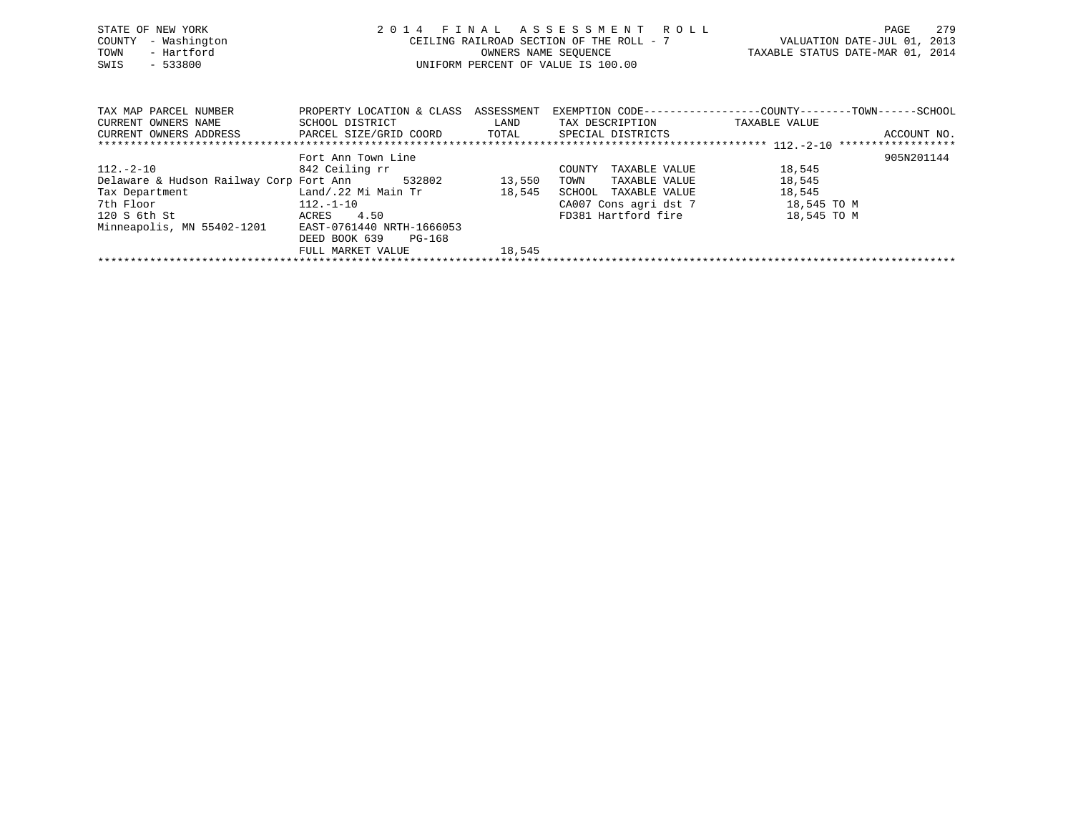| STATE OF NEW YORK<br>- Washington<br>COUNTY<br>- Hartford<br>TOWN<br>$-533800$<br>SWIS |                                                         | OWNERS NAME SEOUENCE | 2014 FINAL ASSESSMENT ROLL<br>CEILING RAILROAD SECTION OF THE ROLL - 7<br>UNIFORM PERCENT OF VALUE IS 100.00 | VALUATION DATE-JUL 01, 2013<br>TAXABLE STATUS DATE-MAR 01, 2014 | 279<br>PAGE |
|----------------------------------------------------------------------------------------|---------------------------------------------------------|----------------------|--------------------------------------------------------------------------------------------------------------|-----------------------------------------------------------------|-------------|
| TAX MAP PARCEL NUMBER<br>CURRENT OWNERS NAME                                           | PROPERTY LOCATION & CLASS ASSESSMENT<br>SCHOOL DISTRICT | LAND                 | EXEMPTION CODE-----------------COUNTY-------TOWN------SCHOOL<br>TAX DESCRIPTION                              | TAXABLE VALUE                                                   |             |
| CURRENT OWNERS ADDRESS                                                                 | PARCEL SIZE/GRID COORD TOTAL                            |                      | SPECIAL DISTRICTS                                                                                            |                                                                 | ACCOUNT NO. |
|                                                                                        | Fort Ann Town Line                                      |                      |                                                                                                              |                                                                 | 905N201144  |
| 112.-2-10                                                                              | 842 Ceiling rr                                          |                      | TAXABLE VALUE<br>COUNTY                                                                                      | 18,545                                                          |             |
| Delaware & Hudson Railway Corp Fort Ann 532802                                         |                                                         | 13,550               | TOWN<br>TAXABLE VALUE                                                                                        | 18,545                                                          |             |
| Tax Department                                                                         | Land/.22 Mi Main Tr                                     | 18,545               | SCHOOL<br>TAXABLE VALUE                                                                                      | 18,545                                                          |             |
| 7th Floor                                                                              | 112.-1-10                                               |                      | CA007 Cons agri dst 7                                                                                        | 18,545 TO M                                                     |             |
| 120 S 6th St                                                                           | 4.50<br>ACRES                                           |                      | FD381 Hartford fire                                                                                          | 18,545 TO M                                                     |             |
| Minneapolis, MN 55402-1201 EAST-0761440 NRTH-1666053                                   |                                                         |                      |                                                                                                              |                                                                 |             |

FULL MARKET VALUE 18,545 \*\*\*\*\*\*\*\*\*\*\*\*\*\*\*\*\*\*\*\*\*\*\*\*\*\*\*\*\*\*\*\*\*\*\*\*\*\*\*\*\*\*\*\*\*\*\*\*\*\*\*\*\*\*\*\*\*\*\*\*\*\*\*\*\*\*\*\*\*\*\*\*\*\*\*\*\*\*\*\*\*\*\*\*\*\*\*\*\*\*\*\*\*\*\*\*\*\*\*\*\*\*\*\*\*\*\*\*\*\*\*\*\*\*\*\*\*\*\*\*\*\*\*\*\*\*\*\*\*\*\*\*

DEED BOOK 639 PG-168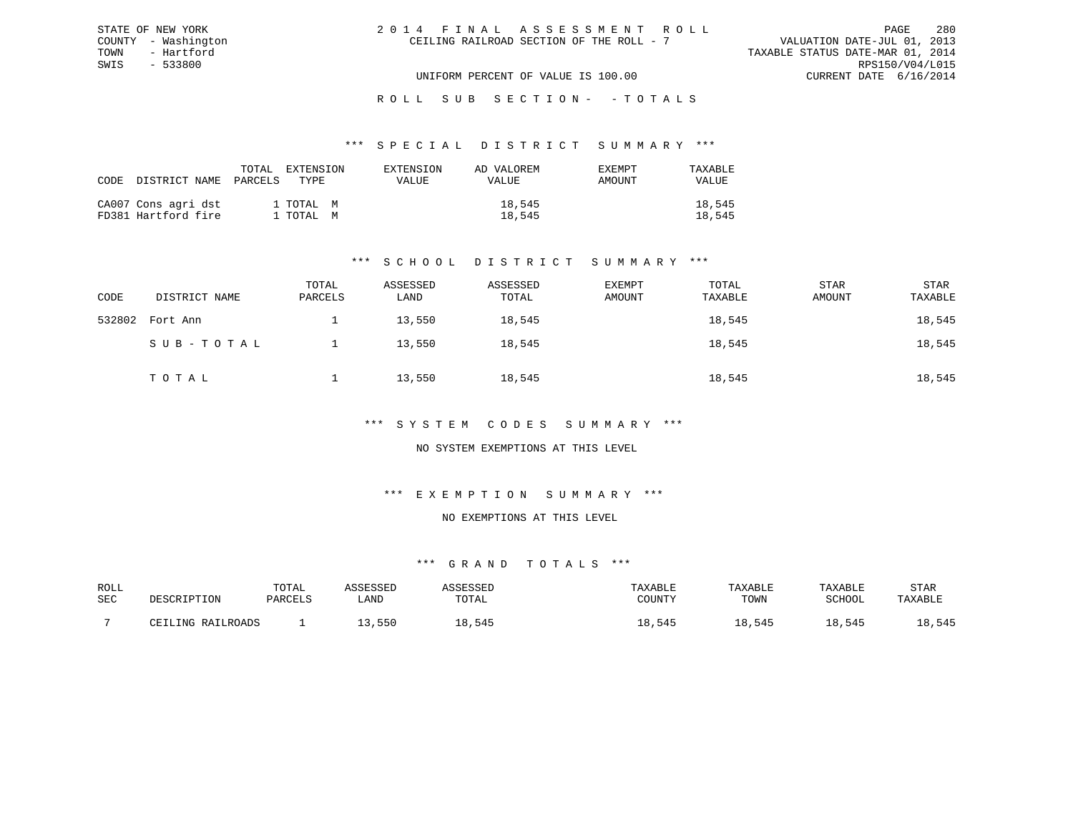| 2014 FINAL ASSESSMENT ROLL               |  | PAGE                             | 280 |
|------------------------------------------|--|----------------------------------|-----|
| CEILING RAILROAD SECTION OF THE ROLL - 7 |  | VALUATION DATE-JUL 01, 2013      |     |
|                                          |  | TAXABLE STATUS DATE-MAR 01, 2014 |     |
|                                          |  | RPS150/V04/L015                  |     |
| UNIFORM PERCENT OF VALUE IS 100.00       |  | CURRENT DATE $6/16/2014$         |     |

#### \*\*\* S P E C I A L D I S T R I C T S U M M A R Y \*\*\*

| CODE DISTRICT NAME PARCELS                 | TOTAL | EXTENSION<br>TYPE.     | EXTENSION<br><b>VALUE</b> | AD VALOREM<br>VALUE | EXEMPT<br>AMOUNT | TAXABLE<br>VALUE |
|--------------------------------------------|-------|------------------------|---------------------------|---------------------|------------------|------------------|
| CA007 Cons agri dst<br>FD381 Hartford fire |       | 1 TOTAL M<br>1 TOTAL M |                           | 18,545<br>18,545    |                  | 18,545<br>18,545 |

STATE OF NEW YORK COUNTY - Washington TOWN - Hartford SWIS - 533800

### \*\*\* S C H O O L D I S T R I C T S U M M A R Y \*\*\*

| CODE   | DISTRICT NAME | TOTAL<br>PARCELS | ASSESSED<br>LAND | ASSESSED<br>TOTAL | EXEMPT<br>AMOUNT | TOTAL<br>TAXABLE | STAR<br>AMOUNT | STAR<br>TAXABLE |
|--------|---------------|------------------|------------------|-------------------|------------------|------------------|----------------|-----------------|
| 532802 | Fort Ann      |                  | 13,550           | 18,545            |                  | 18,545           |                | 18,545          |
|        | SUB-TOTAL     |                  | 13,550           | 18,545            |                  | 18,545           |                | 18,545          |
|        | TOTAL         |                  | 13,550           | 18,545            |                  | 18,545           |                | 18,545          |

#### \*\*\* S Y S T E M C O D E S S U M M A R Y \*\*\*

### NO SYSTEM EXEMPTIONS AT THIS LEVEL

#### \*\*\* E X E M P T I O N S U M M A R Y \*\*\*

#### NO EXEMPTIONS AT THIS LEVEL

| ROLL |                              | TOTAL   | <i>C</i> CFCCFP |                     | AXABLE              | TAXABLE      | TAXABLE       | STAR         |
|------|------------------------------|---------|-----------------|---------------------|---------------------|--------------|---------------|--------------|
| SEC  | DESCRIPTION                  | PARCELS | LAND            | TOTAL               | CCTINTTY<br>:OUNT 1 | TOWN         | <b>SCHOOL</b> | TAXABLE      |
|      |                              |         |                 |                     |                     |              |               |              |
|      | RAILROADS<br>T.TNC<br>$\cap$ |         | ,550            | 545<br><sup>o</sup> | , 545<br>⊥8         | 545<br>ـ ـ ب | 545           | 545<br>ں د ر |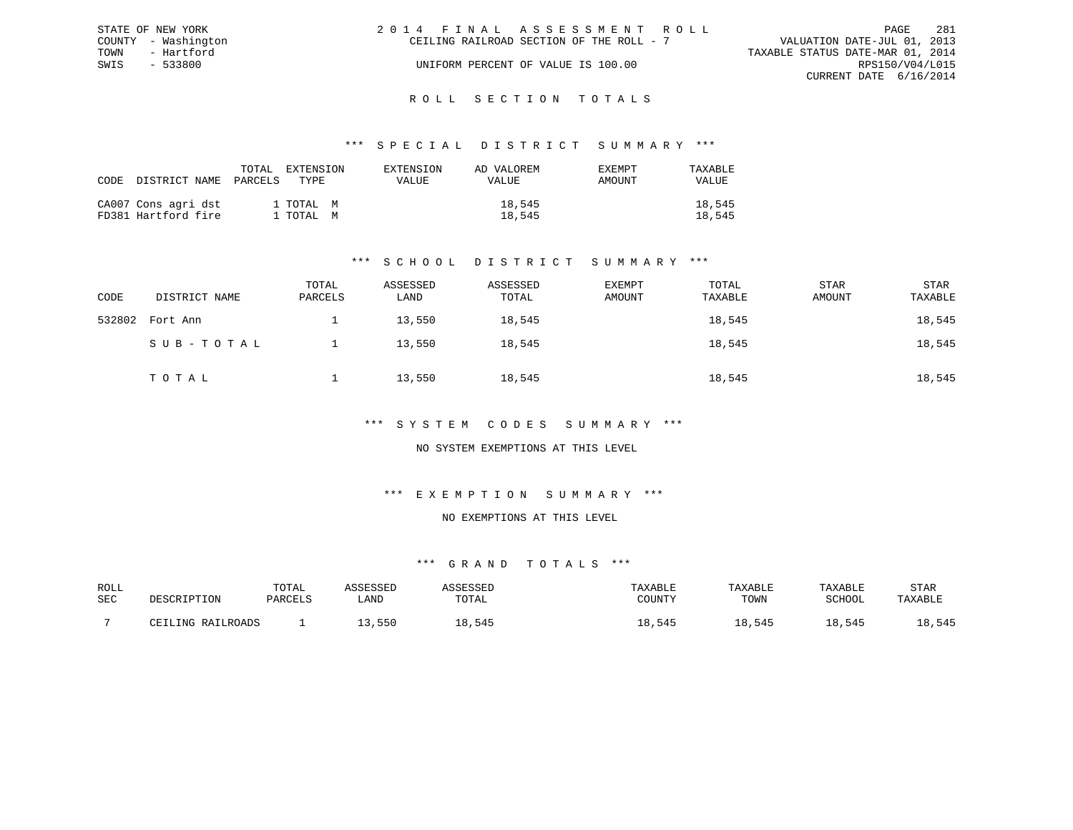| STATE OF NEW YORK   | 2014 FINAL ASSESSMENT ROLL               | 281<br>PAGE                      |
|---------------------|------------------------------------------|----------------------------------|
| COUNTY - Washington | CEILING RAILROAD SECTION OF THE ROLL - 7 | VALUATION DATE-JUL 01, 2013      |
| TOWN<br>- Hartford  |                                          | TAXABLE STATUS DATE-MAR 01, 2014 |
| SWIS<br>- 533800    | UNIFORM PERCENT OF VALUE IS 100.00       | RPS150/V04/L015                  |
|                     |                                          | CURRENT DATE 6/16/2014           |
|                     |                                          |                                  |

#### R O L L S E C T I O N T O T A L S

#### \*\*\* S P E C I A L D I S T R I C T S U M M A R Y \*\*\*

| CODE | DISTRICT NAME                              | TOTAL<br>PARCELS | EXTENSION<br>TYPE      | EXTENSION<br>VALUE | AD VALOREM<br>VALUE | <b>EXEMPT</b><br>AMOUNT | TAXABLE<br><b>VALUE</b> |
|------|--------------------------------------------|------------------|------------------------|--------------------|---------------------|-------------------------|-------------------------|
|      | CA007 Cons agri dst<br>FD381 Hartford fire |                  | 1 TOTAL M<br>1 TOTAL M |                    | 18,545<br>18,545    |                         | 18,545<br>18,545        |

### \*\*\* S C H O O L D I S T R I C T S U M M A R Y \*\*\*

| CODE   | DISTRICT NAME | TOTAL<br>PARCELS | ASSESSED<br>LAND | ASSESSED<br>TOTAL | EXEMPT<br>AMOUNT | TOTAL<br>TAXABLE | STAR<br>AMOUNT | STAR<br>TAXABLE |
|--------|---------------|------------------|------------------|-------------------|------------------|------------------|----------------|-----------------|
| 532802 | Fort Ann      |                  | 13,550           | 18,545            |                  | 18,545           |                | 18,545          |
|        | SUB-TOTAL     |                  | 13,550           | 18,545            |                  | 18,545           |                | 18,545          |
|        | TOTAL         |                  | 13,550           | 18,545            |                  | 18,545           |                | 18,545          |

#### \*\*\* S Y S T E M C O D E S S U M M A R Y \*\*\*

### NO SYSTEM EXEMPTIONS AT THIS LEVEL

## \*\*\* E X E M P T I O N S U M M A R Y \*\*\*

#### NO EXEMPTIONS AT THIS LEVEL

| ROLL |                              | TOTAL   | <i>C</i> CFCCFP |                     | AXABLE              | TAXABLE      | TAXABLE       | STAR         |
|------|------------------------------|---------|-----------------|---------------------|---------------------|--------------|---------------|--------------|
| SEC  | DESCRIPTION                  | PARCELS | LAND            | TOTAL               | CCTINTTY<br>:OUNT 1 | TOWN         | <b>SCHOOL</b> | TAXABLE      |
|      |                              |         |                 |                     |                     |              |               |              |
|      | RAILROADS<br>T.TNC<br>$\cap$ |         | ,550            | 545<br><sup>o</sup> | , 545<br>⊥8         | 545<br>ـ ـ ب | 545           | 545<br>ں د ر |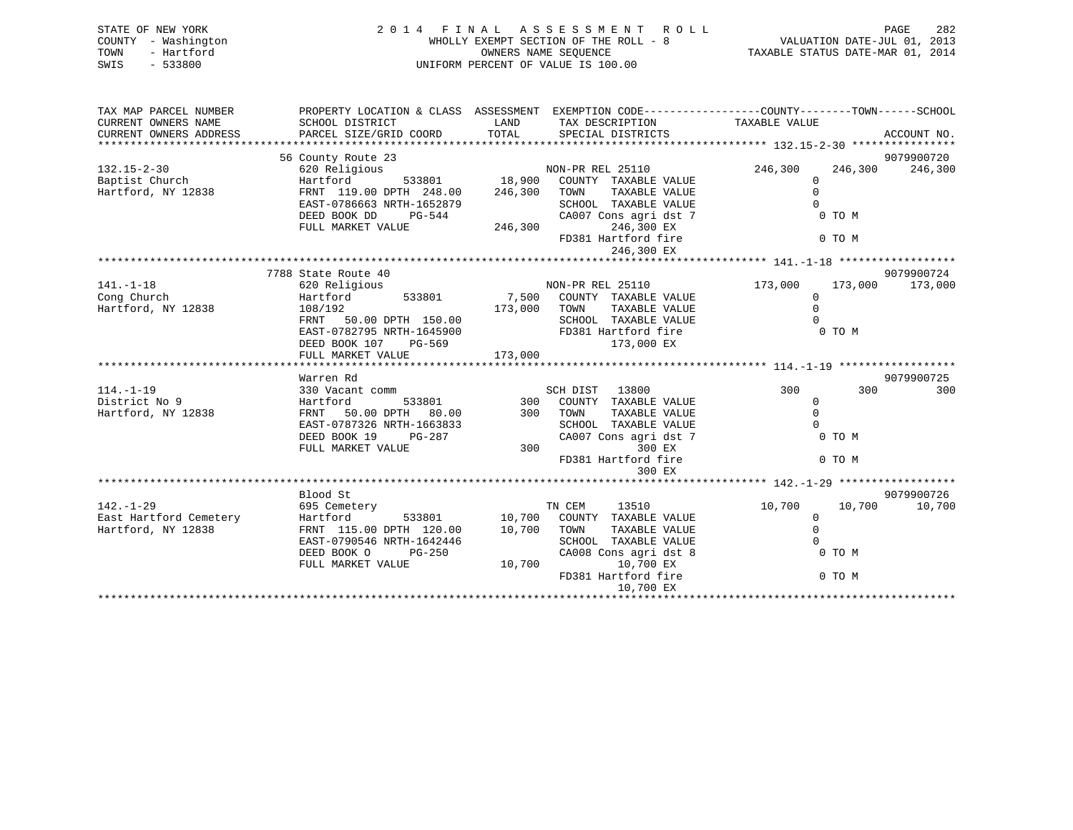| STATE OF NEW YORK<br>COUNTY - Washington<br>- Hartford<br>TOWN<br>$-533800$<br>SWIS | 2014 FINAL ASSESSMENT ROLL<br>PAGE<br>VALUATION DATE-JUL 01, 2013<br>WHOLLY EXEMPT SECTION OF THE ROLL - 8<br>TAXABLE STATUS DATE-MAR 01, 2014<br>OWNERS NAME SEOUENCE<br>UNIFORM PERCENT OF VALUE IS 100.00 |               |                                                                                                                                        |                         |         |             |  |  |
|-------------------------------------------------------------------------------------|--------------------------------------------------------------------------------------------------------------------------------------------------------------------------------------------------------------|---------------|----------------------------------------------------------------------------------------------------------------------------------------|-------------------------|---------|-------------|--|--|
| TAX MAP PARCEL NUMBER<br>CURRENT OWNERS NAME<br>CURRENT OWNERS ADDRESS              | SCHOOL DISTRICT<br>PARCEL SIZE/GRID COORD                                                                                                                                                                    | LAND<br>TOTAL | PROPERTY LOCATION & CLASS ASSESSMENT EXEMPTION CODE---------------COUNTY-------TOWN-----SCHOOL<br>TAX DESCRIPTION<br>SPECIAL DISTRICTS | TAXABLE VALUE           |         | ACCOUNT NO. |  |  |
|                                                                                     | 56 County Route 23                                                                                                                                                                                           |               |                                                                                                                                        |                         |         | 9079900720  |  |  |
| $132.15 - 2 - 30$                                                                   | 620 Religious                                                                                                                                                                                                |               | NON-PR REL 25110                                                                                                                       | 246,300                 | 246,300 | 246,300     |  |  |
| Baptist Church                                                                      | Hartford                                                                                                                                                                                                     | 533801 18,900 | COUNTY TAXABLE VALUE                                                                                                                   | $\mathbf 0$             |         |             |  |  |
| Hartford, NY 12838                                                                  | FRNT 119.00 DPTH 248.00                                                                                                                                                                                      | 246,300       | TOWN<br>TAXABLE VALUE                                                                                                                  | $\mathbf{0}$            |         |             |  |  |
|                                                                                     | EAST-0786663 NRTH-1652879                                                                                                                                                                                    |               | SCHOOL TAXABLE VALUE                                                                                                                   | $\cap$                  |         |             |  |  |
|                                                                                     | DEED BOOK DD<br>$PG-544$                                                                                                                                                                                     |               | CA007 Cons agri dst 7                                                                                                                  |                         | 0 TO M  |             |  |  |
|                                                                                     | FULL MARKET VALUE                                                                                                                                                                                            | 246,300       | 246,300 EX                                                                                                                             |                         |         |             |  |  |
|                                                                                     |                                                                                                                                                                                                              |               | FD381 Hartford fire                                                                                                                    |                         | 0 TO M  |             |  |  |
|                                                                                     |                                                                                                                                                                                                              |               | 246,300 EX                                                                                                                             |                         |         |             |  |  |
|                                                                                     |                                                                                                                                                                                                              |               |                                                                                                                                        |                         |         |             |  |  |
|                                                                                     | 7788 State Route 40                                                                                                                                                                                          |               |                                                                                                                                        |                         |         | 9079900724  |  |  |
| $141. - 1 - 18$                                                                     | 620 Religious                                                                                                                                                                                                |               | NON-PR REL 25110                                                                                                                       | 173,000                 | 173,000 | 173,000     |  |  |
| Cong Church                                                                         | 533801<br>Hartford                                                                                                                                                                                           | 7,500         | COUNTY TAXABLE VALUE                                                                                                                   | $\mathbf 0$             |         |             |  |  |
| Hartford, NY 12838                                                                  | 108/192                                                                                                                                                                                                      | 173,000       | TAXABLE VALUE<br>TOWN                                                                                                                  | $\Omega$                |         |             |  |  |
|                                                                                     | FRNT<br>50.00 DPTH 150.00                                                                                                                                                                                    |               | SCHOOL TAXABLE VALUE                                                                                                                   | $\cap$                  |         |             |  |  |
|                                                                                     | EAST-0782795 NRTH-1645900                                                                                                                                                                                    |               | FD381 Hartford fire                                                                                                                    |                         | 0 TO M  |             |  |  |
|                                                                                     | DEED BOOK 107<br>PG-569                                                                                                                                                                                      |               | 173,000 EX                                                                                                                             |                         |         |             |  |  |
|                                                                                     | FULL MARKET VALUE                                                                                                                                                                                            | 173,000       |                                                                                                                                        |                         |         |             |  |  |
|                                                                                     |                                                                                                                                                                                                              |               |                                                                                                                                        |                         |         |             |  |  |
|                                                                                     | Warren Rd                                                                                                                                                                                                    |               |                                                                                                                                        |                         |         | 9079900725  |  |  |
| $114. - 1 - 19$                                                                     | 330 Vacant comm                                                                                                                                                                                              |               | SCH DIST<br>13800                                                                                                                      | 300                     | 300     | 300         |  |  |
| District No 9                                                                       | 533801<br>Hartford                                                                                                                                                                                           | 300<br>300    | COUNTY<br>TAXABLE VALUE                                                                                                                | $\mathbf 0$             |         |             |  |  |
| Hartford, NY 12838                                                                  | 50.00 DPTH<br>FRNT<br>80.00                                                                                                                                                                                  |               | TOWN<br>TAXABLE VALUE                                                                                                                  | $\mathbf 0$<br>$\Omega$ |         |             |  |  |
|                                                                                     | EAST-0787326 NRTH-1663833<br>DEED BOOK 19<br>$PG-287$                                                                                                                                                        |               | SCHOOL TAXABLE VALUE                                                                                                                   |                         | 0 TO M  |             |  |  |
|                                                                                     | FULL MARKET VALUE                                                                                                                                                                                            | 300           | CA007 Cons agri dst 7<br>300 EX                                                                                                        |                         |         |             |  |  |
|                                                                                     |                                                                                                                                                                                                              |               | FD381 Hartford fire                                                                                                                    |                         | 0 TO M  |             |  |  |
|                                                                                     |                                                                                                                                                                                                              |               | 300 EX                                                                                                                                 |                         |         |             |  |  |
|                                                                                     |                                                                                                                                                                                                              |               |                                                                                                                                        |                         |         |             |  |  |
|                                                                                     | Blood St                                                                                                                                                                                                     |               |                                                                                                                                        |                         |         | 9079900726  |  |  |
|                                                                                     |                                                                                                                                                                                                              |               |                                                                                                                                        |                         |         |             |  |  |

10,700 142.-1-29 695 Cemetery TN CEM 13510 10,700 10,700 10,700 East Hartford Cemetery Hartford 533801 10,700 COUNTY TAXABLE VALUE 0 FRNT 115.00 DPTH 120.00 EAST-0790546 NRTH-1642446 SCHOOL TAXABLE VALUE 0 0 TO M DEED BOOK O PG-250 CA008 Cons agri dst 8<br>FULL MARKET VALUE 10,700 10,700 EX FULL MARKET VALUE FD381 Hartford fire 0 TO M 10,700 EX \*\*\*\*\*\*\*\*\*\*\*\*\*\*\*\*\*\*\*\*\*\*\*\*\*\*\*\*\*\*\*\*\*\*\*\*\*\*\*\*\*\*\*\*\*\*\*\*\*\*\*\*\*\*\*\*\*\*\*\*\*\*\*\*\*\*\*\*\*\*\*\*\*\*\*\*\*\*\*\*\*\*\*\*\*\*\*\*\*\*\*\*\*\*\*\*\*\*\*\*\*\*\*\*\*\*\*\*\*\*\*\*\*\*\*\*\*\*\*\*\*\*\*\*\*\*\*\*\*\*\*\*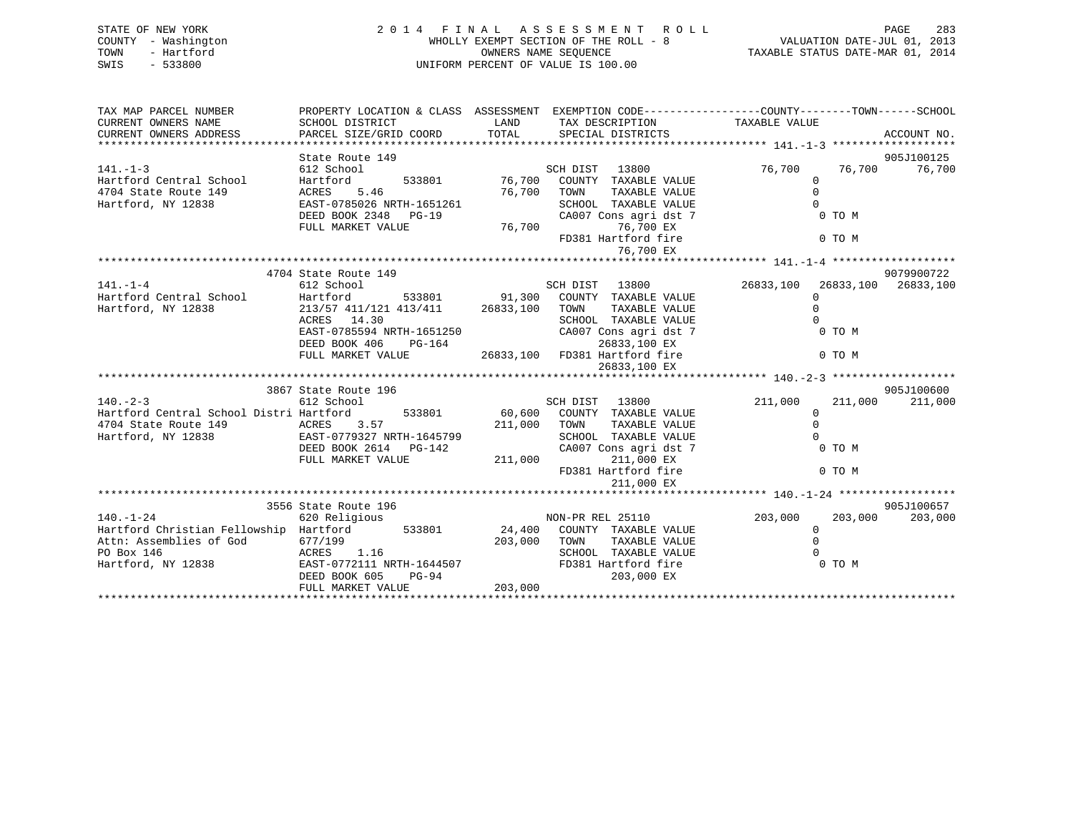| STATE OF NEW YORK<br>- Washington<br>COUNTY<br>- Hartford<br>TOWN<br>$-533800$<br>SWIS | 2014 FINAL<br>WHOLLY EXEMPT SECTION OF THE ROLL - 8<br>UNIFORM PERCENT OF VALUE IS 100.00 | ASSESSMENT ROLL<br>VALUATION DATE-JUL 01, 2013<br>TAXABLE STATUS DATE-MAR 01, 2014 | 283<br>PAGE                                      |                                                                                                                   |             |
|----------------------------------------------------------------------------------------|-------------------------------------------------------------------------------------------|------------------------------------------------------------------------------------|--------------------------------------------------|-------------------------------------------------------------------------------------------------------------------|-------------|
| TAX MAP PARCEL NUMBER<br>CURRENT OWNERS NAME<br>CURRENT OWNERS ADDRESS                 | SCHOOL DISTRICT<br><b>LAND</b><br>PARCEL SIZE/GRID COORD                                  |                                                                                    | TAX DESCRIPTION<br>TOTAL SPECIAL DISTRICTS       | PROPERTY LOCATION & CLASS ASSESSMENT EXEMPTION CODE----------------COUNTY-------TOWN------SCHOOL<br>TAXABLE VALUE | ACCOUNT NO. |
| *************************                                                              |                                                                                           |                                                                                    |                                                  |                                                                                                                   |             |
|                                                                                        | State Route 149                                                                           |                                                                                    |                                                  |                                                                                                                   | 905J100125  |
| $141. - 1 - 3$                                                                         | 612 School                                                                                |                                                                                    | 13800<br>SCH DIST                                | 76,700<br>76,700                                                                                                  | 76,700      |
| Hartford Central School                                                                | Hartford 533801 76,700 COUNTY TAXABLE VALUE                                               |                                                                                    |                                                  |                                                                                                                   |             |
| 4704 State Route 149                                                                   | ACRES 5.46<br>EAST-0785026 NRTH-1651261                                                   | 76,700                                                                             | TOWN<br>TAXABLE VALUE<br>SCHOOL<br>TAXABLE VALUE |                                                                                                                   |             |
| Hartford, NY 12838                                                                     | DEED BOOK 2348<br>$PG-19$                                                                 |                                                                                    |                                                  | 0 TO M                                                                                                            |             |
|                                                                                        | FULL MARKET VALUE                                                                         | 76,700                                                                             | CA007 Cons agri dst 7                            |                                                                                                                   |             |
|                                                                                        |                                                                                           |                                                                                    | 76,700 EX<br>FD381 Hartford fire                 | 0 TO M                                                                                                            |             |
|                                                                                        |                                                                                           |                                                                                    | 76,700 EX                                        |                                                                                                                   |             |
|                                                                                        |                                                                                           |                                                                                    |                                                  |                                                                                                                   |             |
|                                                                                        | 4704 State Route 149                                                                      |                                                                                    |                                                  |                                                                                                                   | 9079900722  |
| $141. - 1 - 4$                                                                         | 612 School                                                                                |                                                                                    | 13800<br>SCH DIST                                | 26833,100 26833,100<br>26833,100                                                                                  |             |
| Hartford Central School                                                                | Hartford                                                                                  | 533801 91,300                                                                      | COUNTY<br>TAXABLE VALUE                          |                                                                                                                   |             |
| Hartford, NY 12838                                                                     | 213/57 411/121 413/411                                                                    | 26833,100                                                                          | TOWN<br>TAXABLE VALUE                            |                                                                                                                   |             |
|                                                                                        | ACRES 14.30                                                                               |                                                                                    | TAXABLE VALUE<br>SCHOOL                          |                                                                                                                   |             |
|                                                                                        | EAST-0785594 NRTH-1651250                                                                 |                                                                                    | CA007 Cons agri dst 7                            | 0 TO M                                                                                                            |             |
|                                                                                        | DEED BOOK 406<br>$PG-164$                                                                 |                                                                                    | 26833,100 EX                                     |                                                                                                                   |             |

|                                         |                           |               |                  | 26833,100 EX          |         |         |            |
|-----------------------------------------|---------------------------|---------------|------------------|-----------------------|---------|---------|------------|
|                                         |                           |               |                  |                       |         |         |            |
|                                         | 3867 State Route 196      |               |                  |                       |         |         | 905J100600 |
| $140. - 2 - 3$                          | 612 School                |               | SCH DIST         | 13800                 | 211,000 | 211,000 | 211,000    |
| Hartford Central School Distri Hartford |                           | 533801        | 60,600<br>COUNTY | TAXABLE VALUE         |         |         |            |
| 4704 State Route 149                    | ACRES 3.57                |               | 211,000<br>TOWN  | TAXABLE VALUE         |         |         |            |
| Hartford, NY 12838                      | EAST-0779327 NRTH-1645799 |               | SCHOOL           | TAXABLE VALUE         |         |         |            |
|                                         | DEED BOOK 2614            | PG-142        |                  | CA007 Cons agri dst 7 |         | 0 TO M  |            |
|                                         | FULL MARKET VALUE         |               | 211,000          | 211,000 EX            |         |         |            |
|                                         |                           |               |                  | FD381 Hartford fire   |         | 0 TO M  |            |
|                                         |                           |               |                  | 211,000 EX            |         |         |            |
|                                         |                           |               |                  |                       |         |         |            |
|                                         | 3556 State Route 196      |               |                  |                       |         |         | 905J100657 |
| $140. - 1 - 24$                         | 620 Religious             |               |                  | NON-PR REL 25110      | 203,000 | 203,000 | 203,000    |
| Hartford Christian Fellowship Hartford  |                           | 533801 24,400 |                  | COUNTY TAXABLE VALUE  |         |         |            |
| Attn: Assemblies of God                 | 677/199                   |               | 203,000<br>TOWN  | TAXABLE VALUE         |         |         |            |
| ACRES 1.16<br>PO Box 146                |                           |               | SCHOOL           | TAXABLE VALUE         |         |         |            |
| Hartford, NY 12838                      | EAST-0772111 NRTH-1644507 |               |                  | FD381 Hartford fire   |         | 0 TO M  |            |
|                                         | DEED BOOK 605             | PG-94         |                  | 203,000 EX            |         |         |            |
|                                         | FULL MARKET VALUE         |               | 203,000          |                       |         |         |            |
|                                         |                           |               |                  |                       |         |         |            |

FULL MARKET VALUE 26833,100 FD381 Hartford fire 0 TO M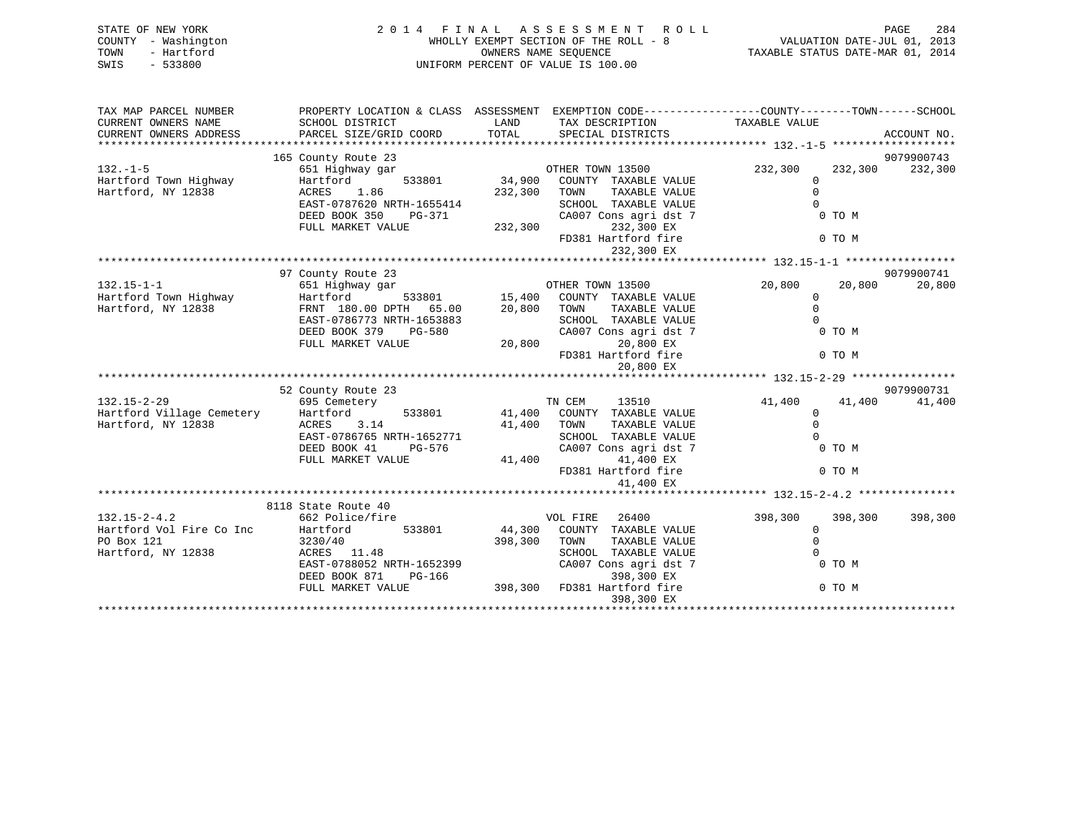| STATE OF NEW YORK<br>COUNTY - Washington<br>- Hartford<br>TOWN<br>$-533800$<br>SWIS |                                                                                                                                                                    |                              | 2014 FINAL ASSESSMENT ROLL<br>WHOLLY EXEMPT SECTION OF THE ROLL - 8<br>OWNERS NAME SEOUENCE<br>UNIFORM PERCENT OF VALUE IS 100.00                                          | <b>PAGE</b><br>284<br>VALUATION DATE-JUL 01, 2013<br>TAXABLE STATUS DATE-MAR 01, 2014                            |                       |  |  |
|-------------------------------------------------------------------------------------|--------------------------------------------------------------------------------------------------------------------------------------------------------------------|------------------------------|----------------------------------------------------------------------------------------------------------------------------------------------------------------------------|------------------------------------------------------------------------------------------------------------------|-----------------------|--|--|
| TAX MAP PARCEL NUMBER<br>CURRENT OWNERS NAME<br>CURRENT OWNERS ADDRESS              | SCHOOL DISTRICT<br>PARCEL SIZE/GRID COORD                                                                                                                          | LAND<br>TOTAL                | TAX DESCRIPTION<br>SPECIAL DISTRICTS                                                                                                                                       | PROPERTY LOCATION & CLASS ASSESSMENT EXEMPTION CODE----------------COUNTY-------TOWN-----SCHOOL<br>TAXABLE VALUE | ACCOUNT NO.           |  |  |
| $132. - 1 - 5$<br>Hartford Town Highway<br>Hartford, NY 12838                       | 165 County Route 23<br>651 Highway gar<br>533801<br>Hartford<br>1.86<br>ACRES<br>EAST-0787620 NRTH-1655414<br>DEED BOOK 350<br>PG-371<br>FULL MARKET VALUE         | 34,900<br>232,300<br>232,300 | OTHER TOWN 13500<br>COUNTY TAXABLE VALUE<br>TOWN<br>TAXABLE VALUE<br>SCHOOL TAXABLE VALUE<br>CA007 Cons agri dst 7<br>232,300 EX<br>FD381 Hartford fire<br>232,300 EX      | 232,300<br>232,300<br>$\mathbf 0$<br>$\Omega$<br>0 TO M<br>0 TO M                                                | 9079900743<br>232,300 |  |  |
| $132.15 - 1 - 1$<br>Hartford Town Highway<br>Hartford, NY 12838                     | 97 County Route 23<br>651 Highway gar<br>Hartford<br>533801<br>FRNT 180.00 DPTH 65.00<br>EAST-0786773 NRTH-1653883<br>DEED BOOK 379<br>PG-580<br>FULL MARKET VALUE | 20,800<br>20,800             | OTHER TOWN 13500<br>15,400 COUNTY TAXABLE VALUE<br>TAXABLE VALUE<br>TOWN<br>SCHOOL TAXABLE VALUE<br>CA007 Cons agri dst 7<br>20,800 EX<br>FD381 Hartford fire<br>20,800 EX | 20,800<br>20,800<br>0<br>$\mathbf 0$<br>$\Omega$<br>0 TO M<br>0 TO M                                             | 9079900741<br>20,800  |  |  |
| $132.15 - 2 - 29$<br>Hartford Village Cemetery<br>Hartford, NY 12838                | 52 County Route 23<br>695 Cemetery<br>Hartford<br>533801<br>3.14<br>ACRES<br>EAST-0786765 NRTH-1652771<br>DEED BOOK 41<br>PG-576<br>FULL MARKET VALUE              | 41,400<br>41,400<br>41,400   | 13510<br>TN CEM<br>COUNTY TAXABLE VALUE<br>TOWN<br>TAXABLE VALUE<br>SCHOOL TAXABLE VALUE<br>CA007 Cons agri dst 7<br>41,400 EX                                             | 41,400<br>41,400<br>$\mathbf{0}$<br>$\Omega$<br>$\Omega$<br>0 TO M                                               | 9079900731<br>41,400  |  |  |

|                          | FULL MARKET VALUE         |        | 41,400  | 41,400 EX<br>FD381 Hartford fire<br>41,400 EX |                       | 0 TO M  |         |         |
|--------------------------|---------------------------|--------|---------|-----------------------------------------------|-----------------------|---------|---------|---------|
|                          |                           |        |         |                                               |                       |         |         |         |
|                          | 8118 State Route 40       |        |         |                                               |                       |         |         |         |
| $132.15 - 2 - 4.2$       | 662 Police/fire           |        |         | VOL FIRE                                      | 26400                 | 398,300 | 398,300 | 398,300 |
| Hartford Vol Fire Co Inc | Hartford                  | 533801 | 44,300  | COUNTY                                        | TAXABLE VALUE         |         |         |         |
| PO Box 121               | 3230/40                   |        | 398,300 | TOWN                                          | TAXABLE VALUE         |         |         |         |
| Hartford, NY 12838       | ACRES 11.48               |        |         | SCHOOL                                        | TAXABLE VALUE         |         |         |         |
|                          | EAST-0788052 NRTH-1652399 |        |         |                                               | CA007 Cons agri dst 7 |         | 0 TO M  |         |
|                          | DEED BOOK 871             | PG-166 |         |                                               | 398,300 EX            |         |         |         |
|                          | FULL MARKET VALUE         |        | 398,300 |                                               | FD381 Hartford fire   |         | 0 TO M  |         |
|                          |                           |        |         |                                               | 398,300 EX            |         |         |         |
|                          |                           |        |         |                                               |                       |         |         |         |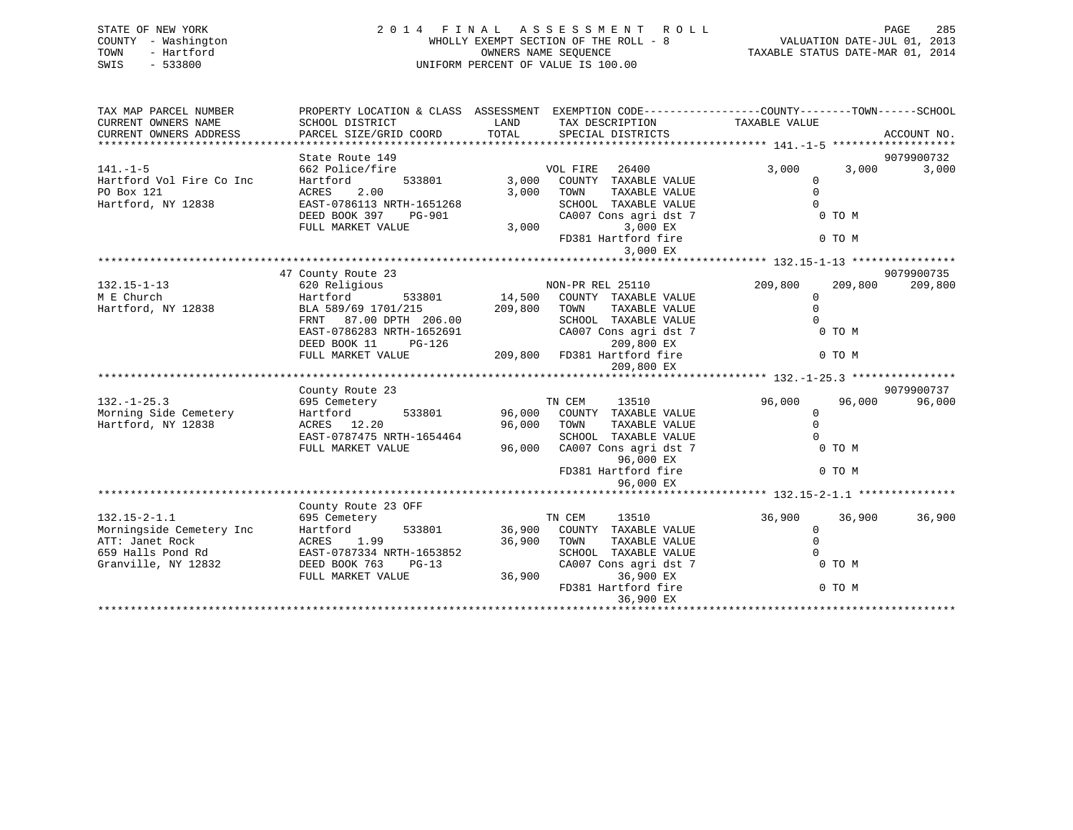| STATE OF NEW YORK<br>- Washington<br>COUNTY<br>- Hartford<br>TOWN<br>$-533800$<br>SWIS | 2 0 1 4<br>FINAL<br>WHOLLY EXEMPT SECTION OF THE ROLL - 8<br>UNIFORM PERCENT OF VALUE IS 100.00 | TAXABLE STATUS DATE-MAR 01, 2014 | PAGE<br>VALUATION DATE-JUL 01, 2013 | 285               |                                                              |       |             |
|----------------------------------------------------------------------------------------|-------------------------------------------------------------------------------------------------|----------------------------------|-------------------------------------|-------------------|--------------------------------------------------------------|-------|-------------|
|                                                                                        |                                                                                                 |                                  |                                     |                   |                                                              |       |             |
| TAX MAP PARCEL NUMBER                                                                  | PROPERTY LOCATION & CLASS                                                                       | ASSESSMENT                       |                                     |                   | EXEMPTION CODE-----------------COUNTY-------TOWN------SCHOOL |       |             |
| CURRENT OWNERS NAME                                                                    | SCHOOL DISTRICT                                                                                 | LAND                             |                                     | TAX DESCRIPTION   | TAXABLE VALUE                                                |       |             |
| CURRENT OWNERS ADDRESS                                                                 | PARCEL SIZE/GRID COORD                                                                          | TOTAL                            |                                     | SPECIAL DISTRICTS |                                                              |       | ACCOUNT NO. |
|                                                                                        |                                                                                                 |                                  |                                     |                   |                                                              |       |             |
|                                                                                        | State Route 149                                                                                 |                                  |                                     |                   |                                                              |       | 9079900732  |
| $141. - 1 - 5$                                                                         | 662 Police/fire                                                                                 |                                  | VOL FIRE                            | 26400             | 3,000                                                        | 3,000 | 3,000       |
| Hartford Vol Fire Co Inc                                                               | Hartford<br>533801                                                                              | 3,000                            | COUNTY                              | TAXABLE VALUE     |                                                              |       |             |
| PO Box 121                                                                             | 2.00<br>ACRES                                                                                   | 3,000                            | TOWN                                | TAXABLE VALUE     |                                                              |       |             |

\*\*\*\*\*\*\*\*\*\*\*\*\*\*\*\*\*\*\*\*\*\*\*\*\*\*\*\*\*\*\*\*\*\*\*\*\*\*\*\*\*\*\*\*\*\*\*\*\*\*\*\*\*\*\*\*\*\*\*\*\*\*\*\*\*\*\*\*\*\*\*\*\*\*\*\*\*\*\*\*\*\*\*\*\*\*\*\*\*\*\*\*\*\*\*\*\*\*\*\*\*\*\* 132.15-1-13 \*\*\*\*\*\*\*\*\*\*\*\*\*\*\*\*

DEED BOOK 397 PG-901 CA007 Cons agri dst 7 0 TO M

FD381 Hartford fire 0 TO M

3,000 EX

Hartford, NY 12838 EAST-0786113 NRTH-1651268 SCHOOL TAXABLE VALUE 0

FULL MARKET VALUE 3,000 3,000 EX

|                          | 47 County Route 23        |                                   |                    | 9079900735 |
|--------------------------|---------------------------|-----------------------------------|--------------------|------------|
| $132.15 - 1 - 13$        | 620 Religious             | NON-PR REL 25110                  | 209,800<br>209,800 | 209,800    |
| M E Church               | Hartford<br>533801        | 14,500<br>COUNTY TAXABLE VALUE    |                    |            |
| Hartford, NY 12838       | BLA 589/69 1701/215       | TAXABLE VALUE<br>209,800<br>TOWN  |                    |            |
|                          | 87.00 DPTH 206.00<br>FRNT | TAXABLE VALUE<br>SCHOOL           |                    |            |
|                          | EAST-0786283 NRTH-1652691 | CA007 Cons agri dst 7             | 0 TO M             |            |
|                          | DEED BOOK 11<br>$PG-126$  | 209,800 EX                        |                    |            |
|                          | FULL MARKET VALUE         | 209,800<br>FD381 Hartford fire    | 0 TO M             |            |
|                          |                           | 209,800 EX                        |                    |            |
|                          |                           |                                   |                    |            |
|                          | County Route 23           |                                   |                    | 9079900737 |
| $132. - 1 - 25.3$        | 695 Cemetery              | TN CEM<br>13510                   | 96,000<br>96,000   | 96,000     |
| Morning Side Cemetery    | Hartford<br>533801        | 96,000<br>COUNTY<br>TAXABLE VALUE |                    |            |
| Hartford, NY 12838       | ACRES 12.20               | 96,000<br>TOWN<br>TAXABLE VALUE   |                    |            |
|                          | EAST-0787475 NRTH-1654464 | TAXABLE VALUE<br>SCHOOL           |                    |            |
|                          | FULL MARKET VALUE         | 96,000<br>CA007 Cons agri dst 7   | 0 TO M             |            |
|                          |                           | 96,000 EX                         |                    |            |
|                          |                           | FD381 Hartford fire               | 0 TO M             |            |
|                          |                           | 96,000 EX                         |                    |            |
|                          |                           |                                   |                    |            |
|                          | County Route 23 OFF       |                                   |                    |            |
| $132.15 - 2 - 1.1$       | 695 Cemetery              | 13510<br>TN CEM                   | 36,900<br>36,900   | 36,900     |
| Morningside Cemetery Inc | Hartford<br>533801        | 36,900<br>COUNTY<br>TAXABLE VALUE |                    |            |
| ATT: Janet Rock          | 1.99<br>ACRES             | 36,900<br>TAXABLE VALUE<br>TOWN   |                    |            |
| 659 Halls Pond Rd        | EAST-0787334 NRTH-1653852 | SCHOOL<br>TAXABLE VALUE           |                    |            |
| Granville, NY 12832      | DEED BOOK 763<br>$PG-13$  | CA007 Cons agri dst 7             | 0 TO M             |            |
|                          |                           | 36,900<br>36,900 EX               |                    |            |
|                          | FULL MARKET VALUE         |                                   |                    |            |
|                          |                           | FD381 Hartford fire<br>36,900 EX  | 0 TO M             |            |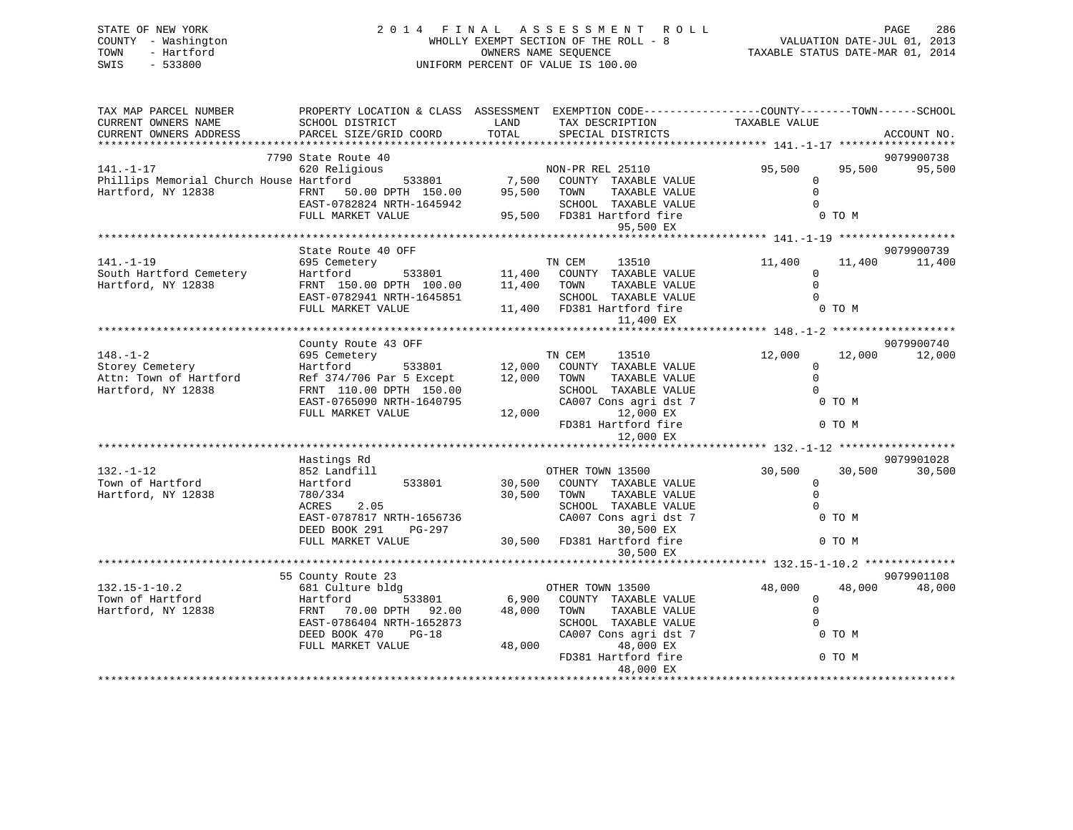| STATE OF NEW YORK |                                   |  | 2014 FINAL ASSESSMENT ROLL                                    |                                  | PAGE                        | 286 |
|-------------------|-----------------------------------|--|---------------------------------------------------------------|----------------------------------|-----------------------------|-----|
| TOWN              | COUNTY - Washington<br>- Hartford |  | WHOLLY EXEMPT SECTION OF THE ROLL - 8<br>OWNERS NAME SEOUENCE | TAXABLE STATUS DATE-MAR 01, 2014 | VALUATION DATE-JUL 01, 2013 |     |
| SWIS              | $-533800$                         |  | UNIFORM PERCENT OF VALUE IS 100.00                            |                                  |                             |     |

| TAX MAP PARCEL NUMBER                                          | PROPERTY LOCATION & CLASS ASSESSMENT EXEMPTION CODE---------------COUNTY-------TOWN-----SCHOOL |             |                                                         |                |        |             |
|----------------------------------------------------------------|------------------------------------------------------------------------------------------------|-------------|---------------------------------------------------------|----------------|--------|-------------|
| CURRENT OWNERS NAME                                            | SCHOOL DISTRICT                                                                                | LAND        | TAX DESCRIPTION                                         | TAXABLE VALUE  |        |             |
| CURRENT OWNERS ADDRESS                                         | PARCEL SIZE/GRID COORD                                                                         | TOTAL       | SPECIAL DISTRICTS                                       |                |        | ACCOUNT NO. |
|                                                                |                                                                                                |             |                                                         |                |        |             |
|                                                                | 7790 State Route 40                                                                            |             |                                                         |                |        | 9079900738  |
| $141. - 1 - 17$                                                | 620 Religious                                                                                  |             | OUS<br>533801 7,500 COUNTY TAXABLE VALUE                | 95,500         | 95,500 | 95,500      |
| Phillips Memorial Church House Hartford                        |                                                                                                |             |                                                         | $\Omega$       |        |             |
| Hartford, NY 12838                                             | FRNT 50.00 DPTH 150.00                                                                         | 95,500 TOWN | TAXABLE VALUE                                           | $\Omega$       |        |             |
|                                                                | EAST-0782824 NRTH-1645942                                                                      |             |                                                         | $\overline{0}$ |        |             |
|                                                                | FULL MARKET VALUE                                                                              |             | SCHOOL TAXABLE VALUE<br>95,500 FD381 Hartford fire      | 0 TO M         |        |             |
|                                                                |                                                                                                |             | 95,500 EX                                               |                |        |             |
|                                                                |                                                                                                |             |                                                         |                |        |             |
|                                                                | State Route 40 OFF                                                                             |             |                                                         |                |        | 9079900739  |
| $141. - 1 - 19$                                                | 695 Cemetery                                                                                   |             |                                                         | 11,400         | 11,400 | 11,400      |
| South Hartford Cemetery                                        | Hartford                                                                                       |             | ry<br>533801 11,400 COUNTY TAXABLE VALUE                | $\Omega$       |        |             |
| Hartford, NY 12838                                             | FRNT 150.00 DPTH 100.00                                                                        | 11,400 TOWN | TAXABLE VALUE                                           | $\Omega$       |        |             |
|                                                                | EAST-0782941 NRTH-1645851                                                                      |             | SCHOOL TAXABLE VALUE                                    | $\Omega$       |        |             |
|                                                                |                                                                                                |             |                                                         |                | 0 TO M |             |
|                                                                | FULL MARKET VALUE                                                                              |             | 11,400 FD381 Hartford fire                              |                |        |             |
|                                                                |                                                                                                |             | 11,400 EX                                               |                |        |             |
|                                                                |                                                                                                |             |                                                         |                |        |             |
|                                                                | County Route 43 OFF                                                                            |             |                                                         |                |        | 9079900740  |
| $148. - 1 - 2$                                                 |                                                                                                |             |                                                         | 12,000         | 12,000 | 12,000      |
| Storey Cemetery<br>Attn: Town of Hartford<br>Hartford NY 12838 |                                                                                                |             |                                                         | $\Omega$       |        |             |
|                                                                | Ref 374/706 Par 5 Except 12,000 TOWN                                                           |             | TAXABLE VALUE                                           | $\Omega$       |        |             |
| Hartford, NY 12838                                             | FRNT 110.00 DPTH 150.00                                                                        |             | SCHOOL TAXABLE VALUE                                    | $\Omega$       |        |             |
|                                                                | EAST-0765090 NRTH-1640795                                                                      |             | CA007 Cons agri dst 7                                   | 0 TO M         |        |             |
|                                                                | FULL MARKET VALUE                                                                              | 12,000      | 12,000 EX                                               |                |        |             |
|                                                                |                                                                                                |             | FD381 Hartford fire                                     |                | 0 TO M |             |
|                                                                |                                                                                                |             | 12,000 EX                                               |                |        |             |
|                                                                |                                                                                                |             |                                                         |                |        |             |
|                                                                | Hastings Rd                                                                                    |             |                                                         |                |        | 9079901028  |
| $132. - 1 - 12$                                                | 852 Landfill                                                                                   |             | OTHER TOWN 13500                                        | 30,500         | 30,500 | 30,500      |
| Town of Hartford                                               | 533801<br>Hartford                                                                             |             | 30,500 COUNTY TAXABLE VALUE                             | $\mathbf{0}$   |        |             |
| Hartford, NY 12838                                             | 780/334                                                                                        | 30,500 TOWN | TAXABLE VALUE                                           | $\Omega$       |        |             |
|                                                                | ACRES 2.05                                                                                     |             | SCHOOL TAXABLE VALUE                                    | $\Omega$       |        |             |
|                                                                | EAST-0787817 NRTH-1656736                                                                      |             | CA007 Cons agri dst 7                                   | 0 TO M         |        |             |
|                                                                | DEED BOOK 291<br>PG-297                                                                        |             | 30,500 EX                                               |                |        |             |
|                                                                | FULL MARKET VALUE                                                                              |             | 30,500 FD381 Hartford fire                              | 0 TO M         |        |             |
|                                                                |                                                                                                |             | 30,500 EX                                               |                |        |             |
|                                                                |                                                                                                |             |                                                         |                |        |             |
|                                                                | 55 County Route 23                                                                             |             |                                                         |                |        | 9079901108  |
| $132.15 - 1 - 10.2$                                            | 681 Culture bldg                                                                               |             | OTHER TOWN 13500                                        | 48,000         | 48,000 | 48,000      |
| Town of Hartford                                               | Hartford<br>EPNE 30<br>533801                                                                  |             |                                                         | $\overline{0}$ |        |             |
| Hartford, NY 12838                                             | FRNT 70.00 DPTH 92.00                                                                          |             | 6,900 COUNTY TAXABLE VALUE<br>48,000 TOWN TAXABLE VALUE | $\Omega$       |        |             |
|                                                                | EAST-0786404 NRTH-1652873                                                                      |             | SCHOOL TAXABLE VALUE                                    | $\Omega$       |        |             |
|                                                                | DEED BOOK 470 PG-18                                                                            |             | CA007 Cons agri dst 7                                   |                | 0 TO M |             |
|                                                                | FULL MARKET VALUE                                                                              |             | 48,000 EX<br>48,000                                     |                |        |             |
|                                                                |                                                                                                |             | FD381 Hartford fire                                     | 0 TO M         |        |             |
|                                                                |                                                                                                |             |                                                         |                |        |             |
|                                                                |                                                                                                |             | 48,000 EX                                               |                |        |             |
|                                                                |                                                                                                |             |                                                         |                |        |             |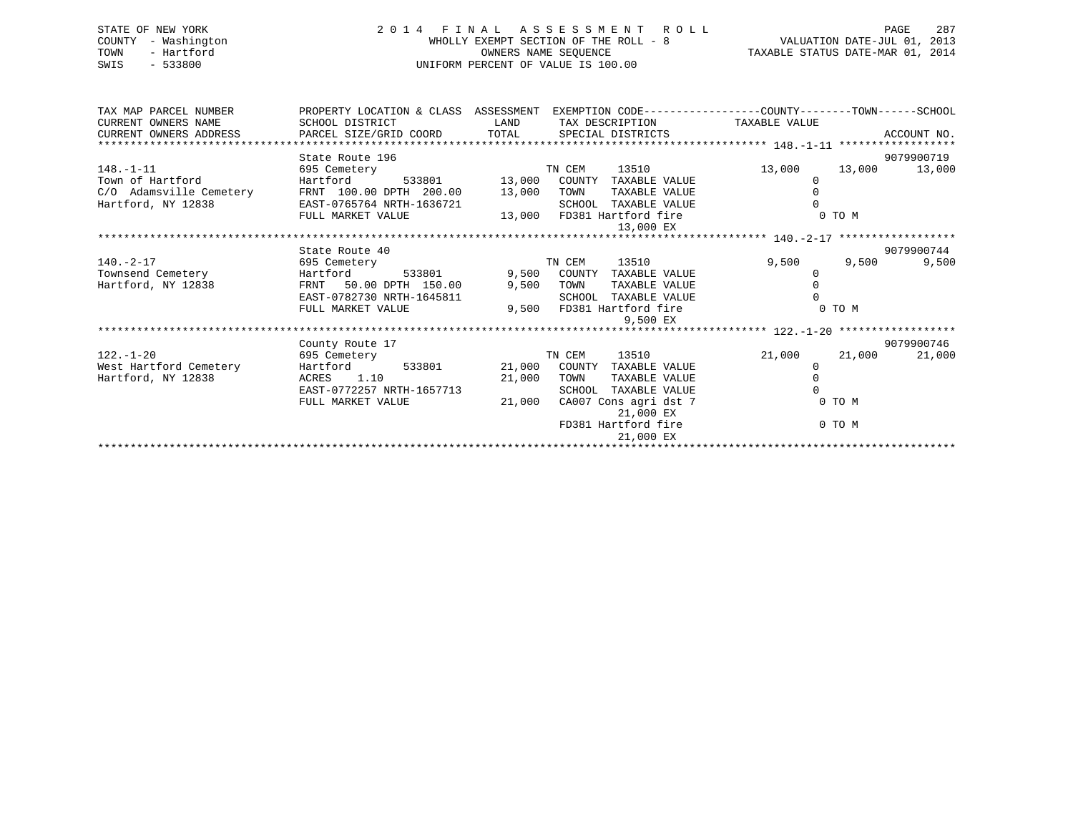| STATE OF NEW YORK<br>COUNTY - Washington<br>- Hartford<br>TOWN<br>SWIS - 533800                                     |                                                                                                                     | 2014 FINAL ASSESSMENT ROLL<br>WHOLLY EXEMPT SECTION OF THE ROLL - 8<br>OWNERS NAME SEQUENCE<br>UNIFORM PERCENT OF VALUE IS 100.00 | VALUATION DATE-JUL 01, 2013<br>TAXABLE STATUS DATE-MAR 01, 2014 |            | 287<br>PAGE   |
|---------------------------------------------------------------------------------------------------------------------|---------------------------------------------------------------------------------------------------------------------|-----------------------------------------------------------------------------------------------------------------------------------|-----------------------------------------------------------------|------------|---------------|
| TAX MAP PARCEL NUMBER<br>CURRENT OWNERS NAME                                                                        | PROPERTY LOCATION & CLASS ASSESSMENT EXEMPTION CODE----------------COUNTY-------TOWN------SCHOOL<br>SCHOOL DISTRICT |                                                                                                                                   |                                                                 |            |               |
| CURRENT OWNERS ADDRESS                                                                                              | PARCEL SIZE/GRID COORD TOTAL SPECIAL DISTRICTS                                                                      | LAND TAX DESCRIPTION TAXABLE VALUE                                                                                                |                                                                 |            | ACCOUNT NO.   |
|                                                                                                                     | State Route 196                                                                                                     |                                                                                                                                   |                                                                 |            | 9079900719    |
| $148. -1 - 11$                                                                                                      | 695 Cemetery                                                                                                        | TN CEM<br>13510 300                                                                                                               | 13,000                                                          |            | 13,000 13,000 |
| Town of Hartford                                                                                                    | Hartford                                                                                                            | 533801 13,000 COUNTY TAXABLE VALUE                                                                                                | $\circ$                                                         |            |               |
|                                                                                                                     |                                                                                                                     | TAXABLE VALUE                                                                                                                     |                                                                 |            |               |
| $C/O$ Adamsville Cemetery FRNT 100.00 DPTH 200.00 13,000 TOWN<br>Hartford, NY 12838 EAST-0765764 NRTH-1636721 SCHOO |                                                                                                                     | SCHOOL TAXABLE VALUE                                                                                                              |                                                                 |            |               |
|                                                                                                                     | FULL MARKET VALUE                                                                                                   | 13,000 FD381 Hartford fire                                                                                                        |                                                                 | 0 TO M     |               |
|                                                                                                                     |                                                                                                                     | 13,000 EX                                                                                                                         |                                                                 |            |               |
|                                                                                                                     |                                                                                                                     |                                                                                                                                   |                                                                 |            |               |
|                                                                                                                     | State Route 40                                                                                                      |                                                                                                                                   |                                                                 |            | 9079900744    |
| 140.-2-17                                                                                                           | 695 Cemetery                                                                                                        | TN CEM<br>13510                                                                                                                   | 9,500                                                           | 9,500 — 10 | 9,500         |
| Townsend Cemetery                                                                                                   | Hartford<br>533801                                                                                                  | 9,500 COUNTY<br>TAXABLE VALUE                                                                                                     | $\Omega$                                                        |            |               |
| Hartford, NY 12838                                                                                                  | FRNT 50.00 DPTH 150.00                                                                                              | 9,500 TOWN<br>TAXABLE VALUE                                                                                                       |                                                                 |            |               |
|                                                                                                                     | EAST-0782730 NRTH-1645811                                                                                           | SCHOOL TAXABLE VALUE                                                                                                              |                                                                 | 0 TO M     |               |
|                                                                                                                     | FULL MARKET VALUE                                                                                                   | 9,500 FD381 Hartford fire<br>9,500 EX                                                                                             |                                                                 |            |               |
|                                                                                                                     |                                                                                                                     |                                                                                                                                   |                                                                 |            |               |
|                                                                                                                     |                                                                                                                     |                                                                                                                                   |                                                                 |            |               |

122.-1-20 695 Cemetery TN CEM 13510 21,000 21,000 21,000

\*\*\*\*\*\*\*\*\*\*\*\*\*\*\*\*\*\*\*\*\*\*\*\*\*\*\*\*\*\*\*\*\*\*\*\*\*\*\*\*\*\*\*\*\*\*\*\*\*\*\*\*\*\*\*\*\*\*\*\*\*\*\*\*\*\*\*\*\*\*\*\*\*\*\*\*\*\*\*\*\*\*\*\*\*\*\*\*\*\*\*\*\*\*\*\*\*\*\*\*\*\*\*\*\*\*\*\*\*\*\*\*\*\*\*\*\*\*\*\*\*\*\*\*\*\*\*\*\*\*\*\*

EAST-0772257 NRTH-1657713 SCHOOL TAXABLE VALUE 0 FULL MARKET VALUE  $21,000$  CA007 Cons agri dst 7 0 TO M

Hartford, NY 12838 ACRES 1.10 21,000 TOWN TAXABLE VALUE 0

County Route 17 9079900746

21,000 EX

21,000 EX

FD381 Hartford fire 0 TO M

21,000 COUNTY TAXABLE VALUE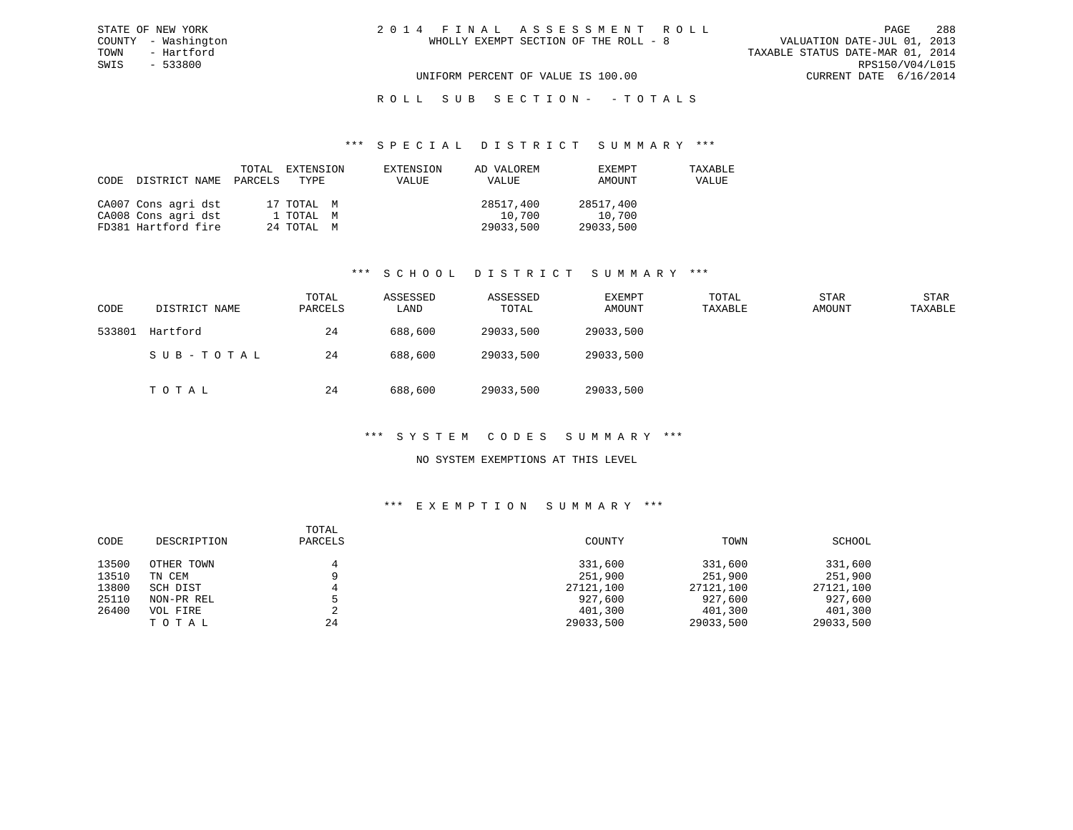## ROLL SUB SECTION - - TOTALS

#### \*\*\* S P E C I A L D I S T R I C T S U M M A R Y \*\*\*

| CODE | DISTRICT NAME       | PARCELS | TOTAL EXTENSION<br>TYPE | EXTENSION<br>VALUE | AD VALOREM<br>VALUE | EXEMPT<br>AMOUNT | TAXABLE<br>VALUE |
|------|---------------------|---------|-------------------------|--------------------|---------------------|------------------|------------------|
|      | CA007 Cons agri dst |         | 17 TOTAL M              |                    | 28517,400           | 28517,400        |                  |
|      | CA008 Cons agri dst |         | 1 TOTAL M               |                    | 10,700              | 10,700           |                  |
|      | FD381 Hartford fire |         | 24 TOTAL M              |                    | 29033,500           | 29033,500        |                  |

#### \*\*\* S C H O O L D I S T R I C T S U M M A R Y \*\*\*

| CODE   | DISTRICT NAME | TOTAL<br>PARCELS | ASSESSED<br>LAND | ASSESSED<br>TOTAL | EXEMPT<br>AMOUNT | TOTAL<br>TAXABLE | <b>STAR</b><br>AMOUNT | STAR<br>TAXABLE |
|--------|---------------|------------------|------------------|-------------------|------------------|------------------|-----------------------|-----------------|
| 533801 | Hartford      | 24               | 688,600          | 29033,500         | 29033,500        |                  |                       |                 |
|        | SUB-TOTAL     | 24               | 688,600          | 29033,500         | 29033,500        |                  |                       |                 |
|        | тотаь         | 24               | 688,600          | 29033,500         | 29033,500        |                  |                       |                 |

### \*\*\* S Y S T E M C O D E S S U M M A R Y \*\*\*

#### NO SYSTEM EXEMPTIONS AT THIS LEVEL

#### \*\*\* E X E M P T I O N S U M M A R Y \*\*\*

| CODE  | DESCRIPTION | TOTAL<br>PARCELS | COUNTY    | TOWN      | SCHOOL    |
|-------|-------------|------------------|-----------|-----------|-----------|
| 13500 | OTHER TOWN  |                  | 331,600   | 331,600   | 331,600   |
| 13510 | TN CEM      |                  | 251,900   | 251,900   | 251,900   |
| 13800 | SCH DIST    |                  | 27121,100 | 27121,100 | 27121,100 |
| 25110 | NON-PR REL  |                  | 927,600   | 927,600   | 927,600   |
| 26400 | VOL FIRE    | ▵                | 401,300   | 401,300   | 401,300   |
|       | TOTAL       | 24               | 29033,500 | 29033,500 | 29033,500 |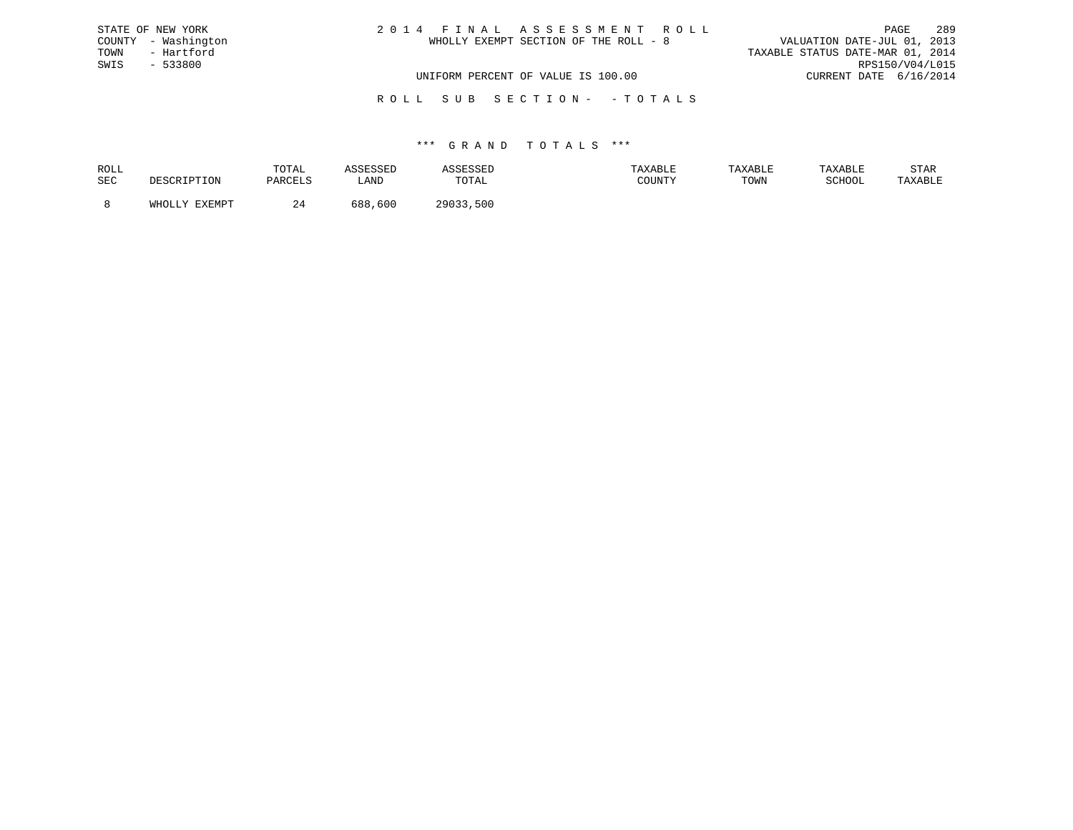| STATE OF NEW YORK   | 2014 FINAL ASSESSMENT ROLL            | 289<br>PAGE                      |
|---------------------|---------------------------------------|----------------------------------|
| COUNTY - Washington | WHOLLY EXEMPT SECTION OF THE ROLL - 8 | VALUATION DATE-JUL 01, 2013      |
| TOWN<br>- Hartford  |                                       | TAXABLE STATUS DATE-MAR 01, 2014 |
| SWIS<br>- 533800    |                                       | RPS150/V04/L015                  |
|                     | UNIFORM PERCENT OF VALUE IS 100.00    | CURRENT DATE 6/16/2014           |
|                     |                                       |                                  |

R O L L S U B S E C T I O N - - T O T A L S

#### \*\*\* G R A N D T O T A L S \*\*\*

| ROLL |               | TOTAL     |            |                | AXABLE | TAXABLE |               | STAR    |
|------|---------------|-----------|------------|----------------|--------|---------|---------------|---------|
| SEC  |               | ם דסום מח | LAND       | TOTAL          | COUNTY | TOWN    | <b>RCHOOL</b> | 'AXABLE |
|      | <b>EVEMDT</b> |           | 600<br>688 | ່າງດ່າງ<br>500 |        |         |               |         |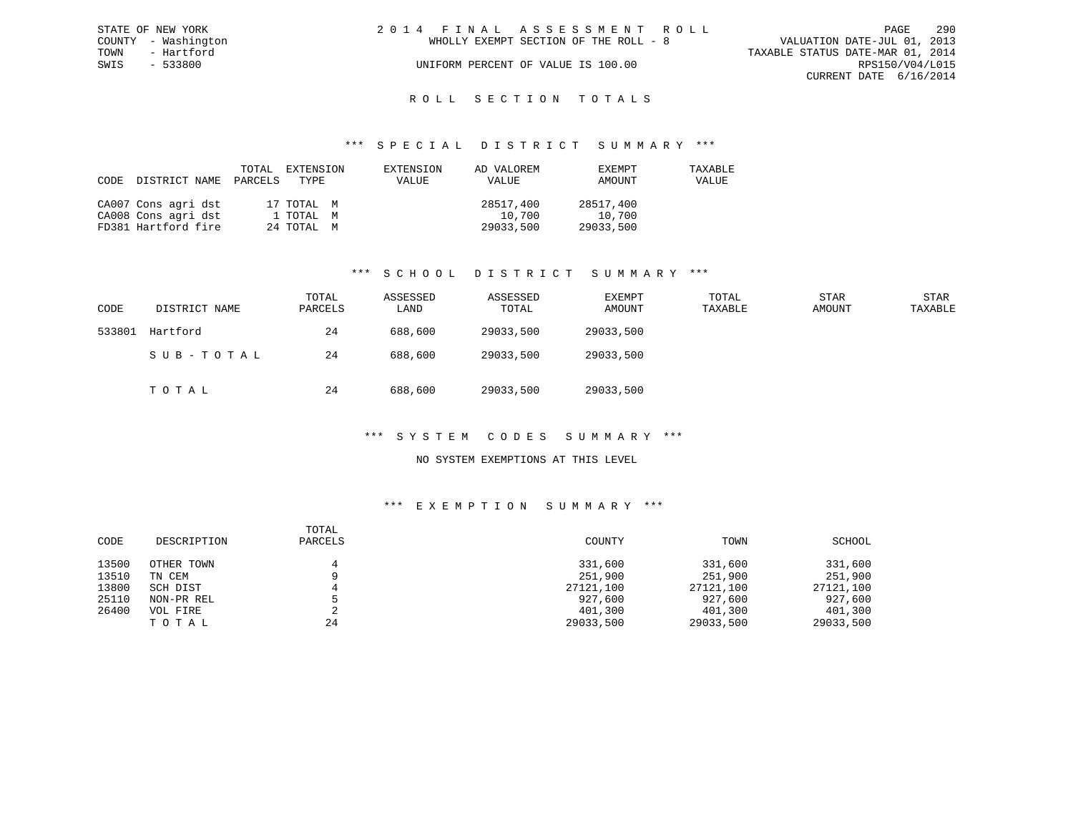| STATE OF NEW YORK   | 2014 FINAL ASSESSMENT ROLL            | 290<br>PAGE                      |
|---------------------|---------------------------------------|----------------------------------|
| COUNTY - Washington | WHOLLY EXEMPT SECTION OF THE ROLL - 8 | VALUATION DATE-JUL 01, 2013      |
| TOWN<br>- Hartford  |                                       | TAXABLE STATUS DATE-MAR 01, 2014 |
| SWIS<br>- 533800    | UNIFORM PERCENT OF VALUE IS 100.00    | RPS150/V04/L015                  |
|                     |                                       | CURRENT DATE 6/16/2014           |
|                     |                                       |                                  |

# ROLL SECTION TOTALS

#### \*\*\* S P E C I A L D I S T R I C T S U M M A R Y \*\*\*

| CODE | DISTRICT NAME PARCELS TYPE | TOTAL | EXTENSION  | EXTENSION<br>VALUE | AD VALOREM<br>VALUE | EXEMPT<br>AMOUNT | TAXABLE<br>VALUE |
|------|----------------------------|-------|------------|--------------------|---------------------|------------------|------------------|
|      | CA007 Cons agri dst        |       | 17 TOTAL M |                    | 28517,400           | 28517,400        |                  |
|      | CA008 Cons agri dst        |       | 1 ТОТАL М  |                    | 10,700              | 10,700           |                  |
|      | FD381 Hartford fire        |       | 24 TOTAL M |                    | 29033,500           | 29033,500        |                  |

#### \*\*\* S C H O O L D I S T R I C T S U M M A R Y \*\*\*

| CODE   | DISTRICT NAME | TOTAL<br>PARCELS | ASSESSED<br>LAND | ASSESSED<br>TOTAL | EXEMPT<br>AMOUNT | TOTAL<br>TAXABLE | <b>STAR</b><br>AMOUNT | STAR<br>TAXABLE |
|--------|---------------|------------------|------------------|-------------------|------------------|------------------|-----------------------|-----------------|
| 533801 | Hartford      | 24               | 688,600          | 29033,500         | 29033,500        |                  |                       |                 |
|        | SUB-TOTAL     | 24               | 688,600          | 29033,500         | 29033,500        |                  |                       |                 |
|        | TOTAL         | 24               | 688,600          | 29033,500         | 29033,500        |                  |                       |                 |

#### \*\*\* S Y S T E M C O D E S S U M M A R Y \*\*\*

#### NO SYSTEM EXEMPTIONS AT THIS LEVEL

| CODE  | DESCRIPTION | TOTAL<br>PARCELS | COUNTY    | TOWN      | SCHOOL    |
|-------|-------------|------------------|-----------|-----------|-----------|
| 13500 | OTHER TOWN  |                  | 331,600   | 331,600   | 331,600   |
| 13510 | TN CEM      |                  | 251,900   | 251,900   | 251,900   |
| 13800 | SCH DIST    |                  | 27121,100 | 27121,100 | 27121,100 |
| 25110 | NON-PR REL  |                  | 927,600   | 927,600   | 927,600   |
| 26400 | VOL FIRE    | ▵                | 401,300   | 401,300   | 401,300   |
|       | TOTAL       | 24               | 29033,500 | 29033,500 | 29033,500 |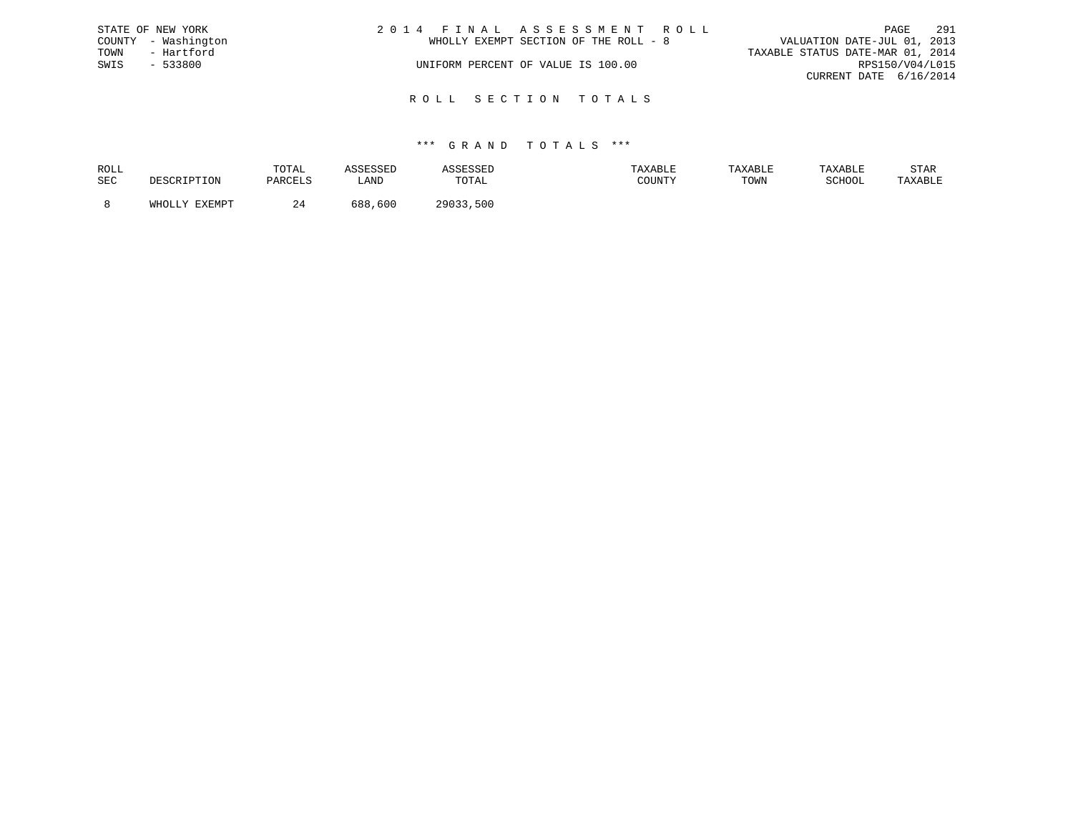|      | STATE OF NEW YORK   | 2014 FINAL ASSESSMENT ROLL            | 291<br>PAGE                      |
|------|---------------------|---------------------------------------|----------------------------------|
|      | COUNTY - Washington | WHOLLY EXEMPT SECTION OF THE ROLL - 8 | VALUATION DATE-JUL 01, 2013      |
| TOWN | - Hartford          |                                       | TAXABLE STATUS DATE-MAR 01, 2014 |
| SWIS | $-533800$           | UNIFORM PERCENT OF VALUE IS 100.00    | RPS150/V04/L015                  |
|      |                     |                                       | CURRENT DATE 6/16/2014           |
|      |                     |                                       |                                  |

R O L L S E C T I O N T O T A L S

#### \*\*\* G R A N D T O T A L S \*\*\*

| ROLL |                                      | TOTAL   |             |              | TAXABLE | <b>TAXABL.</b> |        | STAR    |
|------|--------------------------------------|---------|-------------|--------------|---------|----------------|--------|---------|
| SEC  | ים ה                                 | DARCT.S | <b>_AND</b> | TOTAL        | ATINIM  | TOWN           | SCHOOL | TAXABLE |
|      | <b>DVDMDR</b><br>$5.777 \wedge 7.77$ |         | 688<br>,600 | 500<br>つQA33 |         |                |        |         |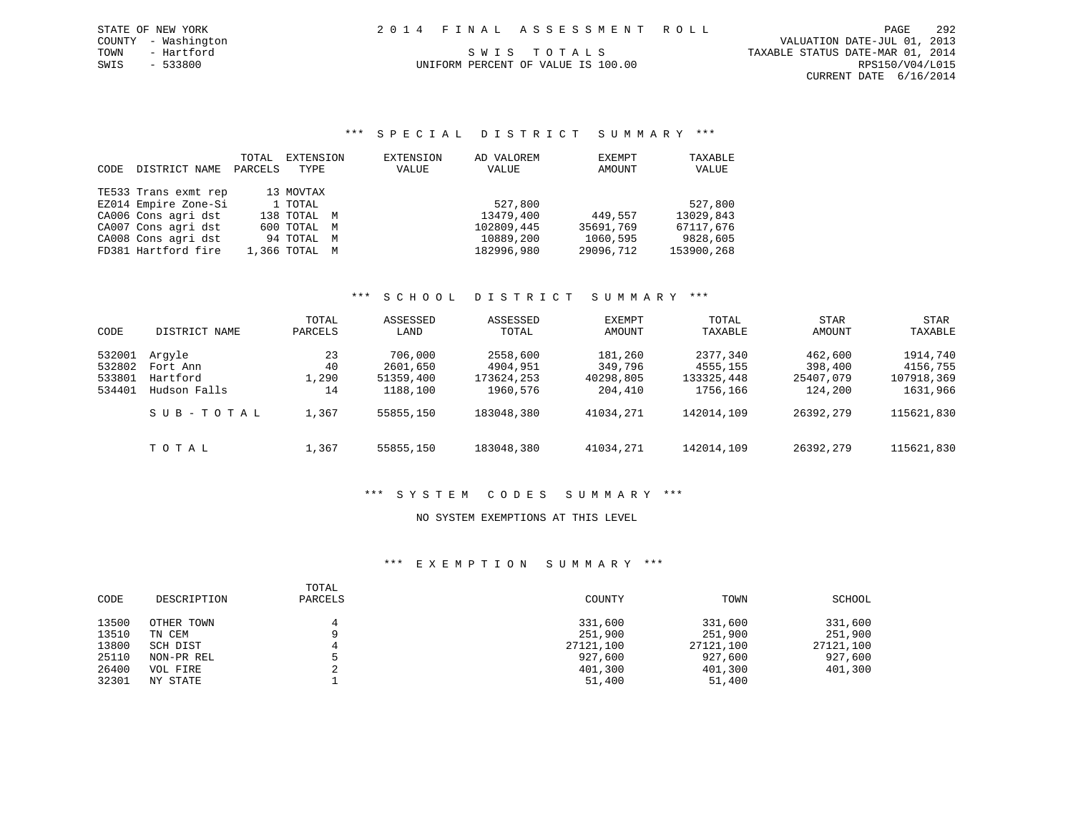CURRENT DATE 6/16/2014

#### \*\*\* S P E C I A L D I S T R I C T S U M M A R Y \*\*\*

| CODE | DISTRICT NAME        | TOTAL<br>PARCELS | EXTENSION<br>TYPE | EXTENSION<br>VALUE | AD VALOREM<br>VALUE | EXEMPT<br>AMOUNT | TAXABLE<br>VALUE |
|------|----------------------|------------------|-------------------|--------------------|---------------------|------------------|------------------|
|      | TE533 Trans exmt rep |                  | 13 MOVTAX         |                    |                     |                  |                  |
|      | EZ014 Empire Zone-Si |                  | 1 TOTAL           |                    | 527,800             |                  | 527,800          |
|      | CA006 Cons agri dst  |                  | 138 TOTAL M       |                    | 13479,400           | 449,557          | 13029,843        |
|      | CA007 Cons agri dst  |                  | 600 TOTAL M       |                    | 102809,445          | 35691,769        | 67117.676        |
|      | CA008 Cons agri dst  |                  | 94 TOTAL M        |                    | 10889,200           | 1060,595         | 9828,605         |
|      | FD381 Hartford fire  |                  | 1,366 TOTAL M     |                    | 182996,980          | 29096,712        | 153900,268       |

#### \*\*\* S C H O O L D I S T R I C T S U M M A R Y \*\*\*

| CODE                                 | DISTRICT NAME                                  | TOTAL<br>PARCELS        | ASSESSED<br>LAND                             | ASSESSED<br>TOTAL                              | EXEMPT<br>AMOUNT                           | TOTAL<br>TAXABLE                               | <b>STAR</b><br>AMOUNT                      | STAR<br>TAXABLE                                |
|--------------------------------------|------------------------------------------------|-------------------------|----------------------------------------------|------------------------------------------------|--------------------------------------------|------------------------------------------------|--------------------------------------------|------------------------------------------------|
| 532001<br>532802<br>533801<br>534401 | Arqyle<br>Fort Ann<br>Hartford<br>Hudson Falls | 23<br>40<br>1,290<br>14 | 706,000<br>2601,650<br>51359,400<br>1188,100 | 2558,600<br>4904,951<br>173624,253<br>1960,576 | 181,260<br>349,796<br>40298,805<br>204,410 | 2377,340<br>4555,155<br>133325,448<br>1756,166 | 462,600<br>398,400<br>25407,079<br>124,200 | 1914,740<br>4156,755<br>107918,369<br>1631,966 |
|                                      | SUB-TOTAL                                      | 1,367                   | 55855,150                                    | 183048,380                                     | 41034,271                                  | 142014,109                                     | 26392,279                                  | 115621,830                                     |
|                                      | тотаь                                          | 1,367                   | 55855,150                                    | 183048,380                                     | 41034,271                                  | 142014,109                                     | 26392,279                                  | 115621,830                                     |

### \*\*\* S Y S T E M C O D E S S U M M A R Y \*\*\*

#### NO SYSTEM EXEMPTIONS AT THIS LEVEL

| CODE  | DESCRIPTION | TOTAL<br>PARCELS | COUNTY    | TOWN      | SCHOOL    |
|-------|-------------|------------------|-----------|-----------|-----------|
| 13500 | OTHER TOWN  |                  | 331,600   | 331,600   | 331,600   |
| 13510 | TN CEM      |                  | 251,900   | 251,900   | 251,900   |
| 13800 | SCH DIST    |                  | 27121,100 | 27121,100 | 27121,100 |
| 25110 | NON-PR REL  |                  | 927,600   | 927,600   | 927,600   |
| 26400 | VOL FIRE    |                  | 401,300   | 401,300   | 401,300   |
| 32301 | NY STATE    |                  | 51,400    | 51,400    |           |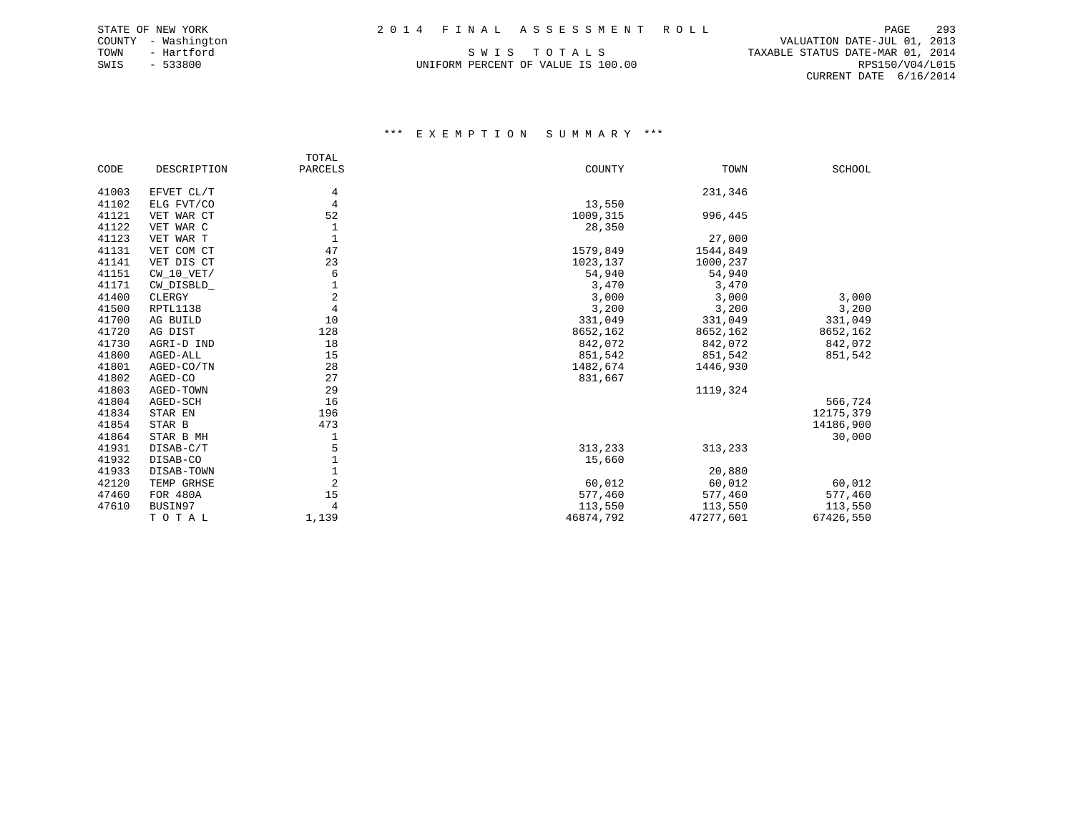COUNTY - Washington VALUATION DATE-JUL 01, 2013 TOWN - Hartford SWIS TO TALS THE STATUS DATE-MAR 01, 2014 CURRENT DATE 6/16/2014

# SWIS - 533800 UNIFORM PERCENT OF VALUE IS 100.00 RPS150/V04/L015

|       |             | TOTAL               |           |           |               |
|-------|-------------|---------------------|-----------|-----------|---------------|
| CODE  | DESCRIPTION | PARCELS             | COUNTY    | TOWN      | <b>SCHOOL</b> |
|       |             |                     |           |           |               |
| 41003 | EFVET CL/T  | 4<br>$\overline{4}$ |           | 231,346   |               |
| 41102 | ELG FVT/CO  |                     | 13,550    |           |               |
| 41121 | VET WAR CT  | 52                  | 1009,315  | 996,445   |               |
| 41122 | VET WAR C   | $\mathbf 1$         | 28,350    |           |               |
| 41123 | VET WAR T   | $\mathbf{1}$        |           | 27,000    |               |
| 41131 | VET COM CT  | 47                  | 1579,849  | 1544,849  |               |
| 41141 | VET DIS CT  | 23                  | 1023,137  | 1000,237  |               |
| 41151 | CW 10 VET/  | 6                   | 54,940    | 54,940    |               |
| 41171 | CW_DISBLD_  | $\mathbf 1$         | 3,470     | 3,470     |               |
| 41400 | CLERGY      | $\overline{c}$      | 3,000     | 3,000     | 3,000         |
| 41500 | RPTL1138    | 4                   | 3,200     | 3,200     | 3,200         |
| 41700 | AG BUILD    | 10                  | 331,049   | 331,049   | 331,049       |
| 41720 | AG DIST     | 128                 | 8652,162  | 8652,162  | 8652,162      |
| 41730 | AGRI-D IND  | 18                  | 842,072   | 842,072   | 842,072       |
| 41800 | AGED-ALL    | 15                  | 851,542   | 851,542   | 851,542       |
| 41801 | AGED-CO/TN  | 28                  | 1482,674  | 1446,930  |               |
| 41802 | AGED-CO     | 27                  | 831,667   |           |               |
| 41803 | AGED-TOWN   | 29                  |           | 1119,324  |               |
| 41804 | AGED-SCH    | 16                  |           |           | 566,724       |
| 41834 | STAR EN     | 196                 |           |           | 12175,379     |
| 41854 | STAR B      | 473                 |           |           | 14186,900     |
| 41864 | STAR B MH   | 1                   |           |           | 30,000        |
| 41931 | DISAB-C/T   | 5                   | 313,233   | 313,233   |               |
| 41932 | DISAB-CO    |                     | 15,660    |           |               |
| 41933 | DISAB-TOWN  |                     |           | 20,880    |               |
| 42120 | TEMP GRHSE  | $\overline{2}$      | 60,012    | 60,012    | 60,012        |
| 47460 | FOR 480A    | 15                  | 577,460   | 577,460   | 577,460       |
| 47610 | BUSIN97     | 4                   | 113,550   | 113,550   | 113,550       |
|       | TOTAL       | 1,139               | 46874,792 | 47277.601 | 67426,550     |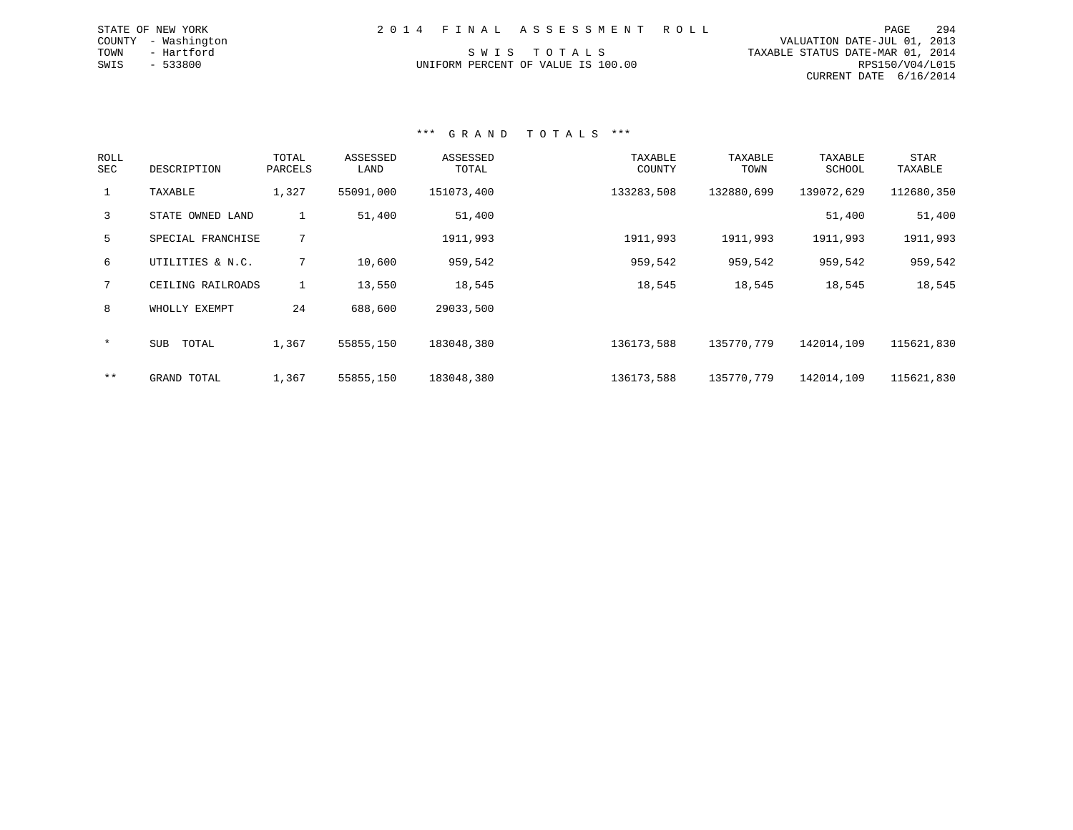| 2014 FINAL ASSESSMENT ROLL         |  | PAGE                             | 294 |
|------------------------------------|--|----------------------------------|-----|
|                                    |  | VALUATION DATE-JUL 01, 2013      |     |
| SWIS TOTALS                        |  | TAXABLE STATUS DATE-MAR 01, 2014 |     |
| UNIFORM PERCENT OF VALUE IS 100.00 |  | RPS150/V04/L015                  |     |
|                                    |  | CURRENT DATE 6/16/2014           |     |

STATE OF NEW YORK COUNTY - Washington TOWN - Hartford  $SWIS$  - 533800

#### \*\*\* G R A N D T O T A L S \*\*\*

| <b>ROLL</b><br>SEC | DESCRIPTION       | TOTAL<br>PARCELS | ASSESSED<br>LAND | ASSESSED<br>TOTAL | TAXABLE<br>COUNTY | TAXABLE<br>TOWN | TAXABLE<br>SCHOOL | <b>STAR</b><br>TAXABLE |
|--------------------|-------------------|------------------|------------------|-------------------|-------------------|-----------------|-------------------|------------------------|
| $\mathbf{1}$       | TAXABLE           | 1,327            | 55091,000        | 151073,400        | 133283,508        | 132880,699      | 139072,629        | 112680,350             |
| 3                  | STATE OWNED LAND  | $\mathbf{1}$     | 51,400           | 51,400            |                   |                 | 51,400            | 51,400                 |
| 5                  | SPECIAL FRANCHISE | 7                |                  | 1911,993          | 1911,993          | 1911,993        | 1911,993          | 1911,993               |
| 6                  | UTILITIES & N.C.  | 7                | 10,600           | 959,542           | 959,542           | 959,542         | 959,542           | 959,542                |
| 7                  | CEILING RAILROADS |                  | 13,550           | 18,545            | 18,545            | 18,545          | 18,545            | 18,545                 |
| 8                  | WHOLLY EXEMPT     | 24               | 688,600          | 29033,500         |                   |                 |                   |                        |
| $\star$            | SUB<br>TOTAL      | 1,367            | 55855,150        | 183048,380        | 136173,588        | 135770,779      | 142014,109        | 115621,830             |
| $***$              | GRAND TOTAL       | 1,367            | 55855,150        | 183048,380        | 136173,588        | 135770.779      | 142014,109        | 115621,830             |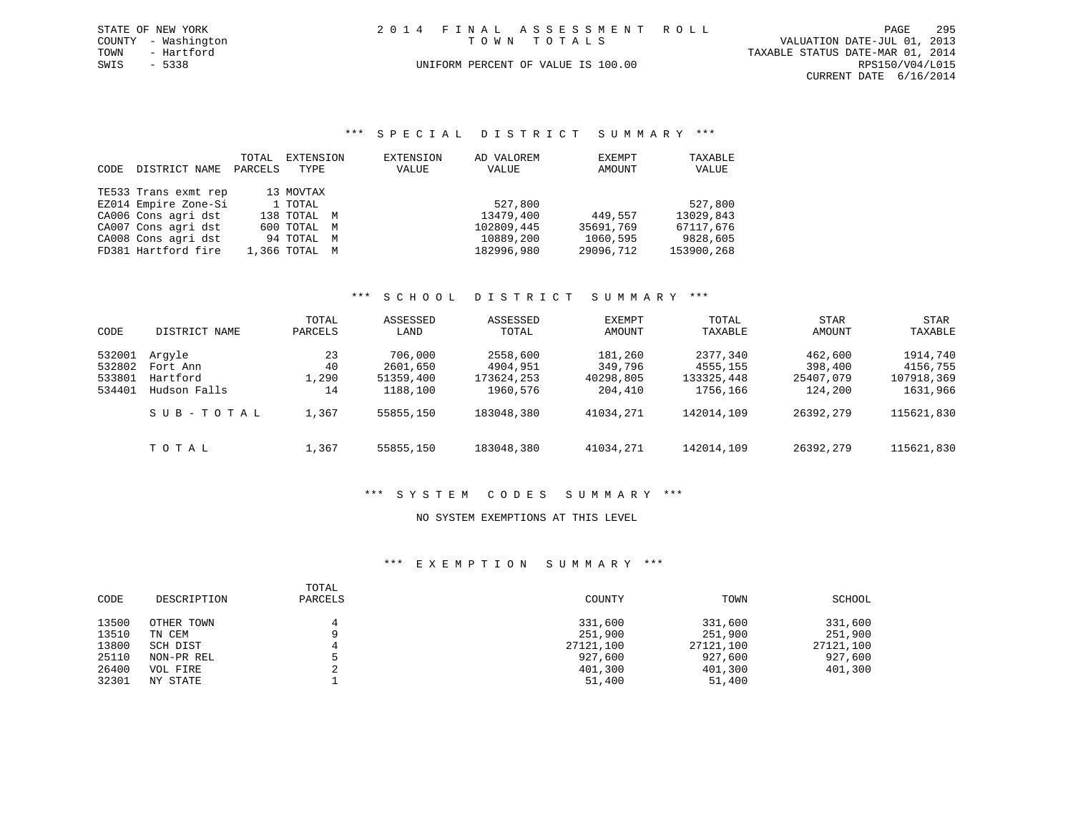|             | STATE OF NEW YORK   | 2014 FINAL ASSESSMENT ROLL         |                                  | PAGE            | 295 |
|-------------|---------------------|------------------------------------|----------------------------------|-----------------|-----|
|             | COUNTY - Washington | TOWN TOTALS                        | VALUATION DATE-JUL 01, 2013      |                 |     |
| TOWN        | - Hartford          |                                    | TAXABLE STATUS DATE-MAR 01, 2014 |                 |     |
| SWIS - 5338 |                     | UNIFORM PERCENT OF VALUE IS 100.00 |                                  | RPS150/V04/L015 |     |
|             |                     |                                    | CURRENT DATE 6/16/2014           |                 |     |

#### \*\*\* S P E C I A L D I S T R I C T S U M M A R Y \*\*\*

| CODE | DISTRICT NAME        | TOTAL<br>PARCELS | EXTENSION<br>TYPE | EXTENSION<br>VALUE | AD VALOREM<br>VALUE | EXEMPT<br>AMOUNT | TAXABLE<br>VALUE |
|------|----------------------|------------------|-------------------|--------------------|---------------------|------------------|------------------|
|      | TE533 Trans exmt rep |                  | 13 MOVTAX         |                    |                     |                  |                  |
|      | EZ014 Empire Zone-Si |                  | 1 TOTAL           |                    | 527,800             |                  | 527,800          |
|      | CA006 Cons agri dst  |                  | 138 TOTAL M       |                    | 13479,400           | 449.557          | 13029,843        |
|      | CA007 Cons agri dst  |                  | 600 TOTAL M       |                    | 102809,445          | 35691,769        | 67117,676        |
|      | CA008 Cons agri dst  |                  | 94 TOTAL M        |                    | 10889,200           | 1060,595         | 9828,605         |
|      | FD381 Hartford fire  |                  | 1,366 TOTAL M     |                    | 182996,980          | 29096,712        | 153900,268       |

#### \*\*\* S C H O O L D I S T R I C T S U M M A R Y \*\*\*

| CODE             | DISTRICT NAME            | TOTAL<br>PARCELS | ASSESSED<br>LAND      | ASSESSED<br>TOTAL      | EXEMPT<br>AMOUNT     | TOTAL<br>TAXABLE       | <b>STAR</b><br>AMOUNT | STAR<br>TAXABLE        |
|------------------|--------------------------|------------------|-----------------------|------------------------|----------------------|------------------------|-----------------------|------------------------|
| 532001<br>532802 | Arqyle<br>Fort Ann       | 23<br>40         | 706,000<br>2601,650   | 2558,600<br>4904,951   | 181,260<br>349,796   | 2377,340<br>4555,155   | 462,600<br>398,400    | 1914,740<br>4156,755   |
| 533801<br>534401 | Hartford<br>Hudson Falls | 1,290<br>14      | 51359,400<br>1188,100 | 173624,253<br>1960,576 | 40298,805<br>204,410 | 133325,448<br>1756,166 | 25407,079<br>124,200  | 107918,369<br>1631,966 |
|                  | SUB-TOTAL                | 1,367            | 55855,150             | 183048,380             | 41034,271            | 142014,109             | 26392,279             | 115621,830             |
|                  | TOTAL                    | 1,367            | 55855,150             | 183048,380             | 41034,271            | 142014,109             | 26392,279             | 115621,830             |

## \*\*\* S Y S T E M C O D E S S U M M A R Y \*\*\*

#### NO SYSTEM EXEMPTIONS AT THIS LEVEL

| CODE  | DESCRIPTION | TOTAL<br>PARCELS | COUNTY    | TOWN      | SCHOOL    |
|-------|-------------|------------------|-----------|-----------|-----------|
| 13500 | OTHER TOWN  |                  | 331,600   | 331,600   | 331,600   |
| 13510 | TN CEM      |                  | 251,900   | 251,900   | 251,900   |
| 13800 | SCH DIST    |                  | 27121,100 | 27121,100 | 27121,100 |
| 25110 | NON-PR REL  |                  | 927,600   | 927,600   | 927,600   |
| 26400 | VOL FIRE    |                  | 401,300   | 401,300   | 401,300   |
| 32301 | NY STATE    |                  | 51,400    | 51,400    |           |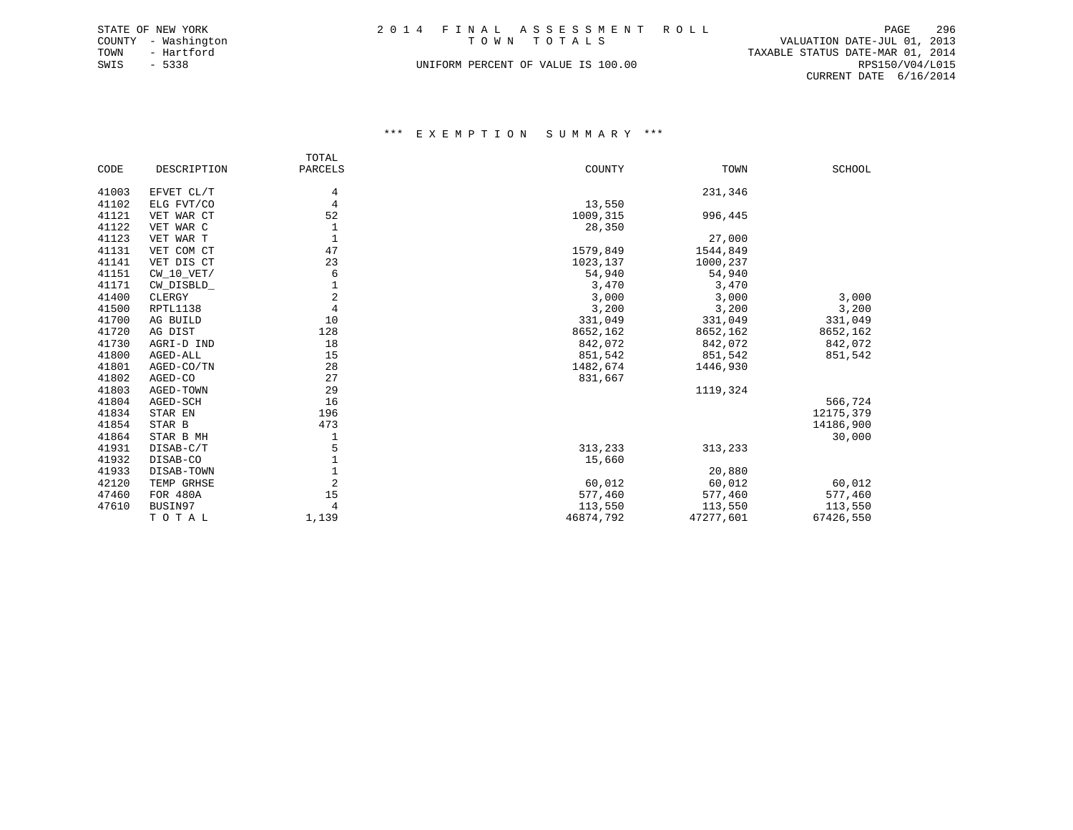| STATE OF NEW YORK   | 2014 FINAL ASSESSMENT ROLL         | PAGE                             | 296             |
|---------------------|------------------------------------|----------------------------------|-----------------|
| COUNTY - Washington | TOWN TOTALS                        | VALUATION DATE-JUL 01, 2013      |                 |
| TOWN<br>- Hartford  |                                    | TAXABLE STATUS DATE-MAR 01, 2014 |                 |
| SWIS<br>$-5338$     | UNIFORM PERCENT OF VALUE IS 100.00 |                                  | RPS150/V04/L015 |
|                     |                                    | CURRENT DATE 6/16/2014           |                 |

|       |              | TOTAL          |           |           |               |
|-------|--------------|----------------|-----------|-----------|---------------|
| CODE  | DESCRIPTION  | PARCELS        | COUNTY    | TOWN      | <b>SCHOOL</b> |
| 41003 | EFVET CL/T   | 4              |           | 231,346   |               |
| 41102 | ELG FVT/CO   | 4              | 13,550    |           |               |
| 41121 | VET WAR CT   | 52             | 1009,315  | 996,445   |               |
|       |              |                |           |           |               |
| 41122 | VET WAR C    | 1              | 28,350    |           |               |
| 41123 | VET WAR T    | $\mathbf{1}$   |           | 27,000    |               |
| 41131 | VET COM CT   | 47             | 1579,849  | 1544,849  |               |
| 41141 | VET DIS CT   | 23             | 1023,137  | 1000,237  |               |
| 41151 | $CW_10_VET/$ | 6              | 54,940    | 54,940    |               |
| 41171 | CW_DISBLD_   | 1              | 3,470     | 3,470     |               |
| 41400 | CLERGY       | 2              | 3,000     | 3,000     | 3,000         |
| 41500 | RPTL1138     | 4              | 3,200     | 3,200     | 3,200         |
| 41700 | AG BUILD     | 10             | 331,049   | 331,049   | 331,049       |
| 41720 | AG DIST      | 128            | 8652,162  | 8652,162  | 8652,162      |
| 41730 | AGRI-D IND   | 18             | 842,072   | 842,072   | 842,072       |
| 41800 | AGED-ALL     | 15             | 851,542   | 851,542   | 851,542       |
| 41801 | AGED-CO/TN   | 28             | 1482,674  | 1446,930  |               |
| 41802 | AGED-CO      | 27             | 831,667   |           |               |
| 41803 | AGED-TOWN    | 29             |           | 1119,324  |               |
| 41804 | AGED-SCH     | 16             |           |           | 566,724       |
| 41834 | STAR EN      | 196            |           |           | 12175,379     |
| 41854 | STAR B       | 473            |           |           | 14186,900     |
| 41864 | STAR B MH    | 1              |           |           | 30,000        |
| 41931 | DISAB-C/T    | 5              | 313,233   | 313,233   |               |
| 41932 | DISAB-CO     | 1              | 15,660    |           |               |
| 41933 | DISAB-TOWN   |                |           | 20,880    |               |
| 42120 | TEMP GRHSE   | $\overline{2}$ | 60,012    | 60,012    | 60,012        |
| 47460 | FOR 480A     | 15             | 577,460   | 577,460   | 577,460       |
| 47610 |              |                |           |           |               |
|       | BUSIN97      | 4              | 113,550   | 113,550   | 113,550       |
|       | TOTAL        | 1,139          | 46874,792 | 47277,601 | 67426,550     |